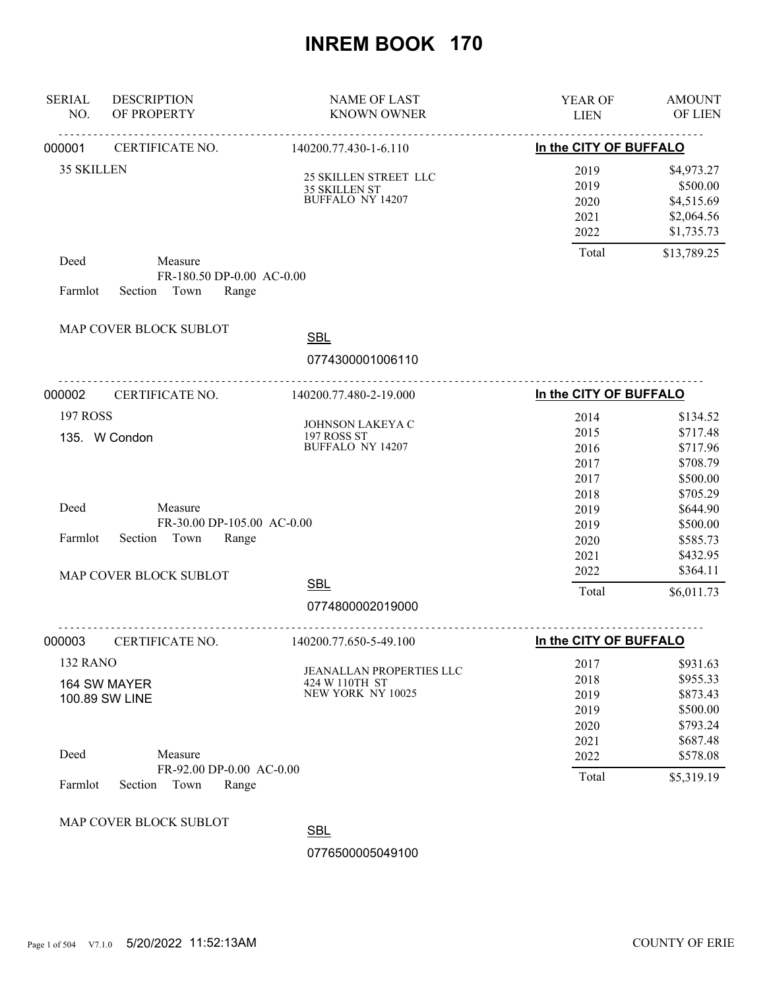| <b>SERIAL</b><br>NO. | <b>DESCRIPTION</b><br>OF PROPERTY                              | <b>NAME OF LAST</b><br><b>KNOWN OWNER</b>                              | YEAR OF<br><b>LIEN</b>                       | <b>AMOUNT</b><br>OF LIEN                                             |
|----------------------|----------------------------------------------------------------|------------------------------------------------------------------------|----------------------------------------------|----------------------------------------------------------------------|
| 000001               | CERTIFICATE NO.                                                | 140200.77.430-1-6.110                                                  | In the CITY OF BUFFALO                       |                                                                      |
| <b>35 SKILLEN</b>    |                                                                | 25 SKILLEN STREET LLC<br>35 SKILLEN ST<br><b>BUFFALO NY 14207</b>      | 2019<br>2019<br>2020<br>2021<br>2022         | \$4,973.27<br>\$500.00<br>\$4,515.69<br>\$2,064.56<br>\$1,735.73     |
| Deed<br>Farmlot      | Measure<br>FR-180.50 DP-0.00 AC-0.00<br>Section Town<br>Range  |                                                                        | Total                                        | \$13,789.25                                                          |
|                      | MAP COVER BLOCK SUBLOT                                         | <b>SBL</b><br>0774300001006110                                         |                                              |                                                                      |
| 000002               | CERTIFICATE NO.                                                | 140200.77.480-2-19.000                                                 | In the CITY OF BUFFALO                       |                                                                      |
| <b>197 ROSS</b>      | 135. W Condon                                                  | JOHNSON LAKEYA C<br>197 ROSS ST<br><b>BUFFALO NY 14207</b>             | 2014<br>2015<br>2016<br>2017<br>2017         | \$134.52<br>\$717.48<br>\$717.96<br>\$708.79<br>\$500.00             |
| Deed<br>Farmlot      | Measure<br>FR-30.00 DP-105.00 AC-0.00<br>Section Town<br>Range |                                                                        | 2018<br>2019<br>2019<br>2020<br>2021         | \$705.29<br>\$644.90<br>\$500.00<br>\$585.73<br>\$432.95             |
|                      | MAP COVER BLOCK SUBLOT                                         | <b>SBL</b>                                                             | 2022<br>Total                                | \$364.11<br>\$6,011.73                                               |
|                      |                                                                | 0774800002019000                                                       |                                              |                                                                      |
| 000003               | CERTIFICATE NO.                                                | 140200.77.650-5-49.100                                                 | In the CITY OF BUFFALO                       |                                                                      |
| 132 RANO             | 164 SW MAYER<br>100.89 SW LINE                                 | <b>JEANALLAN PROPERTIES LLC</b><br>424 W 110TH ST<br>NEW YORK NY 10025 | 2017<br>2018<br>2019<br>2019<br>2020<br>2021 | \$931.63<br>\$955.33<br>\$873.43<br>\$500.00<br>\$793.24<br>\$687.48 |
| Deed                 | Measure<br>FR-92.00 DP-0.00 AC-0.00                            |                                                                        | 2022                                         | \$578.08                                                             |
| Farmlot              | Town<br>Section<br>Range                                       |                                                                        | Total                                        | \$5,319.19                                                           |
|                      | MAP COVER BLOCK SUBLOT                                         | <b>SBL</b>                                                             |                                              |                                                                      |
|                      |                                                                | 0776500005049100                                                       |                                              |                                                                      |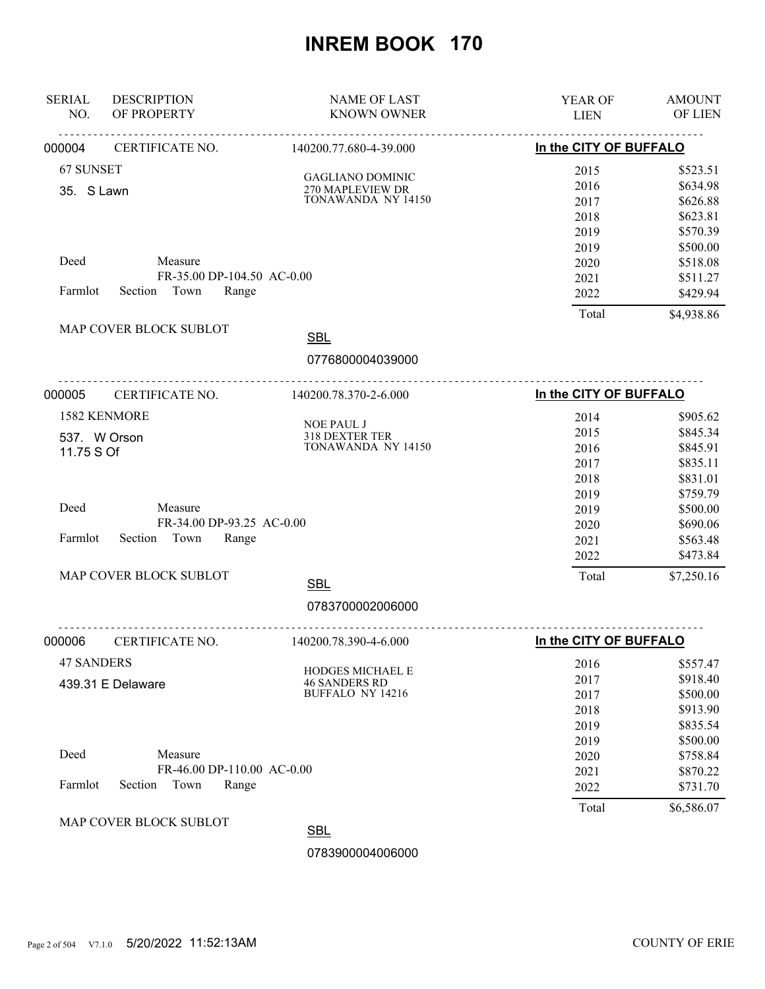| <b>SERIAL</b><br>NO. | <b>DESCRIPTION</b><br>OF PROPERTY | <b>NAME OF LAST</b><br><b>KNOWN OWNER</b>   | YEAR OF<br><b>LIEN</b>           | <b>AMOUNT</b><br>OF LIEN |
|----------------------|-----------------------------------|---------------------------------------------|----------------------------------|--------------------------|
| 000004               | .<br>CERTIFICATE NO.              | .<br>140200.77.680-4-39.000                 | In the CITY OF BUFFALO           |                          |
| 67 SUNSET            |                                   |                                             | 2015                             | \$523.51                 |
| 35. S Lawn           |                                   | <b>GAGLIANO DOMINIC</b><br>270 MAPLEVIEW DR | 2016                             | \$634.98                 |
|                      |                                   | TONAWANDA NY 14150                          | 2017                             | \$626.88                 |
|                      |                                   |                                             | 2018                             | \$623.81                 |
|                      |                                   |                                             | 2019                             | \$570.39                 |
|                      |                                   |                                             | 2019                             | \$500.00                 |
| Deed                 | Measure                           |                                             | 2020                             | \$518.08                 |
|                      | FR-35.00 DP-104.50 AC-0.00        |                                             | 2021                             | \$511.27                 |
| Farmlot              | Section<br>Town<br>Range          |                                             | 2022                             | \$429.94                 |
|                      | MAP COVER BLOCK SUBLOT            | <b>SBL</b>                                  | Total                            | \$4,938.86               |
|                      |                                   |                                             |                                  |                          |
|                      |                                   | 0776800004039000                            | -------------------------------- |                          |
| 000005               | CERTIFICATE NO.                   | 140200.78.370-2-6.000                       | In the CITY OF BUFFALO           |                          |
|                      | 1582 KENMORE                      |                                             | 2014                             | \$905.62                 |
|                      | 537. W Orson                      | NOE PAUL J<br>318 DEXTER TER                | 2015                             | \$845.34                 |
| 11.75 S Of           |                                   | TONAWANDA NY 14150                          | 2016                             | \$845.91                 |
|                      |                                   |                                             | 2017                             | \$835.11                 |
|                      |                                   |                                             | 2018                             | \$831.01                 |
|                      |                                   |                                             | 2019                             | \$759.79                 |
| Deed                 | Measure                           |                                             | 2019                             | \$500.00                 |
|                      | FR-34.00 DP-93.25 AC-0.00         |                                             | 2020                             | \$690.06                 |
| Farmlot              | Town<br>Section<br>Range          |                                             | 2021                             | \$563.48                 |
|                      |                                   |                                             | 2022                             | \$473.84                 |
|                      | MAP COVER BLOCK SUBLOT            | <b>SBL</b>                                  | Total                            | \$7,250.16               |
|                      |                                   | 0783700002006000                            |                                  |                          |
| 000006               | <u>.</u><br>CERTIFICATE NO.       | 140200.78.390-4-6.000                       | In the CITY OF BUFFALO           |                          |
| <b>47 SANDERS</b>    |                                   |                                             | 2016                             | \$557.47                 |
|                      | 439.31 E Delaware                 | HODGES MICHAEL E<br><b>46 SANDERS RD</b>    | 2017                             | \$918.40                 |
|                      |                                   | <b>BUFFALO NY 14216</b>                     | 2017                             | \$500.00                 |
|                      |                                   |                                             | 2018                             | \$913.90                 |
|                      |                                   |                                             | 2019                             | \$835.54                 |
|                      |                                   |                                             | 2019                             | \$500.00                 |
| Deed                 | Measure                           |                                             | 2020                             | \$758.84                 |
|                      | FR-46.00 DP-110.00 AC-0.00        |                                             | 2021                             | \$870.22                 |
| Farmlot              | Town<br>Section<br>Range          |                                             | 2022                             | \$731.70                 |
|                      |                                   |                                             | Total                            | \$6,586.07               |
|                      | MAP COVER BLOCK SUBLOT            | <b>SBL</b>                                  |                                  |                          |
|                      |                                   | 0783900004006000                            |                                  |                          |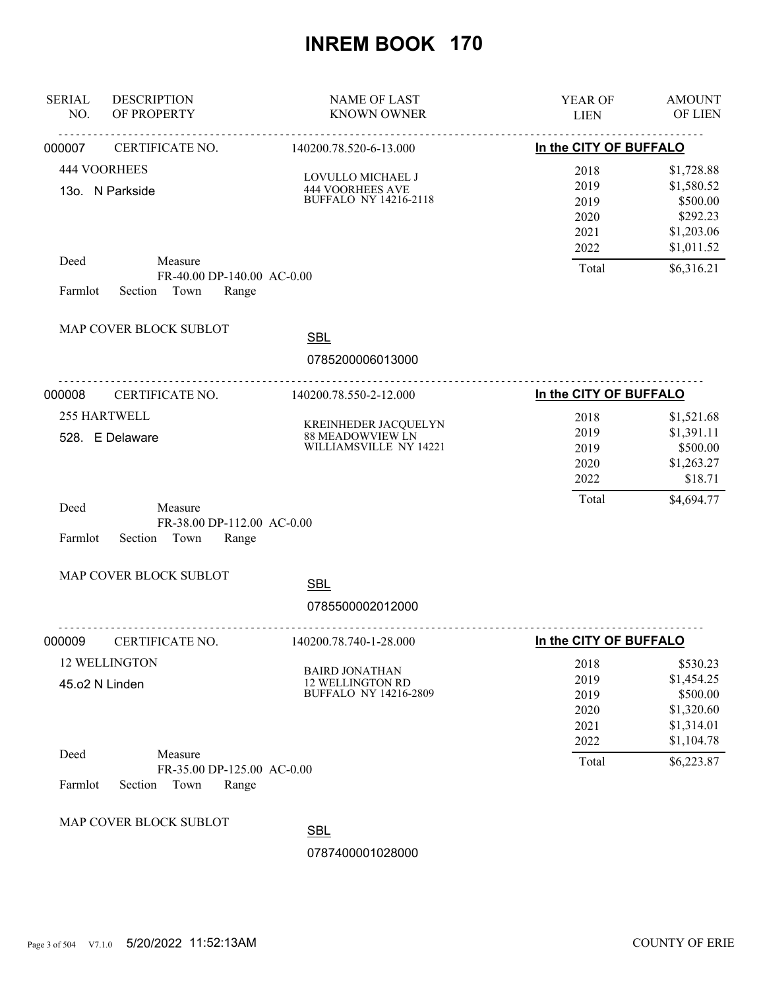| <b>SERIAL</b><br>NO. | <b>DESCRIPTION</b><br>OF PROPERTY                                 | <b>NAME OF LAST</b><br><b>KNOWN OWNER</b>                                        | YEAR OF<br><b>LIEN</b>                       | <b>AMOUNT</b><br>OF LIEN                                                     |
|----------------------|-------------------------------------------------------------------|----------------------------------------------------------------------------------|----------------------------------------------|------------------------------------------------------------------------------|
| 000007               | CERTIFICATE NO.                                                   | 140200.78.520-6-13.000                                                           | In the CITY OF BUFFALO                       |                                                                              |
|                      | <b>444 VOORHEES</b><br>13o. N Parkside                            | LOVULLO MICHAEL J<br><b>444 VOORHEES AVE</b><br><b>BUFFALO NY 14216-2118</b>     | 2018<br>2019<br>2019<br>2020<br>2021<br>2022 | \$1,728.88<br>\$1,580.52<br>\$500.00<br>\$292.23<br>\$1,203.06<br>\$1,011.52 |
| Deed<br>Farmlot      | Measure<br>FR-40.00 DP-140.00 AC-0.00<br>Section<br>Town<br>Range |                                                                                  | Total                                        | \$6,316.21                                                                   |
|                      | MAP COVER BLOCK SUBLOT                                            | <b>SBL</b><br>0785200006013000                                                   |                                              |                                                                              |
| 000008               | CERTIFICATE NO.                                                   | 140200.78.550-2-12.000                                                           | In the CITY OF BUFFALO                       |                                                                              |
|                      | 255 HARTWELL<br>528. E Delaware                                   | KREINHEDER JACQUELYN<br>88 MEADOWVIEW LN<br>WILLIAMSVILLE NY 14221               | 2018<br>2019<br>2019<br>2020<br>2022         | \$1,521.68<br>\$1,391.11<br>\$500.00<br>\$1,263.27<br>\$18.71                |
| Deed<br>Farmlot      | Measure<br>FR-38.00 DP-112.00 AC-0.00<br>Town<br>Range<br>Section |                                                                                  | Total                                        | \$4,694.77                                                                   |
|                      | MAP COVER BLOCK SUBLOT                                            | <b>SBL</b>                                                                       |                                              |                                                                              |
|                      |                                                                   | 0785500002012000                                                                 |                                              |                                                                              |
| 000009               | CERTIFICATE NO.                                                   | 140200.78.740-1-28.000                                                           | In the CITY OF BUFFALO                       |                                                                              |
|                      | 12 WELLINGTON<br>45.o2 N Linden                                   | <b>BAIRD JONATHAN</b><br><b>12 WELLINGTON RD</b><br><b>BUFFALO NY 14216-2809</b> | 2018<br>2019<br>2019<br>2020<br>2021<br>2022 | \$530.23<br>\$1,454.25<br>\$500.00<br>\$1,320.60<br>\$1,314.01<br>\$1,104.78 |
| Deed<br>Farmlot      | Measure<br>FR-35.00 DP-125.00 AC-0.00<br>Section<br>Town<br>Range |                                                                                  | Total                                        | \$6,223.87                                                                   |
|                      | MAP COVER BLOCK SUBLOT                                            | <b>SBL</b><br>0787400001028000                                                   |                                              |                                                                              |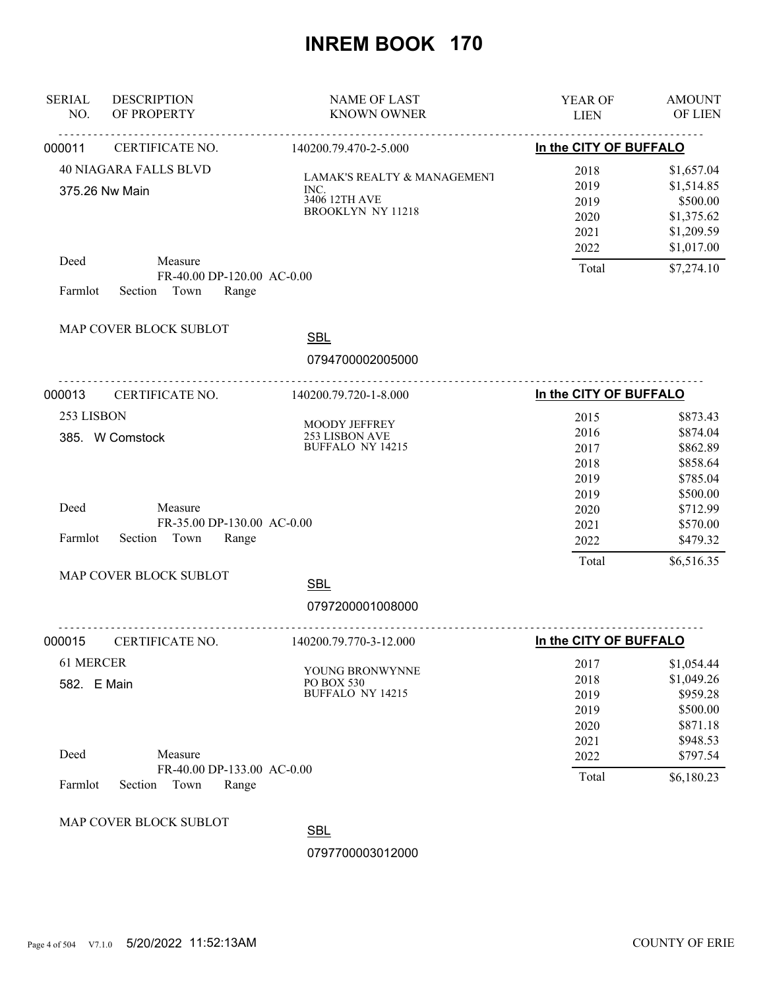| <b>SERIAL</b><br>NO.     | <b>DESCRIPTION</b><br>OF PROPERTY                                 | <b>NAME OF LAST</b><br><b>KNOWN OWNER</b>                                                   | YEAR OF<br><b>LIEN</b>                | <b>AMOUNT</b><br><b>OF LIEN</b>                                  |
|--------------------------|-------------------------------------------------------------------|---------------------------------------------------------------------------------------------|---------------------------------------|------------------------------------------------------------------|
| 000011                   | CERTIFICATE NO.                                                   | 140200.79.470-2-5.000                                                                       | In the CITY OF BUFFALO                |                                                                  |
|                          | <b>40 NIAGARA FALLS BLVD</b><br>375.26 Nw Main                    | <b>LAMAK'S REALTY &amp; MANAGEMENT</b><br>INC.<br>3406 12TH AVE<br><b>BROOKLYN NY 11218</b> | 2018<br>2019<br>2019<br>2020<br>2021  | \$1,657.04<br>\$1,514.85<br>\$500.00<br>\$1,375.62<br>\$1,209.59 |
| Deed<br>Farmlot          | Measure<br>FR-40.00 DP-120.00 AC-0.00<br>Section Town<br>Range    |                                                                                             | 2022<br>Total                         | \$1,017.00<br>\$7,274.10                                         |
|                          | MAP COVER BLOCK SUBLOT                                            | <b>SBL</b><br>0794700002005000                                                              |                                       |                                                                  |
| 000013                   | CERTIFICATE NO.                                                   | 140200.79.720-1-8.000                                                                       | In the CITY OF BUFFALO                |                                                                  |
| 253 LISBON               | 385. W Comstock                                                   | MOODY JEFFREY<br>253 LISBON AVE<br>BUFFALO NY 14215                                         | 2015<br>2016<br>2017<br>2018<br>2019  | \$873.43<br>\$874.04<br>\$862.89<br>\$858.64<br>\$785.04         |
| Deed<br>Farmlot          | Measure<br>FR-35.00 DP-130.00 AC-0.00<br>Section<br>Town<br>Range |                                                                                             | 2019<br>2020<br>2021<br>2022<br>Total | \$500.00<br>\$712.99<br>\$570.00<br>\$479.32<br>\$6,516.35       |
|                          | MAP COVER BLOCK SUBLOT                                            | <b>SBL</b>                                                                                  |                                       |                                                                  |
|                          |                                                                   | 0797200001008000                                                                            |                                       |                                                                  |
| 000015                   | CERTIFICATE NO.                                                   | 140200.79.770-3-12.000                                                                      | In the CITY OF BUFFALO                |                                                                  |
| 61 MERCER<br>582. E Main |                                                                   | YOUNG BRONWYNNE<br>PO BOX 530<br>BUFFALO NY 14215                                           | 2017<br>2018<br>2019<br>2019<br>2020  | \$1,054.44<br>\$1,049.26<br>\$959.28<br>\$500.00<br>\$871.18     |
| Deed                     | Measure<br>FR-40.00 DP-133.00 AC-0.00                             |                                                                                             | 2021<br>2022<br>Total                 | \$948.53<br>\$797.54<br>\$6,180.23                               |
| Farmlot                  | Town<br>Section<br>Range                                          |                                                                                             |                                       |                                                                  |
|                          | MAP COVER BLOCK SUBLOT                                            | <b>SBL</b><br>0797700003012000                                                              |                                       |                                                                  |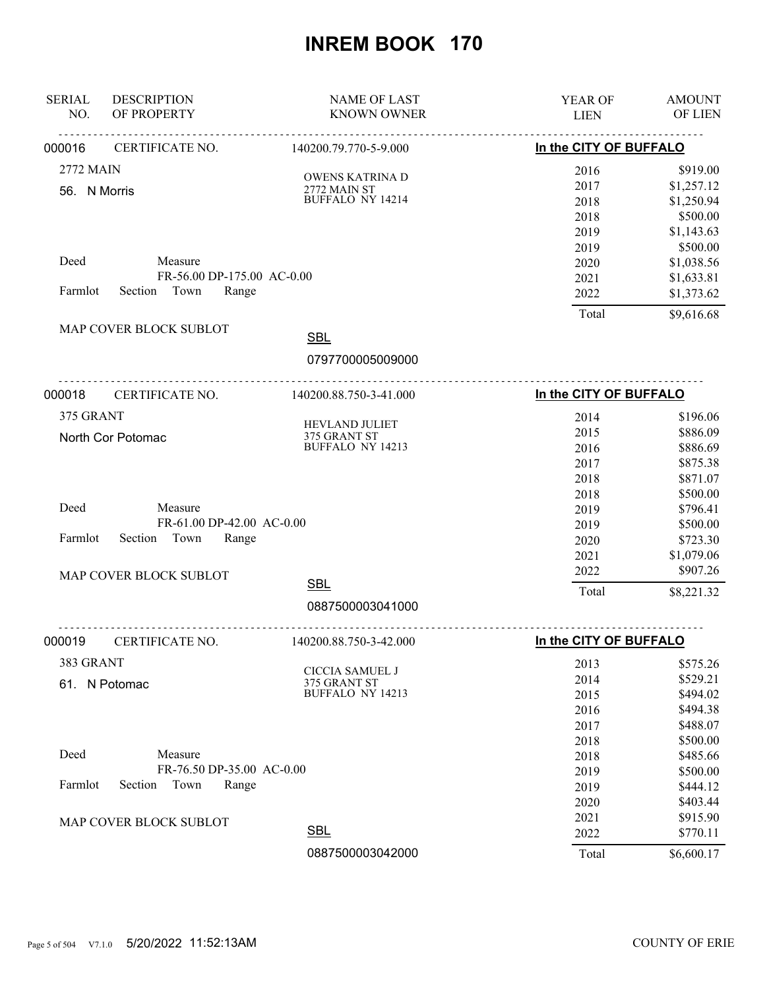| <b>SERIAL</b><br>NO. | <b>DESCRIPTION</b><br>OF PROPERTY | <b>NAME OF LAST</b><br><b>KNOWN OWNER</b>      | <b>YEAR OF</b><br><b>LIEN</b> | <b>AMOUNT</b><br>OF LIEN |
|----------------------|-----------------------------------|------------------------------------------------|-------------------------------|--------------------------|
| 000016               | CERTIFICATE NO.                   | 140200.79.770-5-9.000                          | In the CITY OF BUFFALO        |                          |
| 2772 MAIN            |                                   |                                                |                               |                          |
|                      |                                   | OWENS KATRINA D                                | 2016<br>2017                  | \$919.00<br>\$1,257.12   |
| 56. N Morris         |                                   | <b>2772 MAIN ST</b><br><b>BUFFALO NY 14214</b> | 2018                          | \$1,250.94               |
|                      |                                   |                                                | 2018                          | \$500.00                 |
|                      |                                   |                                                | 2019                          | \$1,143.63               |
|                      |                                   |                                                | 2019                          | \$500.00                 |
| Deed                 | Measure                           |                                                | 2020                          | \$1,038.56               |
|                      | FR-56.00 DP-175.00 AC-0.00        |                                                | 2021                          | \$1,633.81               |
| Farmlot              | Town<br>Section<br>Range          |                                                | 2022                          | \$1,373.62               |
|                      |                                   |                                                | Total                         | \$9,616.68               |
|                      | MAP COVER BLOCK SUBLOT            | <b>SBL</b>                                     |                               |                          |
|                      |                                   | 0797700005009000                               |                               |                          |
|                      | --------------------------------- |                                                |                               |                          |
| 000018               | CERTIFICATE NO.                   | 140200.88.750-3-41.000                         | In the CITY OF BUFFALO        |                          |
| 375 GRANT            |                                   |                                                | 2014                          | \$196.06                 |
|                      | North Cor Potomac                 | HEVLAND JULIET                                 | 2015                          | \$886.09                 |
|                      |                                   | 375 GRANT ST<br>BUFFALO NY 14213               | 2016                          | \$886.69                 |
|                      |                                   |                                                | 2017                          | \$875.38                 |
|                      |                                   |                                                | 2018                          | \$871.07                 |
|                      |                                   |                                                | 2018                          | \$500.00                 |
| Deed                 | Measure                           |                                                | 2019                          | \$796.41                 |
|                      | FR-61.00 DP-42.00 AC-0.00         |                                                | 2019                          | \$500.00                 |
| Farmlot              | Town<br>Section<br>Range          |                                                | 2020                          | \$723.30                 |
|                      |                                   |                                                | 2021                          | \$1,079.06               |
|                      | MAP COVER BLOCK SUBLOT            |                                                | 2022                          | \$907.26                 |
|                      |                                   | <b>SBL</b>                                     | Total                         | \$8,221.32               |
|                      |                                   | 0887500003041000                               |                               |                          |
| 000019               | CERTIFICATE NO.                   | 140200.88.750-3-42.000                         | In the CITY OF BUFFALO        |                          |
| 383 GRANT            |                                   |                                                | 2013                          | \$575.26                 |
|                      |                                   | CICCIA SAMUEL J                                | 2014                          | \$529.21                 |
|                      | 61. N Potomac                     | 375 GRANT ST<br><b>BUFFALO NY 14213</b>        | 2015                          | \$494.02                 |
|                      |                                   |                                                | 2016                          | \$494.38                 |
|                      |                                   |                                                | 2017                          | \$488.07                 |
|                      |                                   |                                                | 2018                          | \$500.00                 |
| Deed                 | Measure                           |                                                | 2018                          | \$485.66                 |
|                      | FR-76.50 DP-35.00 AC-0.00         |                                                | 2019                          | \$500.00                 |
| Farmlot              | Town<br>Section<br>Range          |                                                | 2019                          | \$444.12                 |
|                      |                                   |                                                | 2020                          | \$403.44                 |
|                      | MAP COVER BLOCK SUBLOT            |                                                | 2021                          | \$915.90                 |
|                      |                                   | <b>SBL</b>                                     | 2022                          | \$770.11                 |
|                      |                                   | 0887500003042000                               | Total                         | \$6,600.17               |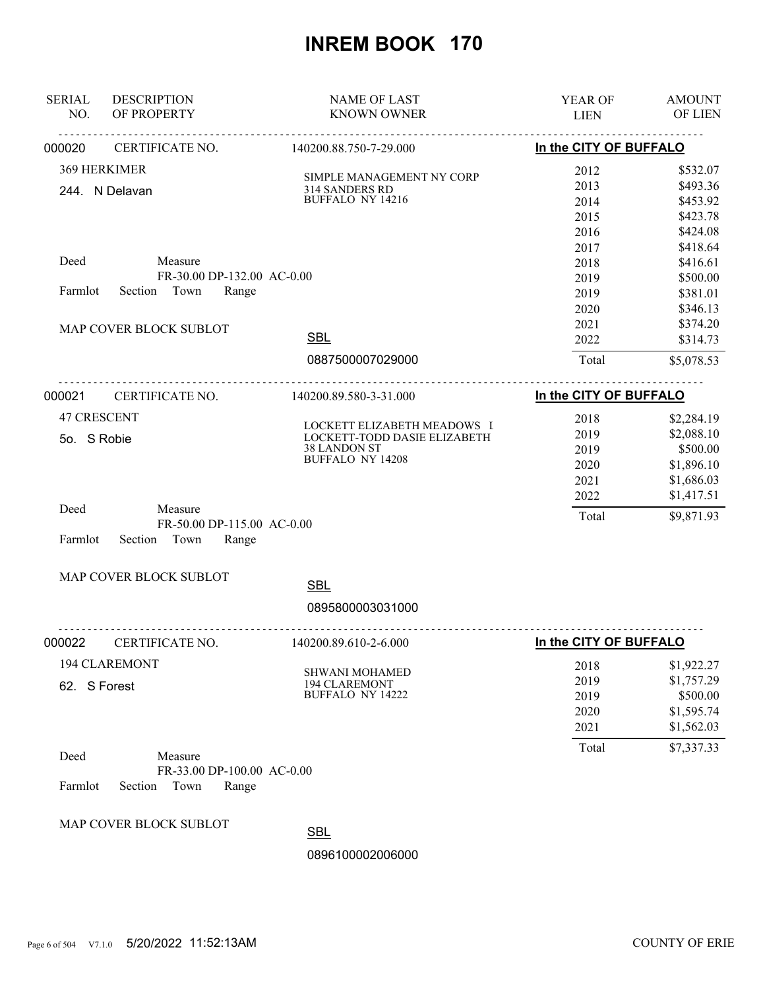| <b>SERIAL</b><br>NO. | <b>DESCRIPTION</b><br>OF PROPERTY                      | <b>NAME OF LAST</b><br><b>KNOWN OWNER</b>                   | YEAR OF<br><b>LIEN</b> | <b>AMOUNT</b><br>OF LIEN |
|----------------------|--------------------------------------------------------|-------------------------------------------------------------|------------------------|--------------------------|
| 000020               | ______________________________<br>CERTIFICATE NO.      | <u>.</u><br>140200.88.750-7-29.000                          | In the CITY OF BUFFALO |                          |
| 369 HERKIMER         |                                                        | SIMPLE MANAGEMENT NY CORP                                   | 2012                   | \$532.07                 |
|                      | 244. N Delavan                                         | 314 SANDERS RD                                              | 2013                   | \$493.36                 |
|                      |                                                        | BUFFALO NY 14216                                            | 2014                   | \$453.92                 |
|                      |                                                        |                                                             | 2015                   | \$423.78                 |
|                      |                                                        |                                                             | 2016                   | \$424.08                 |
|                      |                                                        |                                                             | 2017                   | \$418.64                 |
| Deed                 | Measure                                                |                                                             | 2018                   | \$416.61                 |
|                      | FR-30.00 DP-132.00 AC-0.00                             |                                                             | 2019                   | \$500.00                 |
| Farmlot              | Section Town<br>Range                                  |                                                             | 2019                   | \$381.01                 |
|                      |                                                        |                                                             | 2020                   | \$346.13                 |
|                      | MAP COVER BLOCK SUBLOT                                 |                                                             | 2021                   | \$374.20                 |
|                      |                                                        | <b>SBL</b>                                                  | 2022                   | \$314.73                 |
|                      |                                                        | 0887500007029000                                            | Total                  | \$5,078.53               |
| 000021               | CERTIFICATE NO.                                        | 140200.89.580-3-31.000                                      | In the CITY OF BUFFALO |                          |
| <b>47 CRESCENT</b>   |                                                        |                                                             | 2018                   | \$2,284.19               |
|                      |                                                        | LOCKETT ELIZABETH MEADOWS I<br>LOCKETT-TODD DASIE ELIZABETH | 2019                   | \$2,088.10               |
| 5o. S Robie          | <b>38 LANDON ST</b>                                    | 2019                                                        | \$500.00               |                          |
|                      |                                                        | <b>BUFFALO NY 14208</b>                                     | 2020                   | \$1,896.10               |
|                      |                                                        |                                                             | 2021                   | \$1,686.03               |
|                      |                                                        |                                                             | 2022                   | \$1,417.51               |
| Deed                 | Measure                                                |                                                             | Total                  | \$9,871.93               |
| Farmlot              | FR-50.00 DP-115.00 AC-0.00<br>Section<br>Town<br>Range |                                                             |                        |                          |
|                      | MAP COVER BLOCK SUBLOT                                 |                                                             |                        |                          |
|                      |                                                        | <b>SBL</b>                                                  |                        |                          |
|                      |                                                        | 0895800003031000                                            |                        |                          |
| 000022               | CERTIFICATE NO.                                        | .<br>140200.89.610-2-6.000                                  | In the CITY OF BUFFALO |                          |
|                      | <b>194 CLAREMONT</b>                                   | <b>SHWANI MOHAMED</b>                                       | 2018                   | \$1,922.27               |
| 62. S Forest         |                                                        | 194 CLAREMONT                                               | 2019                   | \$1,757.29               |
|                      |                                                        | BUFFALO NY 14222                                            | 2019                   | \$500.00                 |
|                      |                                                        |                                                             | 2020                   | \$1,595.74               |
|                      |                                                        |                                                             | 2021                   | \$1,562.03               |
| Deed                 | Measure                                                |                                                             | Total                  | \$7,337.33               |
|                      | FR-33.00 DP-100.00 AC-0.00                             |                                                             |                        |                          |
| Farmlot              | Section<br>Town<br>Range                               |                                                             |                        |                          |
|                      | MAP COVER BLOCK SUBLOT                                 |                                                             |                        |                          |
|                      |                                                        | <b>SBL</b>                                                  |                        |                          |
|                      |                                                        | 0896100002006000                                            |                        |                          |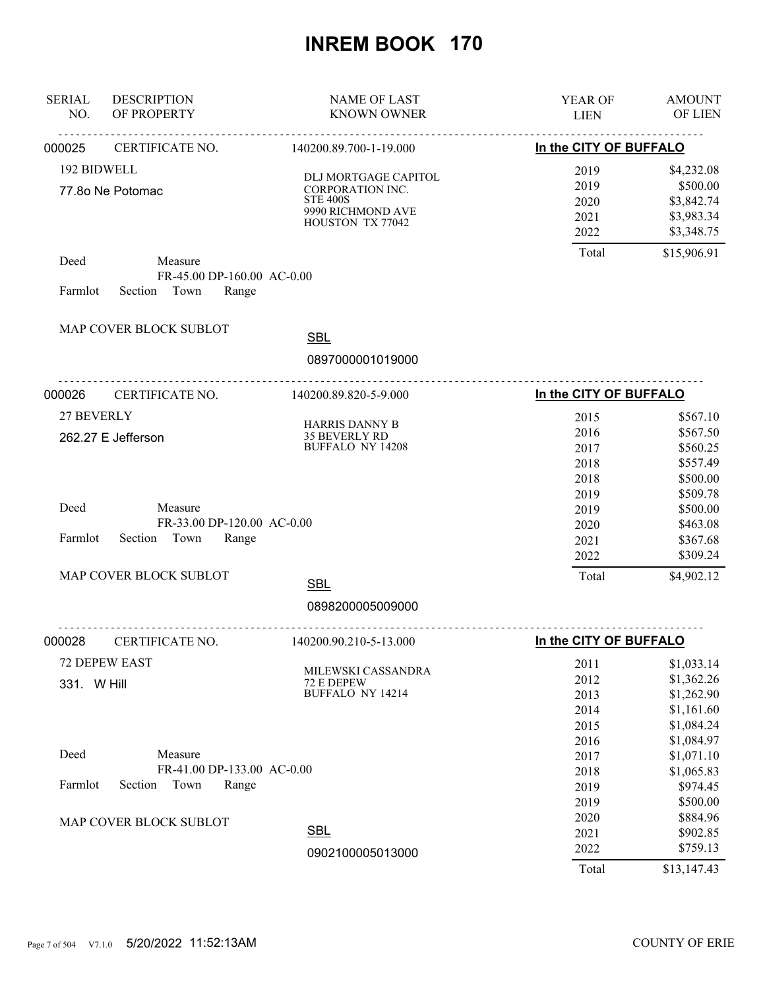| <b>SERIAL</b><br>NO. | <b>DESCRIPTION</b><br>OF PROPERTY | <b>NAME OF LAST</b><br><b>KNOWN OWNER</b> | YEAR OF<br><b>LIEN</b> | <b>AMOUNT</b><br>OF LIEN |
|----------------------|-----------------------------------|-------------------------------------------|------------------------|--------------------------|
|                      | .                                 | <u>.</u>                                  |                        |                          |
| 000025               | CERTIFICATE NO.                   | 140200.89.700-1-19.000                    | In the CITY OF BUFFALO |                          |
| 192 BIDWELL          |                                   | <b>DLJ MORTGAGE CAPITOL</b>               | 2019                   | \$4,232.08               |
|                      | 77.80 Ne Potomac                  | CORPORATION INC.                          | 2019                   | \$500.00                 |
|                      |                                   | <b>STE 400S</b>                           | 2020                   | \$3,842.74               |
|                      |                                   | 9990 RICHMOND AVE<br>HOUSTON TX 77042     | 2021                   | \$3,983.34               |
|                      |                                   |                                           | 2022                   | \$3,348.75               |
| Deed                 | Measure                           |                                           | Total                  | \$15,906.91              |
|                      | FR-45.00 DP-160.00 AC-0.00        |                                           |                        |                          |
| Farmlot              | Section Town<br>Range             |                                           |                        |                          |
|                      | MAP COVER BLOCK SUBLOT            |                                           |                        |                          |
|                      |                                   | <b>SBL</b>                                |                        |                          |
|                      |                                   | 0897000001019000                          |                        |                          |
| 000026               | CERTIFICATE NO.                   | 140200.89.820-5-9.000                     | In the CITY OF BUFFALO |                          |
| 27 BEVERLY           |                                   |                                           | 2015                   | \$567.10                 |
|                      | 262.27 E Jefferson                | <b>HARRIS DANNY B</b><br>35 BEVERLY RD    | 2016                   | \$567.50                 |
|                      |                                   | <b>BUFFALO NY 14208</b>                   | 2017                   | \$560.25                 |
|                      |                                   |                                           | 2018                   | \$557.49                 |
|                      |                                   |                                           | 2018                   | \$500.00                 |
|                      |                                   |                                           | 2019                   | \$509.78                 |
| Deed                 | Measure                           |                                           | 2019                   | \$500.00                 |
|                      | FR-33.00 DP-120.00 AC-0.00        |                                           | 2020                   | \$463.08                 |
| Farmlot              | Section<br>Town<br>Range          |                                           | 2021                   | \$367.68                 |
|                      |                                   |                                           | 2022                   | \$309.24                 |
|                      | MAP COVER BLOCK SUBLOT            | <b>SBL</b>                                | Total                  | \$4,902.12               |
|                      |                                   | 0898200005009000                          |                        |                          |
| 000028               | <u>.</u><br>CERTIFICATE NO.       | <u>.</u><br>140200.90.210-5-13.000        | In the CITY OF BUFFALO |                          |
|                      | 72 DEPEW EAST                     |                                           | 2011                   | \$1,033.14               |
|                      |                                   | MILEWSKI CASSANDRA                        | 2012                   | \$1,362.26               |
| 331. W Hill          |                                   | 72 E DEPEW<br>BUFFALO NY 14214            | 2013                   | \$1,262.90               |
|                      |                                   |                                           | 2014                   | \$1,161.60               |
|                      |                                   |                                           | 2015                   | \$1,084.24               |
|                      |                                   |                                           | 2016                   | \$1,084.97               |
| Deed                 | Measure                           |                                           | 2017                   | \$1,071.10               |
|                      | FR-41.00 DP-133.00 AC-0.00        |                                           | 2018                   | \$1,065.83               |
| Farmlot              | Section<br>Town<br>Range          |                                           | 2019                   | \$974.45                 |
|                      |                                   |                                           | 2019                   | \$500.00                 |
|                      | MAP COVER BLOCK SUBLOT            |                                           | 2020                   | \$884.96                 |
|                      |                                   | <b>SBL</b>                                | 2021                   | \$902.85                 |
|                      |                                   | 0902100005013000                          | 2022                   | \$759.13                 |
|                      |                                   |                                           | Total                  | \$13,147.43              |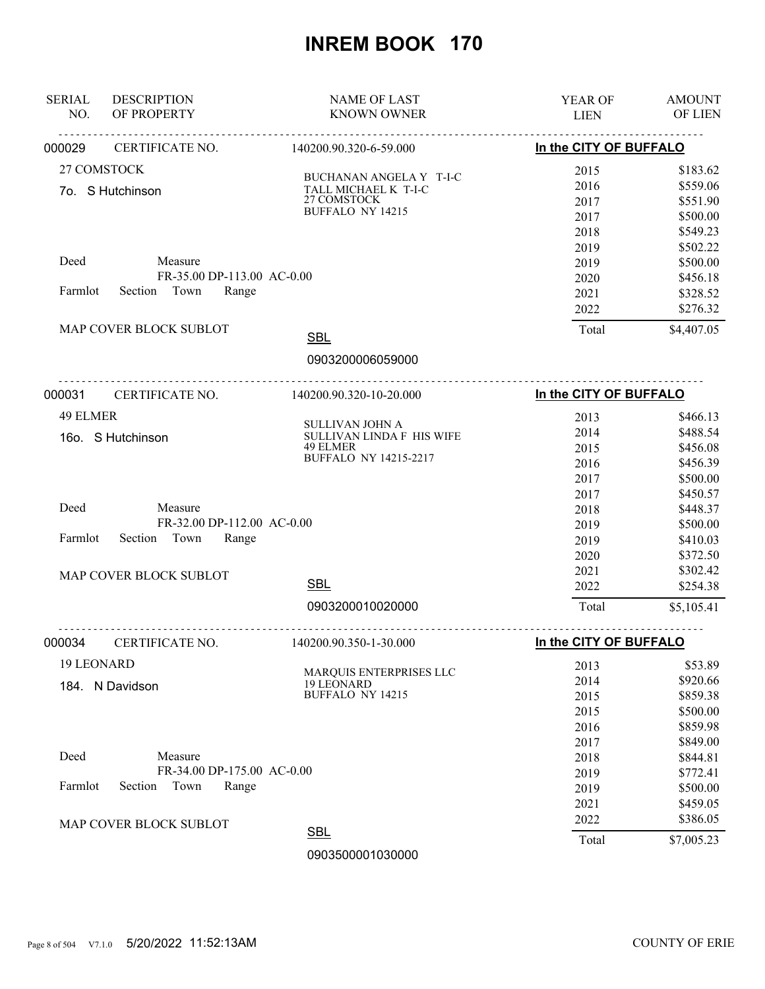| <u>.</u><br><u>.</u><br>In the CITY OF BUFFALO<br>CERTIFICATE NO.<br>140200.90.320-6-59.000<br>27 COMSTOCK<br>2015<br>\$183.62<br>BUCHANAN ANGELA Y T-I-C<br>\$559.06<br>2016<br>TALL MICHAEL K T-I-C<br>7o. S Hutchinson<br>27 COMSTOCK<br>2017<br>\$551.90<br>BUFFALO NY 14215<br>\$500.00<br>2017<br>\$549.23<br>2018<br>2019<br>\$502.22<br>Deed<br>Measure<br>\$500.00<br>2019<br>FR-35.00 DP-113.00 AC-0.00<br>2020<br>\$456.18<br>Town<br>Farmlot<br>Section<br>Range<br>\$328.52<br>2021<br>\$276.32<br>2022<br>MAP COVER BLOCK SUBLOT<br>\$4,407.05<br>Total<br><b>SBL</b><br>0903200006059000<br>CERTIFICATE NO.<br>In the CITY OF BUFFALO<br>140200.90.320-10-20.000<br>49 ELMER<br>2013<br>\$466.13<br>SULLIVAN JOHN A<br>\$488.54<br>2014<br>SULLIVAN LINDA F HIS WIFE<br>16o. S Hutchinson<br>49 ELMER<br>2015<br>\$456.08<br><b>BUFFALO NY 14215-2217</b><br>\$456.39<br>2016<br>\$500.00<br>2017<br>2017<br>\$450.57<br>Deed<br>Measure<br>\$448.37<br>2018<br>FR-32.00 DP-112.00 AC-0.00<br>2019<br>\$500.00<br>Section<br>Town<br>Range<br>Farmlot<br>2019<br>\$410.03<br>\$372.50<br>2020<br>2021<br>\$302.42<br>MAP COVER BLOCK SUBLOT<br><b>SBL</b><br>\$254.38<br>2022<br>0903200010020000<br>Total<br>\$5,105.41<br>In the CITY OF BUFFALO<br>CERTIFICATE NO.<br>140200.90.350-1-30.000<br>19 LEONARD<br>\$53.89<br>2013<br>MARQUIS ENTERPRISES LLC<br>\$920.66<br>2014<br>19 LEONARD<br>184. N Davidson<br><b>BUFFALO NY 14215</b><br>\$859.38<br>2015<br>\$500.00<br>2015<br>\$859.98<br>2016<br>\$849.00<br>2017<br>Deed<br>Measure<br>2018<br>\$844.81<br>FR-34.00 DP-175.00 AC-0.00<br>\$772.41<br>2019<br>Farmlot<br>Section<br>Town<br>Range<br>\$500.00<br>2019<br>\$459.05<br>2021<br>\$386.05<br>2022<br>MAP COVER BLOCK SUBLOT<br><b>SBL</b><br>Total<br>\$7,005.23<br>0903500001030000 | <b>SERIAL</b><br>NO. | <b>DESCRIPTION</b><br>OF PROPERTY | <b>NAME OF LAST</b><br><b>KNOWN OWNER</b> | <b>YEAR OF</b> | <b>AMOUNT</b><br>OF LIEN |
|---------------------------------------------------------------------------------------------------------------------------------------------------------------------------------------------------------------------------------------------------------------------------------------------------------------------------------------------------------------------------------------------------------------------------------------------------------------------------------------------------------------------------------------------------------------------------------------------------------------------------------------------------------------------------------------------------------------------------------------------------------------------------------------------------------------------------------------------------------------------------------------------------------------------------------------------------------------------------------------------------------------------------------------------------------------------------------------------------------------------------------------------------------------------------------------------------------------------------------------------------------------------------------------------------------------------------------------------------------------------------------------------------------------------------------------------------------------------------------------------------------------------------------------------------------------------------------------------------------------------------------------------------------------------------------------------------------------------------------------------------------------------------------------------------------------------------|----------------------|-----------------------------------|-------------------------------------------|----------------|--------------------------|
|                                                                                                                                                                                                                                                                                                                                                                                                                                                                                                                                                                                                                                                                                                                                                                                                                                                                                                                                                                                                                                                                                                                                                                                                                                                                                                                                                                                                                                                                                                                                                                                                                                                                                                                                                                                                                           |                      |                                   |                                           | <b>LIEN</b>    |                          |
|                                                                                                                                                                                                                                                                                                                                                                                                                                                                                                                                                                                                                                                                                                                                                                                                                                                                                                                                                                                                                                                                                                                                                                                                                                                                                                                                                                                                                                                                                                                                                                                                                                                                                                                                                                                                                           | 000029               |                                   |                                           |                |                          |
|                                                                                                                                                                                                                                                                                                                                                                                                                                                                                                                                                                                                                                                                                                                                                                                                                                                                                                                                                                                                                                                                                                                                                                                                                                                                                                                                                                                                                                                                                                                                                                                                                                                                                                                                                                                                                           |                      |                                   |                                           |                |                          |
|                                                                                                                                                                                                                                                                                                                                                                                                                                                                                                                                                                                                                                                                                                                                                                                                                                                                                                                                                                                                                                                                                                                                                                                                                                                                                                                                                                                                                                                                                                                                                                                                                                                                                                                                                                                                                           |                      |                                   |                                           |                |                          |
|                                                                                                                                                                                                                                                                                                                                                                                                                                                                                                                                                                                                                                                                                                                                                                                                                                                                                                                                                                                                                                                                                                                                                                                                                                                                                                                                                                                                                                                                                                                                                                                                                                                                                                                                                                                                                           |                      |                                   |                                           |                |                          |
|                                                                                                                                                                                                                                                                                                                                                                                                                                                                                                                                                                                                                                                                                                                                                                                                                                                                                                                                                                                                                                                                                                                                                                                                                                                                                                                                                                                                                                                                                                                                                                                                                                                                                                                                                                                                                           |                      |                                   |                                           |                |                          |
|                                                                                                                                                                                                                                                                                                                                                                                                                                                                                                                                                                                                                                                                                                                                                                                                                                                                                                                                                                                                                                                                                                                                                                                                                                                                                                                                                                                                                                                                                                                                                                                                                                                                                                                                                                                                                           |                      |                                   |                                           |                |                          |
|                                                                                                                                                                                                                                                                                                                                                                                                                                                                                                                                                                                                                                                                                                                                                                                                                                                                                                                                                                                                                                                                                                                                                                                                                                                                                                                                                                                                                                                                                                                                                                                                                                                                                                                                                                                                                           |                      |                                   |                                           |                |                          |
|                                                                                                                                                                                                                                                                                                                                                                                                                                                                                                                                                                                                                                                                                                                                                                                                                                                                                                                                                                                                                                                                                                                                                                                                                                                                                                                                                                                                                                                                                                                                                                                                                                                                                                                                                                                                                           |                      |                                   |                                           |                |                          |
|                                                                                                                                                                                                                                                                                                                                                                                                                                                                                                                                                                                                                                                                                                                                                                                                                                                                                                                                                                                                                                                                                                                                                                                                                                                                                                                                                                                                                                                                                                                                                                                                                                                                                                                                                                                                                           |                      |                                   |                                           |                |                          |
|                                                                                                                                                                                                                                                                                                                                                                                                                                                                                                                                                                                                                                                                                                                                                                                                                                                                                                                                                                                                                                                                                                                                                                                                                                                                                                                                                                                                                                                                                                                                                                                                                                                                                                                                                                                                                           |                      |                                   |                                           |                |                          |
|                                                                                                                                                                                                                                                                                                                                                                                                                                                                                                                                                                                                                                                                                                                                                                                                                                                                                                                                                                                                                                                                                                                                                                                                                                                                                                                                                                                                                                                                                                                                                                                                                                                                                                                                                                                                                           |                      |                                   |                                           |                |                          |
|                                                                                                                                                                                                                                                                                                                                                                                                                                                                                                                                                                                                                                                                                                                                                                                                                                                                                                                                                                                                                                                                                                                                                                                                                                                                                                                                                                                                                                                                                                                                                                                                                                                                                                                                                                                                                           |                      |                                   |                                           |                |                          |
|                                                                                                                                                                                                                                                                                                                                                                                                                                                                                                                                                                                                                                                                                                                                                                                                                                                                                                                                                                                                                                                                                                                                                                                                                                                                                                                                                                                                                                                                                                                                                                                                                                                                                                                                                                                                                           |                      |                                   |                                           |                |                          |
|                                                                                                                                                                                                                                                                                                                                                                                                                                                                                                                                                                                                                                                                                                                                                                                                                                                                                                                                                                                                                                                                                                                                                                                                                                                                                                                                                                                                                                                                                                                                                                                                                                                                                                                                                                                                                           | 000031               |                                   |                                           |                |                          |
|                                                                                                                                                                                                                                                                                                                                                                                                                                                                                                                                                                                                                                                                                                                                                                                                                                                                                                                                                                                                                                                                                                                                                                                                                                                                                                                                                                                                                                                                                                                                                                                                                                                                                                                                                                                                                           |                      |                                   |                                           |                |                          |
|                                                                                                                                                                                                                                                                                                                                                                                                                                                                                                                                                                                                                                                                                                                                                                                                                                                                                                                                                                                                                                                                                                                                                                                                                                                                                                                                                                                                                                                                                                                                                                                                                                                                                                                                                                                                                           |                      |                                   |                                           |                |                          |
|                                                                                                                                                                                                                                                                                                                                                                                                                                                                                                                                                                                                                                                                                                                                                                                                                                                                                                                                                                                                                                                                                                                                                                                                                                                                                                                                                                                                                                                                                                                                                                                                                                                                                                                                                                                                                           |                      |                                   |                                           |                |                          |
|                                                                                                                                                                                                                                                                                                                                                                                                                                                                                                                                                                                                                                                                                                                                                                                                                                                                                                                                                                                                                                                                                                                                                                                                                                                                                                                                                                                                                                                                                                                                                                                                                                                                                                                                                                                                                           |                      |                                   |                                           |                |                          |
|                                                                                                                                                                                                                                                                                                                                                                                                                                                                                                                                                                                                                                                                                                                                                                                                                                                                                                                                                                                                                                                                                                                                                                                                                                                                                                                                                                                                                                                                                                                                                                                                                                                                                                                                                                                                                           |                      |                                   |                                           |                |                          |
|                                                                                                                                                                                                                                                                                                                                                                                                                                                                                                                                                                                                                                                                                                                                                                                                                                                                                                                                                                                                                                                                                                                                                                                                                                                                                                                                                                                                                                                                                                                                                                                                                                                                                                                                                                                                                           |                      |                                   |                                           |                |                          |
|                                                                                                                                                                                                                                                                                                                                                                                                                                                                                                                                                                                                                                                                                                                                                                                                                                                                                                                                                                                                                                                                                                                                                                                                                                                                                                                                                                                                                                                                                                                                                                                                                                                                                                                                                                                                                           |                      |                                   |                                           |                |                          |
|                                                                                                                                                                                                                                                                                                                                                                                                                                                                                                                                                                                                                                                                                                                                                                                                                                                                                                                                                                                                                                                                                                                                                                                                                                                                                                                                                                                                                                                                                                                                                                                                                                                                                                                                                                                                                           |                      |                                   |                                           |                |                          |
|                                                                                                                                                                                                                                                                                                                                                                                                                                                                                                                                                                                                                                                                                                                                                                                                                                                                                                                                                                                                                                                                                                                                                                                                                                                                                                                                                                                                                                                                                                                                                                                                                                                                                                                                                                                                                           |                      |                                   |                                           |                |                          |
|                                                                                                                                                                                                                                                                                                                                                                                                                                                                                                                                                                                                                                                                                                                                                                                                                                                                                                                                                                                                                                                                                                                                                                                                                                                                                                                                                                                                                                                                                                                                                                                                                                                                                                                                                                                                                           |                      |                                   |                                           |                |                          |
|                                                                                                                                                                                                                                                                                                                                                                                                                                                                                                                                                                                                                                                                                                                                                                                                                                                                                                                                                                                                                                                                                                                                                                                                                                                                                                                                                                                                                                                                                                                                                                                                                                                                                                                                                                                                                           |                      |                                   |                                           |                |                          |
|                                                                                                                                                                                                                                                                                                                                                                                                                                                                                                                                                                                                                                                                                                                                                                                                                                                                                                                                                                                                                                                                                                                                                                                                                                                                                                                                                                                                                                                                                                                                                                                                                                                                                                                                                                                                                           |                      |                                   |                                           |                |                          |
|                                                                                                                                                                                                                                                                                                                                                                                                                                                                                                                                                                                                                                                                                                                                                                                                                                                                                                                                                                                                                                                                                                                                                                                                                                                                                                                                                                                                                                                                                                                                                                                                                                                                                                                                                                                                                           |                      |                                   |                                           |                |                          |
|                                                                                                                                                                                                                                                                                                                                                                                                                                                                                                                                                                                                                                                                                                                                                                                                                                                                                                                                                                                                                                                                                                                                                                                                                                                                                                                                                                                                                                                                                                                                                                                                                                                                                                                                                                                                                           | 000034               |                                   |                                           |                |                          |
|                                                                                                                                                                                                                                                                                                                                                                                                                                                                                                                                                                                                                                                                                                                                                                                                                                                                                                                                                                                                                                                                                                                                                                                                                                                                                                                                                                                                                                                                                                                                                                                                                                                                                                                                                                                                                           |                      |                                   |                                           |                |                          |
|                                                                                                                                                                                                                                                                                                                                                                                                                                                                                                                                                                                                                                                                                                                                                                                                                                                                                                                                                                                                                                                                                                                                                                                                                                                                                                                                                                                                                                                                                                                                                                                                                                                                                                                                                                                                                           |                      |                                   |                                           |                |                          |
|                                                                                                                                                                                                                                                                                                                                                                                                                                                                                                                                                                                                                                                                                                                                                                                                                                                                                                                                                                                                                                                                                                                                                                                                                                                                                                                                                                                                                                                                                                                                                                                                                                                                                                                                                                                                                           |                      |                                   |                                           |                |                          |
|                                                                                                                                                                                                                                                                                                                                                                                                                                                                                                                                                                                                                                                                                                                                                                                                                                                                                                                                                                                                                                                                                                                                                                                                                                                                                                                                                                                                                                                                                                                                                                                                                                                                                                                                                                                                                           |                      |                                   |                                           |                |                          |
|                                                                                                                                                                                                                                                                                                                                                                                                                                                                                                                                                                                                                                                                                                                                                                                                                                                                                                                                                                                                                                                                                                                                                                                                                                                                                                                                                                                                                                                                                                                                                                                                                                                                                                                                                                                                                           |                      |                                   |                                           |                |                          |
|                                                                                                                                                                                                                                                                                                                                                                                                                                                                                                                                                                                                                                                                                                                                                                                                                                                                                                                                                                                                                                                                                                                                                                                                                                                                                                                                                                                                                                                                                                                                                                                                                                                                                                                                                                                                                           |                      |                                   |                                           |                |                          |
|                                                                                                                                                                                                                                                                                                                                                                                                                                                                                                                                                                                                                                                                                                                                                                                                                                                                                                                                                                                                                                                                                                                                                                                                                                                                                                                                                                                                                                                                                                                                                                                                                                                                                                                                                                                                                           |                      |                                   |                                           |                |                          |
|                                                                                                                                                                                                                                                                                                                                                                                                                                                                                                                                                                                                                                                                                                                                                                                                                                                                                                                                                                                                                                                                                                                                                                                                                                                                                                                                                                                                                                                                                                                                                                                                                                                                                                                                                                                                                           |                      |                                   |                                           |                |                          |
|                                                                                                                                                                                                                                                                                                                                                                                                                                                                                                                                                                                                                                                                                                                                                                                                                                                                                                                                                                                                                                                                                                                                                                                                                                                                                                                                                                                                                                                                                                                                                                                                                                                                                                                                                                                                                           |                      |                                   |                                           |                |                          |
|                                                                                                                                                                                                                                                                                                                                                                                                                                                                                                                                                                                                                                                                                                                                                                                                                                                                                                                                                                                                                                                                                                                                                                                                                                                                                                                                                                                                                                                                                                                                                                                                                                                                                                                                                                                                                           |                      |                                   |                                           |                |                          |
|                                                                                                                                                                                                                                                                                                                                                                                                                                                                                                                                                                                                                                                                                                                                                                                                                                                                                                                                                                                                                                                                                                                                                                                                                                                                                                                                                                                                                                                                                                                                                                                                                                                                                                                                                                                                                           |                      |                                   |                                           |                |                          |
|                                                                                                                                                                                                                                                                                                                                                                                                                                                                                                                                                                                                                                                                                                                                                                                                                                                                                                                                                                                                                                                                                                                                                                                                                                                                                                                                                                                                                                                                                                                                                                                                                                                                                                                                                                                                                           |                      |                                   |                                           |                |                          |
|                                                                                                                                                                                                                                                                                                                                                                                                                                                                                                                                                                                                                                                                                                                                                                                                                                                                                                                                                                                                                                                                                                                                                                                                                                                                                                                                                                                                                                                                                                                                                                                                                                                                                                                                                                                                                           |                      |                                   |                                           |                |                          |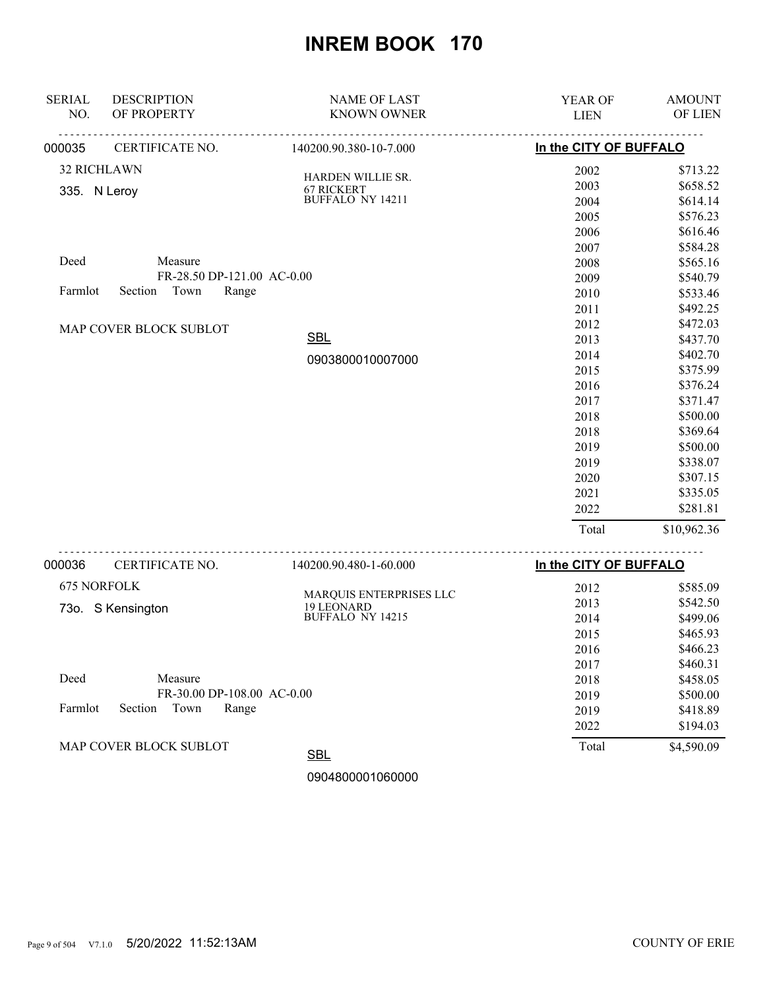| NO.<br>OF PROPERTY<br><b>KNOWN OWNER</b><br><b>LIEN</b><br>In the CITY OF BUFFALO<br>CERTIFICATE NO.<br>140200.90.380-10-7.000<br>000035<br><b>32 RICHLAWN</b><br>2002<br>HARDEN WILLIE SR.<br>2003<br>67 RICKERT<br>335. N Leroy<br>BUFFALO NY 14211<br>2004<br>2005<br>2006<br>2007<br>Deed<br>Measure<br>2008<br>FR-28.50 DP-121.00 AC-0.00<br>2009<br>Town<br>Farmlot<br>Section<br>Range<br>2010<br>2011<br>2012<br>MAP COVER BLOCK SUBLOT<br><b>SBL</b><br>2013<br>2014<br>0903800010007000<br>2015<br>2016<br>2017<br>2018<br>2018<br>2019<br>2019<br>2020<br>2021<br>2022<br>Total<br>In the CITY OF BUFFALO<br>000036<br>CERTIFICATE NO.<br>140200.90.480-1-60.000<br>675 NORFOLK<br>\$585.09<br>2012<br>MARQUIS ENTERPRISES LLC<br>2013<br>\$542.50<br>19 LEONARD<br>73o. S Kensington<br>BUFFALO NY 14215<br>2014<br>\$499.06<br>2015<br>\$465.93<br>2016<br>\$466.23<br>\$460.31<br>2017<br>Deed<br>Measure<br>\$458.05<br>2018<br>FR-30.00 DP-108.00 AC-0.00<br>\$500.00<br>2019<br>Farmlot<br>Section<br>Town<br>Range<br>\$418.89<br>2019<br>\$194.03<br>2022<br>MAP COVER BLOCK SUBLOT<br>Total<br><b>SBL</b> | <b>SERIAL</b> | <b>DESCRIPTION</b> | <b>NAME OF LAST</b> | YEAR OF | <b>AMOUNT</b> |
|-------------------------------------------------------------------------------------------------------------------------------------------------------------------------------------------------------------------------------------------------------------------------------------------------------------------------------------------------------------------------------------------------------------------------------------------------------------------------------------------------------------------------------------------------------------------------------------------------------------------------------------------------------------------------------------------------------------------------------------------------------------------------------------------------------------------------------------------------------------------------------------------------------------------------------------------------------------------------------------------------------------------------------------------------------------------------------------------------------------------------------|---------------|--------------------|---------------------|---------|---------------|
|                                                                                                                                                                                                                                                                                                                                                                                                                                                                                                                                                                                                                                                                                                                                                                                                                                                                                                                                                                                                                                                                                                                               |               |                    |                     |         | OF LIEN       |
|                                                                                                                                                                                                                                                                                                                                                                                                                                                                                                                                                                                                                                                                                                                                                                                                                                                                                                                                                                                                                                                                                                                               |               |                    |                     |         |               |
|                                                                                                                                                                                                                                                                                                                                                                                                                                                                                                                                                                                                                                                                                                                                                                                                                                                                                                                                                                                                                                                                                                                               |               |                    |                     |         | \$713.22      |
|                                                                                                                                                                                                                                                                                                                                                                                                                                                                                                                                                                                                                                                                                                                                                                                                                                                                                                                                                                                                                                                                                                                               |               |                    |                     |         | \$658.52      |
|                                                                                                                                                                                                                                                                                                                                                                                                                                                                                                                                                                                                                                                                                                                                                                                                                                                                                                                                                                                                                                                                                                                               |               |                    |                     |         | \$614.14      |
|                                                                                                                                                                                                                                                                                                                                                                                                                                                                                                                                                                                                                                                                                                                                                                                                                                                                                                                                                                                                                                                                                                                               |               |                    |                     |         | \$576.23      |
|                                                                                                                                                                                                                                                                                                                                                                                                                                                                                                                                                                                                                                                                                                                                                                                                                                                                                                                                                                                                                                                                                                                               |               |                    |                     |         | \$616.46      |
|                                                                                                                                                                                                                                                                                                                                                                                                                                                                                                                                                                                                                                                                                                                                                                                                                                                                                                                                                                                                                                                                                                                               |               |                    |                     |         | \$584.28      |
|                                                                                                                                                                                                                                                                                                                                                                                                                                                                                                                                                                                                                                                                                                                                                                                                                                                                                                                                                                                                                                                                                                                               |               |                    |                     |         | \$565.16      |
|                                                                                                                                                                                                                                                                                                                                                                                                                                                                                                                                                                                                                                                                                                                                                                                                                                                                                                                                                                                                                                                                                                                               |               |                    |                     |         | \$540.79      |
|                                                                                                                                                                                                                                                                                                                                                                                                                                                                                                                                                                                                                                                                                                                                                                                                                                                                                                                                                                                                                                                                                                                               |               |                    |                     |         | \$533.46      |
|                                                                                                                                                                                                                                                                                                                                                                                                                                                                                                                                                                                                                                                                                                                                                                                                                                                                                                                                                                                                                                                                                                                               |               |                    |                     |         | \$492.25      |
|                                                                                                                                                                                                                                                                                                                                                                                                                                                                                                                                                                                                                                                                                                                                                                                                                                                                                                                                                                                                                                                                                                                               |               |                    |                     |         | \$472.03      |
|                                                                                                                                                                                                                                                                                                                                                                                                                                                                                                                                                                                                                                                                                                                                                                                                                                                                                                                                                                                                                                                                                                                               |               |                    |                     |         | \$437.70      |
|                                                                                                                                                                                                                                                                                                                                                                                                                                                                                                                                                                                                                                                                                                                                                                                                                                                                                                                                                                                                                                                                                                                               |               |                    |                     |         | \$402.70      |
|                                                                                                                                                                                                                                                                                                                                                                                                                                                                                                                                                                                                                                                                                                                                                                                                                                                                                                                                                                                                                                                                                                                               |               |                    |                     |         | \$375.99      |
|                                                                                                                                                                                                                                                                                                                                                                                                                                                                                                                                                                                                                                                                                                                                                                                                                                                                                                                                                                                                                                                                                                                               |               |                    |                     |         | \$376.24      |
|                                                                                                                                                                                                                                                                                                                                                                                                                                                                                                                                                                                                                                                                                                                                                                                                                                                                                                                                                                                                                                                                                                                               |               |                    |                     |         | \$371.47      |
|                                                                                                                                                                                                                                                                                                                                                                                                                                                                                                                                                                                                                                                                                                                                                                                                                                                                                                                                                                                                                                                                                                                               |               |                    |                     |         | \$500.00      |
|                                                                                                                                                                                                                                                                                                                                                                                                                                                                                                                                                                                                                                                                                                                                                                                                                                                                                                                                                                                                                                                                                                                               |               |                    |                     |         | \$369.64      |
|                                                                                                                                                                                                                                                                                                                                                                                                                                                                                                                                                                                                                                                                                                                                                                                                                                                                                                                                                                                                                                                                                                                               |               |                    |                     |         | \$500.00      |
|                                                                                                                                                                                                                                                                                                                                                                                                                                                                                                                                                                                                                                                                                                                                                                                                                                                                                                                                                                                                                                                                                                                               |               |                    |                     |         | \$338.07      |
|                                                                                                                                                                                                                                                                                                                                                                                                                                                                                                                                                                                                                                                                                                                                                                                                                                                                                                                                                                                                                                                                                                                               |               |                    |                     |         | \$307.15      |
|                                                                                                                                                                                                                                                                                                                                                                                                                                                                                                                                                                                                                                                                                                                                                                                                                                                                                                                                                                                                                                                                                                                               |               |                    |                     |         | \$335.05      |
|                                                                                                                                                                                                                                                                                                                                                                                                                                                                                                                                                                                                                                                                                                                                                                                                                                                                                                                                                                                                                                                                                                                               |               |                    |                     |         | \$281.81      |
|                                                                                                                                                                                                                                                                                                                                                                                                                                                                                                                                                                                                                                                                                                                                                                                                                                                                                                                                                                                                                                                                                                                               |               |                    |                     |         | \$10,962.36   |
|                                                                                                                                                                                                                                                                                                                                                                                                                                                                                                                                                                                                                                                                                                                                                                                                                                                                                                                                                                                                                                                                                                                               |               |                    |                     |         |               |
|                                                                                                                                                                                                                                                                                                                                                                                                                                                                                                                                                                                                                                                                                                                                                                                                                                                                                                                                                                                                                                                                                                                               |               |                    |                     |         |               |
|                                                                                                                                                                                                                                                                                                                                                                                                                                                                                                                                                                                                                                                                                                                                                                                                                                                                                                                                                                                                                                                                                                                               |               |                    |                     |         |               |
|                                                                                                                                                                                                                                                                                                                                                                                                                                                                                                                                                                                                                                                                                                                                                                                                                                                                                                                                                                                                                                                                                                                               |               |                    |                     |         |               |
|                                                                                                                                                                                                                                                                                                                                                                                                                                                                                                                                                                                                                                                                                                                                                                                                                                                                                                                                                                                                                                                                                                                               |               |                    |                     |         |               |
|                                                                                                                                                                                                                                                                                                                                                                                                                                                                                                                                                                                                                                                                                                                                                                                                                                                                                                                                                                                                                                                                                                                               |               |                    |                     |         |               |
|                                                                                                                                                                                                                                                                                                                                                                                                                                                                                                                                                                                                                                                                                                                                                                                                                                                                                                                                                                                                                                                                                                                               |               |                    |                     |         |               |
|                                                                                                                                                                                                                                                                                                                                                                                                                                                                                                                                                                                                                                                                                                                                                                                                                                                                                                                                                                                                                                                                                                                               |               |                    |                     |         |               |
|                                                                                                                                                                                                                                                                                                                                                                                                                                                                                                                                                                                                                                                                                                                                                                                                                                                                                                                                                                                                                                                                                                                               |               |                    |                     |         |               |
|                                                                                                                                                                                                                                                                                                                                                                                                                                                                                                                                                                                                                                                                                                                                                                                                                                                                                                                                                                                                                                                                                                                               |               |                    |                     |         |               |
|                                                                                                                                                                                                                                                                                                                                                                                                                                                                                                                                                                                                                                                                                                                                                                                                                                                                                                                                                                                                                                                                                                                               |               |                    |                     |         |               |
|                                                                                                                                                                                                                                                                                                                                                                                                                                                                                                                                                                                                                                                                                                                                                                                                                                                                                                                                                                                                                                                                                                                               |               |                    |                     |         |               |
|                                                                                                                                                                                                                                                                                                                                                                                                                                                                                                                                                                                                                                                                                                                                                                                                                                                                                                                                                                                                                                                                                                                               |               |                    |                     |         | \$4,590.09    |

0904800001060000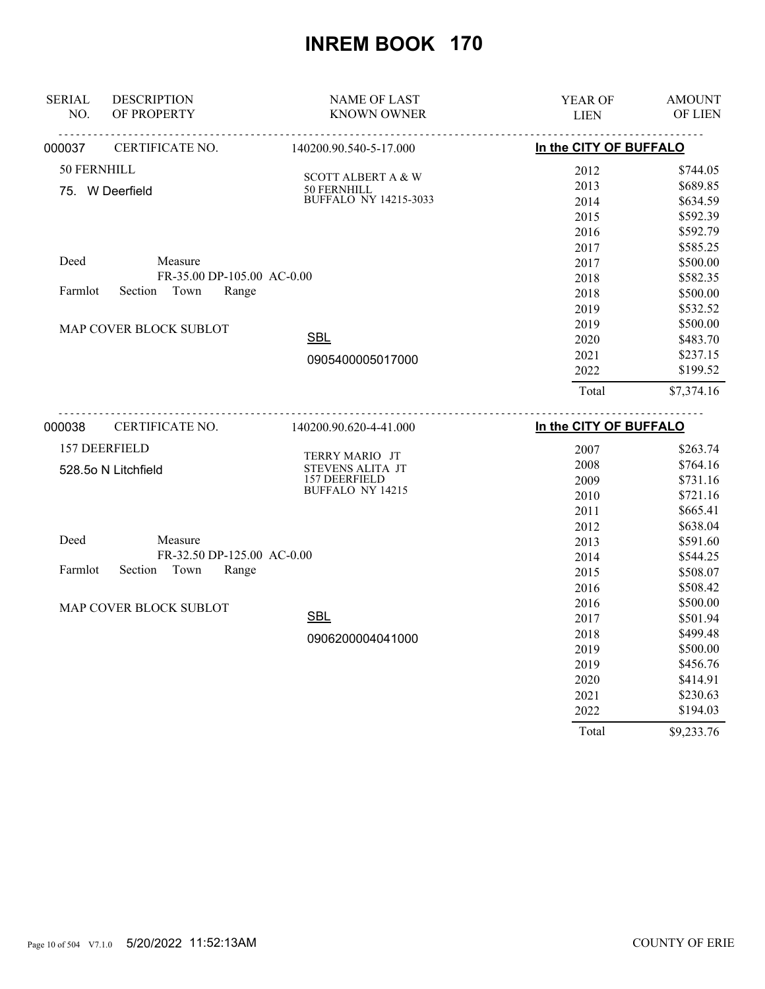| <b>SERIAL</b><br>NO. | <b>DESCRIPTION</b><br>OF PROPERTY                   | <b>NAME OF LAST</b><br><b>KNOWN OWNER</b>   | <b>YEAR OF</b><br><b>LIEN</b> | <b>AMOUNT</b><br><b>OF LIEN</b> |
|----------------------|-----------------------------------------------------|---------------------------------------------|-------------------------------|---------------------------------|
| 000037               | CERTIFICATE NO.                                     | 140200.90.540-5-17.000                      | In the CITY OF BUFFALO        |                                 |
| 50 FERNHILL          |                                                     |                                             |                               |                                 |
|                      |                                                     | <b>SCOTT ALBERT A &amp; W</b>               | 2012                          | \$744.05<br>\$689.85            |
|                      | 75. W Deerfield                                     | 50 FERNHILL<br><b>BUFFALO NY 14215-3033</b> | 2013<br>2014                  | \$634.59                        |
|                      |                                                     |                                             | 2015                          | \$592.39                        |
|                      |                                                     |                                             | 2016                          | \$592.79                        |
|                      |                                                     |                                             | 2017                          | \$585.25                        |
| Deed                 | Measure                                             |                                             | 2017                          | \$500.00                        |
|                      | FR-35.00 DP-105.00 AC-0.00                          |                                             | 2018                          | \$582.35                        |
| Farmlot              | Section Town<br>Range                               |                                             | 2018                          | \$500.00                        |
|                      |                                                     |                                             | 2019                          | \$532.52                        |
|                      |                                                     |                                             | 2019                          | \$500.00                        |
|                      | MAP COVER BLOCK SUBLOT                              | <b>SBL</b>                                  | 2020                          | \$483.70                        |
|                      |                                                     | 0905400005017000                            | 2021                          | \$237.15                        |
|                      |                                                     |                                             | 2022                          | \$199.52                        |
|                      |                                                     |                                             | Total                         | \$7,374.16                      |
| 000038               | CERTIFICATE NO.                                     | 140200.90.620-4-41.000                      | In the CITY OF BUFFALO        |                                 |
|                      |                                                     |                                             |                               |                                 |
|                      | 157 DEERFIELD                                       | TERRY MARIO JT                              | 2007                          | \$263.74                        |
|                      | 528.5o N Litchfield                                 | STEVENS ALITA JT                            | 2008                          | \$764.16                        |
|                      |                                                     | 157 DEERFIELD<br><b>BUFFALO NY 14215</b>    | 2009                          | \$731.16                        |
|                      |                                                     |                                             | 2010                          | \$721.16                        |
|                      |                                                     |                                             | 2011                          | \$665.41                        |
|                      |                                                     |                                             | 2012                          | \$638.04                        |
| Deed                 | Measure                                             |                                             | 2013                          | \$591.60                        |
| Farmlot              | FR-32.50 DP-125.00 AC-0.00<br>Section Town<br>Range |                                             | 2014                          | \$544.25                        |
|                      |                                                     |                                             | 2015                          | \$508.07                        |
|                      |                                                     |                                             | 2016                          | \$508.42                        |
|                      | MAP COVER BLOCK SUBLOT                              | <b>SBL</b>                                  | 2016                          | \$500.00                        |
|                      |                                                     |                                             | 2017                          | \$501.94<br>\$499.48            |
|                      |                                                     | 0906200004041000                            | 2018                          |                                 |
|                      |                                                     |                                             | 2019                          | \$500.00<br>\$456.76            |
|                      |                                                     |                                             | 2019<br>2020                  | \$414.91                        |
|                      |                                                     |                                             | 2021                          | \$230.63                        |
|                      |                                                     |                                             | 2022                          | \$194.03                        |
|                      |                                                     |                                             |                               |                                 |
|                      |                                                     |                                             | Total                         | \$9,233.76                      |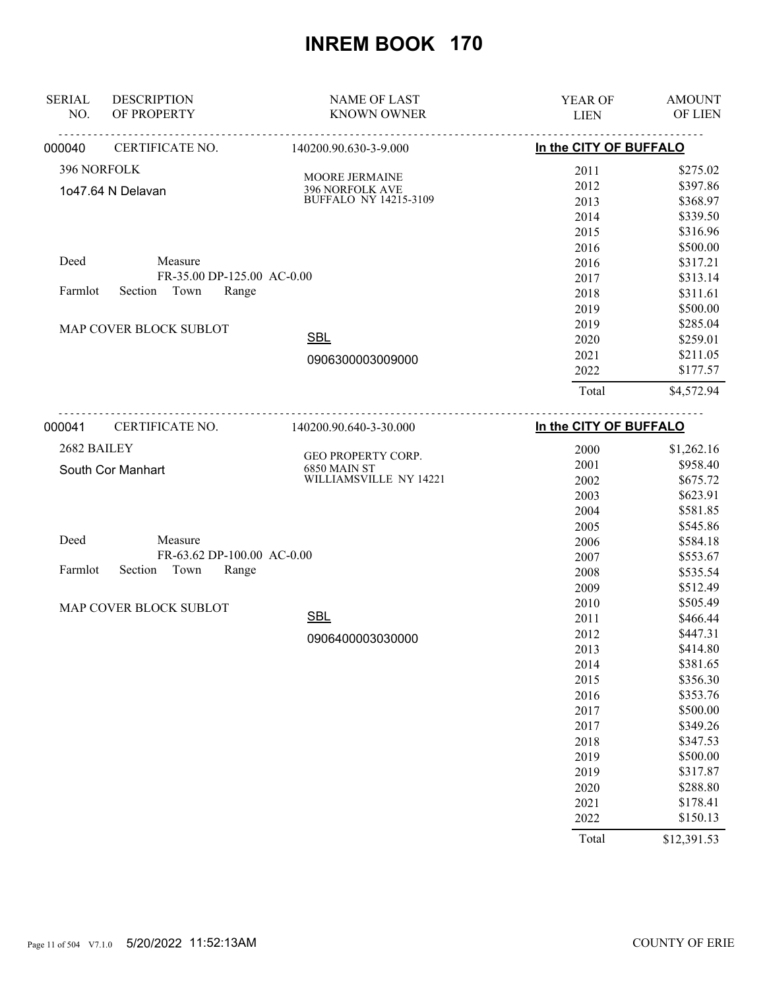| <b>SERIAL</b><br>NO. | <b>DESCRIPTION</b><br>OF PROPERTY | <b>NAME OF LAST</b><br><b>KNOWN OWNER</b> | YEAR OF                | <b>AMOUNT</b><br>OF LIEN |
|----------------------|-----------------------------------|-------------------------------------------|------------------------|--------------------------|
|                      |                                   | <u>.</u>                                  | <b>LIEN</b>            |                          |
| 000040               | CERTIFICATE NO.                   | 140200.90.630-3-9.000                     | In the CITY OF BUFFALO |                          |
| 396 NORFOLK          |                                   | <b>MOORE JERMAINE</b>                     | 2011                   | \$275.02                 |
|                      | 1o47.64 N Delavan                 | 396 NORFOLK AVE                           | 2012                   | \$397.86                 |
|                      |                                   | <b>BUFFALO NY 14215-3109</b>              | 2013                   | \$368.97                 |
|                      |                                   |                                           | 2014                   | \$339.50                 |
|                      |                                   |                                           | 2015                   | \$316.96                 |
|                      |                                   |                                           | 2016                   | \$500.00                 |
| Deed                 | Measure                           |                                           | 2016                   | \$317.21                 |
|                      | FR-35.00 DP-125.00 AC-0.00        |                                           | 2017                   | \$313.14                 |
| Farmlot              | Town<br>Section<br>Range          |                                           | 2018                   | \$311.61                 |
|                      |                                   |                                           | 2019                   | \$500.00                 |
|                      | MAP COVER BLOCK SUBLOT            |                                           | 2019                   | \$285.04                 |
|                      |                                   | <b>SBL</b>                                | 2020                   | \$259.01                 |
|                      |                                   | 0906300003009000                          | 2021                   | \$211.05                 |
|                      |                                   |                                           | 2022                   | \$177.57                 |
|                      |                                   |                                           | Total                  | \$4,572.94               |
| 000041               | <u>.</u><br>CERTIFICATE NO.       | 140200.90.640-3-30.000                    | In the CITY OF BUFFALO |                          |
| 2682 BAILEY          |                                   |                                           | 2000                   | \$1,262.16               |
|                      | South Cor Manhart                 | GEO PROPERTY CORP.<br>6850 MAIN ST        | 2001                   | \$958.40                 |
|                      |                                   | WILLIAMSVILLE NY 14221                    | 2002                   | \$675.72                 |
|                      |                                   |                                           | 2003                   | \$623.91                 |
|                      |                                   |                                           | 2004                   | \$581.85                 |
|                      |                                   |                                           | 2005                   | \$545.86                 |
| Deed                 | Measure                           |                                           | 2006                   | \$584.18                 |
|                      | FR-63.62 DP-100.00 AC-0.00        |                                           | 2007                   | \$553.67                 |
| Farmlot              | Section<br>Town<br>Range          |                                           | 2008                   | \$535.54                 |
|                      |                                   |                                           | 2009                   | \$512.49                 |
|                      | MAP COVER BLOCK SUBLOT            |                                           | 2010                   | \$505.49                 |
|                      |                                   | <b>SBL</b>                                | 2011                   | \$466.44                 |
|                      |                                   | 0906400003030000                          | 2012                   | \$447.31                 |
|                      |                                   |                                           | 2013                   | \$414.80                 |
|                      |                                   |                                           | 2014                   | \$381.65                 |
|                      |                                   |                                           | 2015                   | \$356.30                 |
|                      |                                   |                                           | 2016                   | \$353.76                 |
|                      |                                   |                                           | 2017                   | \$500.00                 |
|                      |                                   |                                           | 2017                   | \$349.26                 |
|                      |                                   |                                           | 2018                   | \$347.53                 |
|                      |                                   |                                           | 2019                   | \$500.00                 |
|                      |                                   |                                           | 2019                   | \$317.87                 |
|                      |                                   |                                           | 2020                   | \$288.80                 |
|                      |                                   |                                           | 2021                   | \$178.41                 |
|                      |                                   |                                           | 2022                   | \$150.13                 |
|                      |                                   |                                           | Total                  | \$12,391.53              |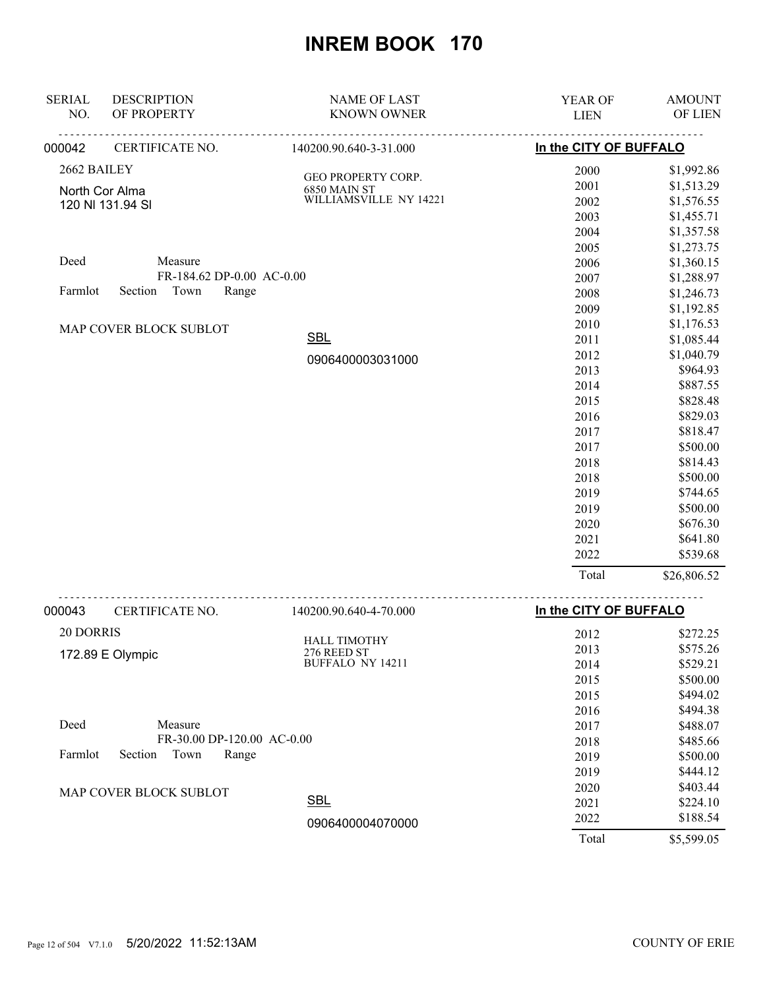| <b>SERIAL</b><br>NO. | <b>DESCRIPTION</b><br>OF PROPERTY | <b>NAME OF LAST</b><br><b>KNOWN OWNER</b> | YEAR OF<br><b>LIEN</b> | <b>AMOUNT</b><br>OF LIEN |
|----------------------|-----------------------------------|-------------------------------------------|------------------------|--------------------------|
| 000042               | CERTIFICATE NO.                   | 140200.90.640-3-31.000                    | In the CITY OF BUFFALO |                          |
| 2662 BAILEY          |                                   |                                           | 2000                   | \$1,992.86               |
|                      | North Cor Alma                    | GEO PROPERTY CORP.<br>6850 MAIN ST        | 2001                   | \$1,513.29               |
|                      |                                   | WILLIAMSVILLE NY 14221                    | 2002                   | \$1,576.55               |
| 120 NI 131.94 SI     |                                   |                                           | 2003                   | \$1,455.71               |
|                      |                                   |                                           | 2004                   | \$1,357.58               |
|                      |                                   |                                           | 2005                   | \$1,273.75               |
| Deed                 | Measure                           |                                           | 2006                   | \$1,360.15               |
|                      | FR-184.62 DP-0.00 AC-0.00         |                                           | 2007                   | \$1,288.97               |
| Farmlot              | Section<br>Town<br>Range          |                                           | 2008                   | \$1,246.73               |
|                      |                                   |                                           | 2009                   | \$1,192.85               |
|                      | MAP COVER BLOCK SUBLOT            |                                           | 2010                   | \$1,176.53               |
|                      |                                   | <b>SBL</b>                                | 2011                   | \$1,085.44               |
|                      |                                   | 0906400003031000                          | 2012                   | \$1,040.79               |
|                      |                                   |                                           | 2013                   | \$964.93                 |
|                      |                                   |                                           | 2014                   | \$887.55                 |
|                      |                                   |                                           | 2015                   | \$828.48                 |
|                      |                                   |                                           | 2016                   | \$829.03                 |
|                      |                                   |                                           | 2017                   | \$818.47                 |
|                      |                                   |                                           | 2017                   | \$500.00                 |
|                      |                                   |                                           | 2018                   | \$814.43                 |
|                      |                                   |                                           | 2018                   | \$500.00                 |
|                      |                                   |                                           | 2019                   | \$744.65                 |
|                      |                                   |                                           | 2019                   | \$500.00                 |
|                      |                                   |                                           | 2020                   | \$676.30                 |
|                      |                                   |                                           | 2021                   | \$641.80                 |
|                      |                                   |                                           | 2022                   | \$539.68                 |
|                      |                                   |                                           | Total                  | \$26,806.52              |
|                      |                                   |                                           |                        |                          |

| 000043    | CERTIFICATE NO.            | 140200.90.640-4-70.000  | In the CITY OF BUFFALO |            |
|-----------|----------------------------|-------------------------|------------------------|------------|
| 20 DORRIS |                            | <b>HALL TIMOTHY</b>     | 2012                   | \$272.25   |
|           | 172.89 E Olympic           | 276 REED ST             | 2013                   | \$575.26   |
|           |                            | <b>BUFFALO NY 14211</b> | 2014                   | \$529.21   |
|           |                            |                         | 2015                   | \$500.00   |
|           |                            |                         | 2015                   | \$494.02   |
|           |                            |                         | 2016                   | \$494.38   |
| Deed      | Measure                    |                         | 2017                   | \$488.07   |
|           | FR-30.00 DP-120.00 AC-0.00 |                         | 2018                   | \$485.66   |
| Farmlot   | Section<br>Town<br>Range   |                         | 2019                   | \$500.00   |
|           |                            |                         | 2019                   | \$444.12   |
|           | MAP COVER BLOCK SUBLOT     |                         | 2020                   | \$403.44   |
|           |                            | <b>SBL</b>              | 2021                   | \$224.10   |
|           |                            | 0906400004070000        | 2022                   | \$188.54   |
|           |                            |                         | Total                  | \$5,599.05 |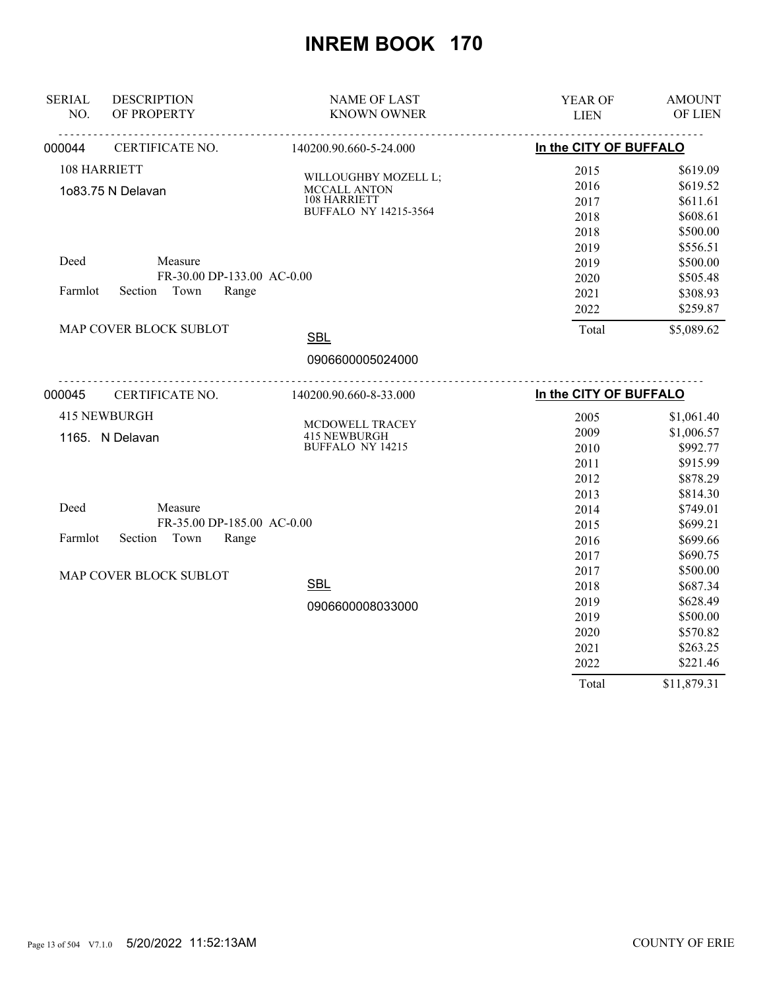| <b>SERIAL</b> | <b>DESCRIPTION</b>         | <b>NAME OF LAST</b>                     | YEAR OF                | <b>AMOUNT</b> |
|---------------|----------------------------|-----------------------------------------|------------------------|---------------|
| NO.           | OF PROPERTY                | <b>KNOWN OWNER</b>                      | <b>LIEN</b>            | OF LIEN       |
| 000044        | CERTIFICATE NO.            | 140200.90.660-5-24.000                  | In the CITY OF BUFFALO |               |
|               | 108 HARRIETT               | WILLOUGHBY MOZELL L;                    | 2015                   | \$619.09      |
|               | 1o83.75 N Delavan          | MCCALL ANTON                            | 2016                   | \$619.52      |
|               |                            | 108 HARRIETT                            | 2017                   | \$611.61      |
|               |                            | <b>BUFFALO NY 14215-3564</b>            | 2018                   | \$608.61      |
|               |                            |                                         | 2018                   | \$500.00      |
|               |                            |                                         | 2019                   | \$556.51      |
| Deed          | Measure                    |                                         | 2019                   | \$500.00      |
|               | FR-30.00 DP-133.00 AC-0.00 |                                         | 2020                   | \$505.48      |
| Farmlot       | Section Town<br>Range      |                                         | 2021                   | \$308.93      |
|               |                            |                                         | 2022                   | \$259.87      |
|               | MAP COVER BLOCK SUBLOT     | <b>SBL</b>                              | Total                  | \$5,089.62    |
|               |                            | 0906600005024000                        |                        |               |
| 000045        | CERTIFICATE NO.            | <u>.</u><br>140200.90.660-8-33.000      | In the CITY OF BUFFALO |               |
|               | <b>415 NEWBURGH</b>        |                                         | 2005                   | \$1,061.40    |
|               |                            | MCDOWELL TRACEY                         | 2009                   | \$1,006.57    |
|               | 1165. N Delavan            | <b>415 NEWBURGH</b><br>BUFFALO NY 14215 | 2010                   | \$992.77      |
|               |                            |                                         | 2011                   | \$915.99      |
|               |                            |                                         | 2012                   | \$878.29      |
|               |                            |                                         | 2013                   | \$814.30      |
| Deed          | Measure                    |                                         | 2014                   | \$749.01      |
|               | FR-35.00 DP-185.00 AC-0.00 |                                         | 2015                   | \$699.21      |
| Farmlot       | Town<br>Section<br>Range   |                                         | 2016                   | \$699.66      |
|               |                            |                                         | 2017                   | \$690.75      |
|               | MAP COVER BLOCK SUBLOT     |                                         | 2017                   | \$500.00      |
|               |                            | <b>SBL</b>                              | 2018                   | \$687.34      |
|               |                            | 0906600008033000                        | 2019                   | \$628.49      |
|               |                            |                                         | 2019                   | \$500.00      |
|               |                            |                                         | 2020                   | \$570.82      |
|               |                            |                                         | 2021                   | \$263.25      |
|               |                            |                                         | 2022                   | \$221.46      |
|               |                            |                                         | Total                  | \$11,879.31   |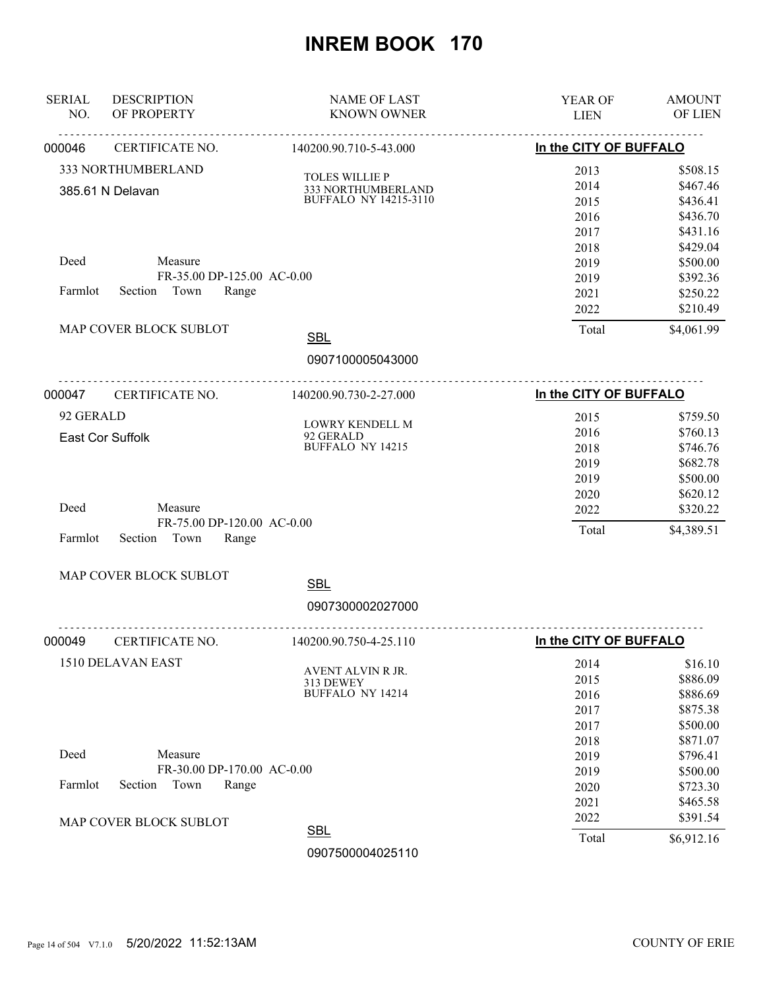| In the CITY OF BUFFALO<br>CERTIFICATE NO.<br>140200.90.710-5-43.000<br>333 NORTHUMBERLAND<br>2013<br>\$508.15<br><b>TOLES WILLIE P</b><br>\$467.46<br>2014<br>333 NORTHUMBERLAND<br>385.61 N Delavan<br><b>BUFFALO NY 14215-3110</b><br>2015<br>\$436.41<br>2016<br>\$436.70<br>2017<br>\$431.16<br>2018<br>\$429.04<br>Deed<br>Measure<br>2019<br>\$500.00<br>FR-35.00 DP-125.00 AC-0.00<br>2019<br>\$392.36<br>Section Town<br>Farmlot<br>Range<br>2021<br>\$250.22<br>2022<br>\$210.49<br>MAP COVER BLOCK SUBLOT<br>Total<br>\$4,061.99<br><b>SBL</b><br>0907100005043000<br>--------------------------------------<br>In the CITY OF BUFFALO<br><b>CERTIFICATE NO.</b><br>140200.90.730-2-27.000<br>92 GERALD<br>2015<br>\$759.50<br>LOWRY KENDELL M<br>\$760.13<br>2016<br>92 GERALD<br>East Cor Suffolk<br><b>BUFFALO NY 14215</b><br>\$746.76<br>2018<br>2019<br>\$682.78<br>2019<br>\$500.00<br>2020<br>\$620.12<br>Deed<br>Measure<br>2022<br>\$320.22<br>FR-75.00 DP-120.00 AC-0.00<br>Total<br>\$4,389.51<br>Farmlot<br>Section<br>Town<br>Range<br>MAP COVER BLOCK SUBLOT<br><b>SBL</b><br>0907300002027000<br>In the CITY OF BUFFALO<br>CERTIFICATE NO.<br>140200.90.750-4-25.110<br>1510 DELAVAN EAST<br>2014<br>\$16.10<br>AVENT ALVIN R JR.<br>\$886.09<br>2015<br>313 DEWEY<br><b>BUFFALO NY 14214</b><br>\$886.69<br>2016<br>\$875.38<br>2017<br>\$500.00<br>2017<br>\$871.07<br>2018<br>Deed<br>Measure<br>2019<br>\$796.41<br>FR-30.00 DP-170.00 AC-0.00<br>2019<br>\$500.00<br>Farmlot<br>Section<br>Town<br>Range<br>2020<br>\$723.30<br>2021<br>\$465.58<br>2022<br>\$391.54<br>MAP COVER BLOCK SUBLOT<br><b>SBL</b><br>Total<br>\$6,912.16<br>0907500004025110 | <b>SERIAL</b><br>NO. | <b>DESCRIPTION</b><br>OF PROPERTY | <b>NAME OF LAST</b><br><b>KNOWN OWNER</b> | <b>YEAR OF</b><br><b>LIEN</b> | <b>AMOUNT</b><br>OF LIEN |
|----------------------------------------------------------------------------------------------------------------------------------------------------------------------------------------------------------------------------------------------------------------------------------------------------------------------------------------------------------------------------------------------------------------------------------------------------------------------------------------------------------------------------------------------------------------------------------------------------------------------------------------------------------------------------------------------------------------------------------------------------------------------------------------------------------------------------------------------------------------------------------------------------------------------------------------------------------------------------------------------------------------------------------------------------------------------------------------------------------------------------------------------------------------------------------------------------------------------------------------------------------------------------------------------------------------------------------------------------------------------------------------------------------------------------------------------------------------------------------------------------------------------------------------------------------------------------------------------------------------------------------------------------------------------------------------|----------------------|-----------------------------------|-------------------------------------------|-------------------------------|--------------------------|
|                                                                                                                                                                                                                                                                                                                                                                                                                                                                                                                                                                                                                                                                                                                                                                                                                                                                                                                                                                                                                                                                                                                                                                                                                                                                                                                                                                                                                                                                                                                                                                                                                                                                                        | 000046               |                                   |                                           |                               |                          |
|                                                                                                                                                                                                                                                                                                                                                                                                                                                                                                                                                                                                                                                                                                                                                                                                                                                                                                                                                                                                                                                                                                                                                                                                                                                                                                                                                                                                                                                                                                                                                                                                                                                                                        |                      |                                   |                                           |                               |                          |
|                                                                                                                                                                                                                                                                                                                                                                                                                                                                                                                                                                                                                                                                                                                                                                                                                                                                                                                                                                                                                                                                                                                                                                                                                                                                                                                                                                                                                                                                                                                                                                                                                                                                                        |                      |                                   |                                           |                               |                          |
|                                                                                                                                                                                                                                                                                                                                                                                                                                                                                                                                                                                                                                                                                                                                                                                                                                                                                                                                                                                                                                                                                                                                                                                                                                                                                                                                                                                                                                                                                                                                                                                                                                                                                        |                      |                                   |                                           |                               |                          |
|                                                                                                                                                                                                                                                                                                                                                                                                                                                                                                                                                                                                                                                                                                                                                                                                                                                                                                                                                                                                                                                                                                                                                                                                                                                                                                                                                                                                                                                                                                                                                                                                                                                                                        |                      |                                   |                                           |                               |                          |
|                                                                                                                                                                                                                                                                                                                                                                                                                                                                                                                                                                                                                                                                                                                                                                                                                                                                                                                                                                                                                                                                                                                                                                                                                                                                                                                                                                                                                                                                                                                                                                                                                                                                                        |                      |                                   |                                           |                               |                          |
|                                                                                                                                                                                                                                                                                                                                                                                                                                                                                                                                                                                                                                                                                                                                                                                                                                                                                                                                                                                                                                                                                                                                                                                                                                                                                                                                                                                                                                                                                                                                                                                                                                                                                        |                      |                                   |                                           |                               |                          |
|                                                                                                                                                                                                                                                                                                                                                                                                                                                                                                                                                                                                                                                                                                                                                                                                                                                                                                                                                                                                                                                                                                                                                                                                                                                                                                                                                                                                                                                                                                                                                                                                                                                                                        |                      |                                   |                                           |                               |                          |
|                                                                                                                                                                                                                                                                                                                                                                                                                                                                                                                                                                                                                                                                                                                                                                                                                                                                                                                                                                                                                                                                                                                                                                                                                                                                                                                                                                                                                                                                                                                                                                                                                                                                                        |                      |                                   |                                           |                               |                          |
|                                                                                                                                                                                                                                                                                                                                                                                                                                                                                                                                                                                                                                                                                                                                                                                                                                                                                                                                                                                                                                                                                                                                                                                                                                                                                                                                                                                                                                                                                                                                                                                                                                                                                        |                      |                                   |                                           |                               |                          |
|                                                                                                                                                                                                                                                                                                                                                                                                                                                                                                                                                                                                                                                                                                                                                                                                                                                                                                                                                                                                                                                                                                                                                                                                                                                                                                                                                                                                                                                                                                                                                                                                                                                                                        |                      |                                   |                                           |                               |                          |
|                                                                                                                                                                                                                                                                                                                                                                                                                                                                                                                                                                                                                                                                                                                                                                                                                                                                                                                                                                                                                                                                                                                                                                                                                                                                                                                                                                                                                                                                                                                                                                                                                                                                                        |                      |                                   |                                           |                               |                          |
|                                                                                                                                                                                                                                                                                                                                                                                                                                                                                                                                                                                                                                                                                                                                                                                                                                                                                                                                                                                                                                                                                                                                                                                                                                                                                                                                                                                                                                                                                                                                                                                                                                                                                        |                      |                                   |                                           |                               |                          |
|                                                                                                                                                                                                                                                                                                                                                                                                                                                                                                                                                                                                                                                                                                                                                                                                                                                                                                                                                                                                                                                                                                                                                                                                                                                                                                                                                                                                                                                                                                                                                                                                                                                                                        | 000047               |                                   |                                           |                               |                          |
|                                                                                                                                                                                                                                                                                                                                                                                                                                                                                                                                                                                                                                                                                                                                                                                                                                                                                                                                                                                                                                                                                                                                                                                                                                                                                                                                                                                                                                                                                                                                                                                                                                                                                        |                      |                                   |                                           |                               |                          |
|                                                                                                                                                                                                                                                                                                                                                                                                                                                                                                                                                                                                                                                                                                                                                                                                                                                                                                                                                                                                                                                                                                                                                                                                                                                                                                                                                                                                                                                                                                                                                                                                                                                                                        |                      |                                   |                                           |                               |                          |
|                                                                                                                                                                                                                                                                                                                                                                                                                                                                                                                                                                                                                                                                                                                                                                                                                                                                                                                                                                                                                                                                                                                                                                                                                                                                                                                                                                                                                                                                                                                                                                                                                                                                                        |                      |                                   |                                           |                               |                          |
|                                                                                                                                                                                                                                                                                                                                                                                                                                                                                                                                                                                                                                                                                                                                                                                                                                                                                                                                                                                                                                                                                                                                                                                                                                                                                                                                                                                                                                                                                                                                                                                                                                                                                        |                      |                                   |                                           |                               |                          |
|                                                                                                                                                                                                                                                                                                                                                                                                                                                                                                                                                                                                                                                                                                                                                                                                                                                                                                                                                                                                                                                                                                                                                                                                                                                                                                                                                                                                                                                                                                                                                                                                                                                                                        |                      |                                   |                                           |                               |                          |
|                                                                                                                                                                                                                                                                                                                                                                                                                                                                                                                                                                                                                                                                                                                                                                                                                                                                                                                                                                                                                                                                                                                                                                                                                                                                                                                                                                                                                                                                                                                                                                                                                                                                                        |                      |                                   |                                           |                               |                          |
|                                                                                                                                                                                                                                                                                                                                                                                                                                                                                                                                                                                                                                                                                                                                                                                                                                                                                                                                                                                                                                                                                                                                                                                                                                                                                                                                                                                                                                                                                                                                                                                                                                                                                        |                      |                                   |                                           |                               |                          |
|                                                                                                                                                                                                                                                                                                                                                                                                                                                                                                                                                                                                                                                                                                                                                                                                                                                                                                                                                                                                                                                                                                                                                                                                                                                                                                                                                                                                                                                                                                                                                                                                                                                                                        |                      |                                   |                                           |                               |                          |
|                                                                                                                                                                                                                                                                                                                                                                                                                                                                                                                                                                                                                                                                                                                                                                                                                                                                                                                                                                                                                                                                                                                                                                                                                                                                                                                                                                                                                                                                                                                                                                                                                                                                                        |                      |                                   |                                           |                               |                          |
|                                                                                                                                                                                                                                                                                                                                                                                                                                                                                                                                                                                                                                                                                                                                                                                                                                                                                                                                                                                                                                                                                                                                                                                                                                                                                                                                                                                                                                                                                                                                                                                                                                                                                        |                      |                                   |                                           |                               |                          |
|                                                                                                                                                                                                                                                                                                                                                                                                                                                                                                                                                                                                                                                                                                                                                                                                                                                                                                                                                                                                                                                                                                                                                                                                                                                                                                                                                                                                                                                                                                                                                                                                                                                                                        |                      |                                   |                                           |                               |                          |
|                                                                                                                                                                                                                                                                                                                                                                                                                                                                                                                                                                                                                                                                                                                                                                                                                                                                                                                                                                                                                                                                                                                                                                                                                                                                                                                                                                                                                                                                                                                                                                                                                                                                                        |                      |                                   |                                           |                               |                          |
|                                                                                                                                                                                                                                                                                                                                                                                                                                                                                                                                                                                                                                                                                                                                                                                                                                                                                                                                                                                                                                                                                                                                                                                                                                                                                                                                                                                                                                                                                                                                                                                                                                                                                        | 000049               |                                   |                                           |                               |                          |
|                                                                                                                                                                                                                                                                                                                                                                                                                                                                                                                                                                                                                                                                                                                                                                                                                                                                                                                                                                                                                                                                                                                                                                                                                                                                                                                                                                                                                                                                                                                                                                                                                                                                                        |                      |                                   |                                           |                               |                          |
|                                                                                                                                                                                                                                                                                                                                                                                                                                                                                                                                                                                                                                                                                                                                                                                                                                                                                                                                                                                                                                                                                                                                                                                                                                                                                                                                                                                                                                                                                                                                                                                                                                                                                        |                      |                                   |                                           |                               |                          |
|                                                                                                                                                                                                                                                                                                                                                                                                                                                                                                                                                                                                                                                                                                                                                                                                                                                                                                                                                                                                                                                                                                                                                                                                                                                                                                                                                                                                                                                                                                                                                                                                                                                                                        |                      |                                   |                                           |                               |                          |
|                                                                                                                                                                                                                                                                                                                                                                                                                                                                                                                                                                                                                                                                                                                                                                                                                                                                                                                                                                                                                                                                                                                                                                                                                                                                                                                                                                                                                                                                                                                                                                                                                                                                                        |                      |                                   |                                           |                               |                          |
|                                                                                                                                                                                                                                                                                                                                                                                                                                                                                                                                                                                                                                                                                                                                                                                                                                                                                                                                                                                                                                                                                                                                                                                                                                                                                                                                                                                                                                                                                                                                                                                                                                                                                        |                      |                                   |                                           |                               |                          |
|                                                                                                                                                                                                                                                                                                                                                                                                                                                                                                                                                                                                                                                                                                                                                                                                                                                                                                                                                                                                                                                                                                                                                                                                                                                                                                                                                                                                                                                                                                                                                                                                                                                                                        |                      |                                   |                                           |                               |                          |
|                                                                                                                                                                                                                                                                                                                                                                                                                                                                                                                                                                                                                                                                                                                                                                                                                                                                                                                                                                                                                                                                                                                                                                                                                                                                                                                                                                                                                                                                                                                                                                                                                                                                                        |                      |                                   |                                           |                               |                          |
|                                                                                                                                                                                                                                                                                                                                                                                                                                                                                                                                                                                                                                                                                                                                                                                                                                                                                                                                                                                                                                                                                                                                                                                                                                                                                                                                                                                                                                                                                                                                                                                                                                                                                        |                      |                                   |                                           |                               |                          |
|                                                                                                                                                                                                                                                                                                                                                                                                                                                                                                                                                                                                                                                                                                                                                                                                                                                                                                                                                                                                                                                                                                                                                                                                                                                                                                                                                                                                                                                                                                                                                                                                                                                                                        |                      |                                   |                                           |                               |                          |
|                                                                                                                                                                                                                                                                                                                                                                                                                                                                                                                                                                                                                                                                                                                                                                                                                                                                                                                                                                                                                                                                                                                                                                                                                                                                                                                                                                                                                                                                                                                                                                                                                                                                                        |                      |                                   |                                           |                               |                          |
|                                                                                                                                                                                                                                                                                                                                                                                                                                                                                                                                                                                                                                                                                                                                                                                                                                                                                                                                                                                                                                                                                                                                                                                                                                                                                                                                                                                                                                                                                                                                                                                                                                                                                        |                      |                                   |                                           |                               |                          |
|                                                                                                                                                                                                                                                                                                                                                                                                                                                                                                                                                                                                                                                                                                                                                                                                                                                                                                                                                                                                                                                                                                                                                                                                                                                                                                                                                                                                                                                                                                                                                                                                                                                                                        |                      |                                   |                                           |                               |                          |
|                                                                                                                                                                                                                                                                                                                                                                                                                                                                                                                                                                                                                                                                                                                                                                                                                                                                                                                                                                                                                                                                                                                                                                                                                                                                                                                                                                                                                                                                                                                                                                                                                                                                                        |                      |                                   |                                           |                               |                          |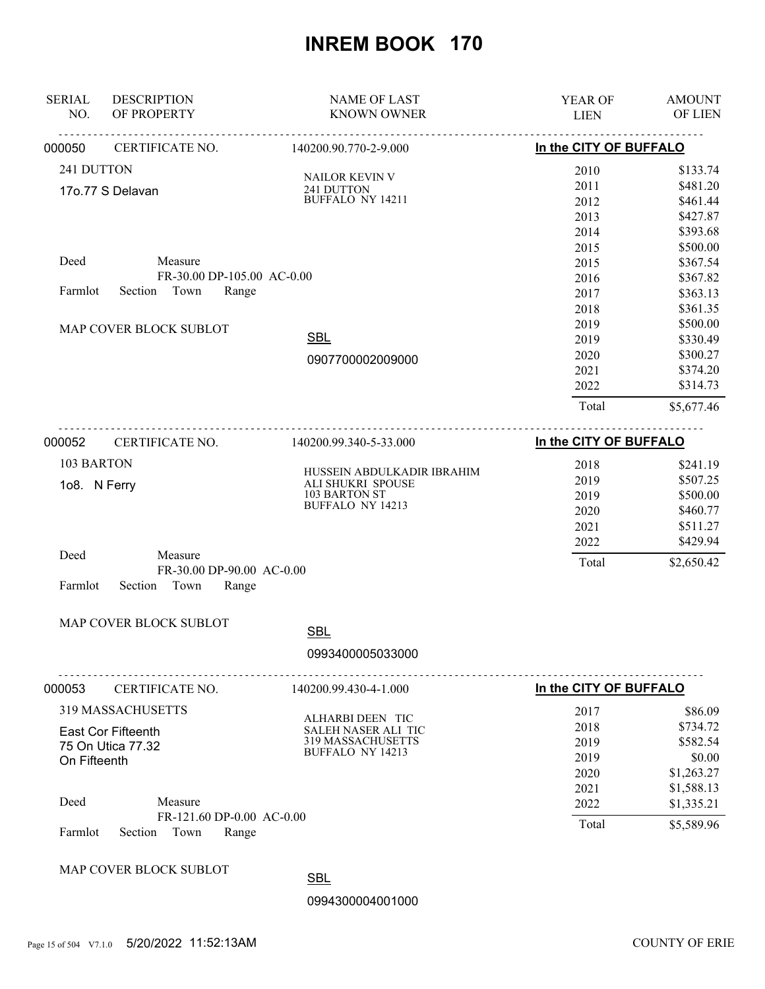| <b>SERIAL</b><br>NO. | <b>DESCRIPTION</b><br>OF PROPERTY                     | <b>NAME OF LAST</b><br><b>KNOWN OWNER</b>       | YEAR OF<br><b>LIEN</b> | <b>AMOUNT</b><br>OF LIEN |
|----------------------|-------------------------------------------------------|-------------------------------------------------|------------------------|--------------------------|
| 000050               | CERTIFICATE NO.                                       | 140200.90.770-2-9.000                           | In the CITY OF BUFFALO |                          |
| 241 DUTTON           |                                                       | <b>NAILOR KEVIN V</b>                           | 2010                   | \$133.74                 |
|                      | 17o.77 S Delavan                                      | 241 DUTTON                                      | 2011                   | \$481.20                 |
|                      |                                                       | <b>BUFFALO NY 14211</b>                         | 2012                   | \$461.44                 |
|                      |                                                       |                                                 | 2013                   | \$427.87                 |
|                      |                                                       |                                                 | 2014                   | \$393.68                 |
|                      |                                                       |                                                 | 2015                   | \$500.00                 |
| Deed                 | Measure                                               |                                                 | 2015                   | \$367.54                 |
|                      | FR-30.00 DP-105.00 AC-0.00                            |                                                 | 2016                   | \$367.82                 |
| Farmlot              | Town<br>Section<br>Range                              |                                                 | 2017                   | \$363.13                 |
|                      |                                                       |                                                 | 2018                   | \$361.35                 |
|                      | MAP COVER BLOCK SUBLOT                                |                                                 | 2019                   | \$500.00                 |
|                      |                                                       | <b>SBL</b>                                      | 2019                   | \$330.49                 |
|                      |                                                       | 0907700002009000                                | 2020                   | \$300.27                 |
|                      |                                                       |                                                 | 2021                   | \$374.20                 |
|                      |                                                       |                                                 | 2022                   | \$314.73                 |
|                      |                                                       |                                                 | Total                  | \$5,677.46               |
| 000052               | CERTIFICATE NO.                                       | 140200.99.340-5-33.000                          | In the CITY OF BUFFALO |                          |
| 103 BARTON           |                                                       |                                                 | 2018                   | \$241.19                 |
|                      |                                                       | HUSSEIN ABDULKADIR IBRAHIM<br>ALI SHUKRI SPOUSE | 2019                   | \$507.25                 |
| 108. N Ferry         |                                                       | 103 BARTON ST                                   | 2019                   | \$500.00                 |
|                      |                                                       | BUFFALO NY 14213                                | 2020                   | \$460.77                 |
|                      |                                                       |                                                 | 2021                   | \$511.27                 |
|                      |                                                       |                                                 | 2022                   | \$429.94                 |
| Deed                 | Measure                                               |                                                 | Total                  | \$2,650.42               |
| Farmlot              | FR-30.00 DP-90.00 AC-0.00<br>Range<br>Section<br>Town |                                                 |                        |                          |
|                      |                                                       |                                                 |                        |                          |
|                      | MAP COVER BLOCK SUBLOT                                | <b>SBL</b>                                      |                        |                          |
|                      |                                                       | 0993400005033000                                |                        |                          |
| 000053               | CERTIFICATE NO.                                       | 140200.99.430-4-1.000                           | In the CITY OF BUFFALO |                          |
|                      | <b>319 MASSACHUSETTS</b>                              |                                                 | 2017                   | \$86.09                  |
|                      | <b>East Cor Fifteenth</b>                             | ALHARBI DEEN TIC<br>SALEH NASER ALI TIC         | 2018                   | \$734.72                 |
|                      | 75 On Utica 77.32                                     | 319 MASSACHUSETTS                               | 2019                   | \$582.54                 |
| On Fifteenth         |                                                       | <b>BUFFALO NY 14213</b>                         | 2019                   | \$0.00                   |
|                      |                                                       |                                                 | 2020                   | \$1,263.27               |
|                      |                                                       |                                                 | 2021                   | \$1,588.13               |
| Deed                 | Measure                                               |                                                 | 2022                   | \$1,335.21               |
| Farmlot              | FR-121.60 DP-0.00 AC-0.00<br>Section<br>Town<br>Range |                                                 | Total                  | \$5,589.96               |
|                      |                                                       |                                                 |                        |                          |
|                      | MAP COVER BLOCK SUBLOT                                | <b>SBL</b>                                      |                        |                          |
|                      |                                                       | 0994300004001000                                |                        |                          |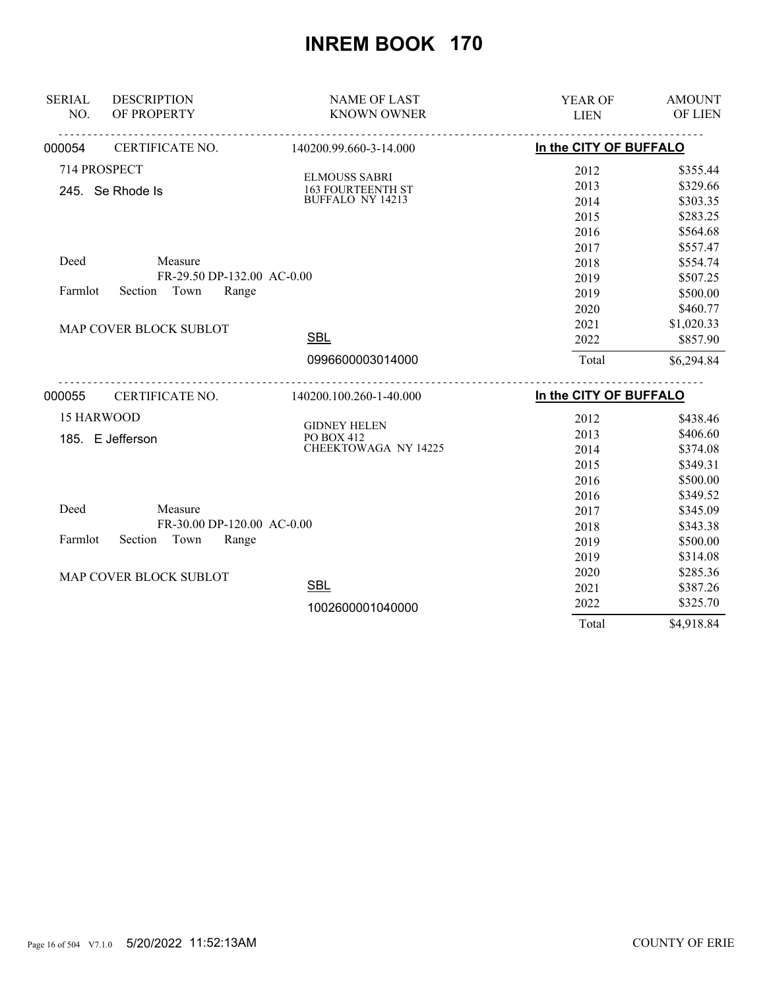| <b>SERIAL</b>     | <b>DESCRIPTION</b>         | <b>NAME OF LAST</b>               | YEAR OF                | <b>AMOUNT</b> |
|-------------------|----------------------------|-----------------------------------|------------------------|---------------|
| NO.               | OF PROPERTY                | <b>KNOWN OWNER</b>                | <b>LIEN</b>            | OF LIEN       |
| 000054            | CERTIFICATE NO.            | 140200.99.660-3-14.000            | In the CITY OF BUFFALO |               |
|                   | 714 PROSPECT               | <b>ELMOUSS SABRI</b>              | 2012                   | \$355.44      |
|                   | 245. Se Rhode Is           | <b>163 FOURTEENTH ST</b>          | 2013                   | \$329.66      |
|                   |                            | <b>BUFFALO NY 14213</b>           | 2014                   | \$303.35      |
|                   |                            |                                   | 2015                   | \$283.25      |
|                   |                            |                                   | 2016                   | \$564.68      |
|                   |                            |                                   | 2017                   | \$557.47      |
| Deed              | Measure                    |                                   | 2018                   | \$554.74      |
|                   | FR-29.50 DP-132.00 AC-0.00 |                                   | 2019                   | \$507.25      |
| Farmlot           | Section Town<br>Range      |                                   | 2019                   | \$500.00      |
|                   |                            |                                   | 2020                   | \$460.77      |
|                   | MAP COVER BLOCK SUBLOT     |                                   | 2021                   | \$1,020.33    |
|                   |                            | <b>SBL</b>                        | 2022                   | \$857.90      |
|                   |                            | 0996600003014000                  | Total                  | \$6,294.84    |
| 000055            | CERTIFICATE NO.            | 140200.100.260-1-40.000           | In the CITY OF BUFFALO |               |
| <b>15 HARWOOD</b> |                            |                                   | 2012                   | \$438.46      |
|                   |                            | <b>GIDNEY HELEN</b><br>PO BOX 412 | 2013                   | \$406.60      |
|                   | 185. E Jefferson           | CHEEKTOWAGA NY 14225              | 2014                   | \$374.08      |
|                   |                            |                                   | 2015                   | \$349.31      |
|                   |                            |                                   | 2016                   | \$500.00      |
|                   |                            |                                   | 2016                   | \$349.52      |
| Deed              | Measure                    |                                   | 2017                   | \$345.09      |
|                   | FR-30.00 DP-120.00 AC-0.00 |                                   | 2018                   | \$343.38      |
| Farmlot           | Section<br>Town<br>Range   |                                   | 2019                   | \$500.00      |
|                   |                            |                                   | 2019                   | \$314.08      |
|                   | MAP COVER BLOCK SUBLOT     |                                   | 2020                   | \$285.36      |
|                   |                            | <b>SBL</b>                        | 2021                   | \$387.26      |
|                   |                            | 1002600001040000                  | 2022                   | \$325.70      |
|                   |                            |                                   | Total                  | \$4,918.84    |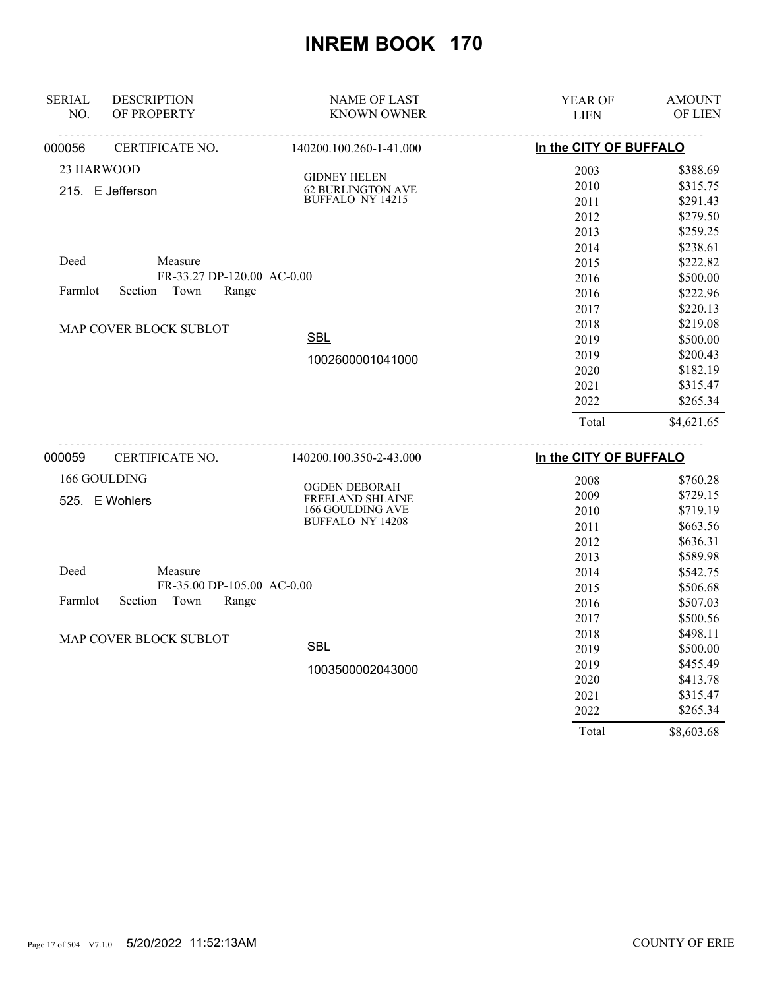| <b>SERIAL</b><br>NO. | <b>DESCRIPTION</b><br>OF PROPERTY | <b>NAME OF LAST</b><br><b>KNOWN OWNER</b>           | YEAR OF<br><b>LIEN</b> | <b>AMOUNT</b><br>OF LIEN |
|----------------------|-----------------------------------|-----------------------------------------------------|------------------------|--------------------------|
| 000056               | .<br>CERTIFICATE NO.              | 140200.100.260-1-41.000                             | In the CITY OF BUFFALO |                          |
|                      |                                   |                                                     |                        |                          |
| 23 HARWOOD           |                                   | <b>GIDNEY HELEN</b>                                 | 2003                   | \$388.69                 |
|                      | 215. E Jefferson                  | <b>62 BURLINGTON AVE</b><br><b>BUFFALO NY 14215</b> | 2010                   | \$315.75<br>\$291.43     |
|                      |                                   |                                                     | 2011                   | \$279.50                 |
|                      |                                   |                                                     | 2012                   | \$259.25                 |
|                      |                                   |                                                     | 2013<br>2014           | \$238.61                 |
| Deed                 | Measure                           |                                                     |                        | \$222.82                 |
|                      | FR-33.27 DP-120.00 AC-0.00        |                                                     | 2015<br>2016           | \$500.00                 |
| Farmlot              | Town<br>Section<br>Range          |                                                     | 2016                   | \$222.96                 |
|                      |                                   |                                                     | 2017                   | \$220.13                 |
|                      |                                   |                                                     | 2018                   | \$219.08                 |
|                      | MAP COVER BLOCK SUBLOT            | <b>SBL</b>                                          | 2019                   | \$500.00                 |
|                      |                                   |                                                     | 2019                   | \$200.43                 |
|                      |                                   | 1002600001041000                                    | 2020                   | \$182.19                 |
|                      |                                   |                                                     | 2021                   | \$315.47                 |
|                      |                                   |                                                     | 2022                   | \$265.34                 |
|                      |                                   |                                                     |                        |                          |
|                      |                                   |                                                     | Total                  | \$4,621.65               |
| 000059               | CERTIFICATE NO.                   | 140200.100.350-2-43.000                             | In the CITY OF BUFFALO |                          |
|                      | 166 GOULDING                      |                                                     | 2008                   | \$760.28                 |
|                      | 525. E Wohlers                    | OGDEN DEBORAH<br>FREELAND SHLAINE                   | 2009                   | \$729.15                 |
|                      |                                   | 166 GOULDING AVE                                    | 2010                   | \$719.19                 |
|                      |                                   | <b>BUFFALO NY 14208</b>                             | 2011                   | \$663.56                 |
|                      |                                   |                                                     | 2012                   | \$636.31                 |
|                      |                                   |                                                     | 2013                   | \$589.98                 |
| Deed                 | Measure                           |                                                     | 2014                   | \$542.75                 |
|                      | FR-35.00 DP-105.00 AC-0.00        |                                                     | 2015                   | \$506.68                 |
| Farmlot              | Section Town<br>Range             |                                                     | 2016                   | \$507.03                 |
|                      |                                   |                                                     | 2017                   | \$500.56                 |
|                      | <b>MAP COVER BLOCK SUBLOT</b>     |                                                     | 2018                   | \$498.11                 |
|                      |                                   | <b>SBL</b>                                          | 2019                   | \$500.00                 |
|                      |                                   | 1003500002043000                                    | 2019                   | \$455.49                 |
|                      |                                   |                                                     | 2020                   | \$413.78                 |
|                      |                                   |                                                     | 2021                   | \$315.47                 |
|                      |                                   |                                                     | 2022                   | \$265.34                 |
|                      |                                   |                                                     | Total                  | \$8,603.68               |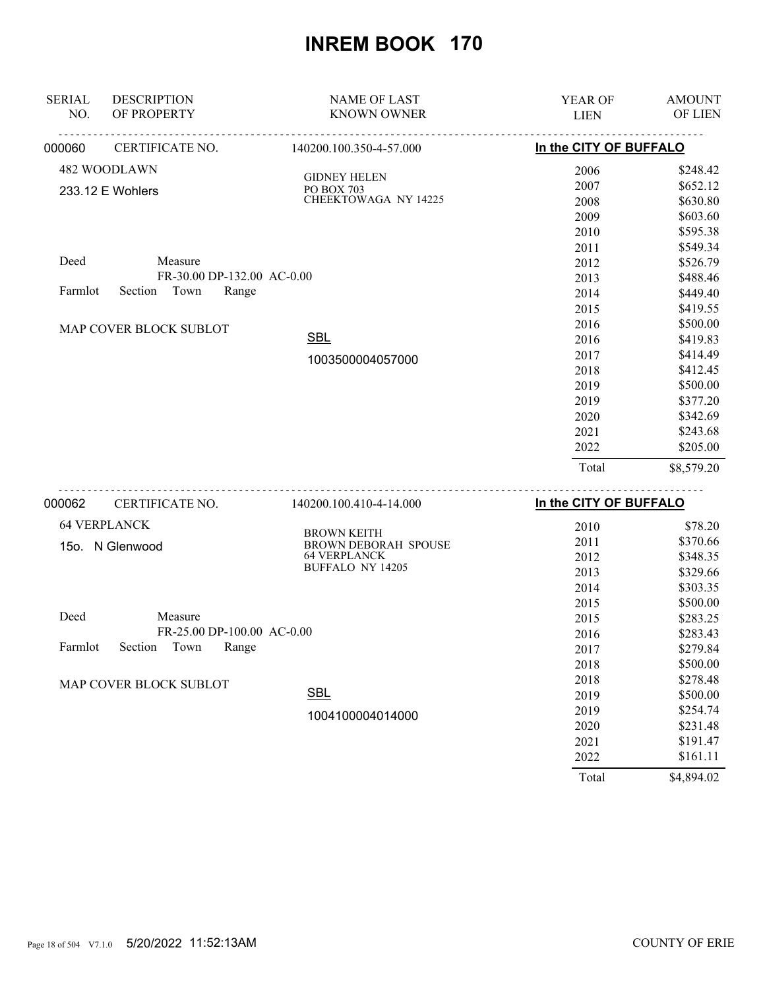| <b>SERIAL</b><br>NO. | <b>DESCRIPTION</b><br>OF PROPERTY                                 | <b>NAME OF LAST</b><br><b>KNOWN OWNER</b>                        | <b>YEAR OF</b><br><b>LIEN</b>                | <b>AMOUNT</b><br>OF LIEN                                             |
|----------------------|-------------------------------------------------------------------|------------------------------------------------------------------|----------------------------------------------|----------------------------------------------------------------------|
| 000060               | CERTIFICATE NO.                                                   | 140200.100.350-4-57.000                                          | In the CITY OF BUFFALO                       |                                                                      |
|                      | 482 WOODLAWN<br>233.12 E Wohlers                                  | <b>GIDNEY HELEN</b><br>PO BOX 703<br><b>CHEEKTOWAGA NY 14225</b> | 2006<br>2007<br>2008<br>2009<br>2010         | \$248.42<br>\$652.12<br>\$630.80<br>\$603.60<br>\$595.38             |
| Deed<br>Farmlot      | Measure<br>FR-30.00 DP-132.00 AC-0.00<br>Section<br>Town<br>Range |                                                                  | 2011<br>2012<br>2013<br>2014<br>2015         | \$549.34<br>\$526.79<br>\$488.46<br>\$449.40<br>\$419.55             |
|                      | MAP COVER BLOCK SUBLOT                                            | <b>SBL</b><br>1003500004057000                                   | 2016<br>2016<br>2017                         | \$500.00<br>\$419.83<br>\$414.49                                     |
|                      |                                                                   |                                                                  | 2018<br>2019<br>2019<br>2020<br>2021<br>2022 | \$412.45<br>\$500.00<br>\$377.20<br>\$342.69<br>\$243.68<br>\$205.00 |
|                      |                                                                   |                                                                  | Total                                        | \$8,579.20                                                           |
| 000062               | CERTIFICATE NO.                                                   | 140200.100.410-4-14.000                                          | In the CITY OF BUFFALO                       |                                                                      |

| <b>64 VERPLANCK</b>                 |                                                   | 2010  | \$78.20    |
|-------------------------------------|---------------------------------------------------|-------|------------|
| N Glenwood<br>15o. l                | <b>BROWN KEITH</b><br><b>BROWN DEBORAH SPOUSE</b> | 2011  | \$370.66   |
|                                     | <b>64 VERPLANCK</b>                               | 2012  | \$348.35   |
|                                     | <b>BUFFALO NY 14205</b>                           | 2013  | \$329.66   |
|                                     |                                                   | 2014  | \$303.35   |
|                                     |                                                   | 2015  | \$500.00   |
| Deed<br>Measure                     |                                                   | 2015  | \$283.25   |
| FR-25.00 DP-100.00 AC-0.00          |                                                   | 2016  | \$283.43   |
| Town<br>Range<br>Farmlot<br>Section |                                                   | 2017  | \$279.84   |
|                                     |                                                   | 2018  | \$500.00   |
| MAP COVER BLOCK SUBLOT              |                                                   | 2018  | \$278.48   |
|                                     | <b>SBL</b>                                        | 2019  | \$500.00   |
|                                     | 1004100004014000                                  | 2019  | \$254.74   |
|                                     |                                                   | 2020  | \$231.48   |
|                                     |                                                   | 2021  | \$191.47   |
|                                     |                                                   | 2022  | \$161.11   |
|                                     |                                                   | Total | \$4,894.02 |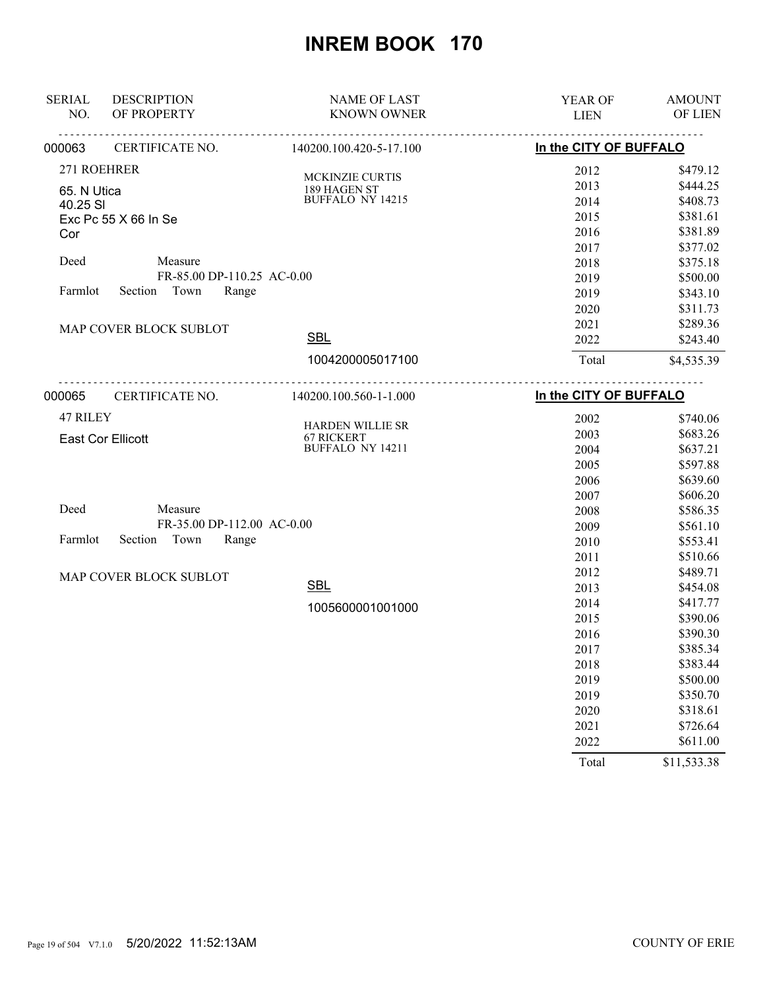| <b>SERIAL</b><br>NO.    | <b>DESCRIPTION</b><br>OF PROPERTY | <b>NAME OF LAST</b><br><b>KNOWN OWNER</b> | YEAR OF<br><b>LIEN</b>             | <b>AMOUNT</b><br>OF LIEN |
|-------------------------|-----------------------------------|-------------------------------------------|------------------------------------|--------------------------|
| 000063                  | CERTIFICATE NO.                   | 140200.100.420-5-17.100                   | In the CITY OF BUFFALO             |                          |
| 271 ROEHRER             |                                   |                                           | 2012                               | \$479.12                 |
|                         |                                   | MCKINZIE CURTIS                           | 2013                               | \$444.25                 |
| 65. N Utica<br>40.25 SI |                                   | 189 HAGEN ST<br><b>BUFFALO NY 14215</b>   | 2014                               | \$408.73                 |
|                         | Exc Pc 55 X 66 In Se              |                                           | 2015                               | \$381.61                 |
| Cor                     |                                   |                                           | 2016                               | \$381.89                 |
|                         |                                   |                                           | 2017                               | \$377.02                 |
| Deed                    | Measure                           |                                           | 2018                               | \$375.18                 |
|                         | FR-85.00 DP-110.25 AC-0.00        |                                           | 2019                               | \$500.00                 |
| Farmlot                 | Town<br>Section<br>Range          |                                           | 2019                               | \$343.10                 |
|                         |                                   |                                           | 2020                               | \$311.73                 |
|                         | MAP COVER BLOCK SUBLOT            |                                           | 2021                               | \$289.36                 |
|                         |                                   | <b>SBL</b>                                | 2022                               | \$243.40                 |
|                         |                                   | 1004200005017100                          | Total                              | \$4,535.39               |
| 000065                  | CERTIFICATE NO.                   | 140200.100.560-1-1.000                    | <u>.</u><br>In the CITY OF BUFFALO |                          |
| 47 RILEY                |                                   |                                           | 2002                               | \$740.06                 |
|                         | <b>East Cor Ellicott</b>          | HARDEN WILLIE SR<br><b>67 RICKERT</b>     | 2003                               | \$683.26                 |
|                         |                                   | <b>BUFFALO NY 14211</b>                   | 2004                               | \$637.21                 |
|                         |                                   |                                           | 2005                               | \$597.88                 |
|                         |                                   |                                           | 2006                               | \$639.60                 |
|                         |                                   |                                           | 2007                               | \$606.20                 |
| Deed                    | Measure                           |                                           | 2008                               | \$586.35                 |
|                         | FR-35.00 DP-112.00 AC-0.00        |                                           | 2009                               | \$561.10                 |
| Farmlot                 | Section<br>Town<br>Range          |                                           | 2010                               | \$553.41                 |
|                         |                                   |                                           | 2011                               | \$510.66                 |
|                         | MAP COVER BLOCK SUBLOT            |                                           | 2012                               | \$489.71                 |
|                         |                                   | <b>SBL</b>                                | 2013                               | \$454.08                 |
|                         |                                   | 1005600001001000                          | 2014                               | \$417.77                 |
|                         |                                   |                                           | 2015                               | \$390.06                 |
|                         |                                   |                                           | 2016                               | \$390.30                 |
|                         |                                   |                                           | 2017                               | \$385.34                 |
|                         |                                   |                                           | 2018                               | \$383.44                 |
|                         |                                   |                                           | 2019                               | \$500.00                 |
|                         |                                   |                                           | 2019                               | \$350.70                 |
|                         |                                   |                                           | 2020                               | \$318.61                 |
|                         |                                   |                                           | 2021                               | \$726.64                 |
|                         |                                   |                                           | 2022                               | \$611.00                 |
|                         |                                   |                                           | Total                              | \$11,533.38              |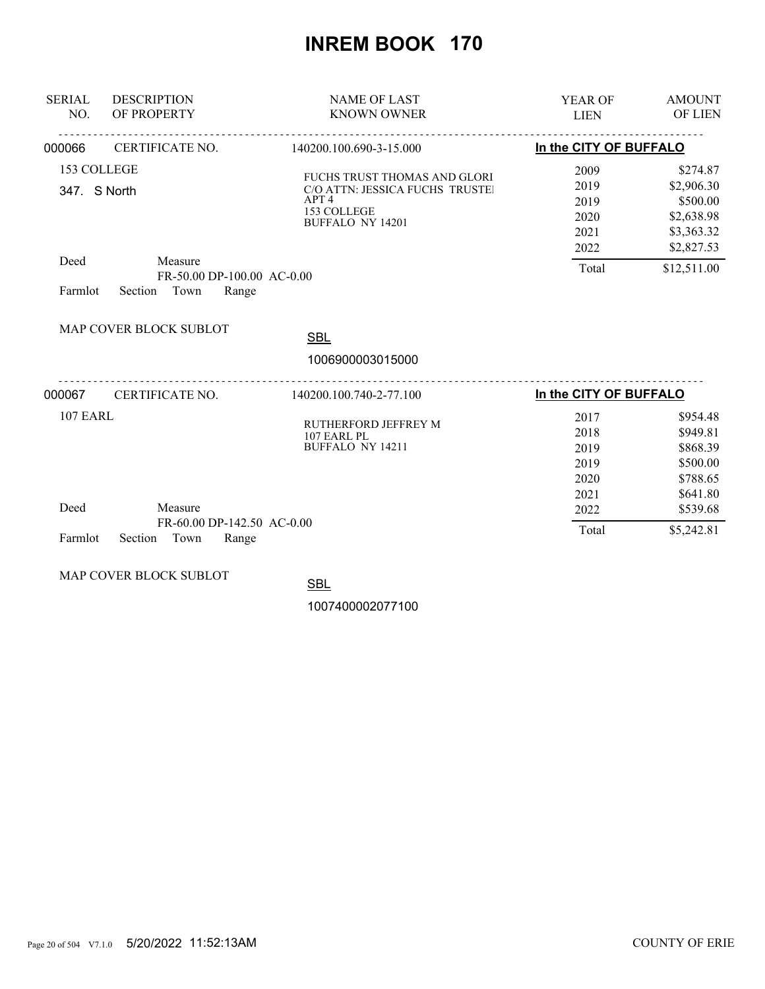| <b>SERIAL</b><br>NO.                           | <b>DESCRIPTION</b><br>OF PROPERTY                                 | <b>NAME OF LAST</b><br><b>KNOWN OWNER</b>                                                                                     | <b>YEAR OF</b><br><b>LIEN</b>                         | <b>AMOUNT</b><br>OF LIEN                                                                    |
|------------------------------------------------|-------------------------------------------------------------------|-------------------------------------------------------------------------------------------------------------------------------|-------------------------------------------------------|---------------------------------------------------------------------------------------------|
| 000066                                         | .<br><b>CERTIFICATE NO.</b>                                       | 140200.100.690-3-15.000                                                                                                       | In the CITY OF BUFFALO                                |                                                                                             |
| 153 COLLEGE<br>347. S North<br>Deed<br>Farmlot | Measure<br>FR-50.00 DP-100.00 AC-0.00<br>Section<br>Town<br>Range | FUCHS TRUST THOMAS AND GLORI<br>C/O ATTN: JESSICA FUCHS TRUSTEI<br>APT <sub>4</sub><br>153 COLLEGE<br><b>BUFFALO NY 14201</b> | 2009<br>2019<br>2019<br>2020<br>2021<br>2022<br>Total | \$274.87<br>\$2,906.30<br>\$500.00<br>\$2,638.98<br>\$3,363.32<br>\$2,827.53<br>\$12,511.00 |
|                                                | MAP COVER BLOCK SUBLOT                                            | <b>SBL</b><br>1006900003015000                                                                                                |                                                       |                                                                                             |
| 000067                                         | CERTIFICATE NO.                                                   | .<br>140200.100.740-2-77.100                                                                                                  | In the CITY OF BUFFALO                                |                                                                                             |
| <b>107 EARL</b>                                |                                                                   | RUTHERFORD JEFFREY M<br>107 EARL PL<br><b>BUFFALO NY 14211</b>                                                                | 2017<br>2018<br>2019<br>2019<br>2020<br>2021          | \$954.48<br>\$949.81<br>\$868.39<br>\$500.00<br>\$788.65<br>\$641.80                        |
| Deed<br>Farmlot                                | Measure<br>FR-60.00 DP-142.50 AC-0.00<br>Town<br>Section<br>Range |                                                                                                                               | 2022<br>Total                                         | \$539.68<br>\$5,242.81                                                                      |

MAP COVER BLOCK SUBLOT

**SBL** 

1007400002077100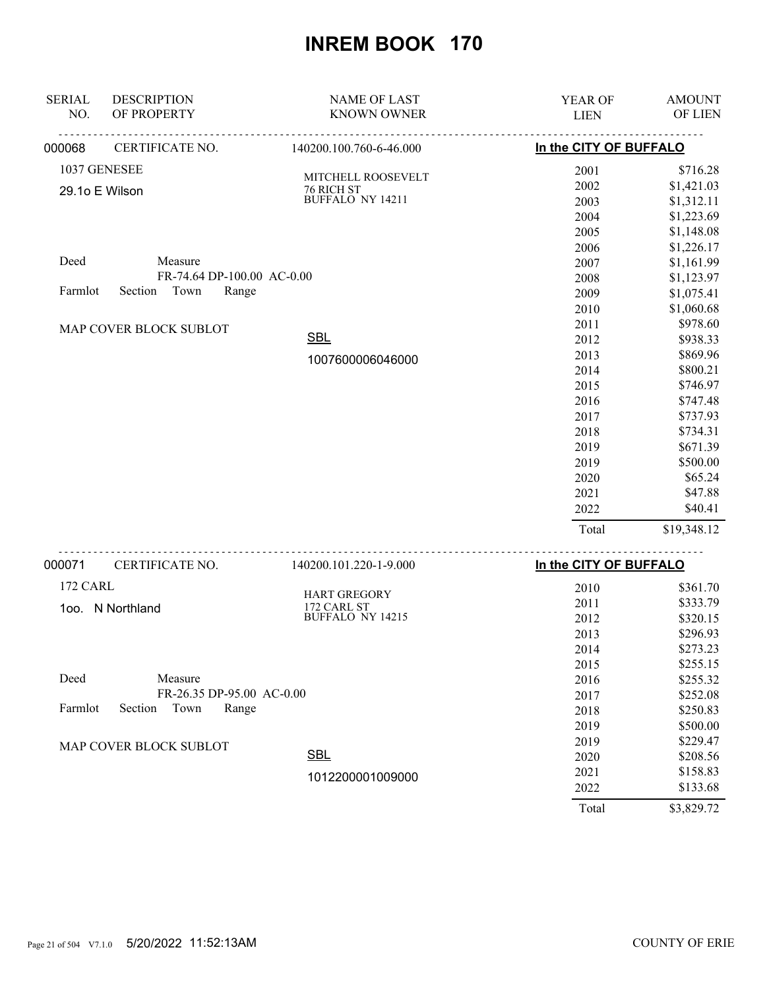| <b>SERIAL</b><br>NO. | <b>DESCRIPTION</b><br>OF PROPERTY | <b>NAME OF LAST</b><br><b>KNOWN OWNER</b> | YEAR OF<br><b>LIEN</b> | <b>AMOUNT</b><br>OF LIEN |
|----------------------|-----------------------------------|-------------------------------------------|------------------------|--------------------------|
| 000068               | CERTIFICATE NO.                   | 140200.100.760-6-46.000                   | In the CITY OF BUFFALO |                          |
|                      | 1037 GENESEE                      |                                           | 2001                   | \$716.28                 |
|                      | 29.1o E Wilson                    | MITCHELL ROOSEVELT<br>76 RICH ST          | 2002                   | \$1,421.03               |
|                      |                                   | <b>BUFFALO NY 14211</b>                   | 2003                   | \$1,312.11               |
|                      |                                   |                                           | 2004                   | \$1,223.69               |
|                      |                                   |                                           | 2005                   | \$1,148.08               |
|                      |                                   |                                           | 2006                   | \$1,226.17               |
| Deed                 | Measure                           |                                           | 2007                   | \$1,161.99               |
|                      | FR-74.64 DP-100.00 AC-0.00        |                                           | 2008                   | \$1,123.97               |
| Farmlot              | Town<br>Section<br>Range          |                                           | 2009                   | \$1,075.41               |
|                      |                                   |                                           | 2010                   | \$1,060.68               |
|                      | MAP COVER BLOCK SUBLOT            |                                           | 2011                   | \$978.60                 |
|                      |                                   | <b>SBL</b>                                | 2012                   | \$938.33                 |
|                      |                                   | 1007600006046000                          | 2013                   | \$869.96                 |
|                      |                                   |                                           | 2014                   | \$800.21                 |
|                      |                                   |                                           | 2015                   | \$746.97                 |
|                      |                                   |                                           | 2016                   | \$747.48                 |
|                      |                                   |                                           | 2017                   | \$737.93                 |
|                      |                                   |                                           | 2018                   | \$734.31                 |
|                      |                                   |                                           | 2019                   | \$671.39                 |
|                      |                                   |                                           | 2019                   | \$500.00                 |
|                      |                                   |                                           | 2020                   | \$65.24                  |
|                      |                                   |                                           | 2021                   | \$47.88                  |
|                      |                                   |                                           | 2022                   | \$40.41                  |
|                      |                                   |                                           | Total                  | \$19,348.12              |
| 000071               | CERTIFICATE NO.                   | 140200.101.220-1-9.000                    | In the CITY OF BUFFALO |                          |
| 172 CARL             |                                   |                                           | 2010                   | \$361.70                 |
|                      | 1oo. N Northland                  | <b>HART GREGORY</b><br>172 CARL ST        | 2011                   | \$333.79                 |
|                      |                                   | <b>BUFFALO NY 14215</b>                   | 2012                   | \$320.15                 |
|                      |                                   |                                           | 2013                   | \$296.93                 |
|                      |                                   |                                           | 2014                   | \$273.23                 |
|                      |                                   |                                           | 2015                   | \$255.15                 |
| Deed                 | Measure                           |                                           | 2016                   | \$255.32                 |
|                      | FR-26.35 DP-95.00 AC-0.00         |                                           | 2017                   | \$252.08                 |
| Farmlot              | Section<br>Town<br>Range          |                                           | 2018                   | \$250.83                 |
|                      |                                   |                                           | 2019                   | \$500.00                 |
|                      | MAP COVER BLOCK SUBLOT            |                                           | 2019                   | \$229.47                 |
|                      |                                   | <b>SBL</b>                                | 2020                   | \$208.56                 |
|                      |                                   | 1012200001009000                          | 2021                   | \$158.83                 |
|                      |                                   |                                           | 2022                   | \$133.68                 |
|                      |                                   |                                           | Total                  | \$3,829.72               |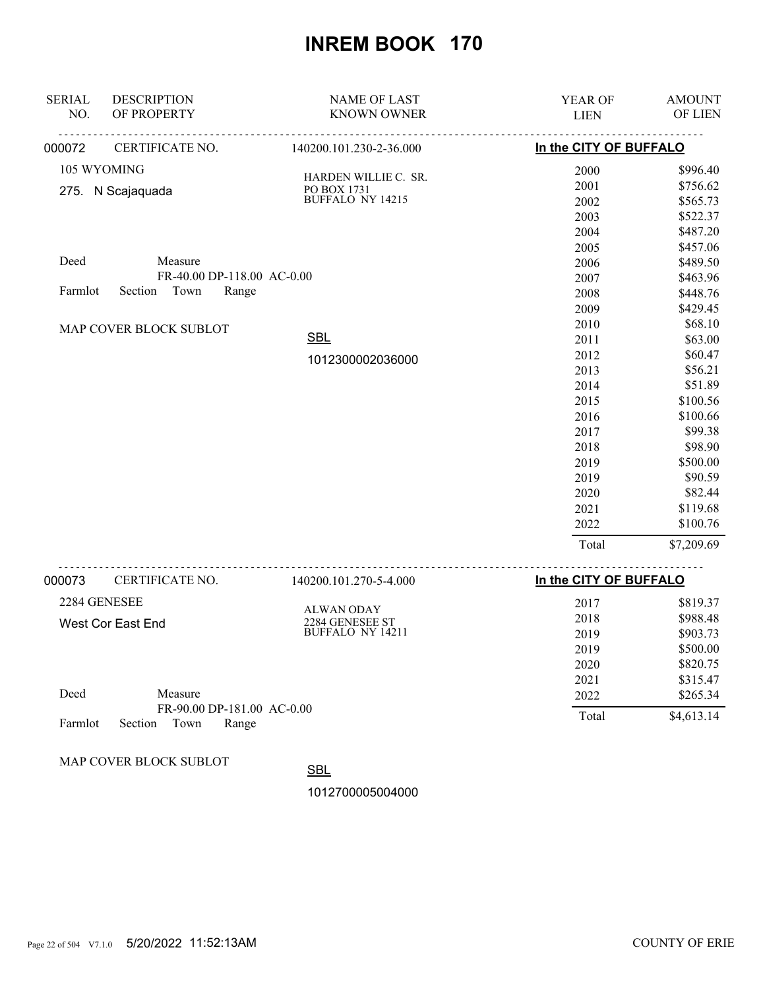| <b>SERIAL</b><br>NO. | <b>DESCRIPTION</b><br>OF PROPERTY | <b>NAME OF LAST</b><br><b>KNOWN OWNER</b> | YEAR OF<br><b>LIEN</b> | <b>AMOUNT</b><br>OF LIEN |
|----------------------|-----------------------------------|-------------------------------------------|------------------------|--------------------------|
|                      |                                   |                                           |                        |                          |
| 000072               | CERTIFICATE NO.                   | 140200.101.230-2-36.000                   | In the CITY OF BUFFALO |                          |
| 105 WYOMING          |                                   |                                           | 2000                   | \$996.40                 |
|                      | 275. N Scajaquada                 | HARDEN WILLIE C. SR.<br>PO BOX 1731       | 2001                   | \$756.62                 |
|                      |                                   | BUFFALO NY 14215                          | 2002                   | \$565.73                 |
|                      |                                   |                                           | 2003                   | \$522.37                 |
|                      |                                   |                                           | 2004                   | \$487.20                 |
|                      |                                   |                                           | 2005                   | \$457.06                 |
| Deed                 | Measure                           |                                           | 2006                   | \$489.50                 |
|                      | FR-40.00 DP-118.00 AC-0.00        |                                           | 2007                   | \$463.96                 |
| Farmlot              | Town<br>Range<br>Section          |                                           | 2008                   | \$448.76                 |
|                      |                                   |                                           | 2009                   | \$429.45                 |
|                      | MAP COVER BLOCK SUBLOT            |                                           | 2010                   | \$68.10                  |
|                      |                                   | <b>SBL</b>                                | 2011                   | \$63.00                  |
|                      |                                   | 1012300002036000                          | 2012                   | \$60.47                  |
|                      |                                   |                                           | 2013                   | \$56.21                  |
|                      |                                   |                                           | 2014                   | \$51.89                  |
|                      |                                   |                                           | 2015                   | \$100.56                 |
|                      |                                   |                                           | 2016                   | \$100.66                 |
|                      |                                   |                                           | 2017                   | \$99.38                  |
|                      |                                   |                                           | 2018                   | \$98.90                  |
|                      |                                   |                                           | 2019                   | \$500.00                 |
|                      |                                   |                                           | 2019                   | \$90.59                  |
|                      |                                   |                                           | 2020                   | \$82.44                  |
|                      |                                   |                                           | 2021                   | \$119.68                 |
|                      |                                   |                                           | 2022                   | \$100.76                 |
|                      |                                   |                                           | Total                  | \$7,209.69               |
| 000073               | CERTIFICATE NO.                   | 140200.101.270-5-4.000                    | In the CITY OF BUFFALO |                          |
| 2284 GENESEE         |                                   |                                           | 2017                   | \$819.37                 |
|                      |                                   | <b>ALWAN ODAY</b>                         | 2018                   | \$988.48                 |
|                      | West Cor East End                 | 2284 GENESEE ST<br>BUFFALO NY 14211       | 2019                   | \$903.73                 |
|                      |                                   |                                           | 2019                   | \$500.00                 |
|                      |                                   |                                           | 2020                   | \$820.75                 |
|                      |                                   |                                           | 2021                   | \$315.47                 |
| Deed                 | Measure                           |                                           | 2022                   | \$265.34                 |
|                      | FR-90.00 DP-181.00 AC-0.00        |                                           |                        |                          |
| Farmlot              | Town<br>Section<br>Range          |                                           | Total                  | \$4,613.14               |

MAP COVER BLOCK SUBLOT

**SBL** 

1012700005004000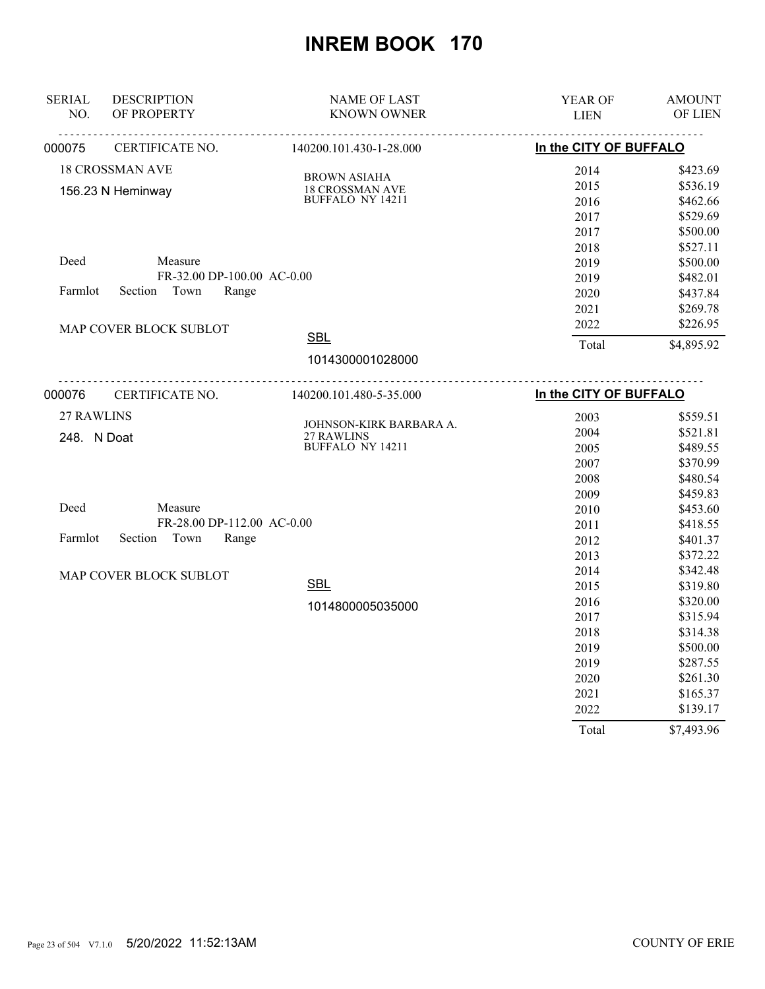| <b>SERIAL</b><br>NO. | <b>DESCRIPTION</b><br>OF PROPERTY | <b>NAME OF LAST</b><br><b>KNOWN OWNER</b> | YEAR OF<br><b>LIEN</b> | <b>AMOUNT</b><br>OF LIEN |
|----------------------|-----------------------------------|-------------------------------------------|------------------------|--------------------------|
| 000075               | CERTIFICATE NO.                   | 140200.101.430-1-28.000                   | In the CITY OF BUFFALO |                          |
|                      | <b>18 CROSSMAN AVE</b>            |                                           | 2014                   | \$423.69                 |
|                      | 156.23 N Heminway                 | <b>BROWN ASIAHA</b><br>18 CROSSMAN AVE    | 2015                   | \$536.19                 |
|                      |                                   | <b>BUFFALO NY 14211</b>                   | 2016                   | \$462.66                 |
|                      |                                   |                                           | 2017                   | \$529.69                 |
|                      |                                   |                                           | 2017                   | \$500.00                 |
|                      |                                   |                                           | 2018                   | \$527.11                 |
| Deed                 | Measure                           |                                           | 2019                   | \$500.00                 |
|                      | FR-32.00 DP-100.00 AC-0.00        |                                           | 2019                   | \$482.01                 |
| Farmlot              | Section<br>Town<br>Range          |                                           | 2020                   | \$437.84                 |
|                      |                                   |                                           | 2021                   | \$269.78                 |
|                      | MAP COVER BLOCK SUBLOT            |                                           | 2022                   | \$226.95                 |
|                      |                                   | <b>SBL</b>                                | Total                  | \$4,895.92               |
|                      |                                   | 1014300001028000                          |                        |                          |
| 000076               | <u>.</u><br>CERTIFICATE NO.       | 140200.101.480-5-35.000                   | In the CITY OF BUFFALO |                          |
| 27 RAWLINS           |                                   |                                           | 2003                   | \$559.51                 |
| 248. N Doat          |                                   | JOHNSON-KIRK BARBARA A.<br>27 RAWLINS     | 2004                   | \$521.81                 |
|                      |                                   | BUFFALO NY 14211                          | 2005                   | \$489.55                 |
|                      |                                   |                                           | 2007                   | \$370.99                 |
|                      |                                   |                                           | 2008                   | \$480.54                 |
|                      |                                   |                                           | 2009                   | \$459.83                 |
| Deed                 | Measure                           |                                           | 2010                   | \$453.60                 |
|                      | FR-28.00 DP-112.00 AC-0.00        |                                           | 2011                   | \$418.55                 |
| Farmlot              | Town<br>Section<br>Range          |                                           | 2012                   | \$401.37                 |
|                      |                                   |                                           | 2013                   | \$372.22                 |
|                      | MAP COVER BLOCK SUBLOT            |                                           | 2014                   | \$342.48                 |
|                      |                                   | <b>SBL</b>                                | 2015                   | \$319.80                 |
|                      |                                   | 1014800005035000                          | 2016                   | \$320.00                 |
|                      |                                   |                                           | 2017                   | \$315.94                 |
|                      |                                   |                                           | 2018                   | \$314.38                 |
|                      |                                   |                                           | 2019                   | \$500.00                 |
|                      |                                   |                                           | 2019                   | \$287.55                 |
|                      |                                   |                                           | 2020                   | \$261.30                 |
|                      |                                   |                                           | 2021                   | \$165.37                 |
|                      |                                   |                                           | 2022                   | \$139.17                 |
|                      |                                   |                                           | Total                  | \$7,493.96               |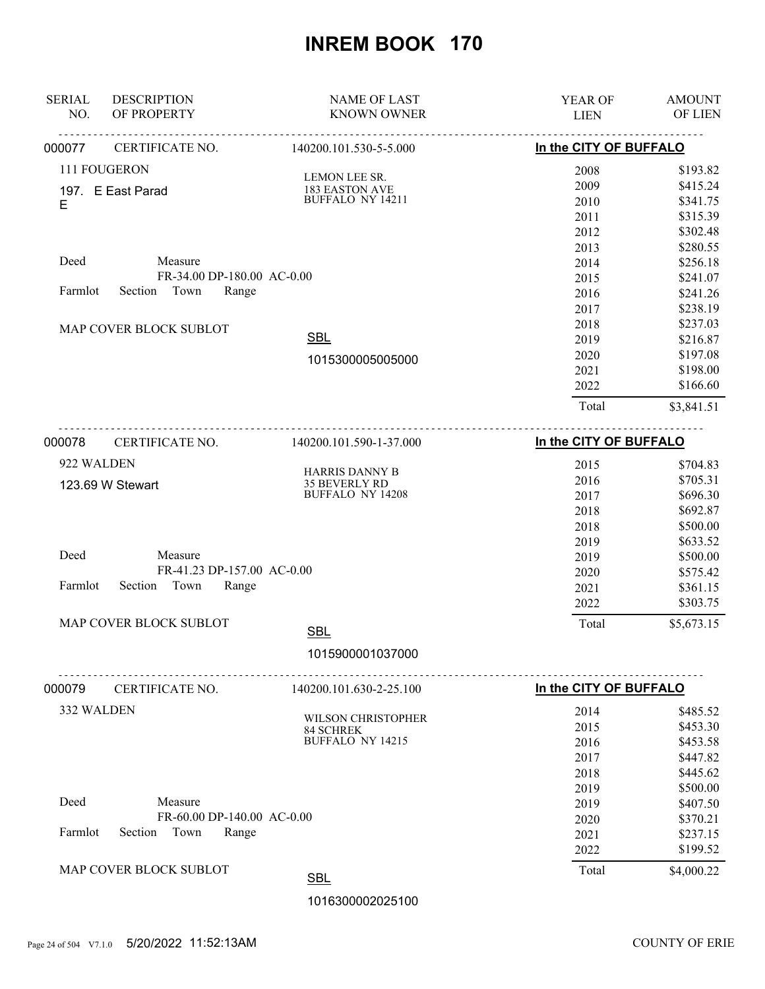| In the CITY OF BUFFALO<br>000077<br>140200.101.530-5-5.000<br>CERTIFICATE NO.<br>111 FOUGERON<br>2008<br>\$193.82<br>LEMON LEE SR.<br>2009<br>\$415.24<br><b>183 EASTON AVE</b><br>197. E East Parad<br>BUFFALO NY 14211<br>2010<br>\$341.75<br>E<br>2011<br>\$315.39<br>2012<br>\$302.48<br>\$280.55<br>2013 |
|---------------------------------------------------------------------------------------------------------------------------------------------------------------------------------------------------------------------------------------------------------------------------------------------------------------|
|                                                                                                                                                                                                                                                                                                               |
|                                                                                                                                                                                                                                                                                                               |
|                                                                                                                                                                                                                                                                                                               |
|                                                                                                                                                                                                                                                                                                               |
|                                                                                                                                                                                                                                                                                                               |
|                                                                                                                                                                                                                                                                                                               |
|                                                                                                                                                                                                                                                                                                               |
| Deed<br>Measure<br>\$256.18<br>2014                                                                                                                                                                                                                                                                           |
| FR-34.00 DP-180.00 AC-0.00<br>\$241.07<br>2015                                                                                                                                                                                                                                                                |
| Farmlot<br>Section<br>Town<br>Range<br>\$241.26<br>2016                                                                                                                                                                                                                                                       |
| \$238.19<br>2017                                                                                                                                                                                                                                                                                              |
| \$237.03<br>2018<br>MAP COVER BLOCK SUBLOT                                                                                                                                                                                                                                                                    |
| <b>SBL</b><br>\$216.87<br>2019                                                                                                                                                                                                                                                                                |
| \$197.08<br>2020<br>1015300005005000                                                                                                                                                                                                                                                                          |
| \$198.00<br>2021                                                                                                                                                                                                                                                                                              |
| \$166.60<br>2022                                                                                                                                                                                                                                                                                              |
| Total<br>\$3,841.51                                                                                                                                                                                                                                                                                           |
| In the CITY OF BUFFALO<br>000078<br>CERTIFICATE NO.<br>140200.101.590-1-37.000                                                                                                                                                                                                                                |
| 922 WALDEN<br>2015<br>\$704.83                                                                                                                                                                                                                                                                                |
| HARRIS DANNY B<br>\$705.31<br>2016                                                                                                                                                                                                                                                                            |
| 35 BEVERLY RD<br>BUFFALO NY 14208<br>123.69 W Stewart<br>\$696.30<br>2017                                                                                                                                                                                                                                     |
| \$692.87<br>2018                                                                                                                                                                                                                                                                                              |
| \$500.00<br>2018                                                                                                                                                                                                                                                                                              |
| \$633.52<br>2019                                                                                                                                                                                                                                                                                              |
| Deed<br>Measure<br>\$500.00<br>2019                                                                                                                                                                                                                                                                           |
| FR-41.23 DP-157.00 AC-0.00<br>\$575.42<br>2020                                                                                                                                                                                                                                                                |
| Farmlot<br>Section<br>Town<br>Range<br>\$361.15<br>2021                                                                                                                                                                                                                                                       |
| \$303.75<br>2022                                                                                                                                                                                                                                                                                              |
| MAP COVER BLOCK SUBLOT<br>Total<br>\$5,673.15<br><b>SBL</b>                                                                                                                                                                                                                                                   |
| 1015900001037000                                                                                                                                                                                                                                                                                              |
| In the CITY OF BUFFALO<br>CERTIFICATE NO.<br>140200.101.630-2-25.100<br>000079                                                                                                                                                                                                                                |
| 332 WALDEN<br>2014<br>\$485.52                                                                                                                                                                                                                                                                                |
| WILSON CHRISTOPHER<br>\$453.30<br>2015                                                                                                                                                                                                                                                                        |
| <b>84 SCHREK</b><br><b>BUFFALO NY 14215</b><br>\$453.58<br>2016                                                                                                                                                                                                                                               |
| 2017<br>\$447.82                                                                                                                                                                                                                                                                                              |
| \$445.62<br>2018                                                                                                                                                                                                                                                                                              |
| \$500.00<br>2019                                                                                                                                                                                                                                                                                              |
| Deed<br>Measure<br>\$407.50<br>2019                                                                                                                                                                                                                                                                           |
| FR-60.00 DP-140.00 AC-0.00<br>\$370.21<br>2020                                                                                                                                                                                                                                                                |
| Town<br>Farmlot<br>Section<br>Range<br>\$237.15<br>2021                                                                                                                                                                                                                                                       |
| \$199.52<br>2022                                                                                                                                                                                                                                                                                              |
| MAP COVER BLOCK SUBLOT<br>Total<br>\$4,000.22<br><b>SBL</b>                                                                                                                                                                                                                                                   |
| 1016300002025100                                                                                                                                                                                                                                                                                              |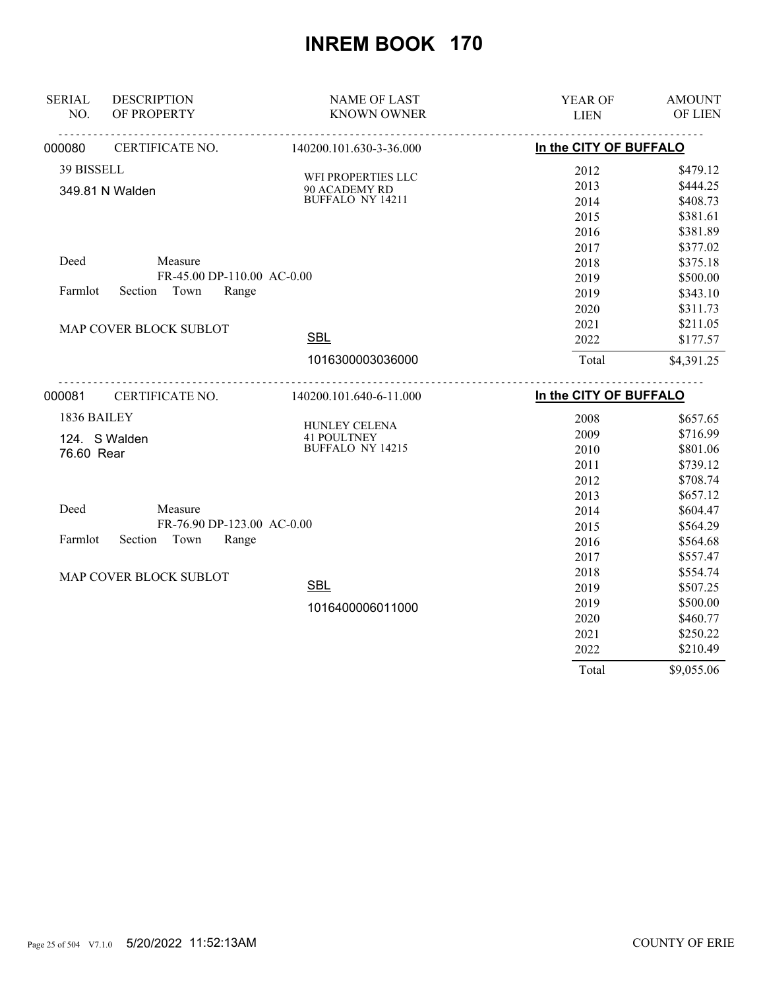| <b>SERIAL</b> | <b>DESCRIPTION</b>         | <b>NAME OF LAST</b>                           | YEAR OF                | <b>AMOUNT</b> |
|---------------|----------------------------|-----------------------------------------------|------------------------|---------------|
| NO.           | OF PROPERTY                | <b>KNOWN OWNER</b>                            | <b>LIEN</b>            | OF LIEN       |
| 000080        | CERTIFICATE NO.            | 140200.101.630-3-36.000                       | In the CITY OF BUFFALO |               |
| 39 BISSELL    |                            | WFI PROPERTIES LLC                            | 2012                   | \$479.12      |
|               | 349.81 N Walden            | 90 ACADEMY RD                                 | 2013                   | \$444.25      |
|               |                            | BUFFALO NY 14211                              | 2014                   | \$408.73      |
|               |                            |                                               | 2015                   | \$381.61      |
|               |                            |                                               | 2016                   | \$381.89      |
|               |                            |                                               | 2017                   | \$377.02      |
| Deed          | Measure                    |                                               | 2018                   | \$375.18      |
|               | FR-45.00 DP-110.00 AC-0.00 |                                               | 2019                   | \$500.00      |
| Farmlot       | Town<br>Range<br>Section   |                                               | 2019                   | \$343.10      |
|               |                            |                                               | 2020                   | \$311.73      |
|               | MAP COVER BLOCK SUBLOT     |                                               | 2021                   | \$211.05      |
|               |                            | <b>SBL</b>                                    | 2022                   | \$177.57      |
|               |                            | 1016300003036000                              | Total                  | \$4,391.25    |
| 000081        | .<br>CERTIFICATE NO.       | 140200.101.640-6-11.000                       | In the CITY OF BUFFALO |               |
| 1836 BAILEY   |                            |                                               | 2008                   | \$657.65      |
|               |                            | HUNLEY CELENA                                 | 2009                   | \$716.99      |
| 76.60 Rear    | 124. S Walden              | <b>41 POULTNEY</b><br><b>BUFFALO NY 14215</b> | 2010                   | \$801.06      |
|               |                            |                                               | 2011                   | \$739.12      |
|               |                            |                                               | 2012                   | \$708.74      |
|               |                            |                                               | 2013                   | \$657.12      |
| Deed          | Measure                    |                                               | 2014                   | \$604.47      |
|               | FR-76.90 DP-123.00 AC-0.00 |                                               | 2015                   | \$564.29      |
| Farmlot       | Section<br>Town<br>Range   |                                               | 2016                   | \$564.68      |
|               |                            |                                               | 2017                   | \$557.47      |
|               | MAP COVER BLOCK SUBLOT     |                                               | 2018                   | \$554.74      |
|               |                            | <b>SBL</b>                                    | 2019                   | \$507.25      |
|               |                            | 1016400006011000                              | 2019                   | \$500.00      |
|               |                            |                                               | 2020                   | \$460.77      |
|               |                            |                                               | 2021                   | \$250.22      |
|               |                            |                                               |                        |               |
|               |                            |                                               | 2022                   | \$210.49      |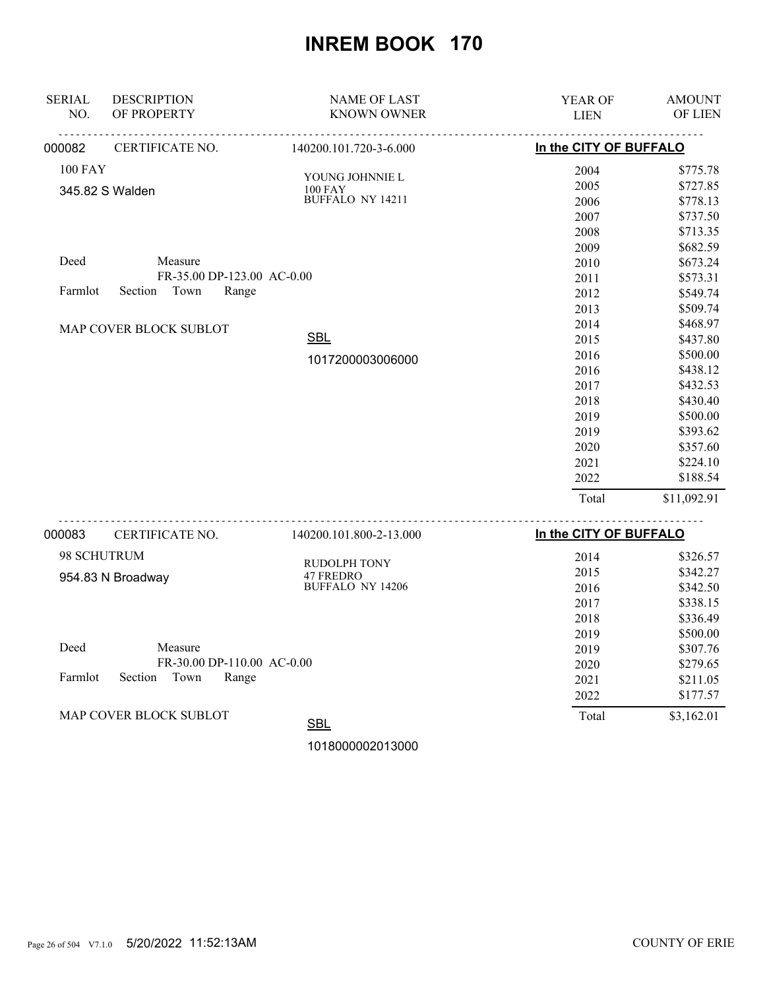| <b>SERIAL</b><br>NO. | <b>DESCRIPTION</b><br>OF PROPERTY | <b>NAME OF LAST</b><br><b>KNOWN OWNER</b> | <b>YEAR OF</b><br><b>LIEN</b> | <b>AMOUNT</b><br>OF LIEN |
|----------------------|-----------------------------------|-------------------------------------------|-------------------------------|--------------------------|
| 000082               | CERTIFICATE NO.                   | 140200.101.720-3-6.000                    | In the CITY OF BUFFALO        |                          |
| <b>100 FAY</b>       |                                   | YOUNG JOHNNIE L                           | 2004                          | \$775.78                 |
|                      | 345.82 S Walden                   | <b>100 FAY</b>                            | 2005                          | \$727.85                 |
|                      |                                   | BUFFALO NY 14211                          | 2006                          | \$778.13                 |
|                      |                                   |                                           | 2007                          | \$737.50                 |
|                      |                                   |                                           | 2008                          | \$713.35                 |
|                      |                                   |                                           | 2009                          | \$682.59                 |
| Deed                 | Measure                           |                                           | 2010                          | \$673.24                 |
|                      | FR-35.00 DP-123.00 AC-0.00        |                                           | 2011                          | \$573.31                 |
| Farmlot              | Town<br>Range<br>Section          |                                           | 2012                          | \$549.74                 |
|                      |                                   |                                           | 2013                          | \$509.74                 |
|                      | MAP COVER BLOCK SUBLOT            |                                           | 2014                          | \$468.97                 |
|                      |                                   | <b>SBL</b>                                | 2015                          | \$437.80                 |
|                      |                                   | 1017200003006000                          | 2016                          | \$500.00                 |
|                      |                                   |                                           | 2016                          | \$438.12                 |
|                      |                                   |                                           | 2017                          | \$432.53                 |
|                      |                                   |                                           | 2018                          | \$430.40                 |
|                      |                                   |                                           | 2019                          | \$500.00                 |
|                      |                                   |                                           | 2019                          | \$393.62                 |
|                      |                                   |                                           | 2020                          | \$357.60                 |
|                      |                                   |                                           | 2021                          | \$224.10                 |
|                      |                                   |                                           | 2022                          | \$188.54                 |
|                      |                                   |                                           | Total                         | \$11,092.91              |
|                      |                                   |                                           |                               |                          |

| 000083  | <b>CERTIFICATE NO.</b>        | 140200.101.800-2-13.000 | In the CITY OF BUFFALO |            |
|---------|-------------------------------|-------------------------|------------------------|------------|
|         | 98 SCHUTRUM                   | <b>RUDOLPH TONY</b>     | 2014                   | \$326.57   |
|         | 954.83 N Broadway             | 47 FREDRO               | 2015                   | \$342.27   |
|         |                               | <b>BUFFALO NY 14206</b> | 2016                   | \$342.50   |
|         |                               |                         | 2017                   | \$338.15   |
|         |                               |                         | 2018                   | \$336.49   |
|         |                               |                         | 2019                   | \$500.00   |
| Deed    | Measure                       |                         | 2019                   | \$307.76   |
|         | FR-30.00 DP-110.00 AC-0.00    |                         | 2020                   | \$279.65   |
| Farmlot | Section<br>Town<br>Range      |                         | 2021                   | \$211.05   |
|         |                               |                         | 2022                   | \$177.57   |
|         | <b>MAP COVER BLOCK SUBLOT</b> | <b>SBL</b>              | Total                  | \$3,162.01 |

1018000002013000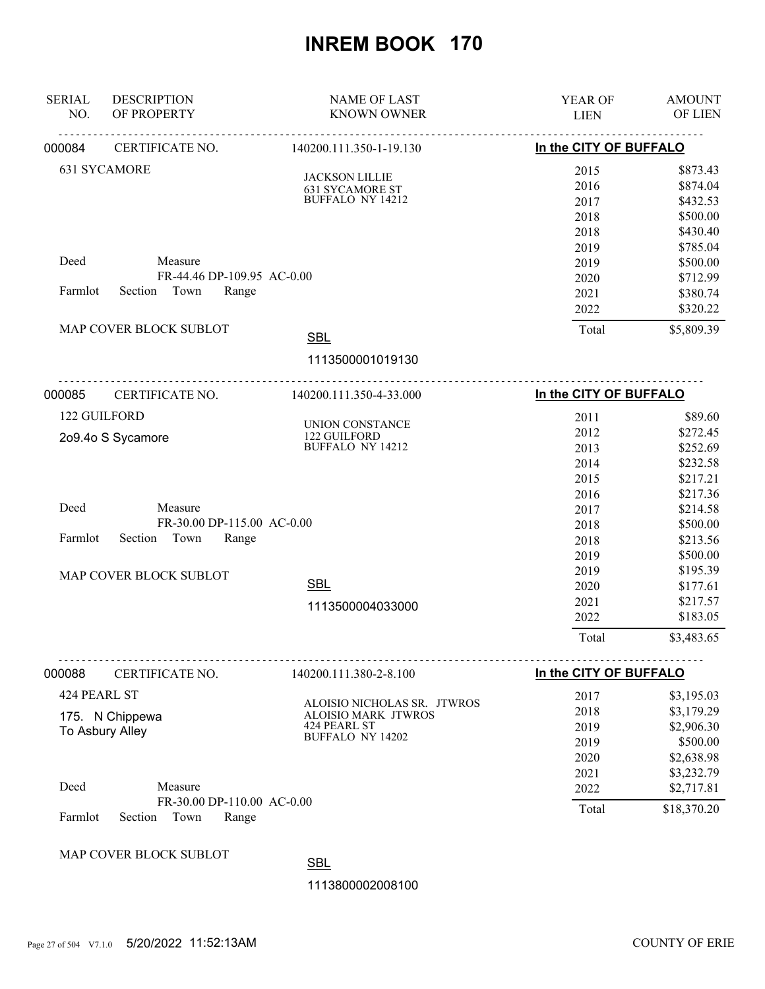| <b>SERIAL</b> | <b>DESCRIPTION</b>                                     | <b>NAME OF LAST</b>                                       | YEAR OF                | <b>AMOUNT</b> |
|---------------|--------------------------------------------------------|-----------------------------------------------------------|------------------------|---------------|
| NO.           | OF PROPERTY                                            | <b>KNOWN OWNER</b>                                        | <b>LIEN</b>            | OF LIEN       |
| 000084        | <b>CERTIFICATE NO.</b>                                 | 140200.111.350-1-19.130                                   | In the CITY OF BUFFALO |               |
|               | 631 SYCAMORE                                           | <b>JACKSON LILLIE</b>                                     | 2015                   | \$873.43      |
|               |                                                        | <b>631 SYCAMORE ST</b>                                    | 2016                   | \$874.04      |
|               |                                                        | BUFFALO NY 14212                                          | 2017                   | \$432.53      |
|               |                                                        |                                                           | 2018                   | \$500.00      |
|               |                                                        |                                                           | 2018                   | \$430.40      |
|               |                                                        |                                                           | 2019                   | \$785.04      |
| Deed          | Measure                                                |                                                           | 2019                   | \$500.00      |
|               | FR-44.46 DP-109.95 AC-0.00                             |                                                           | 2020                   | \$712.99      |
| Farmlot       | Section<br>Town<br>Range                               |                                                           | 2021                   | \$380.74      |
|               |                                                        |                                                           | 2022                   | \$320.22      |
|               | MAP COVER BLOCK SUBLOT                                 | <b>SBL</b>                                                | Total                  | \$5,809.39    |
|               |                                                        | 1113500001019130                                          |                        |               |
| 000085        | CERTIFICATE NO.                                        | 140200.111.350-4-33.000                                   | In the CITY OF BUFFALO |               |
| 122 GUILFORD  |                                                        |                                                           | 2011                   | \$89.60       |
|               |                                                        | UNION CONSTANCE<br>122 GUILFORD                           | 2012                   | \$272.45      |
|               | 2o9.4o S Sycamore                                      | BUFFALO NY 14212                                          | 2013                   | \$252.69      |
|               |                                                        |                                                           | 2014                   | \$232.58      |
|               |                                                        |                                                           | 2015                   | \$217.21      |
|               |                                                        |                                                           | 2016                   | \$217.36      |
| Deed          | Measure                                                |                                                           | 2017                   | \$214.58      |
|               | FR-30.00 DP-115.00 AC-0.00                             |                                                           | 2018                   | \$500.00      |
| Farmlot       | Section<br>Town<br>Range                               |                                                           | 2018                   | \$213.56      |
|               |                                                        |                                                           | 2019                   | \$500.00      |
|               | MAP COVER BLOCK SUBLOT                                 |                                                           | 2019                   | \$195.39      |
|               |                                                        | <b>SBL</b>                                                | 2020                   | \$177.61      |
|               |                                                        | 1113500004033000                                          | 2021                   | \$217.57      |
|               |                                                        |                                                           | 2022                   | \$183.05      |
|               |                                                        |                                                           | Total                  | \$3,483.65    |
| 000088        | CERTIFICATE NO.                                        | 140200.111.380-2-8.100                                    | In the CITY OF BUFFALO |               |
| 424 PEARL ST  |                                                        |                                                           | 2017                   | \$3,195.03    |
|               | 175. N Chippewa                                        | ALOISIO NICHOLAS SR. JTWROS<br><b>ALOISIO MARK JTWROS</b> | 2018                   | \$3,179.29    |
|               | To Asbury Alley                                        | 424 PEARL ST                                              | 2019                   | \$2,906.30    |
|               |                                                        | <b>BUFFALO NY 14202</b>                                   | 2019                   | \$500.00      |
|               |                                                        |                                                           | 2020                   | \$2,638.98    |
|               |                                                        |                                                           | 2021                   | \$3,232.79    |
| Deed          | Measure                                                |                                                           | 2022                   | \$2,717.81    |
| Farmlot       | FR-30.00 DP-110.00 AC-0.00<br>Section<br>Town<br>Range |                                                           | Total                  | \$18,370.20   |

#### MAP COVER BLOCK SUBLOT

**SBL** 

1113800002008100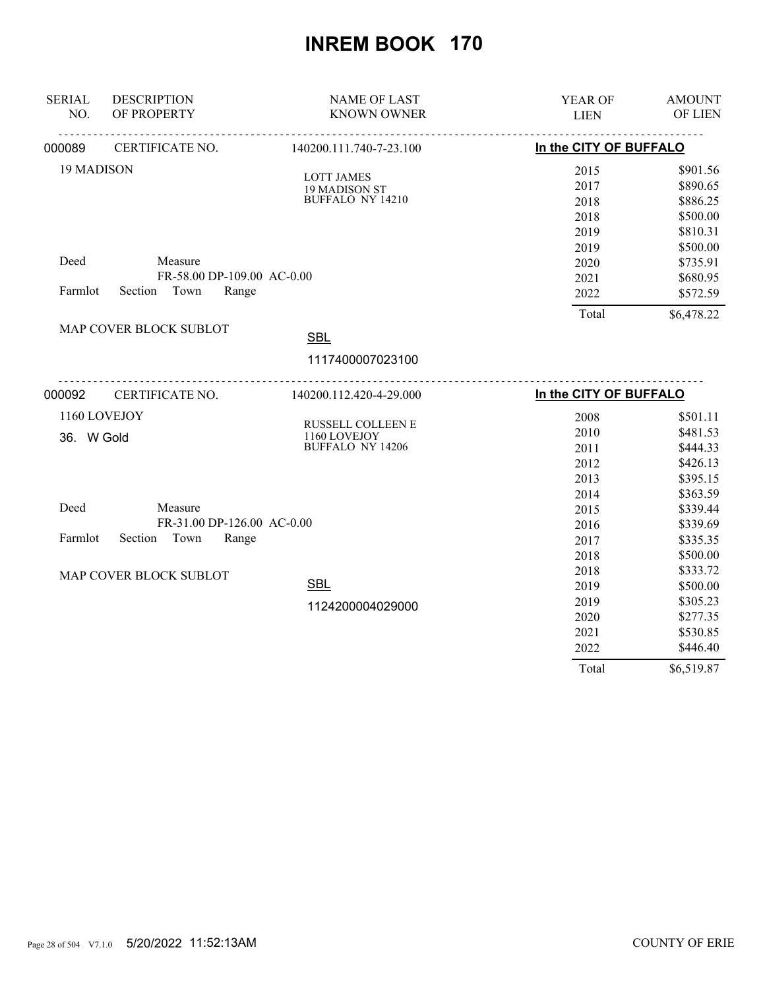| <b>SERIAL</b><br>NO. | <b>DESCRIPTION</b><br>OF PROPERTY | <b>NAME OF LAST</b><br><b>KNOWN OWNER</b> | YEAR OF<br><b>LIEN</b> | <b>AMOUNT</b><br>OF LIEN |
|----------------------|-----------------------------------|-------------------------------------------|------------------------|--------------------------|
|                      |                                   |                                           |                        |                          |
| 000089               | CERTIFICATE NO.                   | 140200.111.740-7-23.100                   | In the CITY OF BUFFALO |                          |
| 19 MADISON           |                                   | <b>LOTT JAMES</b>                         | 2015                   | \$901.56                 |
|                      |                                   | 19 MADISON ST                             | 2017                   | \$890.65                 |
|                      |                                   | <b>BUFFALO NY 14210</b>                   | 2018                   | \$886.25                 |
|                      |                                   |                                           | 2018                   | \$500.00                 |
|                      |                                   |                                           | 2019                   | \$810.31                 |
|                      |                                   |                                           | 2019                   | \$500.00                 |
| Deed                 | Measure                           |                                           | 2020                   | \$735.91                 |
|                      | FR-58.00 DP-109.00 AC-0.00        |                                           | 2021                   | \$680.95                 |
| Farmlot              | Town<br>Range<br>Section          |                                           | 2022                   | \$572.59                 |
|                      |                                   |                                           | Total                  | \$6,478.22               |
|                      | MAP COVER BLOCK SUBLOT            | <b>SBL</b>                                |                        |                          |
|                      |                                   | 1117400007023100                          |                        |                          |
| 000092               | .<br>CERTIFICATE NO.              | .<br>140200.112.420-4-29.000              | In the CITY OF BUFFALO |                          |
|                      | 1160 LOVEJOY                      |                                           | 2008                   | \$501.11                 |
| 36. W Gold           |                                   | RUSSELL COLLEEN E<br>1160 LOVEJOY         | 2010                   | \$481.53                 |
|                      |                                   | <b>BUFFALO NY 14206</b>                   | 2011                   | \$444.33                 |
|                      |                                   |                                           | 2012                   | \$426.13                 |
|                      |                                   |                                           | 2013                   | \$395.15                 |
|                      |                                   |                                           | 2014                   | \$363.59                 |
| Deed                 | Measure                           |                                           | 2015                   | \$339.44                 |
|                      | FR-31.00 DP-126.00 AC-0.00        |                                           | 2016                   | \$339.69                 |
| Farmlot              | Section<br>Town<br>Range          |                                           | 2017                   | \$335.35                 |
|                      |                                   |                                           | 2018                   | \$500.00                 |
|                      | MAP COVER BLOCK SUBLOT            |                                           | 2018                   | \$333.72                 |
|                      |                                   | <b>SBL</b>                                | 2019                   | \$500.00                 |
|                      |                                   | 1124200004029000                          | 2019                   | \$305.23                 |
|                      |                                   |                                           | 2020                   | \$277.35                 |
|                      |                                   |                                           | 2021                   | \$530.85                 |
|                      |                                   |                                           | 2022                   | \$446.40                 |
|                      |                                   |                                           | Total                  | \$6,519.87               |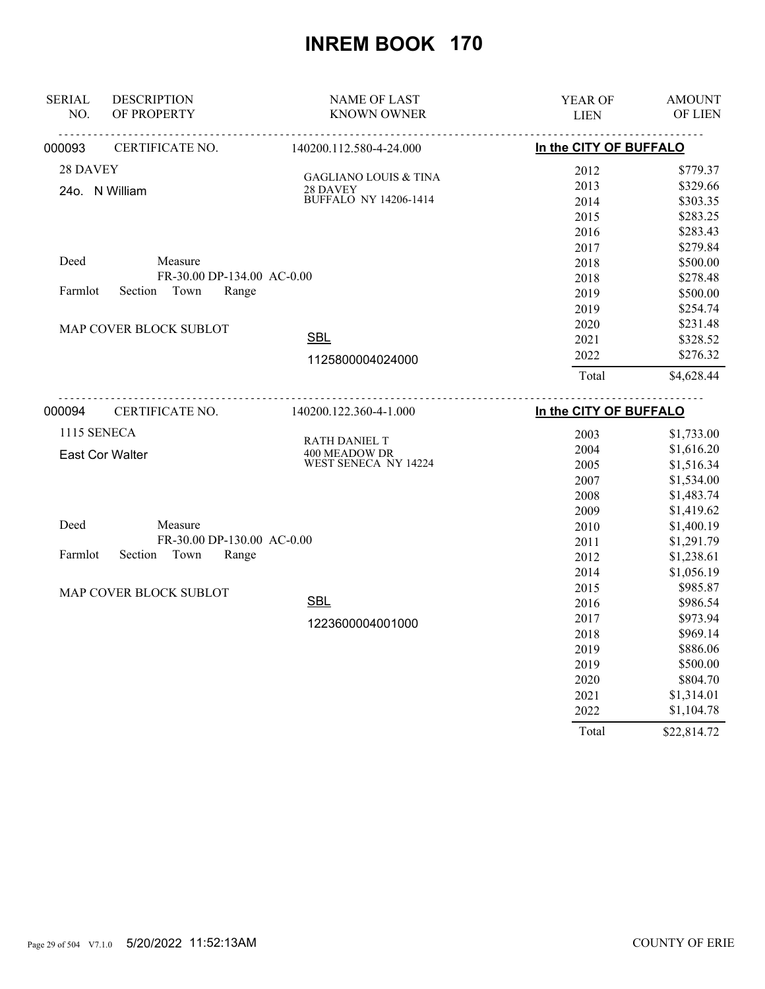| <b>SERIAL</b> | <b>DESCRIPTION</b>          | <b>NAME OF LAST</b>                   | YEAR OF                | <b>AMOUNT</b> |
|---------------|-----------------------------|---------------------------------------|------------------------|---------------|
| NO.           | OF PROPERTY                 | <b>KNOWN OWNER</b>                    | <b>LIEN</b>            | OF LIEN       |
| 000093        | CERTIFICATE NO.             | 140200.112.580-4-24.000               | In the CITY OF BUFFALO |               |
| 28 DAVEY      |                             | <b>GAGLIANO LOUIS &amp; TINA</b>      | 2012                   | \$779.37      |
|               | 24o. N William              | 28 DAVEY                              | 2013                   | \$329.66      |
|               |                             | <b>BUFFALO NY 14206-1414</b>          | 2014                   | \$303.35      |
|               |                             |                                       | 2015                   | \$283.25      |
|               |                             |                                       | 2016                   | \$283.43      |
|               |                             |                                       | 2017                   | \$279.84      |
| Deed          | Measure                     |                                       | 2018                   | \$500.00      |
|               | FR-30.00 DP-134.00 AC-0.00  |                                       | 2018                   | \$278.48      |
| Farmlot       | Section Town<br>Range       |                                       | 2019                   | \$500.00      |
|               |                             |                                       | 2019                   | \$254.74      |
|               | MAP COVER BLOCK SUBLOT      |                                       | 2020                   | \$231.48      |
|               |                             | <b>SBL</b>                            | 2021                   | \$328.52      |
|               |                             | 1125800004024000                      | 2022                   | \$276.32      |
|               |                             |                                       | Total                  | \$4,628.44    |
| 000094        | <u>.</u><br>CERTIFICATE NO. | 140200.122.360-4-1.000                | In the CITY OF BUFFALO |               |
| 1115 SENECA   |                             |                                       | 2003                   | \$1,733.00    |
|               |                             | RATH DANIEL T                         | 2004                   | \$1,616.20    |
|               | <b>East Cor Walter</b>      | 400 MEADOW DR<br>WEST SENECA NY 14224 | 2005                   | \$1,516.34    |
|               |                             |                                       | 2007                   | \$1,534.00    |
|               |                             |                                       | 2008                   | \$1,483.74    |
|               |                             |                                       | 2009                   | \$1,419.62    |
| Deed          | Measure                     |                                       | 2010                   | \$1,400.19    |
|               | FR-30.00 DP-130.00 AC-0.00  |                                       | 2011                   | \$1,291.79    |
| Farmlot       | Town<br>Section<br>Range    |                                       | 2012                   | \$1,238.61    |
|               |                             |                                       | 2014                   | \$1,056.19    |
|               | MAP COVER BLOCK SUBLOT      |                                       | 2015                   | \$985.87      |
|               |                             | <b>SBL</b>                            | 2016                   | \$986.54      |
|               |                             | 1223600004001000                      | 2017                   | \$973.94      |
|               |                             |                                       | 2018                   | \$969.14      |
|               |                             |                                       | 2019                   | \$886.06      |
|               |                             |                                       | 2019                   | \$500.00      |
|               |                             |                                       | 2020                   | \$804.70      |
|               |                             |                                       | 2021                   | \$1,314.01    |
|               |                             |                                       | 2022                   | \$1,104.78    |
|               |                             |                                       | Total                  | \$22,814.72   |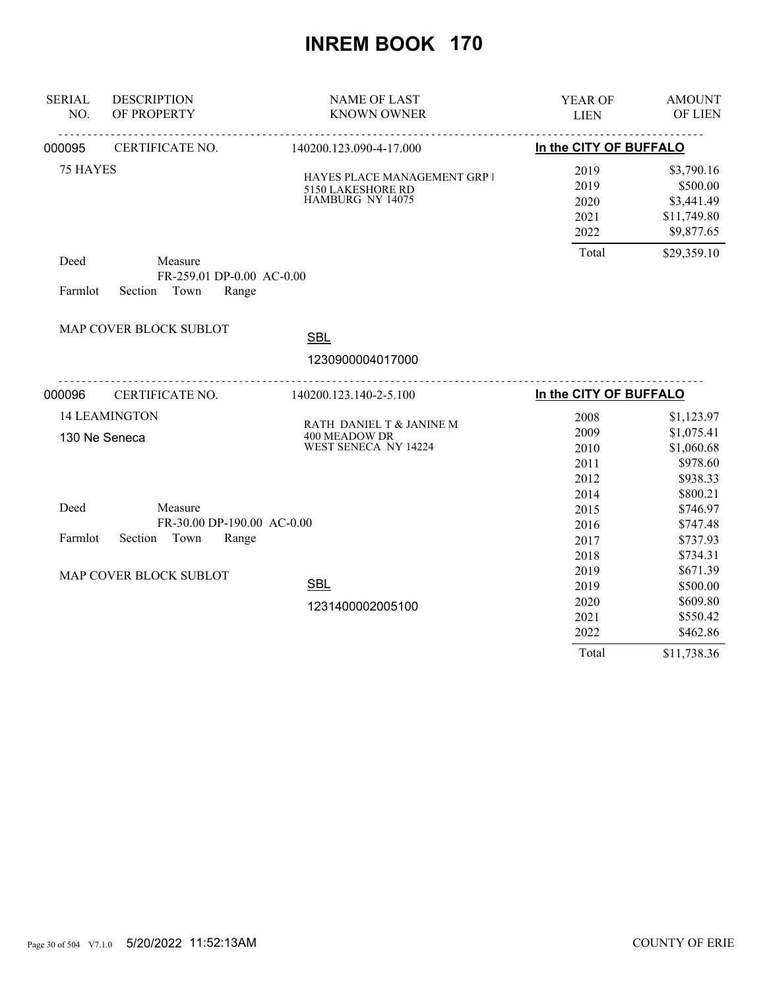| <b>SERIAL</b><br>NO. | <b>DESCRIPTION</b><br>OF PROPERTY                   | <b>NAME OF LAST</b><br><b>KNOWN OWNER</b>                             | YEAR OF<br><b>LIEN</b> | <b>AMOUNT</b><br>OF LIEN             |
|----------------------|-----------------------------------------------------|-----------------------------------------------------------------------|------------------------|--------------------------------------|
| 000095               | CERTIFICATE NO.                                     | 140200.123.090-4-17.000                                               | In the CITY OF BUFFALO |                                      |
|                      |                                                     |                                                                       |                        |                                      |
| 75 HAYES             |                                                     | HAYES PLACE MANAGEMENT GRP I<br>5150 LAKESHORE RD<br>HAMBURG NY 14075 | 2019<br>2019<br>2020   | \$3,790.16<br>\$500.00<br>\$3,441.49 |
|                      |                                                     |                                                                       | 2021<br>2022           | \$11,749.80<br>\$9,877.65            |
| Deed                 | Measure<br>FR-259.01 DP-0.00 AC-0.00                |                                                                       | Total                  | \$29,359.10                          |
| Farmlot              | Town<br>Section<br>Range                            |                                                                       |                        |                                      |
|                      | MAP COVER BLOCK SUBLOT                              | <b>SBL</b>                                                            |                        |                                      |
|                      |                                                     | 1230900004017000                                                      |                        |                                      |
| 000096               | ________________________________<br>CERTIFICATE NO. | 140200.123.140-2-5.100                                                | In the CITY OF BUFFALO |                                      |
|                      | <b>14 LEAMINGTON</b>                                | RATH DANIEL T & JANINE M                                              | 2008                   | \$1,123.97                           |
|                      | 130 Ne Seneca                                       | 400 MEADOW DR                                                         | 2009                   | \$1,075.41                           |
|                      |                                                     | WEST SENECA NY 14224                                                  | 2010                   | \$1,060.68                           |
|                      |                                                     |                                                                       | 2011                   | \$978.60                             |
|                      |                                                     |                                                                       | 2012                   | \$938.33                             |
|                      |                                                     |                                                                       | 2014                   | \$800.21                             |
| Deed                 | Measure                                             |                                                                       | 2015                   | \$746.97                             |
|                      | FR-30.00 DP-190.00 AC-0.00                          |                                                                       | 2016                   | \$747.48                             |
| Farmlot              | Town<br>Section<br>Range                            |                                                                       | 2017                   | \$737.93                             |
|                      |                                                     |                                                                       | 2018                   | \$734.31                             |
|                      | MAP COVER BLOCK SUBLOT                              |                                                                       | 2019                   | \$671.39                             |
|                      |                                                     | <b>SBL</b>                                                            | 2019                   | \$500.00                             |
|                      |                                                     | 1231400002005100                                                      | 2020                   | \$609.80                             |
|                      |                                                     |                                                                       | 2021                   | \$550.42                             |
|                      |                                                     |                                                                       | 2022                   | \$462.86                             |
|                      |                                                     |                                                                       | Total                  | \$11,738.36                          |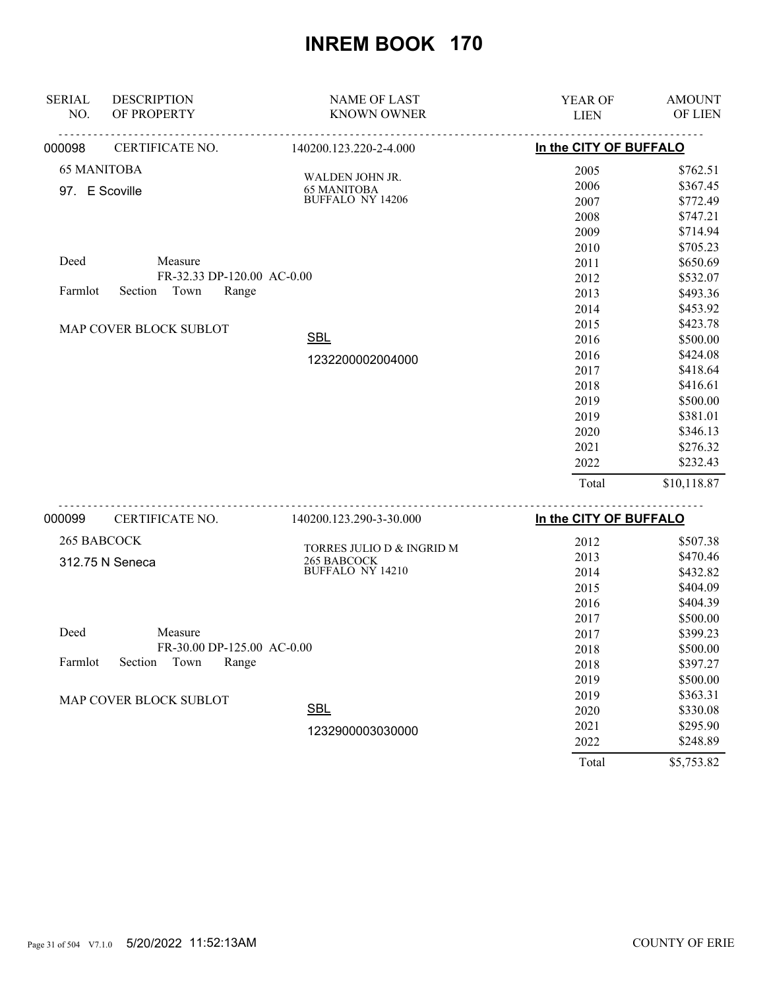| <b>SERIAL</b>      | <b>DESCRIPTION</b>         | <b>NAME OF LAST</b>       | YEAR OF                | <b>AMOUNT</b> |
|--------------------|----------------------------|---------------------------|------------------------|---------------|
| NO.                | OF PROPERTY                | <b>KNOWN OWNER</b>        | <b>LIEN</b>            | OF LIEN       |
| 000098             | CERTIFICATE NO.            | 140200.123.220-2-4.000    | In the CITY OF BUFFALO |               |
| <b>65 MANITOBA</b> |                            | WALDEN JOHN JR.           | 2005                   | \$762.51      |
| 97. E Scoville     |                            | <b>65 MANITOBA</b>        | 2006                   | \$367.45      |
|                    |                            | <b>BUFFALO NY 14206</b>   | 2007                   | \$772.49      |
|                    |                            |                           | 2008                   | \$747.21      |
|                    |                            |                           | 2009                   | \$714.94      |
|                    |                            |                           | 2010                   | \$705.23      |
| Deed               | Measure                    |                           | 2011                   | \$650.69      |
|                    | FR-32.33 DP-120.00 AC-0.00 |                           | 2012                   | \$532.07      |
| Farmlot            | Town<br>Section<br>Range   |                           | 2013                   | \$493.36      |
|                    |                            |                           | 2014                   | \$453.92      |
|                    | MAP COVER BLOCK SUBLOT     |                           | 2015                   | \$423.78      |
|                    |                            | <b>SBL</b>                | 2016                   | \$500.00      |
|                    |                            | 1232200002004000          | 2016                   | \$424.08      |
|                    |                            |                           | 2017                   | \$418.64      |
|                    |                            |                           | 2018                   | \$416.61      |
|                    |                            |                           | 2019                   | \$500.00      |
|                    |                            |                           | 2019                   | \$381.01      |
|                    |                            |                           | 2020                   | \$346.13      |
|                    |                            |                           | 2021                   | \$276.32      |
|                    |                            |                           | 2022                   | \$232.43      |
|                    |                            |                           | Total                  | \$10,118.87   |
| 000099             | CERTIFICATE NO.            | 140200.123.290-3-30.000   | In the CITY OF BUFFALO |               |
| 265 BABCOCK        |                            | TORRES JULIO D & INGRID M | 2012                   | \$507.38      |
|                    | 312.75 N Seneca            | 265 BABCOCK               | 2013                   | \$470.46      |
|                    |                            | <b>BUFFALO NY 14210</b>   | 2014                   | \$432.82      |
|                    |                            |                           | 2015                   | \$404.09      |
|                    |                            |                           | 2016                   | \$404.39      |
|                    |                            |                           | 2017                   | \$500.00      |
| Deed               | Measure                    |                           | 2017                   | \$399.23      |
|                    | FR-30.00 DP-125.00 AC-0.00 |                           | 2018                   | \$500.00      |
| Farmlot            | Section<br>Town<br>Range   |                           | 2018                   | \$397.27      |
|                    |                            |                           | 2019                   | \$500.00      |
|                    | MAP COVER BLOCK SUBLOT     |                           | 2019                   | \$363.31      |
|                    |                            | <b>SBL</b>                | 2020                   | \$330.08      |
|                    |                            | 1232900003030000          | 2021                   | \$295.90      |
|                    |                            |                           | 2022                   | \$248.89      |

Total \$5,753.82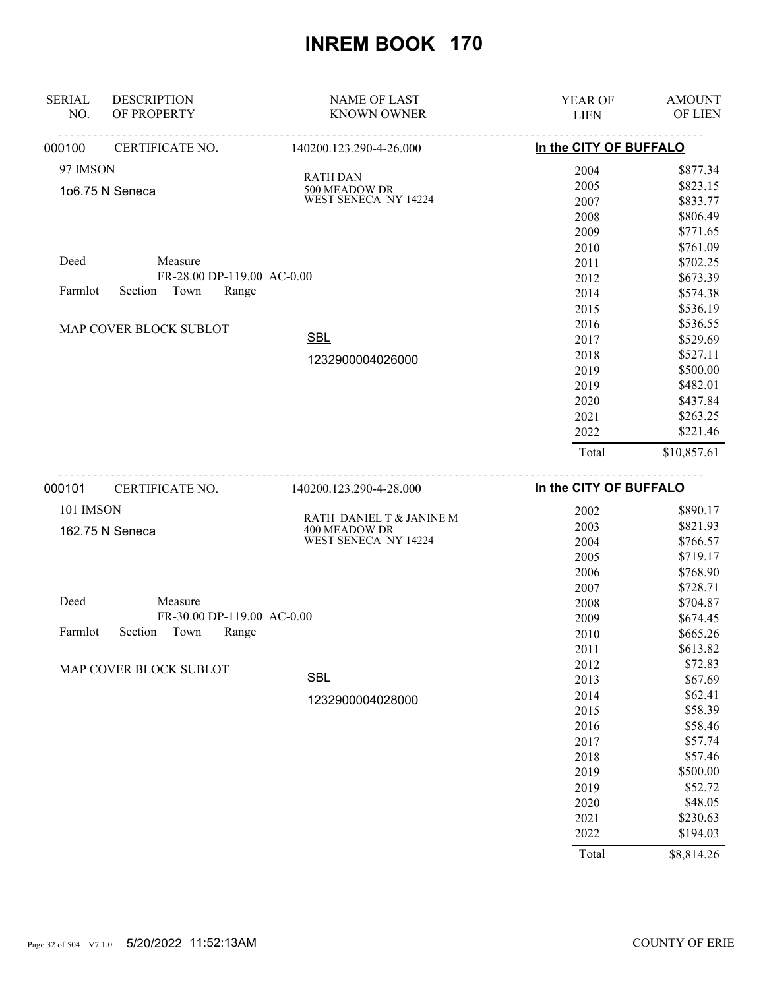| <b>SERIAL</b><br>NO. | <b>DESCRIPTION</b><br>OF PROPERTY | <b>NAME OF LAST</b><br><b>KNOWN OWNER</b> | YEAR OF<br><b>LIEN</b> | <b>AMOUNT</b><br>OF LIEN |
|----------------------|-----------------------------------|-------------------------------------------|------------------------|--------------------------|
| 000100               | .<br>CERTIFICATE NO.              | <u>.</u><br>140200.123.290-4-26.000       | In the CITY OF BUFFALO |                          |
| 97 IMSON             |                                   |                                           | 2004                   | \$877.34                 |
|                      | 1o6.75 N Seneca                   | <b>RATH DAN</b><br>500 MEADOW DR          | 2005                   | \$823.15                 |
|                      |                                   | WEST SENECA NY 14224                      | 2007                   | \$833.77                 |
|                      |                                   |                                           | 2008                   | \$806.49                 |
|                      |                                   |                                           | 2009                   | \$771.65                 |
|                      |                                   |                                           | 2010                   | \$761.09                 |
| Deed                 | Measure                           |                                           | 2011                   | \$702.25                 |
|                      | FR-28.00 DP-119.00 AC-0.00        |                                           | 2012                   | \$673.39                 |
| Farmlot              | Town<br>Section<br>Range          |                                           | 2014                   | \$574.38                 |
|                      |                                   |                                           | 2015                   | \$536.19                 |
|                      | MAP COVER BLOCK SUBLOT            |                                           | 2016                   | \$536.55                 |
|                      |                                   | <b>SBL</b>                                | 2017                   | \$529.69                 |
|                      |                                   | 1232900004026000                          | 2018                   | \$527.11                 |
|                      |                                   |                                           | 2019                   | \$500.00                 |
|                      |                                   |                                           | 2019                   | \$482.01                 |
|                      |                                   |                                           | 2020                   | \$437.84                 |
|                      |                                   |                                           | 2021                   | \$263.25                 |
|                      |                                   |                                           | 2022                   | \$221.46                 |
|                      |                                   |                                           | Total                  | \$10,857.61              |
| 000101               | <u>.</u><br>CERTIFICATE NO.       | 140200.123.290-4-28.000                   | In the CITY OF BUFFALO |                          |
| 101 IMSON            |                                   |                                           | 2002                   | \$890.17                 |
|                      |                                   | RATH DANIEL T & JANINE M                  | 2003                   | \$821.93                 |
|                      | 162.75 N Seneca                   | 400 MEADOW DR<br>WEST SENECA NY 14224     | 2004                   | \$766.57                 |
|                      |                                   |                                           | 2005                   | \$719.17                 |
|                      |                                   |                                           | 2006                   | \$768.90                 |
|                      |                                   |                                           | 2007                   | \$728.71                 |
| Deed                 | Measure                           |                                           | 2008                   | \$704.87                 |
|                      | FR-30.00 DP-119.00 AC-0.00        |                                           | 2009                   | \$674.45                 |
| Farmlot              | Town<br>Section<br>Range          |                                           | 2010                   | \$665.26                 |
|                      |                                   |                                           | 2011                   | \$613.82                 |
|                      | MAP COVER BLOCK SUBLOT            |                                           | 2012                   | \$72.83                  |
|                      |                                   | <b>SBL</b>                                | 2013                   | \$67.69                  |
|                      |                                   |                                           | 2014                   | \$62.41                  |
|                      |                                   | 1232900004028000                          | 2015                   | \$58.39                  |
|                      |                                   |                                           | 2016                   | \$58.46                  |
|                      |                                   |                                           | 2017                   | \$57.74                  |
|                      |                                   |                                           | 2018                   | \$57.46                  |
|                      |                                   |                                           | 2019                   | \$500.00                 |
|                      |                                   |                                           | 2019                   | \$52.72                  |
|                      |                                   |                                           | 2020                   | \$48.05                  |
|                      |                                   |                                           | 2021                   | \$230.63                 |
|                      |                                   |                                           | 2022                   | \$194.03                 |

Total \$8,814.26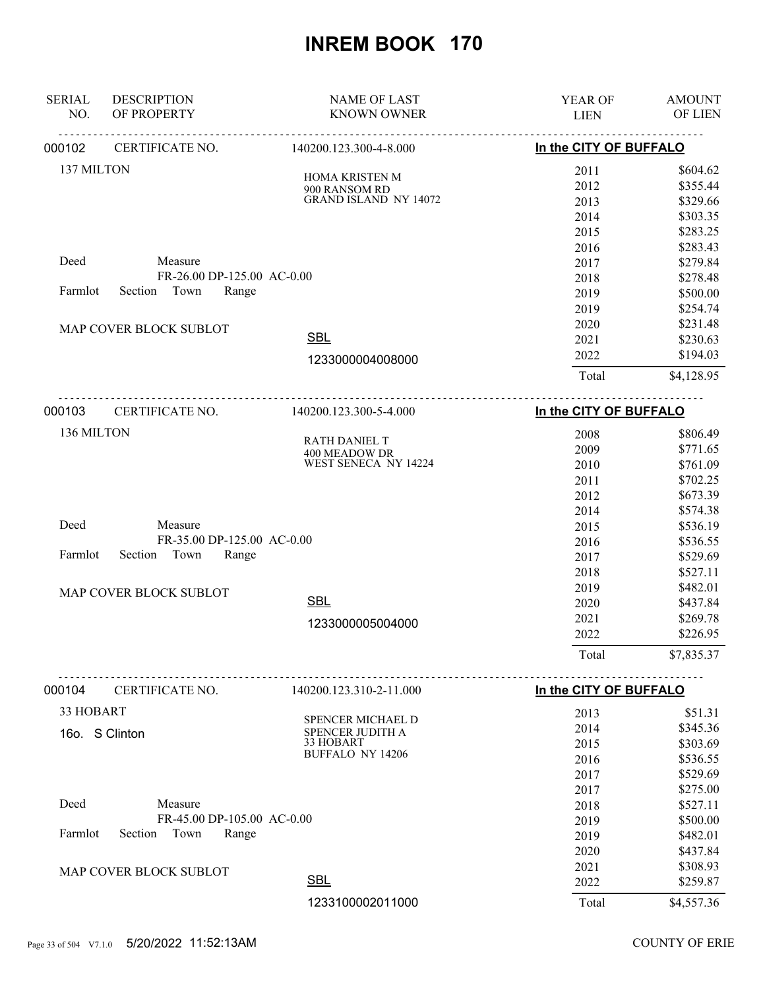| <b>SERIAL</b><br><b>DESCRIPTION</b><br>OF PROPERTY<br>NO. | <b>NAME OF LAST</b><br><b>KNOWN OWNER</b>                                     | YEAR OF<br><b>LIEN</b>               | <b>AMOUNT</b><br>OF LIEN                                 |
|-----------------------------------------------------------|-------------------------------------------------------------------------------|--------------------------------------|----------------------------------------------------------|
| CERTIFICATE NO.<br>000102                                 | 140200.123.300-4-8.000                                                        | <u>.</u><br>In the CITY OF BUFFALO   |                                                          |
| 137 MILTON                                                | HOMA KRISTEN M<br>900 RANSOM RD<br><b>GRAND ISLAND NY 14072</b>               | 2011<br>2012<br>2013<br>2014<br>2015 | \$604.62<br>\$355.44<br>\$329.66<br>\$303.35<br>\$283.25 |
| Deed<br>Measure                                           | FR-26.00 DP-125.00 AC-0.00                                                    | 2016<br>2017                         | \$283.43<br>\$279.84<br>\$278.48                         |
| Town<br>Farmlot<br>Section                                | Range                                                                         | 2018<br>2019<br>2019                 | \$500.00<br>\$254.74                                     |
| MAP COVER BLOCK SUBLOT                                    | <b>SBL</b><br>1233000004008000                                                | 2020<br>2021<br>2022                 | \$231.48<br>\$230.63<br>\$194.03                         |
|                                                           |                                                                               | Total                                | \$4,128.95                                               |
| CERTIFICATE NO.<br>000103                                 | 140200.123.300-5-4.000                                                        | In the CITY OF BUFFALO               |                                                          |
| 136 MILTON                                                | <b>RATH DANIEL T</b><br>400 MEADOW DR<br>WEST SENECA NY 14224                 | 2008<br>2009<br>2010<br>2011<br>2012 | \$806.49<br>\$771.65<br>\$761.09<br>\$702.25<br>\$673.39 |
| Deed<br>Measure<br>Town<br>Farmlot<br>Section             | FR-35.00 DP-125.00 AC-0.00<br>Range                                           | 2014<br>2015<br>2016<br>2017<br>2018 | \$574.38<br>\$536.19<br>\$536.55<br>\$529.69<br>\$527.11 |
| MAP COVER BLOCK SUBLOT                                    | <b>SBL</b><br>1233000005004000                                                | 2019<br>2020<br>2021<br>2022         | \$482.01<br>\$437.84<br>\$269.78<br>\$226.95             |
|                                                           |                                                                               | Total                                | \$7,835.37                                               |
| 000104<br>CERTIFICATE NO.                                 | 140200.123.310-2-11.000                                                       | In the CITY OF BUFFALO               |                                                          |
| 33 HOBART<br>16o. S Clinton                               | SPENCER MICHAEL D<br>SPENCER JUDITH A<br>33 HOBART<br><b>BUFFALO NY 14206</b> | 2013<br>2014<br>2015<br>2016<br>2017 | \$51.31<br>\$345.36<br>\$303.69<br>\$536.55<br>\$529.69  |
| Deed<br>Measure<br>Farmlot<br>Section<br>Town             | FR-45.00 DP-105.00 AC-0.00<br>Range                                           | 2017<br>2018<br>2019<br>2019<br>2020 | \$275.00<br>\$527.11<br>\$500.00<br>\$482.01<br>\$437.84 |
| MAP COVER BLOCK SUBLOT                                    | <b>SBL</b>                                                                    | 2021<br>2022                         | \$308.93<br>\$259.87                                     |
|                                                           | 1233100002011000                                                              | Total                                | \$4,557.36                                               |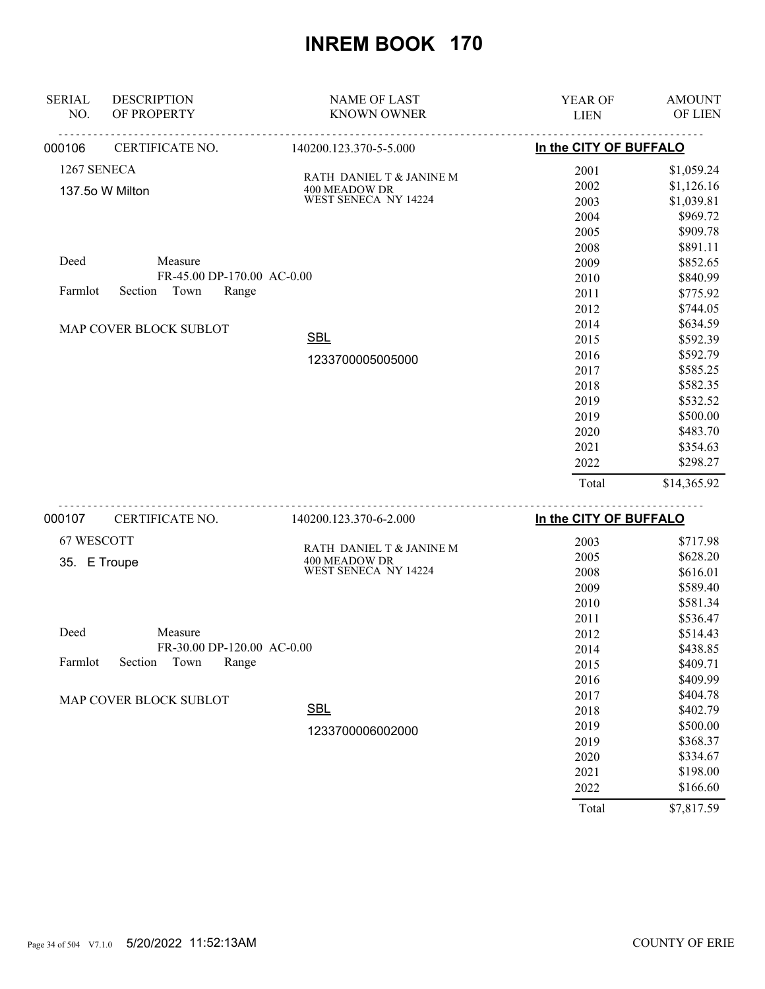| <b>SERIAL</b><br>NO. | <b>DESCRIPTION</b><br>OF PROPERTY | <b>NAME OF LAST</b><br><b>KNOWN OWNER</b> | YEAR OF<br><b>LIEN</b> | <b>AMOUNT</b><br>OF LIEN |
|----------------------|-----------------------------------|-------------------------------------------|------------------------|--------------------------|
| 000106               | CERTIFICATE NO.                   | .<br>140200.123.370-5-5.000               | In the CITY OF BUFFALO |                          |
|                      |                                   |                                           |                        |                          |
| 1267 SENECA          |                                   | RATH DANIEL T & JANINE M                  | 2001                   | \$1,059.24               |
|                      | 137.5o W Milton                   | 400 MEADOW DR<br>WEST SENECA NY 14224     | 2002                   | \$1,126.16               |
|                      |                                   |                                           | 2003                   | \$1,039.81<br>\$969.72   |
|                      |                                   |                                           | 2004<br>2005           | \$909.78                 |
|                      |                                   |                                           | 2008                   | \$891.11                 |
| Deed                 | Measure                           |                                           | 2009                   | \$852.65                 |
|                      | FR-45.00 DP-170.00 AC-0.00        |                                           | 2010                   |                          |
| Farmlot              | Section Town<br>Range             |                                           |                        | \$840.99                 |
|                      |                                   |                                           | 2011                   | \$775.92                 |
|                      |                                   |                                           | 2012                   | \$744.05                 |
|                      | MAP COVER BLOCK SUBLOT            | <b>SBL</b>                                | 2014                   | \$634.59                 |
|                      |                                   |                                           | 2015                   | \$592.39                 |
|                      |                                   | 1233700005005000                          | 2016                   | \$592.79                 |
|                      |                                   |                                           | 2017                   | \$585.25                 |
|                      |                                   |                                           | 2018                   | \$582.35                 |
|                      |                                   |                                           | 2019                   | \$532.52                 |
|                      |                                   |                                           | 2019                   | \$500.00                 |
|                      |                                   |                                           | 2020                   | \$483.70                 |
|                      |                                   |                                           | 2021                   | \$354.63                 |
|                      |                                   |                                           | 2022                   | \$298.27                 |
|                      |                                   |                                           | Total                  | \$14,365.92              |
| 000107               | <u>.</u><br>CERTIFICATE NO.       | 140200.123.370-6-2.000                    | In the CITY OF BUFFALO |                          |
| 67 WESCOTT           |                                   |                                           | 2003                   | \$717.98                 |
|                      |                                   | RATH DANIEL T & JANINE M                  | 2005                   | \$628.20                 |
| 35. E Troupe         |                                   | 400 MEADOW DR<br>WEST SENECA NY 14224     | 2008                   | \$616.01                 |
|                      |                                   |                                           | 2009                   | \$589.40                 |
|                      |                                   |                                           | 2010                   | \$581.34                 |
|                      |                                   |                                           | 2011                   | \$536.47                 |
| Deed                 | Measure                           |                                           | 2012                   | \$514.43                 |
|                      | FR-30.00 DP-120.00 AC-0.00        |                                           | 2014                   | \$438.85                 |
| Farmlot              | Section<br>Town<br>Range          |                                           | 2015                   | \$409.71                 |
|                      |                                   |                                           | 2016                   | \$409.99                 |
|                      |                                   |                                           | 2017                   | \$404.78                 |
|                      | MAP COVER BLOCK SUBLOT            | <b>SBL</b>                                |                        |                          |
|                      |                                   |                                           | 2018                   | \$402.79                 |
|                      |                                   | 1233700006002000                          | 2019                   | \$500.00                 |
|                      |                                   |                                           | 2019                   | \$368.37                 |
|                      |                                   |                                           | 2020                   | \$334.67                 |
|                      |                                   |                                           | 2021                   | \$198.00                 |
|                      |                                   |                                           | 2022                   | \$166.60                 |
|                      |                                   |                                           | Total                  | \$7,817.59               |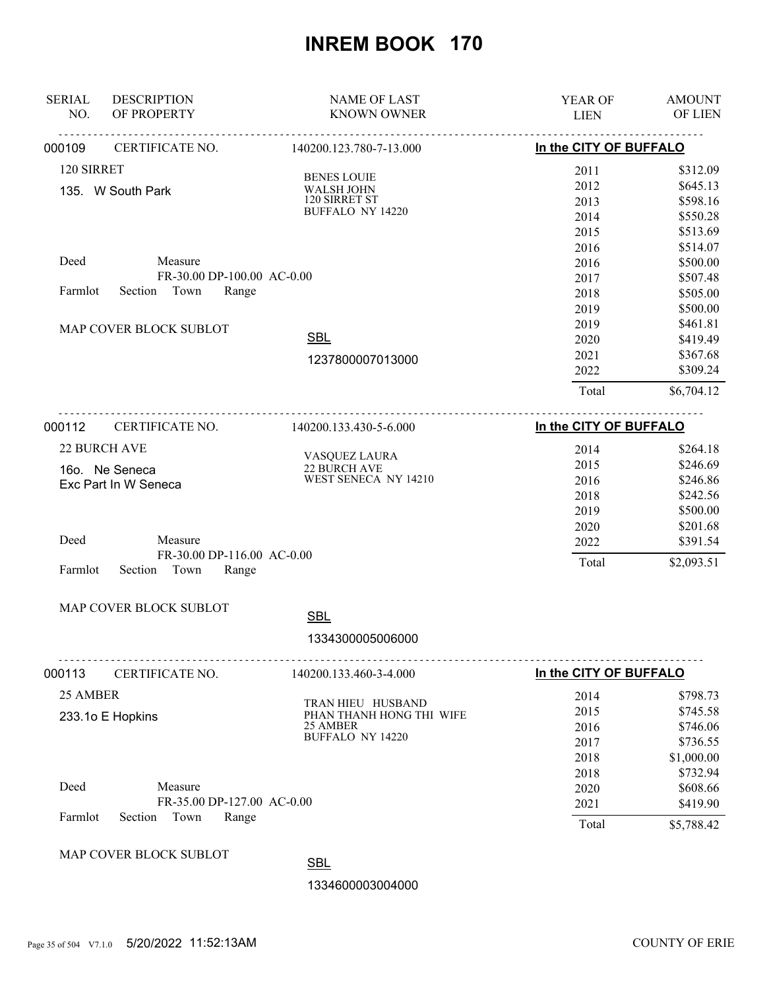| <b>SERIAL</b><br>NO.                          | <b>DESCRIPTION</b><br>OF PROPERTY         | <b>NAME OF LAST</b><br><b>KNOWN OWNER</b> | YEAR OF<br><b>LIEN</b> | <b>AMOUNT</b><br>OF LIEN |  |
|-----------------------------------------------|-------------------------------------------|-------------------------------------------|------------------------|--------------------------|--|
| 000109                                        | CERTIFICATE NO.                           | .<br>140200.123.780-7-13.000              |                        | In the CITY OF BUFFALO   |  |
| 120 SIRRET                                    |                                           |                                           | 2011                   | \$312.09                 |  |
|                                               |                                           | <b>BENES LOUIE</b>                        | 2012                   | \$645.13                 |  |
|                                               | 135. W South Park                         | WALSH JOHN<br>120 SIRRET ST               | 2013                   | \$598.16                 |  |
|                                               |                                           | <b>BUFFALO NY 14220</b>                   | 2014                   | \$550.28                 |  |
|                                               |                                           |                                           | 2015                   | \$513.69                 |  |
|                                               |                                           |                                           | 2016                   | \$514.07                 |  |
| Deed                                          | Measure                                   |                                           | 2016                   | \$500.00                 |  |
|                                               | FR-30.00 DP-100.00 AC-0.00                |                                           | 2017                   | \$507.48                 |  |
| Farmlot                                       | Section Town<br>Range                     |                                           | 2018                   | \$505.00                 |  |
|                                               |                                           |                                           | 2019                   | \$500.00                 |  |
|                                               |                                           |                                           | 2019                   | \$461.81                 |  |
|                                               | MAP COVER BLOCK SUBLOT                    | <b>SBL</b>                                | 2020                   | \$419.49                 |  |
|                                               |                                           | 1237800007013000                          | 2021                   | \$367.68                 |  |
|                                               |                                           |                                           | 2022                   | \$309.24                 |  |
|                                               |                                           |                                           | Total                  | \$6,704.12               |  |
| 000112                                        | CERTIFICATE NO.<br>140200.133.430-5-6.000 |                                           | In the CITY OF BUFFALO |                          |  |
|                                               | 22 BURCH AVE                              |                                           |                        |                          |  |
|                                               |                                           | VASQUEZ LAURA                             | 2014                   | \$264.18                 |  |
|                                               | 16o. Ne Seneca                            | 22 BURCH AVE<br>WEST SENECA NY 14210      | 2015                   | \$246.69                 |  |
| Exc Part In W Seneca                          |                                           |                                           | 2016                   | \$246.86                 |  |
|                                               |                                           |                                           | 2018                   | \$242.56                 |  |
|                                               |                                           |                                           | 2019<br>2020           | \$500.00<br>\$201.68     |  |
| Deed                                          | Measure                                   |                                           | 2022                   | \$391.54                 |  |
|                                               | FR-30.00 DP-116.00 AC-0.00                |                                           |                        |                          |  |
| Farmlot                                       | Section<br>Town<br>Range                  |                                           | Total                  | \$2,093.51               |  |
|                                               | MAP COVER BLOCK SUBLOT                    |                                           |                        |                          |  |
|                                               |                                           | <b>SBL</b>                                |                        |                          |  |
|                                               |                                           | 1334300005006000                          |                        |                          |  |
| 000113                                        | CERTIFICATE NO.                           | 140200.133.460-3-4.000                    | In the CITY OF BUFFALO |                          |  |
| 25 AMBER                                      |                                           |                                           | 2014                   | \$798.73                 |  |
|                                               |                                           | TRAN HIEU HUSBAND                         | 2015                   | \$745.58                 |  |
| 233.1o E Hopkins                              |                                           | PHAN THANH HONG THI WIFE<br>25 AMBER      | 2016                   | \$746.06                 |  |
|                                               |                                           | BUFFALO NY 14220                          | 2017                   | \$736.55                 |  |
|                                               |                                           |                                           | 2018                   | \$1,000.00               |  |
|                                               |                                           |                                           | 2018                   | \$732.94                 |  |
| Deed<br>Measure<br>FR-35.00 DP-127.00 AC-0.00 |                                           |                                           | 2020                   | \$608.66                 |  |
|                                               |                                           |                                           | 2021                   | \$419.90                 |  |
| Farmlot                                       | Section<br>Town<br>Range                  |                                           | Total                  | \$5,788.42               |  |
|                                               |                                           |                                           |                        |                          |  |

#### MAP COVER BLOCK SUBLOT

**SBL** 

1334600003004000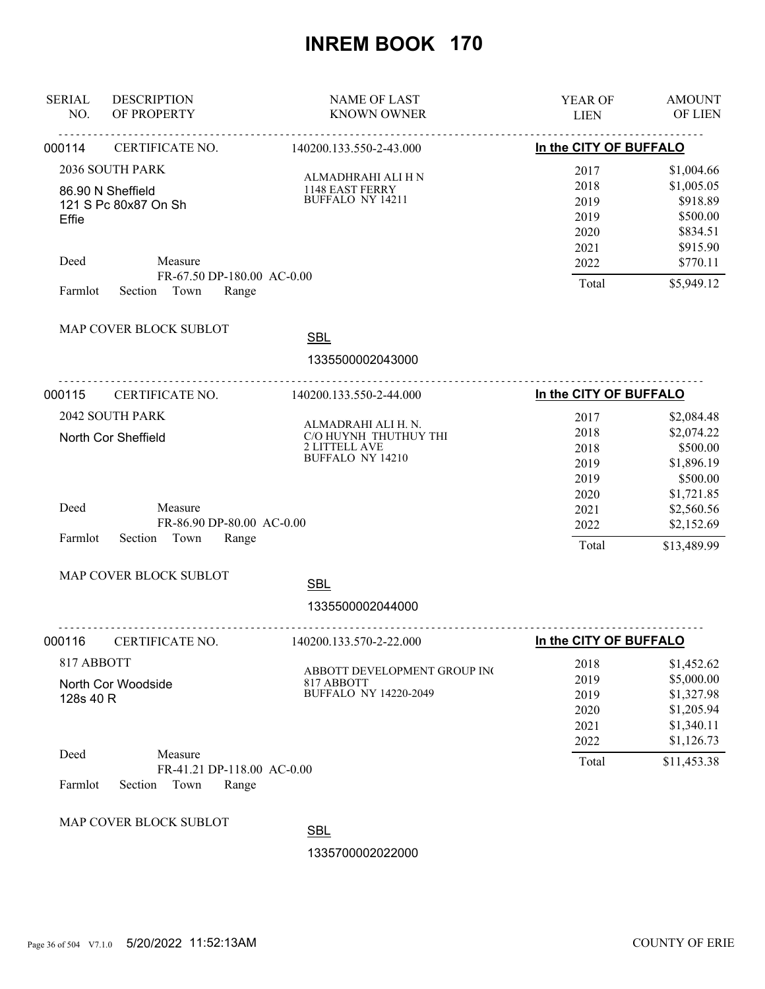| <b>SERIAL</b><br>NO.                                                                     | <b>DESCRIPTION</b><br>OF PROPERTY                                 | <b>NAME OF LAST</b><br><b>KNOWN OWNER</b>                                                | YEAR OF<br><b>LIEN</b>                               | <b>AMOUNT</b><br>OF LIEN                                                             |
|------------------------------------------------------------------------------------------|-------------------------------------------------------------------|------------------------------------------------------------------------------------------|------------------------------------------------------|--------------------------------------------------------------------------------------|
| 000114                                                                                   | CERTIFICATE NO.                                                   | <u>.</u><br>140200.133.550-2-43.000                                                      | In the CITY OF BUFFALO                               |                                                                                      |
| 2036 SOUTH PARK<br>86.90 N Sheffield<br>121 S Pc 80x87 On Sh<br>Effie<br>Deed<br>Measure |                                                                   | ALMADHRAHI ALI H N<br>1148 EAST FERRY<br>BUFFALO NY 14211                                | 2017<br>2018<br>2019<br>2019<br>2020<br>2021<br>2022 | \$1,004.66<br>\$1,005.05<br>\$918.89<br>\$500.00<br>\$834.51<br>\$915.90<br>\$770.11 |
| Farmlot                                                                                  | FR-67.50 DP-180.00 AC-0.00<br>Section Town<br>Range               |                                                                                          | Total                                                | \$5,949.12                                                                           |
|                                                                                          | MAP COVER BLOCK SUBLOT                                            | <b>SBL</b><br>1335500002043000                                                           |                                                      |                                                                                      |
| 000115                                                                                   | CERTIFICATE NO.                                                   | 140200.133.550-2-44.000                                                                  | In the CITY OF BUFFALO                               |                                                                                      |
| 2042 SOUTH PARK<br>North Cor Sheffield                                                   |                                                                   | ALMADRAHI ALI H. N.<br>C/O HUYNH THUTHUY THI<br>2 LITTELL AVE<br><b>BUFFALO NY 14210</b> | 2017<br>2018<br>2018<br>2019<br>2019                 | \$2,084.48<br>\$2,074.22<br>\$500.00<br>\$1,896.19<br>\$500.00                       |
| Deed<br>Farmlot                                                                          | Measure<br>FR-86.90 DP-80.00 AC-0.00<br>Section Town<br>Range     |                                                                                          | 2020<br>2021<br>2022<br>Total                        | \$1,721.85<br>\$2,560.56<br>\$2,152.69<br>\$13,489.99                                |
|                                                                                          | MAP COVER BLOCK SUBLOT                                            | <b>SBL</b>                                                                               |                                                      |                                                                                      |
|                                                                                          |                                                                   | 1335500002044000                                                                         |                                                      |                                                                                      |
| 000116                                                                                   | CERTIFICATE NO.                                                   | <u>.</u><br>140200.133.570-2-22.000                                                      | In the CITY OF BUFFALO                               |                                                                                      |
| 817 ABBOTT<br>North Cor Woodside<br>128s 40 R                                            |                                                                   | ABBOTT DEVELOPMENT GROUP INC<br>817 ABBOTT<br><b>BUFFALO NY 14220-2049</b>               | 2018<br>2019<br>2019<br>2020<br>2021<br>2022         | \$1,452.62<br>\$5,000.00<br>\$1,327.98<br>\$1,205.94<br>\$1,340.11<br>\$1,126.73     |
| Deed<br>Farmlot                                                                          | Measure<br>FR-41.21 DP-118.00 AC-0.00<br>Town<br>Section<br>Range |                                                                                          | Total                                                | \$11,453.38                                                                          |
|                                                                                          | MAP COVER BLOCK SUBLOT                                            | <b>SBL</b>                                                                               |                                                      |                                                                                      |
|                                                                                          |                                                                   | 1335700002022000                                                                         |                                                      |                                                                                      |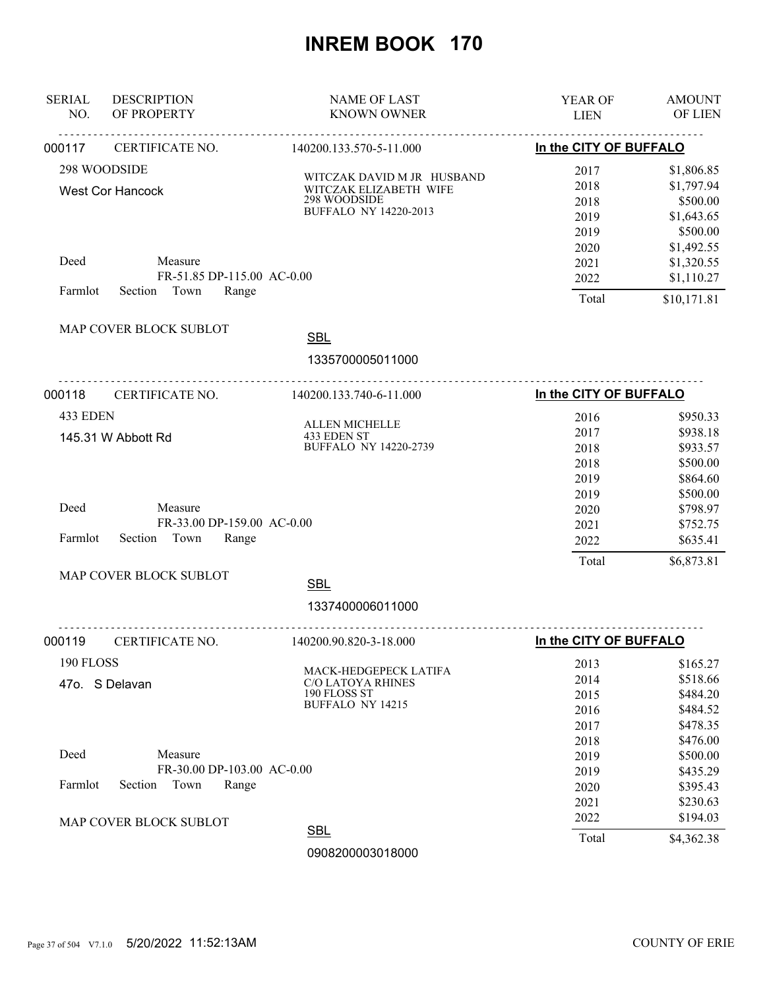| <b>SERIAL</b><br>NO. | <b>DESCRIPTION</b><br>OF PROPERTY                                 | <b>NAME OF LAST</b><br><b>KNOWN OWNER</b>                                                            | YEAR OF<br><b>LIEN</b>               | <b>AMOUNT</b><br>OF LIEN                                       |
|----------------------|-------------------------------------------------------------------|------------------------------------------------------------------------------------------------------|--------------------------------------|----------------------------------------------------------------|
| 000117               | CERTIFICATE NO.                                                   | 140200.133.570-5-11.000                                                                              | In the CITY OF BUFFALO               |                                                                |
|                      | 298 WOODSIDE<br><b>West Cor Hancock</b>                           | WITCZAK DAVID M JR HUSBAND<br>WITCZAK ELIZABETH WIFE<br>298 WOODSIDE<br><b>BUFFALO NY 14220-2013</b> | 2017<br>2018<br>2018<br>2019<br>2019 | \$1,806.85<br>\$1,797.94<br>\$500.00<br>\$1,643.65<br>\$500.00 |
| Deed<br>Farmlot      | Measure<br>FR-51.85 DP-115.00 AC-0.00<br>Section Town<br>Range    |                                                                                                      | 2020<br>2021<br>2022<br>Total        | \$1,492.55<br>\$1,320.55<br>\$1,110.27<br>\$10,171.81          |
|                      | MAP COVER BLOCK SUBLOT                                            | <b>SBL</b><br>1335700005011000                                                                       |                                      |                                                                |
| 000118               | CERTIFICATE NO.                                                   | 140200.133.740-6-11.000                                                                              | In the CITY OF BUFFALO               |                                                                |
| 433 EDEN             | 145.31 W Abbott Rd                                                | ALLEN MICHELLE<br>433 EDEN ST<br><b>BUFFALO NY 14220-2739</b>                                        | 2016<br>2017<br>2018<br>2018         | \$950.33<br>\$938.18<br>\$933.57<br>\$500.00                   |
| Deed<br>Farmlot      | Measure<br>FR-33.00 DP-159.00 AC-0.00<br>Section<br>Town<br>Range |                                                                                                      | 2019<br>2019<br>2020<br>2021<br>2022 | \$864.60<br>\$500.00<br>\$798.97<br>\$752.75<br>\$635.41       |
|                      |                                                                   |                                                                                                      | Total                                | \$6,873.81                                                     |
|                      | MAP COVER BLOCK SUBLOT                                            | <b>SBL</b>                                                                                           |                                      |                                                                |
|                      |                                                                   | 1337400006011000                                                                                     |                                      |                                                                |
| 000119               | CERTIFICATE NO.                                                   | 140200.90.820-3-18.000                                                                               | In the CITY OF BUFFALO               |                                                                |
| 190 FLOSS            | 47o. S Delavan                                                    | MACK-HEDGEPECK LATIFA<br><b>C/O LATOYA RHINES</b><br>190 FLOSS ST<br><b>BUFFALO NY 14215</b>         | 2013<br>2014<br>2015<br>2016<br>2017 | \$165.27<br>\$518.66<br>\$484.20<br>\$484.52<br>\$478.35       |
| Deed<br>Farmlot      | Measure<br>FR-30.00 DP-103.00 AC-0.00<br>Section<br>Town<br>Range |                                                                                                      | 2018<br>2019<br>2019<br>2020<br>2021 | \$476.00<br>\$500.00<br>\$435.29<br>\$395.43<br>\$230.63       |
|                      | MAP COVER BLOCK SUBLOT                                            | <b>SBL</b><br>0908200003018000                                                                       | 2022<br>Total                        | \$194.03<br>\$4,362.38                                         |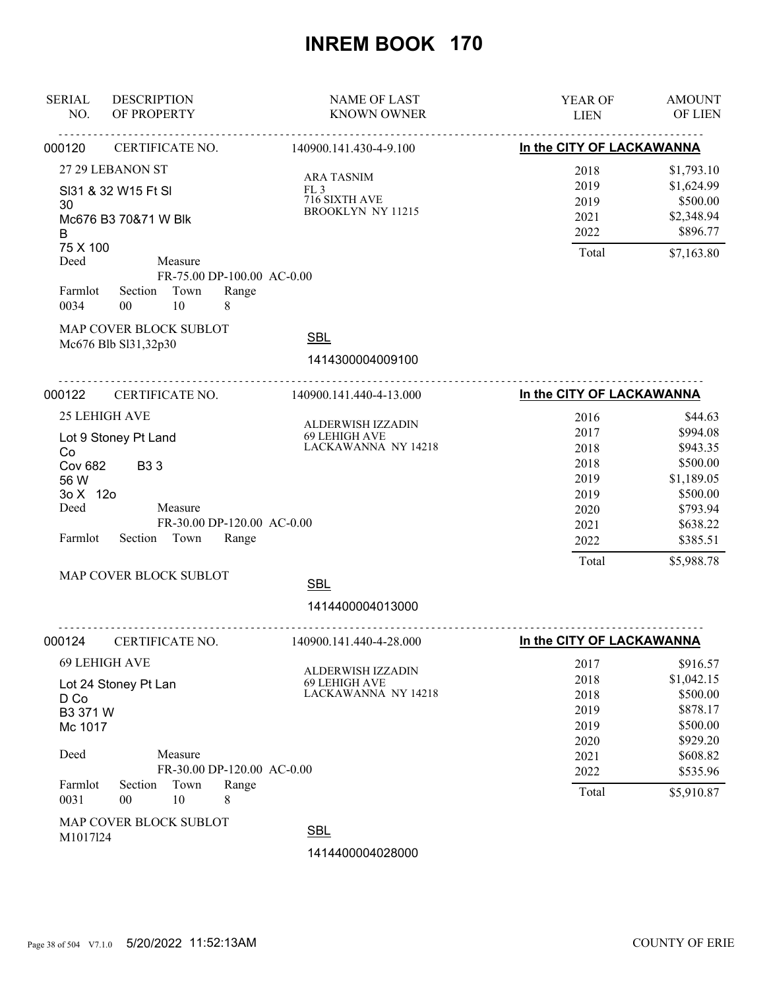| <b>SERIAL</b><br>NO.                                                                                                                                                                                                  | <b>DESCRIPTION</b><br>OF PROPERTY                                                                                           | <b>NAME OF LAST</b><br><b>KNOWN OWNER</b>                                                   | YEAR OF<br><b>LIEN</b>                                                        | <b>AMOUNT</b><br>OF LIEN                                                                                                |
|-----------------------------------------------------------------------------------------------------------------------------------------------------------------------------------------------------------------------|-----------------------------------------------------------------------------------------------------------------------------|---------------------------------------------------------------------------------------------|-------------------------------------------------------------------------------|-------------------------------------------------------------------------------------------------------------------------|
| 000120                                                                                                                                                                                                                | CERTIFICATE NO.                                                                                                             | 140900.141.430-4-9.100                                                                      | In the CITY OF LACKAWANNA                                                     |                                                                                                                         |
| 27 29 LEBANON ST<br>SI31 & 32 W15 Ft SI<br>30<br>Mc676 B3 70&71 W Blk<br>B                                                                                                                                            |                                                                                                                             | <b>ARA TASNIM</b><br>FL3<br>716 SIXTH AVE<br>BROOKLYN NY 11215                              | 2018<br>2019<br>2019<br>2021<br>2022                                          | \$1,793.10<br>\$1,624.99<br>\$500.00<br>\$2,348.94<br>\$896.77                                                          |
| 75 X 100<br>Deed<br>Farmlot<br>0034                                                                                                                                                                                   | Measure<br>FR-75.00 DP-100.00 AC-0.00<br>Section Town<br>Range<br>10<br>00<br>8                                             |                                                                                             | Total                                                                         | \$7,163.80                                                                                                              |
|                                                                                                                                                                                                                       | MAP COVER BLOCK SUBLOT<br>Mc676 Blb Sl31,32p30                                                                              | <b>SBL</b><br>1414300004009100                                                              |                                                                               |                                                                                                                         |
| 000122                                                                                                                                                                                                                | CERTIFICATE NO.                                                                                                             | 140900.141.440-4-13.000                                                                     | In the CITY OF LACKAWANNA                                                     |                                                                                                                         |
| <b>25 LEHIGH AVE</b><br>Lot 9 Stoney Pt Land<br>Co<br><b>Cov 682</b><br><b>B33</b><br>56 W<br>3o X 12o<br>Deed<br>Measure<br>FR-30.00 DP-120.00 AC-0.00<br>Farmlot<br>Section Town<br>Range<br>MAP COVER BLOCK SUBLOT |                                                                                                                             | ALDERWISH IZZADIN<br>69 LEHIGH AVE<br>LACKAWANNA NY 14218<br><b>SBL</b><br>1414400004013000 | 2016<br>2017<br>2018<br>2018<br>2019<br>2019<br>2020<br>2021<br>2022<br>Total | \$44.63<br>\$994.08<br>\$943.35<br>\$500.00<br>\$1,189.05<br>\$500.00<br>\$793.94<br>\$638.22<br>\$385.51<br>\$5,988.78 |
| 000124                                                                                                                                                                                                                | .<br>CERTIFICATE NO.                                                                                                        | .<br>140900.141.440-4-28.000                                                                | In the CITY OF LACKAWANNA                                                     |                                                                                                                         |
| D Co<br>B3 371 W<br>Mc 1017<br>Deed<br>Farmlot<br>0031                                                                                                                                                                | 69 LEHIGH AVE<br>Lot 24 Stoney Pt Lan<br>Measure<br>FR-30.00 DP-120.00 AC-0.00<br>Town<br>Section<br>Range<br>00<br>10<br>8 | ALDERWISH IZZADIN<br>69 LEHIGH AVE<br>LACKAWANNA NY 14218                                   | 2017<br>2018<br>2018<br>2019<br>2019<br>2020<br>2021<br>2022<br>Total         | \$916.57<br>\$1,042.15<br>\$500.00<br>\$878.17<br>\$500.00<br>\$929.20<br>\$608.82<br>\$535.96<br>\$5,910.87            |
| M1017124                                                                                                                                                                                                              | MAP COVER BLOCK SUBLOT                                                                                                      | <b>SBL</b>                                                                                  |                                                                               |                                                                                                                         |
|                                                                                                                                                                                                                       |                                                                                                                             | 1414400004028000                                                                            |                                                                               |                                                                                                                         |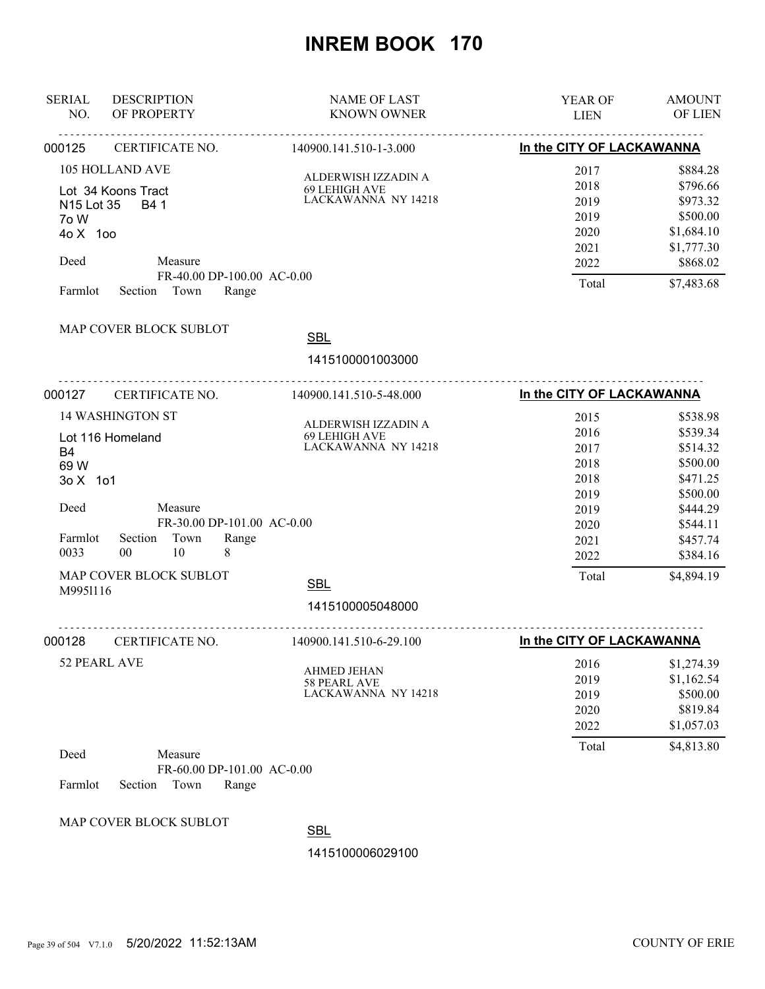| <b>SERIAL</b><br>NO.                   | <b>DESCRIPTION</b><br>OF PROPERTY                                                             | <b>NAME OF LAST</b><br><b>KNOWN OWNER</b>                   | YEAR OF<br><b>LIEN</b>                               | <b>AMOUNT</b><br>OF LIEN                                                             |
|----------------------------------------|-----------------------------------------------------------------------------------------------|-------------------------------------------------------------|------------------------------------------------------|--------------------------------------------------------------------------------------|
| 000125                                 | CERTIFICATE NO.                                                                               | 140900.141.510-1-3.000                                      | In the CITY OF LACKAWANNA                            |                                                                                      |
| N15 Lot 35<br>7o W<br>40 X 100<br>Deed | <b>105 HOLLAND AVE</b><br>Lot 34 Koons Tract<br>B4 1<br>Measure<br>FR-40.00 DP-100.00 AC-0.00 | ALDERWISH IZZADIN A<br>69 LEHIGH AVE<br>LACKAWANNA NY 14218 | 2017<br>2018<br>2019<br>2019<br>2020<br>2021<br>2022 | \$884.28<br>\$796.66<br>\$973.32<br>\$500.00<br>\$1,684.10<br>\$1,777.30<br>\$868.02 |
| Farmlot                                | Section Town<br>Range<br>MAP COVER BLOCK SUBLOT                                               | <b>SBL</b>                                                  | Total                                                | \$7,483.68                                                                           |
|                                        |                                                                                               | 1415100001003000                                            |                                                      |                                                                                      |
| 000127                                 | CERTIFICATE NO.                                                                               | 140900.141.510-5-48.000                                     | In the CITY OF LACKAWANNA                            |                                                                                      |
| <b>B4</b><br>69 W<br>3o X 1o1          | <b>14 WASHINGTON ST</b><br>Lot 116 Homeland                                                   | ALDERWISH IZZADIN A<br>69 LEHIGH AVE<br>LACKAWANNA NY 14218 | 2015<br>2016<br>2017<br>2018<br>2018                 | \$538.98<br>\$539.34<br>\$514.32<br>\$500.00<br>\$471.25                             |
| Deed<br>Farmlot<br>0033                | Measure<br>FR-30.00 DP-101.00 AC-0.00<br>Town<br>Range<br>Section<br>$00\,$<br>10<br>8        |                                                             | 2019<br>2019<br>2020<br>2021<br>2022                 | \$500.00<br>\$444.29<br>\$544.11<br>\$457.74<br>\$384.16                             |
| M9951116                               | MAP COVER BLOCK SUBLOT                                                                        | <b>SBL</b><br>1415100005048000                              | Total                                                | \$4,894.19                                                                           |
| 000128                                 | CERTIFICATE NO.                                                                               | <u>.</u><br>140900.141.510-6-29.100                         | In the CITY OF LACKAWANNA                            |                                                                                      |
|                                        | 52 PEARL AVE                                                                                  | <b>AHMED JEHAN</b><br>58 PEARL AVE<br>LACKAWANNA NY 14218   | 2016<br>2019<br>2019<br>2020<br>2022                 | \$1,274.39<br>\$1,162.54<br>\$500.00<br>\$819.84<br>\$1,057.03                       |
| Deed<br>Farmlot                        | Measure<br>FR-60.00 DP-101.00 AC-0.00<br>Section<br>Town<br>Range                             |                                                             | Total                                                | \$4,813.80                                                                           |
|                                        | MAP COVER BLOCK SUBLOT                                                                        | <b>SBL</b><br>1415100006029100                              |                                                      |                                                                                      |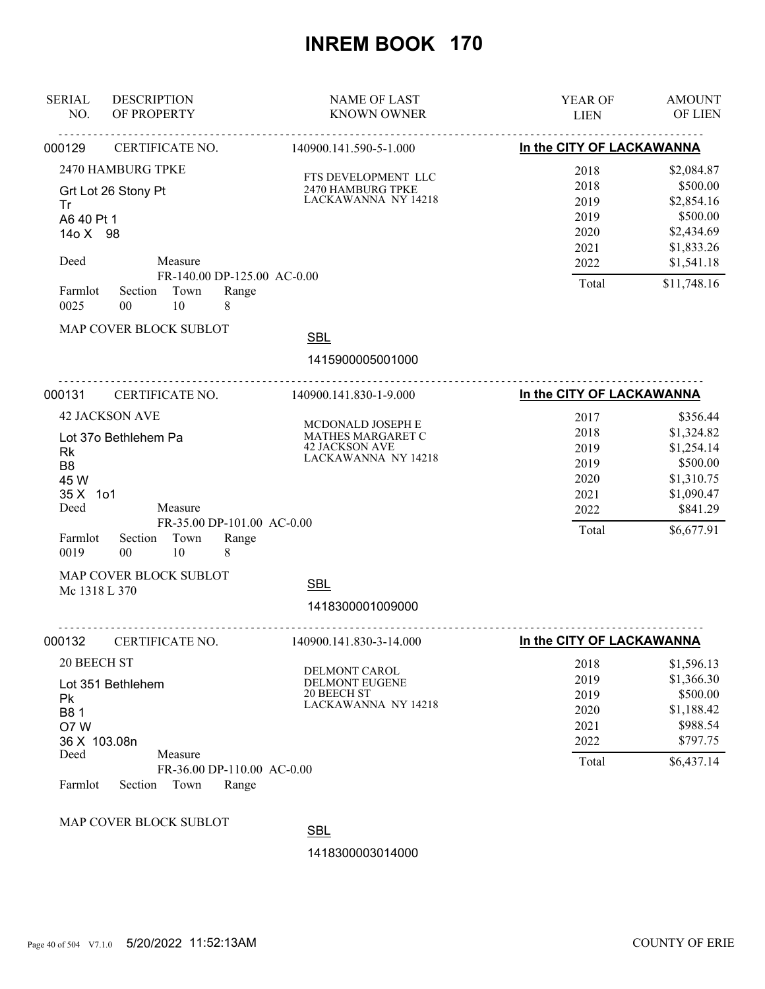| <b>SERIAL</b><br>NO.                                                                        | <b>DESCRIPTION</b><br>OF PROPERTY                                                                                      | <b>NAME OF LAST</b><br><b>KNOWN OWNER</b>                                                                                                                       | YEAR OF<br><b>LIEN</b>                                        | <b>AMOUNT</b><br>OF LIEN                                                                               |
|---------------------------------------------------------------------------------------------|------------------------------------------------------------------------------------------------------------------------|-----------------------------------------------------------------------------------------------------------------------------------------------------------------|---------------------------------------------------------------|--------------------------------------------------------------------------------------------------------|
| 000129                                                                                      | CERTIFICATE NO.                                                                                                        | <u>.</u><br>140900.141.590-5-1.000                                                                                                                              | In the CITY OF LACKAWANNA                                     |                                                                                                        |
| Tr<br>A6 40 Pt 1<br>14o X 98<br>Deed                                                        | 2470 HAMBURG TPKE<br>Grt Lot 26 Stony Pt<br>Measure                                                                    | FTS DEVELOPMENT LLC<br>2470 HAMBURG TPKE<br>LACKAWANNA NY 14218<br>FR-140.00 DP-125.00 AC-0.00                                                                  | 2018<br>2018<br>2019<br>2019<br>2020<br>2021<br>2022          | \$2,084.87<br>\$500.00<br>\$2,854.16<br>\$500.00<br>\$2,434.69<br>\$1,833.26<br>\$1,541.18             |
| Farmlot<br>0025                                                                             | Section<br>Town<br>10<br>8<br>$00\,$                                                                                   | Range                                                                                                                                                           | Total                                                         | \$11,748.16                                                                                            |
|                                                                                             | MAP COVER BLOCK SUBLOT                                                                                                 | <b>SBL</b><br>1415900005001000                                                                                                                                  |                                                               |                                                                                                        |
| 000131                                                                                      | CERTIFICATE NO.                                                                                                        | .<br>.<br>140900.141.830-1-9.000                                                                                                                                | In the CITY OF LACKAWANNA                                     |                                                                                                        |
| <b>Rk</b><br>B <sub>8</sub><br>45 W<br>35 X 1o1<br>Deed<br>Farmlot<br>0019<br>Mc 1318 L 370 | <b>42 JACKSON AVE</b><br>Lot 37o Bethlehem Pa<br>Measure<br>Section<br>Town<br>10<br>00<br>8<br>MAP COVER BLOCK SUBLOT | MCDONALD JOSEPH E<br>MATHES MARGARET C<br><b>42 JACKSON AVE</b><br>LACKAWANNA NY 14218<br>FR-35.00 DP-101.00 AC-0.00<br>Range<br><b>SBL</b><br>1418300001009000 | 2017<br>2018<br>2019<br>2019<br>2020<br>2021<br>2022<br>Total | \$356.44<br>\$1,324.82<br>\$1,254.14<br>\$500.00<br>\$1,310.75<br>\$1,090.47<br>\$841.29<br>\$6,677.91 |
| 000132                                                                                      | CERTIFICATE NO.                                                                                                        | .<br>140900.141.830-3-14.000                                                                                                                                    | In the CITY OF LACKAWANNA                                     |                                                                                                        |
| 20 BEECH ST<br>Pk<br>B81<br>O7W<br>36 X 103.08n<br>Deed<br>Farmlot                          | Lot 351 Bethlehem<br>Measure<br>Section<br>Town                                                                        | DELMONT CAROL<br><b>DELMONT EUGENE</b><br><b>20 BEECH ST</b><br>LACKAWANNA NY 14218<br>FR-36.00 DP-110.00 AC-0.00<br>Range                                      | 2018<br>2019<br>2019<br>2020<br>2021<br>2022<br>Total         | \$1,596.13<br>\$1,366.30<br>\$500.00<br>\$1,188.42<br>\$988.54<br>\$797.75<br>\$6,437.14               |
|                                                                                             | MAP COVER BLOCK SUBLOT                                                                                                 | <b>SBL</b>                                                                                                                                                      |                                                               |                                                                                                        |
|                                                                                             |                                                                                                                        | 1418300003014000                                                                                                                                                |                                                               |                                                                                                        |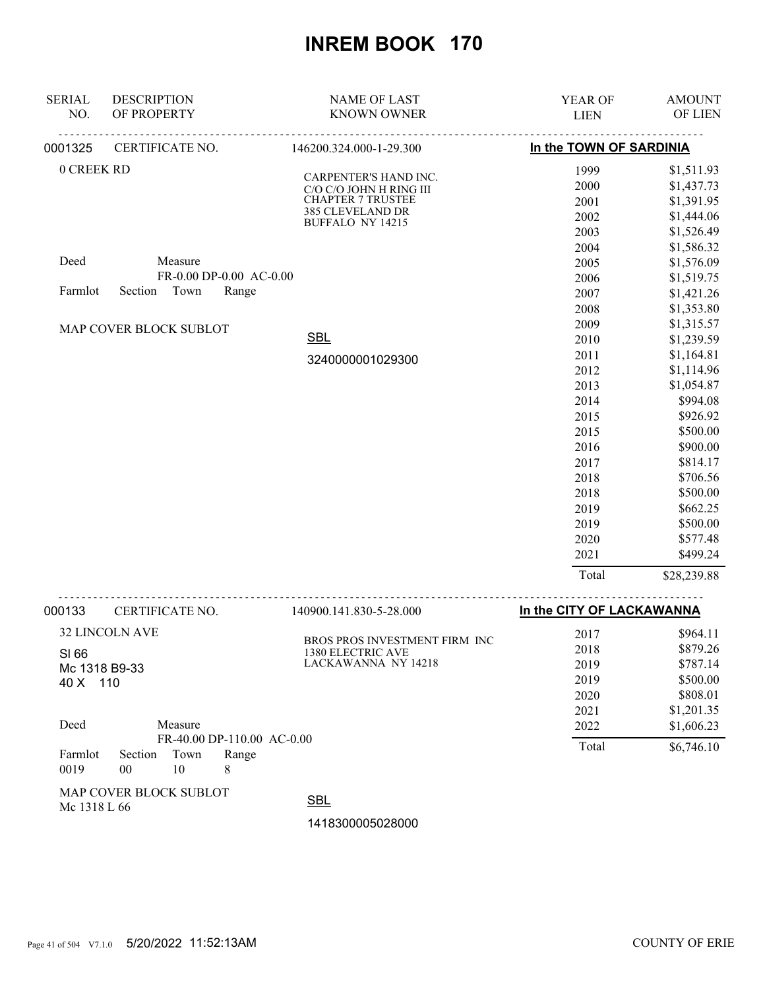| <b>SERIAL</b> | <b>DESCRIPTION</b>      | <b>NAME OF LAST</b>                              | YEAR OF                 | <b>AMOUNT</b> |
|---------------|-------------------------|--------------------------------------------------|-------------------------|---------------|
| NO.           | OF PROPERTY             | <b>KNOWN OWNER</b>                               | <b>LIEN</b>             | OF LIEN       |
| 0001325       | .<br>CERTIFICATE NO.    | 146200.324.000-1-29.300                          | In the TOWN OF SARDINIA |               |
| 0 CREEK RD    |                         |                                                  | 1999                    | \$1,511.93    |
|               |                         | CARPENTER'S HAND INC.<br>C/O C/O JOHN H RING III | 2000                    | \$1,437.73    |
|               |                         | <b>CHAPTER 7 TRUSTEE</b>                         | 2001                    | \$1,391.95    |
|               |                         | 385 CLEVELAND DR                                 | 2002                    | \$1,444.06    |
|               |                         | BUFFALO NY 14215                                 | 2003                    | \$1,526.49    |
|               |                         |                                                  | 2004                    | \$1,586.32    |
| Deed          | Measure                 |                                                  | 2005                    | \$1,576.09    |
|               | FR-0.00 DP-0.00 AC-0.00 |                                                  | 2006                    | \$1,519.75    |
| Farmlot       | Section Town<br>Range   |                                                  | 2007                    | \$1,421.26    |
|               |                         |                                                  | 2008                    | \$1,353.80    |
|               | MAP COVER BLOCK SUBLOT  |                                                  | 2009                    | \$1,315.57    |
|               |                         | <b>SBL</b>                                       | 2010                    | \$1,239.59    |
|               |                         | 3240000001029300                                 | 2011                    | \$1,164.81    |
|               |                         |                                                  | 2012                    | \$1,114.96    |
|               |                         |                                                  | 2013                    | \$1,054.87    |
|               |                         |                                                  | 2014                    | \$994.08      |
|               |                         |                                                  | 2015                    | \$926.92      |
|               |                         |                                                  | 2015                    | \$500.00      |
|               |                         |                                                  | 2016                    | \$900.00      |
|               |                         |                                                  | 2017                    | \$814.17      |
|               |                         |                                                  | 2018                    | \$706.56      |
|               |                         |                                                  | 2018                    | \$500.00      |
|               |                         |                                                  | 2019                    | \$662.25      |
|               |                         |                                                  | 2019                    | \$500.00      |
|               |                         |                                                  | 2020                    | \$577.48      |
|               |                         |                                                  | 2021                    | \$499.24      |
|               |                         |                                                  | Total                   | \$28,239.88   |
|               |                         |                                                  |                         |               |

| 000133          | CERTIFICATE NO.        |            |                                          | 140900.141.830-5-28.000        |      | In the CITY OF LACKAWANNA |            |
|-----------------|------------------------|------------|------------------------------------------|--------------------------------|------|---------------------------|------------|
|                 | <b>32 LINCOLN AVE</b>  |            |                                          | BROS PROS INVESTMENT FIRM INC. |      | 2017                      | \$964.11   |
| SI 66           |                        |            |                                          | 1380 ELECTRIC AVE              |      | 2018                      | \$879.26   |
|                 | Mc 1318 B9-33          |            |                                          | LACKAWANNA NY 14218            |      | 2019                      | \$787.14   |
| 110<br>40 X     |                        |            |                                          |                                | 2019 | \$500.00                  |            |
|                 |                        |            |                                          |                                | 2020 | \$808.01                  |            |
|                 |                        |            |                                          |                                |      | 2021                      | \$1,201.35 |
| Deed            |                        | Measure    |                                          |                                |      | 2022                      | \$1,606.23 |
| Farmlot<br>0019 | Section<br>00          | Town<br>10 | FR-40.00 DP-110.00 AC-0.00<br>Range<br>8 |                                |      | Total                     | \$6,746.10 |
|                 | MAP COVER BLOCK SUBLOT |            |                                          | $\sim$                         |      |                           |            |

Mc 1318 L 66

SBL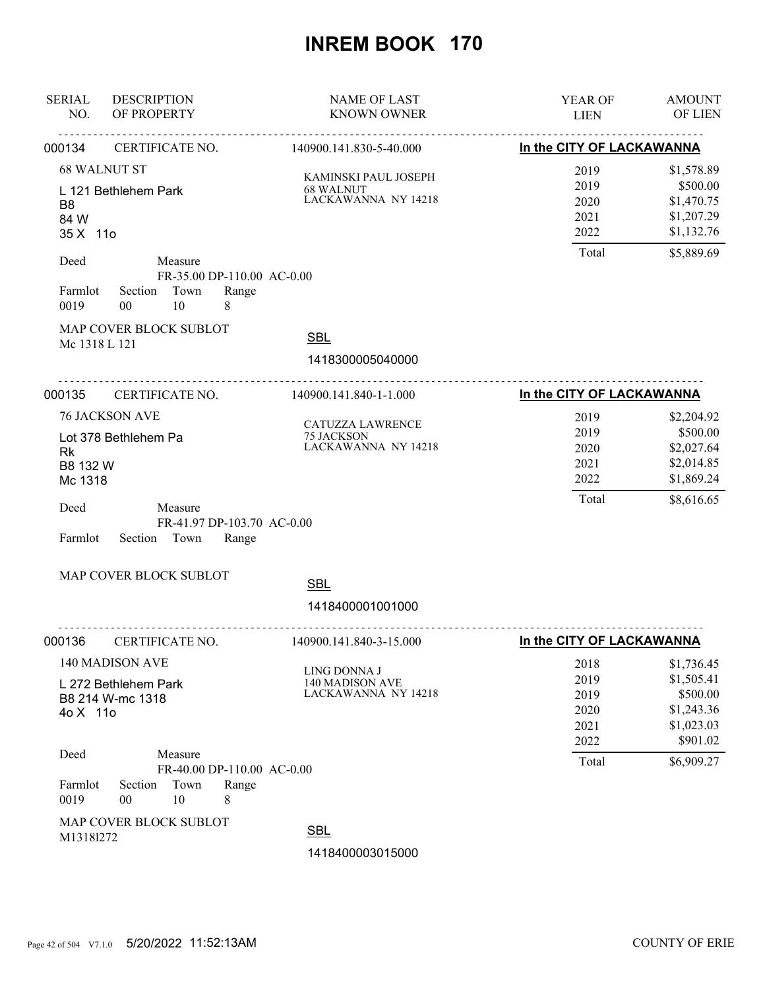| <b>SERIAL</b><br><b>DESCRIPTION</b><br>OF PROPERTY<br>NO.                                                                                                        | <b>NAME OF LAST</b><br><b>KNOWN OWNER</b>                      | YEAR OF<br><b>LIEN</b>                        | <b>AMOUNT</b><br>OF LIEN                                                       |  |  |
|------------------------------------------------------------------------------------------------------------------------------------------------------------------|----------------------------------------------------------------|-----------------------------------------------|--------------------------------------------------------------------------------|--|--|
| CERTIFICATE NO.<br>000134                                                                                                                                        | 140900.141.830-5-40.000                                        |                                               | In the CITY OF LACKAWANNA                                                      |  |  |
| <b>68 WALNUT ST</b><br>L 121 Bethlehem Park<br>B <sub>8</sub><br>84 W<br>35 X 11o                                                                                | KAMINSKI PAUL JOSEPH<br>68 WALNUT<br>LACKAWANNA NY 14218       | 2019<br>2019<br>2020<br>2021<br>2022          | \$1,578.89<br>\$500.00<br>\$1,470.75<br>\$1,207.29<br>\$1,132.76               |  |  |
| Deed<br>Measure<br>FR-35.00 DP-110.00 AC-0.00<br>Town<br>Farmlot<br>Section<br>0019<br>00<br>10<br>8                                                             | Range                                                          | Total                                         | \$5,889.69                                                                     |  |  |
| MAP COVER BLOCK SUBLOT<br>Mc 1318 L 121                                                                                                                          | <b>SBL</b><br>1418300005040000                                 |                                               |                                                                                |  |  |
| 000135<br>CERTIFICATE NO.                                                                                                                                        | 140900.141.840-1-1.000                                         | In the CITY OF LACKAWANNA                     |                                                                                |  |  |
| <b>76 JACKSON AVE</b><br>Lot 378 Bethlehem Pa<br><b>Rk</b><br>B8 132 W<br>Mc 1318<br>Deed<br>Measure<br>FR-41.97 DP-103.70 AC-0.00<br>Town<br>Farmlot<br>Section | CATUZZA LAWRENCE<br>75 JACKSON<br>LACKAWANNA NY 14218<br>Range | 2019<br>2019<br>2020<br>2021<br>2022<br>Total | \$2,204.92<br>\$500.00<br>\$2,027.64<br>\$2,014.85<br>\$1,869.24<br>\$8,616.65 |  |  |
| MAP COVER BLOCK SUBLOT                                                                                                                                           | <b>SBL</b><br>1418400001001000                                 |                                               |                                                                                |  |  |
| 000136<br>CERTIFICATE NO.                                                                                                                                        | <u>.</u><br>140900.141.840-3-15.000                            | In the CITY OF LACKAWANNA                     |                                                                                |  |  |
| 140 MADISON AVE<br>L 272 Bethlehem Park<br>B8 214 W-mc 1318<br>4o X 11o                                                                                          | LING DONNA J<br>140 MADISON AVE<br>LACKAWANNA NY 14218         | 2018<br>2019<br>2019<br>2020<br>2021<br>2022  | \$1,736.45<br>\$1,505.41<br>\$500.00<br>\$1,243.36<br>\$1,023.03<br>\$901.02   |  |  |
| Deed<br>Measure<br>FR-40.00 DP-110.00 AC-0.00<br>Town<br>Farmlot<br>Section<br>0019<br>10<br>00<br>8                                                             | Range                                                          | Total                                         | \$6,909.27                                                                     |  |  |
| MAP COVER BLOCK SUBLOT<br>M13181272                                                                                                                              | <b>SBL</b><br>1418400003015000                                 |                                               |                                                                                |  |  |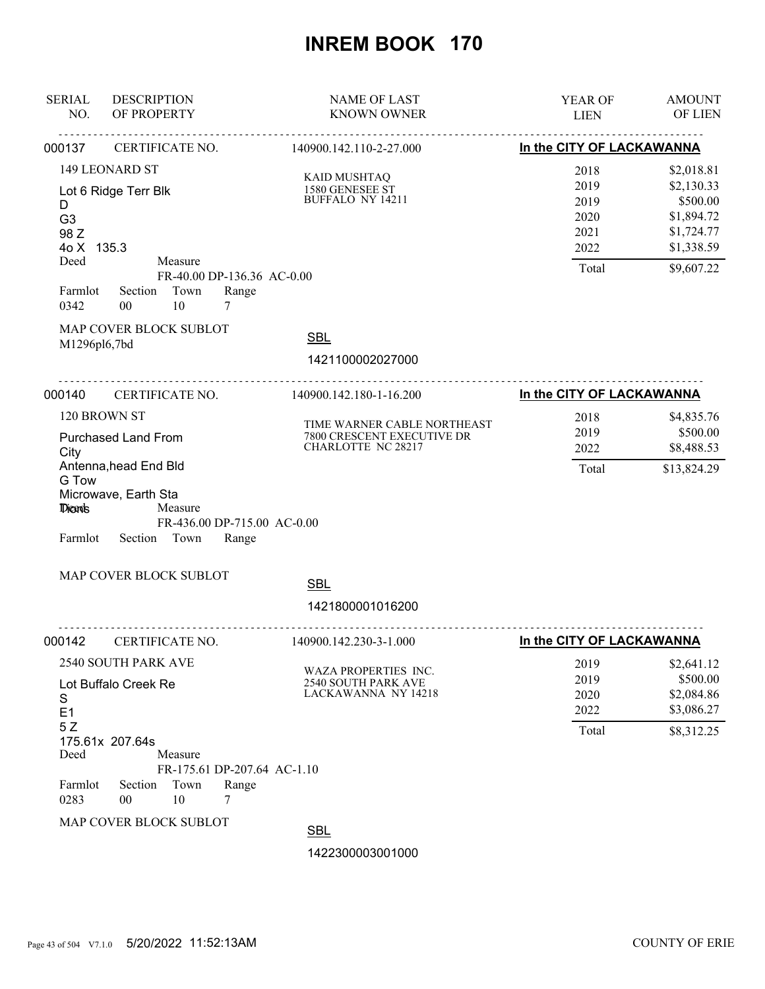| <b>SERIAL</b><br>NO.                               | <b>DESCRIPTION</b><br>OF PROPERTY                              |                                                                                        |                                           | <b>NAME OF LAST</b><br><b>KNOWN OWNER</b>                                 | YEAR OF<br><b>LIEN</b>                                | <b>AMOUNT</b><br>OF LIEN                                                                     |  |
|----------------------------------------------------|----------------------------------------------------------------|----------------------------------------------------------------------------------------|-------------------------------------------|---------------------------------------------------------------------------|-------------------------------------------------------|----------------------------------------------------------------------------------------------|--|
| 000137                                             | CERTIFICATE NO.                                                |                                                                                        |                                           | 140900.142.110-2-27.000                                                   | In the CITY OF LACKAWANNA                             |                                                                                              |  |
| D<br>G <sub>3</sub><br>98 Z<br>4o X 135.3<br>Deed  | 149 LEONARD ST<br>Lot 6 Ridge Terr Blk                         | Measure                                                                                |                                           | <b>KAID MUSHTAQ</b><br>1580 GENESEE ST<br>BUFFALO NY 14211                | 2018<br>2019<br>2019<br>2020<br>2021<br>2022<br>Total | \$2,018.81<br>\$2,130.33<br>\$500.00<br>\$1,894.72<br>\$1,724.77<br>\$1,338.59<br>\$9,607.22 |  |
| Farmlot<br>0342<br>M1296pl6,7bd                    | Section<br>00<br>MAP COVER BLOCK SUBLOT                        | Town<br>10                                                                             | FR-40.00 DP-136.36 AC-0.00<br>Range<br>7  | <b>SBL</b><br>1421100002027000                                            |                                                       |                                                                                              |  |
| 000140                                             | CERTIFICATE NO.                                                |                                                                                        |                                           | 140900.142.180-1-16.200                                                   | In the CITY OF LACKAWANNA                             |                                                                                              |  |
| 120 BROWN ST<br><b>Purchased Land From</b><br>City |                                                                | TIME WARNER CABLE NORTHEAST<br>7800 CRESCENT EXECUTIVE DR<br><b>CHARLOTTE NC 28217</b> | 2018<br>2019<br>2022                      | \$4,835.76<br>\$500.00<br>\$8,488.53                                      |                                                       |                                                                                              |  |
| G Tow<br>Dionts<br>Farmlot                         | Microwave, Earth Sta<br>Section Town<br>MAP COVER BLOCK SUBLOT | Measure                                                                                | FR-436.00 DP-715.00 AC-0.00<br>Range      | <b>SBL</b><br>1421800001016200                                            |                                                       |                                                                                              |  |
| 000142                                             | CERTIFICATE NO.                                                |                                                                                        | <u>.</u>                                  | <u>.</u> .<br>140900.142.230-3-1.000                                      | In the CITY OF LACKAWANNA                             |                                                                                              |  |
| S<br>E <sub>1</sub><br>5Z                          | 2540 SOUTH PARK AVE<br>Lot Buffalo Creek Re<br>175.61x 207.64s |                                                                                        |                                           | WAZA PROPERTIES INC.<br><b>2540 SOUTH PARK AVE</b><br>LACKAWANNA NY 14218 | 2019<br>2019<br>2020<br>2022<br>Total                 | \$2,641.12<br>\$500.00<br>\$2,084.86<br>\$3,086.27<br>\$8,312.25                             |  |
| Deed<br>Farmlot<br>0283                            | Section<br>00                                                  | Measure<br>Town<br>10                                                                  | FR-175.61 DP-207.64 AC-1.10<br>Range<br>7 |                                                                           |                                                       |                                                                                              |  |
|                                                    | MAP COVER BLOCK SUBLOT                                         |                                                                                        |                                           | <b>SBL</b>                                                                |                                                       |                                                                                              |  |
|                                                    |                                                                |                                                                                        |                                           | 1422300003001000                                                          |                                                       |                                                                                              |  |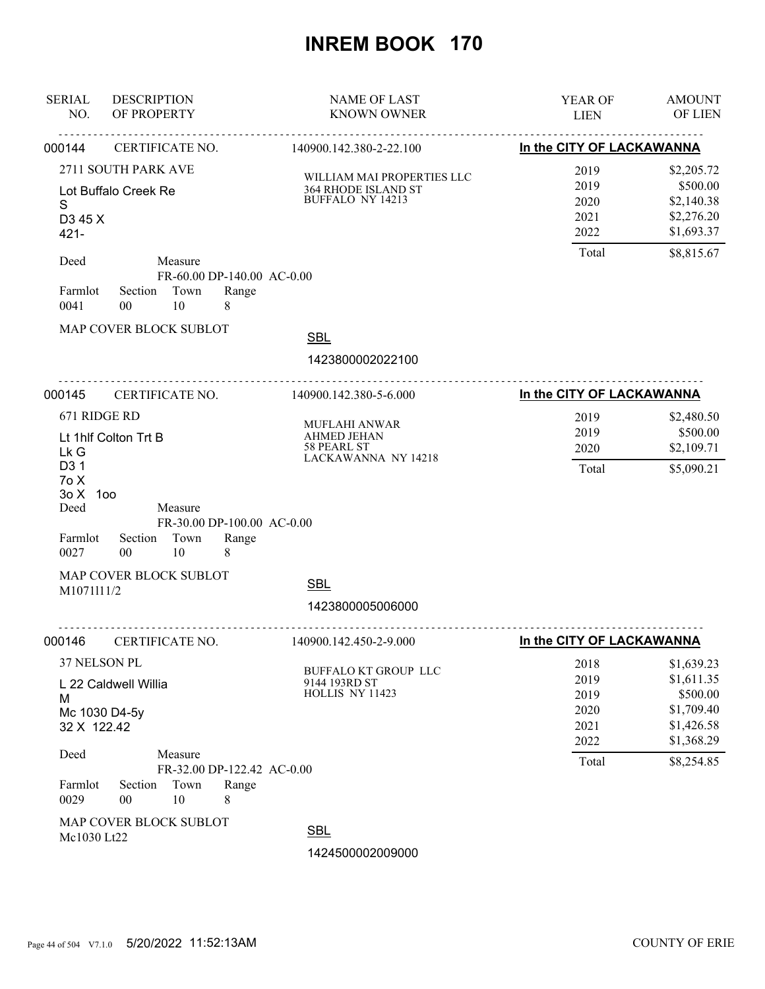| <b>SERIAL</b><br>NO.                             | <b>DESCRIPTION</b><br>OF PROPERTY           |                       |                                          | <b>NAME OF LAST</b><br><b>KNOWN OWNER</b>                                 | YEAR OF<br><b>LIEN</b>                       | <b>AMOUNT</b><br>OF LIEN                                                       |
|--------------------------------------------------|---------------------------------------------|-----------------------|------------------------------------------|---------------------------------------------------------------------------|----------------------------------------------|--------------------------------------------------------------------------------|
| 000144                                           | CERTIFICATE NO.                             |                       | <u>.</u>                                 | <u>.</u><br>140900.142.380-2-22.100                                       | In the CITY OF LACKAWANNA                    |                                                                                |
| S<br>D <sub>3</sub> 45 X<br>$421 -$              | 2711 SOUTH PARK AVE<br>Lot Buffalo Creek Re |                       |                                          | WILLIAM MAI PROPERTIES LLC<br>364 RHODE ISLAND ST<br>BUFFALO NY 14213     | 2019<br>2019<br>2020<br>2021<br>2022         | \$2,205.72<br>\$500.00<br>\$2,140.38<br>\$2,276.20<br>\$1,693.37               |
| Deed<br>Farmlot<br>0041                          | Section<br>$00\,$                           | Measure<br>Town<br>10 | FR-60.00 DP-140.00 AC-0.00<br>Range<br>8 |                                                                           | Total                                        | \$8,815.67                                                                     |
|                                                  | MAP COVER BLOCK SUBLOT                      |                       |                                          | <b>SBL</b><br>1423800002022100<br><u>.</u>                                |                                              |                                                                                |
| 000145                                           | CERTIFICATE NO.                             |                       |                                          | 140900.142.380-5-6.000                                                    |                                              | In the CITY OF LACKAWANNA                                                      |
| 671 RIDGE RD<br>Lk G<br>D <sub>3</sub> 1<br>7o X | Lt 1hlf Colton Trt B                        |                       |                                          | <b>MUFLAHI ANWAR</b><br>AHMED JEHAN<br>58 PEARL ST<br>LACKAWANNA NY 14218 | 2019<br>2019<br>2020<br>Total                | \$2,480.50<br>\$500.00<br>\$2,109.71<br>\$5,090.21                             |
| 30X<br>Deed<br>Farmlot<br>0027                   | 100<br>Section<br>$00\,$                    | Measure<br>Town<br>10 | FR-30.00 DP-100.00 AC-0.00<br>Range<br>8 |                                                                           |                                              |                                                                                |
| M1071111/2                                       | MAP COVER BLOCK SUBLOT                      |                       |                                          | <b>SBL</b><br>1423800005006000                                            |                                              |                                                                                |
| 000146                                           | CERTIFICATE NO.                             |                       |                                          | 140900.142.450-2-9.000                                                    | In the CITY OF LACKAWANNA                    |                                                                                |
| 37 NELSON PL<br>M<br>32 X 122.42                 | L 22 Caldwell Willia<br>Mc 1030 D4-5y       |                       |                                          | BUFFALO KT GROUP LLC<br>9144 193RD ST<br>HOLLIS NY 11423                  | 2018<br>2019<br>2019<br>2020<br>2021<br>2022 | \$1,639.23<br>\$1,611.35<br>\$500.00<br>\$1,709.40<br>\$1,426.58<br>\$1,368.29 |
| Deed<br>Farmlot<br>0029                          | Section<br>$00\,$<br>MAP COVER BLOCK SUBLOT | Measure<br>Town<br>10 | FR-32.00 DP-122.42 AC-0.00<br>Range<br>8 |                                                                           | Total                                        | \$8,254.85                                                                     |
| Mc1030 Lt22                                      |                                             |                       |                                          | <b>SBL</b><br>1424500002009000                                            |                                              |                                                                                |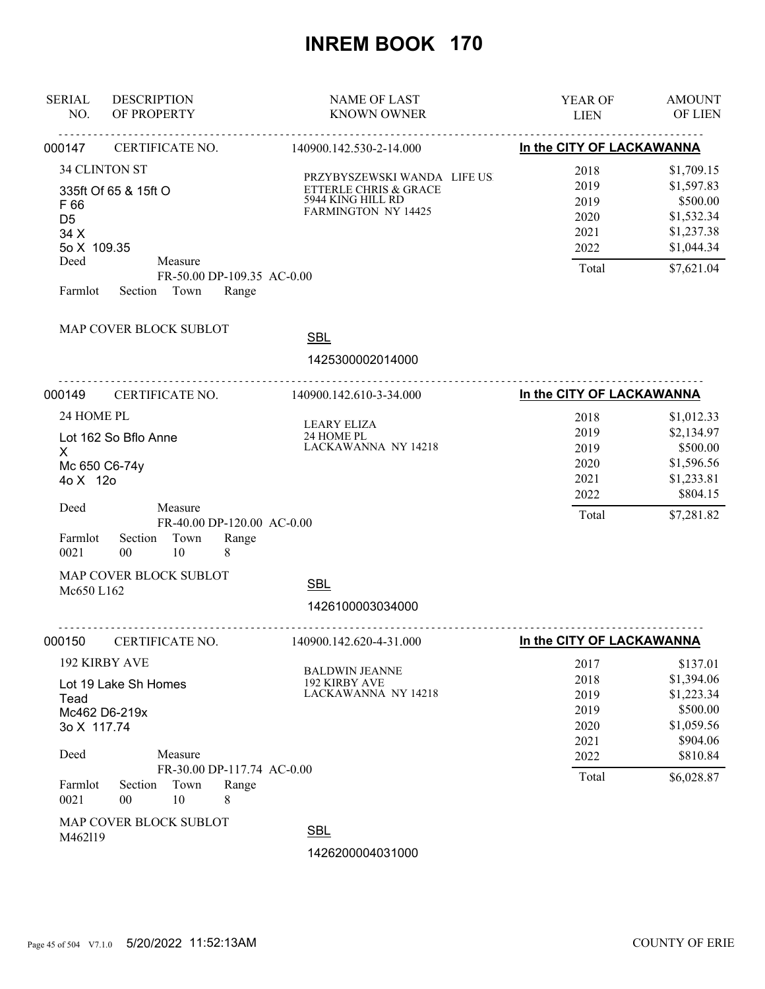| <b>SERIAL</b><br>NO.                                             | <b>DESCRIPTION</b><br>OF PROPERTY                                                                          | <b>NAME OF LAST</b><br><b>KNOWN OWNER</b>                                                                | YEAR OF<br><b>LIEN</b>                                | <b>AMOUNT</b><br>OF LIEN                                                                     |
|------------------------------------------------------------------|------------------------------------------------------------------------------------------------------------|----------------------------------------------------------------------------------------------------------|-------------------------------------------------------|----------------------------------------------------------------------------------------------|
| 000147                                                           | CERTIFICATE NO.                                                                                            | 140900.142.530-2-14.000                                                                                  | In the CITY OF LACKAWANNA                             |                                                                                              |
| F 66<br>D <sub>5</sub><br>34 X<br>5o X 109.35<br>Deed<br>Farmlot | 34 CLINTON ST<br>335ft Of 65 & 15ft O<br>Measure<br>FR-50.00 DP-109.35 AC-0.00<br>Town<br>Section<br>Range | PRZYBYSZEWSKI WANDA LIFE US.<br>ETTERLE CHRIS & GRACE<br>5944 KING HILL RD<br><b>FARMINGTON NY 14425</b> | 2018<br>2019<br>2019<br>2020<br>2021<br>2022<br>Total | \$1,709.15<br>\$1,597.83<br>\$500.00<br>\$1,532.34<br>\$1,237.38<br>\$1,044.34<br>\$7,621.04 |
|                                                                  | MAP COVER BLOCK SUBLOT                                                                                     | <b>SBL</b><br>1425300002014000                                                                           |                                                       |                                                                                              |
| 000149                                                           | CERTIFICATE NO.                                                                                            | 140900.142.610-3-34.000                                                                                  | In the CITY OF LACKAWANNA                             |                                                                                              |
| 24 HOME PL<br>X<br>4o X 12o<br>Deed                              | Lot 162 So Bflo Anne<br>Mc 650 C6-74y<br>Measure<br>FR-40.00 DP-120.00 AC-0.00                             | LEARY ELIZA<br>24 HOME PL<br>LACKAWANNA NY 14218                                                         | 2018<br>2019<br>2019<br>2020<br>2021<br>2022<br>Total | \$1,012.33<br>\$2,134.97<br>\$500.00<br>\$1,596.56<br>\$1,233.81<br>\$804.15<br>\$7,281.82   |
| Farmlot<br>0021                                                  | Town<br>Section<br>Range<br>10<br>00<br>8                                                                  |                                                                                                          |                                                       |                                                                                              |
| Mc650 L162                                                       | MAP COVER BLOCK SUBLOT                                                                                     | <b>SBL</b><br>1426100003034000                                                                           |                                                       |                                                                                              |
| 000150                                                           | CERTIFICATE NO.                                                                                            | 140900.142.620-4-31.000                                                                                  | In the CITY OF LACKAWANNA                             |                                                                                              |
| Tead<br>3o X 117.74<br>Deed                                      | 192 KIRBY AVE<br>Lot 19 Lake Sh Homes<br>Mc462 D6-219x<br>Measure                                          | <b>BALDWIN JEANNE</b><br>192 KIRBY AVE<br>LACKAWANNA NY 14218                                            | 2017<br>2018<br>2019<br>2019<br>2020<br>2021<br>2022  | \$137.01<br>\$1,394.06<br>\$1,223.34<br>\$500.00<br>\$1,059.56<br>\$904.06<br>\$810.84       |
| Farmlot<br>0021                                                  | FR-30.00 DP-117.74 AC-0.00<br>Town<br>Section<br>Range<br>00<br>10<br>8                                    |                                                                                                          | Total                                                 | \$6,028.87                                                                                   |
| M462119                                                          | MAP COVER BLOCK SUBLOT                                                                                     | <b>SBL</b><br>1426200004031000                                                                           |                                                       |                                                                                              |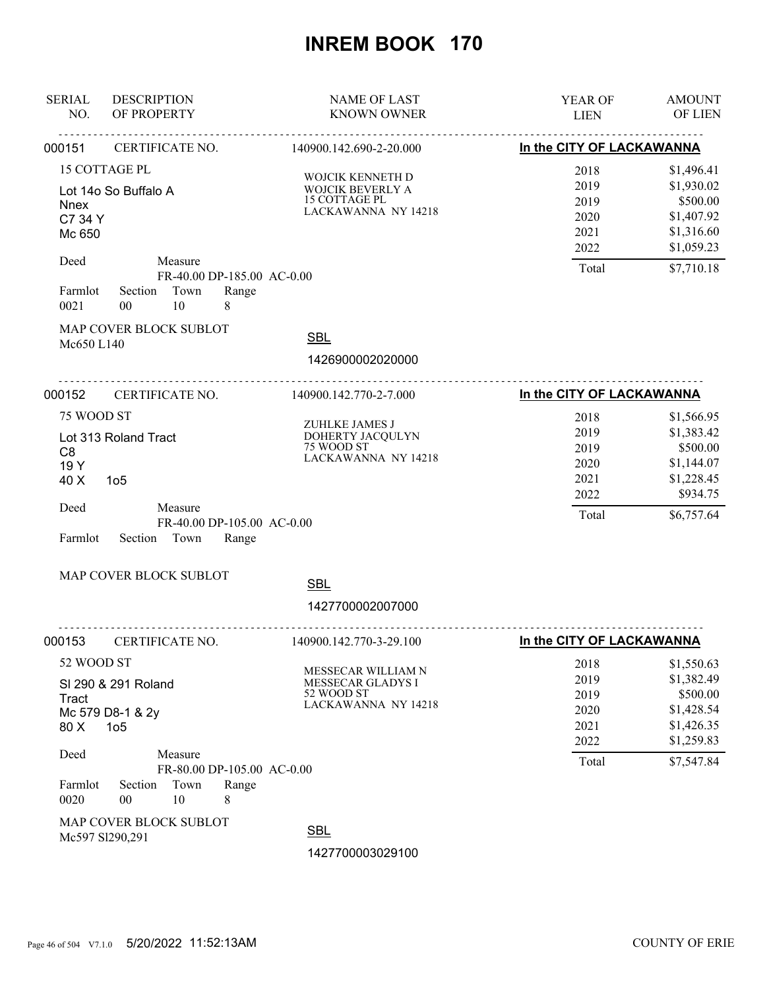| <b>SERIAL</b><br>NO.                                            | <b>DESCRIPTION</b><br>OF PROPERTY                                                                                               | <b>NAME OF LAST</b><br><b>KNOWN OWNER</b>                                           | YEAR OF<br><b>LIEN</b>                                | <b>AMOUNT</b><br>OF LIEN                                                                     |
|-----------------------------------------------------------------|---------------------------------------------------------------------------------------------------------------------------------|-------------------------------------------------------------------------------------|-------------------------------------------------------|----------------------------------------------------------------------------------------------|
| 000151                                                          | CERTIFICATE NO.                                                                                                                 | 140900.142.690-2-20.000                                                             | In the CITY OF LACKAWANNA                             |                                                                                              |
| <b>Nnex</b><br>C7 34 Y<br>Mc 650                                | 15 COTTAGE PL<br>Lot 14o So Buffalo A                                                                                           | WOJCIK KENNETH D<br>WOJCIK BEVERLY A<br>15 COTTAGE PL<br>LACKAWANNA NY 14218        | 2018<br>2019<br>2019<br>2020<br>2021<br>2022          | \$1,496.41<br>\$1,930.02<br>\$500.00<br>\$1,407.92<br>\$1,316.60<br>\$1,059.23               |
| Deed<br>Farmlot<br>0021                                         | Measure<br>FR-40.00 DP-185.00 AC-0.00<br>Town<br>Range<br>Section<br>10<br>8<br>00                                              |                                                                                     | Total                                                 | \$7,710.18                                                                                   |
| Mc650 L140                                                      | MAP COVER BLOCK SUBLOT                                                                                                          | <b>SBL</b><br>1426900002020000                                                      |                                                       |                                                                                              |
| 000152                                                          | CERTIFICATE NO.                                                                                                                 | 140900.142.770-2-7.000                                                              | In the CITY OF LACKAWANNA                             |                                                                                              |
| 75 WOOD ST<br>C <sub>8</sub><br>19 Y<br>40 X<br>Deed<br>Farmlot | Lot 313 Roland Tract<br>1 <sub>05</sub><br>Measure<br>FR-40.00 DP-105.00 AC-0.00<br>Section<br>Town<br>Range                    | ZUHLKE JAMES J<br>DOHERTY JACQULYN<br>75 WOOD ST<br>LACKAWANNA NY 14218             | 2018<br>2019<br>2019<br>2020<br>2021<br>2022<br>Total | \$1,566.95<br>\$1,383.42<br>\$500.00<br>\$1,144.07<br>\$1,228.45<br>\$934.75<br>\$6,757.64   |
|                                                                 | MAP COVER BLOCK SUBLOT                                                                                                          | <b>SBL</b>                                                                          |                                                       |                                                                                              |
|                                                                 |                                                                                                                                 | 1427700002007000                                                                    |                                                       |                                                                                              |
| 000153                                                          | CERTIFICATE NO.                                                                                                                 | 140900.142.770-3-29.100                                                             | In the CITY OF LACKAWANNA                             |                                                                                              |
| 52 WOOD ST<br>Tract<br>80 X<br>Deed<br>Farmlot                  | SI 290 & 291 Roland<br>Mc 579 D8-1 & 2y<br>1 <sub>05</sub><br>Measure<br>FR-80.00 DP-105.00 AC-0.00<br>Town<br>Section<br>Range | MESSECAR WILLIAM N<br><b>MESSECAR GLADYS I</b><br>52 WOOD ST<br>LACKAWANNA NY 14218 | 2018<br>2019<br>2019<br>2020<br>2021<br>2022<br>Total | \$1,550.63<br>\$1,382.49<br>\$500.00<br>\$1,428.54<br>\$1,426.35<br>\$1,259.83<br>\$7,547.84 |
| 0020                                                            | 10<br>00<br>8<br>MAP COVER BLOCK SUBLOT<br>Mc597 Sl290,291                                                                      | <b>SBL</b><br>1427700003029100                                                      |                                                       |                                                                                              |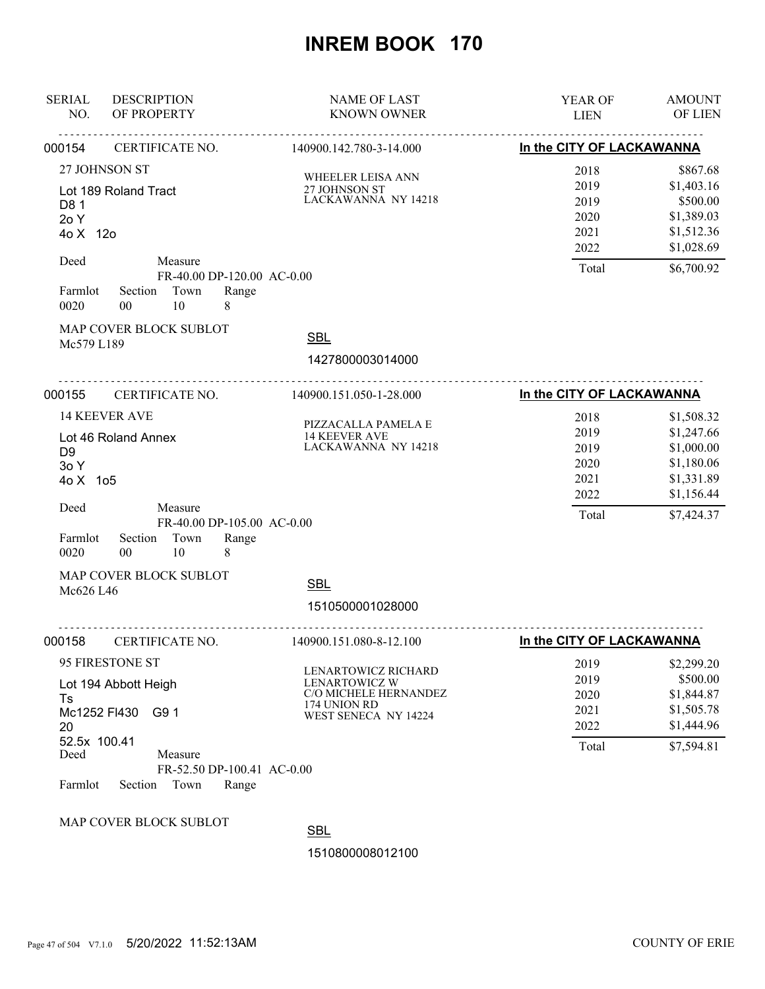| <b>SERIAL</b><br>NO.                                                          | <b>DESCRIPTION</b><br>OF PROPERTY                                                             |                                          | <b>NAME OF LAST</b><br><b>KNOWN OWNER</b>                                                                    | <b>YEAR OF</b><br><b>LIEN</b>                         | <b>AMOUNT</b><br><b>OF LIEN</b>                                                                |
|-------------------------------------------------------------------------------|-----------------------------------------------------------------------------------------------|------------------------------------------|--------------------------------------------------------------------------------------------------------------|-------------------------------------------------------|------------------------------------------------------------------------------------------------|
| 000154                                                                        | ----------------------------------<br>CERTIFICATE NO.                                         |                                          | 140900.142.780-3-14.000                                                                                      | <u>.</u><br>In the CITY OF LACKAWANNA                 |                                                                                                |
| 27 JOHNSON ST<br>Lot 189 Roland Tract<br>D <sub>8</sub> 1<br>2o Y<br>4o X 12o |                                                                                               |                                          | WHEELER LEISA ANN<br>27 JOHNSON ST<br>LACKAWANNA NY 14218                                                    | 2018<br>2019<br>2019<br>2020<br>2021<br>2022          | \$867.68<br>\$1,403.16<br>\$500.00<br>\$1,389.03<br>\$1,512.36<br>\$1,028.69                   |
| Deed<br>Farmlot<br>0020<br>Mc579 L189                                         | Measure<br>Section Town<br>10<br>$00\,$<br>MAP COVER BLOCK SUBLOT                             | FR-40.00 DP-120.00 AC-0.00<br>Range<br>8 | <b>SBL</b>                                                                                                   | Total                                                 | \$6,700.92                                                                                     |
|                                                                               |                                                                                               |                                          | 1427800003014000                                                                                             |                                                       |                                                                                                |
| 000155                                                                        | CERTIFICATE NO.                                                                               |                                          | 140900.151.050-1-28.000                                                                                      | In the CITY OF LACKAWANNA                             |                                                                                                |
| D <sub>9</sub><br>30Y<br>4o X 1o5<br>Deed                                     | <b>14 KEEVER AVE</b><br>Lot 46 Roland Annex<br>Measure                                        | FR-40.00 DP-105.00 AC-0.00               | PIZZACALLA PAMELA E<br><b>14 KEEVER AVE</b><br>LACKAWANNA NY 14218                                           | 2018<br>2019<br>2019<br>2020<br>2021<br>2022<br>Total | \$1,508.32<br>\$1,247.66<br>\$1,000.00<br>\$1,180.06<br>\$1,331.89<br>\$1,156.44<br>\$7,424.37 |
| Farmlot<br>0020                                                               | Town<br>Section<br>$00\,$<br>10                                                               | Range<br>8                               |                                                                                                              |                                                       |                                                                                                |
| Mc626 L46                                                                     | MAP COVER BLOCK SUBLOT                                                                        |                                          | <b>SBL</b><br>1510500001028000                                                                               |                                                       |                                                                                                |
| 000158                                                                        | CERTIFICATE NO.                                                                               |                                          | 140900.151.080-8-12.100                                                                                      | In the CITY OF LACKAWANNA                             |                                                                                                |
| Ts<br>20<br>52.5x 100.41<br>Deed<br>Farmlot                                   | 95 FIRESTONE ST<br>Lot 194 Abbott Heigh<br>Mc1252 FI430<br>G9 1<br>Measure<br>Town<br>Section | FR-52.50 DP-100.41 AC-0.00<br>Range      | LENARTOWICZ RICHARD<br><b>LENARTOWICZ W</b><br>C/O MICHELE HERNANDEZ<br>174 UNION RD<br>WEST SENECA NY 14224 | 2019<br>2019<br>2020<br>2021<br>2022<br>Total         | \$2,299.20<br>\$500.00<br>\$1,844.87<br>\$1,505.78<br>\$1,444.96<br>\$7,594.81                 |
|                                                                               | MAP COVER BLOCK SUBLOT                                                                        |                                          | <b>SBL</b>                                                                                                   |                                                       |                                                                                                |
|                                                                               |                                                                                               |                                          | 1510800008012100                                                                                             |                                                       |                                                                                                |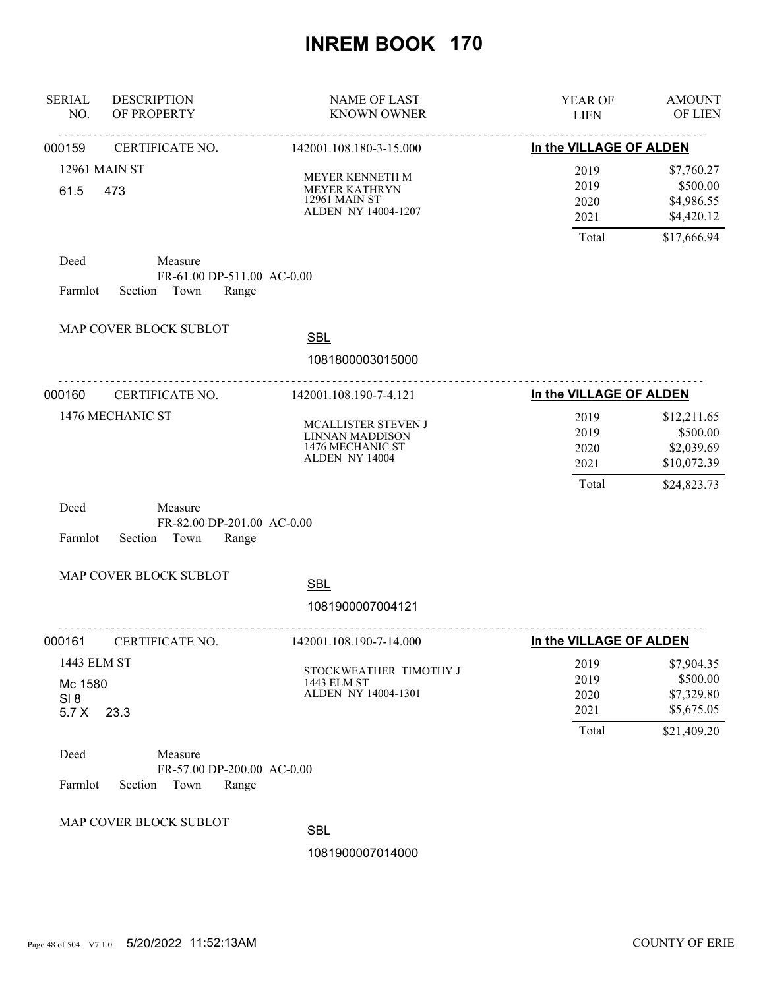| <b>SERIAL</b><br>NO.                    | <b>DESCRIPTION</b><br>OF PROPERTY                                 | <b>NAME OF LAST</b><br><b>KNOWN OWNER</b>                                    | YEAR OF<br><b>LIEN</b>                | <b>AMOUNT</b><br>OF LIEN                                            |
|-----------------------------------------|-------------------------------------------------------------------|------------------------------------------------------------------------------|---------------------------------------|---------------------------------------------------------------------|
| 000159                                  | <u>.</u><br>CERTIFICATE NO.                                       | <u>.</u><br>142001.108.180-3-15.000                                          | In the VILLAGE OF ALDEN               |                                                                     |
| 61.5                                    | 12961 MAIN ST<br>473                                              | MEYER KENNETH M<br>MEYER KATHRYN<br>12961 MAIN ST<br>ALDEN NY 14004-1207     | 2019<br>2019<br>2020<br>2021<br>Total | \$7,760.27<br>\$500.00<br>\$4,986.55<br>\$4,420.12<br>\$17,666.94   |
| Deed<br>Farmlot                         | Measure<br>FR-61.00 DP-511.00 AC-0.00<br>Section Town<br>Range    |                                                                              |                                       |                                                                     |
|                                         | MAP COVER BLOCK SUBLOT                                            | <b>SBL</b><br>1081800003015000                                               |                                       |                                                                     |
| 000160                                  | CERTIFICATE NO.                                                   | <u>.</u> .<br>142001.108.190-7-4.121                                         | In the VILLAGE OF ALDEN               |                                                                     |
|                                         | 1476 MECHANIC ST                                                  | MCALLISTER STEVEN J<br>LINNAN MADDISON<br>1476 MECHANIC ST<br>ALDEN NY 14004 | 2019<br>2019<br>2020<br>2021<br>Total | \$12,211.65<br>\$500.00<br>\$2,039.69<br>\$10,072.39<br>\$24,823.73 |
| Deed<br>Farmlot                         | Measure<br>FR-82.00 DP-201.00 AC-0.00<br>Section<br>Town<br>Range |                                                                              |                                       |                                                                     |
|                                         | MAP COVER BLOCK SUBLOT                                            | <b>SBL</b><br>1081900007004121                                               |                                       |                                                                     |
| 000161                                  | CERTIFICATE NO.                                                   | 142001.108.190-7-14.000                                                      | In the VILLAGE OF ALDEN               |                                                                     |
| 1443 ELM ST<br>Mc 1580<br>SI 8<br>5.7 X | 23.3                                                              | STOCKWEATHER TIMOTHY J<br>1443 ELM ST<br>ALDEN NY 14004-1301                 | 2019<br>2019<br>2020<br>2021<br>Total | \$7,904.35<br>\$500.00<br>\$7,329.80<br>\$5,675.05<br>\$21,409.20   |
| Deed<br>Farmlot                         | Measure<br>FR-57.00 DP-200.00 AC-0.00<br>Section<br>Town<br>Range |                                                                              |                                       |                                                                     |
|                                         | MAP COVER BLOCK SUBLOT                                            | <b>SBL</b><br>1081900007014000                                               |                                       |                                                                     |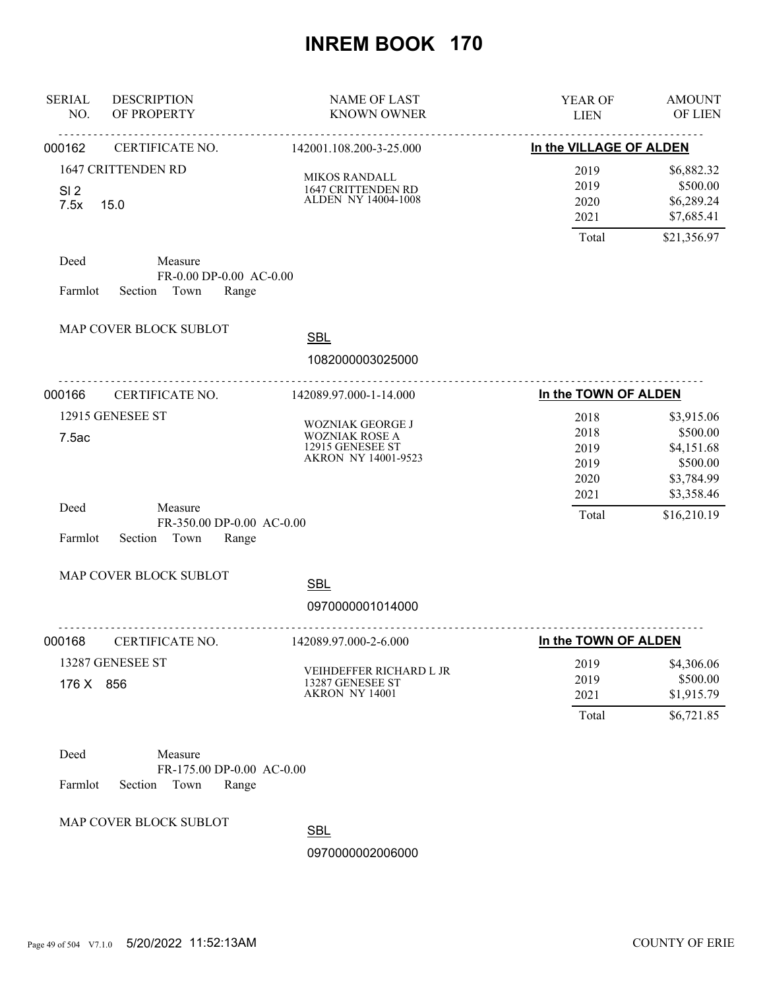| <b>SERIAL</b><br>NO.    | <b>DESCRIPTION</b><br>OF PROPERTY                                | <b>NAME OF LAST</b><br><b>KNOWN OWNER</b>                                                   | <b>YEAR OF</b><br><b>LIEN</b>                | <b>AMOUNT</b><br><b>OF LIEN</b>                                              |
|-------------------------|------------------------------------------------------------------|---------------------------------------------------------------------------------------------|----------------------------------------------|------------------------------------------------------------------------------|
| 000162                  | .<br>CERTIFICATE NO.                                             | .<br>142001.108.200-3-25.000                                                                | In the VILLAGE OF ALDEN                      |                                                                              |
| SI <sub>2</sub><br>7.5x | 1647 CRITTENDEN RD<br>15.0                                       | <b>MIKOS RANDALL</b><br>1647 CRITTENDEN RD<br>ALDEN NY 14004-1008                           | 2019<br>2019<br>2020<br>2021<br>Total        | \$6,882.32<br>\$500.00<br>\$6,289.24<br>\$7,685.41<br>\$21,356.97            |
| Deed<br>Farmlot         | Measure<br>FR-0.00 DP-0.00 AC-0.00<br>Section Town<br>Range      |                                                                                             |                                              |                                                                              |
|                         | MAP COVER BLOCK SUBLOT                                           | <b>SBL</b><br>1082000003025000                                                              |                                              |                                                                              |
| 000166                  | CERTIFICATE NO.                                                  | 142089.97.000-1-14.000                                                                      | In the TOWN OF ALDEN                         |                                                                              |
| 7.5ac                   | 12915 GENESEE ST                                                 | <b>WOZNIAK GEORGE J</b><br><b>WOZNIAK ROSE A</b><br>12915 GENESEE ST<br>AKRON NY 14001-9523 | 2018<br>2018<br>2019<br>2019<br>2020<br>2021 | \$3,915.06<br>\$500.00<br>\$4,151.68<br>\$500.00<br>\$3,784.99<br>\$3,358.46 |
| Deed<br>Farmlot         | Measure<br>FR-350.00 DP-0.00 AC-0.00<br>Section<br>Town<br>Range |                                                                                             | Total                                        | \$16,210.19                                                                  |
|                         | MAP COVER BLOCK SUBLOT                                           | <b>SBL</b><br>0970000001014000                                                              |                                              |                                                                              |
| 000168                  | CERTIFICATE NO.                                                  | .<br>142089.97.000-2-6.000                                                                  | In the TOWN OF ALDEN                         |                                                                              |
| 176 X 856               | 13287 GENESEE ST                                                 | VEIHDEFFER RICHARD L JR<br>13287 GENESEE ST<br>AKRON NY 14001                               | 2019<br>2019<br>2021<br>Total                | \$4,306.06<br>\$500.00<br>\$1,915.79<br>\$6,721.85                           |
| Deed                    | Measure<br>FR-175.00 DP-0.00 AC-0.00                             |                                                                                             |                                              |                                                                              |

Farmlot Section Town Range

MAP COVER BLOCK SUBLOT

**SBL**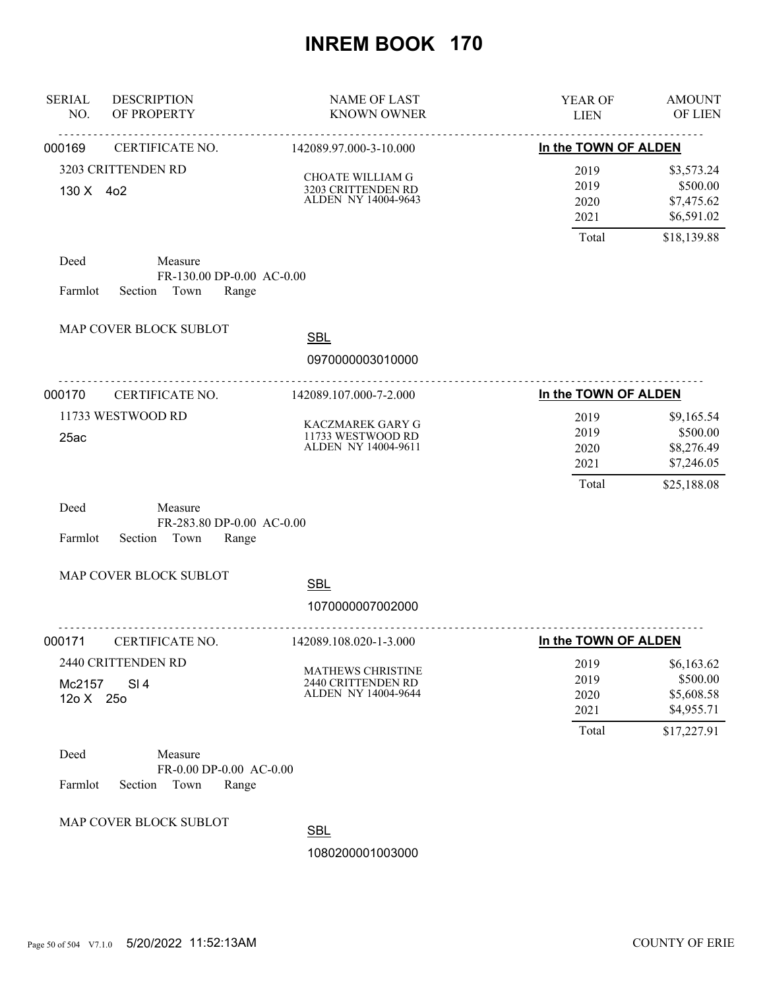| <b>SERIAL</b><br>NO. | <b>DESCRIPTION</b><br>OF PROPERTY                                | <b>NAME OF LAST</b><br><b>KNOWN OWNER</b>                           | YEAR OF<br><b>LIEN</b>                | <b>AMOUNT</b><br>OF LIEN                                          |
|----------------------|------------------------------------------------------------------|---------------------------------------------------------------------|---------------------------------------|-------------------------------------------------------------------|
| 000169               | <u>.</u><br>CERTIFICATE NO.                                      | <u>.</u><br>142089.97.000-3-10.000                                  | In the TOWN OF ALDEN                  | $\sim$ $\sim$ $\sim$                                              |
| 130 X 4o2            | 3203 CRITTENDEN RD                                               | CHOATE WILLIAM G<br>3203 CRITTENDEN RD<br>ALDEN NY 14004-9643       | 2019<br>2019<br>2020<br>2021<br>Total | \$3,573.24<br>\$500.00<br>\$7,475.62<br>\$6,591.02<br>\$18,139.88 |
| Deed<br>Farmlot      | Measure<br>FR-130.00 DP-0.00 AC-0.00<br>Section<br>Town<br>Range |                                                                     |                                       |                                                                   |
|                      | MAP COVER BLOCK SUBLOT                                           | <b>SBL</b><br>0970000003010000                                      |                                       |                                                                   |
| 000170               | .<br>CERTIFICATE NO.                                             | 142089.107.000-7-2.000                                              | In the TOWN OF ALDEN                  |                                                                   |
| 25ac                 | 11733 WESTWOOD RD                                                | <b>KACZMAREK GARY G</b><br>11733 WESTWOOD RD<br>ALDEN NY 14004-9611 | 2019<br>2019<br>2020<br>2021<br>Total | \$9,165.54<br>\$500.00<br>\$8,276.49<br>\$7,246.05<br>\$25,188.08 |
| Deed<br>Farmlot      | Measure<br>FR-283.80 DP-0.00 AC-0.00<br>Section<br>Town<br>Range |                                                                     |                                       |                                                                   |
|                      | MAP COVER BLOCK SUBLOT                                           | <b>SBL</b><br>1070000007002000                                      |                                       |                                                                   |
| 000171               | CERTIFICATE NO.                                                  | 142089.108.020-1-3.000                                              | <u>.</u><br>In the TOWN OF ALDEN      |                                                                   |
| Mc2157<br>12o X 25o  | 2440 CRITTENDEN RD<br>SI <sub>4</sub>                            | MATHEWS CHRISTINE<br>2440 CRITTENDEN RD<br>ALDEN NY 14004-9644      | 2019<br>2019<br>2020<br>2021<br>Total | \$6,163.62<br>\$500.00<br>\$5,608.58<br>\$4,955.71<br>\$17,227.91 |
| Deed<br>Farmlot      | Measure<br>FR-0.00 DP-0.00 AC-0.00<br>Section<br>Town<br>Range   |                                                                     |                                       |                                                                   |
|                      | MAP COVER BLOCK SUBLOT                                           | CDI                                                                 |                                       |                                                                   |

**SBL**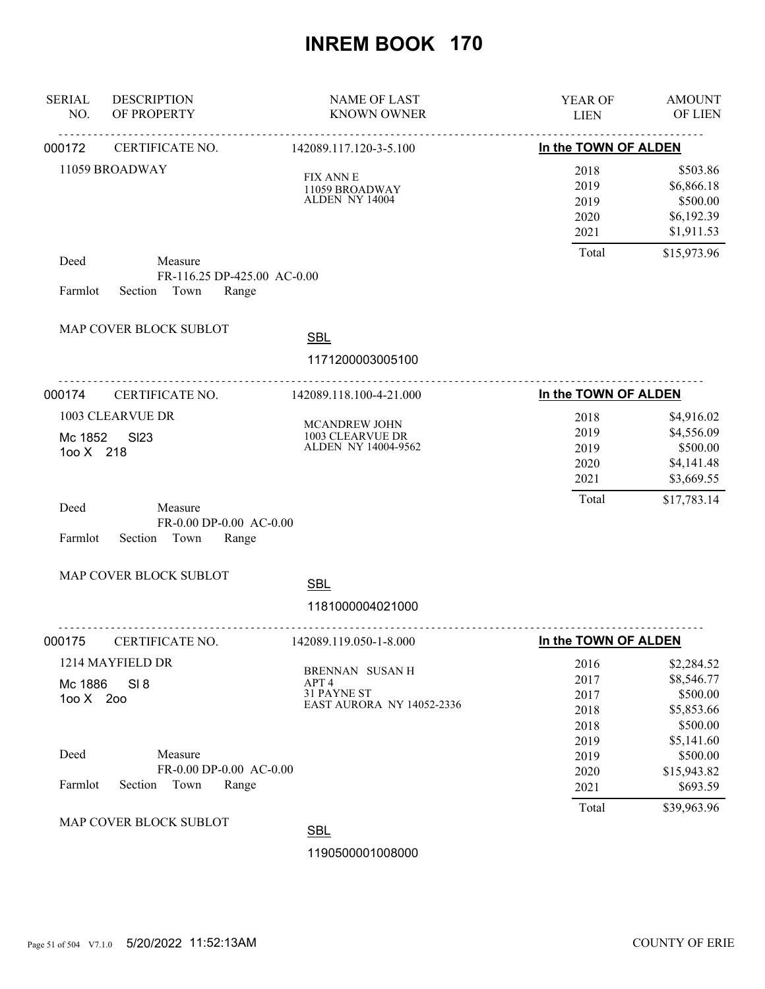| <b>SERIAL</b><br>NO.         | <b>DESCRIPTION</b><br>OF PROPERTY                               | <b>NAME OF LAST</b><br><b>KNOWN OWNER</b>                            | YEAR OF<br><b>LIEN</b>                        | <b>AMOUNT</b><br><b>OF LIEN</b>                                                 |
|------------------------------|-----------------------------------------------------------------|----------------------------------------------------------------------|-----------------------------------------------|---------------------------------------------------------------------------------|
| 000172                       | CERTIFICATE NO.                                                 | 142089.117.120-3-5.100                                               | In the TOWN OF ALDEN                          |                                                                                 |
|                              | 11059 BROADWAY                                                  | <b>FIX ANN E</b><br>11059 BROADWAY<br>ALDEN NY 14004                 | 2018<br>2019<br>2019<br>2020<br>2021          | \$503.86<br>\$6,866.18<br>\$500.00<br>\$6,192.39<br>\$1,911.53                  |
| Deed<br>Farmlot              | Measure<br>FR-116.25 DP-425.00 AC-0.00<br>Section Town<br>Range |                                                                      | Total                                         | \$15,973.96                                                                     |
|                              | MAP COVER BLOCK SUBLOT                                          | <b>SBL</b><br>1171200003005100                                       |                                               |                                                                                 |
| 000174                       | CERTIFICATE NO.                                                 | 142089.118.100-4-21.000                                              | In the TOWN OF ALDEN                          |                                                                                 |
| Mc 1852<br>100 X 218<br>Deed | 1003 CLEARVUE DR<br><b>SI23</b><br>Measure                      | MCANDREW JOHN<br>1003 CLEARVUE DR<br>ALDEN NY 14004-9562             | 2018<br>2019<br>2019<br>2020<br>2021<br>Total | \$4,916.02<br>\$4,556.09<br>\$500.00<br>\$4,141.48<br>\$3,669.55<br>\$17,783.14 |
| Farmlot                      | FR-0.00 DP-0.00 AC-0.00<br>Section Town<br>Range                |                                                                      |                                               |                                                                                 |
|                              | MAP COVER BLOCK SUBLOT                                          | <b>SBL</b><br>1181000004021000                                       |                                               |                                                                                 |
| 000175                       | CERTIFICATE NO.                                                 | 142089.119.050-1-8.000                                               | In the TOWN OF ALDEN                          |                                                                                 |
| Mc 1886<br>100 X 200         | 1214 MAYFIELD DR<br>SI 8                                        | BRENNAN SUSAN H<br>APT 4<br>31 PAYNE ST<br>EAST AURORA NY 14052-2336 | 2016<br>2017<br>2017<br>2018<br>2018          | \$2,284.52<br>\$8,546.77<br>\$500.00<br>\$5,853.66<br>\$500.00                  |
| Deed<br>Farmlot              | Measure<br>FR-0.00 DP-0.00 AC-0.00<br>Section<br>Town<br>Range  |                                                                      | 2019<br>2019<br>2020<br>2021                  | \$5,141.60<br>\$500.00<br>\$15,943.82<br>\$693.59                               |
|                              | MAP COVER BLOCK SUBLOT                                          | <b>SBL</b>                                                           | Total                                         | \$39,963.96                                                                     |
|                              |                                                                 | 1190500001008000                                                     |                                               |                                                                                 |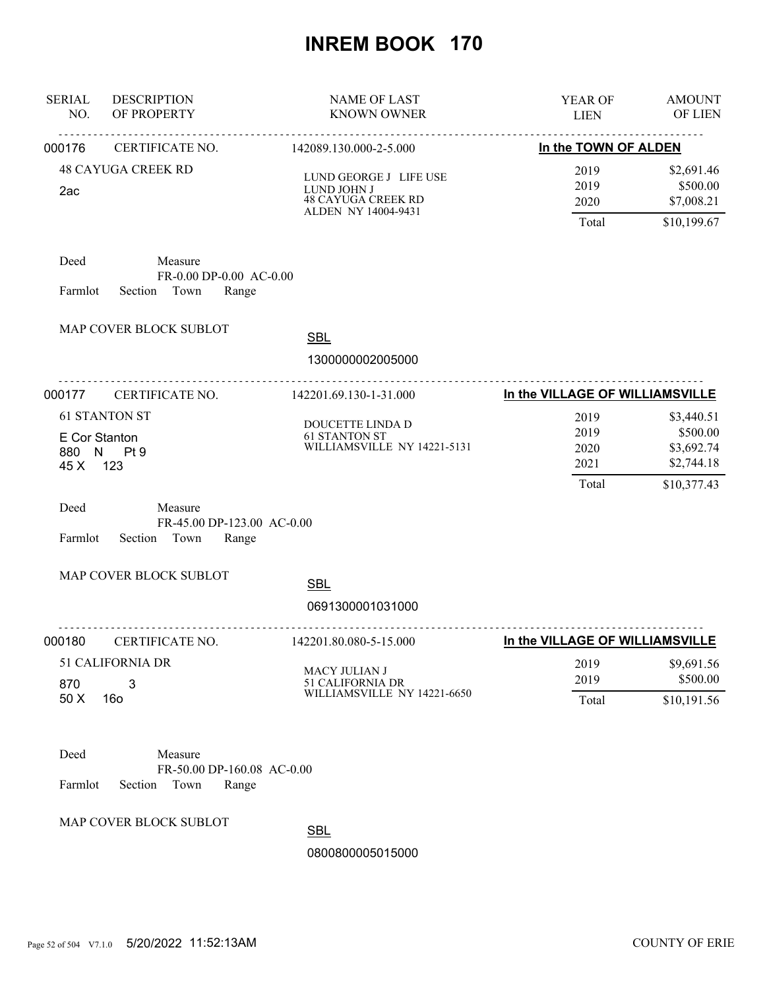| <b>SERIAL</b><br>NO.              | <b>DESCRIPTION</b><br>OF PROPERTY                                 | <b>NAME OF LAST</b><br><b>KNOWN OWNER</b>                                                 | YEAR OF<br><b>LIEN</b>                | <b>AMOUNT</b><br>OF LIEN                                          |
|-----------------------------------|-------------------------------------------------------------------|-------------------------------------------------------------------------------------------|---------------------------------------|-------------------------------------------------------------------|
| 000176                            | <u>.</u><br>CERTIFICATE NO.                                       | 142089.130.000-2-5.000                                                                    | In the TOWN OF ALDEN                  |                                                                   |
| 2ac                               | <b>48 CAYUGA CREEK RD</b>                                         | LUND GEORGE J LIFE USE<br>LUND JOHN J<br><b>48 CAYUGA CREEK RD</b><br>ALDEN NY 14004-9431 | 2019<br>2019<br>2020<br>Total         | \$2,691.46<br>\$500.00<br>\$7,008.21<br>\$10,199.67               |
| Deed<br>Farmlot                   | Measure<br>FR-0.00 DP-0.00 AC-0.00<br>Section Town<br>Range       |                                                                                           |                                       |                                                                   |
|                                   | MAP COVER BLOCK SUBLOT                                            | <b>SBL</b><br>1300000002005000                                                            |                                       |                                                                   |
| 000177                            | CERTIFICATE NO.                                                   | 142201.69.130-1-31.000                                                                    | In the VILLAGE OF WILLIAMSVILLE       |                                                                   |
| E Cor Stanton<br>45 X 123<br>Deed | <b>61 STANTON ST</b><br>880 N Pt 9<br>Measure                     | DOUCETTE LINDA D<br><b>61 STANTON ST</b><br>WILLIAMSVILLE NY 14221-5131                   | 2019<br>2019<br>2020<br>2021<br>Total | \$3,440.51<br>\$500.00<br>\$3,692.74<br>\$2,744.18<br>\$10,377.43 |
| Farmlot                           | FR-45.00 DP-123.00 AC-0.00<br>Section<br>Town<br>Range            |                                                                                           |                                       |                                                                   |
|                                   | MAP COVER BLOCK SUBLOT                                            | <b>SBL</b><br>0691300001031000                                                            |                                       |                                                                   |
| 000180                            | <u>.</u><br>CERTIFICATE NO.                                       | 142201.80.080-5-15.000                                                                    | In the VILLAGE OF WILLIAMSVILLE       |                                                                   |
| 870<br>50 X                       | 51 CALIFORNIA DR<br>3<br>16 <sub>o</sub>                          | MACY JULIAN J<br>51 CALIFORNIA DR<br>WILLIAMSVILLE NY 14221-6650                          | 2019<br>2019<br>Total                 | \$9,691.56<br>\$500.00<br>\$10,191.56                             |
| Deed<br>Farmlot                   | Measure<br>FR-50.00 DP-160.08 AC-0.00<br>Section<br>Town<br>Range |                                                                                           |                                       |                                                                   |
|                                   | MAP COVER BLOCK SUBLOT                                            | <b>ODI</b>                                                                                |                                       |                                                                   |

**SBL**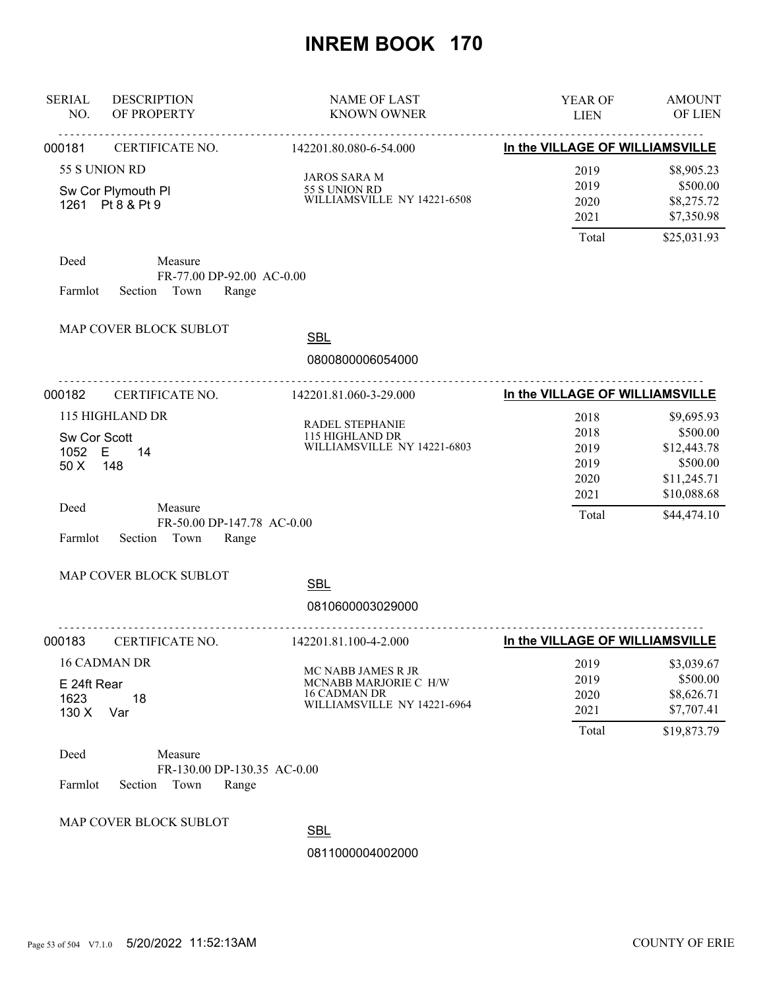| <b>SERIAL</b><br>NO.           | <b>DESCRIPTION</b><br>OF PROPERTY                               | <b>NAME OF LAST</b><br><b>KNOWN OWNER</b>                                                         | YEAR OF<br><b>LIEN</b>               | <b>AMOUNT</b><br>OF LIEN                                         |
|--------------------------------|-----------------------------------------------------------------|---------------------------------------------------------------------------------------------------|--------------------------------------|------------------------------------------------------------------|
| 000181                         | CERTIFICATE NO. 142201.80.080-6-54.000                          |                                                                                                   | In the VILLAGE OF WILLIAMSVILLE      |                                                                  |
| 55 S UNION RD                  | Sw Cor Plymouth Pl<br>1261 Pt 8 & Pt 9                          | <b>JAROS SARA M</b><br>55 S UNION RD<br>WILLIAMSVILLE NY 14221-6508                               | 2019<br>2019<br>2020<br>2021         | \$8,905.23<br>\$500.00<br>\$8,275.72<br>\$7,350.98               |
|                                |                                                                 |                                                                                                   | Total                                | \$25,031.93                                                      |
| Deed<br>Farmlot                | Measure<br>FR-77.00 DP-92.00 AC-0.00<br>Section Town<br>Range   |                                                                                                   |                                      |                                                                  |
|                                | MAP COVER BLOCK SUBLOT                                          | <b>SBL</b><br>0800800006054000                                                                    |                                      |                                                                  |
| 000182                         | ________________________________<br>CERTIFICATE NO.             | 142201.81.060-3-29.000                                                                            | In the VILLAGE OF WILLIAMSVILLE      |                                                                  |
| Sw Cor Scott<br>1052 E<br>50 X | 115 HIGHLAND DR<br>14<br>148                                    | RADEL STEPHANIE<br>115 HIGHLAND DR<br>WILLIAMSVILLE NY 14221-6803                                 | 2018<br>2018<br>2019<br>2019<br>2020 | \$9,695.93<br>\$500.00<br>\$12,443.78<br>\$500.00<br>\$11,245.71 |
| Deed<br>Farmlot                | Measure<br>FR-50.00 DP-147.78 AC-0.00<br>Section Town<br>Range  |                                                                                                   | 2021<br>Total                        | \$10,088.68<br>\$44,474.10                                       |
|                                | MAP COVER BLOCK SUBLOT                                          | <b>SBL</b><br>0810600003029000                                                                    |                                      |                                                                  |
| 000183                         | CERTIFICATE NO.                                                 | 142201.81.100-4-2.000                                                                             | In the VILLAGE OF WILLIAMSVILLE      |                                                                  |
| E 24ft Rear<br>1623<br>130 X   | <b>16 CADMAN DR</b><br>18<br>Var                                | MC NABB JAMES R JR<br>MCNABB MARJORIE C H/W<br><b>16 CADMAN DR</b><br>WILLIAMSVILLE NY 14221-6964 | 2019<br>2019<br>2020<br>2021         | \$3,039.67<br>\$500.00<br>\$8,626.71<br>\$7,707.41               |
| Deed<br>Farmlot                | Measure<br>FR-130.00 DP-130.35 AC-0.00<br>Section Town<br>Range |                                                                                                   | Total                                | \$19,873.79                                                      |
|                                | MAP COVER BLOCK SUBLOT                                          | <b>SBL</b><br>0811000004002000                                                                    |                                      |                                                                  |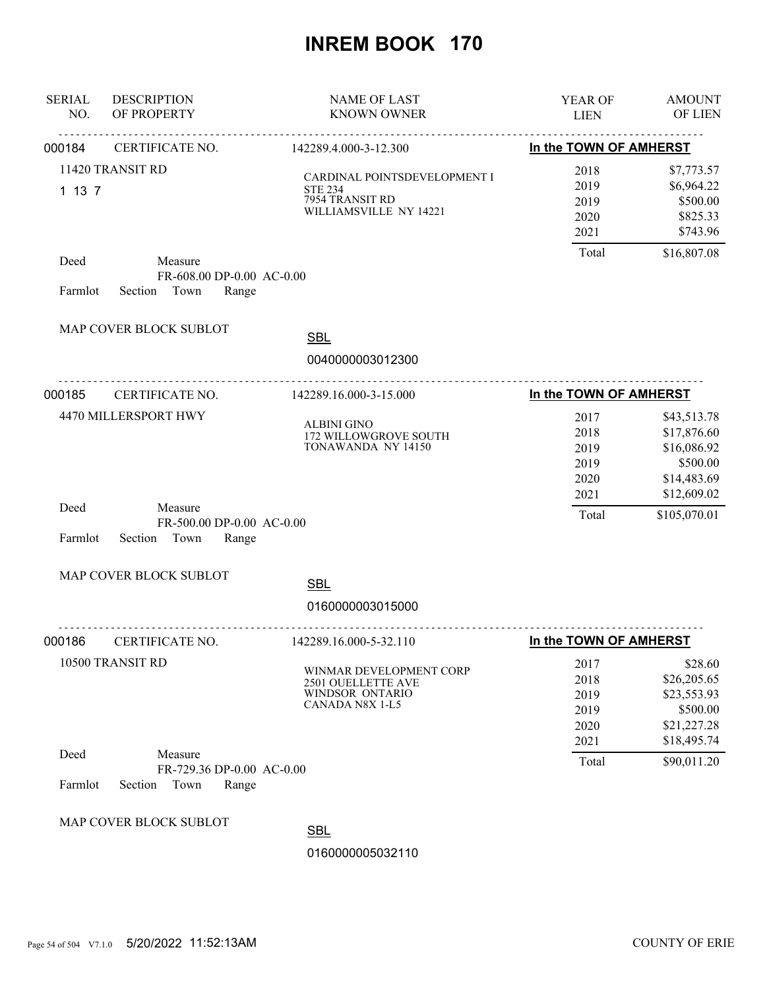| <b>SERIAL</b><br>NO. | <b>DESCRIPTION</b><br>OF PROPERTY                                | <b>NAME OF LAST</b><br><b>KNOWN OWNER</b>                                                   | <b>YEAR OF</b><br><b>LIEN</b>                         | <b>AMOUNT</b><br>OF LIEN                                                                            |
|----------------------|------------------------------------------------------------------|---------------------------------------------------------------------------------------------|-------------------------------------------------------|-----------------------------------------------------------------------------------------------------|
| 000184               | CERTIFICATE NO.                                                  | 142289.4.000-3-12.300                                                                       | In the TOWN OF AMHERST                                |                                                                                                     |
| 1137                 | 11420 TRANSIT RD                                                 | CARDINAL POINTSDEVELOPMENT I<br><b>STE 234</b><br>7954 TRANSIT RD<br>WILLIAMSVILLE NY 14221 | 2018<br>2019<br>2019<br>2020<br>2021                  | \$7,773.57<br>\$6,964.22<br>\$500.00<br>\$825.33<br>\$743.96                                        |
| Deed<br>Farmlot      | Measure<br>FR-608.00 DP-0.00 AC-0.00<br>Section Town<br>Range    |                                                                                             | Total                                                 | \$16,807.08                                                                                         |
|                      | MAP COVER BLOCK SUBLOT                                           | <b>SBL</b><br>0040000003012300                                                              |                                                       |                                                                                                     |
| 000185               | CERTIFICATE NO.                                                  | 142289.16.000-3-15.000                                                                      | In the TOWN OF AMHERST                                |                                                                                                     |
| Deed                 | 4470 MILLERSPORT HWY<br>Measure<br>FR-500.00 DP-0.00 AC-0.00     | <b>ALBINI GINO</b><br>172 WILLOWGROVE SOUTH<br>TONAWANDA NY 14150                           | 2017<br>2018<br>2019<br>2019<br>2020<br>2021<br>Total | \$43,513.78<br>\$17,876.60<br>\$16,086.92<br>\$500.00<br>\$14,483.69<br>\$12,609.02<br>\$105,070.01 |
| Farmlot              | Section Town<br>Range                                            |                                                                                             |                                                       |                                                                                                     |
|                      | MAP COVER BLOCK SUBLOT                                           | <b>SBL</b><br>0160000003015000                                                              |                                                       |                                                                                                     |
| 000186               | CERTIFICATE NO.                                                  | 142289.16.000-5-32.110                                                                      | In the TOWN OF AMHERST                                |                                                                                                     |
|                      | 10500 TRANSIT RD                                                 | WINMAR DEVELOPMENT CORP<br>2501 OUELLETTE AVE<br>WINDSOR ONTARIO<br>CANADA N8X 1-L5         | 2017<br>2018<br>2019<br>2019<br>2020<br>2021          | \$28.60<br>\$26,205.65<br>\$23,553.93<br>\$500.00<br>\$21,227.28<br>\$18,495.74                     |
| Deed<br>Farmlot      | Measure<br>FR-729.36 DP-0.00 AC-0.00<br>Town<br>Section<br>Range |                                                                                             | Total                                                 | \$90,011.20                                                                                         |
|                      | MAP COVER BLOCK SUBLOT                                           | <b>SBL</b><br>0160000005032110                                                              |                                                       |                                                                                                     |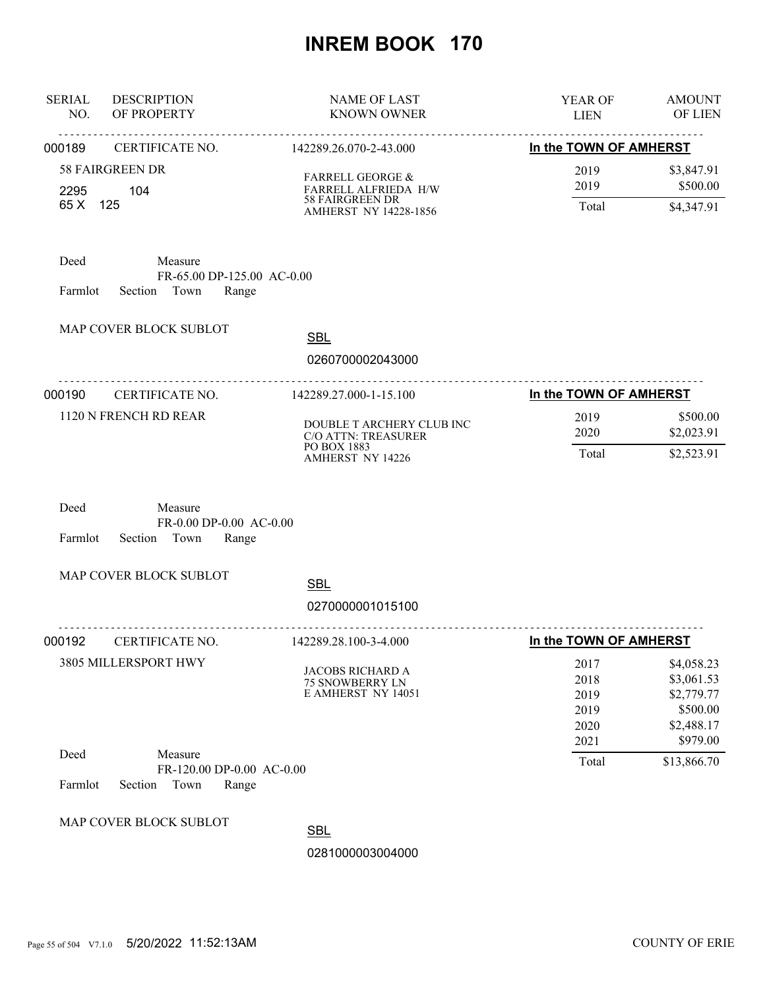| <b>SERIAL</b><br><b>DESCRIPTION</b><br>OF PROPERTY<br>NO.                           | <b>NAME OF LAST</b><br><b>KNOWN OWNER</b>                        | YEAR OF<br><b>LIEN</b>                       | <b>AMOUNT</b><br>OF LIEN                                                     |
|-------------------------------------------------------------------------------------|------------------------------------------------------------------|----------------------------------------------|------------------------------------------------------------------------------|
| <u>.</u><br>000189<br>CERTIFICATE NO.                                               | <u>.</u><br>142289.26.070-2-43.000                               | In the TOWN OF AMHERST                       |                                                                              |
| <b>58 FAIRGREEN DR</b><br>104<br>2295                                               | <b>FARRELL GEORGE &amp;</b><br>FARRELL ALFRIEDA H/W              | 2019<br>2019                                 | \$3,847.91<br>\$500.00                                                       |
| 65 X 125                                                                            | <b>58 FAIRGREEN DR</b><br>AMHERST NY 14228-1856                  | Total                                        | \$4,347.91                                                                   |
| Deed<br>Measure<br>FR-65.00 DP-125.00 AC-0.00<br>Section Town<br>Range<br>Farmlot   |                                                                  |                                              |                                                                              |
| MAP COVER BLOCK SUBLOT                                                              | <b>SBL</b>                                                       |                                              |                                                                              |
|                                                                                     | 0260700002043000                                                 |                                              |                                                                              |
| <u>.</u> .<br>000190<br>CERTIFICATE NO.                                             | .<br>142289.27.000-1-15.100                                      | In the TOWN OF AMHERST                       |                                                                              |
| 1120 N FRENCH RD REAR                                                               | DOUBLE T ARCHERY CLUB INC<br>C/O ATTN: TREASURER                 | 2019<br>2020                                 | \$500.00<br>\$2,023.91                                                       |
|                                                                                     | PO BOX 1883<br><b>AMHERST NY 14226</b>                           | Total                                        | \$2,523.91                                                                   |
| Deed<br>Measure<br>FR-0.00 DP-0.00 AC-0.00<br>Farmlot<br>Section<br>Town<br>Range   |                                                                  |                                              |                                                                              |
| MAP COVER BLOCK SUBLOT                                                              | <b>SBL</b>                                                       |                                              |                                                                              |
|                                                                                     | 0270000001015100                                                 |                                              |                                                                              |
| .<br>CERTIFICATE NO.<br>000192                                                      | .<br>142289.28.100-3-4.000                                       | In the TOWN OF AMHERST                       |                                                                              |
| 3805 MILLERSPORT HWY                                                                | JACOBS RICHARD A<br><b>75 SNOWBERRY LN</b><br>E AMHERST NY 14051 | 2017<br>2018<br>2019<br>2019<br>2020<br>2021 | \$4,058.23<br>\$3,061.53<br>\$2,779.77<br>\$500.00<br>\$2,488.17<br>\$979.00 |
| Deed<br>Measure<br>FR-120.00 DP-0.00 AC-0.00<br>Farmlot<br>Section<br>Town<br>Range |                                                                  | Total                                        | \$13,866.70                                                                  |
| MAP COVER BLOCK SUBLOT                                                              | <b>SBL</b><br>0281000003004000                                   |                                              |                                                                              |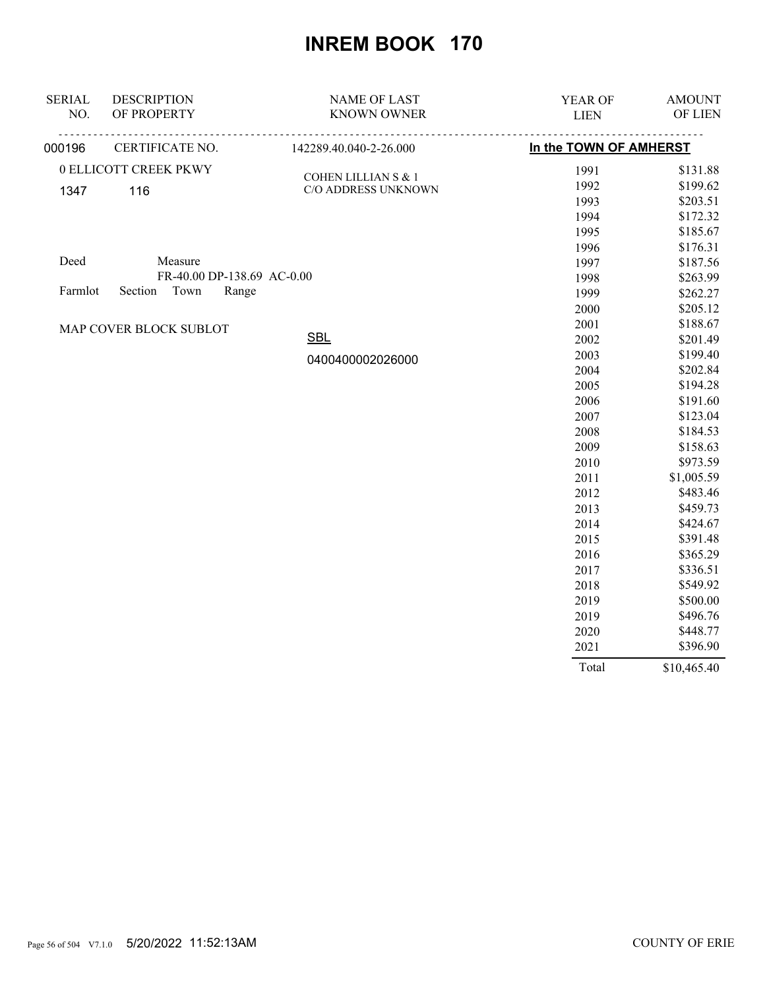| <b>SERIAL</b> | <b>DESCRIPTION</b>         | <b>NAME OF LAST</b>    | YEAR OF                | <b>AMOUNT</b> |
|---------------|----------------------------|------------------------|------------------------|---------------|
| NO.           | OF PROPERTY                | <b>KNOWN OWNER</b>     | <b>LIEN</b>            | OF LIEN       |
| 000196        | CERTIFICATE NO.            | 142289.40.040-2-26.000 | In the TOWN OF AMHERST |               |
|               | 0 ELLICOTT CREEK PKWY      | COHEN LILLIAN S & 1    | 1991                   | \$131.88      |
| 1347          | 116                        | C/O ADDRESS UNKNOWN    | 1992                   | \$199.62      |
|               |                            |                        | 1993                   | \$203.51      |
|               |                            |                        | 1994                   | \$172.32      |
|               |                            |                        | 1995                   | \$185.67      |
|               |                            |                        | 1996                   | \$176.31      |
| Deed          | Measure                    |                        | 1997                   | \$187.56      |
|               | FR-40.00 DP-138.69 AC-0.00 |                        | 1998                   | \$263.99      |
| Farmlot       | Section<br>Town<br>Range   |                        | 1999                   | \$262.27      |
|               |                            |                        | 2000                   | \$205.12      |
|               | MAP COVER BLOCK SUBLOT     |                        | 2001                   | \$188.67      |
|               |                            | <b>SBL</b>             | 2002                   | \$201.49      |
|               |                            | 0400400002026000       | 2003                   | \$199.40      |
|               |                            |                        | 2004                   | \$202.84      |
|               |                            |                        | 2005                   | \$194.28      |
|               |                            |                        | 2006                   | \$191.60      |
|               |                            |                        | 2007                   | \$123.04      |
|               |                            |                        | 2008                   | \$184.53      |
|               |                            |                        | 2009                   | \$158.63      |
|               |                            |                        | 2010                   | \$973.59      |
|               |                            |                        | 2011                   | \$1,005.59    |
|               |                            |                        | 2012                   | \$483.46      |
|               |                            |                        | 2013                   | \$459.73      |
|               |                            |                        | 2014                   | \$424.67      |
|               |                            |                        | 2015                   | \$391.48      |
|               |                            |                        | 2016                   | \$365.29      |
|               |                            |                        | 2017                   | \$336.51      |
|               |                            |                        | 2018                   | \$549.92      |
|               |                            |                        | 2019                   | \$500.00      |
|               |                            |                        | 2019                   | \$496.76      |
|               |                            |                        | 2020                   | \$448.77      |
|               |                            |                        | 2021                   | \$396.90      |

Total \$10,465.40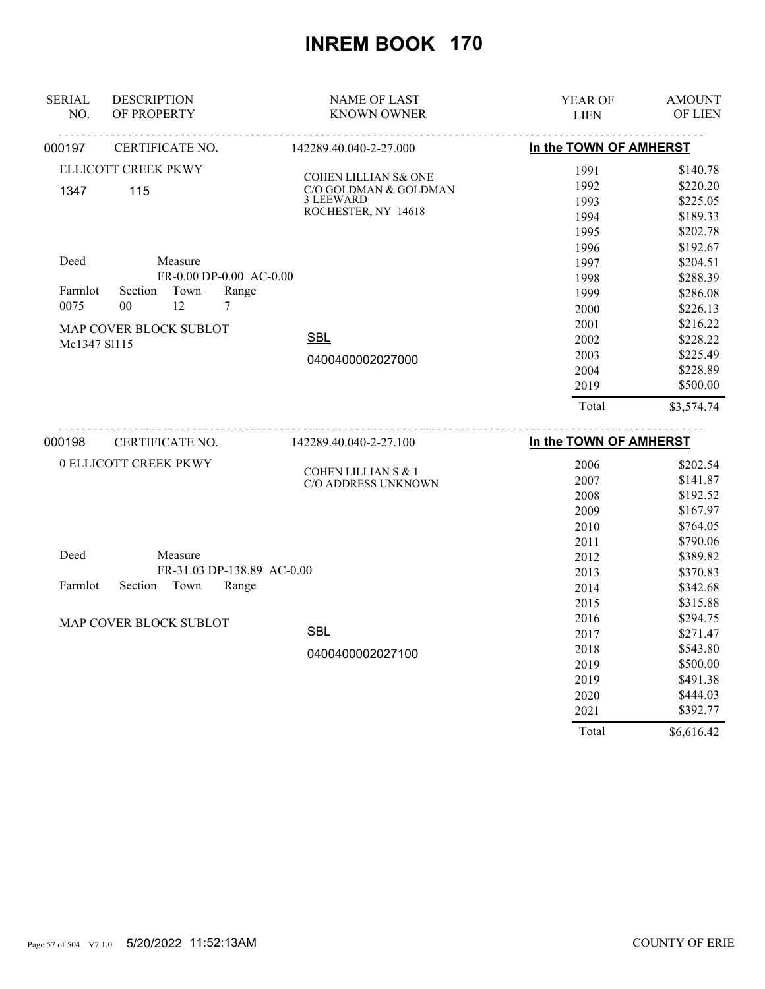| <b>SERIAL</b><br>NO. | <b>DESCRIPTION</b><br>OF PROPERTY | <b>NAME OF LAST</b><br><b>KNOWN OWNER</b>     | YEAR OF<br><b>LIEN</b> | <b>AMOUNT</b><br>OF LIEN |
|----------------------|-----------------------------------|-----------------------------------------------|------------------------|--------------------------|
| 000197               | CERTIFICATE NO.                   | 142289.40.040-2-27.000                        | In the TOWN OF AMHERST |                          |
|                      | ELLICOTT CREEK PKWY               |                                               | 1991                   | \$140.78                 |
| 1347                 | 115                               | COHEN LILLIAN S& ONE<br>C/O GOLDMAN & GOLDMAN | 1992                   | \$220.20                 |
|                      |                                   | 3 LEEWARD                                     | 1993                   | \$225.05                 |
|                      |                                   | ROCHESTER, NY 14618                           | 1994                   | \$189.33                 |
|                      |                                   |                                               | 1995                   | \$202.78                 |
|                      |                                   |                                               | 1996                   | \$192.67                 |
| Deed                 | Measure                           |                                               | 1997                   | \$204.51                 |
|                      | FR-0.00 DP-0.00 AC-0.00           |                                               | 1998                   | \$288.39                 |
| Farmlot              | Section<br>Town<br>Range          |                                               | 1999                   | \$286.08                 |
| 0075                 | 0 <sub>0</sub><br>12<br>7         |                                               | 2000                   | \$226.13                 |
|                      | MAP COVER BLOCK SUBLOT            |                                               | 2001                   | \$216.22                 |
| Mc1347 S1115         |                                   | <b>SBL</b>                                    | 2002                   | \$228.22                 |
|                      |                                   | 0400400002027000                              | 2003                   | \$225.49                 |
|                      |                                   |                                               | 2004                   | \$228.89                 |
|                      |                                   |                                               | 2019                   | \$500.00                 |
|                      |                                   |                                               | Total                  | \$3,574.74               |
| 000198               | CERTIFICATE NO.                   | 142289.40.040-2-27.100                        | In the TOWN OF AMHERST |                          |
|                      | 0 ELLICOTT CREEK PKWY             |                                               |                        |                          |
|                      |                                   | COHEN LILLIAN S & 1                           | 2006                   | \$202.54<br>\$141.87     |
|                      |                                   | C/O ADDRESS UNKNOWN                           | 2007<br>2008           | \$192.52                 |
|                      |                                   |                                               | 2009                   | \$167.97                 |
|                      |                                   |                                               | 2010                   | \$764.05                 |
|                      |                                   |                                               | 2011                   | \$790.06                 |
| Deed                 | Measure                           |                                               | 2012                   | \$389.82                 |
|                      | FR-31.03 DP-138.89 AC-0.00        |                                               | 2013                   | \$370.83                 |
| Farmlot              | Section<br>Town<br>Range          |                                               | 2014                   | \$342.68                 |
|                      |                                   |                                               | 2015                   | \$315.88                 |
|                      |                                   |                                               | 2016                   | \$294.75                 |
|                      | MAP COVER BLOCK SUBLOT            | <b>SBL</b>                                    | 2017                   | \$271.47                 |
|                      |                                   |                                               | 2018                   | \$543.80                 |
|                      |                                   | 0400400002027100                              | 2019                   | \$500.00                 |
|                      |                                   |                                               | 2019                   | \$491.38                 |
|                      |                                   |                                               | 2020                   | \$444.03                 |
|                      |                                   |                                               | 2021                   | \$392.77                 |
|                      |                                   |                                               | Total                  | \$6,616.42               |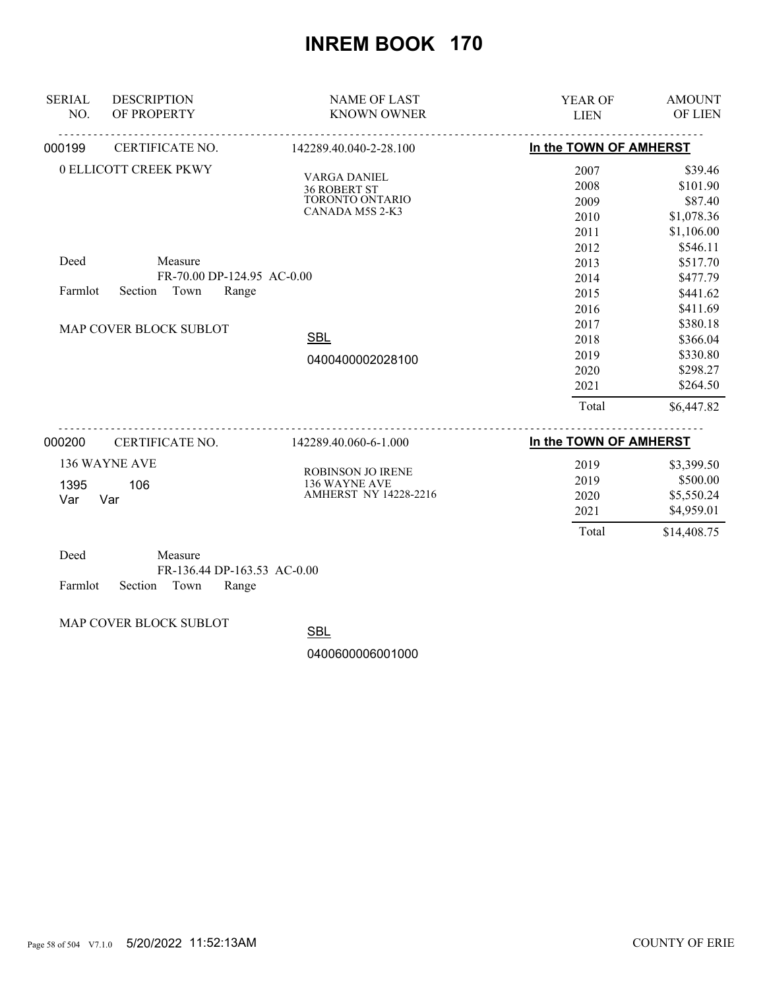| <b>SERIAL</b> | <b>DESCRIPTION</b>                            | <b>NAME OF LAST</b>                        | <b>YEAR OF</b>         | <b>AMOUNT</b>  |
|---------------|-----------------------------------------------|--------------------------------------------|------------------------|----------------|
| NO.           | OF PROPERTY                                   | <b>KNOWN OWNER</b>                         | <b>LIEN</b>            | <b>OF LIEN</b> |
| 000199        | <u>.</u><br>CERTIFICATE NO.                   | 142289.40.040-2-28.100                     | In the TOWN OF AMHERST |                |
|               | 0 ELLICOTT CREEK PKWY                         |                                            | 2007                   | \$39.46        |
|               |                                               | <b>VARGA DANIEL</b><br><b>36 ROBERT ST</b> | 2008                   | \$101.90       |
|               |                                               | TORONTO ONTARIO                            | 2009                   | \$87.40        |
|               |                                               | CANADA M5S 2-K3                            | 2010                   | \$1,078.36     |
|               |                                               |                                            | 2011                   | \$1,106.00     |
|               |                                               |                                            | 2012                   | \$546.11       |
| Deed          | Measure                                       |                                            | 2013                   | \$517.70       |
|               | FR-70.00 DP-124.95 AC-0.00                    |                                            | 2014                   | \$477.79       |
| Farmlot       | Town<br>Section<br>Range                      |                                            | 2015                   | \$441.62       |
|               |                                               |                                            | 2016                   | \$411.69       |
|               | MAP COVER BLOCK SUBLOT                        |                                            | 2017                   | \$380.18       |
|               |                                               | <b>SBL</b>                                 | 2018                   | \$366.04       |
|               |                                               | 0400400002028100                           | 2019                   | \$330.80       |
|               |                                               |                                            | 2020                   | \$298.27       |
|               |                                               |                                            | 2021                   | \$264.50       |
|               |                                               |                                            | Total                  | \$6,447.82     |
| 000200        | CERTIFICATE NO.                               | 142289.40.060-6-1.000                      | In the TOWN OF AMHERST |                |
|               | 136 WAYNE AVE                                 |                                            | 2019                   | \$3,399.50     |
|               | 106                                           | <b>ROBINSON JO IRENE</b><br>136 WAYNE AVE  | 2019                   | \$500.00       |
| 1395<br>Var   | Var                                           | <b>AMHERST NY 14228-2216</b>               | 2020                   | \$5,550.24     |
|               |                                               |                                            | 2021                   | \$4,959.01     |
|               |                                               |                                            | Total                  | \$14,408.75    |
| Deed          | Measure<br>$FD$ 126 14 $DD$ 162 52 + $C$ 0.00 |                                            |                        |                |

FR-136.44 DP-163.53 AC-0.00

Farmlot Section Town Range

MAP COVER BLOCK SUBLOT

**SBL**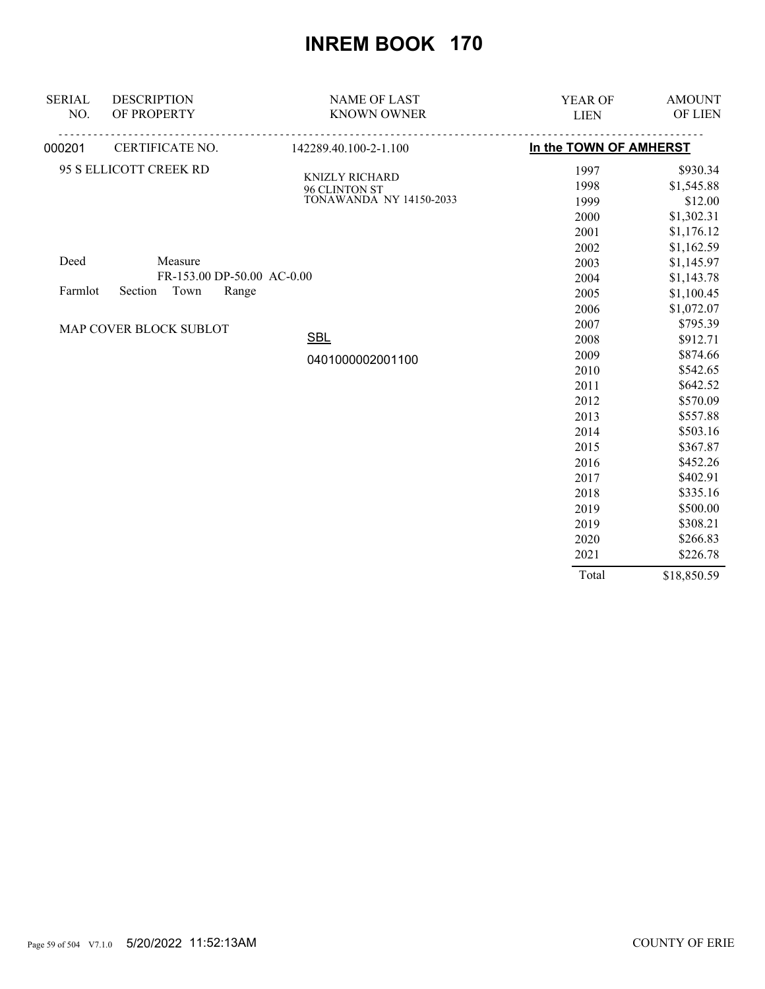| <b>SERIAL</b><br>NO. | <b>DESCRIPTION</b><br>OF PROPERTY | <b>NAME OF LAST</b><br><b>KNOWN OWNER</b> | YEAR OF<br><b>LIEN</b> | <b>AMOUNT</b><br>OF LIEN |
|----------------------|-----------------------------------|-------------------------------------------|------------------------|--------------------------|
| 000201               | CERTIFICATE NO.                   | 142289.40.100-2-1.100                     | In the TOWN OF AMHERST |                          |
|                      | 95 S ELLICOTT CREEK RD            |                                           | 1997                   | \$930.34                 |
|                      |                                   | <b>KNIZLY RICHARD</b>                     | 1998                   | \$1,545.88               |
|                      |                                   | 96 CLINTON ST<br>TONAWANDA NY 14150-2033  | 1999                   | \$12.00                  |
|                      |                                   |                                           | 2000                   | \$1,302.31               |
|                      |                                   |                                           | 2001                   | \$1,176.12               |
|                      |                                   |                                           | 2002                   | \$1,162.59               |
| Deed                 | Measure                           |                                           | 2003                   | \$1,145.97               |
|                      | FR-153.00 DP-50.00 AC-0.00        |                                           | 2004                   | \$1,143.78               |
| Farmlot              | Town<br>Section<br>Range          |                                           | 2005                   | \$1,100.45               |
|                      |                                   |                                           | 2006                   | \$1,072.07               |
|                      | MAP COVER BLOCK SUBLOT            |                                           | 2007                   | \$795.39                 |
|                      |                                   | <b>SBL</b>                                | 2008                   | \$912.71                 |
|                      |                                   | 0401000002001100                          | 2009                   | \$874.66                 |
|                      |                                   |                                           | 2010                   | \$542.65                 |
|                      |                                   |                                           | 2011                   | \$642.52                 |
|                      |                                   |                                           | 2012                   | \$570.09                 |
|                      |                                   |                                           | 2013                   | \$557.88                 |
|                      |                                   |                                           | 2014                   | \$503.16                 |
|                      |                                   |                                           | 2015                   | \$367.87                 |
|                      |                                   |                                           | 2016                   | \$452.26                 |
|                      |                                   |                                           | 2017                   | \$402.91                 |
|                      |                                   |                                           | 2018                   | \$335.16                 |
|                      |                                   |                                           | 2019                   | \$500.00                 |
|                      |                                   |                                           | 2019                   | \$308.21                 |
|                      |                                   |                                           | 2020                   | \$266.83                 |
|                      |                                   |                                           | 2021                   | \$226.78                 |
|                      |                                   |                                           | Total                  | \$18,850.59              |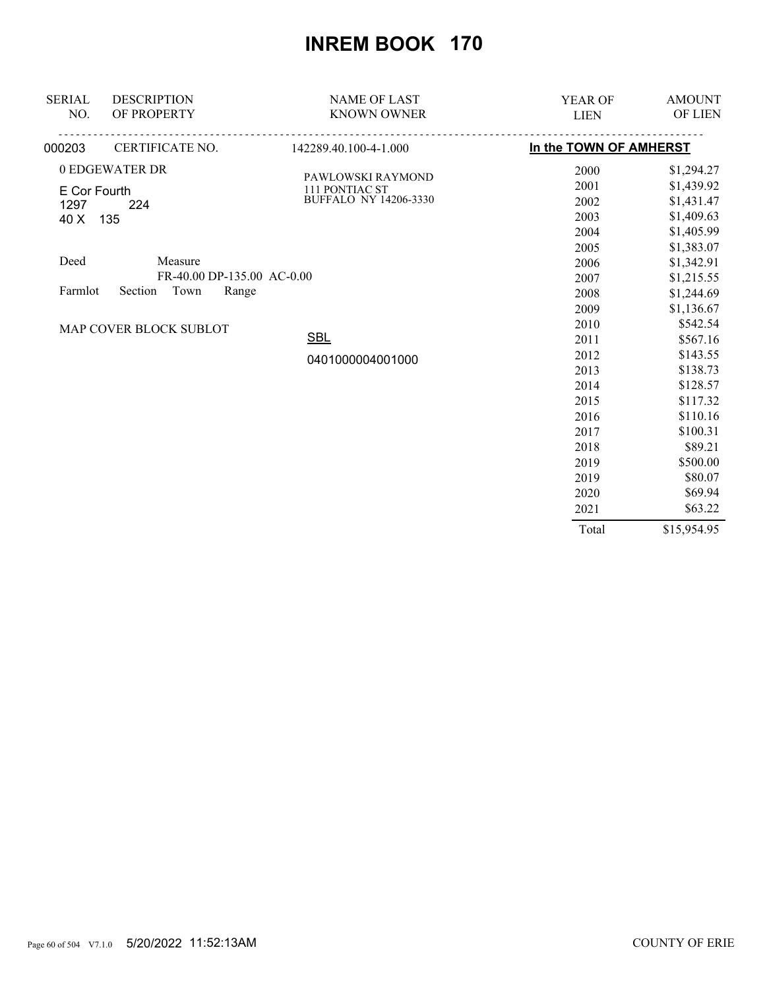| <b>SERIAL</b><br>NO. | <b>DESCRIPTION</b><br>OF PROPERTY | <b>NAME OF LAST</b><br><b>KNOWN OWNER</b> | YEAR OF<br><b>LIEN</b> | <b>AMOUNT</b><br>OF LIEN |
|----------------------|-----------------------------------|-------------------------------------------|------------------------|--------------------------|
| 000203               | CERTIFICATE NO.                   | 142289.40.100-4-1.000                     | In the TOWN OF AMHERST |                          |
|                      | 0 EDGEWATER DR                    | PAWLOWSKI RAYMOND                         | 2000                   | \$1,294.27               |
| E Cor Fourth         |                                   | 111 PONTIAC ST                            | 2001                   | \$1,439.92               |
| 1297                 | 224                               | <b>BUFFALO NY 14206-3330</b>              | 2002                   | \$1,431.47               |
| 40 X                 | 135                               |                                           | 2003                   | \$1,409.63               |
|                      |                                   |                                           | 2004                   | \$1,405.99               |
|                      |                                   |                                           | 2005                   | \$1,383.07               |
| Deed                 | Measure                           |                                           | 2006                   | \$1,342.91               |
|                      | FR-40.00 DP-135.00 AC-0.00        |                                           | 2007                   | \$1,215.55               |
| Farmlot              | Town<br>Section<br>Range          |                                           | 2008                   | \$1,244.69               |
|                      |                                   |                                           | 2009                   | \$1,136.67               |
|                      | MAP COVER BLOCK SUBLOT            |                                           | 2010                   | \$542.54                 |
|                      |                                   | <b>SBL</b>                                | 2011                   | \$567.16                 |
|                      |                                   | 0401000004001000                          | 2012                   | \$143.55                 |
|                      |                                   |                                           | 2013                   | \$138.73                 |
|                      |                                   |                                           | 2014                   | \$128.57                 |
|                      |                                   |                                           | 2015                   | \$117.32                 |
|                      |                                   |                                           | 2016                   | \$110.16                 |
|                      |                                   |                                           | 2017                   | \$100.31                 |
|                      |                                   |                                           | 2018                   | \$89.21                  |
|                      |                                   |                                           | 2019                   | \$500.00                 |
|                      |                                   |                                           | 2019                   | \$80.07                  |
|                      |                                   |                                           | 2020                   | \$69.94                  |
|                      |                                   |                                           | 2021                   | \$63.22                  |
|                      |                                   |                                           | Total                  | \$15,954.95              |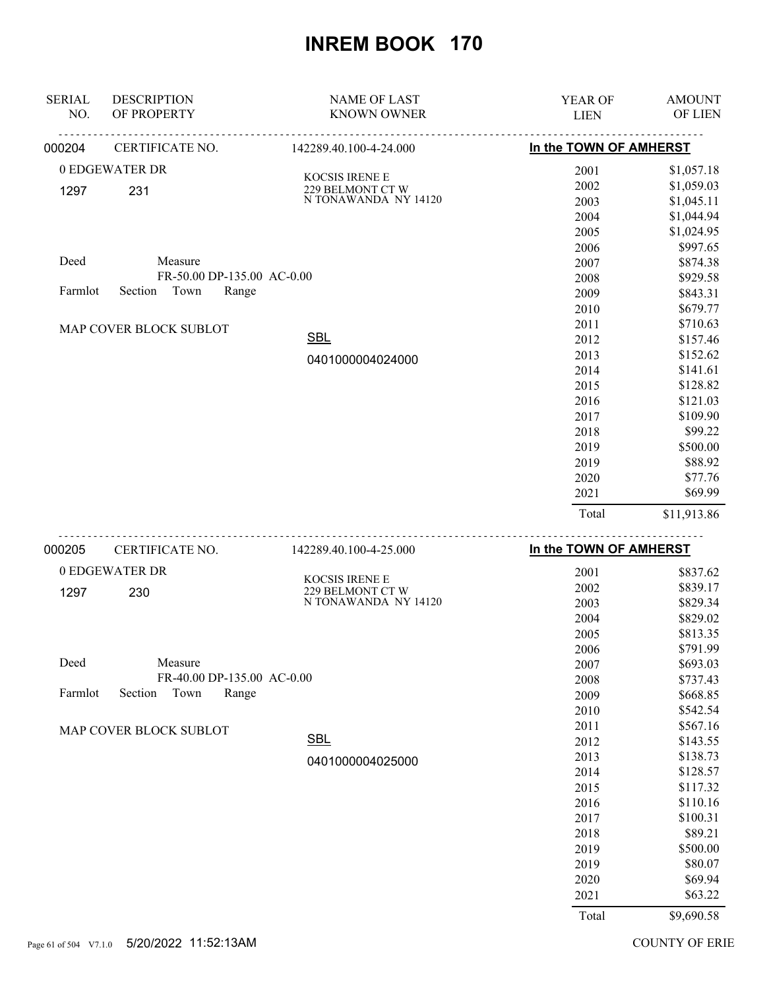| <b>SERIAL</b><br>NO. | <b>DESCRIPTION</b><br>OF PROPERTY             | <b>NAME OF LAST</b><br><b>KNOWN OWNER</b> | <b>YEAR OF</b><br><b>LIEN</b> | <b>AMOUNT</b><br>OF LIEN |
|----------------------|-----------------------------------------------|-------------------------------------------|-------------------------------|--------------------------|
| 000204               | CERTIFICATE NO.                               | 142289.40.100-4-24.000                    | In the TOWN OF AMHERST        |                          |
|                      | 0 EDGEWATER DR                                |                                           | 2001                          | \$1,057.18               |
| 1297                 | 231                                           | KOCSIS IRENE E<br>229 BELMONT CT W        | 2002                          | \$1,059.03               |
|                      |                                               | N TONAWANDA NY 14120                      | 2003                          | \$1,045.11               |
|                      |                                               |                                           | 2004                          | \$1,044.94               |
|                      |                                               |                                           | 2005                          | \$1,024.95               |
|                      |                                               |                                           | 2006                          | \$997.65                 |
| Deed                 | Measure                                       |                                           | 2007                          | \$874.38                 |
|                      | FR-50.00 DP-135.00 AC-0.00                    |                                           | 2008                          | \$929.58                 |
| Farmlot              | Town<br>Section<br>Range                      |                                           | 2009                          | \$843.31                 |
|                      |                                               |                                           | 2010                          | \$679.77                 |
|                      | MAP COVER BLOCK SUBLOT                        | <b>SBL</b>                                | 2011                          | \$710.63                 |
|                      |                                               |                                           | 2012<br>2013                  | \$157.46<br>\$152.62     |
|                      |                                               | 0401000004024000                          | 2014                          | \$141.61                 |
|                      |                                               |                                           | 2015                          | \$128.82                 |
|                      |                                               |                                           | 2016                          | \$121.03                 |
|                      |                                               |                                           | 2017                          | \$109.90                 |
|                      |                                               |                                           | 2018                          | \$99.22                  |
|                      |                                               |                                           | 2019                          | \$500.00                 |
|                      |                                               |                                           | 2019                          | \$88.92                  |
|                      |                                               |                                           | 2020                          | \$77.76                  |
|                      |                                               |                                           | 2021                          | \$69.99                  |
|                      |                                               |                                           | Total                         | \$11,913.86              |
| 000205               | <u>.</u><br>CERTIFICATE NO.                   | 142289.40.100-4-25.000                    | In the TOWN OF AMHERST        |                          |
|                      | 0 EDGEWATER DR                                |                                           | 2001                          | \$837.62                 |
| 1297                 | 230                                           | KOCSIS IRENE E<br>229 BELMONT CT W        | 2002                          | \$839.17                 |
|                      |                                               | N TONAWANDA NY 14120                      | 2003                          | \$829.34                 |
|                      |                                               |                                           | 2004                          | \$829.02                 |
|                      |                                               |                                           | 2005                          | \$813.35                 |
|                      |                                               |                                           | 2006                          | \$791.99                 |
| Deed                 | Measure                                       |                                           | 2007                          | \$693.03                 |
| Farmlot              | FR-40.00 DP-135.00 AC-0.00<br>Section<br>Town |                                           | 2008                          | \$737.43                 |
|                      | Range                                         |                                           | 2009                          | \$668.85                 |
|                      |                                               |                                           | 2010<br>2011                  | \$542.54<br>\$567.16     |
|                      | MAP COVER BLOCK SUBLOT                        | SBL                                       | 2012                          | \$143.55                 |
|                      |                                               |                                           | 2013                          | \$138.73                 |
|                      |                                               | 0401000004025000                          | 2014                          | \$128.57                 |
|                      |                                               |                                           | 2015                          | \$117.32                 |
|                      |                                               |                                           | 2016                          | \$110.16                 |
|                      |                                               |                                           | 2017                          | \$100.31                 |
|                      |                                               |                                           | 2018                          | \$89.21                  |
|                      |                                               |                                           | 2019                          | \$500.00                 |
|                      |                                               |                                           | 2019                          | \$80.07                  |
|                      |                                               |                                           | 2020                          | \$69.94                  |
|                      |                                               |                                           | 2021                          | \$63.22                  |
|                      |                                               |                                           | Total                         | \$9,690.58               |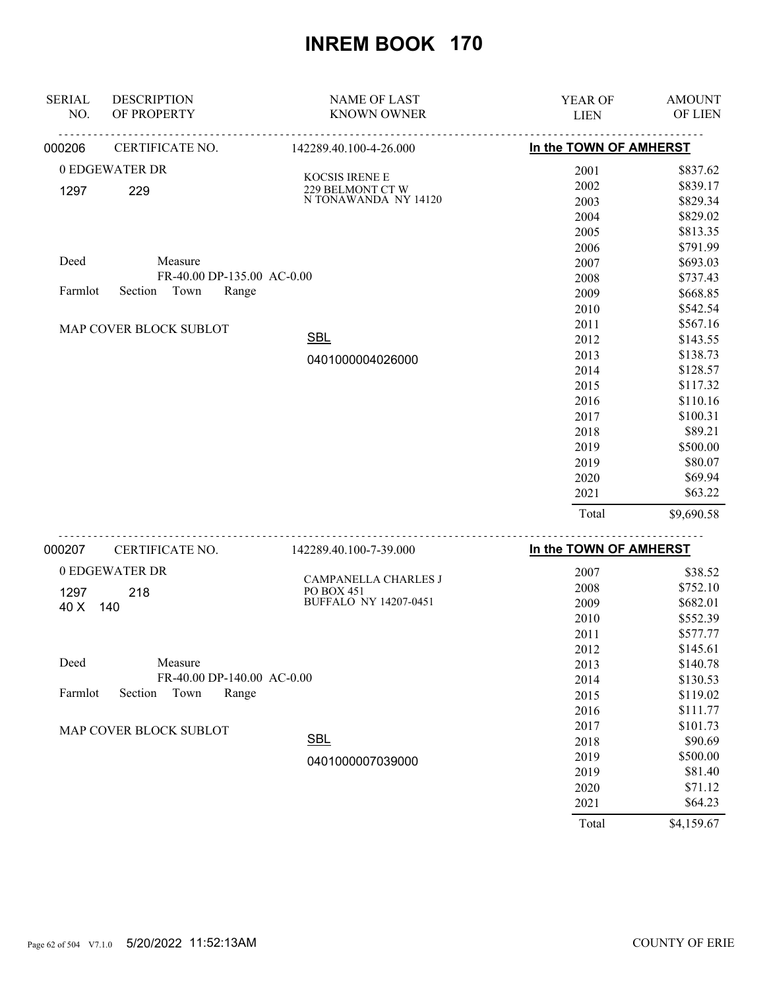| <b>SERIAL</b><br>NO. | <b>DESCRIPTION</b><br>OF PROPERTY        | <b>NAME OF LAST</b><br><b>KNOWN OWNER</b> | <b>YEAR OF</b><br><b>LIEN</b> | <b>AMOUNT</b><br>OF LIEN                                    |
|----------------------|------------------------------------------|-------------------------------------------|-------------------------------|-------------------------------------------------------------|
|                      |                                          |                                           |                               |                                                             |
| 000206               | CERTIFICATE NO.                          | 142289.40.100-4-26.000                    | In the TOWN OF AMHERST        |                                                             |
|                      | 0 EDGEWATER DR                           | KOCSIS IRENE E                            | 2001                          | \$837.62                                                    |
| 1297                 | 229                                      | 229 BELMONT CT W                          | 2002                          | \$839.17                                                    |
|                      |                                          | NTONAWANDA NY 14120                       | 2003                          | \$829.34                                                    |
|                      |                                          |                                           | 2004                          | \$829.02                                                    |
|                      |                                          |                                           | 2005                          | \$813.35                                                    |
|                      |                                          |                                           | 2006                          | \$791.99                                                    |
| Deed                 | Measure                                  |                                           | 2007                          | \$693.03                                                    |
|                      | FR-40.00 DP-135.00 AC-0.00               |                                           | 2008                          | \$737.43                                                    |
| Farmlot              | Town<br>Range<br>Section                 |                                           | 2009                          | \$668.85                                                    |
|                      |                                          |                                           | 2010                          | \$542.54                                                    |
|                      | MAP COVER BLOCK SUBLOT                   |                                           | 2011                          | \$567.16                                                    |
|                      |                                          | <b>SBL</b>                                | 2012                          | \$143.55                                                    |
|                      |                                          | 0401000004026000                          | 2013                          | \$138.73                                                    |
|                      |                                          |                                           | 2014                          | \$128.57                                                    |
|                      |                                          |                                           | 2015                          | \$117.32                                                    |
|                      |                                          |                                           | 2016                          | \$110.16                                                    |
|                      |                                          |                                           | 2017                          | \$100.31                                                    |
|                      |                                          |                                           | 2018                          | \$89.21                                                     |
|                      |                                          |                                           | 2019                          | \$500.00                                                    |
|                      |                                          |                                           | 2019                          | \$80.07                                                     |
|                      |                                          |                                           | 2020                          | \$69.94                                                     |
|                      |                                          |                                           | 2021                          | \$63.22                                                     |
|                      |                                          |                                           | Total                         | \$9,690.58                                                  |
| 000207               | CERTIFICATE NO.                          | <u>.</u><br>142289.40.100-7-39.000        | In the TOWN OF AMHERST        |                                                             |
|                      | $\triangle$ PD $\triangle$ PHILA TED, DD |                                           | $\sim$ $\sim$ $\sim$          | $\triangle$ $\triangle$ $\triangle$ $\triangle$ $\triangle$ |

| 0 EDGEWATER DR                      | <b>CAMPANELLA CHARLES J</b>  | 2007  | \$38.52    |
|-------------------------------------|------------------------------|-------|------------|
| 218<br>1297                         | <b>PO BOX 451</b>            | 2008  | \$752.10   |
| 140<br>40 X                         | <b>BUFFALO NY 14207-0451</b> | 2009  | \$682.01   |
|                                     |                              | 2010  | \$552.39   |
|                                     |                              | 2011  | \$577.77   |
|                                     |                              | 2012  | \$145.61   |
| Deed<br>Measure                     |                              | 2013  | \$140.78   |
| FR-40.00 DP-140.00 AC-0.00          |                              | 2014  | \$130.53   |
| Town<br>Farmlot<br>Section<br>Range |                              | 2015  | \$119.02   |
|                                     |                              | 2016  | \$111.77   |
| MAP COVER BLOCK SUBLOT              |                              | 2017  | \$101.73   |
|                                     | <b>SBL</b>                   | 2018  | \$90.69    |
|                                     | 0401000007039000             | 2019  | \$500.00   |
|                                     |                              | 2019  | \$81.40    |
|                                     |                              | 2020  | \$71.12    |
|                                     |                              | 2021  | \$64.23    |
|                                     |                              | Total | \$4,159.67 |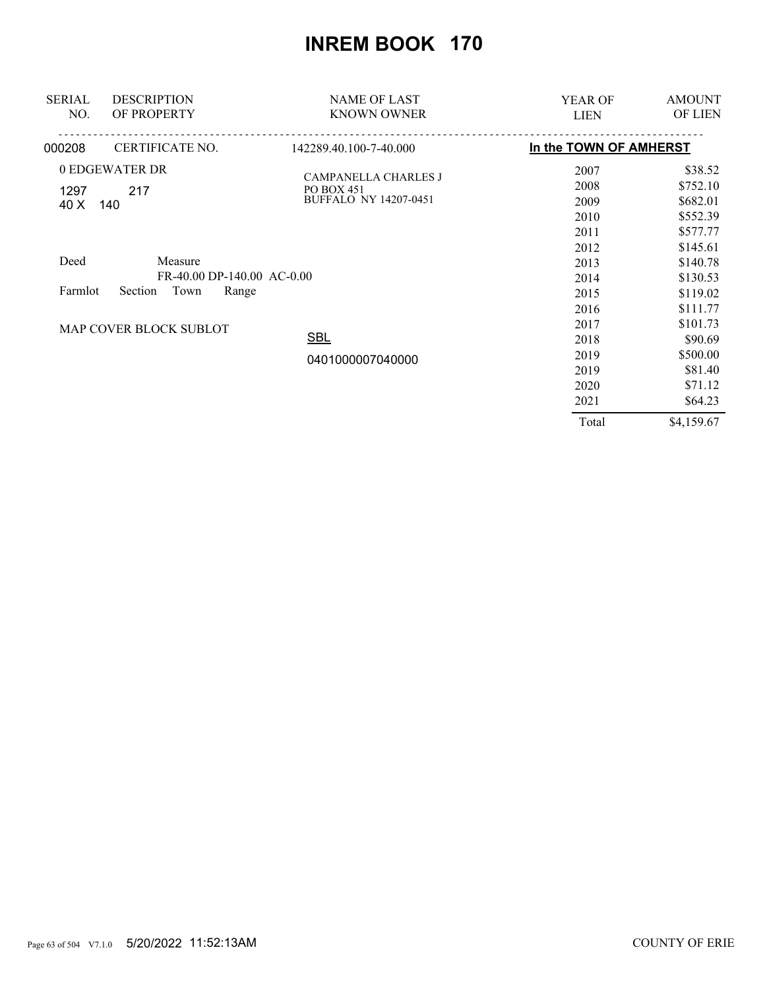| <b>DESCRIPTION</b><br><b>SERIAL</b> | <b>NAME OF LAST</b>                       | <b>YEAR OF</b>         | <b>AMOUNT</b>  |
|-------------------------------------|-------------------------------------------|------------------------|----------------|
| NO.<br>OF PROPERTY                  | <b>KNOWN OWNER</b>                        | <b>LIEN</b>            | <b>OF LIEN</b> |
| 000208<br>CERTIFICATE NO.           | 142289.40.100-7-40.000                    | In the TOWN OF AMHERST |                |
| 0 EDGEWATER DR                      |                                           | 2007                   | \$38.52        |
| 1297<br>217                         | CAMPANELLA CHARLES J<br><b>PO BOX 451</b> | 2008                   | \$752.10       |
| 140<br>40 X                         | <b>BUFFALO NY 14207-0451</b>              | 2009                   | \$682.01       |
|                                     |                                           | 2010                   | \$552.39       |
|                                     |                                           | 2011                   | \$577.77       |
|                                     |                                           | 2012                   | \$145.61       |
| Deed<br>Measure                     |                                           | 2013                   | \$140.78       |
|                                     | FR-40.00 DP-140.00 AC-0.00                | 2014                   | \$130.53       |
| Town<br>Farmlot<br>Section          | Range                                     | 2015                   | \$119.02       |
|                                     |                                           | 2016                   | \$111.77       |
| MAP COVER BLOCK SUBLOT              |                                           | 2017                   | \$101.73       |
|                                     | <b>SBL</b>                                | 2018                   | \$90.69        |
|                                     | 0401000007040000                          | 2019                   | \$500.00       |
|                                     |                                           | 2019                   | \$81.40        |
|                                     |                                           | 2020                   | \$71.12        |
|                                     |                                           | 2021                   | \$64.23        |
|                                     |                                           | Total                  | \$4,159.67     |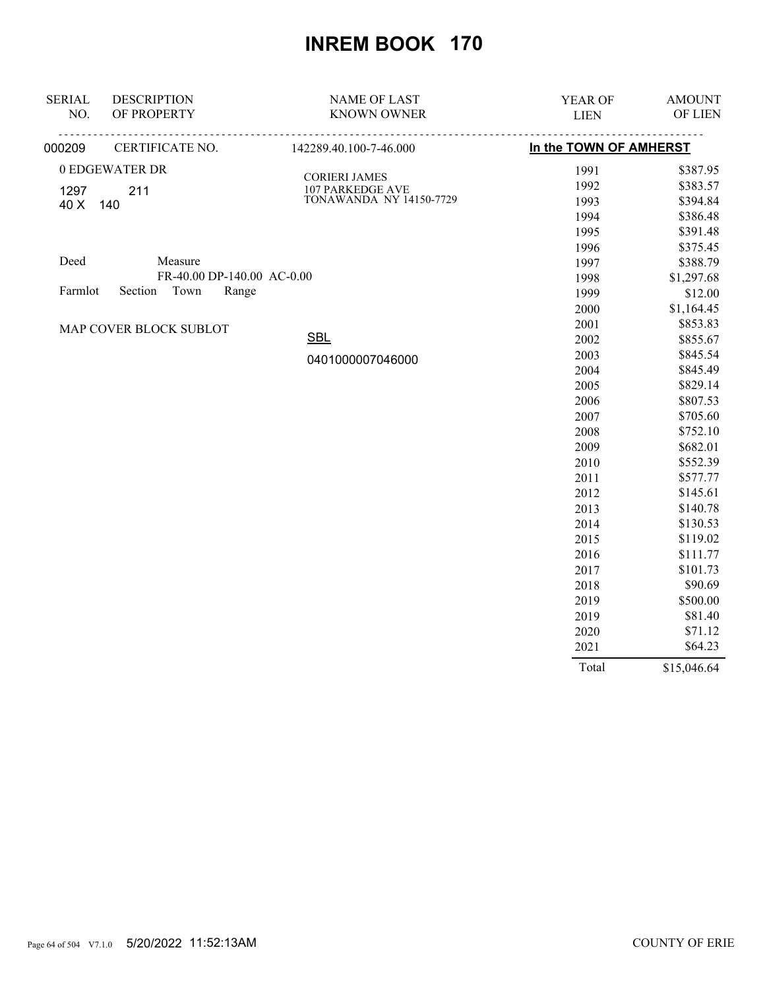| <b>SERIAL</b> | <b>DESCRIPTION</b>         | <b>NAME OF LAST</b>            | YEAR OF                | <b>AMOUNT</b> |
|---------------|----------------------------|--------------------------------|------------------------|---------------|
| NO.           | OF PROPERTY                | <b>KNOWN OWNER</b>             | <b>LIEN</b>            | OF LIEN       |
| 000209        | CERTIFICATE NO.            | 142289.40.100-7-46.000         | In the TOWN OF AMHERST |               |
|               | 0 EDGEWATER DR             | <b>CORIERI JAMES</b>           | 1991                   | \$387.95      |
| 1297          | 211                        | <b>107 PARKEDGE AVE</b>        | 1992                   | \$383.57      |
| 40 X          | 140                        | <b>TONAWANDA NY 14150-7729</b> | 1993                   | \$394.84      |
|               |                            |                                | 1994                   | \$386.48      |
|               |                            |                                | 1995                   | \$391.48      |
|               |                            |                                | 1996                   | \$375.45      |
| Deed          | Measure                    |                                | 1997                   | \$388.79      |
|               | FR-40.00 DP-140.00 AC-0.00 |                                | 1998                   | \$1,297.68    |
| Farmlot       | Section<br>Town<br>Range   |                                | 1999                   | \$12.00       |
|               |                            |                                | 2000                   | \$1,164.45    |
|               | MAP COVER BLOCK SUBLOT     |                                | 2001                   | \$853.83      |
|               |                            | <b>SBL</b>                     | 2002                   | \$855.67      |
|               |                            | 0401000007046000               | 2003                   | \$845.54      |
|               |                            |                                | 2004                   | \$845.49      |
|               |                            |                                | 2005                   | \$829.14      |
|               |                            |                                | 2006                   | \$807.53      |
|               |                            |                                | 2007                   | \$705.60      |
|               |                            |                                | 2008                   | \$752.10      |
|               |                            |                                | 2009                   | \$682.01      |
|               |                            |                                | 2010                   | \$552.39      |
|               |                            |                                | 2011                   | \$577.77      |
|               |                            |                                | 2012                   | \$145.61      |
|               |                            |                                | 2013                   | \$140.78      |
|               |                            |                                | 2014                   | \$130.53      |
|               |                            |                                | 2015                   | \$119.02      |
|               |                            |                                | 2016                   | \$111.77      |
|               |                            |                                | 2017                   | \$101.73      |
|               |                            |                                | 2018                   | \$90.69       |
|               |                            |                                | 2019                   | \$500.00      |
|               |                            |                                | 2019                   | \$81.40       |
|               |                            |                                | 2020                   | \$71.12       |
|               |                            |                                | 2021                   | \$64.23       |

Total \$15,046.64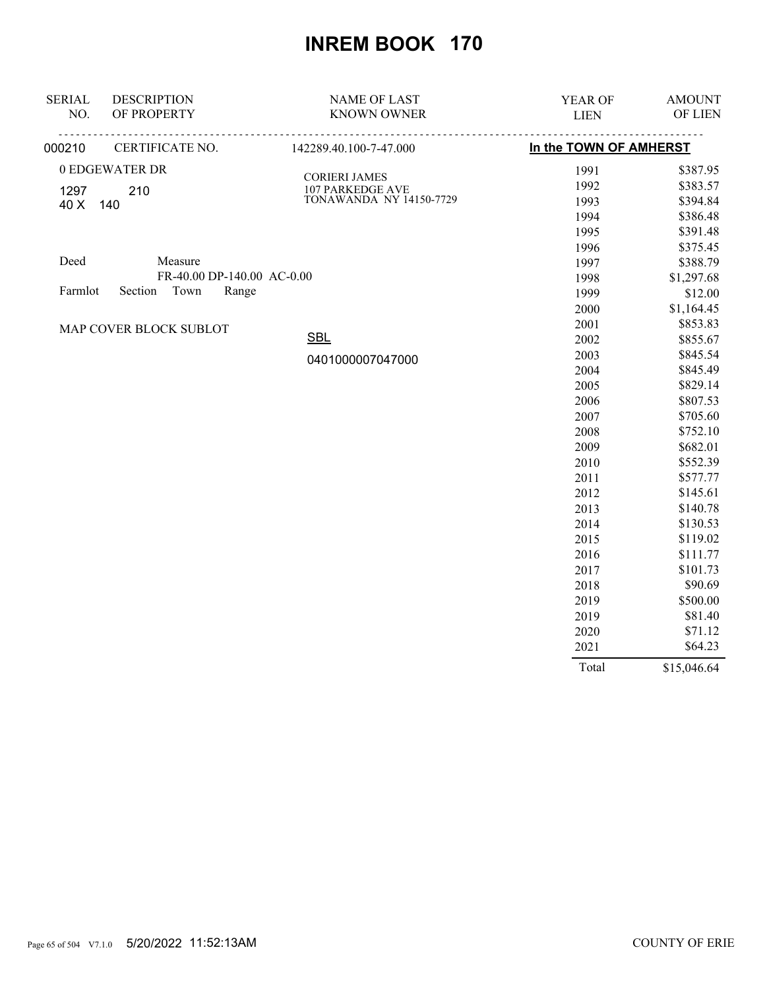| <b>SERIAL</b> | <b>DESCRIPTION</b>         | <b>NAME OF LAST</b>            | YEAR OF                | <b>AMOUNT</b> |
|---------------|----------------------------|--------------------------------|------------------------|---------------|
| NO.           | OF PROPERTY                | <b>KNOWN OWNER</b>             | <b>LIEN</b>            | OF LIEN       |
| 000210        | CERTIFICATE NO.            | 142289.40.100-7-47.000         | In the TOWN OF AMHERST |               |
|               | 0 EDGEWATER DR             | <b>CORIERI JAMES</b>           | 1991                   | \$387.95      |
| 1297          | 210                        | <b>107 PARKEDGE AVE</b>        | 1992                   | \$383.57      |
| 40 X          | 140                        | <b>TONAWANDA NY 14150-7729</b> | 1993                   | \$394.84      |
|               |                            |                                | 1994                   | \$386.48      |
|               |                            |                                | 1995                   | \$391.48      |
|               |                            |                                | 1996                   | \$375.45      |
| Deed          | Measure                    |                                | 1997                   | \$388.79      |
|               | FR-40.00 DP-140.00 AC-0.00 |                                | 1998                   | \$1,297.68    |
| Farmlot       | Section<br>Town<br>Range   |                                | 1999                   | \$12.00       |
|               |                            |                                | 2000                   | \$1,164.45    |
|               | MAP COVER BLOCK SUBLOT     |                                | 2001                   | \$853.83      |
|               |                            | <b>SBL</b>                     | 2002                   | \$855.67      |
|               |                            | 0401000007047000               | 2003                   | \$845.54      |
|               |                            |                                | 2004                   | \$845.49      |
|               |                            |                                | 2005                   | \$829.14      |
|               |                            |                                | 2006                   | \$807.53      |
|               |                            |                                | 2007                   | \$705.60      |
|               |                            |                                | 2008                   | \$752.10      |
|               |                            |                                | 2009                   | \$682.01      |
|               |                            |                                | 2010                   | \$552.39      |
|               |                            |                                | 2011                   | \$577.77      |
|               |                            |                                | 2012                   | \$145.61      |
|               |                            |                                | 2013                   | \$140.78      |
|               |                            |                                | 2014                   | \$130.53      |
|               |                            |                                | 2015                   | \$119.02      |
|               |                            |                                | 2016                   | \$111.77      |
|               |                            |                                | 2017                   | \$101.73      |
|               |                            |                                | 2018                   | \$90.69       |
|               |                            |                                | 2019                   | \$500.00      |
|               |                            |                                | 2019                   | \$81.40       |
|               |                            |                                | 2020                   | \$71.12       |
|               |                            |                                | 2021                   | \$64.23       |

Total \$15,046.64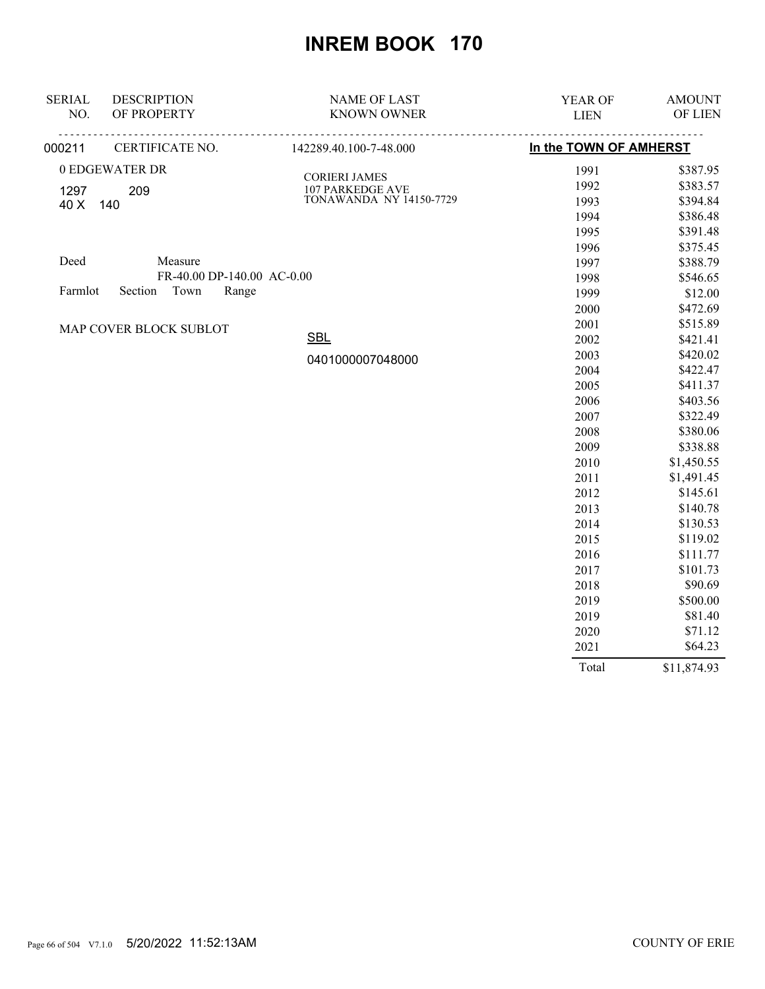| <b>SERIAL</b> | <b>DESCRIPTION</b>         | <b>NAME OF LAST</b>            | YEAR OF                | <b>AMOUNT</b> |
|---------------|----------------------------|--------------------------------|------------------------|---------------|
| NO.           | OF PROPERTY                | <b>KNOWN OWNER</b>             | <b>LIEN</b>            | OF LIEN       |
| 000211        | CERTIFICATE NO.            | 142289.40.100-7-48.000         | In the TOWN OF AMHERST |               |
|               | 0 EDGEWATER DR             | <b>CORIERI JAMES</b>           | 1991                   | \$387.95      |
| 1297          | 209                        | <b>107 PARKEDGE AVE</b>        | 1992                   | \$383.57      |
| 40 X          | 140                        | <b>TONAWANDA NY 14150-7729</b> | 1993                   | \$394.84      |
|               |                            |                                | 1994                   | \$386.48      |
|               |                            |                                | 1995                   | \$391.48      |
|               |                            |                                | 1996                   | \$375.45      |
| Deed          | Measure                    |                                | 1997                   | \$388.79      |
|               | FR-40.00 DP-140.00 AC-0.00 |                                | 1998                   | \$546.65      |
| Farmlot       | Town<br>Section<br>Range   |                                | 1999                   | \$12.00       |
|               |                            |                                | 2000                   | \$472.69      |
|               | MAP COVER BLOCK SUBLOT     |                                | 2001                   | \$515.89      |
|               |                            | <b>SBL</b>                     | 2002                   | \$421.41      |
|               |                            | 0401000007048000               | 2003                   | \$420.02      |
|               |                            |                                | 2004                   | \$422.47      |
|               |                            |                                | 2005                   | \$411.37      |
|               |                            |                                | 2006                   | \$403.56      |
|               |                            |                                | 2007                   | \$322.49      |
|               |                            |                                | 2008                   | \$380.06      |
|               |                            |                                | 2009                   | \$338.88      |
|               |                            |                                | 2010                   | \$1,450.55    |
|               |                            |                                | 2011                   | \$1,491.45    |
|               |                            |                                | 2012                   | \$145.61      |
|               |                            |                                | 2013                   | \$140.78      |
|               |                            |                                | 2014                   | \$130.53      |
|               |                            |                                | 2015                   | \$119.02      |
|               |                            |                                | 2016                   | \$111.77      |
|               |                            |                                | 2017                   | \$101.73      |
|               |                            |                                | 2018                   | \$90.69       |
|               |                            |                                | 2019                   | \$500.00      |
|               |                            |                                | 2019                   | \$81.40       |
|               |                            |                                | 2020                   | \$71.12       |
|               |                            |                                | 2021                   | \$64.23       |

Total \$11,874.93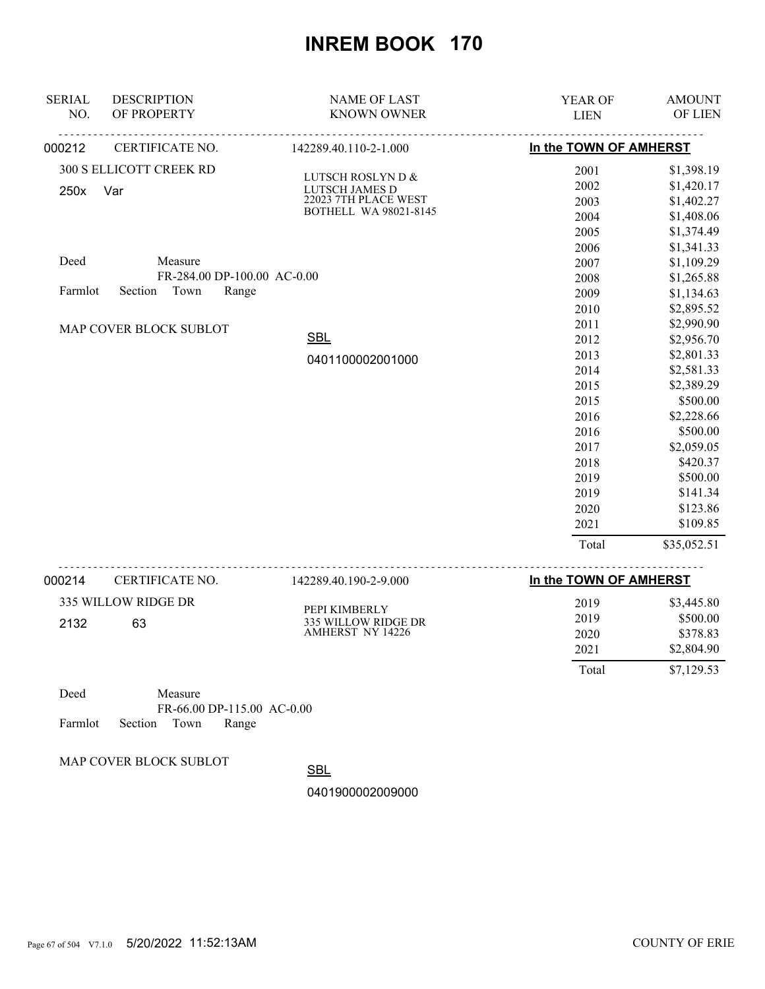| <b>SERIAL</b>  | <b>DESCRIPTION</b>          | <b>NAME OF LAST</b>                     | YEAR OF                | <b>AMOUNT</b>          |
|----------------|-----------------------------|-----------------------------------------|------------------------|------------------------|
| NO.            | OF PROPERTY                 | <b>KNOWN OWNER</b>                      | <b>LIEN</b>            | OF LIEN                |
| 000212         | CERTIFICATE NO.             | 142289.40.110-2-1.000                   | In the TOWN OF AMHERST |                        |
|                | 300 S ELLICOTT CREEK RD     | LUTSCH ROSLYN D &                       | 2001                   | \$1,398.19             |
| 250x           | Var                         | LUTSCH JAMES D                          | 2002                   | \$1,420.17             |
|                |                             | 22023 7TH PLACE WEST                    | 2003                   | \$1,402.27             |
|                |                             | <b>BOTHELL WA 98021-8145</b>            | 2004                   | \$1,408.06             |
|                |                             |                                         | 2005                   | \$1,374.49             |
|                |                             |                                         | 2006                   | \$1,341.33             |
| Deed           | Measure                     |                                         | 2007                   | \$1,109.29             |
|                | FR-284.00 DP-100.00 AC-0.00 |                                         | 2008                   | \$1,265.88             |
| Farmlot        | Town<br>Section<br>Range    |                                         | 2009                   | \$1,134.63             |
|                |                             |                                         | 2010                   | \$2,895.52             |
|                | MAP COVER BLOCK SUBLOT      |                                         | 2011                   | \$2,990.90             |
|                |                             | <b>SBL</b>                              | 2012                   | \$2,956.70             |
|                |                             | 0401100002001000                        | 2013                   | \$2,801.33             |
|                |                             |                                         | 2014                   | \$2,581.33             |
|                |                             |                                         | 2015                   | \$2,389.29             |
|                |                             |                                         | 2015                   | \$500.00               |
|                |                             |                                         | 2016<br>2016           | \$2,228.66<br>\$500.00 |
|                |                             |                                         | 2017                   | \$2,059.05             |
|                |                             |                                         | 2018                   | \$420.37               |
|                |                             |                                         | 2019                   | \$500.00               |
|                |                             |                                         | 2019                   | \$141.34               |
|                |                             |                                         | 2020                   | \$123.86               |
|                |                             |                                         | 2021                   | \$109.85               |
|                |                             |                                         | Total                  | \$35,052.51            |
|                |                             |                                         |                        |                        |
| 000214         | CERTIFICATE NO.             | 142289.40.190-2-9.000                   | In the TOWN OF AMHERST |                        |
|                | 335 WILLOW RIDGE DR         |                                         | 2019                   | \$3,445.80             |
| 2132           | 63                          | PEPI KIMBERLY                           | 2019                   | \$500.00               |
|                |                             | 335 WILLOW RIDGE DR<br>AMHERST NY 14226 | 2020                   | \$378.83               |
|                |                             |                                         | 2021                   | \$2,804.90             |
|                |                             |                                         | Total                  | \$7,129.53             |
| $\mathbf{D}$ 1 | $\mathbf{r}$                |                                         |                        |                        |

| Deed |                            | Measure |                            |  |
|------|----------------------------|---------|----------------------------|--|
|      |                            |         | FR-66.00 DP-115.00 AC-0.00 |  |
|      | Farmlot Section Town Range |         |                            |  |

MAP COVER BLOCK SUBLOT

**SBL**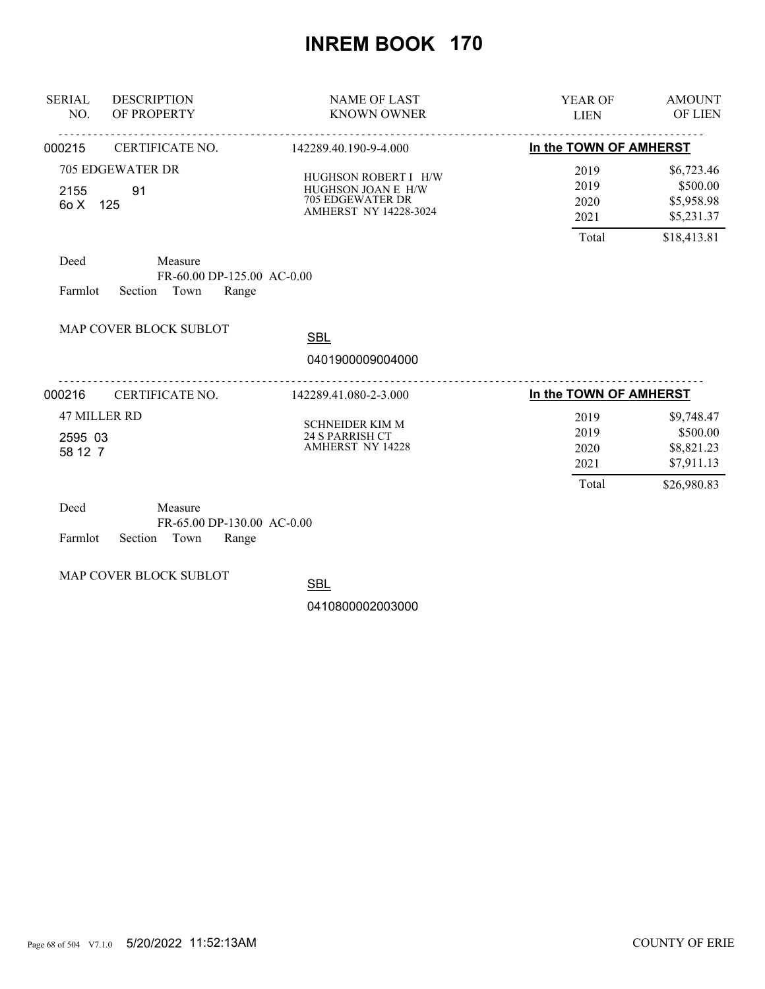| <b>SERIAL</b><br>NO.                      | <b>DESCRIPTION</b><br>OF PROPERTY                                                                         | <b>NAME OF LAST</b><br><b>KNOWN OWNER</b>                                                             | <b>AMOUNT</b><br><b>YEAR OF</b><br><b>OF LIEN</b><br><b>LIEN</b> |                                                                   |
|-------------------------------------------|-----------------------------------------------------------------------------------------------------------|-------------------------------------------------------------------------------------------------------|------------------------------------------------------------------|-------------------------------------------------------------------|
| 000215                                    | CERTIFICATE NO.                                                                                           | 142289.40.190-9-4.000                                                                                 | In the TOWN OF AMHERST                                           |                                                                   |
| 2155<br>60 X<br>Deed<br>Farmlot           | <b>705 EDGEWATER DR</b><br>91<br>125<br>Measure<br>FR-60.00 DP-125.00 AC-0.00<br>Section<br>Town<br>Range | HUGHSON ROBERT I H/W<br>HUGHSON JOAN E H/W<br><b>705 EDGEWATER DR</b><br><b>AMHERST NY 14228-3024</b> | 2019<br>2019<br>2020<br>2021<br>Total                            | \$6,723.46<br>\$500.00<br>\$5,958.98<br>\$5,231.37<br>\$18,413.81 |
|                                           | MAP COVER BLOCK SUBLOT                                                                                    | <b>SBL</b>                                                                                            |                                                                  |                                                                   |
|                                           |                                                                                                           | 0401900009004000                                                                                      |                                                                  |                                                                   |
| 000216                                    | CERTIFICATE NO.                                                                                           | 142289.41.080-2-3.000                                                                                 | In the TOWN OF AMHERST                                           |                                                                   |
| <b>47 MILLER RD</b><br>2595 03<br>58 12 7 |                                                                                                           | <b>SCHNEIDER KIM M</b><br><b>24 S PARRISH CT</b><br><b>AMHERST NY 14228</b>                           | 2019<br>2019<br>2020<br>2021<br>Total                            | \$9,748.47<br>\$500.00<br>\$8,821.23<br>\$7,911.13<br>\$26,980.83 |
| Deed                                      | $M_{\rho\alpha\text{cm}}$                                                                                 |                                                                                                       |                                                                  |                                                                   |

| Deed                       | Measure |                            |  |
|----------------------------|---------|----------------------------|--|
|                            |         | FR-65.00 DP-130.00 AC-0.00 |  |
| Farmlot Section Town Range |         |                            |  |

MAP COVER BLOCK SUBLOT

**SBL**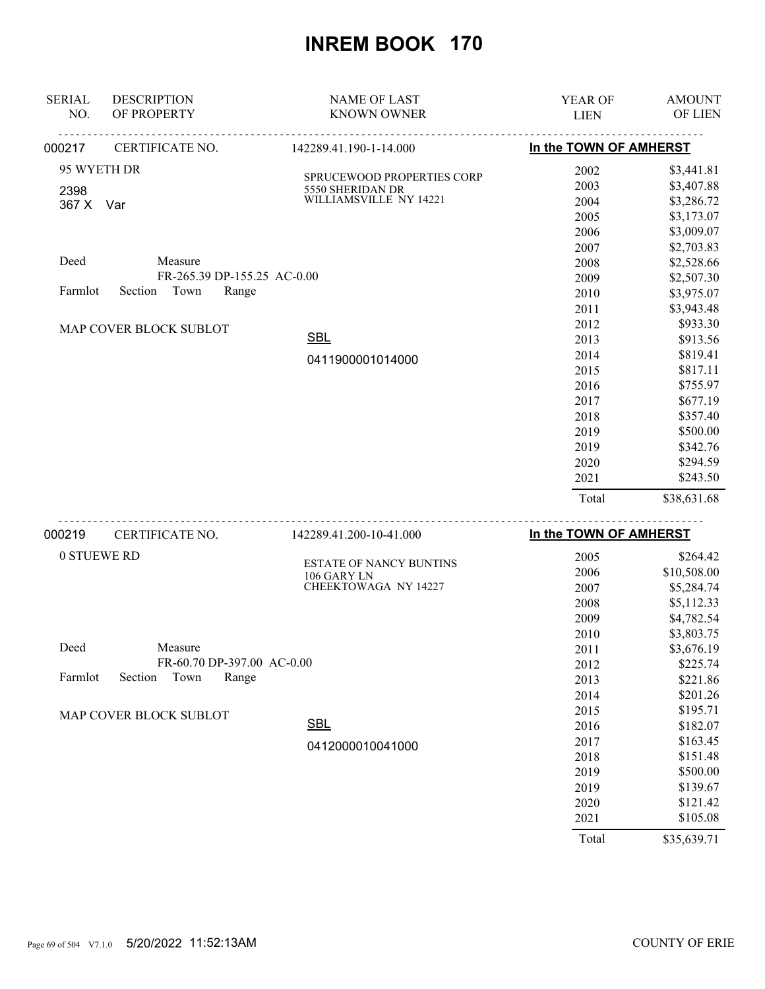| <b>SERIAL</b> | <b>DESCRIPTION</b>          | <b>NAME OF LAST</b>        | <b>YEAR OF</b>         | <b>AMOUNT</b> |
|---------------|-----------------------------|----------------------------|------------------------|---------------|
| NO.           | OF PROPERTY                 | <b>KNOWN OWNER</b>         | <b>LIEN</b>            | OF LIEN       |
| 000217        | CERTIFICATE NO.             | 142289.41.190-1-14.000     | In the TOWN OF AMHERST |               |
| 95 WYETH DR   |                             | SPRUCEWOOD PROPERTIES CORP | 2002                   | \$3,441.81    |
| 2398          |                             | 5550 SHERIDAN DR           | 2003                   | \$3,407.88    |
| 367 X Var     |                             | WILLIAMSVILLE NY 14221     | 2004                   | \$3,286.72    |
|               |                             |                            | 2005                   | \$3,173.07    |
|               |                             |                            | 2006                   | \$3,009.07    |
|               |                             |                            | 2007                   | \$2,703.83    |
| Deed          | Measure                     |                            | 2008                   | \$2,528.66    |
|               | FR-265.39 DP-155.25 AC-0.00 |                            | 2009                   | \$2,507.30    |
| Farmlot       | Town<br>Section<br>Range    |                            | 2010                   | \$3,975.07    |
|               |                             |                            | 2011                   | \$3,943.48    |
|               | MAP COVER BLOCK SUBLOT      |                            | 2012                   | \$933.30      |
|               |                             | <b>SBL</b>                 | 2013                   | \$913.56      |
|               |                             | 0411900001014000           | 2014                   | \$819.41      |
|               |                             |                            | 2015                   | \$817.11      |
|               |                             |                            | 2016                   | \$755.97      |
|               |                             |                            | 2017                   | \$677.19      |
|               |                             |                            | 2018                   | \$357.40      |
|               |                             |                            | 2019                   | \$500.00      |
|               |                             |                            | 2019                   | \$342.76      |
|               |                             |                            | 2020                   | \$294.59      |
|               |                             |                            | 2021                   | \$243.50      |
|               |                             |                            | Total                  | \$38,631.68   |
|               |                             |                            |                        |               |

| 000219                 | CERTIFICATE NO.            | 142289.41.200-10-41.000                       | In the TOWN OF AMHERST |             |
|------------------------|----------------------------|-----------------------------------------------|------------------------|-------------|
| 0 STUEWE RD            |                            |                                               | 2005                   | \$264.42    |
|                        |                            | <b>ESTATE OF NANCY BUNTINS</b><br>106 GARY LN | 2006                   | \$10,508.00 |
|                        |                            | CHEEKTOWAGA NY 14227                          | 2007                   | \$5,284.74  |
|                        |                            |                                               | 2008                   | \$5,112.33  |
|                        |                            |                                               | 2009                   | \$4,782.54  |
|                        |                            |                                               | 2010                   | \$3,803.75  |
| Deed                   | Measure                    |                                               | 2011                   | \$3,676.19  |
|                        | FR-60.70 DP-397.00 AC-0.00 |                                               | 2012                   | \$225.74    |
| Farmlot                | Town<br>Section<br>Range   |                                               | 2013                   | \$221.86    |
|                        |                            |                                               | 2014                   | \$201.26    |
| MAP COVER BLOCK SUBLOT |                            |                                               | 2015                   | \$195.71    |
|                        |                            | <b>SBL</b>                                    | 2016                   | \$182.07    |
|                        |                            | 0412000010041000                              | 2017                   | \$163.45    |
|                        |                            |                                               | 2018                   | \$151.48    |
|                        |                            |                                               | 2019                   | \$500.00    |
|                        |                            |                                               | 2019                   | \$139.67    |
|                        |                            |                                               | 2020                   | \$121.42    |
|                        |                            |                                               | 2021                   | \$105.08    |
|                        |                            |                                               | Total                  | \$35,639.71 |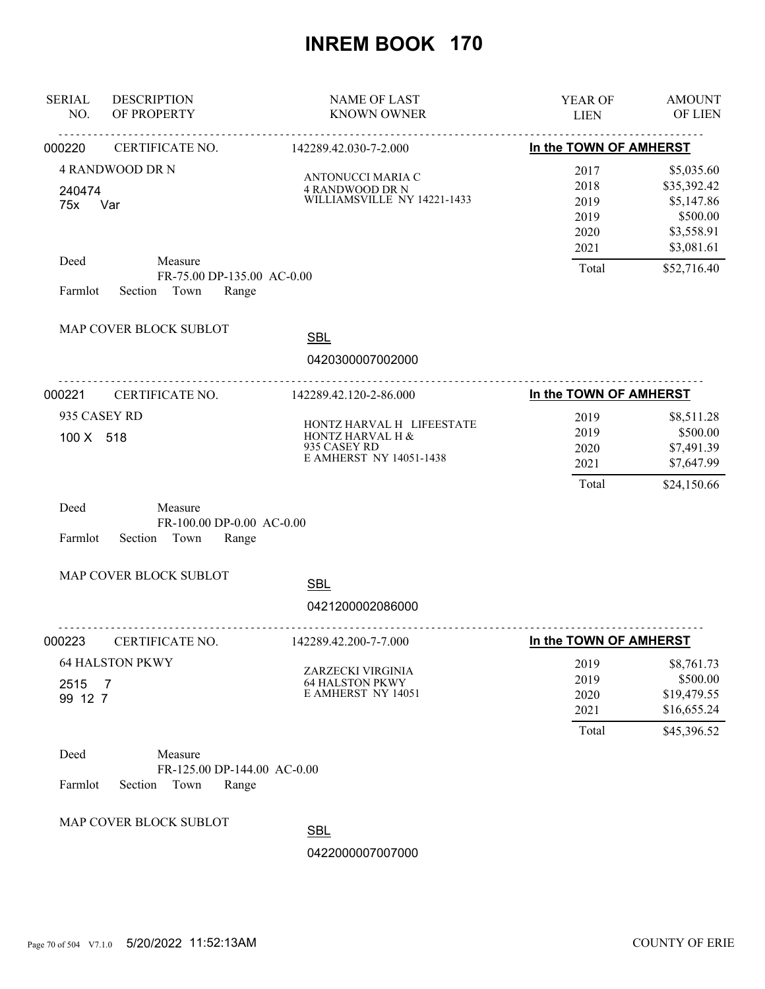| <b>SERIAL</b><br>NO.             | <b>DESCRIPTION</b><br>OF PROPERTY                                                               | <b>NAME OF LAST</b><br><b>KNOWN OWNER</b>                           | <b>YEAR OF</b><br><b>LIEN</b>                         | <b>AMOUNT</b><br>OF LIEN                                                                       |
|----------------------------------|-------------------------------------------------------------------------------------------------|---------------------------------------------------------------------|-------------------------------------------------------|------------------------------------------------------------------------------------------------|
| 000220                           | <u>.</u><br>CERTIFICATE NO.                                                                     | <u>.</u><br>142289.42.030-7-2.000                                   | In the TOWN OF AMHERST                                |                                                                                                |
| 240474<br>75x<br>Deed<br>Farmlot | <b>4 RANDWOOD DR N</b><br>Var<br>Measure<br>FR-75.00 DP-135.00 AC-0.00<br>Section Town<br>Range | ANTONUCCI MARIA C<br>4 RANDWOOD DR N<br>WILLIAMSVILLE NY 14221-1433 | 2017<br>2018<br>2019<br>2019<br>2020<br>2021<br>Total | \$5,035.60<br>\$35,392.42<br>\$5,147.86<br>\$500.00<br>\$3,558.91<br>\$3,081.61<br>\$52,716.40 |
|                                  | MAP COVER BLOCK SUBLOT                                                                          | <b>SBL</b><br>0420300007002000                                      |                                                       |                                                                                                |
| 000221                           | CERTIFICATE NO.                                                                                 | 142289.42.120-2-86.000                                              | In the TOWN OF AMHERST                                |                                                                                                |
| 935 CASEY RD<br>100 X 518        | HONTZ HARVAL H LIFEESTATE<br>HONTZ HARVAL H &<br>935 CASEY RD<br><b>E AMHERST NY 14051-1438</b> | 2019<br>2019<br>2020<br>2021                                        | \$8,511.28<br>\$500.00<br>\$7,491.39<br>\$7,647.99    |                                                                                                |
| Deed<br>Farmlot                  | Measure<br>FR-100.00 DP-0.00 AC-0.00<br>Section<br>Town<br>Range                                |                                                                     | Total                                                 | \$24,150.66                                                                                    |
|                                  | MAP COVER BLOCK SUBLOT                                                                          | <b>SBL</b><br>0421200002086000                                      |                                                       |                                                                                                |
| 000223                           | CERTIFICATE NO.                                                                                 | 142289.42.200-7-7.000                                               | In the TOWN OF AMHERST                                |                                                                                                |
| 2515 7<br>99 12 7                | <b>64 HALSTON PKWY</b>                                                                          | ZARZECKI VIRGINIA<br>64 HALSTON PKWY<br>E AMHERST NY 14051          | 2019<br>2019<br>2020<br>2021                          | \$8,761.73<br>\$500.00<br>\$19,479.55<br>\$16,655.24                                           |
| Deed<br>Farmlot                  | Measure<br>FR-125.00 DP-144.00 AC-0.00<br>Section<br>Town<br>Range                              |                                                                     | Total                                                 | \$45,396.52                                                                                    |
|                                  | MAP COVER BLOCK SUBLOT                                                                          | <b>SBL</b>                                                          |                                                       |                                                                                                |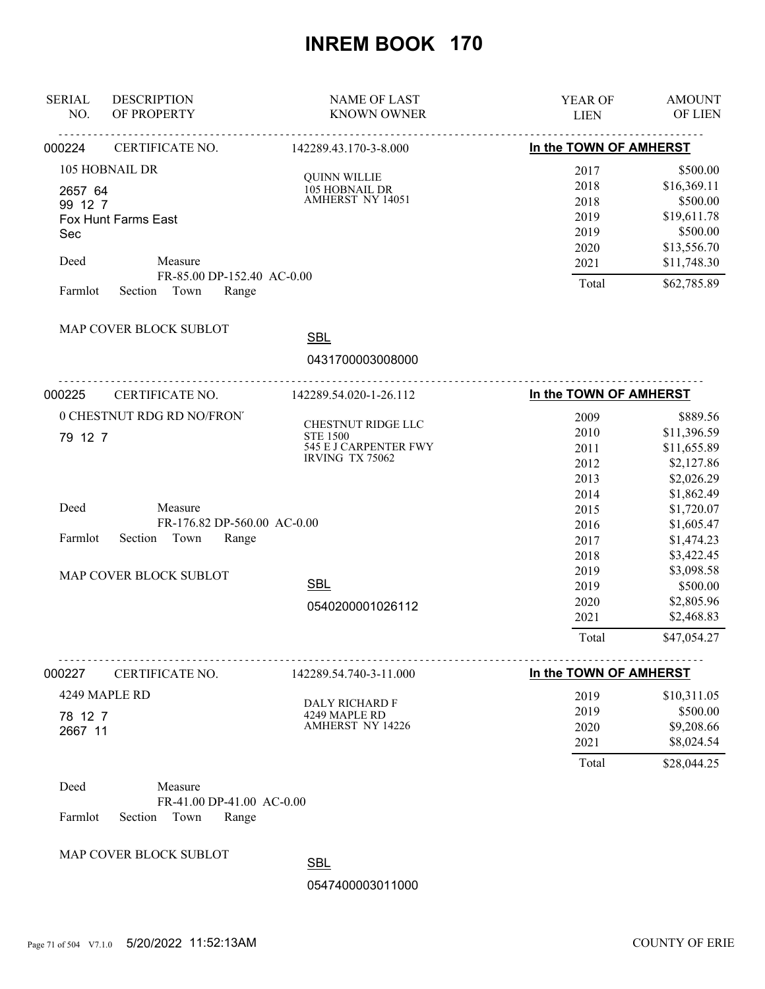| <b>SERIAL</b><br>NO. | <b>DESCRIPTION</b><br>OF PROPERTY | <b>NAME OF LAST</b><br><b>KNOWN OWNER</b> | <b>YEAR OF</b><br><b>LIEN</b> | <b>AMOUNT</b><br>OF LIEN |
|----------------------|-----------------------------------|-------------------------------------------|-------------------------------|--------------------------|
| 000224               | CERTIFICATE NO.                   | <u>.</u><br>142289.43.170-3-8.000         | In the TOWN OF AMHERST        |                          |
|                      | 105 HOBNAIL DR                    |                                           | 2017                          | \$500.00                 |
| 2657 64              |                                   | <b>QUINN WILLIE</b><br>105 HOBNAIL DR     | 2018                          | \$16,369.11              |
| 99 12 7              |                                   | <b>AMHERST NY 14051</b>                   | 2018                          | \$500.00                 |
|                      | Fox Hunt Farms East               |                                           | 2019                          | \$19,611.78              |
| Sec                  |                                   |                                           | 2019                          | \$500.00                 |
|                      |                                   |                                           | 2020                          | \$13,556.70              |
| Deed                 | Measure                           |                                           | 2021                          | \$11,748.30              |
|                      | FR-85.00 DP-152.40 AC-0.00        |                                           | Total                         | \$62,785.89              |
| Farmlot              | Section Town<br>Range             |                                           |                               |                          |
|                      | MAP COVER BLOCK SUBLOT            | <b>SBL</b>                                |                               |                          |
|                      |                                   |                                           |                               |                          |
|                      |                                   | 0431700003008000                          |                               |                          |
| 000225               | CERTIFICATE NO.                   | 142289.54.020-1-26.112                    | In the TOWN OF AMHERST        |                          |
|                      | 0 CHESTNUT RDG RD NO/FRON'        |                                           | 2009                          | \$889.56                 |
| 79 12 7              |                                   | CHESTNUT RIDGE LLC<br><b>STE 1500</b>     | 2010                          | \$11,396.59              |
|                      |                                   | 545 E J CARPENTER FWY                     | 2011                          | \$11,655.89              |
|                      |                                   | IRVING TX 75062                           | 2012                          | \$2,127.86               |
|                      |                                   |                                           | 2013                          | \$2,026.29               |
|                      |                                   |                                           | 2014                          | \$1,862.49               |
| Deed                 | Measure                           |                                           | 2015                          | \$1,720.07               |
|                      | FR-176.82 DP-560.00 AC-0.00       |                                           | 2016                          | \$1,605.47               |
| Farmlot              | Section<br>Town<br>Range          |                                           | 2017                          | \$1,474.23               |
|                      |                                   |                                           | 2018                          | \$3,422.45               |
|                      | MAP COVER BLOCK SUBLOT            |                                           | 2019                          | \$3,098.58               |
|                      |                                   | <b>SBL</b>                                | 2019                          | \$500.00                 |
|                      |                                   | 0540200001026112                          | 2020                          | \$2,805.96               |
|                      |                                   |                                           | 2021                          | \$2,468.83               |
|                      |                                   |                                           | Total                         | \$47,054.27              |
| 000227               | CERTIFICATE NO.                   | 142289.54.740-3-11.000                    | In the TOWN OF AMHERST        |                          |
|                      | 4249 MAPLE RD                     |                                           | 2019                          | \$10,311.05              |
|                      |                                   | DALY RICHARD F                            | 2019                          | \$500.00                 |
| 78 12 7              |                                   | 4249 MAPLE RD<br>AMHERST NY 14226         | 2020                          | \$9,208.66               |
| 2667 11              |                                   |                                           | 2021                          | \$8,024.54               |
|                      |                                   |                                           | Total                         | \$28,044.25              |
|                      |                                   |                                           |                               |                          |
| Deed                 | Measure                           |                                           |                               |                          |
|                      | FR-41.00 DP-41.00 AC-0.00         |                                           |                               |                          |

Farmlot Section Town Range

MAP COVER BLOCK SUBLOT

**SBL**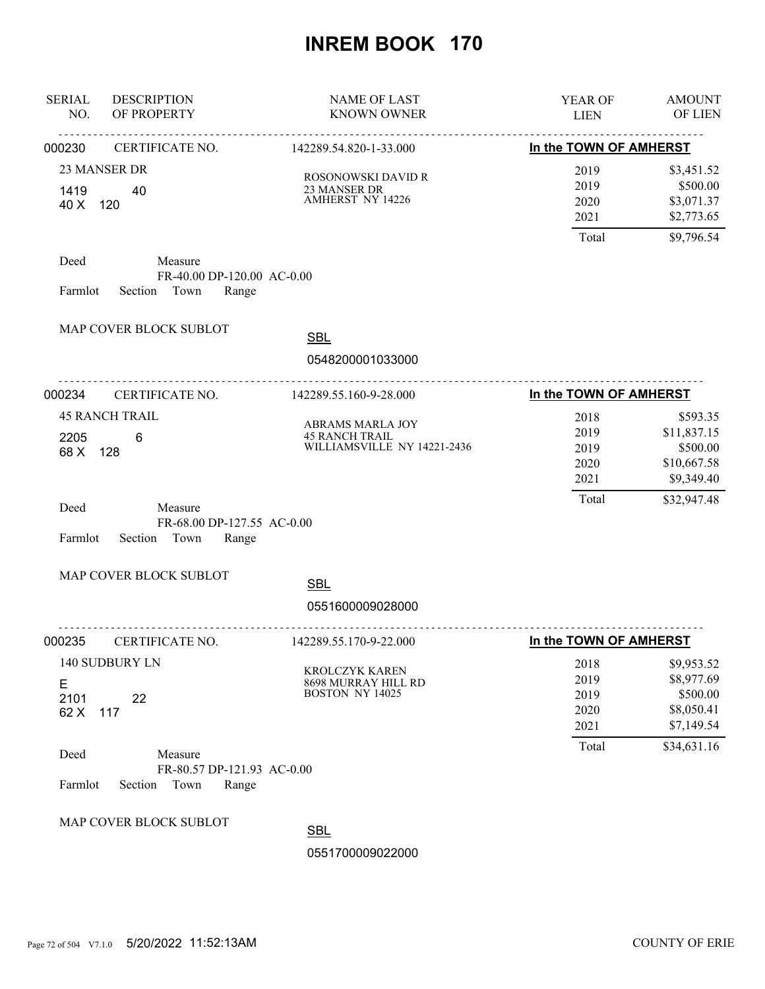| <b>SERIAL</b><br>NO.                              | <b>DESCRIPTION</b><br>OF PROPERTY                              | <b>NAME OF LAST</b><br><b>KNOWN OWNER</b>                                | YEAR OF<br><b>LIEN</b>                        | <b>AMOUNT</b><br>OF LIEN                                                        |
|---------------------------------------------------|----------------------------------------------------------------|--------------------------------------------------------------------------|-----------------------------------------------|---------------------------------------------------------------------------------|
| 000230                                            | CERTIFICATE NO.                                                | .<br>142289.54.820-1-33.000                                              | In the TOWN OF AMHERST                        |                                                                                 |
| 23 MANSER DR<br>1419<br>40<br>40 X<br>120         |                                                                | ROSONOWSKI DAVID R<br>23 MANSER DR<br>AMHERST NY 14226                   | 2019<br>2019<br>2020<br>2021                  | \$3,451.52<br>\$500.00<br>\$3,071.37<br>\$2,773.65                              |
|                                                   |                                                                |                                                                          | Total                                         | \$9,796.54                                                                      |
| Deed<br>Farmlot                                   | Measure<br>FR-40.00 DP-120.00 AC-0.00<br>Section Town<br>Range |                                                                          |                                               |                                                                                 |
| MAP COVER BLOCK SUBLOT                            |                                                                | <b>SBL</b><br>0548200001033000                                           |                                               |                                                                                 |
| 000234                                            | .<br>CERTIFICATE NO.                                           | 142289.55.160-9-28.000                                                   | In the TOWN OF AMHERST                        |                                                                                 |
| <b>45 RANCH TRAIL</b><br>2205<br>6<br>128<br>68 X |                                                                | ABRAMS MARLA JOY<br><b>45 RANCH TRAIL</b><br>WILLIAMSVILLE NY 14221-2436 | 2018<br>2019<br>2019<br>2020<br>2021          | \$593.35<br>\$11,837.15<br>\$500.00<br>\$10,667.58<br>\$9,349.40                |
| Deed<br>Section<br>Farmlot                        | Measure<br>FR-68.00 DP-127.55 AC-0.00<br>Town<br>Range         |                                                                          | Total                                         | \$32,947.48                                                                     |
| MAP COVER BLOCK SUBLOT                            |                                                                | <b>SBL</b><br>0551600009028000                                           |                                               |                                                                                 |
| 000235                                            | CERTIFICATE NO.                                                | 142289.55.170-9-22.000                                                   | In the TOWN OF AMHERST                        |                                                                                 |
| 140 SUDBURY LN<br>Е<br>2101<br>22<br>62 X<br>117  |                                                                | <b>KROLCZYK KAREN</b><br>8698 MURRAY HILL RD<br>BOSTON NY 14025          | 2018<br>2019<br>2019<br>2020<br>2021<br>Total | \$9,953.52<br>\$8,977.69<br>\$500.00<br>\$8,050.41<br>\$7,149.54<br>\$34,631.16 |
| Deed<br>Farmlot<br>Section                        | Measure<br>FR-80.57 DP-121.93 AC-0.00<br>Town<br>Range         |                                                                          |                                               |                                                                                 |
| MAP COVER BLOCK SUBLOT                            |                                                                | <b>SBL</b><br>0551700009022000                                           |                                               |                                                                                 |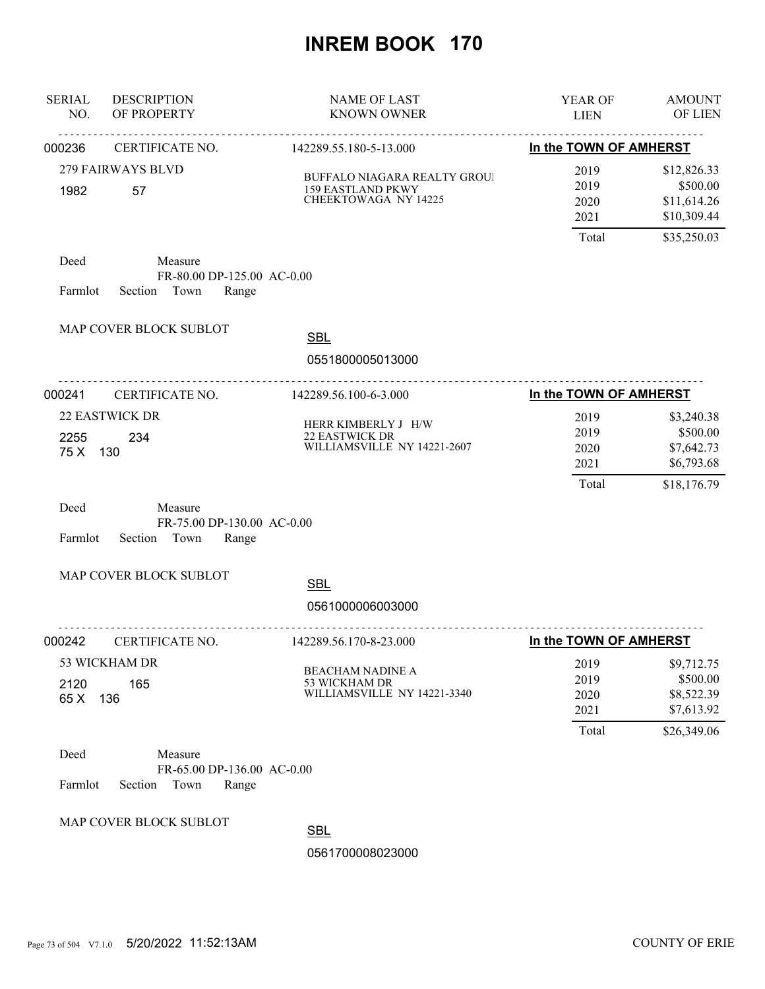| <b>SERIAL</b><br>NO. | <b>DESCRIPTION</b><br>OF PROPERTY                                 | <b>NAME OF LAST</b><br><b>KNOWN OWNER</b>                                                      | YEAR OF<br><b>LIEN</b>                | <b>AMOUNT</b><br>OF LIEN                                             |
|----------------------|-------------------------------------------------------------------|------------------------------------------------------------------------------------------------|---------------------------------------|----------------------------------------------------------------------|
| 000236               | CERTIFICATE NO.                                                   | 142289.55.180-5-13.000                                                                         | In the TOWN OF AMHERST                |                                                                      |
| 1982                 | <b>279 FAIRWAYS BLVD</b><br>57                                    | <b>BUFFALO NIAGARA REALTY GROUI</b><br><b>159 EASTLAND PKWY</b><br><b>CHEEKTOWAGA NY 14225</b> | 2019<br>2019<br>2020<br>2021<br>Total | \$12,826.33<br>\$500.00<br>\$11,614.26<br>\$10,309.44<br>\$35,250.03 |
| Deed<br>Farmlot      | Measure<br>FR-80.00 DP-125.00 AC-0.00<br>Section Town<br>Range    |                                                                                                |                                       |                                                                      |
|                      | MAP COVER BLOCK SUBLOT                                            | <b>SBL</b><br>0551800005013000                                                                 |                                       |                                                                      |
| 000241               | <b>CERTIFICATE NO.</b>                                            | <u>.</u><br>142289.56.100-6-3.000                                                              | In the TOWN OF AMHERST                |                                                                      |
| 2255<br>75 X 130     | <b>22 EASTWICK DR</b><br>234                                      | HERR KIMBERLY J H/W<br>22 EASTWICK DR<br>WILLIAMSVILLE NY 14221-2607                           | 2019<br>2019<br>2020<br>2021<br>Total | \$3,240.38<br>\$500.00<br>\$7,642.73<br>\$6,793.68<br>\$18,176.79    |
| Deed<br>Farmlot      | Measure<br>FR-75.00 DP-130.00 AC-0.00<br>Section Town<br>Range    |                                                                                                |                                       |                                                                      |
|                      | MAP COVER BLOCK SUBLOT                                            | <b>SBL</b><br>0561000006003000                                                                 |                                       |                                                                      |
| 000242               | CERTIFICATE NO.                                                   | 142289.56.170-8-23.000                                                                         | In the TOWN OF AMHERST                |                                                                      |
| 2120<br>65 X         | 53 WICKHAM DR<br>165<br>136                                       | <b>BEACHAM NADINE A</b><br>53 WICKHAM DR<br>WILLIAMSVILLE NY 14221-3340                        | 2019<br>2019<br>2020<br>2021<br>Total | \$9,712.75<br>\$500.00<br>\$8,522.39<br>\$7,613.92<br>\$26,349.06    |
| Deed<br>Farmlot      | Measure<br>FR-65.00 DP-136.00 AC-0.00<br>Section<br>Town<br>Range |                                                                                                |                                       |                                                                      |
|                      | MAP COVER BLOCK SUBLOT                                            | <b>SBL</b>                                                                                     |                                       |                                                                      |
|                      |                                                                   | 0561700008023000                                                                               |                                       |                                                                      |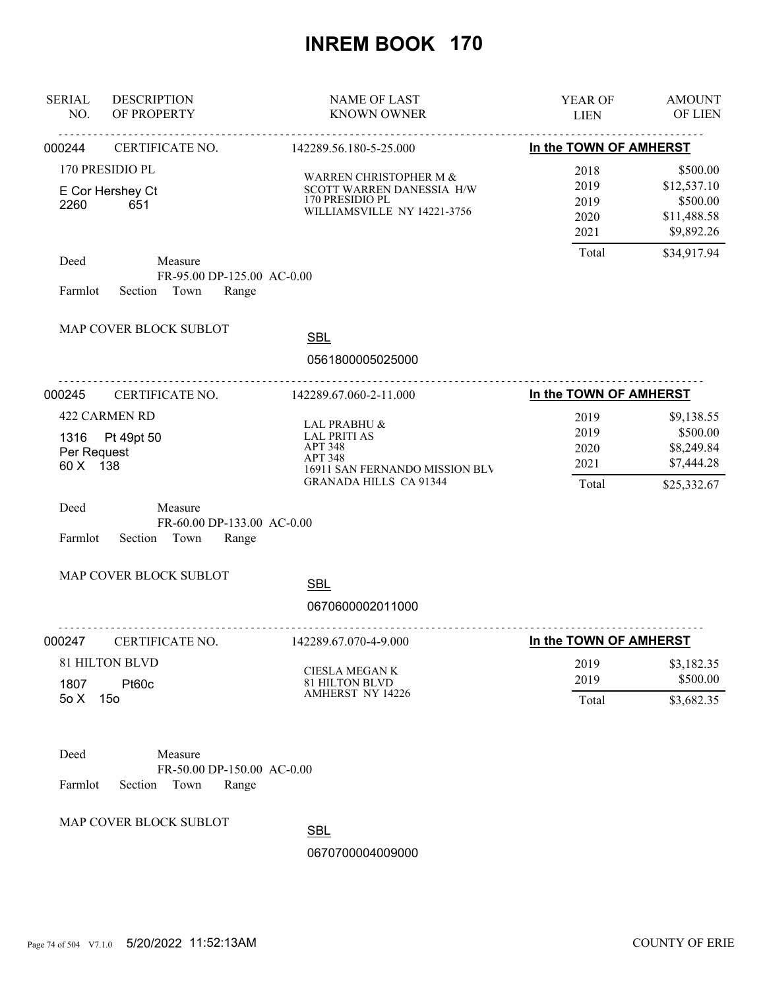| <b>SERIAL</b><br>NO.                   | <b>DESCRIPTION</b><br>OF PROPERTY                                                   | <b>NAME OF LAST</b><br><b>KNOWN OWNER</b>                                                                                                  | <b>YEAR OF</b><br><b>LIEN</b>                 | <b>AMOUNT</b><br>OF LIEN                                                        |
|----------------------------------------|-------------------------------------------------------------------------------------|--------------------------------------------------------------------------------------------------------------------------------------------|-----------------------------------------------|---------------------------------------------------------------------------------|
| 000244                                 | CERTIFICATE NO.                                                                     | 142289.56.180-5-25.000                                                                                                                     | In the TOWN OF AMHERST                        |                                                                                 |
| 2260<br>Deed                           | 170 PRESIDIO PL<br>E Cor Hershey Ct<br>651<br>Measure<br>FR-95.00 DP-125.00 AC-0.00 | WARREN CHRISTOPHER M &<br>SCOTT WARREN DANESSIA H/W<br>170 PRESIDIO PL<br>WILLIAMSVILLE NY 14221-3756                                      | 2018<br>2019<br>2019<br>2020<br>2021<br>Total | \$500.00<br>\$12,537.10<br>\$500.00<br>\$11,488.58<br>\$9,892.26<br>\$34,917.94 |
| Farmlot                                | Section Town<br>Range<br>MAP COVER BLOCK SUBLOT                                     |                                                                                                                                            |                                               |                                                                                 |
|                                        | <u>.</u>                                                                            | <b>SBL</b><br>0561800005025000                                                                                                             |                                               |                                                                                 |
| 000245                                 | CERTIFICATE NO.                                                                     | 142289.67.060-2-11.000                                                                                                                     | In the TOWN OF AMHERST                        |                                                                                 |
| Per Request<br>60 X 138                | 422 CARMEN RD<br>1316 Pt 49pt 50                                                    | LAL PRABHU &<br><b>LAL PRITI AS</b><br><b>APT 348</b><br><b>APT 348</b><br>16911 SAN FERNANDO MISSION BLV<br><b>GRANADA HILLS CA 91344</b> | 2019<br>2019<br>2020<br>2021<br>Total         | \$9,138.55<br>\$500.00<br>\$8,249.84<br>\$7,444.28<br>\$25,332.67               |
| Deed<br>Farmlot                        | Measure<br>FR-60.00 DP-133.00 AC-0.00<br>Section<br>Town<br>Range                   |                                                                                                                                            |                                               |                                                                                 |
|                                        | MAP COVER BLOCK SUBLOT                                                              | <b>SBL</b><br>0670600002011000                                                                                                             |                                               |                                                                                 |
| 000247                                 | CERTIFICATE NO.                                                                     | 142289.67.070-4-9.000                                                                                                                      | In the TOWN OF AMHERST                        |                                                                                 |
| <b>81 HILTON BLVD</b><br>Pt60c<br>1807 |                                                                                     | CIESLA MEGAN K<br>81 HILTON BLVD                                                                                                           | 2019<br>2019                                  | \$3,182.35<br>\$500.00                                                          |
| 50X                                    | 15 <sub>o</sub>                                                                     | <b>AMHERST NY 14226</b>                                                                                                                    | Total                                         | \$3,682.35                                                                      |
| Deed<br>Farmlot                        | Measure<br>FR-50.00 DP-150.00 AC-0.00<br>Town<br>Section<br>Range                   |                                                                                                                                            |                                               |                                                                                 |

MAP COVER BLOCK SUBLOT

**SBL**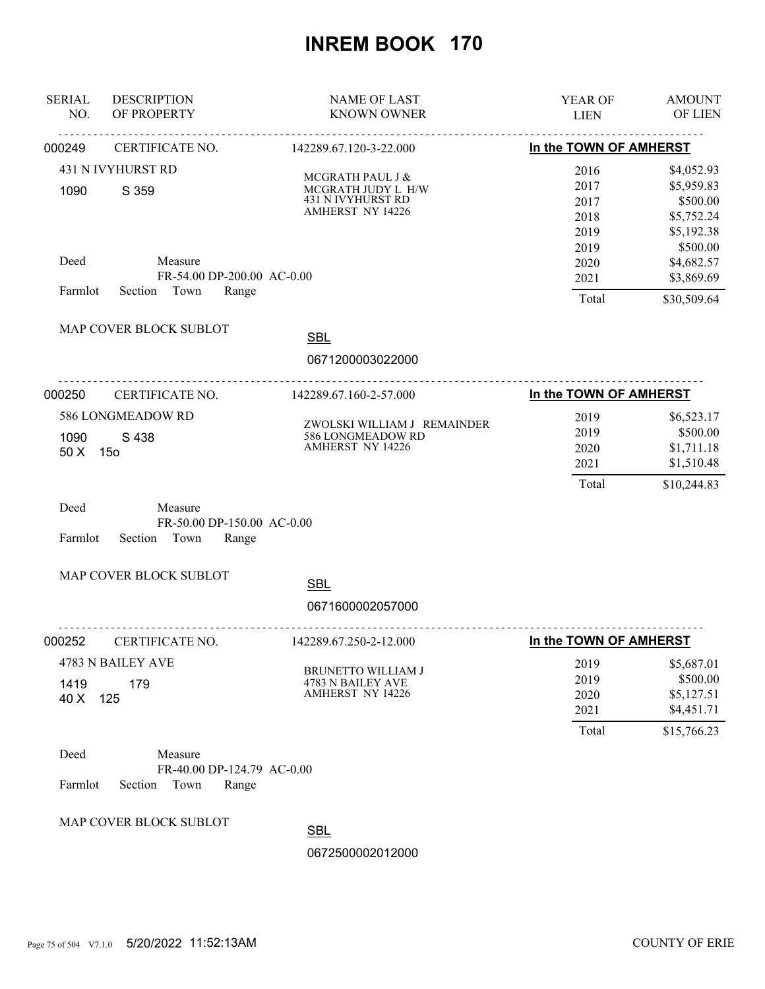| <b>SERIAL</b><br>NO. | <b>DESCRIPTION</b><br>OF PROPERTY          | <b>NAME OF LAST</b><br><b>KNOWN OWNER</b>        | YEAR OF<br><b>LIEN</b> | <b>AMOUNT</b><br>OF LIEN |
|----------------------|--------------------------------------------|--------------------------------------------------|------------------------|--------------------------|
| 000249               | CERTIFICATE NO.                            | 142289.67.120-3-22.000                           | In the TOWN OF AMHERST |                          |
|                      | 431 N IVYHURST RD                          |                                                  | 2016                   | \$4,052.93               |
|                      |                                            | MCGRATH PAUL J &<br>MCGRATH JUDY L H/W           | 2017                   | \$5,959.83               |
| 1090                 | S 359                                      | 431 N IVYHURST RD                                | 2017                   | \$500.00                 |
|                      |                                            | <b>AMHERST NY 14226</b>                          | 2018                   | \$5,752.24               |
|                      |                                            |                                                  | 2019                   | \$5,192.38               |
|                      |                                            |                                                  | 2019                   | \$500.00                 |
| Deed                 | Measure                                    |                                                  | 2020                   | \$4,682.57               |
| Farmlot              | FR-54.00 DP-200.00 AC-0.00<br>Section Town |                                                  | 2021                   | \$3,869.69               |
|                      | Range                                      |                                                  | Total                  | \$30,509.64              |
|                      | MAP COVER BLOCK SUBLOT                     | <b>SBL</b>                                       |                        |                          |
|                      |                                            | 0671200003022000                                 |                        |                          |
| 000250               | CERTIFICATE NO.                            | 142289.67.160-2-57.000                           | In the TOWN OF AMHERST |                          |
|                      | 586 LONGMEADOW RD                          |                                                  | 2019                   | \$6,523.17               |
| S 438<br>1090        |                                            | ZWOLSKI WILLIAM J REMAINDER<br>586 LONGMEADOW RD | 2019                   | \$500.00                 |
| 50 X                 | 15 <sub>o</sub>                            | <b>AMHERST NY 14226</b>                          | 2020                   | \$1,711.18               |
|                      |                                            | 2021                                             | \$1,510.48             |                          |
|                      |                                            |                                                  | Total                  | \$10,244.83              |
| Deed                 | Measure                                    |                                                  |                        |                          |
|                      | FR-50.00 DP-150.00 AC-0.00                 |                                                  |                        |                          |
| Farmlot              | Section<br>Town<br>Range                   |                                                  |                        |                          |
|                      | MAP COVER BLOCK SUBLOT                     | <b>SBL</b>                                       |                        |                          |
|                      |                                            |                                                  |                        |                          |
|                      | <u>.</u>                                   | 0671600002057000                                 |                        |                          |
| 000252               | CERTIFICATE NO.                            | 142289.67.250-2-12.000                           | In the TOWN OF AMHERST |                          |
|                      | 4783 N BAILEY AVE                          | BRUNETTO WILLIAM J                               | 2019                   | \$5,687.01               |
| 1419                 | 179                                        | 4783 N BAILEY AVE                                | 2019                   | \$500.00                 |
| 40 X                 | 125                                        | AMHERST NY 14226                                 | 2020                   | \$5,127.51               |
|                      |                                            |                                                  | 2021                   | \$4,451.71               |
|                      |                                            |                                                  | Total                  | \$15,766.23              |
| Deed                 | Measure                                    |                                                  |                        |                          |
|                      | FR-40.00 DP-124.79 AC-0.00                 |                                                  |                        |                          |
| Farmlot              | Town<br>Section<br>Range                   |                                                  |                        |                          |
|                      | MAP COVER BLOCK SUBLOT                     |                                                  |                        |                          |

**SBL**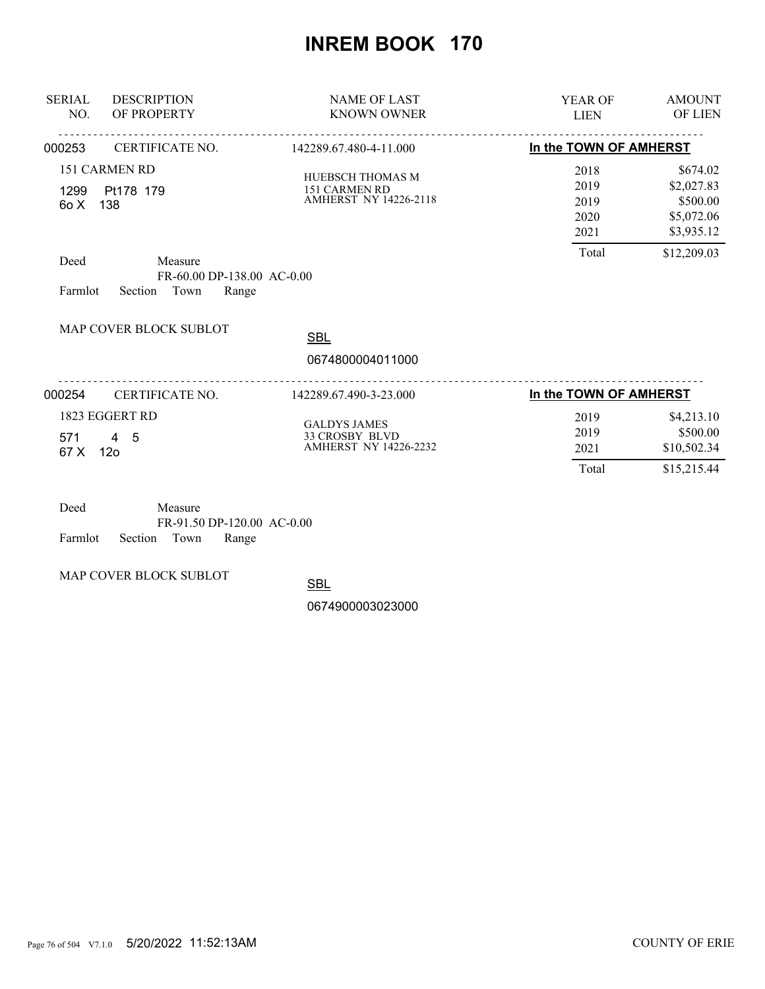| <b>SERIAL</b><br>NO. | <b>DESCRIPTION</b><br>OF PROPERTY                                                       | <b>NAME OF LAST</b><br><b>KNOWN OWNER</b>                                    | YEAR OF<br><b>LIEN</b>                        | <b>AMOUNT</b><br>OF LIEN                                                      |
|----------------------|-----------------------------------------------------------------------------------------|------------------------------------------------------------------------------|-----------------------------------------------|-------------------------------------------------------------------------------|
| 000253               | <b>CERTIFICATE NO.</b>                                                                  | 142289.67.480-4-11.000                                                       | In the TOWN OF AMHERST                        |                                                                               |
| 1299<br>60 X<br>Deed | 151 CARMEN RD<br>Pt178 179<br>138<br>Measure                                            | HUEBSCH THOMAS M<br>151 CARMEN RD<br><b>AMHERST NY 14226-2118</b>            | 2018<br>2019<br>2019<br>2020<br>2021<br>Total | \$674.02<br>\$2,027.83<br>\$500.00<br>\$5,072.06<br>\$3,935.12<br>\$12,209.03 |
| Farmlot              | FR-60.00 DP-138.00 AC-0.00<br>Town<br>Range<br>Section<br><b>MAP COVER BLOCK SUBLOT</b> |                                                                              |                                               |                                                                               |
|                      |                                                                                         | <b>SBL</b><br>0674800004011000                                               |                                               |                                                                               |
| 000254               | CERTIFICATE NO.                                                                         | 142289.67.490-3-23.000                                                       | In the TOWN OF AMHERST                        |                                                                               |
| 571<br>67 X          | 1823 EGGERT RD<br>$4\quad 5$<br>12 <sub>o</sub>                                         | <b>GALDYS JAMES</b><br><b>33 CROSBY BLVD</b><br><b>AMHERST NY 14226-2232</b> | 2019<br>2019<br>2021<br>Total                 | \$4,213.10<br>\$500.00<br>\$10,502.34<br>\$15,215.44                          |

| Deed                       | Measure |                            |  |
|----------------------------|---------|----------------------------|--|
|                            |         | FR-91.50 DP-120.00 AC-0.00 |  |
| Farmlot Section Town Range |         |                            |  |

MAP COVER BLOCK SUBLOT

**SBL**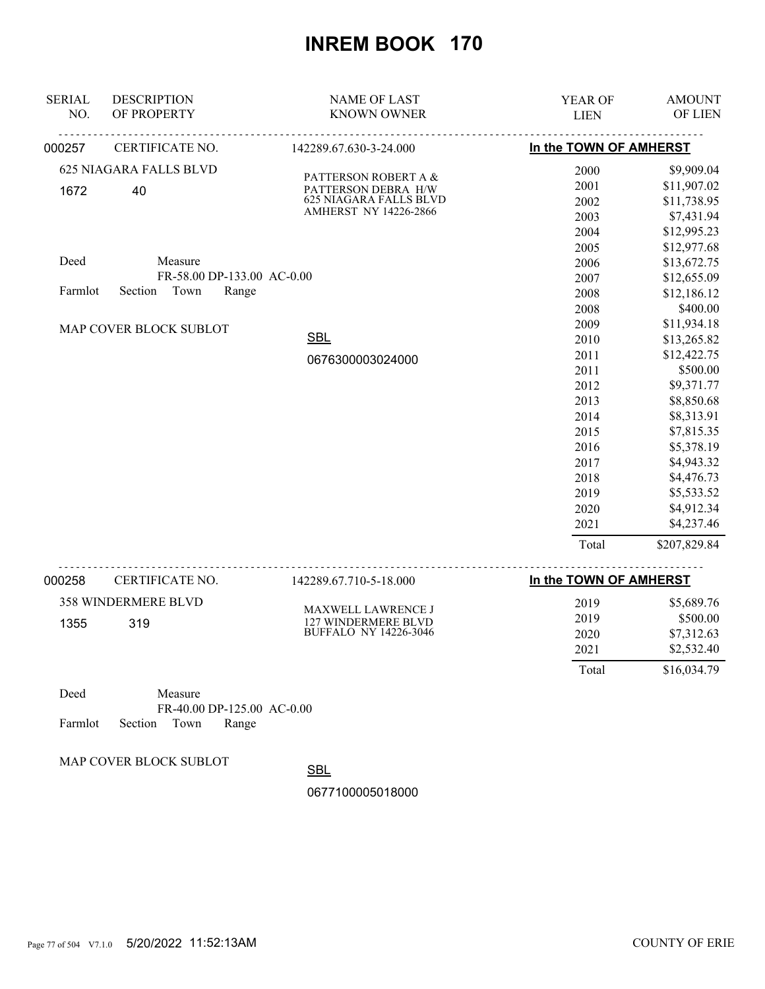| <b>SERIAL</b><br>NO. | <b>DESCRIPTION</b><br>OF PROPERTY | <b>NAME OF LAST</b><br><b>KNOWN OWNER</b>              | YEAR OF<br><b>LIEN</b> | <b>AMOUNT</b><br>OF LIEN |
|----------------------|-----------------------------------|--------------------------------------------------------|------------------------|--------------------------|
| 000257               | CERTIFICATE NO.                   | 142289.67.630-3-24.000                                 | In the TOWN OF AMHERST |                          |
|                      |                                   |                                                        |                        |                          |
|                      | <b>625 NIAGARA FALLS BLVD</b>     | PATTERSON ROBERT A &                                   | 2000                   | \$9,909.04               |
| 1672                 | 40                                | PATTERSON DEBRA H/W                                    | 2001                   | \$11,907.02              |
|                      |                                   | 625 NIAGARA FALLS BLVD<br><b>AMHERST NY 14226-2866</b> | 2002                   | \$11,738.95              |
|                      |                                   |                                                        | 2003                   | \$7,431.94               |
|                      |                                   |                                                        | 2004                   | \$12,995.23              |
|                      |                                   |                                                        | 2005                   | \$12,977.68              |
| Deed                 | Measure                           |                                                        | 2006                   | \$13,672.75              |
|                      | FR-58.00 DP-133.00 AC-0.00        |                                                        | 2007                   | \$12,655.09              |
| Farmlot              | Section<br>Town<br>Range          |                                                        | 2008                   | \$12,186.12              |
|                      |                                   |                                                        | 2008                   | \$400.00                 |
|                      | MAP COVER BLOCK SUBLOT            |                                                        | 2009                   | \$11,934.18              |
|                      |                                   | <b>SBL</b>                                             | 2010                   | \$13,265.82              |
|                      |                                   | 0676300003024000                                       | 2011                   | \$12,422.75              |
|                      |                                   |                                                        | 2011                   | \$500.00                 |
|                      |                                   |                                                        | 2012                   | \$9,371.77               |
|                      |                                   |                                                        | 2013                   | \$8,850.68               |
|                      |                                   |                                                        | 2014                   | \$8,313.91               |
|                      |                                   |                                                        | 2015                   | \$7,815.35               |
|                      |                                   |                                                        | 2016                   | \$5,378.19               |
|                      |                                   |                                                        | 2017                   | \$4,943.32               |
|                      |                                   |                                                        | 2018                   | \$4,476.73               |
|                      |                                   |                                                        | 2019                   | \$5,533.52               |
|                      |                                   |                                                        | 2020                   | \$4,912.34               |
|                      |                                   |                                                        | 2021                   | \$4,237.46               |
|                      |                                   |                                                        | Total                  | \$207,829.84             |
| 000258               | CERTIFICATE NO.                   | 142289.67.710-5-18.000                                 | In the TOWN OF AMHERST |                          |
|                      | 358 WINDERMERE BLVD               |                                                        | 2019                   | \$5,689.76               |
|                      |                                   | MAXWELL LAWRENCE J                                     | 2019                   | \$500.00                 |
| 1355                 | 319                               | 127 WINDERMERE BLVD<br><b>BUFFALO NY 14226-3046</b>    | 2020                   | \$7,312.63               |
|                      |                                   |                                                        | 2021                   | \$2,532.40               |
|                      |                                   |                                                        | Total                  | \$16,034.79              |
|                      |                                   |                                                        |                        |                          |

| Deed |                            | Measure |                            |  |
|------|----------------------------|---------|----------------------------|--|
|      |                            |         | FR-40.00 DP-125.00 AC-0.00 |  |
|      | Farmlot Section Town Range |         |                            |  |

MAP COVER BLOCK SUBLOT

**SBL**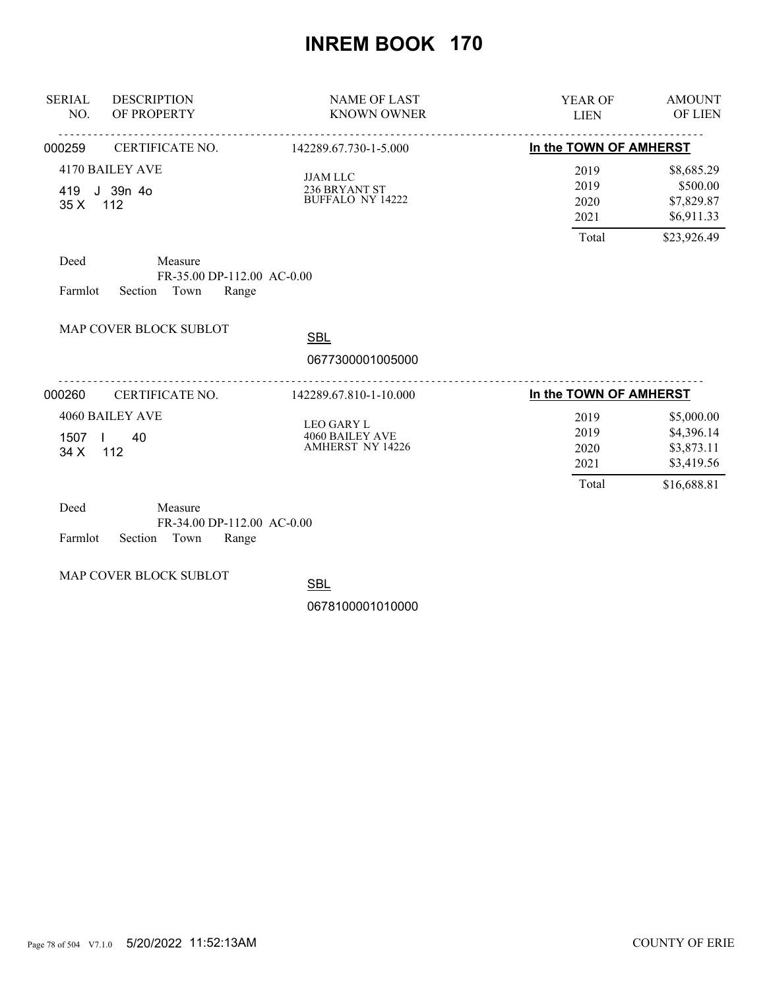| <b>SERIAL</b><br>NO. | <b>DESCRIPTION</b><br>OF PROPERTY                                 | <b>NAME OF LAST</b><br><b>KNOWN OWNER</b>                              | <b>YEAR OF</b><br><b>LIEN</b>         | <b>AMOUNT</b><br><b>OF LIEN</b>                                     |
|----------------------|-------------------------------------------------------------------|------------------------------------------------------------------------|---------------------------------------|---------------------------------------------------------------------|
| 000259               | CERTIFICATE NO.                                                   | 142289.67.730-1-5.000                                                  | In the TOWN OF AMHERST                |                                                                     |
| 419<br>35X           | 4170 BAILEY AVE<br>J 39n 4o<br>112                                | <b>JJAM LLC</b><br>236 BRYANT ST<br><b>BUFFALO NY 14222</b>            | 2019<br>2019<br>2020<br>2021<br>Total | \$8,685.29<br>\$500.00<br>\$7,829.87<br>\$6,911.33<br>\$23,926.49   |
| Deed<br>Farmlot      | Measure<br>FR-35.00 DP-112.00 AC-0.00<br>Town<br>Section<br>Range |                                                                        |                                       |                                                                     |
|                      | MAP COVER BLOCK SUBLOT                                            | <b>SBL</b><br>0677300001005000                                         |                                       |                                                                     |
| 000260               | CERTIFICATE NO.                                                   | 142289.67.810-1-10.000                                                 | In the TOWN OF AMHERST                |                                                                     |
| 1507<br>34 X         | 4060 BAILEY AVE<br>40<br>112                                      | <b>LEO GARY L</b><br><b>4060 BAILEY AVE</b><br><b>AMHERST NY 14226</b> | 2019<br>2019<br>2020<br>2021<br>Total | \$5,000.00<br>\$4,396.14<br>\$3,873.11<br>\$3,419.56<br>\$16,688.81 |
| Deed                 | Measure                                                           |                                                                        |                                       |                                                                     |

| Deed |                            | Measure |                              |  |
|------|----------------------------|---------|------------------------------|--|
|      |                            |         | $FR-34.00$ DP-112.00 AC-0.00 |  |
|      | Farmlot Section Town Range |         |                              |  |

MAP COVER BLOCK SUBLOT

**SBL**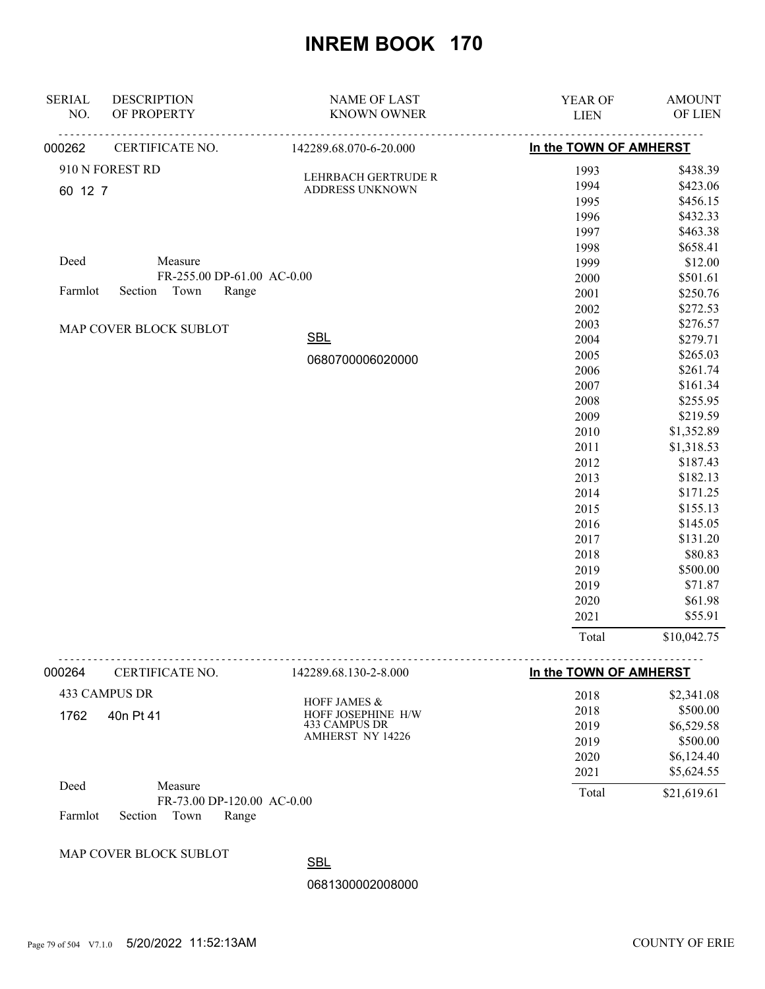| <b>SERIAL</b><br>NO. | <b>DESCRIPTION</b><br>OF PROPERTY | <b>NAME OF LAST</b><br><b>KNOWN OWNER</b> | YEAR OF<br><b>LIEN</b> | <b>AMOUNT</b><br>OF LIEN |
|----------------------|-----------------------------------|-------------------------------------------|------------------------|--------------------------|
|                      |                                   |                                           |                        |                          |
| 000262               | CERTIFICATE NO.                   | 142289.68.070-6-20.000                    | In the TOWN OF AMHERST |                          |
|                      | 910 N FOREST RD                   | LEHRBACH GERTRUDE R                       | 1993                   | \$438.39                 |
| 60 12 7              |                                   | ADDRESS UNKNOWN                           | 1994                   | \$423.06                 |
|                      |                                   |                                           | 1995                   | \$456.15                 |
|                      |                                   |                                           | 1996                   | \$432.33                 |
|                      |                                   |                                           | 1997                   | \$463.38                 |
|                      |                                   |                                           | 1998                   | \$658.41                 |
| Deed                 | Measure                           |                                           | 1999                   | \$12.00                  |
|                      | FR-255.00 DP-61.00 AC-0.00        |                                           | 2000                   | \$501.61                 |
| Farmlot              | Section Town<br>Range             |                                           | 2001                   | \$250.76                 |
|                      |                                   |                                           | 2002                   | \$272.53                 |
|                      | MAP COVER BLOCK SUBLOT            |                                           | 2003                   | \$276.57                 |
|                      |                                   | <b>SBL</b>                                | 2004                   | \$279.71                 |
|                      |                                   | 0680700006020000                          | 2005                   | \$265.03                 |
|                      |                                   |                                           | 2006                   | \$261.74                 |
|                      |                                   |                                           | 2007                   | \$161.34                 |
|                      |                                   |                                           | 2008                   | \$255.95                 |
|                      |                                   |                                           | 2009                   | \$219.59                 |
|                      |                                   |                                           | 2010                   | \$1,352.89               |
|                      |                                   |                                           | 2011                   | \$1,318.53               |
|                      |                                   |                                           | 2012                   | \$187.43                 |
|                      |                                   |                                           | 2013                   | \$182.13                 |
|                      |                                   |                                           | 2014                   | \$171.25                 |
|                      |                                   |                                           | 2015                   | \$155.13                 |
|                      |                                   |                                           | 2016                   | \$145.05                 |
|                      |                                   |                                           | 2017                   | \$131.20                 |
|                      |                                   |                                           | 2018                   | \$80.83                  |
|                      |                                   |                                           | 2019                   | \$500.00                 |
|                      |                                   |                                           | 2019                   | \$71.87                  |
|                      |                                   |                                           | 2020                   | \$61.98                  |
|                      |                                   |                                           | 2021                   | \$55.91                  |
|                      |                                   |                                           | Total                  | \$10,042.75              |

| 000264 | CERTIFICATE NO.                       | 142289.68.130-2-8.000                         | In the TOWN OF AMHERST |             |
|--------|---------------------------------------|-----------------------------------------------|------------------------|-------------|
|        | 433 CAMPUS DR                         |                                               | 2018                   | \$2,341.08  |
| 1762   | 40n Pt 41                             | <b>HOFF JAMES &amp;</b><br>HOFF JOSEPHINE H/W | 2018                   | \$500.00    |
|        | 433 CAMPUS DR                         | 2019                                          | \$6,529.58             |             |
|        |                                       | AMHERST NY 14226                              | 2019                   | \$500.00    |
|        |                                       |                                               | 2020                   | \$6,124.40  |
|        |                                       |                                               | 2021                   | \$5,624.55  |
| Deed   | Measure<br>FR-73.00 DP-120.00 AC-0.00 |                                               | Total                  | \$21,619.61 |

Farmlot Section Town Range

#### MAP COVER BLOCK SUBLOT

**SBL**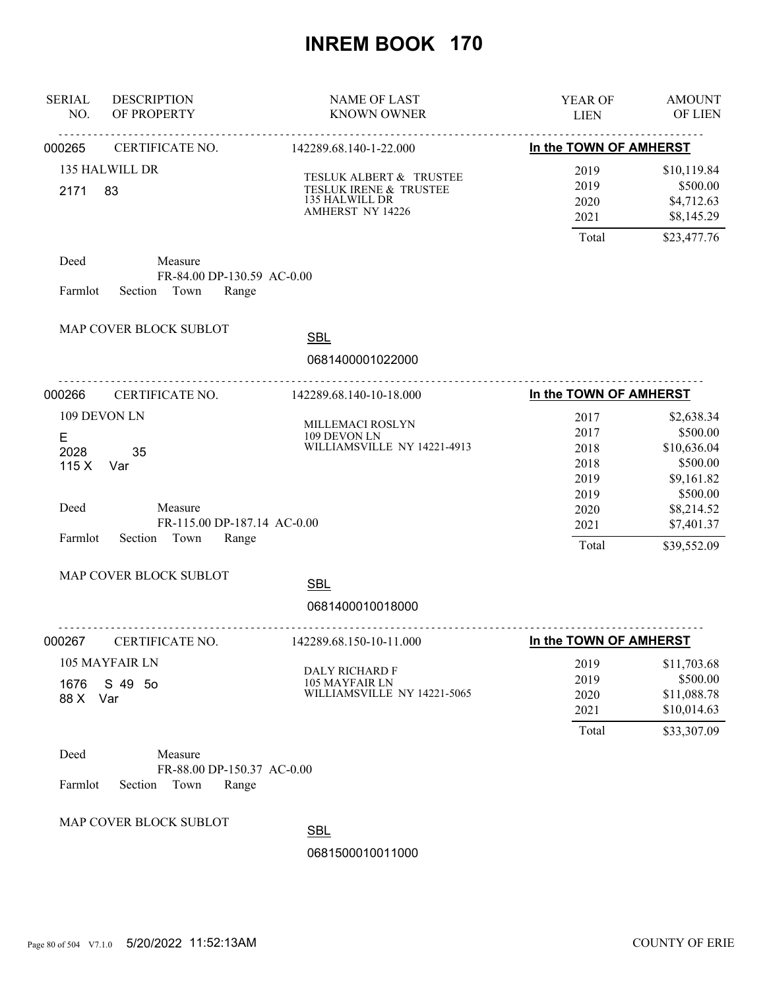| <b>SERIAL</b><br>NO.                 | <b>DESCRIPTION</b><br>OF PROPERTY                                                            | <b>NAME OF LAST</b><br><b>KNOWN OWNER</b>                                               | YEAR OF<br><b>LIEN</b>                                                | <b>AMOUNT</b><br>OF LIEN                                                                                               |
|--------------------------------------|----------------------------------------------------------------------------------------------|-----------------------------------------------------------------------------------------|-----------------------------------------------------------------------|------------------------------------------------------------------------------------------------------------------------|
| 000265                               | CERTIFICATE NO.                                                                              | 142289.68.140-1-22.000                                                                  | In the TOWN OF AMHERST                                                |                                                                                                                        |
| 2171                                 | 135 HALWILL DR<br>83                                                                         | TESLUK ALBERT & TRUSTEE<br>TESLUK IRENE & TRUSTEE<br>135 HALWILL DR<br>AMHERST NY 14226 | 2019<br>2019<br>2020<br>2021<br>Total                                 | \$10,119.84<br>\$500.00<br>\$4,712.63<br>\$8,145.29<br>\$23,477.76                                                     |
| Deed<br>Farmlot                      | Measure<br>FR-84.00 DP-130.59 AC-0.00<br>Section Town<br>Range                               |                                                                                         |                                                                       |                                                                                                                        |
|                                      | MAP COVER BLOCK SUBLOT                                                                       | <b>SBL</b>                                                                              |                                                                       |                                                                                                                        |
|                                      |                                                                                              | 0681400001022000                                                                        |                                                                       |                                                                                                                        |
| 000266                               | CERTIFICATE NO.                                                                              | .<br>142289.68.140-10-18.000                                                            | In the TOWN OF AMHERST                                                |                                                                                                                        |
| E<br>2028<br>115X<br>Deed<br>Farmlot | 109 DEVON LN<br>35<br>Var<br>Measure<br>FR-115.00 DP-187.14 AC-0.00<br>Section Town<br>Range | MILLEMACI ROSLYN<br>109 DEVON LN<br>WILLIAMSVILLE NY 14221-4913                         | 2017<br>2017<br>2018<br>2018<br>2019<br>2019<br>2020<br>2021<br>Total | \$2,638.34<br>\$500.00<br>\$10,636.04<br>\$500.00<br>\$9,161.82<br>\$500.00<br>\$8,214.52<br>\$7,401.37<br>\$39,552.09 |
|                                      | MAP COVER BLOCK SUBLOT                                                                       | <b>SBL</b>                                                                              |                                                                       |                                                                                                                        |
|                                      |                                                                                              | 0681400010018000<br><u>.</u> .                                                          |                                                                       |                                                                                                                        |
| 000267                               | CERTIFICATE NO.                                                                              | 142289.68.150-10-11.000                                                                 | In the TOWN OF AMHERST                                                |                                                                                                                        |
| 1676<br>88 X                         | 105 MAYFAIR LN<br>S 49 50<br>Var                                                             | DALY RICHARD F<br>105 MAYFAIR LN<br>WILLIAMSVILLE NY 14221-5065                         | 2019<br>2019<br>2020<br>2021                                          | \$11,703.68<br>\$500.00<br>\$11,088.78<br>\$10,014.63                                                                  |
| Deed<br>Farmlot                      | Measure<br>FR-88.00 DP-150.37 AC-0.00<br>Section<br>Town<br>Range                            |                                                                                         | Total                                                                 | \$33,307.09                                                                                                            |
|                                      | MAP COVER BLOCK SUBLOT                                                                       | <b>SBL</b>                                                                              |                                                                       |                                                                                                                        |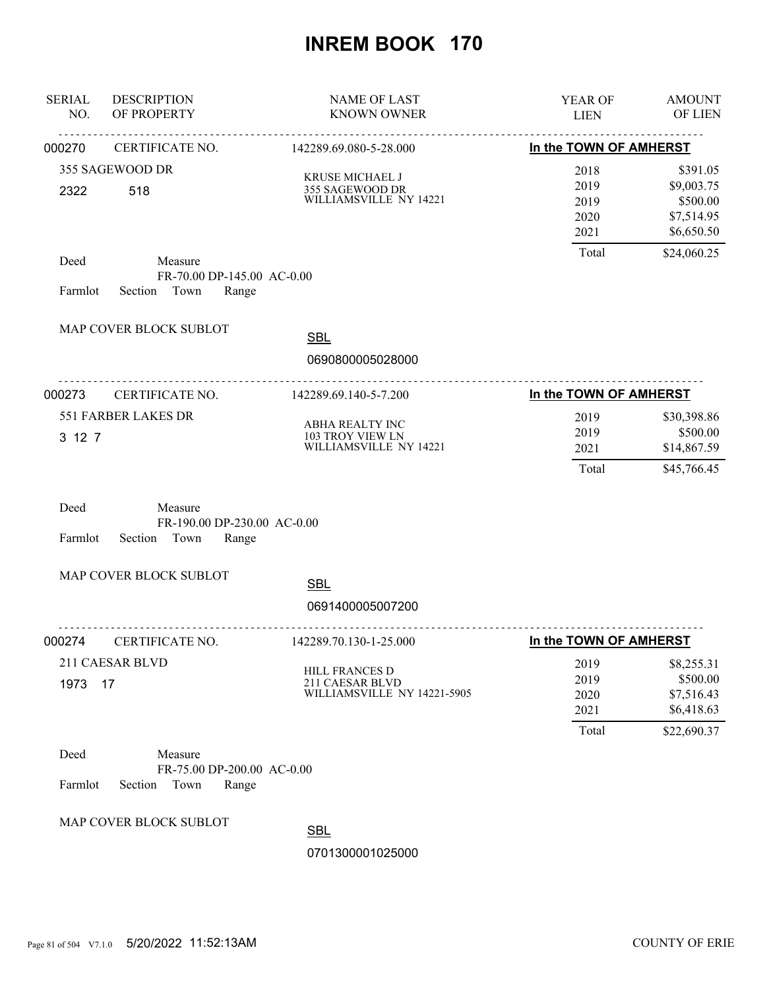| <b>SERIAL</b><br>NO. | <b>DESCRIPTION</b><br>OF PROPERTY                                 | <b>NAME OF LAST</b><br><b>KNOWN OWNER</b>                        | YEAR OF<br><b>LIEN</b>                        | <b>AMOUNT</b><br>OF LIEN                                                      |
|----------------------|-------------------------------------------------------------------|------------------------------------------------------------------|-----------------------------------------------|-------------------------------------------------------------------------------|
| 000270               | CERTIFICATE NO.                                                   | .<br>142289.69.080-5-28.000                                      | In the TOWN OF AMHERST                        |                                                                               |
| 2322                 | 355 SAGEWOOD DR<br>518                                            | KRUSE MICHAEL J<br>355 SAGEWOOD DR<br>WILLIAMSVILLE NY 14221     | 2018<br>2019<br>2019<br>2020<br>2021<br>Total | \$391.05<br>\$9,003.75<br>\$500.00<br>\$7,514.95<br>\$6,650.50<br>\$24,060.25 |
| Deed<br>Farmlot      | Measure<br>FR-70.00 DP-145.00 AC-0.00<br>Section Town<br>Range    |                                                                  |                                               |                                                                               |
|                      | MAP COVER BLOCK SUBLOT                                            | <b>SBL</b><br>0690800005028000                                   |                                               |                                                                               |
| 000273               | <u>.</u><br>CERTIFICATE NO.                                       | 142289.69.140-5-7.200                                            | In the TOWN OF AMHERST                        |                                                                               |
| 3 12 7               | 551 FARBER LAKES DR                                               | ABHA REALTY INC<br>103 TROY VIEW LN<br>WILLIAMSVILLE NY 14221    | 2019<br>2019<br>2021<br>Total                 | \$30,398.86<br>\$500.00<br>\$14,867.59<br>\$45,766.45                         |
| Deed<br>Farmlot      | Measure<br>FR-190.00 DP-230.00 AC-0.00<br>Section Town<br>Range   |                                                                  |                                               |                                                                               |
|                      | MAP COVER BLOCK SUBLOT                                            | <b>SBL</b><br>0691400005007200                                   |                                               |                                                                               |
| 000274               | CERTIFICATE NO.                                                   | <u>.</u> .<br>142289.70.130-1-25.000                             | In the TOWN OF AMHERST                        |                                                                               |
| 1973                 | 211 CAESAR BLVD<br>17                                             | HILL FRANCES D<br>211 CAESAR BLVD<br>WILLIAMSVILLE NY 14221-5905 | 2019<br>2019<br>2020<br>2021                  | \$8,255.31<br>\$500.00<br>\$7,516.43<br>\$6,418.63                            |
| Deed<br>Farmlot      | Measure<br>FR-75.00 DP-200.00 AC-0.00<br>Section<br>Town<br>Range |                                                                  | Total                                         | \$22,690.37                                                                   |
|                      | MAP COVER BLOCK SUBLOT                                            | <b>SBL</b>                                                       |                                               |                                                                               |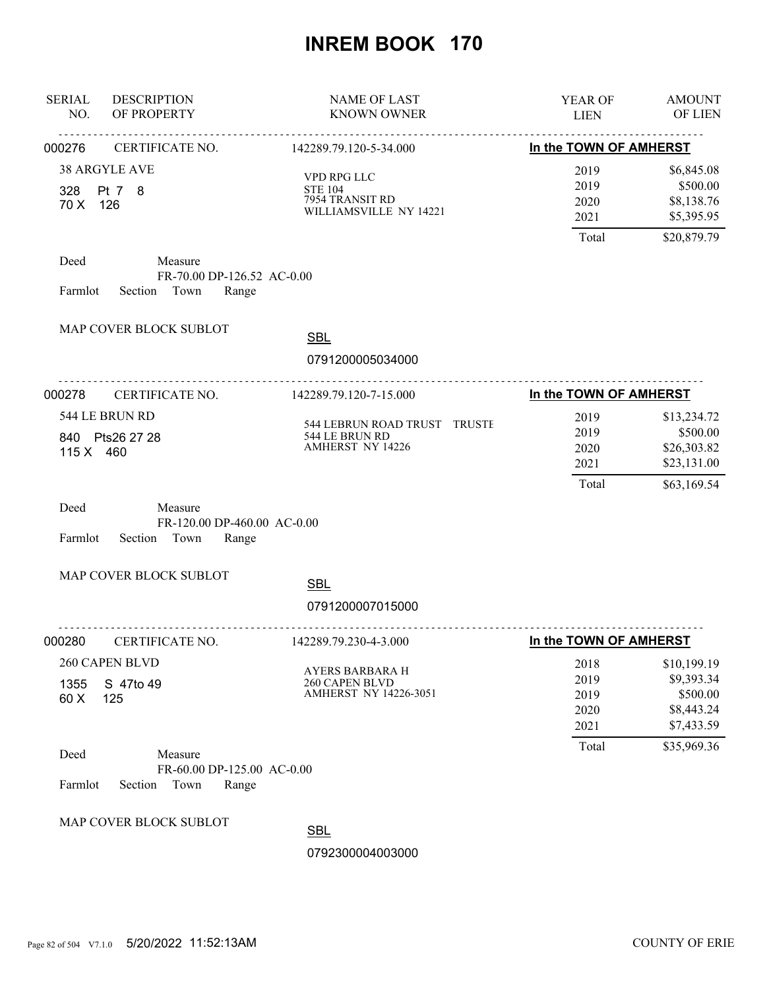| <b>SERIAL</b><br><b>DESCRIPTION</b><br>NO.<br>OF PROPERTY                            | <b>NAME OF LAST</b><br><b>KNOWN OWNER</b>                                  | YEAR OF<br><b>LIEN</b>                | <b>AMOUNT</b><br>OF LIEN                                             |
|--------------------------------------------------------------------------------------|----------------------------------------------------------------------------|---------------------------------------|----------------------------------------------------------------------|
| 000276<br>CERTIFICATE NO.                                                            | 142289.79.120-5-34.000                                                     | In the TOWN OF AMHERST                |                                                                      |
| 38 ARGYLE AVE<br>Pt 7 8<br>328<br>70 X 126                                           | VPD RPG LLC<br><b>STE 104</b><br>7954 TRANSIT RD<br>WILLIAMSVILLE NY 14221 | 2019<br>2019<br>2020<br>2021          | \$6,845.08<br>\$500.00<br>\$8,138.76<br>\$5,395.95                   |
|                                                                                      |                                                                            | Total                                 | \$20,879.79                                                          |
| Deed<br>Measure<br>FR-70.00 DP-126.52 AC-0.00<br>Section Town<br>Range<br>Farmlot    |                                                                            |                                       |                                                                      |
| MAP COVER BLOCK SUBLOT                                                               | <b>SBL</b>                                                                 |                                       |                                                                      |
|                                                                                      | 0791200005034000                                                           |                                       |                                                                      |
| 000278<br>CERTIFICATE NO.                                                            | 142289.79.120-7-15.000                                                     | In the TOWN OF AMHERST                |                                                                      |
| 544 LE BRUN RD<br>840 Pts26 27 28<br>115 X 460                                       | 544 LEBRUN ROAD TRUST TRUSTE<br>544 LE BRUN RD<br><b>AMHERST NY 14226</b>  | 2019<br>2019<br>2020<br>2021<br>Total | \$13,234.72<br>\$500.00<br>\$26,303.82<br>\$23,131.00<br>\$63,169.54 |
| Deed<br>Measure<br>FR-120.00 DP-460.00 AC-0.00<br>Section Town<br>Farmlot<br>Range   |                                                                            |                                       |                                                                      |
| MAP COVER BLOCK SUBLOT                                                               | <b>SBL</b><br>0791200007015000                                             |                                       |                                                                      |
| CERTIFICATE NO.<br>000280                                                            | <u>.</u><br>142289.79.230-4-3.000                                          | In the TOWN OF AMHERST                |                                                                      |
| 260 CAPEN BLVD<br>S 47to 49<br>1355<br>60 X<br>125                                   | <b>AYERS BARBARA H</b><br>260 CAPEN BLVD<br><b>AMHERST NY 14226-3051</b>   | 2018<br>2019<br>2019<br>2020<br>2021  | \$10,199.19<br>\$9,393.34<br>\$500.00<br>\$8,443.24<br>\$7,433.59    |
| Deed<br>Measure<br>FR-60.00 DP-125.00 AC-0.00<br>Farmlot<br>Section<br>Town<br>Range |                                                                            | Total                                 | \$35,969.36                                                          |
| MAP COVER BLOCK SUBLOT                                                               | <b>SBL</b><br>0792300004003000                                             |                                       |                                                                      |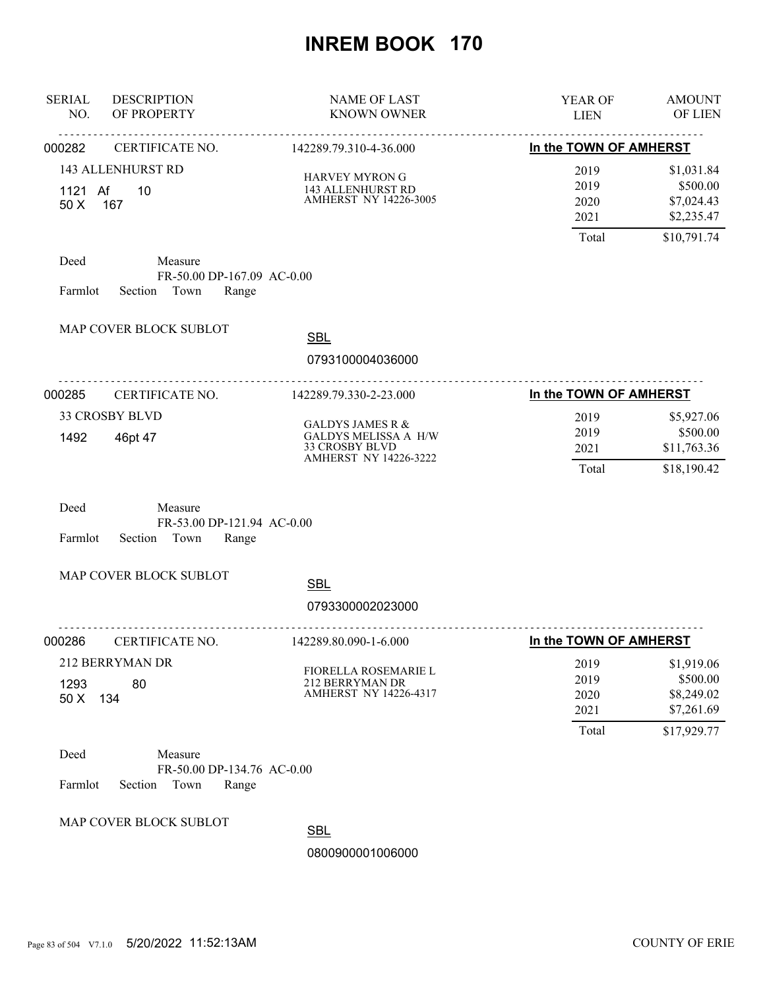| <b>SERIAL</b><br><b>DESCRIPTION</b><br>NO.<br>OF PROPERTY                            | <b>NAME OF LAST</b><br><b>KNOWN OWNER</b>                                                                    | YEAR OF<br><b>LIEN</b>                | <b>AMOUNT</b><br>OF LIEN                                          |
|--------------------------------------------------------------------------------------|--------------------------------------------------------------------------------------------------------------|---------------------------------------|-------------------------------------------------------------------|
| CERTIFICATE NO.<br>000282                                                            | 142289.79.310-4-36.000                                                                                       | In the TOWN OF AMHERST                |                                                                   |
| <b>143 ALLENHURST RD</b><br>1121 Af<br>10<br>50 X 167                                | <b>HARVEY MYRON G</b><br>143 ALLENHURST RD<br>AMHERST NY 14226-3005                                          | 2019<br>2019<br>2020<br>2021<br>Total | \$1,031.84<br>\$500.00<br>\$7,024.43<br>\$2,235.47<br>\$10,791.74 |
| Deed<br>Measure<br>FR-50.00 DP-167.09 AC-0.00<br>Section Town<br>Farmlot<br>Range    |                                                                                                              |                                       |                                                                   |
| MAP COVER BLOCK SUBLOT                                                               | <b>SBL</b><br>0793100004036000                                                                               |                                       |                                                                   |
| <u>.</u><br>000285<br>CERTIFICATE NO.                                                | <u>.</u><br>142289.79.330-2-23.000                                                                           | In the TOWN OF AMHERST                |                                                                   |
| <b>33 CROSBY BLVD</b><br>1492<br>46pt 47                                             | <b>GALDYS JAMES R &amp;</b><br><b>GALDYS MELISSA A H/W</b><br>33 CROSBY BLVD<br><b>AMHERST NY 14226-3222</b> | 2019<br>2019<br>2021<br>Total         | \$5,927.06<br>\$500.00<br>\$11,763.36<br>\$18,190.42              |
| Deed<br>Measure<br>FR-53.00 DP-121.94 AC-0.00<br>Farmlot<br>Section<br>Town<br>Range |                                                                                                              |                                       |                                                                   |
| MAP COVER BLOCK SUBLOT                                                               | <b>SBL</b><br>0793300002023000                                                                               |                                       |                                                                   |
| 000286<br>CERTIFICATE NO.                                                            | <u>.</u><br>142289.80.090-1-6.000                                                                            | In the TOWN OF AMHERST                |                                                                   |
| 212 BERRYMAN DR<br>1293<br>80<br>50 X<br>134                                         | <b>FIORELLA ROSEMARIE L</b><br>212 BERRYMAN DR<br>AMHERST NY 14226-4317                                      | 2019<br>2019<br>2020<br>2021<br>Total | \$1,919.06<br>\$500.00<br>\$8,249.02<br>\$7,261.69<br>\$17,929.77 |
| Deed<br>Measure<br>FR-50.00 DP-134.76 AC-0.00<br>Farmlot<br>Section<br>Town<br>Range |                                                                                                              |                                       |                                                                   |
| MAP COVER BLOCK SUBLOT                                                               | <b>ODI</b>                                                                                                   |                                       |                                                                   |

SBL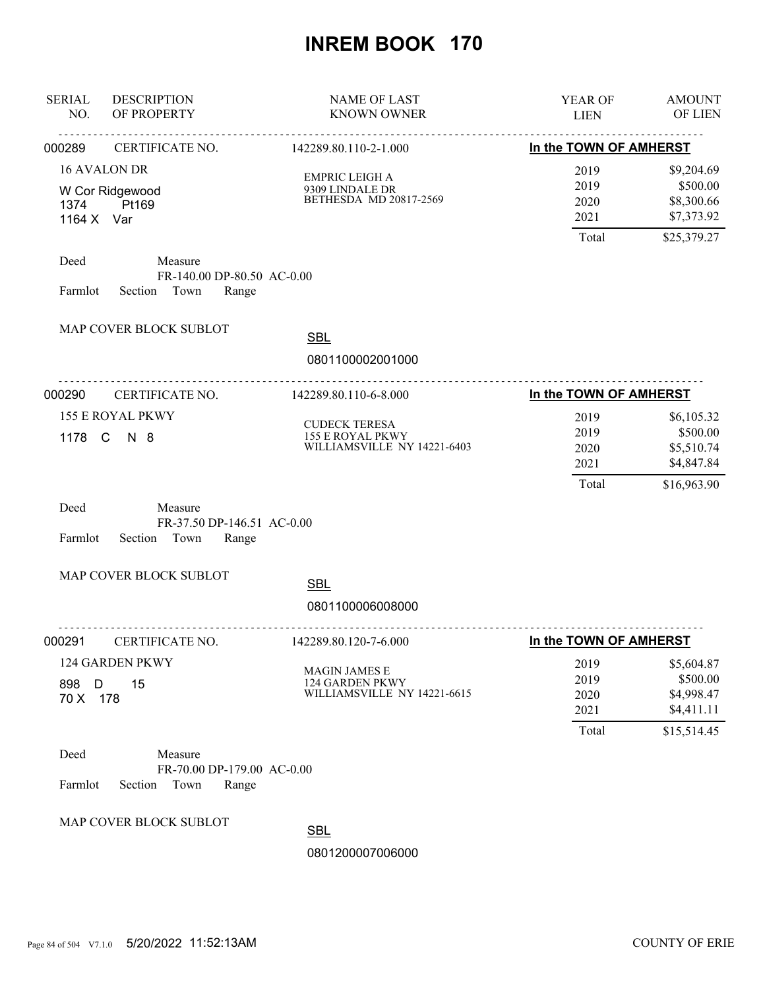| <b>SERIAL</b><br>NO. | <b>DESCRIPTION</b><br>OF PROPERTY                                 | <b>NAME OF LAST</b><br><b>KNOWN OWNER</b>                               | YEAR OF<br><b>LIEN</b>                | <b>AMOUNT</b><br>OF LIEN                                          |
|----------------------|-------------------------------------------------------------------|-------------------------------------------------------------------------|---------------------------------------|-------------------------------------------------------------------|
| 000289               | .<br>CERTIFICATE NO.                                              | <u>.</u><br>142289.80.110-2-1.000                                       | In the TOWN OF AMHERST                |                                                                   |
| 1374<br>1164 X Var   | 16 AVALON DR<br>W Cor Ridgewood<br>Pt169                          | EMPRIC LEIGH A<br>9309 LINDALE DR<br>BETHESDA MD 20817-2569             | 2019<br>2019<br>2020<br>2021<br>Total | \$9,204.69<br>\$500.00<br>\$8,300.66<br>\$7,373.92<br>\$25,379.27 |
| Deed<br>Farmlot      | Measure<br>FR-140.00 DP-80.50 AC-0.00<br>Section Town<br>Range    |                                                                         |                                       |                                                                   |
|                      | MAP COVER BLOCK SUBLOT                                            | <b>SBL</b><br>0801100002001000                                          |                                       |                                                                   |
| 000290               | CERTIFICATE NO.                                                   | 142289.80.110-6-8.000                                                   | In the TOWN OF AMHERST                |                                                                   |
|                      | <b>155 E ROYAL PKWY</b><br>1178 C N 8                             | <b>CUDECK TERESA</b><br>155 E ROYAL PKWY<br>WILLIAMSVILLE NY 14221-6403 | 2019<br>2019<br>2020<br>2021<br>Total | \$6,105.32<br>\$500.00<br>\$5,510.74<br>\$4,847.84<br>\$16,963.90 |
| Deed<br>Farmlot      | Measure<br>FR-37.50 DP-146.51 AC-0.00<br>Section<br>Town<br>Range |                                                                         |                                       |                                                                   |
|                      | MAP COVER BLOCK SUBLOT                                            | <b>SBL</b>                                                              |                                       |                                                                   |
|                      |                                                                   | 0801100006008000                                                        |                                       |                                                                   |
| 000291               | .<br>CERTIFICATE NO.                                              | ---------------<br>142289.80.120-7-6.000                                | In the TOWN OF AMHERST                |                                                                   |
| 898 D<br>70 X 178    | 124 GARDEN PKWY<br>15                                             | <b>MAGIN JAMES E</b><br>124 GARDEN PKWY<br>WILLIAMSVILLE NY 14221-6615  | 2019<br>2019<br>2020<br>2021<br>Total | \$5,604.87<br>\$500.00<br>\$4,998.47<br>\$4,411.11<br>\$15,514.45 |
| Deed<br>Farmlot      | Measure<br>FR-70.00 DP-179.00 AC-0.00<br>Section<br>Town<br>Range |                                                                         |                                       |                                                                   |
|                      | MAP COVER BLOCK SUBLOT                                            | <b>SBL</b>                                                              |                                       |                                                                   |
|                      |                                                                   | 0801200007006000                                                        |                                       |                                                                   |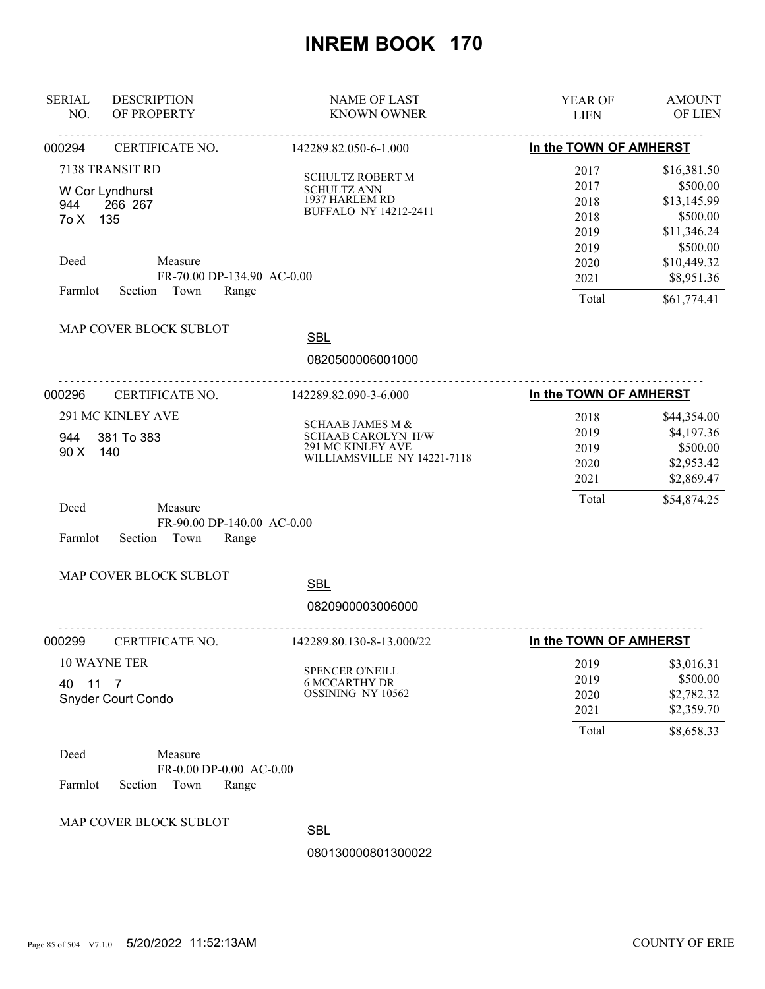| <b>DESCRIPTION</b><br><b>SERIAL</b><br>NO.<br>OF PROPERTY | <b>NAME OF LAST</b><br><b>KNOWN OWNER</b>         | <b>YEAR OF</b><br><b>LIEN</b> | <b>AMOUNT</b><br><b>OF LIEN</b> |
|-----------------------------------------------------------|---------------------------------------------------|-------------------------------|---------------------------------|
| CERTIFICATE NO.<br>000294                                 | 142289.82.050-6-1.000                             | In the TOWN OF AMHERST        |                                 |
| 7138 TRANSIT RD                                           |                                                   | 2017                          | \$16,381.50                     |
|                                                           | <b>SCHULTZ ROBERT M</b>                           | 2017                          | \$500.00                        |
| W Cor Lyndhurst                                           | <b>SCHULTZ ANN</b><br>1937 HARLEM RD              | 2018                          | \$13,145.99                     |
| 266 267<br>944<br>7o X 135                                | <b>BUFFALO NY 14212-2411</b>                      | 2018                          | \$500.00                        |
|                                                           |                                                   | 2019                          | \$11,346.24                     |
|                                                           |                                                   | 2019                          | \$500.00                        |
| Measure<br>Deed                                           |                                                   | 2020                          | \$10,449.32                     |
|                                                           | FR-70.00 DP-134.90 AC-0.00                        | 2021                          | \$8,951.36                      |
| Section Town<br>Farmlot                                   | Range                                             | Total                         | \$61,774.41                     |
| MAP COVER BLOCK SUBLOT                                    | <b>SBL</b>                                        |                               |                                 |
|                                                           |                                                   |                               |                                 |
|                                                           | 0820500006001000<br>.<br><u>.</u>                 |                               |                                 |
| 000296<br>CERTIFICATE NO.                                 | 142289.82.090-3-6.000                             | In the TOWN OF AMHERST        |                                 |
| 291 MC KINLEY AVE                                         |                                                   | 2018                          | \$44,354.00                     |
| 381 To 383<br>944                                         | <b>SCHAAB JAMES M &amp;</b><br>SCHAAB CAROLYN H/W | 2019                          | \$4,197.36                      |
| 90 X<br>140                                               | 291 MC KINLEY AVE                                 | 2019                          | \$500.00                        |
|                                                           | WILLIAMSVILLE NY 14221-7118                       | 2020                          | \$2,953.42                      |
|                                                           |                                                   | 2021                          | \$2,869.47                      |
|                                                           |                                                   | Total                         | \$54,874.25                     |
| Deed<br>Measure                                           |                                                   |                               |                                 |
| Farmlot<br>Section<br>Town                                | FR-90.00 DP-140.00 AC-0.00<br>Range               |                               |                                 |
|                                                           |                                                   |                               |                                 |
| MAP COVER BLOCK SUBLOT                                    | <b>SBL</b>                                        |                               |                                 |
|                                                           |                                                   |                               |                                 |
|                                                           | 0820900003006000                                  |                               |                                 |
| 000299<br>CERTIFICATE NO.                                 | 142289.80.130-8-13.000/22                         | In the TOWN OF AMHERST        |                                 |
| 10 WAYNE TER                                              | SPENCER O'NEILL                                   | 2019                          | \$3,016.31                      |
| 40<br>$11 \t7$                                            | <b>6 MCCARTHY DR</b>                              | 2019                          | \$500.00                        |
| <b>Snyder Court Condo</b>                                 | OSSINING NY 10562                                 | 2020                          | \$2,782.32                      |
|                                                           |                                                   | 2021                          | \$2,359.70                      |
|                                                           |                                                   | Total                         | \$8,658.33                      |
| Deed<br>Measure                                           |                                                   |                               |                                 |
|                                                           | FR-0.00 DP-0.00 AC-0.00                           |                               |                                 |
| Farmlot<br>Section<br>Town                                | Range                                             |                               |                                 |
| MAP COVER BLOCK SUBLOT                                    | <b>ODI</b>                                        |                               |                                 |

**SBL**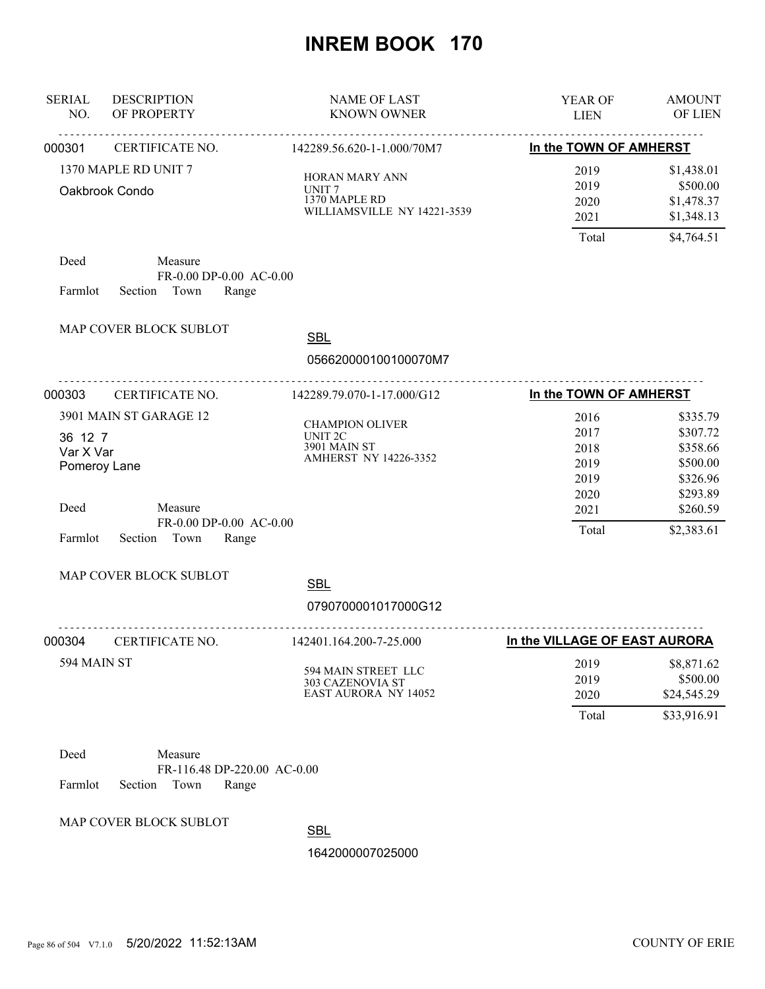| <b>SERIAL</b><br>NO.                                    | <b>DESCRIPTION</b><br>OF PROPERTY                                                                                  | <b>NAME OF LAST</b><br><b>KNOWN OWNER</b>                                           | YEAR OF<br><b>LIEN</b>                                        | <b>AMOUNT</b><br>OF LIEN                                                                       |
|---------------------------------------------------------|--------------------------------------------------------------------------------------------------------------------|-------------------------------------------------------------------------------------|---------------------------------------------------------------|------------------------------------------------------------------------------------------------|
| 000301                                                  | CERTIFICATE NO.                                                                                                    | .<br>142289.56.620-1-1.000/70M7                                                     | In the TOWN OF AMHERST                                        |                                                                                                |
|                                                         | 1370 MAPLE RD UNIT 7<br>Oakbrook Condo                                                                             | HORAN MARY ANN<br>UNIT <sub>7</sub><br>1370 MAPLE RD<br>WILLIAMSVILLE NY 14221-3539 | 2019<br>2019<br>2020<br>2021<br>Total                         | \$1,438.01<br>\$500.00<br>\$1,478.37<br>\$1,348.13<br>\$4,764.51                               |
| Deed<br>Farmlot                                         | Measure<br>FR-0.00 DP-0.00 AC-0.00<br>Section Town<br>Range                                                        |                                                                                     |                                                               |                                                                                                |
|                                                         | MAP COVER BLOCK SUBLOT                                                                                             | <b>SBL</b><br>056620000100100070M7                                                  |                                                               |                                                                                                |
| 000303                                                  | .<br>CERTIFICATE NO.                                                                                               | .<br>142289.79.070-1-17.000/G12                                                     | In the TOWN OF AMHERST                                        |                                                                                                |
| 36 12 7<br>Var X Var<br>Pomeroy Lane<br>Deed<br>Farmlot | 3901 MAIN ST GARAGE 12<br>Measure<br>FR-0.00 DP-0.00 AC-0.00<br>Section<br>Town<br>Range<br>MAP COVER BLOCK SUBLOT | <b>CHAMPION OLIVER</b><br><b>UNIT 2C</b><br>3901 MAIN ST<br>AMHERST NY 14226-3352   | 2016<br>2017<br>2018<br>2019<br>2019<br>2020<br>2021<br>Total | \$335.79<br>\$307.72<br>\$358.66<br>\$500.00<br>\$326.96<br>\$293.89<br>\$260.59<br>\$2,383.61 |
|                                                         |                                                                                                                    | <b>SBL</b><br>0790700001017000G12                                                   |                                                               |                                                                                                |
| 000304                                                  | CERTIFICATE NO.                                                                                                    | <u>.</u><br>142401.164.200-7-25.000                                                 | In the VILLAGE OF EAST AURORA                                 |                                                                                                |
| 594 MAIN ST                                             |                                                                                                                    | 594 MAIN STREET LLC<br>303 CAZENOVIA ST<br><b>EAST AURORA NY 14052</b>              | 2019<br>2019<br>2020<br>Total                                 | \$8,871.62<br>\$500.00<br>\$24,545.29<br>\$33,916.91                                           |
| Deed<br>Farmlot                                         | Measure<br>FR-116.48 DP-220.00 AC-0.00<br>Section<br>Town<br>Range                                                 |                                                                                     |                                                               |                                                                                                |
|                                                         | MAP COVER BLOCK SUBLOT                                                                                             | <b>SBL</b><br>1642000007025000                                                      |                                                               |                                                                                                |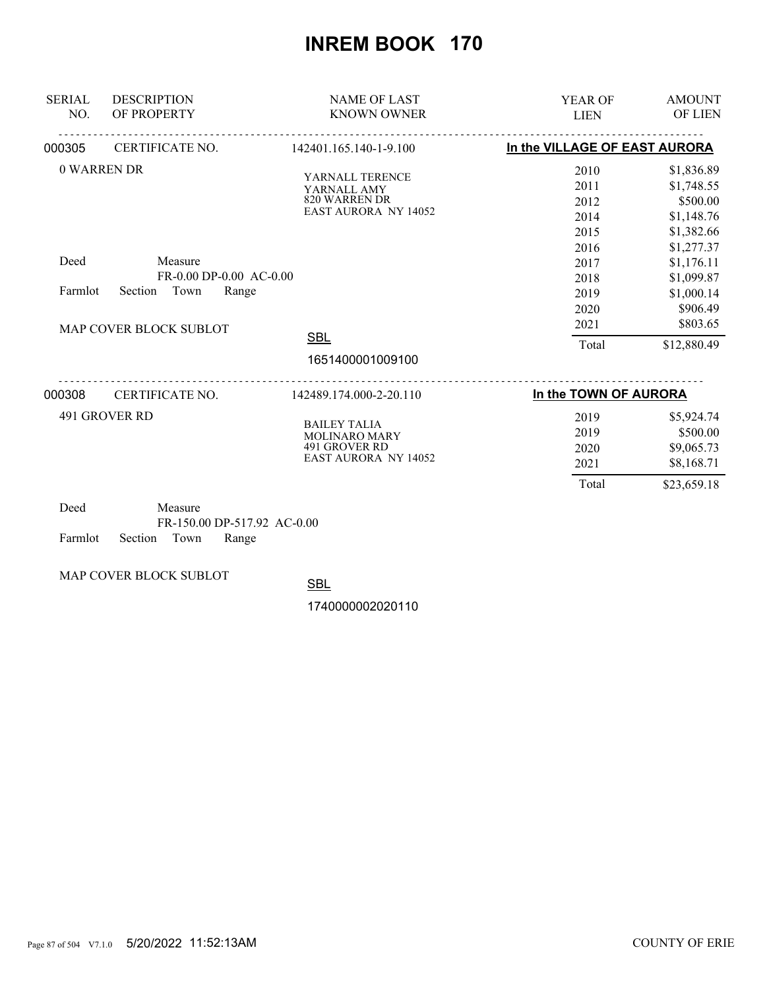| <b>SERIAL</b><br>NO. | <b>DESCRIPTION</b><br>OF PROPERTY                                                                       | <b>NAME OF LAST</b><br><b>KNOWN OWNER</b>                                                                        | <b>YEAR OF</b><br><b>LIEN</b>                                                                 | <b>AMOUNT</b><br>OF LIEN                                                                                                                                        |
|----------------------|---------------------------------------------------------------------------------------------------------|------------------------------------------------------------------------------------------------------------------|-----------------------------------------------------------------------------------------------|-----------------------------------------------------------------------------------------------------------------------------------------------------------------|
| 000305               | CERTIFICATE NO.                                                                                         | 142401.165.140-1-9.100                                                                                           | In the VILLAGE OF EAST AURORA                                                                 |                                                                                                                                                                 |
| Deed<br>Farmlot      | 0 WARREN DR<br>Measure<br>FR-0.00 DP-0.00 AC-0.00<br>Section<br>Town<br>Range<br>MAP COVER BLOCK SUBLOT | YARNALL TERENCE<br>YARNALL AMY<br>820 WARREN DR<br><b>EAST AURORA NY 14052</b><br><b>SBL</b><br>1651400001009100 | 2010<br>2011<br>2012<br>2014<br>2015<br>2016<br>2017<br>2018<br>2019<br>2020<br>2021<br>Total | \$1,836.89<br>\$1,748.55<br>\$500.00<br>\$1,148.76<br>\$1,382.66<br>\$1,277.37<br>\$1,176.11<br>\$1,099.87<br>\$1,000.14<br>\$906.49<br>\$803.65<br>\$12,880.49 |
|                      |                                                                                                         |                                                                                                                  |                                                                                               |                                                                                                                                                                 |
| 000308               | CERTIFICATE NO.                                                                                         | 142489.174.000-2-20.110                                                                                          | In the TOWN OF AURORA                                                                         |                                                                                                                                                                 |
|                      | 491 GROVER RD                                                                                           | <b>BAILEY TALIA</b><br><b>MOLINARO MARY</b><br>491 GROVER RD<br><b>EAST AURORA NY 14052</b>                      | 2019<br>2019<br>2020<br>2021<br>Total                                                         | \$5,924.74<br>\$500.00<br>\$9,065.73<br>\$8,168.71<br>\$23,659.18                                                                                               |
| $D - 1$              | $M = 22.5$                                                                                              |                                                                                                                  |                                                                                               |                                                                                                                                                                 |

| Deed                       | Measure |                             |  |
|----------------------------|---------|-----------------------------|--|
|                            |         | FR-150.00 DP-517.92 AC-0.00 |  |
| Farmlot Section Town Range |         |                             |  |

MAP COVER BLOCK SUBLOT

**SBL**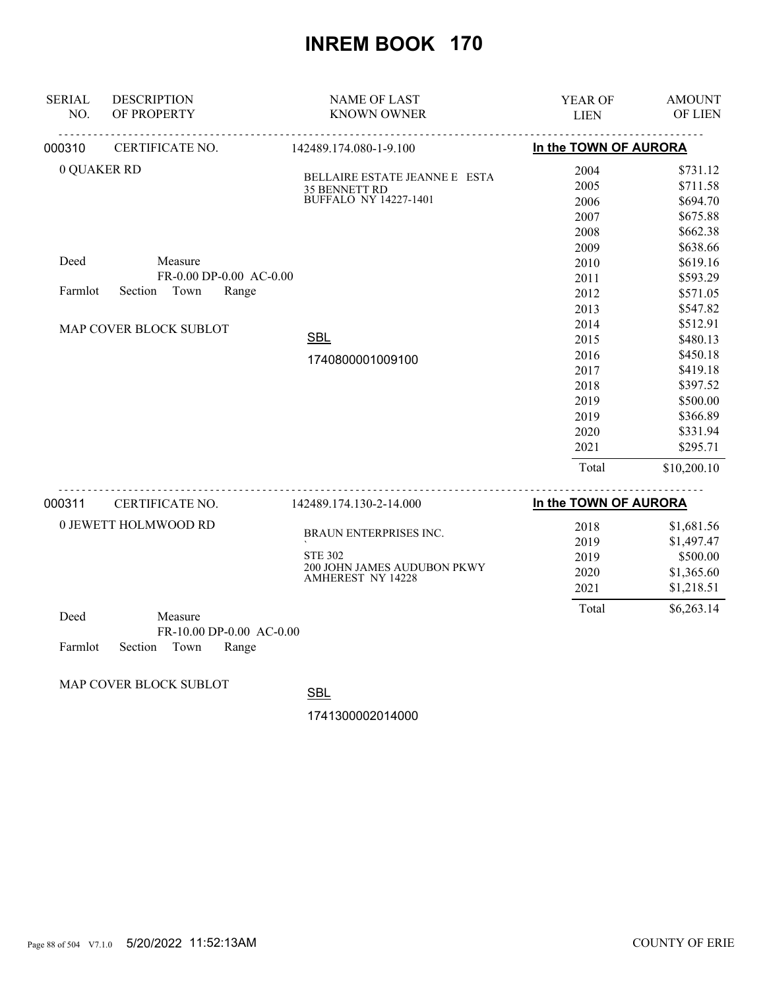| <b>SERIAL</b><br>NO.                | <b>DESCRIPTION</b><br>OF PROPERTY | <b>NAME OF LAST</b><br><b>KNOWN OWNER</b> | YEAR OF<br><b>LIEN</b> | <b>AMOUNT</b><br>OF LIEN |
|-------------------------------------|-----------------------------------|-------------------------------------------|------------------------|--------------------------|
| 000310                              | CERTIFICATE NO.                   | 142489.174.080-1-9.100                    | In the TOWN OF AURORA  |                          |
| 0 QUAKER RD                         |                                   | BELLAIRE ESTATE JEANNE E ESTA             | 2004                   | \$731.12                 |
|                                     |                                   | 35 BENNETT RD                             | 2005                   | \$711.58                 |
|                                     |                                   | <b>BUFFALO NY 14227-1401</b>              | 2006                   | \$694.70                 |
|                                     |                                   |                                           | 2007                   | \$675.88                 |
|                                     |                                   |                                           | 2008                   | \$662.38                 |
|                                     |                                   |                                           | 2009                   | \$638.66                 |
| Deed                                | Measure                           |                                           | 2010                   | \$619.16                 |
|                                     | FR-0.00 DP-0.00 AC-0.00           |                                           | 2011                   | \$593.29                 |
| Town<br>Range<br>Farmlot<br>Section |                                   |                                           | 2012                   | \$571.05                 |
|                                     |                                   |                                           | 2013                   | \$547.82                 |
|                                     | MAP COVER BLOCK SUBLOT            |                                           | 2014                   | \$512.91                 |
|                                     |                                   | <b>SBL</b>                                | 2015                   | \$480.13                 |
|                                     |                                   | 1740800001009100                          | 2016                   | \$450.18                 |
|                                     |                                   |                                           | 2017                   | \$419.18                 |
|                                     |                                   |                                           | 2018                   | \$397.52                 |
|                                     |                                   |                                           | 2019                   | \$500.00                 |
|                                     |                                   |                                           | 2019                   | \$366.89                 |
|                                     |                                   |                                           | 2020                   | \$331.94                 |
|                                     |                                   |                                           | 2021                   | \$295.71                 |
|                                     |                                   |                                           | Total                  | \$10,200.10              |
|                                     |                                   |                                           |                        |                          |

| 000311 | CERTIFICATE NO.      | 142489.174.130-2-14.000                                 | In the TOWN OF AURORA |                                      |
|--------|----------------------|---------------------------------------------------------|-----------------------|--------------------------------------|
|        | 0 JEWETT HOLMWOOD RD | BRAUN ENTERPRISES INC.<br><b>STE 302</b>                | 2018<br>2019<br>2019  | \$1,681.56<br>\$1,497.47<br>\$500.00 |
|        |                      | 200 JOHN JAMES AUDUBON PKWY<br><b>AMHEREST NY 14228</b> | 2020<br>2021          | \$1,365.60<br>\$1,218.51             |
| Deed   | Measure              |                                                         | Total                 | \$6,263.14                           |

| . |                            | . |                            |  |
|---|----------------------------|---|----------------------------|--|
|   |                            |   | $FR-10.00$ DP-0.00 AC-0.00 |  |
|   | Farmlot Section Town Range |   |                            |  |

MAP COVER BLOCK SUBLOT

SBL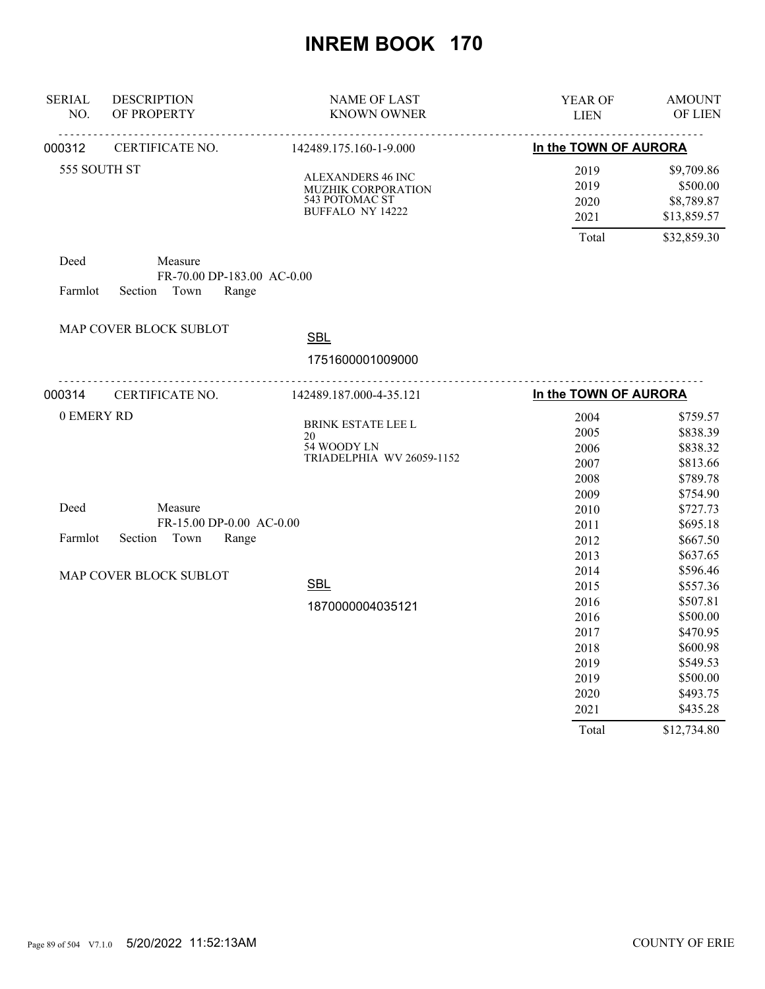| <b>SERIAL</b><br>NO. | <b>DESCRIPTION</b><br>OF PROPERTY                               | <b>NAME OF LAST</b><br><b>KNOWN OWNER</b>                                                   | <b>YEAR OF</b><br><b>LIEN</b>                                                         | <b>AMOUNT</b><br>OF LIEN                                                                                                            |
|----------------------|-----------------------------------------------------------------|---------------------------------------------------------------------------------------------|---------------------------------------------------------------------------------------|-------------------------------------------------------------------------------------------------------------------------------------|
| 000312               | <b>CERTIFICATE NO.</b>                                          | 142489.175.160-1-9.000                                                                      | In the TOWN OF AURORA                                                                 |                                                                                                                                     |
|                      | 555 SOUTH ST                                                    | <b>ALEXANDERS 46 INC</b><br>MUZHIK CORPORATION<br>543 POTOMAC ST<br><b>BUFFALO NY 14222</b> | 2019<br>2019<br>2020<br>2021                                                          | \$9,709.86<br>\$500.00<br>\$8,789.87<br>\$13,859.57                                                                                 |
| Deed<br>Farmlot      | Measure<br>FR-70.00 DP-183.00 AC-0.00<br>Section Town<br>Range  |                                                                                             | Total                                                                                 | \$32,859.30                                                                                                                         |
|                      | MAP COVER BLOCK SUBLOT                                          | <b>SBL</b><br>1751600001009000                                                              |                                                                                       |                                                                                                                                     |
| 000314               | <u>.</u><br>CERTIFICATE NO.                                     | 142489.187.000-4-35.121                                                                     | In the TOWN OF AURORA                                                                 |                                                                                                                                     |
| 0 EMERY RD           |                                                                 | <b>BRINK ESTATE LEE L</b><br>20<br>54 WOODY LN<br>TRIADELPHIA WV 26059-1152                 | 2004<br>2005<br>2006<br>2007<br>2008<br>2009                                          | \$759.57<br>\$838.39<br>\$838.32<br>\$813.66<br>\$789.78<br>\$754.90                                                                |
| Deed<br>Farmlot      | Measure<br>FR-15.00 DP-0.00 AC-0.00<br>Section<br>Town<br>Range |                                                                                             | 2010<br>2011<br>2012<br>2013                                                          | \$727.73<br>\$695.18<br>\$667.50<br>\$637.65                                                                                        |
|                      | MAP COVER BLOCK SUBLOT                                          | <b>SBL</b><br>1870000004035121                                                              | 2014<br>2015<br>2016<br>2016<br>2017<br>2018<br>2019<br>2019<br>2020<br>2021<br>Total | \$596.46<br>\$557.36<br>\$507.81<br>\$500.00<br>\$470.95<br>\$600.98<br>\$549.53<br>\$500.00<br>\$493.75<br>\$435.28<br>\$12,734.80 |
|                      |                                                                 |                                                                                             |                                                                                       |                                                                                                                                     |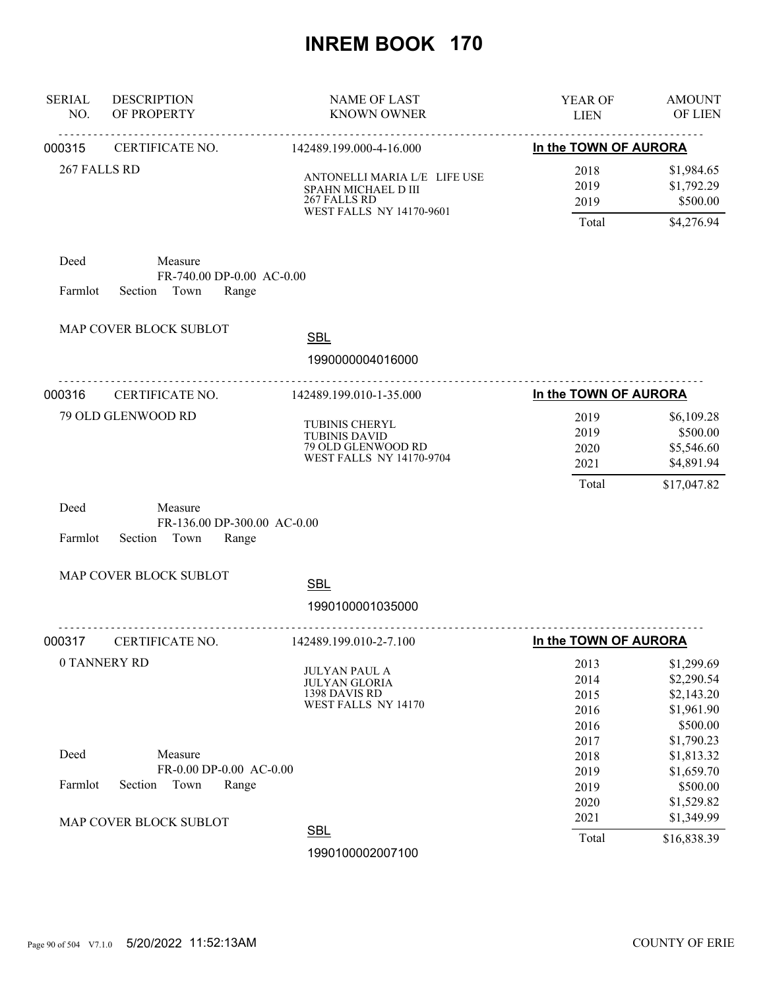| <b>SERIAL</b><br>NO. | <b>DESCRIPTION</b><br>OF PROPERTY                                  | <b>NAME OF LAST</b><br><b>KNOWN OWNER</b>                                                              | YEAR OF<br><b>LIEN</b>                | <b>AMOUNT</b><br>OF LIEN                                          |
|----------------------|--------------------------------------------------------------------|--------------------------------------------------------------------------------------------------------|---------------------------------------|-------------------------------------------------------------------|
| 000315               | CERTIFICATE NO.                                                    | 142489.199.000-4-16.000                                                                                | In the TOWN OF AURORA                 |                                                                   |
| 267 FALLS RD         |                                                                    | ANTONELLI MARIA L/E LIFE USE<br>SPAHN MICHAEL D III<br>267 FALLS RD<br><b>WEST FALLS NY 14170-9601</b> | 2018<br>2019<br>2019<br>Total         | \$1,984.65<br>\$1,792.29<br>\$500.00<br>\$4,276.94                |
| Deed<br>Farmlot      | Measure<br>FR-740.00 DP-0.00 AC-0.00<br>Section Town<br>Range      |                                                                                                        |                                       |                                                                   |
|                      | MAP COVER BLOCK SUBLOT                                             | <b>SBL</b><br>1990000004016000                                                                         |                                       |                                                                   |
| 000316               | CERTIFICATE NO.                                                    | 142489.199.010-1-35.000                                                                                | In the TOWN OF AURORA                 |                                                                   |
|                      | 79 OLD GLENWOOD RD                                                 | TUBINIS CHERYL<br><b>TUBINIS DAVID</b><br>79 OLD GLENWOOD RD<br><b>WEST FALLS NY 14170-9704</b>        | 2019<br>2019<br>2020<br>2021<br>Total | \$6,109.28<br>\$500.00<br>\$5,546.60<br>\$4,891.94<br>\$17,047.82 |
| Deed<br>Farmlot      | Measure<br>FR-136.00 DP-300.00 AC-0.00<br>Section<br>Town<br>Range |                                                                                                        |                                       |                                                                   |
|                      | MAP COVER BLOCK SUBLOT                                             | <b>SBL</b>                                                                                             |                                       |                                                                   |
|                      |                                                                    | 1990100001035000                                                                                       |                                       |                                                                   |
| 000317               | CERTIFICATE NO.                                                    | 142489.199.010-2-7.100                                                                                 | In the TOWN OF AURORA                 |                                                                   |
|                      | 0 TANNERY RD                                                       | <b>JULYAN PAUL A</b><br><b>JULYAN GLORIA</b><br>1398 DAVIS RD<br>WEST FALLS NY 14170                   | 2013<br>2014<br>2015<br>2016<br>2016  | \$1,299.69<br>\$2,290.54<br>\$2,143.20<br>\$1,961.90<br>\$500.00  |
| Deed<br>Farmlot      | Measure<br>FR-0.00 DP-0.00 AC-0.00<br>Section<br>Town<br>Range     |                                                                                                        | 2017<br>2018<br>2019<br>2019<br>2020  | \$1,790.23<br>\$1,813.32<br>\$1,659.70<br>\$500.00<br>\$1,529.82  |
|                      | MAP COVER BLOCK SUBLOT                                             | <b>SBL</b><br>1990100002007100                                                                         | 2021<br>Total                         | \$1,349.99<br>\$16,838.39                                         |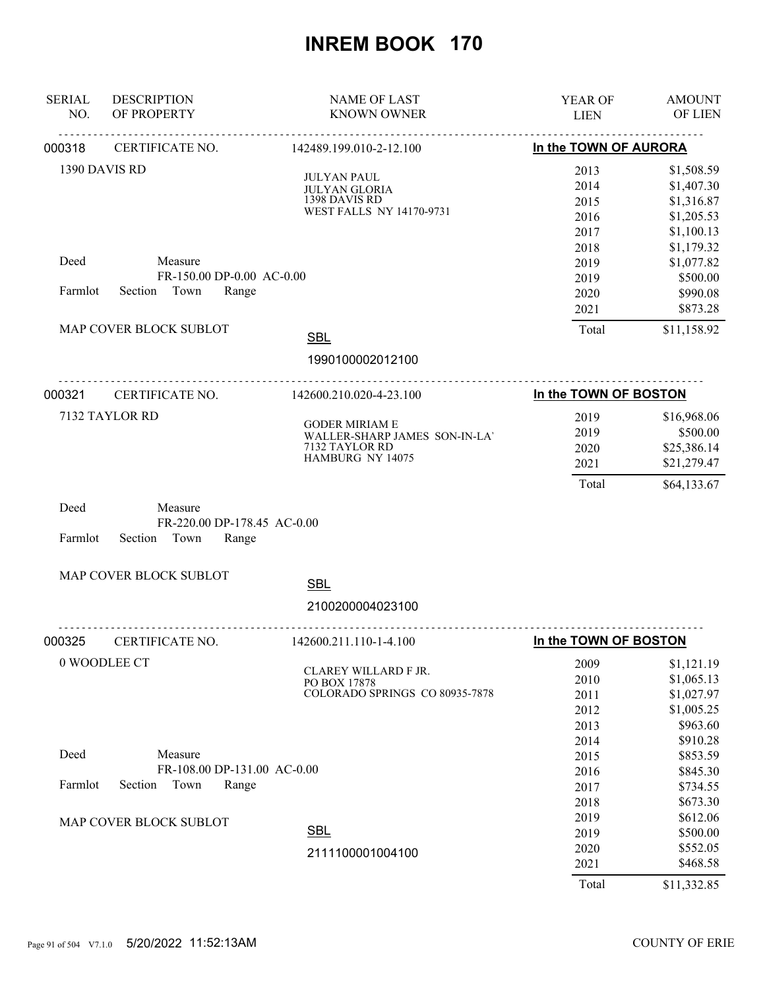| <b>SERIAL</b><br>NO. | <b>DESCRIPTION</b><br>OF PROPERTY                                  | <b>NAME OF LAST</b><br><b>KNOWN OWNER</b>                                                    | <b>YEAR OF</b><br><b>LIEN</b>                | <b>AMOUNT</b><br>OF LIEN                                                     |
|----------------------|--------------------------------------------------------------------|----------------------------------------------------------------------------------------------|----------------------------------------------|------------------------------------------------------------------------------|
| 000318               | CERTIFICATE NO.                                                    | 142489.199.010-2-12.100                                                                      | In the TOWN OF AURORA                        |                                                                              |
|                      | 1390 DAVIS RD                                                      | <b>JULYAN PAUL</b><br><b>JULYAN GLORIA</b><br>1398 DAVIS RD<br>WEST FALLS NY 14170-9731      | 2013<br>2014<br>2015<br>2016<br>2017         | \$1,508.59<br>\$1,407.30<br>\$1,316.87<br>\$1,205.53<br>\$1,100.13           |
| Deed<br>Farmlot      | Measure<br>FR-150.00 DP-0.00 AC-0.00<br>Section Town<br>Range      |                                                                                              | 2018<br>2019<br>2019<br>2020<br>2021         | \$1,179.32<br>\$1,077.82<br>\$500.00<br>\$990.08<br>\$873.28                 |
|                      | MAP COVER BLOCK SUBLOT                                             | <b>SBL</b>                                                                                   | Total                                        | \$11,158.92                                                                  |
|                      |                                                                    | 1990100002012100                                                                             |                                              |                                                                              |
| 000321               | CERTIFICATE NO.                                                    | 142600.210.020-4-23.100                                                                      | In the TOWN OF BOSTON                        |                                                                              |
|                      | 7132 TAYLOR RD                                                     | <b>GODER MIRIAM E</b><br>WALLER-SHARP JAMES SON-IN-LA'<br>7132 TAYLOR RD<br>HAMBURG NY 14075 | 2019<br>2019<br>2020<br>2021<br>Total        | \$16,968.06<br>\$500.00<br>\$25,386.14<br>\$21,279.47<br>\$64,133.67         |
| Deed<br>Farmlot      | Measure<br>FR-220.00 DP-178.45 AC-0.00<br>Section<br>Town<br>Range |                                                                                              |                                              |                                                                              |
|                      | MAP COVER BLOCK SUBLOT                                             | <b>SBL</b><br>2100200004023100                                                               |                                              |                                                                              |
| 000325               | .<br>CERTIFICATE NO.                                               | 142600.211.110-1-4.100                                                                       | In the TOWN OF BOSTON                        |                                                                              |
|                      | 0 WOODLEE CT                                                       | CLAREY WILLARD F JR.<br>PO BOX 17878<br>COLORADO SPRINGS CO 80935-7878                       | 2009<br>2010<br>2011<br>2012<br>2013<br>2014 | \$1,121.19<br>\$1,065.13<br>\$1,027.97<br>\$1,005.25<br>\$963.60<br>\$910.28 |
| Deed<br>Farmlot      | Measure<br>FR-108.00 DP-131.00 AC-0.00<br>Section<br>Town<br>Range |                                                                                              | 2015<br>2016<br>2017                         | \$853.59<br>\$845.30<br>\$734.55                                             |
|                      | MAP COVER BLOCK SUBLOT                                             | <b>SBL</b><br>2111100001004100                                                               | 2018<br>2019<br>2019<br>2020<br>2021         | \$673.30<br>\$612.06<br>\$500.00<br>\$552.05<br>\$468.58                     |
|                      |                                                                    |                                                                                              | Total                                        | \$11,332.85                                                                  |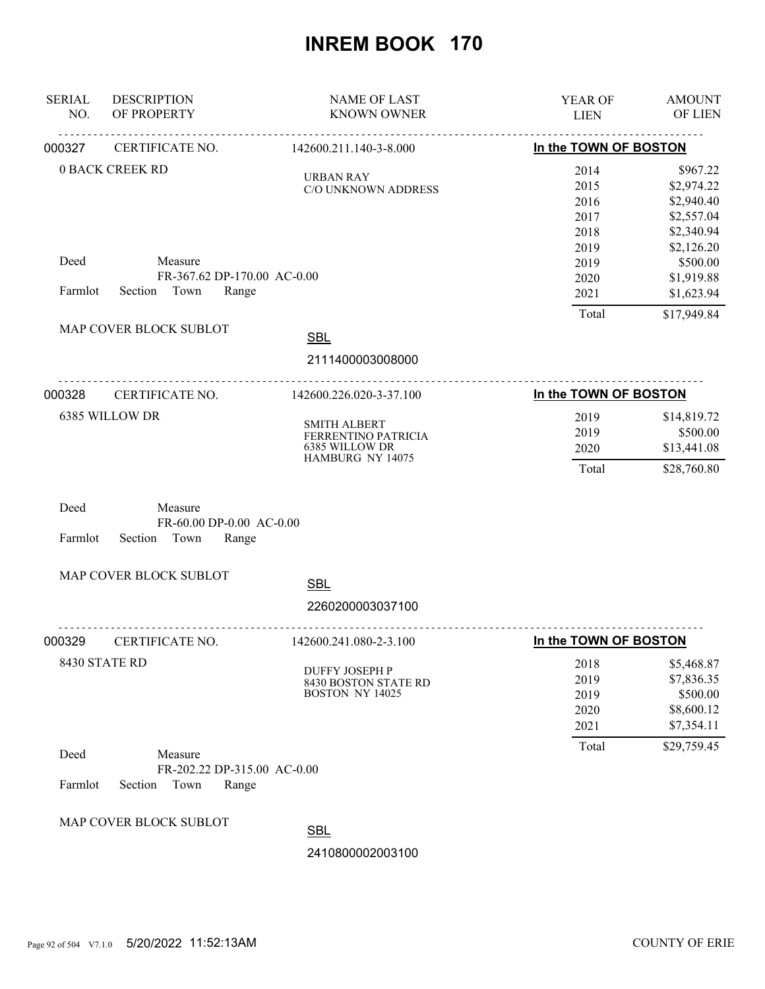| <b>SERIAL</b><br>NO. | <b>DESCRIPTION</b><br>OF PROPERTY                               | <b>NAME OF LAST</b><br><b>KNOWN OWNER</b>                                        | YEAR OF<br><b>LIEN</b>                       | <b>AMOUNT</b><br>OF LIEN                                                       |
|----------------------|-----------------------------------------------------------------|----------------------------------------------------------------------------------|----------------------------------------------|--------------------------------------------------------------------------------|
| 000327               | CERTIFICATE NO.                                                 | 142600.211.140-3-8.000                                                           | In the TOWN OF BOSTON                        |                                                                                |
|                      | <b>0 BACK CREEK RD</b>                                          | <b>URBAN RAY</b><br>C/O UNKNOWN ADDRESS                                          | 2014<br>2015<br>2016<br>2017<br>2018<br>2019 | \$967.22<br>\$2,974.22<br>\$2,940.40<br>\$2,557.04<br>\$2,340.94<br>\$2,126.20 |
| Deed<br>Farmlot      | Measure<br>FR-367.62 DP-170.00 AC-0.00<br>Section Town<br>Range |                                                                                  | 2019<br>2020<br>2021                         | \$500.00<br>\$1,919.88<br>\$1,623.94                                           |
|                      |                                                                 |                                                                                  | Total                                        | \$17,949.84                                                                    |
|                      | MAP COVER BLOCK SUBLOT                                          | <b>SBL</b>                                                                       |                                              |                                                                                |
|                      |                                                                 | 2111400003008000                                                                 |                                              |                                                                                |
| 000328               | CERTIFICATE NO.                                                 | 142600.226.020-3-37.100                                                          | In the TOWN OF BOSTON                        |                                                                                |
|                      | 6385 WILLOW DR                                                  | <b>SMITH ALBERT</b><br>FERRENTINO PATRICIA<br>6385 WILLOW DR<br>HAMBURG NY 14075 | 2019<br>2019<br>2020<br>Total                | \$14,819.72<br>\$500.00<br>\$13,441.08<br>\$28,760.80                          |
| Deed<br>Farmlot      | Measure<br>FR-60.00 DP-0.00 AC-0.00<br>Section<br>Town<br>Range |                                                                                  |                                              |                                                                                |
|                      | MAP COVER BLOCK SUBLOT                                          | <b>SBL</b>                                                                       |                                              |                                                                                |
|                      |                                                                 | 2260200003037100                                                                 |                                              |                                                                                |
| 000329               | CERTIFICATE NO.                                                 | 142600.241.080-2-3.100                                                           | In the TOWN OF BOSTON                        |                                                                                |
|                      | 8430 STATE RD                                                   | <b>DUFFY JOSEPH P</b><br>8430 BOSTON STATE RD<br>BOSTON NY 14025                 | 2018<br>2019<br>2019<br>2020<br>2021         | \$5,468.87<br>\$7,836.35<br>\$500.00<br>\$8,600.12<br>\$7,354.11               |
| Deed                 | Measure<br>FR-202.22 DP-315.00 AC-0.00                          |                                                                                  | Total                                        | \$29,759.45                                                                    |
| Farmlot              | Section<br>Town<br>Range                                        |                                                                                  |                                              |                                                                                |
|                      | MAP COVER BLOCK SUBLOT                                          | <b>SBL</b>                                                                       |                                              |                                                                                |
|                      |                                                                 | 2410800002003100                                                                 |                                              |                                                                                |
|                      |                                                                 |                                                                                  |                                              |                                                                                |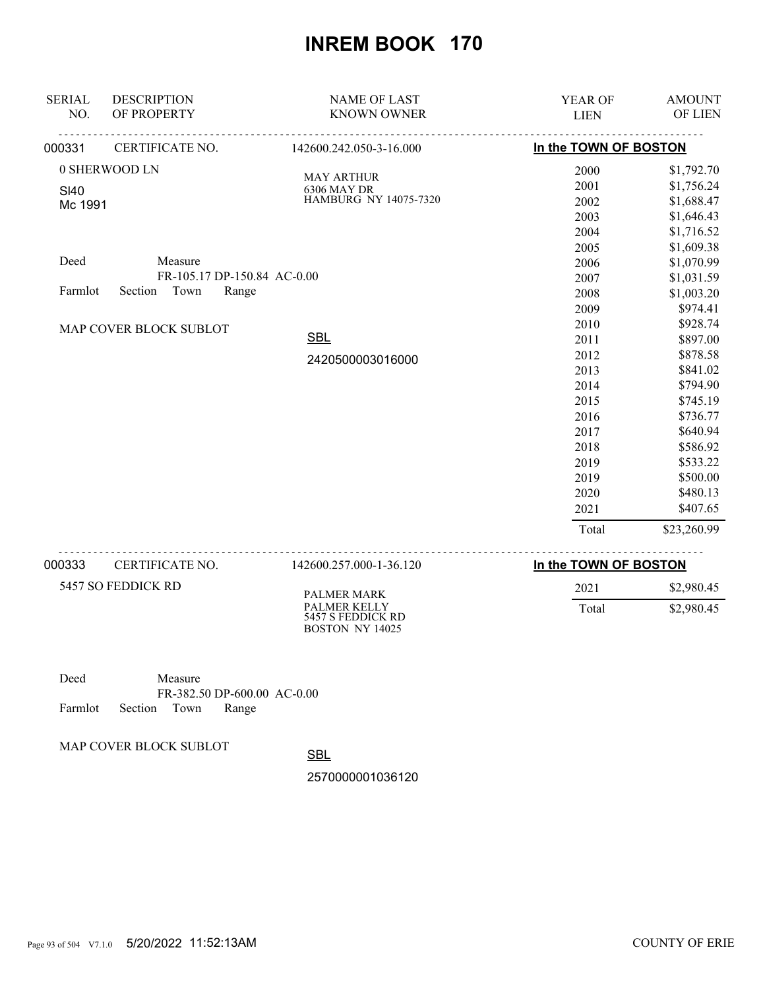| <b>SERIAL</b> | <b>DESCRIPTION</b>          | <b>NAME OF LAST</b>                 | <b>YEAR OF</b>              | <b>AMOUNT</b> |
|---------------|-----------------------------|-------------------------------------|-----------------------------|---------------|
| NO.           | OF PROPERTY                 | <b>KNOWN OWNER</b>                  | <b>LIEN</b>                 | OF LIEN       |
| 000331        | <u>.</u><br>CERTIFICATE NO. | <u>.</u><br>142600.242.050-3-16.000 | In the TOWN OF BOSTON       |               |
|               | 0 SHERWOOD LN               | <b>MAY ARTHUR</b>                   | 2000                        | \$1,792.70    |
| <b>SI40</b>   |                             | 6306 MAY DR                         | 2001                        | \$1,756.24    |
| Mc 1991       |                             | HAMBURG NY 14075-7320               | 2002                        | \$1,688.47    |
|               |                             |                                     | 2003                        | \$1,646.43    |
|               |                             |                                     | 2004                        | \$1,716.52    |
|               |                             |                                     | 2005                        | \$1,609.38    |
| Deed          | Measure                     |                                     | 2006                        | \$1,070.99    |
|               | FR-105.17 DP-150.84 AC-0.00 |                                     | 2007                        | \$1,031.59    |
| Farmlot       | Town<br>Section<br>Range    |                                     | 2008                        | \$1,003.20    |
|               |                             |                                     | 2009                        | \$974.41      |
|               | MAP COVER BLOCK SUBLOT      |                                     | 2010                        | \$928.74      |
|               |                             | <b>SBL</b>                          | 2011                        | \$897.00      |
|               |                             | 2420500003016000                    | 2012                        | \$878.58      |
|               |                             |                                     | 2013                        | \$841.02      |
|               |                             |                                     | 2014                        | \$794.90      |
|               |                             |                                     | 2015                        | \$745.19      |
|               |                             |                                     | 2016                        | \$736.77      |
|               |                             |                                     | 2017                        | \$640.94      |
|               |                             |                                     | 2018                        | \$586.92      |
|               |                             |                                     | 2019                        | \$533.22      |
|               |                             |                                     | 2019                        | \$500.00      |
|               |                             |                                     | 2020                        | \$480.13      |
|               |                             |                                     | 2021                        | \$407.65      |
|               |                             |                                     | Total                       | \$23,260.99   |
| 000333        | CERTIFICATE NO.             | 142600.257.000-1-36.120             | In the TOWN OF BOSTON       |               |
|               | $LCT \cap \cap \Gamma$      |                                     | $\sim$ $\sim$ $\sim$ $\sim$ | $AA$ $0.001$  |

| 5457 SO FEDDICK RD | PALMER MARK<br><b>PALMER KELLY</b><br>5457 S FEDDICK RD | 2021  | \$2,980.45 |
|--------------------|---------------------------------------------------------|-------|------------|
|                    | BOSTON NY 14025                                         | Total | \$2,980.45 |

| Deed |                            | Measure |                             |  |
|------|----------------------------|---------|-----------------------------|--|
|      |                            |         | FR-382.50 DP-600.00 AC-0.00 |  |
|      | Farmlot Section Town Range |         |                             |  |

MAP COVER BLOCK SUBLOT

**SBL**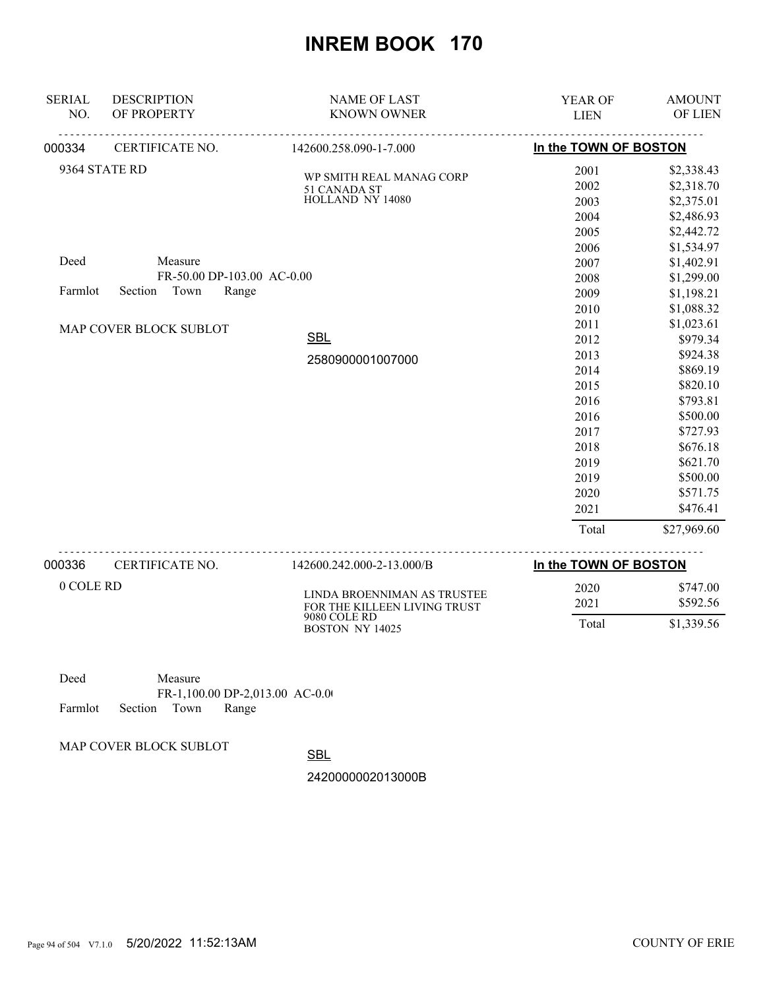| <b>SERIAL</b><br>NO. | <b>DESCRIPTION</b><br>OF PROPERTY | <b>NAME OF LAST</b><br><b>KNOWN OWNER</b>                   | YEAR OF<br><b>LIEN</b> | <b>AMOUNT</b><br>OF LIEN |
|----------------------|-----------------------------------|-------------------------------------------------------------|------------------------|--------------------------|
| 000334               | <u>.</u><br>CERTIFICATE NO.       | <u>.</u><br>142600.258.090-1-7.000                          | In the TOWN OF BOSTON  |                          |
|                      | 9364 STATE RD                     |                                                             | 2001                   | \$2,338.43               |
|                      |                                   | WP SMITH REAL MANAG CORP                                    | 2002                   | \$2,318.70               |
|                      |                                   | 51 CANADA ST<br>HOLLAND NY 14080                            | 2003                   | \$2,375.01               |
|                      |                                   |                                                             | 2004                   | \$2,486.93               |
|                      |                                   |                                                             | 2005                   | \$2,442.72               |
|                      |                                   |                                                             | 2006                   | \$1,534.97               |
| Deed                 | Measure                           |                                                             | 2007                   | \$1,402.91               |
|                      | FR-50.00 DP-103.00 AC-0.00        |                                                             | 2008                   | \$1,299.00               |
| Farmlot              | Section Town<br>Range             |                                                             | 2009                   | \$1,198.21               |
|                      |                                   |                                                             | 2010                   | \$1,088.32               |
|                      | MAP COVER BLOCK SUBLOT            |                                                             | 2011                   | \$1,023.61               |
|                      | <b>SBL</b>                        | 2012                                                        | \$979.34               |                          |
|                      |                                   | 2580900001007000                                            | 2013                   | \$924.38                 |
|                      |                                   |                                                             | 2014                   | \$869.19                 |
|                      |                                   |                                                             | 2015                   | \$820.10                 |
|                      |                                   |                                                             | 2016                   | \$793.81                 |
|                      |                                   |                                                             | 2016                   | \$500.00                 |
|                      |                                   |                                                             | 2017                   | \$727.93                 |
|                      |                                   |                                                             | 2018                   | \$676.18                 |
|                      |                                   |                                                             | 2019                   | \$621.70                 |
|                      |                                   |                                                             | 2019                   | \$500.00                 |
|                      |                                   |                                                             | 2020                   | \$571.75                 |
|                      |                                   |                                                             | 2021                   | \$476.41                 |
|                      |                                   |                                                             | Total                  | \$27,969.60              |
| 000336               | CERTIFICATE NO.                   | 142600.242.000-2-13.000/B                                   | In the TOWN OF BOSTON  |                          |
| 0 COLE RD            |                                   | LINDA BROENNIMAN AS TRUSTEE<br>FOR THE KILLEEN LIVING TRUST | 2020<br>2021           | \$747.00<br>\$592.56     |

Deed Measure FR-1,100.00 DP-2,013.00 AC-0.00 Farmlot Section Town Range

MAP COVER BLOCK SUBLOT

**SBL** 

9080 COLE RD BOSTON NY 14025

2420000002013000B

FOR THE KILLEEN LIVING TRUST

Total \$1,339.56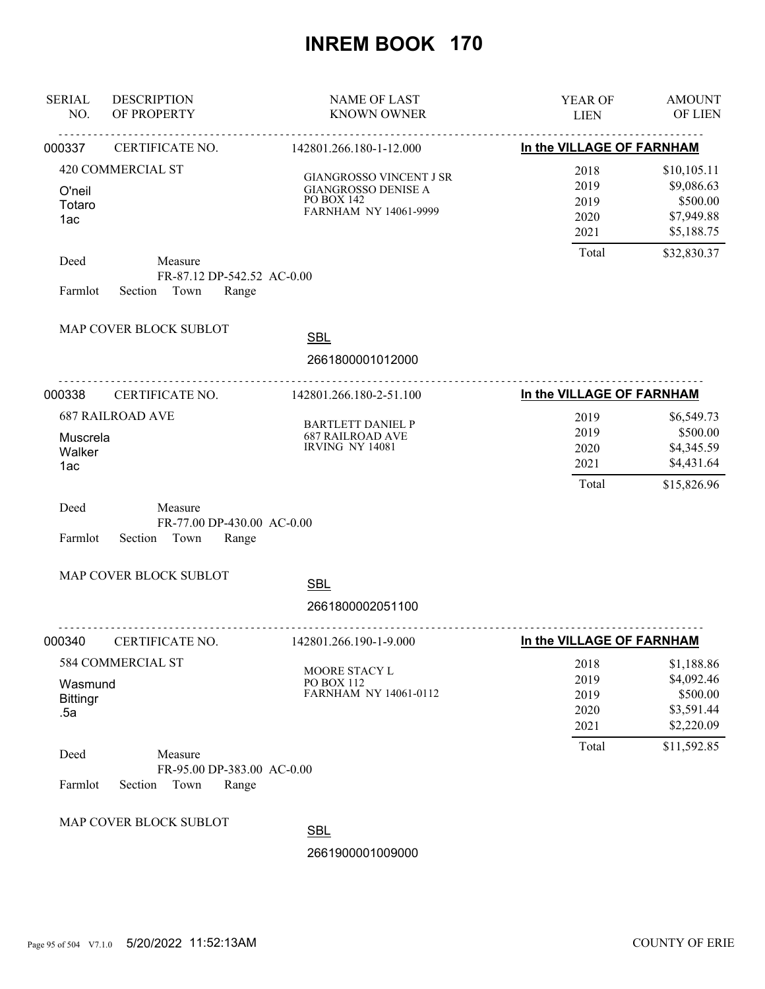| <b>SERIAL</b><br>NO.              | <b>DESCRIPTION</b><br>OF PROPERTY                                 | <b>NAME OF LAST</b><br><b>KNOWN OWNER</b>                                                           | YEAR OF<br><b>LIEN</b>                        | <b>AMOUNT</b><br>OF LIEN                                                         |
|-----------------------------------|-------------------------------------------------------------------|-----------------------------------------------------------------------------------------------------|-----------------------------------------------|----------------------------------------------------------------------------------|
| 000337                            | CERTIFICATE NO.                                                   | 142801.266.180-1-12.000                                                                             | In the VILLAGE OF FARNHAM                     |                                                                                  |
| O'neil<br>Totaro<br>1ac           | 420 COMMERCIAL ST                                                 | <b>GIANGROSSO VINCENT J SR</b><br><b>GIANGROSSO DENISE A</b><br>PO BOX 142<br>FARNHAM NY 14061-9999 | 2018<br>2019<br>2019<br>2020<br>2021<br>Total | \$10,105.11<br>\$9,086.63<br>\$500.00<br>\$7,949.88<br>\$5,188.75<br>\$32,830.37 |
| Deed<br>Farmlot                   | Measure<br>FR-87.12 DP-542.52 AC-0.00<br>Town<br>Section<br>Range |                                                                                                     |                                               |                                                                                  |
|                                   | MAP COVER BLOCK SUBLOT                                            | <b>SBL</b><br>2661800001012000                                                                      |                                               |                                                                                  |
| 000338                            | CERTIFICATE NO.                                                   | 142801.266.180-2-51.100                                                                             | In the VILLAGE OF FARNHAM                     |                                                                                  |
| Muscrela<br>Walker<br>1ac         | <b>687 RAILROAD AVE</b>                                           | <b>BARTLETT DANIEL P</b><br><b>687 RAILROAD AVE</b><br>IRVING NY 14081                              | 2019<br>2019<br>2020<br>2021<br>Total         | \$6,549.73<br>\$500.00<br>\$4,345.59<br>\$4,431.64<br>\$15,826.96                |
| Deed<br>Farmlot                   | Measure<br>FR-77.00 DP-430.00 AC-0.00<br>Section<br>Town<br>Range |                                                                                                     |                                               |                                                                                  |
|                                   | MAP COVER BLOCK SUBLOT                                            | <b>SBL</b><br>2661800002051100                                                                      |                                               |                                                                                  |
| 000340                            | .<br>CERTIFICATE NO.                                              | 142801.266.190-1-9.000                                                                              | In the VILLAGE OF FARNHAM                     |                                                                                  |
| Wasmund<br><b>Bittingr</b><br>.5a | 584 COMMERCIAL ST                                                 | MOORE STACY L<br>PO BOX 112<br>FARNHAM NY 14061-0112                                                | 2018<br>2019<br>2019<br>2020<br>2021<br>Total | \$1,188.86<br>\$4,092.46<br>\$500.00<br>\$3,591.44<br>\$2,220.09<br>\$11,592.85  |
| Deed<br>Farmlot                   | Measure<br>FR-95.00 DP-383.00 AC-0.00<br>Section<br>Town<br>Range |                                                                                                     |                                               |                                                                                  |
|                                   | MAP COVER BLOCK SUBLOT                                            | <b>SBL</b><br>2661900001009000                                                                      |                                               |                                                                                  |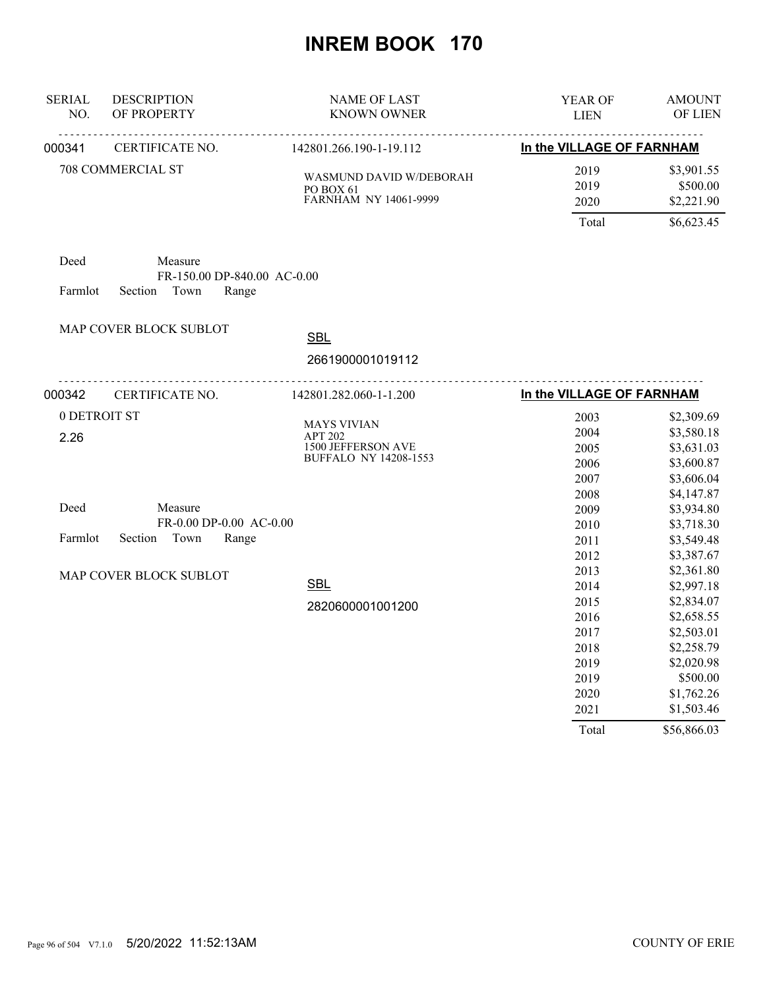| <b>SERIAL</b><br>NO.         | <b>DESCRIPTION</b><br>OF PROPERTY                   | <b>NAME OF LAST</b><br><b>KNOWN OWNER</b>                                                  | YEAR OF<br><b>LIEN</b>                               | <b>AMOUNT</b><br>OF LIEN                                                                       |
|------------------------------|-----------------------------------------------------|--------------------------------------------------------------------------------------------|------------------------------------------------------|------------------------------------------------------------------------------------------------|
| 000341                       | <u>.</u><br>CERTIFICATE NO.                         | 142801.266.190-1-19.112                                                                    | In the VILLAGE OF FARNHAM                            |                                                                                                |
|                              | 708 COMMERCIAL ST                                   | WASMUND DAVID W/DEBORAH<br>PO BOX 61<br>FARNHAM NY 14061-9999                              | 2019<br>2019<br>2020                                 | \$3,901.55<br>\$500.00<br>\$2,221.90                                                           |
| Deed                         | Measure<br>FR-150.00 DP-840.00 AC-0.00              |                                                                                            | Total                                                | \$6,623.45                                                                                     |
| Farmlot                      | Section<br>Town<br>Range<br>MAP COVER BLOCK SUBLOT  | <b>SBL</b><br>2661900001019112                                                             |                                                      |                                                                                                |
| 000342                       | CERTIFICATE NO.                                     | 142801.282.060-1-1.200                                                                     | In the VILLAGE OF FARNHAM                            |                                                                                                |
| 0 DETROIT ST<br>2.26<br>Deed | Measure                                             | <b>MAYS VIVIAN</b><br><b>APT 202</b><br>1500 JEFFERSON AVE<br><b>BUFFALO NY 14208-1553</b> | 2003<br>2004<br>2005<br>2006<br>2007<br>2008<br>2009 | \$2,309.69<br>\$3,580.18<br>\$3,631.03<br>\$3,600.87<br>\$3,606.04<br>\$4,147.87<br>\$3,934.80 |
| Farmlot                      | FR-0.00 DP-0.00 AC-0.00<br>Section<br>Town<br>Range |                                                                                            | 2010<br>2011<br>2012                                 | \$3,718.30<br>\$3,549.48<br>\$3,387.67                                                         |
|                              | MAP COVER BLOCK SUBLOT                              | <b>SBL</b><br>2820600001001200                                                             | 2013<br>2014<br>2015<br>2016<br>2017<br>2018<br>2019 | \$2,361.80<br>\$2,997.18<br>\$2,834.07<br>\$2,658.55<br>\$2,503.01<br>\$2,258.79<br>\$2,020.98 |
|                              |                                                     |                                                                                            | 2019<br>2020<br>2021<br>Total                        | \$500.00<br>\$1,762.26<br>\$1,503.46<br>\$56,866.03                                            |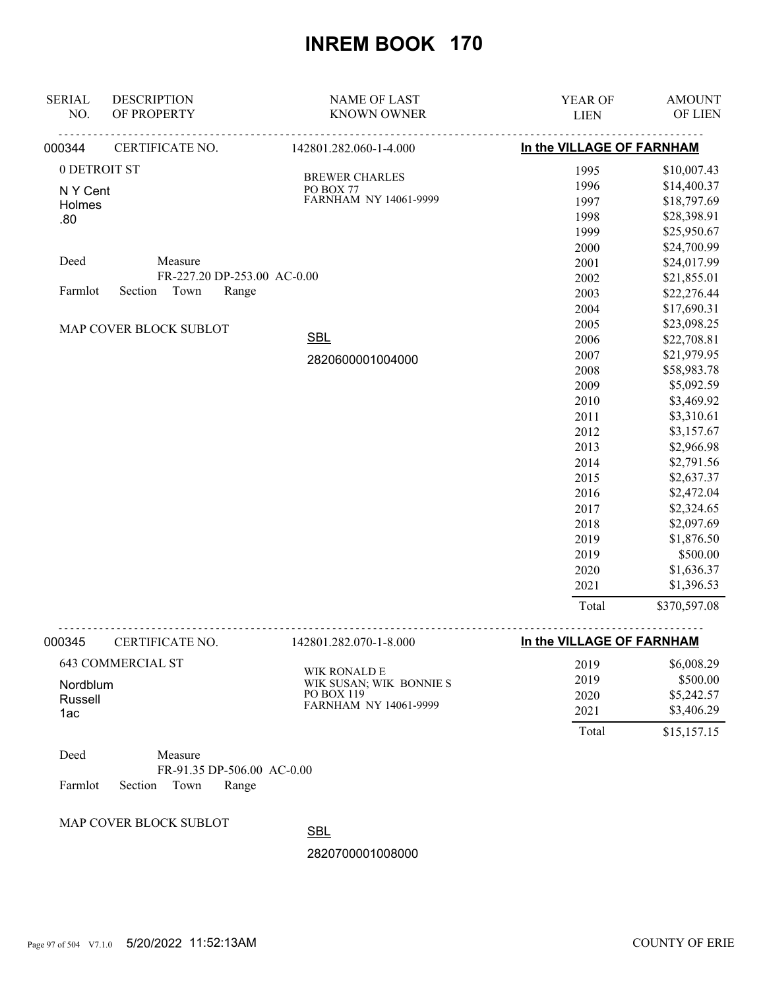| <b>SERIAL</b><br>NO. | <b>DESCRIPTION</b><br>OF PROPERTY                      | <b>NAME OF LAST</b><br><b>KNOWN OWNER</b> | YEAR OF<br><b>LIEN</b>    | <b>AMOUNT</b><br>OF LIEN |
|----------------------|--------------------------------------------------------|-------------------------------------------|---------------------------|--------------------------|
| 000344               | CERTIFICATE NO.                                        | 142801.282.060-1-4.000                    | In the VILLAGE OF FARNHAM |                          |
| 0 DETROIT ST         |                                                        |                                           | 1995                      | \$10,007.43              |
| N Y Cent             |                                                        | <b>BREWER CHARLES</b><br>PO BOX 77        | 1996                      | \$14,400.37              |
| Holmes               |                                                        | FARNHAM NY 14061-9999                     | 1997                      | \$18,797.69              |
| .80                  |                                                        |                                           | 1998                      | \$28,398.91              |
|                      |                                                        |                                           | 1999                      | \$25,950.67              |
|                      |                                                        |                                           | 2000                      | \$24,700.99              |
| Deed                 | Measure                                                |                                           | 2001                      | \$24,017.99              |
|                      | FR-227.20 DP-253.00 AC-0.00                            |                                           | 2002                      | \$21,855.01              |
| Farmlot              | Section<br>Town<br>Range                               |                                           | 2003                      | \$22,276.44              |
|                      |                                                        |                                           | 2004                      | \$17,690.31              |
|                      | MAP COVER BLOCK SUBLOT                                 |                                           | 2005                      | \$23,098.25              |
|                      |                                                        | <b>SBL</b>                                | 2006                      | \$22,708.81              |
|                      |                                                        | 2820600001004000                          | 2007                      | \$21,979.95              |
|                      |                                                        |                                           | 2008                      | \$58,983.78              |
|                      |                                                        |                                           | 2009                      | \$5,092.59               |
|                      |                                                        |                                           | 2010                      | \$3,469.92               |
|                      |                                                        |                                           | 2011                      | \$3,310.61               |
|                      |                                                        |                                           | 2012                      | \$3,157.67               |
|                      |                                                        |                                           | 2013                      | \$2,966.98               |
|                      |                                                        |                                           | 2014                      | \$2,791.56               |
|                      |                                                        |                                           | 2015                      | \$2,637.37               |
|                      |                                                        |                                           | 2016                      | \$2,472.04               |
|                      |                                                        |                                           | 2017                      | \$2,324.65               |
|                      |                                                        |                                           | 2018                      | \$2,097.69               |
|                      |                                                        |                                           | 2019                      | \$1,876.50               |
|                      |                                                        |                                           | 2019                      | \$500.00                 |
|                      |                                                        |                                           | 2020                      | \$1,636.37               |
|                      |                                                        |                                           | 2021                      | \$1,396.53               |
|                      |                                                        |                                           | Total                     | \$370,597.08             |
| 000345               | CERTIFICATE NO.                                        | 142801.282.070-1-8.000                    | In the VILLAGE OF FARNHAM |                          |
|                      | <b>643 COMMERCIAL ST</b>                               |                                           | 2019                      | \$6,008.29               |
| Nordblum             |                                                        | WIK RONALD E<br>WIK SUSAN; WIK BONNIE S   | 2019                      | \$500.00                 |
| Russell              |                                                        | PO BOX 119                                | 2020                      | \$5,242.57               |
| 1ac                  |                                                        | FARNHAM NY 14061-9999                     | 2021                      | \$3,406.29               |
|                      |                                                        |                                           | Total                     | \$15,157.15              |
| Deed                 | Measure                                                |                                           |                           |                          |
| Farmlot              | FR-91.35 DP-506.00 AC-0.00<br>Section<br>Town<br>Range |                                           |                           |                          |
|                      | MAP COVER BLOCK SUBLOT                                 | <b>SBL</b>                                |                           |                          |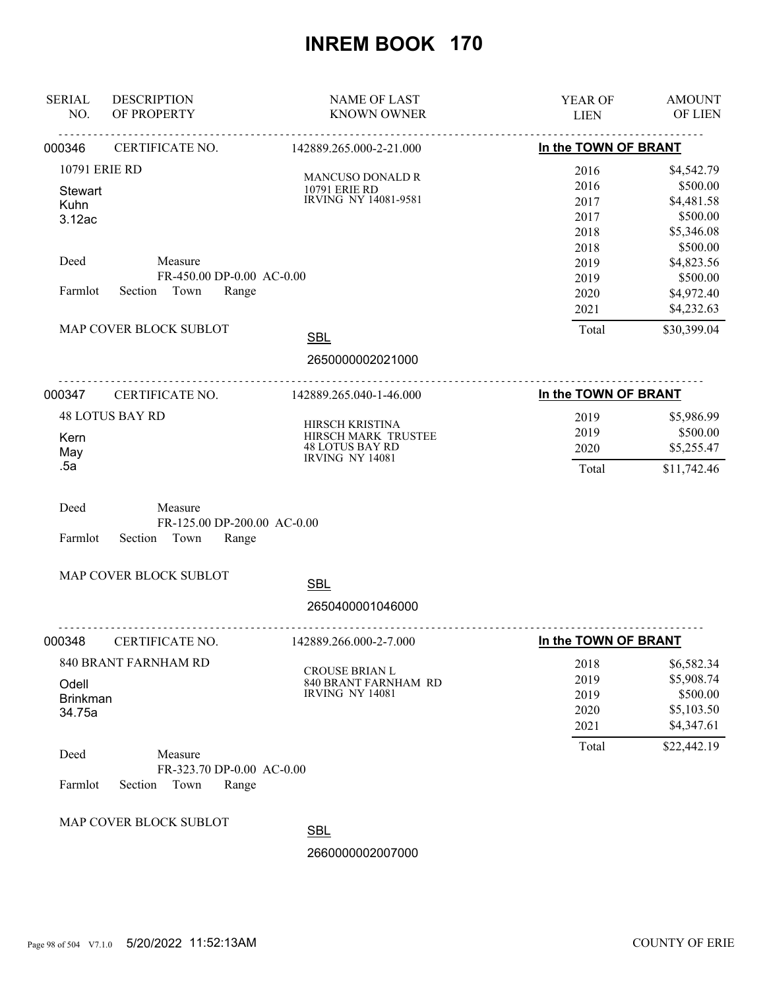| <b>SERIAL</b><br>NO.                       | <b>DESCRIPTION</b><br>OF PROPERTY                                                          | <b>NAME OF LAST</b><br><b>KNOWN OWNER</b>                                                  | YEAR OF<br><b>LIEN</b>                        | <b>AMOUNT</b><br>OF LIEN                                                        |
|--------------------------------------------|--------------------------------------------------------------------------------------------|--------------------------------------------------------------------------------------------|-----------------------------------------------|---------------------------------------------------------------------------------|
| 000346                                     | CERTIFICATE NO.                                                                            | 142889.265.000-2-21.000                                                                    | In the TOWN OF BRANT                          |                                                                                 |
| 10791 ERIE RD<br>Stewart<br>Kuhn<br>3.12ac |                                                                                            | MANCUSO DONALD R<br>10791 ERIE RD<br>IRVING NY 14081-9581                                  | 2016<br>2016<br>2017<br>2017<br>2018<br>2018  | \$4,542.79<br>\$500.00<br>\$4,481.58<br>\$500.00<br>\$5,346.08<br>\$500.00      |
| Deed<br>Farmlot                            | Measure<br>FR-450.00 DP-0.00 AC-0.00<br>Town<br>Section<br>Range<br>MAP COVER BLOCK SUBLOT | <b>SBL</b>                                                                                 | 2019<br>2019<br>2020<br>2021<br>Total         | \$4,823.56<br>\$500.00<br>\$4,972.40<br>\$4,232.63<br>\$30,399.04               |
|                                            |                                                                                            | 2650000002021000                                                                           |                                               |                                                                                 |
| 000347                                     | CERTIFICATE NO.                                                                            | 142889.265.040-1-46.000                                                                    | In the TOWN OF BRANT                          |                                                                                 |
| Kern<br>May<br>.5a                         | <b>48 LOTUS BAY RD</b>                                                                     | HIRSCH KRISTINA<br>HIRSCH MARK TRUSTEE<br><b>48 LOTUS BAY RD</b><br><b>IRVING NY 14081</b> | 2019<br>2019<br>2020<br>Total                 | \$5,986.99<br>\$500.00<br>\$5,255.47<br>\$11,742.46                             |
| Deed<br>Farmlot                            | Measure<br>FR-125.00 DP-200.00 AC-0.00<br>Section<br>Town<br>Range                         |                                                                                            |                                               |                                                                                 |
|                                            | MAP COVER BLOCK SUBLOT                                                                     | <b>SBL</b><br>2650400001046000                                                             |                                               |                                                                                 |
| 000348                                     | <u>.</u><br>CERTIFICATE NO.                                                                | <u>.</u><br>142889.266.000-2-7.000                                                         | In the TOWN OF BRANT                          |                                                                                 |
| Odell<br><b>Brinkman</b><br>34.75a         | 840 BRANT FARNHAM RD                                                                       | CROUSE BRIAN L<br>840 BRANT FARNHAM RD<br><b>IRVING NY 14081</b>                           | 2018<br>2019<br>2019<br>2020<br>2021<br>Total | \$6,582.34<br>\$5,908.74<br>\$500.00<br>\$5,103.50<br>\$4,347.61<br>\$22,442.19 |
| Deed<br>Farmlot                            | Measure<br>FR-323.70 DP-0.00 AC-0.00<br>Section<br>Town<br>Range                           |                                                                                            |                                               |                                                                                 |
|                                            | MAP COVER BLOCK SUBLOT                                                                     | <b>SBL</b><br>2660000002007000                                                             |                                               |                                                                                 |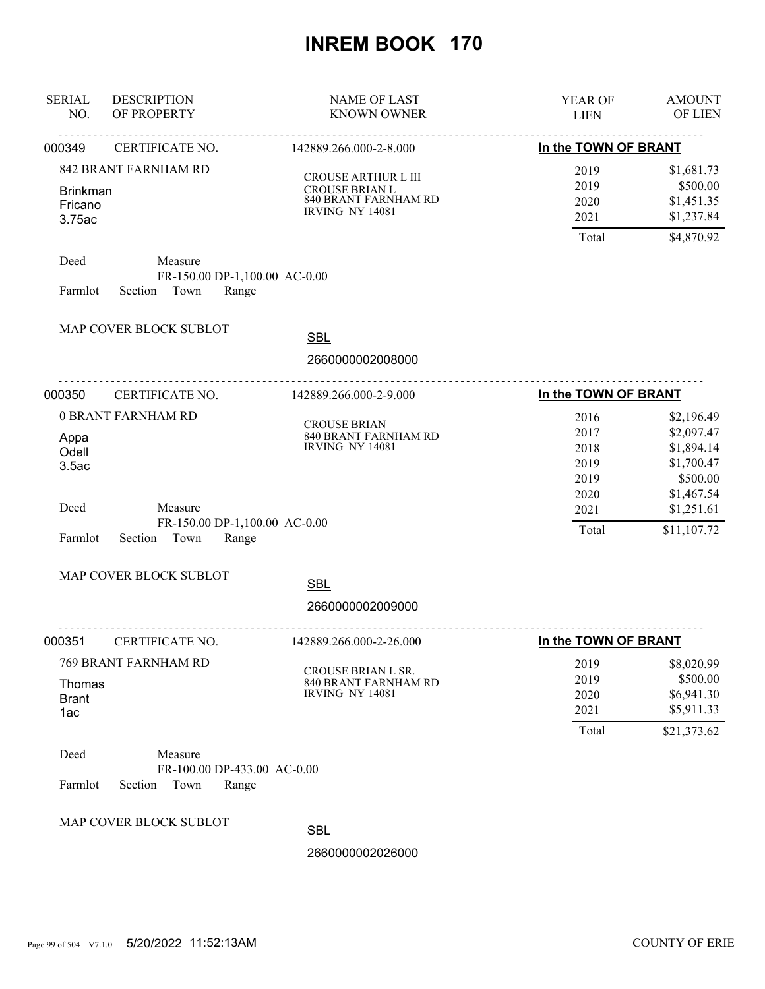| <b>SERIAL</b><br>NO.                 | <b>DESCRIPTION</b><br>OF PROPERTY                                    | <b>NAME OF LAST</b><br><b>KNOWN OWNER</b>                                                      | YEAR OF<br><b>LIEN</b>                       | <b>AMOUNT</b><br>OF LIEN                                                       |
|--------------------------------------|----------------------------------------------------------------------|------------------------------------------------------------------------------------------------|----------------------------------------------|--------------------------------------------------------------------------------|
| 000349                               | <u>.</u><br>CERTIFICATE NO.                                          | <u>.</u><br>142889.266.000-2-8.000                                                             | In the TOWN OF BRANT                         |                                                                                |
| <b>Brinkman</b><br>Fricano<br>3.75ac | 842 BRANT FARNHAM RD                                                 | CROUSE ARTHUR L III<br><b>CROUSE BRIAN L</b><br>840 BRANT FARNHAM RD<br><b>IRVING NY 14081</b> | 2019<br>2019<br>2020<br>2021<br>Total        | \$1,681.73<br>\$500.00<br>\$1,451.35<br>\$1,237.84<br>\$4,870.92               |
| Deed<br>Farmlot                      | Measure<br>FR-150.00 DP-1,100.00 AC-0.00<br>Section Town<br>Range    |                                                                                                |                                              |                                                                                |
|                                      | MAP COVER BLOCK SUBLOT                                               | <b>SBL</b>                                                                                     |                                              |                                                                                |
|                                      |                                                                      | 2660000002008000                                                                               |                                              |                                                                                |
| 000350                               | CERTIFICATE NO.                                                      | 142889.266.000-2-9.000                                                                         | In the TOWN OF BRANT                         |                                                                                |
| Appa<br>Odell<br>3.5ac               | 0 BRANT FARNHAM RD                                                   | <b>CROUSE BRIAN</b><br>840 BRANT FARNHAM RD<br><b>IRVING NY 14081</b>                          | 2016<br>2017<br>2018<br>2019<br>2019<br>2020 | \$2,196.49<br>\$2,097.47<br>\$1,894.14<br>\$1,700.47<br>\$500.00<br>\$1,467.54 |
| Deed<br>Farmlot                      | Measure<br>FR-150.00 DP-1,100.00 AC-0.00<br>Section<br>Town<br>Range |                                                                                                | 2021<br>Total                                | \$1,251.61<br>\$11,107.72                                                      |
|                                      | MAP COVER BLOCK SUBLOT                                               | <b>SBL</b><br>2660000002009000                                                                 |                                              |                                                                                |
| 000351                               | CERTIFICATE NO.                                                      | .<br>142889.266.000-2-26.000                                                                   | In the TOWN OF BRANT                         |                                                                                |
| Thomas<br><b>Brant</b><br>1ac        | 769 BRANT FARNHAM RD                                                 | CROUSE BRIAN L SR.<br>840 BRANT FARNHAM RD<br><b>IRVING NY 14081</b>                           | 2019<br>2019<br>2020<br>2021<br>Total        | \$8,020.99<br>\$500.00<br>\$6,941.30<br>\$5,911.33<br>\$21,373.62              |
| Deed<br>Farmlot                      | Measure<br>FR-100.00 DP-433.00 AC-0.00<br>Section<br>Town<br>Range   |                                                                                                |                                              |                                                                                |
|                                      | MAP COVER BLOCK SUBLOT                                               | <b>SBL</b><br>2660000002026000                                                                 |                                              |                                                                                |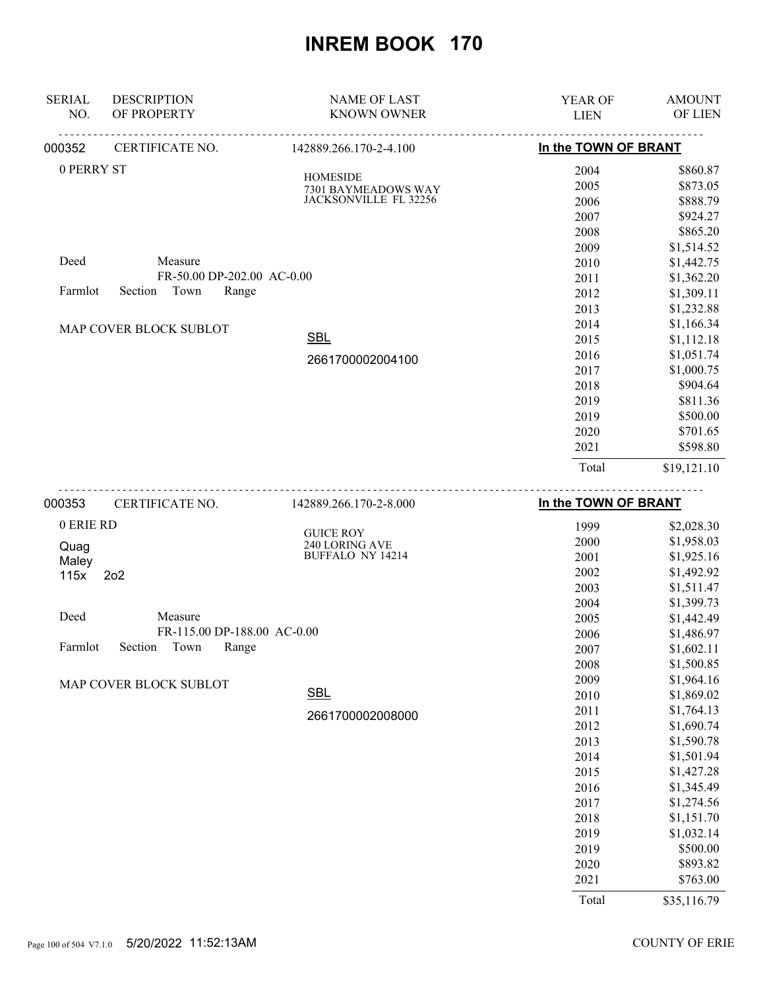| <b>SERIAL</b> | <b>DESCRIPTION</b>          | <b>NAME OF LAST</b>                    | <b>YEAR OF</b>       | <b>AMOUNT</b> |
|---------------|-----------------------------|----------------------------------------|----------------------|---------------|
| NO.           | OF PROPERTY                 | <b>KNOWN OWNER</b>                     | <b>LIEN</b>          | OF LIEN       |
| 000352        | <u>.</u><br>CERTIFICATE NO. | 142889.266.170-2-4.100                 | In the TOWN OF BRANT |               |
| 0 PERRY ST    |                             |                                        | 2004                 | \$860.87      |
|               |                             | <b>HOMESIDE</b><br>7301 BAYMEADOWS WAY | 2005                 | \$873.05      |
|               |                             | JACKSONVILLE FL 32256                  | 2006                 | \$888.79      |
|               |                             |                                        | 2007                 | \$924.27      |
|               |                             |                                        | 2008                 | \$865.20      |
|               |                             |                                        | 2009                 | \$1,514.52    |
| Deed          | Measure                     |                                        | 2010                 | \$1,442.75    |
|               | FR-50.00 DP-202.00 AC-0.00  |                                        | 2011                 | \$1,362.20    |
| Farmlot       | Town<br>Range<br>Section    |                                        | 2012                 | \$1,309.11    |
|               |                             |                                        | 2013                 | \$1,232.88    |
|               | MAP COVER BLOCK SUBLOT      |                                        | 2014                 | \$1,166.34    |
|               |                             | <b>SBL</b>                             | 2015                 | \$1,112.18    |
|               |                             | 2661700002004100                       | 2016                 | \$1,051.74    |
|               |                             |                                        | 2017                 | \$1,000.75    |
|               |                             |                                        | 2018                 | \$904.64      |
|               |                             |                                        | 2019                 | \$811.36      |
|               |                             |                                        | 2019                 | \$500.00      |
|               |                             |                                        | 2020                 | \$701.65      |
|               |                             |                                        | 2021                 | \$598.80      |
|               |                             |                                        | Total                | \$19,121.10   |
| 000353        | CERTIFICATE NO.             | 142889.266.170-2-8.000                 | In the TOWN OF BRANT |               |
| 0 ERIE RD     |                             |                                        | 1999                 | \$2,028.30    |
| <b>Ougo</b>   |                             | <b>GUICE ROY</b><br>240 LORING AVE     | 2000                 | \$1,958.03    |

| Quag<br>Maley                                  | 240 LORING AVE<br><b>BUFFALO NY 14214</b> |
|------------------------------------------------|-------------------------------------------|
| 115x 2o2                                       |                                           |
| Deed<br>Measure<br>FR-115.00 DP-188.00 AC-0.00 |                                           |
| Section Town<br>Farmlot                        | Range                                     |
| MAP COVER BLOCK SUBLOT                         | <b>SBL</b>                                |
|                                                | 2661700002008000                          |

| 2005 | \$1,442.49 |
|------|------------|
| 2006 | \$1,486.97 |
| 2007 | \$1,602.11 |
| 2008 | \$1,500.85 |
| 2009 | \$1,964.16 |
| 2010 | \$1,869.02 |
| 2011 | \$1,764.13 |
| 2012 | \$1,690.74 |
| 2013 | \$1,590.78 |
| 2014 | \$1,501.94 |
| 2015 | \$1,427.28 |
| 2016 | \$1,345.49 |
| 2017 | \$1,274.56 |
| 2018 | \$1,151.70 |
| 2019 | \$1,032.14 |
| 2019 | \$500.00   |
| 2020 | \$893.82   |
| 2021 | \$763.00   |

 2001 \$1,925.16 2002 \$1,492.92 2003 \$1,511.47

Total \$35,116.79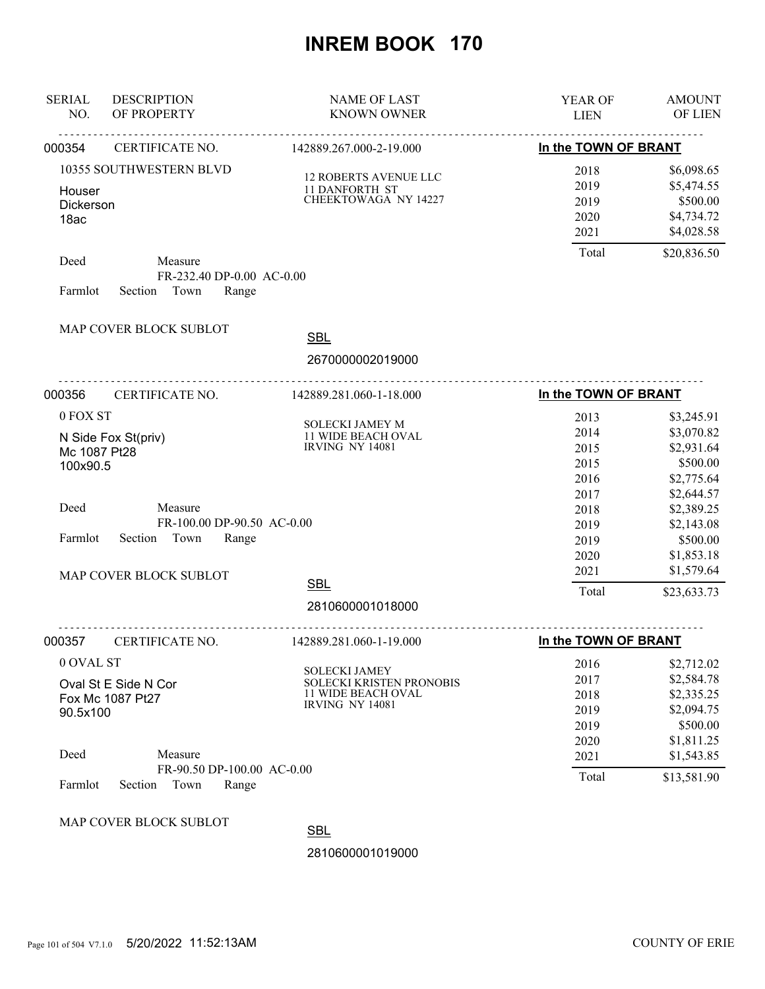| <b>SERIAL</b><br>NO.                         | <b>DESCRIPTION</b><br>OF PROPERTY                                 | <b>NAME OF LAST</b><br><b>KNOWN OWNER</b>                                                               | YEAR OF<br><b>LIEN</b>                               | <b>AMOUNT</b><br>OF LIEN                                                                     |
|----------------------------------------------|-------------------------------------------------------------------|---------------------------------------------------------------------------------------------------------|------------------------------------------------------|----------------------------------------------------------------------------------------------|
| 000354                                       | <u>.</u><br><u>.</u><br>CERTIFICATE NO.                           | <u>.</u><br>142889.267.000-2-19.000                                                                     | In the TOWN OF BRANT                                 |                                                                                              |
| Houser<br>Dickerson<br>18ac                  | 10355 SOUTHWESTERN BLVD                                           | <b>12 ROBERTS AVENUE LLC</b><br><b>11 DANFORTH ST</b><br>CHEEKTOWAGA NY 14227                           | 2018<br>2019<br>2019<br>2020<br>2021                 | \$6,098.65<br>\$5,474.55<br>\$500.00<br>\$4,734.72<br>\$4,028.58                             |
| Deed<br>Farmlot                              | Measure<br>FR-232.40 DP-0.00 AC-0.00<br>Town<br>Section<br>Range  |                                                                                                         | Total                                                | \$20,836.50                                                                                  |
|                                              | MAP COVER BLOCK SUBLOT                                            | <b>SBL</b><br>2670000002019000                                                                          |                                                      |                                                                                              |
| 000356                                       | CERTIFICATE NO.                                                   | 142889.281.060-1-18.000                                                                                 | In the TOWN OF BRANT                                 |                                                                                              |
| 0 FOX ST<br>Mc 1087 Pt28<br>100x90.5<br>Deed | N Side Fox St(priv)<br>Measure                                    | SOLECKI JAMEY M<br>11 WIDE BEACH OVAL<br><b>IRVING NY 14081</b>                                         | 2013<br>2014<br>2015<br>2015<br>2016<br>2017<br>2018 | \$3,245.91<br>\$3,070.82<br>\$2,931.64<br>\$500.00<br>\$2,775.64<br>\$2,644.57<br>\$2,389.25 |
| Farmlot                                      | FR-100.00 DP-90.50 AC-0.00<br>Section<br>Town<br>Range            |                                                                                                         | 2019<br>2019<br>2020<br>2021                         | \$2,143.08<br>\$500.00<br>\$1,853.18<br>\$1,579.64                                           |
|                                              | MAP COVER BLOCK SUBLOT                                            | <b>SBL</b><br>2810600001018000                                                                          | Total                                                | \$23,633.73                                                                                  |
| 000357                                       | CERTIFICATE NO.                                                   | 142889.281.060-1-19.000                                                                                 | In the TOWN OF BRANT                                 |                                                                                              |
| 0 OVAL ST<br>90.5x100                        | Oval St E Side N Cor<br>Fox Mc 1087 Pt27                          | <b>SOLECKI JAMEY</b><br>SOLECKI KRISTEN PRONOBIS<br><b>11 WIDE BEACH OVAL</b><br><b>IRVING NY 14081</b> | 2016<br>2017<br>2018<br>2019<br>2019<br>2020         | \$2,712.02<br>\$2,584.78<br>\$2,335.25<br>\$2,094.75<br>\$500.00<br>\$1,811.25               |
| Deed<br>Farmlot                              | Measure<br>FR-90.50 DP-100.00 AC-0.00<br>Town<br>Section<br>Range |                                                                                                         | 2021<br>Total                                        | \$1,543.85<br>\$13,581.90                                                                    |
|                                              | MAP COVER BLOCK SUBLOT                                            | <b>SBL</b>                                                                                              |                                                      |                                                                                              |
|                                              |                                                                   | 2810600001019000                                                                                        |                                                      |                                                                                              |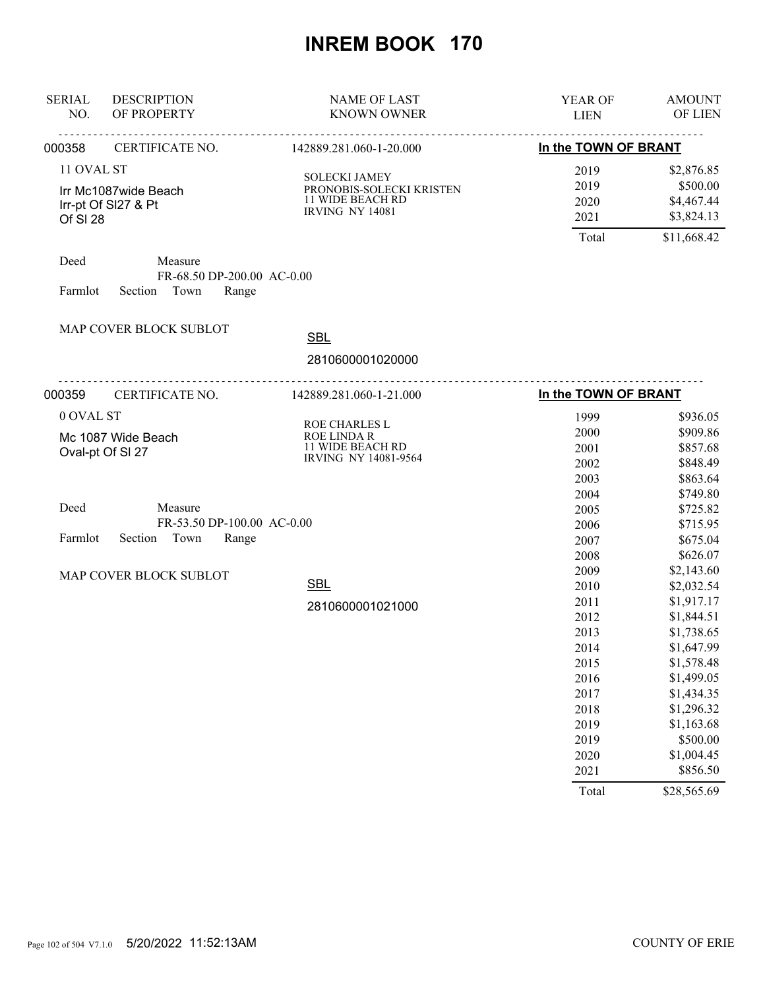| <b>SERIAL</b><br>NO.   | <b>DESCRIPTION</b><br>OF PROPERTY                                 | <b>NAME OF LAST</b><br><b>KNOWN OWNER</b>                                                      | YEAR OF<br><b>LIEN</b>       | <b>AMOUNT</b><br>OF LIEN                           |
|------------------------|-------------------------------------------------------------------|------------------------------------------------------------------------------------------------|------------------------------|----------------------------------------------------|
| 000358                 | CERTIFICATE NO.                                                   | 142889.281.060-1-20.000                                                                        | In the TOWN OF BRANT         |                                                    |
| 11 OVAL ST<br>Of SI 28 | Irr Mc1087wide Beach<br>Irr-pt Of SI27 & Pt                       | <b>SOLECKI JAMEY</b><br>PRONOBIS-SOLECKI KRISTEN<br>11 WIDE BEACH RD<br><b>IRVING NY 14081</b> | 2019<br>2019<br>2020<br>2021 | \$2,876.85<br>\$500.00<br>\$4,467.44<br>\$3,824.13 |
|                        |                                                                   |                                                                                                | Total                        | \$11,668.42                                        |
| Deed<br>Farmlot        | Measure<br>FR-68.50 DP-200.00 AC-0.00<br>Section<br>Town<br>Range |                                                                                                |                              |                                                    |
|                        | MAP COVER BLOCK SUBLOT                                            | <b>SBL</b>                                                                                     |                              |                                                    |
|                        |                                                                   | 2810600001020000                                                                               |                              |                                                    |
| 000359                 | <u>.</u><br>CERTIFICATE NO.                                       | 142889.281.060-1-21.000                                                                        | In the TOWN OF BRANT         |                                                    |
| 0 OVAL ST              |                                                                   |                                                                                                | 1999                         | \$936.05                                           |
|                        | Mc 1087 Wide Beach                                                | ROE CHARLES L<br><b>ROE LINDA R</b>                                                            | 2000                         | \$909.86                                           |
|                        | Oval-pt Of SI 27                                                  | 11 WIDE BEACH RD                                                                               | 2001                         | \$857.68                                           |
|                        |                                                                   | IRVING NY 14081-9564                                                                           | 2002                         | \$848.49                                           |
|                        |                                                                   |                                                                                                | 2003                         | \$863.64                                           |
|                        |                                                                   |                                                                                                | 2004                         | \$749.80                                           |
| Deed                   | Measure                                                           |                                                                                                | 2005                         | \$725.82                                           |
|                        | FR-53.50 DP-100.00 AC-0.00                                        |                                                                                                | 2006                         | \$715.95                                           |
| Farmlot                | Section<br>Town<br>Range                                          |                                                                                                | 2007                         | \$675.04                                           |
|                        |                                                                   |                                                                                                | 2008                         | \$626.07                                           |
|                        | MAP COVER BLOCK SUBLOT                                            |                                                                                                | 2009                         | \$2,143.60                                         |
|                        |                                                                   | <b>SBL</b>                                                                                     | 2010                         | \$2,032.54                                         |
|                        |                                                                   | 2810600001021000                                                                               | 2011                         | \$1,917.17                                         |
|                        |                                                                   |                                                                                                | 2012                         | \$1,844.51                                         |
|                        |                                                                   |                                                                                                | 2013                         | \$1,738.65                                         |
|                        |                                                                   |                                                                                                | 2014                         | \$1,647.99                                         |
|                        |                                                                   |                                                                                                | 2015                         | \$1,578.48                                         |
|                        |                                                                   |                                                                                                | 2016                         | \$1,499.05                                         |
|                        |                                                                   |                                                                                                | 2017                         | \$1,434.35                                         |
|                        |                                                                   |                                                                                                | 2018                         | \$1,296.32                                         |
|                        |                                                                   |                                                                                                | 2019                         | \$1,163.68                                         |
|                        |                                                                   |                                                                                                | 2019                         | \$500.00                                           |
|                        |                                                                   |                                                                                                | 2020                         | \$1,004.45                                         |
|                        |                                                                   |                                                                                                | 2021                         | \$856.50                                           |
|                        |                                                                   |                                                                                                | Total                        | \$28,565.69                                        |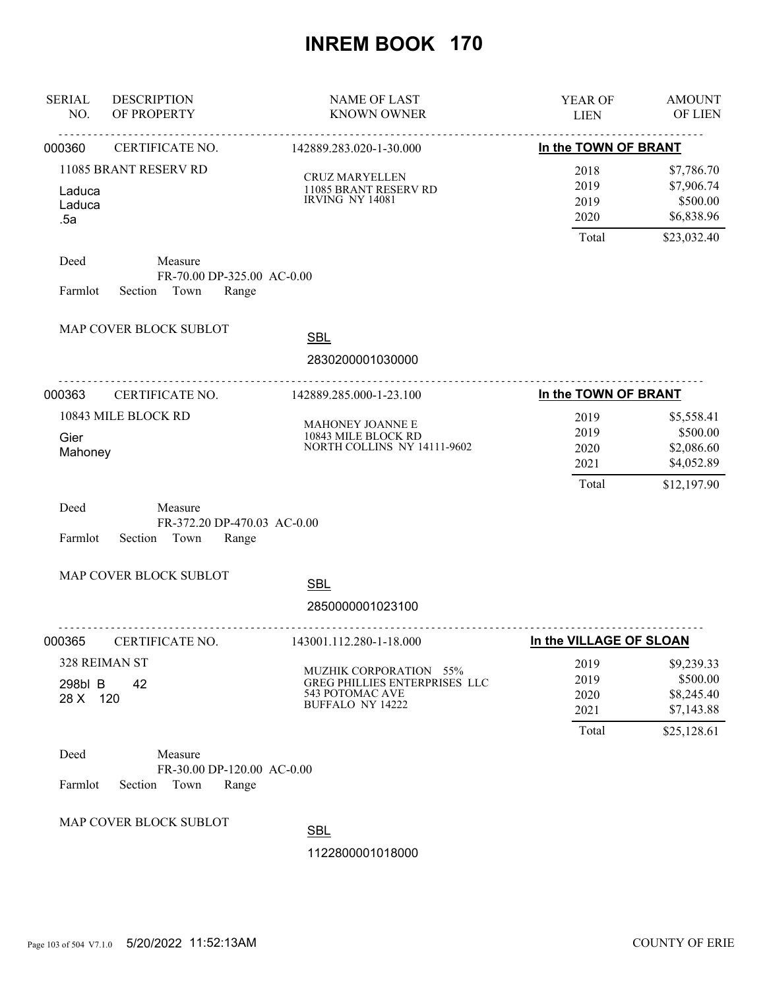| <b>SERIAL</b><br>NO.    | <b>DESCRIPTION</b><br>OF PROPERTY                                  | <b>NAME OF LAST</b><br><b>KNOWN OWNER</b>                                                                    | YEAR OF<br><b>LIEN</b>                | <b>AMOUNT</b><br>OF LIEN                                          |
|-------------------------|--------------------------------------------------------------------|--------------------------------------------------------------------------------------------------------------|---------------------------------------|-------------------------------------------------------------------|
| 000360                  | CERTIFICATE NO.                                                    | 142889.283.020-1-30.000                                                                                      | In the TOWN OF BRANT                  |                                                                   |
| Laduca<br>Laduca<br>.5a | 11085 BRANT RESERV RD                                              | <b>CRUZ MARYELLEN</b><br>11085 BRANT RESERV RD<br><b>IRVING NY 14081</b>                                     | 2018<br>2019<br>2019<br>2020          | \$7,786.70<br>\$7,906.74<br>\$500.00<br>\$6,838.96                |
| Deed<br>Farmlot         | Measure<br>FR-70.00 DP-325.00 AC-0.00<br>Section Town<br>Range     |                                                                                                              | Total                                 | \$23,032.40                                                       |
|                         | MAP COVER BLOCK SUBLOT                                             | <b>SBL</b><br>2830200001030000                                                                               |                                       |                                                                   |
| 000363                  | <u>.</u><br>CERTIFICATE NO.                                        | <u>.</u><br>142889.285.000-1-23.100                                                                          | In the TOWN OF BRANT                  |                                                                   |
| Gier<br>Mahoney         | 10843 MILE BLOCK RD                                                | MAHONEY JOANNE E<br>10843 MILE BLOCK RD<br>NORTH COLLINS NY 14111-9602                                       | 2019<br>2019<br>2020<br>2021<br>Total | \$5,558.41<br>\$500.00<br>\$2,086.60<br>\$4,052.89<br>\$12,197.90 |
| Deed<br>Farmlot         | Measure<br>FR-372.20 DP-470.03 AC-0.00<br>Section<br>Town<br>Range |                                                                                                              |                                       |                                                                   |
|                         | MAP COVER BLOCK SUBLOT                                             | <b>SBL</b>                                                                                                   |                                       |                                                                   |
|                         |                                                                    | 2850000001023100                                                                                             |                                       |                                                                   |
| 000365                  | CERTIFICATE NO.                                                    | <u>.</u><br>143001.112.280-1-18.000                                                                          | In the VILLAGE OF SLOAN               |                                                                   |
| 298bl B<br>28 X 120     | 328 REIMAN ST<br>42                                                | MUZHIK CORPORATION 55%<br><b>GREG PHILLIES ENTERPRISES LLC</b><br>543 POTOMAC AVE<br><b>BUFFALO NY 14222</b> | 2019<br>2019<br>2020<br>2021<br>Total | \$9,239.33<br>\$500.00<br>\$8,245.40<br>\$7,143.88<br>\$25,128.61 |
| Deed<br>Farmlot         | Measure<br>FR-30.00 DP-120.00 AC-0.00<br>Section<br>Town<br>Range  |                                                                                                              |                                       |                                                                   |
|                         | MAP COVER BLOCK SUBLOT                                             | <b>SBL</b>                                                                                                   |                                       |                                                                   |
|                         |                                                                    | 1122800001018000                                                                                             |                                       |                                                                   |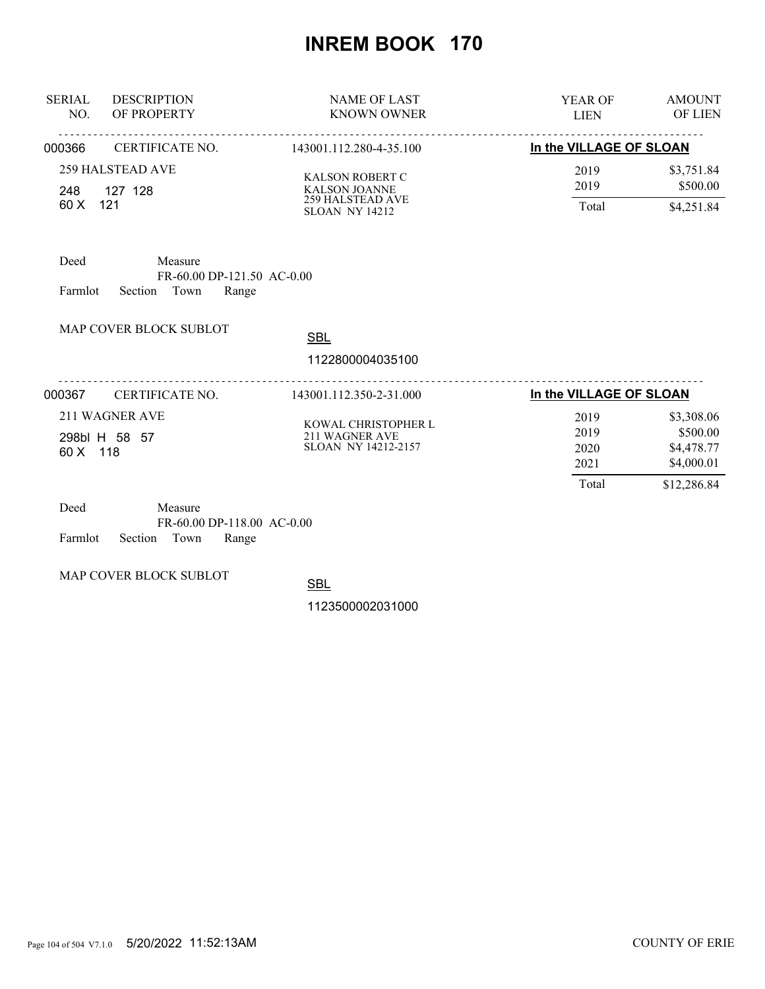| <b>SERIAL</b><br>NO.                        | <b>DESCRIPTION</b><br>OF PROPERTY                                 | <b>NAME OF LAST</b><br><b>KNOWN OWNER</b>                                                          | <b>YEAR OF</b><br><b>LIEN</b> | <b>AMOUNT</b><br><b>OF LIEN</b>                    |
|---------------------------------------------|-------------------------------------------------------------------|----------------------------------------------------------------------------------------------------|-------------------------------|----------------------------------------------------|
| 000366                                      | CERTIFICATE NO.                                                   | 143001.112.280-4-35.100                                                                            | In the VILLAGE OF SLOAN       |                                                    |
| 248<br>121<br>60 X                          | <b>259 HALSTEAD AVE</b><br>127 128                                | <b>KALSON ROBERT C</b><br><b>KALSON JOANNE</b><br><b>259 HALSTEAD AVE</b><br><b>SLOAN NY 14212</b> | 2019<br>2019<br>Total         | \$3,751.84<br>\$500.00<br>\$4,251.84               |
| Deed<br>Farmlot                             | Measure<br>FR-60.00 DP-121.50 AC-0.00<br>Town<br>Section<br>Range |                                                                                                    |                               |                                                    |
|                                             | MAP COVER BLOCK SUBLOT                                            | <b>SBL</b>                                                                                         |                               |                                                    |
|                                             |                                                                   | 1122800004035100                                                                                   |                               |                                                    |
| 000367                                      | CERTIFICATE NO.                                                   | 143001.112.350-2-31.000                                                                            | In the VILLAGE OF SLOAN       |                                                    |
| 211 WAGNER AVE<br>298bl H 58 57<br>60 X 118 |                                                                   | KOWAL CHRISTOPHER L<br>211 WAGNER AVE<br><b>SLOAN NY 14212-2157</b>                                | 2019<br>2019<br>2020<br>2021  | \$3,308.06<br>\$500.00<br>\$4,478.77<br>\$4,000.01 |
| Deed                                        | Measure                                                           |                                                                                                    | Total                         | \$12,286.84                                        |

| Deed |                            | Measure |                              |  |
|------|----------------------------|---------|------------------------------|--|
|      |                            |         | $FR-60.00$ DP-118.00 AC-0.00 |  |
|      | Farmlot Section Town Range |         |                              |  |

MAP COVER BLOCK SUBLOT

**SBL**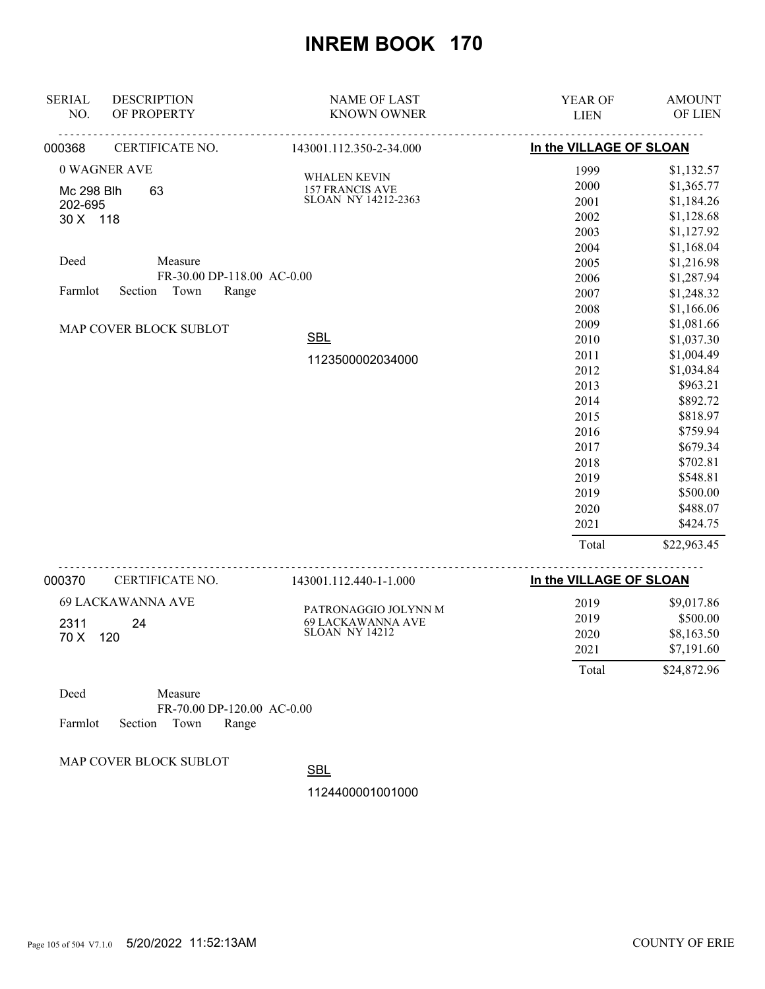| <b>SERIAL</b><br><b>DESCRIPTION</b> | <b>NAME OF LAST</b>                        | YEAR OF                 | <b>AMOUNT</b> |
|-------------------------------------|--------------------------------------------|-------------------------|---------------|
| NO.<br>OF PROPERTY                  | <b>KNOWN OWNER</b>                         | <b>LIEN</b>             | OF LIEN       |
| 000368<br>CERTIFICATE NO.           | 143001.112.350-2-34.000                    | In the VILLAGE OF SLOAN |               |
| 0 WAGNER AVE                        | WHALEN KEVIN                               | 1999                    | \$1,132.57    |
| 63<br>Mc 298 Blh                    | 157 FRANCIS AVE                            | 2000                    | \$1,365.77    |
| 202-695                             | <b>SLOAN NY 14212-2363</b>                 | 2001                    | \$1,184.26    |
| 30 X 118                            |                                            | 2002                    | \$1,128.68    |
|                                     |                                            | 2003                    | \$1,127.92    |
|                                     |                                            | 2004                    | \$1,168.04    |
| Deed<br>Measure                     |                                            | 2005                    | \$1,216.98    |
| FR-30.00 DP-118.00 AC-0.00          |                                            | 2006                    | \$1,287.94    |
| Section<br>Town<br>Range<br>Farmlot |                                            | 2007                    | \$1,248.32    |
|                                     |                                            | 2008                    | \$1,166.06    |
| MAP COVER BLOCK SUBLOT              |                                            | 2009                    | \$1,081.66    |
|                                     | <b>SBL</b>                                 | 2010                    | \$1,037.30    |
|                                     | 1123500002034000                           | 2011                    | \$1,004.49    |
|                                     |                                            | 2012                    | \$1,034.84    |
|                                     |                                            | 2013                    | \$963.21      |
|                                     |                                            | 2014                    | \$892.72      |
|                                     |                                            | 2015                    | \$818.97      |
|                                     |                                            | 2016                    | \$759.94      |
|                                     |                                            | 2017                    | \$679.34      |
|                                     |                                            | 2018                    | \$702.81      |
|                                     |                                            | 2019                    | \$548.81      |
|                                     |                                            | 2019                    | \$500.00      |
|                                     |                                            | 2020                    | \$488.07      |
|                                     |                                            | 2021                    | \$424.75      |
|                                     |                                            | Total                   | \$22,963.45   |
| 000370<br>CERTIFICATE NO.           | <u>.</u><br>143001.112.440-1-1.000         | In the VILLAGE OF SLOAN |               |
| <b>69 LACKAWANNA AVE</b>            |                                            | 2019                    | \$9,017.86    |
|                                     | PATRONAGGIO JOLYNN M                       | 2019                    | \$500.00      |
| 2311<br>24<br>70 X<br>120           | 69 LACKAWANNA AVE<br><b>SLOAN NY 14212</b> | 2020                    | \$8,163.50    |
|                                     |                                            | 2021                    | \$7,191.60    |
|                                     |                                            | Total                   | \$24,872.96   |
|                                     |                                            |                         |               |

| Deed |                            | Measure |                              |  |
|------|----------------------------|---------|------------------------------|--|
|      |                            |         | $FR-70.00$ DP-120.00 AC-0.00 |  |
|      | Farmlot Section Town Range |         |                              |  |

MAP COVER BLOCK SUBLOT

**SBL**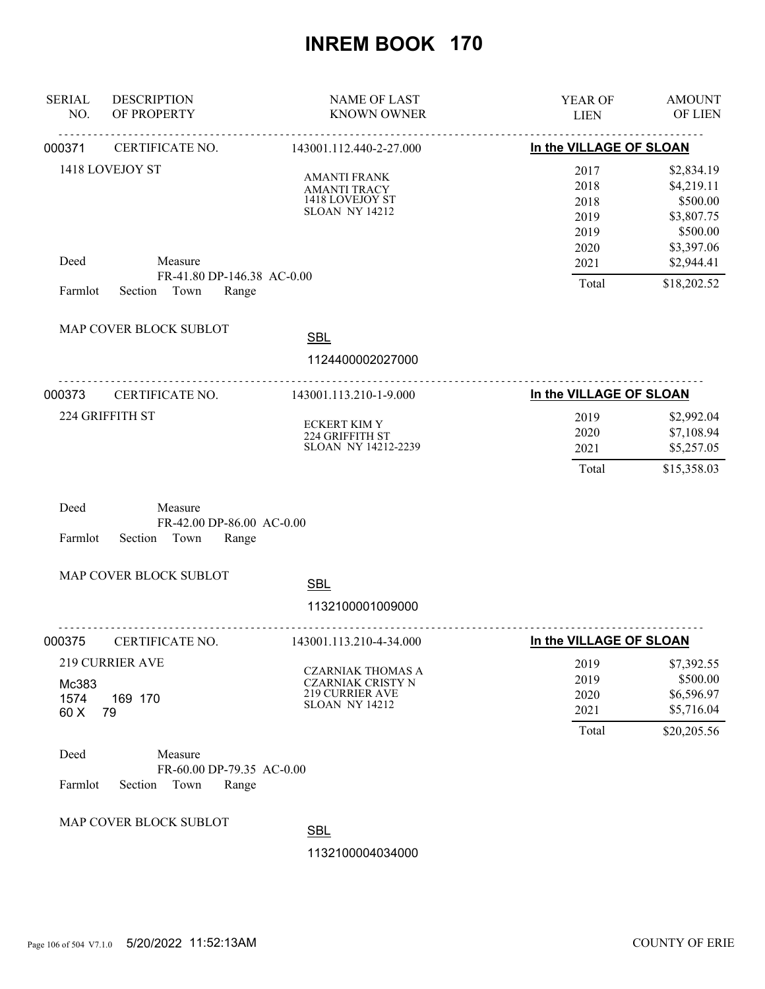| <b>SERIAL</b><br>NO.  | <b>DESCRIPTION</b><br>OF PROPERTY                                | <b>NAME OF LAST</b><br><b>KNOWN OWNER</b>                                                               | YEAR OF<br><b>LIEN</b>                       | <b>AMOUNT</b><br>OF LIEN                                                     |
|-----------------------|------------------------------------------------------------------|---------------------------------------------------------------------------------------------------------|----------------------------------------------|------------------------------------------------------------------------------|
| 000371                | <u>.</u><br>CERTIFICATE NO.                                      | 143001.112.440-2-27.000                                                                                 | <u>.</u><br>In the VILLAGE OF SLOAN          |                                                                              |
|                       | 1418 LOVEJOY ST                                                  | <b>AMANTI FRANK</b><br><b>AMANTI TRACY</b><br>1418 LOVEJOY ST<br><b>SLOAN NY 14212</b>                  | 2017<br>2018<br>2018<br>2019<br>2019<br>2020 | \$2,834.19<br>\$4,219.11<br>\$500.00<br>\$3,807.75<br>\$500.00<br>\$3,397.06 |
| Deed                  | Measure<br>FR-41.80 DP-146.38 AC-0.00                            |                                                                                                         | 2021                                         | \$2,944.41                                                                   |
| Farmlot               | Section<br>Town<br>Range                                         |                                                                                                         | Total                                        | \$18,202.52                                                                  |
|                       | MAP COVER BLOCK SUBLOT                                           | <b>SBL</b><br>1124400002027000                                                                          |                                              |                                                                              |
| 000373                | <u>.</u><br>CERTIFICATE NO.                                      | <u>.</u><br>143001.113.210-1-9.000                                                                      | In the VILLAGE OF SLOAN                      |                                                                              |
|                       | 224 GRIFFITH ST                                                  | <b>ECKERT KIM Y</b><br>224 GRIFFITH ST<br>SLOAN NY 14212-2239                                           | 2019<br>2020<br>2021<br>Total                | \$2,992.04<br>\$7,108.94<br>\$5,257.05<br>\$15,358.03                        |
| Deed<br>Farmlot       | Measure<br>FR-42.00 DP-86.00 AC-0.00<br>Section<br>Town<br>Range |                                                                                                         |                                              |                                                                              |
|                       | MAP COVER BLOCK SUBLOT                                           | <b>SBL</b>                                                                                              |                                              |                                                                              |
|                       |                                                                  | 1132100001009000                                                                                        |                                              |                                                                              |
| 000375                | -------------------------------------<br>CERTIFICATE NO.         | 143001.113.210-4-34.000                                                                                 | In the VILLAGE OF SLOAN                      |                                                                              |
| Mc383<br>1574<br>60 X | 219 CURRIER AVE<br>169 170<br>79                                 | <b>CZARNIAK THOMAS A</b><br><b>CZARNIAK CRISTY N</b><br><b>219 CURRIER AVE</b><br><b>SLOAN NY 14212</b> | 2019<br>2019<br>2020<br>2021<br>Total        | \$7,392.55<br>\$500.00<br>\$6,596.97<br>\$5,716.04<br>\$20,205.56            |
| Deed<br>Farmlot       | Measure<br>FR-60.00 DP-79.35 AC-0.00<br>Section<br>Town<br>Range |                                                                                                         |                                              |                                                                              |
|                       | MAP COVER BLOCK SUBLOT                                           | <b>SBL</b>                                                                                              |                                              |                                                                              |
|                       |                                                                  | 1132100004034000                                                                                        |                                              |                                                                              |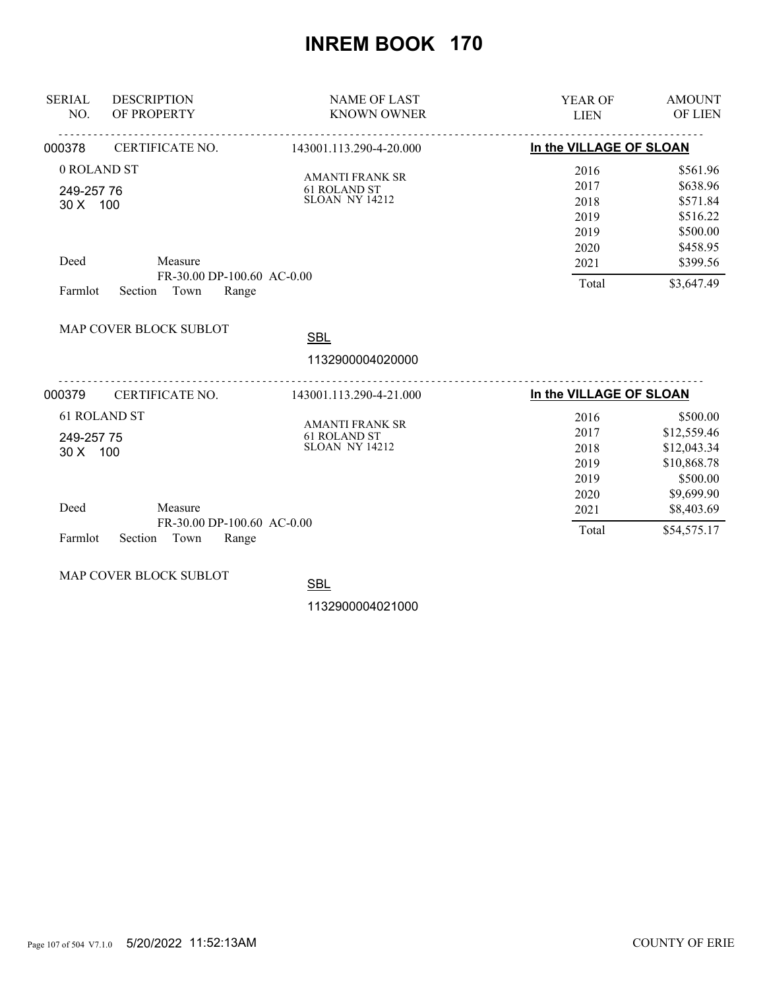| <b>SERIAL</b><br>NO.   | <b>DESCRIPTION</b><br>OF PROPERTY                      | <b>NAME OF LAST</b><br><b>KNOWN OWNER</b>                       | <b>YEAR OF</b><br><b>LIEN</b> | <b>AMOUNT</b><br>OF LIEN               |
|------------------------|--------------------------------------------------------|-----------------------------------------------------------------|-------------------------------|----------------------------------------|
| 000378                 | CERTIFICATE NO.                                        | 143001.113.290-4-20.000                                         | In the VILLAGE OF SLOAN       |                                        |
| 0 ROLAND ST            |                                                        | <b>AMANTI FRANK SR</b>                                          | 2016                          | \$561.96                               |
| 249-257 76<br>30 X 100 |                                                        | 61 ROLAND ST<br><b>SLOAN NY 14212</b>                           | 2017<br>2018                  | \$638.96<br>\$571.84                   |
|                        |                                                        |                                                                 | 2019<br>2019<br>2020          | \$516.22<br>\$500.00<br>\$458.95       |
| Deed                   | Measure<br>FR-30.00 DP-100.60 AC-0.00                  |                                                                 | 2021                          | \$399.56                               |
| Farmlot                | Town<br>Section<br>Range                               |                                                                 | Total                         | \$3,647.49                             |
|                        | MAP COVER BLOCK SUBLOT                                 | <b>SBL</b>                                                      |                               |                                        |
|                        |                                                        | 1132900004020000                                                |                               |                                        |
| 000379                 | CERTIFICATE NO.                                        | 143001.113.290-4-21.000                                         | In the VILLAGE OF SLOAN       |                                        |
| 249-257 75             | <b>61 ROLAND ST</b>                                    | <b>AMANTI FRANK SR</b><br>61 ROLAND ST<br><b>SLOAN NY 14212</b> | 2016<br>2017                  | \$500.00<br>\$12,559.46<br>\$12,043.34 |
| 30 X 100               |                                                        |                                                                 | 2018<br>2019<br>2019          | \$10,868.78<br>\$500.00                |
| Deed                   | Measure                                                |                                                                 | 2020<br>2021                  | \$9,699.90<br>\$8,403.69               |
| Farmlot                | FR-30.00 DP-100.60 AC-0.00<br>Town<br>Range<br>Section |                                                                 | Total                         | \$54,575.17                            |

MAP COVER BLOCK SUBLOT

**SBL**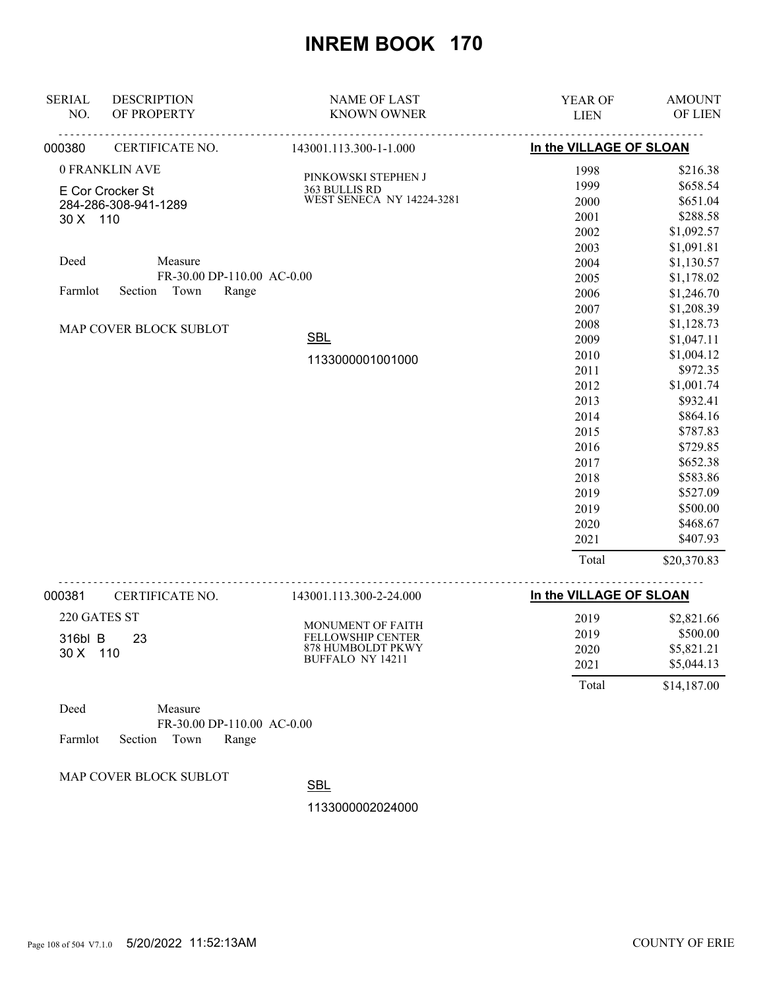| <b>SERIAL</b><br>NO.                                 | <b>DESCRIPTION</b><br>OF PROPERTY | <b>NAME OF LAST</b><br><b>KNOWN OWNER</b>                                       | YEAR OF<br><b>LIEN</b>  | <b>AMOUNT</b><br>OF LIEN |  |
|------------------------------------------------------|-----------------------------------|---------------------------------------------------------------------------------|-------------------------|--------------------------|--|
| 000380                                               | CERTIFICATE NO.                   | 143001.113.300-1-1.000                                                          |                         | In the VILLAGE OF SLOAN  |  |
| 0 FRANKLIN AVE                                       |                                   |                                                                                 | 1998                    | \$216.38                 |  |
|                                                      |                                   | PINKOWSKI STEPHEN J<br>363 BULLIS RD                                            | 1999                    | \$658.54                 |  |
| E Cor Crocker St<br>284-286-308-941-1289<br>30 X 110 |                                   | WEST SENECA NY 14224-3281                                                       | 2000                    | \$651.04                 |  |
|                                                      |                                   |                                                                                 | 2001                    | \$288.58                 |  |
|                                                      |                                   |                                                                                 | 2002                    | \$1,092.57               |  |
|                                                      |                                   |                                                                                 | 2003                    | \$1,091.81               |  |
| Deed<br>Measure<br>FR-30.00 DP-110.00 AC-0.00        |                                   |                                                                                 | 2004                    | \$1,130.57               |  |
|                                                      |                                   |                                                                                 | 2005                    | \$1,178.02               |  |
| Section<br>Town<br>Range<br>Farmlot                  |                                   |                                                                                 | 2006                    | \$1,246.70               |  |
|                                                      |                                   |                                                                                 | 2007                    | \$1,208.39               |  |
|                                                      | MAP COVER BLOCK SUBLOT            |                                                                                 | 2008                    | \$1,128.73               |  |
|                                                      |                                   | <b>SBL</b>                                                                      | 2009                    | \$1,047.11               |  |
|                                                      |                                   | 1133000001001000                                                                | 2010                    | \$1,004.12               |  |
|                                                      |                                   |                                                                                 | 2011                    | \$972.35                 |  |
|                                                      |                                   |                                                                                 | 2012                    | \$1,001.74               |  |
|                                                      |                                   |                                                                                 | 2013                    | \$932.41                 |  |
|                                                      |                                   |                                                                                 | 2014                    | \$864.16                 |  |
|                                                      |                                   |                                                                                 | 2015                    | \$787.83                 |  |
|                                                      |                                   |                                                                                 | 2016                    | \$729.85                 |  |
|                                                      |                                   |                                                                                 | 2017                    | \$652.38                 |  |
|                                                      |                                   |                                                                                 | 2018                    | \$583.86                 |  |
|                                                      |                                   |                                                                                 | 2019                    | \$527.09                 |  |
|                                                      |                                   |                                                                                 | 2019                    | \$500.00                 |  |
|                                                      |                                   |                                                                                 | 2020                    | \$468.67                 |  |
|                                                      |                                   |                                                                                 | 2021                    | \$407.93                 |  |
|                                                      |                                   |                                                                                 | Total                   | \$20,370.83              |  |
| 000381                                               | CERTIFICATE NO.                   | 143001.113.300-2-24.000                                                         | In the VILLAGE OF SLOAN |                          |  |
| 220 GATES ST                                         |                                   |                                                                                 | 2019                    | \$2,821.66               |  |
| 316bl B<br>23<br>30 X 110                            |                                   | MONUMENT OF FAITH<br>FELLOWSHIP CENTER<br>878 HUMBOLDT PKWY<br>BUFFALO NY 14211 | 2019                    | \$500.00                 |  |
|                                                      |                                   |                                                                                 | 2020                    | \$5,821.21               |  |
|                                                      |                                   |                                                                                 | 2021                    | \$5,044.13               |  |
|                                                      |                                   |                                                                                 |                         |                          |  |

| Deed                       | Measure |                            |  |
|----------------------------|---------|----------------------------|--|
|                            |         | FR-30.00 DP-110.00 AC-0.00 |  |
| Farmlot Section Town Range |         |                            |  |

MAP COVER BLOCK SUBLOT

**SBL** 

1133000002024000

Total \$14,187.00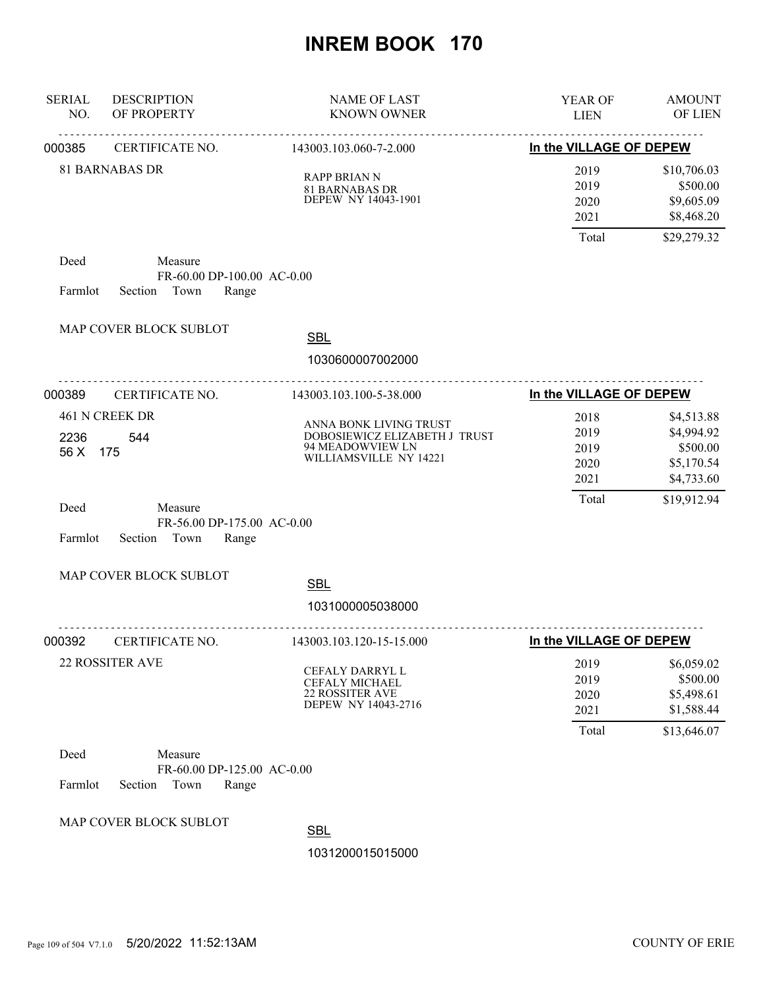| <b>SERIAL</b><br>NO. | <b>DESCRIPTION</b><br>OF PROPERTY                                 | <b>NAME OF LAST</b><br><b>KNOWN OWNER</b>                                                             | YEAR OF<br><b>LIEN</b>               | <b>AMOUNT</b><br>OF LIEN                                         |
|----------------------|-------------------------------------------------------------------|-------------------------------------------------------------------------------------------------------|--------------------------------------|------------------------------------------------------------------|
| 000385               | <b>CERTIFICATE NO.</b>                                            | 143003.103.060-7-2.000                                                                                | In the VILLAGE OF DEPEW              |                                                                  |
|                      | <b>81 BARNABAS DR</b>                                             | <b>RAPP BRIAN N</b><br><b>81 BARNABAS DR</b><br>DEPEW NY 14043-1901                                   | 2019<br>2019<br>2020<br>2021         | \$10,706.03<br>\$500.00<br>\$9,605.09<br>\$8,468.20              |
|                      |                                                                   |                                                                                                       | Total                                | \$29,279.32                                                      |
| Deed<br>Farmlot      | Measure<br>FR-60.00 DP-100.00 AC-0.00<br>Section Town<br>Range    |                                                                                                       |                                      |                                                                  |
|                      | MAP COVER BLOCK SUBLOT                                            | <b>SBL</b>                                                                                            |                                      |                                                                  |
|                      |                                                                   | 1030600007002000                                                                                      |                                      |                                                                  |
| 000389               | <u>.</u><br>CERTIFICATE NO.                                       | .<br>143003.103.100-5-38.000                                                                          | In the VILLAGE OF DEPEW              |                                                                  |
| 2236<br>56 X         | 461 N CREEK DR<br>544<br>175                                      | ANNA BONK LIVING TRUST<br>DOBOSIEWICZ ELIZABETH J TRUST<br>94 MEADOWVIEW LN<br>WILLIAMSVILLE NY 14221 | 2018<br>2019<br>2019<br>2020<br>2021 | \$4,513.88<br>\$4,994.92<br>\$500.00<br>\$5,170.54<br>\$4,733.60 |
| Deed<br>Farmlot      | Measure<br>FR-56.00 DP-175.00 AC-0.00<br>Town<br>Section<br>Range |                                                                                                       | Total                                | \$19,912.94                                                      |
|                      | MAP COVER BLOCK SUBLOT                                            | <b>SBL</b>                                                                                            |                                      |                                                                  |
|                      |                                                                   | 1031000005038000                                                                                      |                                      |                                                                  |
| 000392               | CERTIFICATE NO.                                                   | .<br>143003.103.120-15-15.000                                                                         | In the VILLAGE OF DEPEW              |                                                                  |
|                      | <b>22 ROSSITER AVE</b>                                            | CEFALY DARRYL L<br><b>CEFALY MICHAEL</b><br><b>22 ROSSITER AVE</b><br>DEPEW NY 14043-2716             | 2019<br>2019<br>2020<br>2021         | \$6,059.02<br>\$500.00<br>\$5,498.61<br>\$1,588.44               |
|                      |                                                                   |                                                                                                       | Total                                | \$13,646.07                                                      |
| Deed<br>Farmlot      | Measure<br>FR-60.00 DP-125.00 AC-0.00<br>Section<br>Town<br>Range |                                                                                                       |                                      |                                                                  |
|                      | MAP COVER BLOCK SUBLOT                                            | <b>SBL</b><br>1031200015015000                                                                        |                                      |                                                                  |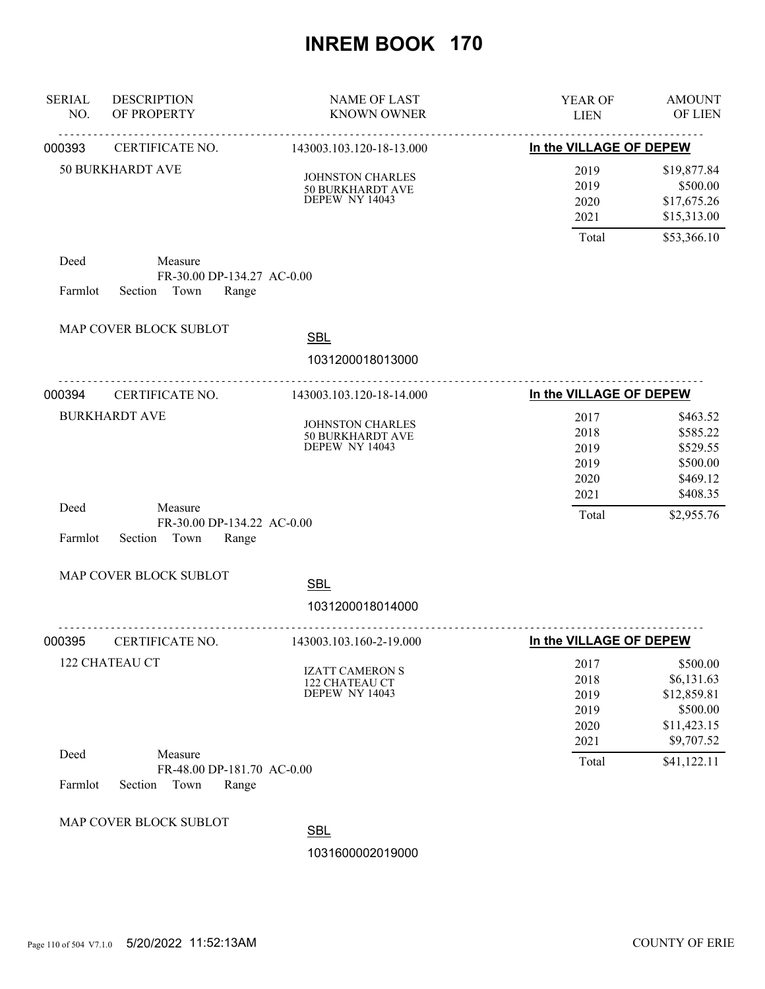| <b>SERIAL</b><br>NO. | <b>DESCRIPTION</b><br>OF PROPERTY                                 | <b>NAME OF LAST</b><br>KNOWN OWNER                                   | <b>YEAR OF</b><br><b>LIEN</b>                | <b>AMOUNT</b><br>OF LIEN                                                       |
|----------------------|-------------------------------------------------------------------|----------------------------------------------------------------------|----------------------------------------------|--------------------------------------------------------------------------------|
| 000393               | <u>.</u><br>CERTIFICATE NO.                                       | 143003.103.120-18-13.000                                             | <u>.</u><br>In the VILLAGE OF DEPEW          |                                                                                |
|                      | <b>50 BURKHARDT AVE</b>                                           | <b>JOHNSTON CHARLES</b><br><b>50 BURKHARDT AVE</b><br>DEPEW NY 14043 | 2019<br>2019<br>2020<br>2021                 | \$19,877.84<br>\$500.00<br>\$17,675.26<br>\$15,313.00                          |
|                      |                                                                   |                                                                      | Total                                        | \$53,366.10                                                                    |
| Deed<br>Farmlot      | Measure<br>FR-30.00 DP-134.27 AC-0.00<br>Section Town<br>Range    |                                                                      |                                              |                                                                                |
|                      | MAP COVER BLOCK SUBLOT                                            | <b>SBL</b>                                                           |                                              |                                                                                |
|                      |                                                                   | 1031200018013000                                                     |                                              |                                                                                |
| 000394               | <u>.</u><br>CERTIFICATE NO.                                       | 143003.103.120-18-14.000                                             | In the VILLAGE OF DEPEW                      |                                                                                |
|                      | <b>BURKHARDT AVE</b>                                              | <b>JOHNSTON CHARLES</b><br>50 BURKHARDT AVE<br><b>DEPEW NY 14043</b> | 2017<br>2018<br>2019<br>2019<br>2020<br>2021 | \$463.52<br>\$585.22<br>\$529.55<br>\$500.00<br>\$469.12<br>\$408.35           |
| Deed<br>Farmlot      | Measure<br>FR-30.00 DP-134.22 AC-0.00<br>Section<br>Town<br>Range |                                                                      | Total                                        | \$2,955.76                                                                     |
|                      | MAP COVER BLOCK SUBLOT                                            | <b>SBL</b>                                                           |                                              |                                                                                |
|                      |                                                                   | 1031200018014000                                                     |                                              |                                                                                |
| 000395               | CERTIFICATE NO.                                                   | 143003.103.160-2-19.000                                              | In the VILLAGE OF DEPEW                      |                                                                                |
|                      | 122 CHATEAU CT                                                    | <b>IZATT CAMERON S</b><br>122 CHATEAU CT<br>DEPEW NY 14043           | 2017<br>2018<br>2019<br>2019<br>2020<br>2021 | \$500.00<br>\$6,131.63<br>\$12,859.81<br>\$500.00<br>\$11,423.15<br>\$9,707.52 |
| Deed<br>Farmlot      | Measure<br>FR-48.00 DP-181.70 AC-0.00<br>Section<br>Town<br>Range |                                                                      | Total                                        | \$41,122.11                                                                    |
|                      | MAP COVER BLOCK SUBLOT                                            | <b>SBL</b><br>1031600002019000                                       |                                              |                                                                                |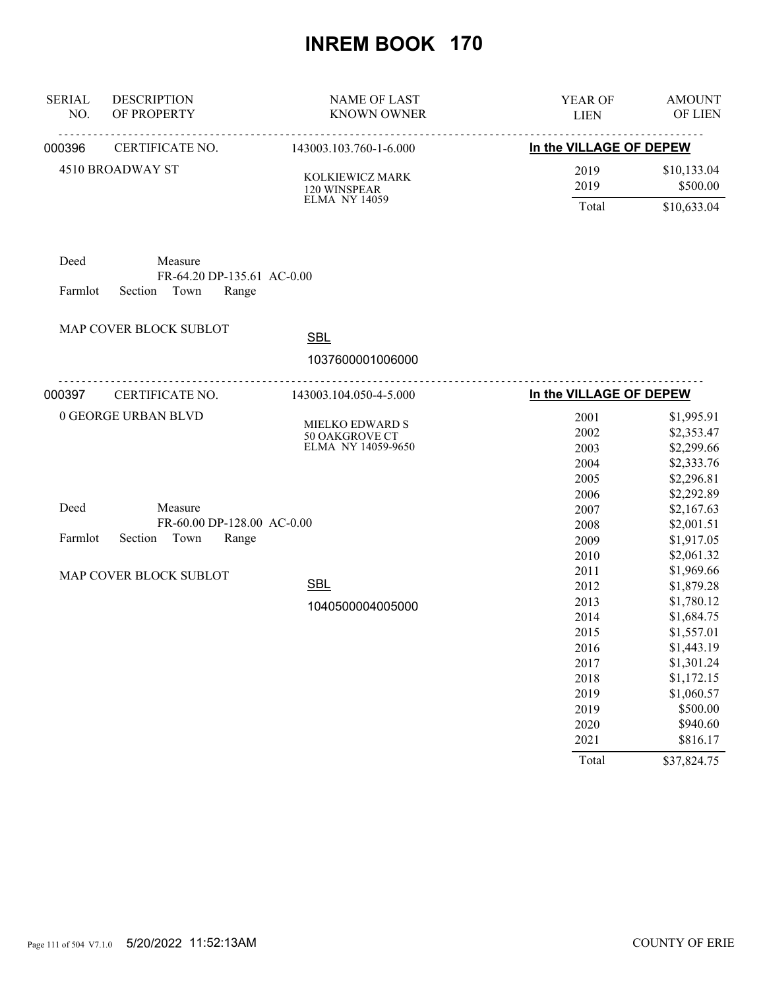| <b>SERIAL</b><br>NO. | <b>DESCRIPTION</b><br>OF PROPERTY                      | <b>NAME OF LAST</b><br><b>KNOWN OWNER</b> | YEAR OF<br><b>LIEN</b>              | <b>AMOUNT</b><br>OF LIEN |
|----------------------|--------------------------------------------------------|-------------------------------------------|-------------------------------------|--------------------------|
| 000396               | CERTIFICATE NO.                                        | 143003.103.760-1-6.000                    | <u>.</u><br>In the VILLAGE OF DEPEW |                          |
|                      | 4510 BROADWAY ST                                       | KOLKIEWICZ MARK<br>120 WINSPEAR           | 2019<br>2019                        | \$10,133.04<br>\$500.00  |
|                      |                                                        | <b>ELMA NY 14059</b>                      | Total                               | \$10,633.04              |
| Deed                 | Measure                                                |                                           |                                     |                          |
| Farmlot              | FR-64.20 DP-135.61 AC-0.00<br>Town<br>Section<br>Range |                                           |                                     |                          |
|                      | MAP COVER BLOCK SUBLOT                                 | <b>SBL</b>                                |                                     |                          |
|                      |                                                        | 1037600001006000                          |                                     |                          |
| 000397               | CERTIFICATE NO.                                        | 143003.104.050-4-5.000                    | In the VILLAGE OF DEPEW             |                          |
|                      | 0 GEORGE URBAN BLVD                                    |                                           | 2001                                | \$1,995.91               |
|                      |                                                        | <b>MIELKO EDWARD S</b><br>50 OAKGROVE CT  | 2002                                | \$2,353.47               |
|                      |                                                        | ELMA NY 14059-9650                        | 2003                                | \$2,299.66               |
|                      |                                                        |                                           | 2004                                | \$2,333.76               |
|                      |                                                        |                                           | 2005                                | \$2,296.81               |
|                      |                                                        |                                           | 2006                                | \$2,292.89               |
| Deed                 | Measure                                                |                                           | 2007                                | \$2,167.63               |
|                      | FR-60.00 DP-128.00 AC-0.00                             |                                           | 2008                                | \$2,001.51               |
| Farmlot              | Section<br>Town<br>Range                               |                                           | 2009                                | \$1,917.05               |
|                      |                                                        |                                           | 2010                                | \$2,061.32               |
|                      | MAP COVER BLOCK SUBLOT                                 |                                           | 2011                                | \$1,969.66               |
|                      |                                                        | <b>SBL</b>                                | 2012                                | \$1,879.28               |
|                      |                                                        | 1040500004005000                          | 2013                                | \$1,780.12               |
|                      |                                                        |                                           | 2014                                | \$1,684.75               |
|                      |                                                        |                                           | 2015                                | \$1,557.01               |
|                      |                                                        |                                           | 2016                                | \$1,443.19               |
|                      |                                                        |                                           | 2017                                | \$1,301.24               |
|                      |                                                        |                                           | 2018                                | \$1,172.15               |
|                      |                                                        |                                           | 2019                                | \$1,060.57               |
|                      |                                                        |                                           | 2019                                | \$500.00                 |
|                      |                                                        |                                           | 2020                                | \$940.60                 |
|                      |                                                        |                                           | 2021                                | \$816.17                 |
|                      |                                                        |                                           | Total                               | \$37,824.75              |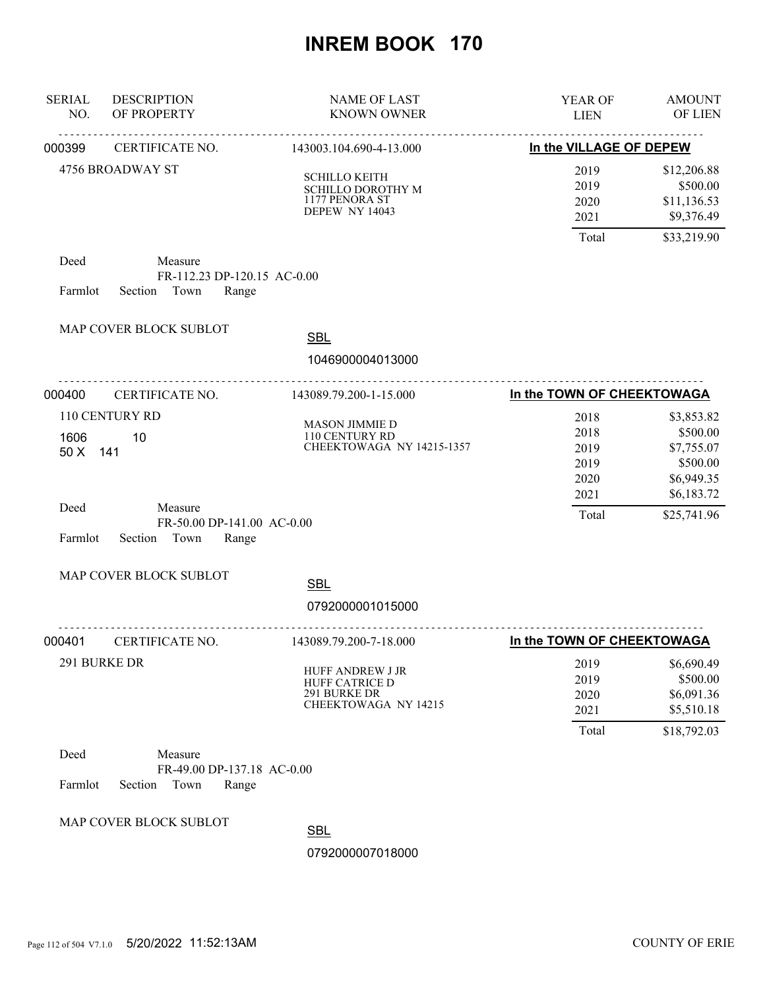| <b>SERIAL</b><br>NO. | <b>DESCRIPTION</b><br>OF PROPERTY                                 | <b>NAME OF LAST</b><br><b>KNOWN OWNER</b>                                            | YEAR OF<br><b>LIEN</b>               | <b>AMOUNT</b><br>OF LIEN                                       |
|----------------------|-------------------------------------------------------------------|--------------------------------------------------------------------------------------|--------------------------------------|----------------------------------------------------------------|
| 000399               | CERTIFICATE NO.                                                   | 143003.104.690-4-13.000                                                              | In the VILLAGE OF DEPEW              |                                                                |
|                      | 4756 BROADWAY ST                                                  | <b>SCHILLO KEITH</b><br><b>SCHILLO DOROTHY M</b><br>1177 PENORA ST<br>DEPEW NY 14043 | 2019<br>2019<br>2020<br>2021         | \$12,206.88<br>\$500.00<br>\$11,136.53<br>\$9,376.49           |
|                      |                                                                   |                                                                                      | Total                                | \$33,219.90                                                    |
| Deed<br>Farmlot      | Measure<br>FR-112.23 DP-120.15 AC-0.00<br>Section Town<br>Range   |                                                                                      |                                      |                                                                |
|                      | MAP COVER BLOCK SUBLOT                                            | <b>SBL</b>                                                                           |                                      |                                                                |
|                      |                                                                   | 1046900004013000                                                                     |                                      |                                                                |
| 000400               | .<br>CERTIFICATE NO.                                              | .<br>143089.79.200-1-15.000                                                          | In the TOWN OF CHEEKTOWAGA           |                                                                |
| 1606<br>50 X 141     | 110 CENTURY RD<br>10                                              | <b>MASON JIMMIE D</b><br>110 CENTURY RD<br>CHEEKTOWAGA NY 14215-1357                 | 2018<br>2018<br>2019<br>2019<br>2020 | \$3,853.82<br>\$500.00<br>\$7,755.07<br>\$500.00<br>\$6,949.35 |
| Deed<br>Farmlot      | Measure<br>FR-50.00 DP-141.00 AC-0.00<br>Section<br>Town<br>Range |                                                                                      | 2021<br>Total                        | \$6,183.72<br>\$25,741.96                                      |
|                      | MAP COVER BLOCK SUBLOT                                            | <b>SBL</b><br>0792000001015000                                                       |                                      |                                                                |
| 000401               | CERTIFICATE NO.                                                   | 143089.79.200-7-18.000                                                               | In the TOWN OF CHEEKTOWAGA           |                                                                |
|                      | 291 BURKE DR                                                      | HUFF ANDREW J JR<br><b>HUFF CATRICE D</b><br>291 BURKE DR<br>CHEEKTOWAGA NY 14215    | 2019<br>2019<br>2020<br>2021         | \$6,690.49<br>\$500.00<br>\$6,091.36<br>\$5,510.18             |
|                      |                                                                   |                                                                                      | Total                                | \$18,792.03                                                    |
| Deed<br>Farmlot      | Measure<br>FR-49.00 DP-137.18 AC-0.00<br>Section<br>Town<br>Range |                                                                                      |                                      |                                                                |
|                      | MAP COVER BLOCK SUBLOT                                            | <b>SBL</b><br>0792000007018000                                                       |                                      |                                                                |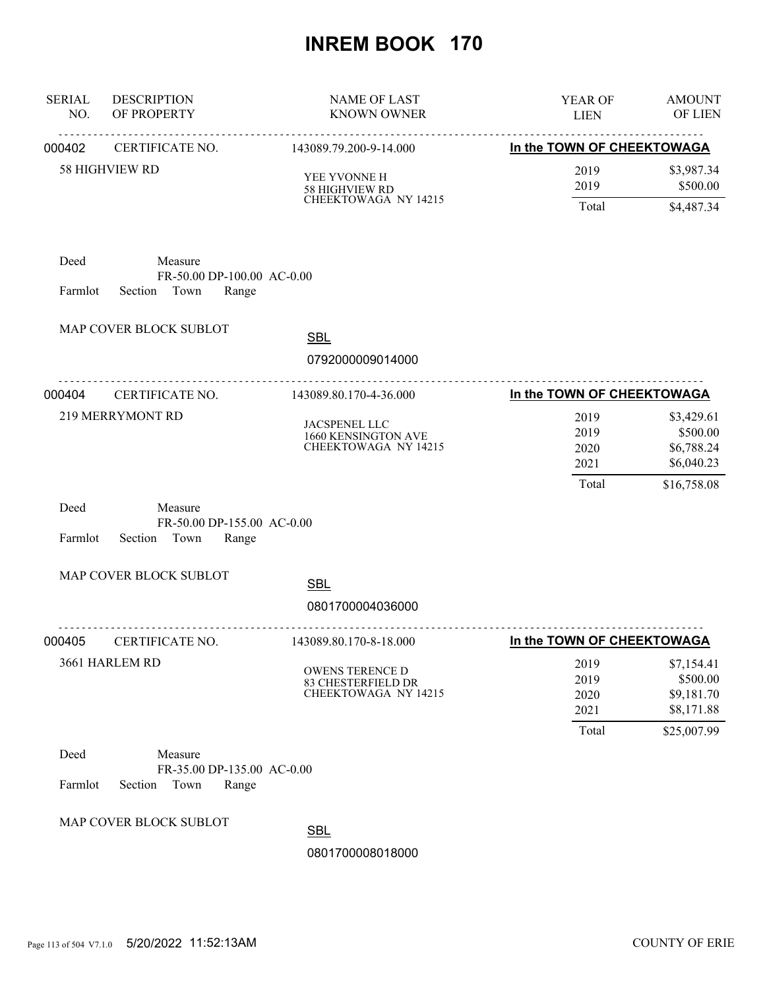| <b>SERIAL</b><br>NO. | <b>DESCRIPTION</b><br>OF PROPERTY                                 | <b>NAME OF LAST</b><br><b>KNOWN OWNER</b>                                  | YEAR OF<br><b>LIEN</b>                | <b>AMOUNT</b><br>OF LIEN                                          |
|----------------------|-------------------------------------------------------------------|----------------------------------------------------------------------------|---------------------------------------|-------------------------------------------------------------------|
| 000402               | CERTIFICATE NO.                                                   | 143089.79.200-9-14.000                                                     | In the TOWN OF CHEEKTOWAGA            |                                                                   |
|                      | <b>58 HIGHVIEW RD</b>                                             | YEE YVONNE H<br>58 HIGHVIEW RD<br>CHEEKTOWAGA NY 14215                     | 2019<br>2019<br>Total                 | \$3,987.34<br>\$500.00<br>\$4,487.34                              |
| Deed<br>Farmlot      | Measure<br>FR-50.00 DP-100.00 AC-0.00<br>Section Town<br>Range    |                                                                            |                                       |                                                                   |
|                      | MAP COVER BLOCK SUBLOT                                            | <b>SBL</b><br>0792000009014000                                             |                                       |                                                                   |
| 000404               | <u>.</u><br>CERTIFICATE NO.                                       | 143089.80.170-4-36.000                                                     | In the TOWN OF CHEEKTOWAGA            |                                                                   |
|                      | 219 MERRYMONT RD                                                  | <b>JACSPENEL LLC</b><br>1660 KENSINGTON AVE<br><b>CHEEKTOWAGA NY 14215</b> | 2019<br>2019<br>2020<br>2021<br>Total | \$3,429.61<br>\$500.00<br>\$6,788.24<br>\$6,040.23<br>\$16,758.08 |
| Deed<br>Farmlot      | Measure<br>FR-50.00 DP-155.00 AC-0.00<br>Section Town<br>Range    |                                                                            |                                       |                                                                   |
|                      | MAP COVER BLOCK SUBLOT                                            | <b>SBL</b>                                                                 |                                       |                                                                   |
|                      |                                                                   | 0801700004036000                                                           |                                       |                                                                   |
| 000405               | CERTIFICATE NO.                                                   | 143089.80.170-8-18.000                                                     | In the TOWN OF CHEEKTOWAGA            |                                                                   |
|                      | 3661 HARLEM RD                                                    | OWENS TERENCE D<br>83 CHESTERFIELD DR<br>CHEEKTOWAGA NY 14215              | 2019<br>2019<br>2020<br>2021<br>Total | \$7,154.41<br>\$500.00<br>\$9,181.70<br>\$8,171.88<br>\$25,007.99 |
| Deed<br>Farmlot      | Measure<br>FR-35.00 DP-135.00 AC-0.00<br>Section<br>Town<br>Range |                                                                            |                                       |                                                                   |
|                      | MAP COVER BLOCK SUBLOT                                            | <b>SBL</b>                                                                 |                                       |                                                                   |
|                      |                                                                   | 0801700008018000                                                           |                                       |                                                                   |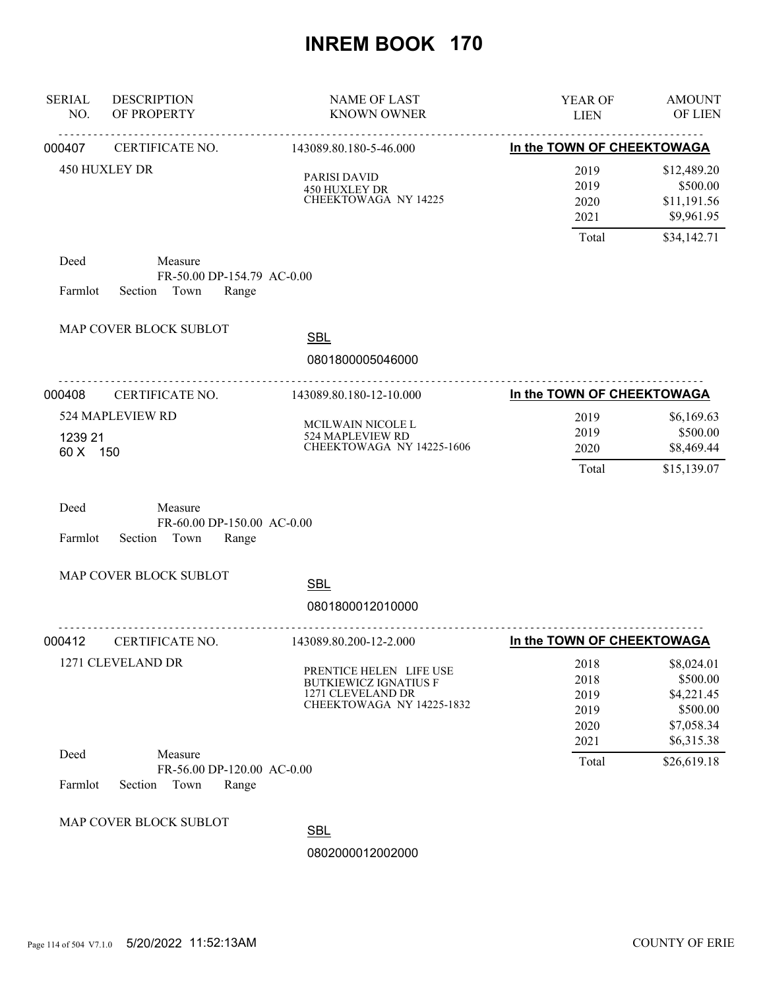| <b>SERIAL</b><br>NO. | <b>DESCRIPTION</b><br>OF PROPERTY                                 | NAME OF LAST<br><b>KNOWN OWNER</b>                                                                        | YEAR OF<br><b>LIEN</b>                       | <b>AMOUNT</b><br>OF LIEN                                                     |
|----------------------|-------------------------------------------------------------------|-----------------------------------------------------------------------------------------------------------|----------------------------------------------|------------------------------------------------------------------------------|
| 000407               | .<br>CERTIFICATE NO.                                              | <u>.</u><br>143089.80.180-5-46.000                                                                        | In the TOWN OF CHEEKTOWAGA                   |                                                                              |
|                      | 450 HUXLEY DR                                                     | PARISI DAVID<br>450 HUXLEY DR<br><b>CHEEKTOWAGA NY 14225</b>                                              | 2019<br>2019<br>2020<br>2021                 | \$12,489.20<br>\$500.00<br>\$11,191.56<br>\$9,961.95                         |
|                      |                                                                   |                                                                                                           | Total                                        | \$34,142.71                                                                  |
| Deed<br>Farmlot      | Measure<br>FR-50.00 DP-154.79 AC-0.00<br>Section Town<br>Range    |                                                                                                           |                                              |                                                                              |
|                      | MAP COVER BLOCK SUBLOT                                            | <b>SBL</b><br>0801800005046000                                                                            |                                              |                                                                              |
|                      |                                                                   |                                                                                                           |                                              |                                                                              |
| 000408               | CERTIFICATE NO.                                                   | 143089.80.180-12-10.000                                                                                   | In the TOWN OF CHEEKTOWAGA                   |                                                                              |
| 1239 21<br>60 X 150  | 524 MAPLEVIEW RD                                                  | MCILWAIN NICOLE L<br>524 MAPLEVIEW RD<br>CHEEKTOWAGA NY 14225-1606                                        | 2019<br>2019<br>2020                         | \$6,169.63<br>\$500.00<br>\$8,469.44                                         |
|                      |                                                                   |                                                                                                           | Total                                        | \$15,139.07                                                                  |
| Deed<br>Farmlot      | Measure<br>FR-60.00 DP-150.00 AC-0.00<br>Town<br>Section<br>Range |                                                                                                           |                                              |                                                                              |
|                      | MAP COVER BLOCK SUBLOT                                            | <b>SBL</b><br>0801800012010000                                                                            |                                              |                                                                              |
| 000412               | CERTIFICATE NO.                                                   | 143089.80.200-12-2.000                                                                                    | In the TOWN OF CHEEKTOWAGA                   |                                                                              |
|                      | 1271 CLEVELAND DR                                                 | PRENTICE HELEN LIFE USE<br><b>BUTKIEWICZ IGNATIUS F</b><br>1271 CLEVELAND DR<br>CHEEKTOWAGA NY 14225-1832 | 2018<br>2018<br>2019<br>2019<br>2020<br>2021 | \$8,024.01<br>\$500.00<br>\$4,221.45<br>\$500.00<br>\$7,058.34<br>\$6,315.38 |
| Deed<br>Farmlot      | Measure<br>FR-56.00 DP-120.00 AC-0.00<br>Section<br>Town<br>Range |                                                                                                           | Total                                        | \$26,619.18                                                                  |
|                      | MAP COVER BLOCK SUBLOT                                            | <b>SBL</b><br>0802000012002000                                                                            |                                              |                                                                              |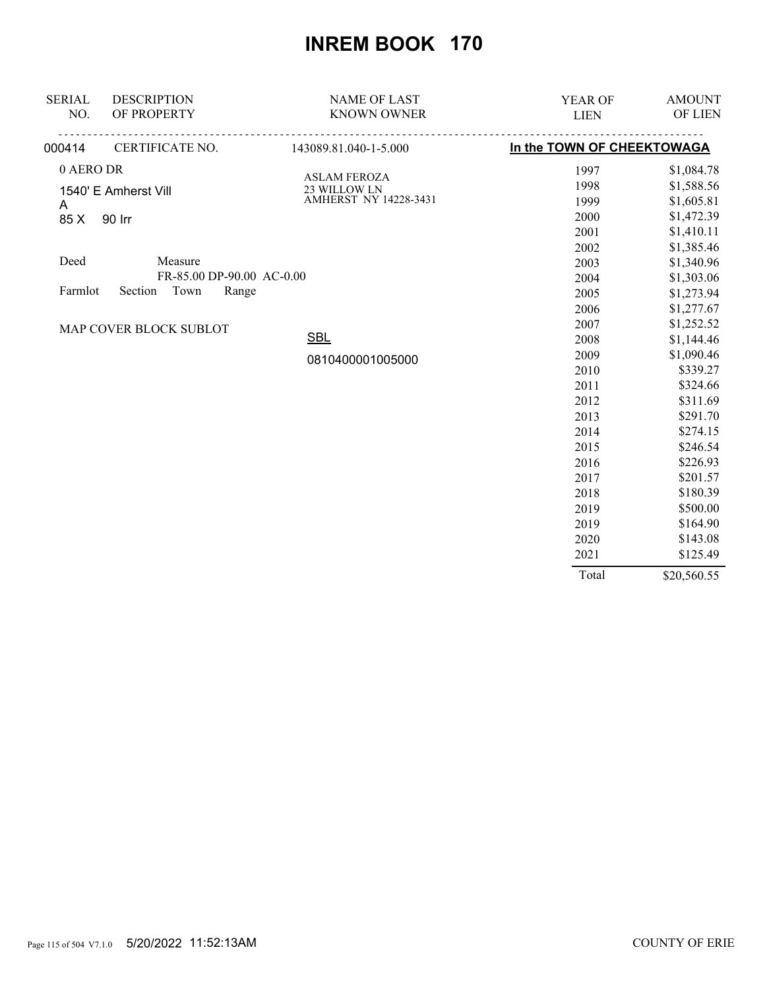| <b>SERIAL</b> | <b>DESCRIPTION</b>          | <b>NAME OF LAST</b>                 | YEAR OF                    | <b>AMOUNT</b> |
|---------------|-----------------------------|-------------------------------------|----------------------------|---------------|
| NO.           | OF PROPERTY                 | <b>KNOWN OWNER</b>                  | <b>LIEN</b>                | OF LIEN       |
| 000414        | <u>.</u><br>CERTIFICATE NO. | <u>.</u><br>143089.81.040-1-5.000   | In the TOWN OF CHEEKTOWAGA |               |
| 0 AERO DR     |                             |                                     | 1997                       | \$1,084.78    |
|               | 1540' E Amherst Vill        | <b>ASLAM FEROZA</b><br>23 WILLOW LN | 1998                       | \$1,588.56    |
| A             |                             | AMHERST NY 14228-3431               | 1999                       | \$1,605.81    |
| 85 X          | 90 Irr                      |                                     | 2000                       | \$1,472.39    |
|               |                             |                                     | 2001                       | \$1,410.11    |
|               |                             |                                     | 2002                       | \$1,385.46    |
| Deed          | Measure                     |                                     | 2003                       | \$1,340.96    |
|               | FR-85.00 DP-90.00 AC-0.00   |                                     | 2004                       | \$1,303.06    |
| Farmlot       | Town<br>Section<br>Range    |                                     | 2005                       | \$1,273.94    |
|               |                             |                                     | 2006                       | \$1,277.67    |
|               | MAP COVER BLOCK SUBLOT      |                                     | 2007                       | \$1,252.52    |
|               |                             | <b>SBL</b>                          | 2008                       | \$1,144.46    |
|               |                             | 0810400001005000                    | 2009                       | \$1,090.46    |
|               |                             |                                     | 2010                       | \$339.27      |
|               |                             |                                     | 2011                       | \$324.66      |
|               |                             |                                     | 2012                       | \$311.69      |
|               |                             |                                     | 2013                       | \$291.70      |
|               |                             |                                     | 2014                       | \$274.15      |
|               |                             |                                     | 2015                       | \$246.54      |
|               |                             |                                     | 2016                       | \$226.93      |
|               |                             |                                     | 2017                       | \$201.57      |
|               |                             |                                     | 2018                       | \$180.39      |
|               |                             |                                     | 2019                       | \$500.00      |
|               |                             |                                     | 2019                       | \$164.90      |
|               |                             |                                     | 2020                       | \$143.08      |
|               |                             |                                     | 2021                       | \$125.49      |
|               |                             |                                     | Total                      | \$20,560.55   |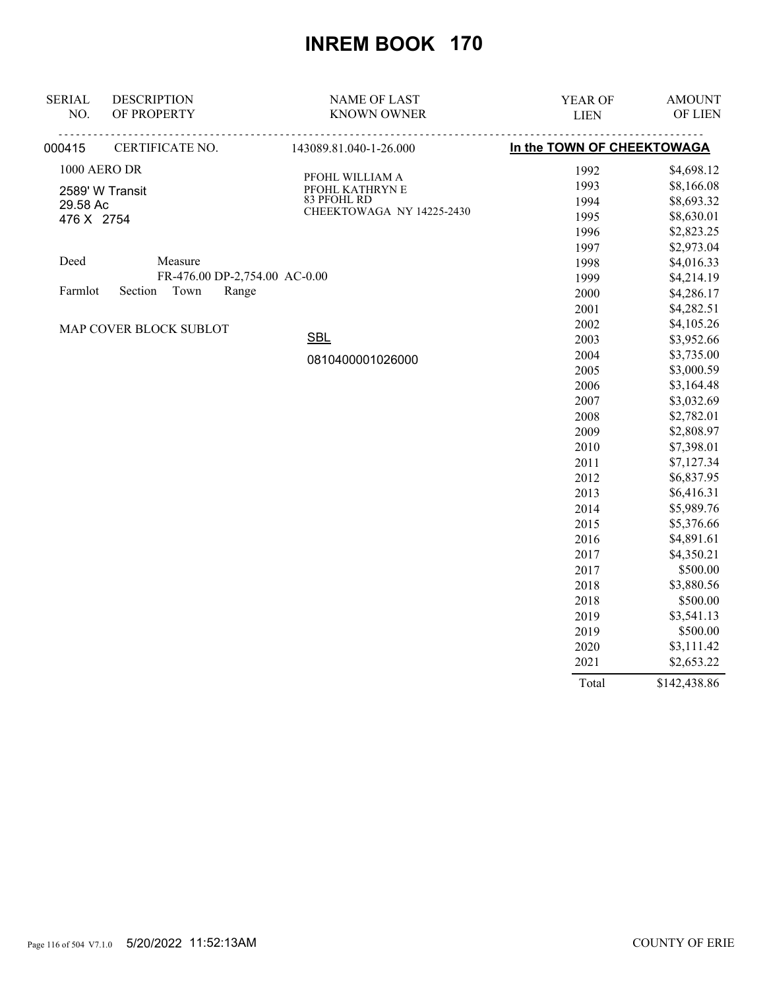| <b>SERIAL</b> | <b>DESCRIPTION</b>            | <b>NAME OF LAST</b>       | YEAR OF                    | <b>AMOUNT</b> |
|---------------|-------------------------------|---------------------------|----------------------------|---------------|
| NO.           | OF PROPERTY                   | <b>KNOWN OWNER</b>        | <b>LIEN</b>                | OF LIEN       |
| 000415        | CERTIFICATE NO.               | 143089.81.040-1-26.000    | In the TOWN OF CHEEKTOWAGA |               |
|               | 1000 AERO DR                  | PFOHL WILLIAM A           | 1992                       | \$4,698.12    |
|               | 2589' W Transit               | PFOHL KATHRYN E           | 1993                       | \$8,166.08    |
| 29.58 Ac      |                               | 83 PFOHL RD               | 1994                       | \$8,693.32    |
| 476 X 2754    |                               | CHEEKTOWAGA NY 14225-2430 | 1995                       | \$8,630.01    |
|               |                               |                           | 1996                       | \$2,823.25    |
|               |                               |                           | 1997                       | \$2,973.04    |
| Deed          | Measure                       |                           | 1998                       | \$4,016.33    |
|               | FR-476.00 DP-2,754.00 AC-0.00 |                           | 1999                       | \$4,214.19    |
| Farmlot       | Section<br>Town<br>Range      |                           | 2000                       | \$4,286.17    |
|               |                               |                           | 2001                       | \$4,282.51    |
|               | MAP COVER BLOCK SUBLOT        |                           | 2002                       | \$4,105.26    |
|               |                               | <b>SBL</b>                | 2003                       | \$3,952.66    |
|               |                               | 0810400001026000          | 2004                       | \$3,735.00    |
|               |                               |                           | 2005                       | \$3,000.59    |
|               |                               |                           | 2006                       | \$3,164.48    |
|               |                               |                           | 2007                       | \$3,032.69    |
|               |                               |                           | 2008                       | \$2,782.01    |
|               |                               |                           | 2009                       | \$2,808.97    |
|               |                               |                           | 2010                       | \$7,398.01    |
|               |                               |                           | 2011                       | \$7,127.34    |
|               |                               |                           | 2012                       | \$6,837.95    |
|               |                               |                           | 2013                       | \$6,416.31    |
|               |                               |                           | 2014                       | \$5,989.76    |
|               |                               |                           | 2015                       | \$5,376.66    |
|               |                               |                           | 2016                       | \$4,891.61    |
|               |                               |                           | 2017                       | \$4,350.21    |
|               |                               |                           | 2017                       | \$500.00      |
|               |                               |                           | 2018                       | \$3,880.56    |
|               |                               |                           | 2018                       | \$500.00      |
|               |                               |                           | 2019                       | \$3,541.13    |
|               |                               |                           | 2019                       | \$500.00      |
|               |                               |                           | 2020                       | \$3,111.42    |
|               |                               |                           | 2021                       | \$2,653.22    |

Total \$142,438.86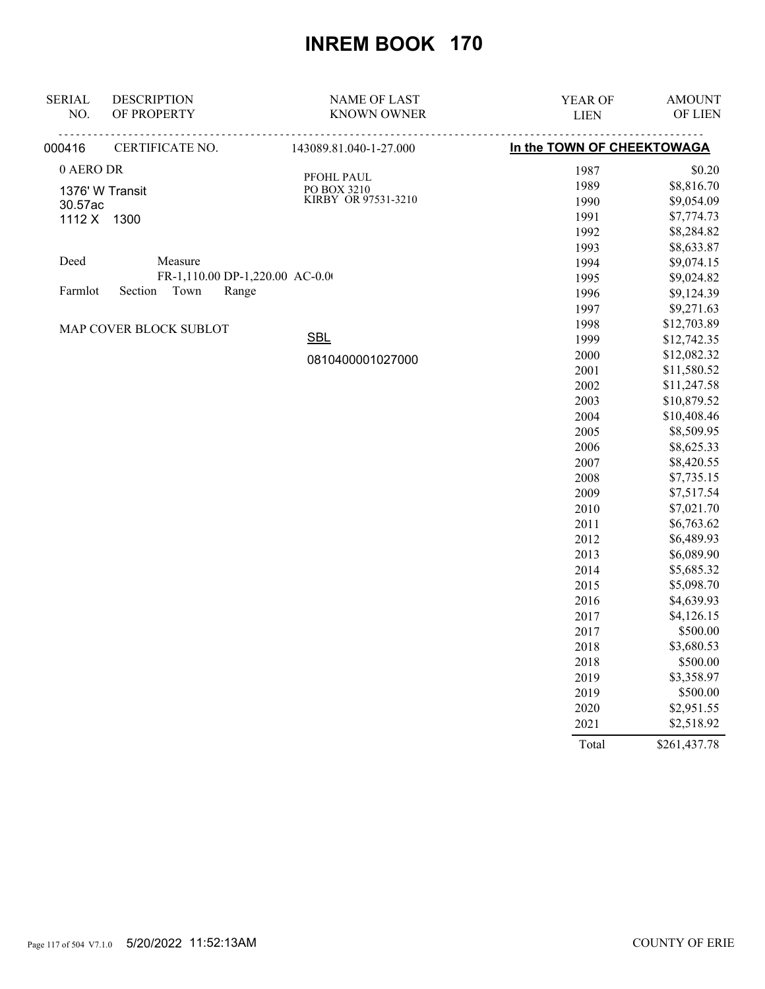| <b>SERIAL</b> | <b>DESCRIPTION</b>              | <b>NAME OF LAST</b>       | YEAR OF                    | <b>AMOUNT</b> |
|---------------|---------------------------------|---------------------------|----------------------------|---------------|
| NO.           | OF PROPERTY                     | <b>KNOWN OWNER</b>        | <b>LIEN</b>                | OF LIEN       |
| 000416        | CERTIFICATE NO.                 | 143089.81.040-1-27.000    | In the TOWN OF CHEEKTOWAGA |               |
| 0 AERO DR     |                                 |                           | 1987                       | \$0.20        |
|               | 1376' W Transit                 | PFOHL PAUL<br>PO BOX 3210 | 1989                       | \$8,816.70    |
| 30.57ac       |                                 | KIRBY OR 97531-3210       | 1990                       | \$9,054.09    |
|               | 1112 X 1300                     |                           | 1991                       | \$7,774.73    |
|               |                                 |                           | 1992                       | \$8,284.82    |
|               |                                 |                           | 1993                       | \$8,633.87    |
| Deed          | Measure                         |                           | 1994                       | \$9,074.15    |
|               | FR-1,110.00 DP-1,220.00 AC-0.00 |                           | 1995                       | \$9,024.82    |
| Farmlot       | Section Town<br>Range           |                           | 1996                       | \$9,124.39    |
|               |                                 |                           | 1997                       | \$9,271.63    |
|               | MAP COVER BLOCK SUBLOT          |                           | 1998                       | \$12,703.89   |
|               |                                 | <b>SBL</b>                | 1999                       | \$12,742.35   |
|               |                                 | 0810400001027000          | 2000                       | \$12,082.32   |
|               |                                 |                           | 2001                       | \$11,580.52   |
|               |                                 |                           | 2002                       | \$11,247.58   |
|               |                                 |                           | 2003                       | \$10,879.52   |
|               |                                 |                           | 2004                       | \$10,408.46   |
|               |                                 |                           | 2005                       | \$8,509.95    |
|               |                                 |                           | 2006                       | \$8,625.33    |
|               |                                 |                           | 2007                       | \$8,420.55    |
|               |                                 |                           | 2008                       | \$7,735.15    |
|               |                                 |                           | 2009                       | \$7,517.54    |
|               |                                 |                           | 2010                       | \$7,021.70    |
|               |                                 |                           | 2011                       | \$6,763.62    |
|               |                                 |                           | 2012                       | \$6,489.93    |
|               |                                 |                           | 2013                       | \$6,089.90    |
|               |                                 |                           | 2014                       | \$5,685.32    |
|               |                                 |                           | 2015                       | \$5,098.70    |
|               |                                 |                           | 2016                       | \$4,639.93    |
|               |                                 |                           | 2017                       | \$4,126.15    |
|               |                                 |                           | 2017                       | \$500.00      |
|               |                                 |                           | 2018                       | \$3,680.53    |
|               |                                 |                           | 2018                       | \$500.00      |
|               |                                 |                           | 2019                       | \$3,358.97    |
|               |                                 |                           | 2019                       | \$500.00      |
|               |                                 |                           | 2020                       | \$2,951.55    |
|               |                                 |                           | 2021                       | \$2,518.92    |
|               |                                 |                           | Total                      | \$261,437.78  |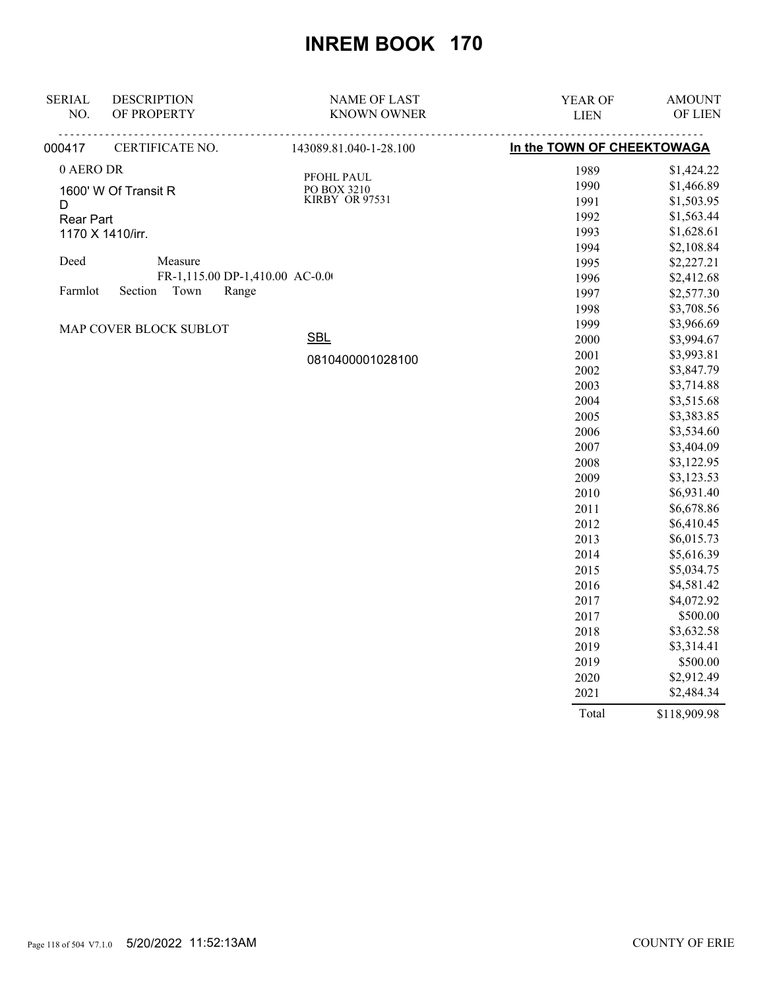| <b>SERIAL</b> | <b>DESCRIPTION</b>              | <b>NAME OF LAST</b>           | YEAR OF                    | <b>AMOUNT</b> |
|---------------|---------------------------------|-------------------------------|----------------------------|---------------|
| NO.           | OF PROPERTY                     | <b>KNOWN OWNER</b>            | <b>LIEN</b>                | OF LIEN       |
| 000417        | CERTIFICATE NO.                 | 143089.81.040-1-28.100        | In the TOWN OF CHEEKTOWAGA |               |
| 0 AERO DR     |                                 | PFOHL PAUL                    | 1989                       | \$1,424.22    |
|               | 1600' W Of Transit R            |                               | 1990                       | \$1,466.89    |
| D             |                                 | PO BOX 3210<br>KIRBY OR 97531 | 1991                       | \$1,503.95    |
| Rear Part     |                                 |                               | 1992                       | \$1,563.44    |
|               | 1170 X 1410/irr.                |                               | 1993                       | \$1,628.61    |
|               |                                 |                               | 1994                       | \$2,108.84    |
| Deed          | Measure                         |                               | 1995                       | \$2,227.21    |
|               | FR-1,115.00 DP-1,410.00 AC-0.00 |                               | 1996                       | \$2,412.68    |
| Farmlot       | Section<br>Town<br>Range        |                               | 1997                       | \$2,577.30    |
|               |                                 |                               | 1998                       | \$3,708.56    |
|               | MAP COVER BLOCK SUBLOT          |                               | 1999                       | \$3,966.69    |
|               |                                 | <b>SBL</b>                    | 2000                       | \$3,994.67    |
|               |                                 | 0810400001028100              | 2001                       | \$3,993.81    |
|               |                                 |                               | 2002                       | \$3,847.79    |
|               |                                 |                               | 2003                       | \$3,714.88    |
|               |                                 |                               | 2004                       | \$3,515.68    |
|               |                                 |                               | 2005                       | \$3,383.85    |
|               |                                 |                               | 2006                       | \$3,534.60    |
|               |                                 |                               | 2007                       | \$3,404.09    |
|               |                                 |                               | 2008                       | \$3,122.95    |
|               |                                 |                               | 2009                       | \$3,123.53    |
|               |                                 |                               | 2010                       | \$6,931.40    |
|               |                                 |                               | 2011                       | \$6,678.86    |
|               |                                 |                               | 2012                       | \$6,410.45    |
|               |                                 |                               | 2013                       | \$6,015.73    |
|               |                                 |                               | 2014                       | \$5,616.39    |
|               |                                 |                               | 2015                       | \$5,034.75    |
|               |                                 |                               | 2016                       | \$4,581.42    |
|               |                                 |                               | 2017                       | \$4,072.92    |
|               |                                 |                               | 2017                       | \$500.00      |
|               |                                 |                               | 2018                       | \$3,632.58    |
|               |                                 |                               | 2019                       | \$3,314.41    |
|               |                                 |                               | 2019                       | \$500.00      |
|               |                                 |                               | 2020                       | \$2,912.49    |
|               |                                 |                               | 2021                       | \$2,484.34    |

Total \$118,909.98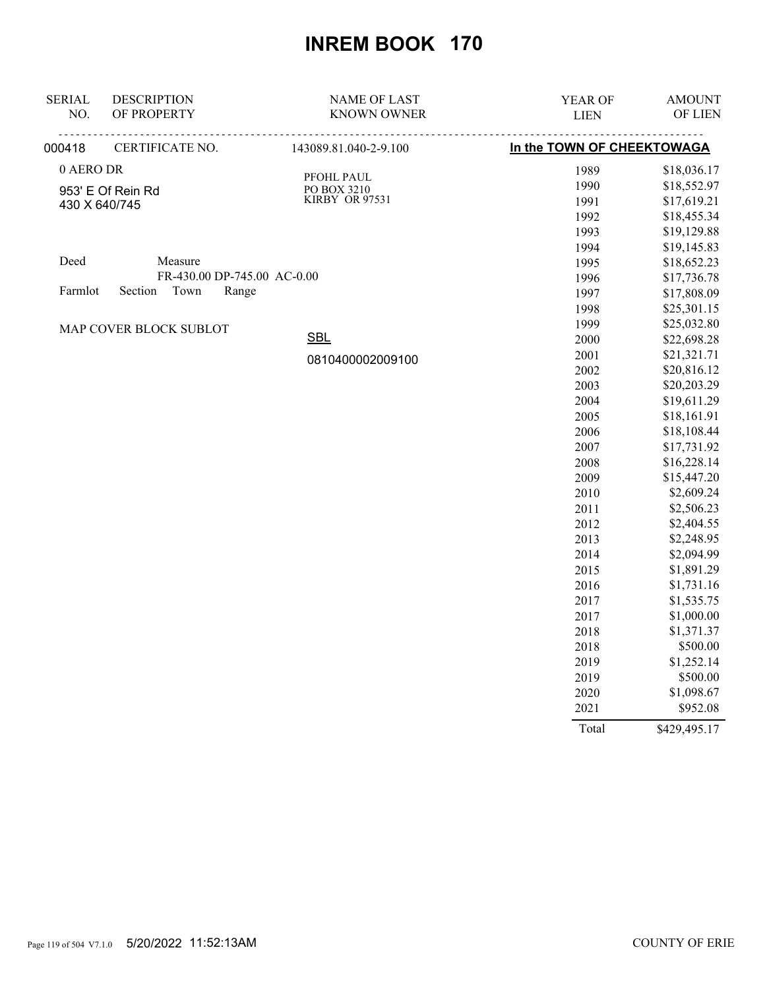| <b>SERIAL</b><br>NO. | <b>DESCRIPTION</b><br>OF PROPERTY | <b>NAME OF LAST</b><br><b>KNOWN OWNER</b> | YEAR OF<br><b>LIEN</b>     | <b>AMOUNT</b><br>OF LIEN   |
|----------------------|-----------------------------------|-------------------------------------------|----------------------------|----------------------------|
| 000418               | CERTIFICATE NO.                   | 143089.81.040-2-9.100                     | In the TOWN OF CHEEKTOWAGA |                            |
|                      |                                   |                                           |                            |                            |
| 0 AERO DR            |                                   | PFOHL PAUL                                | 1989                       | \$18,036.17                |
|                      | 953' E Of Rein Rd                 | PO BOX 3210                               | 1990                       | \$18,552.97                |
|                      | 430 X 640/745                     | KIRBY OR 97531                            | 1991                       | \$17,619.21                |
|                      |                                   |                                           | 1992                       | \$18,455.34                |
|                      |                                   |                                           | 1993                       | \$19,129.88                |
| Deed                 | Measure                           |                                           | 1994                       | \$19,145.83                |
|                      | FR-430.00 DP-745.00 AC-0.00       |                                           | 1995                       | \$18,652.23                |
| Farmlot              | Town<br>Section<br>Range          |                                           | 1996                       | \$17,736.78                |
|                      |                                   |                                           | 1997<br>1998               | \$17,808.09<br>\$25,301.15 |
|                      |                                   |                                           | 1999                       | \$25,032.80                |
|                      | MAP COVER BLOCK SUBLOT            | <b>SBL</b>                                | 2000                       | \$22,698.28                |
|                      |                                   |                                           | 2001                       | \$21,321.71                |
|                      |                                   | 0810400002009100                          | 2002                       | \$20,816.12                |
|                      |                                   |                                           | 2003                       | \$20,203.29                |
|                      |                                   |                                           | 2004                       | \$19,611.29                |
|                      |                                   |                                           | 2005                       | \$18,161.91                |
|                      |                                   |                                           | 2006                       | \$18,108.44                |
|                      |                                   |                                           | 2007                       | \$17,731.92                |
|                      |                                   |                                           | 2008                       | \$16,228.14                |
|                      |                                   |                                           | 2009                       | \$15,447.20                |
|                      |                                   |                                           | 2010                       | \$2,609.24                 |
|                      |                                   |                                           | 2011                       | \$2,506.23                 |
|                      |                                   |                                           | 2012                       | \$2,404.55                 |
|                      |                                   |                                           | 2013                       | \$2,248.95                 |
|                      |                                   |                                           | 2014                       | \$2,094.99                 |
|                      |                                   |                                           | 2015                       | \$1,891.29                 |
|                      |                                   |                                           | 2016                       | \$1,731.16                 |
|                      |                                   |                                           | 2017                       | \$1,535.75                 |
|                      |                                   |                                           | 2017                       | \$1,000.00                 |
|                      |                                   |                                           | 2018                       | \$1,371.37                 |
|                      |                                   |                                           | 2018                       | \$500.00                   |
|                      |                                   |                                           | 2019                       | \$1,252.14                 |
|                      |                                   |                                           | 2019                       | \$500.00                   |
|                      |                                   |                                           | 2020                       | \$1,098.67                 |
|                      |                                   |                                           | 2021                       | \$952.08                   |
|                      |                                   |                                           | Total                      | \$429,495.17               |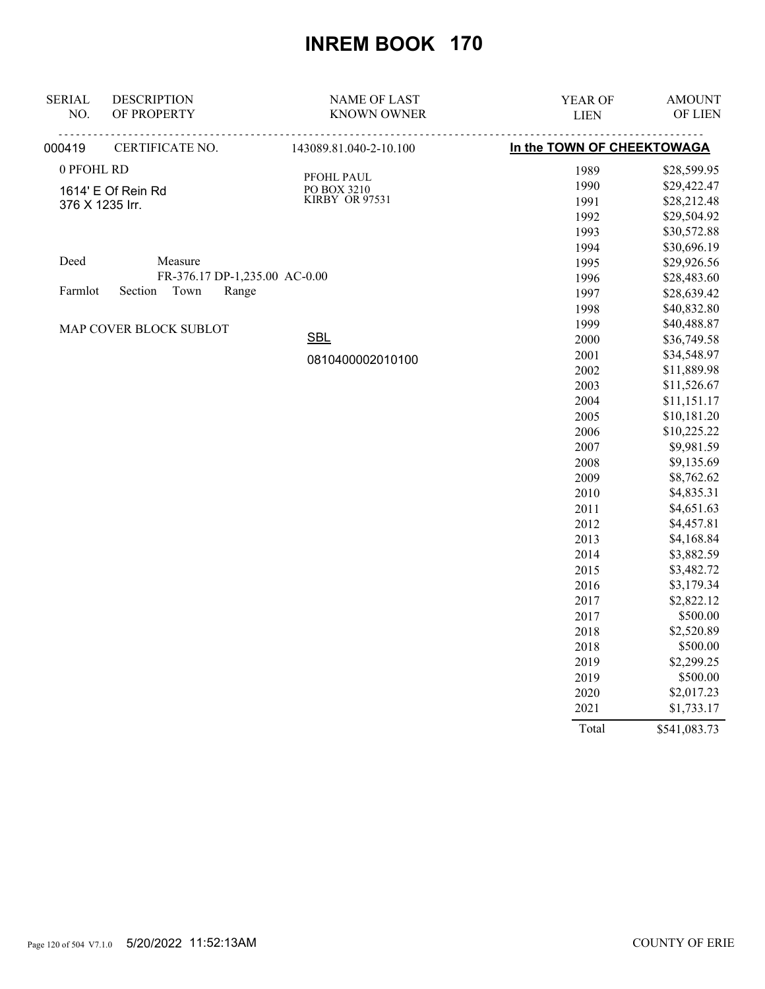| <b>SERIAL</b><br>NO. | <b>DESCRIPTION</b><br>OF PROPERTY | <b>NAME OF LAST</b><br><b>KNOWN OWNER</b> | YEAR OF<br><b>LIEN</b>     | <b>AMOUNT</b><br>OF LIEN |
|----------------------|-----------------------------------|-------------------------------------------|----------------------------|--------------------------|
| 000419               | CERTIFICATE NO.                   | 143089.81.040-2-10.100                    | In the TOWN OF CHEEKTOWAGA |                          |
|                      |                                   |                                           |                            |                          |
| 0 PFOHL RD           |                                   | PFOHL PAUL                                | 1989                       | \$28,599.95              |
|                      | 1614' E Of Rein Rd                | PO BOX 3210                               | 1990                       | \$29,422.47              |
|                      | 376 X 1235 Irr.                   | KIRBY OR 97531                            | 1991                       | \$28,212.48              |
|                      |                                   |                                           | 1992                       | \$29,504.92              |
|                      |                                   |                                           | 1993                       | \$30,572.88              |
|                      |                                   |                                           | 1994                       | \$30,696.19              |
| Deed                 | Measure                           |                                           | 1995                       | \$29,926.56              |
|                      | FR-376.17 DP-1,235.00 AC-0.00     |                                           | 1996                       | \$28,483.60              |
| Farmlot              | Section<br>Town<br>Range          |                                           | 1997                       | \$28,639.42              |
|                      |                                   |                                           | 1998                       | \$40,832.80              |
|                      | MAP COVER BLOCK SUBLOT            |                                           | 1999                       | \$40,488.87              |
|                      |                                   | <b>SBL</b>                                | 2000                       | \$36,749.58              |
|                      |                                   | 0810400002010100                          | 2001                       | \$34,548.97              |
|                      |                                   |                                           | 2002                       | \$11,889.98              |
|                      |                                   |                                           | 2003                       | \$11,526.67              |
|                      |                                   |                                           | 2004                       | \$11,151.17              |
|                      |                                   |                                           | 2005                       | \$10,181.20              |
|                      |                                   |                                           | 2006                       | \$10,225.22              |
|                      |                                   |                                           | 2007                       | \$9,981.59               |
|                      |                                   |                                           | 2008                       | \$9,135.69               |
|                      |                                   |                                           | 2009                       | \$8,762.62               |
|                      |                                   |                                           | 2010                       | \$4,835.31               |
|                      |                                   |                                           | 2011                       | \$4,651.63               |
|                      |                                   |                                           | 2012                       | \$4,457.81               |
|                      |                                   |                                           | 2013                       | \$4,168.84               |
|                      |                                   |                                           | 2014                       | \$3,882.59               |
|                      |                                   |                                           | 2015                       | \$3,482.72               |
|                      |                                   |                                           | 2016<br>2017               | \$3,179.34<br>\$2,822.12 |
|                      |                                   |                                           |                            | \$500.00                 |
|                      |                                   |                                           | 2017                       |                          |
|                      |                                   |                                           | 2018                       | \$2,520.89<br>\$500.00   |
|                      |                                   |                                           | 2018                       | \$2,299.25               |
|                      |                                   |                                           | 2019<br>2019               | \$500.00                 |
|                      |                                   |                                           |                            | \$2,017.23               |
|                      |                                   |                                           | 2020<br>2021               | \$1,733.17               |
|                      |                                   |                                           |                            |                          |
|                      |                                   |                                           | Total                      | \$541,083.73             |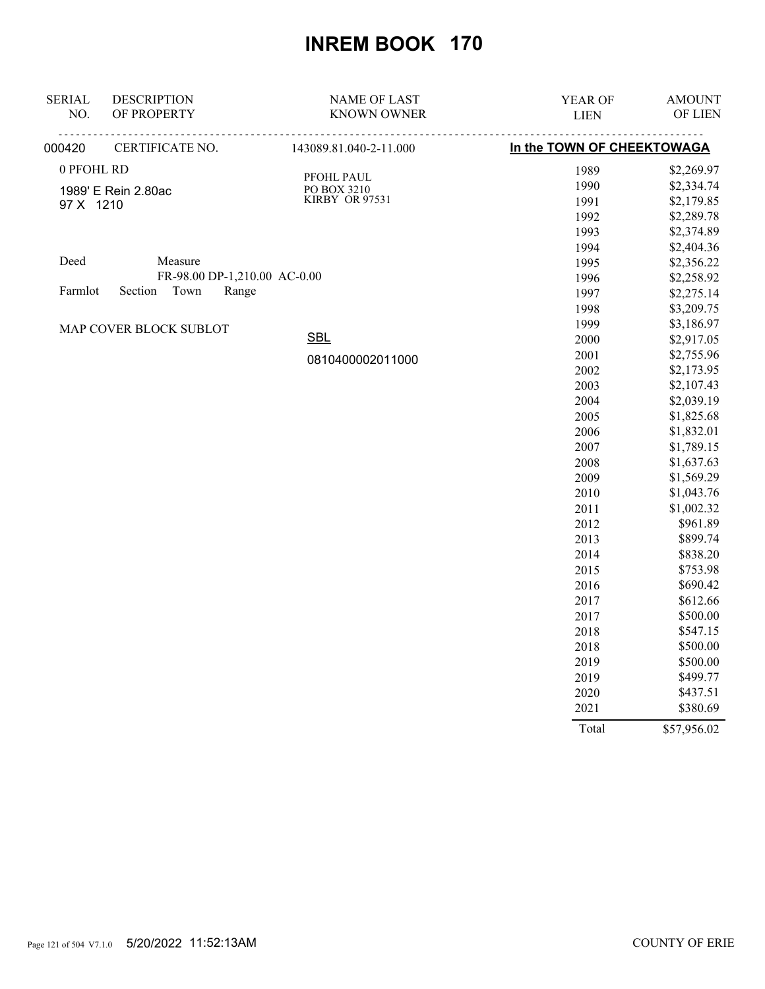| <b>SERIAL</b><br>NO.         | <b>DESCRIPTION</b><br>OF PROPERTY | <b>NAME OF LAST</b><br><b>KNOWN OWNER</b> | YEAR OF<br><b>LIEN</b>     | <b>AMOUNT</b><br>OF LIEN |
|------------------------------|-----------------------------------|-------------------------------------------|----------------------------|--------------------------|
| 000420                       | CERTIFICATE NO.                   | 143089.81.040-2-11.000                    | In the TOWN OF CHEEKTOWAGA |                          |
| 0 PFOHL RD                   |                                   |                                           | 1989                       | \$2,269.97               |
|                              |                                   | PFOHL PAUL<br>PO BOX 3210                 | 1990                       | \$2,334.74               |
| 97 X 1210                    | 1989' E Rein 2.80ac               | KIRBY OR 97531                            | 1991                       | \$2,179.85               |
|                              |                                   |                                           | 1992                       | \$2,289.78               |
|                              |                                   |                                           | 1993                       | \$2,374.89               |
|                              |                                   |                                           | 1994                       | \$2,404.36               |
| Deed                         | Measure                           |                                           | 1995                       | \$2,356.22               |
| FR-98.00 DP-1,210.00 AC-0.00 |                                   | 1996                                      | \$2,258.92                 |                          |
| Farmlot                      | Section<br>Town<br>Range          |                                           | 1997                       | \$2,275.14               |
|                              |                                   |                                           | 1998                       | \$3,209.75               |
|                              | MAP COVER BLOCK SUBLOT            |                                           | 1999                       | \$3,186.97               |
|                              |                                   | <b>SBL</b>                                | 2000                       | \$2,917.05               |
|                              |                                   | 0810400002011000                          | 2001                       | \$2,755.96               |
|                              |                                   |                                           | 2002                       | \$2,173.95               |
|                              |                                   |                                           | 2003                       | \$2,107.43               |
|                              |                                   |                                           | 2004                       | \$2,039.19               |
|                              |                                   |                                           | 2005                       | \$1,825.68               |
|                              |                                   |                                           | 2006                       | \$1,832.01               |
|                              |                                   |                                           | 2007                       | \$1,789.15               |
|                              |                                   |                                           | 2008                       | \$1,637.63               |
|                              |                                   |                                           | 2009                       | \$1,569.29               |
|                              |                                   |                                           | 2010                       | \$1,043.76               |
|                              |                                   |                                           | 2011                       | \$1,002.32               |
|                              |                                   |                                           | 2012                       | \$961.89                 |
|                              |                                   |                                           | 2013                       | \$899.74                 |
|                              |                                   |                                           | 2014                       | \$838.20                 |
|                              |                                   |                                           | 2015                       | \$753.98                 |
|                              |                                   |                                           | 2016                       | \$690.42                 |
|                              |                                   |                                           | 2017                       | \$612.66                 |
|                              |                                   |                                           | 2017                       | \$500.00                 |
|                              |                                   |                                           | 2018                       | \$547.15                 |
|                              |                                   |                                           | 2018                       | \$500.00                 |
|                              |                                   |                                           | 2019                       | \$500.00                 |
|                              |                                   |                                           | 2019                       | \$499.77                 |
|                              |                                   |                                           | 2020                       | \$437.51                 |
|                              |                                   |                                           | 2021                       | \$380.69                 |
|                              |                                   |                                           | Total                      | \$57,956.02              |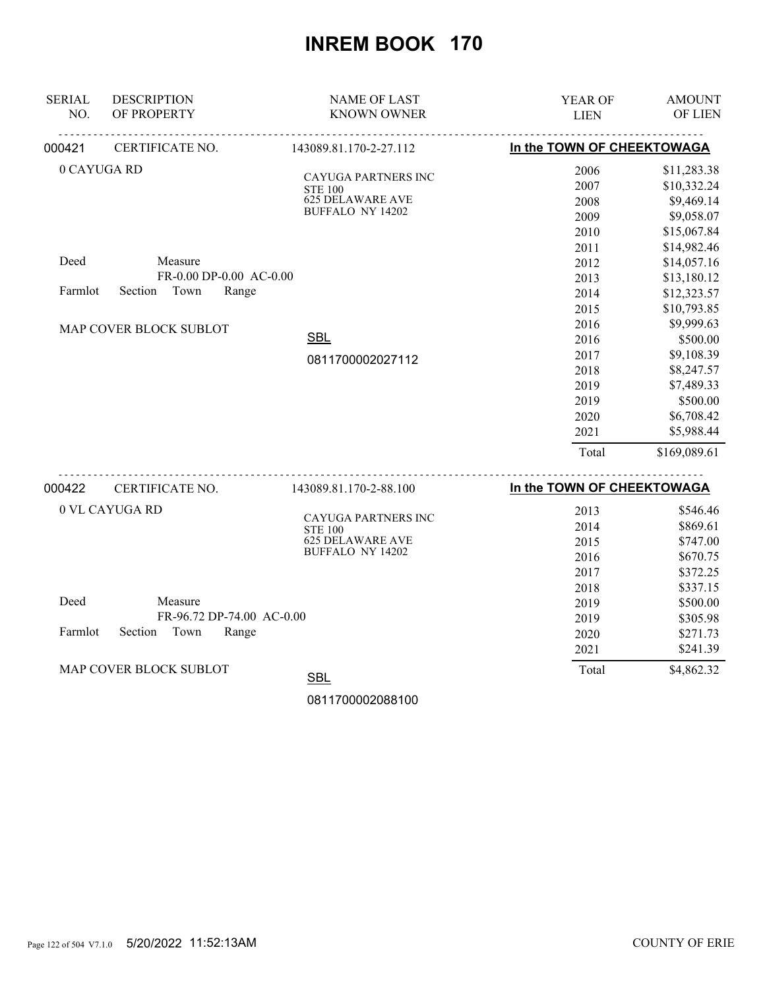| <b>SERIAL</b><br>NO. | <b>DESCRIPTION</b><br>OF PROPERTY                                | <b>NAME OF LAST</b><br><b>KNOWN OWNER</b>                                                          | YEAR OF<br><b>LIEN</b>                                                | <b>AMOUNT</b><br>OF LIEN                                                                                                 |
|----------------------|------------------------------------------------------------------|----------------------------------------------------------------------------------------------------|-----------------------------------------------------------------------|--------------------------------------------------------------------------------------------------------------------------|
| 000421               | CERTIFICATE NO.                                                  | 143089.81.170-2-27.112                                                                             | In the TOWN OF CHEEKTOWAGA                                            |                                                                                                                          |
| 0 CAYUGA RD          |                                                                  | <b>CAYUGA PARTNERS INC</b><br><b>STE 100</b><br><b>625 DELAWARE AVE</b><br><b>BUFFALO NY 14202</b> | 2006<br>2007<br>2008<br>2009<br>2010<br>2011                          | \$11,283.38<br>\$10,332.24<br>\$9,469.14<br>\$9,058.07<br>\$15,067.84<br>\$14,982.46                                     |
| Deed<br>Farmlot      | Measure<br>FR-0.00 DP-0.00 AC-0.00<br>Town<br>Section<br>Range   |                                                                                                    | 2012<br>2013<br>2014<br>2015                                          | \$14,057.16<br>\$13,180.12<br>\$12,323.57<br>\$10,793.85                                                                 |
|                      | MAP COVER BLOCK SUBLOT                                           | <b>SBL</b><br>0811700002027112                                                                     | 2016<br>2016<br>2017<br>2018<br>2019<br>2019<br>2020<br>2021<br>Total | \$9,999.63<br>\$500.00<br>\$9,108.39<br>\$8,247.57<br>\$7,489.33<br>\$500.00<br>\$6,708.42<br>\$5,988.44<br>\$169,089.61 |
| 000422               | CERTIFICATE NO.                                                  | 143089.81.170-2-88.100                                                                             | In the TOWN OF CHEEKTOWAGA                                            |                                                                                                                          |
|                      | 0 VL CAYUGA RD                                                   | CAYUGA PARTNERS INC<br><b>STE 100</b><br><b>625 DELAWARE AVE</b><br><b>BUFFALO NY 14202</b>        | 2013<br>2014<br>2015<br>2016<br>2017                                  | \$546.46<br>\$869.61<br>\$747.00<br>\$670.75<br>\$372.25                                                                 |
| Deed<br>Farmlot      | Measure<br>FR-96.72 DP-74.00 AC-0.00<br>Section<br>Town<br>Range |                                                                                                    | 2018<br>2019<br>2019<br>2020<br>2021                                  | \$337.15<br>\$500.00<br>\$305.98<br>\$271.73<br>\$241.39                                                                 |
|                      | MAP COVER BLOCK SUBLOT                                           | <b>SBL</b>                                                                                         | Total                                                                 | \$4,862.32                                                                                                               |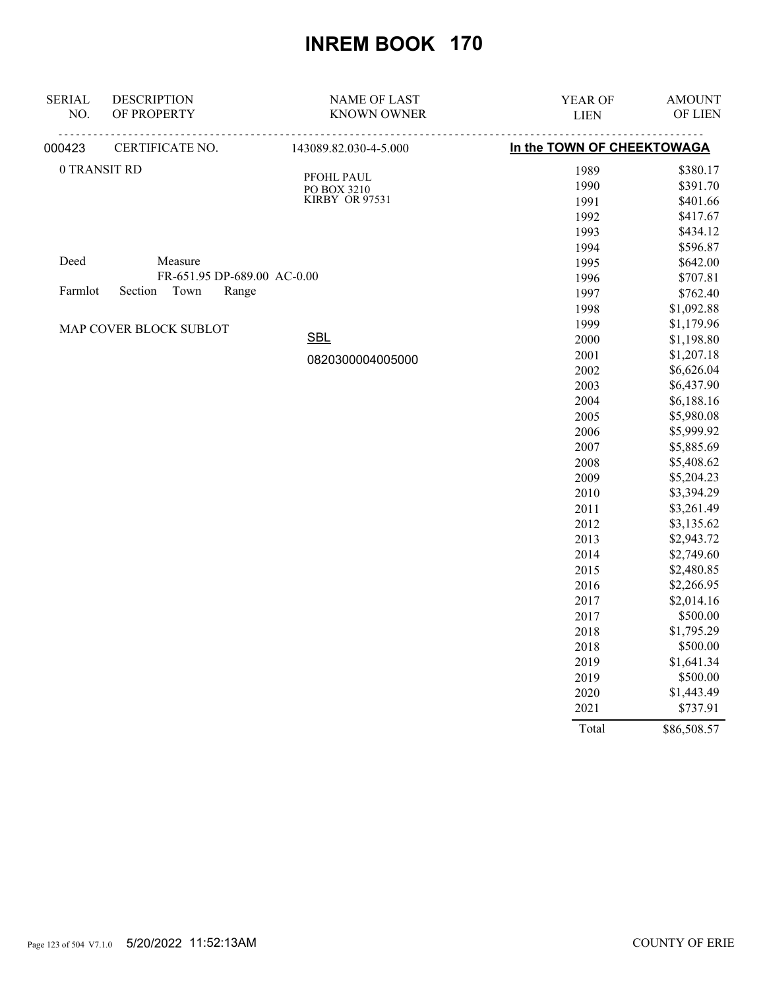| <b>SERIAL</b>                       | <b>DESCRIPTION</b>          | <b>NAME OF LAST</b>       | YEAR OF                    | <b>AMOUNT</b> |
|-------------------------------------|-----------------------------|---------------------------|----------------------------|---------------|
| NO.                                 | OF PROPERTY                 | <b>KNOWN OWNER</b>        | <b>LIEN</b>                | OF LIEN       |
| 000423                              | CERTIFICATE NO.             | 143089.82.030-4-5.000     | In the TOWN OF CHEEKTOWAGA |               |
|                                     | 0 TRANSIT RD                |                           | 1989                       | \$380.17      |
|                                     |                             | PFOHL PAUL<br>PO BOX 3210 | 1990                       | \$391.70      |
|                                     |                             | KIRBY OR 97531            | 1991                       | \$401.66      |
|                                     |                             |                           | 1992                       | \$417.67      |
|                                     |                             |                           | 1993                       | \$434.12      |
|                                     |                             |                           | 1994                       | \$596.87      |
| Deed                                | Measure                     |                           | 1995                       | \$642.00      |
|                                     | FR-651.95 DP-689.00 AC-0.00 |                           | 1996                       | \$707.81      |
| Town<br>Farmlot<br>Section<br>Range |                             |                           | 1997                       | \$762.40      |
|                                     |                             |                           | 1998                       | \$1,092.88    |
|                                     | MAP COVER BLOCK SUBLOT      |                           | 1999                       | \$1,179.96    |
|                                     |                             | <b>SBL</b>                | 2000                       | \$1,198.80    |
|                                     |                             | 0820300004005000          | 2001                       | \$1,207.18    |
|                                     |                             |                           | 2002                       | \$6,626.04    |
|                                     |                             |                           | 2003                       | \$6,437.90    |
|                                     |                             |                           | 2004                       | \$6,188.16    |
|                                     |                             |                           | 2005                       | \$5,980.08    |
|                                     |                             |                           | 2006                       | \$5,999.92    |
|                                     |                             |                           | 2007                       | \$5,885.69    |
|                                     |                             |                           | 2008                       | \$5,408.62    |
|                                     |                             |                           | 2009                       | \$5,204.23    |
|                                     |                             |                           | 2010                       | \$3,394.29    |
|                                     |                             |                           | 2011                       | \$3,261.49    |
|                                     |                             |                           | 2012                       | \$3,135.62    |
|                                     |                             |                           | 2013                       | \$2,943.72    |
|                                     |                             |                           | 2014                       | \$2,749.60    |
|                                     |                             |                           | 2015                       | \$2,480.85    |
|                                     |                             |                           | 2016                       | \$2,266.95    |
|                                     |                             |                           | 2017                       | \$2,014.16    |
|                                     |                             |                           | 2017                       | \$500.00      |
|                                     |                             |                           | 2018                       | \$1,795.29    |
|                                     |                             |                           | 2018                       | \$500.00      |
|                                     |                             |                           | 2019                       | \$1,641.34    |
|                                     |                             |                           | 2019                       | \$500.00      |
|                                     |                             |                           | 2020                       | \$1,443.49    |
|                                     |                             |                           | 2021                       | \$737.91      |
|                                     |                             |                           | Total                      | \$86,508.57   |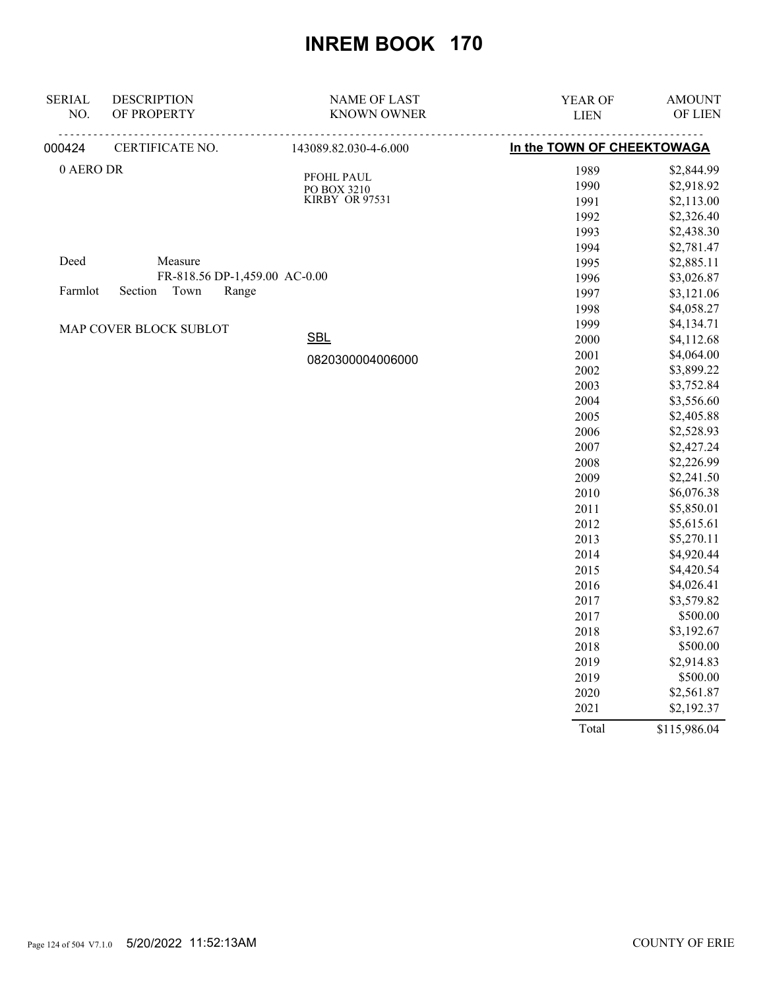| <b>SERIAL</b>              | <b>DESCRIPTION</b>            | <b>NAME OF LAST</b>       | YEAR OF                    | <b>AMOUNT</b> |
|----------------------------|-------------------------------|---------------------------|----------------------------|---------------|
| NO.                        | OF PROPERTY                   | <b>KNOWN OWNER</b>        | <b>LIEN</b>                | OF LIEN       |
| 000424                     | CERTIFICATE NO.               | 143089.82.030-4-6.000     | In the TOWN OF CHEEKTOWAGA |               |
| 0 AERO DR                  |                               |                           | 1989                       | \$2,844.99    |
|                            |                               | PFOHL PAUL<br>PO BOX 3210 | 1990                       | \$2,918.92    |
|                            |                               | KIRBY OR 97531            | 1991                       | \$2,113.00    |
|                            |                               |                           | 1992                       | \$2,326.40    |
|                            |                               |                           | 1993                       | \$2,438.30    |
|                            |                               |                           | 1994                       | \$2,781.47    |
| Deed                       | Measure                       |                           | 1995                       | \$2,885.11    |
|                            | FR-818.56 DP-1,459.00 AC-0.00 |                           | 1996                       | \$3,026.87    |
| Section<br>Town<br>Farmlot | Range                         |                           | 1997                       | \$3,121.06    |
|                            |                               |                           | 1998                       | \$4,058.27    |
|                            | MAP COVER BLOCK SUBLOT        |                           | 1999                       | \$4,134.71    |
|                            |                               | <b>SBL</b>                | 2000                       | \$4,112.68    |
|                            |                               | 0820300004006000          | 2001                       | \$4,064.00    |
|                            |                               |                           | 2002                       | \$3,899.22    |
|                            |                               |                           | 2003                       | \$3,752.84    |
|                            |                               |                           | 2004                       | \$3,556.60    |
|                            |                               |                           | 2005                       | \$2,405.88    |
|                            |                               |                           | 2006                       | \$2,528.93    |
|                            |                               |                           | 2007                       | \$2,427.24    |
|                            |                               |                           | 2008                       | \$2,226.99    |
|                            |                               |                           | 2009                       | \$2,241.50    |
|                            |                               |                           | 2010                       | \$6,076.38    |
|                            |                               |                           | 2011                       | \$5,850.01    |
|                            |                               |                           | 2012                       | \$5,615.61    |
|                            |                               |                           | 2013                       | \$5,270.11    |
|                            |                               |                           | 2014                       | \$4,920.44    |
|                            |                               |                           | 2015                       | \$4,420.54    |
|                            |                               |                           | 2016                       | \$4,026.41    |
|                            |                               |                           | 2017                       | \$3,579.82    |
|                            |                               |                           | 2017                       | \$500.00      |
|                            |                               |                           | 2018                       | \$3,192.67    |
|                            |                               |                           | 2018                       | \$500.00      |
|                            |                               |                           | 2019                       | \$2,914.83    |
|                            |                               |                           | 2019                       | \$500.00      |
|                            |                               |                           | 2020                       | \$2,561.87    |
|                            |                               |                           | 2021                       | \$2,192.37    |
|                            |                               |                           | Total                      | \$115,986.04  |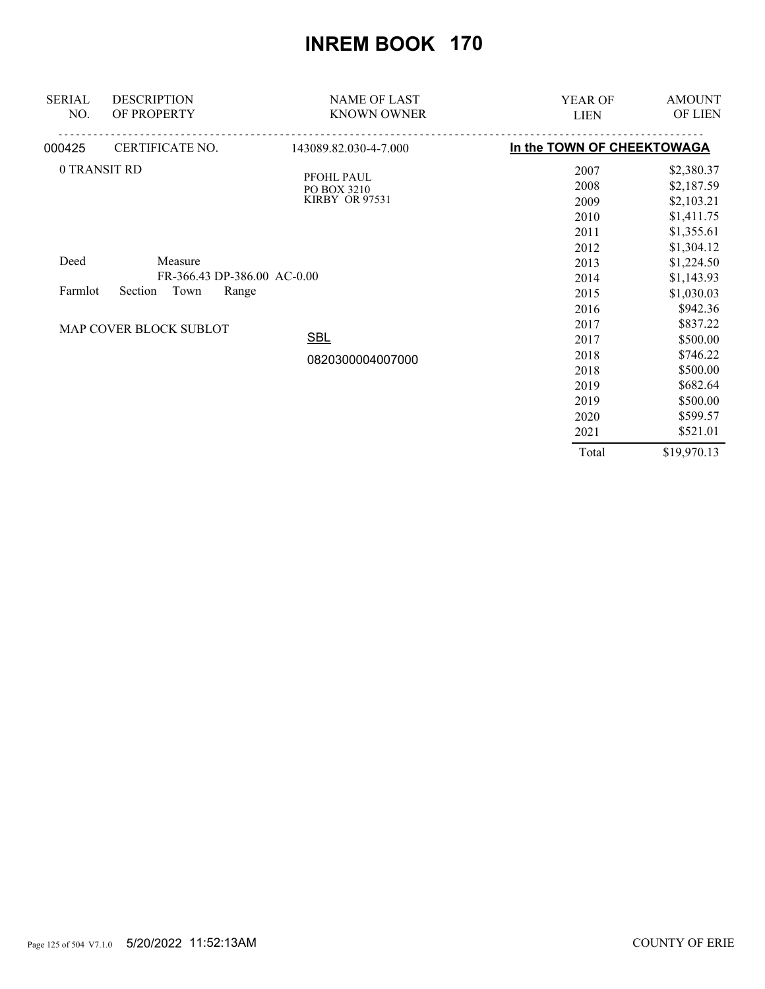| <b>SERIAL</b><br>NO. | <b>DESCRIPTION</b><br>OF PROPERTY | <b>NAME OF LAST</b><br><b>KNOWN OWNER</b> | <b>YEAR OF</b>             | <b>AMOUNT</b><br>OF LIEN |
|----------------------|-----------------------------------|-------------------------------------------|----------------------------|--------------------------|
|                      |                                   |                                           | <b>LIEN</b>                |                          |
| 000425               | CERTIFICATE NO.                   | 143089.82.030-4-7.000                     | In the TOWN OF CHEEKTOWAGA |                          |
| 0 TRANSIT RD         |                                   | PFOHL PAUL                                | 2007                       | \$2,380.37               |
|                      |                                   | PO BOX 3210                               | 2008                       | \$2,187.59               |
|                      |                                   | KIRBY OR 97531                            | 2009                       | \$2,103.21               |
|                      |                                   |                                           | 2010                       | \$1,411.75               |
|                      |                                   |                                           | 2011                       | \$1,355.61               |
|                      |                                   |                                           | 2012                       | \$1,304.12               |
| Deed                 | Measure                           |                                           | 2013                       | \$1,224.50               |
|                      | FR-366.43 DP-386.00 AC-0.00       |                                           | 2014                       | \$1,143.93               |
| Farmlot              | Town<br>Range<br>Section          |                                           | 2015                       | \$1,030.03               |
|                      |                                   |                                           | 2016                       | \$942.36                 |
|                      | MAP COVER BLOCK SUBLOT            |                                           | 2017                       | \$837.22                 |
|                      |                                   | <b>SBL</b>                                | 2017                       | \$500.00                 |
|                      |                                   | 0820300004007000                          | 2018                       | \$746.22                 |
|                      |                                   |                                           | 2018                       | \$500.00                 |
|                      |                                   |                                           | 2019                       | \$682.64                 |
|                      |                                   |                                           | 2019                       | \$500.00                 |
|                      |                                   |                                           | 2020                       | \$599.57                 |
|                      |                                   |                                           | 2021                       | \$521.01                 |
|                      |                                   |                                           | Total                      | \$19,970.13              |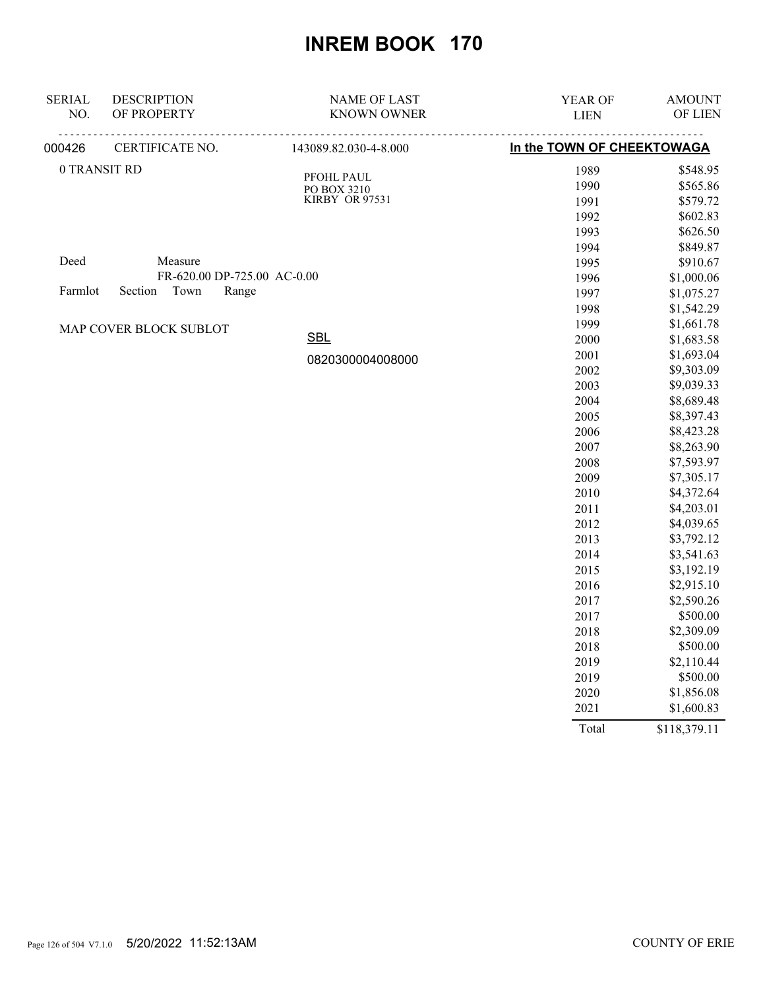| <b>SERIAL</b> | <b>DESCRIPTION</b>          | <b>NAME OF LAST</b>       | YEAR OF                    | <b>AMOUNT</b> |
|---------------|-----------------------------|---------------------------|----------------------------|---------------|
| NO.           | OF PROPERTY                 | <b>KNOWN OWNER</b>        | <b>LIEN</b>                | OF LIEN       |
| 000426        | CERTIFICATE NO.             | 143089.82.030-4-8.000     | In the TOWN OF CHEEKTOWAGA |               |
|               | 0 TRANSIT RD                |                           | 1989                       | \$548.95      |
|               |                             | PFOHL PAUL<br>PO BOX 3210 | 1990                       | \$565.86      |
|               |                             | KIRBY OR 97531            | 1991                       | \$579.72      |
|               |                             |                           | 1992                       | \$602.83      |
|               |                             |                           | 1993                       | \$626.50      |
|               |                             |                           | 1994                       | \$849.87      |
| Deed          | Measure                     |                           | 1995                       | \$910.67      |
|               | FR-620.00 DP-725.00 AC-0.00 |                           | 1996                       | \$1,000.06    |
| Farmlot       | Town<br>Section<br>Range    |                           | 1997                       | \$1,075.27    |
|               |                             |                           | 1998                       | \$1,542.29    |
|               | MAP COVER BLOCK SUBLOT      |                           | 1999                       | \$1,661.78    |
|               |                             | <b>SBL</b>                | 2000                       | \$1,683.58    |
|               |                             | 0820300004008000          | 2001                       | \$1,693.04    |
|               |                             |                           | 2002                       | \$9,303.09    |
|               |                             |                           | 2003                       | \$9,039.33    |
|               |                             |                           | 2004                       | \$8,689.48    |
|               |                             |                           | 2005                       | \$8,397.43    |
|               |                             |                           | 2006                       | \$8,423.28    |
|               |                             |                           | 2007                       | \$8,263.90    |
|               |                             |                           | 2008                       | \$7,593.97    |
|               |                             |                           | 2009                       | \$7,305.17    |
|               |                             |                           | 2010                       | \$4,372.64    |
|               |                             |                           | 2011                       | \$4,203.01    |
|               |                             |                           | 2012                       | \$4,039.65    |
|               |                             |                           | 2013                       | \$3,792.12    |
|               |                             |                           | 2014                       | \$3,541.63    |
|               |                             |                           | 2015                       | \$3,192.19    |
|               |                             |                           | 2016                       | \$2,915.10    |
|               |                             |                           | 2017                       | \$2,590.26    |
|               |                             |                           | 2017                       | \$500.00      |
|               |                             |                           | 2018                       | \$2,309.09    |
|               |                             |                           | 2018                       | \$500.00      |
|               |                             |                           | 2019                       | \$2,110.44    |
|               |                             |                           | 2019                       | \$500.00      |
|               |                             |                           | 2020                       | \$1,856.08    |
|               |                             |                           | 2021                       | \$1,600.83    |
|               |                             |                           | Total                      | \$118,379.11  |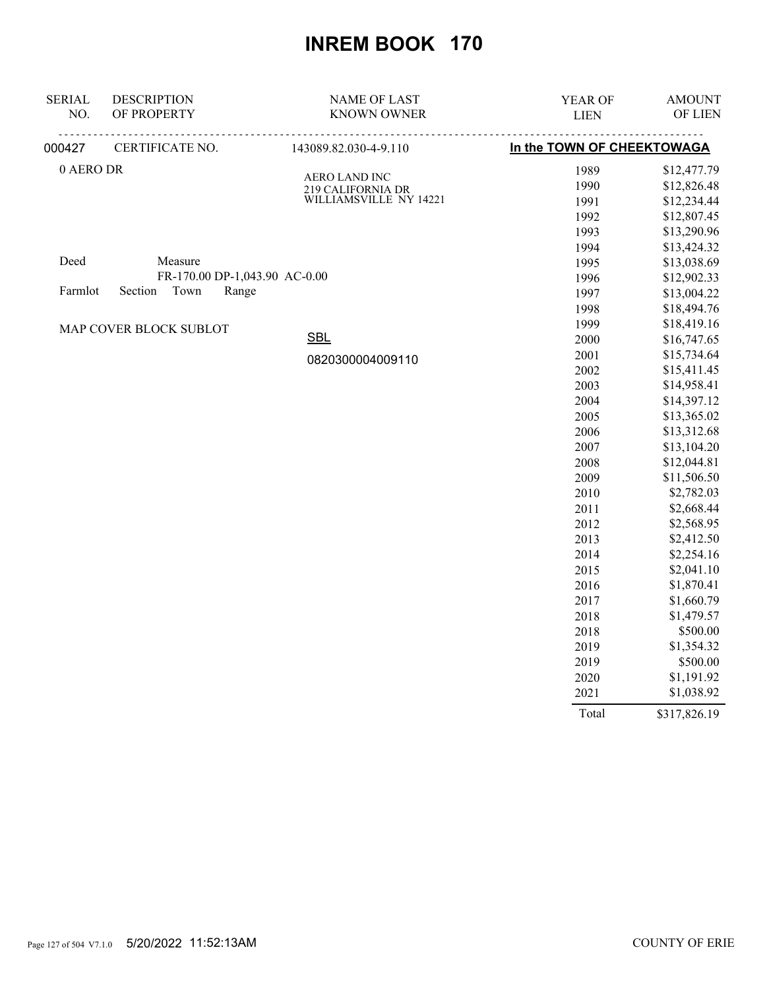| <b>SERIAL</b> | <b>DESCRIPTION</b>            | <b>NAME OF LAST</b>                         | YEAR OF                    | <b>AMOUNT</b> |
|---------------|-------------------------------|---------------------------------------------|----------------------------|---------------|
| NO.           | OF PROPERTY                   | <b>KNOWN OWNER</b>                          | <b>LIEN</b>                | OF LIEN       |
| 000427        | CERTIFICATE NO.               | 143089.82.030-4-9.110                       | In the TOWN OF CHEEKTOWAGA |               |
| 0 AERO DR     |                               | <b>AERO LAND INC</b>                        | 1989                       | \$12,477.79   |
|               |                               | 219 CALIFORNIA DR<br>WILLIAMSVILLE NY 14221 | 1990                       | \$12,826.48   |
|               |                               |                                             | 1991                       | \$12,234.44   |
|               |                               |                                             | 1992                       | \$12,807.45   |
|               |                               |                                             | 1993                       | \$13,290.96   |
|               |                               |                                             | 1994                       | \$13,424.32   |
| Deed          | Measure                       |                                             | 1995                       | \$13,038.69   |
|               | FR-170.00 DP-1,043.90 AC-0.00 |                                             | 1996                       | \$12,902.33   |
| Farmlot       | Town<br>Section<br>Range      |                                             | 1997                       | \$13,004.22   |
|               |                               |                                             | 1998                       | \$18,494.76   |
|               | MAP COVER BLOCK SUBLOT        |                                             | 1999                       | \$18,419.16   |
|               |                               | <b>SBL</b>                                  | 2000                       | \$16,747.65   |
|               |                               | 0820300004009110                            | 2001                       | \$15,734.64   |
|               |                               |                                             | 2002                       | \$15,411.45   |
|               |                               |                                             | 2003                       | \$14,958.41   |
|               |                               |                                             | 2004                       | \$14,397.12   |
|               |                               |                                             | 2005                       | \$13,365.02   |
|               |                               |                                             | 2006                       | \$13,312.68   |
|               |                               |                                             | 2007                       | \$13,104.20   |
|               |                               |                                             | 2008                       | \$12,044.81   |
|               |                               |                                             | 2009                       | \$11,506.50   |
|               |                               |                                             | 2010                       | \$2,782.03    |
|               |                               |                                             | 2011                       | \$2,668.44    |
|               |                               |                                             | 2012                       | \$2,568.95    |
|               |                               |                                             | 2013                       | \$2,412.50    |
|               |                               |                                             | 2014                       | \$2,254.16    |
|               |                               |                                             | 2015                       | \$2,041.10    |
|               |                               |                                             | 2016                       | \$1,870.41    |
|               |                               |                                             | 2017                       | \$1,660.79    |
|               |                               |                                             | 2018                       | \$1,479.57    |
|               |                               |                                             | 2018                       | \$500.00      |
|               |                               |                                             | 2019                       | \$1,354.32    |
|               |                               |                                             | 2019                       | \$500.00      |
|               |                               |                                             | 2020                       | \$1,191.92    |
|               |                               |                                             | 2021                       | \$1,038.92    |

Total \$317,826.19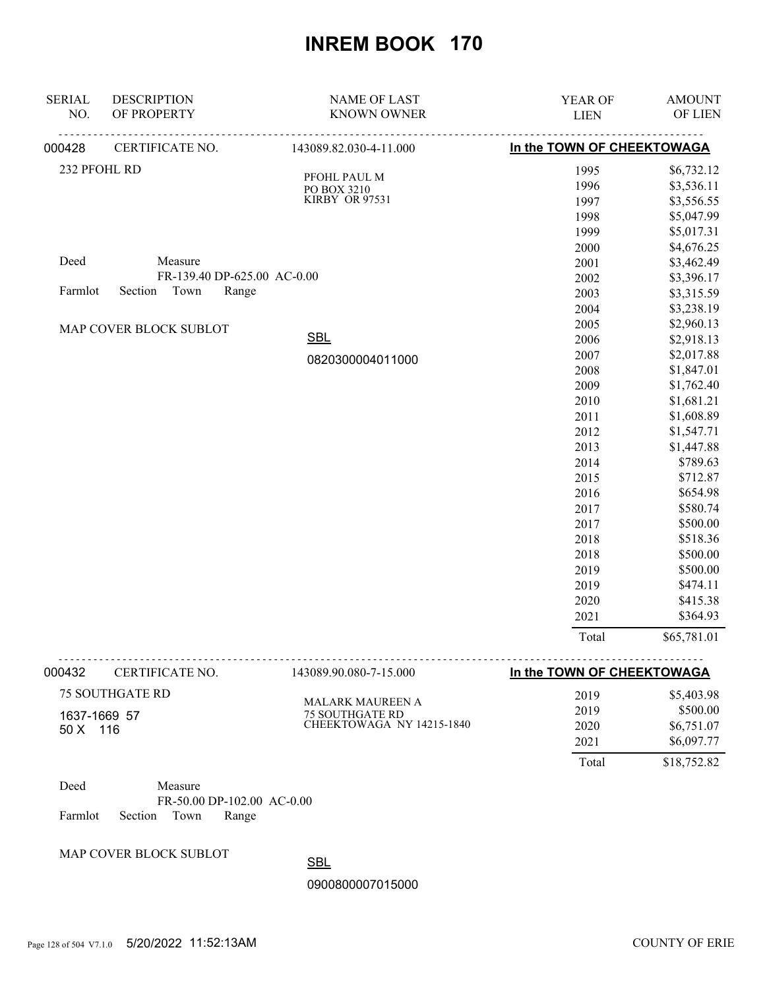| <b>SERIAL</b> | <b>DESCRIPTION</b>          | <b>NAME OF LAST</b>    | YEAR OF                    | <b>AMOUNT</b> |
|---------------|-----------------------------|------------------------|----------------------------|---------------|
| NO.           | OF PROPERTY                 | <b>KNOWN OWNER</b>     | <b>LIEN</b>                | OF LIEN       |
| 000428        | CERTIFICATE NO.             | 143089.82.030-4-11.000 | In the TOWN OF CHEEKTOWAGA |               |
| 232 PFOHL RD  |                             | PFOHL PAUL M           | 1995                       | \$6,732.12    |
|               |                             | PO BOX 3210            | 1996                       | \$3,536.11    |
|               |                             | KIRBY OR 97531         | 1997                       | \$3,556.55    |
|               |                             |                        | 1998                       | \$5,047.99    |
|               |                             |                        | 1999                       | \$5,017.31    |
|               |                             |                        | 2000                       | \$4,676.25    |
| Deed          | Measure                     |                        | 2001                       | \$3,462.49    |
|               | FR-139.40 DP-625.00 AC-0.00 |                        | 2002                       | \$3,396.17    |
| Farmlot       | Section Town<br>Range       |                        | 2003                       | \$3,315.59    |
|               |                             |                        | 2004                       | \$3,238.19    |
|               | MAP COVER BLOCK SUBLOT      |                        | 2005                       | \$2,960.13    |
|               |                             | <b>SBL</b>             | 2006                       | \$2,918.13    |
|               |                             | 0820300004011000       | 2007                       | \$2,017.88    |
|               |                             |                        | 2008                       | \$1,847.01    |
|               |                             |                        | 2009                       | \$1,762.40    |
|               |                             |                        | 2010                       | \$1,681.21    |
|               |                             |                        | 2011                       | \$1,608.89    |
|               |                             |                        | 2012                       | \$1,547.71    |
|               |                             |                        | 2013                       | \$1,447.88    |
|               |                             |                        | 2014                       | \$789.63      |
|               |                             |                        | 2015                       | \$712.87      |
|               |                             |                        | 2016                       | \$654.98      |
|               |                             |                        | 2017                       | \$580.74      |
|               |                             |                        | 2017                       | \$500.00      |
|               |                             |                        | 2018                       | \$518.36      |
|               |                             |                        | 2018                       | \$500.00      |
|               |                             |                        | 2019                       | \$500.00      |
|               |                             |                        | 2019                       | \$474.11      |
|               |                             |                        | 2020                       | \$415.38      |
|               |                             |                        | 2021                       | \$364.93      |
|               |                             |                        | Total                      | \$65,781.01   |

| 000432                     | CERTIFICATE NO.           | 143089.90.080-7-15.000  | In the TOWN OF CHEEKTOWAGA |             |
|----------------------------|---------------------------|-------------------------|----------------------------|-------------|
|                            | <b>75 SOUTHGATE RD</b>    | <b>MALARK MAUREEN A</b> | 2019                       | \$5,403.98  |
|                            |                           | <b>75 SOUTHGATE RD</b>  | 2019                       | \$500.00    |
| 1637-1669 57<br>$50 X$ 116 | CHEEKTOWAGA NY 14215-1840 | 2020                    | \$6,751.07                 |             |
|                            |                           | 2021                    | \$6,097.77                 |             |
|                            |                           |                         | Total                      | \$18,752.82 |
| $\mathbf{r}$ 1             | $\mathbf{v}$              |                         |                            |             |

Deed Measure FR-50.00 DP-102.00 AC-0.00 Farmlot Section Town Range

#### MAP COVER BLOCK SUBLOT

**SBL**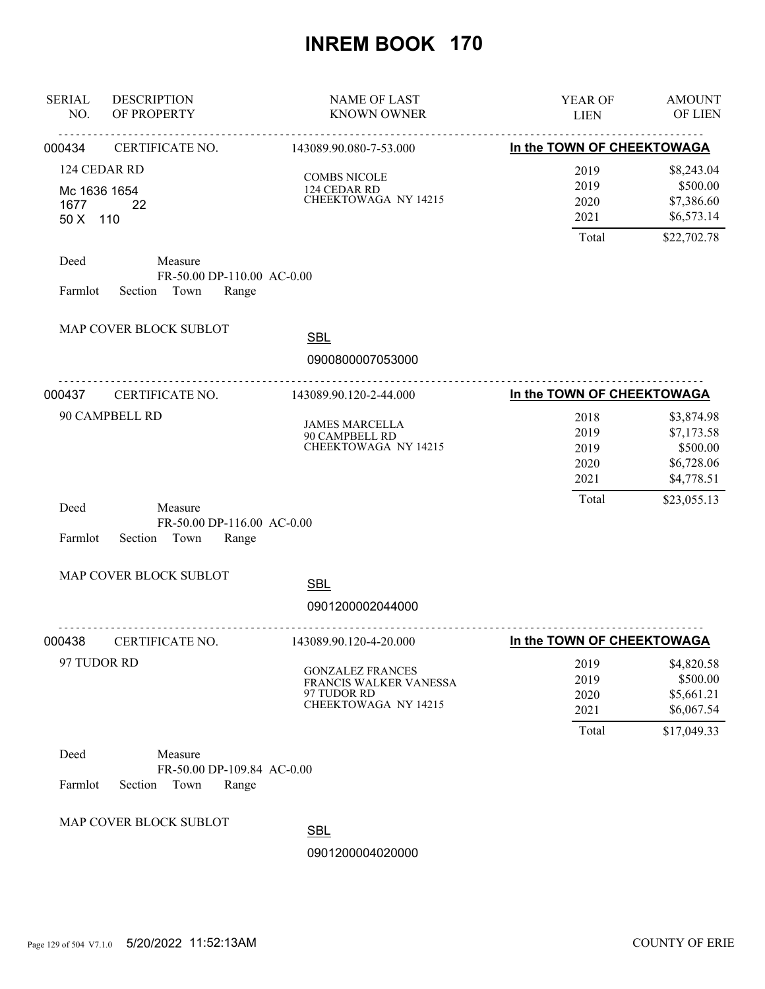| <b>SERIAL</b><br>NO.                             | <b>DESCRIPTION</b><br>OF PROPERTY                                 | <b>NAME OF LAST</b><br><b>KNOWN OWNER</b>                                                | YEAR OF<br><b>LIEN</b>                | <b>AMOUNT</b><br>OF LIEN                                         |
|--------------------------------------------------|-------------------------------------------------------------------|------------------------------------------------------------------------------------------|---------------------------------------|------------------------------------------------------------------|
| 000434                                           | CERTIFICATE NO.                                                   | 143089.90.080-7-53.000                                                                   | In the TOWN OF CHEEKTOWAGA            |                                                                  |
| 124 CEDAR RD<br>Mc 1636 1654<br>1677<br>50 X 110 | 22                                                                | <b>COMBS NICOLE</b><br>124 CEDAR RD<br>CHEEKTOWAGA NY 14215                              | 2019<br>2019<br>2020<br>2021<br>Total | \$8,243.04<br>\$500.00<br>\$7,386.60<br>\$6,573.14               |
| Deed<br>Farmlot                                  | Measure<br>FR-50.00 DP-110.00 AC-0.00<br>Section Town<br>Range    |                                                                                          |                                       | \$22,702.78                                                      |
|                                                  | MAP COVER BLOCK SUBLOT                                            | <b>SBL</b>                                                                               |                                       |                                                                  |
|                                                  |                                                                   | 0900800007053000                                                                         |                                       |                                                                  |
| 000437                                           | .<br>CERTIFICATE NO.                                              | <u>.</u><br>143089.90.120-2-44.000                                                       | In the TOWN OF CHEEKTOWAGA            |                                                                  |
|                                                  | 90 CAMPBELL RD                                                    | <b>JAMES MARCELLA</b><br>90 CAMPBELL RD<br>CHEEKTOWAGA NY 14215                          | 2018<br>2019<br>2019<br>2020<br>2021  | \$3,874.98<br>\$7,173.58<br>\$500.00<br>\$6,728.06<br>\$4,778.51 |
| Deed<br>Farmlot                                  | Measure<br>FR-50.00 DP-116.00 AC-0.00<br>Section<br>Town<br>Range |                                                                                          | Total                                 | \$23,055.13                                                      |
|                                                  | MAP COVER BLOCK SUBLOT                                            | <b>SBL</b>                                                                               |                                       |                                                                  |
|                                                  |                                                                   | 0901200002044000                                                                         |                                       |                                                                  |
| 000438                                           | CERTIFICATE NO.                                                   | 143089.90.120-4-20.000                                                                   | In the TOWN OF CHEEKTOWAGA            |                                                                  |
| 97 TUDOR RD                                      |                                                                   | <b>GONZALEZ FRANCES</b><br>FRANCIS WALKER VANESSA<br>97 TUDOR RD<br>CHEEKTOWAGA NY 14215 | 2019<br>2019<br>2020<br>2021          | \$4,820.58<br>\$500.00<br>\$5,661.21<br>\$6,067.54               |
|                                                  |                                                                   |                                                                                          | Total                                 | \$17,049.33                                                      |
| Deed<br>Farmlot                                  | Measure<br>FR-50.00 DP-109.84 AC-0.00<br>Section<br>Town<br>Range |                                                                                          |                                       |                                                                  |
|                                                  | MAP COVER BLOCK SUBLOT                                            | <b>SBL</b><br>0901200004020000                                                           |                                       |                                                                  |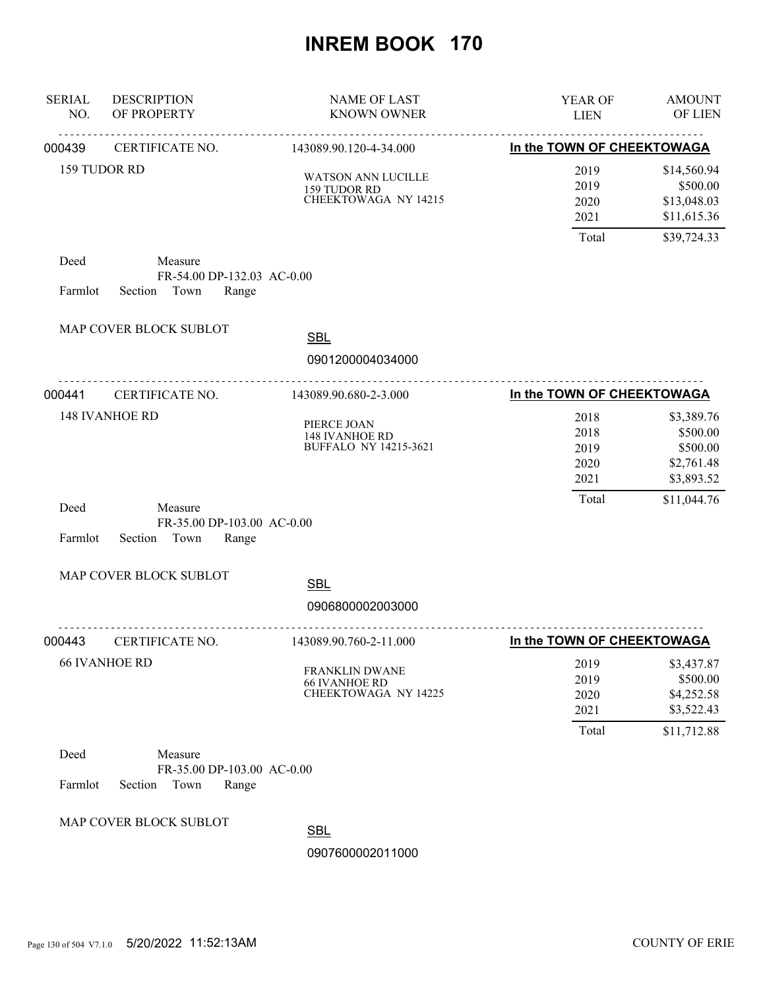| <b>SERIAL</b><br>NO. | <b>DESCRIPTION</b><br>OF PROPERTY                                 | <b>NAME OF LAST</b><br><b>KNOWN OWNER</b>                            | YEAR OF<br><b>LIEN</b>                | <b>AMOUNT</b><br>OF LIEN                                          |
|----------------------|-------------------------------------------------------------------|----------------------------------------------------------------------|---------------------------------------|-------------------------------------------------------------------|
| 000439               | <b>CERTIFICATE NO.</b>                                            | 143089.90.120-4-34.000                                               | In the TOWN OF CHEEKTOWAGA            |                                                                   |
|                      | 159 TUDOR RD                                                      | WATSON ANN LUCILLE<br>159 TUDOR RD<br>CHEEKTOWAGA NY 14215           | 2019<br>2019<br>2020<br>2021          | \$14,560.94<br>\$500.00<br>\$13,048.03<br>\$11,615.36             |
| Deed                 | Measure<br>FR-54.00 DP-132.03 AC-0.00                             |                                                                      | Total                                 | \$39,724.33                                                       |
| Farmlot              | Section Town<br>Range                                             |                                                                      |                                       |                                                                   |
|                      | MAP COVER BLOCK SUBLOT                                            | <b>SBL</b><br>0901200004034000                                       |                                       |                                                                   |
| 000441               | .<br>CERTIFICATE NO.                                              | <u>.</u><br>143089.90.680-2-3.000                                    | In the TOWN OF CHEEKTOWAGA            |                                                                   |
|                      | <b>148 IVANHOE RD</b>                                             | PIERCE JOAN<br><b>148 IVANHOE RD</b><br><b>BUFFALO NY 14215-3621</b> | 2018<br>2018<br>2019<br>2020<br>2021  | \$3,389.76<br>\$500.00<br>\$500.00<br>\$2,761.48<br>\$3,893.52    |
| Deed<br>Farmlot      | Measure<br>FR-35.00 DP-103.00 AC-0.00<br>Section<br>Town<br>Range |                                                                      | Total                                 | \$11,044.76                                                       |
|                      | MAP COVER BLOCK SUBLOT                                            | <b>SBL</b>                                                           |                                       |                                                                   |
|                      |                                                                   | 0906800002003000                                                     |                                       |                                                                   |
| 000443               | CERTIFICATE NO.                                                   | 143089.90.760-2-11.000                                               | In the TOWN OF CHEEKTOWAGA            |                                                                   |
|                      | <b>66 IVANHOE RD</b>                                              | FRANKLIN DWANE<br><b>66 IVANHOE RD</b><br>CHEEKTOWAGA NY 14225       | 2019<br>2019<br>2020<br>2021<br>Total | \$3,437.87<br>\$500.00<br>\$4,252.58<br>\$3,522.43<br>\$11,712.88 |
| Deed<br>Farmlot      | Measure<br>FR-35.00 DP-103.00 AC-0.00<br>Section<br>Town<br>Range |                                                                      |                                       |                                                                   |
|                      | MAP COVER BLOCK SUBLOT                                            | <b>SBL</b><br>0907600002011000                                       |                                       |                                                                   |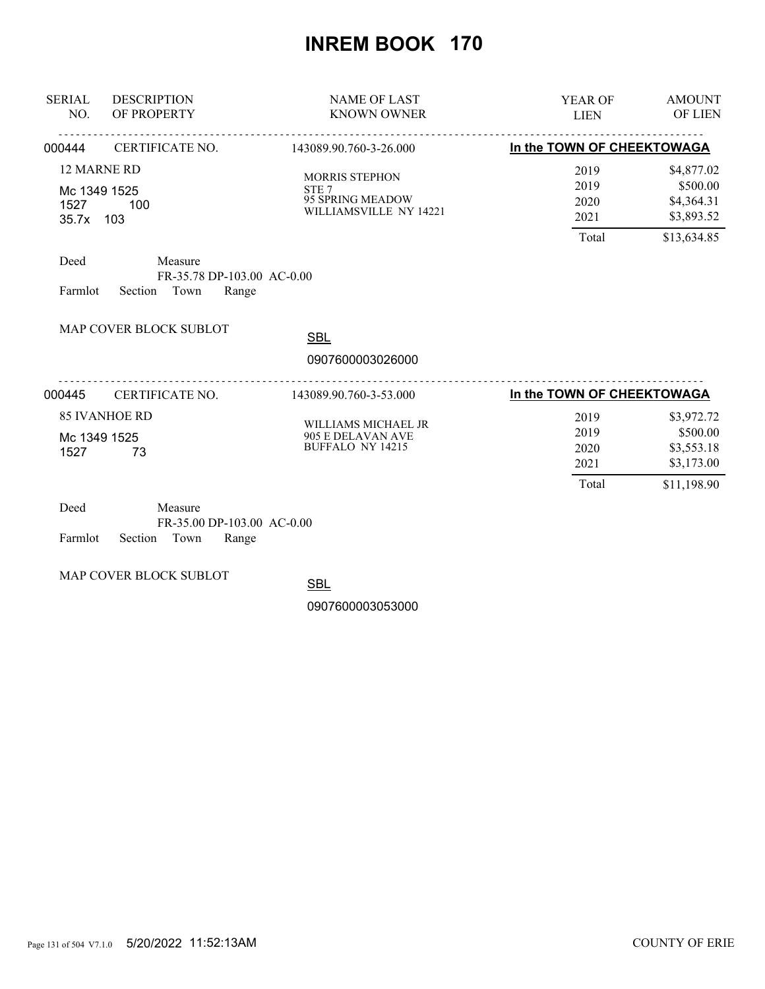| <b>SERIAL</b><br>NO.                      | <b>DESCRIPTION</b><br>OF PROPERTY                           | <b>NAME OF LAST</b><br><b>KNOWN OWNER</b>                                               | <b>AMOUNT</b><br><b>YEAR OF</b><br><b>OF LIEN</b><br><b>LIEN</b>                                           |
|-------------------------------------------|-------------------------------------------------------------|-----------------------------------------------------------------------------------------|------------------------------------------------------------------------------------------------------------|
| 000444                                    | CERTIFICATE NO.                                             | 143089.90.760-3-26.000                                                                  | In the TOWN OF CHEEKTOWAGA                                                                                 |
| Mc 1349 1525<br>1527<br>35.7x 103<br>Deed | 12 MARNE RD<br>100<br>Measure<br>FR-35.78 DP-103.00 AC-0.00 | <b>MORRIS STEPHON</b><br>STE <sub>7</sub><br>95 SPRING MEADOW<br>WILLIAMSVILLE NY 14221 | \$4,877.02<br>2019<br>\$500.00<br>2019<br>\$4,364.31<br>2020<br>\$3,893.52<br>2021<br>Total<br>\$13,634.85 |
| Farmlot                                   | Section<br>Town<br>Range                                    |                                                                                         |                                                                                                            |
|                                           | MAP COVER BLOCK SUBLOT                                      | <b>SBL</b><br>0907600003026000                                                          |                                                                                                            |
| 000445                                    | <u>.</u><br>CERTIFICATE NO.                                 | .<br>143089.90.760-3-53.000                                                             | In the TOWN OF CHEEKTOWAGA                                                                                 |
| Mc 1349 1525<br>1527                      | <b>85 IVANHOE RD</b><br>73                                  | WILLIAMS MICHAEL JR<br>905 E DELAVAN AVE<br><b>BUFFALO NY 14215</b>                     | \$3,972.72<br>2019<br>\$500.00<br>2019<br>\$3,553.18<br>2020<br>\$3,173.00<br>2021<br>Total<br>\$11,198.90 |
| Deed                                      | Measure                                                     |                                                                                         |                                                                                                            |

| Deed |                            | Measure |                            |  |
|------|----------------------------|---------|----------------------------|--|
|      |                            |         | FR-35.00 DP-103.00 AC-0.00 |  |
|      | Farmlot Section Town Range |         |                            |  |

MAP COVER BLOCK SUBLOT

**SBL**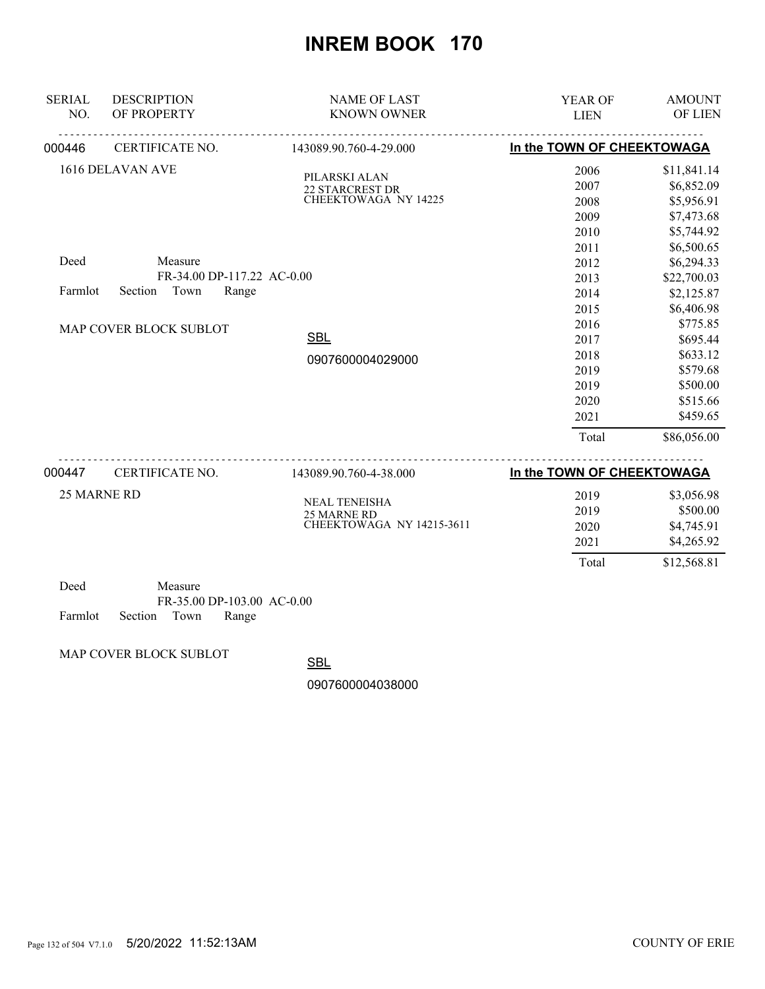| <b>SERIAL</b><br>NO.   | <b>DESCRIPTION</b><br>OF PROPERTY | <b>NAME OF LAST</b><br><b>KNOWN OWNER</b> | YEAR OF<br><b>LIEN</b>     | <b>AMOUNT</b><br>OF LIEN  |
|------------------------|-----------------------------------|-------------------------------------------|----------------------------|---------------------------|
| 000446                 | CERTIFICATE NO.                   | 143089.90.760-4-29.000                    | In the TOWN OF CHEEKTOWAGA |                           |
|                        | 1616 DELAVAN AVE                  | PILARSKI ALAN<br><b>22 STARCREST DR</b>   | 2006<br>2007               | \$11,841.14<br>\$6,852.09 |
|                        |                                   | CHEEKTOWAGA NY 14225                      | 2008                       | \$5,956.91                |
|                        |                                   |                                           | 2009<br>2010               | \$7,473.68<br>\$5,744.92  |
|                        |                                   |                                           | 2011                       | \$6,500.65                |
| Deed                   | Measure                           |                                           | 2012                       | \$6,294.33                |
|                        | FR-34.00 DP-117.22 AC-0.00        |                                           | 2013                       | \$22,700.03               |
| Farmlot                | Town<br>Section<br>Range          |                                           | 2014                       | \$2,125.87                |
|                        |                                   |                                           | 2015                       | \$6,406.98                |
| MAP COVER BLOCK SUBLOT |                                   | 2016                                      | \$775.85                   |                           |
|                        |                                   | <b>SBL</b>                                | 2017                       | \$695.44                  |
|                        |                                   | 0907600004029000                          | 2018                       | \$633.12                  |
|                        |                                   |                                           | 2019                       | \$579.68                  |
|                        |                                   |                                           | 2019                       | \$500.00                  |
|                        |                                   |                                           | 2020                       | \$515.66                  |
|                        |                                   |                                           | 2021                       | \$459.65                  |
|                        |                                   |                                           | Total                      | \$86,056.00               |
| 000447                 | <u>.</u><br>CERTIFICATE NO.       | 143089.90.760-4-38.000                    | In the TOWN OF CHEEKTOWAGA |                           |
| 25 MARNE RD            |                                   | <b>NEAL TENEISHA</b>                      | 2019                       | \$3,056.98                |
|                        |                                   | 25 MARNE RD                               | 2019                       | \$500.00                  |
|                        |                                   | CHEEKTOWAGA NY 14215-3611                 | 2020                       | \$4,745.91                |
|                        |                                   |                                           | 2021                       | \$4,265.92                |
|                        |                                   |                                           | Total                      | \$12,568.81               |

| Deed |                            | Measure |                            |  |
|------|----------------------------|---------|----------------------------|--|
|      |                            |         | FR-35.00 DP-103.00 AC-0.00 |  |
|      | Farmlot Section Town Range |         |                            |  |

MAP COVER BLOCK SUBLOT

**SBL**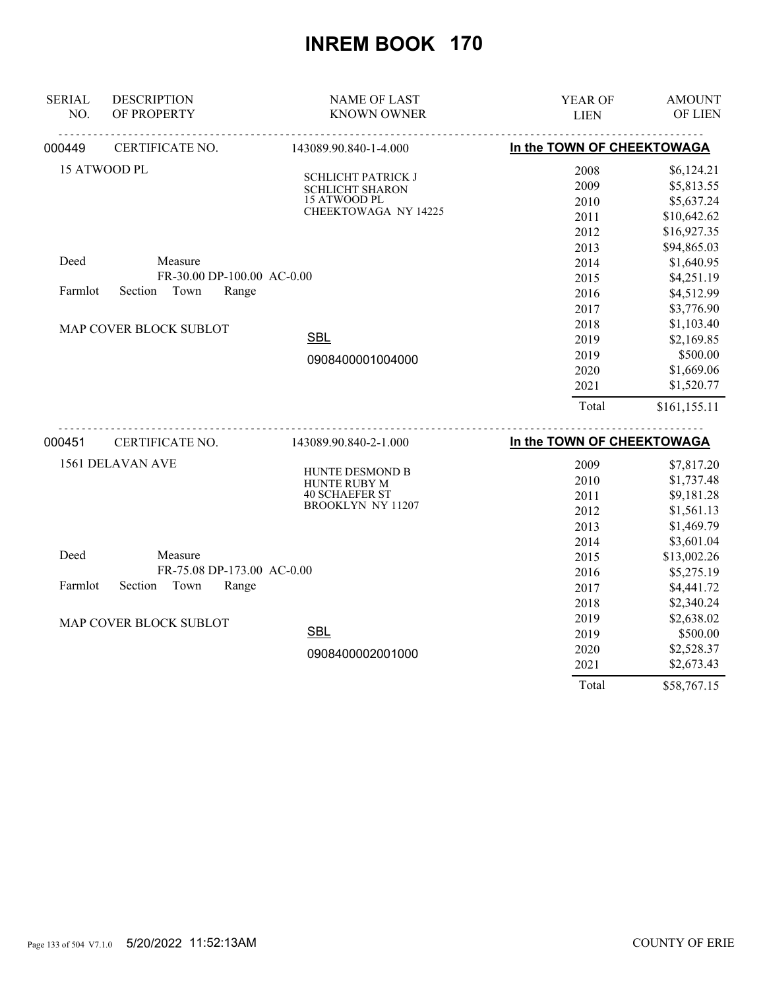| <b>SERIAL</b> | <b>DESCRIPTION</b>         | <b>NAME OF LAST</b>                    | YEAR OF                    | <b>AMOUNT</b> |
|---------------|----------------------------|----------------------------------------|----------------------------|---------------|
| NO.           | OF PROPERTY                | <b>KNOWN OWNER</b>                     | <b>LIEN</b>                | OF LIEN       |
| 000449        | CERTIFICATE NO.            | 143089.90.840-1-4.000                  | In the TOWN OF CHEEKTOWAGA |               |
|               | 15 ATWOOD PL               | <b>SCHLICHT PATRICK J</b>              | 2008                       | \$6,124.21    |
|               |                            | SCHLICHT SHARON                        | 2009                       | \$5,813.55    |
|               |                            | 15 ATWOOD PL                           | 2010                       | \$5,637.24    |
|               |                            | CHEEKTOWAGA NY 14225                   | 2011                       | \$10,642.62   |
|               |                            |                                        | 2012                       | \$16,927.35   |
|               |                            |                                        | 2013                       | \$94,865.03   |
| Deed          | Measure                    |                                        | 2014                       | \$1,640.95    |
|               | FR-30.00 DP-100.00 AC-0.00 |                                        | 2015                       | \$4,251.19    |
| Farmlot       | Town<br>Section<br>Range   |                                        | 2016                       | \$4,512.99    |
|               |                            |                                        | 2017                       | \$3,776.90    |
|               | MAP COVER BLOCK SUBLOT     |                                        | 2018                       | \$1,103.40    |
|               |                            | <b>SBL</b>                             | 2019                       | \$2,169.85    |
|               |                            | 0908400001004000                       | 2019                       | \$500.00      |
|               |                            |                                        | 2020                       | \$1,669.06    |
|               |                            |                                        | 2021                       | \$1,520.77    |
|               |                            |                                        | Total                      | \$161,155.11  |
| 000451        | .<br>CERTIFICATE NO.       | 143089.90.840-2-1.000                  | In the TOWN OF CHEEKTOWAGA |               |
|               | 1561 DELAVAN AVE           |                                        | 2009                       | \$7,817.20    |
|               |                            | HUNTE DESMOND B<br><b>HUNTE RUBY M</b> | 2010                       | \$1,737.48    |
|               |                            | <b>40 SCHAEFER ST</b>                  | 2011                       | \$9,181.28    |
|               |                            | <b>BROOKLYN NY 11207</b>               | 2012                       | \$1,561.13    |
|               |                            |                                        | 2013                       | \$1,469.79    |
|               |                            |                                        | 2014                       | \$3,601.04    |
| Deed          | Measure                    |                                        | 2015                       | \$13,002.26   |
|               | FR-75.08 DP-173.00 AC-0.00 |                                        | 2016                       | \$5,275.19    |
| Farmlot       | Town<br>Section<br>Range   |                                        | 2017                       | \$4,441.72    |
|               |                            |                                        | 2018                       | \$2,340.24    |
|               | MAP COVER BLOCK SUBLOT     |                                        | 2019                       | \$2,638.02    |
|               |                            | <b>SBL</b>                             | 2019                       | \$500.00      |
|               |                            | 0908400002001000                       | 2020                       | \$2,528.37    |
|               |                            |                                        | 2021                       | \$2,673.43    |
|               |                            |                                        | Total                      | \$58,767.15   |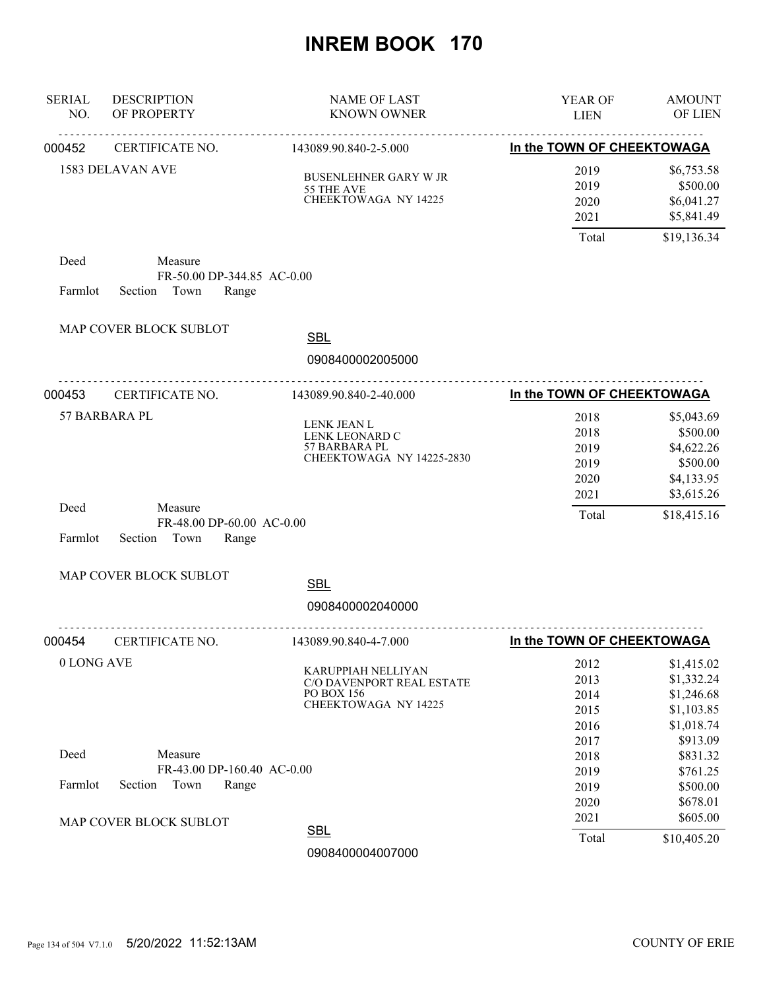| <b>SERIAL</b><br>NO. | <b>DESCRIPTION</b><br>OF PROPERTY                                 | <b>NAME OF LAST</b><br><b>KNOWN OWNER</b>                                                    | YEAR OF<br><b>LIEN</b>                       | <b>AMOUNT</b><br>OF LIEN                                                     |
|----------------------|-------------------------------------------------------------------|----------------------------------------------------------------------------------------------|----------------------------------------------|------------------------------------------------------------------------------|
| 000452               | CERTIFICATE NO.                                                   | 143089.90.840-2-5.000                                                                        | In the TOWN OF CHEEKTOWAGA                   |                                                                              |
|                      | 1583 DELAVAN AVE                                                  | <b>BUSENLEHNER GARY W JR</b><br>55 THE AVE<br>CHEEKTOWAGA NY 14225                           | 2019<br>2019<br>2020<br>2021                 | \$6,753.58<br>\$500.00<br>\$6,041.27<br>\$5,841.49                           |
|                      |                                                                   |                                                                                              | Total                                        | \$19,136.34                                                                  |
| Deed<br>Farmlot      | Measure<br>FR-50.00 DP-344.85 AC-0.00<br>Town<br>Section<br>Range |                                                                                              |                                              |                                                                              |
|                      | MAP COVER BLOCK SUBLOT                                            | <b>SBL</b><br>0908400002005000                                                               |                                              |                                                                              |
| 000453               | .<br>CERTIFICATE NO.                                              | 143089.90.840-2-40.000                                                                       | In the TOWN OF CHEEKTOWAGA                   |                                                                              |
|                      | 57 BARBARA PL                                                     | LENK JEAN L<br>LENK LEONARD C<br>57 BARBARA PL<br>CHEEKTOWAGA NY 14225-2830                  | 2018<br>2018<br>2019<br>2019<br>2020<br>2021 | \$5,043.69<br>\$500.00<br>\$4,622.26<br>\$500.00<br>\$4,133.95<br>\$3,615.26 |
| Deed<br>Farmlot      | Measure<br>FR-48.00 DP-60.00 AC-0.00<br>Section<br>Town<br>Range  |                                                                                              | Total                                        | \$18,415.16                                                                  |
|                      | MAP COVER BLOCK SUBLOT                                            | <b>SBL</b>                                                                                   |                                              |                                                                              |
|                      |                                                                   | 0908400002040000                                                                             |                                              |                                                                              |
| 000454               | CERTIFICATE NO.                                                   | -------------<br>143089.90.840-4-7.000                                                       | In the TOWN OF CHEEKTOWAGA                   |                                                                              |
| 0 LONG AVE           |                                                                   | <b>KARUPPIAH NELLIYAN</b><br>C/O DAVENPORT REAL ESTATE<br>PO BOX 156<br>CHEEKTOWAGA NY 14225 | 2012<br>2013<br>2014<br>2015<br>2016         | \$1,415.02<br>\$1,332.24<br>\$1,246.68<br>\$1,103.85<br>\$1,018.74           |
| Deed                 | Measure<br>FR-43.00 DP-160.40 AC-0.00                             |                                                                                              | 2017<br>2018<br>2019                         | \$913.09<br>\$831.32<br>\$761.25                                             |
| Farmlot              | Section<br>Town<br>Range<br>MAP COVER BLOCK SUBLOT                |                                                                                              | 2019<br>2020<br>2021                         | \$500.00<br>\$678.01<br>\$605.00                                             |
|                      |                                                                   | <b>SBL</b><br>0908400004007000                                                               | Total                                        | \$10,405.20                                                                  |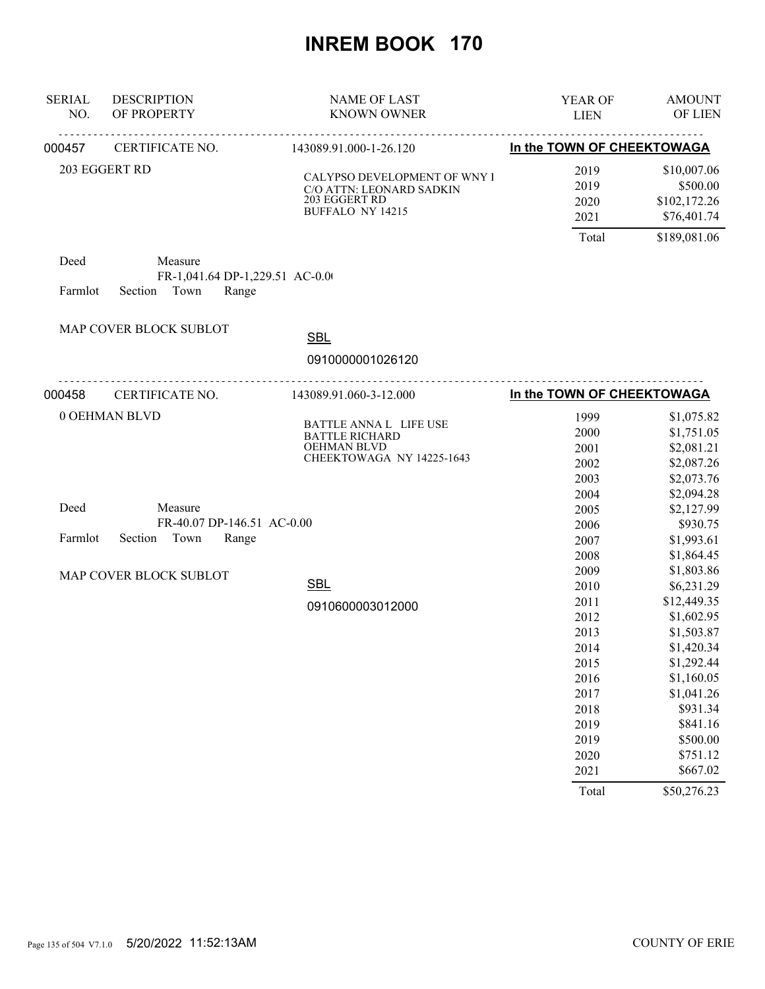| <b>SERIAL</b><br>NO. | <b>DESCRIPTION</b><br>OF PROPERTY                           | <b>NAME OF LAST</b><br><b>KNOWN OWNER</b>                                                            | YEAR OF<br><b>LIEN</b>                                                                                                | <b>AMOUNT</b><br>OF LIEN                                                                                                                                                                               |
|----------------------|-------------------------------------------------------------|------------------------------------------------------------------------------------------------------|-----------------------------------------------------------------------------------------------------------------------|--------------------------------------------------------------------------------------------------------------------------------------------------------------------------------------------------------|
| 000457               | CERTIFICATE NO.                                             | 143089.91.000-1-26.120                                                                               | In the TOWN OF CHEEKTOWAGA                                                                                            |                                                                                                                                                                                                        |
|                      | 203 EGGERT RD                                               | CALYPSO DEVELOPMENT OF WNY I<br>C/O ATTN: LEONARD SADKIN<br>203 EGGERT RD<br><b>BUFFALO NY 14215</b> | 2019<br>2019<br>2020<br>2021<br>Total                                                                                 | \$10,007.06<br>\$500.00<br>\$102,172.26<br>\$76,401.74<br>\$189,081.06                                                                                                                                 |
| Deed                 | Measure                                                     |                                                                                                      |                                                                                                                       |                                                                                                                                                                                                        |
| Farmlot              | FR-1,041.64 DP-1,229.51 AC-0.00<br>Town<br>Section<br>Range |                                                                                                      |                                                                                                                       |                                                                                                                                                                                                        |
|                      | MAP COVER BLOCK SUBLOT                                      | <b>SBL</b>                                                                                           |                                                                                                                       |                                                                                                                                                                                                        |
|                      |                                                             | 0910000001026120                                                                                     |                                                                                                                       |                                                                                                                                                                                                        |
| 000458               | CERTIFICATE NO.                                             | 143089.91.060-3-12.000                                                                               | In the TOWN OF CHEEKTOWAGA                                                                                            |                                                                                                                                                                                                        |
| Deed                 | 0 OEHMAN BLVD<br>Measure<br>FR-40.07 DP-146.51 AC-0.00      | BATTLE ANNA L LIFE USE<br><b>BATTLE RICHARD</b><br><b>OEHMAN BLVD</b><br>CHEEKTOWAGA NY 14225-1643   | 1999<br>2000<br>2001<br>2002<br>2003<br>2004<br>2005<br>2006                                                          | \$1,075.82<br>\$1,751.05<br>\$2,081.21<br>\$2,087.26<br>\$2,073.76<br>\$2,094.28<br>\$2,127.99<br>\$930.75                                                                                             |
| Farmlot              | Section<br>Town<br>Range                                    |                                                                                                      | 2007<br>2008                                                                                                          | \$1,993.61<br>\$1,864.45                                                                                                                                                                               |
|                      | MAP COVER BLOCK SUBLOT                                      | <b>SBL</b><br>0910600003012000                                                                       | 2009<br>2010<br>2011<br>2012<br>2013<br>2014<br>2015<br>2016<br>2017<br>2018<br>2019<br>2019<br>2020<br>2021<br>Total | \$1,803.86<br>\$6,231.29<br>\$12,449.35<br>\$1,602.95<br>\$1,503.87<br>\$1,420.34<br>\$1,292.44<br>\$1,160.05<br>\$1,041.26<br>\$931.34<br>\$841.16<br>\$500.00<br>\$751.12<br>\$667.02<br>\$50,276.23 |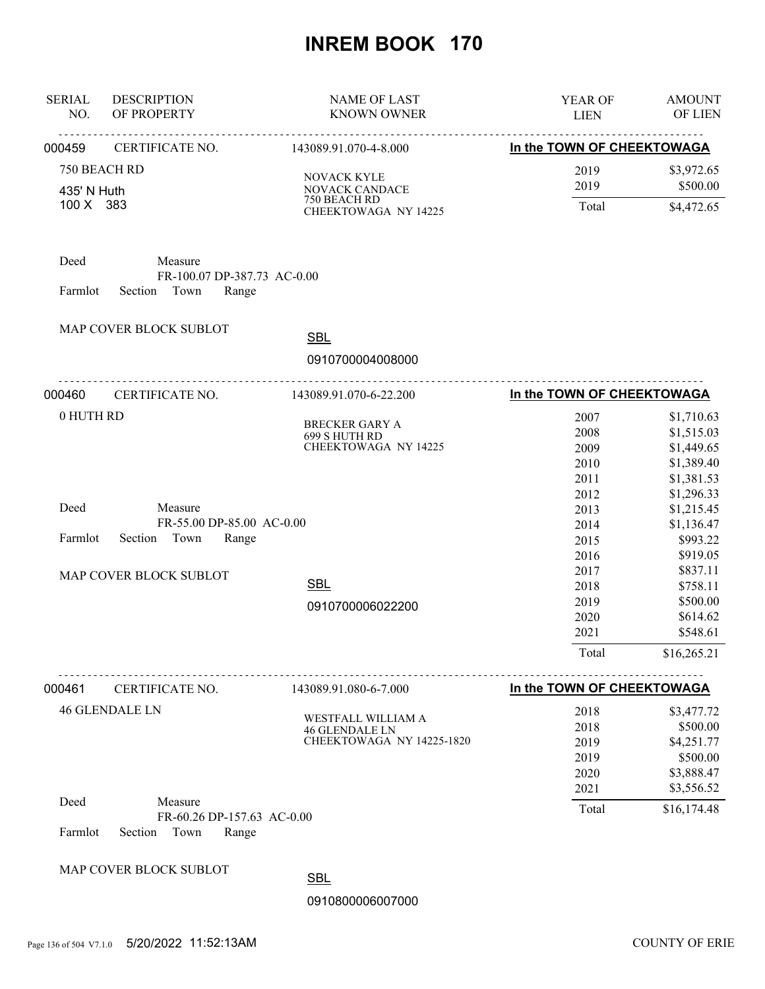| <b>SERIAL</b><br>NO.        | <b>DESCRIPTION</b><br>OF PROPERTY                                  | <b>NAME OF LAST</b><br><b>KNOWN OWNER</b>                                | YEAR OF<br><b>LIEN</b>                        | <b>AMOUNT</b><br>OF LIEN                                                |
|-----------------------------|--------------------------------------------------------------------|--------------------------------------------------------------------------|-----------------------------------------------|-------------------------------------------------------------------------|
| 000459                      | <b>CERTIFICATE NO.</b>                                             | 143089.91.070-4-8.000                                                    | In the TOWN OF CHEEKTOWAGA                    |                                                                         |
| 750 BEACH RD<br>435' N Huth |                                                                    | NOVACK KYLE<br>NOVACK CANDACE                                            | 2019<br>2019                                  | \$3,972.65<br>\$500.00                                                  |
| 100 X 383                   |                                                                    | 750 BEACH RD<br>CHEEKTOWAGA NY 14225                                     | Total                                         | \$4,472.65                                                              |
| Deed<br>Farmlot             | Measure<br>FR-100.07 DP-387.73 AC-0.00<br>Section<br>Town<br>Range |                                                                          |                                               |                                                                         |
|                             | MAP COVER BLOCK SUBLOT                                             | <b>SBL</b>                                                               |                                               |                                                                         |
|                             |                                                                    | 0910700004008000                                                         |                                               |                                                                         |
| 000460                      | .<br>CERTIFICATE NO.                                               | .<br>143089.91.070-6-22.200                                              | In the TOWN OF CHEEKTOWAGA                    |                                                                         |
| 0 HUTH RD                   |                                                                    | <b>BRECKER GARY A</b><br>699 S HUTH RD<br>CHEEKTOWAGA NY 14225           | 2007<br>2008<br>2009<br>2010<br>2011          | \$1,710.63<br>\$1,515.03<br>\$1,449.65<br>\$1,389.40<br>\$1,381.53      |
| Deed<br>Farmlot             | Measure<br>FR-55.00 DP-85.00 AC-0.00<br>Section Town<br>Range      |                                                                          | 2012<br>2013<br>2014<br>2015<br>2016          | \$1,296.33<br>\$1,215.45<br>\$1,136.47<br>\$993.22<br>\$919.05          |
|                             | MAP COVER BLOCK SUBLOT                                             | <b>SBL</b><br>0910700006022200                                           | 2017<br>2018<br>2019<br>2020<br>2021<br>Total | \$837.11<br>\$758.11<br>\$500.00<br>\$614.62<br>\$548.61<br>\$16,265.21 |
| 000461                      | <u>.</u><br>CERTIFICATE NO.                                        | <u>.</u><br>143089.91.080-6-7.000                                        | In the TOWN OF CHEEKTOWAGA                    |                                                                         |
|                             | <b>46 GLENDALE LN</b>                                              | WESTFALL WILLIAM A<br><b>46 GLENDALE LN</b><br>CHEEKTOWAGA NY 14225-1820 | 2018<br>2018<br>2019<br>2019<br>2020          | \$3,477.72<br>\$500.00<br>\$4,251.77<br>\$500.00<br>\$3,888.47          |
| Deed<br>Farmlot             | Measure<br>FR-60.26 DP-157.63 AC-0.00<br>Town<br>Section<br>Range  |                                                                          | 2021<br>Total                                 | \$3,556.52<br>\$16,174.48                                               |
|                             | MAP COVER BLOCK SUBLOT                                             | <b>SBL</b>                                                               |                                               |                                                                         |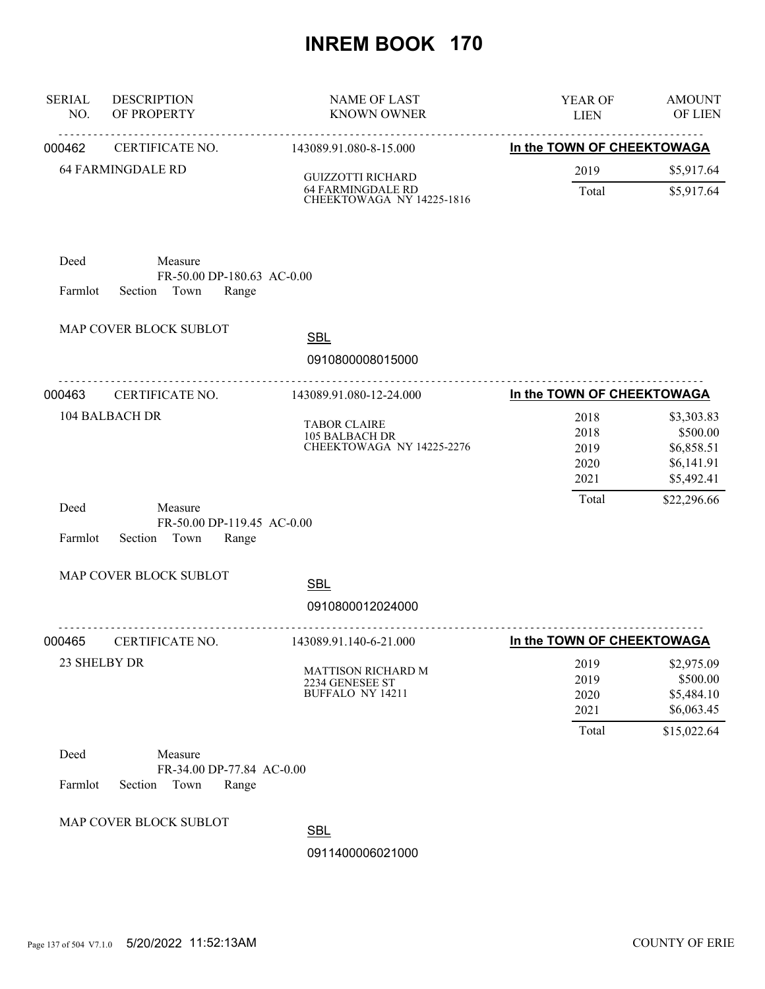| <b>SERIAL</b><br>NO. | <b>DESCRIPTION</b><br>OF PROPERTY                                 | <b>NAME OF LAST</b><br><b>KNOWN OWNER</b>                          | YEAR OF<br><b>LIEN</b>                | <b>AMOUNT</b><br>OF LIEN                                          |
|----------------------|-------------------------------------------------------------------|--------------------------------------------------------------------|---------------------------------------|-------------------------------------------------------------------|
| 000462               | CERTIFICATE NO.                                                   | 143089.91.080-8-15.000                                             | In the TOWN OF CHEEKTOWAGA            |                                                                   |
|                      | <b>64 FARMINGDALE RD</b>                                          | <b>GUIZZOTTI RICHARD</b>                                           | 2019                                  | \$5,917.64                                                        |
|                      |                                                                   | <b>64 FARMINGDALE RD</b><br>CHEEKTOWAGA NY 14225-1816              | Total                                 | \$5,917.64                                                        |
| Deed<br>Farmlot      | Measure<br>FR-50.00 DP-180.63 AC-0.00<br>Section<br>Town<br>Range |                                                                    |                                       |                                                                   |
|                      | MAP COVER BLOCK SUBLOT                                            | <b>SBL</b><br>0910800008015000                                     |                                       |                                                                   |
| 000463               | .<br>CERTIFICATE NO.                                              | .<br>143089.91.080-12-24.000                                       | In the TOWN OF CHEEKTOWAGA            |                                                                   |
|                      | <b>104 BALBACH DR</b>                                             | <b>TABOR CLAIRE</b><br>105 BALBACH DR<br>CHEEKTOWAGA NY 14225-2276 | 2018<br>2018<br>2019<br>2020<br>2021  | \$3,303.83<br>\$500.00<br>\$6,858.51<br>\$6,141.91<br>\$5,492.41  |
| Deed<br>Farmlot      | Measure<br>FR-50.00 DP-119.45 AC-0.00<br>Town<br>Section<br>Range |                                                                    | Total                                 | \$22,296.66                                                       |
|                      | MAP COVER BLOCK SUBLOT                                            | <b>SBL</b><br>0910800012024000                                     |                                       |                                                                   |
| 000465               | CERTIFICATE NO.                                                   | 143089.91.140-6-21.000                                             | In the TOWN OF CHEEKTOWAGA            |                                                                   |
|                      | 23 SHELBY DR                                                      | MATTISON RICHARD M<br>2234 GENESEE ST<br><b>BUFFALO NY 14211</b>   | 2019<br>2019<br>2020<br>2021<br>Total | \$2,975.09<br>\$500.00<br>\$5,484.10<br>\$6,063.45<br>\$15,022.64 |
| Deed<br>Farmlot      | Measure<br>FR-34.00 DP-77.84 AC-0.00<br>Section<br>Town<br>Range  |                                                                    |                                       |                                                                   |
|                      | MAP COVER BLOCK SUBLOT                                            | <b>SBL</b>                                                         |                                       |                                                                   |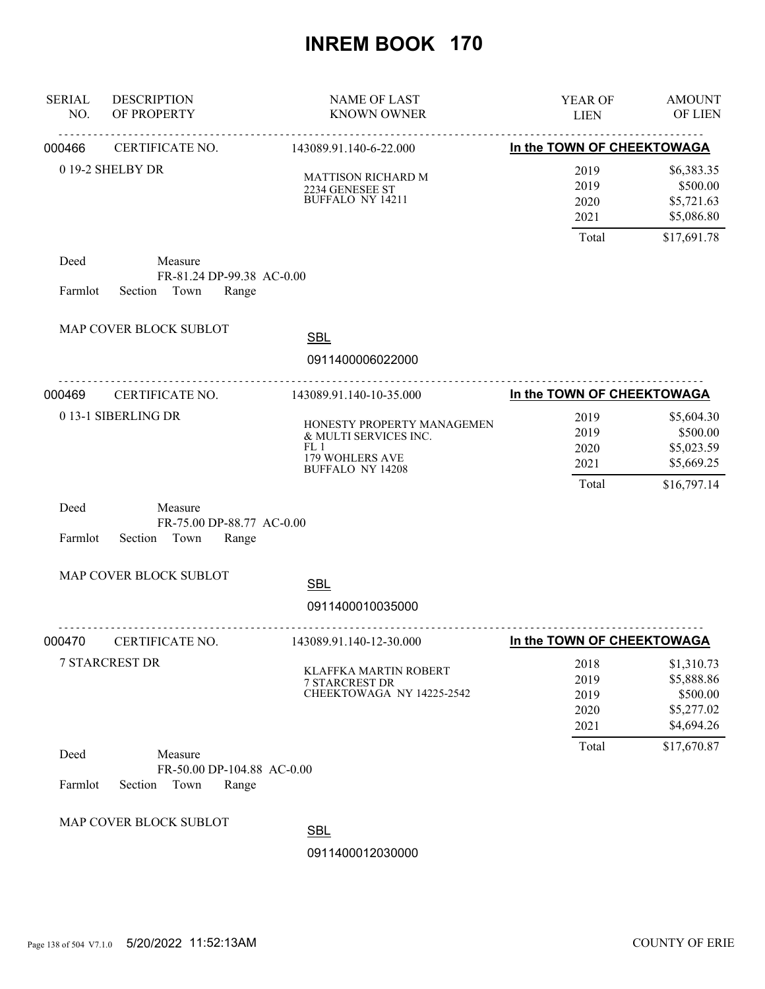| <b>SERIAL</b><br>NO. | <b>DESCRIPTION</b><br>OF PROPERTY                                 | <b>NAME OF LAST</b><br><b>KNOWN OWNER</b>                                                                | YEAR OF<br><b>LIEN</b>               | <b>AMOUNT</b><br>OF LIEN                                         |
|----------------------|-------------------------------------------------------------------|----------------------------------------------------------------------------------------------------------|--------------------------------------|------------------------------------------------------------------|
| 000466               | CERTIFICATE NO.                                                   | <u>.</u><br>143089.91.140-6-22.000                                                                       | In the TOWN OF CHEEKTOWAGA           |                                                                  |
|                      | 0 19-2 SHELBY DR                                                  | <b>MATTISON RICHARD M</b><br>2234 GENESEE ST<br><b>BUFFALO NY 14211</b>                                  | 2019<br>2019<br>2020<br>2021         | \$6,383.35<br>\$500.00<br>\$5,721.63<br>\$5,086.80               |
|                      |                                                                   |                                                                                                          | Total                                | \$17,691.78                                                      |
| Deed<br>Farmlot      | Measure<br>FR-81.24 DP-99.38 AC-0.00<br>Section Town<br>Range     |                                                                                                          |                                      |                                                                  |
|                      | MAP COVER BLOCK SUBLOT                                            | <b>SBL</b>                                                                                               |                                      |                                                                  |
|                      | .                                                                 | 0911400006022000<br>.                                                                                    |                                      |                                                                  |
| 000469               | CERTIFICATE NO.                                                   | 143089.91.140-10-35.000                                                                                  | In the TOWN OF CHEEKTOWAGA           |                                                                  |
|                      | 0 13-1 SIBERLING DR                                               | HONESTY PROPERTY MANAGEMEN<br>& MULTI SERVICES INC.<br>FL1<br>179 WOHLERS AVE<br><b>BUFFALO NY 14208</b> | 2019<br>2019<br>2020<br>2021         | \$5,604.30<br>\$500.00<br>\$5,023.59<br>\$5,669.25               |
| Deed<br>Farmlot      | Measure<br>FR-75.00 DP-88.77 AC-0.00<br>Section<br>Town<br>Range  |                                                                                                          | Total                                | \$16,797.14                                                      |
|                      | MAP COVER BLOCK SUBLOT                                            | <b>SBL</b>                                                                                               |                                      |                                                                  |
|                      |                                                                   | 0911400010035000                                                                                         |                                      |                                                                  |
| 000470               | CERTIFICATE NO.                                                   | 143089.91.140-12-30.000                                                                                  | In the TOWN OF CHEEKTOWAGA           |                                                                  |
|                      | <b>7 STARCREST DR</b>                                             | <b>KLAFFKA MARTIN ROBERT</b><br><b>7 STARCREST DR</b><br>CHEEKTOWAGA NY 14225-2542                       | 2018<br>2019<br>2019<br>2020<br>2021 | \$1,310.73<br>\$5,888.86<br>\$500.00<br>\$5,277.02<br>\$4,694.26 |
| Deed<br>Farmlot      | Measure<br>FR-50.00 DP-104.88 AC-0.00<br>Section<br>Town<br>Range |                                                                                                          | Total                                | \$17,670.87                                                      |
|                      | MAP COVER BLOCK SUBLOT                                            | <b>SBL</b><br>0911400012030000                                                                           |                                      |                                                                  |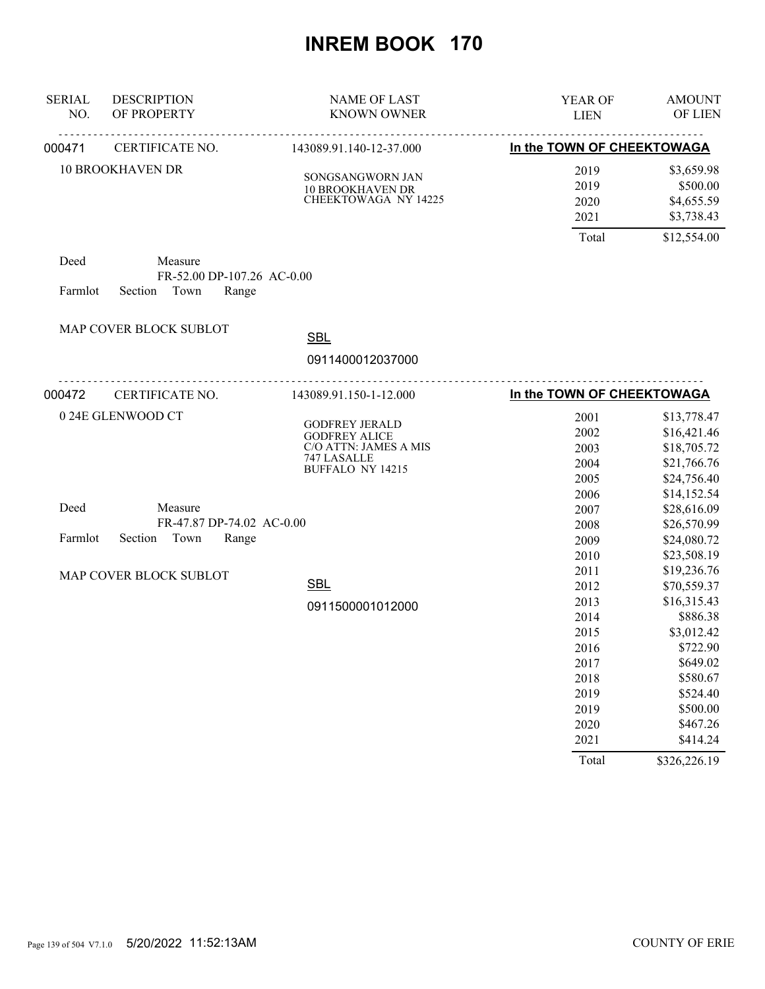| <b>SERIAL</b><br>NO. | <b>DESCRIPTION</b><br>OF PROPERTY                                 | <b>NAME OF LAST</b><br><b>KNOWN OWNER</b>                                                                 | YEAR OF<br><b>LIEN</b>                                               | <b>AMOUNT</b><br>OF LIEN                                                                                      |
|----------------------|-------------------------------------------------------------------|-----------------------------------------------------------------------------------------------------------|----------------------------------------------------------------------|---------------------------------------------------------------------------------------------------------------|
| 000471               | .<br>CERTIFICATE NO.                                              | 143089.91.140-12-37.000                                                                                   | In the TOWN OF CHEEKTOWAGA                                           |                                                                                                               |
|                      | <b>10 BROOKHAVEN DR</b>                                           | SONGSANGWORN JAN<br>10 BROOKHAVEN DR<br>CHEEKTOWAGA NY 14225                                              | 2019<br>2019<br>2020<br>2021<br>Total                                | \$3,659.98<br>\$500.00<br>\$4,655.59<br>\$3,738.43<br>\$12,554.00                                             |
| Deed<br>Farmlot      | Measure<br>FR-52.00 DP-107.26 AC-0.00<br>Town<br>Range<br>Section |                                                                                                           |                                                                      |                                                                                                               |
|                      | MAP COVER BLOCK SUBLOT                                            | <b>SBL</b><br>0911400012037000                                                                            |                                                                      |                                                                                                               |
| 000472               | CERTIFICATE NO.                                                   | 143089.91.150-1-12.000                                                                                    | In the TOWN OF CHEEKTOWAGA                                           |                                                                                                               |
|                      | 0 24E GLENWOOD CT                                                 | <b>GODFREY JERALD</b><br><b>GODFREY ALICE</b><br>C/O ATTN: JAMES A MIS<br>747 LASALLE<br>BUFFALO NY 14215 | 2001<br>2002<br>2003<br>2004<br>2005                                 | \$13,778.47<br>\$16,421.46<br>\$18,705.72<br>\$21,766.76<br>\$24,756.40                                       |
| Deed<br>Farmlot      | Measure<br>FR-47.87 DP-74.02 AC-0.00<br>Town<br>Section<br>Range  |                                                                                                           | 2006<br>2007<br>2008<br>2009                                         | \$14,152.54<br>\$28,616.09<br>\$26,570.99<br>\$24,080.72                                                      |
|                      | MAP COVER BLOCK SUBLOT                                            | <b>SBL</b>                                                                                                | 2010<br>2011<br>2012                                                 | \$23,508.19<br>\$19,236.76<br>\$70,559.37                                                                     |
|                      |                                                                   | 0911500001012000                                                                                          | 2013<br>2014<br>2015<br>2016<br>2017<br>2018<br>2019<br>2019<br>2020 | \$16,315.43<br>\$886.38<br>\$3,012.42<br>\$722.90<br>\$649.02<br>\$580.67<br>\$524.40<br>\$500.00<br>\$467.26 |
|                      |                                                                   |                                                                                                           | 2021<br>Total                                                        | \$414.24<br>\$326,226.19                                                                                      |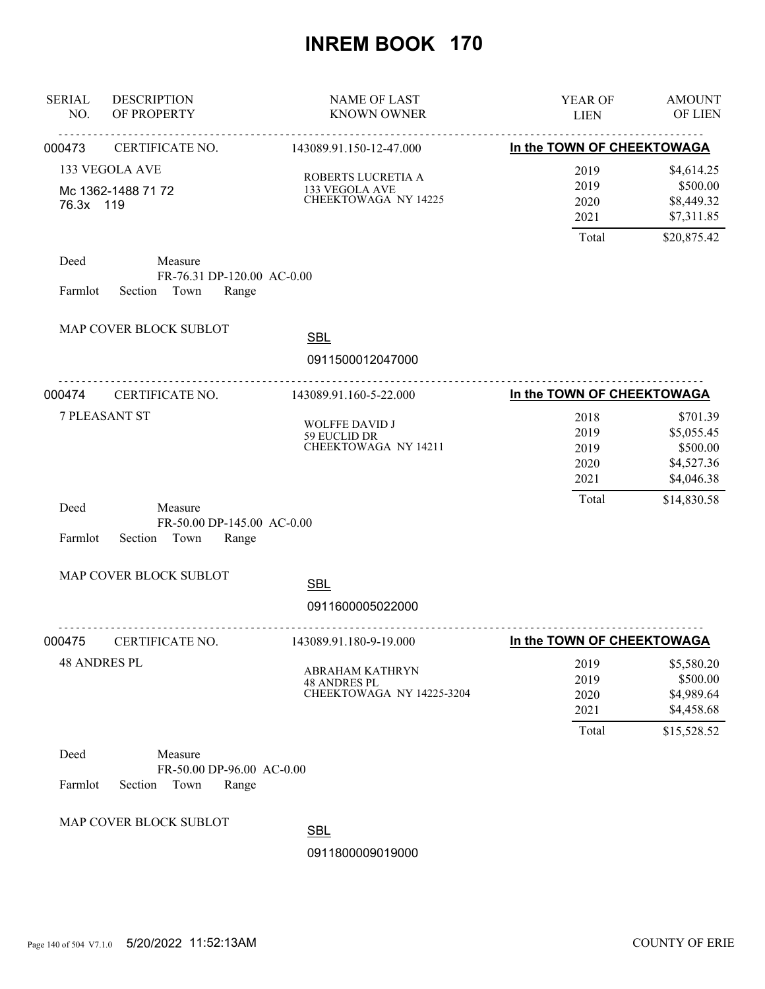| <b>SERIAL</b><br>NO. | <b>DESCRIPTION</b><br>OF PROPERTY                                | <b>NAME OF LAST</b><br><b>KNOWN OWNER</b>                                  | YEAR OF<br><b>LIEN</b>                | <b>AMOUNT</b><br>OF LIEN                                          |
|----------------------|------------------------------------------------------------------|----------------------------------------------------------------------------|---------------------------------------|-------------------------------------------------------------------|
| 000473               | CERTIFICATE NO.                                                  | 143089.91.150-12-47.000                                                    | In the TOWN OF CHEEKTOWAGA            |                                                                   |
| 76.3x 119            | <b>133 VEGOLA AVE</b><br>Mc 1362-1488 71 72                      | ROBERTS LUCRETIA A<br>133 VEGOLA AVE<br>CHEEKTOWAGA NY 14225               | 2019<br>2019<br>2020<br>2021<br>Total | \$4,614.25<br>\$500.00<br>\$8,449.32<br>\$7,311.85<br>\$20,875.42 |
| Deed<br>Farmlot      | Measure<br>FR-76.31 DP-120.00 AC-0.00<br>Section Town<br>Range   |                                                                            |                                       |                                                                   |
|                      | MAP COVER BLOCK SUBLOT                                           | <b>SBL</b><br>0911500012047000                                             |                                       |                                                                   |
| 000474               | .<br>CERTIFICATE NO.                                             | .<br>143089.91.160-5-22.000                                                | In the TOWN OF CHEEKTOWAGA            |                                                                   |
|                      | <b>7 PLEASANT ST</b>                                             | WOLFFE DAVID J<br>59 EUCLID DR<br>CHEEKTOWAGA NY 14211                     | 2018<br>2019<br>2019<br>2020<br>2021  | \$701.39<br>\$5,055.45<br>\$500.00<br>\$4,527.36<br>\$4,046.38    |
| Deed<br>Farmlot      | Measure<br>FR-50.00 DP-145.00 AC-0.00<br>Section Town<br>Range   |                                                                            | Total                                 | \$14,830.58                                                       |
|                      | MAP COVER BLOCK SUBLOT                                           | <b>SBL</b>                                                                 |                                       |                                                                   |
|                      |                                                                  | 0911600005022000                                                           |                                       |                                                                   |
| 000475               | CERTIFICATE NO.                                                  | 143089.91.180-9-19.000                                                     | In the TOWN OF CHEEKTOWAGA            |                                                                   |
| <b>48 ANDRES PL</b>  |                                                                  | <b>ABRAHAM KATHRYN</b><br><b>48 ANDRES PL</b><br>CHEEKTOWAGA NY 14225-3204 | 2019<br>2019<br>2020<br>2021<br>Total | \$5,580.20<br>\$500.00<br>\$4,989.64<br>\$4,458.68<br>\$15,528.52 |
| Deed<br>Farmlot      | Measure<br>FR-50.00 DP-96.00 AC-0.00<br>Section<br>Town<br>Range |                                                                            |                                       |                                                                   |
|                      | MAP COVER BLOCK SUBLOT                                           | <b>SBL</b><br>0911800009019000                                             |                                       |                                                                   |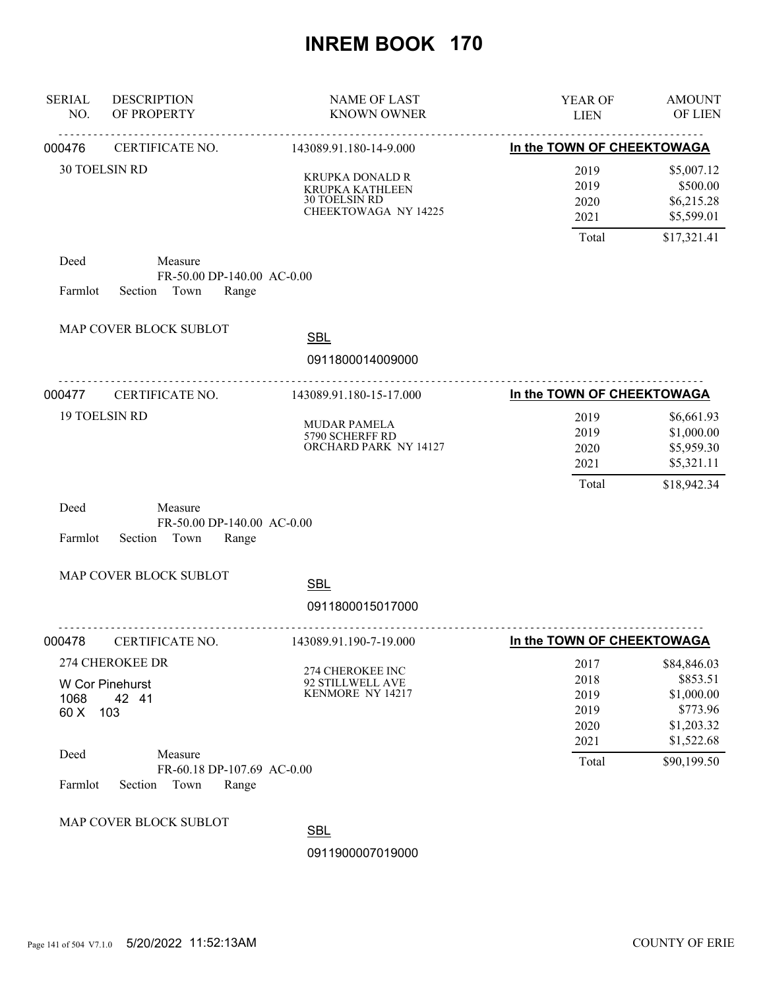| <b>SERIAL</b><br>NO. | <b>DESCRIPTION</b><br>OF PROPERTY                                 | <b>NAME OF LAST</b><br><b>KNOWN OWNER</b>                                          | YEAR OF<br><b>LIEN</b>                                | <b>AMOUNT</b><br>OF LIEN                                                                     |
|----------------------|-------------------------------------------------------------------|------------------------------------------------------------------------------------|-------------------------------------------------------|----------------------------------------------------------------------------------------------|
| 000476               | CERTIFICATE NO.                                                   | 143089.91.180-14-9.000                                                             | In the TOWN OF CHEEKTOWAGA                            |                                                                                              |
|                      | <b>30 TOELSIN RD</b>                                              | KRUPKA DONALD R<br><b>KRUPKA KATHLEEN</b><br>30 TOELSIN RD<br>CHEEKTOWAGA NY 14225 | 2019<br>2019<br>2020<br>2021<br>Total                 | \$5,007.12<br>\$500.00<br>\$6,215.28<br>\$5,599.01<br>\$17,321.41                            |
| Deed<br>Farmlot      | Measure<br>FR-50.00 DP-140.00 AC-0.00<br>Section<br>Town<br>Range |                                                                                    |                                                       |                                                                                              |
|                      | MAP COVER BLOCK SUBLOT                                            | <b>SBL</b><br>0911800014009000                                                     |                                                       |                                                                                              |
| 000477               | CERTIFICATE NO.                                                   | 143089.91.180-15-17.000                                                            | In the TOWN OF CHEEKTOWAGA                            |                                                                                              |
|                      | <b>19 TOELSIN RD</b>                                              | MUDAR PAMELA<br>5790 SCHERFF RD<br>ORCHARD PARK NY 14127                           | 2019<br>2019<br>2020<br>2021<br>Total                 | \$6,661.93<br>\$1,000.00<br>\$5,959.30<br>\$5,321.11<br>\$18,942.34                          |
| Deed<br>Farmlot      | Measure<br>FR-50.00 DP-140.00 AC-0.00<br>Town<br>Section<br>Range |                                                                                    |                                                       |                                                                                              |
|                      | MAP COVER BLOCK SUBLOT                                            | <b>SBL</b>                                                                         |                                                       |                                                                                              |
|                      |                                                                   | 0911800015017000                                                                   |                                                       |                                                                                              |
| 000478               | CERTIFICATE NO.                                                   | 143089.91.190-7-19.000                                                             | In the TOWN OF CHEEKTOWAGA                            |                                                                                              |
| 1068<br>60 X<br>Deed | 274 CHEROKEE DR<br>W Cor Pinehurst<br>42 41<br>103<br>Measure     | 274 CHEROKEE INC<br>92 STILLWELL AVE<br>KENMORE NY 14217                           | 2017<br>2018<br>2019<br>2019<br>2020<br>2021<br>Total | \$84,846.03<br>\$853.51<br>\$1,000.00<br>\$773.96<br>\$1,203.32<br>\$1,522.68<br>\$90,199.50 |
| Farmlot              | FR-60.18 DP-107.69 AC-0.00<br>Town<br>Section<br>Range            |                                                                                    |                                                       |                                                                                              |
|                      | MAP COVER BLOCK SUBLOT                                            | <b>SBL</b><br>0911900007019000                                                     |                                                       |                                                                                              |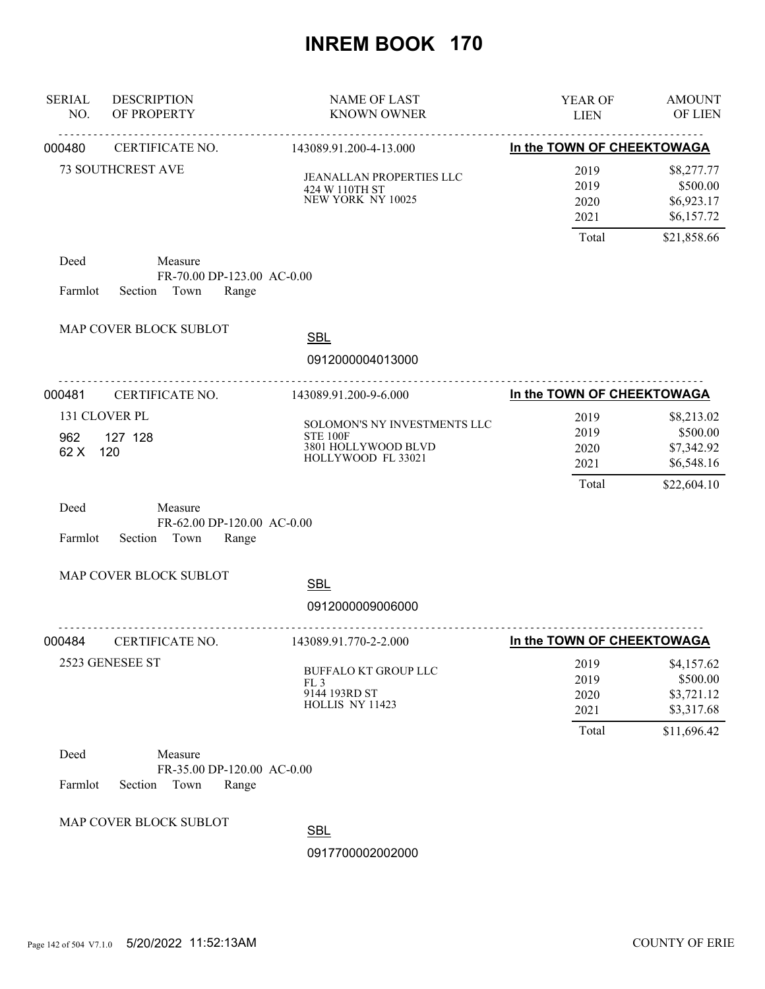| <b>SERIAL</b><br>NO.         | <b>DESCRIPTION</b><br>OF PROPERTY                                 | <b>NAME OF LAST</b><br><b>KNOWN OWNER</b>                                                    | YEAR OF<br><b>LIEN</b>                | <b>AMOUNT</b><br>OF LIEN                                          |
|------------------------------|-------------------------------------------------------------------|----------------------------------------------------------------------------------------------|---------------------------------------|-------------------------------------------------------------------|
| 000480                       | CERTIFICATE NO.                                                   | 143089.91.200-4-13.000                                                                       | In the TOWN OF CHEEKTOWAGA            |                                                                   |
|                              | <b>73 SOUTHCREST AVE</b>                                          | JEANALLAN PROPERTIES LLC<br>424 W 110TH ST<br>NEW YORK NY 10025                              | 2019<br>2019<br>2020<br>2021          | \$8,277.77<br>\$500.00<br>\$6,923.17<br>\$6,157.72                |
| Deed<br>Farmlot              | Measure<br>FR-70.00 DP-123.00 AC-0.00<br>Section Town<br>Range    |                                                                                              | Total                                 | \$21,858.66                                                       |
|                              | MAP COVER BLOCK SUBLOT                                            | <b>SBL</b><br>0912000004013000                                                               |                                       |                                                                   |
| 000481                       | <b>CERTIFICATE NO.</b>                                            | .<br>143089.91.200-9-6.000                                                                   | In the TOWN OF CHEEKTOWAGA            |                                                                   |
| 131 CLOVER PL<br>962<br>62 X | 127 128<br>120                                                    | SOLOMON'S NY INVESTMENTS LLC<br><b>STE 100F</b><br>3801 HOLLYWOOD BLVD<br>HOLLYWOOD FL 33021 | 2019<br>2019<br>2020<br>2021<br>Total | \$8,213.02<br>\$500.00<br>\$7,342.92<br>\$6,548.16<br>\$22,604.10 |
| Deed<br>Farmlot              | Measure<br>FR-62.00 DP-120.00 AC-0.00<br>Town<br>Section<br>Range |                                                                                              |                                       |                                                                   |
|                              | MAP COVER BLOCK SUBLOT                                            | <b>SBL</b>                                                                                   |                                       |                                                                   |
|                              |                                                                   | 0912000009006000                                                                             |                                       |                                                                   |
| 000484                       | CERTIFICATE NO.                                                   | 143089.91.770-2-2.000                                                                        | In the TOWN OF CHEEKTOWAGA            |                                                                   |
|                              | 2523 GENESEE ST                                                   | <b>BUFFALO KT GROUP LLC</b><br>FL <sub>3</sub><br>9144 193RD ST<br>HOLLIS NY 11423           | 2019<br>2019<br>2020<br>2021          | \$4,157.62<br>\$500.00<br>\$3,721.12<br>\$3,317.68                |
| Deed<br>Farmlot              | Measure<br>FR-35.00 DP-120.00 AC-0.00<br>Section<br>Town<br>Range |                                                                                              | Total                                 | \$11,696.42                                                       |
|                              | MAP COVER BLOCK SUBLOT                                            | <b>SBL</b><br>0917700002002000                                                               |                                       |                                                                   |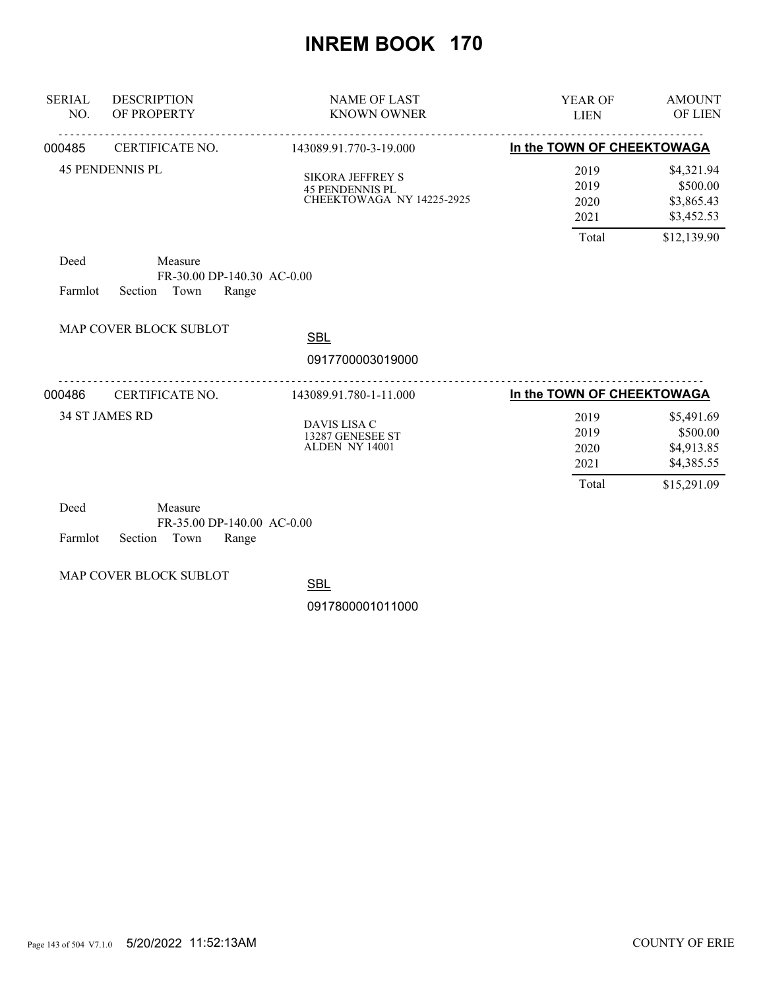| <b>SERIAL</b><br>NO. | <b>DESCRIPTION</b><br>OF PROPERTY                                 | <b>NAME OF LAST</b><br><b>KNOWN OWNER</b>                                      | <b>YEAR OF</b><br><b>LIEN</b>         | <b>AMOUNT</b><br><b>OF LIEN</b>                                   |
|----------------------|-------------------------------------------------------------------|--------------------------------------------------------------------------------|---------------------------------------|-------------------------------------------------------------------|
| 000485               | CERTIFICATE NO.                                                   | 143089.91.770-3-19.000                                                         | In the TOWN OF CHEEKTOWAGA            |                                                                   |
|                      | <b>45 PENDENNIS PL</b>                                            | <b>SIKORA JEFFREY S</b><br><b>45 PENDENNIS PL</b><br>CHEEKTOWAGA NY 14225-2925 | 2019<br>2019<br>2020<br>2021          | \$4,321.94<br>\$500.00<br>\$3,865.43<br>\$3,452.53                |
|                      |                                                                   |                                                                                | Total                                 | \$12,139.90                                                       |
| Deed<br>Farmlot      | Measure<br>FR-30.00 DP-140.30 AC-0.00<br>Town<br>Section<br>Range |                                                                                |                                       |                                                                   |
|                      | MAP COVER BLOCK SUBLOT                                            | <b>SBL</b>                                                                     |                                       |                                                                   |
|                      |                                                                   | 0917700003019000                                                               |                                       |                                                                   |
| 000486               | CERTIFICATE NO.                                                   | 143089.91.780-1-11.000                                                         | In the TOWN OF CHEEKTOWAGA            |                                                                   |
|                      | <b>34 ST JAMES RD</b>                                             | DAVIS LISA C<br>13287 GENESEE ST<br>ALDEN NY 14001                             | 2019<br>2019<br>2020<br>2021<br>Total | \$5,491.69<br>\$500.00<br>\$4,913.85<br>\$4,385.55<br>\$15,291.09 |
| Deed                 | Measure                                                           |                                                                                |                                       |                                                                   |

| Deed |                            | Measure |                              |  |
|------|----------------------------|---------|------------------------------|--|
|      |                            |         | $FR-35.00$ DP-140.00 AC-0.00 |  |
|      | Farmlot Section Town Range |         |                              |  |

MAP COVER BLOCK SUBLOT

**SBL**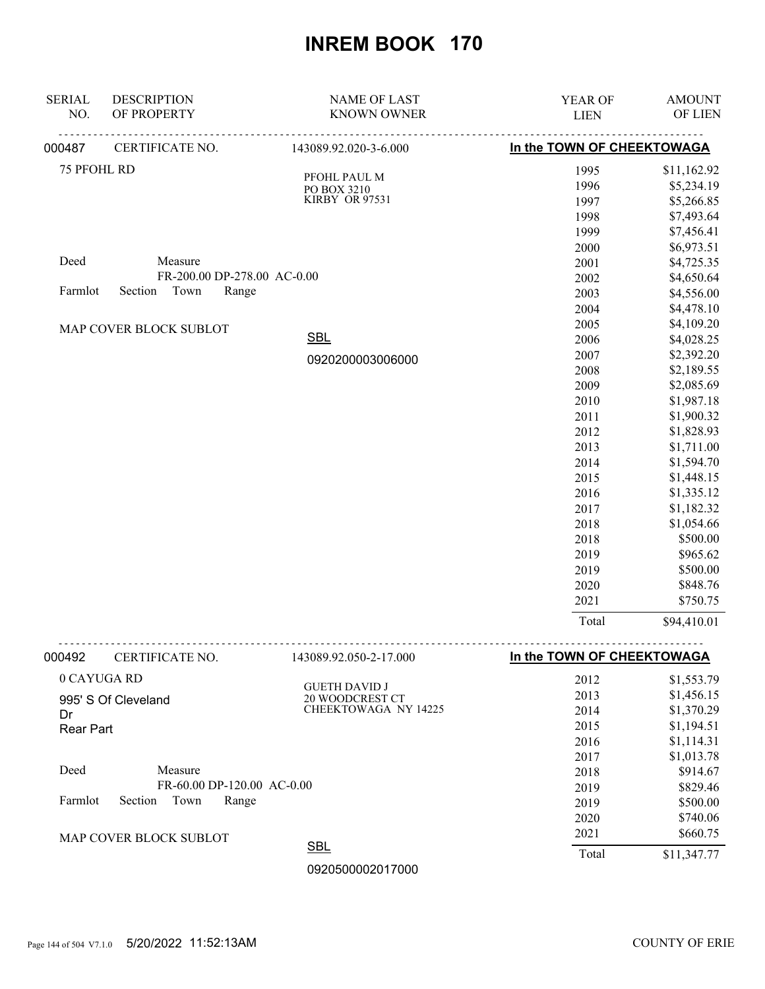| <b>SERIAL</b><br>NO.   | <b>DESCRIPTION</b><br>OF PROPERTY | <b>NAME OF LAST</b><br><b>KNOWN OWNER</b> | YEAR OF<br><b>LIEN</b>      | <b>AMOUNT</b><br>OF LIEN |
|------------------------|-----------------------------------|-------------------------------------------|-----------------------------|--------------------------|
| 000487                 | CERTIFICATE NO.                   | 143089.92.020-3-6.000                     | In the TOWN OF CHEEKTOWAGA  |                          |
| 75 PFOHL RD            |                                   |                                           | 1995                        | \$11,162.92              |
|                        |                                   | PFOHL PAUL M<br>PO BOX 3210               | 1996                        | \$5,234.19               |
|                        |                                   | KIRBY OR 97531                            | 1997                        | \$5,266.85               |
|                        |                                   |                                           | 1998                        | \$7,493.64               |
|                        |                                   |                                           | 1999                        | \$7,456.41               |
|                        |                                   |                                           | 2000                        | \$6,973.51               |
| Deed                   | Measure                           |                                           | 2001                        | \$4,725.35               |
|                        | FR-200.00 DP-278.00 AC-0.00       |                                           | 2002                        | \$4,650.64               |
| Farmlot                | Town<br>Section<br>Range          |                                           | 2003                        | \$4,556.00               |
|                        |                                   |                                           | 2004                        | \$4,478.10               |
|                        | MAP COVER BLOCK SUBLOT            |                                           | 2005                        | \$4,109.20               |
|                        |                                   | <b>SBL</b>                                | 2006                        | \$4,028.25               |
|                        |                                   | 0920200003006000                          | 2007                        | \$2,392.20               |
|                        |                                   |                                           | 2008                        | \$2,189.55               |
|                        |                                   |                                           | 2009                        | \$2,085.69               |
|                        |                                   |                                           | 2010                        | \$1,987.18               |
|                        |                                   |                                           | 2011                        | \$1,900.32               |
|                        |                                   |                                           | 2012                        | \$1,828.93               |
|                        |                                   |                                           | 2013                        | \$1,711.00               |
|                        |                                   |                                           | 2014                        | \$1,594.70               |
|                        |                                   |                                           | 2015                        | \$1,448.15               |
|                        |                                   |                                           | 2016                        | \$1,335.12               |
|                        |                                   |                                           | 2017                        | \$1,182.32               |
|                        |                                   |                                           | 2018                        | \$1,054.66               |
|                        |                                   |                                           | 2018                        | \$500.00                 |
|                        |                                   |                                           | 2019                        | \$965.62                 |
|                        |                                   |                                           | 2019                        | \$500.00                 |
|                        |                                   |                                           | 2020                        | \$848.76                 |
|                        |                                   |                                           | 2021                        | \$750.75                 |
|                        |                                   |                                           | Total                       | \$94,410.01              |
| 000492                 | CERTIFICATE NO.                   | 143089.92.050-2-17.000                    | In the TOWN OF CHEEKTOWAGA  |                          |
|                        | 0 CAYUGA RD                       |                                           | 2012                        | \$1,553.79               |
|                        |                                   | <b>GUETH DAVID J</b>                      | 2013                        | \$1,456.15               |
|                        | 995' S Of Cleveland               | 20 WOODCREST CT<br>CHEEKTOWAGA NY 14225   | 2014                        | \$1,370.29               |
| Dr<br><b>Rear Part</b> |                                   |                                           | 2015                        | \$1,194.51               |
|                        |                                   |                                           | 2016                        | \$1,114.31               |
|                        |                                   |                                           | 2017                        | \$1,013.78               |
| Deed                   | Measure                           |                                           | 2018                        | \$914.67                 |
|                        |                                   | FR-60.00 DP-120.00 AC-0.00                |                             | \$829.46                 |
| Farmlot                | Section<br>Town<br>Range          |                                           | 2019<br>2019                | \$500.00                 |
|                        |                                   |                                           | 2020                        | \$740.06                 |
|                        |                                   |                                           | 2021                        | \$660.75                 |
|                        | MAP COVER BLOCK SUBLOT            | <b>SBL</b>                                | $T_{\alpha\uparrow\alpha}1$ | 011.247.77               |

Total \$11,347.77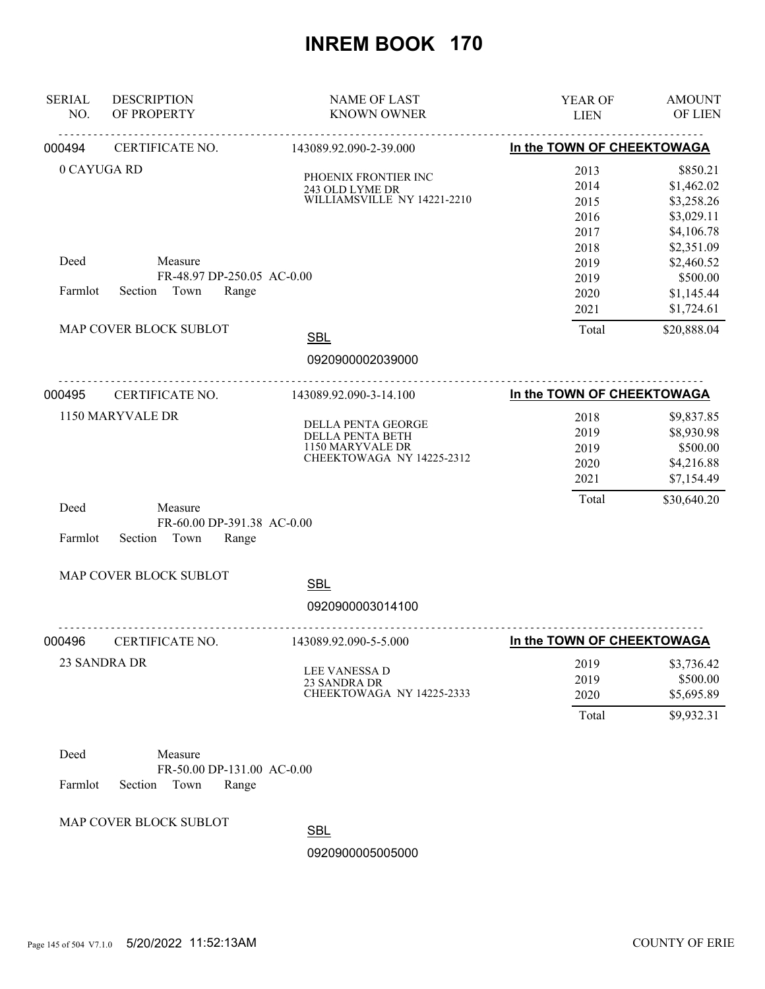| <b>SERIAL</b><br>NO. | <b>DESCRIPTION</b><br>OF PROPERTY                                 | <b>NAME OF LAST</b><br><b>KNOWN OWNER</b>                                                      | YEAR OF<br><b>LIEN</b>               | <b>AMOUNT</b><br>OF LIEN                                         |
|----------------------|-------------------------------------------------------------------|------------------------------------------------------------------------------------------------|--------------------------------------|------------------------------------------------------------------|
| 000494               | CERTIFICATE NO.                                                   | 143089.92.090-2-39.000                                                                         | In the TOWN OF CHEEKTOWAGA           |                                                                  |
| 0 CAYUGA RD          |                                                                   | PHOENIX FRONTIER INC<br>243 OLD LYME DR<br>WILLIAMSVILLE NY 14221-2210                         | 2013<br>2014<br>2015<br>2016<br>2017 | \$850.21<br>\$1,462.02<br>\$3,258.26<br>\$3,029.11<br>\$4,106.78 |
| Deed<br>Farmlot      | Measure<br>FR-48.97 DP-250.05 AC-0.00<br>Section Town<br>Range    |                                                                                                | 2018<br>2019<br>2019<br>2020<br>2021 | \$2,351.09<br>\$2,460.52<br>\$500.00<br>\$1,145.44<br>\$1,724.61 |
|                      | MAP COVER BLOCK SUBLOT                                            | <b>SBL</b>                                                                                     | Total                                | \$20,888.04                                                      |
|                      |                                                                   | 0920900002039000                                                                               |                                      |                                                                  |
| 000495               | CERTIFICATE NO.                                                   | 143089.92.090-3-14.100                                                                         | In the TOWN OF CHEEKTOWAGA           |                                                                  |
|                      | 1150 MARYVALE DR                                                  | <b>DELLA PENTA GEORGE</b><br>DELLA PENTA BETH<br>1150 MARYVALE DR<br>CHEEKTOWAGA NY 14225-2312 | 2018<br>2019<br>2019<br>2020<br>2021 | \$9,837.85<br>\$8,930.98<br>\$500.00<br>\$4,216.88<br>\$7,154.49 |
| Deed<br>Farmlot      | Measure<br>FR-60.00 DP-391.38 AC-0.00<br>Section<br>Town<br>Range |                                                                                                | Total                                | \$30,640.20                                                      |
|                      | MAP COVER BLOCK SUBLOT                                            | <b>SBL</b><br>0920900003014100                                                                 |                                      |                                                                  |
| 000496               | CERTIFICATE NO.                                                   | 143089.92.090-5-5.000                                                                          | In the TOWN OF CHEEKTOWAGA           |                                                                  |
|                      | 23 SANDRA DR                                                      | <b>LEE VANESSA D</b><br>23 SANDRA DR<br>CHEEKTOWAGA NY 14225-2333                              | 2019<br>2019<br>2020<br>Total        | \$3,736.42<br>\$500.00<br>\$5,695.89<br>\$9,932.31               |
| Deed<br>Farmlot      | Measure<br>FR-50.00 DP-131.00 AC-0.00<br>Section<br>Town<br>Range |                                                                                                |                                      |                                                                  |
|                      | MAP COVER BLOCK SUBLOT                                            |                                                                                                |                                      |                                                                  |

**SBL**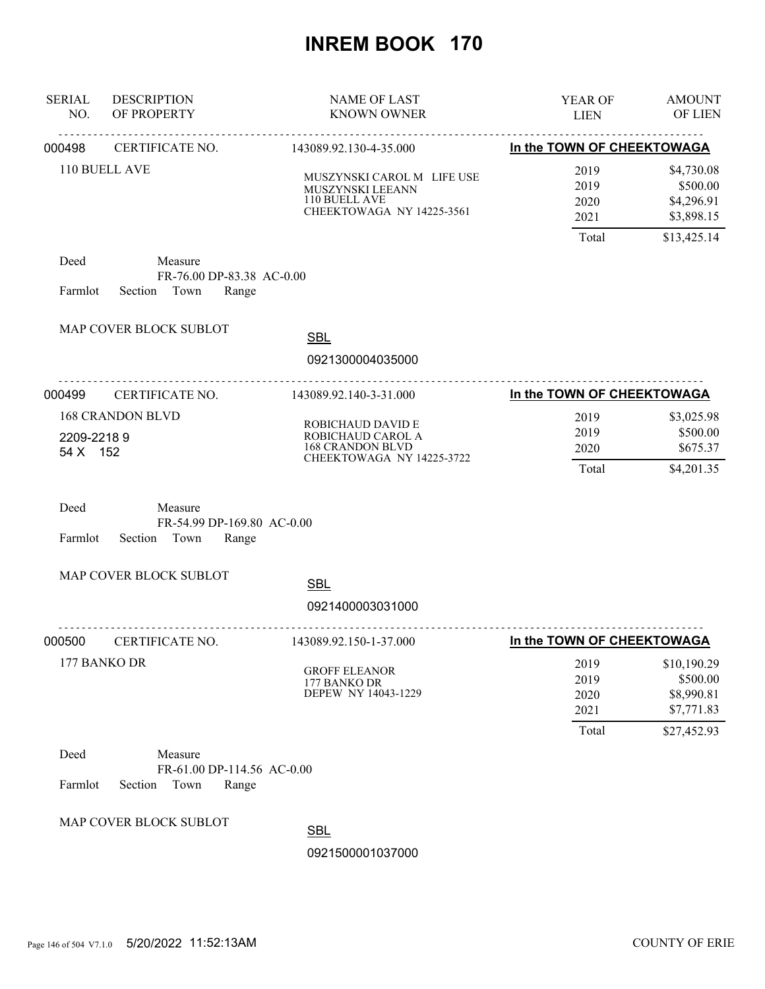| <b>SERIAL</b><br>NO.   | <b>DESCRIPTION</b><br>OF PROPERTY                                 | <b>NAME OF LAST</b><br><b>KNOWN OWNER</b>                                                      | YEAR OF<br><b>LIEN</b>                | <b>AMOUNT</b><br>OF LIEN                                           |
|------------------------|-------------------------------------------------------------------|------------------------------------------------------------------------------------------------|---------------------------------------|--------------------------------------------------------------------|
| 000498                 | <b>CERTIFICATE NO.</b>                                            | 143089.92.130-4-35.000                                                                         | In the TOWN OF CHEEKTOWAGA            |                                                                    |
|                        | 110 BUELL AVE                                                     | MUSZYNSKI CAROL M LIFE USE<br>MUSZYNSKI LEEANN<br>110 BUELL AVE<br>CHEEKTOWAGA NY 14225-3561   | 2019<br>2019<br>2020<br>2021          | \$4,730.08<br>\$500.00<br>\$4,296.91<br>\$3,898.15                 |
| Deed<br>Farmlot        | Measure<br>FR-76.00 DP-83.38 AC-0.00<br>Section Town<br>Range     |                                                                                                | Total                                 | \$13,425.14                                                        |
|                        | MAP COVER BLOCK SUBLOT                                            | <b>SBL</b><br>0921300004035000                                                                 |                                       |                                                                    |
| 000499                 | <u>.</u><br><b>CERTIFICATE NO.</b>                                | 143089.92.140-3-31.000                                                                         | In the TOWN OF CHEEKTOWAGA            |                                                                    |
| 2209-22189<br>54 X 152 | <b>168 CRANDON BLVD</b>                                           | ROBICHAUD DAVID E<br>ROBICHAUD CAROL A<br><b>168 CRANDON BLVD</b><br>CHEEKTOWAGA NY 14225-3722 | 2019<br>2019<br>2020<br>Total         | \$3,025.98<br>\$500.00<br>\$675.37<br>\$4,201.35                   |
| Deed<br>Farmlot        | Measure<br>FR-54.99 DP-169.80 AC-0.00<br>Section<br>Town<br>Range |                                                                                                |                                       |                                                                    |
|                        | MAP COVER BLOCK SUBLOT                                            | <b>SBL</b>                                                                                     |                                       |                                                                    |
|                        |                                                                   | 0921400003031000                                                                               |                                       |                                                                    |
| 000500                 | CERTIFICATE NO.                                                   | 143089.92.150-1-37.000                                                                         | In the TOWN OF CHEEKTOWAGA            |                                                                    |
|                        | 177 BANKO DR                                                      | <b>GROFF ELEANOR</b><br>177 BANKO DR<br>DEPEW NY 14043-1229                                    | 2019<br>2019<br>2020<br>2021<br>Total | \$10,190.29<br>\$500.00<br>\$8,990.81<br>\$7,771.83<br>\$27,452.93 |
| Deed                   | Measure<br>FR-61.00 DP-114.56 AC-0.00                             |                                                                                                |                                       |                                                                    |
| Farmlot                | Section<br>Town<br>Range                                          |                                                                                                |                                       |                                                                    |
|                        | MAP COVER BLOCK SUBLOT                                            | <b>SBL</b>                                                                                     |                                       |                                                                    |
|                        |                                                                   | 0921500001037000                                                                               |                                       |                                                                    |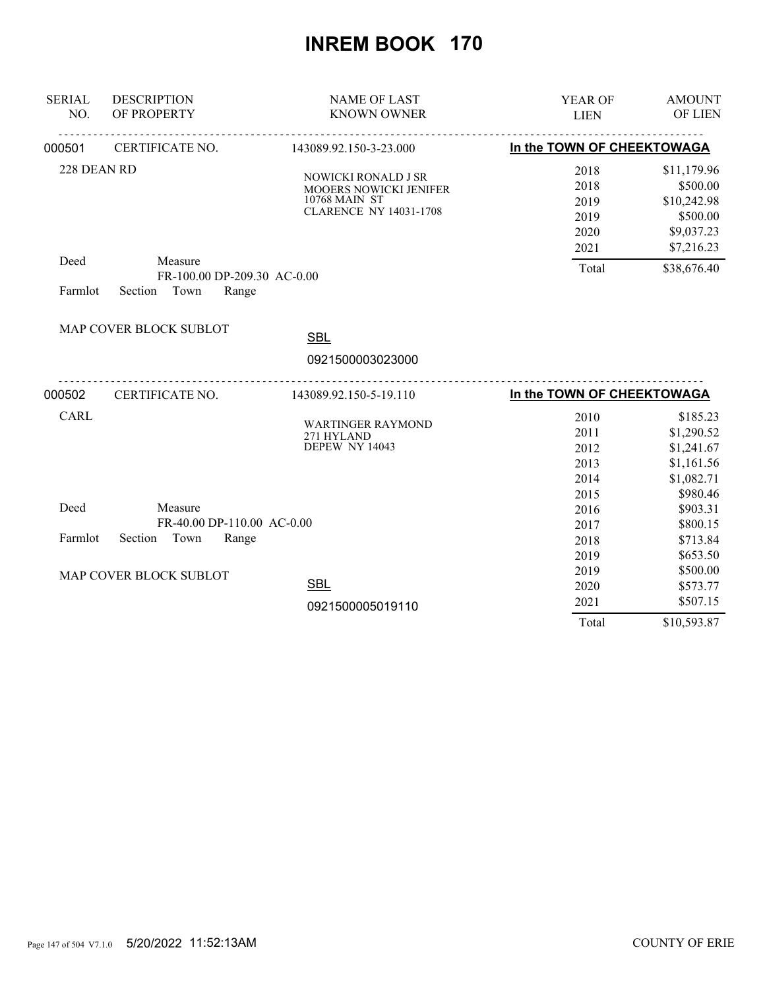| <b>SERIAL</b><br>NO. | <b>DESCRIPTION</b><br>OF PROPERTY | <b>NAME OF LAST</b><br><b>KNOWN OWNER</b> | YEAR OF<br><b>LIEN</b>     | <b>AMOUNT</b><br>OF LIEN |
|----------------------|-----------------------------------|-------------------------------------------|----------------------------|--------------------------|
|                      | <u>.</u>                          | .                                         |                            |                          |
| 000501               | CERTIFICATE NO.                   | 143089.92.150-3-23.000                    | In the TOWN OF CHEEKTOWAGA |                          |
| 228 DEAN RD          |                                   | NOWICKI RONALD J SR                       | 2018                       | \$11,179.96              |
|                      |                                   | MOOERS NOWICKI JENIFER                    | 2018                       | \$500.00                 |
|                      |                                   | 10768 MAIN ST                             | 2019                       | \$10,242.98              |
|                      |                                   | <b>CLARENCE NY 14031-1708</b>             | 2019                       | \$500.00                 |
|                      |                                   |                                           | 2020                       | \$9,037.23               |
|                      |                                   |                                           | 2021                       | \$7,216.23               |
| Deed                 | Measure                           |                                           | Total                      | \$38,676.40              |
|                      | FR-100.00 DP-209.30 AC-0.00       |                                           |                            |                          |
| Farmlot              | Section Town<br>Range             |                                           |                            |                          |
|                      | MAP COVER BLOCK SUBLOT            |                                           |                            |                          |
|                      |                                   | <b>SBL</b>                                |                            |                          |
|                      |                                   | 0921500003023000                          |                            |                          |
| 000502               | CERTIFICATE NO.                   | <u>.</u><br>143089.92.150-5-19.110        | In the TOWN OF CHEEKTOWAGA |                          |
| CARL                 |                                   |                                           | 2010                       | \$185.23                 |
|                      |                                   | <b>WARTINGER RAYMOND</b>                  | 2011                       | \$1,290.52               |
|                      |                                   | 271 HYLAND<br>DEPEW NY 14043              | 2012                       | \$1,241.67               |
|                      |                                   |                                           | 2013                       | \$1,161.56               |
|                      |                                   |                                           | 2014                       | \$1,082.71               |
|                      |                                   |                                           | 2015                       | \$980.46                 |
| Deed                 | Measure                           |                                           | 2016                       | \$903.31                 |
|                      | FR-40.00 DP-110.00 AC-0.00        |                                           | 2017                       | \$800.15                 |
| Farmlot              | Section<br>Town<br>Range          |                                           | 2018                       | \$713.84                 |
|                      |                                   |                                           | 2019                       | \$653.50                 |
|                      | MAP COVER BLOCK SUBLOT            |                                           | 2019                       | \$500.00                 |
|                      |                                   | <b>SBL</b>                                | 2020                       | \$573.77                 |
|                      |                                   | 0921500005019110                          | 2021                       | \$507.15                 |
|                      |                                   |                                           | Total                      | \$10,593.87              |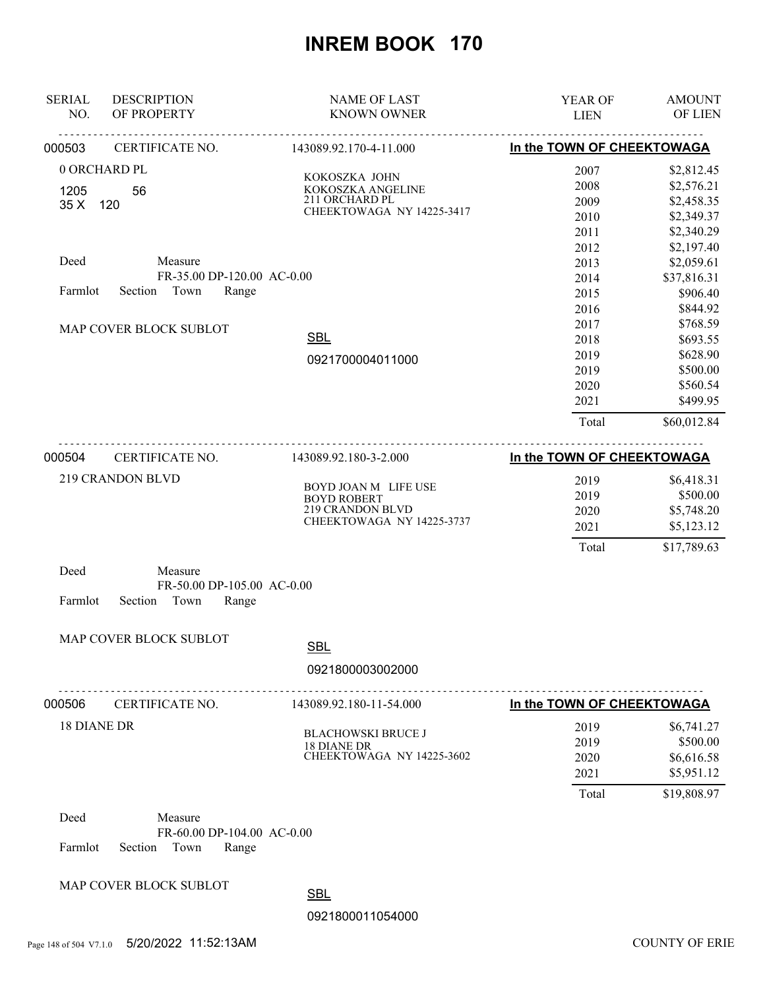| <b>SERIAL</b><br>NO. | <b>DESCRIPTION</b><br>OF PROPERTY | <b>NAME OF LAST</b><br><b>KNOWN OWNER</b> | YEAR OF<br><b>LIEN</b>     | <b>AMOUNT</b><br>OF LIEN |
|----------------------|-----------------------------------|-------------------------------------------|----------------------------|--------------------------|
| 000503               | CERTIFICATE NO.                   | 143089.92.170-4-11.000                    | In the TOWN OF CHEEKTOWAGA |                          |
|                      | 0 ORCHARD PL                      |                                           | 2007                       | \$2,812.45               |
| 1205                 | 56                                | KOKOSZKA JOHN<br>KOKOSZKA ANGELINE        | 2008                       | \$2,576.21               |
| 35X                  | 120                               | 211 ORCHARD PL                            | 2009                       | \$2,458.35               |
|                      |                                   | CHEEKTOWAGA NY 14225-3417                 | 2010                       | \$2,349.37               |
|                      |                                   |                                           | 2011                       | \$2,340.29               |
|                      |                                   |                                           | 2012                       | \$2,197.40               |
| Deed                 | Measure                           |                                           | 2013                       | \$2,059.61               |
|                      | FR-35.00 DP-120.00 AC-0.00        |                                           | 2014                       | \$37,816.31              |
| Farmlot              | Town<br>Section<br>Range          |                                           | 2015                       | \$906.40                 |
|                      |                                   |                                           | 2016                       | \$844.92                 |
|                      | MAP COVER BLOCK SUBLOT            |                                           | 2017                       | \$768.59                 |
|                      |                                   | <b>SBL</b>                                | 2018                       | \$693.55                 |
|                      |                                   | 0921700004011000                          | 2019                       | \$628.90                 |
|                      |                                   |                                           | 2019                       | \$500.00                 |
|                      |                                   |                                           | 2020                       | \$560.54                 |
|                      |                                   |                                           | 2021                       | \$499.95                 |
|                      |                                   |                                           | Total                      | \$60,012.84              |
| 000504               | CERTIFICATE NO.                   | 143089.92.180-3-2.000                     | In the TOWN OF CHEEKTOWAGA |                          |
|                      | 219 CRANDON BLVD                  | BOYD JOAN M LIFE USE                      | 2019                       | \$6,418.31               |
|                      |                                   | <b>BOYD ROBERT</b>                        | 2019                       | \$500.00                 |
|                      |                                   | 219 CRANDON BLVD                          | 2020                       | \$5,748.20               |
|                      |                                   | CHEEKTOWAGA NY 14225-3737                 | 2021                       | \$5,123.12               |
|                      |                                   |                                           | Total                      | \$17,789.63              |
| Deed                 | Measure                           |                                           |                            |                          |
|                      | FR-50.00 DP-105.00 AC-0.00        |                                           |                            |                          |
| Farmlot              | Section<br>Town<br>Range          |                                           |                            |                          |
|                      | MAP COVER BLOCK SUBLOT            | <b>SBL</b>                                |                            |                          |
|                      |                                   |                                           |                            |                          |
|                      |                                   | 0921800003002000                          |                            |                          |
| 000506               | CERTIFICATE NO.                   | 143089.92.180-11-54.000                   | In the TOWN OF CHEEKTOWAGA |                          |
| <b>18 DIANE DR</b>   |                                   |                                           | 2019                       | \$6,741.27               |
|                      |                                   | <b>BLACHOWSKI BRUCE J</b><br>18 DIANE DR  | 2019                       | \$500.00                 |
|                      |                                   | CHEEKTOWAGA NY 14225-3602                 | 2020                       | \$6,616.58               |
|                      |                                   |                                           | 2021                       | \$5,951.12               |
|                      |                                   |                                           | Total                      | \$19,808.97              |
| Deed                 | Measure                           |                                           |                            |                          |
|                      | FR-60.00 DP-104.00 AC-0.00        |                                           |                            |                          |
| Farmlot              | Town<br>Section<br>Range          |                                           |                            |                          |
|                      |                                   |                                           |                            |                          |
|                      | MAP COVER BLOCK SUBLOT            | <b>CDI</b>                                |                            |                          |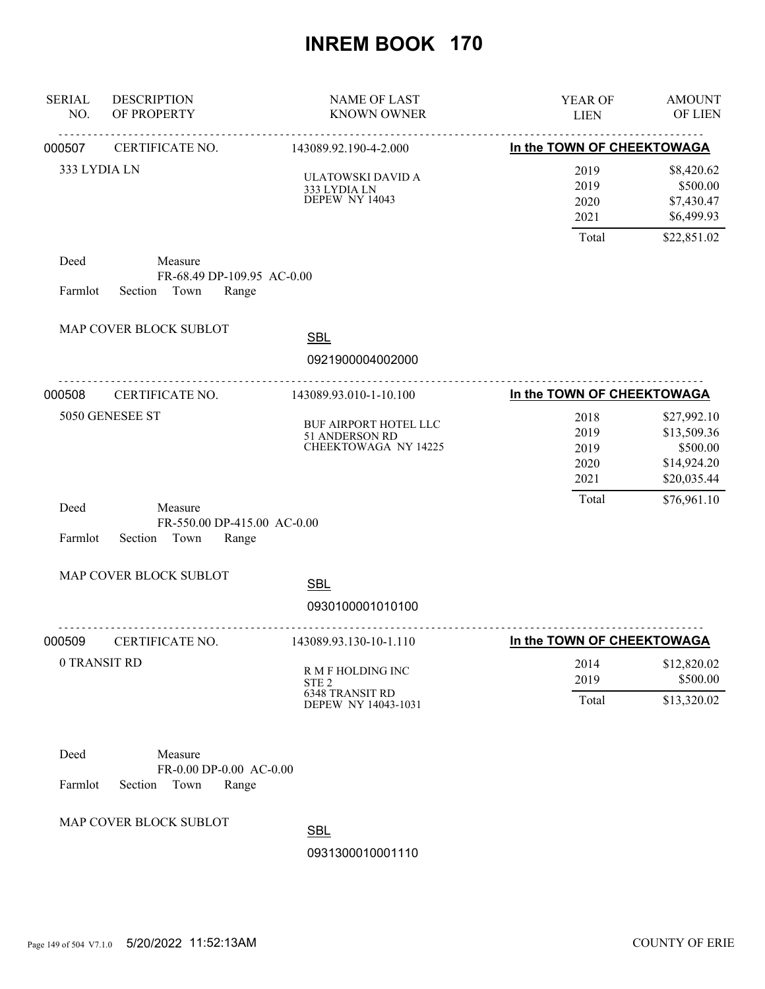| <b>SERIAL</b><br>NO. | <b>DESCRIPTION</b><br>OF PROPERTY                               | <b>NAME OF LAST</b><br><b>KNOWN OWNER</b>                                              | YEAR OF<br><b>LIEN</b>                | <b>AMOUNT</b><br>OF LIEN                                             |
|----------------------|-----------------------------------------------------------------|----------------------------------------------------------------------------------------|---------------------------------------|----------------------------------------------------------------------|
| 000507               | CERTIFICATE NO.                                                 | 143089.92.190-4-2.000                                                                  | In the TOWN OF CHEEKTOWAGA            |                                                                      |
| 333 LYDIA LN         |                                                                 | ULATOWSKI DAVID A<br>333 LYDIA LN<br>DEPEW NY 14043                                    | 2019<br>2019<br>2020<br>2021<br>Total | \$8,420.62<br>\$500.00<br>\$7,430.47<br>\$6,499.93                   |
| Deed<br>Farmlot      | Measure<br>FR-68.49 DP-109.95 AC-0.00<br>Section Town<br>Range  |                                                                                        |                                       | \$22,851.02                                                          |
|                      | MAP COVER BLOCK SUBLOT                                          | <b>SBL</b>                                                                             |                                       |                                                                      |
|                      |                                                                 | 0921900004002000                                                                       |                                       |                                                                      |
| 000508               | <u>.</u><br>CERTIFICATE NO.                                     | 143089.93.010-1-10.100                                                                 | In the TOWN OF CHEEKTOWAGA            |                                                                      |
|                      | 5050 GENESEE ST                                                 | BUF AIRPORT HOTEL LLC<br>51 ANDERSON RD<br><b>CHEEKTOWAGA NY 14225</b>                 | 2018<br>2019<br>2019<br>2020<br>2021  | \$27,992.10<br>\$13,509.36<br>\$500.00<br>\$14,924.20<br>\$20,035.44 |
| Deed<br>Farmlot      | Measure<br>FR-550.00 DP-415.00 AC-0.00<br>Section Town<br>Range |                                                                                        | Total                                 | \$76,961.10                                                          |
|                      | MAP COVER BLOCK SUBLOT                                          | <b>SBL</b><br>0930100001010100                                                         |                                       |                                                                      |
| 000509               | CERTIFICATE NO.                                                 | 143089.93.130-10-1.110                                                                 | In the TOWN OF CHEEKTOWAGA            |                                                                      |
|                      | 0 TRANSIT RD                                                    | R M F HOLDING INC<br>STE <sub>2</sub><br><b>6348 TRANSIT RD</b><br>DEPEW NY 14043-1031 | 2014<br>2019<br>Total                 | \$12,820.02<br>\$500.00<br>\$13,320.02                               |
| Deed<br>Farmlot      | Measure<br>FR-0.00 DP-0.00 AC-0.00<br>Section<br>Town<br>Range  |                                                                                        |                                       |                                                                      |
|                      | MAP COVER BLOCK SUBLOT                                          | SBL                                                                                    |                                       |                                                                      |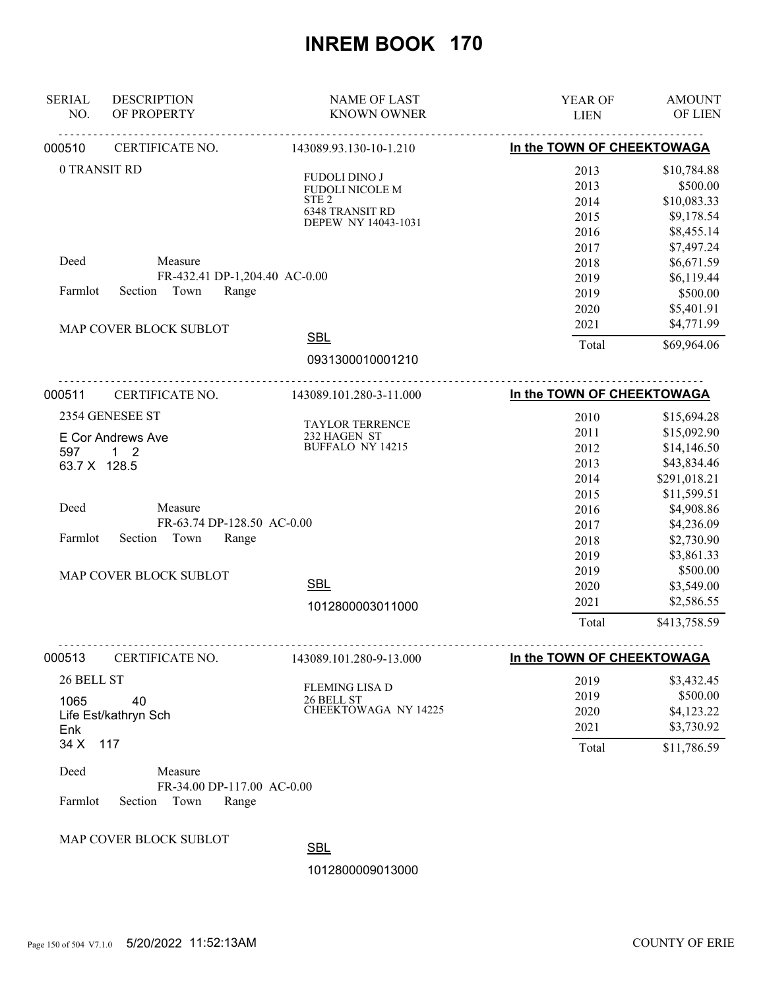| <b>SERIAL</b><br>NO.                      | <b>DESCRIPTION</b><br>OF PROPERTY                                                                                                                 | <b>NAME OF LAST</b><br><b>KNOWN OWNER</b>                                                             | YEAR OF<br><b>LIEN</b>                                                                                        | <b>AMOUNT</b><br>OF LIEN                                                                                                                                                                                |
|-------------------------------------------|---------------------------------------------------------------------------------------------------------------------------------------------------|-------------------------------------------------------------------------------------------------------|---------------------------------------------------------------------------------------------------------------|---------------------------------------------------------------------------------------------------------------------------------------------------------------------------------------------------------|
| 000510                                    | CERTIFICATE NO.                                                                                                                                   | 143089.93.130-10-1.210                                                                                | In the TOWN OF CHEEKTOWAGA                                                                                    |                                                                                                                                                                                                         |
|                                           | 0 TRANSIT RD                                                                                                                                      | <b>FUDOLI DINO J</b><br>FUDOLI NICOLE M<br>STE <sub>2</sub><br>6348 TRANSIT RD<br>DEPEW NY 14043-1031 | 2013<br>2013<br>2014<br>2015<br>2016                                                                          | \$10,784.88<br>\$500.00<br>\$10,083.33<br>\$9,178.54<br>\$8,455.14                                                                                                                                      |
| Deed<br>Farmlot                           | Measure<br>FR-432.41 DP-1,204.40 AC-0.00<br>Section Town<br>Range                                                                                 |                                                                                                       | 2017<br>2018<br>2019<br>2019<br>2020                                                                          | \$7,497.24<br>\$6,671.59<br>\$6,119.44<br>\$500.00<br>\$5,401.91                                                                                                                                        |
|                                           | MAP COVER BLOCK SUBLOT                                                                                                                            | <b>SBL</b><br>0931300010001210                                                                        | 2021<br>Total                                                                                                 | \$4,771.99<br>\$69,964.06                                                                                                                                                                               |
| 000511                                    | CERTIFICATE NO.                                                                                                                                   | 143089.101.280-3-11.000                                                                               | In the TOWN OF CHEEKTOWAGA                                                                                    |                                                                                                                                                                                                         |
| 597<br>63.7 X 128.5<br>Deed<br>Farmlot    | 2354 GENESEE ST<br>E Cor Andrews Ave<br>$1\quad 2$<br>Measure<br>FR-63.74 DP-128.50 AC-0.00<br>Section<br>Town<br>Range<br>MAP COVER BLOCK SUBLOT | TAYLOR TERRENCE<br>232 HAGEN ST<br>BUFFALO NY 14215<br><b>SBL</b><br>1012800003011000                 | 2010<br>2011<br>2012<br>2013<br>2014<br>2015<br>2016<br>2017<br>2018<br>2019<br>2019<br>2020<br>2021<br>Total | \$15,694.28<br>\$15,092.90<br>\$14,146.50<br>\$43,834.46<br>\$291,018.21<br>\$11,599.51<br>\$4,908.86<br>\$4,236.09<br>\$2,730.90<br>\$3,861.33<br>\$500.00<br>\$3,549.00<br>\$2,586.55<br>\$413,758.59 |
| 000513                                    | CERTIFICATE NO.                                                                                                                                   | 143089.101.280-9-13.000                                                                               | In the TOWN OF CHEEKTOWAGA                                                                                    |                                                                                                                                                                                                         |
| 26 BELL ST<br>1065<br>Enk<br>34 X<br>Deed | 40<br>Life Est/kathryn Sch<br>117<br>Measure                                                                                                      | <b>FLEMING LISA D</b><br>26 BELL ST<br>CHEEKTOWAGA NY 14225                                           | 2019<br>2019<br>2020<br>2021<br>Total                                                                         | \$3,432.45<br>\$500.00<br>\$4,123.22<br>\$3,730.92<br>\$11,786.59                                                                                                                                       |
| Farmlot                                   | FR-34.00 DP-117.00 AC-0.00<br>Section<br>Town<br>Range                                                                                            |                                                                                                       |                                                                                                               |                                                                                                                                                                                                         |
|                                           | MAP COVER BLOCK SUBLOT                                                                                                                            |                                                                                                       |                                                                                                               |                                                                                                                                                                                                         |

SBL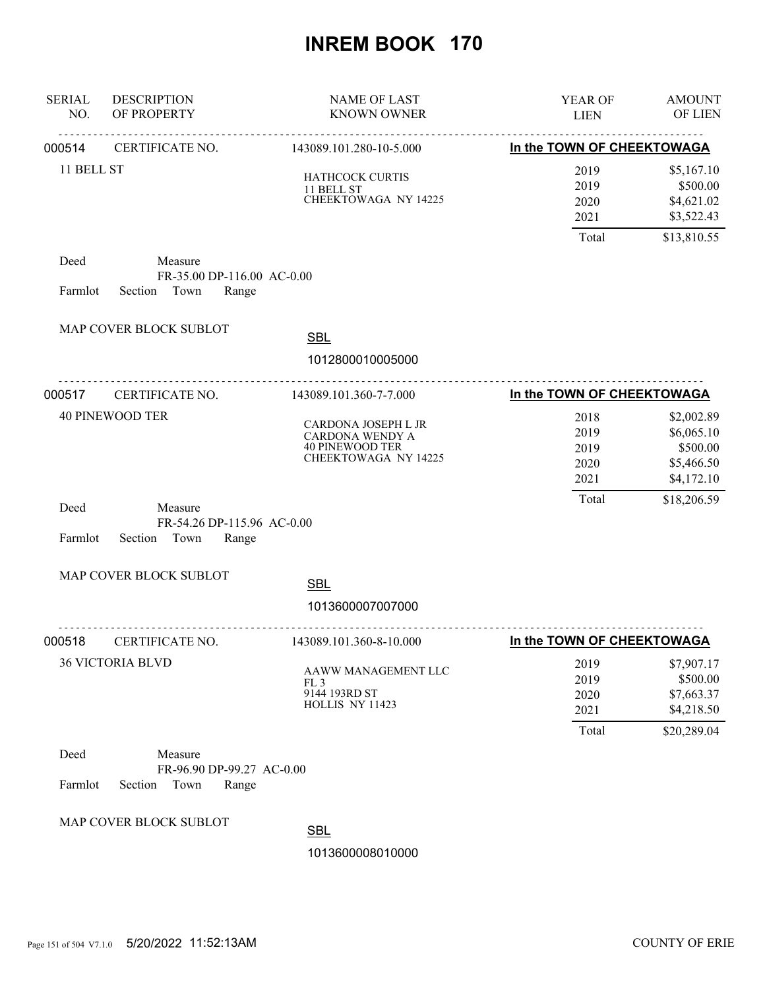| <b>SERIAL</b><br>NO. | <b>DESCRIPTION</b><br>OF PROPERTY                                 | <b>NAME OF LAST</b><br><b>KNOWN OWNER</b>                                                       | YEAR OF<br><b>LIEN</b>                | <b>AMOUNT</b><br>OF LIEN                                          |
|----------------------|-------------------------------------------------------------------|-------------------------------------------------------------------------------------------------|---------------------------------------|-------------------------------------------------------------------|
| 000514               | <u>.</u><br>CERTIFICATE NO.                                       | .<br>143089.101.280-10-5.000                                                                    | In the TOWN OF CHEEKTOWAGA            |                                                                   |
| 11 BELL ST           |                                                                   | HATHCOCK CURTIS<br>11 BELL ST<br>CHEEKTOWAGA NY 14225                                           | 2019<br>2019<br>2020<br>2021          | \$5,167.10<br>\$500.00<br>\$4,621.02<br>\$3,522.43                |
| Deed<br>Farmlot      | Measure<br>FR-35.00 DP-116.00 AC-0.00<br>Town<br>Section<br>Range |                                                                                                 | Total                                 | \$13,810.55                                                       |
|                      | MAP COVER BLOCK SUBLOT                                            | <b>SBL</b><br>1012800010005000                                                                  |                                       |                                                                   |
| 000517               | CERTIFICATE NO.                                                   | 143089.101.360-7-7.000                                                                          | In the TOWN OF CHEEKTOWAGA            |                                                                   |
|                      | <b>40 PINEWOOD TER</b>                                            | CARDONA JOSEPH L JR<br><b>CARDONA WENDY A</b><br><b>40 PINEWOOD TER</b><br>CHEEKTOWAGA NY 14225 | 2018<br>2019<br>2019<br>2020<br>2021  | \$2,002.89<br>\$6,065.10<br>\$500.00<br>\$5,466.50<br>\$4,172.10  |
| Deed<br>Farmlot      | Measure<br>FR-54.26 DP-115.96 AC-0.00<br>Section<br>Town<br>Range |                                                                                                 | Total                                 | \$18,206.59                                                       |
|                      | MAP COVER BLOCK SUBLOT                                            |                                                                                                 |                                       |                                                                   |
|                      |                                                                   | <b>SBL</b><br>1013600007007000                                                                  |                                       |                                                                   |
| 000518               | CERTIFICATE NO.                                                   | 143089.101.360-8-10.000                                                                         | In the TOWN OF CHEEKTOWAGA            |                                                                   |
|                      | <b>36 VICTORIA BLVD</b>                                           | AAWW MANAGEMENT LLC<br>FL <sub>3</sub><br>9144 193RD ST<br>HOLLIS NY 11423                      | 2019<br>2019<br>2020<br>2021<br>Total | \$7,907.17<br>\$500.00<br>\$7,663.37<br>\$4,218.50<br>\$20,289.04 |
| Deed                 | Measure                                                           |                                                                                                 |                                       |                                                                   |
| Farmlot              | FR-96.90 DP-99.27 AC-0.00<br>Section<br>Town<br>Range             |                                                                                                 |                                       |                                                                   |
|                      | MAP COVER BLOCK SUBLOT                                            | <b>SBL</b>                                                                                      |                                       |                                                                   |
|                      |                                                                   | 1013600008010000                                                                                |                                       |                                                                   |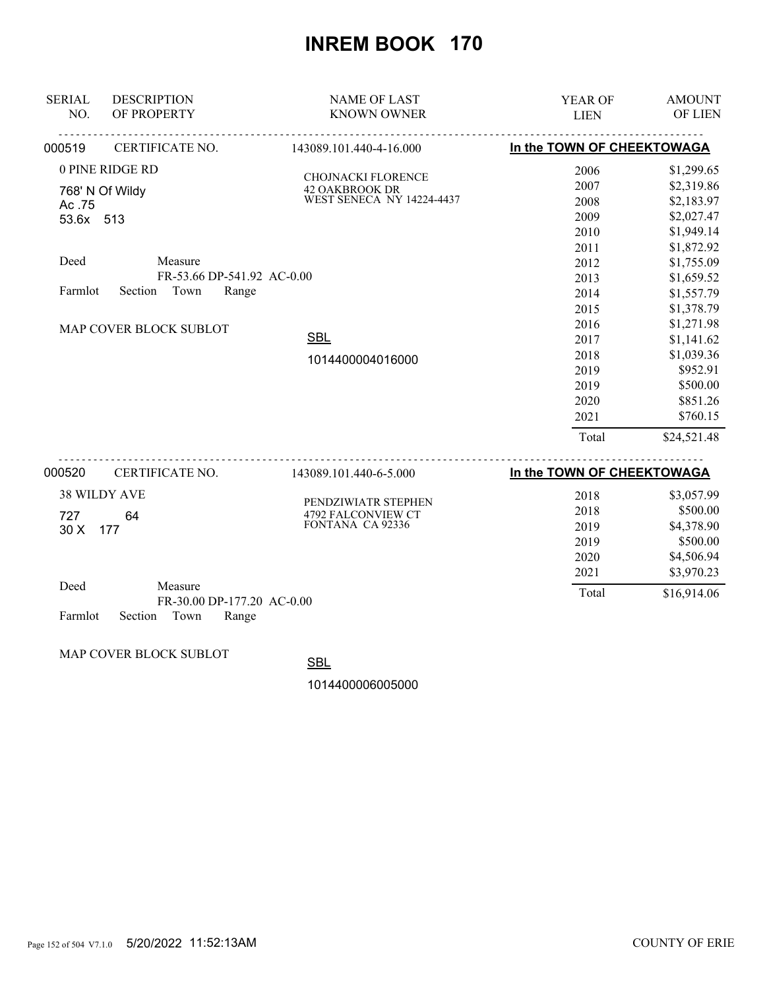| <b>SERIAL</b>          | <b>DESCRIPTION</b>                    | <b>NAME OF LAST</b>                       | <b>YEAR OF</b>             | <b>AMOUNT</b> |
|------------------------|---------------------------------------|-------------------------------------------|----------------------------|---------------|
| NO.                    | OF PROPERTY                           | <b>KNOWN OWNER</b>                        | <b>LIEN</b>                | OF LIEN       |
| 000519                 | CERTIFICATE NO.                       | <u>.</u><br>143089.101.440-4-16.000       | In the TOWN OF CHEEKTOWAGA |               |
|                        | 0 PINE RIDGE RD                       | <b>CHOJNACKI FLORENCE</b>                 | 2006                       | \$1,299.65    |
|                        | 768' N Of Wildy                       | 42 OAKBROOK DR                            | 2007                       | \$2,319.86    |
| Ac.75                  |                                       | <b>WEST SENECA NY 14224-4437</b>          | 2008                       | \$2,183.97    |
| 53.6x 513              |                                       |                                           | 2009                       | \$2,027.47    |
|                        |                                       |                                           | 2010                       | \$1,949.14    |
|                        |                                       |                                           | 2011                       | \$1,872.92    |
| Deed                   | Measure                               |                                           | 2012                       | \$1,755.09    |
|                        | FR-53.66 DP-541.92 AC-0.00            |                                           | 2013                       | \$1,659.52    |
| Farmlot                | Town<br>Section<br>Range              |                                           | 2014                       | \$1,557.79    |
|                        |                                       |                                           | 2015                       | \$1,378.79    |
| MAP COVER BLOCK SUBLOT |                                       |                                           | 2016                       | \$1,271.98    |
|                        |                                       | <b>SBL</b>                                | 2017                       | \$1,141.62    |
|                        |                                       | 1014400004016000                          | 2018                       | \$1,039.36    |
|                        |                                       |                                           | 2019                       | \$952.91      |
|                        |                                       |                                           | 2019                       | \$500.00      |
|                        |                                       |                                           | 2020                       | \$851.26      |
|                        |                                       |                                           | 2021                       | \$760.15      |
|                        |                                       |                                           | Total                      | \$24,521.48   |
| 000520                 | CERTIFICATE NO.                       | 143089.101.440-6-5.000                    | In the TOWN OF CHEEKTOWAGA |               |
|                        | <b>38 WILDY AVE</b>                   |                                           | 2018                       | \$3,057.99    |
| 727                    | 64                                    | PENDZIWIATR STEPHEN<br>4792 FALCONVIEW CT | 2018                       | \$500.00      |
| 30 X                   | 177                                   | FONTANA CA 92336                          | 2019                       | \$4,378.90    |
|                        |                                       |                                           | 2019                       | \$500.00      |
|                        |                                       |                                           | 2020                       | \$4,506.94    |
|                        |                                       |                                           | 2021                       | \$3,970.23    |
| Deed                   | Measure<br>FR-30.00 DP-177.20 AC-0.00 |                                           | Total                      | \$16,914.06   |

Farmlot Section Town Range

MAP COVER BLOCK SUBLOT

**SBL**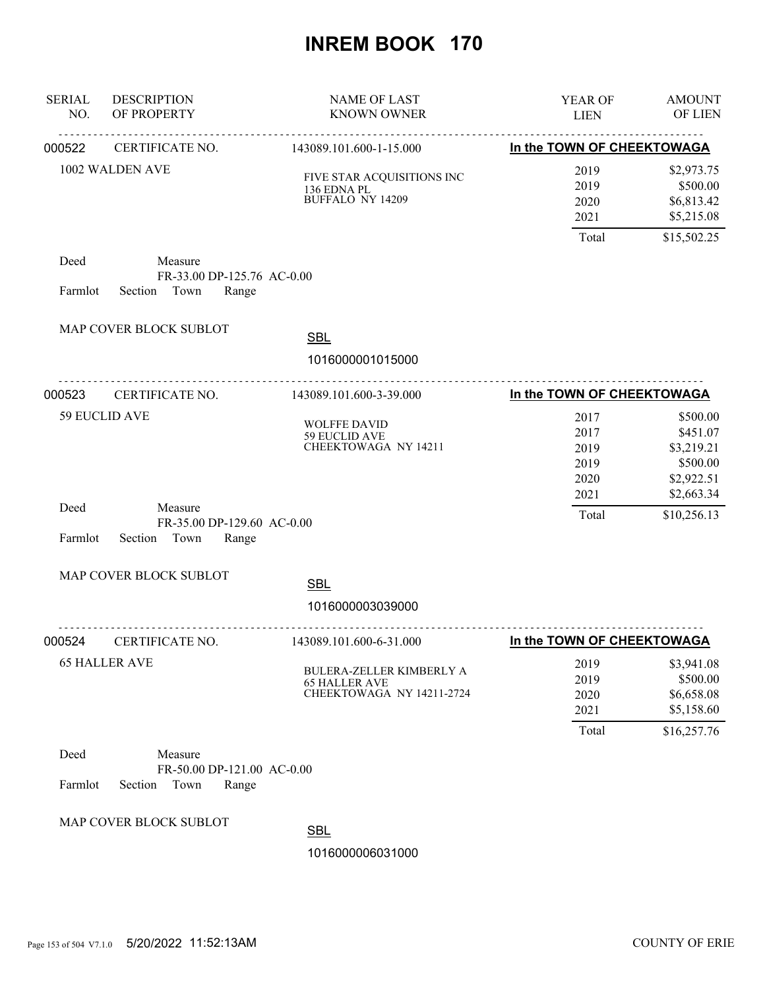| <b>SERIAL</b><br>NO. | <b>DESCRIPTION</b><br>OF PROPERTY                                 | <b>NAME OF LAST</b><br><b>KNOWN OWNER</b>                                            | YEAR OF<br><b>LIEN</b>               | <b>AMOUNT</b><br><b>OF LIEN</b>                              |
|----------------------|-------------------------------------------------------------------|--------------------------------------------------------------------------------------|--------------------------------------|--------------------------------------------------------------|
| 000522               | CERTIFICATE NO.                                                   | 143089.101.600-1-15.000                                                              | In the TOWN OF CHEEKTOWAGA           |                                                              |
|                      | 1002 WALDEN AVE                                                   | FIVE STAR ACQUISITIONS INC<br>136 EDNA PL<br><b>BUFFALO NY 14209</b>                 | 2019<br>2019<br>2020<br>2021         | \$2,973.75<br>\$500.00<br>\$6,813.42<br>\$5,215.08           |
|                      |                                                                   |                                                                                      | Total                                | \$15,502.25                                                  |
| Deed<br>Farmlot      | Measure<br>FR-33.00 DP-125.76 AC-0.00<br>Section<br>Town<br>Range |                                                                                      |                                      |                                                              |
|                      | MAP COVER BLOCK SUBLOT                                            | <b>SBL</b>                                                                           |                                      |                                                              |
|                      |                                                                   | 1016000001015000                                                                     |                                      |                                                              |
| 000523               | CERTIFICATE NO.                                                   | 143089.101.600-3-39.000                                                              | In the TOWN OF CHEEKTOWAGA           |                                                              |
|                      | <b>59 EUCLID AVE</b>                                              | <b>WOLFFE DAVID</b><br>59 EUCLID AVE<br>CHEEKTOWAGA NY 14211                         | 2017<br>2017<br>2019<br>2019<br>2020 | \$500.00<br>\$451.07<br>\$3,219.21<br>\$500.00<br>\$2,922.51 |
| Deed<br>Farmlot      | Measure<br>FR-35.00 DP-129.60 AC-0.00<br>Section<br>Town<br>Range |                                                                                      | 2021<br>Total                        | \$2,663.34<br>\$10,256.13                                    |
|                      | MAP COVER BLOCK SUBLOT                                            | <b>SBL</b><br>1016000003039000                                                       |                                      |                                                              |
| 000524               | CERTIFICATE NO.                                                   | 143089.101.600-6-31.000                                                              | In the TOWN OF CHEEKTOWAGA           |                                                              |
|                      | <b>65 HALLER AVE</b>                                              | <b>BULERA-ZELLER KIMBERLY A</b><br><b>65 HALLER AVE</b><br>CHEEKTOWAGA NY 14211-2724 | 2019<br>2019<br>2020<br>2021         | \$3,941.08<br>\$500.00<br>\$6,658.08<br>\$5,158.60           |
| Deed<br>Farmlot      | Measure<br>FR-50.00 DP-121.00 AC-0.00<br>Section<br>Town<br>Range |                                                                                      | Total                                | \$16,257.76                                                  |
|                      | MAP COVER BLOCK SUBLOT                                            | <b>SBL</b><br>1016000006031000                                                       |                                      |                                                              |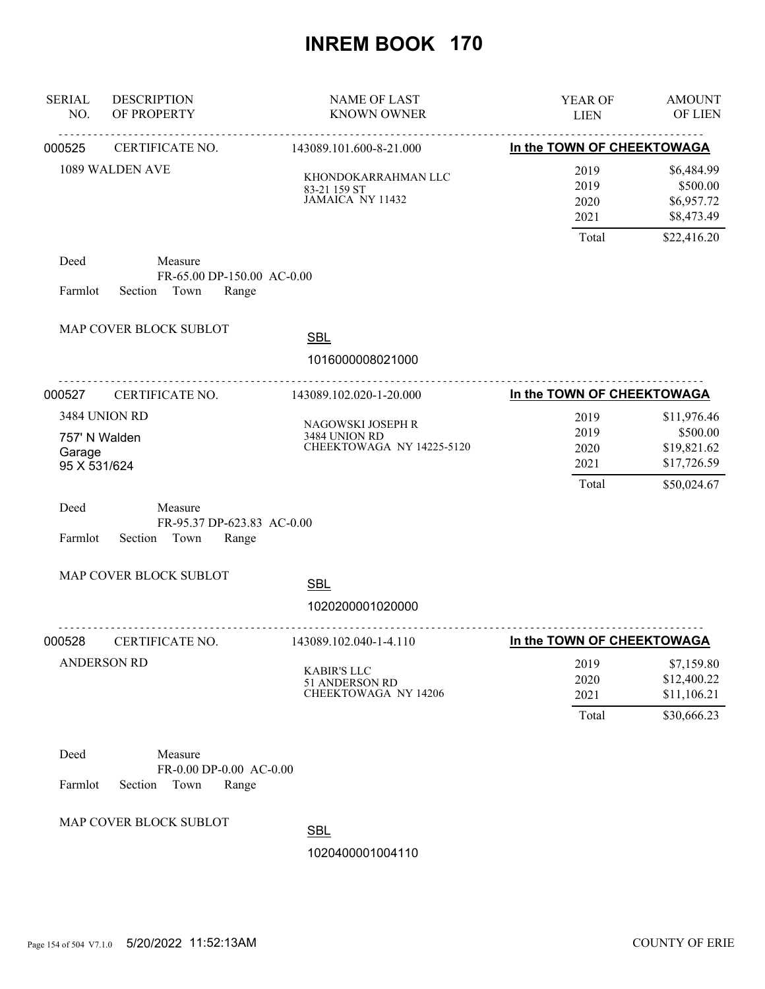| <b>SERIAL</b><br>NO.                    | <b>DESCRIPTION</b><br>OF PROPERTY                                 | <b>NAME OF LAST</b><br><b>KNOWN OWNER</b>                           | YEAR OF<br><b>LIEN</b>                | <b>AMOUNT</b><br>OF LIEN                                             |
|-----------------------------------------|-------------------------------------------------------------------|---------------------------------------------------------------------|---------------------------------------|----------------------------------------------------------------------|
| 000525                                  | CERTIFICATE NO.                                                   | 143089.101.600-8-21.000                                             | In the TOWN OF CHEEKTOWAGA            |                                                                      |
|                                         | 1089 WALDEN AVE                                                   | KHONDOKARRAHMAN LLC<br>83-21 159 ST<br>JAMAICA NY 11432             | 2019<br>2019<br>2020<br>2021<br>Total | \$6,484.99<br>\$500.00<br>\$6,957.72<br>\$8,473.49<br>\$22,416.20    |
| Deed<br>Farmlot                         | Measure<br>FR-65.00 DP-150.00 AC-0.00<br>Town<br>Range<br>Section |                                                                     |                                       |                                                                      |
|                                         | MAP COVER BLOCK SUBLOT                                            | <b>SBL</b>                                                          |                                       |                                                                      |
|                                         |                                                                   | 1016000008021000                                                    |                                       |                                                                      |
| 000527                                  | .<br>CERTIFICATE NO.                                              | 143089.102.020-1-20.000                                             | In the TOWN OF CHEEKTOWAGA            |                                                                      |
| 757' N Walden<br>Garage<br>95 X 531/624 | 3484 UNION RD                                                     | NAGOWSKI JOSEPH R<br>3484 UNION RD<br>CHEEKTOWAGA NY 14225-5120     | 2019<br>2019<br>2020<br>2021<br>Total | \$11,976.46<br>\$500.00<br>\$19,821.62<br>\$17,726.59<br>\$50,024.67 |
| Deed<br>Farmlot                         | Measure<br>FR-95.37 DP-623.83 AC-0.00<br>Section Town<br>Range    |                                                                     |                                       |                                                                      |
|                                         | MAP COVER BLOCK SUBLOT                                            | <b>SBL</b><br>1020200001020000                                      |                                       |                                                                      |
| 000528                                  | CERTIFICATE NO.                                                   | 143089.102.040-1-4.110                                              | In the TOWN OF CHEEKTOWAGA            |                                                                      |
|                                         | <b>ANDERSON RD</b>                                                | <b>KABIR'S LLC</b><br>51 ANDERSON RD<br><b>CHEEKTOWAGA NY 14206</b> | 2019<br>2020<br>2021                  | \$7,159.80<br>\$12,400.22<br>\$11,106.21                             |
|                                         |                                                                   |                                                                     | Total                                 | \$30,666.23                                                          |
| Deed<br>Farmlot                         | Measure<br>FR-0.00 DP-0.00 AC-0.00<br>Section<br>Town<br>Range    |                                                                     |                                       |                                                                      |
|                                         | MAP COVER BLOCK SUBLOT                                            | <b>SBL</b>                                                          |                                       |                                                                      |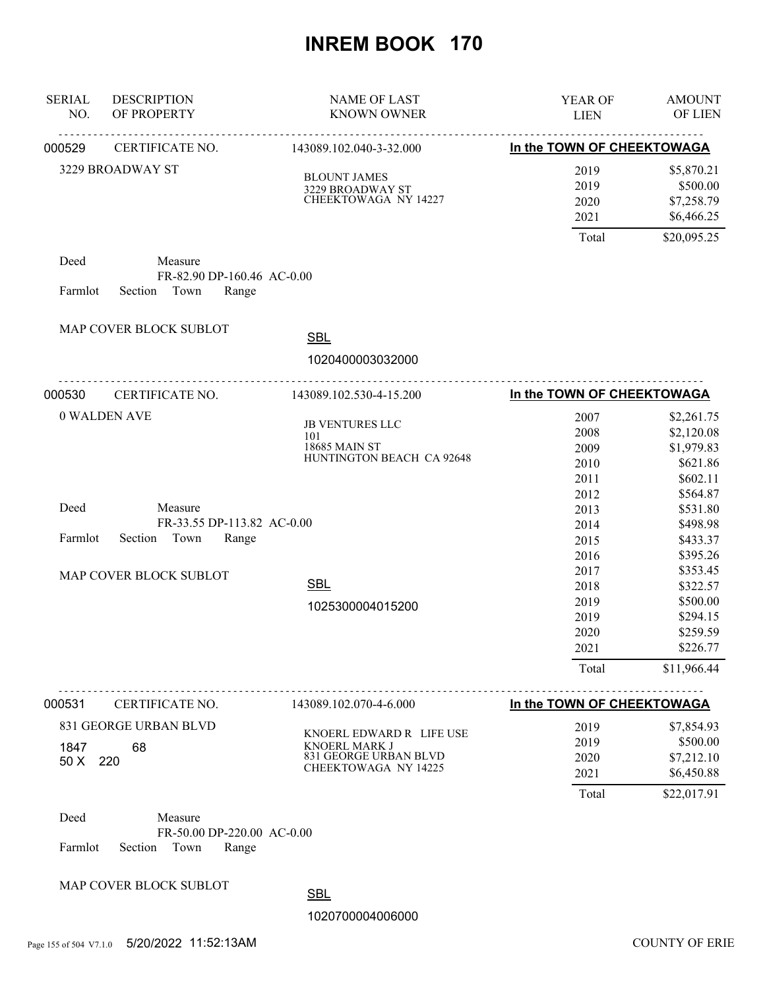| <b>SERIAL</b><br>NO. | <b>DESCRIPTION</b><br>OF PROPERTY                                                                           | <b>NAME OF LAST</b><br><b>KNOWN OWNER</b>                                                              | YEAR OF<br><b>LIEN</b>                                                                                                                | <b>AMOUNT</b><br>OF LIEN                                                                                                                                                                                          |
|----------------------|-------------------------------------------------------------------------------------------------------------|--------------------------------------------------------------------------------------------------------|---------------------------------------------------------------------------------------------------------------------------------------|-------------------------------------------------------------------------------------------------------------------------------------------------------------------------------------------------------------------|
| 000529               | <u>.</u><br>CERTIFICATE NO.                                                                                 | 143089.102.040-3-32.000                                                                                | In the TOWN OF CHEEKTOWAGA                                                                                                            |                                                                                                                                                                                                                   |
|                      | 3229 BROADWAY ST                                                                                            | <b>BLOUNT JAMES</b><br>3229 BROADWAY ST<br>CHEEKTOWAGA NY 14227                                        | 2019<br>2019<br>2020<br>2021                                                                                                          | \$5,870.21<br>\$500.00<br>\$7,258.79<br>\$6,466.25                                                                                                                                                                |
|                      |                                                                                                             |                                                                                                        | Total                                                                                                                                 | \$20,095.25                                                                                                                                                                                                       |
| Deed<br>Farmlot      | Measure<br>FR-82.90 DP-160.46 AC-0.00<br>Town<br>Range<br>Section                                           |                                                                                                        |                                                                                                                                       |                                                                                                                                                                                                                   |
|                      | MAP COVER BLOCK SUBLOT                                                                                      |                                                                                                        |                                                                                                                                       |                                                                                                                                                                                                                   |
|                      |                                                                                                             | <b>SBL</b><br>1020400003032000                                                                         |                                                                                                                                       |                                                                                                                                                                                                                   |
| 000530               | .<br>CERTIFICATE NO.                                                                                        | .<br>143089.102.530-4-15.200                                                                           | In the TOWN OF CHEEKTOWAGA                                                                                                            |                                                                                                                                                                                                                   |
| Deed<br>Farmlot      | 0 WALDEN AVE<br>Measure<br>FR-33.55 DP-113.82 AC-0.00<br>Town<br>Section<br>Range<br>MAP COVER BLOCK SUBLOT | JB VENTURES LLC<br>101<br>18685 MAIN ST<br>HUNTINGTON BEACH CA 92648<br><b>SBL</b><br>1025300004015200 | 2007<br>2008<br>2009<br>2010<br>2011<br>2012<br>2013<br>2014<br>2015<br>2016<br>2017<br>2018<br>2019<br>2019<br>2020<br>2021<br>Total | \$2,261.75<br>\$2,120.08<br>\$1,979.83<br>\$621.86<br>\$602.11<br>\$564.87<br>\$531.80<br>\$498.98<br>\$433.37<br>\$395.26<br>\$353.45<br>\$322.57<br>\$500.00<br>\$294.15<br>\$259.59<br>\$226.77<br>\$11,966.44 |
| 000531               | CERTIFICATE NO.                                                                                             | 143089.102.070-4-6.000                                                                                 | In the TOWN OF CHEEKTOWAGA                                                                                                            |                                                                                                                                                                                                                   |
| 1847<br>50 X 220     | 831 GEORGE URBAN BLVD<br>68                                                                                 | KNOERL EDWARD R LIFE USE<br>KNOERL MARK J<br>831 GEORGE URBAN BLVD<br><b>CHEEKTOWAGA NY 14225</b>      | 2019<br>2019<br>2020<br>2021<br>Total                                                                                                 | \$7,854.93<br>\$500.00<br>\$7,212.10<br>\$6,450.88<br>\$22,017.91                                                                                                                                                 |
| Deed<br>Farmlot      | Measure<br>FR-50.00 DP-220.00 AC-0.00<br>Section<br>Town<br>Range                                           |                                                                                                        |                                                                                                                                       |                                                                                                                                                                                                                   |
|                      | MAP COVER BLOCK SUBLOT                                                                                      | <b>SBL</b>                                                                                             |                                                                                                                                       |                                                                                                                                                                                                                   |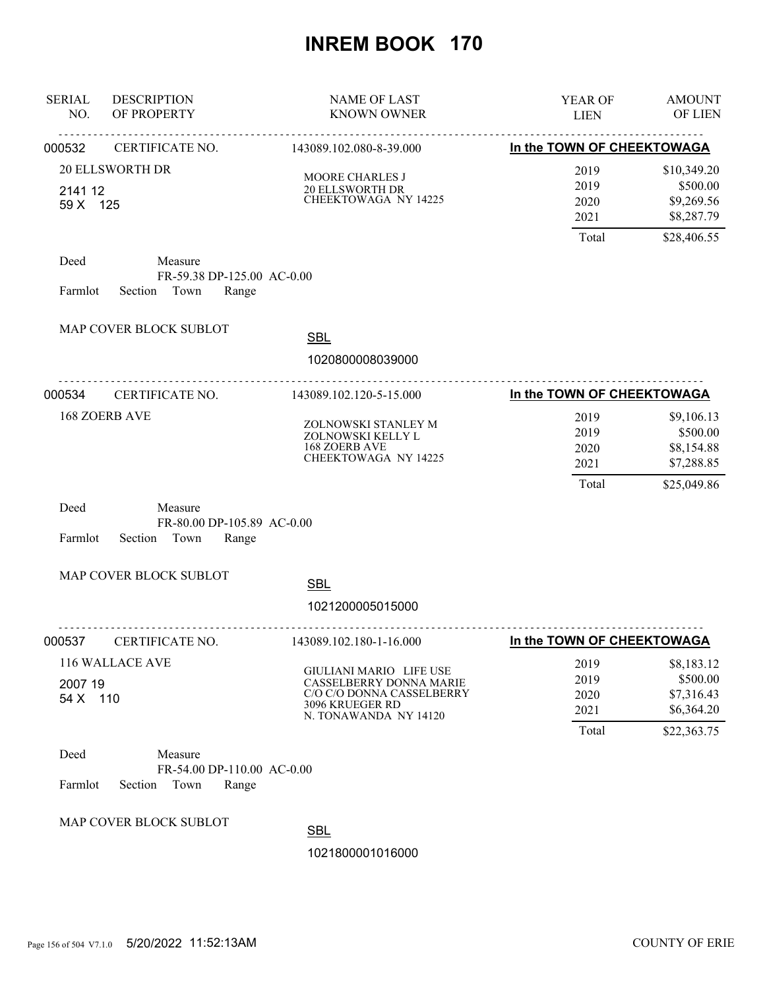| <b>SERIAL</b><br>NO. | <b>DESCRIPTION</b><br>OF PROPERTY                                 | <b>NAME OF LAST</b><br><b>KNOWN OWNER</b>                                                                                   | YEAR OF<br><b>LIEN</b>                | <b>AMOUNT</b><br>OF LIEN                                           |
|----------------------|-------------------------------------------------------------------|-----------------------------------------------------------------------------------------------------------------------------|---------------------------------------|--------------------------------------------------------------------|
| 000532               | CERTIFICATE NO.                                                   | 143089.102.080-8-39.000                                                                                                     | In the TOWN OF CHEEKTOWAGA            |                                                                    |
| 2141 12<br>59 X 125  | <b>20 ELLSWORTH DR</b>                                            | MOORE CHARLES J<br>20 ELLSWORTH DR<br>CHEEKTOWAGA NY 14225                                                                  | 2019<br>2019<br>2020<br>2021<br>Total | \$10,349.20<br>\$500.00<br>\$9,269.56<br>\$8,287.79<br>\$28,406.55 |
| Deed<br>Farmlot      | Measure<br>FR-59.38 DP-125.00 AC-0.00<br>Section Town<br>Range    |                                                                                                                             |                                       |                                                                    |
|                      | MAP COVER BLOCK SUBLOT                                            | <b>SBL</b><br>1020800008039000                                                                                              |                                       |                                                                    |
| 000534               | .<br>CERTIFICATE NO.                                              | 143089.102.120-5-15.000                                                                                                     | In the TOWN OF CHEEKTOWAGA            |                                                                    |
|                      | <b>168 ZOERB AVE</b>                                              | ZOLNOWSKI STANLEY M<br>ZOLNOWSKI KELLY L<br>168 ZOERB AVE<br>CHEEKTOWAGA NY 14225                                           | 2019<br>2019<br>2020<br>2021<br>Total | \$9,106.13<br>\$500.00<br>\$8,154.88<br>\$7,288.85<br>\$25,049.86  |
| Deed<br>Farmlot      | Measure<br>FR-80.00 DP-105.89 AC-0.00<br>Section Town<br>Range    |                                                                                                                             |                                       |                                                                    |
|                      | MAP COVER BLOCK SUBLOT                                            | <b>SBL</b>                                                                                                                  |                                       |                                                                    |
|                      |                                                                   | 1021200005015000                                                                                                            |                                       |                                                                    |
| 000537               | CERTIFICATE NO.                                                   | 143089.102.180-1-16.000                                                                                                     | In the TOWN OF CHEEKTOWAGA            |                                                                    |
| 2007 19<br>54 X 110  | 116 WALLACE AVE                                                   | GIULIANI MARIO LIFE USE<br>CASSELBERRY DONNA MARIE<br>C/O C/O DONNA CASSELBERRY<br>3096 KRUEGER RD<br>N. TONAWANDA NY 14120 | 2019<br>2019<br>2020<br>2021<br>Total | \$8,183.12<br>\$500.00<br>\$7,316.43<br>\$6,364.20                 |
| Deed<br>Farmlot      | Measure<br>FR-54.00 DP-110.00 AC-0.00<br>Section<br>Town<br>Range |                                                                                                                             |                                       | \$22,363.75                                                        |
|                      | MAP COVER BLOCK SUBLOT                                            | <b>SBL</b><br>1021800001016000                                                                                              |                                       |                                                                    |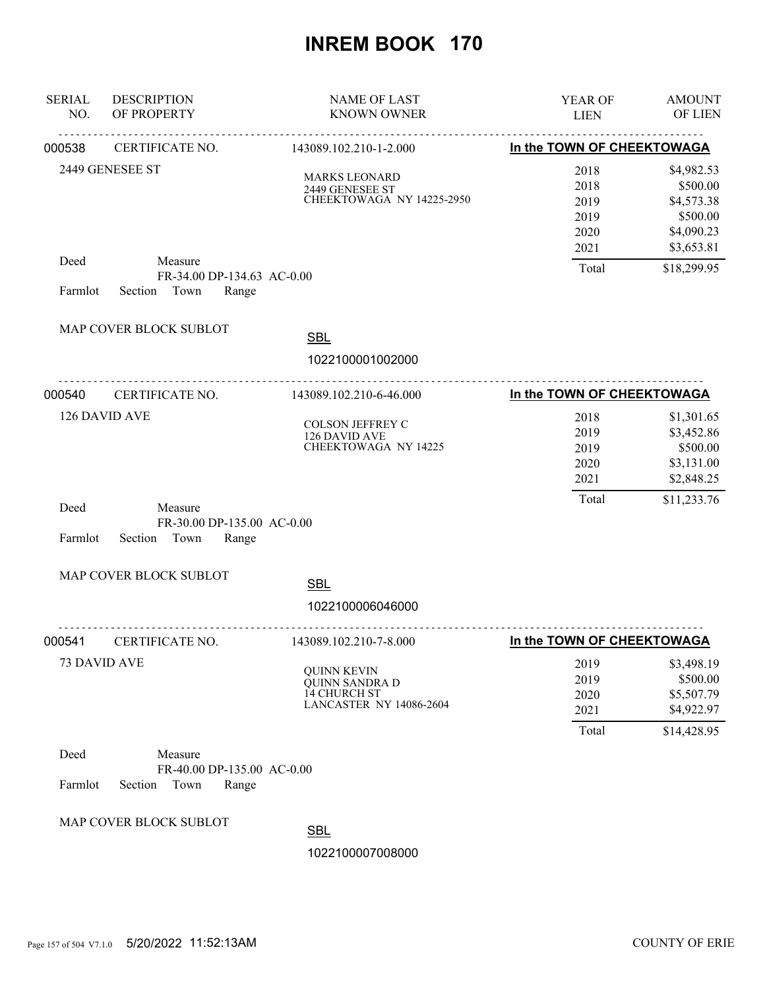| <b>SERIAL</b><br>NO. | <b>DESCRIPTION</b><br>OF PROPERTY                                 | <b>NAME OF LAST</b><br><b>KNOWN OWNER</b>                                              | YEAR OF<br><b>LIEN</b>                       | <b>AMOUNT</b><br>OF LIEN                                                     |
|----------------------|-------------------------------------------------------------------|----------------------------------------------------------------------------------------|----------------------------------------------|------------------------------------------------------------------------------|
| 000538               | CERTIFICATE NO.                                                   | <u>.</u><br>143089.102.210-1-2.000                                                     | In the TOWN OF CHEEKTOWAGA                   |                                                                              |
|                      | 2449 GENESEE ST                                                   | <b>MARKS LEONARD</b><br>2449 GENESEE ST<br>CHEEKTOWAGA NY 14225-2950                   | 2018<br>2018<br>2019<br>2019<br>2020<br>2021 | \$4,982.53<br>\$500.00<br>\$4,573.38<br>\$500.00<br>\$4,090.23<br>\$3,653.81 |
| Deed<br>Farmlot      | Measure<br>FR-34.00 DP-134.63 AC-0.00<br>Section Town<br>Range    |                                                                                        | Total                                        | \$18,299.95                                                                  |
|                      | MAP COVER BLOCK SUBLOT                                            | <b>SBL</b>                                                                             |                                              |                                                                              |
|                      |                                                                   | 1022100001002000                                                                       |                                              |                                                                              |
| 000540               | CERTIFICATE NO.                                                   | 143089.102.210-6-46.000                                                                | In the TOWN OF CHEEKTOWAGA                   |                                                                              |
|                      | 126 DAVID AVE                                                     | <b>COLSON JEFFREY C</b><br>126 DAVID AVE<br>CHEEKTOWAGA NY 14225                       | 2018<br>2019<br>2019<br>2020<br>2021         | \$1,301.65<br>\$3,452.86<br>\$500.00<br>\$3,131.00<br>\$2,848.25             |
| Deed<br>Farmlot      | Measure<br>FR-30.00 DP-135.00 AC-0.00<br>Section<br>Town<br>Range |                                                                                        | Total                                        | \$11,233.76                                                                  |
|                      | MAP COVER BLOCK SUBLOT                                            | <b>SBL</b>                                                                             |                                              |                                                                              |
|                      |                                                                   | 1022100006046000                                                                       |                                              |                                                                              |
| 000541               | CERTIFICATE NO.                                                   | 143089.102.210-7-8.000                                                                 | In the TOWN OF CHEEKTOWAGA                   |                                                                              |
|                      | 73 DAVID AVE                                                      | <b>QUINN KEVIN</b><br>QUINN SANDRA D<br>14 CHURCH ST<br><b>LANCASTER NY 14086-2604</b> | 2019<br>2019<br>2020<br>2021<br>Total        | \$3,498.19<br>\$500.00<br>\$5,507.79<br>\$4,922.97<br>\$14,428.95            |
| Deed<br>Farmlot      | Measure<br>FR-40.00 DP-135.00 AC-0.00<br>Town<br>Range<br>Section |                                                                                        |                                              |                                                                              |
|                      | MAP COVER BLOCK SUBLOT                                            | <b>SBL</b><br>1022100007008000                                                         |                                              |                                                                              |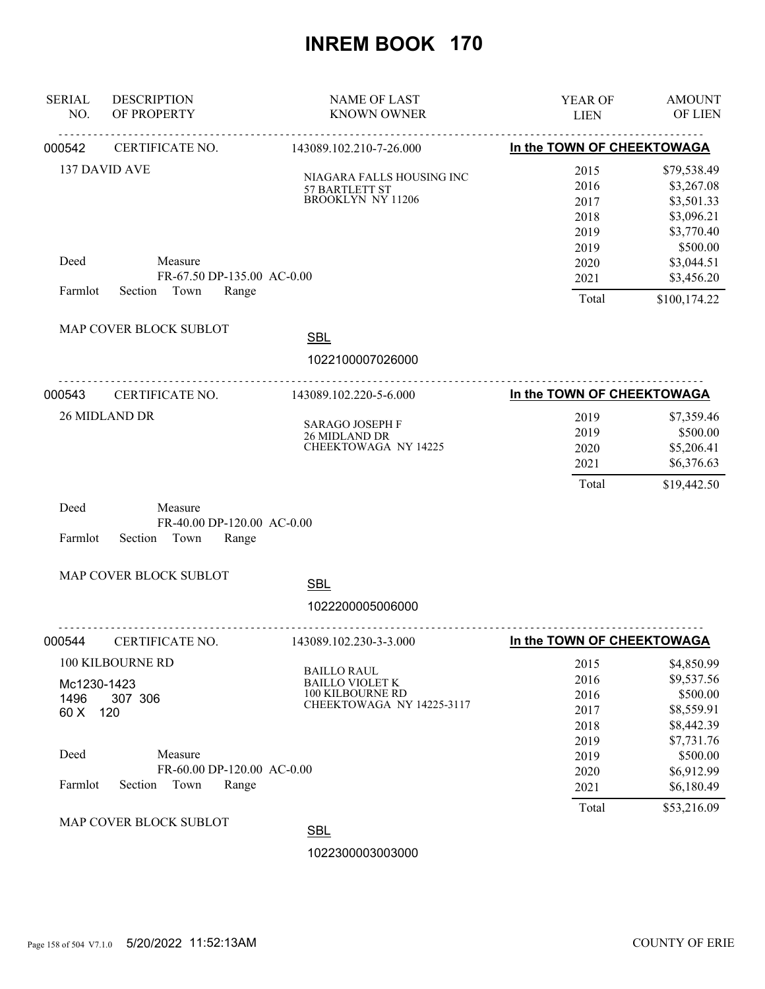| <b>SERIAL</b><br>NO.                           | <b>DESCRIPTION</b><br>OF PROPERTY                                                                       | <b>NAME OF LAST</b><br><b>KNOWN OWNER</b>                                                     | YEAR OF<br><b>LIEN</b>                                                        | <b>AMOUNT</b><br>OF LIEN                                                                                                              |
|------------------------------------------------|---------------------------------------------------------------------------------------------------------|-----------------------------------------------------------------------------------------------|-------------------------------------------------------------------------------|---------------------------------------------------------------------------------------------------------------------------------------|
| 000542                                         | CERTIFICATE NO.                                                                                         | 143089.102.210-7-26.000                                                                       | In the TOWN OF CHEEKTOWAGA                                                    |                                                                                                                                       |
|                                                | 137 DAVID AVE                                                                                           | NIAGARA FALLS HOUSING INC<br>57 BARTLETT ST<br><b>BROOKLYN NY 11206</b>                       | 2015<br>2016<br>2017<br>2018<br>2019<br>2019                                  | \$79,538.49<br>\$3,267.08<br>\$3,501.33<br>\$3,096.21<br>\$3,770.40<br>\$500.00                                                       |
| Deed                                           | Measure<br>FR-67.50 DP-135.00 AC-0.00                                                                   |                                                                                               | 2020<br>2021                                                                  | \$3,044.51<br>\$3,456.20                                                                                                              |
| Farmlot                                        | Section Town<br>Range                                                                                   |                                                                                               | Total                                                                         | \$100,174.22                                                                                                                          |
|                                                | MAP COVER BLOCK SUBLOT                                                                                  | <b>SBL</b><br>1022100007026000                                                                |                                                                               |                                                                                                                                       |
| 000543                                         | CERTIFICATE NO.                                                                                         | 143089.102.220-5-6.000                                                                        | In the TOWN OF CHEEKTOWAGA                                                    |                                                                                                                                       |
|                                                | 26 MIDLAND DR                                                                                           | <b>SARAGO JOSEPH F</b><br>26 MIDLAND DR<br><b>CHEEKTOWAGA NY 14225</b>                        | 2019<br>2019<br>2020<br>2021<br>Total                                         | \$7,359.46<br>\$500.00<br>\$5,206.41<br>\$6,376.63<br>\$19,442.50                                                                     |
| Deed<br>Farmlot                                | Measure<br>FR-40.00 DP-120.00 AC-0.00<br>Section<br>Town<br>Range                                       |                                                                                               |                                                                               |                                                                                                                                       |
|                                                | MAP COVER BLOCK SUBLOT                                                                                  | <b>SBL</b>                                                                                    |                                                                               |                                                                                                                                       |
|                                                |                                                                                                         | 1022200005006000                                                                              |                                                                               |                                                                                                                                       |
| 000544                                         | CERTIFICATE NO.                                                                                         | 143089.102.230-3-3.000                                                                        | In the TOWN OF CHEEKTOWAGA                                                    |                                                                                                                                       |
| Mc1230-1423<br>1496<br>60 X<br>Deed<br>Farmlot | 100 KILBOURNE RD<br>307 306<br>120<br>Measure<br>FR-60.00 DP-120.00 AC-0.00<br>Section<br>Town<br>Range | <b>BAILLO RAUL</b><br><b>BAILLO VIOLET K</b><br>100 KILBOURNE RD<br>CHEEKTOWAGA NY 14225-3117 | 2015<br>2016<br>2016<br>2017<br>2018<br>2019<br>2019<br>2020<br>2021<br>Total | \$4,850.99<br>\$9,537.56<br>\$500.00<br>\$8,559.91<br>\$8,442.39<br>\$7,731.76<br>\$500.00<br>\$6,912.99<br>\$6,180.49<br>\$53,216.09 |
|                                                | MAP COVER BLOCK SUBLOT                                                                                  | <b>SBL</b>                                                                                    |                                                                               |                                                                                                                                       |
|                                                |                                                                                                         | 1022300003003000                                                                              |                                                                               |                                                                                                                                       |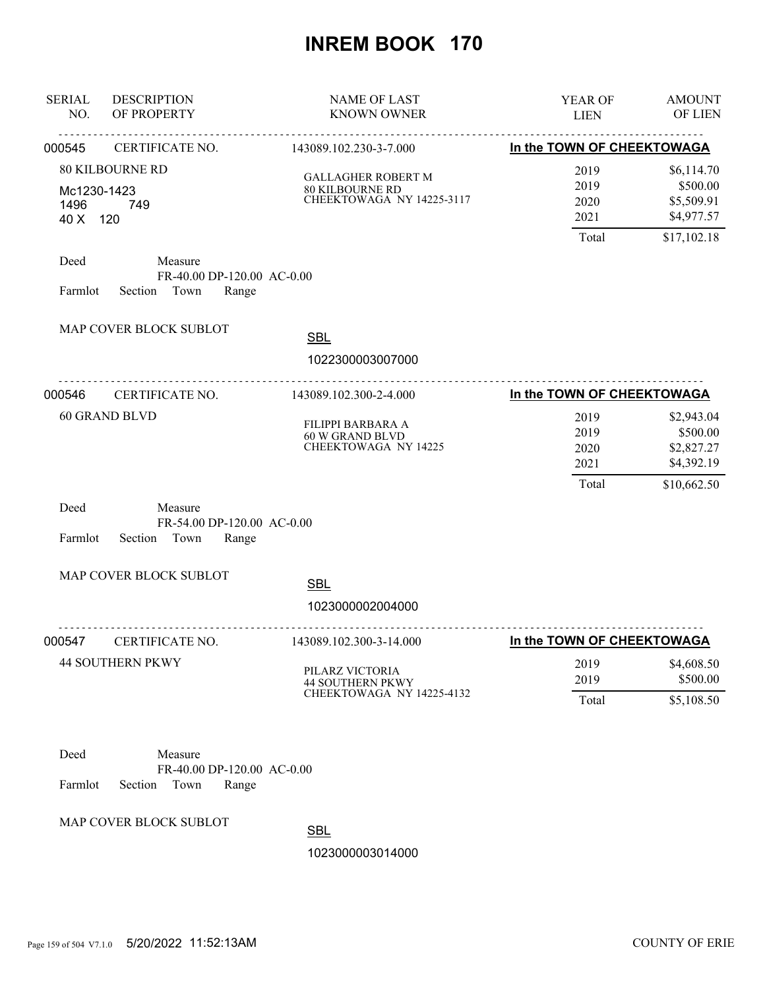| <b>SERIAL</b><br>NO.            | <b>DESCRIPTION</b><br>OF PROPERTY                                                           | <b>NAME OF LAST</b><br><b>KNOWN OWNER</b>                                        | YEAR OF<br><b>LIEN</b>                | <b>AMOUNT</b><br>OF LIEN                                          |
|---------------------------------|---------------------------------------------------------------------------------------------|----------------------------------------------------------------------------------|---------------------------------------|-------------------------------------------------------------------|
| 000545                          | CERTIFICATE NO.                                                                             | 143089.102.230-3-7.000                                                           | In the TOWN OF CHEEKTOWAGA            |                                                                   |
| Mc1230-1423<br>1496<br>40 X 120 | <b>80 KILBOURNE RD</b><br>749                                                               | <b>GALLAGHER ROBERT M</b><br><b>80 KILBOURNE RD</b><br>CHEEKTOWAGA NY 14225-3117 | 2019<br>2019<br>2020<br>2021<br>Total | \$6,114.70<br>\$500.00<br>\$5,509.91<br>\$4,977.57<br>\$17,102.18 |
| Deed<br>Farmlot                 | Measure<br>FR-40.00 DP-120.00 AC-0.00<br>Section Town<br>Range                              |                                                                                  |                                       |                                                                   |
|                                 | MAP COVER BLOCK SUBLOT                                                                      | <b>SBL</b><br>1022300003007000                                                   |                                       |                                                                   |
| 000546                          | .<br>CERTIFICATE NO.                                                                        | <u>.</u><br>143089.102.300-2-4.000                                               | In the TOWN OF CHEEKTOWAGA            |                                                                   |
|                                 | <b>60 GRAND BLVD</b>                                                                        | FILIPPI BARBARA A<br>60 W GRAND BLVD<br><b>CHEEKTOWAGA NY 14225</b>              | 2019<br>2019<br>2020<br>2021<br>Total | \$2,943.04<br>\$500.00<br>\$2,827.27<br>\$4,392.19<br>\$10,662.50 |
| Deed<br>Farmlot                 | Measure<br>FR-54.00 DP-120.00 AC-0.00<br>Section Town<br>Range                              |                                                                                  |                                       |                                                                   |
|                                 | MAP COVER BLOCK SUBLOT                                                                      | <b>SBL</b><br>1023000002004000                                                   |                                       |                                                                   |
| 000547                          | CERTIFICATE NO.                                                                             | 143089.102.300-3-14.000                                                          | In the TOWN OF CHEEKTOWAGA            |                                                                   |
|                                 | <b>44 SOUTHERN PKWY</b>                                                                     | PILARZ VICTORIA<br><b>44 SOUTHERN PKWY</b><br>CHEEKTOWAGA NY 14225-4132          | 2019<br>2019<br>Total                 | \$4,608.50<br>\$500.00<br>\$5,108.50                              |
| Deed<br>Farmlot                 | Measure<br>FR-40.00 DP-120.00 AC-0.00<br>Section<br>Town<br>Range<br>MAP COVER BLOCK SUBLOT |                                                                                  |                                       |                                                                   |

**SBL**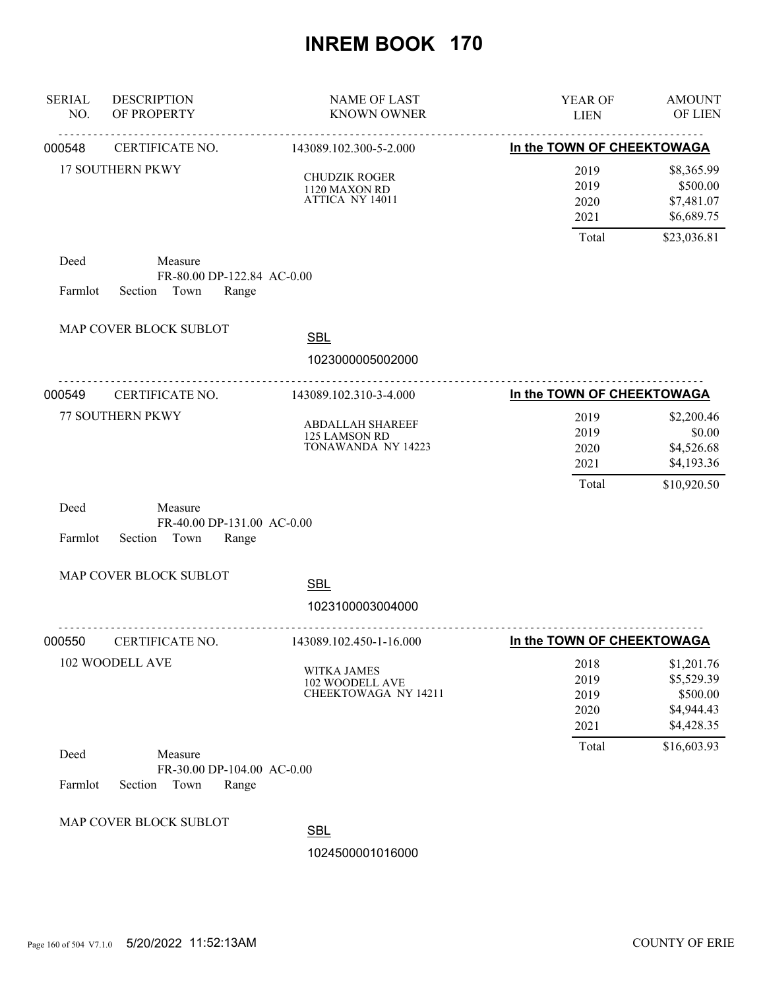| <b>SERIAL</b><br>NO. | <b>DESCRIPTION</b><br>OF PROPERTY                                 | <b>NAME OF LAST</b><br><b>KNOWN OWNER</b>                      | YEAR OF<br><b>LIEN</b>                | <b>AMOUNT</b><br>OF LIEN                                         |
|----------------------|-------------------------------------------------------------------|----------------------------------------------------------------|---------------------------------------|------------------------------------------------------------------|
| 000548               | <u>.</u><br>CERTIFICATE NO.                                       | <u>.</u><br>143089.102.300-5-2.000                             | In the TOWN OF CHEEKTOWAGA            |                                                                  |
|                      | <b>17 SOUTHERN PKWY</b>                                           | <b>CHUDZIK ROGER</b><br>1120 MAXON RD<br>ATTICA NY 14011       | 2019<br>2019<br>2020<br>2021          | \$8,365.99<br>\$500.00<br>\$7,481.07<br>\$6,689.75               |
|                      |                                                                   |                                                                | Total                                 | \$23,036.81                                                      |
| Deed<br>Farmlot      | Measure<br>FR-80.00 DP-122.84 AC-0.00<br>Section Town<br>Range    |                                                                |                                       |                                                                  |
|                      | MAP COVER BLOCK SUBLOT                                            | <b>SBL</b>                                                     |                                       |                                                                  |
|                      | .                                                                 | 1023000005002000                                               |                                       |                                                                  |
| 000549               | CERTIFICATE NO.                                                   | 143089.102.310-3-4.000                                         | In the TOWN OF CHEEKTOWAGA            |                                                                  |
|                      | 77 SOUTHERN PKWY                                                  | <b>ABDALLAH SHAREEF</b><br>125 LAMSON RD<br>TONAWANDA NY 14223 | 2019<br>2019<br>2020<br>2021<br>Total | \$2,200.46<br>\$0.00<br>\$4,526.68<br>\$4,193.36<br>\$10,920.50  |
| Deed<br>Farmlot      | Measure<br>FR-40.00 DP-131.00 AC-0.00<br>Section<br>Town<br>Range |                                                                |                                       |                                                                  |
|                      | MAP COVER BLOCK SUBLOT                                            | <b>SBL</b>                                                     |                                       |                                                                  |
|                      |                                                                   | 1023100003004000                                               |                                       |                                                                  |
| 000550               | CERTIFICATE NO.                                                   | 143089.102.450-1-16.000                                        | In the TOWN OF CHEEKTOWAGA            |                                                                  |
|                      | 102 WOODELL AVE                                                   | WITKA JAMES<br>102 WOODELL AVE<br>CHEEKTOWAGA NY 14211         | 2018<br>2019<br>2019<br>2020<br>2021  | \$1,201.76<br>\$5,529.39<br>\$500.00<br>\$4,944.43<br>\$4,428.35 |
| Deed<br>Farmlot      | Measure<br>FR-30.00 DP-104.00 AC-0.00<br>Section<br>Town<br>Range |                                                                | Total                                 | \$16,603.93                                                      |
|                      | MAP COVER BLOCK SUBLOT                                            | <b>SBL</b><br>1024500001016000                                 |                                       |                                                                  |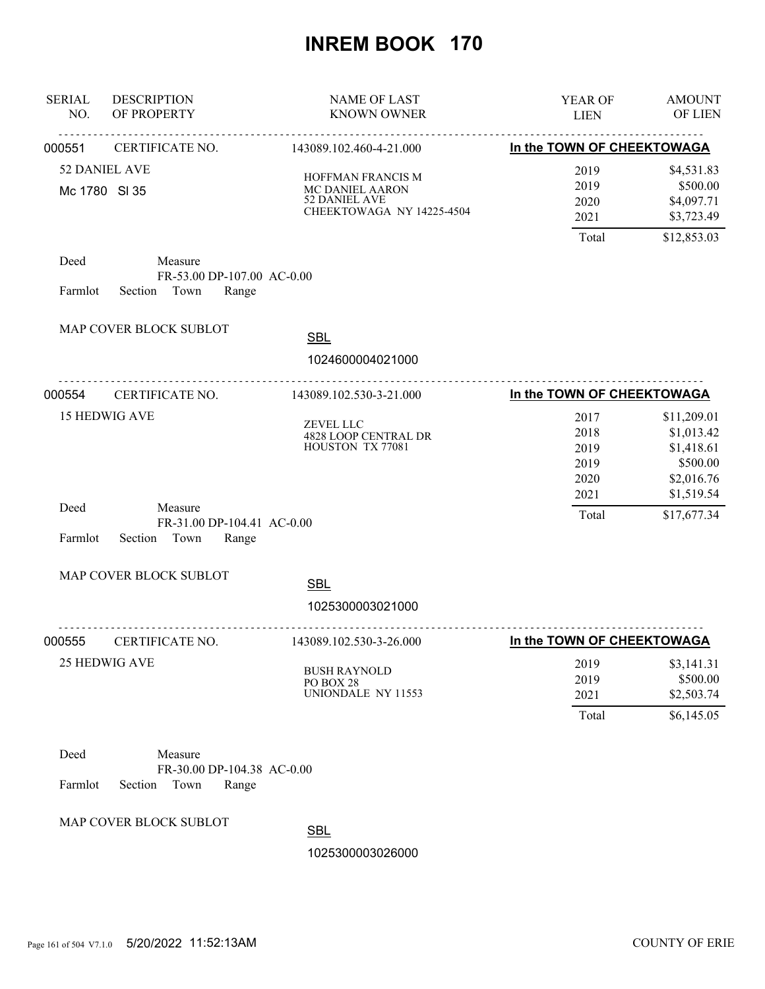| <b>SERIAL</b><br>NO. | <b>DESCRIPTION</b><br>OF PROPERTY                                 | <b>NAME OF LAST</b><br><b>KNOWN OWNER</b>                                          | YEAR OF<br><b>LIEN</b>                       | <b>AMOUNT</b><br>OF LIEN                                                        |
|----------------------|-------------------------------------------------------------------|------------------------------------------------------------------------------------|----------------------------------------------|---------------------------------------------------------------------------------|
| 000551               | CERTIFICATE NO.                                                   | .<br>143089.102.460-4-21.000                                                       | In the TOWN OF CHEEKTOWAGA                   |                                                                                 |
|                      | <b>52 DANIEL AVE</b><br>Mc 1780 SI 35                             | HOFFMAN FRANCIS M<br>MC DANIEL AARON<br>52 DANIEL AVE<br>CHEEKTOWAGA NY 14225-4504 | 2019<br>2019<br>2020<br>2021<br>Total        | \$4,531.83<br>\$500.00<br>\$4,097.71<br>\$3,723.49<br>\$12,853.03               |
| Deed<br>Farmlot      | Measure<br>FR-53.00 DP-107.00 AC-0.00<br>Town<br>Section<br>Range |                                                                                    |                                              |                                                                                 |
|                      | MAP COVER BLOCK SUBLOT                                            | <b>SBL</b>                                                                         |                                              |                                                                                 |
|                      |                                                                   | 1024600004021000                                                                   |                                              |                                                                                 |
| 000554               | CERTIFICATE NO.                                                   | 143089.102.530-3-21.000                                                            | In the TOWN OF CHEEKTOWAGA                   |                                                                                 |
|                      | <b>15 HEDWIG AVE</b>                                              | ZEVEL LLC<br>4828 LOOP CENTRAL DR<br>HOUSTON TX 77081                              | 2017<br>2018<br>2019<br>2019<br>2020<br>2021 | \$11,209.01<br>\$1,013.42<br>\$1,418.61<br>\$500.00<br>\$2,016.76<br>\$1,519.54 |
| Deed<br>Farmlot      | Measure<br>FR-31.00 DP-104.41 AC-0.00<br>Section<br>Town<br>Range |                                                                                    | Total                                        | \$17,677.34                                                                     |
|                      | MAP COVER BLOCK SUBLOT                                            | <b>SBL</b><br>1025300003021000                                                     |                                              |                                                                                 |
| 000555               | CERTIFICATE NO.                                                   | 143089.102.530-3-26.000                                                            | In the TOWN OF CHEEKTOWAGA                   |                                                                                 |
|                      | 25 HEDWIG AVE                                                     | <b>BUSH RAYNOLD</b><br>PO BOX 28<br>UNIONDALE NY 11553                             | 2019<br>2019<br>2021                         | \$3,141.31<br>\$500.00<br>\$2,503.74                                            |
| Deed                 | Measure                                                           |                                                                                    | Total                                        | \$6,145.05                                                                      |
| Farmlot              | FR-30.00 DP-104.38 AC-0.00<br>Section<br>Town<br>Range            |                                                                                    |                                              |                                                                                 |

MAP COVER BLOCK SUBLOT

**SBL**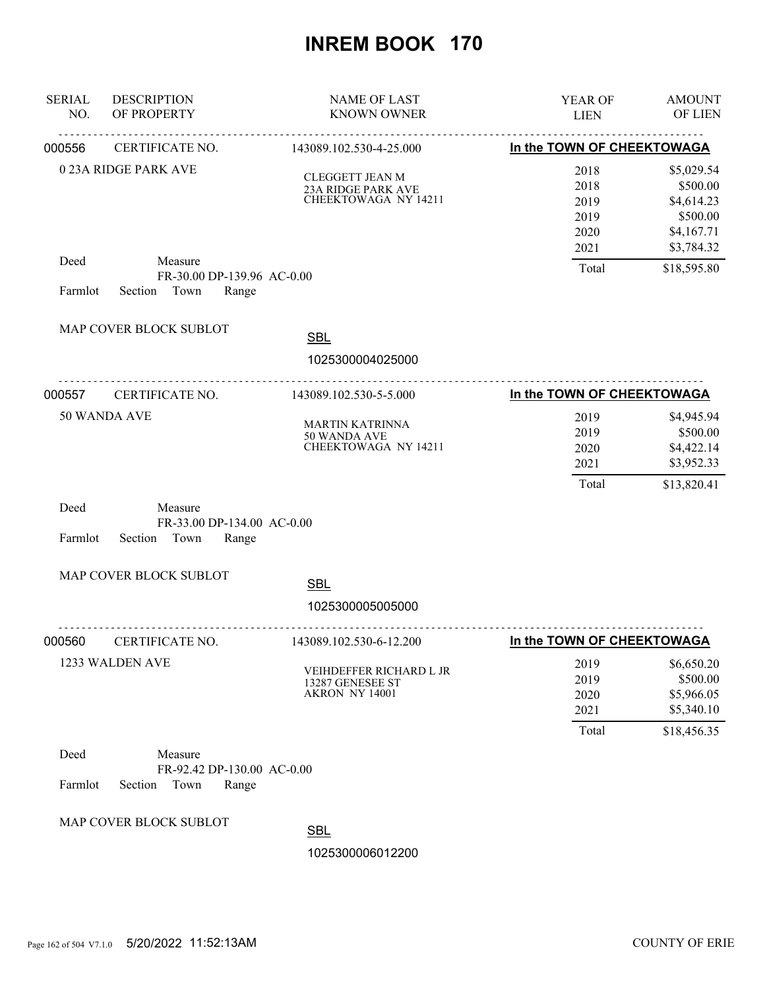| <b>SERIAL</b><br>NO. | <b>DESCRIPTION</b><br>OF PROPERTY                                 | <b>NAME OF LAST</b><br><b>KNOWN OWNER</b>                            | YEAR OF<br><b>LIEN</b>                       | <b>AMOUNT</b><br>OF LIEN                                                     |
|----------------------|-------------------------------------------------------------------|----------------------------------------------------------------------|----------------------------------------------|------------------------------------------------------------------------------|
| 000556               | <u>.</u><br>CERTIFICATE NO.                                       | 143089.102.530-4-25.000                                              | In the TOWN OF CHEEKTOWAGA                   |                                                                              |
|                      | 0 23A RIDGE PARK AVE                                              | <b>CLEGGETT JEAN M</b><br>23A RIDGE PARK AVE<br>CHEEKTOWAGA NY 14211 | 2018<br>2018<br>2019<br>2019<br>2020<br>2021 | \$5,029.54<br>\$500.00<br>\$4,614.23<br>\$500.00<br>\$4,167.71<br>\$3,784.32 |
| Deed<br>Farmlot      | Measure<br>FR-30.00 DP-139.96 AC-0.00<br>Town<br>Section<br>Range |                                                                      | Total                                        | \$18,595.80                                                                  |
|                      | MAP COVER BLOCK SUBLOT                                            | <b>SBL</b><br>1025300004025000                                       |                                              |                                                                              |
| 000557               | CERTIFICATE NO.                                                   | 143089.102.530-5-5.000                                               | In the TOWN OF CHEEKTOWAGA                   |                                                                              |
|                      | 50 WANDA AVE                                                      | <b>MARTIN KATRINNA</b><br>50 WANDA AVE<br>CHEEKTOWAGA NY 14211       | 2019<br>2019<br>2020<br>2021<br>Total        | \$4,945.94<br>\$500.00<br>\$4,422.14<br>\$3,952.33<br>\$13,820.41            |
| Deed<br>Farmlot      | Measure<br>FR-33.00 DP-134.00 AC-0.00<br>Section<br>Town<br>Range |                                                                      |                                              |                                                                              |
|                      | MAP COVER BLOCK SUBLOT                                            | <b>SBL</b>                                                           |                                              |                                                                              |
|                      |                                                                   | 1025300005005000                                                     |                                              |                                                                              |
| 000560               | CERTIFICATE NO.                                                   | 143089.102.530-6-12.200                                              | In the TOWN OF CHEEKTOWAGA                   |                                                                              |
|                      | 1233 WALDEN AVE                                                   | VEIHDEFFER RICHARD L JR<br>13287 GENESEE ST<br>AKRON NY 14001        | 2019<br>2019<br>2020<br>2021<br>Total        | \$6,650.20<br>\$500.00<br>\$5,966.05<br>\$5,340.10<br>\$18,456.35            |
| Deed                 | Measure                                                           |                                                                      |                                              |                                                                              |
| Farmlot              | FR-92.42 DP-130.00 AC-0.00<br>Section<br>Town<br>Range            |                                                                      |                                              |                                                                              |
|                      | MAP COVER BLOCK SUBLOT                                            | <b>SBL</b>                                                           |                                              |                                                                              |
|                      |                                                                   | 1025300006012200                                                     |                                              |                                                                              |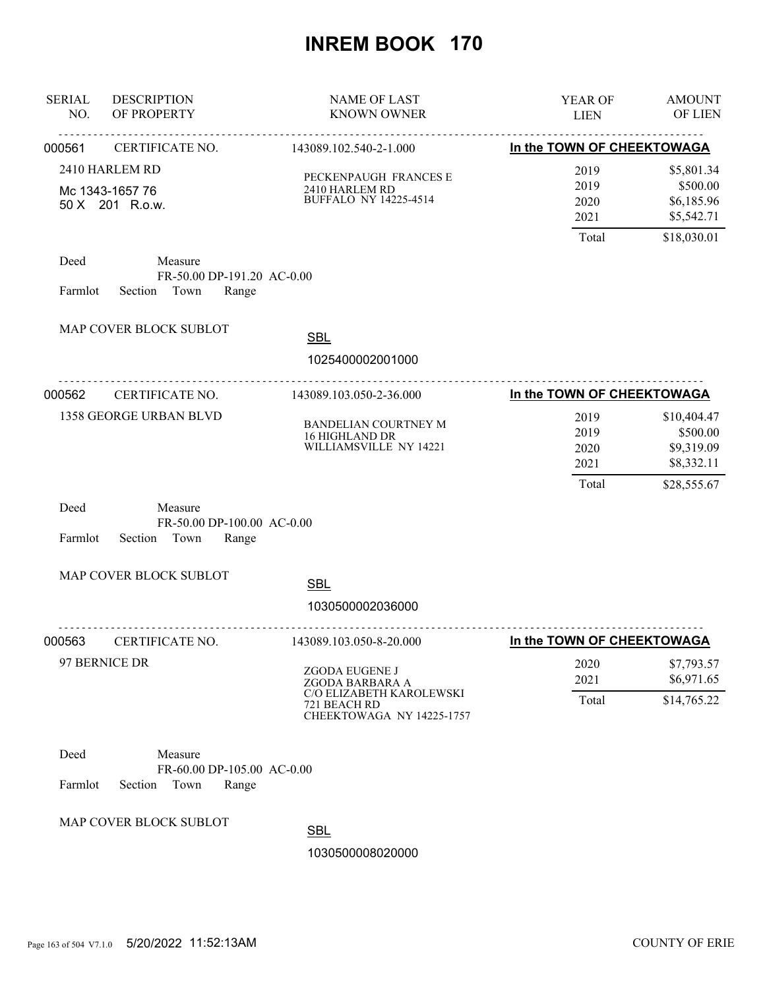| <b>SERIAL</b><br>NO. | <b>DESCRIPTION</b><br>OF PROPERTY                                 | <b>NAME OF LAST</b><br><b>KNOWN OWNER</b>                                                                  | YEAR OF<br><b>LIEN</b>                | <b>AMOUNT</b><br>OF LIEN                                           |
|----------------------|-------------------------------------------------------------------|------------------------------------------------------------------------------------------------------------|---------------------------------------|--------------------------------------------------------------------|
| 000561               | .<br>CERTIFICATE NO.                                              | .<br>143089.102.540-2-1.000                                                                                | In the TOWN OF CHEEKTOWAGA            |                                                                    |
|                      | 2410 HARLEM RD<br>Mc 1343-1657 76<br>50 X 201 R.o.w.              | PECKENPAUGH FRANCES E<br>2410 HARLEM RD<br>BUFFALO NY 14225-4514                                           | 2019<br>2019<br>2020<br>2021<br>Total | \$5,801.34<br>\$500.00<br>\$6,185.96<br>\$5,542.71<br>\$18,030.01  |
| Deed<br>Farmlot      | Measure<br>FR-50.00 DP-191.20 AC-0.00<br>Section Town<br>Range    |                                                                                                            |                                       |                                                                    |
|                      | MAP COVER BLOCK SUBLOT                                            | <b>SBL</b><br>1025400002001000                                                                             |                                       |                                                                    |
| 000562               | CERTIFICATE NO.                                                   | 143089.103.050-2-36.000                                                                                    | In the TOWN OF CHEEKTOWAGA            |                                                                    |
|                      | 1358 GEORGE URBAN BLVD                                            | BANDELIAN COURTNEY M<br>16 HIGHLAND DR<br>WILLIAMSVILLE NY 14221                                           | 2019<br>2019<br>2020<br>2021<br>Total | \$10,404.47<br>\$500.00<br>\$9,319.09<br>\$8,332.11<br>\$28,555.67 |
| Deed<br>Farmlot      | Measure<br>FR-50.00 DP-100.00 AC-0.00<br>Town<br>Section<br>Range |                                                                                                            |                                       |                                                                    |
|                      | MAP COVER BLOCK SUBLOT                                            | <b>SBL</b>                                                                                                 |                                       |                                                                    |
|                      |                                                                   | 1030500002036000                                                                                           |                                       |                                                                    |
| 000563               | CERTIFICATE NO.                                                   | 143089.103.050-8-20.000                                                                                    | In the TOWN OF CHEEKTOWAGA            |                                                                    |
|                      | 97 BERNICE DR                                                     | ZGODA EUGENE J<br>ZGODA BARBARA A<br>C/O ELIZABETH KAROLEWSKI<br>721 BEACH RD<br>CHEEKTOWAGA NY 14225-1757 | 2020<br>2021<br>Total                 | \$7,793.57<br>\$6,971.65<br>\$14,765.22                            |
| Deed<br>Farmlot      | Measure<br>FR-60.00 DP-105.00 AC-0.00<br>Section<br>Town<br>Range |                                                                                                            |                                       |                                                                    |
|                      | MAP COVER BLOCK SUBLOT                                            | <b>SBL</b><br>1030500008020000                                                                             |                                       |                                                                    |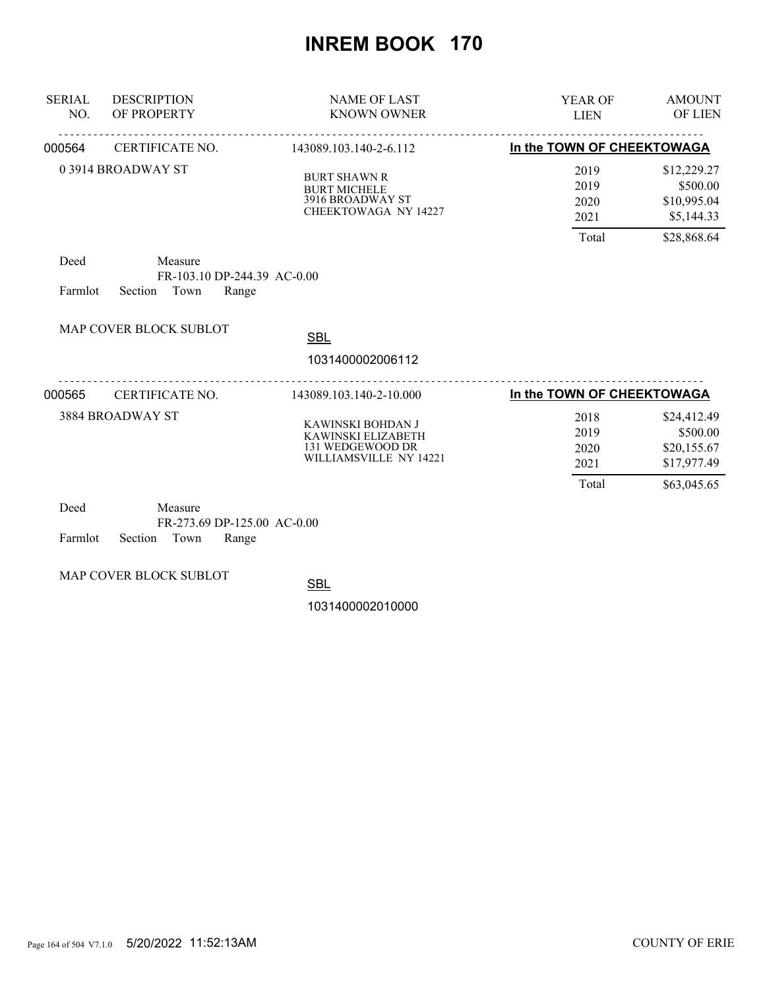| <b>SERIAL</b><br>NO. | <b>DESCRIPTION</b><br>OF PROPERTY                                  | <b>NAME OF LAST</b><br><b>KNOWN OWNER</b>                                              | YEAR OF<br><b>LIEN</b>                | <b>AMOUNT</b><br><b>OF LIEN</b>                                     |
|----------------------|--------------------------------------------------------------------|----------------------------------------------------------------------------------------|---------------------------------------|---------------------------------------------------------------------|
| 000564               | CERTIFICATE NO.                                                    | 143089.103.140-2-6.112                                                                 | In the TOWN OF CHEEKTOWAGA            |                                                                     |
|                      | 03914 BROADWAY ST                                                  | <b>BURT SHAWN R</b><br><b>BURT MICHELE</b><br>3916 BROADWAY ST<br>CHEEKTOWAGA NY 14227 | 2019<br>2019<br>2020<br>2021<br>Total | \$12,229.27<br>\$500.00<br>\$10,995.04<br>\$5,144.33<br>\$28,868.64 |
| Deed<br>Farmlot      | Measure<br>FR-103.10 DP-244.39 AC-0.00<br>Town<br>Section<br>Range |                                                                                        |                                       |                                                                     |
|                      | <b>MAP COVER BLOCK SUBLOT</b>                                      | <b>SBL</b><br>1031400002006112                                                         |                                       |                                                                     |
| 000565               | CERTIFICATE NO.                                                    | 143089.103.140-2-10.000                                                                | In the TOWN OF CHEEKTOWAGA            |                                                                     |
|                      | 3884 BROADWAY ST                                                   | KAWINSKI BOHDAN J<br>KAWINSKI ELIZABETH<br>131 WEDGEWOOD DR<br>WILLIAMSVILLE NY 14221  | 2018<br>2019<br>2020<br>2021          | \$24,412.49<br>\$500.00<br>\$20,155.67<br>\$17,977.49               |
| Deed                 | Measure                                                            |                                                                                        | Total                                 | \$63,045.65                                                         |

| - Deed |                            | Measure |                             |  |
|--------|----------------------------|---------|-----------------------------|--|
|        |                            |         | FR-273.69 DP-125.00 AC-0.00 |  |
|        | Farmlot Section Town Range |         |                             |  |

MAP COVER BLOCK SUBLOT

**SBL**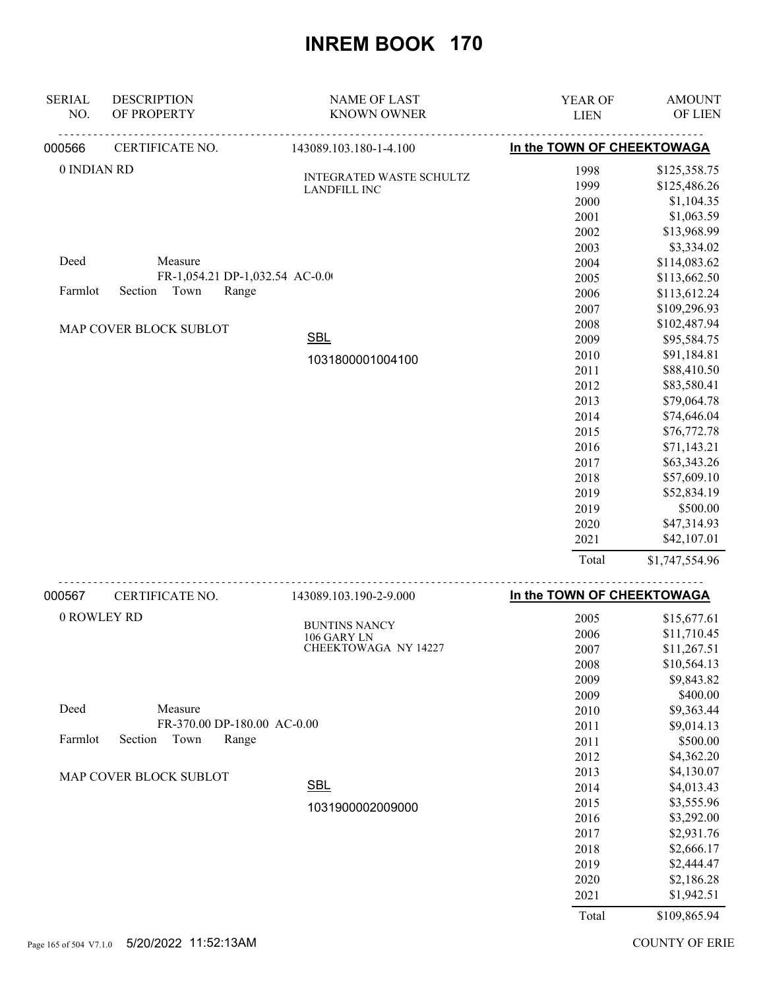| <b>SERIAL</b><br>NO. | <b>DESCRIPTION</b><br>OF PROPERTY | <b>NAME OF LAST</b><br><b>KNOWN OWNER</b>       | YEAR OF<br><b>LIEN</b>     | <b>AMOUNT</b><br>OF LIEN     |
|----------------------|-----------------------------------|-------------------------------------------------|----------------------------|------------------------------|
| 000566               | <u>.</u><br>CERTIFICATE NO.       | .<br>143089.103.180-1-4.100                     | In the TOWN OF CHEEKTOWAGA |                              |
| 0 INDIAN RD          |                                   | INTEGRATED WASTE SCHULTZ<br><b>LANDFILL INC</b> | 1998<br>1999               | \$125,358.75<br>\$125,486.26 |
|                      |                                   |                                                 | 2000                       | \$1,104.35                   |
|                      |                                   |                                                 | 2001                       | \$1,063.59                   |
|                      |                                   |                                                 | 2002                       | \$13,968.99                  |
|                      |                                   |                                                 | 2003                       | \$3,334.02                   |
| Deed                 | Measure                           |                                                 | 2004                       | \$114,083.62                 |
|                      | FR-1,054.21 DP-1,032.54 AC-0.00   |                                                 | 2005                       | \$113,662.50                 |
| Farmlot              | Town<br>Section<br>Range          |                                                 | 2006                       | \$113,612.24                 |
|                      |                                   |                                                 | 2007                       | \$109,296.93                 |
|                      | MAP COVER BLOCK SUBLOT            |                                                 | 2008                       | \$102,487.94                 |
|                      |                                   | <b>SBL</b>                                      | 2009                       | \$95,584.75                  |
|                      |                                   | 1031800001004100                                | 2010                       | \$91,184.81                  |
|                      |                                   |                                                 | 2011                       | \$88,410.50                  |
|                      |                                   |                                                 | 2012                       | \$83,580.41                  |
|                      |                                   |                                                 | 2013                       | \$79,064.78                  |
|                      |                                   |                                                 | 2014                       | \$74,646.04                  |
|                      |                                   |                                                 | 2015                       | \$76,772.78                  |
|                      |                                   |                                                 | 2016                       | \$71,143.21                  |
|                      |                                   |                                                 | 2017                       | \$63,343.26                  |
|                      |                                   |                                                 | 2018                       | \$57,609.10                  |
|                      |                                   |                                                 | 2019                       | \$52,834.19                  |
|                      |                                   |                                                 | 2019                       | \$500.00                     |
|                      |                                   |                                                 | 2020                       | \$47,314.93                  |
|                      |                                   |                                                 | 2021                       | \$42,107.01                  |
|                      |                                   |                                                 | Total                      | \$1,747,554.96               |
| 000567               | CERTIFICATE NO.                   | 143089.103.190-2-9.000                          | In the TOWN OF CHEEKTOWAGA |                              |
| 0 ROWLEY RD          |                                   |                                                 | 2005                       | \$15,677.61                  |
|                      |                                   | <b>BUNTINS NANCY</b><br>106 GARY LN             | 2006                       | \$11,710.45                  |
|                      |                                   | CHEEKTOWAGA NY 14227                            | 2007                       | \$11,267.51                  |
|                      |                                   |                                                 | 2008                       | \$10,564.13                  |
|                      |                                   |                                                 | 2009                       | \$9,843.82                   |
|                      |                                   |                                                 | 2009                       | \$400.00                     |
| Deed                 | Measure                           |                                                 | 2010                       | \$9,363.44                   |
|                      | FR-370.00 DP-180.00 AC-0.00       |                                                 | 2011                       | \$9,014.13                   |
| Farmlot              | Section<br>Town<br>Range          |                                                 | 2011                       | \$500.00                     |
|                      |                                   |                                                 | 2012                       | \$4,362.20                   |
|                      | MAP COVER BLOCK SUBLOT            |                                                 | 2013                       | \$4,130.07                   |
|                      |                                   | <b>SBL</b>                                      | 2014                       | \$4,013.43                   |
|                      |                                   | 1031900002009000                                | 2015                       | \$3,555.96                   |
|                      |                                   |                                                 | 2016                       | \$3,292.00                   |
|                      |                                   |                                                 | 2017                       | \$2,931.76                   |
|                      |                                   |                                                 | 2018                       | \$2,666.17                   |
|                      |                                   |                                                 | 2019                       | \$2,444.47                   |
|                      |                                   |                                                 | 2020                       | \$2,186.28                   |
|                      |                                   |                                                 | 2021                       | \$1,942.51                   |
|                      |                                   |                                                 | Total                      | \$109,865.94                 |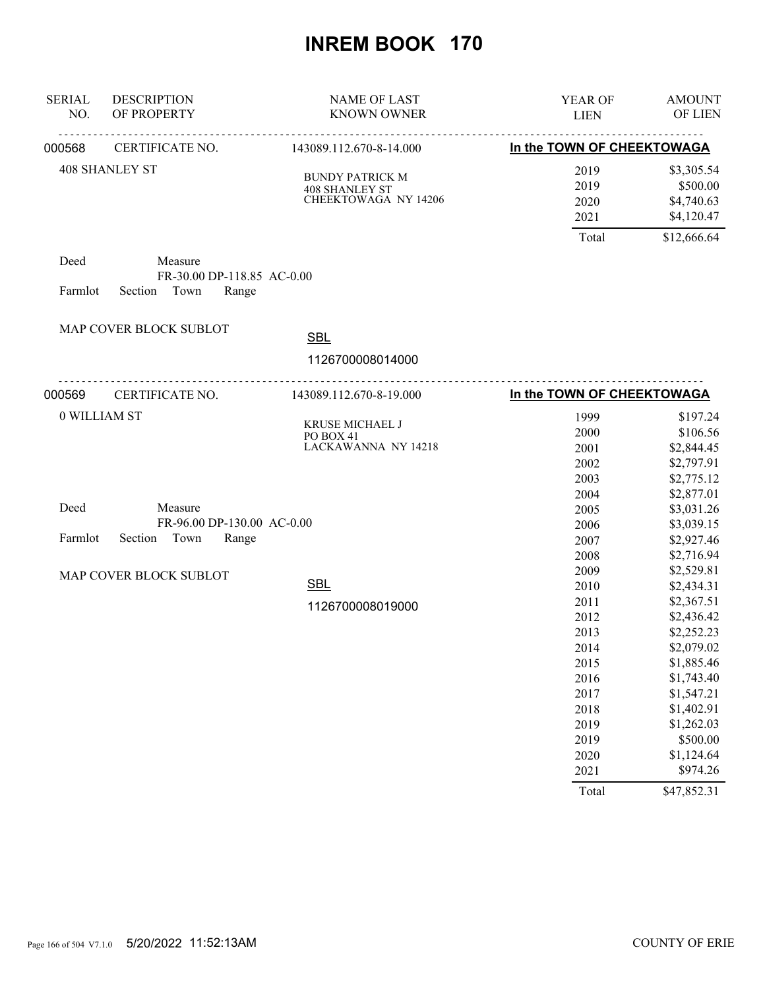| <b>SERIAL</b><br>NO. | <b>DESCRIPTION</b><br>OF PROPERTY                                 | <b>NAME OF LAST</b><br><b>KNOWN OWNER</b>                     | YEAR OF<br><b>LIEN</b>                                                               | <b>AMOUNT</b><br>OF LIEN                                                                                                                             |
|----------------------|-------------------------------------------------------------------|---------------------------------------------------------------|--------------------------------------------------------------------------------------|------------------------------------------------------------------------------------------------------------------------------------------------------|
| 000568               | <u>.</u><br>CERTIFICATE NO.                                       | <u>.</u><br>143089.112.670-8-14.000                           | In the TOWN OF CHEEKTOWAGA                                                           |                                                                                                                                                      |
|                      | <b>408 SHANLEY ST</b>                                             | <b>BUNDY PATRICK M</b><br>408 SHANLEY ST CHEEKTOWAGA NY 14206 | 2019<br>2019<br>2020<br>2021<br>Total                                                | \$3,305.54<br>\$500.00<br>\$4,740.63<br>\$4,120.47<br>\$12,666.64                                                                                    |
| Deed<br>Farmlot      | Measure<br>FR-30.00 DP-118.85 AC-0.00<br>Town<br>Section<br>Range |                                                               |                                                                                      |                                                                                                                                                      |
|                      | MAP COVER BLOCK SUBLOT                                            | <b>SBL</b>                                                    |                                                                                      |                                                                                                                                                      |
|                      |                                                                   | 1126700008014000                                              |                                                                                      |                                                                                                                                                      |
| 000569               | .<br>CERTIFICATE NO.                                              | 143089.112.670-8-19.000                                       | In the TOWN OF CHEEKTOWAGA                                                           |                                                                                                                                                      |
|                      | 0 WILLIAM ST                                                      | KRUSE MICHAEL J<br>PO BOX 41<br>LACKAWANNA NY 14218           | 1999<br>2000<br>2001<br>2002<br>2003                                                 | \$197.24<br>\$106.56<br>\$2,844.45<br>\$2,797.91<br>\$2,775.12                                                                                       |
| Deed<br>Farmlot      | Measure<br>FR-96.00 DP-130.00 AC-0.00<br>Section<br>Town<br>Range |                                                               | 2004<br>2005<br>2006<br>2007                                                         | \$2,877.01<br>\$3,031.26<br>\$3,039.15<br>\$2,927.46                                                                                                 |
|                      | MAP COVER BLOCK SUBLOT                                            | <b>SBL</b>                                                    | 2008<br>2009                                                                         | \$2,716.94<br>\$2,529.81                                                                                                                             |
|                      |                                                                   | 1126700008019000                                              | 2010<br>2011<br>2012<br>2013<br>2014<br>2015<br>2016<br>2017<br>2018<br>2019<br>2019 | \$2,434.31<br>\$2,367.51<br>\$2,436.42<br>\$2,252.23<br>\$2,079.02<br>\$1,885.46<br>\$1,743.40<br>\$1,547.21<br>\$1,402.91<br>\$1,262.03<br>\$500.00 |
|                      |                                                                   |                                                               | 2020<br>2021                                                                         | \$1,124.64<br>\$974.26                                                                                                                               |
|                      |                                                                   |                                                               | Total                                                                                | \$47,852.31                                                                                                                                          |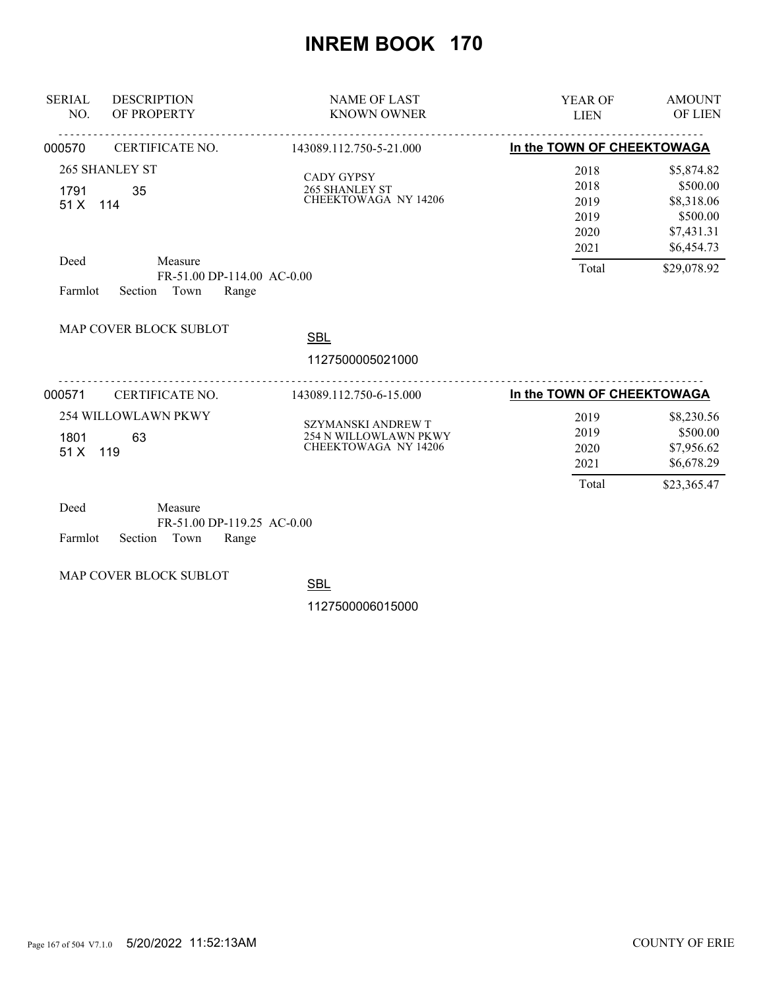| <b>SERIAL</b><br>NO.                | <b>DESCRIPTION</b><br>OF PROPERTY                                                                | <b>NAME OF LAST</b><br><b>KNOWN OWNER</b>                                         | <b>YEAR OF</b><br><b>LIEN</b>                         | <b>AMOUNT</b><br><b>OF LIEN</b>                                                             |
|-------------------------------------|--------------------------------------------------------------------------------------------------|-----------------------------------------------------------------------------------|-------------------------------------------------------|---------------------------------------------------------------------------------------------|
| 000570                              | CERTIFICATE NO.                                                                                  | 143089.112.750-5-21.000                                                           | In the TOWN OF CHEEKTOWAGA                            |                                                                                             |
| 1791<br>51 X 114<br>Deed<br>Farmlot | <b>265 SHANLEY ST</b><br>35<br>Measure<br>FR-51.00 DP-114.00 AC-0.00<br>Town<br>Section<br>Range | <b>CADY GYPSY</b><br>265 SHANLEY ST<br><b>CHEEKTOWAGA NY 14206</b>                | 2018<br>2018<br>2019<br>2019<br>2020<br>2021<br>Total | \$5,874.82<br>\$500.00<br>\$8,318.06<br>\$500.00<br>\$7,431.31<br>\$6,454.73<br>\$29,078.92 |
|                                     | MAP COVER BLOCK SUBLOT                                                                           | <b>SBL</b><br>1127500005021000                                                    |                                                       |                                                                                             |
|                                     |                                                                                                  |                                                                                   |                                                       |                                                                                             |
| 000571                              | CERTIFICATE NO.                                                                                  | 143089.112.750-6-15.000                                                           | In the TOWN OF CHEEKTOWAGA                            |                                                                                             |
| 1801<br>51 X                        | <b>254 WILLOWLAWN PKWY</b><br>63<br>119                                                          | <b>SZYMANSKI ANDREW T</b><br>254 N WILLOWLAWN PKWY<br><b>CHEEKTOWAGA NY 14206</b> | 2019<br>2019<br>2020<br>2021<br>Total                 | \$8,230.56<br>\$500.00<br>\$7,956.62<br>\$6,678.29<br>\$23,365.47                           |

| Deed                       | Measure |                            |  |
|----------------------------|---------|----------------------------|--|
|                            |         | FR-51.00 DP-119.25 AC-0.00 |  |
| Farmlot Section Town Range |         |                            |  |

MAP COVER BLOCK SUBLOT

**SBL**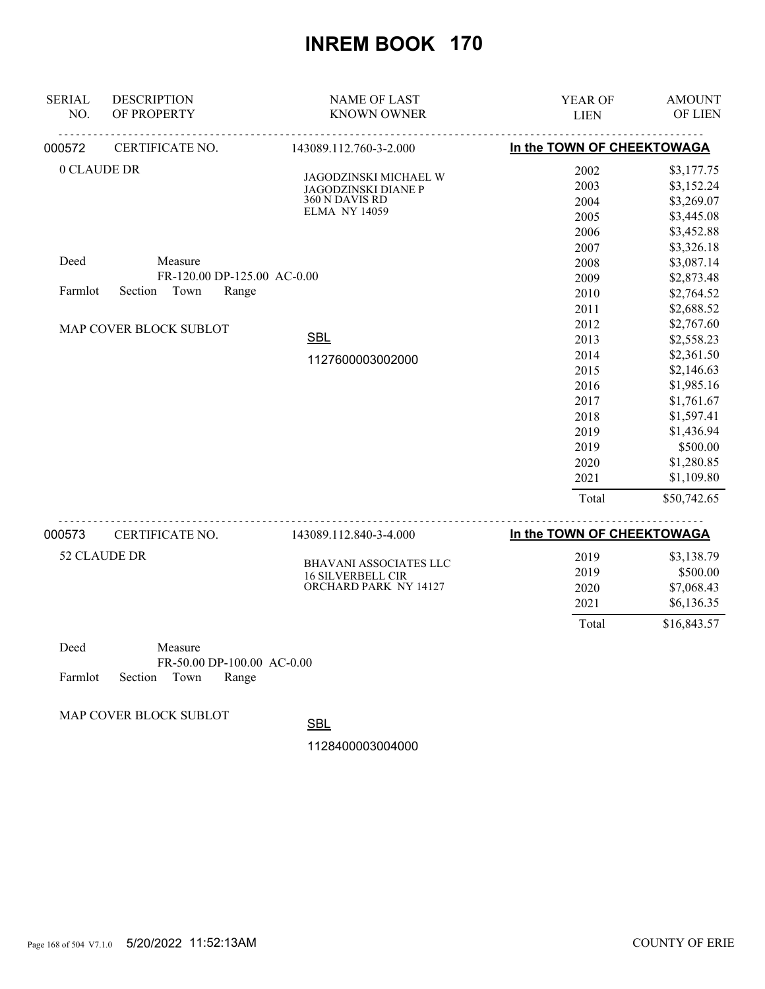| <b>SERIAL</b><br>NO. | <b>DESCRIPTION</b><br>OF PROPERTY                                  | <b>NAME OF LAST</b><br><b>KNOWN OWNER</b>                                                     | YEAR OF<br><b>LIEN</b>                                                               | <b>AMOUNT</b><br>OF LIEN                                                                                                                             |
|----------------------|--------------------------------------------------------------------|-----------------------------------------------------------------------------------------------|--------------------------------------------------------------------------------------|------------------------------------------------------------------------------------------------------------------------------------------------------|
| 000572               | CERTIFICATE NO.                                                    | 143089.112.760-3-2.000                                                                        | In the TOWN OF CHEEKTOWAGA                                                           |                                                                                                                                                      |
| 0 CLAUDE DR          |                                                                    | JAGODZINSKI MICHAEL W<br><b>JAGODZINSKI DIANE P</b><br>360 N DAVIS RD<br><b>ELMA NY 14059</b> | 2002<br>2003<br>2004<br>2005<br>2006<br>2007                                         | \$3,177.75<br>\$3,152.24<br>\$3,269.07<br>\$3,445.08<br>\$3,452.88<br>\$3,326.18                                                                     |
| Deed<br>Farmlot      | Measure<br>FR-120.00 DP-125.00 AC-0.00<br>Town<br>Section<br>Range |                                                                                               | 2008<br>2009<br>2010<br>2011                                                         | \$3,087.14<br>\$2,873.48<br>\$2,764.52<br>\$2,688.52                                                                                                 |
|                      | MAP COVER BLOCK SUBLOT                                             | <b>SBL</b><br>1127600003002000                                                                | 2012<br>2013<br>2014<br>2015<br>2016<br>2017<br>2018<br>2019<br>2019<br>2020<br>2021 | \$2,767.60<br>\$2,558.23<br>\$2,361.50<br>\$2,146.63<br>\$1,985.16<br>\$1,761.67<br>\$1,597.41<br>\$1,436.94<br>\$500.00<br>\$1,280.85<br>\$1,109.80 |
|                      |                                                                    |                                                                                               | Total                                                                                | \$50,742.65                                                                                                                                          |
| 000573               | CERTIFICATE NO.                                                    | 143089.112.840-3-4.000                                                                        | In the TOWN OF CHEEKTOWAGA                                                           |                                                                                                                                                      |

| 0000 I U | $C_{L1}$ and $C_{L1}$ and $C_{L2}$ | 172002.112.070-7-7.000                                                      | $\mathbf{m}$ . The contract of the contract $\mathbf{m}$ |                                                    |
|----------|------------------------------------|-----------------------------------------------------------------------------|----------------------------------------------------------|----------------------------------------------------|
|          | 52 CLAUDE DR                       | <b>BHAVANI ASSOCIATES LLC</b><br>16 SILVERBELL CIR<br>ORCHARD PARK NY 14127 | 2019<br>2019<br>2020<br>2021                             | \$3,138.79<br>\$500.00<br>\$7,068.43<br>\$6,136.35 |
|          |                                    |                                                                             | Total                                                    | \$16,843.57                                        |

| Deed |                            | Measure |                              |  |
|------|----------------------------|---------|------------------------------|--|
|      |                            |         | $FR-50.00$ DP-100.00 AC-0.00 |  |
|      | Farmlot Section Town Range |         |                              |  |

MAP COVER BLOCK SUBLOT

**SBL**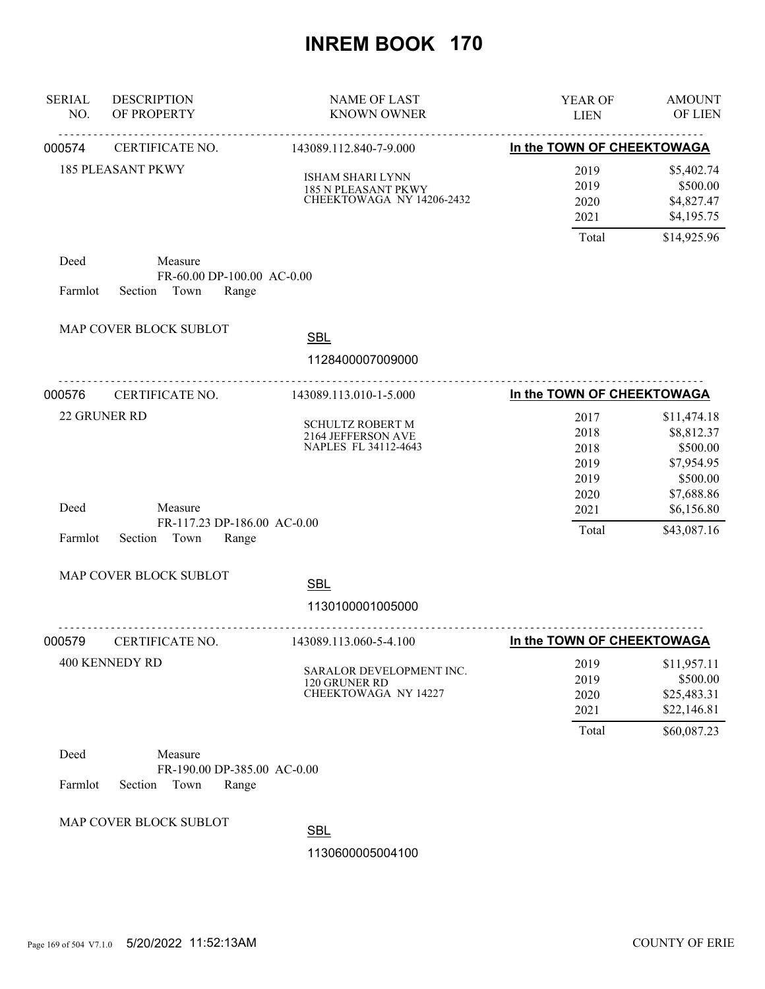| <b>SERIAL</b><br>NO. | <b>DESCRIPTION</b><br>OF PROPERTY                                  | <b>NAME OF LAST</b><br><b>KNOWN OWNER</b>                             | YEAR OF<br><b>LIEN</b>                       | <b>AMOUNT</b><br>OF LIEN                                                      |
|----------------------|--------------------------------------------------------------------|-----------------------------------------------------------------------|----------------------------------------------|-------------------------------------------------------------------------------|
| 000574               | <u>.</u><br>CERTIFICATE NO.                                        | <u>.</u><br>143089.112.840-7-9.000                                    | In the TOWN OF CHEEKTOWAGA                   |                                                                               |
|                      | <b>185 PLEASANT PKWY</b>                                           | ISHAM SHARI LYNN<br>185 N PLEASANT PKWY<br>CHEEKTOWAGA NY 14206-2432  | 2019<br>2019<br>2020<br>2021                 | \$5,402.74<br>\$500.00<br>\$4,827.47<br>\$4,195.75                            |
|                      |                                                                    |                                                                       | Total                                        | \$14,925.96                                                                   |
| Deed<br>Farmlot      | Measure<br>FR-60.00 DP-100.00 AC-0.00<br>Town<br>Section<br>Range  |                                                                       |                                              |                                                                               |
|                      | MAP COVER BLOCK SUBLOT                                             | <b>SBL</b>                                                            |                                              |                                                                               |
|                      |                                                                    | 1128400007009000                                                      |                                              |                                                                               |
| 000576               | .<br>CERTIFICATE NO.                                               | 143089.113.010-1-5.000                                                | In the TOWN OF CHEEKTOWAGA                   |                                                                               |
|                      | 22 GRUNER RD                                                       | <b>SCHULTZ ROBERT M</b><br>2164 JEFFERSON AVE<br>NAPLES FL 34112-4643 | 2017<br>2018<br>2018<br>2019<br>2019<br>2020 | \$11,474.18<br>\$8,812.37<br>\$500.00<br>\$7,954.95<br>\$500.00<br>\$7,688.86 |
| Deed<br>Farmlot      | Measure<br>FR-117.23 DP-186.00 AC-0.00<br>Section<br>Town<br>Range |                                                                       | 2021<br>Total                                | \$6,156.80<br>\$43,087.16                                                     |
|                      | MAP COVER BLOCK SUBLOT                                             | <b>SBL</b><br>1130100001005000                                        |                                              |                                                                               |
| 000579               | CERTIFICATE NO.                                                    | .<br>143089.113.060-5-4.100                                           | In the TOWN OF CHEEKTOWAGA                   |                                                                               |
|                      | <b>400 KENNEDY RD</b>                                              | SARALOR DEVELOPMENT INC.<br>120 GRUNER RD<br>CHEEKTOWAGA NY 14227     | 2019<br>2019<br>2020<br>2021<br>Total        | \$11,957.11<br>\$500.00<br>\$25,483.31<br>\$22,146.81<br>\$60,087.23          |
| Deed<br>Farmlot      | Measure<br>FR-190.00 DP-385.00 AC-0.00<br>Section<br>Town<br>Range |                                                                       |                                              |                                                                               |
|                      | MAP COVER BLOCK SUBLOT                                             | <b>SBL</b><br>1130600005004100                                        |                                              |                                                                               |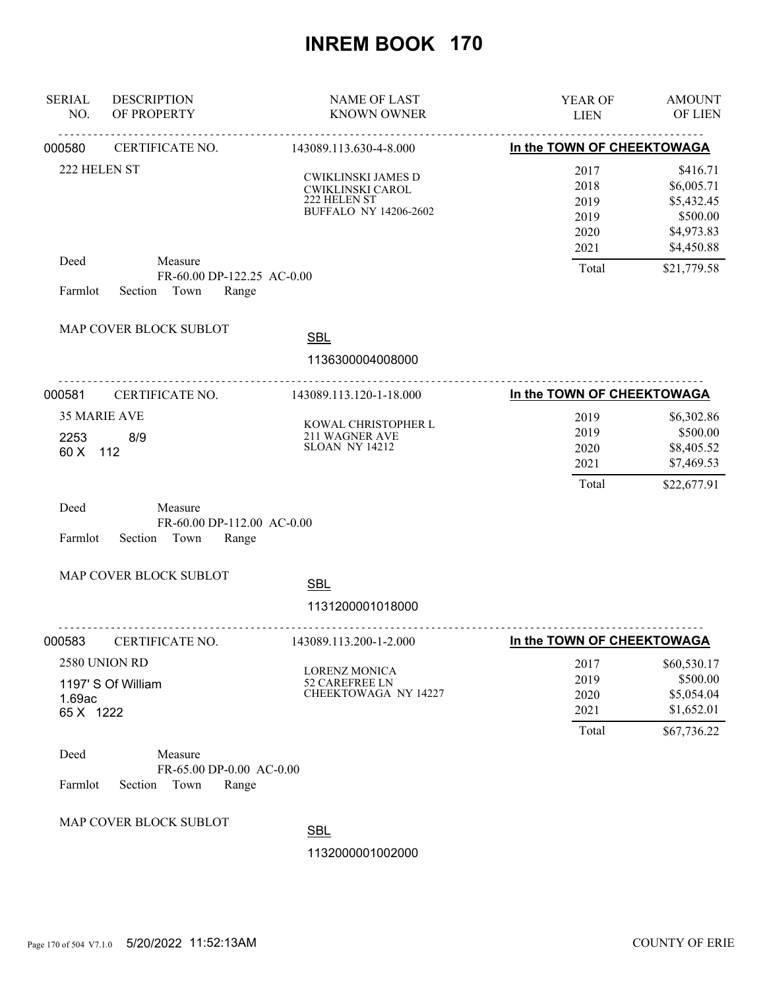| <b>SERIAL</b><br>NO. | <b>DESCRIPTION</b><br>OF PROPERTY                                 | <b>NAME OF LAST</b><br><b>KNOWN OWNER</b>                                              | YEAR OF<br><b>LIEN</b>                       | <b>AMOUNT</b><br>OF LIEN                                                     |
|----------------------|-------------------------------------------------------------------|----------------------------------------------------------------------------------------|----------------------------------------------|------------------------------------------------------------------------------|
| 000580               | CERTIFICATE NO.                                                   | <u>.</u><br>143089.113.630-4-8.000                                                     | In the TOWN OF CHEEKTOWAGA                   |                                                                              |
| 222 HELEN ST         |                                                                   | CWIKLINSKI JAMES D<br>CWIKLINSKI CAROL<br>222 HELEN ST<br><b>BUFFALO NY 14206-2602</b> | 2017<br>2018<br>2019<br>2019<br>2020<br>2021 | \$416.71<br>\$6,005.71<br>\$5,432.45<br>\$500.00<br>\$4,973.83<br>\$4,450.88 |
| Deed<br>Farmlot      | Measure<br>FR-60.00 DP-122.25 AC-0.00<br>Section Town<br>Range    |                                                                                        | Total                                        | \$21,779.58                                                                  |
|                      | MAP COVER BLOCK SUBLOT                                            | <b>SBL</b><br>1136300004008000                                                         |                                              |                                                                              |
| 000581               | CERTIFICATE NO.                                                   | 143089.113.120-1-18.000                                                                | In the TOWN OF CHEEKTOWAGA                   |                                                                              |
| 2253<br>60 X         | 35 MARIE AVE<br>8/9<br>112                                        | KOWAL CHRISTOPHER L<br>211 WAGNER AVE SLOAN NY 14212                                   | 2019<br>2019<br>2020<br>2021<br>Total        | \$6,302.86<br>\$500.00<br>\$8,405.52<br>\$7,469.53<br>\$22,677.91            |
| Deed<br>Farmlot      | Measure<br>FR-60.00 DP-112.00 AC-0.00<br>Section<br>Town<br>Range |                                                                                        |                                              |                                                                              |
|                      | MAP COVER BLOCK SUBLOT                                            | <b>SBL</b><br>1131200001018000                                                         |                                              |                                                                              |
| 000583               | <u>.</u><br>CERTIFICATE NO.                                       | .<br>143089.113.200-1-2.000                                                            | In the TOWN OF CHEEKTOWAGA                   |                                                                              |
| 1.69ac<br>65 X 1222  | 2580 UNION RD<br>1197' S Of William                               | <b>LORENZ MONICA</b><br>52 CAREFREE LN<br>CHEEKTOWAGA NY 14227                         | 2017<br>2019<br>2020<br>2021                 | \$60,530.17<br>\$500.00<br>\$5,054.04<br>\$1,652.01                          |
| Deed<br>Farmlot      | Measure<br>FR-65.00 DP-0.00 AC-0.00<br>Section<br>Town<br>Range   |                                                                                        | Total                                        | \$67,736.22                                                                  |
|                      | MAP COVER BLOCK SUBLOT                                            | <b>SBL</b><br>1132000001002000                                                         |                                              |                                                                              |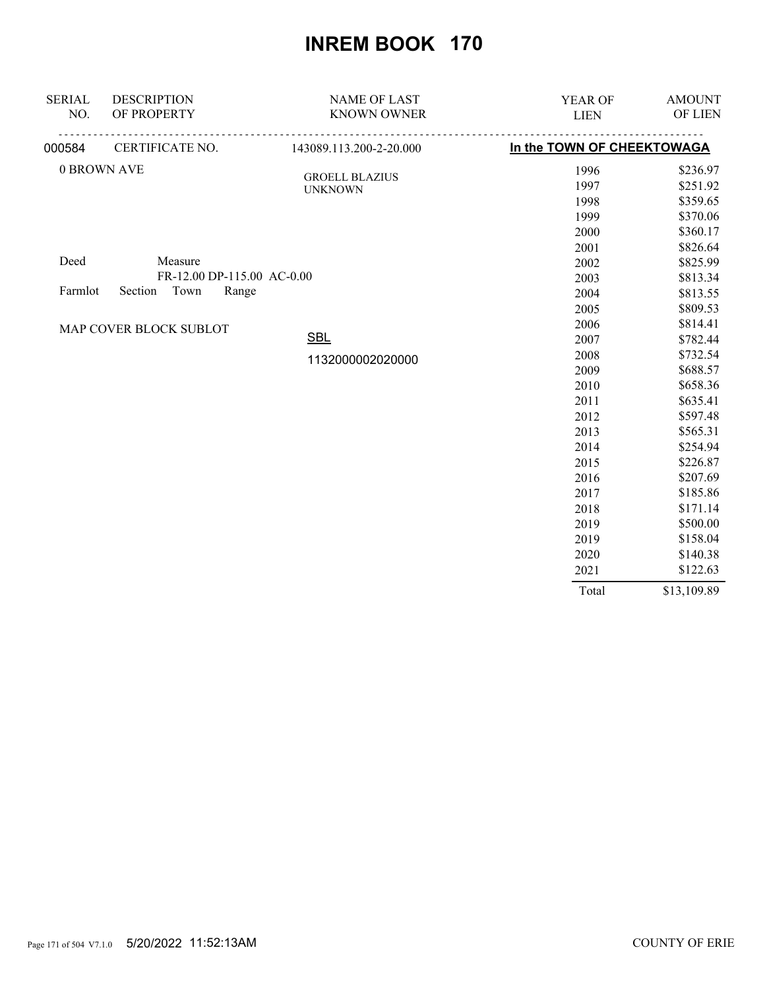| <b>SERIAL</b> | <b>DESCRIPTION</b>         | <b>NAME OF LAST</b>                     | YEAR OF                    | <b>AMOUNT</b> |
|---------------|----------------------------|-----------------------------------------|----------------------------|---------------|
| NO.           | OF PROPERTY                | <b>KNOWN OWNER</b>                      | <b>LIEN</b>                | OF LIEN       |
| 000584        | CERTIFICATE NO.            | 143089.113.200-2-20.000                 | In the TOWN OF CHEEKTOWAGA |               |
|               | 0 BROWN AVE                |                                         | 1996                       | \$236.97      |
|               |                            | <b>GROELL BLAZIUS</b><br><b>UNKNOWN</b> | 1997                       | \$251.92      |
|               |                            |                                         | 1998                       | \$359.65      |
|               |                            |                                         | 1999                       | \$370.06      |
|               |                            |                                         | 2000                       | \$360.17      |
|               |                            |                                         | 2001                       | \$826.64      |
| Deed          | Measure                    |                                         | 2002                       | \$825.99      |
|               | FR-12.00 DP-115.00 AC-0.00 |                                         | 2003                       | \$813.34      |
| Farmlot       | Town<br>Section<br>Range   |                                         | 2004                       | \$813.55      |
|               |                            |                                         | 2005                       | \$809.53      |
|               | MAP COVER BLOCK SUBLOT     |                                         | 2006                       | \$814.41      |
|               |                            | <b>SBL</b>                              | 2007                       | \$782.44      |
|               |                            | 1132000002020000                        | 2008                       | \$732.54      |
|               |                            |                                         | 2009                       | \$688.57      |
|               |                            |                                         | 2010                       | \$658.36      |
|               |                            |                                         | 2011                       | \$635.41      |
|               |                            |                                         | 2012                       | \$597.48      |
|               |                            |                                         | 2013                       | \$565.31      |
|               |                            |                                         | 2014                       | \$254.94      |
|               |                            |                                         | 2015                       | \$226.87      |
|               |                            |                                         | 2016                       | \$207.69      |
|               |                            |                                         | 2017                       | \$185.86      |
|               |                            |                                         | 2018                       | \$171.14      |
|               |                            |                                         | 2019                       | \$500.00      |
|               |                            |                                         | 2019                       | \$158.04      |
|               |                            |                                         | 2020                       | \$140.38      |
|               |                            |                                         | 2021                       | \$122.63      |
|               |                            |                                         | Total                      | \$13,109.89   |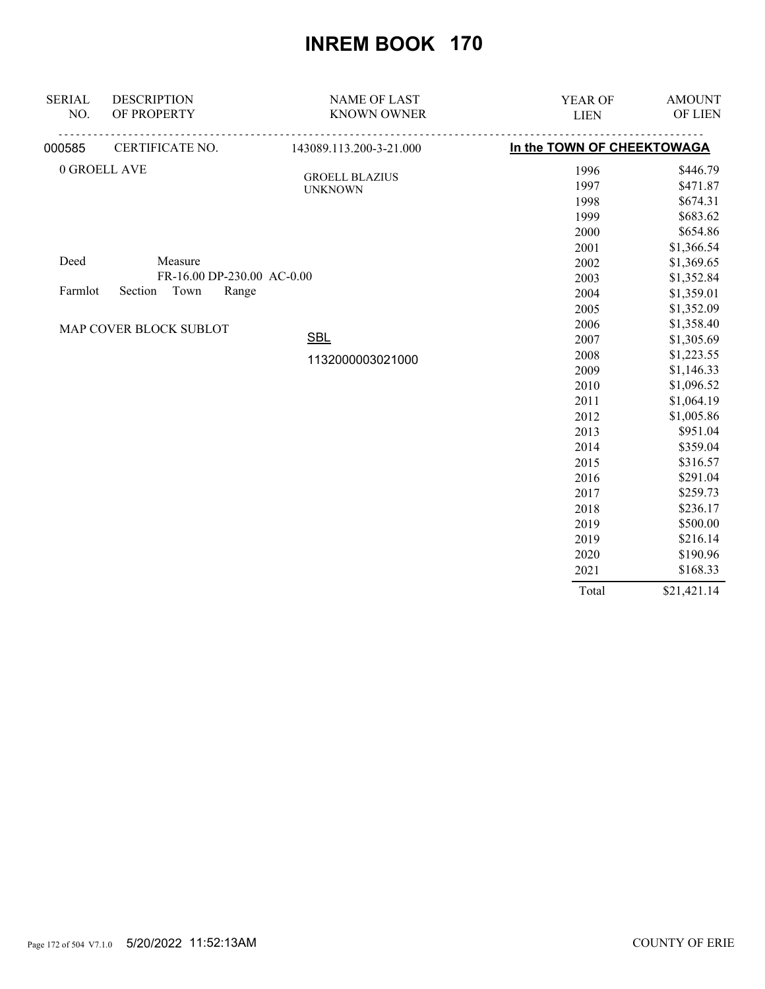| <b>SERIAL</b>                       | <b>DESCRIPTION</b>         | <b>NAME OF LAST</b>                     | YEAR OF                    | <b>AMOUNT</b> |
|-------------------------------------|----------------------------|-----------------------------------------|----------------------------|---------------|
| NO.                                 | OF PROPERTY                | <b>KNOWN OWNER</b>                      | <b>LIEN</b>                | OF LIEN       |
| 000585                              | CERTIFICATE NO.            | 143089.113.200-3-21.000                 | In the TOWN OF CHEEKTOWAGA |               |
|                                     | 0 GROELL AVE               |                                         | 1996                       | \$446.79      |
|                                     |                            | <b>GROELL BLAZIUS</b><br><b>UNKNOWN</b> | 1997                       | \$471.87      |
|                                     |                            |                                         | 1998                       | \$674.31      |
|                                     |                            |                                         | 1999                       | \$683.62      |
|                                     |                            |                                         | 2000                       | \$654.86      |
|                                     |                            |                                         | 2001                       | \$1,366.54    |
| Deed                                | Measure                    |                                         | 2002                       | \$1,369.65    |
|                                     | FR-16.00 DP-230.00 AC-0.00 |                                         | 2003                       | \$1,352.84    |
| Town<br>Section<br>Range<br>Farmlot |                            | 2004                                    | \$1,359.01                 |               |
|                                     |                            |                                         | 2005                       | \$1,352.09    |
|                                     | MAP COVER BLOCK SUBLOT     |                                         | 2006                       | \$1,358.40    |
|                                     |                            | <b>SBL</b>                              | 2007                       | \$1,305.69    |
|                                     |                            | 1132000003021000                        | 2008                       | \$1,223.55    |
|                                     |                            |                                         | 2009                       | \$1,146.33    |
|                                     |                            |                                         | 2010                       | \$1,096.52    |
|                                     |                            |                                         | 2011                       | \$1,064.19    |
|                                     |                            |                                         | 2012                       | \$1,005.86    |
|                                     |                            |                                         | 2013                       | \$951.04      |
|                                     |                            |                                         | 2014                       | \$359.04      |
|                                     |                            |                                         | 2015                       | \$316.57      |
|                                     |                            |                                         | 2016                       | \$291.04      |
|                                     |                            |                                         | 2017                       | \$259.73      |
|                                     |                            |                                         | 2018                       | \$236.17      |
|                                     |                            |                                         | 2019                       | \$500.00      |
|                                     |                            |                                         | 2019                       | \$216.14      |
|                                     |                            |                                         | 2020                       | \$190.96      |
|                                     |                            |                                         | 2021                       | \$168.33      |
|                                     |                            |                                         | Total                      | \$21,421.14   |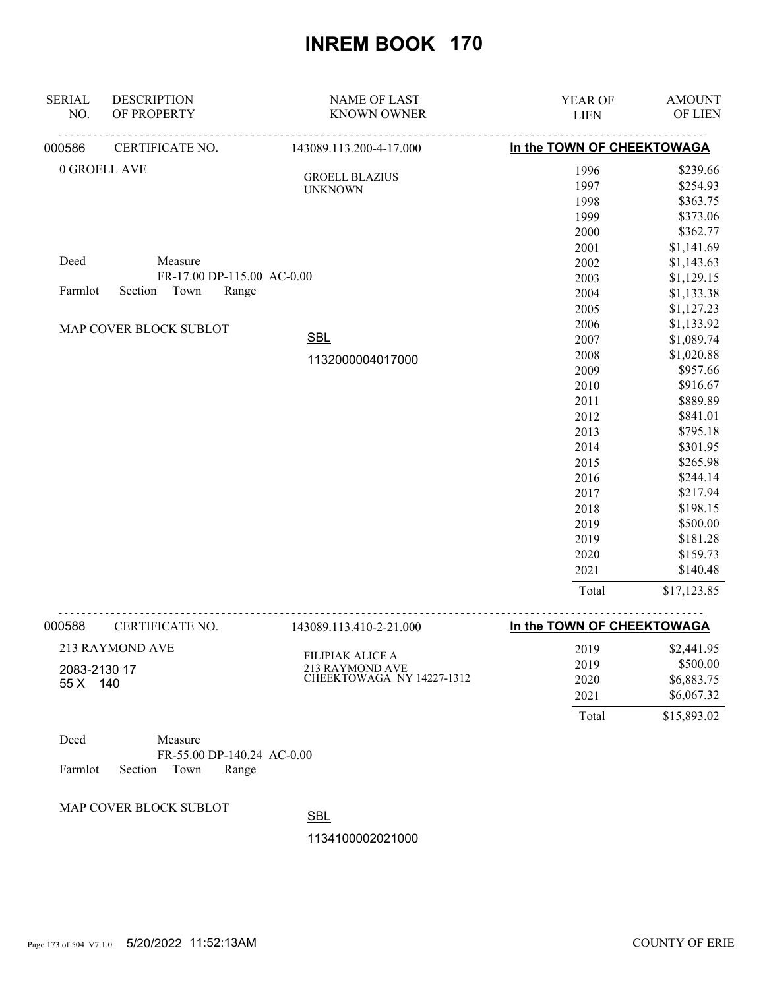| <b>SERIAL</b> | <b>DESCRIPTION</b>         | <b>NAME OF LAST</b>                          | YEAR OF                    | <b>AMOUNT</b> |
|---------------|----------------------------|----------------------------------------------|----------------------------|---------------|
| NO.           | OF PROPERTY                | <b>KNOWN OWNER</b>                           | <b>LIEN</b>                | OF LIEN       |
| 000586        | CERTIFICATE NO.            | 143089.113.200-4-17.000                      | In the TOWN OF CHEEKTOWAGA |               |
|               | 0 GROELL AVE               | <b>GROELL BLAZIUS</b>                        | 1996                       | \$239.66      |
|               |                            | <b>UNKNOWN</b>                               | 1997                       | \$254.93      |
|               |                            |                                              | 1998                       | \$363.75      |
|               |                            |                                              | 1999                       | \$373.06      |
|               |                            |                                              | 2000                       | \$362.77      |
|               |                            |                                              | 2001                       | \$1,141.69    |
| Deed          | Measure                    |                                              | 2002                       | \$1,143.63    |
|               | FR-17.00 DP-115.00 AC-0.00 |                                              | 2003                       | \$1,129.15    |
| Farmlot       | Town<br>Section<br>Range   |                                              | 2004                       | \$1,133.38    |
|               |                            |                                              | 2005                       | \$1,127.23    |
|               | MAP COVER BLOCK SUBLOT     |                                              | 2006                       | \$1,133.92    |
|               |                            | <b>SBL</b>                                   | 2007                       | \$1,089.74    |
|               |                            | 1132000004017000                             | 2008                       | \$1,020.88    |
|               |                            |                                              | 2009                       | \$957.66      |
|               |                            |                                              | 2010                       | \$916.67      |
|               |                            |                                              | 2011                       | \$889.89      |
|               |                            |                                              | 2012                       | \$841.01      |
|               |                            |                                              | 2013                       | \$795.18      |
|               |                            |                                              | 2014                       | \$301.95      |
|               |                            |                                              | 2015                       | \$265.98      |
|               |                            |                                              | 2016                       | \$244.14      |
|               |                            |                                              | 2017                       | \$217.94      |
|               |                            |                                              | 2018                       | \$198.15      |
|               |                            |                                              | 2019                       | \$500.00      |
|               |                            |                                              | 2019                       | \$181.28      |
|               |                            |                                              | 2020                       | \$159.73      |
|               |                            |                                              | 2021                       | \$140.48      |
|               |                            |                                              | Total                      | \$17,123.85   |
| 000588        | CERTIFICATE NO.            | 143089.113.410-2-21.000                      | In the TOWN OF CHEEKTOWAGA |               |
|               | 213 RAYMOND AVE            |                                              | 2019                       | \$2,441.95    |
|               |                            | FILIPIAK ALICE A                             | 2019                       | \$500.00      |
| 2083-2130 17  |                            | 213 RAYMOND AVE<br>CHEEKTOWAGA NY 14227-1312 | 2020                       | \$6,883.75    |
| 55 X 140      |                            |                                              | 2021                       | \$6,067.32    |
|               |                            |                                              |                            |               |

| Deed |                            | Measure |                            |  |
|------|----------------------------|---------|----------------------------|--|
|      |                            |         | FR-55.00 DP-140.24 AC-0.00 |  |
|      | Farmlot Section Town Range |         |                            |  |

MAP COVER BLOCK SUBLOT

**SBL** 

1134100002021000

Total \$15,893.02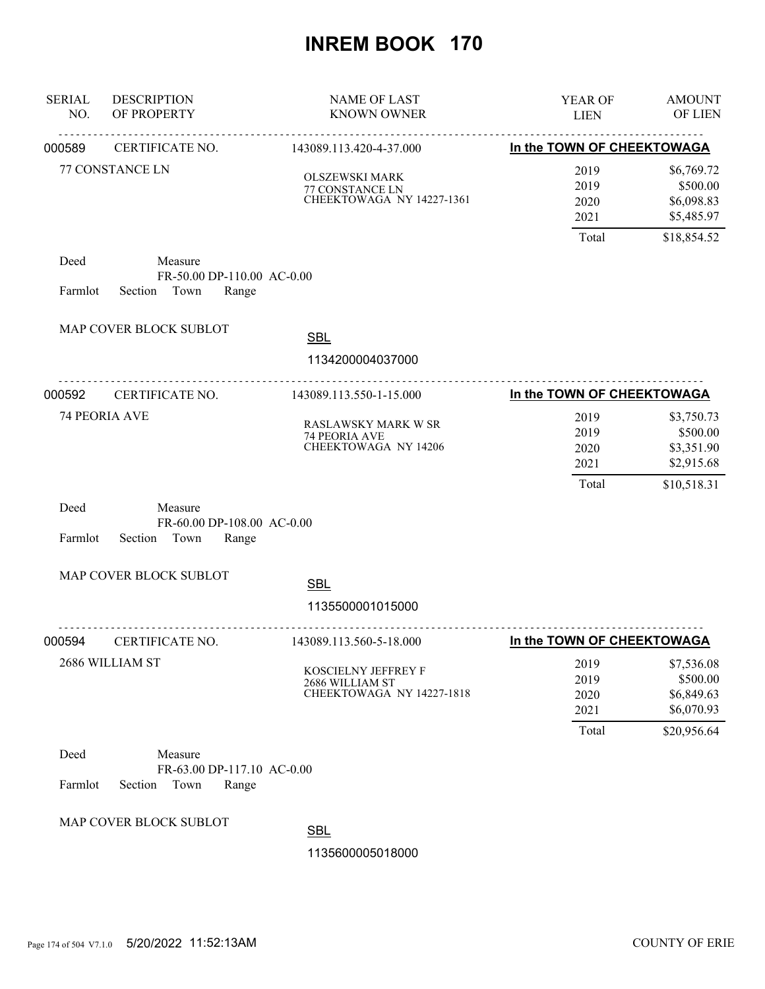| <b>SERIAL</b><br>NO. | <b>DESCRIPTION</b><br>OF PROPERTY                                 | <b>NAME OF LAST</b><br><b>KNOWN OWNER</b>                             | YEAR OF<br><b>LIEN</b>                | <b>AMOUNT</b><br>OF LIEN                                          |
|----------------------|-------------------------------------------------------------------|-----------------------------------------------------------------------|---------------------------------------|-------------------------------------------------------------------|
| 000589               | CERTIFICATE NO.                                                   | <u>.</u><br>143089.113.420-4-37.000                                   | In the TOWN OF CHEEKTOWAGA            |                                                                   |
|                      | 77 CONSTANCE LN                                                   | <b>OLSZEWSKI MARK</b><br>77 CONSTANCE LN<br>CHEEKTOWAGA NY 14227-1361 | 2019<br>2019<br>2020<br>2021          | \$6,769.72<br>\$500.00<br>\$6,098.83<br>\$5,485.97                |
| Deed                 | Measure                                                           |                                                                       | Total                                 | \$18,854.52                                                       |
| Farmlot              | FR-50.00 DP-110.00 AC-0.00<br>Section Town<br>Range               |                                                                       |                                       |                                                                   |
|                      | MAP COVER BLOCK SUBLOT                                            | <b>SBL</b><br>1134200004037000                                        |                                       |                                                                   |
| 000592               | <u>.</u><br>CERTIFICATE NO.                                       | .<br>143089.113.550-1-15.000                                          | In the TOWN OF CHEEKTOWAGA            |                                                                   |
|                      | 74 PEORIA AVE                                                     | RASLAWSKY MARK W SR<br>74 PEORIA AVE<br><b>CHEEKTOWAGA NY 14206</b>   | 2019<br>2019<br>2020<br>2021<br>Total | \$3,750.73<br>\$500.00<br>\$3,351.90<br>\$2,915.68<br>\$10,518.31 |
| Deed<br>Farmlot      | Measure<br>FR-60.00 DP-108.00 AC-0.00<br>Section<br>Town<br>Range |                                                                       |                                       |                                                                   |
|                      | MAP COVER BLOCK SUBLOT                                            | <b>SBL</b><br>1135500001015000                                        |                                       |                                                                   |
| 000594               | CERTIFICATE NO.                                                   | .<br>143089.113.560-5-18.000                                          | In the TOWN OF CHEEKTOWAGA            |                                                                   |
|                      | 2686 WILLIAM ST                                                   | KOSCIELNY JEFFREY F<br>2686 WILLIAM ST<br>CHEEKTOWAGA NY 14227-1818   | 2019<br>2019<br>2020<br>2021          | \$7,536.08<br>\$500.00<br>\$6,849.63<br>\$6,070.93                |
| Deed<br>Farmlot      | Measure<br>FR-63.00 DP-117.10 AC-0.00<br>Section<br>Town<br>Range |                                                                       | Total                                 | \$20,956.64                                                       |
|                      | MAP COVER BLOCK SUBLOT                                            | <b>SBL</b><br>1135600005018000                                        |                                       |                                                                   |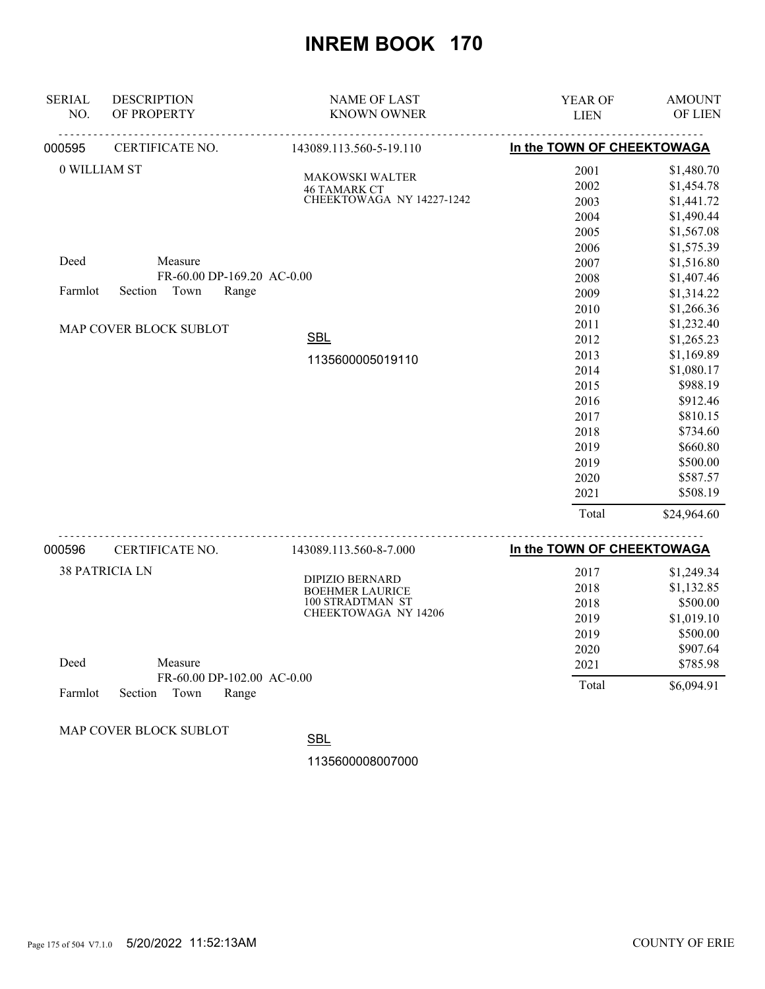| <b>SERIAL</b>         | <b>DESCRIPTION</b>         | <b>NAME OF LAST</b>                              | YEAR OF                    | <b>AMOUNT</b> |
|-----------------------|----------------------------|--------------------------------------------------|----------------------------|---------------|
| NO.                   | OF PROPERTY                | <b>KNOWN OWNER</b>                               | <b>LIEN</b>                | OF LIEN       |
| 000595                | CERTIFICATE NO.            | 143089.113.560-5-19.110                          | In the TOWN OF CHEEKTOWAGA |               |
| 0 WILLIAM ST          |                            | <b>MAKOWSKI WALTER</b>                           | 2001                       | \$1,480.70    |
|                       |                            | <b>46 TAMARK CT</b>                              | 2002                       | \$1,454.78    |
|                       |                            | CHEEKTOWAGA NY 14227-1242                        | 2003                       | \$1,441.72    |
|                       |                            |                                                  | 2004                       | \$1,490.44    |
|                       |                            |                                                  | 2005                       | \$1,567.08    |
|                       |                            |                                                  | 2006                       | \$1,575.39    |
| Deed                  | Measure                    |                                                  | 2007                       | \$1,516.80    |
|                       | FR-60.00 DP-169.20 AC-0.00 |                                                  | 2008                       | \$1,407.46    |
| Farmlot               | Town<br>Section<br>Range   |                                                  | 2009                       | \$1,314.22    |
|                       |                            |                                                  | 2010                       | \$1,266.36    |
|                       | MAP COVER BLOCK SUBLOT     |                                                  | 2011                       | \$1,232.40    |
|                       |                            | <b>SBL</b>                                       | 2012                       | \$1,265.23    |
|                       |                            | 1135600005019110                                 | 2013                       | \$1,169.89    |
|                       |                            |                                                  | 2014                       | \$1,080.17    |
|                       |                            |                                                  | 2015                       | \$988.19      |
|                       |                            |                                                  | 2016                       | \$912.46      |
|                       |                            |                                                  | 2017                       | \$810.15      |
|                       |                            |                                                  | 2018                       | \$734.60      |
|                       |                            |                                                  | 2019                       | \$660.80      |
|                       |                            |                                                  | 2019                       | \$500.00      |
|                       |                            |                                                  | 2020                       | \$587.57      |
|                       |                            |                                                  | 2021                       | \$508.19      |
|                       |                            |                                                  | Total                      | \$24,964.60   |
| 000596                | CERTIFICATE NO.            | 143089.113.560-8-7.000                           | In the TOWN OF CHEEKTOWAGA |               |
| <b>38 PATRICIA LN</b> |                            |                                                  | 2017                       | \$1,249.34    |
|                       |                            | <b>DIPIZIO BERNARD</b><br><b>BOEHMER LAURICE</b> | 2018                       | \$1,132.85    |
|                       |                            | 100 STRADTMAN ST                                 | 2018                       | \$500.00      |
|                       |                            | CHEEKTOWAGA NY 14206                             | 2019                       | \$1,019.10    |
|                       |                            |                                                  | 2019                       | \$500.00      |
|                       |                            |                                                  | 2020                       | \$907.64      |

| Deed | Measure              |                            |  |
|------|----------------------|----------------------------|--|
|      |                      | FR-60.00 DP-102.00 AC-0.00 |  |
|      | Farmlot Section Town | <b>Range</b>               |  |

MAP COVER BLOCK SUBLOT

**SBL** 

1135600008007000

 2021 \$785.98 Total \$6,094.91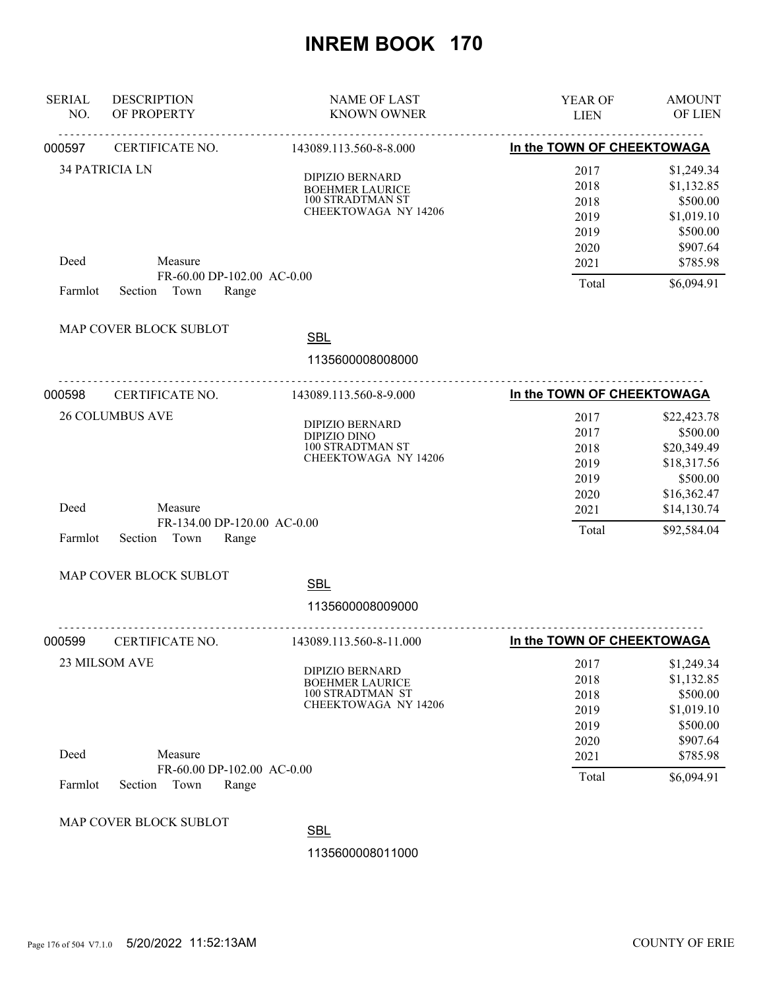| <b>SERIAL</b><br>NO. | <b>DESCRIPTION</b><br>OF PROPERTY                       | <b>NAME OF LAST</b><br><b>KNOWN OWNER</b>                                                           | YEAR OF<br><b>LIEN</b>                       | <b>AMOUNT</b><br>OF LIEN                                                   |
|----------------------|---------------------------------------------------------|-----------------------------------------------------------------------------------------------------|----------------------------------------------|----------------------------------------------------------------------------|
| 000597               | CERTIFICATE NO.                                         | 143089.113.560-8-8.000                                                                              | In the TOWN OF CHEEKTOWAGA                   |                                                                            |
|                      | <b>34 PATRICIA LN</b>                                   | <b>DIPIZIO BERNARD</b><br><b>BOEHMER LAURICE</b><br>100 STRADTMAN ST<br>CHEEKTOWAGA NY 14206        | 2017<br>2018<br>2018<br>2019<br>2019<br>2020 | \$1,249.34<br>\$1,132.85<br>\$500.00<br>\$1,019.10<br>\$500.00<br>\$907.64 |
| Deed                 | Measure                                                 |                                                                                                     | 2021                                         | \$785.98                                                                   |
| Farmlot              | FR-60.00 DP-102.00 AC-0.00<br>Section<br>Town<br>Range  |                                                                                                     | Total                                        | \$6,094.91                                                                 |
|                      | MAP COVER BLOCK SUBLOT                                  | <b>SBL</b><br>1135600008008000                                                                      |                                              |                                                                            |
| 000598               | CERTIFICATE NO.                                         | 143089.113.560-8-9.000                                                                              | In the TOWN OF CHEEKTOWAGA                   |                                                                            |
|                      | <b>26 COLUMBUS AVE</b>                                  | DIPIZIO BERNARD<br><b>DIPIZIO DINO</b><br>100 STRADTMAN ST<br>CHEEKTOWAGA NY 14206                  | 2017<br>2017<br>2018<br>2019<br>2019         | \$22,423.78<br>\$500.00<br>\$20,349.49<br>\$18,317.56<br>\$500.00          |
| Deed                 | Measure                                                 |                                                                                                     | 2020<br>2021                                 | \$16,362.47<br>\$14,130.74                                                 |
| Farmlot              | FR-134.00 DP-120.00 AC-0.00<br>Town<br>Section<br>Range |                                                                                                     | Total                                        | \$92,584.04                                                                |
|                      | MAP COVER BLOCK SUBLOT                                  | <b>SBL</b><br>1135600008009000                                                                      |                                              |                                                                            |
| 000599               | CERTIFICATE NO.                                         | 143089.113.560-8-11.000                                                                             | In the TOWN OF CHEEKTOWAGA                   |                                                                            |
|                      | 23 MILSOM AVE                                           | <b>DIPIZIO BERNARD</b><br><b>BOEHMER LAURICE</b><br>100 STRADTMAN ST<br><b>CHEEKTOWAGA NY 14206</b> | 2017<br>2018<br>2018<br>2019<br>2019         | \$1,249.34<br>\$1,132.85<br>\$500.00<br>\$1,019.10<br>\$500.00             |
| Deed                 | Measure                                                 |                                                                                                     | 2020<br>2021                                 | \$907.64<br>\$785.98                                                       |
| Farmlot              | FR-60.00 DP-102.00 AC-0.00<br>Town<br>Section<br>Range  |                                                                                                     | Total                                        | \$6,094.91                                                                 |
|                      | MAP COVER BLOCK SUBLOT                                  | <b>SBL</b><br>1135600008011000                                                                      |                                              |                                                                            |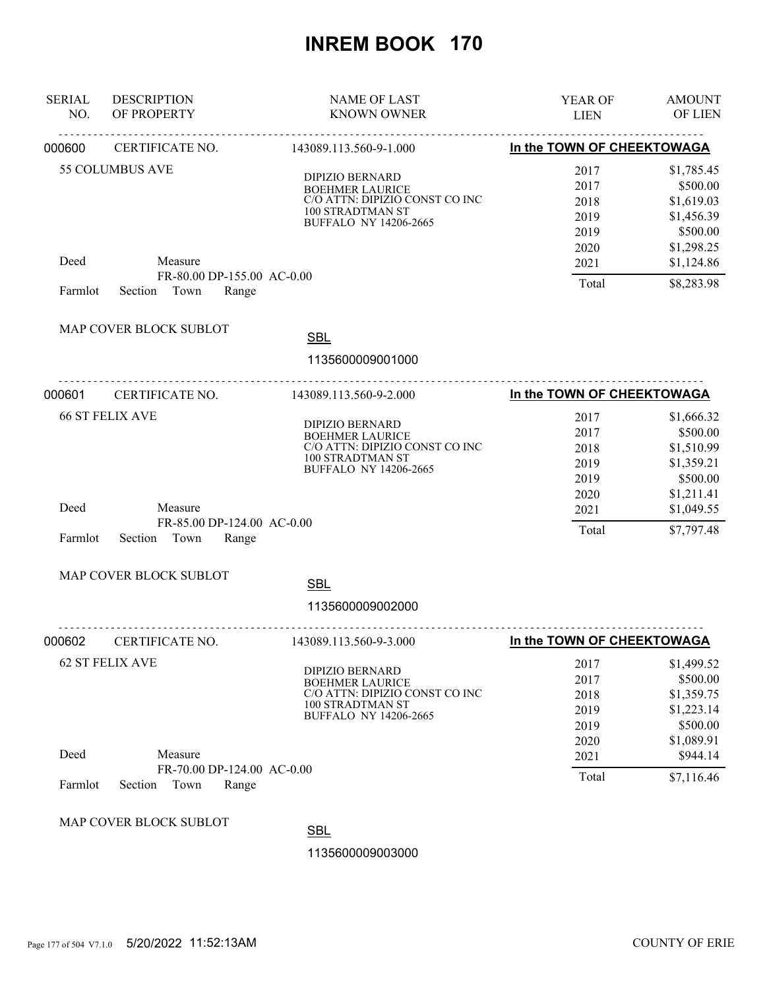| <b>SERIAL</b><br>NO. | <b>DESCRIPTION</b><br>OF PROPERTY     | <b>NAME OF LAST</b><br><b>KNOWN OWNER</b>                                                                                              | YEAR OF<br><b>LIEN</b>                       | <b>AMOUNT</b><br><b>OF LIEN</b>                                              |
|----------------------|---------------------------------------|----------------------------------------------------------------------------------------------------------------------------------------|----------------------------------------------|------------------------------------------------------------------------------|
| 000600               | CERTIFICATE NO.                       | 143089.113.560-9-1.000                                                                                                                 | In the TOWN OF CHEEKTOWAGA                   |                                                                              |
|                      | <b>55 COLUMBUS AVE</b>                | <b>DIPIZIO BERNARD</b><br><b>BOEHMER LAURICE</b><br>C/O ATTN: DIPIZIO CONST CO INC<br>100 STRADTMAN ST<br><b>BUFFALO NY 14206-2665</b> | 2017<br>2017<br>2018<br>2019<br>2019<br>2020 | \$1,785.45<br>\$500.00<br>\$1,619.03<br>\$1,456.39<br>\$500.00<br>\$1,298.25 |
| Deed                 | Measure<br>FR-80.00 DP-155.00 AC-0.00 |                                                                                                                                        | 2021<br>Total                                | \$1,124.86<br>\$8,283.98                                                     |
| Farmlot              | Town<br>Section<br>Range              |                                                                                                                                        |                                              |                                                                              |
|                      | MAP COVER BLOCK SUBLOT                | <b>SBL</b><br>1135600009001000                                                                                                         |                                              |                                                                              |
| 000601               | CERTIFICATE NO.                       | 143089.113.560-9-2.000                                                                                                                 | In the TOWN OF CHEEKTOWAGA                   |                                                                              |
|                      | <b>66 ST FELIX AVE</b>                | <b>DIPIZIO BERNARD</b><br><b>BOEHMER LAURICE</b><br>C/O ATTN: DIPIZIO CONST CO INC<br>100 STRADTMAN ST<br><b>BUFFALO NY 14206-2665</b> | 2017<br>2017<br>2018<br>2019<br>2019         | \$1,666.32<br>\$500.00<br>\$1,510.99<br>\$1,359.21<br>\$500.00               |
| Deed                 | Measure<br>FR-85.00 DP-124.00 AC-0.00 |                                                                                                                                        | 2020<br>2021                                 | \$1,211.41<br>\$1,049.55                                                     |
| Farmlot              | Town<br>Range<br>Section              |                                                                                                                                        | Total                                        | \$7,797.48                                                                   |
|                      | MAP COVER BLOCK SUBLOT                | <b>SBL</b><br>1135600009002000                                                                                                         |                                              |                                                                              |
| 000602               | .<br>CERTIFICATE NO.                  | 143089.113.560-9-3.000                                                                                                                 | In the TOWN OF CHEEKTOWAGA                   |                                                                              |
|                      | 62 ST FELIX AVE                       | <b>DIPIZIO BERNARD</b><br><b>BOEHMER LAURICE</b><br>C/O ATTN: DIPIZIO CONST CO INC<br>100 STRADTMAN ST<br><b>BUFFALO NY 14206-2665</b> | 2017<br>2017<br>2018<br>2019<br>2019<br>2020 | \$1,499.52<br>\$500.00<br>\$1,359.75<br>\$1,223.14<br>\$500.00<br>\$1,089.91 |
| Deed                 | Measure<br>FR-70.00 DP-124.00 AC-0.00 |                                                                                                                                        | 2021                                         | \$944.14                                                                     |
| Farmlot              | Town<br>Section<br>Range              |                                                                                                                                        | Total                                        | \$7,116.46                                                                   |
|                      | MAP COVER BLOCK SUBLOT                | <b>SBL</b><br>1135600009003000                                                                                                         |                                              |                                                                              |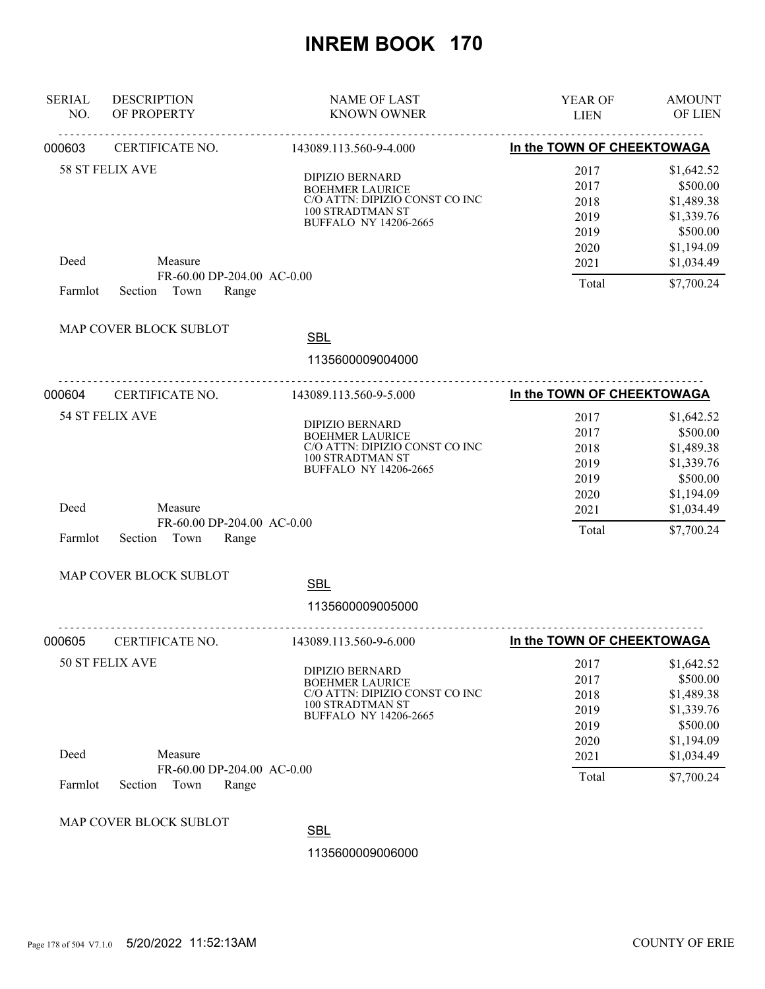| <b>SERIAL</b><br>NO. | <b>DESCRIPTION</b><br>OF PROPERTY                      | <b>NAME OF LAST</b><br><b>KNOWN OWNER</b>                                                                                              | YEAR OF<br><b>LIEN</b>                       | <b>AMOUNT</b><br><b>OF LIEN</b>                                              |
|----------------------|--------------------------------------------------------|----------------------------------------------------------------------------------------------------------------------------------------|----------------------------------------------|------------------------------------------------------------------------------|
| 000603               | <u>.</u><br>CERTIFICATE NO.                            | 143089.113.560-9-4.000                                                                                                                 | In the TOWN OF CHEEKTOWAGA                   |                                                                              |
|                      | <b>58 ST FELIX AVE</b>                                 | <b>DIPIZIO BERNARD</b><br><b>BOEHMER LAURICE</b><br>C/O ATTN: DIPIZIO CONST CO INC<br>100 STRADTMAN ST<br><b>BUFFALO NY 14206-2665</b> | 2017<br>2017<br>2018<br>2019<br>2019<br>2020 | \$1,642.52<br>\$500.00<br>\$1,489.38<br>\$1,339.76<br>\$500.00<br>\$1,194.09 |
| Deed                 | Measure<br>FR-60.00 DP-204.00 AC-0.00                  |                                                                                                                                        | 2021                                         | \$1,034.49                                                                   |
| Farmlot              | Section Town<br>Range                                  |                                                                                                                                        | Total                                        | \$7,700.24                                                                   |
|                      | MAP COVER BLOCK SUBLOT                                 | <b>SBL</b><br>1135600009004000                                                                                                         |                                              |                                                                              |
| 000604               | CERTIFICATE NO.                                        | 143089.113.560-9-5.000                                                                                                                 | In the TOWN OF CHEEKTOWAGA                   |                                                                              |
|                      | 54 ST FELIX AVE                                        | <b>DIPIZIO BERNARD</b><br><b>BOEHMER LAURICE</b><br>C/O ATTN: DIPIZIO CONST CO INC<br>100 STRADTMAN ST<br><b>BUFFALO NY 14206-2665</b> | 2017<br>2017<br>2018<br>2019<br>2019         | \$1,642.52<br>\$500.00<br>\$1,489.38<br>\$1,339.76<br>\$500.00               |
| Deed                 | Measure                                                |                                                                                                                                        | 2020<br>2021                                 | \$1,194.09<br>\$1,034.49                                                     |
| Farmlot              | FR-60.00 DP-204.00 AC-0.00<br>Town<br>Range<br>Section |                                                                                                                                        | Total                                        | \$7,700.24                                                                   |
|                      | MAP COVER BLOCK SUBLOT                                 | <b>SBL</b><br>1135600009005000                                                                                                         |                                              |                                                                              |
| 000605               | <u>.</u><br>CERTIFICATE NO.                            | .<br>143089.113.560-9-6.000                                                                                                            | In the TOWN OF CHEEKTOWAGA                   |                                                                              |
|                      | 50 ST FELIX AVE                                        | <b>DIPIZIO BERNARD</b><br><b>BOEHMER LAURICE</b><br>C/O ATTN: DIPIZIO CONST CO INC<br>100 STRADTMAN ST<br><b>BUFFALO NY 14206-2665</b> | 2017<br>2017<br>2018<br>2019<br>2019<br>2020 | \$1,642.52<br>\$500.00<br>\$1,489.38<br>\$1,339.76<br>\$500.00<br>\$1,194.09 |
| Deed                 | Measure                                                |                                                                                                                                        | 2021                                         | \$1,034.49                                                                   |
| Farmlot              | FR-60.00 DP-204.00 AC-0.00<br>Town<br>Section<br>Range |                                                                                                                                        | Total                                        | \$7,700.24                                                                   |
|                      | MAP COVER BLOCK SUBLOT                                 | <b>SBL</b><br>1135600009006000                                                                                                         |                                              |                                                                              |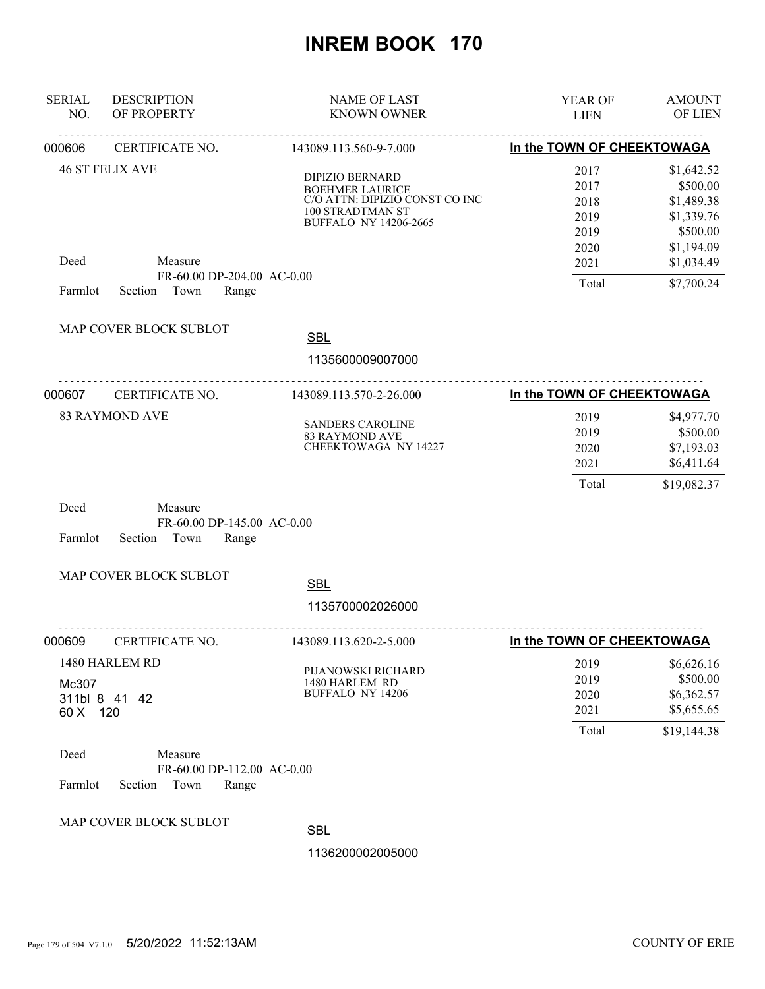| <b>SERIAL</b><br>NO. | <b>DESCRIPTION</b><br>OF PROPERTY                                 | <b>NAME OF LAST</b><br><b>KNOWN OWNER</b>                                                                                              | YEAR OF<br><b>LIEN</b>                       | <b>AMOUNT</b><br>OF LIEN                                                     |
|----------------------|-------------------------------------------------------------------|----------------------------------------------------------------------------------------------------------------------------------------|----------------------------------------------|------------------------------------------------------------------------------|
| 000606               | CERTIFICATE NO.                                                   | 143089.113.560-9-7.000                                                                                                                 | In the TOWN OF CHEEKTOWAGA                   |                                                                              |
|                      | <b>46 ST FELIX AVE</b>                                            | <b>DIPIZIO BERNARD</b><br><b>BOEHMER LAURICE</b><br>C/O ATTN: DIPIZIO CONST CO INC<br>100 STRADTMAN ST<br><b>BUFFALO NY 14206-2665</b> | 2017<br>2017<br>2018<br>2019<br>2019<br>2020 | \$1,642.52<br>\$500.00<br>\$1,489.38<br>\$1,339.76<br>\$500.00<br>\$1,194.09 |
| Deed<br>Farmlot      | Measure<br>FR-60.00 DP-204.00 AC-0.00<br>Town<br>Section<br>Range |                                                                                                                                        | 2021<br>Total                                | \$1,034.49<br>\$7,700.24                                                     |
|                      | MAP COVER BLOCK SUBLOT                                            | <b>SBL</b><br>1135600009007000                                                                                                         |                                              |                                                                              |
| 000607               | CERTIFICATE NO.                                                   | 143089.113.570-2-26.000                                                                                                                | In the TOWN OF CHEEKTOWAGA                   |                                                                              |
|                      | <b>83 RAYMOND AVE</b>                                             | <b>SANDERS CAROLINE</b><br><b>83 RAYMOND AVE</b><br>CHEEKTOWAGA NY 14227                                                               | 2019<br>2019<br>2020<br>2021<br>Total        | \$4,977.70<br>\$500.00<br>\$7,193.03<br>\$6,411.64<br>\$19,082.37            |
| Deed<br>Farmlot      | Measure<br>FR-60.00 DP-145.00 AC-0.00<br>Town<br>Range<br>Section |                                                                                                                                        |                                              |                                                                              |
|                      | MAP COVER BLOCK SUBLOT                                            | <b>SBL</b><br>1135700002026000                                                                                                         |                                              |                                                                              |
| 000609               | CERTIFICATE NO.                                                   | 143089.113.620-2-5.000                                                                                                                 | In the TOWN OF CHEEKTOWAGA                   |                                                                              |
| Mc307<br>60 X 120    | 1480 HARLEM RD<br>311bl 8 41 42                                   | PIJANOWSKI RICHARD<br>1480 HARLEM RD<br><b>BUFFALO NY 14206</b>                                                                        | 2019<br>2019<br>2020<br>2021<br>Total        | \$6,626.16<br>\$500.00<br>\$6,362.57<br>\$5,655.65<br>\$19,144.38            |
| Deed<br>Farmlot      | Measure<br>FR-60.00 DP-112.00 AC-0.00<br>Section<br>Town<br>Range |                                                                                                                                        |                                              |                                                                              |
|                      | MAP COVER BLOCK SUBLOT                                            | <b>SBL</b><br>1136200002005000                                                                                                         |                                              |                                                                              |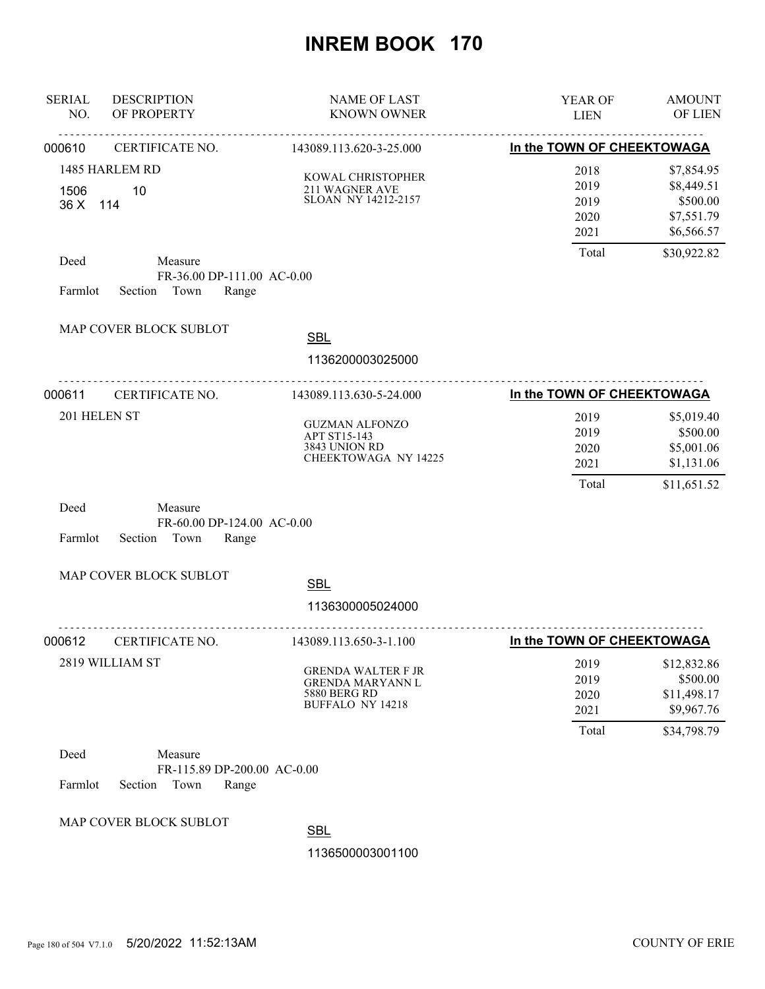| <b>SERIAL</b><br>NO. | <b>DESCRIPTION</b><br>OF PROPERTY                                  | <b>NAME OF LAST</b><br><b>KNOWN OWNER</b>                                                              | YEAR OF<br><b>LIEN</b>                | <b>AMOUNT</b><br>OF LIEN                                          |
|----------------------|--------------------------------------------------------------------|--------------------------------------------------------------------------------------------------------|---------------------------------------|-------------------------------------------------------------------|
| 000610               | CERTIFICATE NO.                                                    | 143089.113.620-3-25.000                                                                                | In the TOWN OF CHEEKTOWAGA            |                                                                   |
| 1506<br>36 X 114     | 1485 HARLEM RD<br>10                                               | KOWAL CHRISTOPHER<br>211 WAGNER AVE<br>SLOAN NY 14212-2157                                             | 2018<br>2019<br>2019<br>2020<br>2021  | \$7,854.95<br>\$8,449.51<br>\$500.00<br>\$7,551.79<br>\$6,566.57  |
| Deed<br>Farmlot      | Measure<br>FR-36.00 DP-111.00 AC-0.00<br>Town<br>Section<br>Range  |                                                                                                        | Total                                 | \$30,922.82                                                       |
|                      | MAP COVER BLOCK SUBLOT<br><u>.</u>                                 | <b>SBL</b><br>1136200003025000                                                                         |                                       |                                                                   |
| 000611               | CERTIFICATE NO.                                                    | 143089.113.630-5-24.000                                                                                | In the TOWN OF CHEEKTOWAGA            |                                                                   |
| 201 HELEN ST         |                                                                    | <b>GUZMAN ALFONZO</b><br>APT ST15-143<br>3843 UNION RD<br>CHEEKTOWAGA NY 14225                         | 2019<br>2019<br>2020<br>2021<br>Total | \$5,019.40<br>\$500.00<br>\$5,001.06<br>\$1,131.06<br>\$11,651.52 |
| Deed<br>Farmlot      | Measure<br>FR-60.00 DP-124.00 AC-0.00<br>Section<br>Town<br>Range  |                                                                                                        |                                       |                                                                   |
|                      | MAP COVER BLOCK SUBLOT                                             | <b>SBL</b><br>1136300005024000                                                                         |                                       |                                                                   |
| 000612               | CERTIFICATE NO.                                                    | .<br>143089.113.650-3-1.100                                                                            | In the TOWN OF CHEEKTOWAGA            |                                                                   |
|                      | 2819 WILLIAM ST                                                    | <b>GRENDA WALTER F JR</b><br><b>GRENDA MARYANN L</b><br><b>5880 BERG RD</b><br><b>BUFFALO NY 14218</b> | 2019<br>2019<br>2020<br>2021<br>Total | \$12,832.86<br>\$500.00<br>\$11,498.17<br>\$9,967.76              |
| Deed<br>Farmlot      | Measure<br>FR-115.89 DP-200.00 AC-0.00<br>Section<br>Town<br>Range |                                                                                                        |                                       | \$34,798.79                                                       |
|                      | MAP COVER BLOCK SUBLOT                                             | <b>SBL</b><br>1136500003001100                                                                         |                                       |                                                                   |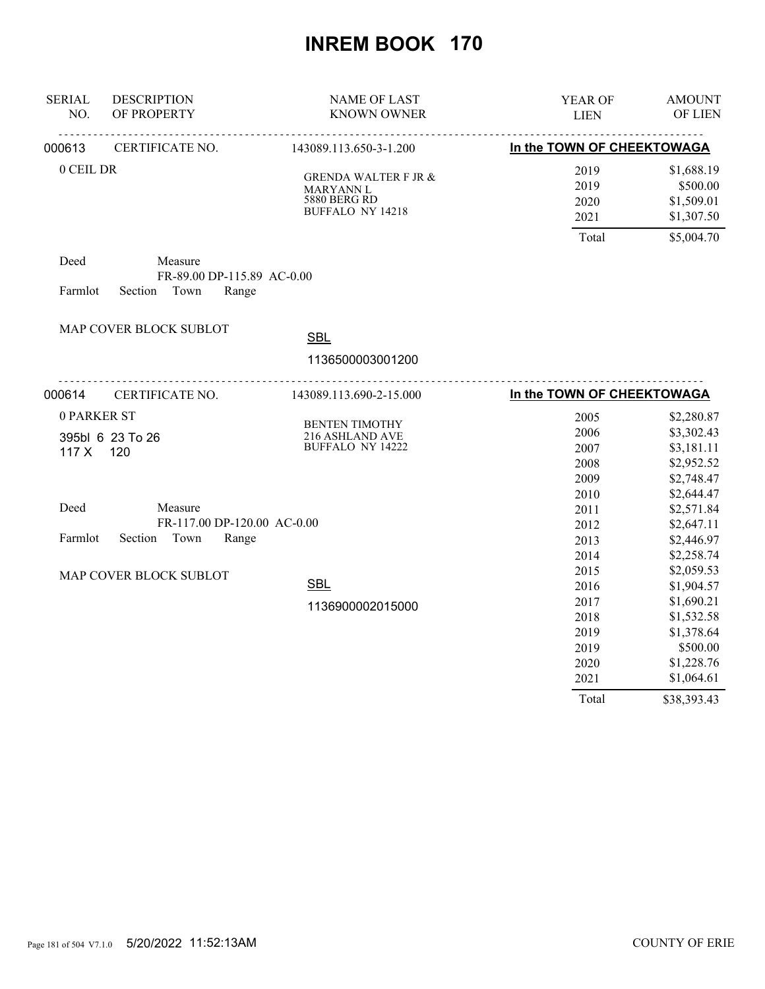| <b>SERIAL</b><br>NO. | <b>DESCRIPTION</b><br>OF PROPERTY                                 | <b>NAME OF LAST</b><br><b>KNOWN OWNER</b>                                               | YEAR OF<br><b>LIEN</b>       | <b>AMOUNT</b><br>OF LIEN                           |
|----------------------|-------------------------------------------------------------------|-----------------------------------------------------------------------------------------|------------------------------|----------------------------------------------------|
| 000613               | CERTIFICATE NO.                                                   | 143089.113.650-3-1.200                                                                  | In the TOWN OF CHEEKTOWAGA   |                                                    |
| 0 CEIL DR            |                                                                   | <b>GRENDA WALTER F JR &amp;</b><br>MARYANN L<br><b>5880 BERG RD</b><br>BUFFALO NY 14218 | 2019<br>2019<br>2020<br>2021 | \$1,688.19<br>\$500.00<br>\$1,509.01<br>\$1,307.50 |
|                      |                                                                   |                                                                                         | Total                        | \$5,004.70                                         |
| Deed<br>Farmlot      | Measure<br>FR-89.00 DP-115.89 AC-0.00<br>Town<br>Section<br>Range |                                                                                         |                              |                                                    |
|                      | MAP COVER BLOCK SUBLOT                                            |                                                                                         |                              |                                                    |
|                      |                                                                   | <b>SBL</b>                                                                              |                              |                                                    |
|                      |                                                                   | 1136500003001200                                                                        |                              |                                                    |
| 000614               | CERTIFICATE NO.                                                   | 143089.113.690-2-15.000                                                                 | In the TOWN OF CHEEKTOWAGA   |                                                    |
| 0 PARKER ST          |                                                                   |                                                                                         | 2005                         | \$2,280.87                                         |
|                      | 395bl 6 23 To 26                                                  | <b>BENTEN TIMOTHY</b><br>216 ASHLAND AVE                                                | 2006                         | \$3,302.43                                         |
| 117X                 | 120                                                               | <b>BUFFALO NY 14222</b>                                                                 | 2007                         | \$3,181.11                                         |
|                      |                                                                   |                                                                                         | 2008                         | \$2,952.52                                         |
|                      |                                                                   |                                                                                         | 2009                         | \$2,748.47                                         |
|                      |                                                                   |                                                                                         | 2010                         | \$2,644.47                                         |
| Deed                 | Measure                                                           |                                                                                         | 2011                         | \$2,571.84                                         |
|                      | FR-117.00 DP-120.00 AC-0.00                                       |                                                                                         | 2012                         | \$2,647.11                                         |
| Farmlot              | Town<br>Section<br>Range                                          |                                                                                         | 2013                         | \$2,446.97                                         |
|                      |                                                                   |                                                                                         | 2014                         | \$2,258.74                                         |
|                      | MAP COVER BLOCK SUBLOT                                            |                                                                                         | 2015                         | \$2,059.53                                         |
|                      |                                                                   | <b>SBL</b>                                                                              | 2016                         | \$1,904.57                                         |
|                      |                                                                   | 1136900002015000                                                                        | 2017                         | \$1,690.21                                         |
|                      |                                                                   |                                                                                         | 2018                         | \$1,532.58                                         |
|                      |                                                                   |                                                                                         | 2019                         | \$1,378.64                                         |
|                      |                                                                   |                                                                                         | 2019<br>2020                 | \$500.00<br>\$1,228.76                             |
|                      |                                                                   |                                                                                         | 2021                         | \$1,064.61                                         |
|                      |                                                                   |                                                                                         | Total                        | \$38,393.43                                        |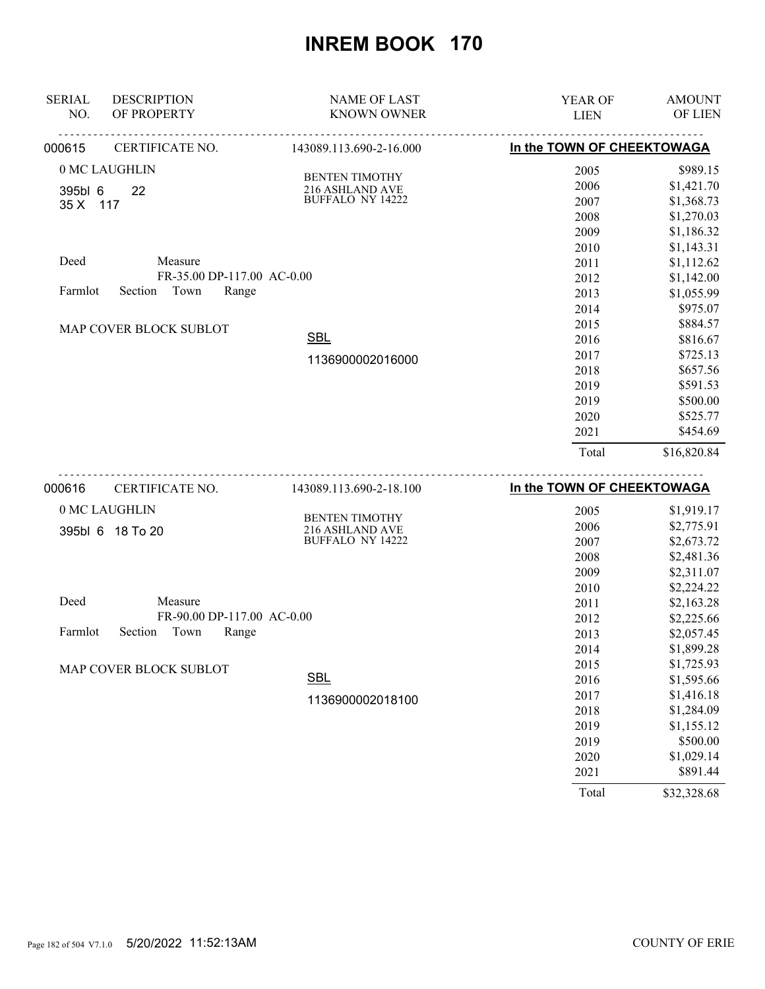| <b>SERIAL</b><br>NO. | <b>DESCRIPTION</b><br>OF PROPERTY | <b>NAME OF LAST</b><br><b>KNOWN OWNER</b> | YEAR OF<br><b>LIEN</b>     | <b>AMOUNT</b><br>OF LIEN |
|----------------------|-----------------------------------|-------------------------------------------|----------------------------|--------------------------|
| 000615               | CERTIFICATE NO.                   | 143089.113.690-2-16.000                   | In the TOWN OF CHEEKTOWAGA |                          |
|                      | 0 MC LAUGHLIN                     | <b>BENTEN TIMOTHY</b>                     | 2005                       | \$989.15                 |
| 395bl 6              | 22                                | 216 ASHLAND AVE                           | 2006                       | \$1,421.70               |
| 35 X 117             |                                   | <b>BUFFALO NY 14222</b>                   | 2007                       | \$1,368.73               |
|                      |                                   |                                           | 2008                       | \$1,270.03               |
|                      |                                   |                                           | 2009                       | \$1,186.32               |
|                      |                                   |                                           | 2010                       | \$1,143.31               |
| Deed                 | Measure                           |                                           | 2011                       | \$1,112.62               |
|                      | FR-35.00 DP-117.00 AC-0.00        |                                           | 2012                       | \$1,142.00               |
| Farmlot              | Town<br>Section<br>Range          |                                           | 2013                       | \$1,055.99               |
|                      |                                   |                                           | 2014                       | \$975.07                 |
|                      | MAP COVER BLOCK SUBLOT            |                                           | 2015                       | \$884.57                 |
|                      |                                   | <b>SBL</b>                                | 2016                       | \$816.67                 |
|                      |                                   | 1136900002016000                          | 2017                       | \$725.13                 |
|                      |                                   |                                           | 2018                       | \$657.56                 |
|                      |                                   |                                           | 2019                       | \$591.53                 |
|                      |                                   |                                           | 2019                       | \$500.00                 |
|                      |                                   |                                           | 2020                       | \$525.77                 |
|                      |                                   |                                           | 2021                       | \$454.69                 |
|                      |                                   |                                           | Total                      | \$16,820.84              |
| 000616               | CERTIFICATE NO.                   | 143089.113.690-2-18.100                   | In the TOWN OF CHEEKTOWAGA |                          |
|                      | 0 MC LAUGHLIN                     | <b>BENTEN TIMOTHY</b>                     | 2005                       | \$1,919.17               |
|                      | 395bl 6 18 To 20                  | 216 ASHLAND AVE                           | 2006                       | \$2,775.91               |
|                      |                                   |                                           |                            |                          |

| <b>U</b> UUU U UUUU |                            | 210   101112  11 112   12 12 |      |            |
|---------------------|----------------------------|------------------------------|------|------------|
|                     |                            | <b>BUFFALO NY 14222</b>      | 2007 | \$2,673.72 |
|                     |                            |                              | 2008 | \$2,481.36 |
|                     |                            |                              | 2009 | \$2,311.07 |
|                     |                            |                              | 2010 | \$2,224.22 |
| Deed                | Measure                    |                              | 2011 | \$2,163.28 |
|                     | FR-90.00 DP-117.00 AC-0.00 |                              | 2012 | \$2,225.66 |
| Farmlot             | Town<br>Section<br>Range   |                              | 2013 | \$2,057.45 |
|                     |                            |                              | 2014 | \$1,899.28 |
|                     | MAP COVER BLOCK SUBLOT     |                              | 2015 | \$1,725.93 |
|                     |                            | <b>SBL</b>                   | 2016 | \$1,595.66 |
|                     |                            | 1136900002018100             | 2017 | \$1,416.18 |
|                     |                            |                              | 2018 | \$1,284.09 |
|                     |                            |                              | 2019 | \$1,155.12 |
|                     |                            |                              | 2019 | \$500.00   |
|                     |                            |                              | 2020 | \$1,029.14 |
|                     |                            |                              | 2021 | \$891.44   |

Total \$32,328.68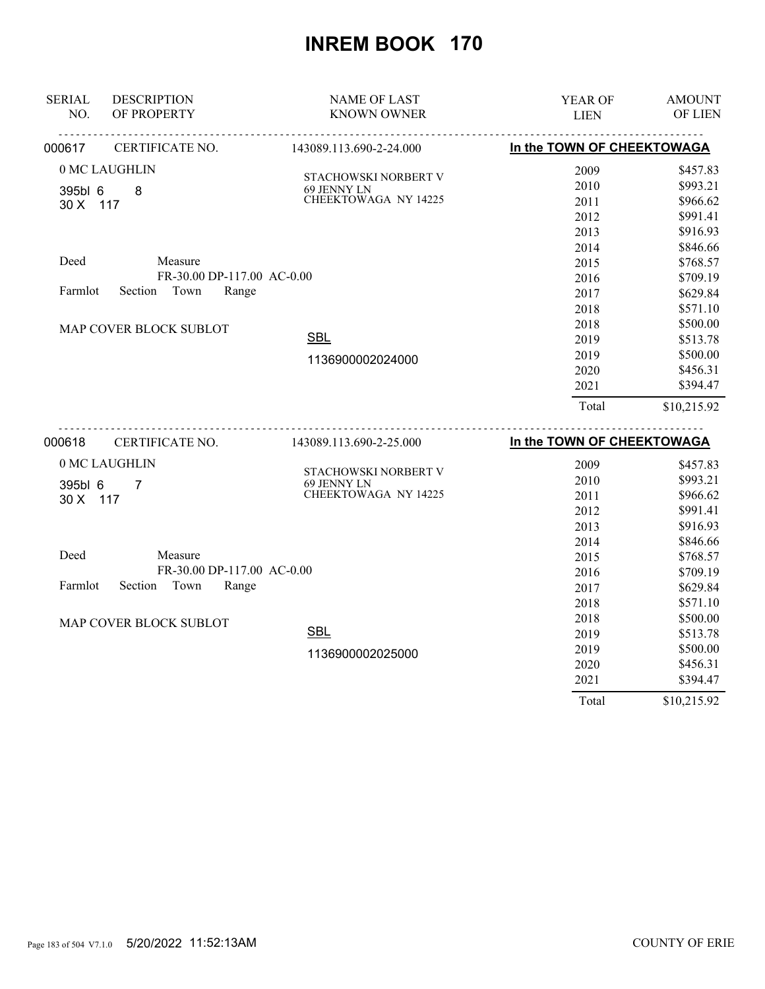| <b>SERIAL</b>       | <b>DESCRIPTION</b>          | <b>NAME OF LAST</b>                 | YEAR OF                    | <b>AMOUNT</b> |
|---------------------|-----------------------------|-------------------------------------|----------------------------|---------------|
| NO.                 | OF PROPERTY                 | <b>KNOWN OWNER</b>                  | <b>LIEN</b>                | OF LIEN       |
| 000617              | CERTIFICATE NO.             | 143089.113.690-2-24.000             | In the TOWN OF CHEEKTOWAGA |               |
|                     | 0 MC LAUGHLIN               | STACHOWSKI NORBERT V                | 2009                       | \$457.83      |
| 395bl 6             | 8                           |                                     | 2010                       | \$993.21      |
| 30 X 117            |                             | 69 JENNY LN<br>CHEEKTOWAGA NY 14225 | 2011                       | \$966.62      |
|                     |                             |                                     | 2012                       | \$991.41      |
|                     |                             |                                     | 2013                       | \$916.93      |
|                     |                             |                                     | 2014                       | \$846.66      |
| Deed                | Measure                     |                                     | 2015                       | \$768.57      |
|                     | FR-30.00 DP-117.00 AC-0.00  |                                     | 2016                       | \$709.19      |
| Farmlot             | Section<br>Town<br>Range    |                                     | 2017                       | \$629.84      |
|                     |                             |                                     | 2018                       | \$571.10      |
|                     | MAP COVER BLOCK SUBLOT      |                                     | 2018                       | \$500.00      |
|                     |                             | <b>SBL</b>                          | 2019                       | \$513.78      |
|                     |                             | 1136900002024000                    | 2019                       | \$500.00      |
|                     |                             |                                     | 2020                       | \$456.31      |
|                     |                             |                                     | 2021                       | \$394.47      |
|                     |                             |                                     | Total                      | \$10,215.92   |
| 000618              | <u>.</u><br>CERTIFICATE NO. | 143089.113.690-2-25.000             | In the TOWN OF CHEEKTOWAGA |               |
|                     | 0 MC LAUGHLIN               |                                     | 2009                       | \$457.83      |
|                     |                             | STACHOWSKI NORBERT V<br>69 JENNY LN | 2010                       | \$993.21      |
| 395bl 6<br>30 X 117 | $\overline{7}$              | CHEEKTOWAGA NY 14225                | 2011                       | \$966.62      |
|                     |                             |                                     | 2012                       | \$991.41      |
|                     |                             |                                     | 2013                       | \$916.93      |
|                     |                             |                                     | 2014                       | \$846.66      |
| Deed                | Measure                     |                                     | 2015                       | \$768.57      |
|                     | FR-30.00 DP-117.00 AC-0.00  |                                     | 2016                       | \$709.19      |
| Farmlot             | Section<br>Town<br>Range    |                                     | 2017                       | \$629.84      |
|                     |                             |                                     | 2018                       | \$571.10      |
|                     |                             |                                     | 2018                       | \$500.00      |
|                     | MAP COVER BLOCK SUBLOT      | <b>SBL</b>                          | 2019                       | \$513.78      |
|                     |                             | 1136900002025000                    | 2019                       | \$500.00      |
|                     |                             |                                     | 2020                       | \$456.31      |
|                     |                             |                                     | 2021                       | \$394.47      |
|                     |                             |                                     | Total                      | \$10,215.92   |

Page 183 of 504 V7.1.0 5/20/2022 11:52:13AM COUNTY OF ERIE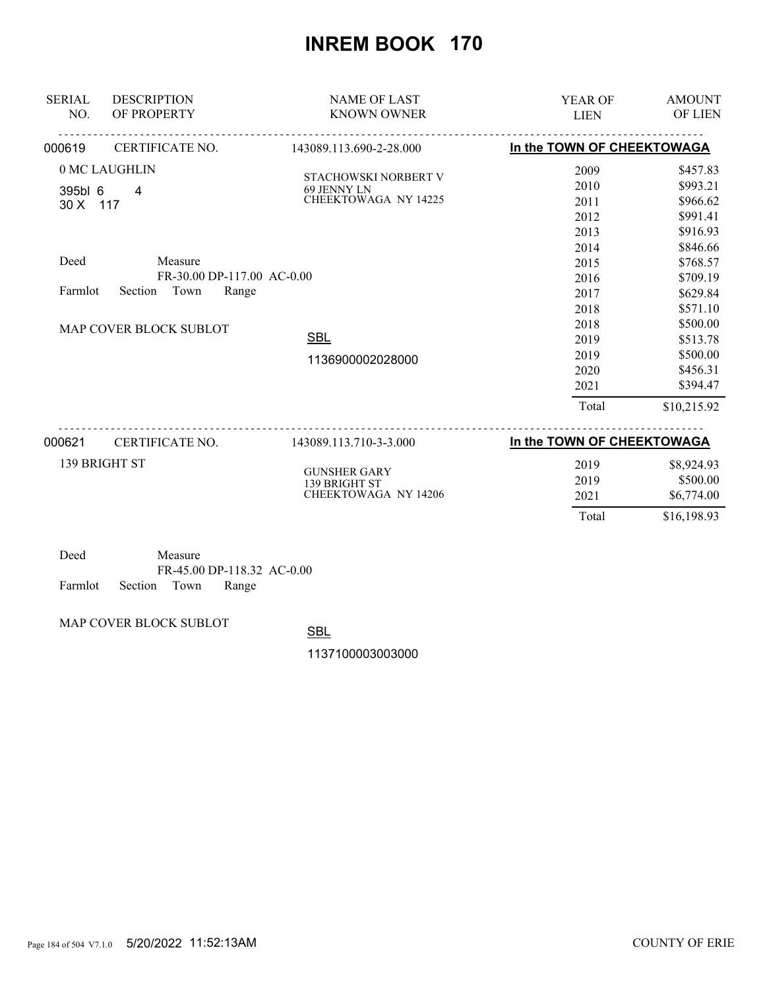| <b>SERIAL</b><br>NO.                                    | <b>DESCRIPTION</b><br>OF PROPERTY                                                                | <b>NAME OF LAST</b><br><b>KNOWN OWNER</b>                                                            | YEAR OF<br><b>LIEN</b>                                                                                                        | <b>AMOUNT</b><br>OF LIEN                                                                                                                                                                        |
|---------------------------------------------------------|--------------------------------------------------------------------------------------------------|------------------------------------------------------------------------------------------------------|-------------------------------------------------------------------------------------------------------------------------------|-------------------------------------------------------------------------------------------------------------------------------------------------------------------------------------------------|
| 000619                                                  | CERTIFICATE NO.                                                                                  | 143089.113.690-2-28.000                                                                              | In the TOWN OF CHEEKTOWAGA                                                                                                    |                                                                                                                                                                                                 |
| 0 MC LAUGHLIN<br>395bl 6<br>30 X 117<br>Deed<br>Farmlot | 4<br>Measure<br>FR-30.00 DP-117.00 AC-0.00<br>Section<br>Town<br>Range<br>MAP COVER BLOCK SUBLOT | STACHOWSKI NORBERT V<br>69 JENNY LN<br><b>CHEEKTOWAGA NY 14225</b><br><b>SBL</b><br>1136900002028000 | 2009<br>2010<br>2011<br>2012<br>2013<br>2014<br>2015<br>2016<br>2017<br>2018<br>2018<br>2019<br>2019<br>2020<br>2021<br>Total | \$457.83<br>\$993.21<br>\$966.62<br>\$991.41<br>\$916.93<br>\$846.66<br>\$768.57<br>\$709.19<br>\$629.84<br>\$571.10<br>\$500.00<br>\$513.78<br>\$500.00<br>\$456.31<br>\$394.47<br>\$10,215.92 |
| 000621<br>139 BRIGHT ST                                 | CERTIFICATE NO.                                                                                  | 143089.113.710-3-3.000<br><b>GUNSHER GARY</b><br>139 BRIGHT ST<br><b>CHEEKTOWAGA NY 14206</b>        | In the TOWN OF CHEEKTOWAGA<br>2019<br>2019<br>2021<br>Total                                                                   | \$8,924.93<br>\$500.00<br>\$6,774.00<br>\$16,198.93                                                                                                                                             |

| Deed |                            | Measure |                            |  |
|------|----------------------------|---------|----------------------------|--|
|      |                            |         | FR-45.00 DP-118.32 AC-0.00 |  |
|      | Farmlot Section Town Range |         |                            |  |

MAP COVER BLOCK SUBLOT

SBL

1137100003003000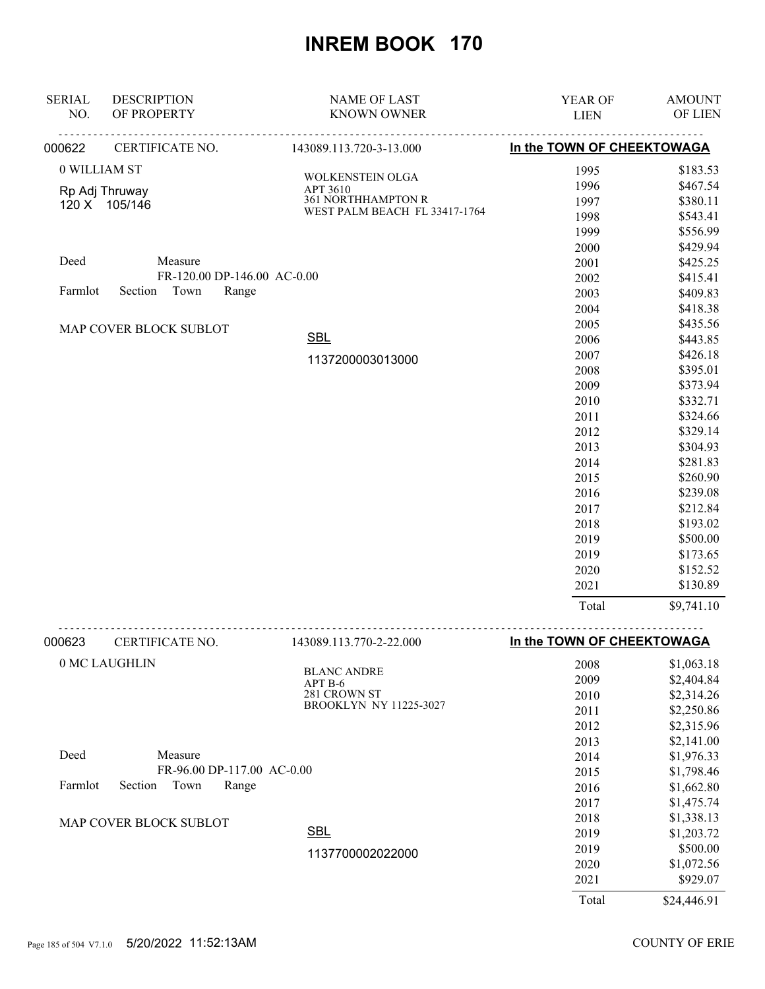| <b>SERIAL</b><br>NO. | <b>DESCRIPTION</b><br>OF PROPERTY | <b>NAME OF LAST</b><br><b>KNOWN OWNER</b> | YEAR OF<br><b>LIEN</b>     | <b>AMOUNT</b><br>OF LIEN |
|----------------------|-----------------------------------|-------------------------------------------|----------------------------|--------------------------|
| 000622               | CERTIFICATE NO.                   | 143089.113.720-3-13.000                   | In the TOWN OF CHEEKTOWAGA |                          |
| 0 WILLIAM ST         |                                   |                                           | 1995                       | \$183.53                 |
|                      | Rp Adj Thruway                    | WOLKENSTEIN OLGA<br>APT 3610              | 1996                       | \$467.54                 |
|                      | 120 X 105/146                     | 361 NORTHHAMPTON R                        | 1997                       | \$380.11                 |
|                      |                                   | WEST PALM BEACH FL 33417-1764             | 1998                       | \$543.41                 |
|                      |                                   |                                           | 1999                       | \$556.99                 |
|                      |                                   |                                           | 2000                       | \$429.94                 |
| Deed                 | Measure                           |                                           | 2001                       | \$425.25                 |
|                      | FR-120.00 DP-146.00 AC-0.00       |                                           | 2002                       | \$415.41                 |
| Farmlot              | Town<br>Section<br>Range          |                                           | 2003                       | \$409.83                 |
|                      |                                   |                                           | 2004                       | \$418.38                 |
|                      | MAP COVER BLOCK SUBLOT            |                                           | 2005                       | \$435.56                 |
|                      |                                   | <b>SBL</b>                                | 2006                       | \$443.85                 |
|                      |                                   | 1137200003013000                          | 2007                       | \$426.18                 |
|                      |                                   |                                           | 2008                       | \$395.01                 |
|                      |                                   |                                           | 2009                       | \$373.94                 |
|                      |                                   |                                           | 2010                       | \$332.71                 |
|                      |                                   |                                           | 2011                       | \$324.66<br>\$329.14     |
|                      |                                   |                                           | 2012<br>2013               | \$304.93                 |
|                      |                                   |                                           | 2014                       | \$281.83                 |
|                      |                                   |                                           | 2015                       | \$260.90                 |
|                      |                                   |                                           | 2016                       | \$239.08                 |
|                      |                                   |                                           | 2017                       | \$212.84                 |
|                      |                                   |                                           | 2018                       | \$193.02                 |
|                      |                                   |                                           | 2019                       | \$500.00                 |
|                      |                                   |                                           | 2019                       | \$173.65                 |
|                      |                                   |                                           | 2020                       | \$152.52                 |
|                      |                                   |                                           | 2021                       | \$130.89                 |
|                      |                                   |                                           | Total                      | \$9,741.10               |
| 000623               | CERTIFICATE NO.                   | 143089.113.770-2-22.000                   | In the TOWN OF CHEEKTOWAGA |                          |
|                      | 0 MC LAUGHLIN                     |                                           | 2008                       | \$1,063.18               |
|                      |                                   | <b>BLANC ANDRE</b>                        | 2009                       | \$2,404.84               |
|                      |                                   | APT B-6<br>281 CROWN ST                   | 2010                       | \$2,314.26               |
|                      |                                   | <b>BROOKLYN NY 11225-3027</b>             | 2011                       | \$2,250.86               |
|                      |                                   |                                           | 2012                       | \$2,315.96               |
|                      |                                   |                                           | 2013                       | \$2,141.00               |
| Deed                 | Measure                           |                                           | 2014                       | \$1,976.33               |
|                      | FR-96.00 DP-117.00 AC-0.00        |                                           | 2015                       | \$1,798.46               |
| Farmlot              | Section<br>Town<br>Range          |                                           | 2016                       | \$1,662.80               |
|                      |                                   |                                           | 2017                       | \$1,475.74               |
|                      | MAP COVER BLOCK SUBLOT            |                                           | 2018                       | \$1,338.13               |
|                      |                                   | <b>SBL</b>                                | 2019                       | \$1,203.72               |
|                      |                                   | 1137700002022000                          | 2019                       | \$500.00                 |
|                      |                                   |                                           | 2020                       | \$1,072.56               |
|                      |                                   |                                           | 2021                       | \$929.07                 |
|                      |                                   |                                           | Total                      | \$24,446.91              |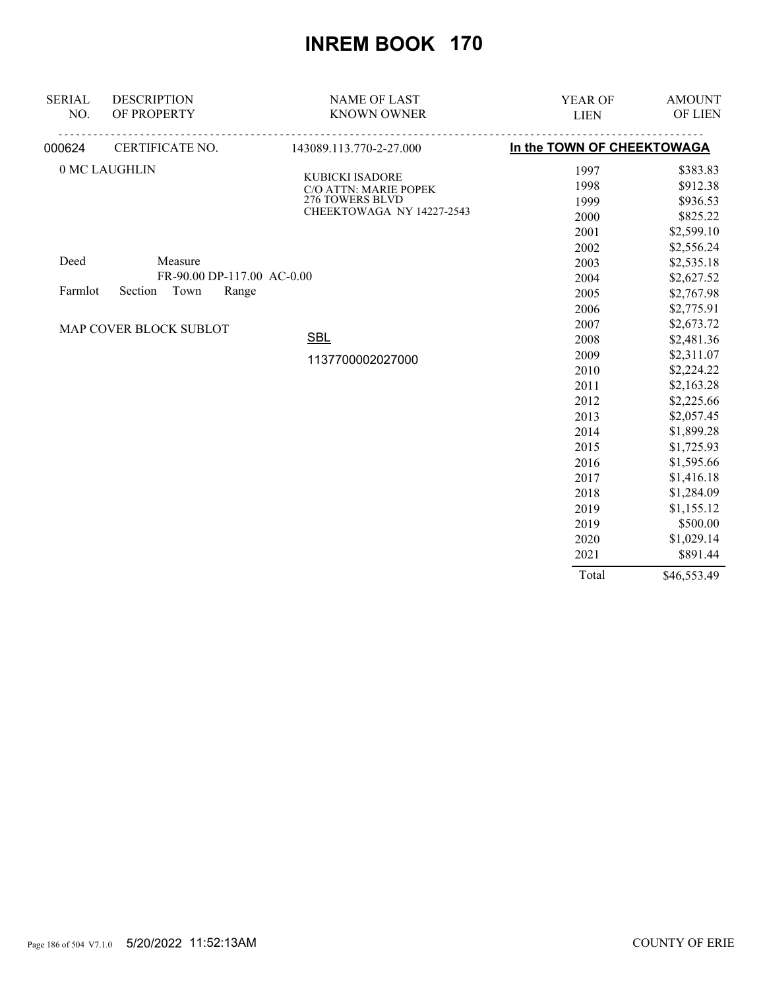| <b>SERIAL</b> | <b>DESCRIPTION</b>         | <b>NAME OF LAST</b>                      | YEAR OF                    | <b>AMOUNT</b> |
|---------------|----------------------------|------------------------------------------|----------------------------|---------------|
| NO.           | OF PROPERTY                | <b>KNOWN OWNER</b>                       | <b>LIEN</b>                | OF LIEN       |
| 000624        | CERTIFICATE NO.            | 143089.113.770-2-27.000                  | In the TOWN OF CHEEKTOWAGA |               |
|               | 0 MC LAUGHLIN              |                                          | 1997                       | \$383.83      |
|               |                            | KUBICKI ISADORE<br>C/O ATTN: MARIE POPEK | 1998                       | \$912.38      |
|               |                            | 276 TOWERS BLVD                          | 1999                       | \$936.53      |
|               |                            | CHEEKTOWAGA NY 14227-2543                | 2000                       | \$825.22      |
|               |                            |                                          | 2001                       | \$2,599.10    |
|               |                            |                                          | 2002                       | \$2,556.24    |
| Deed          | Measure                    |                                          | 2003                       | \$2,535.18    |
|               | FR-90.00 DP-117.00 AC-0.00 |                                          | 2004                       | \$2,627.52    |
| Farmlot       | Town<br>Range<br>Section   |                                          | 2005                       | \$2,767.98    |
|               |                            |                                          | 2006                       | \$2,775.91    |
|               | MAP COVER BLOCK SUBLOT     |                                          | 2007                       | \$2,673.72    |
|               |                            | <b>SBL</b>                               | 2008                       | \$2,481.36    |
|               |                            | 1137700002027000                         | 2009                       | \$2,311.07    |
|               |                            |                                          | 2010                       | \$2,224.22    |
|               |                            |                                          | 2011                       | \$2,163.28    |
|               |                            |                                          | 2012                       | \$2,225.66    |
|               |                            |                                          | 2013                       | \$2,057.45    |
|               |                            |                                          | 2014                       | \$1,899.28    |
|               |                            |                                          | 2015                       | \$1,725.93    |
|               |                            |                                          | 2016                       | \$1,595.66    |
|               |                            |                                          | 2017                       | \$1,416.18    |
|               |                            |                                          | 2018                       | \$1,284.09    |
|               |                            |                                          | 2019                       | \$1,155.12    |
|               |                            |                                          | 2019                       | \$500.00      |
|               |                            |                                          | 2020                       | \$1,029.14    |
|               |                            |                                          | 2021                       | \$891.44      |
|               |                            |                                          | Total                      | \$46,553.49   |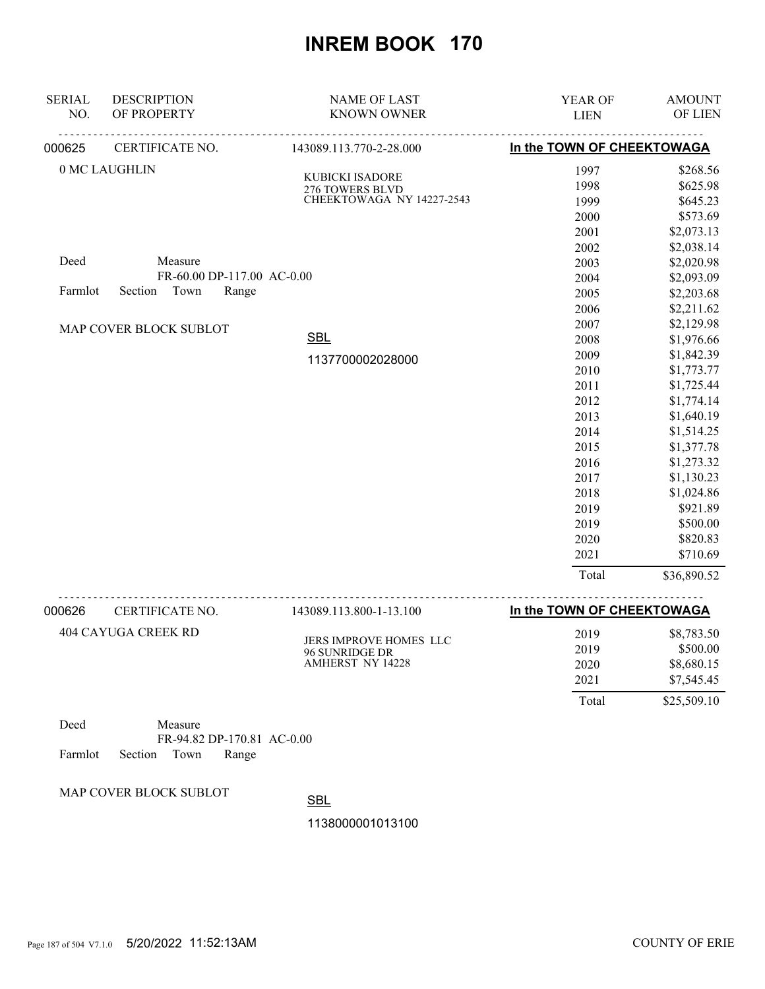| <b>SERIAL</b> | <b>DESCRIPTION</b>         | <b>NAME OF LAST</b>                      | YEAR OF                    | <b>AMOUNT</b>  |
|---------------|----------------------------|------------------------------------------|----------------------------|----------------|
| NO.           | OF PROPERTY                | <b>KNOWN OWNER</b>                       | <b>LIEN</b>                | <b>OF LIEN</b> |
| 000625        | CERTIFICATE NO.            | 143089.113.770-2-28.000                  | In the TOWN OF CHEEKTOWAGA |                |
|               | 0 MC LAUGHLIN              | KUBICKI ISADORE                          | 1997                       | \$268.56       |
|               |                            | 276 TOWERS BLVD                          | 1998                       | \$625.98       |
|               |                            | CHEEKTOWAGA NY 14227-2543                | 1999                       | \$645.23       |
|               |                            |                                          | 2000                       | \$573.69       |
|               |                            |                                          | 2001                       | \$2,073.13     |
|               |                            |                                          | 2002                       | \$2,038.14     |
| Deed          | Measure                    |                                          | 2003                       | \$2,020.98     |
|               | FR-60.00 DP-117.00 AC-0.00 |                                          | 2004                       | \$2,093.09     |
| Farmlot       | Section<br>Town<br>Range   |                                          | 2005                       | \$2,203.68     |
|               |                            |                                          | 2006                       | \$2,211.62     |
|               | MAP COVER BLOCK SUBLOT     |                                          | 2007                       | \$2,129.98     |
|               |                            | <b>SBL</b>                               | 2008                       | \$1,976.66     |
|               |                            | 1137700002028000                         | 2009                       | \$1,842.39     |
|               |                            |                                          | 2010                       | \$1,773.77     |
|               |                            |                                          | 2011                       | \$1,725.44     |
|               |                            |                                          | 2012                       | \$1,774.14     |
|               |                            |                                          | 2013                       | \$1,640.19     |
|               |                            |                                          | 2014                       | \$1,514.25     |
|               |                            |                                          | 2015                       | \$1,377.78     |
|               |                            |                                          | 2016                       | \$1,273.32     |
|               |                            |                                          | 2017                       | \$1,130.23     |
|               |                            |                                          | 2018                       | \$1,024.86     |
|               |                            |                                          | 2019                       | \$921.89       |
|               |                            |                                          | 2019                       | \$500.00       |
|               |                            |                                          | 2020                       | \$820.83       |
|               |                            |                                          | 2021                       | \$710.69       |
|               |                            |                                          | Total                      | \$36,890.52    |
| 000626        | CERTIFICATE NO.            | 143089.113.800-1-13.100                  | In the TOWN OF CHEEKTOWAGA |                |
|               | <b>404 CAYUGA CREEK RD</b> |                                          | 2019                       | \$8,783.50     |
|               |                            | JERS IMPROVE HOMES LLC<br>96 SUNRIDGE DR | 2019                       | \$500.00       |

 2021 \$7,545.45 Total \$25,509.10

2020 \$8,680.15

Deed Measure FR-94.82 DP-170.81 AC-0.00 Farmlot Section Town Range

MAP COVER BLOCK SUBLOT

**SBL** 

1138000001013100

AMHERST NY 14228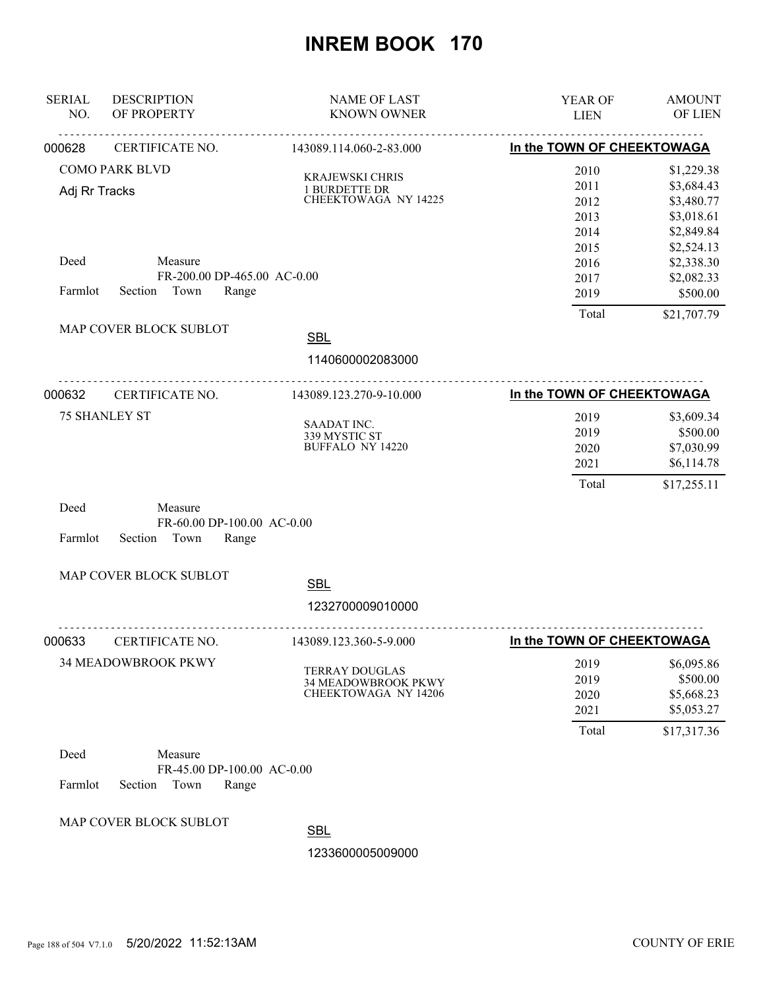| <b>SERIAL</b><br>NO. | <b>DESCRIPTION</b><br>OF PROPERTY | <b>NAME OF LAST</b><br><b>KNOWN OWNER</b>    | YEAR OF<br><b>LIEN</b>     | <b>AMOUNT</b><br>OF LIEN |
|----------------------|-----------------------------------|----------------------------------------------|----------------------------|--------------------------|
| 000628               | <u>.</u><br>CERTIFICATE NO.       | .<br>143089.114.060-2-83.000                 | In the TOWN OF CHEEKTOWAGA |                          |
|                      | <b>COMO PARK BLVD</b>             |                                              | 2010                       | \$1,229.38               |
|                      |                                   | <b>KRAJEWSKI CHRIS</b>                       | 2011                       | \$3,684.43               |
| Adj Rr Tracks        |                                   | 1 BURDETTE DR<br><b>CHEEKTOWAGA NY 14225</b> | 2012                       | \$3,480.77               |
|                      |                                   |                                              | 2013                       | \$3,018.61               |
|                      |                                   |                                              | 2014                       | \$2,849.84               |
|                      |                                   |                                              | 2015                       | \$2,524.13               |
| Deed                 | Measure                           |                                              | 2016                       | \$2,338.30               |
|                      | FR-200.00 DP-465.00 AC-0.00       |                                              | 2017                       | \$2,082.33               |
| Farmlot              | Section Town<br>Range             |                                              | 2019                       | \$500.00                 |
|                      | MAP COVER BLOCK SUBLOT            |                                              | Total                      | \$21,707.79              |
|                      |                                   | <b>SBL</b>                                   |                            |                          |
|                      |                                   | 1140600002083000                             |                            |                          |
| 000632               | CERTIFICATE NO.                   | 143089.123.270-9-10.000                      | In the TOWN OF CHEEKTOWAGA |                          |
|                      | <b>75 SHANLEY ST</b>              |                                              | 2019                       | \$3,609.34               |
|                      |                                   | SAADAT INC.<br>339 MYSTIC ST                 | 2019                       | \$500.00                 |
|                      |                                   | <b>BUFFALO NY 14220</b>                      | 2020                       | \$7,030.99               |
|                      |                                   |                                              | 2021                       | \$6,114.78               |
|                      |                                   |                                              | Total                      | \$17,255.11              |
| Deed                 | Measure                           |                                              |                            |                          |
|                      | FR-60.00 DP-100.00 AC-0.00        |                                              |                            |                          |
| Farmlot              | Section<br>Town<br>Range          |                                              |                            |                          |
|                      | MAP COVER BLOCK SUBLOT            | <b>SBL</b>                                   |                            |                          |
|                      |                                   | 1232700009010000                             |                            |                          |
| 000633               | .<br>CERTIFICATE NO.              | .<br>143089.123.360-5-9.000                  | In the TOWN OF CHEEKTOWAGA |                          |
|                      | 34 MEADOWBROOK PKWY               |                                              | 2019                       | \$6,095.86               |
|                      |                                   | <b>TERRAY DOUGLAS</b>                        | 2019                       | \$500.00                 |
|                      |                                   | 34 MEADOWBROOK PKWY<br>CHEEKTOWAGA NY 14206  | 2020                       | \$5,668.23               |
|                      |                                   |                                              | 2021                       | \$5,053.27               |
|                      |                                   |                                              | Total                      | \$17,317.36              |
| Deed                 | Measure                           |                                              |                            |                          |
|                      | FR-45.00 DP-100.00 AC-0.00        |                                              |                            |                          |
| Farmlot              | Section<br>Town<br>Range          |                                              |                            |                          |
|                      |                                   |                                              |                            |                          |
|                      | MAP COVER BLOCK SUBLOT            | <b>SBL</b>                                   |                            |                          |
|                      |                                   |                                              |                            |                          |
|                      |                                   | 1233600005009000                             |                            |                          |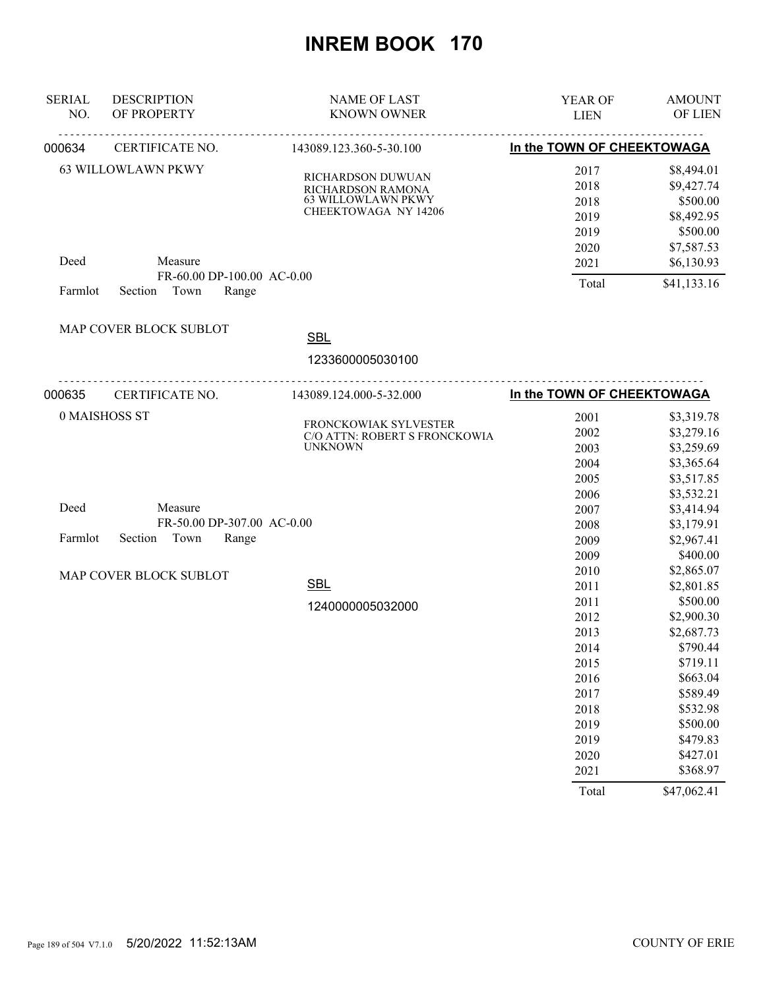| <b>SERIAL</b><br>NO. | <b>DESCRIPTION</b><br>OF PROPERTY | <b>NAME OF LAST</b><br><b>KNOWN OWNER</b>       | YEAR OF<br><b>LIEN</b>     | <b>AMOUNT</b><br>OF LIEN |
|----------------------|-----------------------------------|-------------------------------------------------|----------------------------|--------------------------|
| 000634               | CERTIFICATE NO.                   | <u>.</u><br>143089.123.360-5-30.100             | In the TOWN OF CHEEKTOWAGA |                          |
|                      | <b>63 WILLOWLAWN PKWY</b>         |                                                 | 2017                       | \$8,494.01               |
|                      |                                   | RICHARDSON DUWUAN                               | 2018                       | \$9,427.74               |
|                      |                                   | RICHARDSON RAMONA<br>63 WILLOWLAWN PKWY         | 2018                       | \$500.00                 |
|                      |                                   | <b>CHEEKTOWAGA NY 14206</b>                     | 2019                       | \$8,492.95               |
|                      |                                   |                                                 | 2019                       | \$500.00                 |
|                      |                                   |                                                 | 2020                       | \$7,587.53               |
| Deed                 | Measure                           |                                                 | 2021                       | \$6,130.93               |
|                      | FR-60.00 DP-100.00 AC-0.00        |                                                 |                            |                          |
| Farmlot              | Section Town<br>Range             |                                                 | Total                      | \$41,133.16              |
|                      | MAP COVER BLOCK SUBLOT            |                                                 |                            |                          |
|                      |                                   | <b>SBL</b>                                      |                            |                          |
|                      |                                   | 1233600005030100                                |                            |                          |
| 000635               | CERTIFICATE NO.                   | 143089.124.000-5-32.000                         | In the TOWN OF CHEEKTOWAGA |                          |
|                      | 0 MAISHOSS ST                     |                                                 | 2001                       | \$3,319.78               |
|                      |                                   | FRONCKOWIAK SYLVESTER                           | 2002                       | \$3,279.16               |
|                      |                                   | C/O ATTN: ROBERT S FRONCKOWIA<br><b>UNKNOWN</b> | 2003                       | \$3,259.69               |
|                      |                                   |                                                 | 2004                       | \$3,365.64               |
|                      |                                   |                                                 | 2005                       | \$3,517.85               |
|                      |                                   |                                                 | 2006                       | \$3,532.21               |
| Deed                 | Measure                           |                                                 | 2007                       | \$3,414.94               |
|                      | FR-50.00 DP-307.00 AC-0.00        |                                                 | 2008                       | \$3,179.91               |
| Farmlot              | Section Town<br>Range             |                                                 | 2009                       | \$2,967.41               |
|                      |                                   |                                                 | 2009                       | \$400.00                 |
|                      | MAP COVER BLOCK SUBLOT            |                                                 | 2010                       | \$2,865.07               |
|                      |                                   | <b>SBL</b>                                      | 2011                       | \$2,801.85               |
|                      |                                   | 1240000005032000                                | 2011                       | \$500.00                 |
|                      |                                   |                                                 | 2012                       | \$2,900.30               |
|                      |                                   |                                                 | 2013                       | \$2,687.73               |
|                      |                                   |                                                 | 2014                       | \$790.44                 |
|                      |                                   |                                                 | 2015                       | \$719.11                 |
|                      |                                   |                                                 | 2016                       | \$663.04                 |
|                      |                                   |                                                 | 2017                       | \$589.49                 |
|                      |                                   |                                                 | 2018                       | \$532.98                 |
|                      |                                   |                                                 | 2019                       | \$500.00                 |
|                      |                                   |                                                 | 2019                       | \$479.83                 |
|                      |                                   |                                                 | 2020                       | \$427.01                 |
|                      |                                   |                                                 | 2021                       | \$368.97                 |
|                      |                                   |                                                 | Total                      | \$47,062.41              |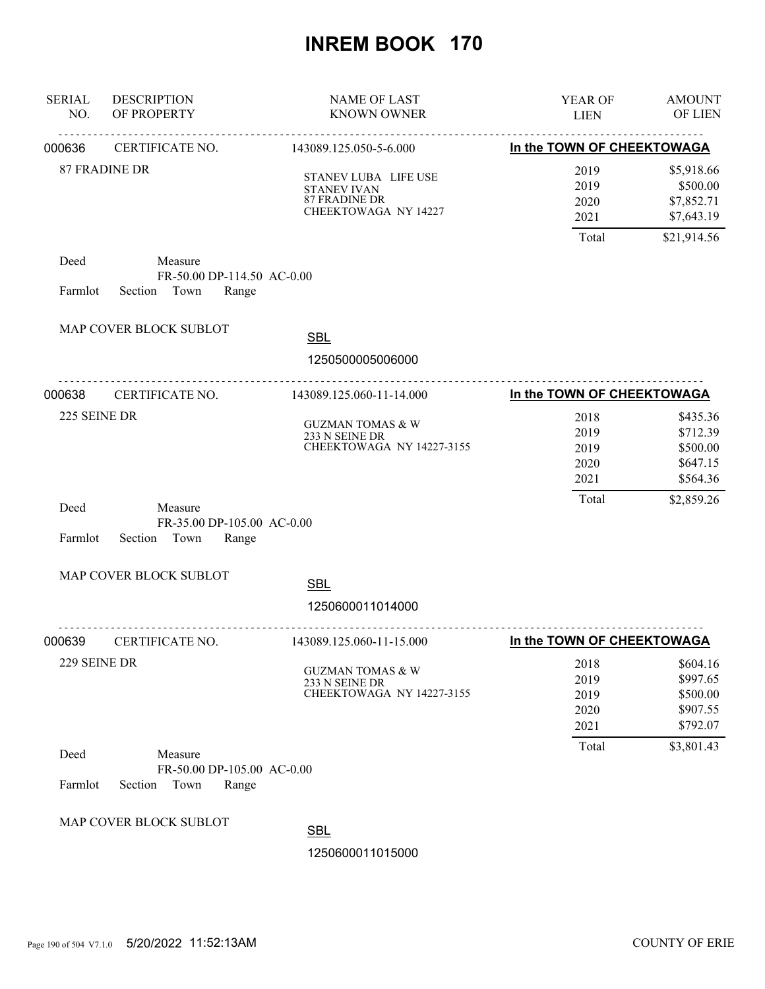| <b>SERIAL</b><br>NO. | <b>DESCRIPTION</b><br>OF PROPERTY                                 | <b>NAME OF LAST</b><br><b>KNOWN OWNER</b>                                                  | YEAR OF<br><b>LIEN</b>               | <b>AMOUNT</b><br>OF LIEN                                 |
|----------------------|-------------------------------------------------------------------|--------------------------------------------------------------------------------------------|--------------------------------------|----------------------------------------------------------|
| 000636               | <u>.</u><br>CERTIFICATE NO.                                       | <u>.</u><br>143089.125.050-5-6.000                                                         | In the TOWN OF CHEEKTOWAGA           |                                                          |
|                      | <b>87 FRADINE DR</b>                                              | STANEV LUBA LIFE USE<br><b>STANEV IVAN</b><br><b>87 FRADINE DR</b><br>CHEEKTOWAGA NY 14227 | 2019<br>2019<br>2020<br>2021         | \$5,918.66<br>\$500.00<br>\$7,852.71<br>\$7,643.19       |
|                      |                                                                   |                                                                                            | Total                                | \$21,914.56                                              |
| Deed<br>Farmlot      | Measure<br>FR-50.00 DP-114.50 AC-0.00<br>Section Town<br>Range    |                                                                                            |                                      |                                                          |
|                      | MAP COVER BLOCK SUBLOT                                            | <b>SBL</b>                                                                                 |                                      |                                                          |
|                      |                                                                   | 1250500005006000                                                                           |                                      |                                                          |
| 000638               | <u>.</u><br>CERTIFICATE NO.                                       | 143089.125.060-11-14.000                                                                   | In the TOWN OF CHEEKTOWAGA           |                                                          |
| 225 SEINE DR         |                                                                   | <b>GUZMAN TOMAS &amp; W</b><br>233 N SEINE DR<br>CHEEKTOWAGA NY 14227-3155                 | 2018<br>2019<br>2019<br>2020<br>2021 | \$435.36<br>\$712.39<br>\$500.00<br>\$647.15<br>\$564.36 |
| Deed<br>Farmlot      | Measure<br>FR-35.00 DP-105.00 AC-0.00<br>Section<br>Town<br>Range |                                                                                            | Total                                | \$2,859.26                                               |
|                      | MAP COVER BLOCK SUBLOT                                            | <b>SBL</b>                                                                                 |                                      |                                                          |
|                      |                                                                   | 1250600011014000                                                                           |                                      |                                                          |
| 000639               | CERTIFICATE NO.                                                   | 143089.125.060-11-15.000                                                                   | In the TOWN OF CHEEKTOWAGA           |                                                          |
| 229 SEINE DR         |                                                                   | <b>GUZMAN TOMAS &amp; W</b><br>233 N SEINE DR<br>CHEEKTOWAGA NY 14227-3155                 | 2018<br>2019<br>2019<br>2020<br>2021 | \$604.16<br>\$997.65<br>\$500.00<br>\$907.55<br>\$792.07 |
| Deed<br>Farmlot      | Measure<br>FR-50.00 DP-105.00 AC-0.00<br>Section<br>Town<br>Range |                                                                                            | Total                                | \$3,801.43                                               |
|                      | MAP COVER BLOCK SUBLOT                                            | <b>SBL</b><br>1250600011015000                                                             |                                      |                                                          |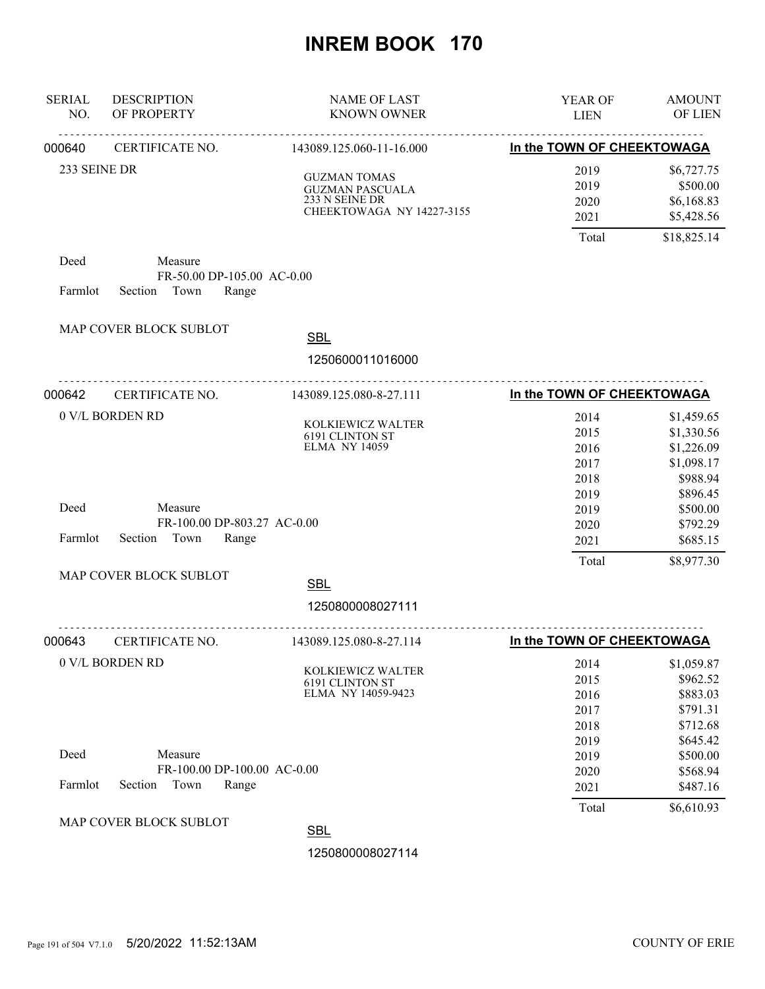| <b>SERIAL</b><br>NO. | <b>DESCRIPTION</b><br>OF PROPERTY                                  | <b>NAME OF LAST</b><br><b>KNOWN OWNER</b>                                                    | <b>YEAR OF</b><br><b>LIEN</b>        | <b>AMOUNT</b><br>OF LIEN                                         |
|----------------------|--------------------------------------------------------------------|----------------------------------------------------------------------------------------------|--------------------------------------|------------------------------------------------------------------|
| 000640               | <b>CERTIFICATE NO.</b>                                             | 143089.125.060-11-16.000                                                                     | In the TOWN OF CHEEKTOWAGA           |                                                                  |
| 233 SEINE DR         |                                                                    | <b>GUZMAN TOMAS</b><br><b>GUZMAN PASCUALA</b><br>233 N SEINE DR<br>CHEEKTOWAGA NY 14227-3155 | 2019<br>2019<br>2020<br>2021         | \$6,727.75<br>\$500.00<br>\$6,168.83<br>\$5,428.56               |
|                      |                                                                    |                                                                                              | Total                                | \$18,825.14                                                      |
| Deed<br>Farmlot      | Measure<br>FR-50.00 DP-105.00 AC-0.00<br>Section Town<br>Range     |                                                                                              |                                      |                                                                  |
|                      | MAP COVER BLOCK SUBLOT                                             | <b>SBL</b>                                                                                   |                                      |                                                                  |
|                      |                                                                    | 1250600011016000                                                                             |                                      |                                                                  |
| 000642               | <b>CERTIFICATE NO.</b>                                             | 143089.125.080-8-27.111                                                                      | In the TOWN OF CHEEKTOWAGA           |                                                                  |
|                      | 0 V/L BORDEN RD                                                    | KOLKIEWICZ WALTER<br>6191 CLINTON ST<br><b>ELMA NY 14059</b>                                 | 2014<br>2015<br>2016<br>2017<br>2018 | \$1,459.65<br>\$1,330.56<br>\$1,226.09<br>\$1,098.17<br>\$988.94 |
| Deed<br>Farmlot      | Measure<br>FR-100.00 DP-803.27 AC-0.00<br>Section<br>Town<br>Range |                                                                                              | 2019<br>2019<br>2020<br>2021         | \$896.45<br>\$500.00<br>\$792.29<br>\$685.15                     |
|                      | MAP COVER BLOCK SUBLOT                                             |                                                                                              | Total                                | \$8,977.30                                                       |
|                      |                                                                    | <b>SBL</b><br>1250800008027111                                                               |                                      |                                                                  |
| 000643               | CERTIFICATE NO.                                                    | .<br>143089.125.080-8-27.114                                                                 | In the TOWN OF CHEEKTOWAGA           |                                                                  |
|                      | 0 V/L BORDEN RD                                                    | KOLKIEWICZ WALTER<br><b>6191 CLINTON ST</b><br>ELMA NY 14059-9423                            | 2014<br>2015<br>2016<br>2017<br>2018 | \$1,059.87<br>\$962.52<br>\$883.03<br>\$791.31<br>\$712.68       |
| Deed<br>Farmlot      | Measure<br>FR-100.00 DP-100.00 AC-0.00<br>Section<br>Town<br>Range |                                                                                              | 2019<br>2019<br>2020                 | \$645.42<br>\$500.00<br>\$568.94<br>\$487.16                     |
|                      |                                                                    |                                                                                              | 2021<br>Total                        | \$6,610.93                                                       |
|                      | MAP COVER BLOCK SUBLOT                                             | <b>SBL</b>                                                                                   |                                      |                                                                  |
|                      |                                                                    | 1250800008027114                                                                             |                                      |                                                                  |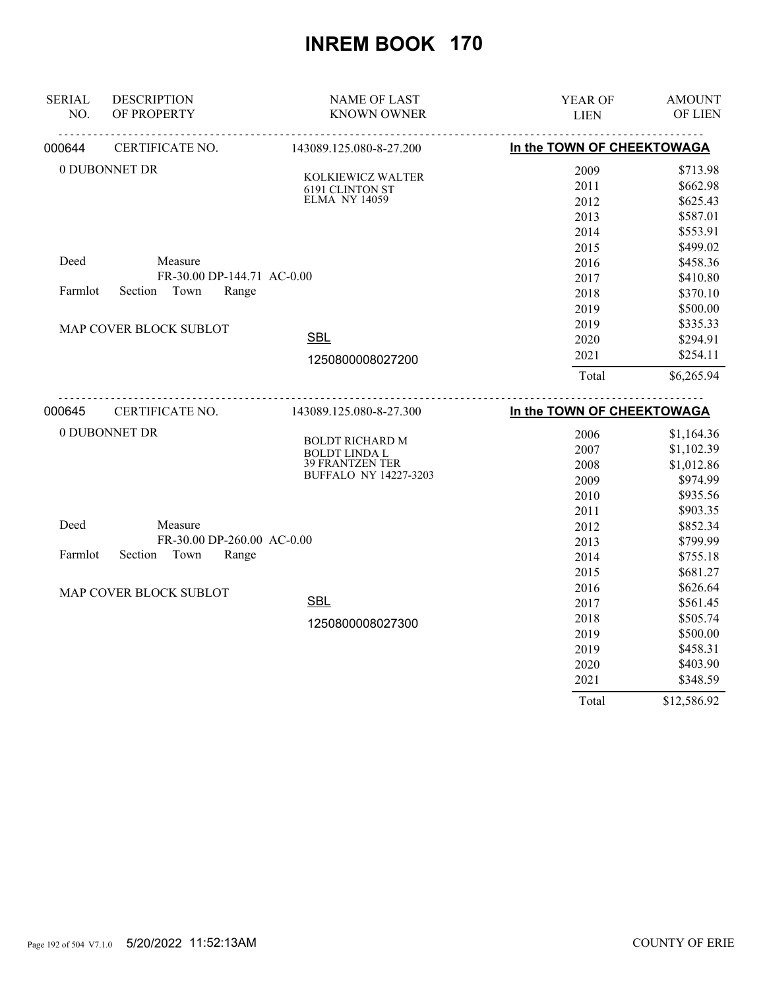| <b>SERIAL</b> | <b>DESCRIPTION</b>         | <b>NAME OF LAST</b>                         | YEAR OF                    | <b>AMOUNT</b> |
|---------------|----------------------------|---------------------------------------------|----------------------------|---------------|
| NO.           | OF PROPERTY                | <b>KNOWN OWNER</b>                          | <b>LIEN</b>                | OF LIEN       |
| 000644        | CERTIFICATE NO.            | 143089.125.080-8-27.200                     | In the TOWN OF CHEEKTOWAGA |               |
|               | 0 DUBONNET DR              |                                             | 2009                       | \$713.98      |
|               |                            | KOLKIEWICZ WALTER<br><b>6191 CLINTON ST</b> | 2011                       | \$662.98      |
|               |                            | ELMA NY 14059                               | 2012                       | \$625.43      |
|               |                            |                                             | 2013                       | \$587.01      |
|               |                            |                                             | 2014                       | \$553.91      |
|               |                            |                                             | 2015                       | \$499.02      |
| Deed          | Measure                    |                                             | 2016                       | \$458.36      |
|               | FR-30.00 DP-144.71 AC-0.00 |                                             | 2017                       | \$410.80      |
| Farmlot       | Section<br>Town<br>Range   |                                             | 2018                       | \$370.10      |
|               |                            |                                             | 2019                       | \$500.00      |
|               | MAP COVER BLOCK SUBLOT     |                                             | 2019                       | \$335.33      |
|               |                            | <b>SBL</b>                                  | 2020                       | \$294.91      |
|               |                            | 1250800008027200                            | 2021                       | \$254.11      |
|               |                            |                                             | Total                      | \$6,265.94    |
| 000645        | CERTIFICATE NO.            | 143089.125.080-8-27.300                     | In the TOWN OF CHEEKTOWAGA |               |
|               | 0 DUBONNET DR              |                                             | 2006                       | \$1,164.36    |
|               |                            | <b>BOLDT RICHARD M</b>                      | 2007                       | \$1,102.39    |
|               |                            | <b>BOLDT LINDA L</b><br>39 FRANTZEN TER     | 2008                       | \$1,012.86    |
|               |                            | <b>BUFFALO NY 14227-3203</b>                | 2009                       | \$974.99      |
|               |                            |                                             | 2010                       | \$935.56      |
|               |                            |                                             | 2011                       | \$903.35      |
| Deed          | Measure                    |                                             | 2012                       | \$852.34      |
|               | FR-30.00 DP-260.00 AC-0.00 |                                             | 2013                       | \$799.99      |
| Farmlot       | Range<br>Section<br>Town   |                                             | 2014                       | \$755.18      |
|               |                            |                                             | 2015                       | \$681.27      |
|               | MAP COVER BLOCK SUBLOT     |                                             | 2016                       | \$626.64      |
|               |                            | <b>SBL</b>                                  | 2017                       | \$561.45      |
|               |                            | 1250800008027300                            | 2018                       | \$505.74      |
|               |                            |                                             | 2019                       | \$500.00      |
|               |                            |                                             | 2019                       | \$458.31      |
|               |                            |                                             | 2020                       | \$403.90      |
|               |                            |                                             | 2021                       | \$348.59      |
|               |                            |                                             | Total                      | \$12,586.92   |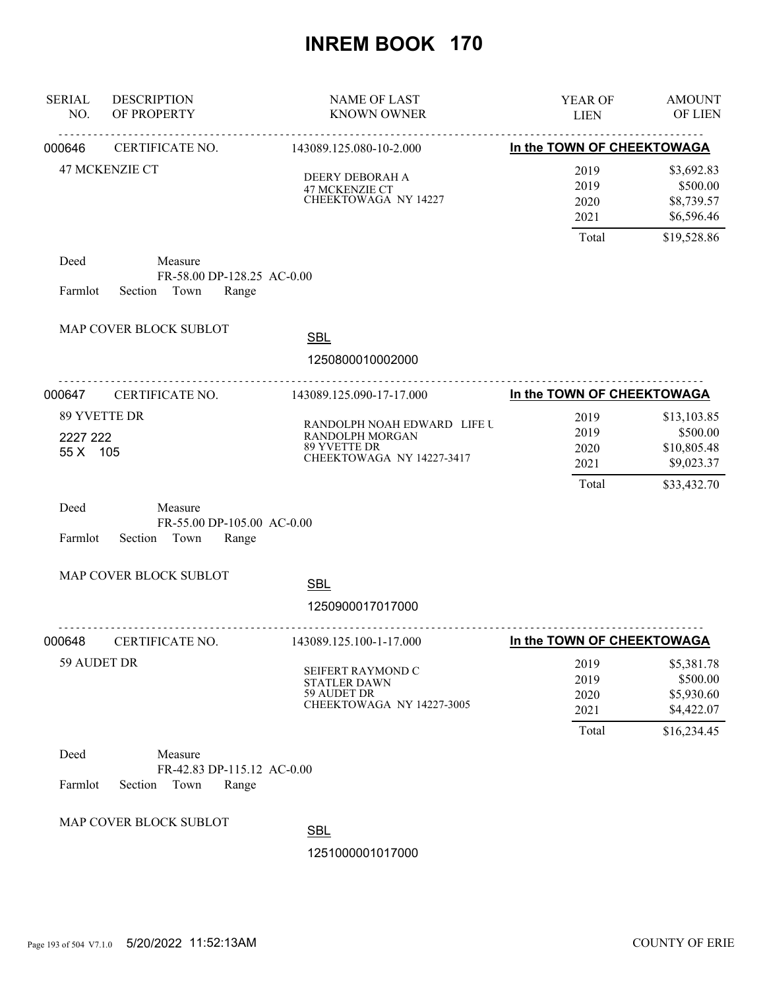| <b>SERIAL</b><br>NO. | <b>DESCRIPTION</b><br>OF PROPERTY                                 | NAME OF LAST<br><b>KNOWN OWNER</b>                                                                 | YEAR OF<br><b>LIEN</b>                | <b>AMOUNT</b><br>OF LIEN                                            |
|----------------------|-------------------------------------------------------------------|----------------------------------------------------------------------------------------------------|---------------------------------------|---------------------------------------------------------------------|
| 000646               | CERTIFICATE NO.                                                   | 143089.125.080-10-2.000                                                                            | In the TOWN OF CHEEKTOWAGA            |                                                                     |
|                      | <b>47 MCKENZIE CT</b>                                             | DEERY DEBORAH A<br>47 MCKENZIE CT<br>CHEEKTOWAGA NY 14227                                          | 2019<br>2019<br>2020<br>2021          | \$3,692.83<br>\$500.00<br>\$8,739.57<br>\$6,596.46                  |
|                      |                                                                   |                                                                                                    | Total                                 | \$19,528.86                                                         |
| Deed<br>Farmlot      | Measure<br>FR-58.00 DP-128.25 AC-0.00<br>Town<br>Section<br>Range |                                                                                                    |                                       |                                                                     |
|                      | MAP COVER BLOCK SUBLOT                                            | <b>SBL</b><br>1250800010002000                                                                     |                                       |                                                                     |
| 000647               | <u>.</u><br>CERTIFICATE NO.                                       | 143089.125.090-17-17.000                                                                           | In the TOWN OF CHEEKTOWAGA            |                                                                     |
| 2227 222<br>55 X 105 | 89 YVETTE DR                                                      | RANDOLPH NOAH EDWARD LIFE U<br><b>RANDOLPH MORGAN</b><br>89 YVETTE DR<br>CHEEKTOWAGA NY 14227-3417 | 2019<br>2019<br>2020<br>2021<br>Total | \$13,103.85<br>\$500.00<br>\$10,805.48<br>\$9,023.37<br>\$33,432.70 |
| Deed<br>Farmlot      | Measure<br>FR-55.00 DP-105.00 AC-0.00<br>Section<br>Town<br>Range |                                                                                                    |                                       |                                                                     |
|                      | MAP COVER BLOCK SUBLOT                                            | <b>SBL</b><br>1250900017017000                                                                     |                                       |                                                                     |
| 000648               | CERTIFICATE NO.                                                   | 143089.125.100-1-17.000                                                                            | In the TOWN OF CHEEKTOWAGA            |                                                                     |
| 59 AUDET DR          |                                                                   | SEIFERT RAYMOND C<br><b>STATLER DAWN</b><br>59 AUDET DR<br>CHEEKTOWAGA NY 14227-3005               | 2019<br>2019<br>2020<br>2021          | \$5,381.78<br>\$500.00<br>\$5,930.60<br>\$4,422.07                  |
|                      |                                                                   |                                                                                                    | Total                                 | \$16,234.45                                                         |
| Deed<br>Farmlot      | Measure<br>FR-42.83 DP-115.12 AC-0.00<br>Section<br>Town<br>Range |                                                                                                    |                                       |                                                                     |
|                      | MAP COVER BLOCK SUBLOT                                            | <b>SBL</b><br>1251000001017000                                                                     |                                       |                                                                     |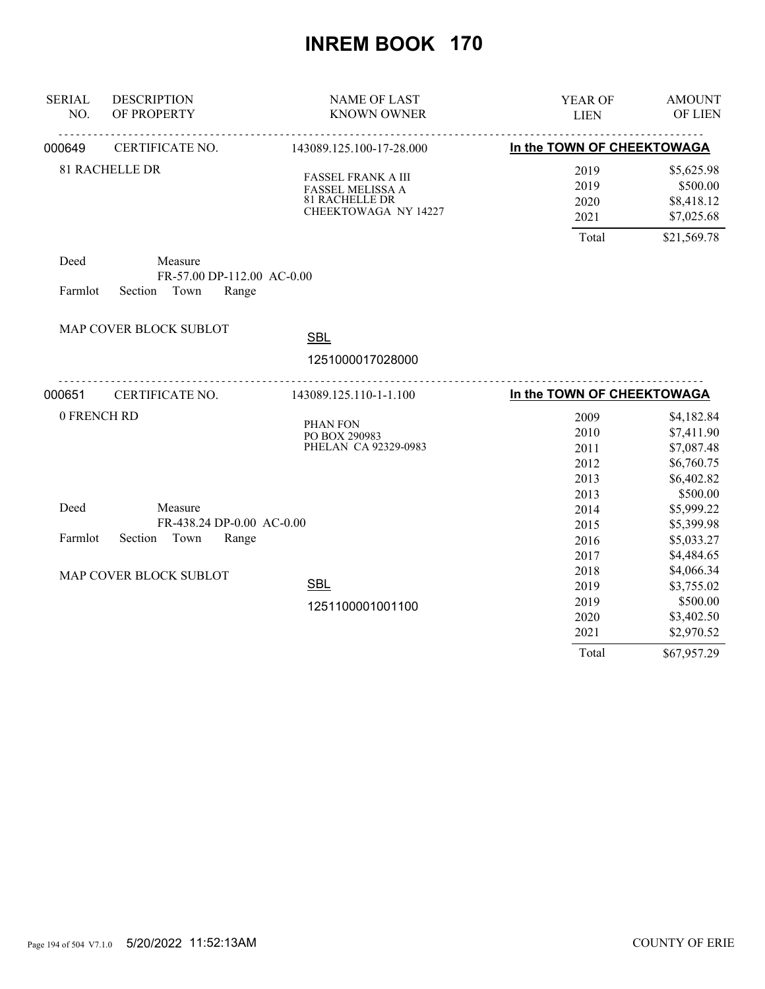| <b>SERIAL</b><br>NO. | <b>DESCRIPTION</b><br>OF PROPERTY                              | <b>NAME OF LAST</b><br><b>KNOWN OWNER</b>                                                      | <b>YEAR OF</b><br><b>LIEN</b>        | <b>AMOUNT</b><br>OF LIEN                                           |
|----------------------|----------------------------------------------------------------|------------------------------------------------------------------------------------------------|--------------------------------------|--------------------------------------------------------------------|
| 000649               | CERTIFICATE NO.                                                | 143089.125.100-17-28.000                                                                       | In the TOWN OF CHEEKTOWAGA           |                                                                    |
|                      | <b>81 RACHELLE DR</b>                                          | <b>FASSEL FRANK A III</b><br>FASSEL MELISSA A<br><b>81 RACHELLE DR</b><br>CHEEKTOWAGA NY 14227 | 2019<br>2019<br>2020<br>2021         | \$5,625.98<br>\$500.00<br>\$8,418.12<br>\$7,025.68                 |
| Deed<br>Farmlot      | Measure<br>FR-57.00 DP-112.00 AC-0.00<br>Section Town<br>Range |                                                                                                | Total                                | \$21,569.78                                                        |
|                      | MAP COVER BLOCK SUBLOT                                         | <b>SBL</b>                                                                                     |                                      |                                                                    |
|                      |                                                                | 1251000017028000                                                                               |                                      |                                                                    |
| 000651               | CERTIFICATE NO.                                                | 143089.125.110-1-1.100                                                                         | In the TOWN OF CHEEKTOWAGA           |                                                                    |
| 0 FRENCH RD          |                                                                | PHAN FON<br>PO BOX 290983<br>PHELAN CA 92329-0983                                              | 2009<br>2010<br>2011<br>2012<br>2013 | \$4,182.84<br>\$7,411.90<br>\$7,087.48<br>\$6,760.75<br>\$6,402.82 |
| Deed                 | Measure<br>FR-438.24 DP-0.00 AC-0.00                           |                                                                                                | 2013<br>2014<br>2015                 | \$500.00<br>\$5,999.22<br>\$5,399.98                               |
| Farmlot              | Section Town<br>Range                                          |                                                                                                | 2016<br>2017                         | \$5,033.27<br>\$4,484.65                                           |
|                      | MAP COVER BLOCK SUBLOT                                         | <b>SBL</b>                                                                                     | 2018<br>2019                         | \$4,066.34<br>\$3,755.02                                           |
|                      |                                                                | 1251100001001100                                                                               | 2019<br>2020<br>2021                 | \$500.00<br>\$3,402.50<br>\$2,970.52                               |
|                      |                                                                |                                                                                                | Total                                | \$67,957.29                                                        |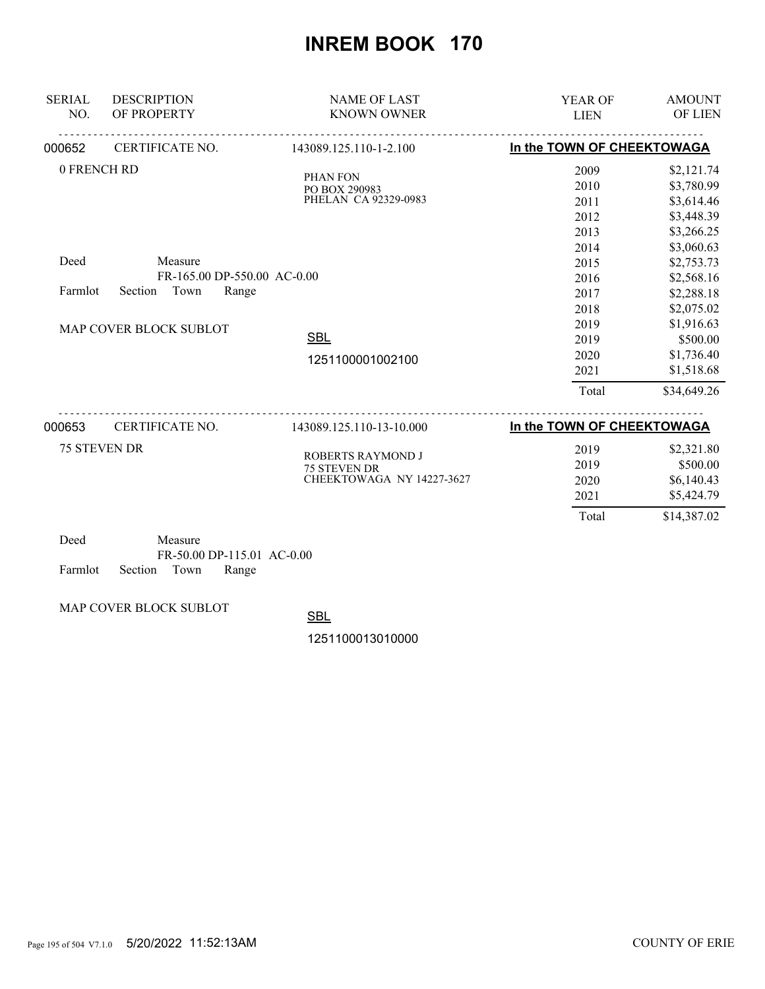| <b>SERIAL</b><br>NO.           | <b>DESCRIPTION</b><br>OF PROPERTY                                                            | <b>NAME OF LAST</b><br><b>KNOWN OWNER</b>                                                         | YEAR OF<br><b>LIEN</b>                                                                                                | <b>AMOUNT</b><br>OF LIEN                                                                                                                                                                                      |
|--------------------------------|----------------------------------------------------------------------------------------------|---------------------------------------------------------------------------------------------------|-----------------------------------------------------------------------------------------------------------------------|---------------------------------------------------------------------------------------------------------------------------------------------------------------------------------------------------------------|
| 000652                         | CERTIFICATE NO.                                                                              | 143089.125.110-1-2.100                                                                            | In the TOWN OF CHEEKTOWAGA                                                                                            |                                                                                                                                                                                                               |
| 0 FRENCH RD<br>Deed<br>Farmlot | Measure<br>FR-165.00 DP-550.00 AC-0.00<br>Section<br>Town<br>Range<br>MAP COVER BLOCK SUBLOT | PHAN FON<br>PO BOX 290983<br>PHELAN CA 92329-0983<br><b>SBL</b><br>1251100001002100               | 2009<br>2010<br>2011<br>2012<br>2013<br>2014<br>2015<br>2016<br>2017<br>2018<br>2019<br>2019<br>2020<br>2021<br>Total | \$2,121.74<br>\$3,780.99<br>\$3,614.46<br>\$3,448.39<br>\$3,266.25<br>\$3,060.63<br>\$2,753.73<br>\$2,568.16<br>\$2,288.18<br>\$2,075.02<br>\$1,916.63<br>\$500.00<br>\$1,736.40<br>\$1,518.68<br>\$34,649.26 |
| 000653                         | .<br>CERTIFICATE NO.<br><b>75 STEVEN DR</b>                                                  | 143089.125.110-13-10.000<br>ROBERTS RAYMOND J<br><b>75 STEVEN DR</b><br>CHEEKTOWAGA NY 14227-3627 | In the TOWN OF CHEEKTOWAGA<br>2019<br>2019<br>2020<br>2021<br>Total                                                   | \$2,321.80<br>\$500.00<br>\$6,140.43<br>\$5,424.79<br>\$14,387.02                                                                                                                                             |

| Deed |                            | Measure |                            |  |
|------|----------------------------|---------|----------------------------|--|
|      |                            |         | FR-50.00 DP-115.01 AC-0.00 |  |
|      | Farmlot Section Town Range |         |                            |  |

MAP COVER BLOCK SUBLOT

SBL

1251100013010000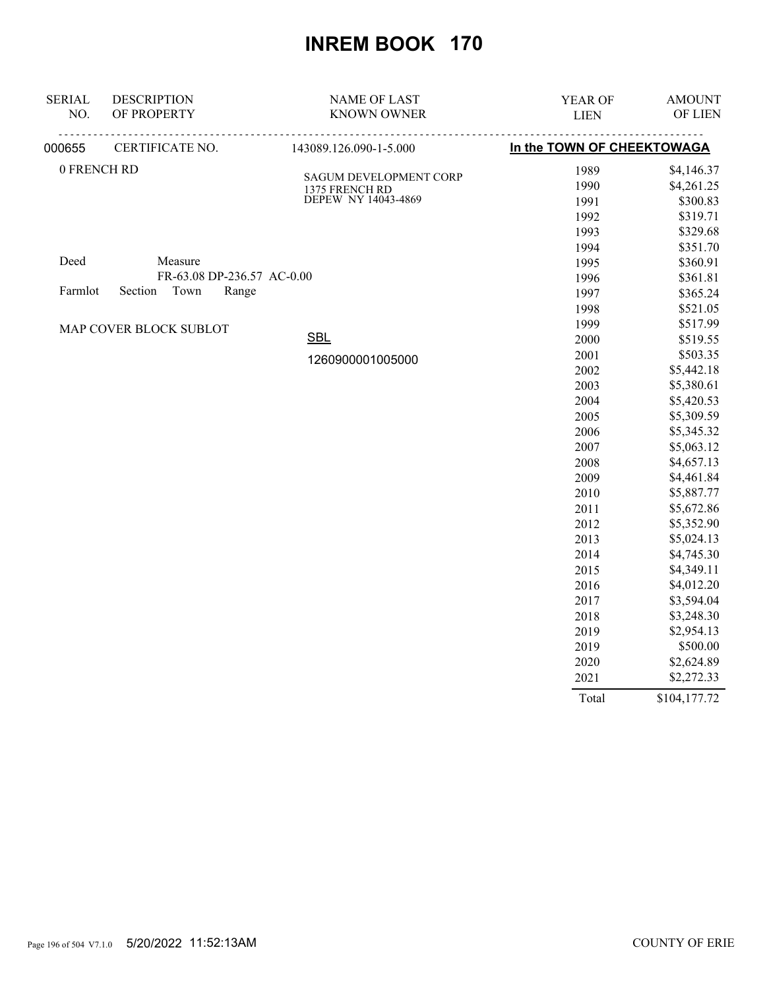| <b>SERIAL</b> | <b>DESCRIPTION</b>         | <b>NAME OF LAST</b>                   | YEAR OF                    | <b>AMOUNT</b> |
|---------------|----------------------------|---------------------------------------|----------------------------|---------------|
| NO.           | OF PROPERTY                | <b>KNOWN OWNER</b>                    | <b>LIEN</b>                | OF LIEN       |
| 000655        | CERTIFICATE NO.            | 143089.126.090-1-5.000                | In the TOWN OF CHEEKTOWAGA |               |
| 0 FRENCH RD   |                            | <b>SAGUM DEVELOPMENT CORP</b>         | 1989                       | \$4,146.37    |
|               |                            | 1375 FRENCH RD<br>DEPEW NY 14043-4869 | 1990                       | \$4,261.25    |
|               |                            |                                       | 1991                       | \$300.83      |
|               |                            |                                       | 1992                       | \$319.71      |
|               |                            |                                       | 1993                       | \$329.68      |
|               |                            |                                       | 1994                       | \$351.70      |
| Deed          | Measure                    |                                       | 1995                       | \$360.91      |
|               | FR-63.08 DP-236.57 AC-0.00 |                                       | 1996                       | \$361.81      |
| Farmlot       | Town<br>Section<br>Range   |                                       | 1997                       | \$365.24      |
|               |                            |                                       | 1998                       | \$521.05      |
|               | MAP COVER BLOCK SUBLOT     |                                       | 1999                       | \$517.99      |
|               |                            | <b>SBL</b>                            | 2000                       | \$519.55      |
|               |                            | 1260900001005000                      | 2001                       | \$503.35      |
|               |                            |                                       | 2002                       | \$5,442.18    |
|               |                            |                                       | 2003                       | \$5,380.61    |
|               |                            |                                       | 2004                       | \$5,420.53    |
|               |                            |                                       | 2005                       | \$5,309.59    |
|               |                            |                                       | 2006                       | \$5,345.32    |
|               |                            |                                       | 2007                       | \$5,063.12    |
|               |                            |                                       | 2008                       | \$4,657.13    |
|               |                            |                                       | 2009                       | \$4,461.84    |
|               |                            |                                       | 2010                       | \$5,887.77    |
|               |                            |                                       | 2011                       | \$5,672.86    |
|               |                            |                                       | 2012                       | \$5,352.90    |
|               |                            |                                       | 2013                       | \$5,024.13    |
|               |                            |                                       | 2014                       | \$4,745.30    |
|               |                            |                                       | 2015                       | \$4,349.11    |
|               |                            |                                       | 2016                       | \$4,012.20    |
|               |                            |                                       | 2017                       | \$3,594.04    |
|               |                            |                                       | 2018                       | \$3,248.30    |
|               |                            |                                       | 2019                       | \$2,954.13    |
|               |                            |                                       | 2019                       | \$500.00      |
|               |                            |                                       | 2020                       | \$2,624.89    |
|               |                            |                                       | 2021                       | \$2,272.33    |

Total \$104,177.72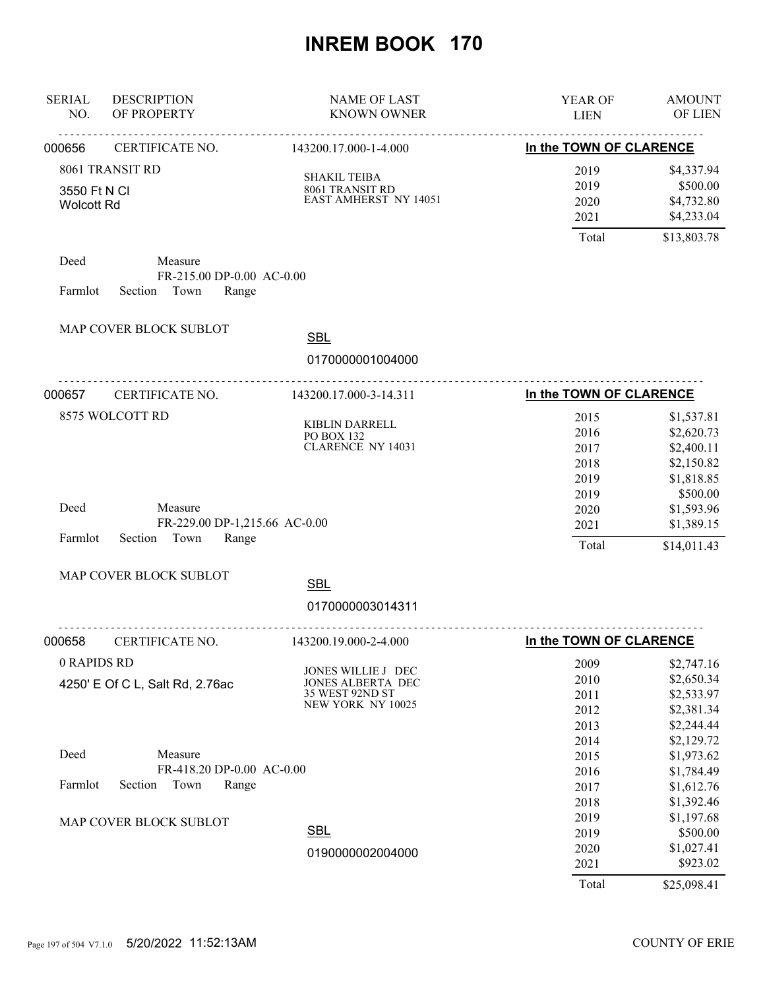| <b>SERIAL</b><br>NO.              | <b>DESCRIPTION</b><br>OF PROPERTY                                    | <b>NAME OF LAST</b><br><b>KNOWN OWNER</b>                                       | YEAR OF<br><b>LIEN</b>                       | <b>AMOUNT</b><br>OF LIEN                                                         |
|-----------------------------------|----------------------------------------------------------------------|---------------------------------------------------------------------------------|----------------------------------------------|----------------------------------------------------------------------------------|
| 000656                            | CERTIFICATE NO.                                                      | 143200.17.000-1-4.000                                                           | In the TOWN OF CLARENCE                      |                                                                                  |
| 3550 Ft N CI<br><b>Wolcott Rd</b> | 8061 TRANSIT RD                                                      | <b>SHAKIL TEIBA</b><br>8061 TRANSIT RD<br><b>EAST AMHERST NY 14051</b>          | 2019<br>2019<br>2020<br>2021                 | \$4,337.94<br>\$500.00<br>\$4,732.80<br>\$4,233.04                               |
|                                   |                                                                      |                                                                                 | Total                                        | \$13,803.78                                                                      |
| Deed<br>Farmlot                   | Measure<br>FR-215.00 DP-0.00 AC-0.00<br>Section Town<br>Range        |                                                                                 |                                              |                                                                                  |
|                                   | MAP COVER BLOCK SUBLOT                                               | <b>SBL</b>                                                                      |                                              |                                                                                  |
|                                   |                                                                      | 0170000001004000                                                                |                                              |                                                                                  |
| 000657                            | .<br>CERTIFICATE NO.                                                 | 143200.17.000-3-14.311                                                          | In the TOWN OF CLARENCE                      |                                                                                  |
|                                   | 8575 WOLCOTT RD                                                      | KIBLIN DARRELL<br>PO BOX 132<br><b>CLARENCE NY 14031</b>                        | 2015<br>2016<br>2017<br>2018<br>2019         | \$1,537.81<br>\$2,620.73<br>\$2,400.11<br>\$2,150.82<br>\$1,818.85               |
| Deed<br>Farmlot                   | Measure<br>FR-229.00 DP-1,215.66 AC-0.00<br>Section<br>Town<br>Range |                                                                                 | 2019<br>2020<br>2021<br>Total                | \$500.00<br>\$1,593.96<br>\$1,389.15<br>\$14,011.43                              |
|                                   | MAP COVER BLOCK SUBLOT                                               | <b>SBL</b>                                                                      |                                              |                                                                                  |
|                                   |                                                                      | 0170000003014311                                                                |                                              |                                                                                  |
| 000658                            | CERTIFICATE NO.                                                      | <u>.</u><br>143200.19.000-2-4.000                                               | In the TOWN OF CLARENCE                      |                                                                                  |
| 0 RAPIDS RD                       | 4250' E Of C L, Salt Rd, 2.76ac                                      | JONES WILLIE J DEC<br>JONES ALBERTA DEC<br>35 WEST 92ND ST<br>NEW YORK NY 10025 | 2009<br>2010<br>2011<br>2012<br>2013<br>2014 | \$2,747.16<br>\$2,650.34<br>\$2,533.97<br>\$2,381.34<br>\$2,244.44<br>\$2,129.72 |
| Deed                              | Measure<br>FR-418.20 DP-0.00 AC-0.00                                 |                                                                                 | 2015<br>2016                                 | \$1,973.62<br>\$1,784.49                                                         |
| Farmlot                           | Section<br>Town<br>Range<br>MAP COVER BLOCK SUBLOT                   |                                                                                 | 2017<br>2018<br>2019                         | \$1,612.76<br>\$1,392.46<br>\$1,197.68                                           |
|                                   |                                                                      | <b>SBL</b><br>0190000002004000                                                  | 2019<br>2020<br>2021<br>Total                | \$500.00<br>\$1,027.41<br>\$923.02<br>\$25,098.41                                |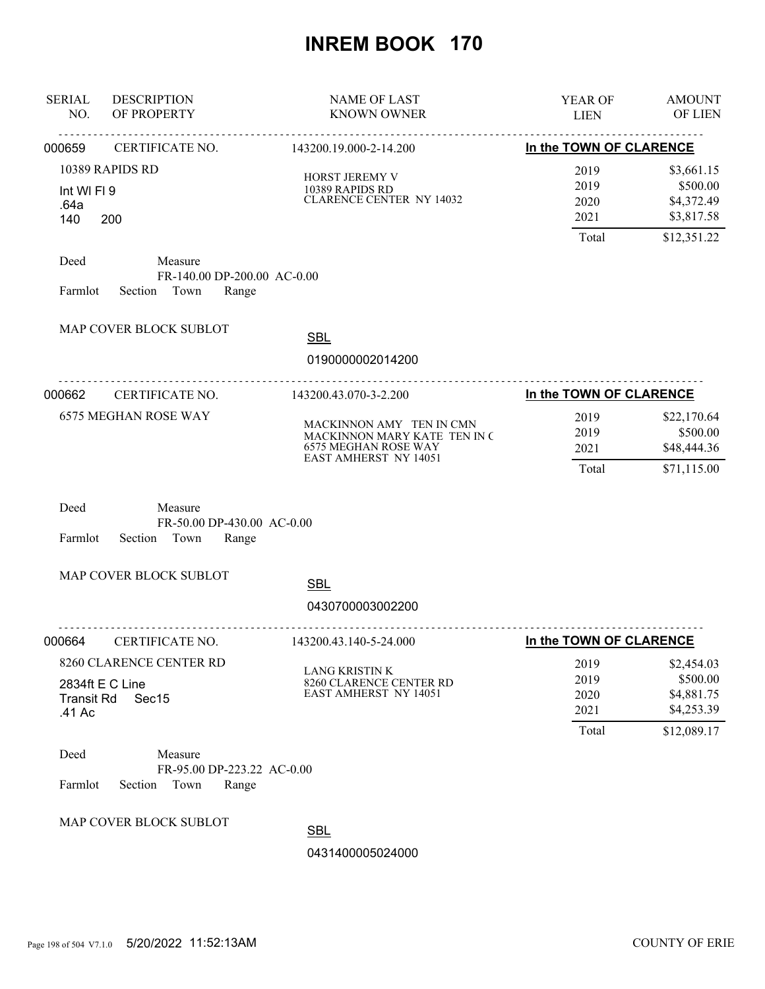| <b>SERIAL</b><br>NO.        | <b>DESCRIPTION</b><br>OF PROPERTY                                  | <b>NAME OF LAST</b><br><b>KNOWN OWNER</b>                                                                               | YEAR OF<br><b>LIEN</b>                | <b>AMOUNT</b><br><b>OF LIEN</b>                                   |
|-----------------------------|--------------------------------------------------------------------|-------------------------------------------------------------------------------------------------------------------------|---------------------------------------|-------------------------------------------------------------------|
| 000659                      | <u>.</u><br>CERTIFICATE NO.                                        | .<br>143200.19.000-2-14.200                                                                                             | In the TOWN OF CLARENCE               |                                                                   |
| Int WI FI 9<br>.64a<br>140  | 10389 RAPIDS RD<br>200                                             | HORST JEREMY V<br>10389 RAPIDS RD<br><b>CLARENCE CENTER NY 14032</b>                                                    | 2019<br>2019<br>2020<br>2021<br>Total | \$3,661.15<br>\$500.00<br>\$4,372.49<br>\$3,817.58<br>\$12,351.22 |
| Deed<br>Farmlot             | Measure<br>FR-140.00 DP-200.00 AC-0.00<br>Section<br>Town<br>Range |                                                                                                                         |                                       |                                                                   |
|                             | MAP COVER BLOCK SUBLOT                                             | <b>SBL</b><br>0190000002014200                                                                                          |                                       |                                                                   |
| 000662                      | CERTIFICATE NO.                                                    | 143200.43.070-3-2.200                                                                                                   | In the TOWN OF CLARENCE               |                                                                   |
|                             | <b>6575 MEGHAN ROSE WAY</b>                                        | MACKINNON AMY TEN IN CMN<br>MACKINNON MARY KATE TEN IN C<br><b>6575 MEGHAN ROSE WAY</b><br><b>EAST AMHERST NY 14051</b> | 2019<br>2019<br>2021<br>Total         | \$22,170.64<br>\$500.00<br>\$48,444.36<br>\$71,115.00             |
| Deed<br>Farmlot             | Measure<br>FR-50.00 DP-430.00 AC-0.00<br>Section<br>Town<br>Range  |                                                                                                                         |                                       |                                                                   |
|                             | MAP COVER BLOCK SUBLOT                                             | <b>SBL</b><br>0430700003002200                                                                                          |                                       |                                                                   |
| 000664                      | CERTIFICATE NO.                                                    | 143200.43.140-5-24.000                                                                                                  | In the TOWN OF CLARENCE               |                                                                   |
| <b>Transit Rd</b><br>.41 Ac | 8260 CLARENCE CENTER RD<br>2834ft E C Line<br>Sec15                | <b>LANG KRISTIN K</b><br>8260 CLARENCE CENTER RD<br><b>EAST AMHERST NY 14051</b>                                        | 2019<br>2019<br>2020<br>2021<br>Total | \$2,454.03<br>\$500.00<br>\$4,881.75<br>\$4,253.39<br>\$12,089.17 |
| Deed<br>Farmlot             | Measure<br>FR-95.00 DP-223.22 AC-0.00<br>Section<br>Town<br>Range  |                                                                                                                         |                                       |                                                                   |
|                             | MAP COVER BLOCK SUBLOT                                             | <b>SBL</b><br>0431400005024000                                                                                          |                                       |                                                                   |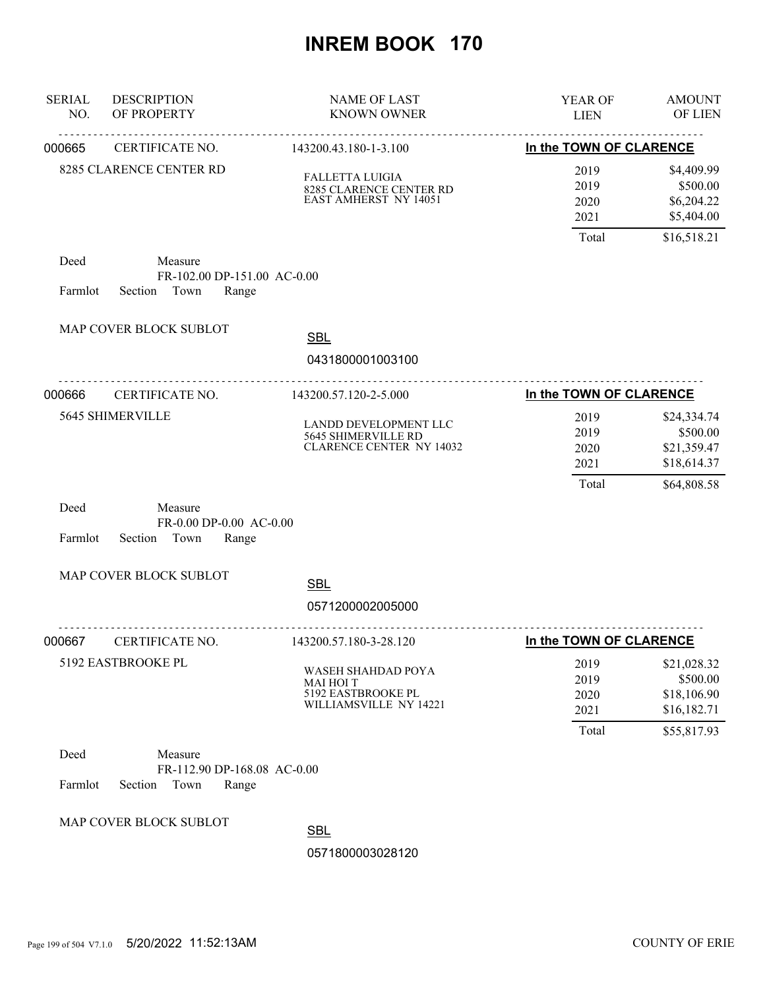| <b>SERIAL</b><br>NO. | <b>DESCRIPTION</b><br>OF PROPERTY                                  | <b>NAME OF LAST</b><br><b>KNOWN OWNER</b>                                              | YEAR OF<br><b>LIEN</b>       | <b>AMOUNT</b><br>OF LIEN                              |
|----------------------|--------------------------------------------------------------------|----------------------------------------------------------------------------------------|------------------------------|-------------------------------------------------------|
| 000665               | CERTIFICATE NO.                                                    | 143200.43.180-1-3.100                                                                  | In the TOWN OF CLARENCE      |                                                       |
|                      | 8285 CLARENCE CENTER RD                                            | <b>FALLETTA LUIGIA</b><br>8285 CLARENCE CENTER RD<br>EAST AMHERST NY 14051             | 2019<br>2019<br>2020<br>2021 | \$4,409.99<br>\$500.00<br>\$6,204.22<br>\$5,404.00    |
|                      |                                                                    |                                                                                        | Total                        | \$16,518.21                                           |
| Deed<br>Farmlot      | Measure<br>FR-102.00 DP-151.00 AC-0.00<br>Section Town<br>Range    |                                                                                        |                              |                                                       |
|                      | MAP COVER BLOCK SUBLOT                                             | <b>SBL</b>                                                                             |                              |                                                       |
|                      |                                                                    | 0431800001003100                                                                       |                              |                                                       |
| 000666               | <u>.</u><br>CERTIFICATE NO.                                        | <u>.</u><br>143200.57.120-2-5.000                                                      | In the TOWN OF CLARENCE      |                                                       |
|                      | 5645 SHIMERVILLE                                                   | LANDD DEVELOPMENT LLC<br>5645 SHIMERVILLE RD<br><b>CLARENCE CENTER NY 14032</b>        | 2019<br>2019<br>2020<br>2021 | \$24,334.74<br>\$500.00<br>\$21,359.47<br>\$18,614.37 |
| Deed<br>Farmlot      | Measure<br>FR-0.00 DP-0.00 AC-0.00<br>Section<br>Town<br>Range     |                                                                                        | Total                        | \$64,808.58                                           |
|                      | MAP COVER BLOCK SUBLOT                                             | <b>SBL</b>                                                                             |                              |                                                       |
|                      |                                                                    | 0571200002005000                                                                       |                              |                                                       |
| 000667               | CERTIFICATE NO.                                                    | <u>.</u><br>143200.57.180-3-28.120                                                     | In the TOWN OF CLARENCE      |                                                       |
|                      | 5192 EASTBROOKE PL                                                 | WASEH SHAHDAD POYA<br><b>MAI HOI T</b><br>5192 EASTBROOKE PL<br>WILLIAMSVILLE NY 14221 | 2019<br>2019<br>2020<br>2021 | \$21,028.32<br>\$500.00<br>\$18,106.90<br>\$16,182.71 |
|                      |                                                                    |                                                                                        | Total                        | \$55,817.93                                           |
| Deed<br>Farmlot      | Measure<br>FR-112.90 DP-168.08 AC-0.00<br>Section<br>Town<br>Range |                                                                                        |                              |                                                       |
|                      | MAP COVER BLOCK SUBLOT                                             | <b>SBL</b><br>0571800003028120                                                         |                              |                                                       |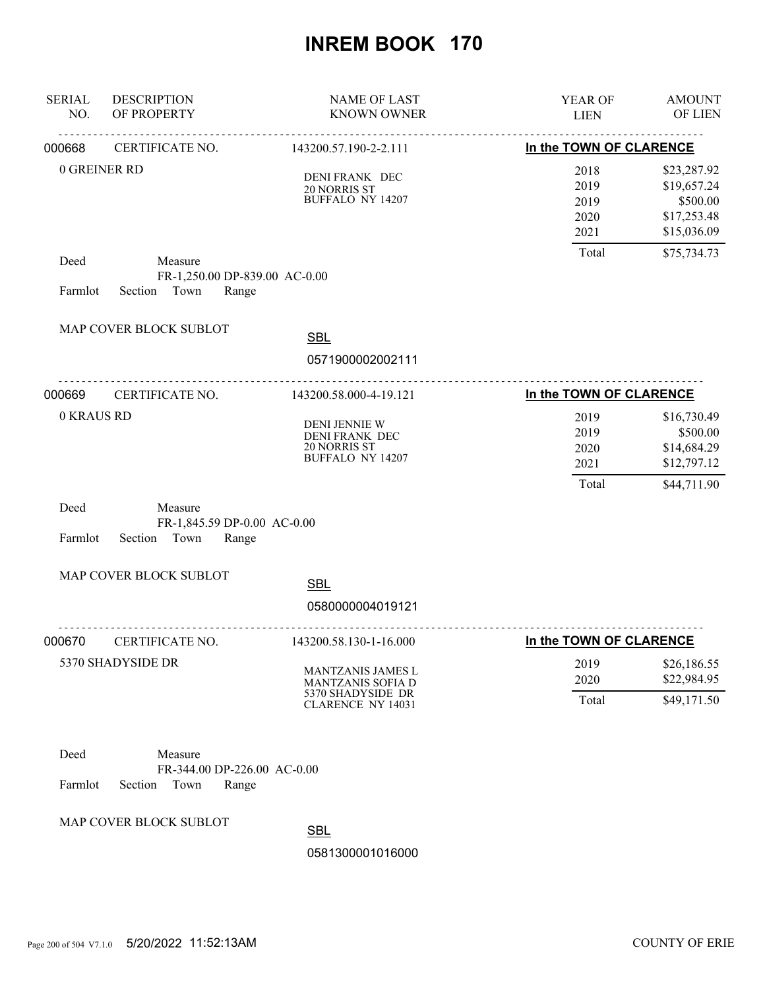| <b>SERIAL</b><br>NO. | <b>DESCRIPTION</b><br>OF PROPERTY                                  | <b>NAME OF LAST</b><br><b>KNOWN OWNER</b>                                         | YEAR OF<br><b>LIEN</b>                                          | <b>AMOUNT</b><br>OF LIEN                                             |
|----------------------|--------------------------------------------------------------------|-----------------------------------------------------------------------------------|-----------------------------------------------------------------|----------------------------------------------------------------------|
| 000668               |                                                                    | CERTIFICATE NO. 143200.57.190-2-2.111                                             | In the TOWN OF CLARENCE                                         |                                                                      |
|                      | 0 GREINER RD                                                       | DENI FRANK DEC<br>20 NORRIS ST<br><b>BUFFALO NY 14207</b>                         | 2018<br>2019<br>2019<br>2020<br>2021                            | \$23,287.92<br>\$19,657.24<br>\$500.00<br>\$17,253.48<br>\$15,036.09 |
| Deed                 | Measure                                                            |                                                                                   | Total                                                           | \$75,734.73                                                          |
| Farmlot              | FR-1,250.00 DP-839.00 AC-0.00<br>Section Town<br>Range             |                                                                                   |                                                                 |                                                                      |
|                      | MAP COVER BLOCK SUBLOT                                             | <b>SBL</b>                                                                        |                                                                 |                                                                      |
|                      |                                                                    | 0571900002002111                                                                  |                                                                 |                                                                      |
| 000669               | CERTIFICATE NO.                                                    | 143200.58.000-4-19.121                                                            | In the TOWN OF CLARENCE                                         |                                                                      |
| 0 KRAUS RD           |                                                                    | <b>DENI JENNIE W</b><br>DENI FRANK DEC<br>20 NORRIS ST<br><b>BUFFALO NY 14207</b> | 2019<br>2019<br>2020<br>2021                                    | \$16,730.49<br>\$500.00<br>\$14,684.29<br>\$12,797.12                |
| Deed<br>Farmlot      | Measure<br>FR-1,845.59 DP-0.00 AC-0.00<br>Section Town<br>Range    |                                                                                   | Total                                                           | \$44,711.90                                                          |
|                      | MAP COVER BLOCK SUBLOT                                             | <b>SBL</b><br>0580000004019121                                                    |                                                                 |                                                                      |
|                      | 000670 CERTIFICATE NO.                                             | ------------------------                                                          | ------------------------------------<br>In the TOWN OF CLARENCE |                                                                      |
|                      | 5370 SHADYSIDE DR                                                  | 143200.58.130-1-16.000<br>MANTZANIS JAMES L<br>MANTZANIS SOFIA D                  | 2019<br>2020                                                    | \$26,186.55<br>\$22,984.95                                           |
|                      |                                                                    | 5370 SHADYSIDE DR<br><b>CLARENCE NY 14031</b>                                     | Total                                                           | \$49,171.50                                                          |
| Deed<br>Farmlot      | Measure<br>FR-344.00 DP-226.00 AC-0.00<br>Section<br>Town<br>Range |                                                                                   |                                                                 |                                                                      |
|                      | MAP COVER BLOCK SUBLOT                                             | <b>SBL</b>                                                                        |                                                                 |                                                                      |

0581300001016000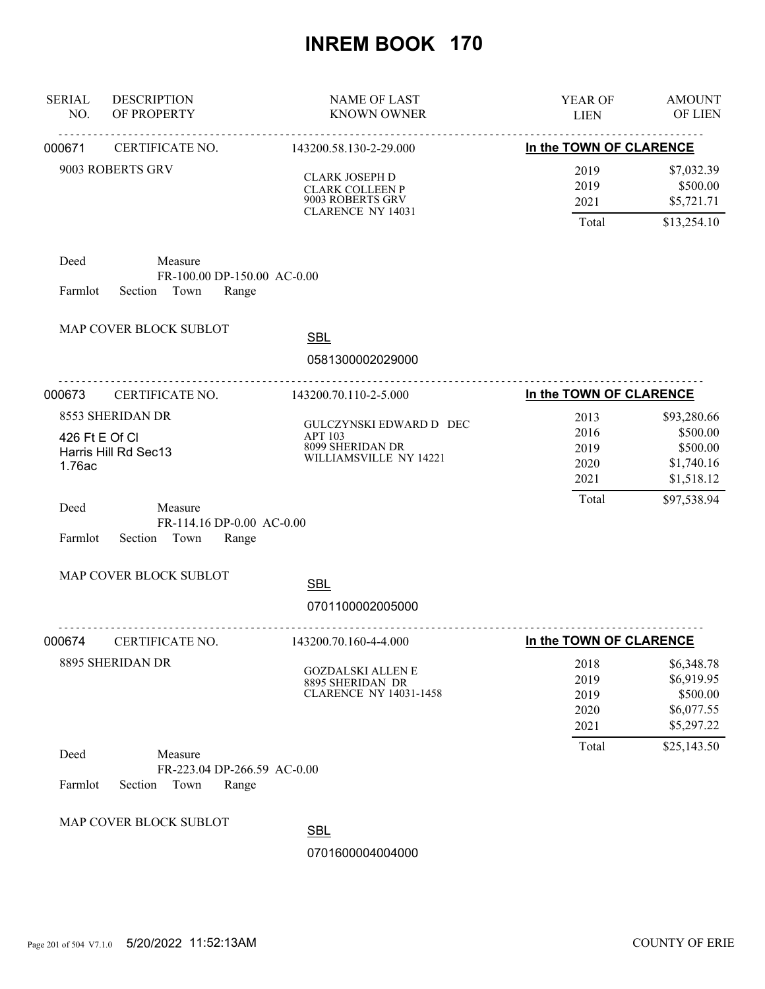| <b>SERIAL</b><br>NO.     | <b>DESCRIPTION</b><br>OF PROPERTY                                  | <b>NAME OF LAST</b><br><b>KNOWN OWNER</b>                                                       | YEAR OF<br><b>LIEN</b>               | <b>AMOUNT</b><br>OF LIEN                                         |
|--------------------------|--------------------------------------------------------------------|-------------------------------------------------------------------------------------------------|--------------------------------------|------------------------------------------------------------------|
| 000671                   | CERTIFICATE NO.                                                    | 143200.58.130-2-29.000                                                                          | In the TOWN OF CLARENCE              |                                                                  |
|                          | 9003 ROBERTS GRV                                                   | <b>CLARK JOSEPH D</b><br><b>CLARK COLLEEN P</b><br>9003 ROBERTS GRV<br><b>CLARENCE NY 14031</b> | 2019<br>2019<br>2021<br>Total        | \$7,032.39<br>\$500.00<br>\$5,721.71<br>\$13,254.10              |
| Deed<br>Farmlot          | Measure<br>FR-100.00 DP-150.00 AC-0.00<br>Section Town<br>Range    |                                                                                                 |                                      |                                                                  |
|                          | MAP COVER BLOCK SUBLOT                                             | <b>SBL</b><br>0581300002029000                                                                  |                                      |                                                                  |
| 000673                   | .<br>CERTIFICATE NO.                                               | <u>.</u><br>143200.70.110-2-5.000                                                               | In the TOWN OF CLARENCE              |                                                                  |
| 426 Ft E Of Cl<br>1.76ac | 8553 SHERIDAN DR<br>Harris Hill Rd Sec13                           | GULCZYNSKI EDWARD D DEC<br>APT 103<br>8099 SHERIDAN DR<br>WILLIAMSVILLE NY 14221                | 2013<br>2016<br>2019<br>2020<br>2021 | \$93,280.66<br>\$500.00<br>\$500.00<br>\$1,740.16<br>\$1,518.12  |
| Deed<br>Farmlot          | Measure<br>FR-114.16 DP-0.00 AC-0.00<br>Section Town<br>Range      |                                                                                                 | Total                                | \$97,538.94                                                      |
|                          | MAP COVER BLOCK SUBLOT                                             | <b>SBL</b><br>0701100002005000                                                                  |                                      |                                                                  |
| 000674                   | <b>CERTIFICATE NO.</b>                                             | 143200.70.160-4-4.000                                                                           | In the TOWN OF CLARENCE              |                                                                  |
|                          | 8895 SHERIDAN DR                                                   | <b>GOZDALSKI ALLEN E</b><br>8895 SHERIDAN DR<br><b>CLARENCE NY 14031-1458</b>                   | 2018<br>2019<br>2019<br>2020<br>2021 | \$6,348.78<br>\$6,919.95<br>\$500.00<br>\$6,077.55<br>\$5,297.22 |
| Deed<br>Farmlot          | Measure<br>FR-223.04 DP-266.59 AC-0.00<br>Section<br>Town<br>Range |                                                                                                 | Total                                | \$25,143.50                                                      |
|                          | MAP COVER BLOCK SUBLOT                                             | <b>SBL</b><br>0701600004004000                                                                  |                                      |                                                                  |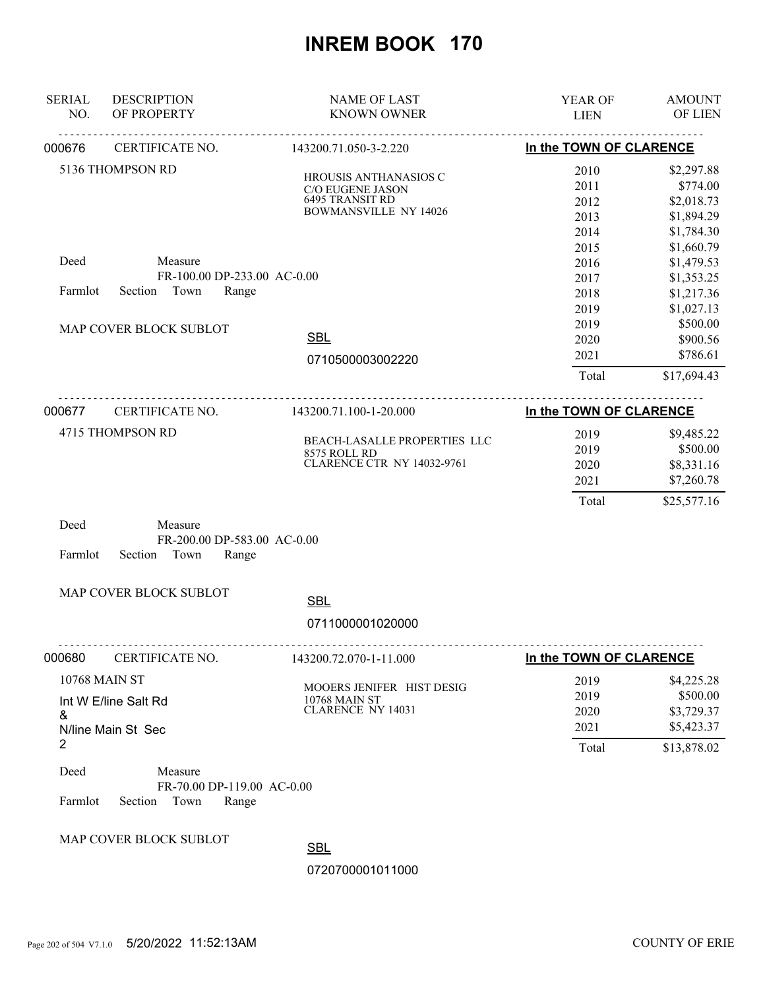| <b>SERIAL</b><br>NO. | <b>DESCRIPTION</b><br>OF PROPERTY                                  | <b>NAME OF LAST</b><br><b>KNOWN OWNER</b>                                                    | YEAR OF<br><b>LIEN</b>                       | <b>AMOUNT</b><br>OF LIEN                                                       |
|----------------------|--------------------------------------------------------------------|----------------------------------------------------------------------------------------------|----------------------------------------------|--------------------------------------------------------------------------------|
| 000676               | CERTIFICATE NO.                                                    | 143200.71.050-3-2.220                                                                        | In the TOWN OF CLARENCE                      |                                                                                |
|                      | 5136 THOMPSON RD                                                   | HROUSIS ANTHANASIOS C<br>C/O EUGENE JASON<br>6495 TRANSIT RD<br><b>BOWMANSVILLE NY 14026</b> | 2010<br>2011<br>2012<br>2013<br>2014<br>2015 | \$2,297.88<br>\$774.00<br>\$2,018.73<br>\$1,894.29<br>\$1,784.30<br>\$1,660.79 |
| Deed<br>Farmlot      | Measure<br>FR-100.00 DP-233.00 AC-0.00<br>Town<br>Range<br>Section |                                                                                              | 2016<br>2017<br>2018<br>2019                 | \$1,479.53<br>\$1,353.25<br>\$1,217.36<br>\$1,027.13                           |
|                      | MAP COVER BLOCK SUBLOT                                             | <b>SBL</b><br>0710500003002220                                                               | 2019<br>2020<br>2021<br>Total                | \$500.00<br>\$900.56<br>\$786.61<br>\$17,694.43                                |
| 000677               | CERTIFICATE NO.                                                    | 143200.71.100-1-20.000                                                                       | In the TOWN OF CLARENCE                      |                                                                                |
| Deed                 | 4715 THOMPSON RD<br>Measure                                        | BEACH-LASALLE PROPERTIES LLC<br>8575 ROLL RD<br><b>CLARENCE CTR NY 14032-9761</b>            | 2019<br>2019<br>2020<br>2021<br>Total        | \$9,485.22<br>\$500.00<br>\$8,331.16<br>\$7,260.78<br>\$25,577.16              |
| Farmlot              | FR-200.00 DP-583.00 AC-0.00<br>Town<br>Section<br>Range            |                                                                                              |                                              |                                                                                |
|                      | MAP COVER BLOCK SUBLOT                                             | <b>SBL</b><br>0711000001020000                                                               |                                              |                                                                                |
| 000680               | CERTIFICATE NO.                                                    | 143200.72.070-1-11.000                                                                       | In the TOWN OF CLARENCE                      |                                                                                |
| &<br>2               | <b>10768 MAIN ST</b><br>Int W E/line Salt Rd<br>N/line Main St Sec | MOOERS JENIFER HIST DESIG<br><b>10768 MAIN ST</b><br><b>CLARENCE NY 14031</b>                | 2019<br>2019<br>2020<br>2021<br>Total        | \$4,225.28<br>\$500.00<br>\$3,729.37<br>\$5,423.37<br>\$13,878.02              |
| Deed<br>Farmlot      | Measure<br>FR-70.00 DP-119.00 AC-0.00<br>Town<br>Section<br>Range  |                                                                                              |                                              |                                                                                |

MAP COVER BLOCK SUBLOT

SBL

0720700001011000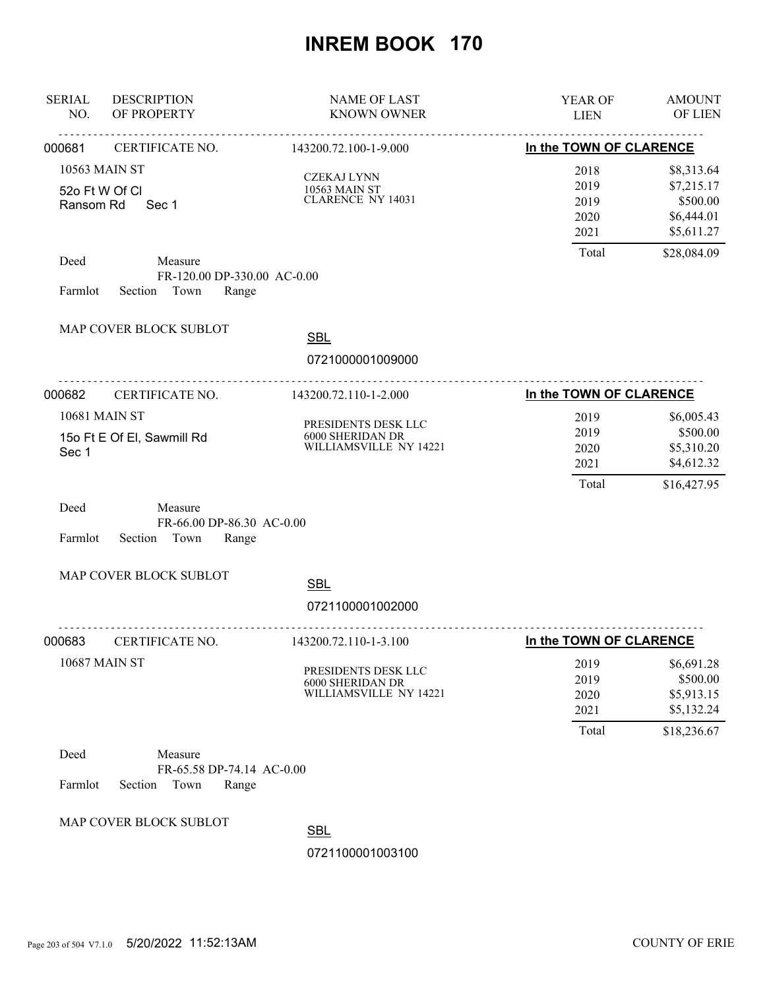| <b>SERIAL</b><br>NO.        | <b>DESCRIPTION</b><br>OF PROPERTY                                | <b>NAME OF LAST</b><br><b>KNOWN OWNER</b>                                | YEAR OF<br><b>LIEN</b>                | <b>AMOUNT</b><br>OF LIEN                                          |
|-----------------------------|------------------------------------------------------------------|--------------------------------------------------------------------------|---------------------------------------|-------------------------------------------------------------------|
| 000681                      | <u>.</u><br>CERTIFICATE NO.                                      | .<br>143200.72.100-1-9.000                                               | In the TOWN OF CLARENCE               |                                                                   |
| 52o Ft W Of Cl<br>Ransom Rd | 10563 MAIN ST<br>Sec 1                                           | <b>CZEKAJ LYNN</b><br>10563 MAIN ST<br><b>CLARENCE NY 14031</b>          | 2018<br>2019<br>2019<br>2020<br>2021  | \$8,313.64<br>\$7,215.17<br>\$500.00<br>\$6,444.01<br>\$5,611.27  |
| Deed<br>Farmlot             | Measure<br>FR-120.00 DP-330.00 AC-0.00<br>Section Town<br>Range  |                                                                          | Total                                 | \$28,084.09                                                       |
|                             | MAP COVER BLOCK SUBLOT                                           | <b>SBL</b><br>0721000001009000                                           |                                       |                                                                   |
| 000682                      | <b>CERTIFICATE NO.</b>                                           | 143200.72.110-1-2.000                                                    | In the TOWN OF CLARENCE               |                                                                   |
| Sec 1                       | <b>10681 MAIN ST</b><br>15o Ft E Of El, Sawmill Rd               | PRESIDENTS DESK LLC<br>6000 SHERIDAN DR<br>WILLIAMSVILLE NY 14221        | 2019<br>2019<br>2020<br>2021<br>Total | \$6,005.43<br>\$500.00<br>\$5,310.20<br>\$4,612.32<br>\$16,427.95 |
| Deed<br>Farmlot             | Measure<br>FR-66.00 DP-86.30 AC-0.00<br>Section Town<br>Range    |                                                                          |                                       |                                                                   |
|                             | MAP COVER BLOCK SUBLOT                                           | <b>SBL</b>                                                               |                                       |                                                                   |
|                             |                                                                  | 0721100001002000                                                         |                                       |                                                                   |
| 000683                      | -----------------------------<br>CERTIFICATE NO.                 | <u>.</u><br>143200.72.110-1-3.100                                        | In the TOWN OF CLARENCE               |                                                                   |
|                             | <b>10687 MAIN ST</b>                                             | PRESIDENTS DESK LLC<br><b>6000 SHERIDAN DR</b><br>WILLIAMSVILLE NY 14221 | 2019<br>2019<br>2020<br>2021<br>Total | \$6,691.28<br>\$500.00<br>\$5,913.15<br>\$5,132.24<br>\$18,236.67 |
| Deed<br>Farmlot             | Measure<br>FR-65.58 DP-74.14 AC-0.00<br>Section<br>Town<br>Range |                                                                          |                                       |                                                                   |
|                             | MAP COVER BLOCK SUBLOT                                           | <b>SBL</b>                                                               |                                       |                                                                   |
|                             |                                                                  | 0721100001003100                                                         |                                       |                                                                   |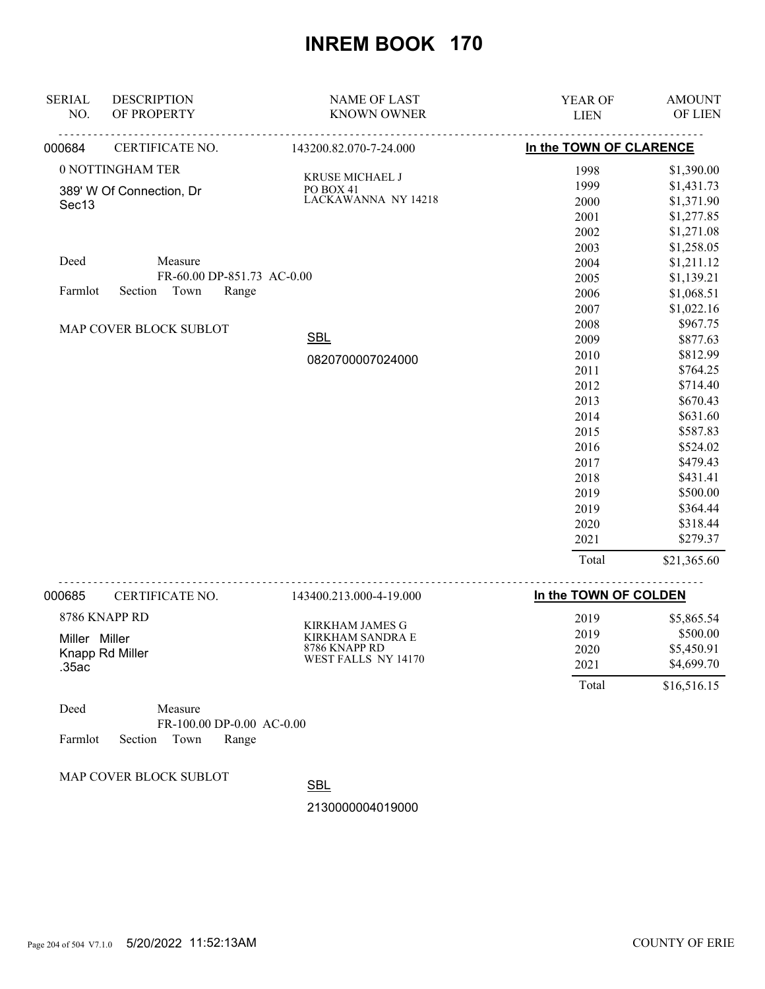| <b>SERIAL</b>     | <b>DESCRIPTION</b>         | <b>NAME OF LAST</b>                      | YEAR OF                             | <b>AMOUNT</b>        |
|-------------------|----------------------------|------------------------------------------|-------------------------------------|----------------------|
| NO.               | OF PROPERTY                | <b>KNOWN OWNER</b>                       | <b>LIEN</b>                         | OF LIEN              |
| 000684            | CERTIFICATE NO.            | 143200.82.070-7-24.000                   | In the TOWN OF CLARENCE             |                      |
|                   | 0 NOTTINGHAM TER           | KRUSE MICHAEL J                          | 1998                                | \$1,390.00           |
|                   | 389' W Of Connection, Dr   | PO BOX 41                                | 1999                                | \$1,431.73           |
| Sec <sub>13</sub> |                            | LACKAWANNA NY 14218                      | 2000                                | \$1,371.90           |
|                   |                            |                                          | 2001                                | \$1,277.85           |
|                   |                            |                                          | 2002                                | \$1,271.08           |
|                   |                            |                                          | 2003                                | \$1,258.05           |
| Deed              | Measure                    |                                          | 2004                                | \$1,211.12           |
|                   | FR-60.00 DP-851.73 AC-0.00 |                                          | 2005                                | \$1,139.21           |
| Farmlot           | Town<br>Section<br>Range   |                                          | 2006                                | \$1,068.51           |
|                   |                            |                                          | 2007                                | \$1,022.16           |
|                   | MAP COVER BLOCK SUBLOT     |                                          | 2008                                | \$967.75             |
|                   |                            | <b>SBL</b>                               | 2009                                | \$877.63             |
|                   |                            | 0820700007024000                         | 2010                                | \$812.99             |
|                   |                            |                                          | 2011                                | \$764.25             |
|                   |                            |                                          | 2012<br>2013                        | \$714.40<br>\$670.43 |
|                   |                            |                                          | 2014                                | \$631.60             |
|                   |                            |                                          | 2015                                | \$587.83             |
|                   |                            |                                          | 2016                                | \$524.02             |
|                   |                            |                                          | 2017                                | \$479.43             |
|                   |                            |                                          | 2018                                | \$431.41             |
|                   |                            |                                          | 2019                                | \$500.00             |
|                   |                            |                                          | 2019                                | \$364.44             |
|                   |                            |                                          | 2020                                | \$318.44             |
|                   |                            |                                          | 2021                                | \$279.37             |
|                   |                            |                                          | Total                               | \$21,365.60          |
| 000685            | CERTIFICATE NO.            | <u>.</u><br>143400.213.000-4-19.000      | <u>.</u> .<br>In the TOWN OF COLDEN |                      |
|                   | 8786 KNAPP RD              |                                          | 2019                                | \$5,865.54           |
|                   |                            | KIRKHAM JAMES G                          | 2019                                | \$500.00             |
| Miller Miller     |                            | <b>KIRKHAM SANDRA E</b><br>8786 KNAPP RD | 2020                                | \$5,450.91           |
| .35ac             | Knapp Rd Miller            | WEST FALLS NY 14170                      | 2021                                | \$4,699.70           |
|                   |                            |                                          | Total                               | \$16,516.15          |
|                   |                            |                                          |                                     |                      |

| Deed    |                    | Measure |                             |
|---------|--------------------|---------|-----------------------------|
|         |                    |         | $FR-100.00$ DP-0.00 AC-0.00 |
| Farmlot | Section Town Range |         |                             |

MAP COVER BLOCK SUBLOT

**SBL** 

2130000004019000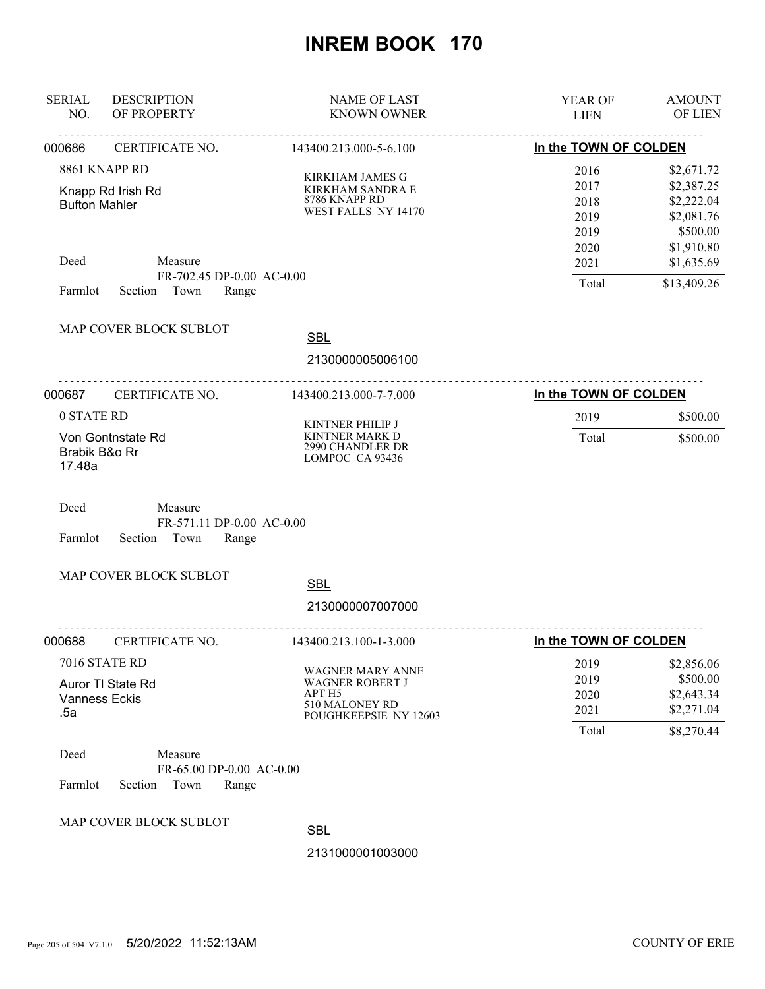| <b>SERIAL</b><br>NO.                         | <b>DESCRIPTION</b><br>OF PROPERTY                                | <b>NAME OF LAST</b><br><b>KNOWN OWNER</b>                                                       | YEAR OF<br><b>LIEN</b>                               | <b>AMOUNT</b><br>OF LIEN                                                                     |
|----------------------------------------------|------------------------------------------------------------------|-------------------------------------------------------------------------------------------------|------------------------------------------------------|----------------------------------------------------------------------------------------------|
| 000686                                       | CERTIFICATE NO.                                                  | 143400.213.000-5-6.100                                                                          | In the TOWN OF COLDEN                                |                                                                                              |
| <b>Bufton Mahler</b><br>Deed                 | 8861 KNAPP RD<br>Knapp Rd Irish Rd<br>Measure                    | <b>KIRKHAM JAMES G</b><br>KIRKHAM SANDRA E<br>8786 KNAPP RD<br>WEST FALLS NY 14170              | 2016<br>2017<br>2018<br>2019<br>2019<br>2020<br>2021 | \$2,671.72<br>\$2,387.25<br>\$2,222.04<br>\$2,081.76<br>\$500.00<br>\$1,910.80<br>\$1,635.69 |
| Farmlot                                      | FR-702.45 DP-0.00 AC-0.00<br>Town<br>Range<br>Section            |                                                                                                 | Total                                                | \$13,409.26                                                                                  |
|                                              | MAP COVER BLOCK SUBLOT                                           | <b>SBL</b><br>2130000005006100                                                                  |                                                      |                                                                                              |
| 000687                                       | <u>.</u><br>CERTIFICATE NO.                                      | .<br>143400.213.000-7-7.000                                                                     | In the TOWN OF COLDEN                                |                                                                                              |
| 0 STATE RD                                   |                                                                  | <b>KINTNER PHILIP J</b>                                                                         | 2019                                                 | \$500.00                                                                                     |
| Von Gontnstate Rd<br>Brabik B&o Rr<br>17.48a |                                                                  | KINTNER MARK D<br>2990 CHANDLER DR<br>LOMPOC CA 93436                                           | Total                                                | \$500.00                                                                                     |
| Deed<br>Farmlot                              | Measure<br>FR-571.11 DP-0.00 AC-0.00<br>Town<br>Section<br>Range |                                                                                                 |                                                      |                                                                                              |
|                                              | MAP COVER BLOCK SUBLOT                                           | <b>SBL</b>                                                                                      |                                                      |                                                                                              |
|                                              |                                                                  | 2130000007007000                                                                                |                                                      |                                                                                              |
| 000688                                       | CERTIFICATE NO.                                                  | 143400.213.100-1-3.000                                                                          | In the TOWN OF COLDEN                                |                                                                                              |
| <b>Vanness Eckis</b><br>.5a                  | 7016 STATE RD<br>Auror TI State Rd                               | WAGNER MARY ANNE<br><b>WAGNER ROBERT J</b><br>APT H5<br>510 MALONEY RD<br>POUGHKEEPSIE NY 12603 | 2019<br>2019<br>2020<br>2021<br>Total                | \$2,856.06<br>\$500.00<br>\$2,643.34<br>\$2,271.04<br>\$8,270.44                             |
| Deed<br>Farmlot                              | Measure<br>FR-65.00 DP-0.00 AC-0.00<br>Section<br>Town<br>Range  |                                                                                                 |                                                      |                                                                                              |
|                                              | MAP COVER BLOCK SUBLOT                                           | <b>SBL</b>                                                                                      |                                                      |                                                                                              |
|                                              |                                                                  | 2131000001003000                                                                                |                                                      |                                                                                              |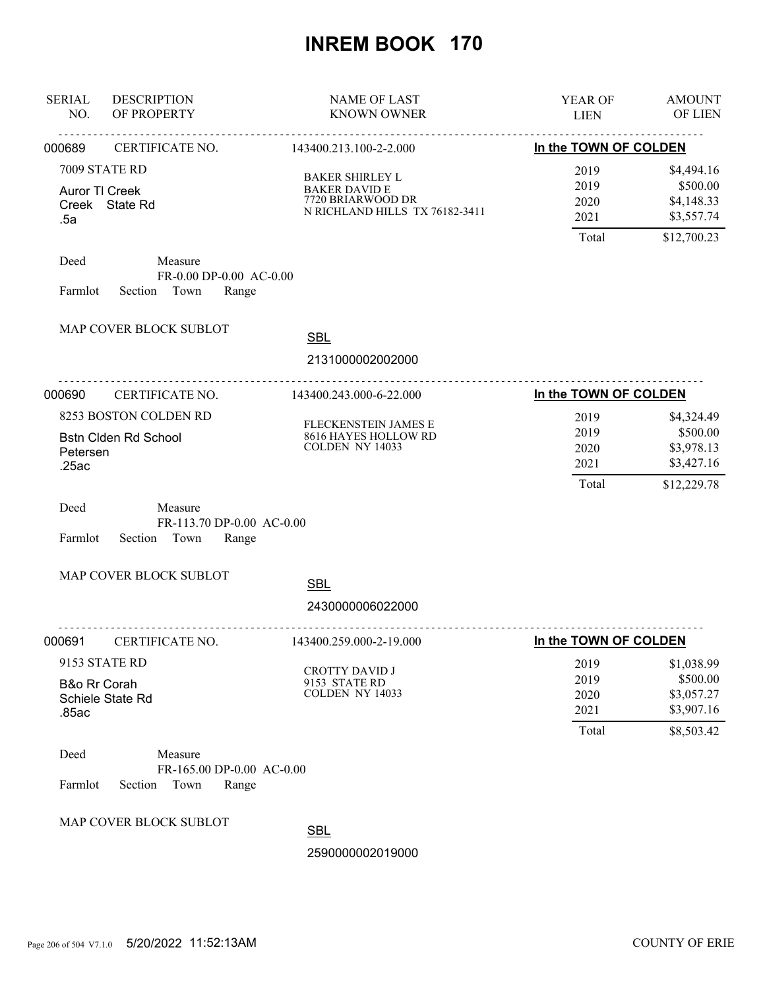| <b>SERIAL</b><br>NO.                              | <b>DESCRIPTION</b><br>OF PROPERTY                                | <b>NAME OF LAST</b><br><b>KNOWN OWNER</b>                                                             | YEAR OF<br><b>LIEN</b>                | <b>AMOUNT</b><br>OF LIEN                                          |
|---------------------------------------------------|------------------------------------------------------------------|-------------------------------------------------------------------------------------------------------|---------------------------------------|-------------------------------------------------------------------|
| 000689                                            | <u>.</u><br>CERTIFICATE NO.                                      | <u>.</u><br>143400.213.100-2-2.000                                                                    | In the TOWN OF COLDEN                 |                                                                   |
| 7009 STATE RD<br><b>Auror TI Creek</b><br>.5a     | Creek State Rd                                                   | <b>BAKER SHIRLEY L</b><br><b>BAKER DAVID E</b><br>7720 BRIARWOOD DR<br>N RICHLAND HILLS TX 76182-3411 | 2019<br>2019<br>2020<br>2021          | \$4,494.16<br>\$500.00<br>\$4,148.33<br>\$3,557.74                |
| Deed<br>Farmlot                                   | Measure<br>FR-0.00 DP-0.00 AC-0.00<br>Section Town<br>Range      |                                                                                                       | Total                                 | \$12,700.23                                                       |
|                                                   | MAP COVER BLOCK SUBLOT                                           | <b>SBL</b><br>2131000002002000                                                                        |                                       |                                                                   |
| 000690                                            | CERTIFICATE NO.                                                  | <u>.</u><br>143400.243.000-6-22.000                                                                   | In the TOWN OF COLDEN                 |                                                                   |
| Petersen<br>.25ac                                 | 8253 BOSTON COLDEN RD<br><b>Bstn Clden Rd School</b>             | FLECKENSTEIN JAMES E<br>8616 HAYES HOLLOW RD<br>COLDEN NY 14033                                       | 2019<br>2019<br>2020<br>2021<br>Total | \$4,324.49<br>\$500.00<br>\$3,978.13<br>\$3,427.16<br>\$12,229.78 |
| Deed<br>Farmlot                                   | Measure<br>FR-113.70 DP-0.00 AC-0.00<br>Section<br>Town<br>Range |                                                                                                       |                                       |                                                                   |
|                                                   | MAP COVER BLOCK SUBLOT                                           | <b>SBL</b><br>2430000006022000                                                                        |                                       |                                                                   |
| 000691                                            | CERTIFICATE NO.                                                  | 143400.259.000-2-19.000                                                                               | In the TOWN OF COLDEN                 |                                                                   |
| 9153 STATE RD<br><b>B&amp;o Rr Corah</b><br>.85ac | Schiele State Rd                                                 | <b>CROTTY DAVID J</b><br>9153 STATE RD<br>COLDEN NY 14033                                             | 2019<br>2019<br>2020<br>2021          | \$1,038.99<br>\$500.00<br>\$3,057.27<br>\$3,907.16                |
| Deed<br>Farmlot                                   | Measure<br>FR-165.00 DP-0.00 AC-0.00<br>Section<br>Town<br>Range |                                                                                                       | Total                                 | \$8,503.42                                                        |
|                                                   | MAP COVER BLOCK SUBLOT                                           | <b>SBL</b><br>2590000002019000                                                                        |                                       |                                                                   |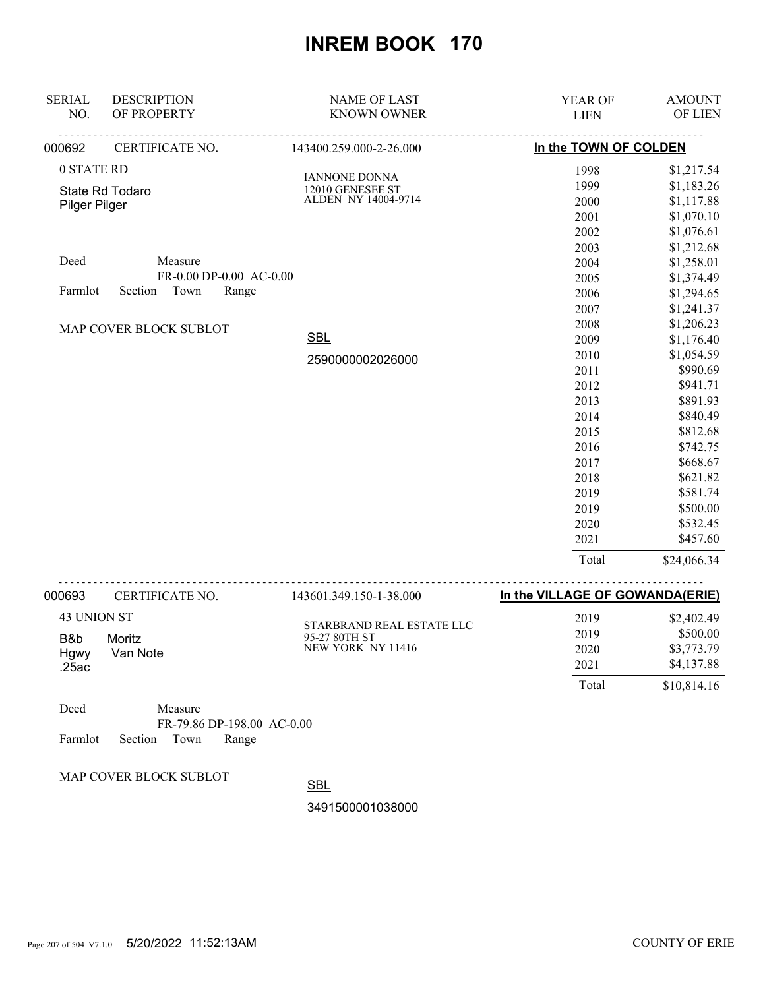| <b>SERIAL</b> | <b>DESCRIPTION</b>       | <b>NAME OF LAST</b>                        | YEAR OF                         | <b>AMOUNT</b> |
|---------------|--------------------------|--------------------------------------------|---------------------------------|---------------|
| NO.           | OF PROPERTY              | <b>KNOWN OWNER</b>                         | <b>LIEN</b>                     | OF LIEN       |
| 000692        | CERTIFICATE NO.          | 143400.259.000-2-26.000                    | In the TOWN OF COLDEN           |               |
| 0 STATE RD    |                          | <b>IANNONE DONNA</b>                       | 1998                            | \$1,217.54    |
|               | State Rd Todaro          | 12010 GENESEE ST<br>ALDEN NY 14004-9714    | 1999                            | \$1,183.26    |
| Pilger Pilger |                          |                                            | 2000                            | \$1,117.88    |
|               |                          |                                            | 2001                            | \$1,070.10    |
|               |                          |                                            | 2002                            | \$1,076.61    |
|               |                          |                                            | 2003                            | \$1,212.68    |
| Deed          | Measure                  |                                            | 2004                            | \$1,258.01    |
|               | FR-0.00 DP-0.00 AC-0.00  |                                            | 2005                            | \$1,374.49    |
| Farmlot       | Town<br>Section<br>Range |                                            | 2006                            | \$1,294.65    |
|               |                          |                                            | 2007                            | \$1,241.37    |
|               | MAP COVER BLOCK SUBLOT   |                                            | 2008                            | \$1,206.23    |
|               |                          | <b>SBL</b>                                 | 2009                            | \$1,176.40    |
|               |                          | 2590000002026000                           | 2010                            | \$1,054.59    |
|               |                          |                                            | 2011                            | \$990.69      |
|               |                          |                                            | 2012                            | \$941.71      |
|               |                          |                                            | 2013                            | \$891.93      |
|               |                          |                                            | 2014                            | \$840.49      |
|               |                          |                                            | 2015                            | \$812.68      |
|               |                          |                                            | 2016                            | \$742.75      |
|               |                          |                                            | 2017                            | \$668.67      |
|               |                          |                                            | 2018                            | \$621.82      |
|               |                          |                                            | 2019                            | \$581.74      |
|               |                          |                                            | 2019                            | \$500.00      |
|               |                          |                                            | 2020                            | \$532.45      |
|               |                          |                                            | 2021                            | \$457.60      |
|               |                          |                                            | Total                           | \$24,066.34   |
| 000693        | CERTIFICATE NO.          | 143601.349.150-1-38.000                    | In the VILLAGE OF GOWANDA(ERIE) |               |
| 43 UNION ST   |                          |                                            | 2019                            | \$2,402.49    |
|               |                          | STARBRAND REAL ESTATE LLC<br>95-27 80TH ST | 2019                            | \$500.00      |
| B&b           | Moritz                   | NEW YORK NY 11416                          | 2020                            | \$3,773.79    |
| Hgwy<br>.25ac | Van Note                 |                                            | 2021                            | \$4,137.88    |
|               |                          |                                            | Total                           | \$10,814.16   |

| Deed |                            | Measure |                            |  |
|------|----------------------------|---------|----------------------------|--|
|      |                            |         | FR-79.86 DP-198.00 AC-0.00 |  |
|      | Farmlot Section Town Range |         |                            |  |

MAP COVER BLOCK SUBLOT

**SBL** 

3491500001038000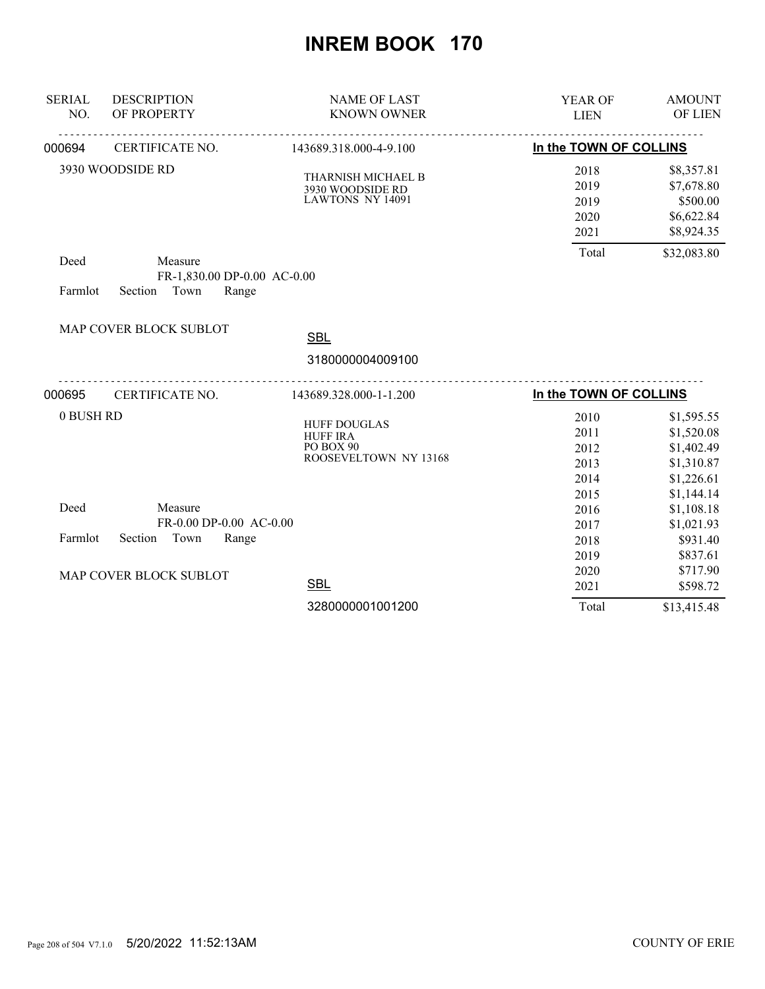| <b>SERIAL</b><br>NO. | <b>DESCRIPTION</b><br>OF PROPERTY                               | <b>NAME OF LAST</b><br><b>KNOWN OWNER</b>                                    | YEAR OF<br><b>LIEN</b>                       | <b>AMOUNT</b><br><b>OF LIEN</b>                                                  |
|----------------------|-----------------------------------------------------------------|------------------------------------------------------------------------------|----------------------------------------------|----------------------------------------------------------------------------------|
| 000694               | CERTIFICATE NO.                                                 | <u>.</u><br>143689.318.000-4-9.100                                           | In the TOWN OF COLLINS                       |                                                                                  |
|                      | 3930 WOODSIDE RD                                                | THARNISH MICHAEL B<br>3930 WOODSIDE RD<br>LAWTONS NY 14091                   | 2018<br>2019<br>2019<br>2020<br>2021         | \$8,357.81<br>\$7,678.80<br>\$500.00<br>\$6,622.84<br>\$8,924.35                 |
| Deed<br>Farmlot      | Measure<br>FR-1,830.00 DP-0.00 AC-0.00<br>Section Town<br>Range |                                                                              | Total                                        | \$32,083.80                                                                      |
|                      | MAP COVER BLOCK SUBLOT                                          | <b>SBL</b>                                                                   |                                              |                                                                                  |
|                      |                                                                 | 3180000004009100                                                             |                                              |                                                                                  |
| 000695               | CERTIFICATE NO.                                                 | 143689.328.000-1-1.200                                                       | In the TOWN OF COLLINS                       |                                                                                  |
| 0 BUSH RD            |                                                                 | <b>HUFF DOUGLAS</b><br><b>HUFF IRA</b><br>PO BOX 90<br>ROOSEVELTOWN NY 13168 | 2010<br>2011<br>2012<br>2013<br>2014<br>2015 | \$1,595.55<br>\$1,520.08<br>\$1,402.49<br>\$1,310.87<br>\$1,226.61<br>\$1,144.14 |
| Deed                 | Measure<br>FR-0.00 DP-0.00 AC-0.00                              |                                                                              | 2016                                         | \$1,108.18                                                                       |
| Farmlot              | Section<br>Town<br>Range                                        |                                                                              | 2017<br>2018<br>2019                         | \$1,021.93<br>\$931.40<br>\$837.61                                               |
|                      | MAP COVER BLOCK SUBLOT                                          | <b>SBL</b>                                                                   | 2020<br>2021                                 | \$717.90<br>\$598.72                                                             |
|                      |                                                                 | 3280000001001200                                                             | Total                                        | \$13,415.48                                                                      |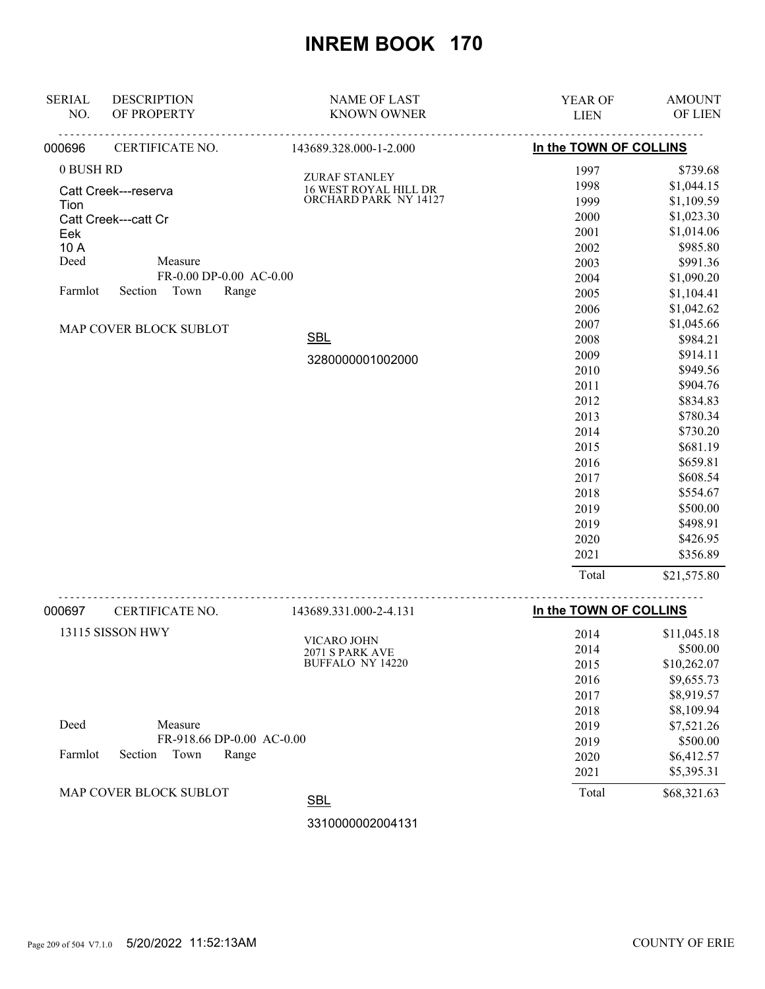| <b>SERIAL</b> | <b>DESCRIPTION</b>       | <b>NAME OF LAST</b>    | YEAR OF                | <b>AMOUNT</b> |
|---------------|--------------------------|------------------------|------------------------|---------------|
| NO.           | OF PROPERTY              | <b>KNOWN OWNER</b>     | <b>LIEN</b>            | OF LIEN       |
| 000696        | CERTIFICATE NO.          | 143689.328.000-1-2.000 | In the TOWN OF COLLINS |               |
| 0 BUSH RD     |                          | ZURAF STANLEY          | 1997                   | \$739.68      |
|               | Catt Creek---reserva     | 16 WEST ROYAL HILL DR  | 1998                   | \$1,044.15    |
| Tion          |                          | ORCHARD PARK NY 14127  | 1999                   | \$1,109.59    |
|               | Catt Creek---catt Cr     |                        | 2000                   | \$1,023.30    |
| Eek           |                          |                        | 2001                   | \$1,014.06    |
| 10 A          |                          |                        | 2002                   | \$985.80      |
| Deed          | Measure                  |                        | 2003                   | \$991.36      |
|               | FR-0.00 DP-0.00 AC-0.00  |                        | 2004                   | \$1,090.20    |
| Farmlot       | Section<br>Town<br>Range |                        | 2005                   | \$1,104.41    |
|               |                          |                        | 2006                   | \$1,042.62    |
|               | MAP COVER BLOCK SUBLOT   |                        | 2007                   | \$1,045.66    |
|               |                          | <b>SBL</b>             | 2008                   | \$984.21      |
|               |                          | 3280000001002000       | 2009                   | \$914.11      |
|               |                          |                        | 2010                   | \$949.56      |
|               |                          |                        | 2011                   | \$904.76      |
|               |                          |                        | 2012                   | \$834.83      |
|               |                          |                        | 2013                   | \$780.34      |
|               |                          |                        | 2014                   | \$730.20      |
|               |                          |                        | 2015                   | \$681.19      |
|               |                          |                        | 2016                   | \$659.81      |
|               |                          |                        | 2017                   | \$608.54      |
|               |                          |                        | 2018                   | \$554.67      |
|               |                          |                        | 2019                   | \$500.00      |
|               |                          |                        | 2019                   | \$498.91      |
|               |                          |                        | 2020                   | \$426.95      |
|               |                          |                        | 2021                   | \$356.89      |
|               |                          |                        | Total                  | \$21,575.80   |
| 000697        | CERTIFICATE NO.          | 143689.331.000-2-4.131 | In the TOWN OF COLLINS |               |
|               |                          |                        |                        |               |

|         |                           | 1 1200212211000 <b>2</b> 11121 |       |             |
|---------|---------------------------|--------------------------------|-------|-------------|
|         | 13115 SISSON HWY          | VICARO JOHN                    | 2014  | \$11,045.18 |
|         |                           | 2071 S PARK AVE                | 2014  | \$500.00    |
|         |                           | <b>BUFFALO NY 14220</b>        | 2015  | \$10,262.07 |
|         |                           |                                | 2016  | \$9,655.73  |
|         |                           |                                | 2017  | \$8,919.57  |
|         |                           |                                | 2018  | \$8,109.94  |
| Deed    | Measure                   |                                | 2019  | \$7,521.26  |
|         | FR-918.66 DP-0.00 AC-0.00 |                                | 2019  | \$500.00    |
| Farmlot | Town<br>Section<br>Range  |                                | 2020  | \$6,412.57  |
|         |                           |                                | 2021  | \$5,395.31  |
|         | MAP COVER BLOCK SUBLOT    | <b>SBL</b>                     | Total | \$68,321.63 |
|         |                           |                                |       |             |

3310000002004131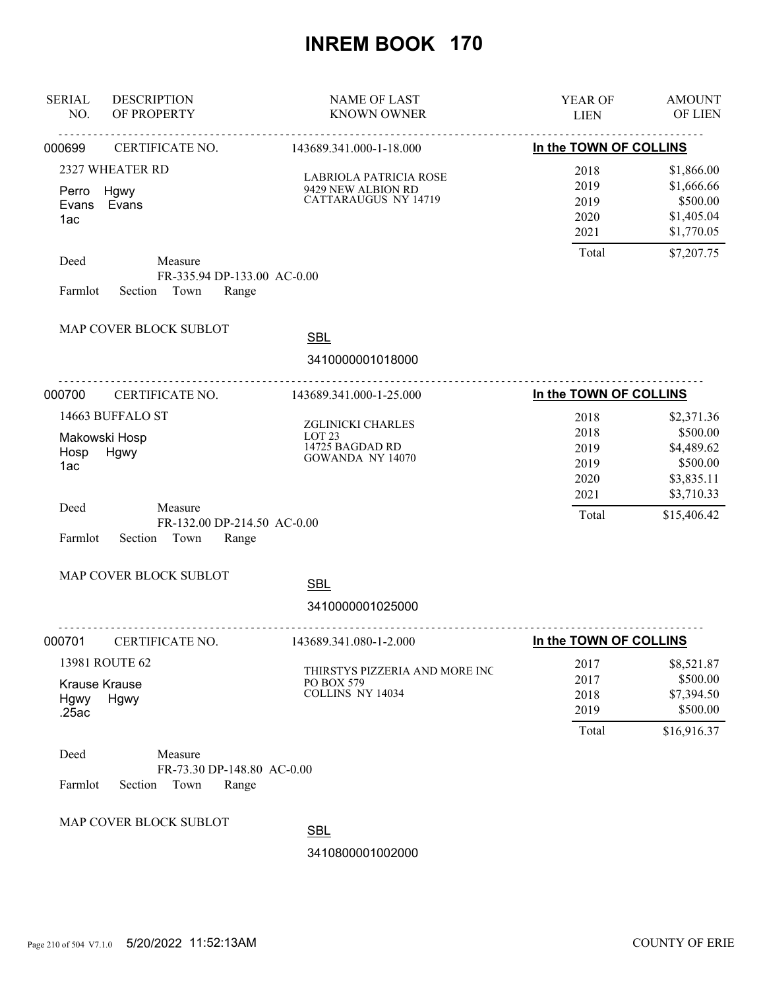| <b>SERIAL</b><br>NO.                  | <b>DESCRIPTION</b><br>OF PROPERTY                                                                            | <b>NAME OF LAST</b><br><b>KNOWN OWNER</b>                                     | <b>YEAR OF</b><br><b>LIEN</b>                         | <b>AMOUNT</b><br><b>OF LIEN</b>                                                             |
|---------------------------------------|--------------------------------------------------------------------------------------------------------------|-------------------------------------------------------------------------------|-------------------------------------------------------|---------------------------------------------------------------------------------------------|
| 000699                                | CERTIFICATE NO.                                                                                              | 143689.341.000-1-18.000                                                       | In the TOWN OF COLLINS                                |                                                                                             |
| Perro<br>Evans<br>1ac<br>Deed         | 2327 WHEATER RD<br>Hgwy<br>Evans<br>Measure                                                                  | LABRIOLA PATRICIA ROSE<br>9429 NEW ALBION RD<br><b>CATTARAUGUS NY 14719</b>   | 2018<br>2019<br>2019<br>2020<br>2021<br>Total         | \$1,866.00<br>\$1,666.66<br>\$500.00<br>\$1,405.04<br>\$1,770.05<br>\$7,207.75              |
| Farmlot                               | FR-335.94 DP-133.00 AC-0.00<br>Section Town<br>Range                                                         |                                                                               |                                                       |                                                                                             |
|                                       | MAP COVER BLOCK SUBLOT                                                                                       | <b>SBL</b>                                                                    |                                                       |                                                                                             |
|                                       |                                                                                                              | 3410000001018000                                                              |                                                       |                                                                                             |
| 000700                                | CERTIFICATE NO.                                                                                              | 143689.341.000-1-25.000                                                       | In the TOWN OF COLLINS                                |                                                                                             |
| Hosp<br>1ac<br>Deed<br>Farmlot        | 14663 BUFFALO ST<br>Makowski Hosp<br>Hgwy<br>Measure<br>FR-132.00 DP-214.50 AC-0.00<br>Section Town<br>Range | ZGLINICKI CHARLES<br>LOT <sub>23</sub><br>14725 BAGDAD RD<br>GOWANDA NY 14070 | 2018<br>2018<br>2019<br>2019<br>2020<br>2021<br>Total | \$2,371.36<br>\$500.00<br>\$4,489.62<br>\$500.00<br>\$3,835.11<br>\$3,710.33<br>\$15,406.42 |
|                                       | MAP COVER BLOCK SUBLOT                                                                                       | <b>SBL</b>                                                                    |                                                       |                                                                                             |
|                                       |                                                                                                              | 3410000001025000                                                              |                                                       |                                                                                             |
| 000701                                | CERTIFICATE NO.                                                                                              | 143689.341.080-1-2.000                                                        | In the TOWN OF COLLINS                                |                                                                                             |
| <b>Krause Krause</b><br>Hgwy<br>.25ac | 13981 ROUTE 62<br>Hgwy                                                                                       | THIRSTYS PIZZERIA AND MORE INC<br>PO BOX 579<br>COLLINS NY 14034              | 2017<br>2017<br>2018<br>2019<br>Total                 | \$8,521.87<br>\$500.00<br>\$7,394.50<br>\$500.00<br>\$16,916.37                             |
| Deed<br>Farmlot                       | Measure<br>FR-73.30 DP-148.80 AC-0.00<br>Section<br>Town<br>Range                                            |                                                                               |                                                       |                                                                                             |
|                                       | MAP COVER BLOCK SUBLOT                                                                                       | <b>SBL</b><br>3410800001002000                                                |                                                       |                                                                                             |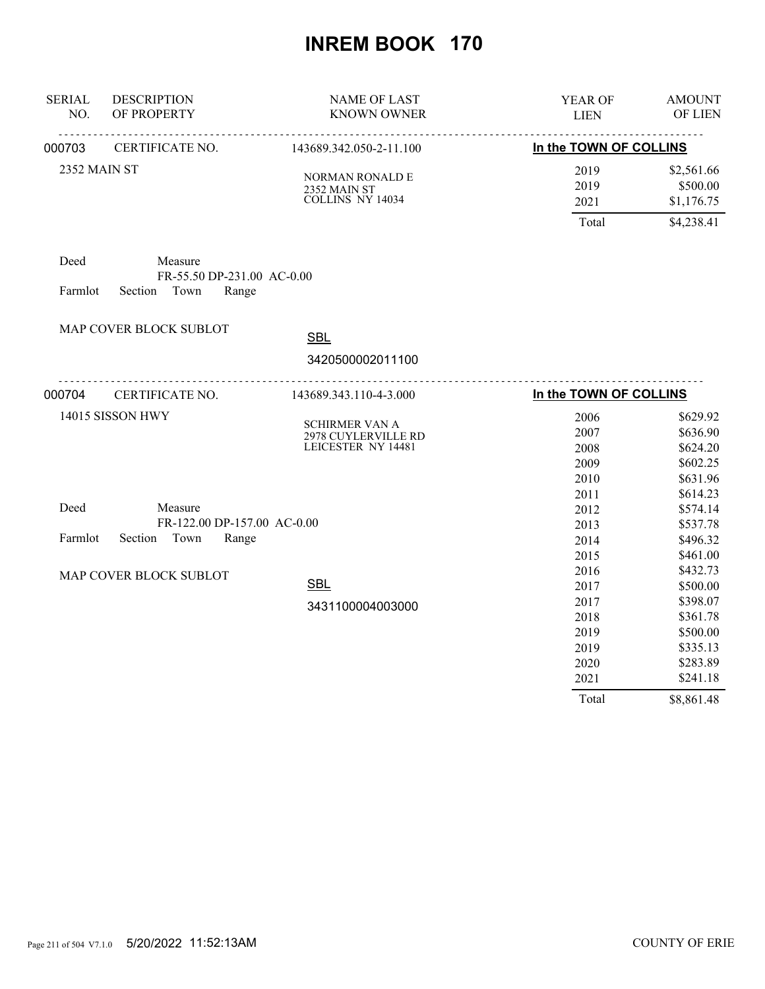| <b>SERIAL</b><br>NO.   | <b>DESCRIPTION</b><br>OF PROPERTY                       | <b>NAME OF LAST</b><br><b>KNOWN OWNER</b>                          | YEAR OF<br><b>LIEN</b>                       | <b>AMOUNT</b><br>OF LIEN                                             |
|------------------------|---------------------------------------------------------|--------------------------------------------------------------------|----------------------------------------------|----------------------------------------------------------------------|
| 000703                 | CERTIFICATE NO.                                         | 143689.342.050-2-11.100                                            | .<br>In the TOWN OF COLLINS                  |                                                                      |
| 2352 MAIN ST           |                                                         | <b>NORMAN RONALD E</b><br>2352 MAIN ST<br>COLLINS NY 14034         | 2019<br>2019<br>2021                         | \$2,561.66<br>\$500.00<br>\$1,176.75                                 |
|                        |                                                         |                                                                    | Total                                        | \$4,238.41                                                           |
| Deed                   | Measure<br>FR-55.50 DP-231.00 AC-0.00                   |                                                                    |                                              |                                                                      |
| Farmlot                | Town<br>Section<br>Range                                |                                                                    |                                              |                                                                      |
|                        | MAP COVER BLOCK SUBLOT                                  | <b>SBL</b>                                                         |                                              |                                                                      |
|                        |                                                         | 3420500002011100                                                   |                                              |                                                                      |
| 000704                 | CERTIFICATE NO.                                         | 143689.343.110-4-3.000                                             | In the TOWN OF COLLINS                       |                                                                      |
|                        | 14015 SISSON HWY                                        | <b>SCHIRMER VAN A</b><br>2978 CUYLERVILLE RD<br>LEICESTER NY 14481 | 2006<br>2007<br>2008<br>2009<br>2010<br>2011 | \$629.92<br>\$636.90<br>\$624.20<br>\$602.25<br>\$631.96<br>\$614.23 |
| Deed                   | Measure                                                 |                                                                    | 2012                                         | \$574.14                                                             |
| Farmlot                | FR-122.00 DP-157.00 AC-0.00<br>Town<br>Section<br>Range |                                                                    | 2013<br>2014<br>2015                         | \$537.78<br>\$496.32<br>\$461.00                                     |
| MAP COVER BLOCK SUBLOT |                                                         | <b>SBL</b>                                                         | 2016<br>2017                                 | \$432.73<br>\$500.00                                                 |
|                        |                                                         | 3431100004003000                                                   | 2017<br>2018<br>2019<br>2019<br>2020         | \$398.07<br>\$361.78<br>\$500.00<br>\$335.13<br>\$283.89             |
|                        |                                                         |                                                                    | 2021<br>Total                                | \$241.18<br>\$8,861.48                                               |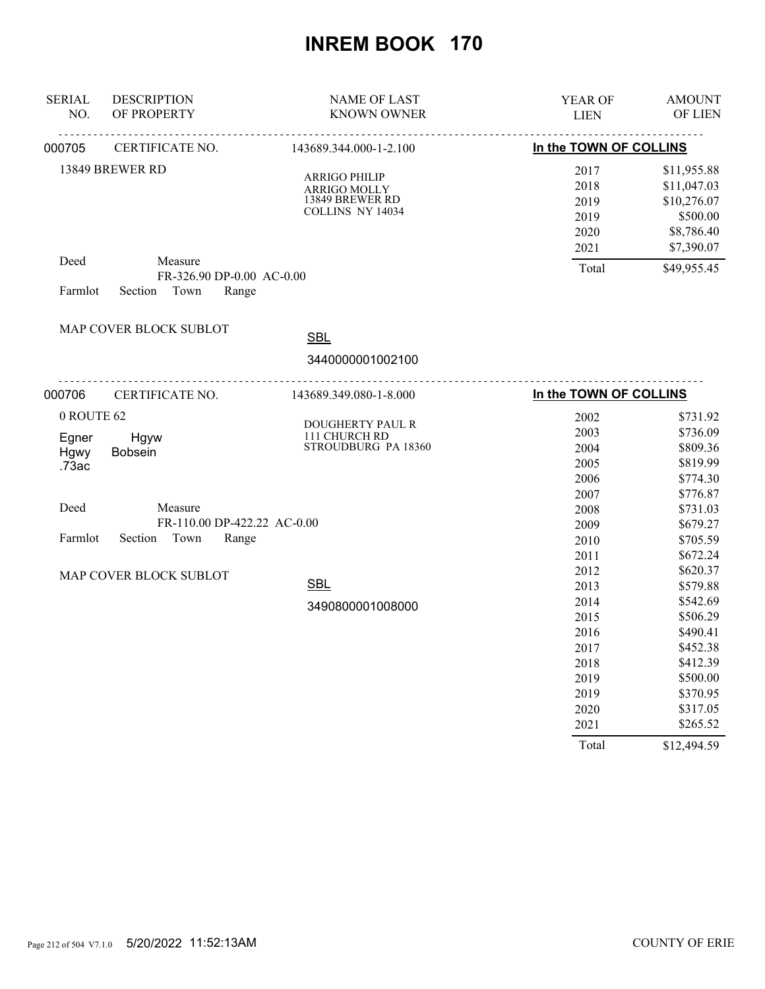| <b>SERIAL</b><br>NO. | <b>DESCRIPTION</b><br>OF PROPERTY    | <b>NAME OF LAST</b><br><b>KNOWN OWNER</b> | YEAR OF<br><b>LIEN</b> | <b>AMOUNT</b><br>OF LIEN |
|----------------------|--------------------------------------|-------------------------------------------|------------------------|--------------------------|
| 000705               | <u>.</u><br>CERTIFICATE NO.          | .<br>143689.344.000-1-2.100               | In the TOWN OF COLLINS |                          |
| 13849 BREWER RD      |                                      | <b>ARRIGO PHILIP</b>                      | 2017                   | \$11,955.88              |
|                      |                                      | ARRIGO MOLLY                              | 2018                   | \$11,047.03              |
|                      |                                      | 13849 BREWER RD                           | 2019                   | \$10,276.07              |
|                      |                                      | COLLINS NY 14034                          | 2019                   | \$500.00                 |
|                      |                                      |                                           | 2020                   | \$8,786.40               |
|                      |                                      |                                           | 2021                   | \$7,390.07               |
| Deed                 | Measure<br>FR-326.90 DP-0.00 AC-0.00 |                                           | Total                  | \$49,955.45              |
| Farmlot              | Town<br>Section<br>Range             |                                           |                        |                          |
|                      |                                      |                                           |                        |                          |
|                      | MAP COVER BLOCK SUBLOT               |                                           |                        |                          |
|                      |                                      | <b>SBL</b>                                |                        |                          |
|                      |                                      | 3440000001002100                          |                        |                          |
| 000706               | .<br>CERTIFICATE NO.                 | 143689.349.080-1-8.000                    | In the TOWN OF COLLINS |                          |
| 0 ROUTE 62           |                                      |                                           | 2002                   | \$731.92                 |
|                      |                                      | DOUGHERTY PAUL R                          | 2003                   | \$736.09                 |
| Egner                | Hgyw                                 | 111 CHURCH RD<br>STROUDBURG PA 18360      | 2004                   | \$809.36                 |
| Hgwy<br>.73ac        | Bobsein                              |                                           | 2005                   | \$819.99                 |
|                      |                                      |                                           | 2006                   | \$774.30                 |
|                      |                                      |                                           | 2007                   | \$776.87                 |
| Deed                 | Measure                              |                                           | 2008                   | \$731.03                 |
|                      | FR-110.00 DP-422.22 AC-0.00          |                                           | 2009                   | \$679.27                 |
| Farmlot              | Section<br>Town<br>Range             |                                           | 2010                   | \$705.59                 |
|                      |                                      |                                           | 2011                   | \$672.24                 |
|                      | MAP COVER BLOCK SUBLOT               |                                           | 2012                   | \$620.37                 |
|                      |                                      | <b>SBL</b>                                | 2013                   | \$579.88                 |
|                      |                                      | 3490800001008000                          | 2014                   | \$542.69                 |
|                      |                                      |                                           | 2015                   | \$506.29                 |
|                      |                                      |                                           | 2016                   | \$490.41                 |
|                      |                                      |                                           | 2017                   | \$452.38                 |
|                      |                                      |                                           | 2018                   | \$412.39                 |
|                      |                                      |                                           | 2019                   | \$500.00                 |
|                      |                                      |                                           | 2019                   | \$370.95                 |
|                      |                                      |                                           | 2020                   | \$317.05                 |
|                      |                                      |                                           | 2021                   | \$265.52                 |
|                      |                                      |                                           | Total                  | \$12,494.59              |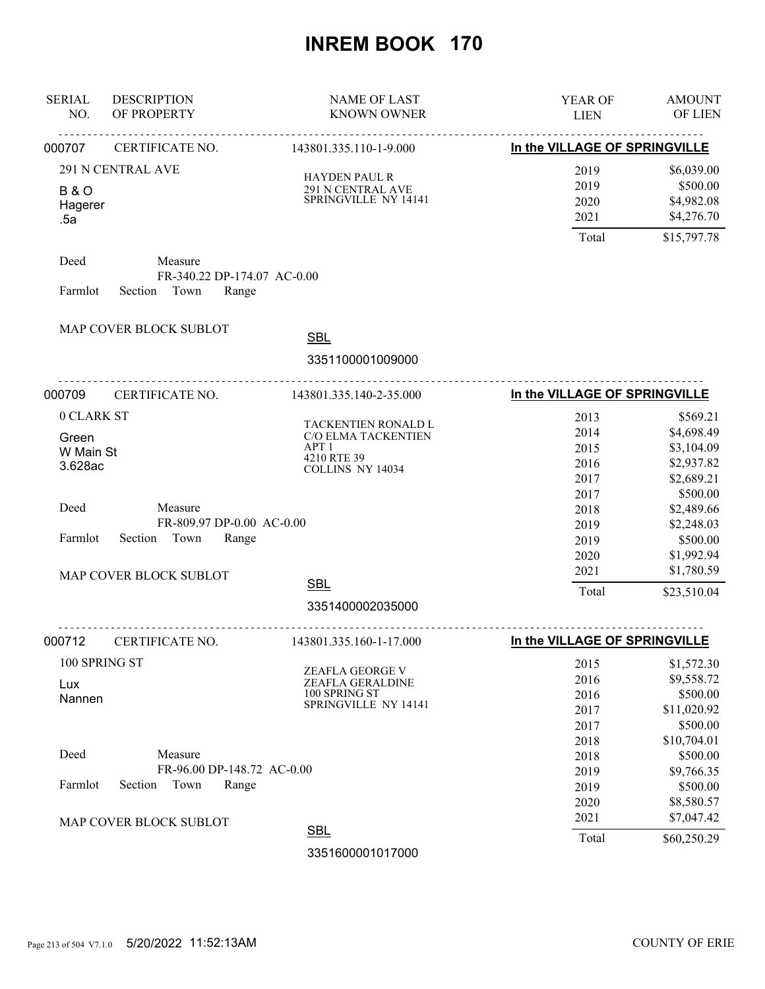| <b>SERIAL</b><br>NO.                        | <b>DESCRIPTION</b><br>OF PROPERTY                                  | <b>NAME OF LAST</b><br><b>KNOWN OWNER</b>                                                         | YEAR OF<br><b>LIEN</b>                    | <b>AMOUNT</b><br>OF LIEN                                          |
|---------------------------------------------|--------------------------------------------------------------------|---------------------------------------------------------------------------------------------------|-------------------------------------------|-------------------------------------------------------------------|
| 000707                                      | .<br>CERTIFICATE NO.<br>143801.335.110-1-9.000                     |                                                                                                   | <u>.</u><br>In the VILLAGE OF SPRINGVILLE |                                                                   |
| <b>B&amp;O</b><br>Hagerer<br>.5a            | 291 N CENTRAL AVE                                                  | <b>HAYDEN PAUL R</b><br>291 N CENTRAL AVE<br>SPRINGVILLE NY 14141                                 | 2019<br>2019<br>2020<br>2021<br>Total     | \$6,039.00<br>\$500.00<br>\$4,982.08<br>\$4,276.70<br>\$15,797.78 |
| Deed<br>Farmlot                             | Measure<br>FR-340.22 DP-174.07 AC-0.00<br>Town<br>Range<br>Section |                                                                                                   |                                           |                                                                   |
|                                             | MAP COVER BLOCK SUBLOT                                             | <b>SBL</b>                                                                                        |                                           |                                                                   |
|                                             |                                                                    | 3351100001009000                                                                                  |                                           |                                                                   |
| 000709                                      | CERTIFICATE NO.                                                    | 143801.335.140-2-35.000                                                                           | In the VILLAGE OF SPRINGVILLE             |                                                                   |
| 0 CLARK ST<br>Green<br>W Main St<br>3.628ac |                                                                    | TACKENTIEN RONALD L<br>C/O ELMA TACKENTIEN<br>APT <sub>1</sub><br>4210 RTE 39<br>COLLINS NY 14034 | 2013<br>2014<br>2015<br>2016<br>2017      | \$569.21<br>\$4,698.49<br>\$3,104.09<br>\$2,937.82<br>\$2,689.21  |
| Deed<br>Farmlot                             | Measure<br>FR-809.97 DP-0.00 AC-0.00<br>Town<br>Section<br>Range   |                                                                                                   | 2017<br>2018<br>2019<br>2019<br>2020      | \$500.00<br>\$2,489.66<br>\$2,248.03<br>\$500.00<br>\$1,992.94    |
|                                             | MAP COVER BLOCK SUBLOT                                             | <b>SBL</b><br>3351400002035000                                                                    | 2021<br>Total                             | \$1,780.59<br>\$23,510.04                                         |
| 000712                                      | CERTIFICATE NO.                                                    | 143801.335.160-1-17.000                                                                           | In the VILLAGE OF SPRINGVILLE             |                                                                   |
| 100 SPRING ST<br>Lux<br>Nannen              |                                                                    | ZEAFLA GEORGE V<br>ZEAFLA GERALDINE<br>100 SPRING ST<br>SPRINGVILLE NY 14141                      | 2015<br>2016<br>2016<br>2017<br>2017      | \$1,572.30<br>\$9,558.72<br>\$500.00<br>\$11,020.92<br>\$500.00   |
| Deed<br>Farmlot                             | Measure<br>FR-96.00 DP-148.72 AC-0.00<br>Town<br>Section<br>Range  |                                                                                                   | 2018<br>2018<br>2019<br>2019<br>2020      | \$10,704.01<br>\$500.00<br>\$9,766.35<br>\$500.00<br>\$8,580.57   |
|                                             | MAP COVER BLOCK SUBLOT                                             | <b>SBL</b><br>3351600001017000                                                                    | 2021<br>Total                             | \$7,047.42<br>\$60,250.29                                         |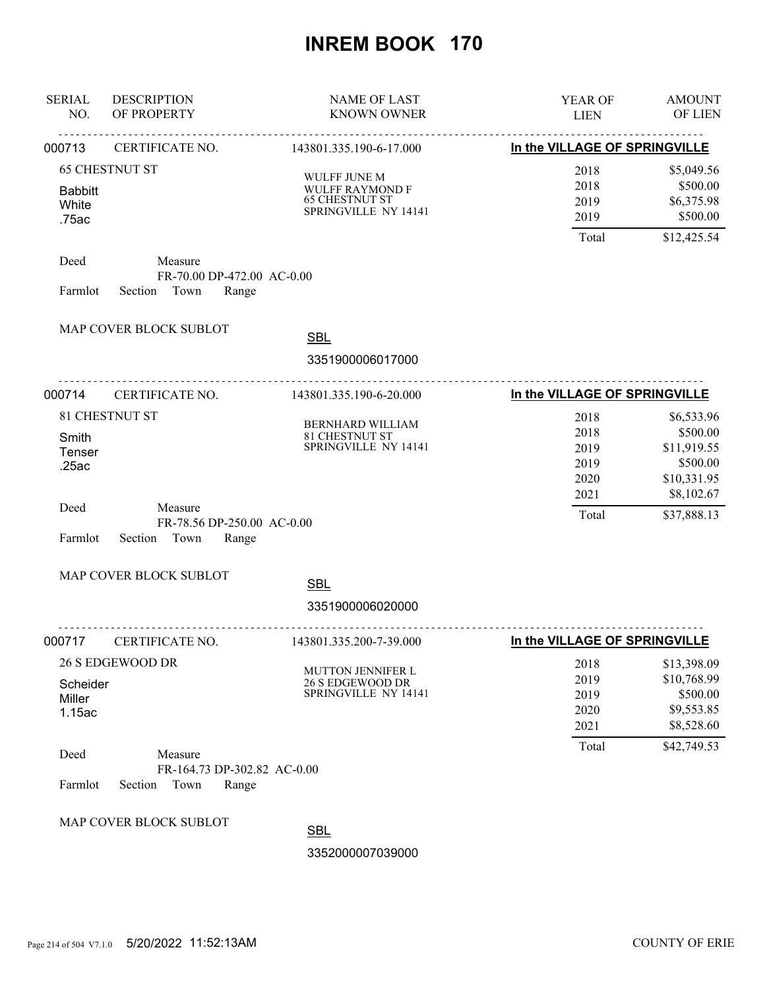| <b>SERIAL</b><br>NO. | <b>DESCRIPTION</b><br>OF PROPERTY                   | <b>NAME OF LAST</b><br><b>KNOWN OWNER</b>     | <b>YEAR OF</b><br><b>LIEN</b> | <b>AMOUNT</b><br><b>OF LIEN</b> |
|----------------------|-----------------------------------------------------|-----------------------------------------------|-------------------------------|---------------------------------|
| 000713               | <b>CERTIFICATE NO.</b><br>143801.335.190-6-17.000   |                                               | In the VILLAGE OF SPRINGVILLE |                                 |
|                      | <b>65 CHESTNUT ST</b>                               | WULFF JUNE M                                  | 2018                          | \$5,049.56                      |
| <b>Babbitt</b>       |                                                     | <b>WULFF RAYMOND F</b>                        | 2018                          | \$500.00                        |
| White                |                                                     | <b>65 CHESTNUT ST</b><br>SPRINGVILLE NY 14141 | 2019                          | \$6,375.98                      |
| .75ac                |                                                     |                                               | 2019                          | \$500.00                        |
|                      |                                                     |                                               | Total                         | \$12,425.54                     |
| Deed                 | Measure                                             |                                               |                               |                                 |
| Farmlot              | FR-70.00 DP-472.00 AC-0.00<br>Section Town<br>Range |                                               |                               |                                 |
|                      | MAP COVER BLOCK SUBLOT                              |                                               |                               |                                 |
|                      |                                                     | <b>SBL</b>                                    |                               |                                 |
|                      |                                                     | 3351900006017000                              |                               |                                 |
| 000714               | CERTIFICATE NO.                                     | 143801.335.190-6-20.000                       | In the VILLAGE OF SPRINGVILLE |                                 |
|                      | 81 CHESTNUT ST                                      | BERNHARD WILLIAM                              | 2018                          | \$6,533.96                      |
| Smith                |                                                     | 81 CHESTNUT ST                                | 2018                          | \$500.00                        |
| Tenser               |                                                     | SPRINGVILLE NY 14141                          | 2019                          | \$11,919.55                     |
| .25ac                |                                                     |                                               | 2019                          | \$500.00                        |
|                      |                                                     |                                               | 2020                          | \$10,331.95                     |
| Deed                 | Measure                                             |                                               | 2021                          | \$8,102.67                      |
|                      | FR-78.56 DP-250.00 AC-0.00                          |                                               | Total                         | \$37,888.13                     |
| Farmlot              | Section Town<br>Range                               |                                               |                               |                                 |
|                      | MAP COVER BLOCK SUBLOT                              |                                               |                               |                                 |
|                      |                                                     | <b>SBL</b>                                    |                               |                                 |
|                      |                                                     | 3351900006020000                              |                               |                                 |
| 000717               | CERTIFICATE NO.                                     | 143801.335.200-7-39.000                       | In the VILLAGE OF SPRINGVILLE |                                 |
|                      | <b>26 S EDGEWOOD DR</b>                             | <b>MUTTON JENNIFER L</b>                      | 2018                          | \$13,398.09                     |
| Scheider             |                                                     | 26 S EDGEWOOD DR                              | 2019                          | \$10,768.99                     |
| Miller               |                                                     | SPRINGVILLE NY 14141                          | 2019                          | \$500.00                        |
| 1.15ac               |                                                     |                                               | 2020                          | \$9,553.85                      |
|                      |                                                     |                                               | 2021                          | \$8,528.60                      |
| Deed                 | Measure                                             |                                               | Total                         | \$42,749.53                     |
|                      | FR-164.73 DP-302.82 AC-0.00                         |                                               |                               |                                 |
| Farmlot              | Section<br>Town<br>Range                            |                                               |                               |                                 |
|                      | MAP COVER BLOCK SUBLOT                              |                                               |                               |                                 |
|                      |                                                     | <b>SBL</b>                                    |                               |                                 |
|                      |                                                     | 3352000007039000                              |                               |                                 |
|                      |                                                     |                                               |                               |                                 |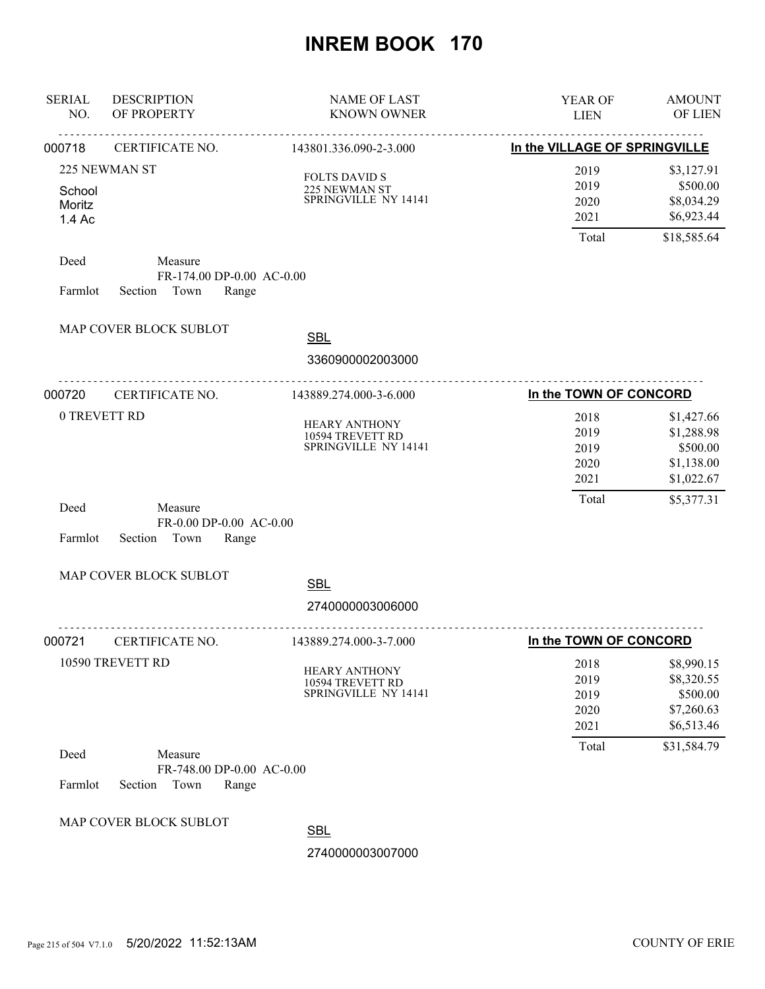| <b>SERIAL</b><br>NO.       | <b>DESCRIPTION</b><br>OF PROPERTY                                | <b>NAME OF LAST</b><br><b>KNOWN OWNER</b>                        | YEAR OF<br><b>LIEN</b>               | <b>AMOUNT</b><br>OF LIEN                                         |
|----------------------------|------------------------------------------------------------------|------------------------------------------------------------------|--------------------------------------|------------------------------------------------------------------|
| 000718                     | <u>.</u><br>CERTIFICATE NO.                                      | <u>.</u><br>143801.336.090-2-3.000                               | In the VILLAGE OF SPRINGVILLE        |                                                                  |
| School<br>Moritz<br>1.4 Ac | 225 NEWMAN ST                                                    | <b>FOLTS DAVID S</b><br>225 NEWMAN ST<br>SPRINGVILLE NY 14141    | 2019<br>2019<br>2020<br>2021         | \$3,127.91<br>\$500.00<br>\$8,034.29<br>\$6,923.44               |
|                            |                                                                  |                                                                  | Total                                | \$18,585.64                                                      |
| Deed<br>Farmlot            | Measure<br>FR-174.00 DP-0.00 AC-0.00<br>Town<br>Section<br>Range |                                                                  |                                      |                                                                  |
|                            | MAP COVER BLOCK SUBLOT                                           | <b>SBL</b>                                                       |                                      |                                                                  |
|                            |                                                                  | 3360900002003000                                                 |                                      |                                                                  |
| 000720<br>CERTIFICATE NO.  |                                                                  | 143889.274.000-3-6.000                                           | In the TOWN OF CONCORD               |                                                                  |
| 0 TREVETT RD               |                                                                  | <b>HEARY ANTHONY</b><br>10594 TREVETT RD<br>SPRINGVILLE NY 14141 | 2018<br>2019<br>2019<br>2020<br>2021 | \$1,427.66<br>\$1,288.98<br>\$500.00<br>\$1,138.00<br>\$1,022.67 |
| Deed<br>Farmlot            | Measure<br>FR-0.00 DP-0.00 AC-0.00<br>Section<br>Town<br>Range   |                                                                  | Total                                | \$5,377.31                                                       |
|                            | MAP COVER BLOCK SUBLOT                                           | <b>SBL</b>                                                       |                                      |                                                                  |
|                            |                                                                  | 2740000003006000                                                 |                                      |                                                                  |
| 000721                     | CERTIFICATE NO.                                                  | 143889.274.000-3-7.000                                           | <u>.</u><br>In the TOWN OF CONCORD   |                                                                  |
|                            | 10590 TREVETT RD                                                 | <b>HEARY ANTHONY</b><br>10594 TREVETT RD<br>SPRINGVILLE NY 14141 | 2018<br>2019<br>2019<br>2020<br>2021 | \$8,990.15<br>\$8,320.55<br>\$500.00<br>\$7,260.63<br>\$6,513.46 |
| Deed<br>Farmlot            | Measure<br>FR-748.00 DP-0.00 AC-0.00<br>Section<br>Town<br>Range |                                                                  | Total                                | \$31,584.79                                                      |
|                            | MAP COVER BLOCK SUBLOT                                           | <b>SBL</b><br>2740000003007000                                   |                                      |                                                                  |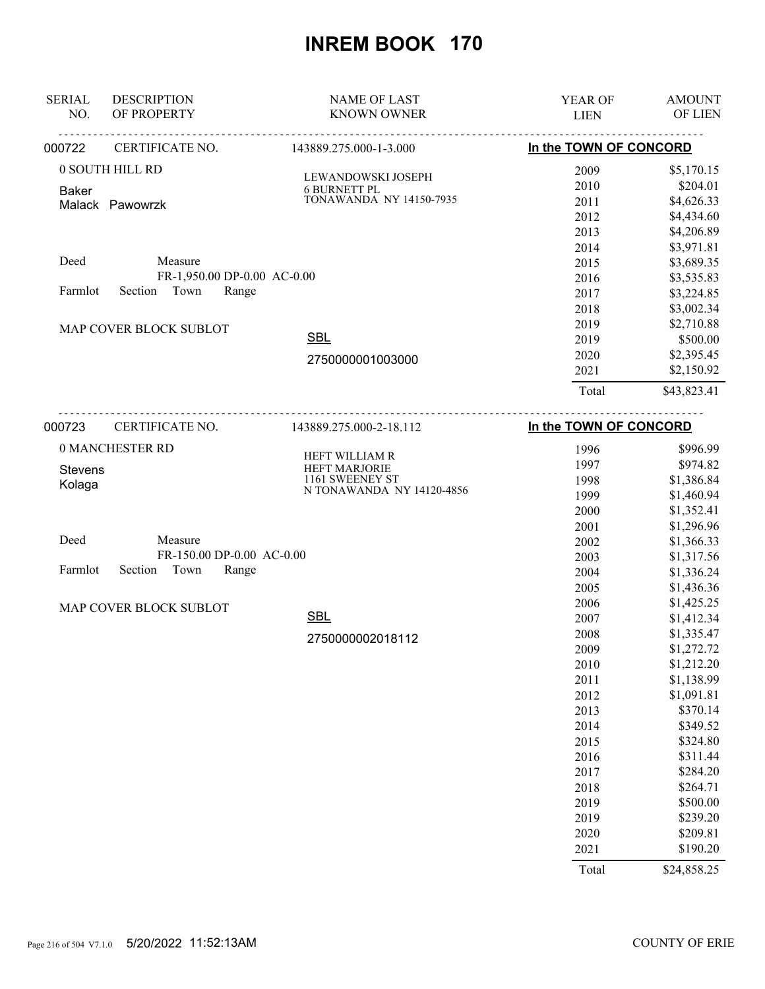| <b>SERIAL</b><br>NO.     | <b>DESCRIPTION</b><br>OF PROPERTY         | <b>NAME OF LAST</b><br><b>KNOWN OWNER</b> | YEAR OF<br><b>LIEN</b> | <b>AMOUNT</b><br>OF LIEN |
|--------------------------|-------------------------------------------|-------------------------------------------|------------------------|--------------------------|
| 000722                   | CERTIFICATE NO.<br>143889.275.000-1-3.000 |                                           | In the TOWN OF CONCORD |                          |
| 0 SOUTH HILL RD          |                                           | LEWANDOWSKI JOSEPH                        | 2009                   | \$5,170.15               |
| <b>Baker</b>             |                                           | <b>6 BURNETT PL</b>                       | 2010                   | \$204.01                 |
|                          | Malack Pawowrzk                           | <b>TONAWANDA NY 14150-7935</b>            | 2011                   | \$4,626.33               |
|                          |                                           |                                           | 2012                   | \$4,434.60               |
|                          |                                           |                                           | 2013                   | \$4,206.89               |
|                          |                                           |                                           | 2014                   | \$3,971.81               |
| Deed                     | Measure                                   |                                           | 2015                   | \$3,689.35               |
|                          | FR-1,950.00 DP-0.00 AC-0.00               |                                           | 2016                   | \$3,535.83               |
| Farmlot                  | Town<br>Range<br>Section                  |                                           | 2017                   | \$3,224.85               |
|                          |                                           |                                           | 2018                   | \$3,002.34               |
|                          | MAP COVER BLOCK SUBLOT                    |                                           | 2019                   | \$2,710.88               |
|                          |                                           | <b>SBL</b>                                | 2019                   | \$500.00                 |
|                          |                                           | 2750000001003000                          | 2020                   | \$2,395.45               |
|                          |                                           |                                           | 2021                   | \$2,150.92               |
|                          |                                           |                                           | Total                  | \$43,823.41              |
| 000723                   | CERTIFICATE NO.                           | 143889.275.000-2-18.112                   | In the TOWN OF CONCORD |                          |
|                          | 0 MANCHESTER RD                           |                                           | 1996                   | \$996.99                 |
|                          |                                           | HEFT WILLIAM R<br><b>HEFT MARJORIE</b>    | 1997                   | \$974.82                 |
| <b>Stevens</b><br>Kolaga |                                           | 1161 SWEENEY ST                           | 1998                   | \$1,386.84               |
|                          |                                           | N TONAWANDA NY 14120-4856                 | 1999                   | \$1,460.94               |
|                          |                                           |                                           | 2000                   | \$1,352.41               |
|                          |                                           |                                           | 2001                   | \$1,296.96               |
| Deed                     | Measure                                   |                                           | 2002                   | \$1,366.33               |
|                          | FR-150.00 DP-0.00 AC-0.00                 |                                           | 2003                   | \$1,317.56               |
| Farmlot                  | Section<br>Town<br>Range                  |                                           | 2004                   | \$1,336.24               |
|                          |                                           |                                           | 2005                   | \$1,436.36               |
|                          | MAP COVER BLOCK SUBLOT                    |                                           | 2006                   | \$1,425.25               |
|                          |                                           | <b>SBL</b>                                | 2007                   | \$1,412.34               |
|                          |                                           | 2750000002018112                          | 2008                   | \$1,335.47               |
|                          |                                           |                                           | 2009                   | \$1,272.72               |
|                          |                                           |                                           | 2010                   | \$1,212.20               |
|                          |                                           |                                           | 2011                   | \$1,138.99               |
|                          |                                           |                                           | 2012                   | \$1,091.81               |
|                          |                                           |                                           | 2013                   | \$370.14                 |
|                          |                                           |                                           | 2014                   | \$349.52                 |
|                          |                                           |                                           | 2015                   | \$324.80                 |
|                          |                                           |                                           | 2016                   | \$311.44                 |
|                          |                                           |                                           | 2017                   | \$284.20                 |
|                          |                                           |                                           | 2018                   | \$264.71                 |
|                          |                                           |                                           | 2019                   | \$500.00                 |
|                          |                                           |                                           | 2019                   | \$239.20                 |
|                          |                                           |                                           | 2020                   | \$209.81                 |
|                          |                                           |                                           | 2021                   | \$190.20                 |
|                          |                                           |                                           | Total                  | \$24,858.25              |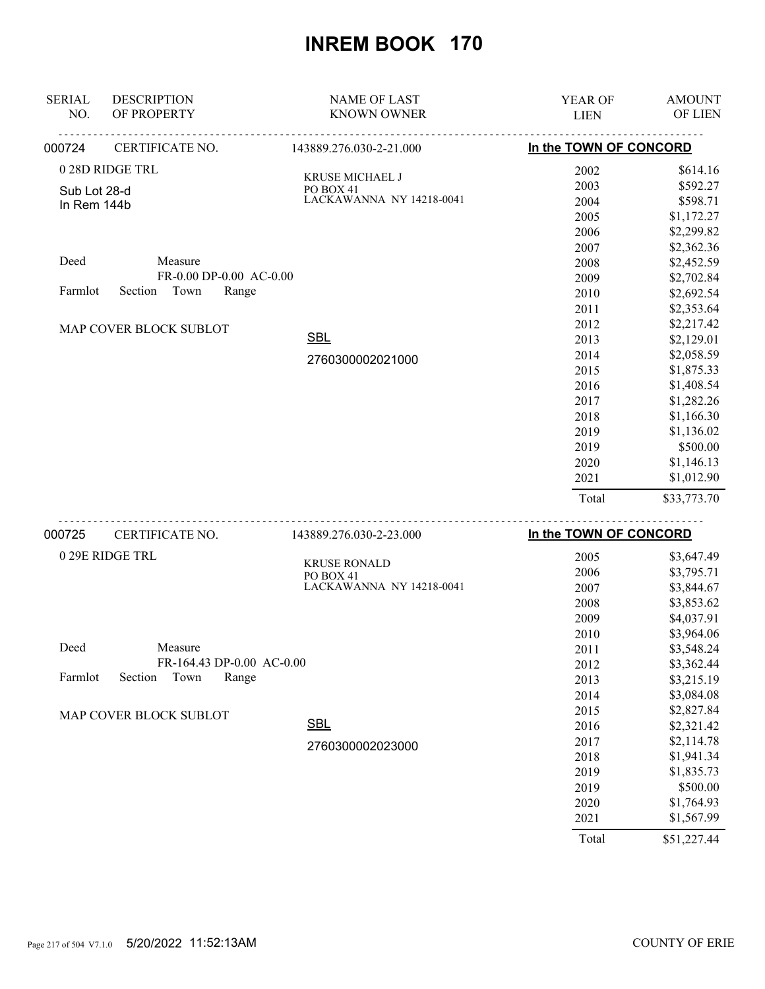| <b>SERIAL</b><br>NO. | <b>DESCRIPTION</b><br>OF PROPERTY | <b>NAME OF LAST</b><br><b>KNOWN OWNER</b> | <b>YEAR OF</b><br><b>LIEN</b> | <b>AMOUNT</b><br>OF LIEN |
|----------------------|-----------------------------------|-------------------------------------------|-------------------------------|--------------------------|
| 000724               | CERTIFICATE NO.                   | 143889.276.030-2-21.000                   | In the TOWN OF CONCORD        |                          |
|                      | 0 28D RIDGE TRL                   | KRUSE MICHAEL J                           | 2002                          | \$614.16                 |
| Sub Lot 28-d         |                                   | PO BOX 41                                 | 2003                          | \$592.27                 |
| In Rem 144b          |                                   | LACKAWANNA NY 14218-0041                  | 2004                          | \$598.71                 |
|                      |                                   |                                           | 2005                          | \$1,172.27               |
|                      |                                   |                                           | 2006                          | \$2,299.82               |
|                      |                                   |                                           | 2007                          | \$2,362.36               |
| Deed                 | Measure                           |                                           | 2008                          | \$2,452.59               |
|                      | FR-0.00 DP-0.00 AC-0.00           |                                           | 2009                          | \$2,702.84               |
| Farmlot              | Town<br>Section<br>Range          |                                           | 2010                          | \$2,692.54               |
|                      |                                   |                                           | 2011                          | \$2,353.64               |
|                      | <b>MAP COVER BLOCK SUBLOT</b>     |                                           | 2012                          | \$2,217.42               |
|                      |                                   | <b>SBL</b>                                | 2013                          | \$2,129.01               |
|                      |                                   | 2760300002021000                          | 2014                          | \$2,058.59               |
|                      |                                   |                                           | 2015                          | \$1,875.33               |
|                      |                                   |                                           | 2016                          | \$1,408.54               |
|                      |                                   |                                           | 2017                          | \$1,282.26               |
|                      |                                   |                                           | 2018                          | \$1,166.30               |
|                      |                                   |                                           | 2019                          | \$1,136.02               |
|                      |                                   |                                           | 2019                          | \$500.00                 |
|                      |                                   |                                           | 2020                          | \$1,146.13               |
|                      |                                   |                                           | 2021                          | \$1,012.90               |
|                      |                                   |                                           | Total                         | \$33,773.70              |

| 000725  | CERTIFICATE NO.               | 143889.276.030-2-23.000          | In the TOWN OF CONCORD |             |
|---------|-------------------------------|----------------------------------|------------------------|-------------|
|         | 0 29E RIDGE TRL               |                                  | 2005                   | \$3,647.49  |
|         |                               | <b>KRUSE RONALD</b><br>PO BOX 41 | 2006                   | \$3,795.71  |
|         |                               | LACKAWANNA NY 14218-0041         | 2007                   | \$3,844.67  |
|         |                               |                                  | 2008                   | \$3,853.62  |
|         |                               |                                  | 2009                   | \$4,037.91  |
|         |                               |                                  | 2010                   | \$3,964.06  |
| Deed    | Measure                       |                                  | 2011                   | \$3,548.24  |
|         | FR-164.43 DP-0.00 AC-0.00     |                                  | 2012                   | \$3,362.44  |
| Farmlot | Section<br>Town<br>Range      |                                  | 2013                   | \$3,215.19  |
|         |                               |                                  | 2014                   | \$3,084.08  |
|         | <b>MAP COVER BLOCK SUBLOT</b> |                                  | 2015                   | \$2,827.84  |
|         |                               | <b>SBL</b>                       | 2016                   | \$2,321.42  |
|         |                               | 2760300002023000                 | 2017                   | \$2,114.78  |
|         |                               |                                  | 2018                   | \$1,941.34  |
|         |                               |                                  | 2019                   | \$1,835.73  |
|         |                               |                                  | 2019                   | \$500.00    |
|         |                               |                                  | 2020                   | \$1,764.93  |
|         |                               |                                  | 2021                   | \$1,567.99  |
|         |                               |                                  | Total                  | \$51,227.44 |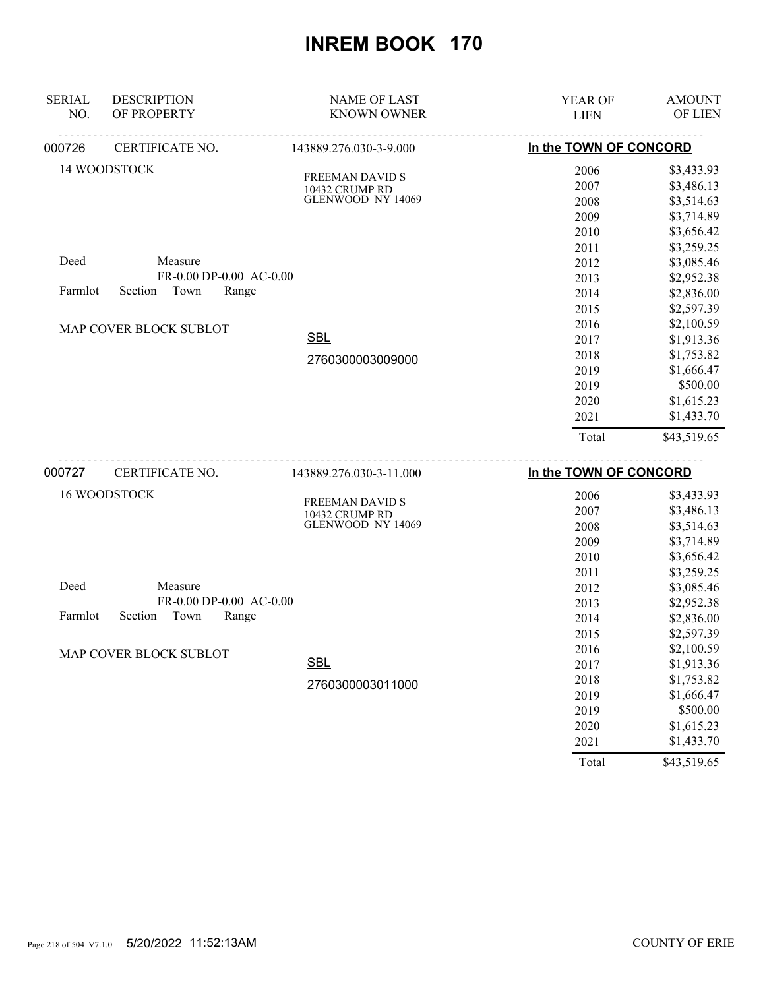| <b>SERIAL</b><br>NO. | <b>DESCRIPTION</b><br>OF PROPERTY | <b>NAME OF LAST</b><br><b>KNOWN OWNER</b> | YEAR OF<br><b>LIEN</b> | <b>AMOUNT</b><br>OF LIEN |
|----------------------|-----------------------------------|-------------------------------------------|------------------------|--------------------------|
| 000726               | CERTIFICATE NO.                   | 143889.276.030-3-9.000                    | In the TOWN OF CONCORD |                          |
|                      | 14 WOODSTOCK                      |                                           | 2006                   | \$3,433.93               |
|                      |                                   | FREEMAN DAVID S<br>10432 CRUMP RD         | 2007                   | \$3,486.13               |
|                      |                                   | GLENWOOD NY 14069                         | 2008                   | \$3,514.63               |
|                      |                                   |                                           | 2009                   | \$3,714.89               |
|                      |                                   |                                           | 2010                   | \$3,656.42               |
|                      |                                   |                                           | 2011                   | \$3,259.25               |
| Deed                 | Measure                           |                                           | 2012                   | \$3,085.46               |
|                      | FR-0.00 DP-0.00 AC-0.00           |                                           | 2013                   | \$2,952.38               |
| Farmlot              | Town<br>Section<br>Range          |                                           | 2014                   | \$2,836.00               |
|                      |                                   |                                           | 2015                   | \$2,597.39               |
|                      | MAP COVER BLOCK SUBLOT            |                                           | 2016                   | \$2,100.59               |
|                      |                                   | <b>SBL</b>                                | 2017                   | \$1,913.36               |
|                      |                                   | 2760300003009000                          | 2018                   | \$1,753.82               |
|                      |                                   |                                           | 2019                   | \$1,666.47               |
|                      |                                   |                                           | 2019                   | \$500.00                 |
|                      |                                   |                                           | 2020                   | \$1,615.23               |
|                      |                                   |                                           | 2021                   | \$1,433.70               |
|                      |                                   |                                           | Total                  | \$43,519.65              |
| 000727               | CERTIFICATE NO.                   | 143889.276.030-3-11.000                   | In the TOWN OF CONCORD |                          |
|                      | 16 WOODSTOCK                      |                                           | 2006                   | \$3,433.93               |
|                      |                                   | FREEMAN DAVID S                           | 2007                   | \$3,486.13               |
|                      |                                   | 10432 CRUMP RD<br>GLENWOOD NY 14069       | 2008                   | \$3,514.63               |
|                      |                                   |                                           | 2009                   | \$3,714.89               |
|                      |                                   |                                           | 2010                   | \$3,656.42               |
|                      |                                   |                                           | 2011                   | \$3,259.25               |
| Deed                 | Measure                           |                                           | 2012                   | \$3,085.46               |
|                      | FR-0.00 DP-0.00 AC-0.00           |                                           | 2013                   | \$2,952.38               |
| Farmlot              | Section<br>Town<br>Range          |                                           | 2014                   | \$2,836.00               |
|                      |                                   |                                           | 2015                   | \$2,597.39               |
|                      | MAP COVER BLOCK SUBLOT            |                                           | 2016                   | \$2,100.59               |
|                      |                                   | SBL                                       | 2017                   | \$1,913.36               |
|                      |                                   | 2760300003011000                          | 2018                   | \$1,753.82               |
|                      |                                   |                                           | 2019                   | \$1,666.47               |
|                      |                                   |                                           | 2019                   | \$500.00                 |
|                      |                                   |                                           | 2020                   | \$1,615.23               |
|                      |                                   |                                           | 2021                   | \$1,433.70               |

Total \$43,519.65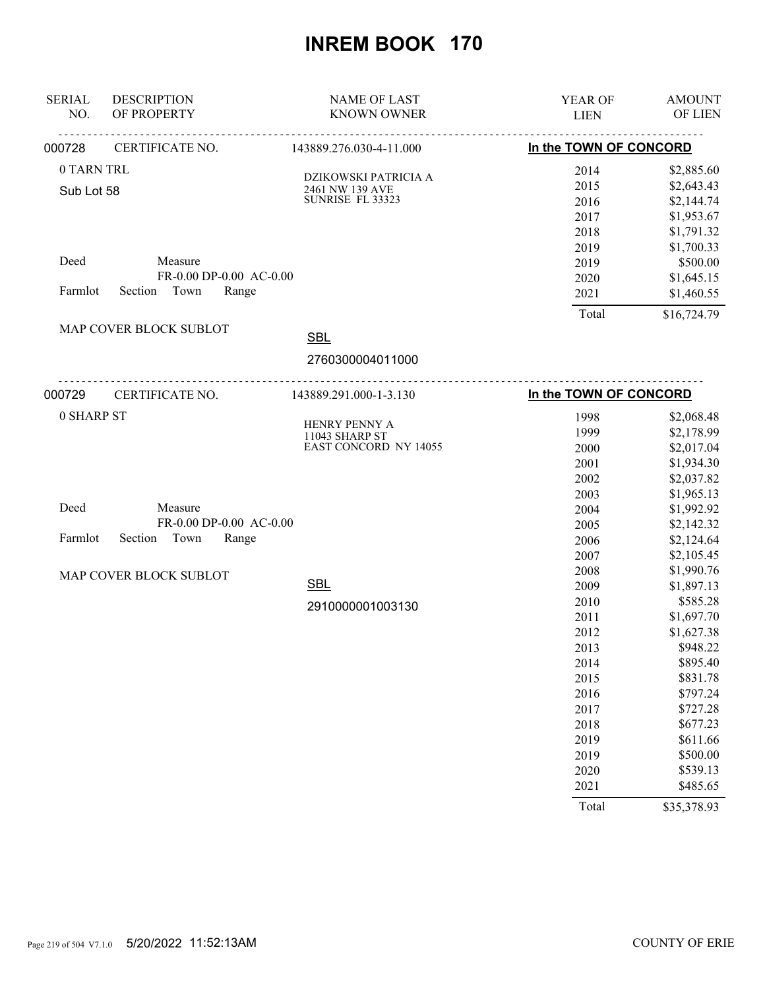| <b>SERIAL</b><br>NO. | <b>DESCRIPTION</b><br>OF PROPERTY | <b>NAME OF LAST</b><br><b>KNOWN OWNER</b>      | YEAR OF<br><b>LIEN</b> | <b>AMOUNT</b><br>OF LIEN |
|----------------------|-----------------------------------|------------------------------------------------|------------------------|--------------------------|
| 000728               | CERTIFICATE NO.                   | <u>.</u><br>143889.276.030-4-11.000            | In the TOWN OF CONCORD |                          |
| 0 TARN TRL           |                                   |                                                | 2014                   | \$2,885.60               |
|                      |                                   | DZIKOWSKI PATRICIA A                           | 2015                   | \$2,643.43               |
| Sub Lot 58           |                                   | 2461 NW 139 AVE<br>SUNRISE FL 33323            | 2016                   | \$2,144.74               |
|                      |                                   |                                                | 2017                   | \$1,953.67               |
|                      |                                   |                                                | 2018                   | \$1,791.32               |
|                      |                                   |                                                | 2019                   | \$1,700.33               |
| Deed                 | Measure                           |                                                | 2019                   | \$500.00                 |
|                      | FR-0.00 DP-0.00 AC-0.00           |                                                | 2020                   | \$1,645.15               |
| Farmlot              | Section Town<br>Range             |                                                | 2021                   | \$1,460.55               |
|                      |                                   |                                                | Total                  | \$16,724.79              |
|                      | MAP COVER BLOCK SUBLOT            | <b>SBL</b>                                     |                        |                          |
|                      |                                   | 2760300004011000                               |                        |                          |
| 000729               | CERTIFICATE NO.                   | 143889.291.000-1-3.130                         | In the TOWN OF CONCORD |                          |
| 0 SHARP ST           |                                   |                                                | 1998                   | \$2,068.48               |
|                      |                                   | HENRY PENNY A                                  | 1999                   | \$2,178.99               |
|                      |                                   | 11043 SHARP ST<br><b>EAST CONCORD NY 14055</b> | 2000                   | \$2,017.04               |
|                      |                                   |                                                | 2001                   | \$1,934.30               |
|                      |                                   |                                                | 2002                   | \$2,037.82               |
|                      |                                   |                                                | 2003                   | \$1,965.13               |
| Deed                 | Measure                           |                                                | 2004                   | \$1,992.92               |
|                      | FR-0.00 DP-0.00 AC-0.00           |                                                | 2005                   | \$2,142.32               |
| Farmlot              | Section Town<br>Range             |                                                | 2006                   | \$2,124.64               |
|                      |                                   |                                                | 2007                   | \$2,105.45               |
|                      | MAP COVER BLOCK SUBLOT            |                                                | 2008                   | \$1,990.76               |
|                      |                                   | <b>SBL</b>                                     | 2009                   | \$1,897.13               |
|                      |                                   | 2910000001003130                               | 2010                   | \$585.28                 |
|                      |                                   |                                                | 2011                   | \$1,697.70               |
|                      |                                   |                                                | 2012                   | \$1,627.38               |
|                      |                                   |                                                | 2013                   | \$948.22                 |
|                      |                                   |                                                | 2014                   | \$895.40                 |
|                      |                                   |                                                | 2015                   | \$831.78                 |
|                      |                                   |                                                | 2016                   | \$797.24                 |
|                      |                                   |                                                | 2017                   | \$727.28                 |
|                      |                                   |                                                | 2018                   | \$677.23                 |
|                      |                                   |                                                | 2019                   | \$611.66                 |
|                      |                                   |                                                | 2019                   | \$500.00                 |
|                      |                                   |                                                | 2020                   | \$539.13                 |
|                      |                                   |                                                | 2021                   | \$485.65                 |
|                      |                                   |                                                | Total                  | \$35,378.93              |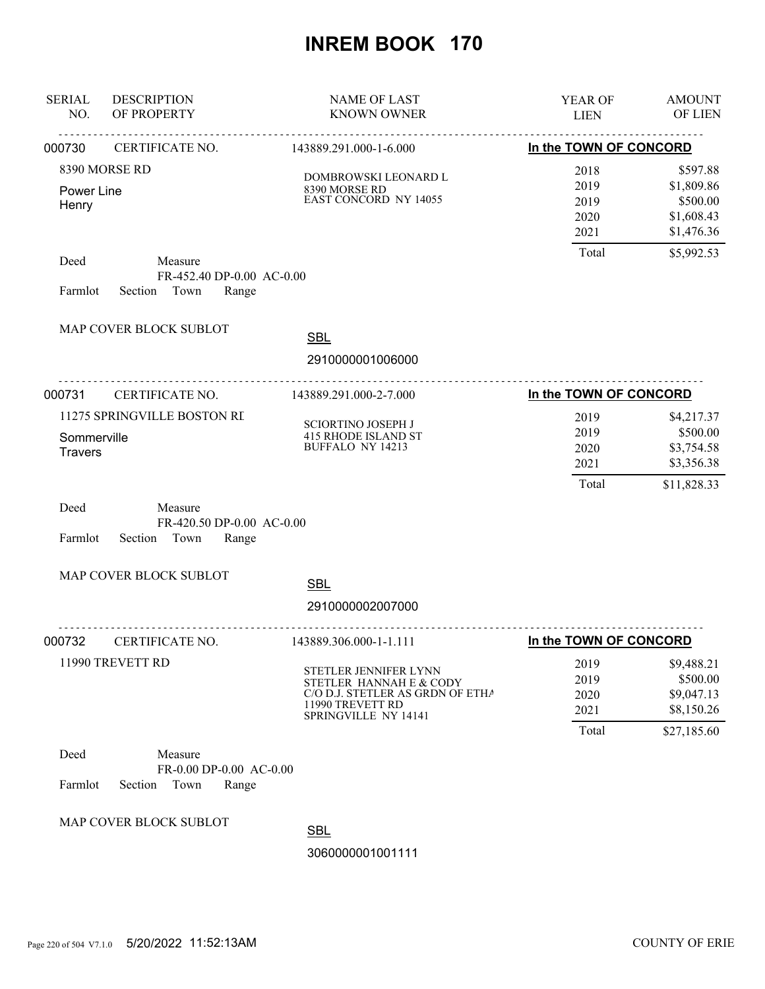| <b>SERIAL</b><br>NO.          | <b>DESCRIPTION</b><br>OF PROPERTY                                | <b>NAME OF LAST</b><br><b>KNOWN OWNER</b>                                                                                        | YEAR OF<br><b>LIEN</b>                | <b>AMOUNT</b><br>OF LIEN                                          |
|-------------------------------|------------------------------------------------------------------|----------------------------------------------------------------------------------------------------------------------------------|---------------------------------------|-------------------------------------------------------------------|
| 000730                        | CERTIFICATE NO.                                                  | 143889.291.000-1-6.000                                                                                                           | In the TOWN OF CONCORD                |                                                                   |
| Power Line<br>Henry           | 8390 MORSE RD                                                    | DOMBROWSKI LEONARD L<br>8390 MORSE RD<br><b>EAST CONCORD NY 14055</b>                                                            | 2018<br>2019<br>2019<br>2020<br>2021  | \$597.88<br>\$1,809.86<br>\$500.00<br>\$1,608.43<br>\$1,476.36    |
| Deed<br>Farmlot               | Measure<br>FR-452.40 DP-0.00 AC-0.00<br>Section Town<br>Range    |                                                                                                                                  | Total                                 | \$5,992.53                                                        |
|                               | MAP COVER BLOCK SUBLOT                                           | <b>SBL</b><br>2910000001006000                                                                                                   |                                       |                                                                   |
| 000731                        | CERTIFICATE NO.                                                  | 143889.291.000-2-7.000                                                                                                           | In the TOWN OF CONCORD                |                                                                   |
| Sommerville<br><b>Travers</b> | 11275 SPRINGVILLE BOSTON RI                                      | <b>SCIORTINO JOSEPH J</b><br><b>415 RHODE ISLAND ST</b><br><b>BUFFALO NY 14213</b>                                               | 2019<br>2019<br>2020<br>2021<br>Total | \$4,217.37<br>\$500.00<br>\$3,754.58<br>\$3,356.38<br>\$11,828.33 |
| Deed<br>Farmlot               | Measure<br>FR-420.50 DP-0.00 AC-0.00<br>Section<br>Town<br>Range |                                                                                                                                  |                                       |                                                                   |
|                               | MAP COVER BLOCK SUBLOT                                           | <b>SBL</b><br>2910000002007000                                                                                                   |                                       |                                                                   |
| 000732                        | CERTIFICATE NO.                                                  | 143889.306.000-1-1.111                                                                                                           | In the TOWN OF CONCORD                |                                                                   |
|                               | 11990 TREVETT RD                                                 | STETLER JENNIFER LYNN<br>STETLER HANNAH E & CODY<br>C/O D.J. STETLER AS GRDN OF ETHA<br>11990 TREVETT RD<br>SPRINGVILLE NY 14141 | 2019<br>2019<br>2020<br>2021          | \$9,488.21<br>\$500.00<br>\$9,047.13<br>\$8,150.26                |
| Deed<br>Farmlot               | Measure<br>FR-0.00 DP-0.00 AC-0.00<br>Section<br>Town<br>Range   |                                                                                                                                  | Total                                 | \$27,185.60                                                       |
|                               | MAP COVER BLOCK SUBLOT                                           | <b>SBL</b><br>3060000001001111                                                                                                   |                                       |                                                                   |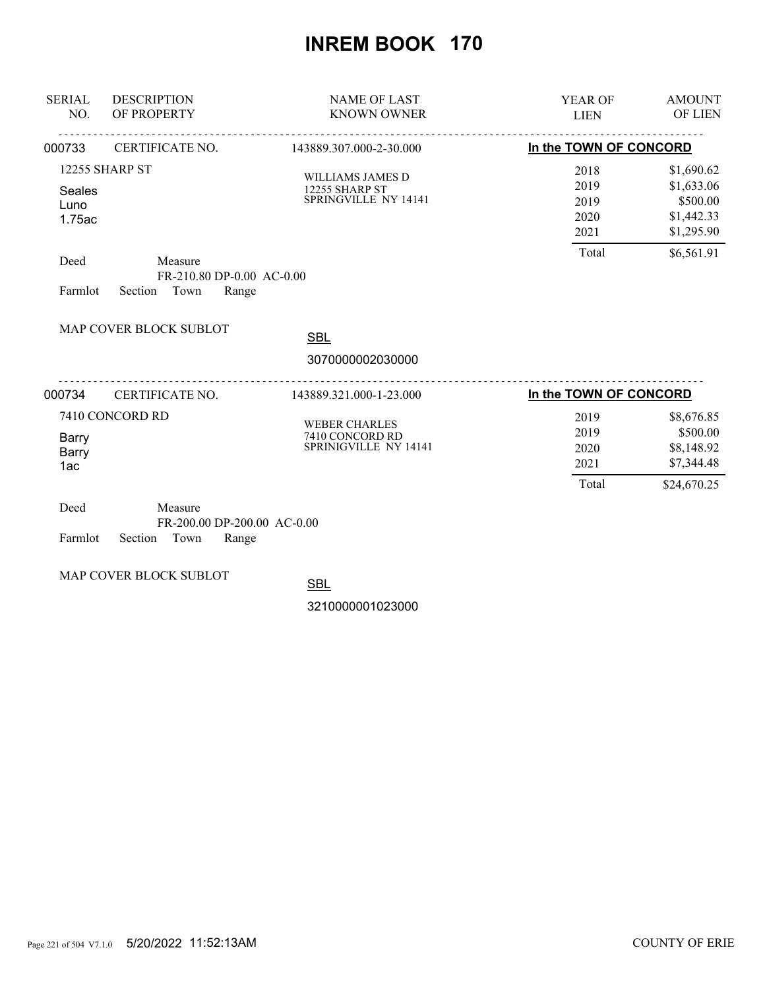| <b>SERIAL</b><br>NO.     | <b>DESCRIPTION</b><br>OF PROPERTY                                  | <b>NAME OF LAST</b><br><b>KNOWN OWNER</b>                         | <b>YEAR OF</b><br><b>LIEN</b>      | <b>AMOUNT</b><br>OF LIEN                           |
|--------------------------|--------------------------------------------------------------------|-------------------------------------------------------------------|------------------------------------|----------------------------------------------------|
| 000733                   | CERTIFICATE NO.                                                    | 143889.307.000-2-30.000                                           | In the TOWN OF CONCORD             |                                                    |
| Seales<br>Luno<br>1.75ac | 12255 SHARP ST                                                     | WILLIAMS JAMES D<br><b>12255 SHARP ST</b><br>SPRINGVILLE NY 14141 | 2018<br>2019<br>2019<br>2020       | \$1,690.62<br>\$1,633.06<br>\$500.00<br>\$1,442.33 |
| Deed<br>Farmlot          | Measure<br>FR-210.80 DP-0.00 AC-0.00<br>Town<br>Section<br>Range   |                                                                   | 2021<br>Total                      | \$1,295.90<br>\$6,561.91                           |
|                          | MAP COVER BLOCK SUBLOT                                             | <b>SBL</b><br>3070000002030000                                    |                                    |                                                    |
| 000734                   | CERTIFICATE NO.                                                    | 143889.321.000-1-23.000                                           | <u>.</u><br>In the TOWN OF CONCORD |                                                    |
|                          | 7410 CONCORD RD                                                    | <b>WEBER CHARLES</b>                                              | 2019                               | \$8,676.85                                         |
| Barry<br>Barry<br>1ac    |                                                                    | 7410 CONCORD RD<br>SPRINIGVILLE NY 14141                          | 2019<br>2020<br>2021               | \$500.00<br>\$8,148.92<br>\$7,344.48               |
|                          |                                                                    |                                                                   | Total                              | \$24,670.25                                        |
| Deed<br>Farmlot          | Measure<br>FR-200.00 DP-200.00 AC-0.00<br>Town<br>Section<br>Range |                                                                   |                                    |                                                    |

MAP COVER BLOCK SUBLOT

**SBL**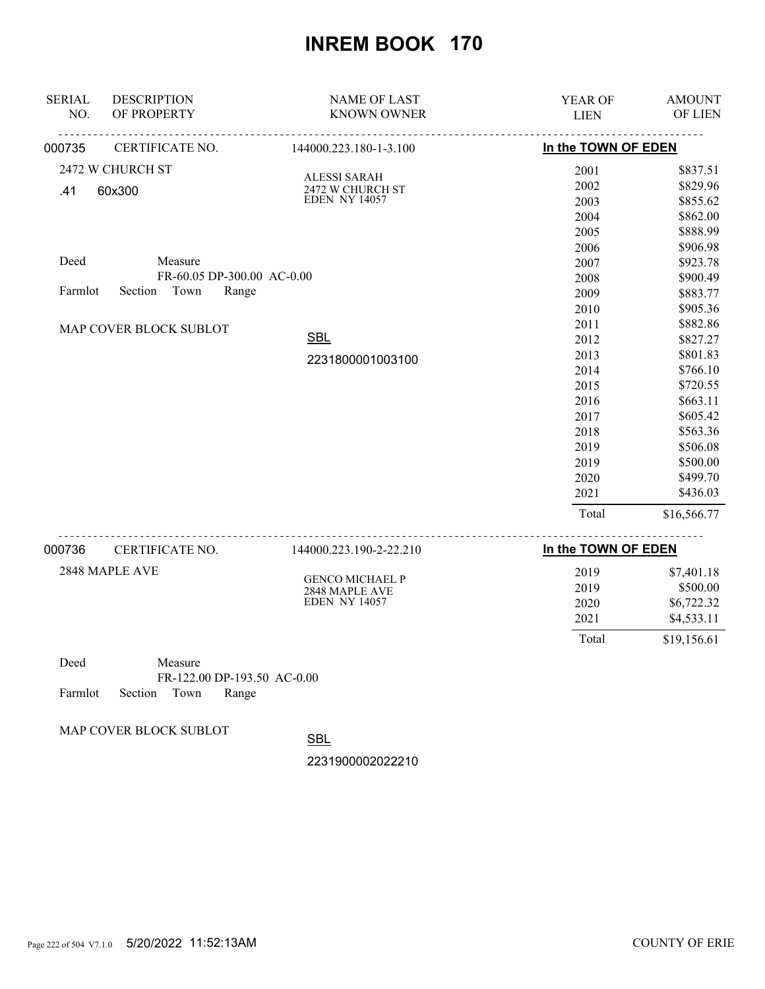| <b>SERIAL</b><br>NO. | <b>DESCRIPTION</b><br>OF PROPERTY | <b>NAME OF LAST</b><br><b>KNOWN OWNER</b> | YEAR OF<br><b>LIEN</b> | <b>AMOUNT</b><br>OF LIEN |
|----------------------|-----------------------------------|-------------------------------------------|------------------------|--------------------------|
| 000735               | CERTIFICATE NO.                   | 144000.223.180-1-3.100                    | In the TOWN OF EDEN    |                          |
|                      | 2472 W CHURCH ST                  | <b>ALESSI SARAH</b>                       | 2001                   | \$837.51                 |
| .41                  | 60x300                            | 2472 W CHURCH ST                          | 2002                   | \$829.96                 |
|                      |                                   | <b>EDEN NY 14057</b>                      | 2003                   | \$855.62                 |
|                      |                                   |                                           | 2004                   | \$862.00                 |
|                      |                                   |                                           | 2005                   | \$888.99                 |
|                      |                                   |                                           | 2006                   | \$906.98                 |
| Deed                 | Measure                           |                                           | 2007                   | \$923.78                 |
|                      | FR-60.05 DP-300.00 AC-0.00        |                                           | 2008                   | \$900.49                 |
| Farmlot              | Town<br>Section<br>Range          |                                           | 2009                   | \$883.77                 |
|                      |                                   |                                           | 2010                   | \$905.36                 |
|                      | MAP COVER BLOCK SUBLOT            |                                           | 2011                   | \$882.86                 |
|                      |                                   | <b>SBL</b>                                | 2012                   | \$827.27                 |
|                      |                                   | 2231800001003100                          | 2013                   | \$801.83                 |
|                      |                                   |                                           | 2014                   | \$766.10                 |
|                      |                                   |                                           | 2015                   | \$720.55                 |
|                      |                                   |                                           | 2016                   | \$663.11                 |
|                      |                                   |                                           | 2017                   | \$605.42                 |
|                      |                                   |                                           | 2018                   | \$563.36                 |
|                      |                                   |                                           | 2019                   | \$506.08                 |
|                      |                                   |                                           | 2019                   | \$500.00                 |
|                      |                                   |                                           | 2020                   | \$499.70                 |
|                      |                                   |                                           | 2021                   | \$436.03                 |
|                      |                                   |                                           | Total                  | \$16,566.77              |
| 000736               | CERTIFICATE NO.                   | 144000.223.190-2-22.210                   | In the TOWN OF EDEN    |                          |

| 2848 MAPLE AVE | <b>GENCO MICHAEL P</b><br>2848 MAPLE AVE<br><b>EDEN NY 14057</b> | 2019<br>2019<br>2020<br>2021 | \$7,401.18<br>\$500.00<br>\$6,722.32<br>\$4,533.11 |
|----------------|------------------------------------------------------------------|------------------------------|----------------------------------------------------|
|                |                                                                  | Total                        | \$19,156.61                                        |

Deed Measure FR-122.00 DP-193.50 AC-0.00 Farmlot Section Town Range

MAP COVER BLOCK SUBLOT

**SBL**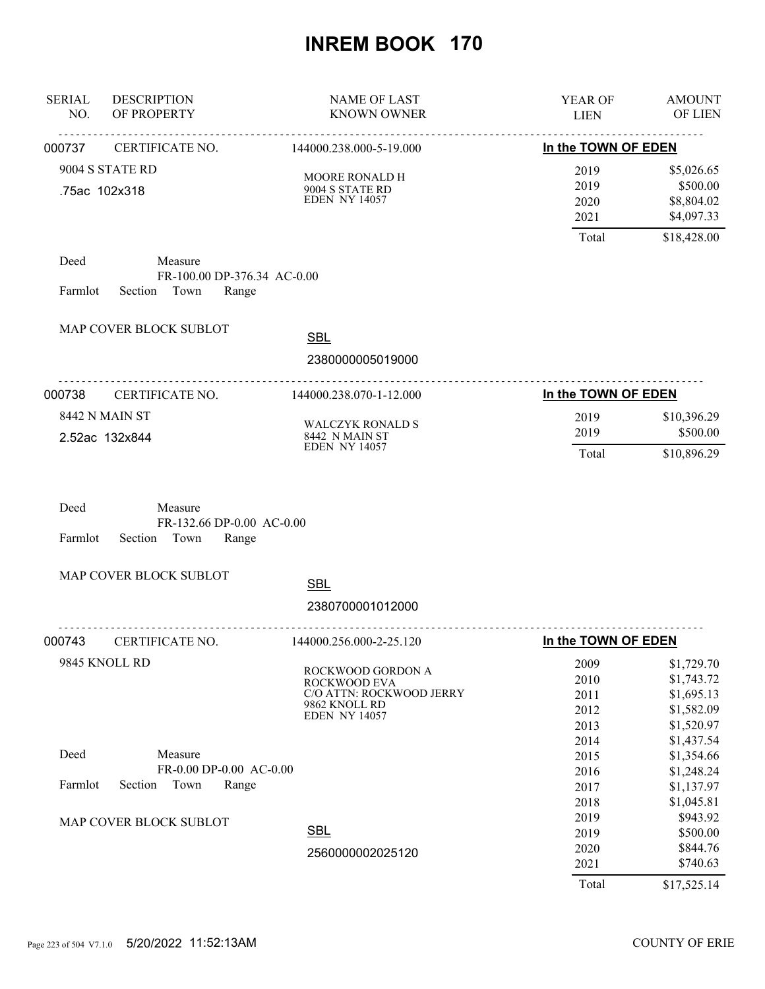| <b>SERIAL</b><br>NO.                    | <b>DESCRIPTION</b><br>OF PROPERTY                                | <b>NAME OF LAST</b><br><b>KNOWN OWNER</b>                                                              | YEAR OF<br><b>LIEN</b>                | <b>AMOUNT</b><br>OF LIEN                                           |
|-----------------------------------------|------------------------------------------------------------------|--------------------------------------------------------------------------------------------------------|---------------------------------------|--------------------------------------------------------------------|
| 000737                                  | CERTIFICATE NO.                                                  | 144000.238.000-5-19.000                                                                                | In the TOWN OF EDEN                   |                                                                    |
| .75ac 102x318                           | 9004 S STATE RD                                                  | MOORE RONALD H<br>9004 S STATE RD<br><b>EDEN NY 14057</b>                                              | 2019<br>2019<br>2020<br>2021          | \$5,026.65<br>\$500.00<br>\$8,804.02<br>\$4,097.33                 |
|                                         |                                                                  |                                                                                                        | Total                                 | \$18,428.00                                                        |
| Deed<br>Farmlot                         | Measure<br>FR-100.00 DP-376.34 AC-0.00<br>Section Town<br>Range  |                                                                                                        |                                       |                                                                    |
|                                         | MAP COVER BLOCK SUBLOT                                           | <b>SBL</b>                                                                                             |                                       |                                                                    |
|                                         |                                                                  | 2380000005019000                                                                                       |                                       |                                                                    |
| 000738                                  | .<br>CERTIFICATE NO.                                             | 144000.238.070-1-12.000                                                                                | In the TOWN OF EDEN                   |                                                                    |
| <b>8442 N MAIN ST</b><br>2.52ac 132x844 |                                                                  | <b>WALCZYK RONALD S</b><br>8442 N MAIN ST<br><b>EDEN NY 14057</b>                                      | 2019<br>2019<br>Total                 | \$10,396.29<br>\$500.00<br>\$10,896.29                             |
| Deed<br>Farmlot                         | Measure<br>FR-132.66 DP-0.00 AC-0.00<br>Section<br>Town<br>Range |                                                                                                        |                                       |                                                                    |
|                                         | MAP COVER BLOCK SUBLOT                                           | <b>SBL</b><br>2380700001012000                                                                         |                                       |                                                                    |
| 000743                                  | CERTIFICATE NO.                                                  | 144000.256.000-2-25.120                                                                                | In the TOWN OF EDEN                   |                                                                    |
| 9845 KNOLL RD                           |                                                                  | ROCKWOOD GORDON A<br>ROCKWOOD EVA<br>C/O ATTN: ROCKWOOD JERRY<br>9862 KNOLL RD<br><b>EDEN NY 14057</b> | 2009<br>2010<br>2011<br>2012<br>2013  | \$1,729.70<br>\$1,743.72<br>\$1,695.13<br>\$1,582.09<br>\$1,520.97 |
| Deed                                    | Measure<br>FR-0.00 DP-0.00 AC-0.00                               |                                                                                                        | 2014<br>2015<br>2016                  | \$1,437.54<br>\$1,354.66<br>\$1,248.24                             |
| Farmlot                                 | Section<br>Town<br>Range                                         |                                                                                                        | 2017<br>2018                          | \$1,137.97<br>\$1,045.81                                           |
|                                         | MAP COVER BLOCK SUBLOT                                           | <b>SBL</b><br>2560000002025120                                                                         | 2019<br>2019<br>2020<br>2021<br>Total | \$943.92<br>\$500.00<br>\$844.76<br>\$740.63<br>\$17,525.14        |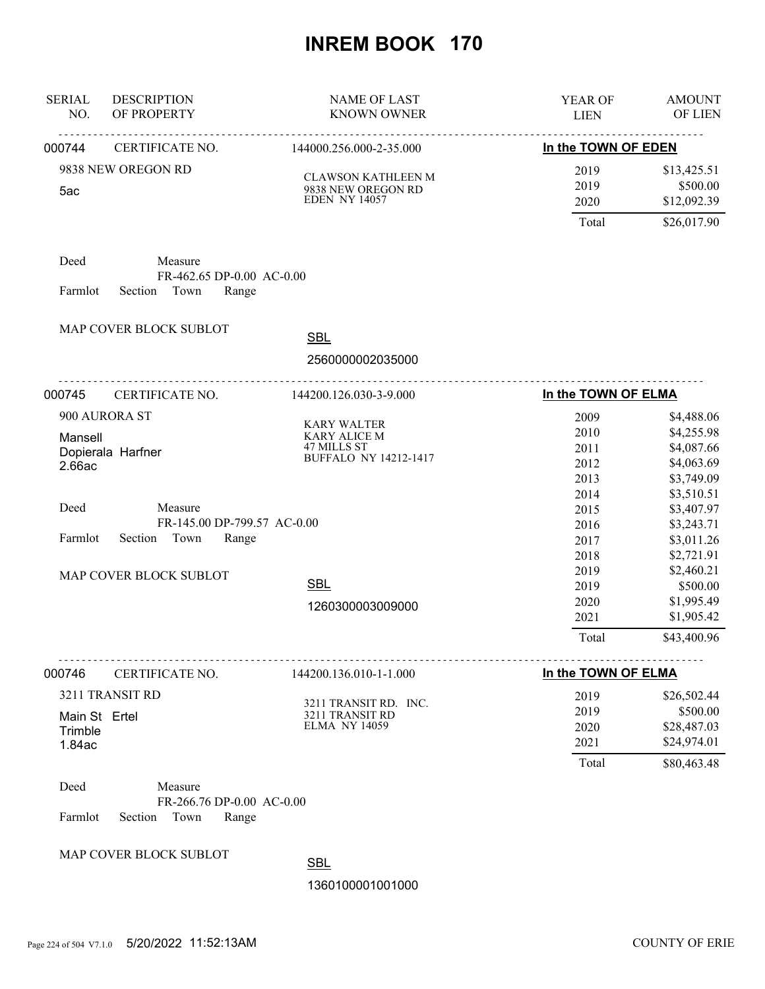| <b>SERIAL</b><br>NO.     | <b>DESCRIPTION</b><br>OF PROPERTY                       | <b>NAME OF LAST</b><br><b>KNOWN OWNER</b>  | YEAR OF<br><b>LIEN</b> | <b>AMOUNT</b><br>OF LIEN |
|--------------------------|---------------------------------------------------------|--------------------------------------------|------------------------|--------------------------|
| 000744                   | <u>.</u><br>CERTIFICATE NO.                             | 144000.256.000-2-35.000                    | In the TOWN OF EDEN    |                          |
|                          | 9838 NEW OREGON RD                                      | CLAWSON KATHLEEN M                         | 2019                   | \$13,425.51              |
| 5ac                      |                                                         | 9838 NEW OREGON RD<br><b>EDEN NY 14057</b> | 2019<br>2020           | \$500.00<br>\$12,092.39  |
|                          |                                                         |                                            | Total                  | \$26,017.90              |
| Deed                     | Measure                                                 |                                            |                        |                          |
| Farmlot                  | FR-462.65 DP-0.00 AC-0.00<br>Section<br>Town<br>Range   |                                            |                        |                          |
|                          | MAP COVER BLOCK SUBLOT                                  | <b>SBL</b>                                 |                        |                          |
|                          |                                                         | 2560000002035000                           |                        |                          |
| 000745                   | <u>.</u><br>CERTIFICATE NO.                             | 144200.126.030-3-9.000                     | In the TOWN OF ELMA    |                          |
|                          | 900 AURORA ST                                           |                                            | 2009                   | \$4,488.06               |
| Mansell                  |                                                         | <b>KARY WALTER</b><br>KARY ALICE M         | 2010                   | \$4,255.98               |
|                          | Dopierala Harfner                                       | 47 MILLS ST                                | 2011                   | \$4,087.66               |
| 2.66ac                   |                                                         | <b>BUFFALO NY 14212-1417</b>               | 2012                   | \$4,063.69               |
|                          |                                                         |                                            | 2013                   | \$3,749.09               |
|                          |                                                         |                                            | 2014                   | \$3,510.51               |
| Deed                     | Measure                                                 |                                            | 2015                   | \$3,407.97               |
| Farmlot                  | FR-145.00 DP-799.57 AC-0.00<br>Town<br>Section<br>Range |                                            | 2016                   | \$3,243.71               |
|                          |                                                         |                                            | 2017                   | \$3,011.26               |
|                          |                                                         |                                            | 2018<br>2019           | \$2,721.91<br>\$2,460.21 |
|                          | MAP COVER BLOCK SUBLOT                                  | <b>SBL</b>                                 | 2019                   | \$500.00                 |
|                          |                                                         |                                            | 2020                   | \$1,995.49               |
|                          |                                                         | 1260300003009000                           | 2021                   | \$1,905.42               |
|                          |                                                         |                                            | Total                  | \$43,400.96              |
| 000746                   | CERTIFICATE NO.                                         | 144200.136.010-1-1.000                     | In the TOWN OF ELMA    |                          |
|                          | 3211 TRANSIT RD                                         |                                            | 2019                   | \$26,502.44              |
|                          |                                                         | 3211 TRANSIT RD. INC.                      | 2019                   | \$500.00                 |
| Main St Ertel<br>Trimble |                                                         | 3211 TRANSIT RD<br><b>ELMA NY 14059</b>    | 2020                   | \$28,487.03              |
| 1.84ac                   |                                                         |                                            | 2021                   | \$24,974.01              |
|                          |                                                         |                                            | Total                  | \$80,463.48              |
| Deed                     | Measure                                                 |                                            |                        |                          |
| Farmlot                  | FR-266.76 DP-0.00 AC-0.00<br>Town<br>Section<br>Range   |                                            |                        |                          |
|                          | MAP COVER BLOCK SUBLOT                                  | <b>CDI</b>                                 |                        |                          |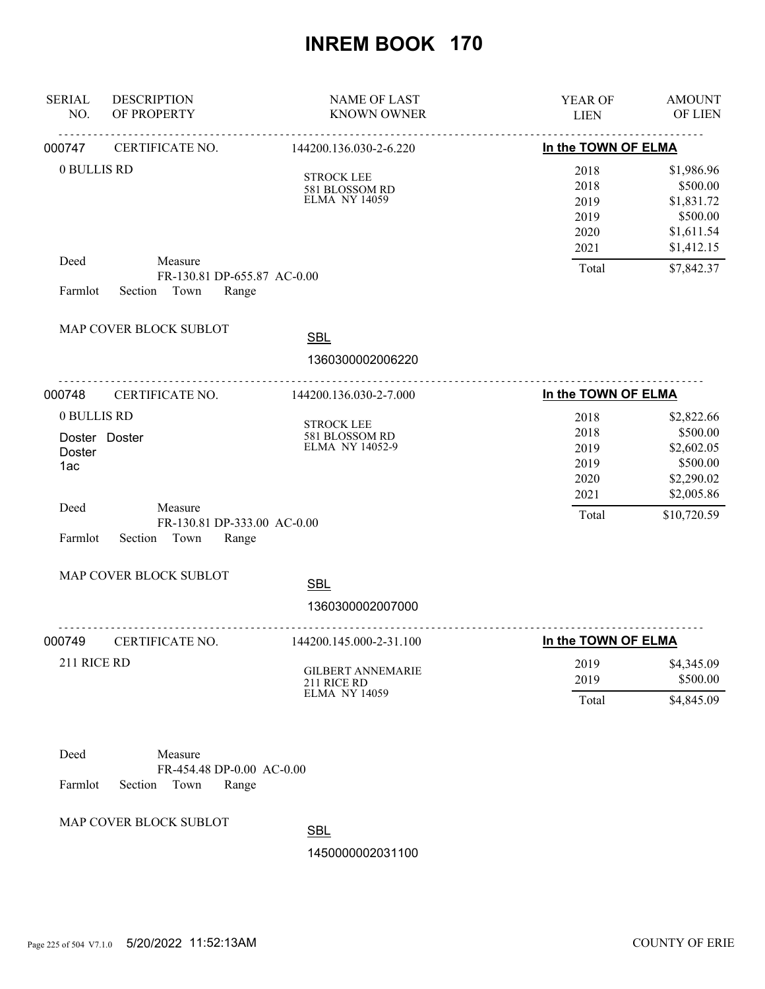| <b>SERIAL</b><br>NO.                            | <b>DESCRIPTION</b><br>OF PROPERTY                                                   | <b>NAME OF LAST</b><br><b>KNOWN OWNER</b>                       | YEAR OF<br><b>LIEN</b>                                 | <b>AMOUNT</b><br><b>OF LIEN</b>                                                             |
|-------------------------------------------------|-------------------------------------------------------------------------------------|-----------------------------------------------------------------|--------------------------------------------------------|---------------------------------------------------------------------------------------------|
| 000747                                          | CERTIFICATE NO.                                                                     | 144200.136.030-2-6.220                                          | -------------------------------<br>In the TOWN OF ELMA | <u>.</u>                                                                                    |
| 0 BULLIS RD                                     |                                                                                     | <b>STROCK LEE</b><br>581 BLOSSOM RD<br><b>ELMA NY 14059</b>     | 2018<br>2018<br>2019<br>2019<br>2020<br>2021           | \$1,986.96<br>\$500.00<br>\$1,831.72<br>\$500.00<br>\$1,611.54<br>\$1,412.15                |
| Deed<br>Farmlot                                 | Measure<br>FR-130.81 DP-655.87 AC-0.00<br>Town<br>Section<br>Range                  |                                                                 | Total                                                  | \$7,842.37                                                                                  |
|                                                 | MAP COVER BLOCK SUBLOT                                                              | <b>SBL</b><br>1360300002006220                                  |                                                        |                                                                                             |
| 000748                                          | CERTIFICATE NO.                                                                     | 144200.136.030-2-7.000                                          | In the TOWN OF ELMA                                    |                                                                                             |
| 0 BULLIS RD<br>Doster<br>1ac<br>Deed<br>Farmlot | Doster Doster<br>Measure<br>FR-130.81 DP-333.00 AC-0.00<br>Section<br>Town<br>Range | <b>STROCK LEE</b><br>581 BLOSSOM RD<br>ELMA NY 14052-9          | 2018<br>2018<br>2019<br>2019<br>2020<br>2021<br>Total  | \$2,822.66<br>\$500.00<br>\$2,602.05<br>\$500.00<br>\$2,290.02<br>\$2,005.86<br>\$10,720.59 |
|                                                 | MAP COVER BLOCK SUBLOT                                                              | <b>SBL</b><br>1360300002007000                                  |                                                        |                                                                                             |
| 000749                                          | CERTIFICATE NO.                                                                     | 144200.145.000-2-31.100                                         | In the TOWN OF ELMA                                    |                                                                                             |
| 211 RICE RD                                     |                                                                                     | <b>GILBERT ANNEMARIE</b><br>211 RICE RD<br><b>ELMA NY 14059</b> | 2019<br>2019<br>Total                                  | \$4,345.09<br>\$500.00<br>\$4,845.09                                                        |
| Deed<br>Farmlot                                 | Measure<br>FR-454.48 DP-0.00 AC-0.00<br>Section<br>Town<br>Range                    |                                                                 |                                                        |                                                                                             |
|                                                 | MAP COVER BLOCK SUBLOT                                                              | <b>SBL</b>                                                      |                                                        |                                                                                             |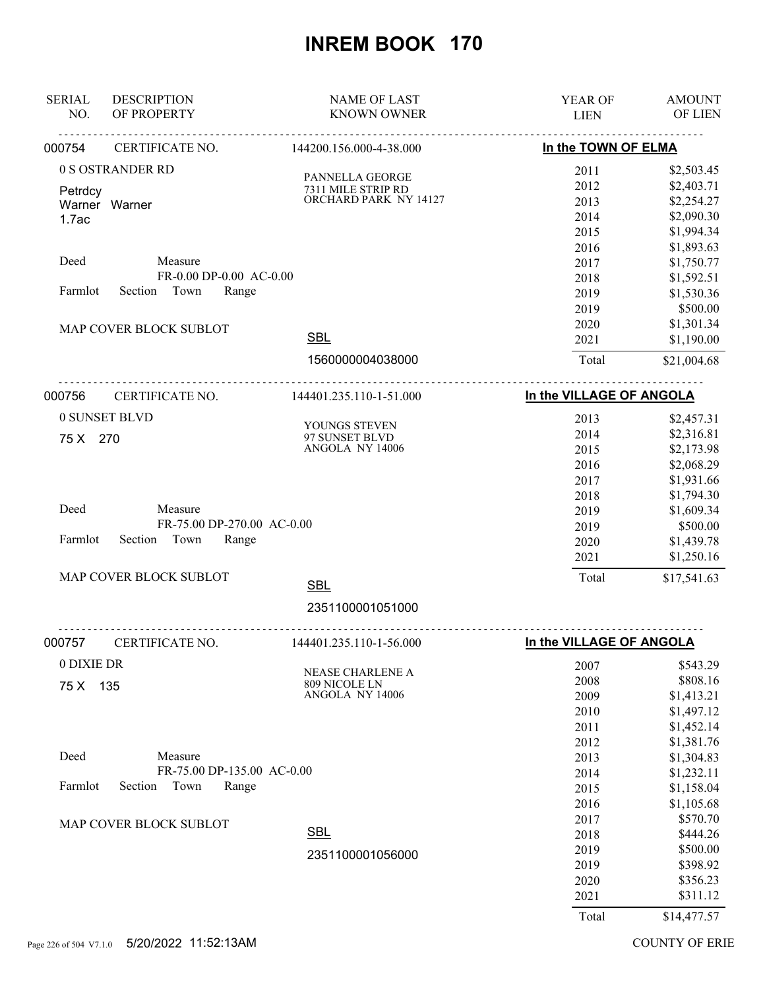| <b>SERIAL</b><br>NO. | <b>DESCRIPTION</b><br>OF PROPERTY | <b>NAME OF LAST</b><br><b>KNOWN OWNER</b> | <b>YEAR OF</b><br><b>LIEN</b> | <b>AMOUNT</b><br>OF LIEN |
|----------------------|-----------------------------------|-------------------------------------------|-------------------------------|--------------------------|
| 000754               | CERTIFICATE NO.                   | 144200.156.000-4-38.000                   | In the TOWN OF ELMA           |                          |
|                      | 0 S OSTRANDER RD                  |                                           | 2011                          | \$2,503.45               |
| Petrdcy              |                                   | PANNELLA GEORGE<br>7311 MILE STRIP RD     | 2012                          | \$2,403.71               |
|                      | Warner Warner                     | ORCHARD PARK NY 14127                     | 2013                          | \$2,254.27               |
| 1.7ac                |                                   |                                           | 2014                          | \$2,090.30               |
|                      |                                   |                                           | 2015                          | \$1,994.34               |
|                      |                                   |                                           | 2016                          | \$1,893.63               |
| Deed                 | Measure                           |                                           | 2017                          | \$1,750.77               |
|                      | FR-0.00 DP-0.00 AC-0.00           |                                           | 2018                          | \$1,592.51               |
| Farmlot              | Section Town<br>Range             |                                           | 2019                          | \$1,530.36               |
|                      |                                   |                                           | 2019                          | \$500.00                 |
|                      | MAP COVER BLOCK SUBLOT            | <b>SBL</b>                                | 2020                          | \$1,301.34               |
|                      |                                   |                                           | 2021                          | \$1,190.00               |
|                      |                                   | 1560000004038000                          | Total                         | \$21,004.68              |
| 000756               | CERTIFICATE NO.                   | <u>.</u><br>144401.235.110-1-51.000       | In the VILLAGE OF ANGOLA      |                          |
|                      | 0 SUNSET BLVD                     |                                           | 2013                          | \$2,457.31               |
| 75 X 270             |                                   | YOUNGS STEVEN<br>97 SUNSET BLVD           | 2014                          | \$2,316.81               |
|                      |                                   | ANGOLA NY 14006                           | 2015                          | \$2,173.98               |
|                      |                                   |                                           | 2016                          | \$2,068.29               |
|                      |                                   |                                           | 2017                          | \$1,931.66               |
|                      |                                   |                                           | 2018                          | \$1,794.30               |
| Deed                 | Measure                           |                                           | 2019                          | \$1,609.34               |
|                      | FR-75.00 DP-270.00 AC-0.00        |                                           | 2019                          | \$500.00                 |
| Farmlot              | Section<br>Town<br>Range          |                                           | 2020                          | \$1,439.78               |
|                      |                                   |                                           | 2021                          | \$1,250.16               |
|                      | MAP COVER BLOCK SUBLOT            | <b>SBL</b>                                | Total                         | \$17,541.63              |
|                      |                                   | 2351100001051000                          |                               |                          |
| 000757               | CERTIFICATE NO.                   | <u>.</u><br>144401.235.110-1-56.000       | In the VILLAGE OF ANGOLA      |                          |
| 0 DIXIE DR           |                                   |                                           | 2007                          | \$543.29                 |
|                      |                                   | NEASE CHARLENE A<br>809 NICOLE LN         | 2008                          | \$808.16                 |
| 75 X                 | 135                               | ANGOLA NY 14006                           | 2009                          | \$1,413.21               |
|                      |                                   |                                           | 2010                          | \$1,497.12               |
|                      |                                   |                                           | 2011                          | \$1,452.14               |
|                      |                                   |                                           | 2012                          | \$1,381.76               |
| Deed                 | Measure                           |                                           | 2013                          | \$1,304.83               |
|                      | FR-75.00 DP-135.00 AC-0.00        |                                           | 2014                          | \$1,232.11               |
| Farmlot              | Section<br>Town<br>Range          |                                           | 2015                          | \$1,158.04               |
|                      |                                   |                                           | 2016                          | \$1,105.68               |
|                      | MAP COVER BLOCK SUBLOT            |                                           | 2017                          | \$570.70                 |
|                      |                                   | <b>SBL</b>                                | 2018                          | \$444.26                 |
|                      |                                   | 2351100001056000                          | 2019                          | \$500.00                 |
|                      |                                   |                                           | 2019                          | \$398.92                 |
|                      |                                   |                                           | 2020                          | \$356.23                 |
|                      |                                   |                                           | 2021<br>Total                 | \$311.12<br>\$14,477.57  |
|                      |                                   |                                           |                               |                          |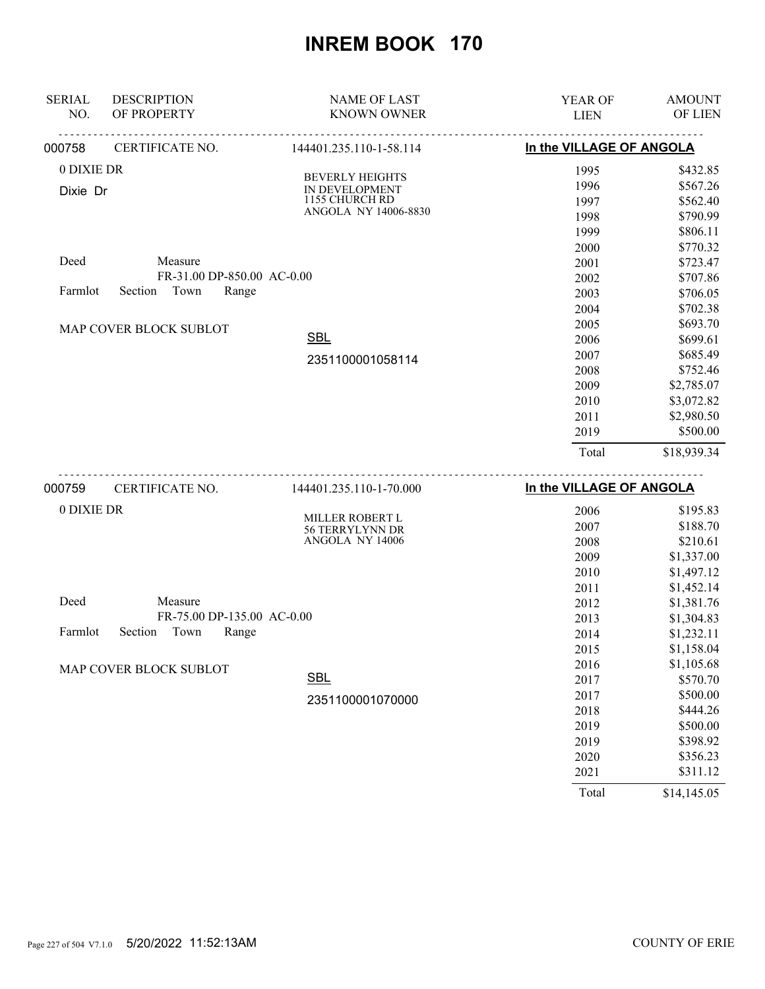| <b>SERIAL</b> | <b>DESCRIPTION</b>         | <b>NAME OF LAST</b>                | YEAR OF                  | <b>AMOUNT</b>            |
|---------------|----------------------------|------------------------------------|--------------------------|--------------------------|
| NO.           | OF PROPERTY                | <b>KNOWN OWNER</b>                 | <b>LIEN</b>              | OF LIEN                  |
| 000758        | CERTIFICATE NO.            | 144401.235.110-1-58.114            | In the VILLAGE OF ANGOLA |                          |
| 0 DIXIE DR    |                            | <b>BEVERLY HEIGHTS</b>             | 1995                     | \$432.85                 |
| Dixie Dr      |                            | IN DEVELOPMENT                     | 1996                     | \$567.26                 |
|               |                            | 1155 CHURCH RD                     | 1997                     | \$562.40                 |
|               |                            | ANGOLA NY 14006-8830               | 1998                     | \$790.99                 |
|               |                            |                                    | 1999                     | \$806.11                 |
|               |                            |                                    | 2000                     | \$770.32                 |
| Deed          | Measure                    |                                    | 2001                     | \$723.47                 |
|               | FR-31.00 DP-850.00 AC-0.00 |                                    | 2002                     | \$707.86                 |
| Farmlot       | Town<br>Section<br>Range   |                                    | 2003                     | \$706.05                 |
|               |                            |                                    | 2004                     | \$702.38                 |
|               | MAP COVER BLOCK SUBLOT     |                                    | 2005                     | \$693.70                 |
|               |                            | <b>SBL</b>                         | 2006                     | \$699.61                 |
|               |                            | 2351100001058114                   | 2007                     | \$685.49                 |
|               |                            |                                    | 2008                     | \$752.46                 |
|               |                            |                                    | 2009                     | \$2,785.07               |
|               |                            |                                    | 2010                     | \$3,072.82               |
|               |                            |                                    | 2011                     | \$2,980.50               |
|               |                            |                                    | 2019                     | \$500.00                 |
|               |                            |                                    | Total                    | \$18,939.34              |
| 000759        | .<br>CERTIFICATE NO.       | 144401.235.110-1-70.000            | In the VILLAGE OF ANGOLA |                          |
| 0 DIXIE DR    |                            |                                    |                          |                          |
|               |                            | MILLER ROBERT L                    | 2006                     | \$195.83<br>\$188.70     |
|               |                            | 56 TERRYLYNN DR<br>ANGOLA NY 14006 | 2007                     |                          |
|               |                            |                                    | 2008                     | \$210.61                 |
|               |                            |                                    | 2009                     | \$1,337.00               |
|               |                            |                                    | 2010                     | \$1,497.12<br>\$1,452.14 |
| Deed          | Measure                    |                                    | 2011<br>2012             | \$1,381.76               |
|               | FR-75.00 DP-135.00 AC-0.00 |                                    |                          |                          |
| Farmlot       | Section<br>Town<br>Range   |                                    | 2013                     | \$1,304.83               |
|               |                            |                                    | 2014                     | \$1,232.11               |
|               |                            |                                    | 2015                     | \$1,158.04               |
|               | MAP COVER BLOCK SUBLOT     | <b>SBL</b>                         | 2016                     | \$1,105.68<br>\$570.70   |
|               |                            |                                    | 2017                     |                          |
|               |                            | 2351100001070000                   | 2017                     | \$500.00                 |
|               |                            |                                    | 2018                     | \$444.26                 |
|               |                            |                                    | 2019                     | \$500.00                 |
|               |                            |                                    | 2019                     | \$398.92<br>\$356.23     |
|               |                            |                                    | 2020                     | \$311.12                 |
|               |                            |                                    | 2021                     |                          |

Total \$14,145.05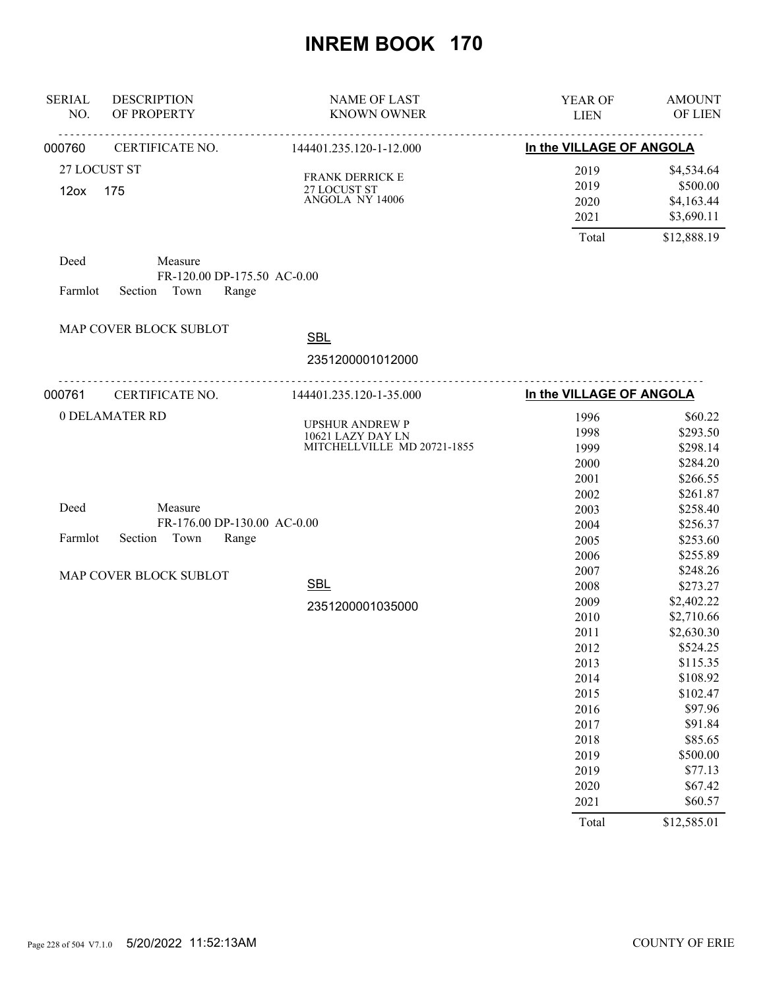| <b>SERIAL</b><br>NO.             | <b>DESCRIPTION</b><br>OF PROPERTY                                  | <b>NAME OF LAST</b><br><b>KNOWN OWNER</b>                                  | YEAR OF<br><b>LIEN</b>                                                                                                                | <b>AMOUNT</b><br>OF LIEN                                                                                                                                                                                    |
|----------------------------------|--------------------------------------------------------------------|----------------------------------------------------------------------------|---------------------------------------------------------------------------------------------------------------------------------------|-------------------------------------------------------------------------------------------------------------------------------------------------------------------------------------------------------------|
| 000760                           | CERTIFICATE NO.                                                    | <u>.</u><br>144401.235.120-1-12.000                                        | In the VILLAGE OF ANGOLA                                                                                                              |                                                                                                                                                                                                             |
| 27 LOCUST ST<br>12 <sub>ox</sub> | 175                                                                | FRANK DERRICK E<br>$27$ LOCUST ST $\,$ ANGOLA $\,$ NY 14006 $\,$           | 2019<br>2019<br>2020<br>2021                                                                                                          | \$4,534.64<br>\$500.00<br>\$4,163.44<br>\$3,690.11                                                                                                                                                          |
| Deed<br>Farmlot                  | Measure<br>FR-120.00 DP-175.50 AC-0.00<br>Section Town<br>Range    |                                                                            | Total                                                                                                                                 | \$12,888.19                                                                                                                                                                                                 |
|                                  | MAP COVER BLOCK SUBLOT                                             | <b>SBL</b><br>2351200001012000                                             |                                                                                                                                       |                                                                                                                                                                                                             |
| 000761                           | .<br>CERTIFICATE NO.                                               | .<br>144401.235.120-1-35.000                                               | In the VILLAGE OF ANGOLA                                                                                                              |                                                                                                                                                                                                             |
| 0 DELAMATER RD                   |                                                                    | <b>UPSHUR ANDREW P</b><br>10621 LAZY DAY LN<br>MITCHELLVILLE MD 20721-1855 | 1996<br>1998<br>1999<br>2000<br>2001<br>2002                                                                                          | \$60.22<br>\$293.50<br>\$298.14<br>\$284.20<br>\$266.55<br>\$261.87                                                                                                                                         |
| Deed<br>Farmlot                  | Measure<br>FR-176.00 DP-130.00 AC-0.00<br>Town<br>Section<br>Range |                                                                            | 2003<br>2004<br>2005<br>2006                                                                                                          | \$258.40<br>\$256.37<br>\$253.60<br>\$255.89                                                                                                                                                                |
|                                  | MAP COVER BLOCK SUBLOT                                             | <b>SBL</b><br>2351200001035000                                             | 2007<br>2008<br>2009<br>2010<br>2011<br>2012<br>2013<br>2014<br>2015<br>2016<br>2017<br>2018<br>2019<br>2019<br>2020<br>2021<br>Total | \$248.26<br>\$273.27<br>\$2,402.22<br>\$2,710.66<br>\$2,630.30<br>\$524.25<br>\$115.35<br>\$108.92<br>\$102.47<br>\$97.96<br>\$91.84<br>\$85.65<br>\$500.00<br>\$77.13<br>\$67.42<br>\$60.57<br>\$12,585.01 |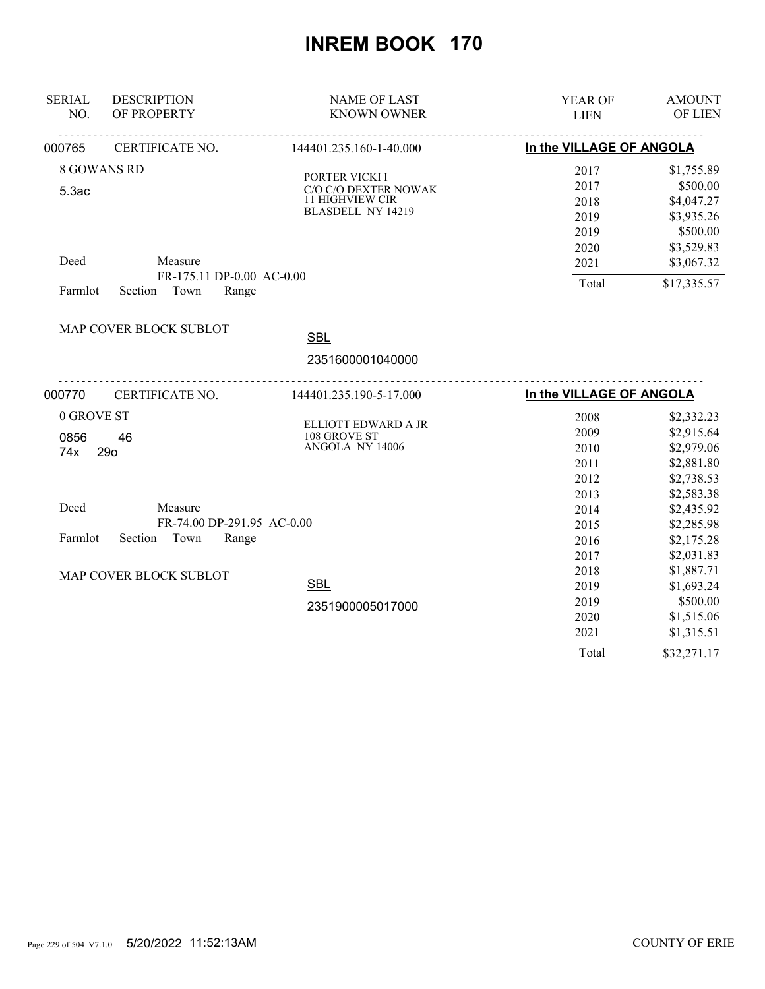| <b>SERIAL</b><br>NO. | <b>DESCRIPTION</b><br>OF PROPERTY                       | <b>NAME OF LAST</b><br><b>KNOWN OWNER</b> | YEAR OF<br><b>LIEN</b>        | <b>AMOUNT</b><br>OF LIEN |
|----------------------|---------------------------------------------------------|-------------------------------------------|-------------------------------|--------------------------|
|                      |                                                         |                                           |                               |                          |
| 000765               | CERTIFICATE NO.                                         | 144401.235.160-1-40.000                   | In the VILLAGE OF ANGOLA      |                          |
|                      | 8 GOWANS RD                                             | PORTER VICKI I                            | 2017                          | \$1,755.89               |
| 5.3ac                |                                                         | C/O C/O DEXTER NOWAK                      | 2017                          | \$500.00                 |
|                      |                                                         | 11 HIGHVIEW CIR                           | 2018                          | \$4,047.27               |
|                      |                                                         | BLASDELL NY 14219                         | 2019                          | \$3,935.26               |
|                      |                                                         |                                           | 2019                          | \$500.00                 |
|                      |                                                         |                                           | 2020                          | \$3,529.83               |
| Deed                 | Measure                                                 |                                           | 2021                          | \$3,067.32               |
|                      | FR-175.11 DP-0.00 AC-0.00                               |                                           | Total                         | \$17,335.57              |
| Farmlot              | Town<br>Section<br>Range                                |                                           |                               |                          |
|                      | MAP COVER BLOCK SUBLOT                                  |                                           |                               |                          |
|                      |                                                         | <b>SBL</b>                                |                               |                          |
|                      |                                                         | 2351600001040000                          |                               |                          |
| 000770               | <u>-----------------------------</u><br>CERTIFICATE NO. | 144401.235.190-5-17.000                   | .<br>In the VILLAGE OF ANGOLA |                          |
| 0 GROVE ST           |                                                         |                                           | 2008                          | \$2,332.23               |
| 0856                 | 46                                                      | ELLIOTT EDWARD A JR<br>108 GROVE ST       | 2009                          | \$2,915.64               |
| 74x                  | <b>29o</b>                                              | ANGOLA NY 14006                           | 2010                          | \$2,979.06               |
|                      |                                                         |                                           | 2011                          | \$2,881.80               |
|                      |                                                         |                                           | 2012                          | \$2,738.53               |
|                      |                                                         |                                           | 2013                          | \$2,583.38               |
| Deed                 | Measure                                                 |                                           | 2014                          | \$2,435.92               |
|                      | FR-74.00 DP-291.95 AC-0.00                              |                                           | 2015                          | \$2,285.98               |
| Farmlot              | Town<br>Section<br>Range                                |                                           | 2016                          | \$2,175.28               |
|                      |                                                         |                                           | 2017                          | \$2,031.83               |
|                      | MAP COVER BLOCK SUBLOT                                  |                                           | 2018                          | \$1,887.71               |
|                      |                                                         | <b>SBL</b>                                | 2019                          | \$1,693.24               |
|                      |                                                         | 2351900005017000                          | 2019                          | \$500.00                 |
|                      |                                                         |                                           | 2020                          | \$1,515.06               |
|                      |                                                         |                                           | 2021                          | \$1,315.51               |
|                      |                                                         |                                           | Total                         | \$32,271.17              |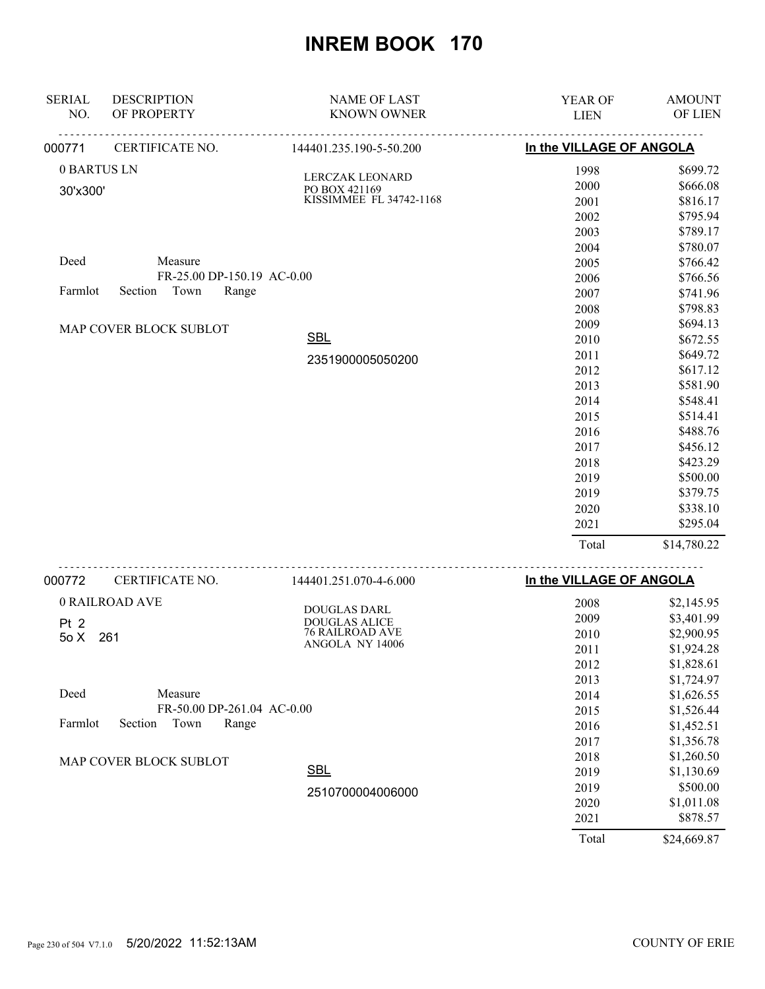| <b>SERIAL</b><br>NO. | <b>DESCRIPTION</b><br>OF PROPERTY | <b>NAME OF LAST</b><br><b>KNOWN OWNER</b> | YEAR OF<br><b>LIEN</b>   | <b>AMOUNT</b><br>OF LIEN |
|----------------------|-----------------------------------|-------------------------------------------|--------------------------|--------------------------|
| 000771               | CERTIFICATE NO.                   | 144401.235.190-5-50.200                   | In the VILLAGE OF ANGOLA |                          |
| 0 BARTUS LN          |                                   |                                           | 1998                     | \$699.72                 |
| 30'x300'             |                                   | LERCZAK LEONARD<br>PO BOX 421169          | 2000                     | \$666.08                 |
|                      |                                   | KISSIMMEE FL 34742-1168                   | 2001                     | \$816.17                 |
|                      |                                   |                                           | 2002                     | \$795.94                 |
|                      |                                   |                                           | 2003                     | \$789.17                 |
|                      |                                   |                                           | 2004                     | \$780.07                 |
| Deed                 | Measure                           |                                           | 2005                     | \$766.42                 |
|                      | FR-25.00 DP-150.19 AC-0.00        |                                           | 2006                     | \$766.56                 |
| Farmlot              | Town<br>Section<br>Range          |                                           | 2007                     | \$741.96                 |
|                      |                                   |                                           | 2008                     | \$798.83                 |
|                      | MAP COVER BLOCK SUBLOT            |                                           | 2009                     | \$694.13                 |
|                      |                                   | <b>SBL</b>                                | 2010                     | \$672.55                 |
|                      |                                   | 2351900005050200                          | 2011                     | \$649.72                 |
|                      |                                   |                                           | 2012                     | \$617.12                 |
|                      |                                   |                                           | 2013                     | \$581.90                 |
|                      |                                   |                                           | 2014                     | \$548.41                 |
|                      |                                   |                                           | 2015                     | \$514.41                 |
|                      |                                   |                                           | 2016                     | \$488.76                 |
|                      |                                   |                                           | 2017                     | \$456.12                 |
|                      |                                   |                                           | 2018                     | \$423.29                 |
|                      |                                   |                                           | 2019                     | \$500.00                 |
|                      |                                   |                                           | 2019                     | \$379.75                 |
|                      |                                   |                                           | 2020                     | \$338.10                 |
|                      |                                   |                                           | 2021                     | \$295.04                 |
|                      |                                   |                                           | Total                    | \$14,780.22              |
| 000772               | <u>.</u><br>CERTIFICATE NO.       | 144401.251.070-4-6.000                    | In the VILLAGE OF ANGOLA |                          |
|                      | 0 RAILROAD AVE                    |                                           | 2008                     | \$2,145.95               |
|                      |                                   | DOUGLAS DARL<br><b>DOUGLAS ALICE</b>      | 2009                     | \$3,401.99               |
| Pt 2<br>50X          | 261                               | 76 RAILROAD AVE                           | 2010                     | \$2,900.95               |
|                      |                                   | ANGOLA NY 14006                           | 2011                     | \$1,924.28               |
|                      |                                   |                                           | 2012                     | \$1,828.61               |
|                      |                                   |                                           | 2013                     | \$1,724.97               |
| Deed                 | Measure                           |                                           | 2014                     | \$1,626.55               |
|                      | FR-50.00 DP-261.04 AC-0.00        |                                           | 2015                     | \$1,526.44               |
| Farmlot              | Section<br>Town<br>Range          |                                           | 2016                     | \$1,452.51               |
|                      |                                   |                                           | 2017                     | \$1,356.78               |
|                      | MAP COVER BLOCK SUBLOT            |                                           | 2018                     | \$1,260.50               |
|                      |                                   | <b>SBL</b>                                | 2019                     | \$1,130.69               |
|                      |                                   | 2510700004006000                          | 2019                     | \$500.00                 |
|                      |                                   |                                           | 2020                     | \$1,011.08               |
|                      |                                   |                                           | 2021                     | \$878.57                 |
|                      |                                   |                                           | Total                    | \$24,669.87              |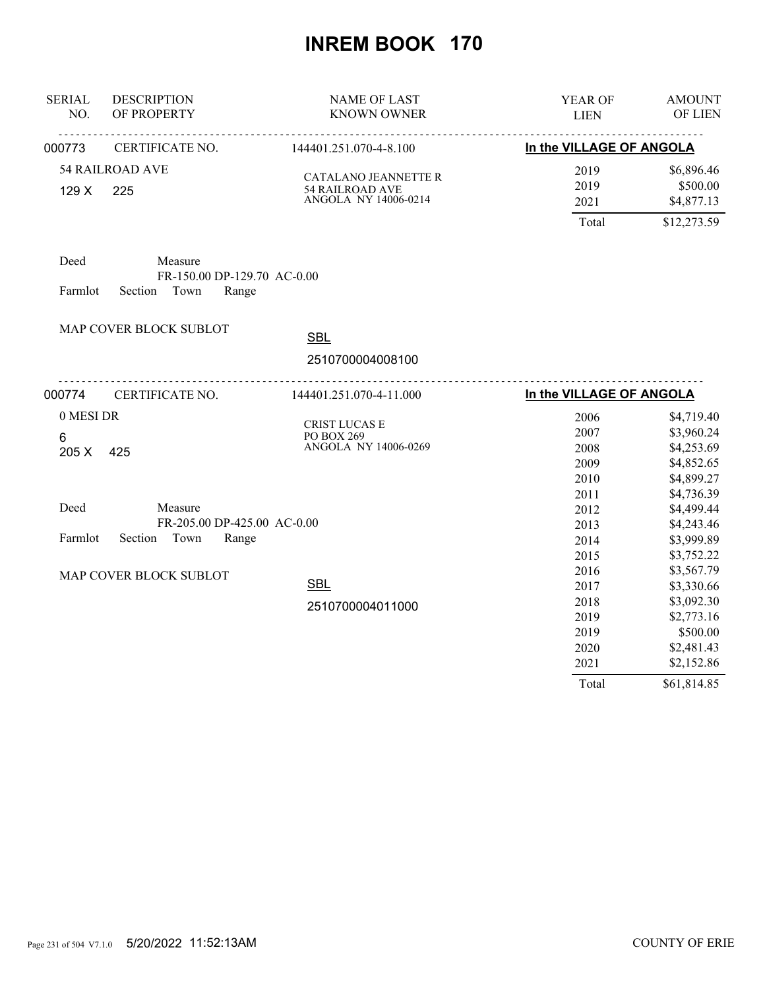| <b>SERIAL</b><br>NO. | <b>DESCRIPTION</b><br>OF PROPERTY      | <b>NAME OF LAST</b><br><b>KNOWN OWNER</b>      | YEAR OF<br><b>LIEN</b>   | <b>AMOUNT</b><br>OF LIEN |
|----------------------|----------------------------------------|------------------------------------------------|--------------------------|--------------------------|
| 000773               | CERTIFICATE NO.                        | <u>.</u><br>144401.251.070-4-8.100             | In the VILLAGE OF ANGOLA |                          |
|                      | <b>54 RAILROAD AVE</b>                 |                                                | 2019                     | \$6,896.46               |
| 129 X                | 225                                    | CATALANO JEANNETTE R<br><b>54 RAILROAD AVE</b> | 2019                     | \$500.00                 |
|                      |                                        | ANGOLA NY 14006-0214                           | 2021                     | \$4,877.13               |
|                      |                                        |                                                | Total                    | \$12,273.59              |
| Deed                 | Measure<br>FR-150.00 DP-129.70 AC-0.00 |                                                |                          |                          |
| Farmlot              | Town<br>Section<br>Range               |                                                |                          |                          |
|                      | MAP COVER BLOCK SUBLOT                 | <b>SBL</b>                                     |                          |                          |
|                      |                                        | 2510700004008100                               |                          |                          |
| 000774               | CERTIFICATE NO.                        | 144401.251.070-4-11.000                        | In the VILLAGE OF ANGOLA |                          |
| 0 MESI DR            |                                        |                                                | 2006                     | \$4,719.40               |
| 6                    |                                        | CRIST LUCAS E<br>PO BOX 269                    | 2007                     | \$3,960.24               |
| 205 X                | 425                                    | ANGOLA NY 14006-0269                           | 2008                     | \$4,253.69               |
|                      |                                        |                                                | 2009                     | \$4,852.65               |
|                      |                                        |                                                | 2010                     | \$4,899.27               |
|                      |                                        |                                                | 2011                     | \$4,736.39               |
| Deed                 | Measure                                |                                                | 2012                     | \$4,499.44               |
|                      | FR-205.00 DP-425.00 AC-0.00            |                                                | 2013                     | \$4,243.46               |
| Farmlot              | Section Town<br>Range                  |                                                | 2014                     | \$3,999.89               |
|                      |                                        |                                                | 2015                     | \$3,752.22               |
|                      | MAP COVER BLOCK SUBLOT                 |                                                | 2016                     | \$3,567.79               |
|                      |                                        | <b>SBL</b>                                     | 2017                     | \$3,330.66               |
|                      |                                        | 2510700004011000                               | 2018                     | \$3,092.30               |
|                      |                                        |                                                | 2019                     | \$2,773.16               |
|                      |                                        |                                                | 2019                     | \$500.00                 |
|                      |                                        |                                                | 2020                     | \$2,481.43               |
|                      |                                        |                                                | 2021                     | \$2,152.86               |
|                      |                                        |                                                | Total                    | \$61,814.85              |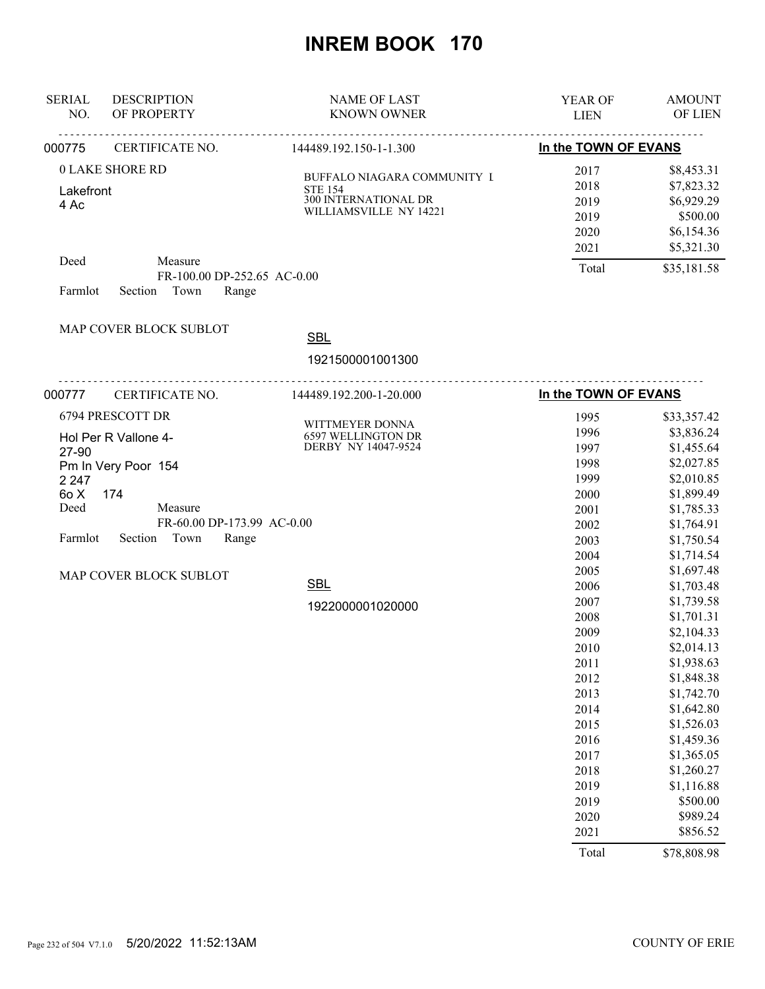| <b>NAME OF LAST</b><br><b>KNOWN OWNER</b>                                                                                             | YEAR OF<br><b>LIEN</b>                                                                                                                                                                                                        | <b>AMOUNT</b><br>OF LIEN                                                                                                                                                                                                                                                                                                                                                                                       |
|---------------------------------------------------------------------------------------------------------------------------------------|-------------------------------------------------------------------------------------------------------------------------------------------------------------------------------------------------------------------------------|----------------------------------------------------------------------------------------------------------------------------------------------------------------------------------------------------------------------------------------------------------------------------------------------------------------------------------------------------------------------------------------------------------------|
| 144489.192.150-1-1.300                                                                                                                |                                                                                                                                                                                                                               |                                                                                                                                                                                                                                                                                                                                                                                                                |
| BUFFALO NIAGARA COMMUNITY I<br><b>STE 154</b><br>300 INTERNATIONAL DR<br>WILLIAMSVILLE NY 14221                                       | 2017<br>2018<br>2019<br>2019<br>2020<br>2021                                                                                                                                                                                  | \$8,453.31<br>\$7,823.32<br>\$6,929.29<br>\$500.00<br>\$6,154.36<br>\$5,321.30<br>\$35,181.58                                                                                                                                                                                                                                                                                                                  |
| Range                                                                                                                                 |                                                                                                                                                                                                                               |                                                                                                                                                                                                                                                                                                                                                                                                                |
| <b>SBL</b><br>1921500001001300<br><u>.</u>                                                                                            |                                                                                                                                                                                                                               |                                                                                                                                                                                                                                                                                                                                                                                                                |
| 144489.192.200-1-20.000                                                                                                               |                                                                                                                                                                                                                               |                                                                                                                                                                                                                                                                                                                                                                                                                |
| WITTMEYER DONNA<br>6597 WELLINGTON DR<br>DERBY NY 14047-9524<br>FR-60.00 DP-173.99 AC-0.00<br>Range<br><b>SBL</b><br>1922000001020000 | 1996<br>1997<br>1998<br>1999<br>2000<br>2001<br>2002<br>2003<br>2004<br>2005<br>2006<br>2007<br>2008<br>2009<br>2010<br>2011<br>2012<br>2013<br>2014<br>2015<br>2016<br>2017<br>2018<br>2019<br>2019<br>2020<br>2021<br>Total | \$33,357.42<br>\$3,836.24<br>\$1,455.64<br>\$2,027.85<br>\$2,010.85<br>\$1,899.49<br>\$1,785.33<br>\$1,764.91<br>\$1,750.54<br>\$1,714.54<br>\$1,697.48<br>\$1,703.48<br>\$1,739.58<br>\$1,701.31<br>\$2,104.33<br>\$2,014.13<br>\$1,938.63<br>\$1,848.38<br>\$1,742.70<br>\$1,642.80<br>\$1,526.03<br>\$1,459.36<br>\$1,365.05<br>\$1,260.27<br>\$1,116.88<br>\$500.00<br>\$989.24<br>\$856.52<br>\$78,808.98 |
|                                                                                                                                       | FR-100.00 DP-252.65 AC-0.00                                                                                                                                                                                                   | In the TOWN OF EVANS<br>Total<br>.<br>In the TOWN OF EVANS<br>1995                                                                                                                                                                                                                                                                                                                                             |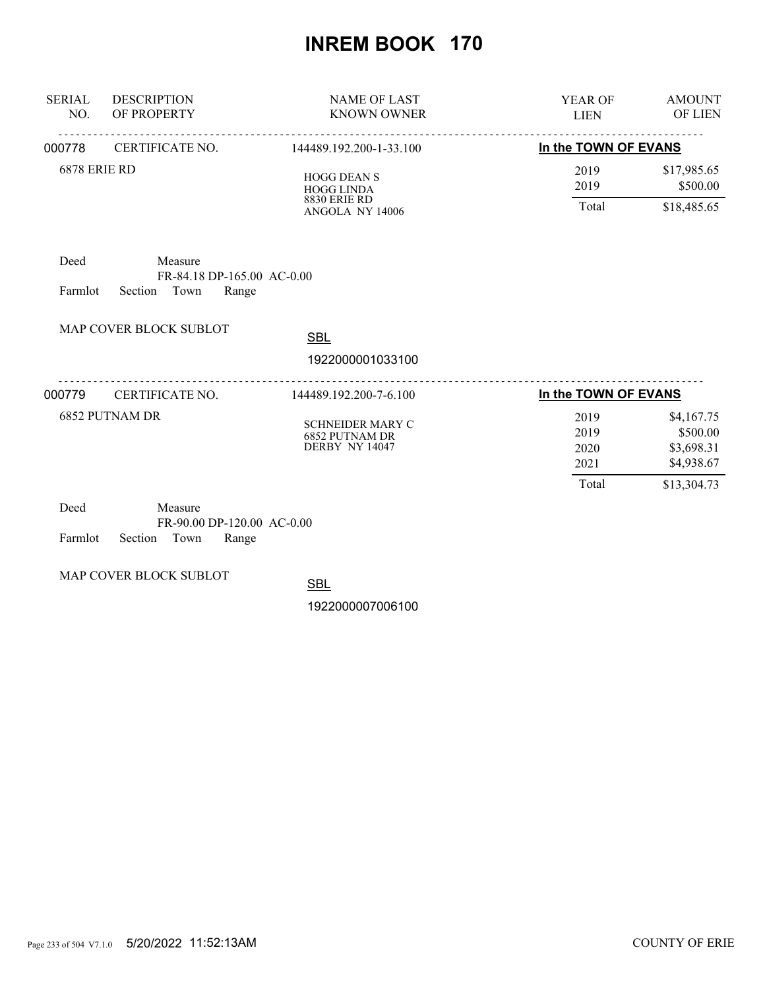| <b>SERIAL</b><br>NO. | <b>DESCRIPTION</b><br>OF PROPERTY                                 | <b>NAME OF LAST</b><br><b>KNOWN OWNER</b>                                         | <b>YEAR OF</b><br><b>LIEN</b>         | <b>AMOUNT</b><br>OF LIEN                                          |
|----------------------|-------------------------------------------------------------------|-----------------------------------------------------------------------------------|---------------------------------------|-------------------------------------------------------------------|
| 000778               | CERTIFICATE NO.                                                   | 144489.192.200-1-33.100                                                           | In the TOWN OF EVANS                  |                                                                   |
| <b>6878 ERIE RD</b>  |                                                                   | <b>HOGG DEAN S</b><br><b>HOGG LINDA</b><br><b>8830 ERIE RD</b><br>ANGOLA NY 14006 | 2019<br>2019<br>Total                 | \$17,985.65<br>\$500.00<br>\$18,485.65                            |
| Deed<br>Farmlot      | Measure<br>FR-84.18 DP-165.00 AC-0.00<br>Section<br>Town<br>Range |                                                                                   |                                       |                                                                   |
|                      | MAP COVER BLOCK SUBLOT                                            | <b>SBL</b>                                                                        |                                       |                                                                   |
|                      |                                                                   | 1922000001033100                                                                  |                                       |                                                                   |
| 000779               | CERTIFICATE NO.                                                   | 144489.192.200-7-6.100                                                            | In the TOWN OF EVANS                  |                                                                   |
|                      | 6852 PUTNAM DR                                                    | <b>SCHNEIDER MARY C</b><br><b>6852 PUTNAM DR</b><br>DERBY NY 14047                | 2019<br>2019<br>2020<br>2021<br>Total | \$4,167.75<br>\$500.00<br>\$3,698.31<br>\$4,938.67<br>\$13,304.73 |
| Deed                 | Measure                                                           |                                                                                   |                                       |                                                                   |

| Deed |                            | Measure |                              |  |
|------|----------------------------|---------|------------------------------|--|
|      |                            |         | $FR-90.00$ DP-120.00 AC-0.00 |  |
|      | Farmlot Section Town Range |         |                              |  |

MAP COVER BLOCK SUBLOT

**SBL**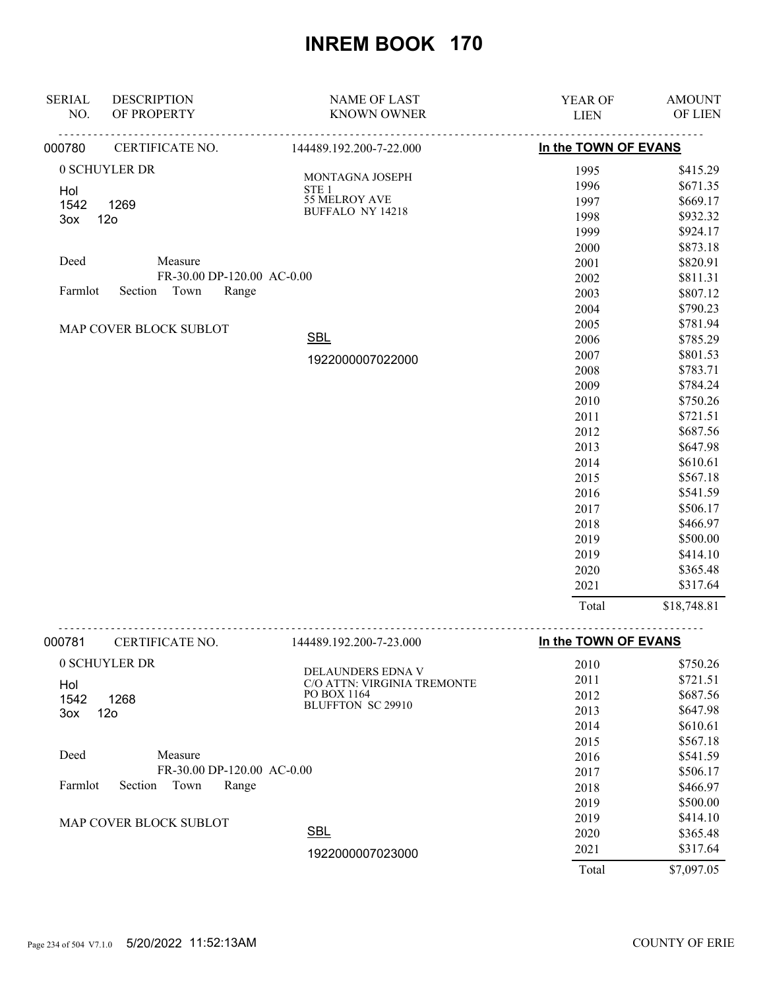| <b>SERIAL</b> | <b>DESCRIPTION</b>         | <b>NAME OF LAST</b>                        | YEAR OF              | <b>AMOUNT</b> |
|---------------|----------------------------|--------------------------------------------|----------------------|---------------|
| NO.           | OF PROPERTY                | <b>KNOWN OWNER</b>                         | <b>LIEN</b>          | OF LIEN       |
| 000780        | CERTIFICATE NO.            | 144489.192.200-7-22.000                    | In the TOWN OF EVANS |               |
|               | 0 SCHUYLER DR              |                                            | 1995                 | \$415.29      |
| Hol           |                            | MONTAGNA JOSEPH<br>STE <sub>1</sub>        | 1996                 | \$671.35      |
| 1542          | 1269                       | 55 MELROY AVE                              | 1997                 | \$669.17      |
| 3ox           | 12 <sub>o</sub>            | <b>BUFFALO NY 14218</b>                    | 1998                 | \$932.32      |
|               |                            |                                            | 1999                 | \$924.17      |
|               |                            |                                            | 2000                 | \$873.18      |
| Deed          | Measure                    |                                            | 2001                 | \$820.91      |
|               | FR-30.00 DP-120.00 AC-0.00 |                                            | 2002                 | \$811.31      |
| Farmlot       | Section Town<br>Range      |                                            | 2003                 | \$807.12      |
|               |                            |                                            | 2004                 | \$790.23      |
|               | MAP COVER BLOCK SUBLOT     |                                            | 2005                 | \$781.94      |
|               |                            | <b>SBL</b>                                 | 2006                 | \$785.29      |
|               |                            | 1922000007022000                           | 2007                 | \$801.53      |
|               |                            |                                            | 2008                 | \$783.71      |
|               |                            |                                            | 2009                 | \$784.24      |
|               |                            |                                            | 2010                 | \$750.26      |
|               |                            |                                            | 2011                 | \$721.51      |
|               |                            |                                            | 2012                 | \$687.56      |
|               |                            |                                            | 2013                 | \$647.98      |
|               |                            |                                            | 2014                 | \$610.61      |
|               |                            |                                            | 2015                 | \$567.18      |
|               |                            |                                            | 2016                 | \$541.59      |
|               |                            |                                            | 2017                 | \$506.17      |
|               |                            |                                            | 2018                 | \$466.97      |
|               |                            |                                            | 2019                 | \$500.00      |
|               |                            |                                            | 2019                 | \$414.10      |
|               |                            |                                            | 2020                 | \$365.48      |
|               |                            |                                            | 2021                 | \$317.64      |
|               |                            |                                            | Total                | \$18,748.81   |
| 000781        | CERTIFICATE NO.            | 144489.192.200-7-23.000                    | In the TOWN OF EVANS |               |
|               | 0 SCHUYLER DR              |                                            | 2010                 | \$750.26      |
|               |                            | <b>DELAUNDERS EDNA V</b>                   | 2011                 | \$721.51      |
| Hol           |                            | C/O ATTN: VIRGINIA TREMONTE<br>PO BOX 1164 | 2012                 | \$687.56      |
| 1542          | 1268                       | <b>BLUFFTON SC 29910</b>                   | 2013                 | \$647.98      |
| 3ox           | 12 <sub>o</sub>            |                                            | 2014                 | \$610.61      |
|               |                            |                                            | 2015                 | \$567.18      |
| Deed          | Measure                    |                                            | 2016                 | \$541.59      |
|               | FR-30.00 DP-120.00 AC-0.00 |                                            | 2017                 | \$506.17      |
| Farmlot       | Section<br>Town<br>Range   |                                            | 2018                 | \$466.97      |
|               |                            |                                            | 2019                 | \$500.00      |
|               |                            |                                            | 2019                 | \$414.10      |
|               | MAP COVER BLOCK SUBLOT     | <b>SBL</b>                                 | 2020                 | \$365.48      |
|               |                            |                                            | 2021                 | \$317.64      |
|               |                            | 1922000007023000                           |                      |               |
|               |                            |                                            | Total                | \$7,097.05    |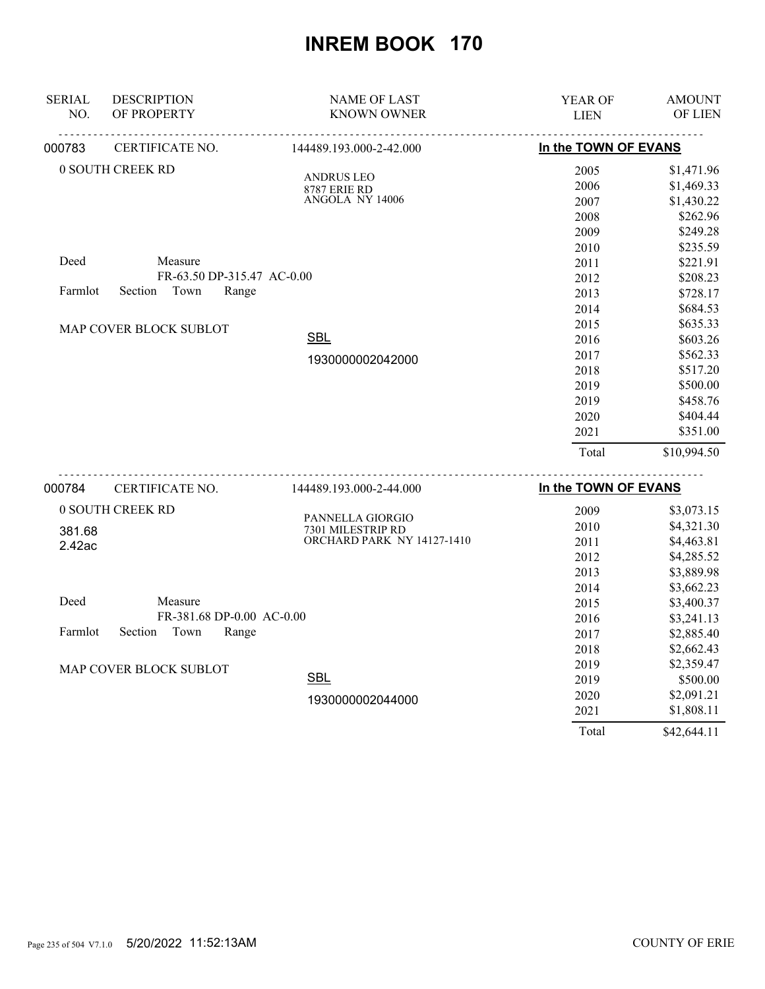| <b>SERIAL</b> | <b>DESCRIPTION</b>          | <b>NAME OF LAST</b>                             | YEAR OF              | <b>AMOUNT</b> |
|---------------|-----------------------------|-------------------------------------------------|----------------------|---------------|
| NO.           | OF PROPERTY                 | <b>KNOWN OWNER</b>                              | <b>LIEN</b>          | OF LIEN       |
| 000783        | CERTIFICATE NO.             | 144489.193.000-2-42.000                         | In the TOWN OF EVANS |               |
|               | 0 SOUTH CREEK RD            | <b>ANDRUS LEO</b>                               | 2005                 | \$1,471.96    |
|               |                             | <b>8787 ERIE RD</b>                             | 2006                 | \$1,469.33    |
|               |                             | ANGOLA NY 14006                                 | 2007                 | \$1,430.22    |
|               |                             |                                                 | 2008                 | \$262.96      |
|               |                             |                                                 | 2009                 | \$249.28      |
|               |                             |                                                 | 2010                 | \$235.59      |
| Deed          | Measure                     |                                                 | 2011                 | \$221.91      |
|               | FR-63.50 DP-315.47 AC-0.00  |                                                 | 2012                 | \$208.23      |
| Farmlot       | Section<br>Town<br>Range    |                                                 | 2013                 | \$728.17      |
|               |                             |                                                 | 2014                 | \$684.53      |
|               | MAP COVER BLOCK SUBLOT      |                                                 | 2015                 | \$635.33      |
|               |                             | <b>SBL</b>                                      | 2016                 | \$603.26      |
|               |                             | 1930000002042000                                | 2017                 | \$562.33      |
|               |                             |                                                 | 2018                 | \$517.20      |
|               |                             |                                                 | 2019                 | \$500.00      |
|               |                             |                                                 | 2019                 | \$458.76      |
|               |                             |                                                 | 2020                 | \$404.44      |
|               |                             |                                                 | 2021                 | \$351.00      |
|               |                             |                                                 | Total                | \$10,994.50   |
| 000784        | <u>.</u><br>CERTIFICATE NO. | <u>.</u><br>144489.193.000-2-44.000             | In the TOWN OF EVANS |               |
|               | 0 SOUTH CREEK RD            |                                                 | 2009                 | \$3,073.15    |
|               |                             | PANNELLA GIORGIO                                | 2010                 | \$4,321.30    |
| 381.68        |                             | 7301 MILESTRIP RD<br>ORCHARD PARK NY 14127-1410 | 2011                 | \$4,463.81    |
| 2.42ac        |                             |                                                 | 2012                 | \$4,285.52    |
|               |                             |                                                 | 2013                 | \$3,889.98    |
|               |                             |                                                 | 2014                 | \$3,662.23    |
| Deed          | Measure                     |                                                 | 2015                 | \$3,400.37    |
|               | FR-381.68 DP-0.00 AC-0.00   |                                                 | 2016                 | \$3,241.13    |
| Farmlot       | Section<br>Town<br>Range    |                                                 | 2017                 | \$2,885.40    |
|               |                             |                                                 | 2018                 | \$2,662.43    |
|               |                             |                                                 | 2010                 | \$25017       |

| MAP COVER BLOCK SUBLOT |                  | 2019 | \$2,359.47 |
|------------------------|------------------|------|------------|
|                        | <u>SBL</u>       | 2019 | \$500.00   |
|                        | 1930000002044000 | 2020 | \$2,091.21 |
|                        |                  | 2021 | \$1,808.11 |

Total \$42,644.11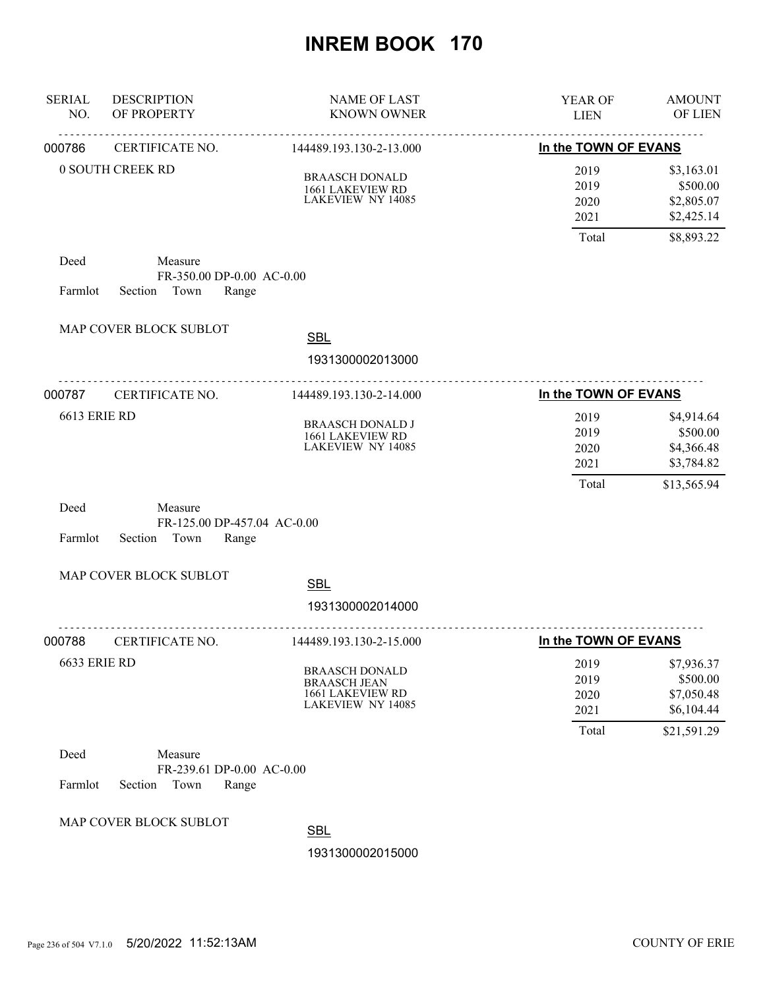| <b>SERIAL</b><br>NO. | <b>DESCRIPTION</b><br>OF PROPERTY                                | <b>NAME OF LAST</b><br><b>KNOWN OWNER</b>                                             | YEAR OF<br><b>LIEN</b>       | <b>AMOUNT</b><br>OF LIEN                           |
|----------------------|------------------------------------------------------------------|---------------------------------------------------------------------------------------|------------------------------|----------------------------------------------------|
| 000786               | .<br>CERTIFICATE NO.                                             | 144489.193.130-2-13.000                                                               | In the TOWN OF EVANS         |                                                    |
|                      | 0 SOUTH CREEK RD                                                 | <b>BRAASCH DONALD</b><br>1661 LAKEVIEW RD<br>LAKEVIEW NY 14085                        | 2019<br>2019<br>2020<br>2021 | \$3,163.01<br>\$500.00<br>\$2,805.07<br>\$2,425.14 |
| Deed                 | Measure                                                          |                                                                                       | Total                        | \$8,893.22                                         |
| Farmlot              | FR-350.00 DP-0.00 AC-0.00<br>Town<br>Range<br>Section            |                                                                                       |                              |                                                    |
|                      | MAP COVER BLOCK SUBLOT                                           | <b>SBL</b><br>1931300002013000                                                        |                              |                                                    |
| 000787               | CERTIFICATE NO.                                                  | 144489.193.130-2-14.000                                                               | In the TOWN OF EVANS         |                                                    |
| <b>6613 ERIE RD</b>  |                                                                  | <b>BRAASCH DONALD J</b><br>1661 LAKEVIEW RD<br><b>LAKEVIEW NY 14085</b>               | 2019<br>2019<br>2020<br>2021 | \$4,914.64<br>\$500.00<br>\$4,366.48<br>\$3,784.82 |
| Deed                 | Measure                                                          |                                                                                       | Total                        | \$13,565.94                                        |
| Farmlot              | FR-125.00 DP-457.04 AC-0.00<br>Town<br>Section<br>Range          |                                                                                       |                              |                                                    |
|                      | MAP COVER BLOCK SUBLOT                                           | <b>SBL</b><br>1931300002014000                                                        |                              |                                                    |
| 000788               | CERTIFICATE NO.                                                  | 144489.193.130-2-15.000                                                               | In the TOWN OF EVANS         |                                                    |
| <b>6633 ERIE RD</b>  |                                                                  | <b>BRAASCH DONALD</b><br><b>BRAASCH JEAN</b><br>1661 LAKEVIEW RD<br>LAKEVIEW NY 14085 | 2019<br>2019<br>2020<br>2021 | \$7,936.37<br>\$500.00<br>\$7,050.48<br>\$6,104.44 |
|                      |                                                                  |                                                                                       | Total                        | \$21,591.29                                        |
| Deed<br>Farmlot      | Measure<br>FR-239.61 DP-0.00 AC-0.00<br>Section<br>Town<br>Range |                                                                                       |                              |                                                    |
|                      | MAP COVER BLOCK SUBLOT                                           | <b>SBL</b><br>1931300002015000                                                        |                              |                                                    |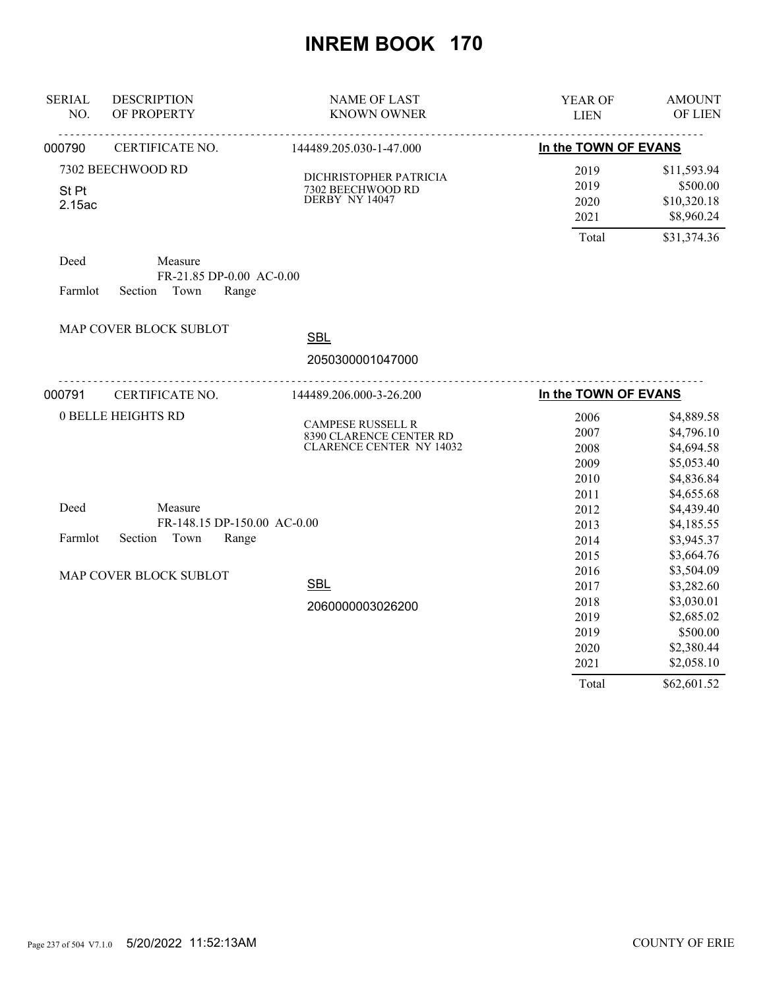| <b>SERIAL</b><br>NO. | <b>DESCRIPTION</b><br>OF PROPERTY | <b>NAME OF LAST</b><br><b>KNOWN OWNER</b>           | YEAR OF<br><b>LIEN</b> | <b>AMOUNT</b><br>OF LIEN |
|----------------------|-----------------------------------|-----------------------------------------------------|------------------------|--------------------------|
| 000790               | CERTIFICATE NO.                   | 144489.205.030-1-47.000                             | In the TOWN OF EVANS   |                          |
|                      | 7302 BEECHWOOD RD                 | DICHRISTOPHER PATRICIA                              | 2019                   | \$11,593.94              |
| St Pt                |                                   | 7302 BEECHWOOD RD                                   | 2019                   | \$500.00                 |
| 2.15ac               |                                   | DERBY NY 14047                                      | 2020                   | \$10,320.18              |
|                      |                                   |                                                     | 2021                   | \$8,960.24               |
|                      |                                   |                                                     | Total                  | \$31,374.36              |
| Deed                 | Measure                           |                                                     |                        |                          |
|                      | FR-21.85 DP-0.00 AC-0.00          |                                                     |                        |                          |
| Farmlot              | Town<br>Section<br>Range          |                                                     |                        |                          |
|                      | MAP COVER BLOCK SUBLOT            | <b>SBL</b>                                          |                        |                          |
|                      |                                   |                                                     |                        |                          |
|                      |                                   | 2050300001047000                                    |                        |                          |
| 000791               | CERTIFICATE NO.                   | 144489.206.000-3-26.200                             | In the TOWN OF EVANS   |                          |
|                      | <b>0 BELLE HEIGHTS RD</b>         |                                                     | 2006                   | \$4,889.58               |
|                      |                                   | <b>CAMPESE RUSSELL R</b><br>8390 CLARENCE CENTER RD | 2007                   | \$4,796.10               |
|                      |                                   | <b>CLARENCE CENTER NY 14032</b>                     | 2008                   | \$4,694.58               |
|                      |                                   |                                                     | 2009                   | \$5,053.40               |
|                      |                                   |                                                     | 2010                   | \$4,836.84               |
|                      |                                   |                                                     | 2011                   | \$4,655.68               |
| Deed                 | Measure                           |                                                     | 2012                   | \$4,439.40               |
|                      | FR-148.15 DP-150.00 AC-0.00       |                                                     | 2013                   | \$4,185.55               |
| Farmlot              | Section<br>Town<br>Range          |                                                     | 2014                   | \$3,945.37               |
|                      |                                   |                                                     | 2015                   | \$3,664.76               |
|                      | MAP COVER BLOCK SUBLOT            |                                                     | 2016                   | \$3,504.09               |
|                      |                                   | <b>SBL</b>                                          | 2017                   | \$3,282.60               |
|                      |                                   | 2060000003026200                                    | 2018                   | \$3,030.01               |
|                      |                                   |                                                     | 2019                   | \$2,685.02               |
|                      |                                   |                                                     | 2019                   | \$500.00                 |
|                      |                                   |                                                     | 2020                   | \$2,380.44               |
|                      |                                   |                                                     | 2021                   | \$2,058.10               |
|                      |                                   |                                                     | Total                  | \$62,601.52              |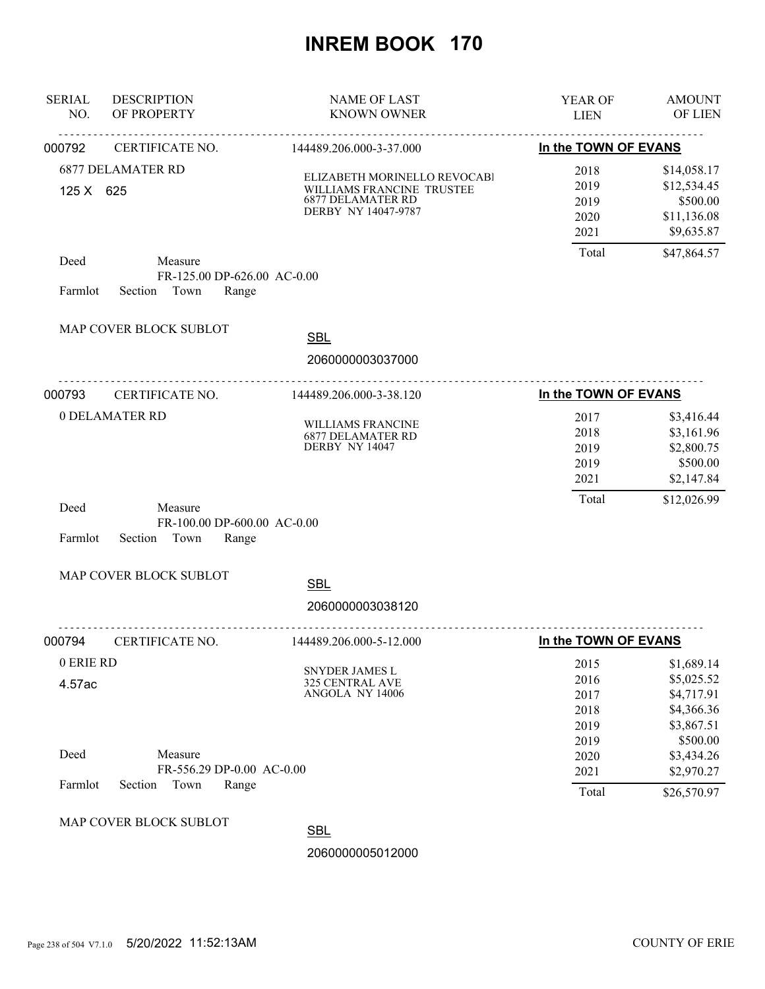| <b>SERIAL</b><br>NO. | <b>DESCRIPTION</b><br>OF PROPERTY                                  | <b>NAME OF LAST</b><br><b>KNOWN OWNER</b>                                                                    | YEAR OF<br><b>LIEN</b>               | <b>AMOUNT</b><br>OF LIEN                                            |
|----------------------|--------------------------------------------------------------------|--------------------------------------------------------------------------------------------------------------|--------------------------------------|---------------------------------------------------------------------|
| 000792               | CERTIFICATE NO.                                                    | 144489.206.000-3-37.000                                                                                      | In the TOWN OF EVANS                 |                                                                     |
| 125 X 625            | <b>6877 DELAMATER RD</b>                                           | ELIZABETH MORINELLO REVOCABI<br>WILLIAMS FRANCINE TRUSTEE<br><b>6877 DELAMATER RD</b><br>DERBY NY 14047-9787 | 2018<br>2019<br>2019<br>2020<br>2021 | \$14,058.17<br>\$12,534.45<br>\$500.00<br>\$11,136.08<br>\$9,635.87 |
| Deed<br>Farmlot      | Measure<br>FR-125.00 DP-626.00 AC-0.00<br>Section<br>Town<br>Range |                                                                                                              | Total                                | \$47,864.57                                                         |
|                      | MAP COVER BLOCK SUBLOT                                             | <b>SBL</b><br>2060000003037000                                                                               |                                      |                                                                     |
| 000793               | CERTIFICATE NO.                                                    | 144489.206.000-3-38.120                                                                                      | In the TOWN OF EVANS                 |                                                                     |
|                      | <b>0 DELAMATER RD</b>                                              | WILLIAMS FRANCINE<br><b>6877 DELAMATER RD</b><br>DERBY NY 14047                                              | 2017<br>2018<br>2019<br>2019<br>2021 | \$3,416.44<br>\$3,161.96<br>\$2,800.75<br>\$500.00<br>\$2,147.84    |
| Deed<br>Farmlot      | Measure<br>FR-100.00 DP-600.00 AC-0.00<br>Section<br>Town<br>Range |                                                                                                              | Total                                | \$12,026.99                                                         |
|                      | MAP COVER BLOCK SUBLOT                                             | <b>SBL</b>                                                                                                   |                                      |                                                                     |
|                      |                                                                    | 2060000003038120                                                                                             |                                      |                                                                     |
| 000794               | CERTIFICATE NO.                                                    | 144489.206.000-5-12.000                                                                                      | In the TOWN OF EVANS                 |                                                                     |
| 0 ERIE RD<br>4.57ac  |                                                                    | <b>SNYDER JAMES L</b><br><b>325 CENTRAL AVE</b><br>ANGOLA NY 14006                                           | 2015<br>2016<br>2017<br>2018<br>2019 | \$1,689.14<br>\$5,025.52<br>\$4,717.91<br>\$4,366.36<br>\$3,867.51  |
| Deed<br>Farmlot      | Measure<br>FR-556.29 DP-0.00 AC-0.00<br>Section<br>Town<br>Range   |                                                                                                              | 2019<br>2020<br>2021                 | \$500.00<br>\$3,434.26<br>\$2,970.27                                |
|                      |                                                                    |                                                                                                              | Total                                | \$26,570.97                                                         |
|                      | MAP COVER BLOCK SUBLOT                                             | <b>SBL</b><br>2060000005012000                                                                               |                                      |                                                                     |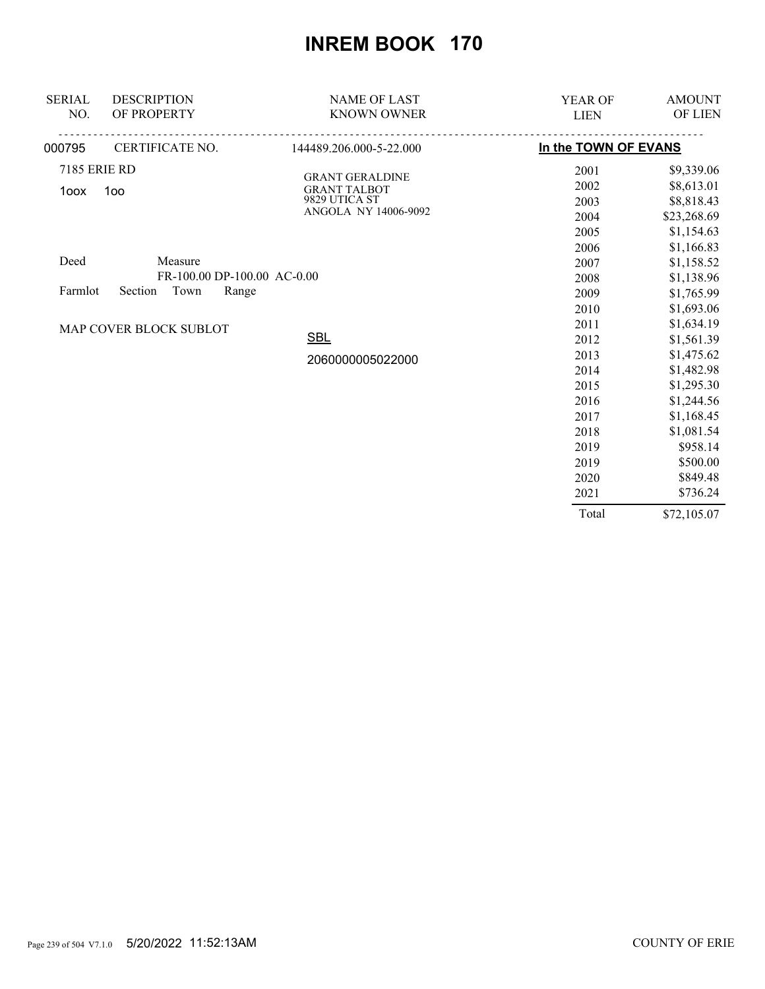| <b>SERIAL</b>       | <b>DESCRIPTION</b>          | <b>NAME OF LAST</b>     | <b>YEAR OF</b>       | <b>AMOUNT</b> |
|---------------------|-----------------------------|-------------------------|----------------------|---------------|
| NO.                 | OF PROPERTY                 | <b>KNOWN OWNER</b>      | <b>LIEN</b>          | OF LIEN $\,$  |
| 000795              | CERTIFICATE NO.             | 144489.206.000-5-22.000 | In the TOWN OF EVANS |               |
| <b>7185 ERIE RD</b> |                             | <b>GRANT GERALDINE</b>  | 2001                 | \$9,339.06    |
| 1oox                | 1oo                         | <b>GRANT TALBOT</b>     | 2002                 | \$8,613.01    |
|                     |                             | 9829 UTICA ST           | 2003                 | \$8,818.43    |
|                     |                             | ANGOLA NY 14006-9092    | 2004                 | \$23,268.69   |
|                     |                             |                         | 2005                 | \$1,154.63    |
|                     |                             |                         | 2006                 | \$1,166.83    |
| Deed                | Measure                     |                         | 2007                 | \$1,158.52    |
|                     | FR-100.00 DP-100.00 AC-0.00 |                         | 2008                 | \$1,138.96    |
| Farmlot             | Town<br>Section<br>Range    |                         | 2009                 | \$1,765.99    |
|                     |                             |                         | 2010                 | \$1,693.06    |
|                     | MAP COVER BLOCK SUBLOT      |                         | 2011                 | \$1,634.19    |
|                     |                             | <b>SBL</b>              | 2012                 | \$1,561.39    |
|                     |                             | 2060000005022000        | 2013                 | \$1,475.62    |
|                     |                             |                         | 2014                 | \$1,482.98    |
|                     |                             |                         | 2015                 | \$1,295.30    |
|                     |                             |                         | 2016                 | \$1,244.56    |
|                     |                             |                         | 2017                 | \$1,168.45    |
|                     |                             |                         | 2018                 | \$1,081.54    |
|                     |                             |                         | 2019                 | \$958.14      |
|                     |                             |                         | 2019                 | \$500.00      |
|                     |                             |                         | 2020                 | \$849.48      |
|                     |                             |                         | 2021                 | \$736.24      |
|                     |                             |                         | Total                | \$72,105.07   |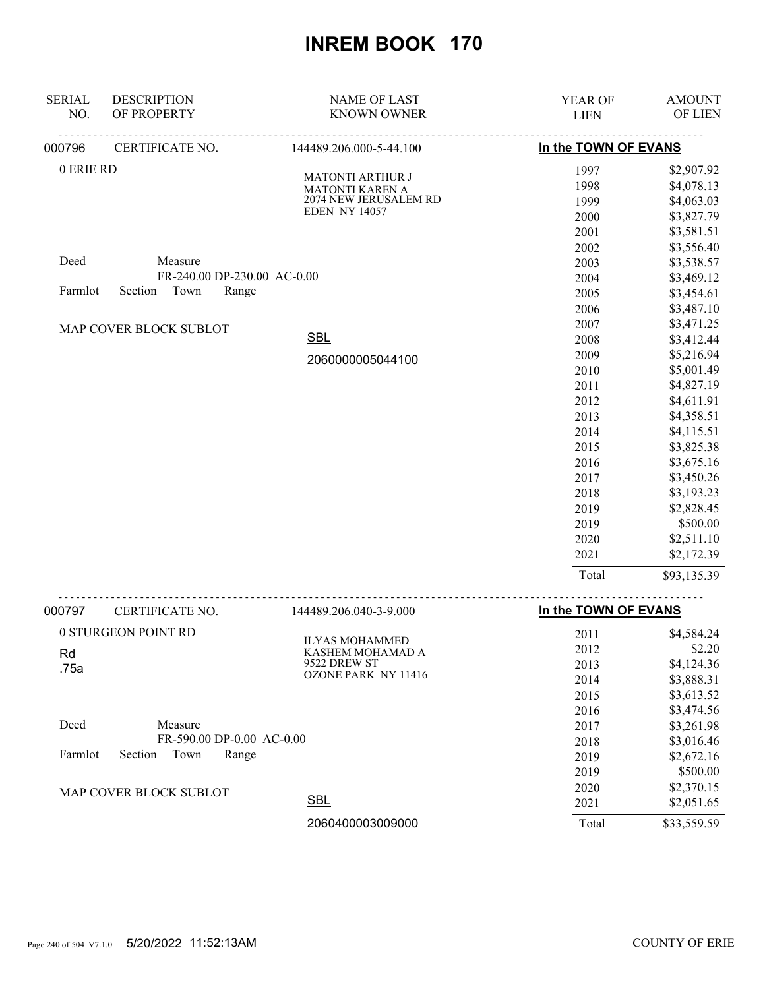| <b>SERIAL</b> | <b>DESCRIPTION</b>          | <b>NAME OF LAST</b>     | YEAR OF              | <b>AMOUNT</b> |
|---------------|-----------------------------|-------------------------|----------------------|---------------|
| NO.           | OF PROPERTY                 | <b>KNOWN OWNER</b>      | <b>LIEN</b>          | OF LIEN       |
| 000796        | CERTIFICATE NO.             | 144489.206.000-5-44.100 | In the TOWN OF EVANS |               |
| 0 ERIE RD     |                             | <b>MATONTI ARTHUR J</b> | 1997                 | \$2,907.92    |
|               |                             | <b>MATONTI KAREN A</b>  | 1998                 | \$4,078.13    |
|               |                             | 2074 NEW JERUSALEM RD   | 1999                 | \$4,063.03    |
|               |                             | <b>EDEN NY 14057</b>    | 2000                 | \$3,827.79    |
|               |                             |                         | 2001                 | \$3,581.51    |
|               |                             |                         | 2002                 | \$3,556.40    |
| Deed          | Measure                     |                         | 2003                 | \$3,538.57    |
|               | FR-240.00 DP-230.00 AC-0.00 |                         | 2004                 | \$3,469.12    |
| Farmlot       | Section<br>Town<br>Range    |                         | 2005                 | \$3,454.61    |
|               |                             |                         | 2006                 | \$3,487.10    |
|               | MAP COVER BLOCK SUBLOT      |                         | 2007                 | \$3,471.25    |
|               |                             | <b>SBL</b>              | 2008                 | \$3,412.44    |
|               |                             | 2060000005044100        | 2009                 | \$5,216.94    |
|               |                             |                         | 2010                 | \$5,001.49    |
|               |                             |                         | 2011                 | \$4,827.19    |
|               |                             |                         | 2012                 | \$4,611.91    |
|               |                             |                         | 2013                 | \$4,358.51    |
|               |                             |                         | 2014                 | \$4,115.51    |
|               |                             |                         | 2015                 | \$3,825.38    |
|               |                             |                         | 2016                 | \$3,675.16    |
|               |                             |                         | 2017                 | \$3,450.26    |
|               |                             |                         | 2018                 | \$3,193.23    |
|               |                             |                         | 2019                 | \$2,828.45    |
|               |                             |                         | 2019                 | \$500.00      |
|               |                             |                         | 2020                 | \$2,511.10    |
|               |                             |                         | 2021                 | \$2,172.39    |
|               |                             |                         | Total                | \$93,135.39   |
| 000797        | CERTIFICATE NO.             | 144489.206.040-3-9.000  | In the TOWN OF EVANS |               |
|               | 0 STURGEON POINT RD         | <b>ILVACMOLIAMMED</b>   | 2011                 | \$4,584.24    |

| 0 STURGEON POINT RD                 | <b>ILYAS MOHAMMED</b>      | 2011  | \$4,584.24  |
|-------------------------------------|----------------------------|-------|-------------|
| Rd                                  | KASHEM MOHAMAD A           | 2012  | \$2.20      |
| .75a                                | 9522 DREW ST               | 2013  | \$4,124.36  |
|                                     | <b>OZONE PARK NY 11416</b> | 2014  | \$3,888.31  |
|                                     |                            | 2015  | \$3,613.52  |
|                                     |                            | 2016  | \$3,474.56  |
| Deed<br>Measure                     |                            | 2017  | \$3,261.98  |
| $FR-590.00$ DP-0.00 AC-0.00         |                            | 2018  | \$3,016.46  |
| Town<br>Range<br>Farmlot<br>Section |                            | 2019  | \$2,672.16  |
|                                     |                            | 2019  | \$500.00    |
| MAP COVER BLOCK SUBLOT              |                            | 2020  | \$2,370.15  |
|                                     | <b>SBL</b>                 | 2021  | \$2,051.65  |
|                                     | 2060400003009000           | Total | \$33,559.59 |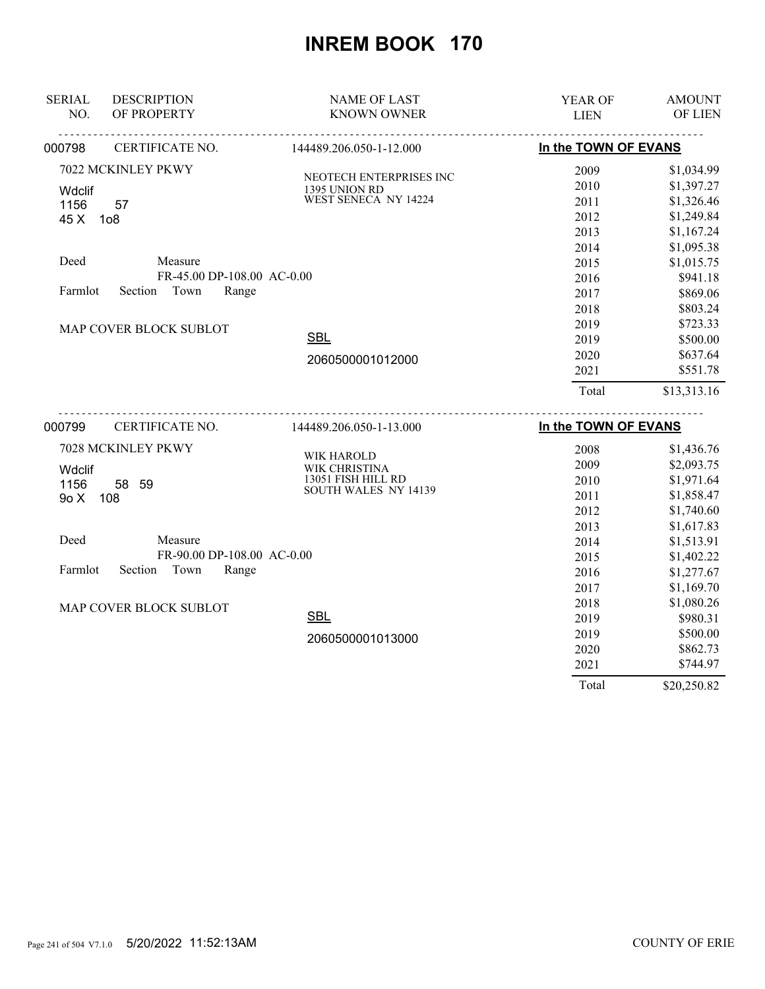| <b>SERIAL</b> | <b>DESCRIPTION</b>         | <b>NAME OF LAST</b>                   | YEAR OF              | <b>AMOUNT</b> |
|---------------|----------------------------|---------------------------------------|----------------------|---------------|
| NO.           | OF PROPERTY                | <b>KNOWN OWNER</b>                    | <b>LIEN</b>          | OF LIEN       |
| 000798        | CERTIFICATE NO.            | 144489.206.050-1-12.000               | In the TOWN OF EVANS |               |
|               | 7022 MCKINLEY PKWY         | NEOTECH ENTERPRISES INC               | 2009                 | \$1,034.99    |
| Wdclif        |                            |                                       | 2010                 | \$1,397.27    |
| 1156          | 57                         | 1395 UNION RD<br>WEST SENECA NY 14224 | 2011                 | \$1,326.46    |
| 45 X          | 1 <sub>0</sub> 8           |                                       | 2012                 | \$1,249.84    |
|               |                            |                                       | 2013                 | \$1,167.24    |
|               |                            |                                       | 2014                 | \$1,095.38    |
| Deed          | Measure                    |                                       | 2015                 | \$1,015.75    |
|               | FR-45.00 DP-108.00 AC-0.00 |                                       | 2016                 | \$941.18      |
| Farmlot       | Town<br>Section<br>Range   |                                       | 2017                 | \$869.06      |
|               |                            |                                       | 2018                 | \$803.24      |
|               | MAP COVER BLOCK SUBLOT     |                                       | 2019                 | \$723.33      |
|               |                            | <b>SBL</b>                            | 2019                 | \$500.00      |
|               |                            | 2060500001012000                      | 2020                 | \$637.64      |
|               |                            |                                       | 2021                 | \$551.78      |
|               |                            |                                       | Total                | \$13,313.16   |
| 000799        | CERTIFICATE NO.            | 144489.206.050-1-13.000               | In the TOWN OF EVANS |               |
|               | 7028 MCKINLEY PKWY         |                                       | 2008                 | \$1,436.76    |
| Wdclif        |                            | WIK HAROLD<br>WIK CHRISTINA           | 2009                 | \$2,093.75    |
| 1156          | 58 59                      | 13051 FISH HILL RD                    | 2010                 | \$1,971.64    |
| 9o X          | 108                        | SOUTH WALES NY 14139                  | 2011                 | \$1,858.47    |
|               |                            |                                       | 2012                 | \$1,740.60    |
|               |                            |                                       | 2013                 | \$1,617.83    |
| Deed          | Measure                    |                                       | 2014                 | \$1,513.91    |
|               | FR-90.00 DP-108.00 AC-0.00 |                                       | 2015                 | \$1,402.22    |
| Farmlot       | Section<br>Town<br>Range   |                                       | 2016                 | \$1,277.67    |
|               |                            |                                       | 2017                 | \$1,169.70    |
|               | MAP COVER BLOCK SUBLOT     |                                       | 2018                 | \$1,080.26    |
|               |                            | <b>SBL</b>                            | 2019                 | \$980.31      |
|               |                            | 2060500001013000                      | 2019                 | \$500.00      |
|               |                            |                                       | 2020                 | \$862.73      |
|               |                            |                                       | 2021                 | \$744.97      |
|               |                            |                                       | Total                | \$20,250.82   |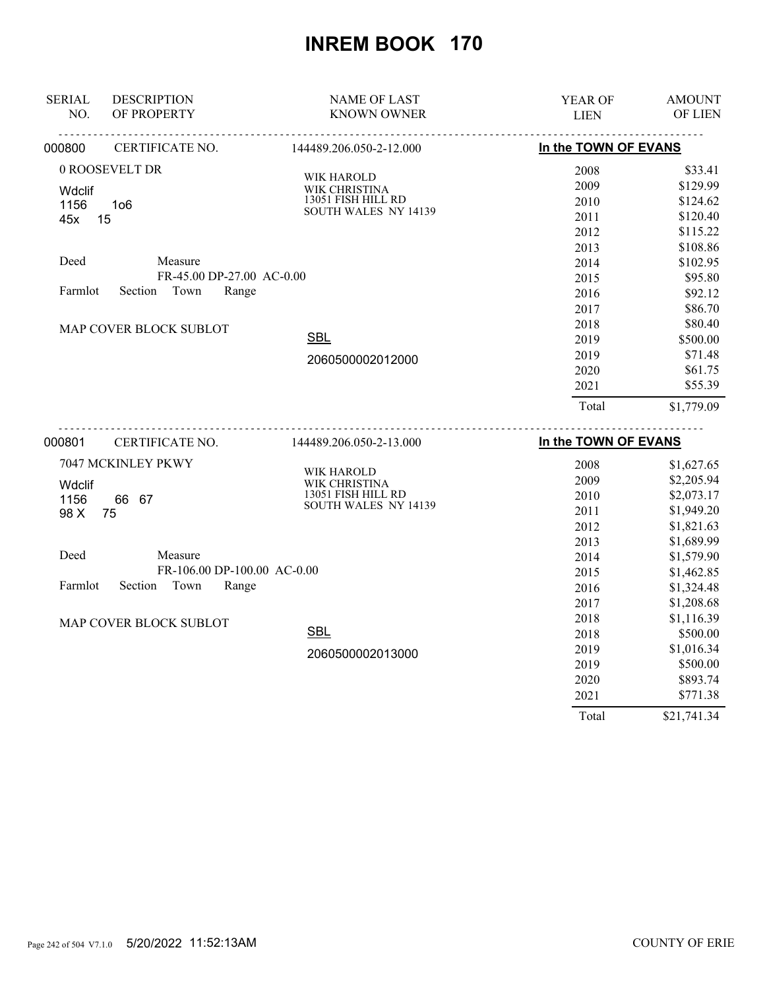| <b>SERIAL</b>  | <b>DESCRIPTION</b>          | <b>NAME OF LAST</b>         | YEAR OF              | <b>AMOUNT</b> |
|----------------|-----------------------------|-----------------------------|----------------------|---------------|
| NO.            | OF PROPERTY                 | <b>KNOWN OWNER</b>          | <b>LIEN</b>          | OF LIEN       |
| 000800         | CERTIFICATE NO.             | 144489.206.050-2-12.000     | In the TOWN OF EVANS |               |
|                | 0 ROOSEVELT DR              | WIK HAROLD                  | 2008                 | \$33.41       |
| <b>Wdclif</b>  |                             | WIK CHRISTINA               | 2009                 | \$129.99      |
| 1156           | 1 <sub>06</sub>             | 13051 FISH HILL RD          | 2010                 | \$124.62      |
| 45x            | 15                          | <b>SOUTH WALES NY 14139</b> | 2011                 | \$120.40      |
|                |                             |                             | 2012                 | \$115.22      |
|                |                             |                             | 2013                 | \$108.86      |
| Deed           | Measure                     |                             | 2014                 | \$102.95      |
|                | FR-45.00 DP-27.00 AC-0.00   |                             | 2015                 | \$95.80       |
| Farmlot        | Section<br>Town<br>Range    |                             | 2016                 | \$92.12       |
|                |                             |                             | 2017                 | \$86.70       |
|                | MAP COVER BLOCK SUBLOT      |                             | 2018                 | \$80.40       |
|                |                             | <b>SBL</b>                  | 2019                 | \$500.00      |
|                |                             | 2060500002012000            | 2019                 | \$71.48       |
|                |                             |                             | 2020                 | \$61.75       |
|                |                             |                             | 2021                 | \$55.39       |
|                |                             |                             | Total                | \$1,779.09    |
| 000801         | CERTIFICATE NO.             | 144489.206.050-2-13.000     | In the TOWN OF EVANS |               |
|                | 7047 MCKINLEY PKWY          |                             | 2008                 | \$1,627.65    |
|                |                             | WIK HAROLD<br>WIK CHRISTINA | 2009                 | \$2,205.94    |
| Wdclif<br>1156 | 66 67                       | 13051 FISH HILL RD          | 2010                 | \$2,073.17    |
| 98 X           | 75                          | <b>SOUTH WALES NY 14139</b> | 2011                 | \$1,949.20    |
|                |                             |                             | 2012                 | \$1,821.63    |
|                |                             |                             | 2013                 | \$1,689.99    |
| Deed           | Measure                     |                             | 2014                 | \$1,579.90    |
|                | FR-106.00 DP-100.00 AC-0.00 |                             | 2015                 | \$1,462.85    |
| Farmlot        | Section<br>Town<br>Range    |                             | 2016                 | \$1,324.48    |
|                |                             |                             | 2017                 | \$1,208.68    |
|                | MAP COVER BLOCK SUBLOT      |                             | 2018                 | \$1,116.39    |
|                |                             | <b>SBL</b>                  | 2018                 | \$500.00      |
|                |                             | 2060500002013000            | 2019                 | \$1,016.34    |
|                |                             |                             | 2019                 | \$500.00      |
|                |                             |                             | 2020                 | \$893.74      |
|                |                             |                             | 2021                 | \$771.38      |

Total \$21,741.34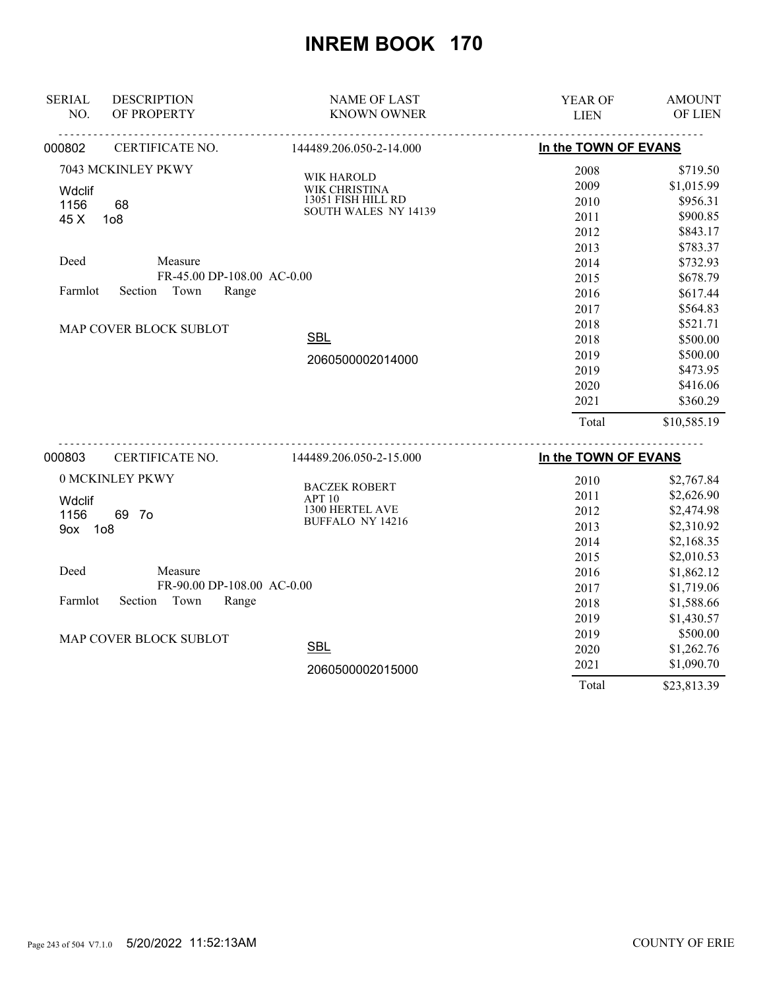| <b>SERIAL</b> | <b>DESCRIPTION</b>          | <b>NAME OF LAST</b>     | YEAR OF              | <b>AMOUNT</b> |
|---------------|-----------------------------|-------------------------|----------------------|---------------|
| NO.           | OF PROPERTY                 | <b>KNOWN OWNER</b>      | <b>LIEN</b>          | OF LIEN       |
| 000802        | CERTIFICATE NO.             | 144489.206.050-2-14.000 | In the TOWN OF EVANS |               |
|               | 7043 MCKINLEY PKWY          | WIK HAROLD              | 2008                 | \$719.50      |
| <b>Wdclif</b> |                             | WIK CHRISTINA           | 2009                 | \$1,015.99    |
| 1156          | 68                          | 13051 FISH HILL RD      | 2010                 | \$956.31      |
| 45 X          | 1 <sub>0</sub> 8            | SOUTH WALES NY 14139    | 2011                 | \$900.85      |
|               |                             |                         | 2012                 | \$843.17      |
|               |                             |                         | 2013                 | \$783.37      |
| Deed          | Measure                     |                         | 2014                 | \$732.93      |
|               | FR-45.00 DP-108.00 AC-0.00  |                         | 2015                 | \$678.79      |
| Farmlot       | Town<br>Section<br>Range    |                         | 2016                 | \$617.44      |
|               |                             |                         | 2017                 | \$564.83      |
|               | MAP COVER BLOCK SUBLOT      |                         | 2018                 | \$521.71      |
|               |                             | <b>SBL</b>              | 2018                 | \$500.00      |
|               |                             | 2060500002014000        | 2019                 | \$500.00      |
|               |                             |                         | 2019                 | \$473.95      |
|               |                             |                         | 2020                 | \$416.06      |
|               |                             |                         | 2021                 | \$360.29      |
|               |                             |                         | Total                | \$10,585.19   |
| 000803        | <u>.</u><br>CERTIFICATE NO. | 144489.206.050-2-15.000 | In the TOWN OF EVANS |               |
|               | 0 MCKINLEY PKWY             | <b>BACZEK ROBERT</b>    | 2010                 | \$2,767.84    |
| <b>Wdclif</b> |                             | <b>APT 10</b>           | 2011                 | \$2,626.90    |
| 1156          | 69 7o                       | 1300 HERTEL AVE         | 2012                 | \$2,474.98    |
| 9ox 1o8       |                             | <b>BUFFALO NY 14216</b> | 2013                 | \$2,310.92    |
|               |                             |                         | 2014                 | \$2,168.35    |
|               |                             |                         | 2015                 | \$2,010.53    |
| Deed          | Measure                     |                         | 2016                 | \$1,862.12    |
|               | FR-90.00 DP-108.00 AC-0.00  |                         | 2017                 | \$1,719.06    |
| Farmlot       | Range<br>Section<br>Town    |                         | 2018                 | \$1,588.66    |
|               |                             |                         | 2019                 | \$1,430.57    |
|               | MAP COVER BLOCK SUBLOT      |                         | 2019                 | \$500.00      |
|               |                             | <b>SBL</b>              | 2020                 | \$1,262.76    |
|               |                             | 2060500002015000        | 2021                 | \$1,090.70    |
|               |                             |                         | Total                | \$23,813.39   |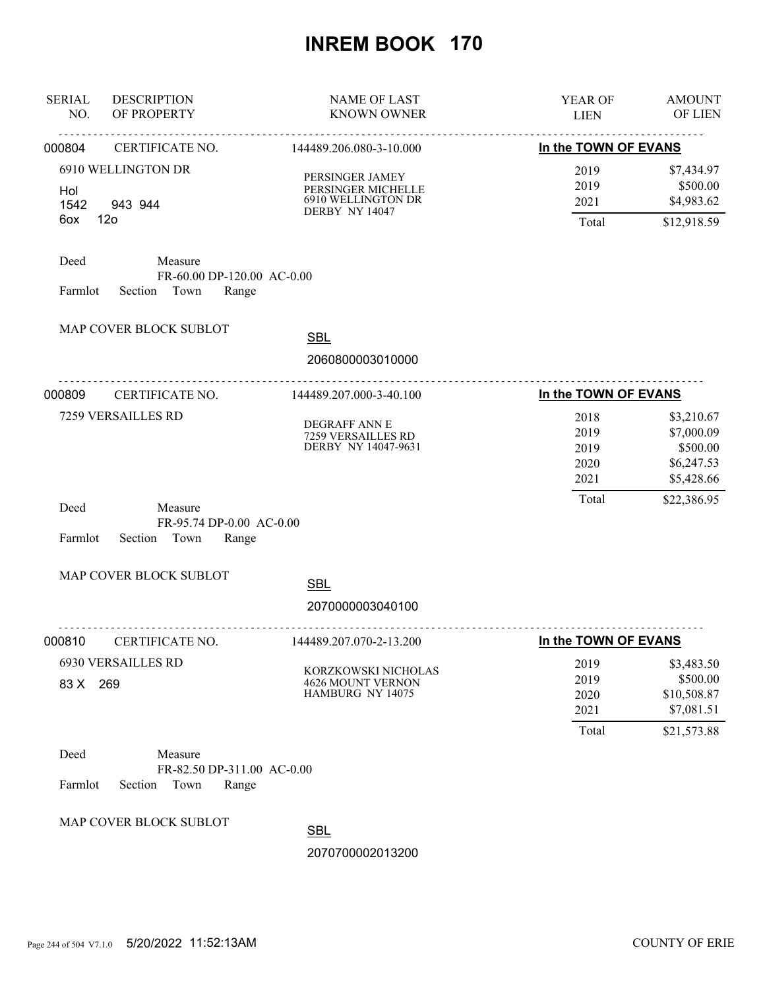| <b>SERIAL</b><br>NO. | <b>DESCRIPTION</b><br>OF PROPERTY                               | <b>NAME OF LAST</b><br><b>KNOWN OWNER</b>                                     | YEAR OF<br><b>LIEN</b>               | <b>AMOUNT</b><br>OF LIEN                                         |
|----------------------|-----------------------------------------------------------------|-------------------------------------------------------------------------------|--------------------------------------|------------------------------------------------------------------|
| 000804               | .<br>CERTIFICATE NO.                                            | <u>.</u><br>144489.206.080-3-10.000                                           | In the TOWN OF EVANS                 |                                                                  |
| Hol<br>1542<br>6ox   | 6910 WELLINGTON DR<br>943 944<br>12 <sub>o</sub>                | PERSINGER JAMEY<br>PERSINGER MICHELLE<br>6910 WELLINGTON DR<br>DERBY NY 14047 | 2019<br>2019<br>2021<br>Total        | \$7,434.97<br>\$500.00<br>\$4,983.62<br>\$12,918.59              |
| Deed<br>Farmlot      | Measure<br>FR-60.00 DP-120.00 AC-0.00<br>Section Town<br>Range  |                                                                               |                                      |                                                                  |
|                      | MAP COVER BLOCK SUBLOT                                          | <b>SBL</b>                                                                    |                                      |                                                                  |
|                      |                                                                 | 2060800003010000                                                              |                                      |                                                                  |
| 000809               | <u>.</u><br>CERTIFICATE NO.                                     | 144489.207.000-3-40.100                                                       | In the TOWN OF EVANS                 |                                                                  |
|                      | 7259 VERSAILLES RD                                              | <b>DEGRAFF ANN E</b><br>7259 VERSAILLES RD<br>DERBY NY 14047-9631             | 2018<br>2019<br>2019<br>2020<br>2021 | \$3,210.67<br>\$7,000.09<br>\$500.00<br>\$6,247.53<br>\$5,428.66 |
| Deed<br>Farmlot      | Measure<br>FR-95.74 DP-0.00 AC-0.00<br>Section<br>Town<br>Range |                                                                               | Total                                | \$22,386.95                                                      |
|                      | MAP COVER BLOCK SUBLOT                                          | <b>SBL</b><br>2070000003040100                                                |                                      |                                                                  |
| 000810               | CERTIFICATE NO.                                                 | <u>.</u><br>144489.207.070-2-13.200                                           | In the TOWN OF EVANS                 |                                                                  |
| 83 X 269             | <b>6930 VERSAILLES RD</b>                                       | KORZKOWSKI NICHOLAS<br><b>4626 MOUNT VERNON</b><br>HAMBURG NY 14075           | 2019<br>2019<br>2020<br>2021         | \$3,483.50<br>\$500.00<br>\$10,508.87<br>\$7,081.51              |
| Deed                 | Measure                                                         |                                                                               | Total                                | \$21,573.88                                                      |
| Farmlot              | FR-82.50 DP-311.00 AC-0.00<br>Town<br>Section<br>Range          |                                                                               |                                      |                                                                  |
|                      | MAP COVER BLOCK SUBLOT                                          | <b>SBL</b>                                                                    |                                      |                                                                  |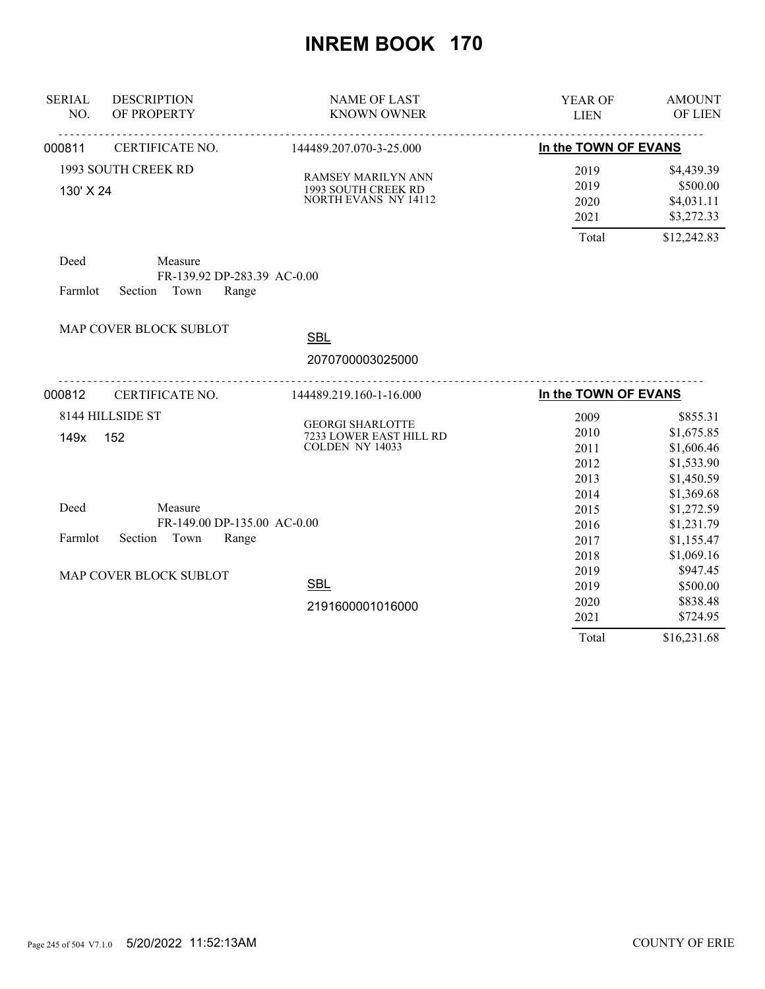| <b>SERIAL</b><br>NO. | <b>DESCRIPTION</b><br>OF PROPERTY                                  | <b>NAME OF LAST</b><br><b>KNOWN OWNER</b>                                | <b>YEAR OF</b><br><b>LIEN</b>                | <b>AMOUNT</b><br>OF LIEN                                                       |
|----------------------|--------------------------------------------------------------------|--------------------------------------------------------------------------|----------------------------------------------|--------------------------------------------------------------------------------|
| 000811               | CERTIFICATE NO.                                                    | <u>.</u><br>144489.207.070-3-25.000                                      | In the TOWN OF EVANS                         |                                                                                |
| 130' X 24            | 1993 SOUTH CREEK RD                                                | RAMSEY MARILYN ANN<br>1993 SOUTH CREEK RD<br><b>NORTH EVANS NY 14112</b> | 2019<br>2019<br>2020<br>2021<br>Total        | \$4,439.39<br>\$500.00<br>\$4,031.11<br>\$3,272.33<br>\$12,242.83              |
| Deed<br>Farmlot      | Measure<br>FR-139.92 DP-283.39 AC-0.00<br>Section Town<br>Range    |                                                                          |                                              |                                                                                |
|                      | MAP COVER BLOCK SUBLOT                                             | <b>SBL</b>                                                               |                                              |                                                                                |
|                      |                                                                    | 2070700003025000                                                         |                                              |                                                                                |
| 000812               | CERTIFICATE NO.                                                    | 144489.219.160-1-16.000                                                  | In the TOWN OF EVANS                         |                                                                                |
| 149x                 | 8144 HILLSIDE ST<br>152                                            | <b>GEORGI SHARLOTTE</b><br>7233 LOWER EAST HILL RD<br>COLDEN NY 14033    | 2009<br>2010<br>2011<br>2012<br>2013<br>2014 | \$855.31<br>\$1,675.85<br>\$1,606.46<br>\$1,533.90<br>\$1,450.59<br>\$1,369.68 |
| Deed<br>Farmlot      | Measure<br>FR-149.00 DP-135.00 AC-0.00<br>Section<br>Town<br>Range |                                                                          | 2015<br>2016<br>2017<br>2018                 | \$1,272.59<br>\$1,231.79<br>\$1,155.47<br>\$1,069.16                           |
|                      | MAP COVER BLOCK SUBLOT                                             | <b>SBL</b><br>2191600001016000                                           | 2019<br>2019<br>2020<br>2021                 | \$947.45<br>\$500.00<br>\$838.48<br>\$724.95                                   |
|                      |                                                                    |                                                                          | Total                                        | \$16,231.68                                                                    |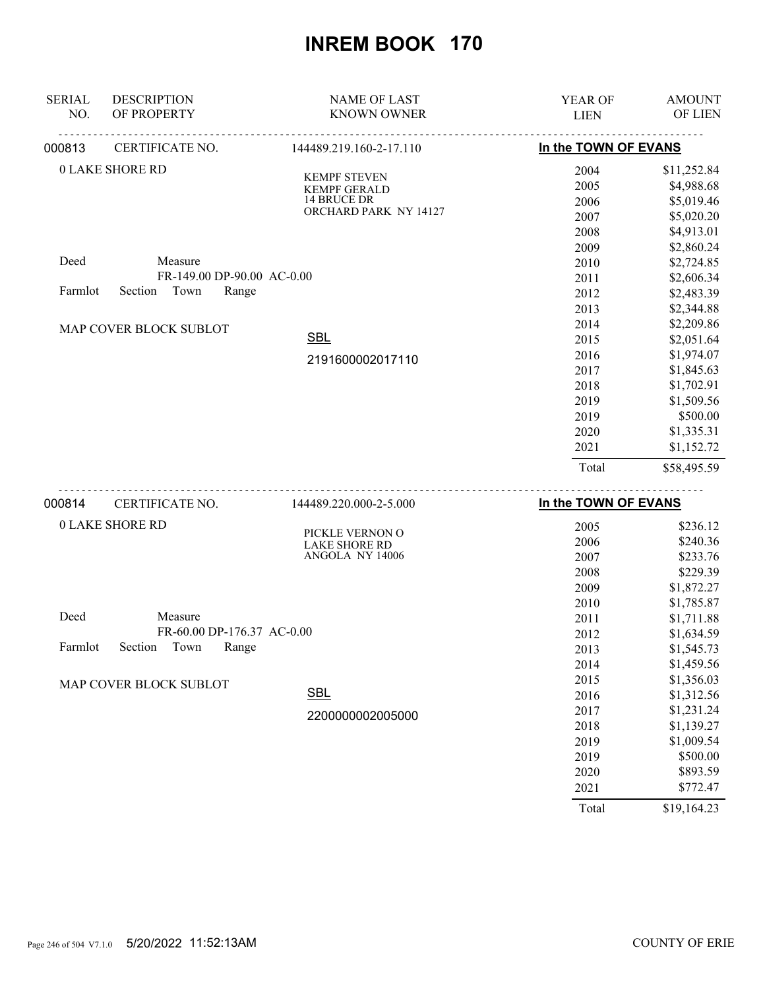| <b>SERIAL</b><br>NO. | <b>DESCRIPTION</b><br>OF PROPERTY                                 | <b>NAME OF LAST</b><br><b>KNOWN OWNER</b>                                                 | <b>YEAR OF</b><br><b>LIEN</b>        | <b>AMOUNT</b><br>OF LIEN                                            |
|----------------------|-------------------------------------------------------------------|-------------------------------------------------------------------------------------------|--------------------------------------|---------------------------------------------------------------------|
| 000813               | CERTIFICATE NO.                                                   | 144489.219.160-2-17.110                                                                   | In the TOWN OF EVANS                 |                                                                     |
|                      | <b>0 LAKE SHORE RD</b>                                            | <b>KEMPF STEVEN</b><br><b>KEMPF GERALD</b><br><b>14 BRUCE DR</b><br>ORCHARD PARK NY 14127 | 2004<br>2005<br>2006<br>2007<br>2008 | \$11,252.84<br>\$4,988.68<br>\$5,019.46<br>\$5,020.20<br>\$4,913.01 |
| Deed<br>Farmlot      | Measure<br>FR-149.00 DP-90.00 AC-0.00<br>Town<br>Section<br>Range |                                                                                           | 2009<br>2010<br>2011<br>2012         | \$2,860.24<br>\$2,724.85<br>\$2,606.34<br>\$2,483.39                |
|                      | MAP COVER BLOCK SUBLOT                                            | <b>SBL</b>                                                                                | 2013<br>2014<br>2015<br>2016         | \$2,344.88<br>\$2,209.86<br>\$2,051.64<br>\$1,974.07                |
|                      |                                                                   | 2191600002017110                                                                          | 2017<br>2018<br>2019                 | \$1,845.63<br>\$1,702.91<br>\$1,509.56                              |
|                      |                                                                   |                                                                                           | 2019<br>2020<br>2021                 | \$500.00<br>\$1,335.31<br>\$1,152.72                                |
|                      |                                                                   |                                                                                           | Total                                | \$58,495.59                                                         |
| 000814               | CERTIFICATE NO.                                                   | 144489.220.000-2-5.000                                                                    | In the TOWN OF EVANS                 |                                                                     |

| 000814  | CERTIFICATE NO.            | 144489.220.000-2-5.000                  | In the TOWN OF EVANS |             |
|---------|----------------------------|-----------------------------------------|----------------------|-------------|
|         | 0 LAKE SHORE RD            |                                         | 2005                 | \$236.12    |
|         |                            | PICKLE VERNON O<br><b>LAKE SHORE RD</b> | 2006                 | \$240.36    |
|         |                            | ANGOLA NY 14006                         | 2007                 | \$233.76    |
|         |                            |                                         | 2008                 | \$229.39    |
|         |                            |                                         | 2009                 | \$1,872.27  |
|         |                            |                                         | 2010                 | \$1,785.87  |
| Deed    | Measure                    |                                         | 2011                 | \$1,711.88  |
|         | FR-60.00 DP-176.37 AC-0.00 |                                         | 2012                 | \$1,634.59  |
| Farmlot | Range<br>Section<br>Town   |                                         | 2013                 | \$1,545.73  |
|         |                            |                                         | 2014                 | \$1,459.56  |
|         | MAP COVER BLOCK SUBLOT     |                                         | 2015                 | \$1,356.03  |
|         |                            | <b>SBL</b>                              | 2016                 | \$1,312.56  |
|         |                            | 2200000002005000                        | 2017                 | \$1,231.24  |
|         |                            |                                         | 2018                 | \$1,139.27  |
|         |                            |                                         | 2019                 | \$1,009.54  |
|         |                            |                                         | 2019                 | \$500.00    |
|         |                            |                                         | 2020                 | \$893.59    |
|         |                            |                                         | 2021                 | \$772.47    |
|         |                            |                                         | Total                | \$19,164.23 |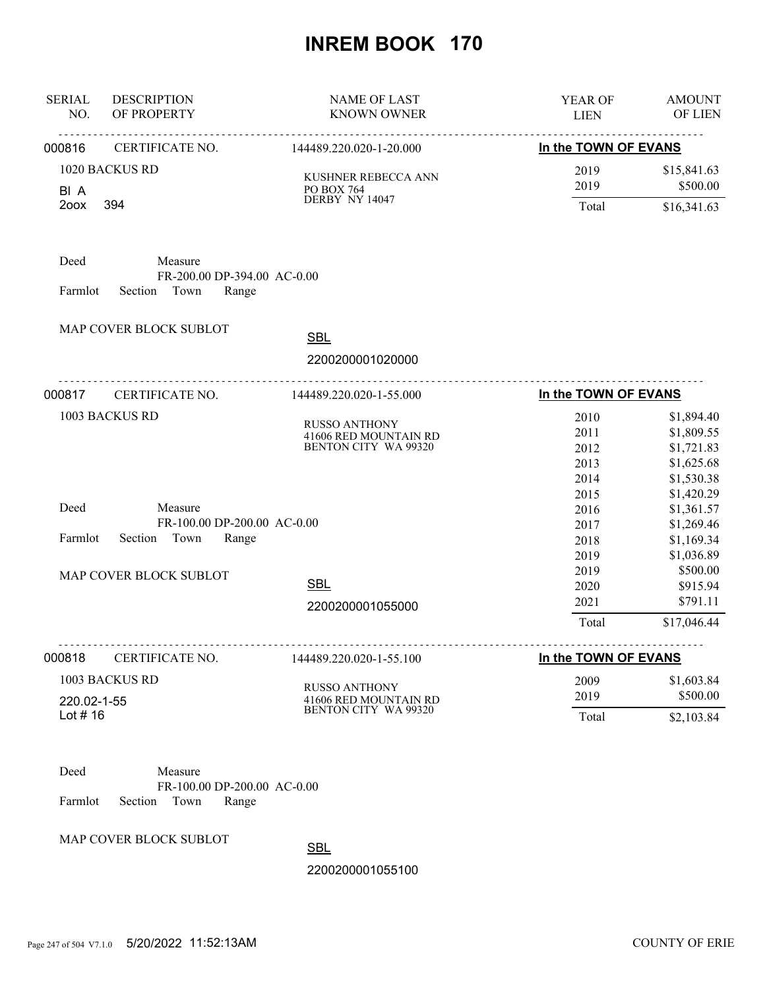| <b>SERIAL</b><br>NO.                  | <b>DESCRIPTION</b><br>OF PROPERTY                                  | <b>NAME OF LAST</b><br><b>KNOWN OWNER</b>                                    | YEAR OF<br><b>LIEN</b>               | <b>AMOUNT</b><br>OF LIEN                                           |
|---------------------------------------|--------------------------------------------------------------------|------------------------------------------------------------------------------|--------------------------------------|--------------------------------------------------------------------|
| 000816                                | CERTIFICATE NO.                                                    | 144489.220.020-1-20.000                                                      | In the TOWN OF EVANS                 |                                                                    |
| 1020 BACKUS RD<br>BI A<br>394<br>200X |                                                                    | KUSHNER REBECCA ANN<br>PO BOX 764<br>DERBY NY 14047                          | 2019<br>2019<br>Total                | \$15,841.63<br>\$500.00<br>\$16,341.63                             |
| Deed<br>Farmlot                       | Measure<br>FR-200.00 DP-394.00 AC-0.00<br>Section<br>Town<br>Range |                                                                              |                                      |                                                                    |
|                                       | MAP COVER BLOCK SUBLOT                                             | <b>SBL</b>                                                                   |                                      |                                                                    |
|                                       |                                                                    | 2200200001020000                                                             |                                      |                                                                    |
| 000817                                | .<br>CERTIFICATE NO.                                               | 144489.220.020-1-55.000                                                      | In the TOWN OF EVANS                 |                                                                    |
|                                       | 1003 BACKUS RD                                                     | <b>RUSSO ANTHONY</b><br>41606 RED MOUNTAIN RD<br>BENTON CITY WA 99320        | 2010<br>2011<br>2012<br>2013<br>2014 | \$1,894.40<br>\$1,809.55<br>\$1,721.83<br>\$1,625.68<br>\$1,530.38 |
| Deed<br>Farmlot                       | Measure<br>FR-100.00 DP-200.00 AC-0.00<br>Town<br>Section<br>Range |                                                                              | 2015<br>2016<br>2017<br>2018<br>2019 | \$1,420.29<br>\$1,361.57<br>\$1,269.46<br>\$1,169.34<br>\$1,036.89 |
|                                       | MAP COVER BLOCK SUBLOT                                             | <b>SBL</b><br>2200200001055000                                               | 2019<br>2020<br>2021<br>Total        | \$500.00<br>\$915.94<br>\$791.11<br>\$17,046.44                    |
| 000818                                | CERTIFICATE NO.                                                    | 144489.220.020-1-55.100                                                      | In the TOWN OF EVANS                 |                                                                    |
| 220.02-1-55<br>Lot $# 16$             | 1003 BACKUS RD                                                     | <b>RUSSO ANTHONY</b><br>41606 RED MOUNTAIN RD<br><b>BENTON CITY WA 99320</b> | 2009<br>2019<br>Total                | \$1,603.84<br>\$500.00<br>\$2,103.84                               |



MAP COVER BLOCK SUBLOT

SBL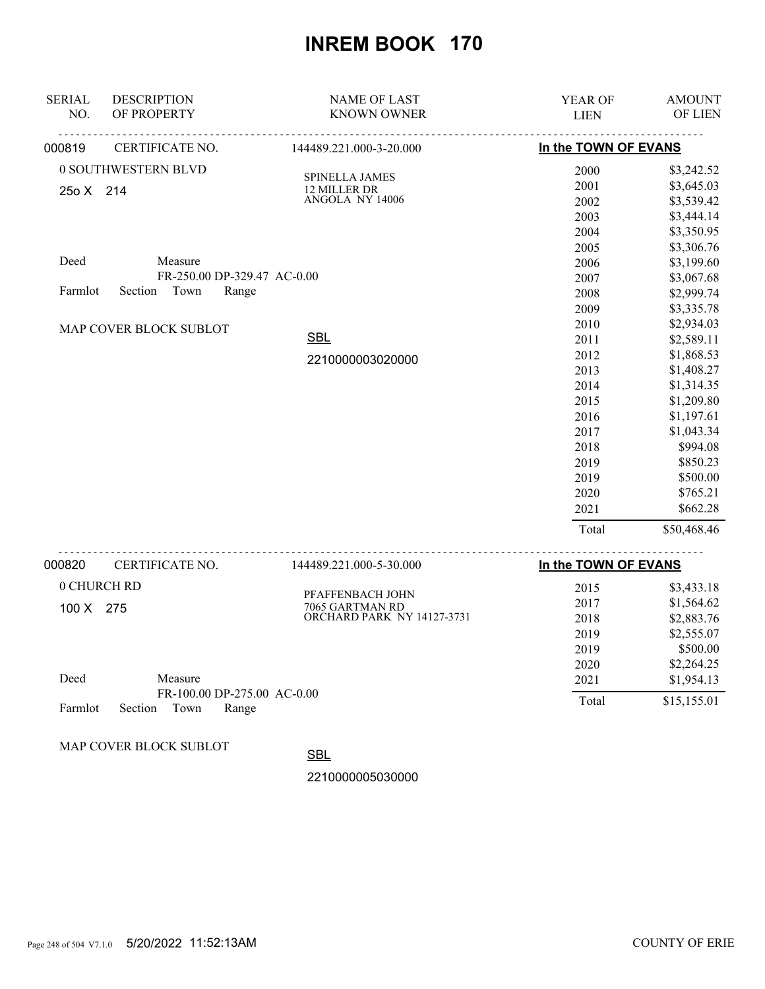| <b>SERIAL</b> | <b>DESCRIPTION</b>          | <b>NAME OF LAST</b>                                  | YEAR OF              | <b>AMOUNT</b> |
|---------------|-----------------------------|------------------------------------------------------|----------------------|---------------|
| NO.           | OF PROPERTY                 | <b>KNOWN OWNER</b>                                   | <b>LIEN</b>          | OF LIEN       |
| 000819        | CERTIFICATE NO.             | 144489.221.000-3-20.000                              | In the TOWN OF EVANS |               |
|               | 0 SOUTHWESTERN BLVD         | SPINELLA JAMES                                       | 2000                 | \$3,242.52    |
| 25o X 214     |                             | 12 MILLER DR                                         | 2001                 | \$3,645.03    |
|               |                             | ANGOLA NY 14006                                      | 2002                 | \$3,539.42    |
|               |                             |                                                      | 2003                 | \$3,444.14    |
|               |                             |                                                      | 2004                 | \$3,350.95    |
|               |                             |                                                      | 2005                 | \$3,306.76    |
| Deed          | Measure                     |                                                      | 2006                 | \$3,199.60    |
|               | FR-250.00 DP-329.47 AC-0.00 |                                                      | 2007                 | \$3,067.68    |
| Farmlot       | Section<br>Town<br>Range    |                                                      | 2008                 | \$2,999.74    |
|               |                             |                                                      | 2009                 | \$3,335.78    |
|               | MAP COVER BLOCK SUBLOT      |                                                      | 2010                 | \$2,934.03    |
|               |                             | <b>SBL</b>                                           | 2011                 | \$2,589.11    |
|               |                             | 2210000003020000                                     | 2012                 | \$1,868.53    |
|               |                             |                                                      | 2013                 | \$1,408.27    |
|               |                             |                                                      | 2014                 | \$1,314.35    |
|               |                             |                                                      | 2015                 | \$1,209.80    |
|               |                             |                                                      | 2016                 | \$1,197.61    |
|               |                             |                                                      | 2017                 | \$1,043.34    |
|               |                             |                                                      | 2018                 | \$994.08      |
|               |                             |                                                      | 2019                 | \$850.23      |
|               |                             |                                                      | 2019                 | \$500.00      |
|               |                             |                                                      | 2020                 | \$765.21      |
|               |                             |                                                      | 2021                 | \$662.28      |
|               |                             |                                                      | Total                | \$50,468.46   |
| 000820        | CERTIFICATE NO.             | 144489.221.000-5-30.000                              | In the TOWN OF EVANS |               |
| 0 CHURCH RD   |                             |                                                      | 2015                 | \$3,433.18    |
|               |                             | PFAFFENBACH JOHN                                     | 2017                 | \$1,564.62    |
| 100 X 275     |                             | 7065 GARTMAN RD<br><b>ORCHARD PARK NY 14127-3731</b> | 2018                 | \$2,883.76    |
|               |                             |                                                      | 2019                 | \$2,555.07    |
|               |                             |                                                      | 2019                 | \$500.00      |
|               |                             |                                                      | 2020                 | \$2,264.25    |
| Deed          | Measure                     |                                                      | 2021                 | \$1,954.13    |
|               | FR-100.00 DP-275.00 AC-0.00 |                                                      |                      |               |
| Farmlot       | Section<br>Town<br>Range    |                                                      | Total                | \$15,155.01   |
|               |                             |                                                      |                      |               |

MAP COVER BLOCK SUBLOT

**SBL**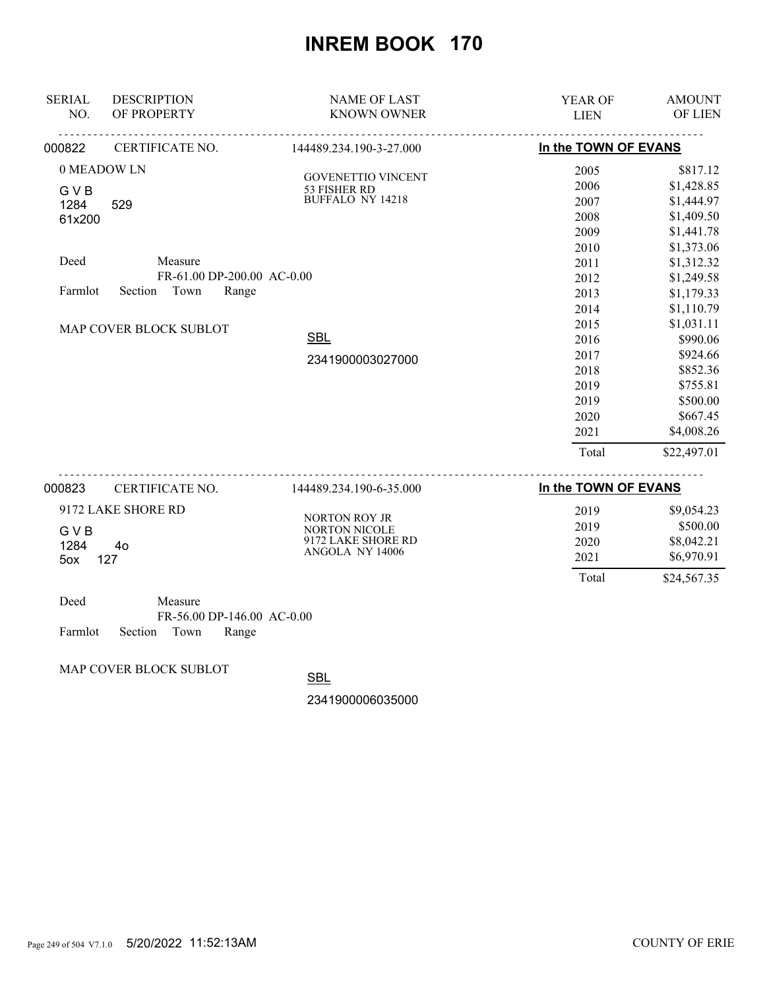| <b>SERIAL</b><br>NO. | <b>DESCRIPTION</b><br>OF PROPERTY | <b>NAME OF LAST</b><br><b>KNOWN OWNER</b>    | YEAR OF<br><b>LIEN</b> | <b>AMOUNT</b><br>OF LIEN |
|----------------------|-----------------------------------|----------------------------------------------|------------------------|--------------------------|
| 000822               | CERTIFICATE NO.                   | 144489.234.190-3-27.000                      | In the TOWN OF EVANS   |                          |
| 0 MEADOW LN          |                                   | <b>GOVENETTIO VINCENT</b>                    | 2005                   | \$817.12                 |
| <b>GVB</b>           |                                   | 53 FISHER RD                                 | 2006                   | \$1,428.85               |
| 1284                 | 529                               | <b>BUFFALO NY 14218</b>                      | 2007                   | \$1,444.97               |
| 61x200               |                                   |                                              | 2008                   | \$1,409.50               |
|                      |                                   |                                              | 2009                   | \$1,441.78               |
|                      |                                   |                                              | 2010                   | \$1,373.06               |
| Deed                 | Measure                           |                                              | 2011                   | \$1,312.32               |
|                      | FR-61.00 DP-200.00 AC-0.00        |                                              | 2012                   | \$1,249.58               |
| Farmlot              | Town<br>Range<br>Section          |                                              | 2013                   | \$1,179.33               |
|                      |                                   |                                              | 2014                   | \$1,110.79               |
|                      | MAP COVER BLOCK SUBLOT            |                                              | 2015                   | \$1,031.11               |
|                      |                                   | <b>SBL</b>                                   | 2016                   | \$990.06                 |
|                      |                                   | 2341900003027000                             | 2017                   | \$924.66                 |
|                      |                                   |                                              | 2018                   | \$852.36                 |
|                      |                                   |                                              | 2019                   | \$755.81                 |
|                      |                                   |                                              | 2019                   | \$500.00                 |
|                      |                                   |                                              | 2020                   | \$667.45                 |
|                      |                                   |                                              | 2021                   | \$4,008.26               |
|                      |                                   |                                              | Total                  | \$22,497.01              |
| 000823               | CERTIFICATE NO.                   | 144489.234.190-6-35.000                      | In the TOWN OF EVANS   |                          |
|                      | 9172 LAKE SHORE RD                |                                              | 2019                   | \$9,054.23               |
|                      |                                   | <b>NORTON ROY JR</b><br><b>NORTON NICOLE</b> | 2019                   | \$500.00                 |
| <b>GVB</b><br>1284   | 40                                | 9172 LAKE SHORE RD                           | 2020                   | \$8,042.21               |

| 5ox 127 |         |  |
|---------|---------|--|
| Deed    | Measure |  |

|                            | $FR-56.00$ DP-146.00 AC-0.00 |  |
|----------------------------|------------------------------|--|
| Farmlot Section Town Range |                              |  |

MAP COVER BLOCK SUBLOT

**SBL** 

2341900006035000

ANGOLA NY 14006

 2021 \$6,970.91 Total \$24,567.35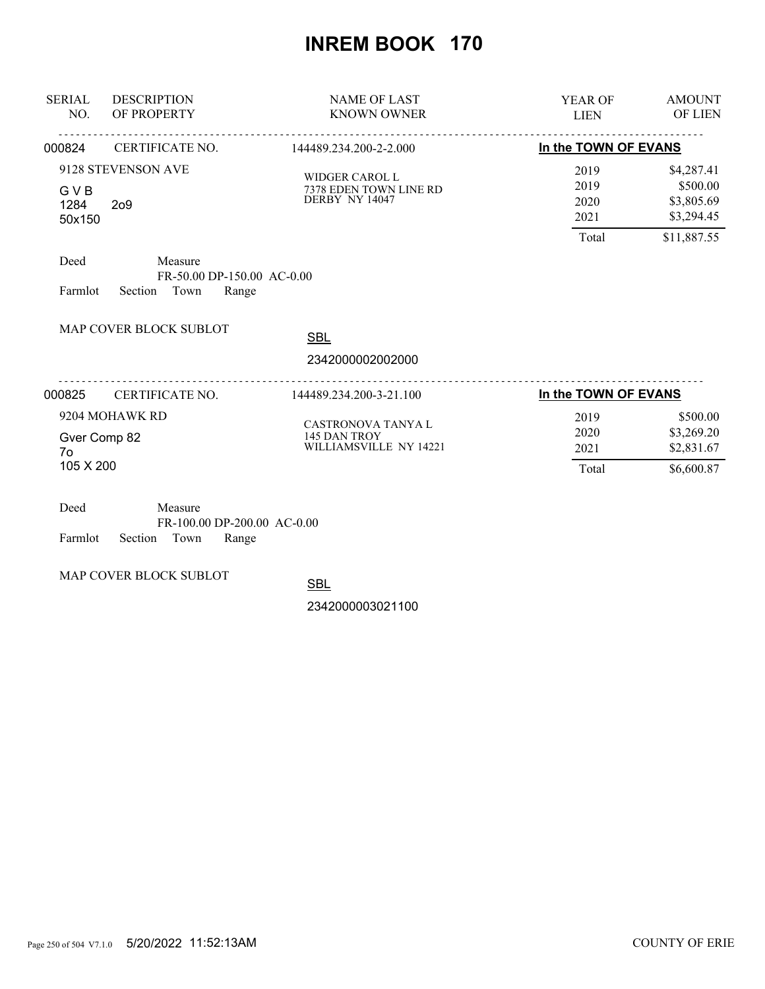| <b>SERIAL</b><br>NO.                                            | <b>DESCRIPTION</b><br>OF PROPERTY                                 | <b>NAME OF LAST</b><br><b>KNOWN OWNER</b>                         |                                       | <b>AMOUNT</b><br><b>OF LIEN</b>                                   |
|-----------------------------------------------------------------|-------------------------------------------------------------------|-------------------------------------------------------------------|---------------------------------------|-------------------------------------------------------------------|
| 000824                                                          | CERTIFICATE NO.                                                   | 144489.234.200-2-2.000                                            | In the TOWN OF EVANS                  |                                                                   |
| 9128 STEVENSON AVE<br>GVB<br>1284<br>2 <sub>0</sub> 9<br>50x150 |                                                                   | <b>WIDGER CAROL L</b><br>7378 EDEN TOWN LINE RD<br>DERBY NY 14047 | 2019<br>2019<br>2020<br>2021<br>Total | \$4,287.41<br>\$500.00<br>\$3,805.69<br>\$3,294.45<br>\$11,887.55 |
| Deed<br>Farmlot                                                 | Measure<br>FR-50.00 DP-150.00 AC-0.00<br>Town<br>Section<br>Range |                                                                   |                                       |                                                                   |
|                                                                 | MAP COVER BLOCK SUBLOT                                            | <b>SBL</b><br>2342000002002000                                    |                                       |                                                                   |
| 000825                                                          | CERTIFICATE NO.                                                   | 144489.234.200-3-21.100                                           | In the TOWN OF EVANS                  |                                                                   |
| Gver Comp 82<br>7ο<br>105 X 200                                 | 9204 MOHAWK RD                                                    | CASTRONOVA TANYA L<br>145 DAN TROY<br>WILLIAMSVILLE NY 14221      | 2019<br>2020<br>2021<br>Total         | \$500.00<br>\$3,269.20<br>\$2,831.67<br>\$6,600.87                |
| Deed                                                            | Measure                                                           |                                                                   |                                       |                                                                   |

| - 1700. |                    | <b>IVICANUIC</b> |                             |  |
|---------|--------------------|------------------|-----------------------------|--|
|         |                    |                  | FR-100.00 DP-200.00 AC-0.00 |  |
| Farmlot | Section Town Range |                  |                             |  |

MAP COVER BLOCK SUBLOT

**SBL**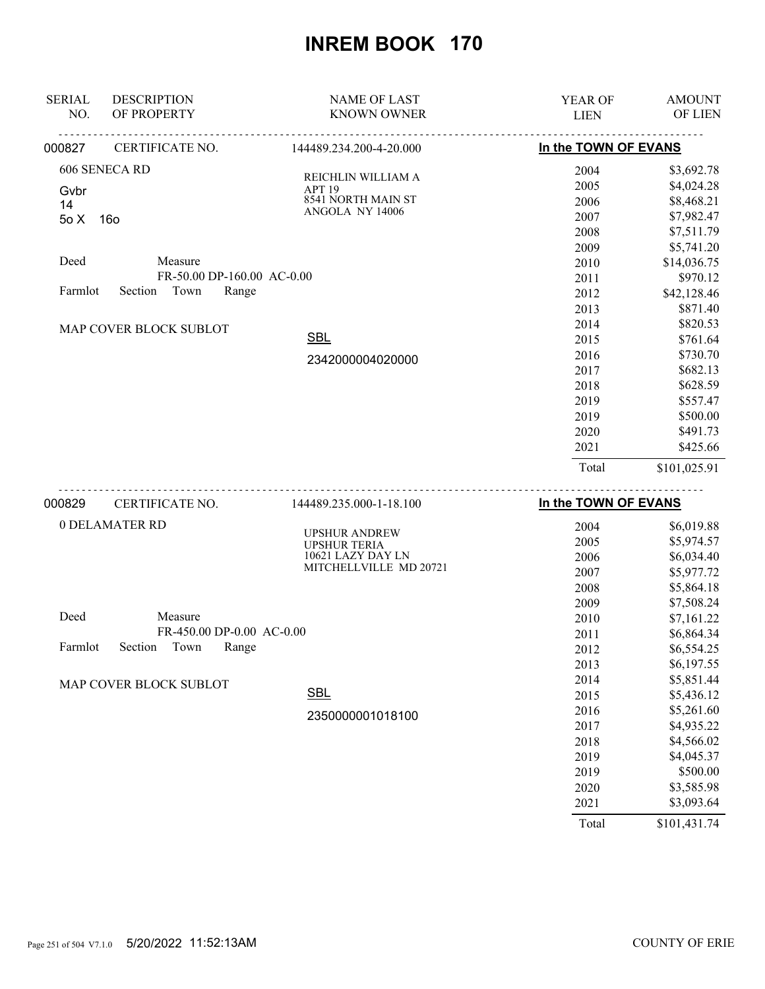| <b>SERIAL</b><br>NO.      | <b>DESCRIPTION</b><br>OF PROPERTY                             | <b>NAME OF LAST</b><br><b>KNOWN OWNER</b>                                        | <b>YEAR OF</b><br><b>LIEN</b>                                                 | <b>AMOUNT</b><br>OF LIEN                                                                                                 |
|---------------------------|---------------------------------------------------------------|----------------------------------------------------------------------------------|-------------------------------------------------------------------------------|--------------------------------------------------------------------------------------------------------------------------|
| 000827                    | CERTIFICATE NO.                                               | 144489.234.200-4-20.000                                                          | In the TOWN OF EVANS                                                          |                                                                                                                          |
| Gvbr<br>14<br>50X<br>Deed | 606 SENECA RD<br>16o<br>Measure<br>FR-50.00 DP-160.00 AC-0.00 | REICHLIN WILLIAM A<br>APT <sub>19</sub><br>8541 NORTH MAIN ST<br>ANGOLA NY 14006 | 2004<br>2005<br>2006<br>2007<br>2008<br>2009<br>2010<br>2011                  | \$3,692.78<br>\$4,024.28<br>\$8,468.21<br>\$7,982.47<br>\$7,511.79<br>\$5,741.20<br>\$14,036.75<br>\$970.12              |
| Farmlot                   | Section<br>Town<br>Range                                      |                                                                                  | 2012<br>2013                                                                  | \$42,128.46<br>\$871.40                                                                                                  |
|                           | MAP COVER BLOCK SUBLOT                                        | <b>SBL</b><br>2342000004020000                                                   | 2014<br>2015<br>2016<br>2017<br>2018<br>2019<br>2019<br>2020<br>2021<br>Total | \$820.53<br>\$761.64<br>\$730.70<br>\$682.13<br>\$628.59<br>\$557.47<br>\$500.00<br>\$491.73<br>\$425.66<br>\$101,025.91 |
|                           |                                                               |                                                                                  |                                                                               |                                                                                                                          |
| 000829                    | CERTIFICATE NO.                                               | 144489.235.000-1-18.100                                                          | In the TOWN OF EVANS                                                          |                                                                                                                          |

| 000829  | CERTIFICATE NO.               | 144489.235.000-1-18.100                     | In the TOWN OF EVANS |            |
|---------|-------------------------------|---------------------------------------------|----------------------|------------|
|         | 0 DELAMATER RD                |                                             | 2004                 | \$6,019.88 |
|         |                               | <b>UPSHUR ANDREW</b><br><b>UPSHUR TERIA</b> | 2005                 | \$5,974.57 |
|         |                               | 10621 LAZY DAY LN                           | 2006                 | \$6,034.40 |
|         |                               | MITCHELLVILLE MD 20721                      | 2007                 | \$5,977.72 |
|         |                               |                                             | 2008                 | \$5,864.18 |
|         |                               |                                             | 2009                 | \$7,508.24 |
| Deed    | Measure                       |                                             | 2010                 | \$7,161.22 |
|         | FR-450.00 DP-0.00 AC-0.00     |                                             | 2011                 | \$6,864.34 |
| Farmlot | Town<br>Section<br>Range      |                                             | 2012                 | \$6,554.25 |
|         |                               |                                             | 2013                 | \$6,197.55 |
|         | <b>MAP COVER BLOCK SUBLOT</b> |                                             | 2014                 | \$5,851.44 |
|         |                               | <b>SBL</b>                                  | 2015                 | \$5,436.12 |
|         |                               | 2350000001018100                            | 2016                 | \$5,261.60 |
|         |                               |                                             | 2017                 | \$4,935.22 |
|         |                               |                                             | 2018                 | \$4,566.02 |
|         |                               |                                             | 2019                 | \$4,045.37 |
|         |                               |                                             | 2019                 | \$500.00   |
|         |                               |                                             | 2020                 | \$3,585.98 |
|         |                               |                                             | 2021                 | \$3,093.64 |
|         |                               |                                             |                      |            |

Total \$101,431.74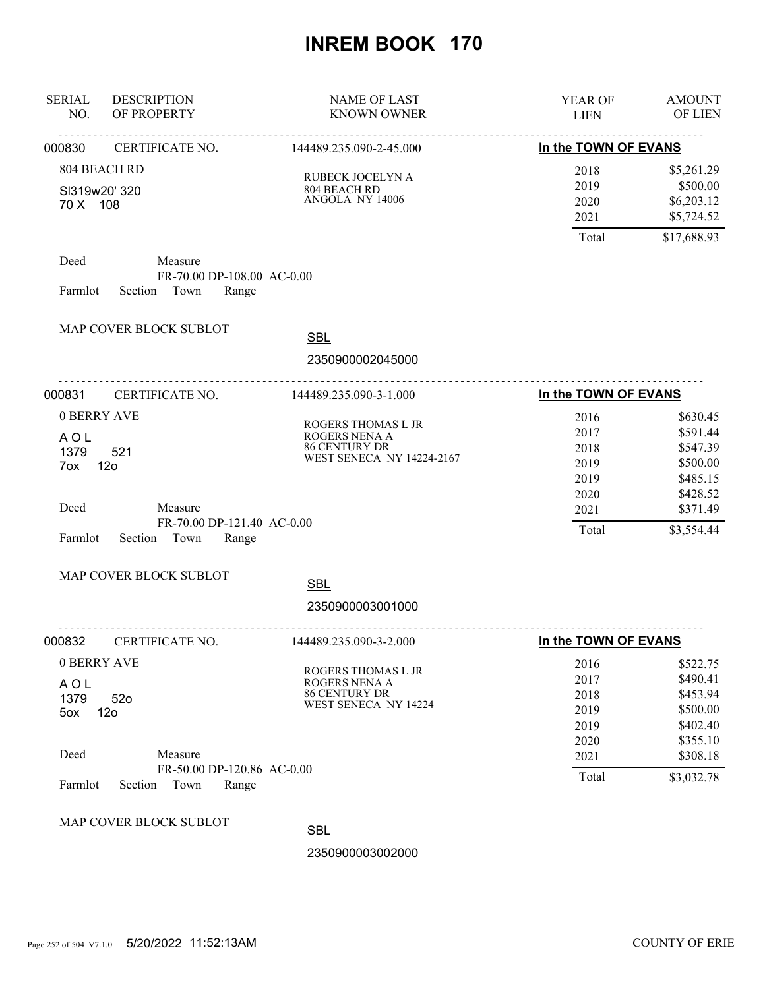| <b>SERIAL</b><br>NO.                             | <b>DESCRIPTION</b><br>OF PROPERTY                                           | <b>NAME OF LAST</b><br><b>KNOWN OWNER</b>                                                | YEAR OF<br><b>LIEN</b>                               | <b>AMOUNT</b><br>OF LIEN                                                         |
|--------------------------------------------------|-----------------------------------------------------------------------------|------------------------------------------------------------------------------------------|------------------------------------------------------|----------------------------------------------------------------------------------|
| 000830                                           | CERTIFICATE NO.                                                             | 144489.235.090-2-45.000                                                                  | In the TOWN OF EVANS                                 |                                                                                  |
| 804 BEACH RD<br>SI319w20' 320<br>70 X 108        |                                                                             | RUBECK JOCELYN A<br>804 BEACH RD<br>ANGOLA NY 14006                                      | 2018<br>2019<br>2020<br>2021                         | \$5,261.29<br>\$500.00<br>\$6,203.12<br>\$5,724.52                               |
|                                                  |                                                                             |                                                                                          | Total                                                | \$17,688.93                                                                      |
| Deed<br>Farmlot                                  | Measure<br>FR-70.00 DP-108.00 AC-0.00<br>Section Town<br>Range              |                                                                                          |                                                      |                                                                                  |
|                                                  | MAP COVER BLOCK SUBLOT                                                      | <b>SBL</b>                                                                               |                                                      |                                                                                  |
|                                                  | <u>.</u>                                                                    | 2350900002045000                                                                         |                                                      |                                                                                  |
| 000831                                           | CERTIFICATE NO.                                                             | 144489.235.090-3-1.000                                                                   | In the TOWN OF EVANS                                 |                                                                                  |
| 0 BERRY AVE<br>AOL<br>1379<br>7ox                | 521<br>12 <sub>o</sub>                                                      | ROGERS THOMAS L JR<br>ROGERS NENA A<br><b>86 CENTURY DR</b><br>WEST SENECA NY 14224-2167 | 2016<br>2017<br>2018<br>2019<br>2019                 | \$630.45<br>\$591.44<br>\$547.39<br>\$500.00<br>\$485.15                         |
| Deed<br>Farmlot                                  | Measure<br>FR-70.00 DP-121.40 AC-0.00<br>Section Town<br>Range              |                                                                                          | 2020<br>2021<br>Total                                | \$428.52<br>\$371.49<br>\$3,554.44                                               |
|                                                  | MAP COVER BLOCK SUBLOT                                                      | <b>SBL</b>                                                                               |                                                      |                                                                                  |
|                                                  |                                                                             | 2350900003001000                                                                         |                                                      |                                                                                  |
| 000832                                           | CERTIFICATE NO.                                                             | 144489.235.090-3-2.000                                                                   | In the TOWN OF EVANS                                 |                                                                                  |
| 0 BERRY AVE<br><b>AOL</b><br>1379<br>5ox<br>Deed | 52 <sub>o</sub><br>12 <sub>o</sub><br>Measure<br>FR-50.00 DP-120.86 AC-0.00 | ROGERS THOMAS L JR<br>ROGERS NENA A<br><b>86 CENTURY DR</b><br>WEST SENECA NY 14224      | 2016<br>2017<br>2018<br>2019<br>2019<br>2020<br>2021 | \$522.75<br>\$490.41<br>\$453.94<br>\$500.00<br>\$402.40<br>\$355.10<br>\$308.18 |
| Farmlot                                          | Section<br>Town<br>Range                                                    |                                                                                          | Total                                                | \$3,032.78                                                                       |
|                                                  | MAP COVER BLOCK SUBLOT                                                      | <b>SBL</b><br>2350900003002000                                                           |                                                      |                                                                                  |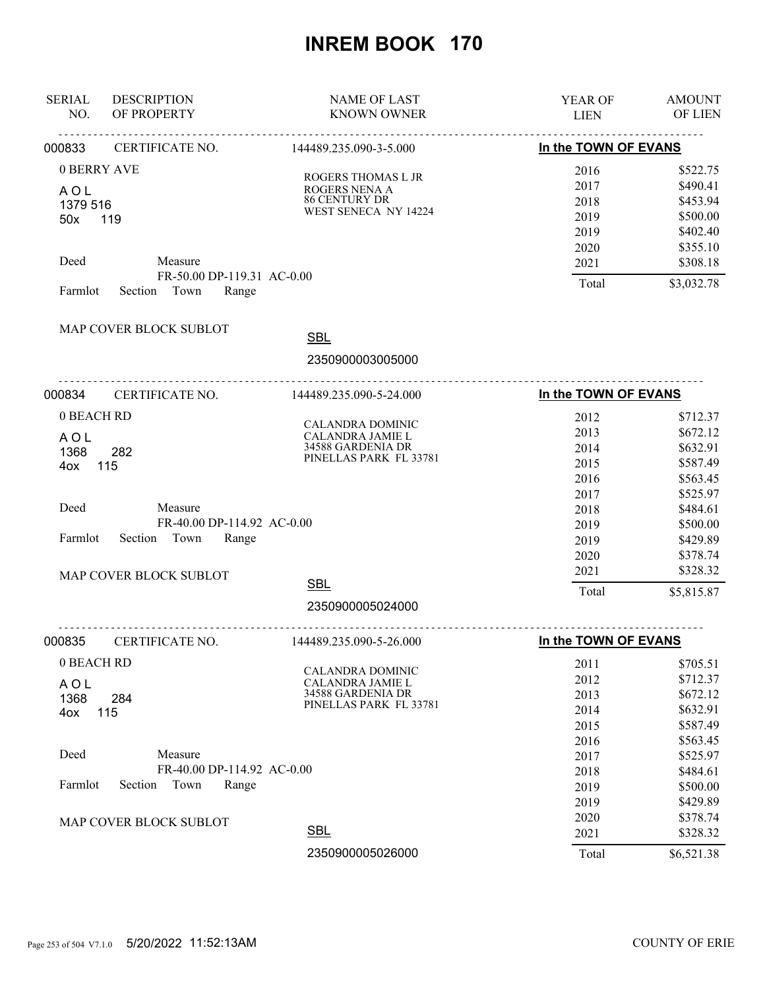| <b>SERIAL</b><br>NO.                         | <b>DESCRIPTION</b><br>OF PROPERTY                                 | <b>NAME OF LAST</b><br><b>KNOWN OWNER</b>                                                  | YEAR OF<br><b>LIEN</b>                       | <b>AMOUNT</b><br>OF LIEN                                             |
|----------------------------------------------|-------------------------------------------------------------------|--------------------------------------------------------------------------------------------|----------------------------------------------|----------------------------------------------------------------------|
| 000833                                       | <u>.</u><br>CERTIFICATE NO.                                       | <u>.</u> .<br>144489.235.090-3-5.000                                                       | In the TOWN OF EVANS                         |                                                                      |
| 0 BERRY AVE<br><b>AOL</b><br>1379 516<br>50x | 119                                                               | <b>ROGERS THOMAS L JR</b><br>ROGERS NENA A<br><b>86 CENTURY DR</b><br>WEST SENECA NY 14224 | 2016<br>2017<br>2018<br>2019<br>2019         | \$522.75<br>\$490.41<br>\$453.94<br>\$500.00<br>\$402.40             |
| Deed                                         | Measure<br>FR-50.00 DP-119.31 AC-0.00                             |                                                                                            | 2020<br>2021<br>Total                        | \$355.10<br>\$308.18<br>\$3,032.78                                   |
| Farmlot                                      | Town<br>Section<br>Range                                          |                                                                                            |                                              |                                                                      |
|                                              | MAP COVER BLOCK SUBLOT                                            | <b>SBL</b><br>2350900003005000                                                             | <u>___________________________</u>           |                                                                      |
| 000834                                       | CERTIFICATE NO.                                                   | 144489.235.090-5-24.000                                                                    | In the TOWN OF EVANS                         |                                                                      |
| 0 BEACH RD<br>A O L<br>1368<br>4ox           | 282<br>115                                                        | CALANDRA DOMINIC<br><b>CALANDRA JAMIE L</b><br>34588 GARDENIA DR<br>PINELLAS PARK FL 33781 | 2012<br>2013<br>2014<br>2015<br>2016         | \$712.37<br>\$672.12<br>\$632.91<br>\$587.49<br>\$563.45             |
| Deed<br>Farmlot                              | Measure<br>FR-40.00 DP-114.92 AC-0.00<br>Section<br>Town<br>Range |                                                                                            | 2017<br>2018<br>2019<br>2019<br>2020         | \$525.97<br>\$484.61<br>\$500.00<br>\$429.89<br>\$378.74             |
|                                              | MAP COVER BLOCK SUBLOT                                            | <b>SBL</b><br>2350900005024000                                                             | 2021<br>Total                                | \$328.32<br>\$5,815.87                                               |
| 000835                                       | CERTIFICATE NO.                                                   | .<br>144489.235.090-5-26.000                                                               | In the TOWN OF EVANS                         |                                                                      |
| 0 BEACH RD<br>AOL<br>1368<br>4ox             | 284<br>115                                                        | <b>CALANDRA DOMINIC</b><br>CALANDRA JAMIE L<br>34588 GARDENIA DR<br>PINELLAS PARK FL 33781 | 2011<br>2012<br>2013<br>2014<br>2015<br>2016 | \$705.51<br>\$712.37<br>\$672.12<br>\$632.91<br>\$587.49<br>\$563.45 |
| Deed<br>Farmlot                              | Measure<br>FR-40.00 DP-114.92 AC-0.00<br>Section<br>Town<br>Range |                                                                                            | 2017<br>2018<br>2019<br>2019                 | \$525.97<br>\$484.61<br>\$500.00<br>\$429.89                         |
|                                              | MAP COVER BLOCK SUBLOT                                            | <b>SBL</b>                                                                                 | 2020<br>2021                                 | \$378.74<br>\$328.32                                                 |
|                                              |                                                                   | 2350900005026000                                                                           | Total                                        | \$6,521.38                                                           |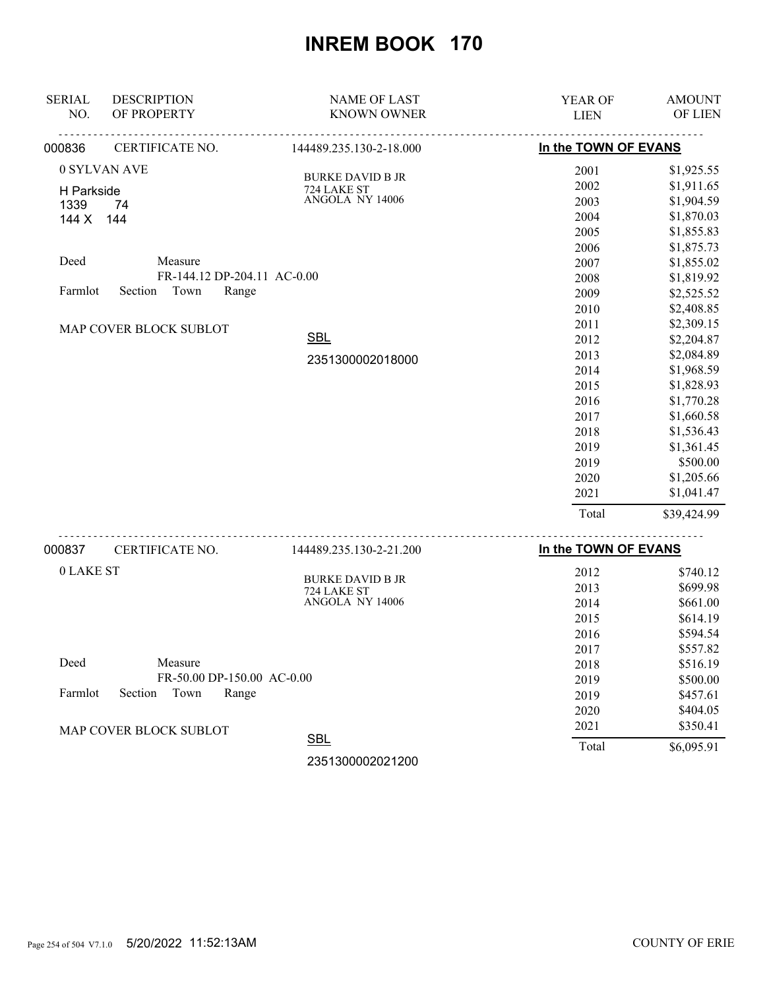| <b>SERIAL</b> | <b>DESCRIPTION</b>          | <b>NAME OF LAST</b>     | YEAR OF              | <b>AMOUNT</b> |
|---------------|-----------------------------|-------------------------|----------------------|---------------|
| NO.           | OF PROPERTY                 | <b>KNOWN OWNER</b>      | <b>LIEN</b>          | OF LIEN       |
| 000836        | CERTIFICATE NO.             | 144489.235.130-2-18.000 | In the TOWN OF EVANS |               |
| 0 SYLVAN AVE  |                             | <b>BURKE DAVID B JR</b> | 2001                 | \$1,925.55    |
| H Parkside    |                             | 724 LAKE ST             | 2002                 | \$1,911.65    |
| 1339          | 74                          | ANGOLA NY 14006         | 2003                 | \$1,904.59    |
| 144 X         | 144                         |                         | 2004                 | \$1,870.03    |
|               |                             |                         | 2005                 | \$1,855.83    |
|               |                             |                         | 2006                 | \$1,875.73    |
| Deed          | Measure                     |                         | 2007                 | \$1,855.02    |
|               | FR-144.12 DP-204.11 AC-0.00 |                         | 2008                 | \$1,819.92    |
| Farmlot       | Town<br>Section<br>Range    |                         | 2009                 | \$2,525.52    |
|               |                             |                         | 2010                 | \$2,408.85    |
|               | MAP COVER BLOCK SUBLOT      |                         | 2011                 | \$2,309.15    |
|               |                             | <b>SBL</b>              | 2012                 | \$2,204.87    |
|               |                             | 2351300002018000        | 2013                 | \$2,084.89    |
|               |                             |                         | 2014                 | \$1,968.59    |
|               |                             |                         | 2015                 | \$1,828.93    |
|               |                             |                         | 2016                 | \$1,770.28    |
|               |                             |                         | 2017                 | \$1,660.58    |
|               |                             |                         | 2018                 | \$1,536.43    |
|               |                             |                         | 2019                 | \$1,361.45    |
|               |                             |                         | 2019                 | \$500.00      |
|               |                             |                         | 2020                 | \$1,205.66    |
|               |                             |                         | 2021                 | \$1,041.47    |
|               |                             |                         | Total                | \$39,424.99   |
| 000837        | CERTIFICATE NO.             | 144489.235.130-2-21.200 | In the TOWN OF EVANS |               |

|                                     | ----------------       |       |            |
|-------------------------------------|------------------------|-------|------------|
|                                     | <b>SBL</b>             | Total | \$6,095.91 |
| <b>MAP COVER BLOCK SUBLOT</b>       |                        | 2021  | \$350.41   |
|                                     |                        | 2020  | \$404.05   |
| Farmlot<br>Town<br>Range<br>Section |                        | 2019  | \$457.61   |
| FR-50.00 DP-150.00 AC-0.00          |                        | 2019  | \$500.00   |
| Deed<br>Measure                     |                        | 2018  | \$516.19   |
|                                     |                        | 2017  | \$557.82   |
|                                     |                        | 2016  | \$594.54   |
|                                     |                        | 2015  | \$614.19   |
|                                     | ANGOLA NY 14006        | 2014  | \$661.00   |
|                                     | 724 LAKE ST            | 2013  | \$699.98   |
| 0 LAKE ST                           | <b>BURKE DAVID BJR</b> | 2012  | \$740.12   |
|                                     |                        |       |            |

2351300002021200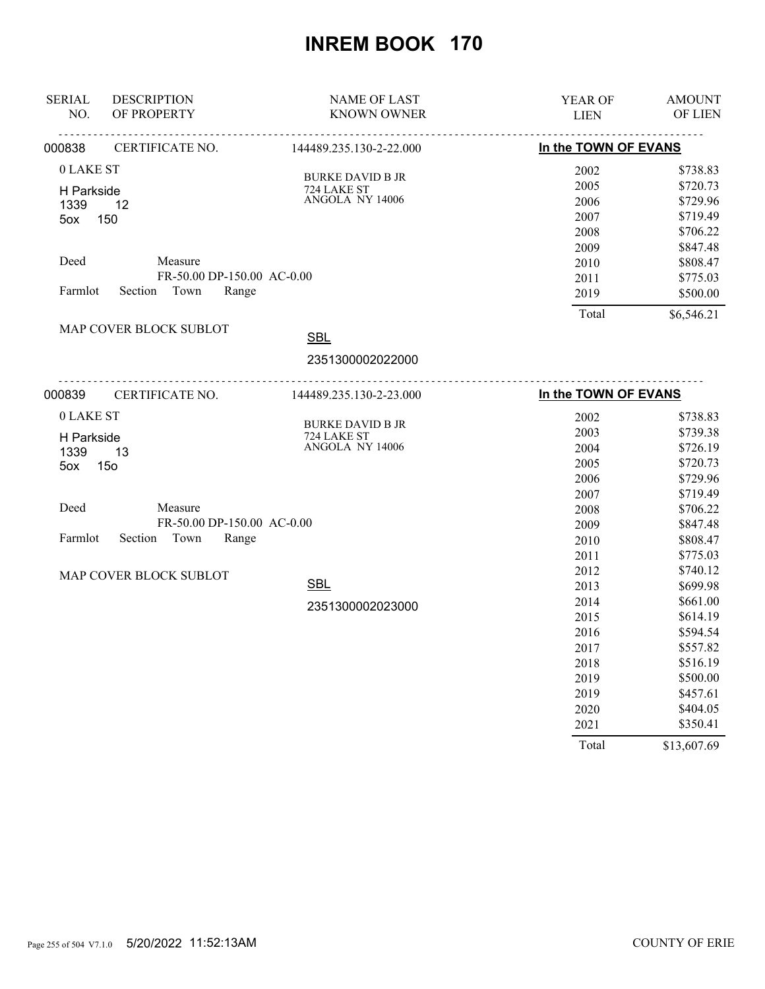| <b>SERIAL</b><br>NO. | <b>DESCRIPTION</b><br>OF PROPERTY | <b>NAME OF LAST</b><br><b>KNOWN OWNER</b> | YEAR OF<br><b>LIEN</b> | <b>AMOUNT</b><br>OF LIEN |
|----------------------|-----------------------------------|-------------------------------------------|------------------------|--------------------------|
| 000838               | CERTIFICATE NO.                   | 144489.235.130-2-22.000                   | In the TOWN OF EVANS   |                          |
| 0 LAKE ST            |                                   |                                           | 2002                   | \$738.83                 |
|                      |                                   | <b>BURKE DAVID B JR</b><br>724 LAKE ST    | 2005                   | \$720.73                 |
| H Parkside<br>1339   | 12                                | ANGOLA NY 14006                           | 2006                   | \$729.96                 |
| $5$ ox               | 150                               |                                           | 2007                   | \$719.49                 |
|                      |                                   |                                           | 2008                   | \$706.22                 |
|                      |                                   |                                           | 2009                   | \$847.48                 |
| Deed                 | Measure                           |                                           | 2010                   | \$808.47                 |
|                      | FR-50.00 DP-150.00 AC-0.00        |                                           | 2011                   | \$775.03                 |
| Farmlot              | Section Town<br>Range             |                                           | 2019                   | \$500.00                 |
|                      |                                   |                                           | Total                  | \$6,546.21               |
|                      | MAP COVER BLOCK SUBLOT            | <b>SBL</b>                                |                        |                          |
|                      |                                   | 2351300002022000                          |                        |                          |
| 000839               |                                   | CERTIFICATE NO. 144489.235.130-2-23.000   | In the TOWN OF EVANS   |                          |
| 0 LAKE ST            |                                   |                                           | 2002                   | \$738.83                 |
|                      |                                   | <b>BURKE DAVID B JR</b>                   | 2003                   | \$739.38                 |
| H Parkside           |                                   | 724 LAKE ST<br>ANGOLA NY 14006            | 2004                   | \$726.19                 |
| 1339<br>5ox          | 13<br>15 <sub>o</sub>             |                                           | 2005                   | \$720.73                 |
|                      |                                   |                                           | 2006                   | \$729.96                 |
|                      |                                   |                                           | 2007                   | \$719.49                 |
| Deed                 | Measure                           |                                           | 2008                   | \$706.22                 |
|                      | FR-50.00 DP-150.00 AC-0.00        |                                           | 2009                   | \$847.48                 |
| Farmlot              | Section Town<br>Range             |                                           | 2010                   | \$808.47                 |
|                      |                                   |                                           | 2011                   | \$775.03                 |
|                      | MAP COVER BLOCK SUBLOT            |                                           | 2012                   | \$740.12                 |
|                      |                                   | <b>SBL</b>                                | 2013                   | \$699.98                 |
|                      |                                   | 2351300002023000                          | 2014                   | \$661.00                 |
|                      |                                   |                                           | 2015                   | \$614.19                 |
|                      |                                   |                                           | 2016                   | \$594.54                 |
|                      |                                   |                                           | 2017                   | \$557.82                 |
|                      |                                   |                                           | 2018                   | \$516.19                 |
|                      |                                   |                                           | 2019                   | \$500.00                 |
|                      |                                   |                                           | 2019                   | \$457.61                 |
|                      |                                   |                                           | 2020                   | \$404.05                 |
|                      |                                   |                                           | 2021                   | \$350.41                 |
|                      |                                   |                                           | Total                  | \$13,607.69              |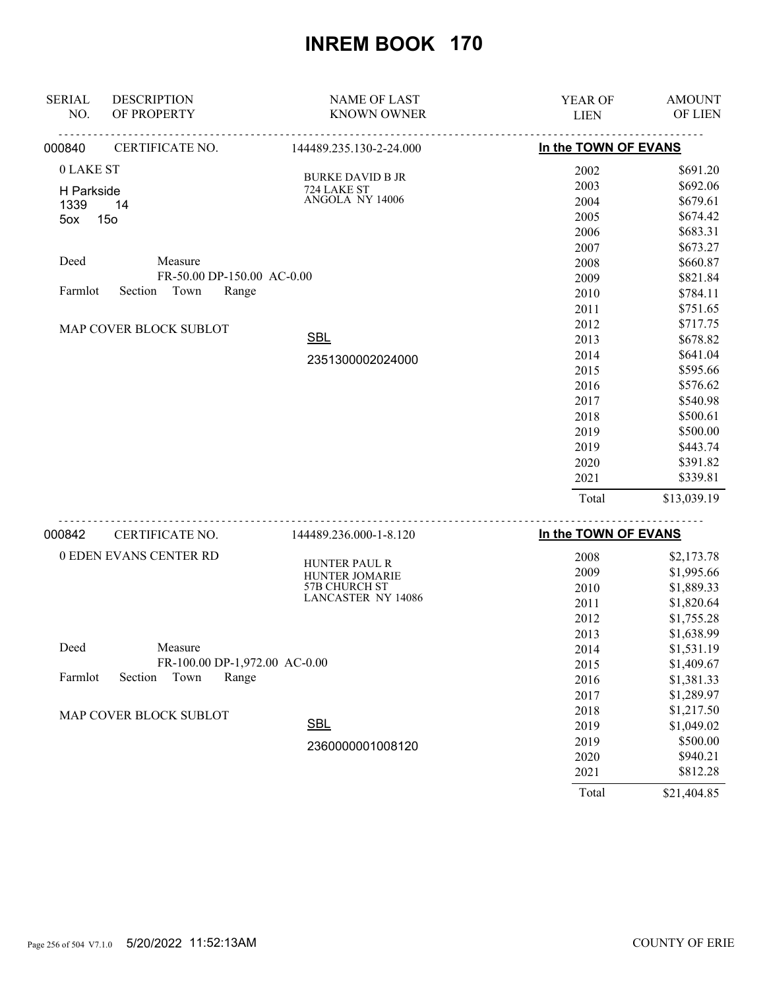| <b>SERIAL</b><br>NO. | <b>DESCRIPTION</b><br>OF PROPERTY | <b>NAME OF LAST</b><br><b>KNOWN OWNER</b> | <b>YEAR OF</b><br><b>LIEN</b> | <b>AMOUNT</b><br>OF LIEN |
|----------------------|-----------------------------------|-------------------------------------------|-------------------------------|--------------------------|
| 000840               | CERTIFICATE NO.                   | 144489.235.130-2-24.000                   | In the TOWN OF EVANS          |                          |
| 0 LAKE ST            |                                   | <b>BURKE DAVID B JR</b>                   | 2002                          | \$691.20                 |
| H Parkside           |                                   | 724 LAKE ST                               | 2003                          | \$692.06                 |
| 1339                 | 14                                | ANGOLA NY 14006                           | 2004                          | \$679.61                 |
| 5ox                  | 15 <sub>o</sub>                   |                                           | 2005                          | \$674.42                 |
|                      |                                   |                                           | 2006                          | \$683.31                 |
|                      |                                   |                                           | 2007                          | \$673.27                 |
| Deed                 | Measure                           |                                           | 2008                          | \$660.87                 |
|                      | FR-50.00 DP-150.00 AC-0.00        |                                           | 2009                          | \$821.84                 |
| Farmlot              | Town<br>Section<br>Range          |                                           | 2010                          | \$784.11                 |
|                      |                                   |                                           | 2011                          | \$751.65                 |
|                      | MAP COVER BLOCK SUBLOT            |                                           | 2012                          | \$717.75                 |
|                      |                                   | <b>SBL</b>                                | 2013                          | \$678.82                 |
|                      |                                   | 2351300002024000                          | 2014                          | \$641.04                 |
|                      |                                   |                                           | 2015                          | \$595.66                 |
|                      |                                   |                                           | 2016                          | \$576.62                 |
|                      |                                   |                                           | 2017                          | \$540.98                 |
|                      |                                   |                                           | 2018                          | \$500.61                 |
|                      |                                   |                                           | 2019                          | \$500.00                 |
|                      |                                   |                                           | 2019                          | \$443.74                 |
|                      |                                   |                                           | 2020                          | \$391.82                 |
|                      |                                   |                                           | 2021                          | \$339.81                 |
|                      |                                   |                                           | Total                         | \$13,039.19              |
|                      |                                   |                                           |                               |                          |

| 000842  | CERTIFICATE NO.               | 144489.236.000-1-8.120    | In the TOWN OF EVANS |             |
|---------|-------------------------------|---------------------------|----------------------|-------------|
|         | 0 EDEN EVANS CENTER RD        | <b>HUNTER PAUL R</b>      | 2008                 | \$2,173.78  |
|         |                               | <b>HUNTER JOMARIE</b>     | 2009                 | \$1,995.66  |
|         |                               | 57B CHURCH ST             | 2010                 | \$1,889.33  |
|         |                               | <b>LANCASTER NY 14086</b> | 2011                 | \$1,820.64  |
|         |                               |                           | 2012                 | \$1,755.28  |
|         |                               |                           | 2013                 | \$1,638.99  |
| Deed    | Measure                       |                           | 2014                 | \$1,531.19  |
|         | FR-100.00 DP-1,972.00 AC-0.00 |                           | 2015                 | \$1,409.67  |
| Farmlot | Town<br>Range<br>Section      |                           | 2016                 | \$1,381.33  |
|         |                               |                           | 2017                 | \$1,289.97  |
|         | <b>MAP COVER BLOCK SUBLOT</b> |                           | 2018                 | \$1,217.50  |
|         |                               | <b>SBL</b>                | 2019                 | \$1,049.02  |
|         |                               | 2360000001008120          | 2019                 | \$500.00    |
|         |                               |                           | 2020                 | \$940.21    |
|         |                               |                           | 2021                 | \$812.28    |
|         |                               |                           | Total                | \$21,404.85 |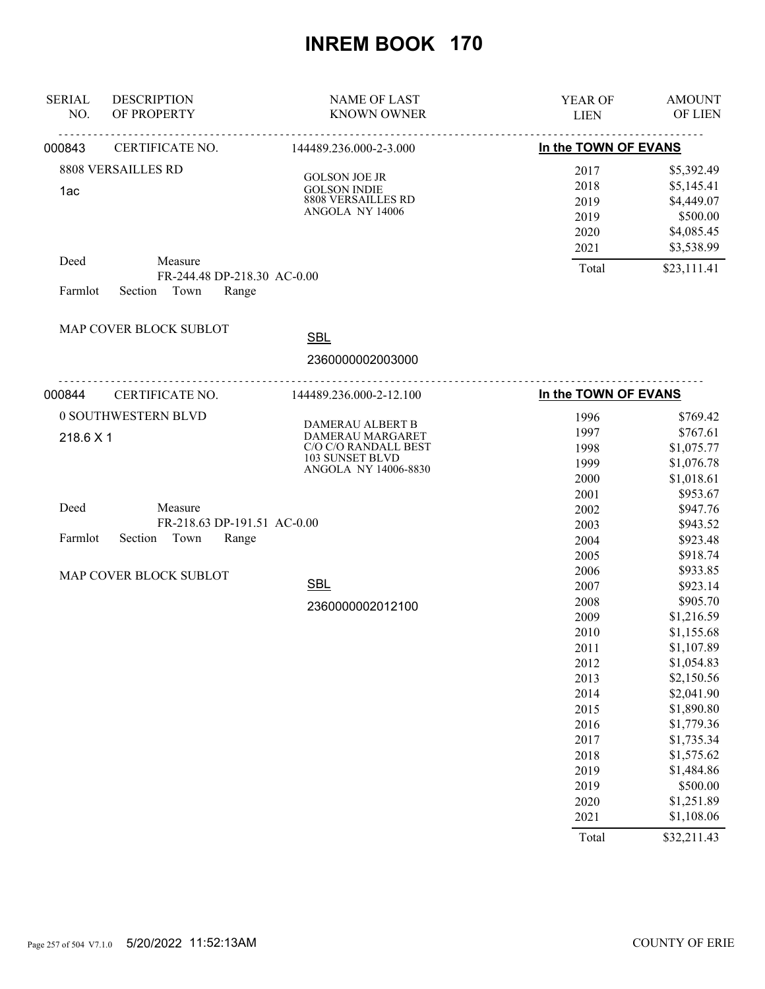| <b>SERIAL</b><br>NO. | <b>DESCRIPTION</b><br>OF PROPERTY | <b>NAME OF LAST</b><br><b>KNOWN OWNER</b> | <b>YEAR OF</b><br><b>LIEN</b> | <b>AMOUNT</b><br><b>OF LIEN</b> |
|----------------------|-----------------------------------|-------------------------------------------|-------------------------------|---------------------------------|
| 000843               | <b>CERTIFICATE NO.</b>            | 144489.236.000-2-3.000                    | In the TOWN OF EVANS          |                                 |
|                      | <b>8808 VERSAILLES RD</b>         | <b>GOLSON JOE JR</b>                      | 2017                          | \$5,392.49                      |
| 1ac                  |                                   | <b>GOLSON INDIE</b>                       | 2018                          | \$5,145.41                      |
|                      |                                   | 8808 VERSAILLES RD                        | 2019                          | \$4,449.07                      |
|                      |                                   | ANGOLA NY 14006                           | 2019                          | \$500.00                        |
|                      |                                   |                                           | 2020                          | \$4,085.45                      |
|                      |                                   |                                           | 2021                          | \$3,538.99                      |
| Deed                 | Measure                           | FR-244.48 DP-218.30 AC-0.00               | Total                         | \$23,111.41                     |
| Farmlot              | Section Town                      | Range                                     |                               |                                 |
|                      | MAP COVER BLOCK SUBLOT            | <b>SBL</b>                                |                               |                                 |
|                      |                                   |                                           |                               |                                 |
|                      |                                   | 2360000002003000                          |                               |                                 |
| 000844               | CERTIFICATE NO.                   | 144489.236.000-2-12.100                   | In the TOWN OF EVANS          |                                 |
|                      | 0 SOUTHWESTERN BLVD               | DAMERAU ALBERT B                          | 1996                          | \$769.42                        |
| 218.6 X 1            |                                   | DAMERAU MARGARET                          | 1997                          | \$767.61                        |
|                      |                                   | C/O C/O RANDALL BEST                      | 1998                          | \$1,075.77                      |
|                      |                                   | 103 SUNSET BLVD<br>ANGOLA NY 14006-8830   | 1999                          | \$1,076.78                      |
|                      |                                   |                                           | 2000                          | \$1,018.61                      |
|                      |                                   |                                           | 2001                          | \$953.67                        |
| Deed                 | Measure                           |                                           | 2002                          | \$947.76                        |
|                      |                                   | FR-218.63 DP-191.51 AC-0.00               | 2003                          | \$943.52                        |
| Farmlot              | Town<br>Section                   | Range                                     | 2004                          | \$923.48                        |
|                      |                                   |                                           | 2005                          | \$918.74                        |
|                      | MAP COVER BLOCK SUBLOT            |                                           | 2006                          | \$933.85                        |
|                      |                                   | <b>SBL</b>                                | 2007                          | \$923.14                        |
|                      |                                   | 2360000002012100                          | 2008                          | \$905.70                        |
|                      |                                   |                                           | 2009                          | \$1,216.59                      |
|                      |                                   |                                           | 2010                          | \$1,155.68                      |
|                      |                                   |                                           | 2011                          | \$1,107.89                      |
|                      |                                   |                                           | 2012                          | \$1,054.83                      |
|                      |                                   |                                           | 2013                          | \$2,150.56                      |
|                      |                                   |                                           | 2014                          | \$2,041.90                      |
|                      |                                   |                                           | 2015                          | \$1,890.80                      |
|                      |                                   |                                           | 2016                          | \$1,779.36                      |
|                      |                                   |                                           | 2017                          | \$1,735.34                      |
|                      |                                   |                                           | 2018                          | \$1,575.62                      |
|                      |                                   |                                           | 2019                          | \$1,484.86                      |
|                      |                                   |                                           | 2019                          | \$500.00                        |
|                      |                                   |                                           | 2020                          | \$1,251.89                      |
|                      |                                   |                                           | 2021                          | \$1,108.06                      |
|                      |                                   |                                           | Total                         | \$32,211.43                     |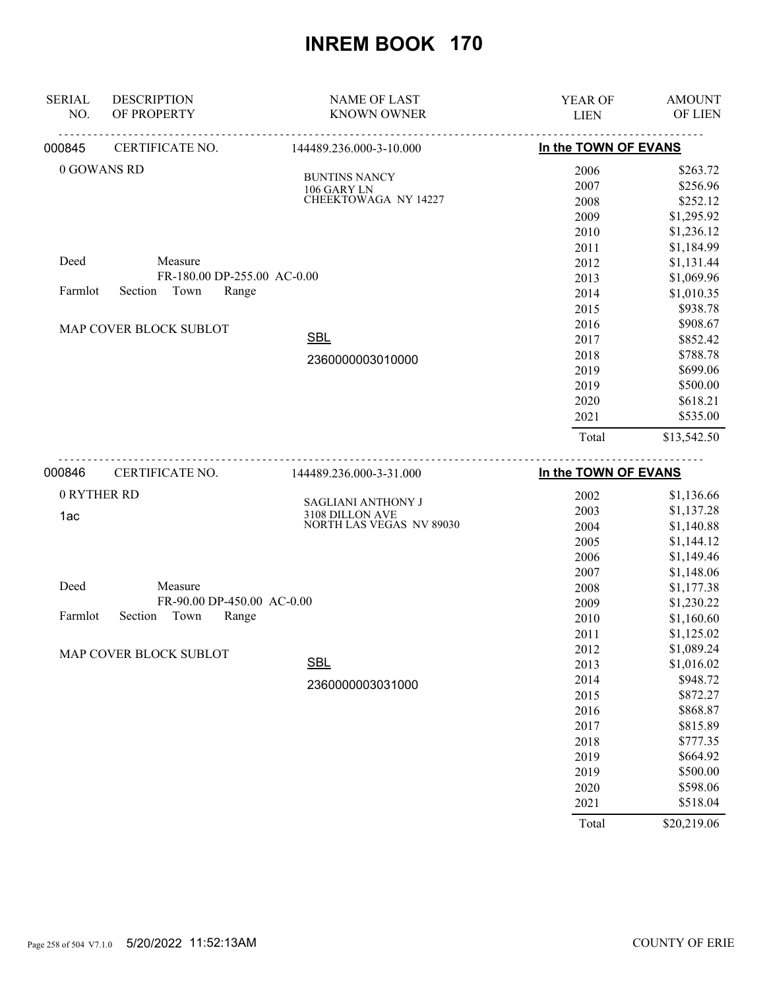| NO.<br>OF PROPERTY<br><b>KNOWN OWNER</b><br><b>LIEN</b>                      | OF LIEN              |
|------------------------------------------------------------------------------|----------------------|
|                                                                              |                      |
| In the TOWN OF EVANS<br>CERTIFICATE NO.<br>000845<br>144489.236.000-3-10.000 |                      |
| 0 GOWANS RD<br>2006                                                          | \$263.72             |
| <b>BUNTINS NANCY</b><br>2007<br>106 GARY LN                                  | \$256.96             |
| CHEEKTOWAGA NY 14227<br>2008                                                 | \$252.12             |
| 2009                                                                         | \$1,295.92           |
| 2010                                                                         | \$1,236.12           |
| 2011                                                                         | \$1,184.99           |
| Measure<br>Deed<br>2012                                                      | \$1,131.44           |
| FR-180.00 DP-255.00 AC-0.00<br>2013                                          | \$1,069.96           |
| Town<br>Farmlot<br>Section<br>Range<br>2014                                  | \$1,010.35           |
| 2015                                                                         | \$938.78             |
| 2016<br>MAP COVER BLOCK SUBLOT                                               | \$908.67             |
| <b>SBL</b><br>2017                                                           | \$852.42             |
| 2018<br>2360000003010000                                                     | \$788.78             |
| 2019                                                                         | \$699.06             |
| 2019                                                                         | \$500.00             |
| 2020                                                                         | \$618.21             |
| 2021                                                                         | \$535.00             |
| Total                                                                        | \$13,542.50          |
| In the TOWN OF EVANS<br>000846<br>CERTIFICATE NO.<br>144489.236.000-3-31.000 |                      |
| 0 RYTHER RD<br>2002                                                          | \$1,136.66           |
| SAGLIANI ANTHONY J<br>2003                                                   | \$1,137.28           |
| 3108 DILLON AVE<br>1ac<br>NORTH LAS VEGAS NV 89030<br>2004                   | \$1,140.88           |
| 2005                                                                         | \$1,144.12           |
| 2006                                                                         | \$1,149.46           |
| 2007                                                                         | \$1,148.06           |
| Measure<br>Deed<br>2008                                                      | \$1,177.38           |
| FR-90.00 DP-450.00 AC-0.00<br>2009                                           | \$1,230.22           |
| Farmlot<br>Section<br>Town<br>Range<br>2010                                  | \$1,160.60           |
| 2011                                                                         | \$1,125.02           |
| 2012                                                                         | \$1,089.24           |
| MAP COVER BLOCK SUBLOT<br><u>SBL</u><br>2013                                 | \$1,016.02           |
| 2014                                                                         | \$948.72             |
| 2360000003031000<br>2015                                                     | \$872.27             |
| 2016                                                                         | \$868.87             |
| 2017                                                                         | \$815.89             |
|                                                                              |                      |
|                                                                              |                      |
| 2018                                                                         | \$777.35             |
| 2019                                                                         | \$664.92             |
| 2019<br>2020                                                                 | \$500.00<br>\$598.06 |

Total \$20,219.06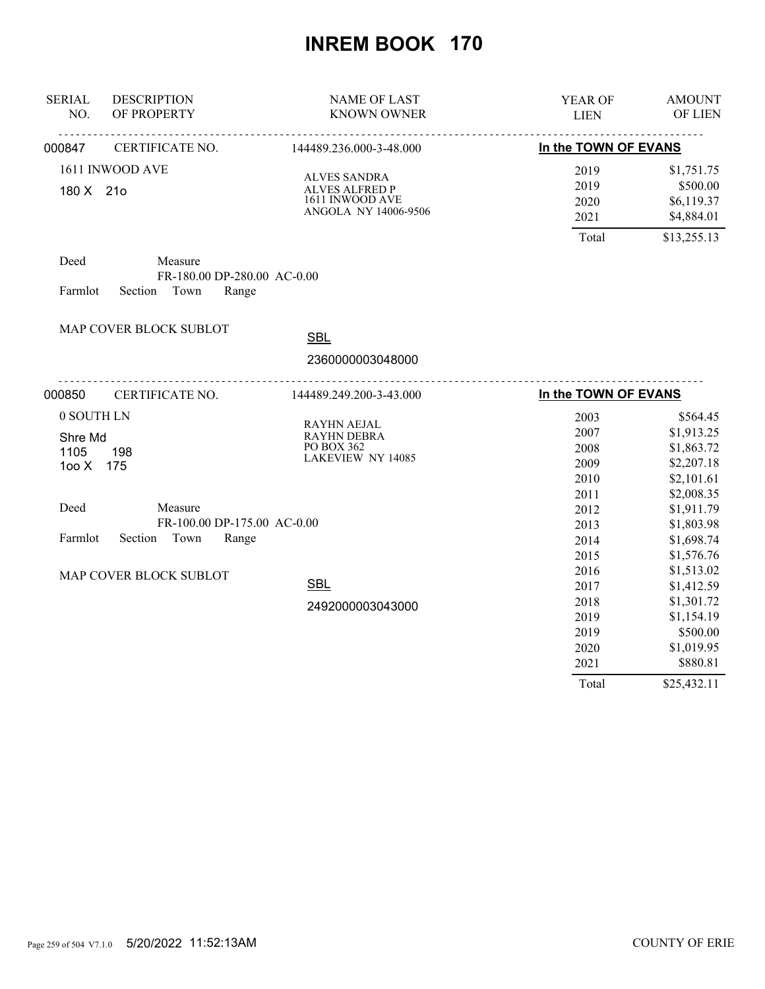| <b>SERIAL</b><br>NO. | <b>DESCRIPTION</b><br>OF PROPERTY | <b>NAME OF LAST</b><br><b>KNOWN OWNER</b>    | YEAR OF<br><b>LIEN</b>             | <b>AMOUNT</b><br>OF LIEN |
|----------------------|-----------------------------------|----------------------------------------------|------------------------------------|--------------------------|
| 000847               | CERTIFICATE NO.                   | 144489.236.000-3-48.000                      | In the TOWN OF EVANS               | -----                    |
|                      | 1611 INWOOD AVE                   |                                              | 2019                               | \$1,751.75               |
| 180 X 21o            |                                   | <b>ALVES SANDRA</b><br><b>ALVES ALFRED P</b> | 2019                               | \$500.00                 |
|                      |                                   | 1611 INWOOD AVE                              | 2020                               | \$6,119.37               |
|                      |                                   | ANGOLA NY 14006-9506                         | 2021                               | \$4,884.01               |
|                      |                                   |                                              | Total                              | \$13,255.13              |
| Deed                 | Measure                           |                                              |                                    |                          |
|                      | FR-180.00 DP-280.00 AC-0.00       |                                              |                                    |                          |
| Farmlot              | Town<br>Section<br>Range          |                                              |                                    |                          |
|                      | MAP COVER BLOCK SUBLOT            |                                              |                                    |                          |
|                      |                                   | <b>SBL</b>                                   |                                    |                          |
|                      |                                   | 2360000003048000                             |                                    |                          |
| 000850               | .<br>CERTIFICATE NO.              | 144489.249.200-3-43.000                      | <u>.</u> .<br>In the TOWN OF EVANS |                          |
| 0 SOUTH LN           |                                   | RAYHN AEJAL                                  | 2003                               | \$564.45                 |
| Shre Md              |                                   | RAYHN DEBRA                                  | 2007                               | \$1,913.25               |
| 1105                 | 198                               | PO BOX 362                                   | 2008                               | \$1,863.72               |
| 100X                 | 175                               | <b>LAKEVIEW NY 14085</b>                     | 2009                               | \$2,207.18               |
|                      |                                   |                                              | 2010                               | \$2,101.61               |
|                      |                                   |                                              | 2011                               | \$2,008.35               |
| Deed                 | Measure                           |                                              | 2012                               | \$1,911.79               |
|                      | FR-100.00 DP-175.00 AC-0.00       |                                              | 2013                               | \$1,803.98               |
| Farmlot              | Section<br>Town<br>Range          |                                              | 2014                               | \$1,698.74               |
|                      |                                   |                                              | 2015                               | \$1,576.76               |
|                      | MAP COVER BLOCK SUBLOT            |                                              | 2016                               | \$1,513.02               |
|                      |                                   | <b>SBL</b>                                   | 2017                               | \$1,412.59               |
|                      |                                   | 2492000003043000                             | 2018                               | \$1,301.72               |
|                      |                                   |                                              | 2019                               | \$1,154.19               |
|                      |                                   |                                              | 2019                               | \$500.00                 |
|                      |                                   |                                              | 2020                               | \$1,019.95               |
|                      |                                   |                                              | 2021                               | \$880.81                 |
|                      |                                   |                                              | Total                              | \$25,432.11              |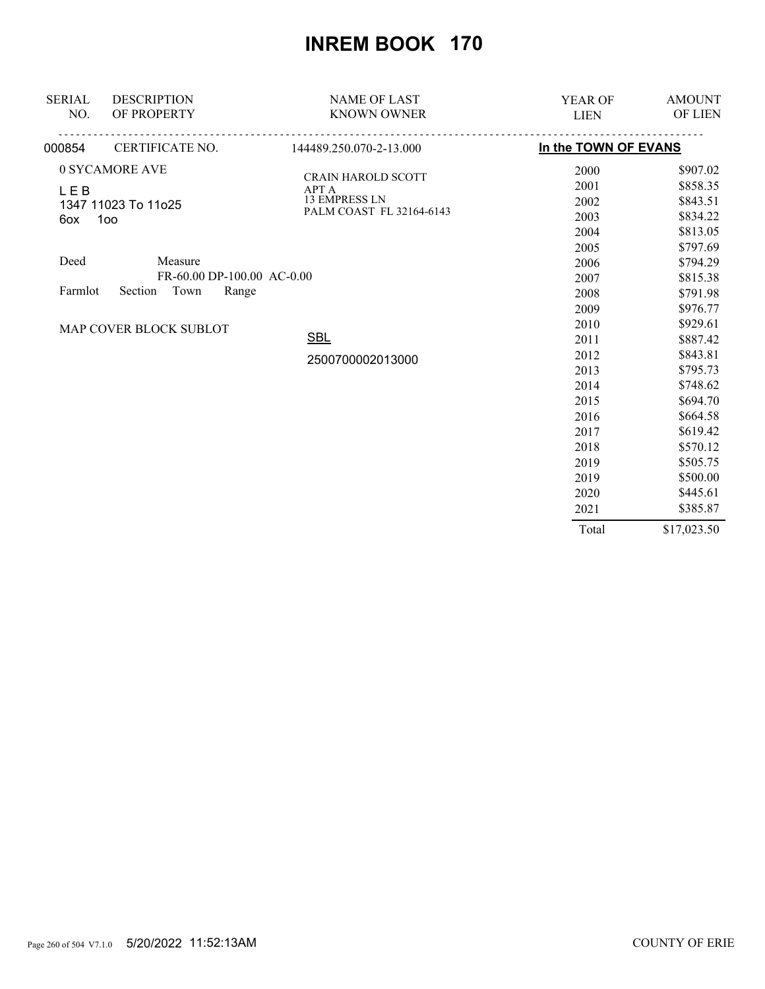| <b>SERIAL</b><br>NO. | <b>DESCRIPTION</b><br>OF PROPERTY | <b>NAME OF LAST</b><br><b>KNOWN OWNER</b> | YEAR OF<br><b>LIEN</b> | <b>AMOUNT</b><br><b>OF LIEN</b> |
|----------------------|-----------------------------------|-------------------------------------------|------------------------|---------------------------------|
| 000854               | CERTIFICATE NO.                   | 144489.250.070-2-13.000                   | In the TOWN OF EVANS   |                                 |
|                      | 0 SYCAMORE AVE                    | <b>CRAIN HAROLD SCOTT</b>                 | 2000                   | \$907.02                        |
| <b>LEB</b>           |                                   | <b>APT A</b>                              | 2001                   | \$858.35                        |
|                      | 1347 11023 To 11o25               | <b>13 EMPRESS LN</b>                      | 2002                   | \$843.51                        |
| 6ox                  | 100                               | PALM COAST FL 32164-6143                  | 2003                   | \$834.22                        |
|                      |                                   |                                           | 2004                   | \$813.05                        |
|                      |                                   |                                           | 2005                   | \$797.69                        |
| Deed                 | Measure                           |                                           | 2006                   | \$794.29                        |
|                      | FR-60.00 DP-100.00 AC-0.00        |                                           | 2007                   | \$815.38                        |
| Farmlot              | Section<br>Town<br>Range          |                                           | 2008                   | \$791.98                        |
|                      |                                   |                                           | 2009                   | \$976.77                        |
|                      | MAP COVER BLOCK SUBLOT            |                                           | 2010                   | \$929.61                        |
|                      |                                   | <b>SBL</b>                                | 2011                   | \$887.42                        |
|                      |                                   | 2500700002013000                          | 2012                   | \$843.81                        |
|                      |                                   |                                           | 2013                   | \$795.73                        |
|                      |                                   |                                           | 2014                   | \$748.62                        |
|                      |                                   |                                           | 2015                   | \$694.70                        |
|                      |                                   |                                           | 2016                   | \$664.58                        |
|                      |                                   |                                           | 2017                   | \$619.42                        |
|                      |                                   |                                           | 2018                   | \$570.12                        |
|                      |                                   |                                           | 2019                   | \$505.75                        |
|                      |                                   |                                           | 2019                   | \$500.00                        |
|                      |                                   |                                           | 2020                   | \$445.61                        |
|                      |                                   |                                           | 2021                   | \$385.87                        |
|                      |                                   |                                           | Total                  | \$17,023.50                     |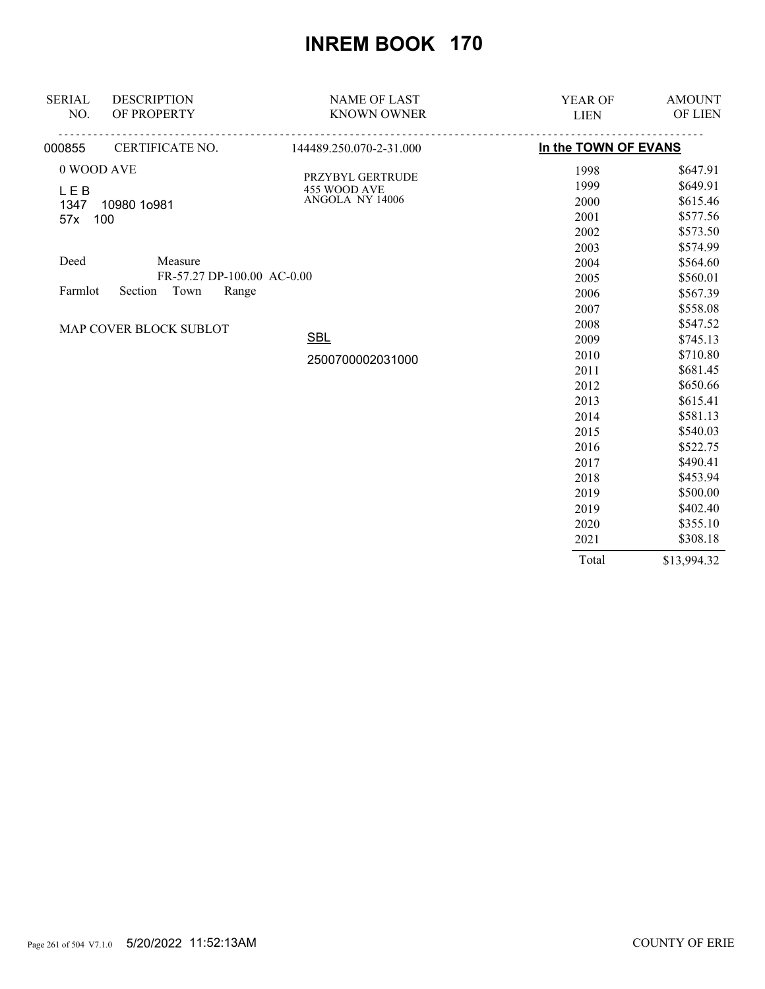| <b>SERIAL</b> | <b>DESCRIPTION</b>         | <b>NAME OF LAST</b>                     | YEAR OF              | <b>AMOUNT</b> |
|---------------|----------------------------|-----------------------------------------|----------------------|---------------|
| NO.           | OF PROPERTY                | <b>KNOWN OWNER</b>                      | <b>LIEN</b>          | OF LIEN       |
| 000855        |                            | CERTIFICATE NO. 144489.250.070-2-31.000 | In the TOWN OF EVANS |               |
| 0 WOOD AVE    |                            |                                         | 1998                 | \$647.91      |
| <b>LEB</b>    |                            | PRZYBYL GERTRUDE<br>455 WOOD AVE        | 1999                 | \$649.91      |
| 1347          | 10980 1o981                | ANGOLA NY 14006                         | 2000                 | \$615.46      |
| 57x           | 100                        |                                         | 2001                 | \$577.56      |
|               |                            |                                         | 2002                 | \$573.50      |
|               |                            |                                         | 2003                 | \$574.99      |
| Deed          | Measure                    |                                         | 2004                 | \$564.60      |
|               | FR-57.27 DP-100.00 AC-0.00 |                                         | 2005                 | \$560.01      |
| Farmlot       | Town<br>Section<br>Range   |                                         | 2006                 | \$567.39      |
|               |                            |                                         | 2007                 | \$558.08      |
|               | MAP COVER BLOCK SUBLOT     |                                         | 2008                 | \$547.52      |
|               |                            | <b>SBL</b>                              | 2009                 | \$745.13      |
|               |                            | 2500700002031000                        | 2010                 | \$710.80      |
|               |                            |                                         | 2011                 | \$681.45      |
|               |                            |                                         | 2012                 | \$650.66      |
|               |                            |                                         | 2013                 | \$615.41      |
|               |                            |                                         | 2014                 | \$581.13      |
|               |                            |                                         | 2015                 | \$540.03      |
|               |                            |                                         | 2016                 | \$522.75      |
|               |                            |                                         | 2017                 | \$490.41      |
|               |                            |                                         | 2018                 | \$453.94      |
|               |                            |                                         | 2019                 | \$500.00      |
|               |                            |                                         | 2019                 | \$402.40      |
|               |                            |                                         | 2020                 | \$355.10      |
|               |                            |                                         | 2021                 | \$308.18      |
|               |                            |                                         | Total                | \$13,994.32   |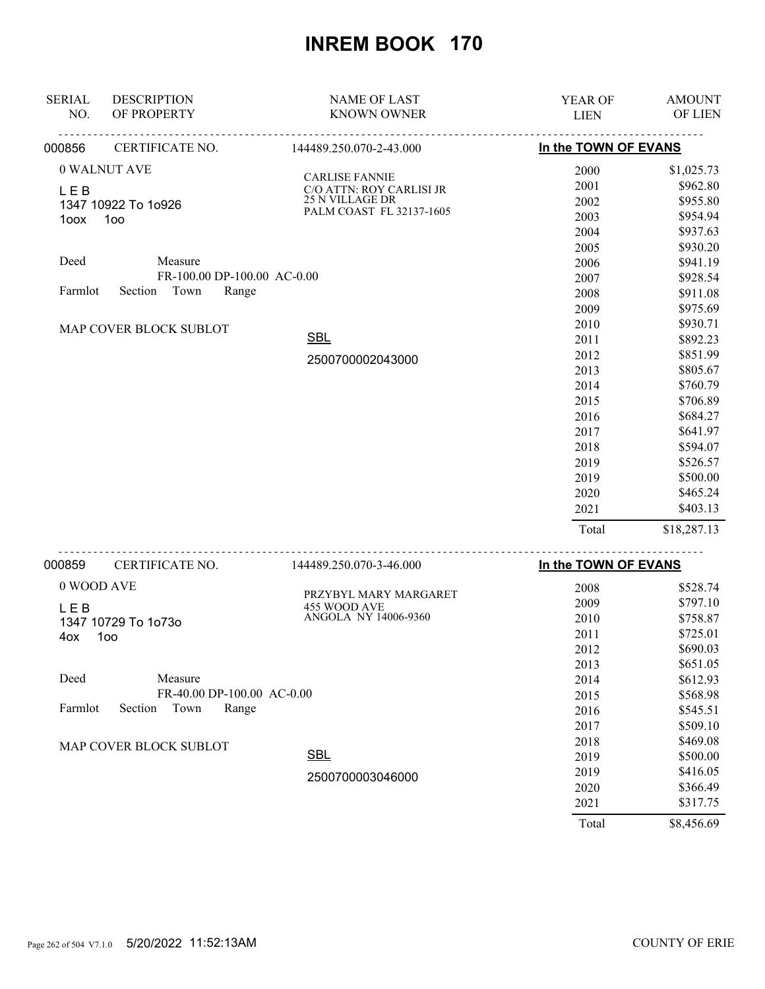| <u>.</u><br><u>.</u><br>In the TOWN OF EVANS<br>CERTIFICATE NO.<br>144489.250.070-2-43.000<br>000856 | \$1,025.73<br>\$962.80 |
|------------------------------------------------------------------------------------------------------|------------------------|
|                                                                                                      |                        |
| 0 WALNUT AVE<br>2000                                                                                 |                        |
| <b>CARLISE FANNIE</b><br>2001<br>C/O ATTN: ROY CARLISI JR                                            |                        |
| <b>LEB</b><br><b>25 N VILLAGE DR</b><br>2002<br>1347 10922 To 1o926                                  | \$955.80               |
| PALM COAST FL 32137-1605<br>2003<br>100<br>1oox                                                      | \$954.94               |
| 2004                                                                                                 | \$937.63               |
| 2005                                                                                                 | \$930.20               |
| Deed<br>Measure<br>2006                                                                              | \$941.19               |
| FR-100.00 DP-100.00 AC-0.00<br>2007                                                                  | \$928.54               |
| Section Town<br>Farmlot<br>Range<br>2008                                                             | \$911.08               |
| 2009                                                                                                 | \$975.69               |
| 2010<br>MAP COVER BLOCK SUBLOT                                                                       | \$930.71               |
| <b>SBL</b><br>2011                                                                                   | \$892.23               |
| 2012<br>2500700002043000                                                                             | \$851.99               |
| 2013                                                                                                 | \$805.67               |
| 2014                                                                                                 | \$760.79               |
| 2015                                                                                                 | \$706.89               |
| 2016                                                                                                 | \$684.27               |
| 2017                                                                                                 | \$641.97               |
| 2018                                                                                                 | \$594.07               |
| 2019                                                                                                 | \$526.57               |
| 2019                                                                                                 | \$500.00               |
| 2020                                                                                                 | \$465.24               |
| 2021                                                                                                 | \$403.13               |
| Total                                                                                                | \$18,287.13            |
| .<br>In the TOWN OF EVANS<br>000859<br>CERTIFICATE NO.<br>144489.250.070-3-46.000                    |                        |
| 0 WOOD AVE<br>2008                                                                                   | \$528.74               |
| PRZYBYL MARY MARGARET<br>2009                                                                        | \$797.10               |
| 455 WOOD AVE<br><b>LEB</b><br>ANGOLA NY 14006-9360<br>2010                                           | \$758.87               |
| 1347 10729 To 1o73o<br>2011                                                                          | \$725.01               |
| 1oo<br>4ox<br>2012                                                                                   | \$690.03               |
| 2013                                                                                                 | \$651.05               |
| Deed<br>Measure<br>2014                                                                              | \$612.93               |
| FR-40.00 DP-100.00 AC-0.00<br>2015                                                                   | \$568.98               |
| Farmlot<br>Section<br>Town<br>Range<br>2016                                                          | \$545.51               |
| 2017                                                                                                 | \$509.10               |
| 2018                                                                                                 | \$469.08               |
| MAP COVER BLOCK SUBLOT<br><b>SBL</b><br>2019                                                         | \$500.00               |

2500700003046000

\$8,456.69 Total

2019

2020 2021

\$416.05

\$366.49

\$317.75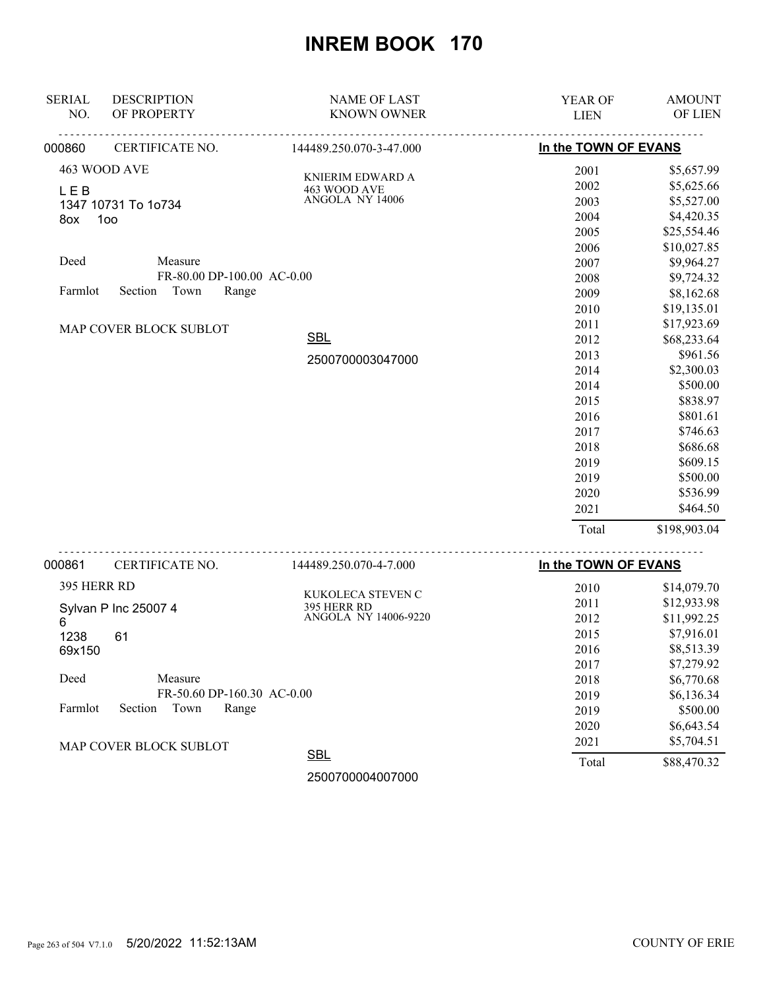| <b>SERIAL</b> | <b>DESCRIPTION</b>         | <b>NAME OF LAST</b>              | YEAR OF              | <b>AMOUNT</b> |
|---------------|----------------------------|----------------------------------|----------------------|---------------|
| NO.           | OF PROPERTY                | <b>KNOWN OWNER</b>               | <b>LIEN</b>          | OF LIEN       |
| 000860        | CERTIFICATE NO.            | 144489.250.070-3-47.000          | In the TOWN OF EVANS |               |
|               | 463 WOOD AVE               | KNIERIM EDWARD A                 | 2001                 | \$5,657.99    |
| <b>LEB</b>    |                            | 463 WOOD AVE                     | 2002                 | \$5,625.66    |
|               | 1347 10731 To 1o734        | ANGOLA NY 14006                  | 2003                 | \$5,527.00    |
| 8ox           | 1oo                        |                                  | 2004                 | \$4,420.35    |
|               |                            |                                  | 2005                 | \$25,554.46   |
|               |                            |                                  | 2006                 | \$10,027.85   |
| Deed          | Measure                    |                                  | 2007                 | \$9,964.27    |
|               | FR-80.00 DP-100.00 AC-0.00 |                                  | 2008                 | \$9,724.32    |
| Farmlot       | Section Town<br>Range      |                                  | 2009                 | \$8,162.68    |
|               |                            |                                  | 2010                 | \$19,135.01   |
|               | MAP COVER BLOCK SUBLOT     |                                  | 2011                 | \$17,923.69   |
|               |                            | <b>SBL</b>                       | 2012                 | \$68,233.64   |
|               |                            | 2500700003047000                 | 2013                 | \$961.56      |
|               |                            |                                  | 2014                 | \$2,300.03    |
|               |                            |                                  | 2014                 | \$500.00      |
|               |                            |                                  | 2015                 | \$838.97      |
|               |                            |                                  | 2016                 | \$801.61      |
|               |                            |                                  | 2017                 | \$746.63      |
|               |                            |                                  | 2018                 | \$686.68      |
|               |                            |                                  | 2019                 | \$609.15      |
|               |                            |                                  | 2019                 | \$500.00      |
|               |                            |                                  | 2020                 | \$536.99      |
|               |                            |                                  | 2021                 | \$464.50      |
|               |                            |                                  | Total                | \$198,903.04  |
| 000861        | CERTIFICATE NO.            | 144489.250.070-4-7.000           | In the TOWN OF EVANS |               |
| 395 HERR RD   |                            |                                  | 2010                 | \$14,079.70   |
|               | Sylvan P Inc 25007 4       | KUKOLECA STEVEN C<br>395 HERR RD | 2011                 | \$12,933.98   |
| 6             |                            | ANGOLA NY 14006-9220             | 2012                 | \$11,992.25   |
| 1238          | 61                         |                                  | 2015                 | \$7,916.01    |
| 69x150        |                            |                                  | 2016                 | \$8,513.39    |
|               |                            |                                  | 2017                 | \$7,279.92    |
| Deed          | Measure                    |                                  | 2018                 | \$6,770.68    |
|               | FR-50.60 DP-160.30 AC-0.00 |                                  | 2019                 | \$6,136.34    |
| Farmlot       | Section<br>Town<br>Range   |                                  | 2019                 | \$500.00      |
|               |                            |                                  | 2020                 | \$6,643.54    |
|               | MAP COVER BLOCK SUBLOT     |                                  | 2021                 | \$5,704.51    |

**SBL** 

2500700004007000

MAP COVER BLOCK SUBLOT

\$88,470.32

Total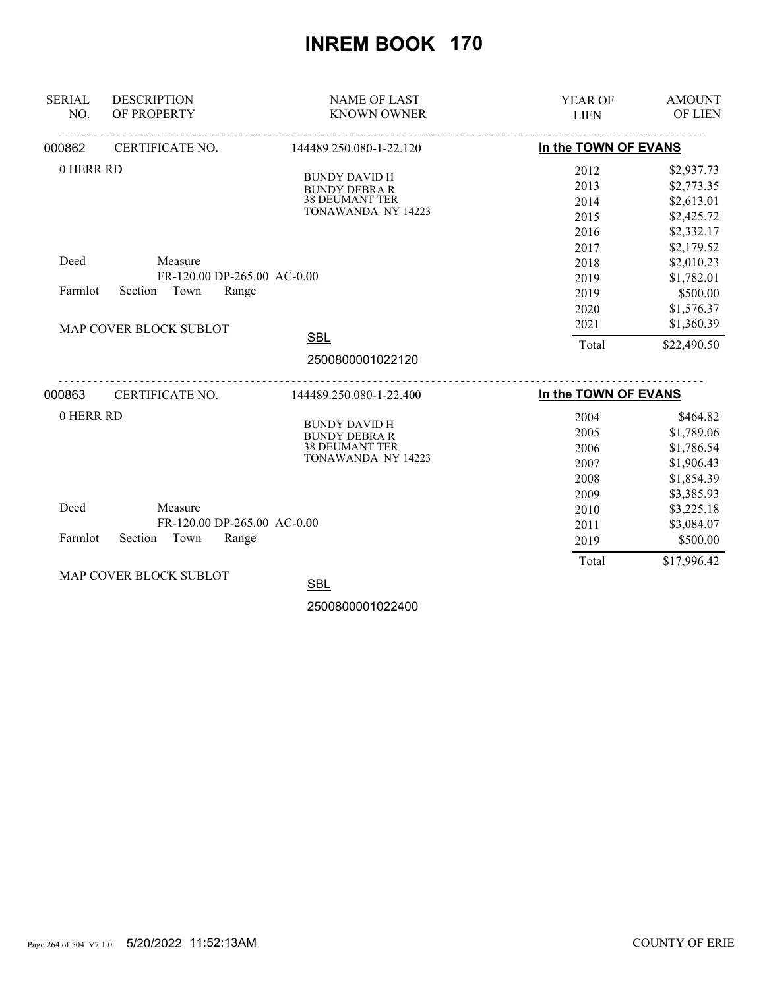| <b>SERIAL</b> | <b>DESCRIPTION</b>          | <b>NAME OF LAST</b>                          | YEAR OF                          | <b>AMOUNT</b> |
|---------------|-----------------------------|----------------------------------------------|----------------------------------|---------------|
| NO.           | OF PROPERTY                 | <b>KNOWN OWNER</b>                           | <b>LIEN</b>                      | OF LIEN       |
| 000862        | <u>.</u><br>CERTIFICATE NO. | .<br>144489.250.080-1-22.120                 | In the TOWN OF EVANS             |               |
| 0 HERR RD     |                             |                                              | 2012                             | \$2,937.73    |
|               |                             | <b>BUNDY DAVID H</b><br><b>BUNDY DEBRA R</b> | 2013                             | \$2,773.35    |
|               |                             | <b>38 DEUMANT TER</b>                        | 2014                             | \$2,613.01    |
|               |                             | TONAWANDA NY 14223                           | 2015                             | \$2,425.72    |
|               |                             |                                              | 2016                             | \$2,332.17    |
|               |                             |                                              | 2017                             | \$2,179.52    |
| Deed          | Measure                     |                                              | 2018                             | \$2,010.23    |
|               | FR-120.00 DP-265.00 AC-0.00 |                                              | 2019                             | \$1,782.01    |
| Farmlot       | Section<br>Town<br>Range    |                                              | 2019                             | \$500.00      |
|               |                             |                                              | 2020                             | \$1,576.37    |
|               | MAP COVER BLOCK SUBLOT      |                                              | 2021                             | \$1,360.39    |
|               |                             | <b>SBL</b>                                   | Total                            | \$22,490.50   |
|               |                             | 2500800001022120                             |                                  |               |
| 000863        | CERTIFICATE NO.             | 144489.250.080-1-22.400                      | <u>.</u><br>In the TOWN OF EVANS |               |
| 0 HERR RD     |                             |                                              | 2004                             | \$464.82      |
|               |                             | <b>BUNDY DAVID H</b><br><b>BUNDY DEBRA R</b> | 2005                             | \$1,789.06    |
|               |                             | <b>38 DEUMANT TER</b>                        | 2006                             | \$1,786.54    |
|               |                             | TONAWANDA NY 14223                           | 2007                             | \$1,906.43    |
|               |                             |                                              | 2008                             | \$1,854.39    |
|               |                             |                                              | 2009                             | \$3,385.93    |
| Deed          | Measure                     |                                              | 2010                             | \$3,225.18    |
|               | FR-120.00 DP-265.00 AC-0.00 |                                              | 2011                             | \$3,084.07    |
| Farmlot       | Town<br>Section<br>Range    |                                              | 2019                             | \$500.00      |
|               |                             |                                              | Total                            | \$17,996.42   |
|               | MAP COVER BLOCK SUBLOT      | SRI                                          |                                  |               |

<u>SBL</u>

2500800001022400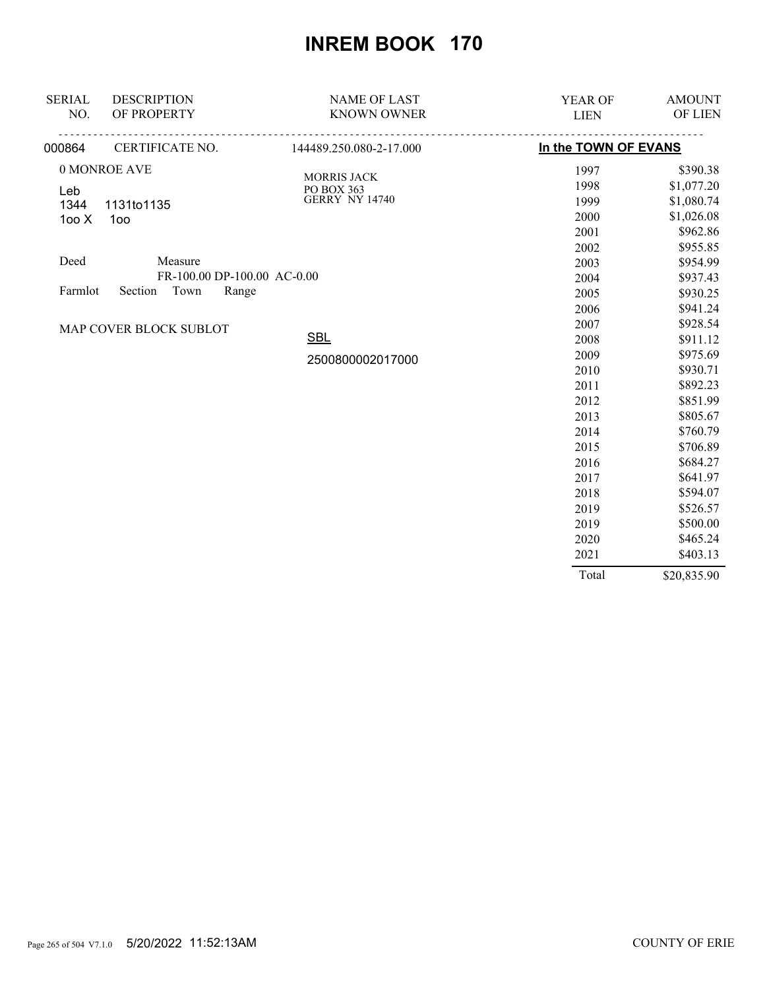| <b>SERIAL</b> | <b>DESCRIPTION</b>          | <b>NAME OF LAST</b>       | YEAR OF              | <b>AMOUNT</b> |
|---------------|-----------------------------|---------------------------|----------------------|---------------|
| NO.           | OF PROPERTY                 | <b>KNOWN OWNER</b>        | <b>LIEN</b>          | OF LIEN       |
| 000864        | CERTIFICATE NO.             | 144489.250.080-2-17.000   | In the TOWN OF EVANS |               |
|               | 0 MONROE AVE                |                           | 1997                 | \$390.38      |
| Leb           |                             | MORRIS JACK<br>PO BOX 363 | 1998                 | \$1,077.20    |
| 1344          | 1131to1135                  | <b>GERRY NY 14740</b>     | 1999                 | \$1,080.74    |
| 100X          | 100                         |                           | 2000                 | \$1,026.08    |
|               |                             |                           | 2001                 | \$962.86      |
|               |                             |                           | 2002                 | \$955.85      |
| Deed          | Measure                     |                           | 2003                 | \$954.99      |
|               | FR-100.00 DP-100.00 AC-0.00 |                           | 2004                 | \$937.43      |
| Farmlot       | Town<br>Range<br>Section    |                           | 2005                 | \$930.25      |
|               |                             |                           | 2006                 | \$941.24      |
|               | MAP COVER BLOCK SUBLOT      |                           | 2007                 | \$928.54      |
|               |                             | <b>SBL</b>                | 2008                 | \$911.12      |
|               |                             | 2500800002017000          | 2009                 | \$975.69      |
|               |                             |                           | 2010                 | \$930.71      |
|               |                             |                           | 2011                 | \$892.23      |
|               |                             |                           | 2012                 | \$851.99      |
|               |                             |                           | 2013                 | \$805.67      |
|               |                             |                           | 2014                 | \$760.79      |
|               |                             |                           | 2015                 | \$706.89      |
|               |                             |                           | 2016                 | \$684.27      |
|               |                             |                           | 2017                 | \$641.97      |
|               |                             |                           | 2018                 | \$594.07      |
|               |                             |                           | 2019                 | \$526.57      |
|               |                             |                           | 2019                 | \$500.00      |
|               |                             |                           | 2020                 | \$465.24      |
|               |                             |                           | 2021                 | \$403.13      |
|               |                             |                           | Total                | \$20,835.90   |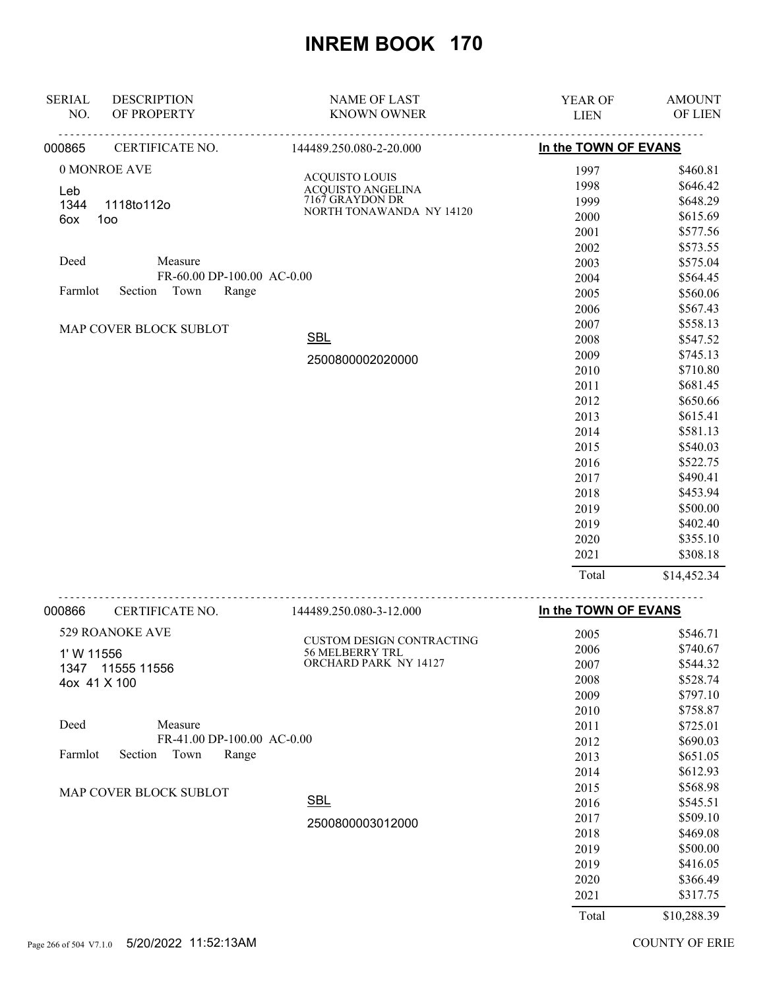| <b>SERIAL</b> | <b>DESCRIPTION</b>         | <b>NAME OF LAST</b>                  | <b>YEAR OF</b>       | <b>AMOUNT</b> |
|---------------|----------------------------|--------------------------------------|----------------------|---------------|
| NO.           | OF PROPERTY                | <b>KNOWN OWNER</b>                   | <b>LIEN</b>          | OF LIEN       |
| 000865        | CERTIFICATE NO.            | 144489.250.080-2-20.000              | In the TOWN OF EVANS |               |
|               | 0 MONROE AVE               |                                      | 1997                 | \$460.81      |
| Leb           |                            | <b>ACQUISTO LOUIS</b>                | 1998                 | \$646.42      |
| 1344          | 1118to112o                 | ACQUISTO ANGELINA<br>7167 GRAYDON DR | 1999                 | \$648.29      |
| 6ox           | 100                        | NORTH TONAWANDA NY 14120             | 2000                 | \$615.69      |
|               |                            |                                      | 2001                 | \$577.56      |
|               |                            |                                      | 2002                 | \$573.55      |
| Deed          | Measure                    |                                      | 2003                 | \$575.04      |
|               | FR-60.00 DP-100.00 AC-0.00 |                                      | 2004                 | \$564.45      |
| Farmlot       | Section<br>Town<br>Range   |                                      | 2005                 | \$560.06      |
|               |                            |                                      | 2006                 | \$567.43      |
|               | MAP COVER BLOCK SUBLOT     |                                      | 2007                 | \$558.13      |
|               |                            | <b>SBL</b>                           | 2008                 | \$547.52      |
|               |                            | 2500800002020000                     | 2009                 | \$745.13      |
|               |                            |                                      | 2010                 | \$710.80      |
|               |                            |                                      | 2011                 | \$681.45      |
|               |                            |                                      | 2012                 | \$650.66      |
|               |                            |                                      | 2013                 | \$615.41      |
|               |                            |                                      | 2014                 | \$581.13      |
|               |                            |                                      | 2015                 | \$540.03      |
|               |                            |                                      | 2016                 | \$522.75      |
|               |                            |                                      | 2017                 | \$490.41      |
|               |                            |                                      | 2018                 | \$453.94      |
|               |                            |                                      | 2019                 | \$500.00      |
|               |                            |                                      | 2019                 | \$402.40      |
|               |                            |                                      | 2020                 | \$355.10      |
|               |                            |                                      | 2021                 | \$308.18      |
|               |                            |                                      | Total                | \$14,452.34   |

| 000866       | CERTIFICATE NO.            | 144489.250.080-3-12.000          | In the TOWN OF EVANS |             |
|--------------|----------------------------|----------------------------------|----------------------|-------------|
|              | 529 ROANOKE AVE            | <b>CUSTOM DESIGN CONTRACTING</b> | 2005                 | \$546.71    |
| 1' W 11556   |                            | <b>56 MELBERRY TRL</b>           | 2006                 | \$740.67    |
| 1347         | 11555 11556                | ORCHARD PARK NY 14127            | 2007                 | \$544.32    |
| 4ox 41 X 100 |                            |                                  | 2008                 | \$528.74    |
|              |                            |                                  | 2009                 | \$797.10    |
|              |                            |                                  | 2010                 | \$758.87    |
| Deed         | Measure                    |                                  | 2011                 | \$725.01    |
|              | FR-41.00 DP-100.00 AC-0.00 |                                  | 2012                 | \$690.03    |
| Farmlot      | Town<br>Section<br>Range   |                                  | 2013                 | \$651.05    |
|              |                            |                                  | 2014                 | \$612.93    |
|              | MAP COVER BLOCK SUBLOT     |                                  | 2015                 | \$568.98    |
|              |                            | <b>SBL</b>                       | 2016                 | \$545.51    |
|              |                            | 2500800003012000                 | 2017                 | \$509.10    |
|              |                            |                                  | 2018                 | \$469.08    |
|              |                            |                                  | 2019                 | \$500.00    |
|              |                            |                                  | 2019                 | \$416.05    |
|              |                            |                                  | 2020                 | \$366.49    |
|              |                            |                                  | 2021                 | \$317.75    |
|              |                            |                                  | Total                | \$10,288.39 |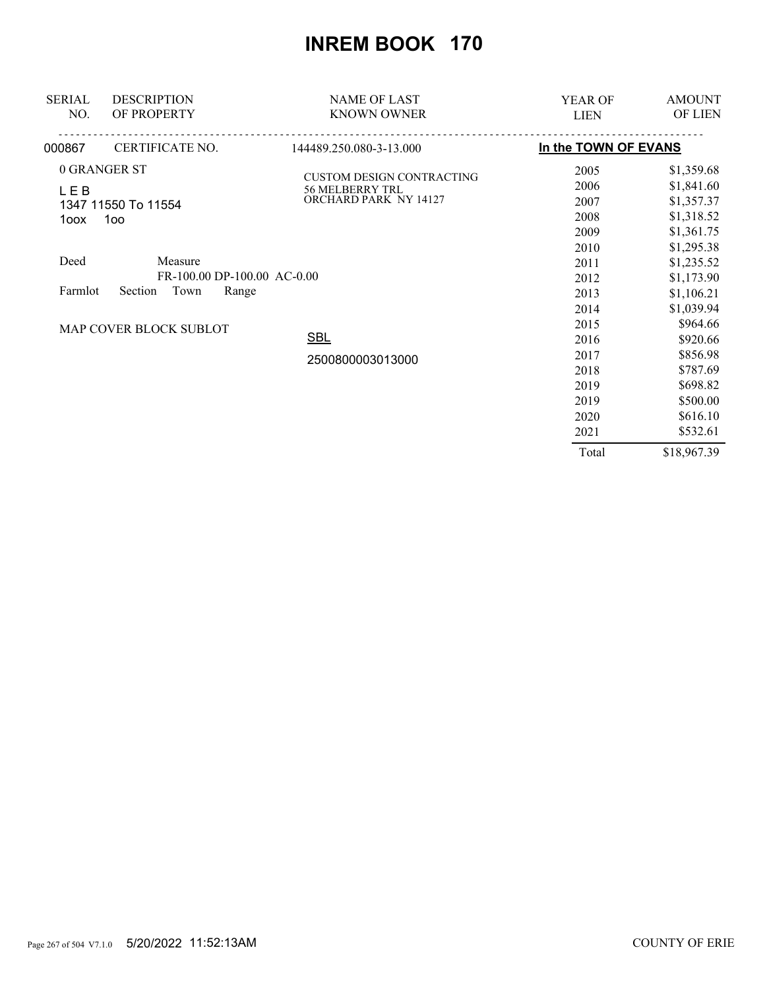| <b>SERIAL</b> | <b>DESCRIPTION</b>                                                 | <b>NAME OF LAST</b>              | <b>YEAR OF</b>       | <b>AMOUNT</b> |
|---------------|--------------------------------------------------------------------|----------------------------------|----------------------|---------------|
| NO.           | OF PROPERTY                                                        | <b>KNOWN OWNER</b>               | <b>LIEN</b>          | OF LIEN       |
| 000867        | CERTIFICATE NO.                                                    | 144489.250.080-3-13.000          | In the TOWN OF EVANS |               |
|               | 0 GRANGER ST                                                       | <b>CUSTOM DESIGN CONTRACTING</b> | 2005                 | \$1,359.68    |
| <b>LEB</b>    |                                                                    | <b>56 MELBERRY TRL</b>           | 2006                 | \$1,841.60    |
|               | 1347 11550 To 11554                                                | ORCHARD PARK NY 14127            | 2007                 | \$1,357.37    |
| 1oox          | 100 <sub>o</sub>                                                   |                                  | 2008                 | \$1,318.52    |
|               |                                                                    |                                  | 2009                 | \$1,361.75    |
|               |                                                                    |                                  | 2010                 | \$1,295.38    |
| Deed          | Measure                                                            |                                  | 2011                 | \$1,235.52    |
|               |                                                                    |                                  | 2012                 | \$1,173.90    |
|               | FR-100.00 DP-100.00 AC-0.00<br>Town<br>Range<br>Farmlot<br>Section |                                  | 2013                 | \$1,106.21    |
|               |                                                                    |                                  | 2014                 | \$1,039.94    |
|               | MAP COVER BLOCK SUBLOT                                             |                                  | 2015                 | \$964.66      |
|               |                                                                    | <b>SBL</b>                       | 2016                 | \$920.66      |
|               |                                                                    | 2500800003013000                 | 2017                 | \$856.98      |
|               |                                                                    |                                  | 2018                 | \$787.69      |
|               |                                                                    |                                  | 2019                 | \$698.82      |
|               |                                                                    |                                  | 2019                 | \$500.00      |
|               |                                                                    |                                  | 2020                 | \$616.10      |
|               |                                                                    |                                  | 2021                 | \$532.61      |
|               |                                                                    |                                  | Total                | \$18,967.39   |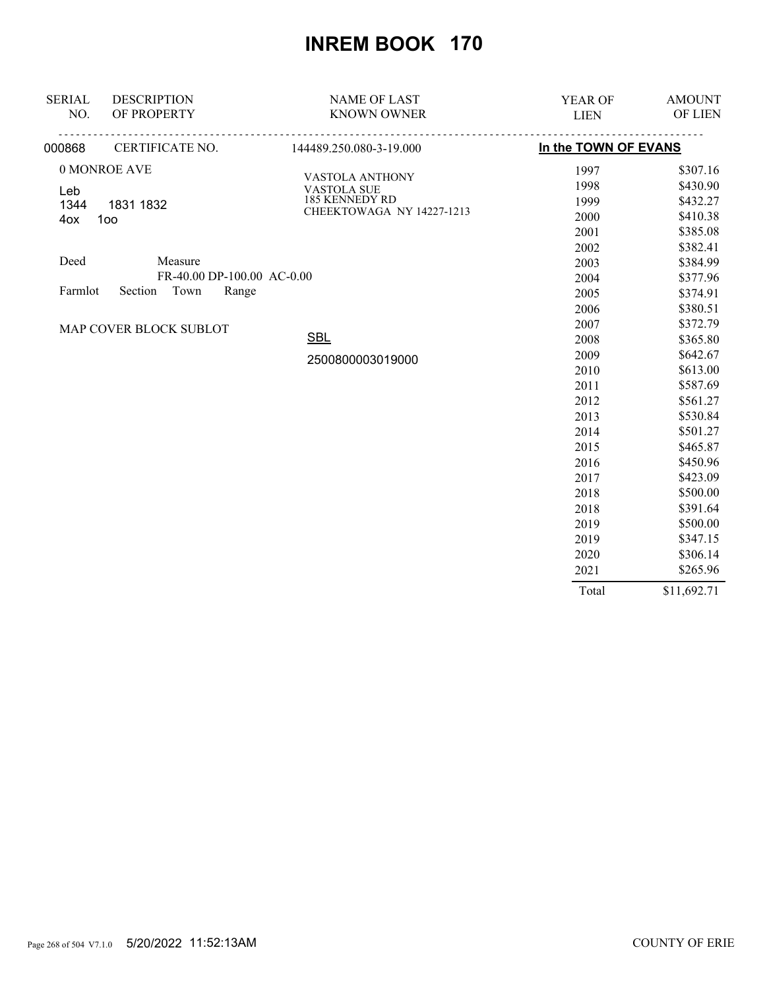| <b>SERIAL</b> | <b>DESCRIPTION</b>                 | <b>NAME OF LAST</b>                 | YEAR OF              | <b>AMOUNT</b> |
|---------------|------------------------------------|-------------------------------------|----------------------|---------------|
| NO.           | OF PROPERTY                        | <b>KNOWN OWNER</b>                  | <b>LIEN</b>          | OF LIEN       |
| 000868        | <u>.</u><br><b>CERTIFICATE NO.</b> | <u>.</u><br>144489.250.080-3-19.000 | In the TOWN OF EVANS |               |
|               | 0 MONROE AVE                       | VASTOLA ANTHONY                     | 1997                 | \$307.16      |
| Leb           |                                    | <b>VASTOLA SUE</b>                  | 1998                 | \$430.90      |
| 1344          | 1831 1832                          | 185 KENNEDY RD                      | 1999                 | \$432.27      |
| 4ox           | 100                                | CHEEKTOWAGA NY 14227-1213           | 2000                 | \$410.38      |
|               |                                    |                                     | 2001                 | \$385.08      |
|               |                                    |                                     | 2002                 | \$382.41      |
| Deed          | Measure                            |                                     | 2003                 | \$384.99      |
|               | FR-40.00 DP-100.00 AC-0.00         |                                     | 2004                 | \$377.96      |
| Farmlot       | Section<br>Town<br>Range           |                                     | 2005                 | \$374.91      |
|               |                                    |                                     | 2006                 | \$380.51      |
|               | MAP COVER BLOCK SUBLOT             |                                     | 2007                 | \$372.79      |
|               |                                    | <b>SBL</b>                          | 2008                 | \$365.80      |
|               |                                    | 2500800003019000                    | 2009                 | \$642.67      |
|               |                                    |                                     | 2010                 | \$613.00      |
|               |                                    |                                     | 2011                 | \$587.69      |
|               |                                    |                                     | 2012                 | \$561.27      |
|               |                                    |                                     | 2013                 | \$530.84      |
|               |                                    |                                     | 2014                 | \$501.27      |
|               |                                    |                                     | 2015                 | \$465.87      |
|               |                                    |                                     | 2016                 | \$450.96      |
|               |                                    |                                     | 2017                 | \$423.09      |
|               |                                    |                                     | 2018                 | \$500.00      |
|               |                                    |                                     | 2018                 | \$391.64      |
|               |                                    |                                     | 2019                 | \$500.00      |
|               |                                    |                                     | 2019                 | \$347.15      |
|               |                                    |                                     | 2020                 | \$306.14      |
|               |                                    |                                     | 2021                 | \$265.96      |
|               |                                    |                                     | Total                | \$11,692.71   |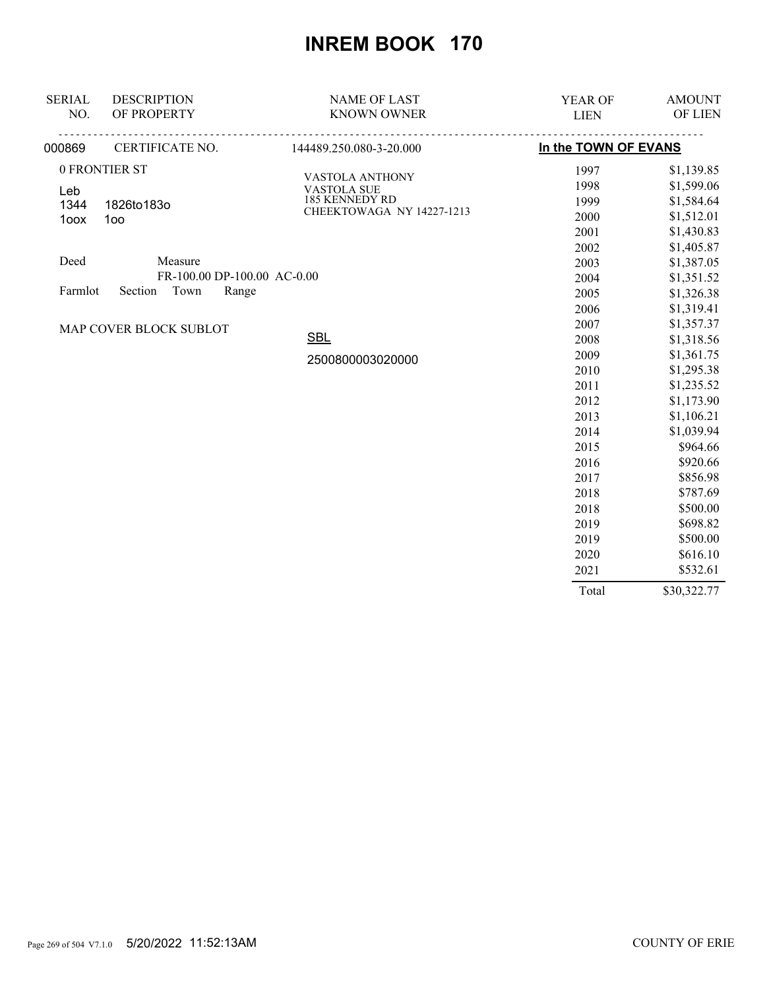| <b>SERIAL</b> | <b>DESCRIPTION</b>          | <b>NAME OF LAST</b>       | YEAR OF              | <b>AMOUNT</b> |
|---------------|-----------------------------|---------------------------|----------------------|---------------|
| NO.           | OF PROPERTY                 | <b>KNOWN OWNER</b>        | <b>LIEN</b>          | OF LIEN       |
| 000869        | <b>CERTIFICATE NO.</b>      | 144489.250.080-3-20.000   | In the TOWN OF EVANS |               |
|               | 0 FRONTIER ST               | VASTOLA ANTHONY           | 1997                 | \$1,139.85    |
| Leb           |                             | <b>VASTOLA SUE</b>        | 1998                 | \$1,599.06    |
| 1344          | 1826to183o                  | 185 KENNEDY RD            | 1999                 | \$1,584.64    |
| 1oox          | 100                         | CHEEKTOWAGA NY 14227-1213 | 2000                 | \$1,512.01    |
|               |                             |                           | 2001                 | \$1,430.83    |
|               |                             |                           | 2002                 | \$1,405.87    |
| Deed          | Measure                     |                           | 2003                 | \$1,387.05    |
|               | FR-100.00 DP-100.00 AC-0.00 |                           | 2004                 | \$1,351.52    |
| Farmlot       | Section<br>Town<br>Range    |                           | 2005                 | \$1,326.38    |
|               |                             |                           | 2006                 | \$1,319.41    |
|               | MAP COVER BLOCK SUBLOT      |                           | 2007                 | \$1,357.37    |
|               |                             | <b>SBL</b>                | 2008                 | \$1,318.56    |
|               |                             | 2500800003020000          | 2009                 | \$1,361.75    |
|               |                             |                           | 2010                 | \$1,295.38    |
|               |                             |                           | 2011                 | \$1,235.52    |
|               |                             |                           | 2012                 | \$1,173.90    |
|               |                             |                           | 2013                 | \$1,106.21    |
|               |                             |                           | 2014                 | \$1,039.94    |
|               |                             |                           | 2015                 | \$964.66      |
|               |                             |                           | 2016                 | \$920.66      |
|               |                             |                           | 2017                 | \$856.98      |
|               |                             |                           | 2018                 | \$787.69      |
|               |                             |                           | 2018                 | \$500.00      |
|               |                             |                           | 2019                 | \$698.82      |
|               |                             |                           | 2019                 | \$500.00      |
|               |                             |                           | 2020                 | \$616.10      |
|               |                             |                           | 2021                 | \$532.61      |
|               |                             |                           | Total                | \$30,322.77   |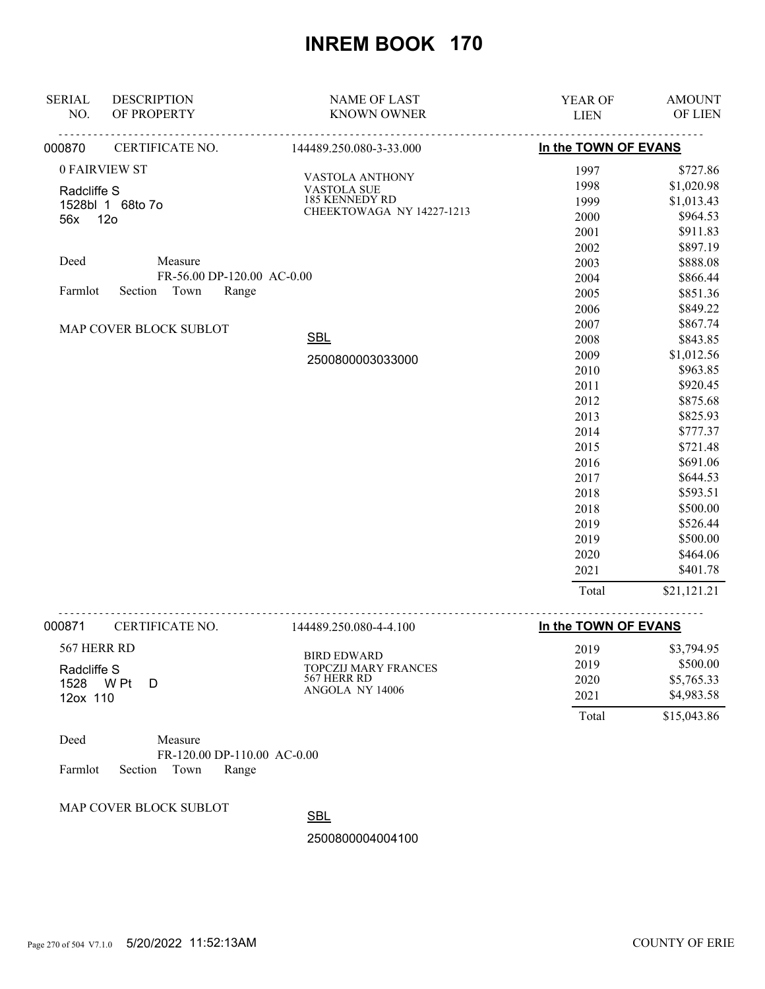| <b>SERIAL</b> | <b>DESCRIPTION</b>         | <b>NAME OF LAST</b>          | <b>YEAR OF</b>       | <b>AMOUNT</b> |
|---------------|----------------------------|------------------------------|----------------------|---------------|
| NO.           | OF PROPERTY                | <b>KNOWN OWNER</b>           | <b>LIEN</b>          | OF LIEN       |
| 000870        | CERTIFICATE NO.            | .<br>144489.250.080-3-33.000 | In the TOWN OF EVANS |               |
|               | 0 FAIRVIEW ST              | VASTOLA ANTHONY              | 1997                 | \$727.86      |
| Radcliffe S   |                            | <b>VASTOLA SUE</b>           | 1998                 | \$1,020.98    |
|               | 1528bl 1 68to 7o           | 185 KENNEDY RD               | 1999                 | \$1,013.43    |
| 56x 12o       |                            | CHEEKTOWAGA NY 14227-1213    | 2000                 | \$964.53      |
|               |                            |                              | 2001                 | \$911.83      |
|               |                            |                              | 2002                 | \$897.19      |
| Deed          | Measure                    |                              | 2003                 | \$888.08      |
|               | FR-56.00 DP-120.00 AC-0.00 |                              | 2004                 | \$866.44      |
| Farmlot       | Section Town<br>Range      |                              | 2005                 | \$851.36      |
|               |                            |                              | 2006                 | \$849.22      |
|               | MAP COVER BLOCK SUBLOT     |                              | 2007                 | \$867.74      |
|               |                            | <b>SBL</b>                   | 2008                 | \$843.85      |
|               |                            | 2500800003033000             | 2009                 | \$1,012.56    |
|               |                            |                              | 2010                 | \$963.85      |
|               |                            |                              | 2011                 | \$920.45      |
|               |                            |                              | 2012                 | \$875.68      |
|               |                            |                              | 2013                 | \$825.93      |
|               |                            |                              | 2014                 | \$777.37      |
|               |                            |                              | 2015                 | \$721.48      |
|               |                            |                              | 2016                 | \$691.06      |
|               |                            |                              | 2017                 | \$644.53      |
|               |                            |                              | 2018                 | \$593.51      |
|               |                            |                              | 2018                 | \$500.00      |
|               |                            |                              | 2019                 | \$526.44      |
|               |                            |                              | 2019                 | \$500.00      |
|               |                            |                              | 2020                 | \$464.06      |
|               |                            |                              | 2021                 | \$401.78      |
|               |                            |                              | Total                | \$21,121.21   |
| 000871        | CERTIFICATE NO.            | .<br>144489.250.080-4-4.100  | In the TOWN OF EVANS |               |
|               |                            |                              |                      |               |

| 567 HERR RD                 | BIRD EDWARD                                | 2019         | \$3,794.95             |
|-----------------------------|--------------------------------------------|--------------|------------------------|
| Radcliffe S<br>1528<br>W Pt | <b>TOPCZIJ MARY FRANCES</b><br>567 HERR RD | 2019<br>2020 | \$500.00<br>\$5,765.33 |
| 12ox 110                    | ANGOLA NY 14006                            | 2021         | \$4,983.58             |
|                             |                                            | Total        | \$15,043.86            |

| Deed |                            | Measure |                             |  |
|------|----------------------------|---------|-----------------------------|--|
|      |                            |         | FR-120.00 DP-110.00 AC-0.00 |  |
|      | Farmlot Section Town Range |         |                             |  |

MAP COVER BLOCK SUBLOT

**SBL** 

2500800004004100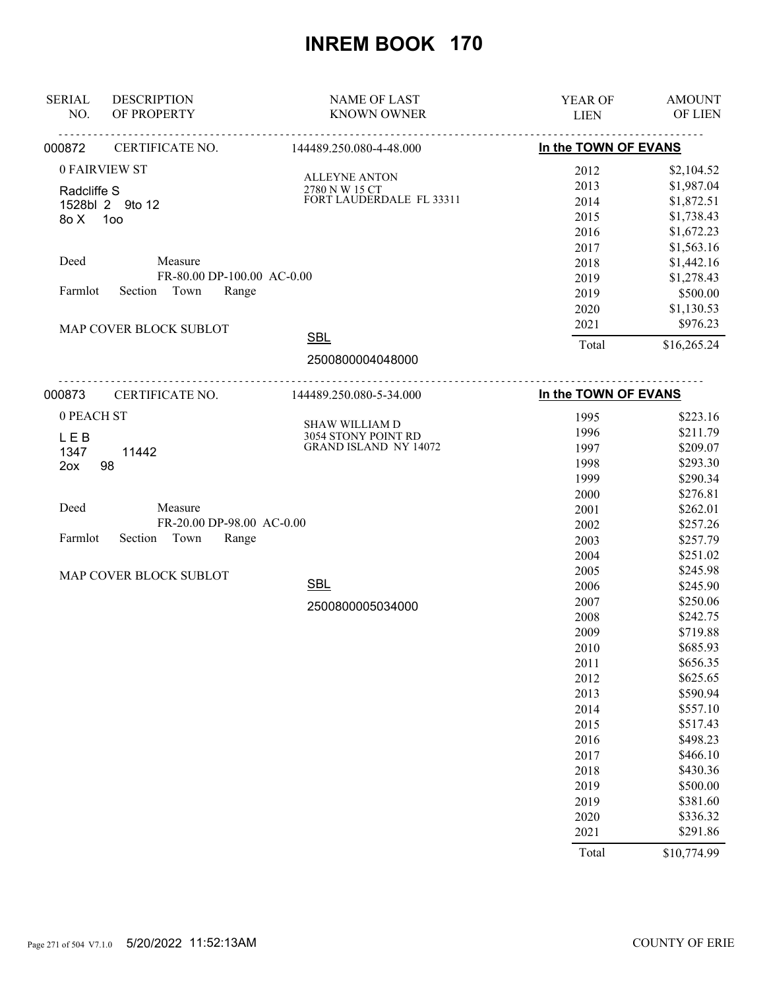| <b>SERIAL</b> | <b>DESCRIPTION</b>         | <b>NAME OF LAST</b>                                 | YEAR OF              | <b>AMOUNT</b>        |
|---------------|----------------------------|-----------------------------------------------------|----------------------|----------------------|
| NO.           | OF PROPERTY<br>.           | <b>KNOWN OWNER</b><br><u>.</u>                      | <b>LIEN</b>          | OF LIEN              |
| 000872        | CERTIFICATE NO.            | 144489.250.080-4-48.000                             | In the TOWN OF EVANS |                      |
|               | 0 FAIRVIEW ST              |                                                     | 2012                 | \$2,104.52           |
| Radcliffe S   |                            | <b>ALLEYNE ANTON</b><br>2780 N W 15 CT              | 2013                 | \$1,987.04           |
|               | 1528bl 2 9to 12            | FORT LAUDERDALE FL 33311                            | 2014                 | \$1,872.51           |
| 8oX           | 1oo                        |                                                     | 2015                 | \$1,738.43           |
|               |                            |                                                     | 2016                 | \$1,672.23           |
|               |                            |                                                     | 2017                 | \$1,563.16           |
| Deed          | Measure                    |                                                     | 2018                 | \$1,442.16           |
|               | FR-80.00 DP-100.00 AC-0.00 |                                                     | 2019                 | \$1,278.43           |
| Farmlot       | Section Town<br>Range      |                                                     | 2019                 | \$500.00             |
|               |                            |                                                     | 2020                 | \$1,130.53           |
|               | MAP COVER BLOCK SUBLOT     |                                                     | 2021                 | \$976.23             |
|               |                            | <b>SBL</b>                                          | Total                | \$16,265.24          |
|               |                            | 2500800004048000                                    |                      |                      |
| 000873        | CERTIFICATE NO.            | 144489.250.080-5-34.000                             | In the TOWN OF EVANS |                      |
| 0 PEACH ST    |                            |                                                     |                      |                      |
|               |                            | SHAW WILLIAM D                                      | 1995                 | \$223.16             |
| <b>LEB</b>    |                            | 3054 STONY POINT RD<br><b>GRAND ISLAND NY 14072</b> | 1996                 | \$211.79             |
| 1347          | 11442                      |                                                     | 1997<br>1998         | \$209.07<br>\$293.30 |
| 2ox           | 98                         |                                                     | 1999                 | \$290.34             |
|               |                            |                                                     | 2000                 | \$276.81             |
| Deed          | Measure                    |                                                     | 2001                 | \$262.01             |
|               | FR-20.00 DP-98.00 AC-0.00  |                                                     | 2002                 | \$257.26             |
| Farmlot       | Section<br>Town<br>Range   |                                                     | 2003                 | \$257.79             |
|               |                            |                                                     | 2004                 | \$251.02             |
|               |                            |                                                     | 2005                 | \$245.98             |
|               | MAP COVER BLOCK SUBLOT     | <b>SBL</b>                                          | 2006                 | \$245.90             |
|               |                            |                                                     | 2007                 | \$250.06             |
|               |                            | 2500800005034000                                    | 2008                 | \$242.75             |
|               |                            |                                                     | 2009                 | \$719.88             |
|               |                            |                                                     | 2010                 | \$685.93             |
|               |                            |                                                     | 2011                 | \$656.35             |
|               |                            |                                                     | 2012                 | \$625.65             |
|               |                            |                                                     | 2013                 | \$590.94             |
|               |                            |                                                     | 2014                 | \$557.10             |
|               |                            |                                                     | 2015                 | \$517.43             |
|               |                            |                                                     | 2016                 | \$498.23             |
|               |                            |                                                     | 2017                 | \$466.10             |
|               |                            |                                                     | 2018                 | \$430.36             |
|               |                            |                                                     | 2019                 | \$500.00             |
|               |                            |                                                     | 2019                 | \$381.60             |
|               |                            |                                                     | 2020                 | \$336.32             |
|               |                            |                                                     | 2021                 | \$291.86             |
|               |                            |                                                     | Total                | \$10,774.99          |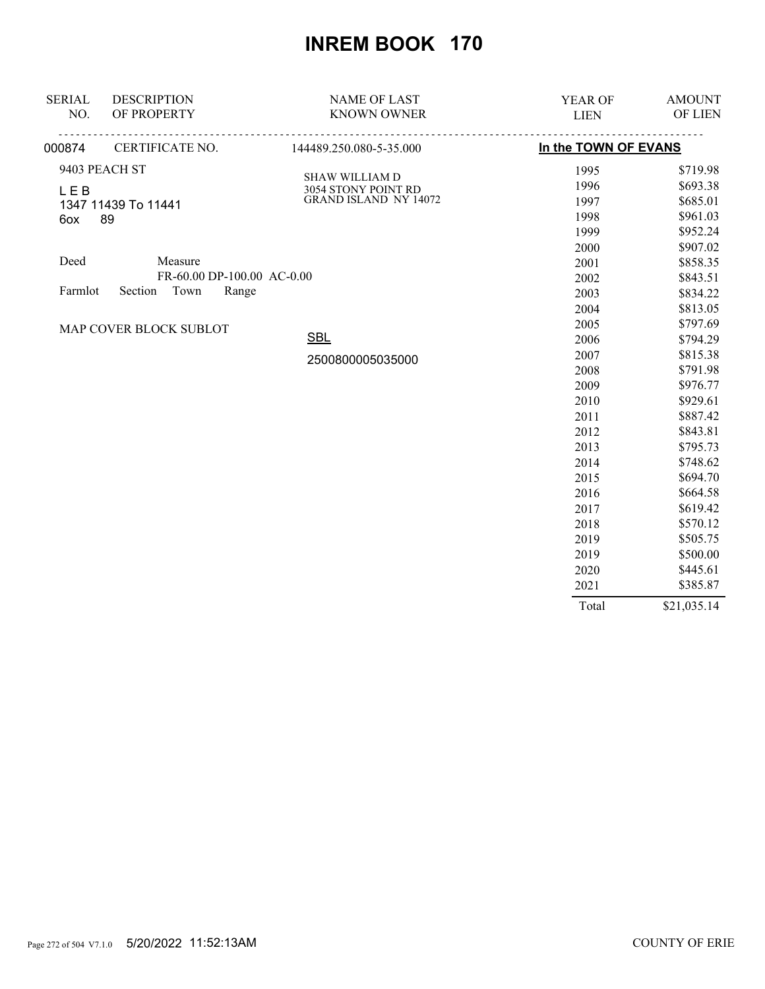| <b>SERIAL</b>          | <b>DESCRIPTION</b>          | <b>NAME OF LAST</b>                          | <b>YEAR OF</b>       | <b>AMOUNT</b> |
|------------------------|-----------------------------|----------------------------------------------|----------------------|---------------|
| NO.                    | OF PROPERTY                 | <b>KNOWN OWNER</b>                           | <b>LIEN</b>          | OF LIEN       |
| 000874                 | <u>.</u><br>CERTIFICATE NO. | <u>.</u><br>144489.250.080-5-35.000          | In the TOWN OF EVANS |               |
|                        | 9403 PEACH ST               |                                              | 1995                 | \$719.98      |
| <b>LEB</b>             |                             | <b>SHAW WILLIAM D</b>                        | 1996                 | \$693.38      |
|                        | 1347 11439 To 11441         | 3054 STONY POINT RD<br>GRAND ISLAND NY 14072 | 1997                 | \$685.01      |
| 6ox                    | 89                          |                                              | 1998                 | \$961.03      |
|                        |                             |                                              | 1999                 | \$952.24      |
|                        |                             |                                              | 2000                 | \$907.02      |
| Deed                   | Measure                     |                                              | 2001                 | \$858.35      |
|                        | FR-60.00 DP-100.00 AC-0.00  |                                              | 2002                 | \$843.51      |
| Farmlot                | Town<br>Section<br>Range    |                                              | 2003                 | \$834.22      |
|                        |                             |                                              | 2004                 | \$813.05      |
| MAP COVER BLOCK SUBLOT |                             |                                              | 2005                 | \$797.69      |
|                        |                             | <b>SBL</b>                                   | 2006                 | \$794.29      |
|                        |                             | 2500800005035000                             | 2007                 | \$815.38      |
|                        |                             |                                              | 2008                 | \$791.98      |
|                        |                             |                                              | 2009                 | \$976.77      |
|                        |                             |                                              | 2010                 | \$929.61      |
|                        |                             |                                              | 2011                 | \$887.42      |
|                        |                             |                                              | 2012                 | \$843.81      |
|                        |                             |                                              | 2013                 | \$795.73      |
|                        |                             |                                              | 2014                 | \$748.62      |
|                        |                             |                                              | 2015                 | \$694.70      |
|                        |                             |                                              | 2016                 | \$664.58      |
|                        |                             |                                              | 2017                 | \$619.42      |
|                        |                             |                                              | 2018                 | \$570.12      |
|                        |                             |                                              | 2019                 | \$505.75      |
|                        |                             |                                              | 2019                 | \$500.00      |
|                        |                             |                                              | 2020                 | \$445.61      |
|                        |                             |                                              | 2021                 | \$385.87      |
|                        |                             |                                              | Total                | \$21,035.14   |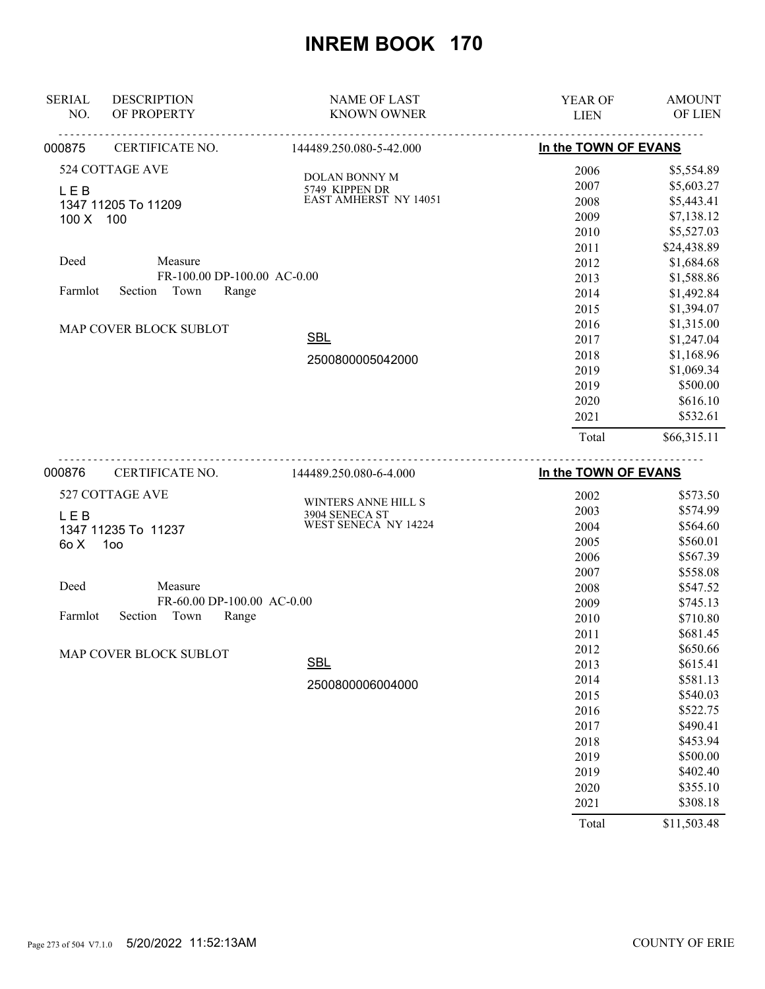| <b>SERIAL</b>                    | <b>DESCRIPTION</b>          | <b>NAME OF LAST</b>                    | <b>YEAR OF</b>       | <b>AMOUNT</b>  |
|----------------------------------|-----------------------------|----------------------------------------|----------------------|----------------|
| NO.                              | OF PROPERTY                 | <b>KNOWN OWNER</b>                     | <b>LIEN</b>          | <b>OF LIEN</b> |
| 000875                           | .<br><b>CERTIFICATE NO.</b> | <u>.</u><br>144489.250.080-5-42.000    | In the TOWN OF EVANS |                |
|                                  | 524 COTTAGE AVE             |                                        | 2006                 | \$5,554.89     |
| <b>LEB</b>                       |                             | <b>DOLAN BONNY M</b><br>5749 KIPPEN DR | 2007                 | \$5,603.27     |
|                                  | 1347 11205 To 11209         | <b>EAST AMHERST NY 14051</b>           | 2008                 | \$5,443.41     |
| 100 X 100                        |                             |                                        | 2009                 | \$7,138.12     |
|                                  |                             |                                        | 2010                 | \$5,527.03     |
|                                  |                             |                                        | 2011                 | \$24,438.89    |
| Deed                             | Measure                     |                                        | 2012                 | \$1,684.68     |
|                                  | FR-100.00 DP-100.00 AC-0.00 |                                        | 2013                 | \$1,588.86     |
| Section Town<br>Farmlot<br>Range |                             | 2014                                   | \$1,492.84           |                |
|                                  |                             |                                        | 2015                 | \$1,394.07     |
| MAP COVER BLOCK SUBLOT           |                             |                                        | 2016                 | \$1,315.00     |
|                                  |                             | <b>SBL</b>                             | 2017                 | \$1,247.04     |
|                                  |                             | 2500800005042000                       | 2018                 | \$1,168.96     |
|                                  |                             |                                        | 2019                 | \$1,069.34     |
|                                  |                             |                                        | 2019                 | \$500.00       |
|                                  |                             |                                        | 2020                 | \$616.10       |
|                                  |                             |                                        | 2021                 | \$532.61       |
|                                  |                             |                                        | Total                | \$66,315.11    |
| 000876                           | CERTIFICATE NO.             | 144489.250.080-6-4.000                 | In the TOWN OF EVANS |                |
|                                  | 527 COTTAGE AVE             |                                        | 2002                 | \$573.50       |
| L E B                            |                             | WINTERS ANNE HILL S<br>3904 SENECA ST  | 2003                 | \$574.99       |
|                                  | 1347 11235 To 11237         | WEST SENECA NY 14224                   | 2004                 | \$564.60       |
| 6o X                             | 100                         |                                        | 2005                 | \$560.01       |
|                                  |                             |                                        | 2006                 | \$567.39       |
|                                  |                             |                                        | 2007                 | \$558.08       |

| Deed    |                    | Measure |                            |  |
|---------|--------------------|---------|----------------------------|--|
|         |                    |         | FR-60.00 DP-100.00 AC-0.00 |  |
| Farmlot | Section Town Range |         |                            |  |

#### MAP COVER BLOCK SUBLOT

2500800006004000

**SBL** 

| 2021 | \$308.18 |
|------|----------|
| 2020 | \$355.10 |
| 2019 | \$402.40 |
| 2019 | \$500.00 |
| 2018 | \$453.94 |
| 2017 | \$490.41 |
| 2016 | \$522.75 |
| 2015 | \$540.03 |
| 2014 | \$581.13 |
| 2013 | \$615.41 |
| 2012 | \$650.66 |
| 2011 | \$681.45 |
| 2010 | \$710.80 |
| 2009 | \$745.13 |

2008 \$547.52

Total \$11,503.48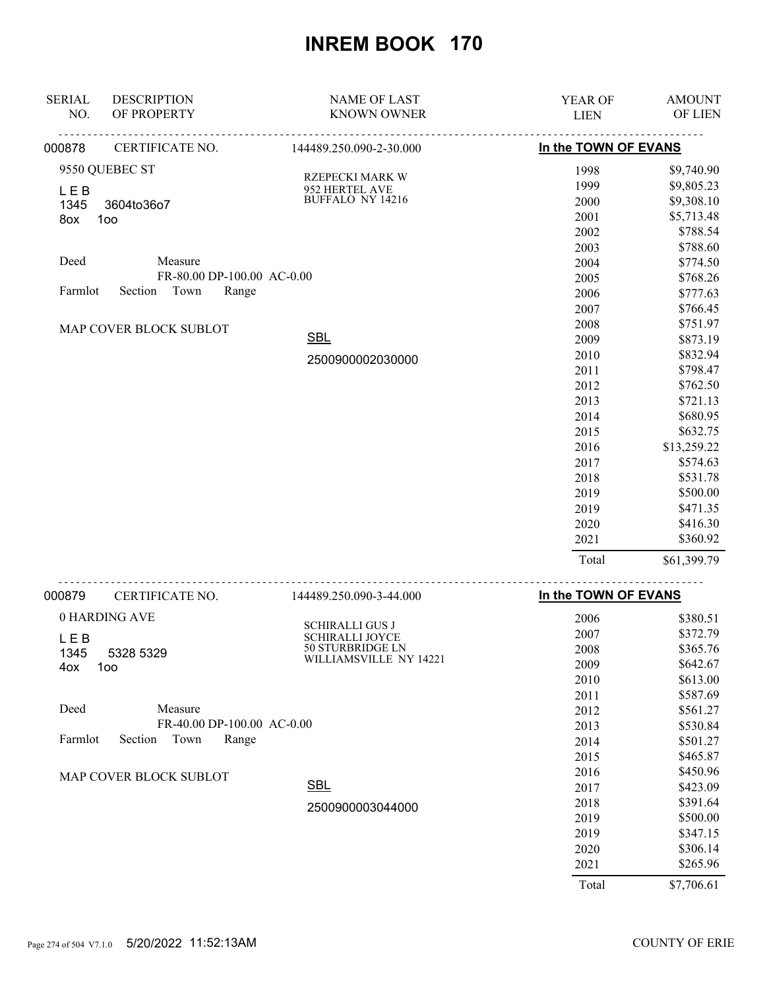| <b>SERIAL</b> | <b>DESCRIPTION</b>         | <b>NAME OF LAST</b>                 | YEAR OF              | <b>AMOUNT</b> |
|---------------|----------------------------|-------------------------------------|----------------------|---------------|
| NO.           | OF PROPERTY                | <b>KNOWN OWNER</b>                  | <b>LIEN</b>          | OF LIEN       |
| 000878        | CERTIFICATE NO.            | 144489.250.090-2-30.000             | In the TOWN OF EVANS |               |
|               | 9550 QUEBEC ST             | RZEPECKI MARK W                     | 1998                 | \$9,740.90    |
| <b>LEB</b>    |                            | 952 HERTEL AVE                      | 1999                 | \$9,805.23    |
| 1345          | 3604to36o7                 | BUFFALO NY 14216                    | 2000                 | \$9,308.10    |
| 8ox           | 100                        |                                     | 2001                 | \$5,713.48    |
|               |                            |                                     | 2002                 | \$788.54      |
|               |                            |                                     | 2003                 | \$788.60      |
| Deed          | Measure                    |                                     | 2004                 | \$774.50      |
|               | FR-80.00 DP-100.00 AC-0.00 |                                     | 2005                 | \$768.26      |
| Farmlot       | Section Town<br>Range      |                                     | 2006                 | \$777.63      |
|               |                            |                                     | 2007                 | \$766.45      |
|               | MAP COVER BLOCK SUBLOT     |                                     | 2008                 | \$751.97      |
|               |                            | <b>SBL</b>                          | 2009                 | \$873.19      |
|               |                            | 2500900002030000                    | 2010                 | \$832.94      |
|               |                            |                                     | 2011                 | \$798.47      |
|               |                            |                                     | 2012                 | \$762.50      |
|               |                            |                                     | 2013                 | \$721.13      |
|               |                            |                                     | 2014                 | \$680.95      |
|               |                            |                                     | 2015                 | \$632.75      |
|               |                            |                                     | 2016                 | \$13,259.22   |
|               |                            |                                     | 2017                 | \$574.63      |
|               |                            |                                     | 2018                 | \$531.78      |
|               |                            |                                     | 2019                 | \$500.00      |
|               |                            |                                     | 2019                 | \$471.35      |
|               |                            |                                     | 2020                 | \$416.30      |
|               |                            |                                     | 2021                 | \$360.92      |
|               |                            |                                     | Total                | \$61,399.79   |
| 000879        | CERTIFICATE NO.            | 144489.250.090-3-44.000             | In the TOWN OF EVANS |               |
|               | 0 HARDING AVE              |                                     | 2006                 | \$380.51      |
|               |                            | <b>SCHIRALLI GUS J</b>              | 2007                 | \$372.79      |
| <b>LEB</b>    |                            | SCHIRALLI JOYCE<br>50 STURBRIDGE LN | 2008                 | \$365.76      |
| 1345<br>4ox   | 5328 5329<br>100           | WILLIAMSVILLE NY 14221              | 2009                 | \$642.67      |
|               |                            |                                     | 2010                 | \$613.00      |
|               |                            |                                     | 2011                 | \$587.69      |
| Deed          | Measure                    |                                     | 2012                 | \$561.27      |
|               | FR-40.00 DP-100.00 AC-0.00 |                                     | 2013                 | \$530.84      |
| Farmlot       | Town<br>Section<br>Range   |                                     | 2014                 | \$501.27      |
|               |                            |                                     | 2015                 | \$465.87      |
|               | MAP COVER BLOCK SUBLOT     |                                     | 2016                 | \$450.96      |
|               |                            | <b>SBL</b>                          | 2017                 | \$423.09      |
|               |                            | 2500900003044000                    | 2018                 | \$391.64      |
|               |                            |                                     | 2019                 | \$500.00      |
|               |                            |                                     | 2019                 | \$347.15      |
|               |                            |                                     | 2020                 | \$306.14      |
|               |                            |                                     | 2021                 | \$265.96      |
|               |                            |                                     | Total                | \$7,706.61    |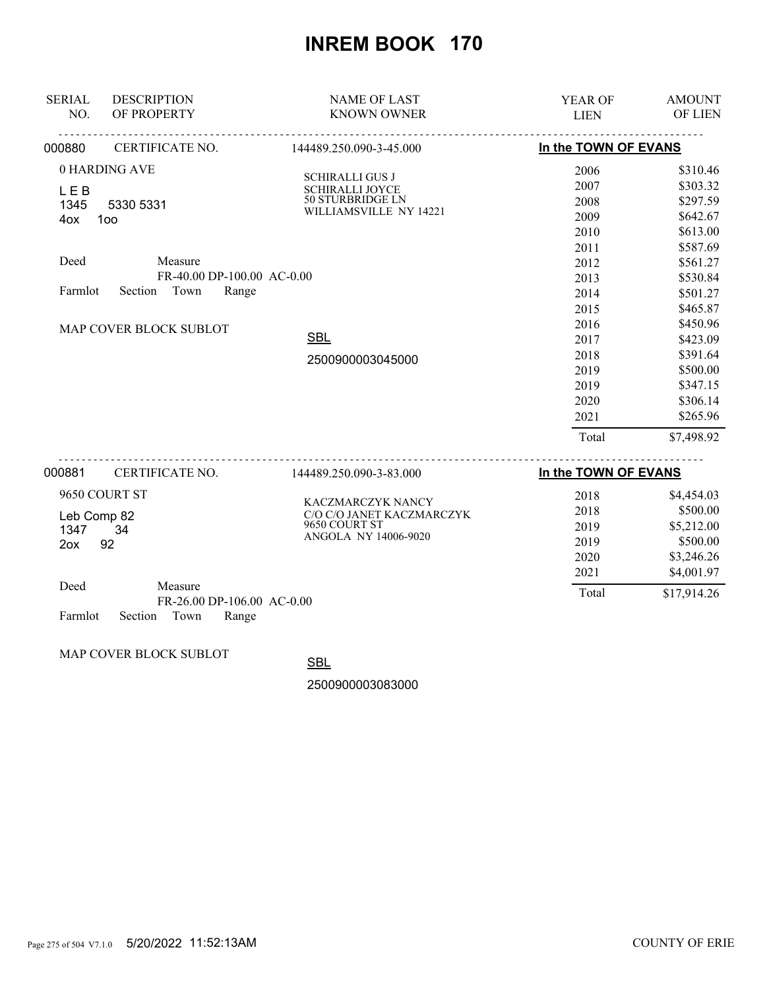| <b>SERIAL</b> | <b>DESCRIPTION</b>                    | <b>NAME OF LAST</b>                 | YEAR OF              | <b>AMOUNT</b> |
|---------------|---------------------------------------|-------------------------------------|----------------------|---------------|
| NO.           | OF PROPERTY                           | <b>KNOWN OWNER</b>                  | <b>LIEN</b>          | OF LIEN       |
| 000880        | CERTIFICATE NO.                       | <u>.</u><br>144489.250.090-3-45.000 | In the TOWN OF EVANS |               |
|               | 0 HARDING AVE                         | <b>SCHIRALLI GUS J</b>              | 2006                 | \$310.46      |
| <b>LEB</b>    |                                       | <b>SCHIRALLI JOYCE</b>              | 2007                 | \$303.32      |
| 1345          | 5330 5331                             | 50 STURBRIDGE LN                    | 2008                 | \$297.59      |
| 4ox           | 100                                   | WILLIAMSVILLE NY 14221              | 2009                 | \$642.67      |
|               |                                       |                                     | 2010                 | \$613.00      |
|               |                                       |                                     | 2011                 | \$587.69      |
| Deed          | Measure                               |                                     | 2012                 | \$561.27      |
|               | FR-40.00 DP-100.00 AC-0.00            |                                     | 2013                 | \$530.84      |
| Farmlot       | Section<br>Town<br>Range              |                                     | 2014                 | \$501.27      |
|               |                                       |                                     | 2015                 | \$465.87      |
|               | MAP COVER BLOCK SUBLOT                |                                     | 2016                 | \$450.96      |
|               |                                       | <b>SBL</b>                          | 2017                 | \$423.09      |
|               |                                       | 2500900003045000                    | 2018                 | \$391.64      |
|               |                                       |                                     | 2019                 | \$500.00      |
|               |                                       |                                     | 2019                 | \$347.15      |
|               |                                       |                                     | 2020                 | \$306.14      |
|               |                                       |                                     | 2021                 | \$265.96      |
|               |                                       |                                     | Total                | \$7,498.92    |
| 000881        | <u>.</u><br>CERTIFICATE NO.           | 144489.250.090-3-83.000             | In the TOWN OF EVANS |               |
|               | 9650 COURT ST                         | KACZMARCZYK NANCY                   | 2018                 | \$4,454.03    |
| Leb Comp 82   |                                       | C/O C/O JANET KACZMARCZYK           | 2018                 | \$500.00      |
| 1347          | 34                                    | 9650 COURT ST                       | 2019                 | \$5,212.00    |
| 2ox           | 92                                    | ANGOLA NY 14006-9020                | 2019                 | \$500.00      |
|               |                                       |                                     | 2020                 | \$3,246.26    |
|               |                                       |                                     | 2021                 | \$4,001.97    |
| Deed          | Measure<br>FR-26.00 DP-106.00 AC-0.00 |                                     | Total                | \$17,914.26   |
| Farmlot       | Town<br>Range<br>Section              |                                     |                      |               |

MAP COVER BLOCK SUBLOT

**SBL** 

2500900003083000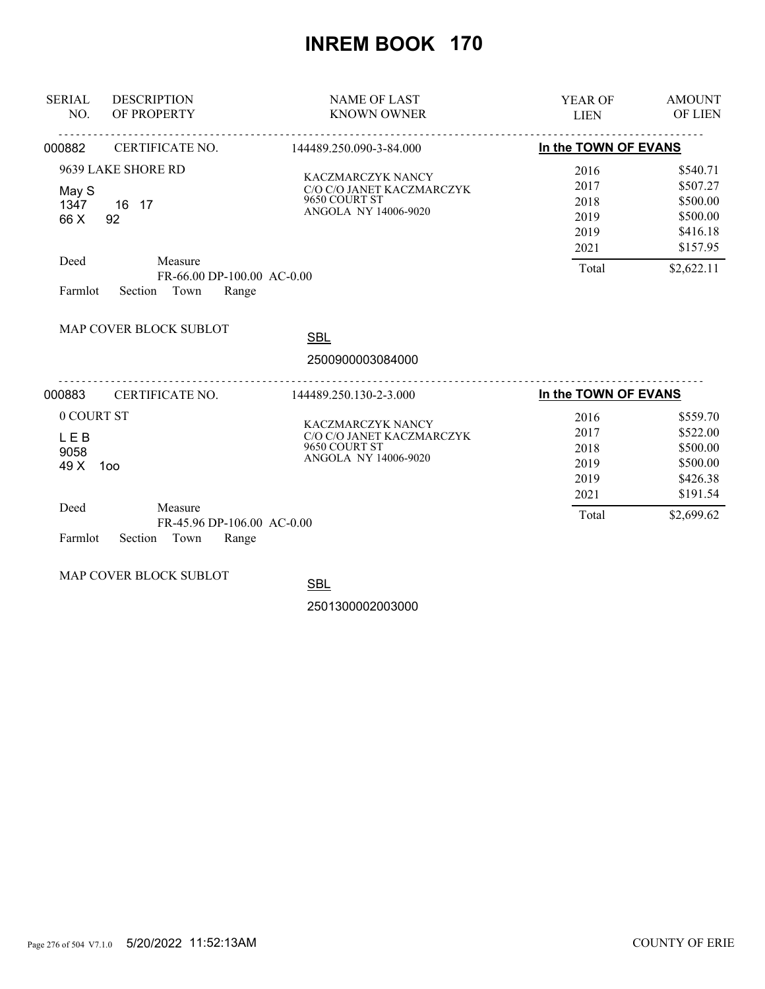| <b>SERIAL</b><br>NO.                                        | <b>DESCRIPTION</b><br>OF PROPERTY                                                                      | <b>NAME OF LAST</b><br><b>KNOWN OWNER</b>                                               | <b>YEAR OF</b><br><b>LIEN</b>                         | <b>AMOUNT</b><br>OF LIEN                                                           |
|-------------------------------------------------------------|--------------------------------------------------------------------------------------------------------|-----------------------------------------------------------------------------------------|-------------------------------------------------------|------------------------------------------------------------------------------------|
| 000882                                                      | CERTIFICATE NO.                                                                                        | 144489.250.090-3-84.000                                                                 | In the TOWN OF EVANS                                  |                                                                                    |
| May S<br>1347<br>66 X<br>Deed<br>Farmlot                    | 9639 LAKE SHORE RD<br>16 17<br>92<br>Measure<br>FR-66.00 DP-100.00 AC-0.00<br>Town<br>Range<br>Section | KACZMARCZYK NANCY<br>C/O C/O JANET KACZMARCZYK<br>9650 COURT ST<br>ANGOLA NY 14006-9020 | 2016<br>2017<br>2018<br>2019<br>2019<br>2021<br>Total | \$540.71<br>\$507.27<br>\$500.00<br>\$500.00<br>\$416.18<br>\$157.95<br>\$2,622.11 |
|                                                             | MAP COVER BLOCK SUBLOT                                                                                 | <b>SBL</b><br>2500900003084000                                                          |                                                       |                                                                                    |
| 000883                                                      | CERTIFICATE NO.                                                                                        | 144489.250.130-2-3.000                                                                  | In the TOWN OF EVANS                                  |                                                                                    |
| 0 COURT ST<br><b>LEB</b><br>9058<br>49 X<br>Deed<br>Farmlot | 100<br>Measure<br>FR-45.96 DP-106.00 AC-0.00<br>Town<br>Range<br>Section                               | KACZMARCZYK NANCY<br>C/O C/O JANET KACZMARCZYK<br>9650 COURT ST<br>ANGOLA NY 14006-9020 | 2016<br>2017<br>2018<br>2019<br>2019<br>2021<br>Total | \$559.70<br>\$522.00<br>\$500.00<br>\$500.00<br>\$426.38<br>\$191.54<br>\$2,699.62 |

MAP COVER BLOCK SUBLOT

**SBL** 

2501300002003000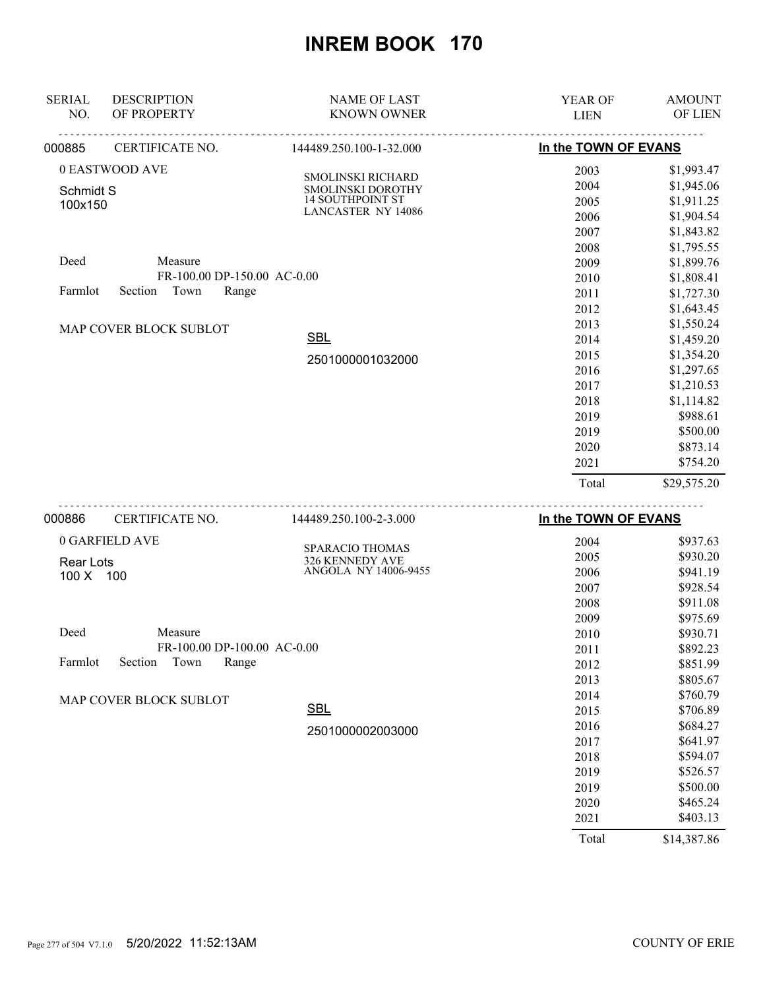| <b>SERIAL</b> | <b>DESCRIPTION</b>          | <b>NAME OF LAST</b>                    | YEAR OF              | <b>AMOUNT</b> |
|---------------|-----------------------------|----------------------------------------|----------------------|---------------|
| NO.           | OF PROPERTY                 | <b>KNOWN OWNER</b>                     | <b>LIEN</b>          | OF LIEN       |
| 000885        | CERTIFICATE NO.             | 144489.250.100-1-32.000                | In the TOWN OF EVANS |               |
|               | 0 EASTWOOD AVE              |                                        | 2003                 | \$1,993.47    |
| Schmidt S     |                             | SMOLINSKI RICHARD<br>SMOLINSKI DOROTHY | 2004                 | \$1,945.06    |
| 100x150       |                             | <b>14 SOUTHPOINT ST</b>                | 2005                 | \$1,911.25    |
|               |                             | <b>LANCASTER NY 14086</b>              | 2006                 | \$1,904.54    |
|               |                             |                                        | 2007                 | \$1,843.82    |
|               |                             |                                        | 2008                 | \$1,795.55    |
| Deed          | Measure                     |                                        | 2009                 | \$1,899.76    |
|               | FR-100.00 DP-150.00 AC-0.00 |                                        | 2010                 | \$1,808.41    |
| Farmlot       | Town<br>Section<br>Range    |                                        | 2011                 | \$1,727.30    |
|               |                             |                                        | 2012                 | \$1,643.45    |
|               | MAP COVER BLOCK SUBLOT      |                                        | 2013                 | \$1,550.24    |
|               |                             | <b>SBL</b>                             | 2014                 | \$1,459.20    |
|               |                             | 2501000001032000                       | 2015                 | \$1,354.20    |
|               |                             |                                        | 2016                 | \$1,297.65    |
|               |                             |                                        | 2017                 | \$1,210.53    |
|               |                             |                                        | 2018                 | \$1,114.82    |
|               |                             |                                        | 2019                 | \$988.61      |
|               |                             |                                        | 2019                 | \$500.00      |
|               |                             |                                        | 2020                 | \$873.14      |
|               |                             |                                        | 2021                 | \$754.20      |
|               |                             |                                        | Total                | \$29,575.20   |
| 000886        | <u>.</u><br>CERTIFICATE NO. | 144489.250.100-2-3.000                 | In the TOWN OF EVANS |               |
|               | 0 GARFIELD AVE              |                                        | 2004                 | \$937.63      |
| Rear Lots     |                             | SPARACIO THOMAS<br>326 KENNEDY AVE     | 2005                 | \$930.20      |
| 100 X 100     |                             | ANGOLA NY 14006-9455                   | 2006                 | \$941.19      |
|               |                             |                                        | 2007                 | \$928.54      |
|               |                             |                                        | 2008                 | \$911.08      |
|               |                             |                                        | 2009                 | \$975.69      |
| Deed          | Measure                     |                                        | 2010                 | \$930.71      |
|               | FR-100.00 DP-100.00 AC-0.00 |                                        | 2011                 | \$892.23      |
| Farmlot       | Section<br>Town<br>Range    |                                        | 2012                 | \$851.99      |
|               |                             |                                        | 2013                 | \$805.67      |
|               | MAP COVER BLOCK SUBLOT      |                                        | 2014                 | \$760.79      |
|               |                             | <b>SBL</b>                             | 2015                 | \$706.89      |
|               |                             | 2501000002003000                       | 2016                 | \$684.27      |
|               |                             |                                        | 2017                 | \$641.97      |
|               |                             |                                        | 2018                 | \$594.07      |
|               |                             |                                        | 2019                 | \$526.57      |
|               |                             |                                        | 2019                 | \$500.00      |
|               |                             |                                        | 2020                 | \$465.24      |
|               |                             |                                        | 2021                 | \$403.13      |
|               |                             |                                        | Total                | \$14,387.86   |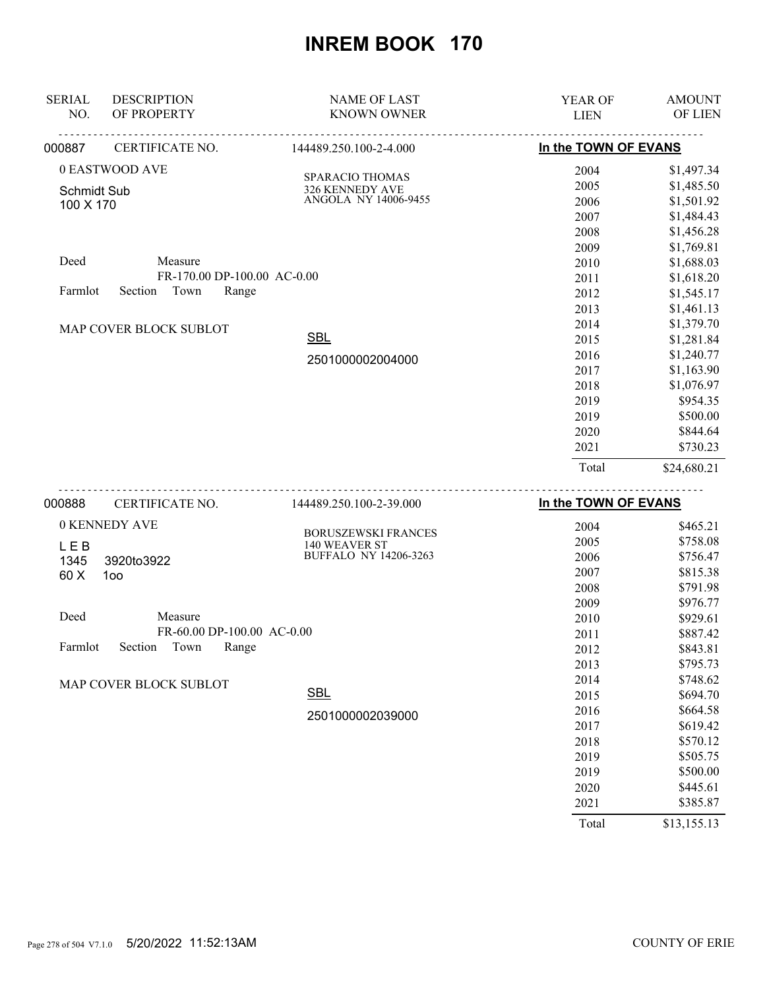| 000888<br>CERTIFICATE NO.           | 144489.250.100-2-39.000                 | In the TOWN OF EVANS |               |
|-------------------------------------|-----------------------------------------|----------------------|---------------|
|                                     |                                         | Total                | \$24,680.21   |
|                                     |                                         | 2021                 | \$730.23      |
|                                     |                                         | 2020                 | \$844.64      |
|                                     |                                         | 2019                 | \$500.00      |
|                                     |                                         | 2019                 | \$954.35      |
|                                     |                                         | 2018                 | \$1,076.97    |
|                                     |                                         | 2017                 | \$1,163.90    |
|                                     | 2501000002004000                        | 2016                 | \$1,240.77    |
|                                     | <b>SBL</b>                              | 2015                 | \$1,281.84    |
| MAP COVER BLOCK SUBLOT              |                                         | 2014                 | \$1,379.70    |
|                                     |                                         | 2013                 | \$1,461.13    |
| Town<br>Section<br>Farmlot          | Range                                   | 2012                 | \$1,545.17    |
|                                     | FR-170.00 DP-100.00 AC-0.00             | 2011                 | \$1,618.20    |
| Deed<br>Measure                     |                                         | 2010                 | \$1,688.03    |
|                                     |                                         | 2009                 | \$1,769.81    |
|                                     |                                         | 2008                 | \$1,456.28    |
| 100 X 170                           |                                         | 2007                 | \$1,484.43    |
| <b>Schmidt Sub</b>                  | 326 KENNEDY AVE<br>ANGOLA NY 14006-9455 | 2006                 | \$1,501.92    |
|                                     | SPARACIO THOMAS                         | 2005                 | \$1,485.50    |
| 0 EASTWOOD AVE                      |                                         | 2004                 | \$1,497.34    |
| 000887<br>CERTIFICATE NO.           | 144489.250.100-2-4.000                  | In the TOWN OF EVANS |               |
| OF PROPERTY<br>NO.                  | <b>KNOWN OWNER</b>                      | <b>LIEN</b>          | OF LIEN       |
| <b>SERIAL</b><br><b>DESCRIPTION</b> | <b>NAME OF LAST</b>                     | <b>YEAR OF</b>       | <b>AMOUNT</b> |
|                                     |                                         |                      |               |

| 0 KENNEDY AVE                       | <b>BORUSZEWSKI FRANCES</b>   | 2004 | \$465.21 |
|-------------------------------------|------------------------------|------|----------|
| <b>LEB</b>                          | 140 WEAVER ST                | 2005 | \$758.08 |
| 1345<br>3920to3922                  | <b>BUFFALO NY 14206-3263</b> | 2006 | \$756.47 |
| 60 X<br>100 <sub>o</sub>            |                              | 2007 | \$815.38 |
|                                     |                              | 2008 | \$791.98 |
|                                     |                              | 2009 | \$976.77 |
| Deed<br>Measure                     |                              | 2010 | \$929.61 |
| FR-60.00 DP-100.00 AC-0.00          |                              | 2011 | \$887.42 |
| Town<br>Range<br>Farmlot<br>Section |                              | 2012 | \$843.81 |
|                                     |                              | 2013 | \$795.73 |
| MAP COVER BLOCK SUBLOT              |                              | 2014 | \$748.62 |
|                                     | <b>SBL</b>                   | 2015 | \$694.70 |
|                                     | 2501000002039000             | 2016 | \$664.58 |
|                                     |                              | 2017 | \$619.42 |
|                                     |                              | 2018 | \$570.12 |
|                                     |                              | 2019 | \$505.75 |
|                                     |                              | 2019 | \$500.00 |
|                                     |                              | 2020 | \$445.61 |
|                                     |                              | 2021 | \$385.87 |
|                                     |                              |      |          |

Total \$13,155.13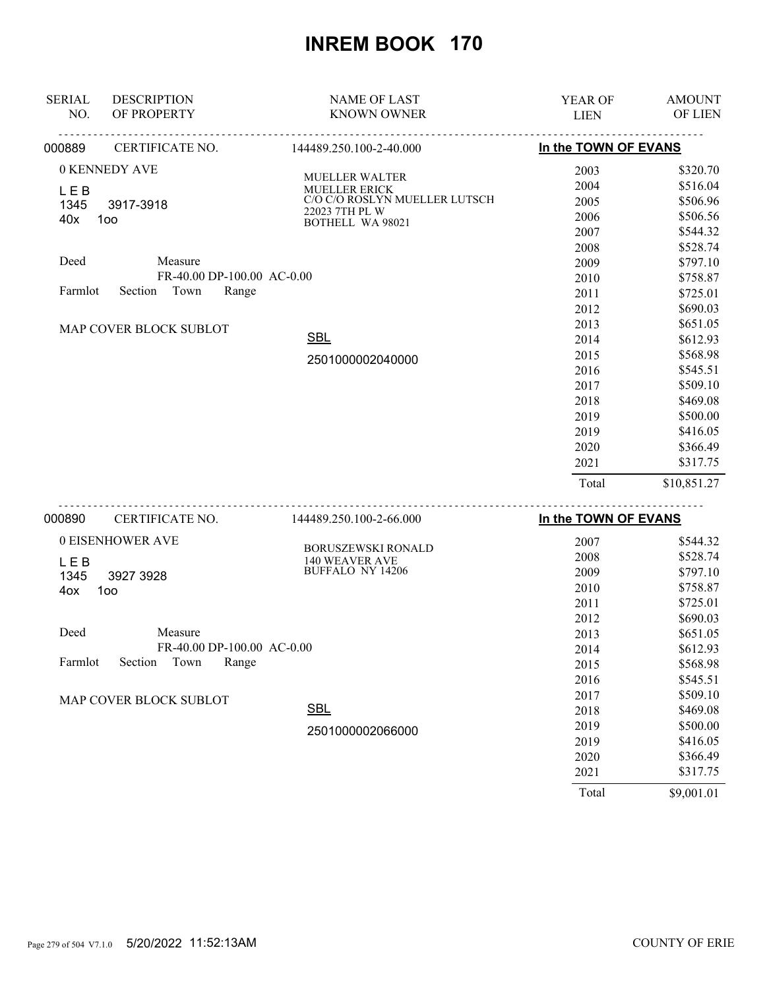| <b>SERIAL</b>      | <b>DESCRIPTION</b>         | <b>NAME OF LAST</b>                         | YEAR OF              | <b>AMOUNT</b> |
|--------------------|----------------------------|---------------------------------------------|----------------------|---------------|
| NO.                | OF PROPERTY                | <b>KNOWN OWNER</b>                          | <b>LIEN</b>          | OF LIEN       |
| 000889             | CERTIFICATE NO.            | .<br>144489.250.100-2-40.000                | In the TOWN OF EVANS |               |
|                    | 0 KENNEDY AVE              |                                             | 2003                 | \$320.70      |
| <b>LEB</b>         |                            | MUELLER WALTER<br>MUELLER ERICK             | 2004                 | \$516.04      |
| 1345               | 3917-3918                  | C/O C/O ROSLYN MUELLER LUTSCH               | 2005                 | \$506.96      |
| 40x                | 100                        | 22023 7TH PL W<br><b>BOTHELL WA 98021</b>   | 2006                 | \$506.56      |
|                    |                            |                                             | 2007                 | \$544.32      |
|                    |                            |                                             | 2008                 | \$528.74      |
| Deed               | Measure                    |                                             | 2009                 | \$797.10      |
|                    | FR-40.00 DP-100.00 AC-0.00 |                                             | 2010                 | \$758.87      |
| Farmlot            | Section Town<br>Range      |                                             | 2011                 | \$725.01      |
|                    |                            |                                             | 2012                 | \$690.03      |
|                    | MAP COVER BLOCK SUBLOT     |                                             | 2013                 | \$651.05      |
|                    |                            | <b>SBL</b>                                  | 2014                 | \$612.93      |
|                    |                            | 2501000002040000                            | 2015                 | \$568.98      |
|                    |                            |                                             | 2016                 | \$545.51      |
|                    |                            |                                             | 2017                 | \$509.10      |
|                    |                            |                                             | 2018                 | \$469.08      |
|                    |                            |                                             | 2019                 | \$500.00      |
|                    |                            |                                             | 2019                 | \$416.05      |
|                    |                            |                                             | 2020                 | \$366.49      |
|                    |                            |                                             | 2021                 | \$317.75      |
|                    |                            |                                             | Total                | \$10,851.27   |
| 000890             | .<br>CERTIFICATE NO.       | 144489.250.100-2-66.000                     | In the TOWN OF EVANS |               |
|                    | 0 EISENHOWER AVE           |                                             | 2007                 | \$544.32      |
|                    |                            | BORUSZEWSKI RONALD<br><b>140 WEAVER AVE</b> | 2008                 | \$528.74      |
| <b>LEB</b><br>1345 | 3927 3928                  | BUFFALO NY 14206                            | 2009                 | \$797.10      |
| 4ox                | 100                        |                                             | 2010                 | \$758.87      |
|                    |                            |                                             | 2011                 | \$725.01      |
|                    |                            |                                             | 2012                 | \$690.03      |
| Deed               | Measure                    |                                             | 2013                 | \$651.05      |
|                    | FR-40.00 DP-100.00 AC-0.00 |                                             | 2014                 | \$612.93      |
| Farmlot            | Section<br>Town<br>Range   |                                             | 2015                 | \$568.98      |
|                    |                            |                                             | 2016                 | \$545.51      |
|                    | MAP COVER BLOCK SUBLOT     |                                             | 2017                 | \$509.10      |
|                    |                            | SBL                                         | 2018                 | \$469.08      |
|                    |                            | 2501000002066000                            | 2019                 | \$500.00      |
|                    |                            |                                             | 2019                 | \$416.05      |
|                    |                            |                                             | 2020                 | \$366.49      |
|                    |                            |                                             | 2021                 | \$317.75      |

Total \$9,001.01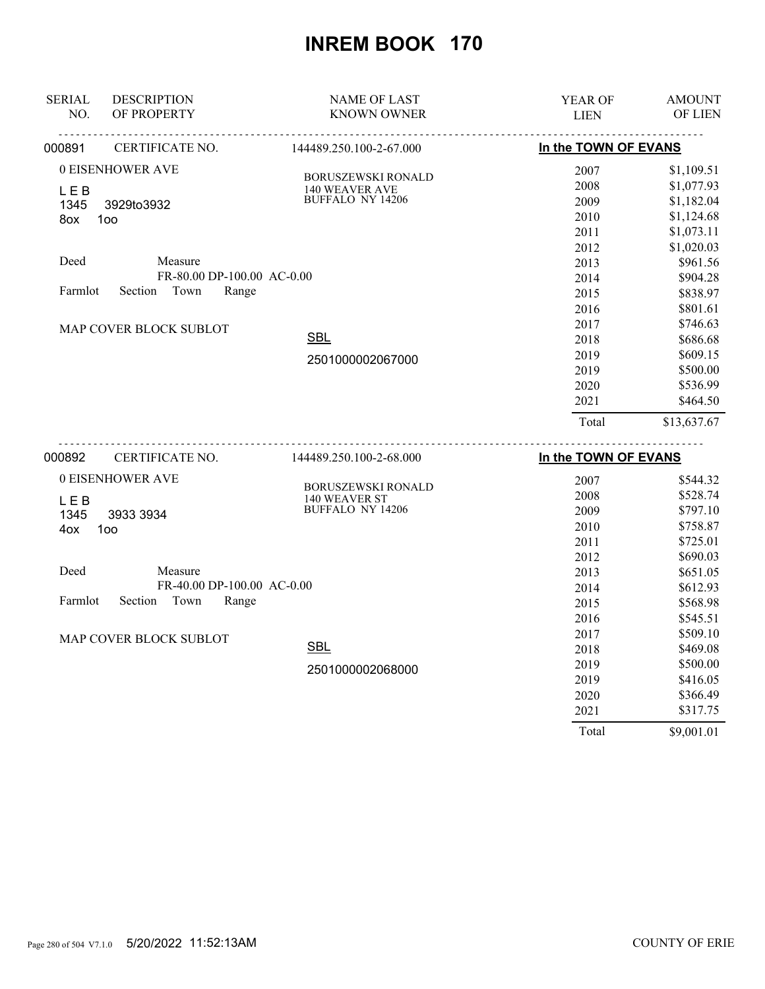| <b>SERIAL</b><br>NO. | <b>DESCRIPTION</b><br>OF PROPERTY | <b>NAME OF LAST</b><br><b>KNOWN OWNER</b> | YEAR OF<br><b>LIEN</b> | <b>AMOUNT</b><br><b>OF LIEN</b> |
|----------------------|-----------------------------------|-------------------------------------------|------------------------|---------------------------------|
|                      |                                   |                                           |                        |                                 |
| 000891               | CERTIFICATE NO.                   | 144489.250.100-2-67.000                   | In the TOWN OF EVANS   |                                 |
|                      | 0 EISENHOWER AVE                  | <b>BORUSZEWSKI RONALD</b>                 | 2007                   | \$1,109.51                      |
| LEB                  |                                   | 140 WEAVER AVE                            | 2008                   | \$1,077.93                      |
| 1345                 | 3929to3932                        | BUFFALO NY 14206                          | 2009                   | \$1,182.04                      |
| 8ox                  | 100                               |                                           | 2010                   | \$1,124.68                      |
|                      |                                   |                                           | 2011                   | \$1,073.11                      |
|                      |                                   |                                           | 2012                   | \$1,020.03                      |
| Deed                 | Measure                           |                                           | 2013                   | \$961.56                        |
|                      | FR-80.00 DP-100.00 AC-0.00        |                                           | 2014                   | \$904.28                        |
| Farmlot              | Town<br>Section<br>Range          |                                           | 2015                   | \$838.97                        |
|                      |                                   |                                           | 2016                   | \$801.61                        |
|                      | MAP COVER BLOCK SUBLOT            |                                           | 2017                   | \$746.63                        |
|                      |                                   | <b>SBL</b>                                | 2018                   | \$686.68                        |
|                      |                                   | 2501000002067000                          | 2019                   | \$609.15                        |
|                      |                                   |                                           | 2019                   | \$500.00                        |
|                      |                                   |                                           | 2020                   | \$536.99                        |
|                      |                                   |                                           | 2021                   | \$464.50                        |
|                      |                                   |                                           | Total                  | \$13,637.67                     |
| 000892               | CERTIFICATE NO.                   | 144489.250.100-2-68.000                   | In the TOWN OF EVANS   |                                 |
|                      | 0 EISENHOWER AVE                  |                                           | 2007                   | \$544.32                        |
| <b>LEB</b>           |                                   | BORUSZEWSKI RONALD<br>140 WEAVER ST       | 2008                   | \$528.74                        |
| 1345                 | 3933 3934                         | BUFFALO NY 14206                          | 2009                   | \$797.10                        |
| 4ox                  | 100                               |                                           | 2010                   | \$758.87                        |
|                      |                                   |                                           | 2011                   | \$725.01                        |
|                      |                                   |                                           | 2012                   | \$690.03                        |
| Deed                 | Measure                           |                                           | 2013                   | \$651.05                        |
|                      | FR-40.00 DP-100.00 AC-0.00        |                                           | 2014                   | \$612.93                        |
| Farmlot              | Town<br>Section<br>Range          |                                           | 2015                   | \$568.98                        |
|                      |                                   |                                           | 2016                   | \$545.51                        |
|                      | MAP COVER BLOCK SUBLOT            |                                           | 2017                   | \$509.10                        |
|                      |                                   | <b>SBL</b>                                | 2018                   | \$469.08                        |
|                      |                                   | 2501000002068000                          | 2019                   | \$500.00                        |
|                      |                                   |                                           | 2019                   | \$416.05                        |
|                      |                                   |                                           | 2020                   | \$366.49                        |
|                      |                                   |                                           | 2021                   | \$317.75                        |
|                      |                                   |                                           | Total                  | \$9,001.01                      |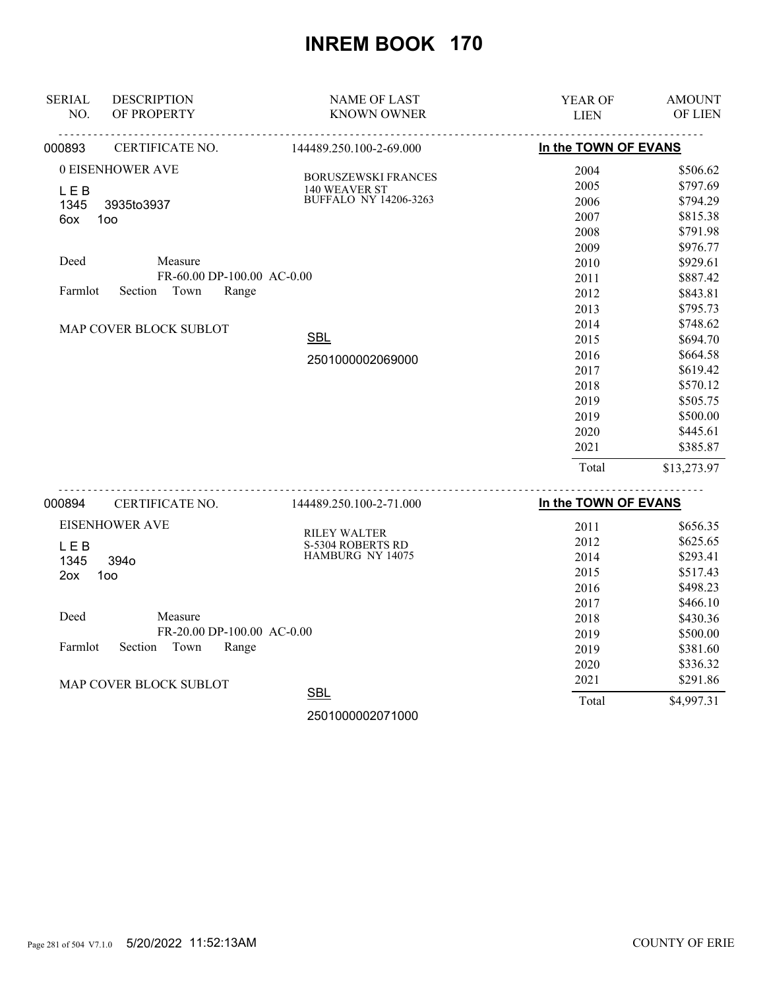| <b>SERIAL</b><br>NO.                                                    | <b>DESCRIPTION</b><br>OF PROPERTY                                                                         | <b>NAME OF LAST</b><br><b>KNOWN OWNER</b>                                                              | YEAR OF<br><b>LIEN</b>                                                                                                                               | <b>AMOUNT</b><br>OF LIEN                                                                                                                                                                                                         |
|-------------------------------------------------------------------------|-----------------------------------------------------------------------------------------------------------|--------------------------------------------------------------------------------------------------------|------------------------------------------------------------------------------------------------------------------------------------------------------|----------------------------------------------------------------------------------------------------------------------------------------------------------------------------------------------------------------------------------|
| 000893                                                                  | CERTIFICATE NO.                                                                                           | 144489.250.100-2-69.000                                                                                | In the TOWN OF EVANS                                                                                                                                 |                                                                                                                                                                                                                                  |
| 0 EISENHOWER AVE<br><b>LEB</b><br>1345<br>100<br>6ox<br>Deed<br>Farmlot | 3935to3937<br>Measure<br>FR-60.00 DP-100.00 AC-0.00<br>Town<br>Section<br>Range<br>MAP COVER BLOCK SUBLOT | <b>BORUSZEWSKI FRANCES</b><br>140 WEAVER ST<br><b>BUFFALO NY 14206-3263</b><br>SBL<br>2501000002069000 | 2004<br>2005<br>2006<br>2007<br>2008<br>2009<br>2010<br>2011<br>2012<br>2013<br>2014<br>2015<br>2016<br>2017<br>2018<br>2019<br>2019<br>2020<br>2021 | \$506.62<br>\$797.69<br>\$794.29<br>\$815.38<br>\$791.98<br>\$976.77<br>\$929.61<br>\$887.42<br>\$843.81<br>\$795.73<br>\$748.62<br>\$694.70<br>\$664.58<br>\$619.42<br>\$570.12<br>\$505.75<br>\$500.00<br>\$445.61<br>\$385.87 |
|                                                                         |                                                                                                           |                                                                                                        | Total                                                                                                                                                | \$13,273.97                                                                                                                                                                                                                      |
| 000894                                                                  | CERTIFICATE NO.                                                                                           | 144489.250.100-2-71.000                                                                                | In the TOWN OF EVANS                                                                                                                                 |                                                                                                                                                                                                                                  |
| <b>EISENHOWER AVE</b>                                                   |                                                                                                           | <b>RILEY WALTER</b>                                                                                    | 2011<br>2012                                                                                                                                         | \$656.35<br>062565                                                                                                                                                                                                               |

| 2012  | \$625.65   |
|-------|------------|
| 2014  | \$293.41   |
| 2015  | \$517.43   |
| 2016  | \$498.23   |
| 2017  | \$466.10   |
| 2018  | \$430.36   |
| 2019  | \$500.00   |
| 2019  | \$381.60   |
| 2020  | \$336.32   |
| 2021  | \$291.86   |
| Total | \$4,997.31 |
|       |            |

2501000002071000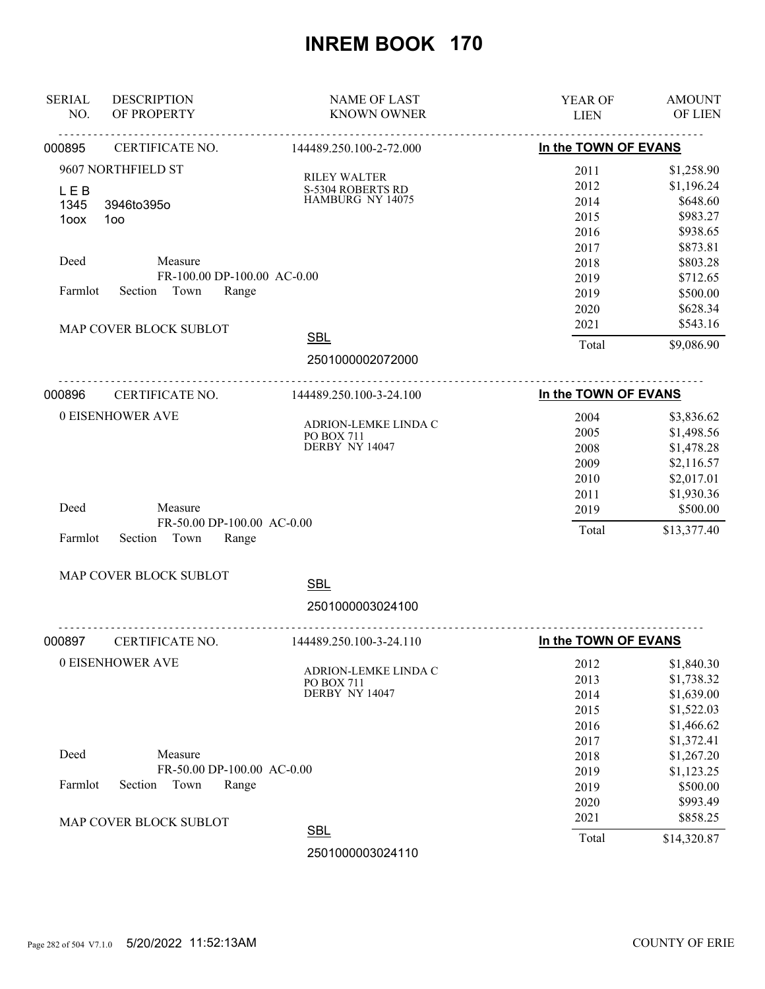| <b>SERIAL</b><br>NO. | <b>DESCRIPTION</b><br>OF PROPERTY | <b>NAME OF LAST</b><br><b>KNOWN OWNER</b> | YEAR OF<br><b>LIEN</b> | <b>AMOUNT</b><br>OF LIEN |
|----------------------|-----------------------------------|-------------------------------------------|------------------------|--------------------------|
| 000895               | <u>.</u><br>CERTIFICATE NO.       | <u>.</u><br>144489.250.100-2-72.000       | In the TOWN OF EVANS   |                          |
|                      | 9607 NORTHFIELD ST                |                                           | 2011                   | \$1,258.90               |
|                      |                                   | <b>RILEY WALTER</b><br>S-5304 ROBERTS RD  | 2012                   | \$1,196.24               |
| <b>LEB</b><br>1345   | 3946to395o                        | HAMBURG NY 14075                          | 2014                   | \$648.60                 |
| 1oox                 | 100                               |                                           | 2015                   | \$983.27                 |
|                      |                                   |                                           | 2016                   | \$938.65                 |
|                      |                                   |                                           | 2017                   | \$873.81                 |
| Deed                 | Measure                           |                                           | 2018                   | \$803.28                 |
|                      | FR-100.00 DP-100.00 AC-0.00       |                                           | 2019                   | \$712.65                 |
| Farmlot              | Section Town<br>Range             |                                           | 2019                   | \$500.00                 |
|                      |                                   |                                           | 2020                   | \$628.34                 |
|                      | MAP COVER BLOCK SUBLOT            |                                           | 2021                   | \$543.16                 |
|                      |                                   | <b>SBL</b>                                | Total                  | \$9,086.90               |
|                      |                                   | 2501000002072000                          |                        |                          |
|                      |                                   |                                           |                        |                          |
| 000896               | CERTIFICATE NO.                   | 144489.250.100-3-24.100                   | In the TOWN OF EVANS   |                          |
|                      | 0 EISENHOWER AVE                  |                                           | 2004                   | \$3,836.62               |
|                      |                                   | ADRION-LEMKE LINDA C<br>PO BOX 711        | 2005                   | \$1,498.56               |
|                      |                                   | DERBY NY 14047                            | 2008                   | \$1,478.28               |
|                      |                                   |                                           | 2009                   | \$2,116.57               |
|                      |                                   |                                           | 2010                   | \$2,017.01               |
|                      |                                   |                                           | 2011                   | \$1,930.36               |
| Deed                 | Measure                           |                                           | 2019                   | \$500.00                 |
|                      | FR-50.00 DP-100.00 AC-0.00        |                                           | Total                  | \$13,377.40              |
| Farmlot              | Section<br>Town<br>Range          |                                           |                        |                          |
|                      | MAP COVER BLOCK SUBLOT            |                                           |                        |                          |
|                      |                                   | <b>SBL</b>                                |                        |                          |
|                      |                                   | 2501000003024100                          |                        |                          |
| 000897               | CERTIFICATE NO.                   | .<br>144489.250.100-3-24.110              | In the TOWN OF EVANS   |                          |
|                      | 0 EISENHOWER AVE                  |                                           | 2012                   | \$1,840.30               |
|                      |                                   | ADRION-LEMKE LINDA C                      | 2013                   | \$1,738.32               |
|                      |                                   | <b>PO BOX 711</b><br>DERBY NY 14047       | 2014                   | \$1,639.00               |
|                      |                                   |                                           | 2015                   | \$1,522.03               |
|                      |                                   |                                           | 2016                   | \$1,466.62               |
|                      |                                   |                                           | 2017                   | \$1,372.41               |
| Deed                 | Measure                           |                                           | 2018                   | \$1,267.20               |
|                      | FR-50.00 DP-100.00 AC-0.00        |                                           | 2019                   | \$1,123.25               |
| Farmlot              | Section<br>Town<br>Range          |                                           | 2019                   | \$500.00                 |
|                      |                                   |                                           | 2020                   | \$993.49                 |
|                      |                                   |                                           | 2021                   | \$858.25                 |
|                      | MAP COVER BLOCK SUBLOT            | <b>SBL</b>                                | Total                  | \$14,320.87              |
|                      |                                   | <b>OED100000001110</b>                    |                        |                          |

2501000003024110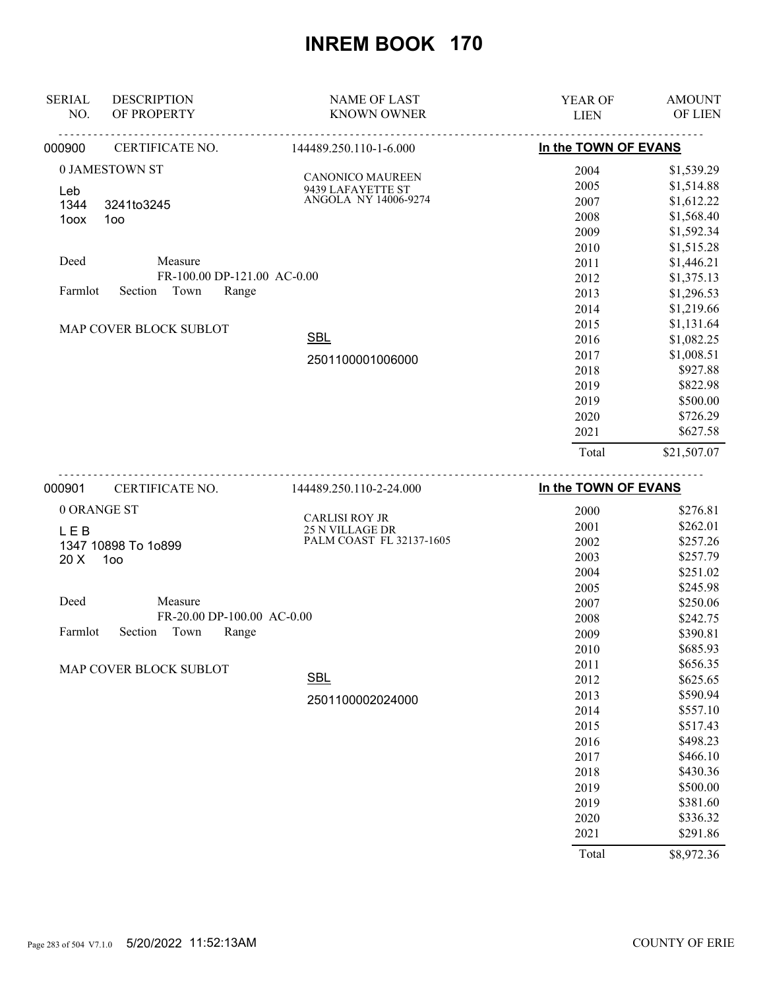| <b>SERIAL</b><br><b>DESCRIPTION</b> |                             | <b>NAME OF LAST</b>                                | <b>YEAR OF</b>       | <b>AMOUNT</b>  |
|-------------------------------------|-----------------------------|----------------------------------------------------|----------------------|----------------|
| NO.<br>OF PROPERTY                  |                             | <b>KNOWN OWNER</b>                                 | <b>LIEN</b>          | <b>OF LIEN</b> |
| 000900<br>CERTIFICATE NO.           | <u>.</u>                    | <u>.</u><br>144489.250.110-1-6.000                 | In the TOWN OF EVANS |                |
| 0 JAMESTOWN ST                      |                             | <b>CANONICO MAUREEN</b>                            | 2004                 | \$1,539.29     |
| Leb                                 |                             | 9439 LAFAYETTE ST                                  | 2005                 | \$1,514.88     |
| 1344<br>3241to3245                  |                             | ANGOLA NY 14006-9274                               | 2007                 | \$1,612.22     |
| 1oox<br>100                         |                             |                                                    | 2008                 | \$1,568.40     |
|                                     |                             |                                                    | 2009                 | \$1,592.34     |
|                                     |                             |                                                    | 2010                 | \$1,515.28     |
| Deed                                | Measure                     |                                                    | 2011                 | \$1,446.21     |
|                                     | FR-100.00 DP-121.00 AC-0.00 |                                                    | 2012                 | \$1,375.13     |
| Section Town<br>Farmlot             | Range                       |                                                    | 2013                 | \$1,296.53     |
|                                     |                             |                                                    | 2014                 | \$1,219.66     |
| MAP COVER BLOCK SUBLOT              |                             |                                                    | 2015                 | \$1,131.64     |
|                                     | <b>SBL</b>                  | 2016                                               | \$1,082.25           |                |
|                                     |                             | 2501100001006000                                   | 2017                 | \$1,008.51     |
|                                     |                             |                                                    | 2018                 | \$927.88       |
|                                     |                             |                                                    | 2019                 | \$822.98       |
|                                     |                             |                                                    | 2019                 | \$500.00       |
|                                     |                             |                                                    | 2020                 | \$726.29       |
|                                     |                             |                                                    | 2021                 | \$627.58       |
|                                     |                             |                                                    | Total                | \$21,507.07    |
| 000901<br>CERTIFICATE NO.           |                             | 144489.250.110-2-24.000                            | In the TOWN OF EVANS |                |
| 0 ORANGE ST                         |                             |                                                    | 2000                 | \$276.81       |
|                                     |                             | <b>CARLISI ROY JR</b>                              | 2001                 | \$262.01       |
| <b>LEB</b>                          |                             | <b>25 N VILLAGE DR</b><br>PALM COAST FL 32137-1605 | 2002                 | \$257.26       |
| 1347 10898 To 1o899<br>100<br>20 X  |                             |                                                    | 2003                 | \$257.79       |
|                                     |                             |                                                    | 2004                 | \$251.02       |

| Deed |                            | Measure |                            |  |
|------|----------------------------|---------|----------------------------|--|
|      |                            |         | FR-20.00 DP-100.00 AC-0.00 |  |
|      | Farmlot Section Town Range |         |                            |  |

MAP COVER BLOCK SUBLOT

2501100002024000

**SBL** 

| 2007  | \$250.06   |
|-------|------------|
| 2008  | \$242.75   |
| 2009  | \$390.81   |
| 2010  | \$685.93   |
| 2011  | \$656.35   |
| 2012  | \$625.65   |
| 2013  | \$590.94   |
| 2014  | \$557.10   |
| 2015  | \$517.43   |
| 2016  | \$498.23   |
| 2017  | \$466.10   |
| 2018  | \$430.36   |
| 2019  | \$500.00   |
| 2019  | \$381.60   |
| 2020  | \$336.32   |
| 2021  | \$291.86   |
| Total | \$8,972.36 |

2005 \$245.98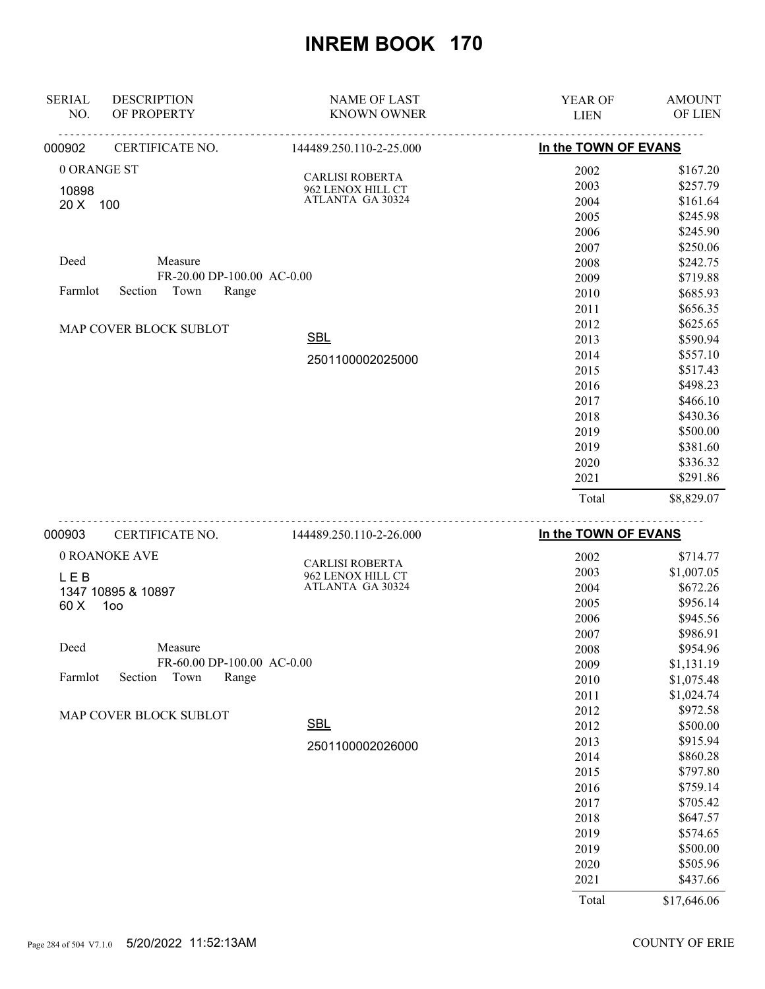| <b>SERIAL</b> | <b>DESCRIPTION</b>         | <b>NAME OF LAST</b>                         | <b>YEAR OF</b>                 | <b>AMOUNT</b> |
|---------------|----------------------------|---------------------------------------------|--------------------------------|---------------|
| NO.           | OF PROPERTY                | <b>KNOWN OWNER</b>                          | <b>LIEN</b>                    | OF LIEN       |
| 000902        | CERTIFICATE NO.            | 144489.250.110-2-25.000                     | In the TOWN OF EVANS           |               |
| 0 ORANGE ST   |                            |                                             | 2002                           | \$167.20      |
| 10898         |                            | <b>CARLISI ROBERTA</b><br>962 LENOX HILL CT | 2003                           | \$257.79      |
| 20 X 100      |                            | ATLANTA GA 30324                            | 2004                           | \$161.64      |
|               |                            |                                             | 2005                           | \$245.98      |
|               |                            |                                             | 2006                           | \$245.90      |
|               |                            |                                             | 2007                           | \$250.06      |
| Deed          | Measure                    |                                             | 2008                           | \$242.75      |
|               | FR-20.00 DP-100.00 AC-0.00 |                                             | 2009                           | \$719.88      |
| Farmlot       | Town<br>Range<br>Section   |                                             | 2010                           | \$685.93      |
|               |                            |                                             | 2011                           | \$656.35      |
|               | MAP COVER BLOCK SUBLOT     |                                             | 2012                           | \$625.65      |
|               |                            | <b>SBL</b>                                  | 2013                           | \$590.94      |
|               |                            | 2501100002025000                            | 2014                           | \$557.10      |
|               |                            |                                             | 2015                           | \$517.43      |
|               |                            |                                             | 2016                           | \$498.23      |
|               |                            |                                             | 2017                           | \$466.10      |
|               |                            |                                             | 2018                           | \$430.36      |
|               |                            |                                             | 2019                           | \$500.00      |
|               |                            |                                             | 2019                           | \$381.60      |
|               |                            |                                             | 2020                           | \$336.32      |
|               |                            |                                             | 2021                           | \$291.86      |
|               |                            |                                             | Total                          | \$8,829.07    |
|               | $0.00000$ $0.00000000000$  | 111100.250.110.2.2600                       | <b>ILL ALL TOUAL OF FUALIO</b> |               |

| 000903  | CERTIFICATE NO.            | 144489.250.110-2-26.000 | In the TOWN OF EVANS |             |
|---------|----------------------------|-------------------------|----------------------|-------------|
|         | 0 ROANOKE AVE              | <b>CARLISI ROBERTA</b>  | 2002                 | \$714.77    |
| LEB     |                            | 962 LENOX HILL CT       | 2003                 | \$1,007.05  |
|         | 1347 10895 & 10897         | ATLANTA GA 30324        | 2004                 | \$672.26    |
| 60 X    | 100                        |                         | 2005                 | \$956.14    |
|         |                            |                         | 2006                 | \$945.56    |
|         |                            |                         | 2007                 | \$986.91    |
| Deed    | Measure                    |                         | 2008                 | \$954.96    |
|         | FR-60.00 DP-100.00 AC-0.00 |                         | 2009                 | \$1,131.19  |
| Farmlot | Town<br>Section<br>Range   |                         | 2010                 | \$1,075.48  |
|         |                            |                         | 2011                 | \$1,024.74  |
|         | MAP COVER BLOCK SUBLOT     |                         | 2012                 | \$972.58    |
|         |                            | <b>SBL</b>              | 2012                 | \$500.00    |
|         |                            | 2501100002026000        | 2013                 | \$915.94    |
|         |                            |                         | 2014                 | \$860.28    |
|         |                            |                         | 2015                 | \$797.80    |
|         |                            |                         | 2016                 | \$759.14    |
|         |                            |                         | 2017                 | \$705.42    |
|         |                            |                         | 2018                 | \$647.57    |
|         |                            |                         | 2019                 | \$574.65    |
|         |                            |                         | 2019                 | \$500.00    |
|         |                            |                         | 2020                 | \$505.96    |
|         |                            |                         | 2021                 | \$437.66    |
|         |                            |                         | Total                | \$17,646.06 |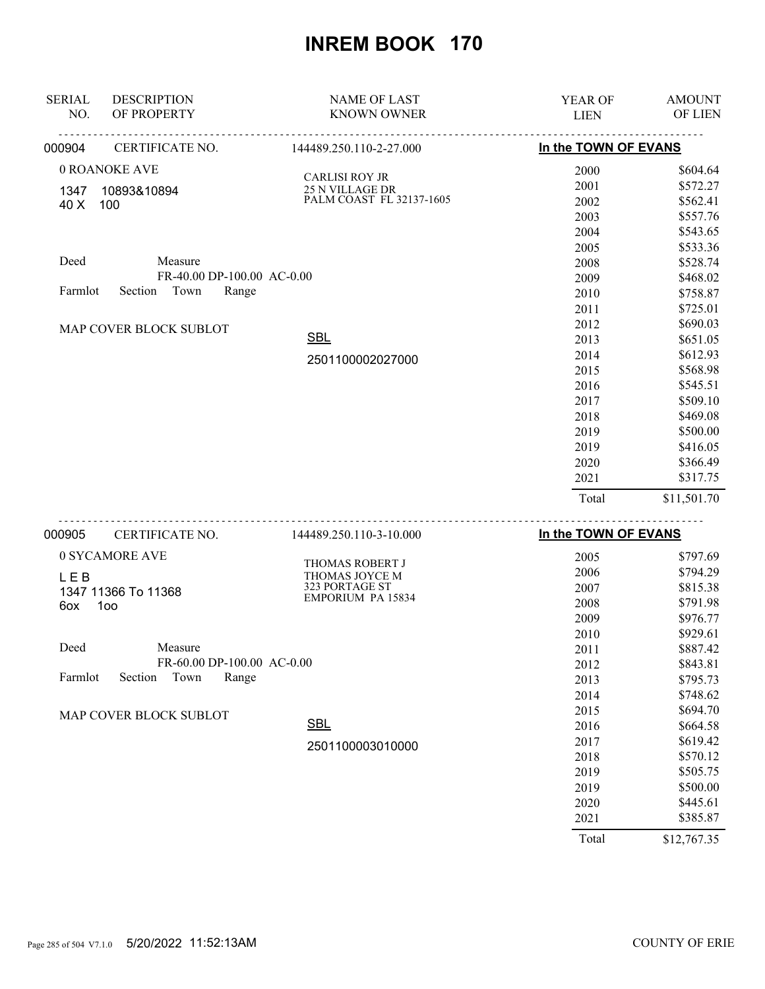| <b>SERIAL</b> | <b>DESCRIPTION</b>         | <b>NAME OF LAST</b>      | <b>YEAR OF</b>       | <b>AMOUNT</b> |
|---------------|----------------------------|--------------------------|----------------------|---------------|
| NO.           | OF PROPERTY                | <b>KNOWN OWNER</b>       | <b>LIEN</b>          | OF LIEN       |
| 000904        | CERTIFICATE NO.            | 144489.250.110-2-27.000  | In the TOWN OF EVANS |               |
|               | 0 ROANOKE AVE              | <b>CARLISI ROY JR</b>    | 2000                 | \$604.64      |
| 1347          | 10893&10894                | <b>25 N VILLAGE DR</b>   | 2001                 | \$572.27      |
| 40 X          | 100                        | PALM COAST FL 32137-1605 | 2002                 | \$562.41      |
|               |                            |                          | 2003                 | \$557.76      |
|               |                            |                          | 2004                 | \$543.65      |
|               |                            |                          | 2005                 | \$533.36      |
| Deed          | Measure                    |                          | 2008                 | \$528.74      |
|               | FR-40.00 DP-100.00 AC-0.00 |                          | 2009                 | \$468.02      |
| Farmlot       | Town<br>Section<br>Range   |                          | 2010                 | \$758.87      |
|               |                            |                          | 2011                 | \$725.01      |
|               | MAP COVER BLOCK SUBLOT     |                          | 2012                 | \$690.03      |
|               |                            | <b>SBL</b>               | 2013                 | \$651.05      |
|               |                            | 2501100002027000         | 2014                 | \$612.93      |
|               |                            |                          | 2015                 | \$568.98      |
|               |                            |                          | 2016                 | \$545.51      |
|               |                            |                          | 2017                 | \$509.10      |
|               |                            |                          | 2018                 | \$469.08      |
|               |                            |                          | 2019                 | \$500.00      |
|               |                            |                          | 2019                 | \$416.05      |
|               |                            |                          | 2020                 | \$366.49      |
|               |                            |                          | 2021                 | \$317.75      |
|               |                            |                          | Total                | \$11,501.70   |
|               |                            |                          |                      |               |

| 000905     | CERTIFICATE NO.            | 144489.250.110-3-10.000  | In the TOWN OF EVANS |             |
|------------|----------------------------|--------------------------|----------------------|-------------|
|            | 0 SYCAMORE AVE             | <b>THOMAS ROBERT J</b>   | 2005                 | \$797.69    |
| <b>LEB</b> |                            | THOMAS JOYCE M           | 2006                 | \$794.29    |
|            | 1347 11366 To 11368        | 323 PORTAGE ST           | 2007                 | \$815.38    |
| 6ox        | 100                        | <b>EMPORIUM PA 15834</b> | 2008                 | \$791.98    |
|            |                            |                          | 2009                 | \$976.77    |
|            |                            |                          | 2010                 | \$929.61    |
| Deed       | Measure                    |                          | 2011                 | \$887.42    |
|            | FR-60.00 DP-100.00 AC-0.00 |                          | 2012                 | \$843.81    |
| Farmlot    | Town<br>Section<br>Range   |                          | 2013                 | \$795.73    |
|            |                            |                          | 2014                 | \$748.62    |
|            | MAP COVER BLOCK SUBLOT     |                          | 2015                 | \$694.70    |
|            |                            | <b>SBL</b>               | 2016                 | \$664.58    |
|            |                            | 2501100003010000         | 2017                 | \$619.42    |
|            |                            |                          | 2018                 | \$570.12    |
|            |                            |                          | 2019                 | \$505.75    |
|            |                            |                          | 2019                 | \$500.00    |
|            |                            |                          | 2020                 | \$445.61    |
|            |                            |                          | 2021                 | \$385.87    |
|            |                            |                          | Total                | \$12,767.35 |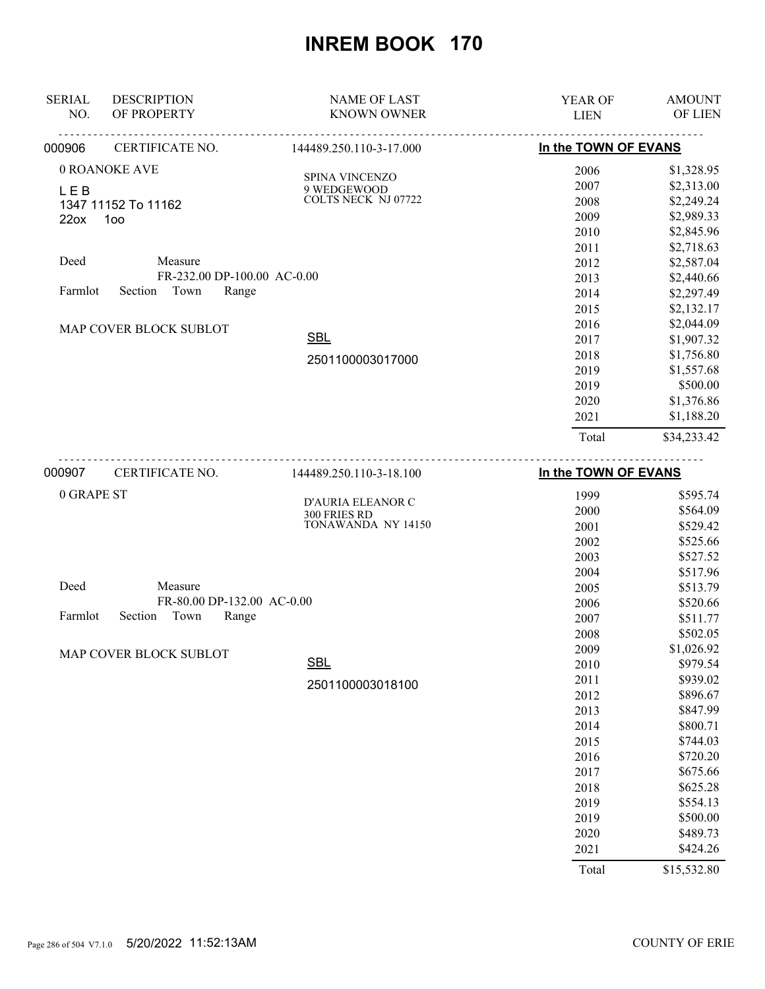| <b>SERIAL</b><br>NO.                  | <b>DESCRIPTION</b><br>OF PROPERTY                                                                                                           | <b>NAME OF LAST</b><br><b>KNOWN OWNER</b>                                                     | <b>YEAR OF</b><br><b>LIEN</b>                                                                                                        | <b>AMOUNT</b><br>OF LIEN                                                                                                                                                                                                                 |
|---------------------------------------|---------------------------------------------------------------------------------------------------------------------------------------------|-----------------------------------------------------------------------------------------------|--------------------------------------------------------------------------------------------------------------------------------------|------------------------------------------------------------------------------------------------------------------------------------------------------------------------------------------------------------------------------------------|
| 000906                                | CERTIFICATE NO.                                                                                                                             | 144489.250.110-3-17.000                                                                       | In the TOWN OF EVANS                                                                                                                 |                                                                                                                                                                                                                                          |
| <b>LEB</b><br>22ox<br>Deed<br>Farmlot | 0 ROANOKE AVE<br>1347 11152 To 11162<br>100<br>Measure<br>FR-232.00 DP-100.00 AC-0.00<br>Town<br>Section<br>Range<br>MAP COVER BLOCK SUBLOT | SPINA VINCENZO<br>9 WEDGEWOOD<br><b>COLTS NECK NJ 07722</b><br><b>SBL</b><br>2501100003017000 | 2006<br>2007<br>2008<br>2009<br>2010<br>2011<br>2012<br>2013<br>2014<br>2015<br>2016<br>2017<br>2018<br>2019<br>2019<br>2020<br>2021 | \$1,328.95<br>\$2,313.00<br>\$2,249.24<br>\$2,989.33<br>\$2,845.96<br>\$2,718.63<br>\$2,587.04<br>\$2,440.66<br>\$2,297.49<br>\$2,132.17<br>\$2,044.09<br>\$1,907.32<br>\$1,756.80<br>\$1,557.68<br>\$500.00<br>\$1,376.86<br>\$1,188.20 |
| 000907                                | CERTIFICATE NO.                                                                                                                             | 144489.250.110-3-18.100                                                                       | Total<br>In the TOWN OF EVANS                                                                                                        | \$34,233.42                                                                                                                                                                                                                              |

| 0 GRAPE ST                          | D'AURIA ELEANOR C  | 1999  | \$595.74    |
|-------------------------------------|--------------------|-------|-------------|
|                                     | 300 FRIES RD       | 2000  | \$564.09    |
|                                     | TONAWANDA NY 14150 | 2001  | \$529.42    |
|                                     |                    | 2002  | \$525.66    |
|                                     |                    | 2003  | \$527.52    |
|                                     |                    | 2004  | \$517.96    |
| Deed<br>Measure                     |                    | 2005  | \$513.79    |
| FR-80.00 DP-132.00 AC-0.00          |                    | 2006  | \$520.66    |
| Town<br>Farmlot<br>Section<br>Range |                    | 2007  | \$511.77    |
|                                     |                    | 2008  | \$502.05    |
| MAP COVER BLOCK SUBLOT              |                    | 2009  | \$1,026.92  |
|                                     | <b>SBL</b>         | 2010  | \$979.54    |
|                                     | 2501100003018100   | 2011  | \$939.02    |
|                                     |                    | 2012  | \$896.67    |
|                                     |                    | 2013  | \$847.99    |
|                                     |                    | 2014  | \$800.71    |
|                                     |                    | 2015  | \$744.03    |
|                                     |                    | 2016  | \$720.20    |
|                                     |                    | 2017  | \$675.66    |
|                                     |                    | 2018  | \$625.28    |
|                                     |                    | 2019  | \$554.13    |
|                                     |                    | 2019  | \$500.00    |
|                                     |                    | 2020  | \$489.73    |
|                                     |                    | 2021  | \$424.26    |
|                                     |                    | Total | \$15,532.80 |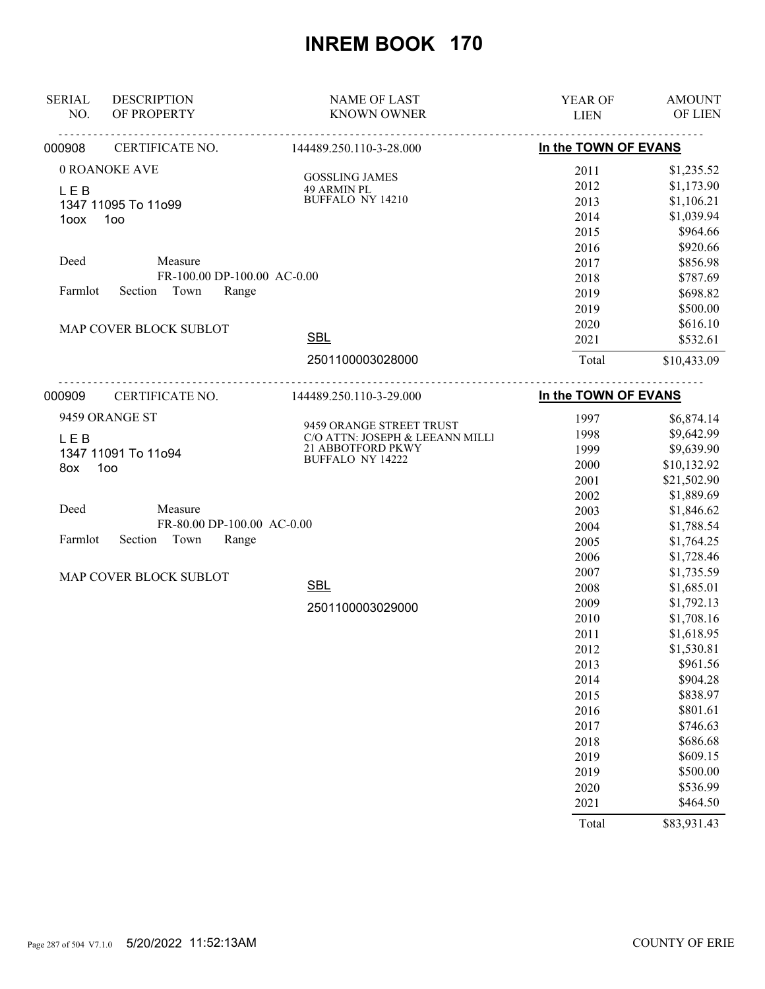| <b>SERIAL</b> | <b>DESCRIPTION</b>          | <b>NAME OF LAST</b>                   | YEAR OF              | <b>AMOUNT</b> |
|---------------|-----------------------------|---------------------------------------|----------------------|---------------|
| NO.           | OF PROPERTY                 | <b>KNOWN OWNER</b>                    | <b>LIEN</b>          | OF LIEN       |
| 000908        | CERTIFICATE NO.             | 144489.250.110-3-28.000               | In the TOWN OF EVANS |               |
|               | 0 ROANOKE AVE               |                                       | 2011                 | \$1,235.52    |
| L E B         |                             | <b>GOSSLING JAMES</b><br>49 ARMIN PL  | 2012                 | \$1,173.90    |
|               | 1347 11095 To 11o99         | <b>BUFFALO NY 14210</b>               | 2013                 | \$1,106.21    |
| 1oox          | 100                         |                                       | 2014                 | \$1,039.94    |
|               |                             |                                       | 2015                 | \$964.66      |
|               |                             |                                       | 2016                 | \$920.66      |
| Deed          | Measure                     |                                       | 2017                 | \$856.98      |
|               | FR-100.00 DP-100.00 AC-0.00 |                                       | 2018                 | \$787.69      |
| Farmlot       | Town<br>Section<br>Range    |                                       | 2019                 | \$698.82      |
|               |                             |                                       | 2019                 | \$500.00      |
|               | MAP COVER BLOCK SUBLOT      |                                       | 2020                 | \$616.10      |
|               |                             | <b>SBL</b>                            | 2021                 | \$532.61      |
|               |                             | 2501100003028000                      | Total                | \$10,433.09   |
| 000909        | CERTIFICATE NO.             | 144489.250.110-3-29.000               | In the TOWN OF EVANS |               |
|               |                             |                                       |                      |               |
|               | 9459 ORANGE ST              | 9459 ORANGE STREET TRUST              | 1997                 | \$6,874.14    |
| <b>LEB</b>    |                             | C/O ATTN: JOSEPH & LEEANN MILLI       | 1998                 | \$9,642.99    |
|               | 1347 11091 To 11o94         | 21 ABBOTFORD PKWY<br>BUFFALO NY 14222 | 1999                 | \$9,639.90    |
| 8ox           | 100                         |                                       | 2000                 | \$10,132.92   |
|               |                             |                                       | 2001                 | \$21,502.90   |
|               |                             |                                       | 2002                 | \$1,889.69    |
| Deed          | Measure                     |                                       | 2003                 | \$1,846.62    |
|               | FR-80.00 DP-100.00 AC-0.00  |                                       | 2004                 | \$1,788.54    |
| Farmlot       | Section<br>Town<br>Range    |                                       | 2005                 | \$1,764.25    |
|               |                             |                                       | 2006                 | \$1,728.46    |
|               | MAP COVER BLOCK SUBLOT      |                                       | 2007                 | \$1,735.59    |
|               |                             | <b>SBL</b>                            | 2008                 | \$1,685.01    |
|               |                             | 2501100003029000                      | 2009                 | \$1,792.13    |
|               |                             |                                       | 2010                 | \$1,708.16    |
|               |                             |                                       | 2011                 | \$1,618.95    |
|               |                             |                                       | 2012                 | \$1,530.81    |
|               |                             |                                       | 2013                 | \$961.56      |
|               |                             |                                       | 2014                 | \$904.28      |
|               |                             |                                       | 2015                 | \$838.97      |
|               |                             |                                       | 2016                 | \$801.61      |
|               |                             |                                       | 2017                 | \$746.63      |
|               |                             |                                       | 2018                 | \$686.68      |
|               |                             |                                       | 2019                 | \$609.15      |
|               |                             |                                       | 2019                 | \$500.00      |
|               |                             |                                       | 2020                 | \$536.99      |
|               |                             |                                       | 2021                 | \$464.50      |
|               |                             |                                       | Total                | \$83,931.43   |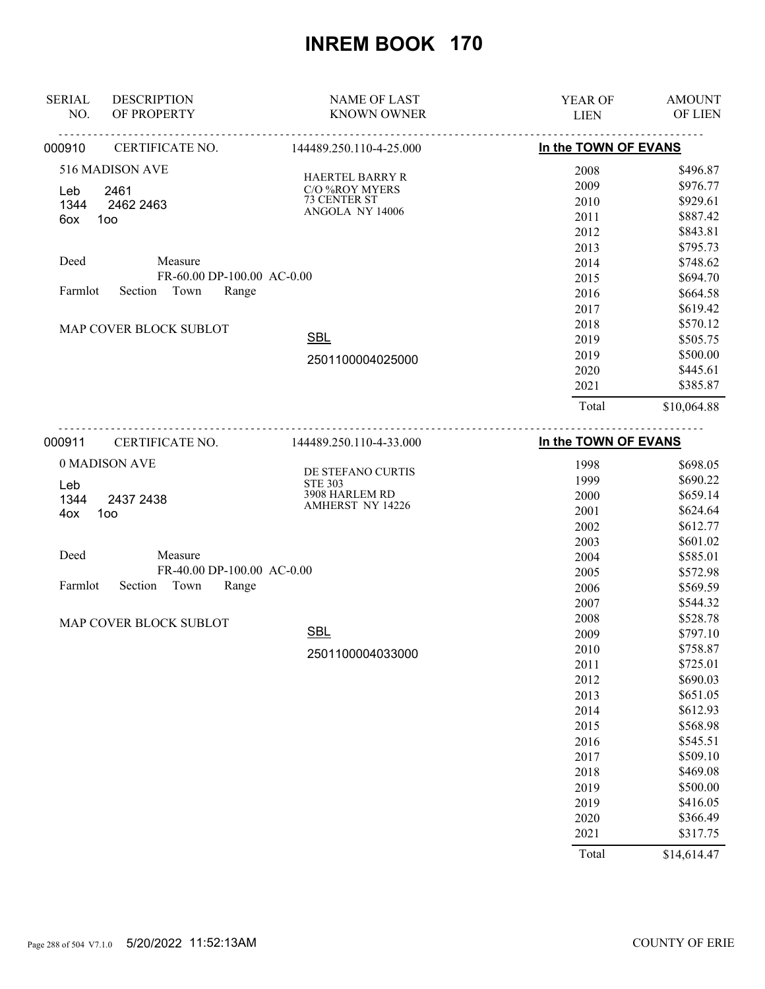| <b>SERIAL</b> | <b>DESCRIPTION</b>         | <b>NAME OF LAST</b>     | <b>YEAR OF</b>                                                        | <b>AMOUNT</b> |
|---------------|----------------------------|-------------------------|-----------------------------------------------------------------------|---------------|
| NO.           | OF PROPERTY                | <b>KNOWN OWNER</b>      | <b>LIEN</b>                                                           | OF LIEN       |
| 000910        | CERTIFICATE NO.            | 144489.250.110-4-25.000 |                                                                       |               |
|               | 516 MADISON AVE            | <b>HAERTEL BARRY R</b>  | 2008                                                                  | \$496.87      |
| Leb           | 2461                       | C/O %ROY MYERS          | 2009                                                                  | \$976.77      |
| 1344          | 2462 2463                  | 73 CENTER ST            | 2010                                                                  | \$929.61      |
| 6ox           | 100                        | ANGOLA NY 14006         | 2011                                                                  | \$887.42      |
|               |                            |                         | 2012                                                                  | \$843.81      |
|               |                            |                         | 2013                                                                  | \$795.73      |
| Deed          | Measure                    |                         | 2014                                                                  | \$748.62      |
|               | FR-60.00 DP-100.00 AC-0.00 |                         | 2015                                                                  | \$694.70      |
| Farmlot       | Town<br>Range<br>Section   |                         | 2016                                                                  | \$664.58      |
|               |                            |                         | 2017                                                                  | \$619.42      |
|               | MAP COVER BLOCK SUBLOT     |                         | In the TOWN OF EVANS<br>2018<br>2019<br>2019<br>2020<br>2021<br>Total | \$570.12      |
|               |                            | <b>SBL</b>              |                                                                       | \$505.75      |
|               |                            | 2501100004025000        |                                                                       | \$500.00      |
|               |                            |                         |                                                                       | \$445.61      |
|               |                            |                         |                                                                       | \$385.87      |
|               |                            |                         |                                                                       | \$10,064.88   |
|               |                            |                         |                                                                       |               |

| 000911<br>CERTIFICATE NO.           | 144489.250.110-4-33.000             | In the TOWN OF EVANS |             |
|-------------------------------------|-------------------------------------|----------------------|-------------|
| 0 MADISON AVE                       |                                     | 1998                 | \$698.05    |
| Leb                                 | DE STEFANO CURTIS<br><b>STE 303</b> | 1999                 | \$690.22    |
| 1344<br>2437 2438                   | 3908 HARLEM RD                      | 2000                 | \$659.14    |
| 100<br>4ox                          | <b>AMHERST NY 14226</b>             | 2001                 | \$624.64    |
|                                     |                                     | 2002                 | \$612.77    |
|                                     |                                     | 2003                 | \$601.02    |
| Deed<br>Measure                     |                                     | 2004                 | \$585.01    |
| FR-40.00 DP-100.00 AC-0.00          |                                     | 2005                 | \$572.98    |
| Town<br>Section<br>Range<br>Farmlot |                                     | 2006                 | \$569.59    |
|                                     |                                     | 2007                 | \$544.32    |
| MAP COVER BLOCK SUBLOT              |                                     | 2008                 | \$528.78    |
|                                     | <b>SBL</b>                          | 2009                 | \$797.10    |
|                                     | 2501100004033000                    | 2010                 | \$758.87    |
|                                     |                                     | 2011                 | \$725.01    |
|                                     |                                     | 2012                 | \$690.03    |
|                                     |                                     | 2013                 | \$651.05    |
|                                     |                                     | 2014                 | \$612.93    |
|                                     |                                     | 2015                 | \$568.98    |
|                                     |                                     | 2016                 | \$545.51    |
|                                     |                                     | 2017                 | \$509.10    |
|                                     |                                     | 2018                 | \$469.08    |
|                                     |                                     | 2019                 | \$500.00    |
|                                     |                                     | 2019                 | \$416.05    |
|                                     |                                     | 2020                 | \$366.49    |
|                                     |                                     | 2021                 | \$317.75    |
|                                     |                                     | Total                | \$14,614.47 |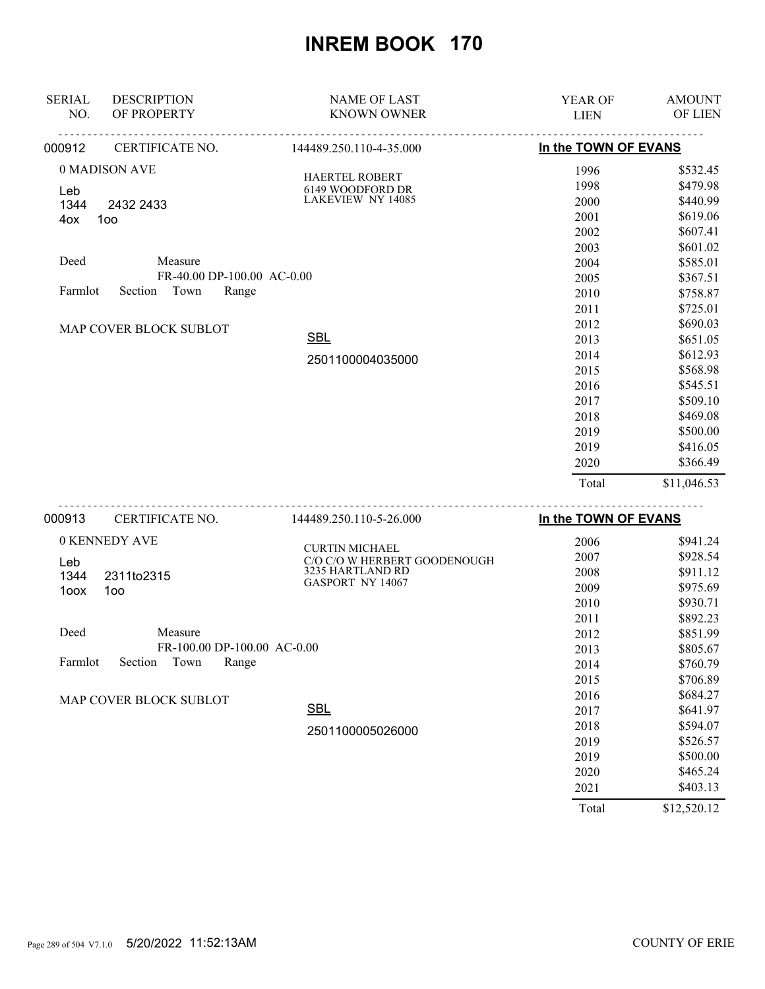| <b>SERIAL</b> | <b>DESCRIPTION</b>          | <b>NAME OF LAST</b>                                   | YEAR OF              | <b>AMOUNT</b>                                                                    |
|---------------|-----------------------------|-------------------------------------------------------|----------------------|----------------------------------------------------------------------------------|
| NO.           | OF PROPERTY                 | <b>KNOWN OWNER</b>                                    | <b>LIEN</b>          | OF LIEN                                                                          |
| 000912        | CERTIFICATE NO.             | 144489.250.110-4-35.000                               | In the TOWN OF EVANS |                                                                                  |
|               | 0 MADISON AVE               |                                                       | 1996                 | \$532.45                                                                         |
| Leb           |                             | HAERTEL ROBERT<br>6149 WOODFORD DR                    | 1998                 | \$479.98                                                                         |
| 1344          | 2432 2433                   | <b>LAKEVIEW NY 14085</b>                              | 2000                 | \$440.99                                                                         |
| 4ox           | 100                         |                                                       | 2001                 | \$619.06                                                                         |
|               |                             |                                                       | 2002                 | \$607.41                                                                         |
|               |                             |                                                       | 2003                 | \$601.02                                                                         |
| Deed          | Measure                     |                                                       | 2004                 | \$585.01                                                                         |
|               | FR-40.00 DP-100.00 AC-0.00  |                                                       | 2005                 | \$367.51                                                                         |
| Farmlot       | Town<br>Section<br>Range    |                                                       | 2010                 | \$758.87                                                                         |
|               |                             |                                                       | 2011                 | \$725.01                                                                         |
|               | MAP COVER BLOCK SUBLOT      |                                                       | 2012                 | \$690.03                                                                         |
|               |                             | <b>SBL</b>                                            | 2013                 | \$651.05                                                                         |
|               |                             | 2501100004035000                                      | 2014                 | \$612.93                                                                         |
|               |                             |                                                       | 2015                 | \$568.98                                                                         |
|               |                             |                                                       | 2016                 | \$545.51                                                                         |
|               |                             |                                                       | 2017                 | \$509.10                                                                         |
|               |                             |                                                       | 2018                 | \$469.08                                                                         |
|               |                             |                                                       | 2019                 | \$500.00                                                                         |
|               |                             |                                                       | 2019                 | \$416.05                                                                         |
|               |                             |                                                       | 2020                 | \$366.49                                                                         |
|               |                             |                                                       | Total                | \$11,046.53                                                                      |
| 000913        | CERTIFICATE NO.             | 144489.250.110-5-26.000                               | In the TOWN OF EVANS |                                                                                  |
|               | 0 KENNEDY AVE               |                                                       | 2006                 | \$941.24                                                                         |
|               |                             | <b>CURTIN MICHAEL</b><br>C/O C/O W HERBERT GOODENOUGH | 2007                 | \$928.54                                                                         |
| Leb<br>1344   | 2311to2315                  | 3235 HARTLAND RD                                      | 2008                 | \$911.12                                                                         |
| 1oox          | 100                         | GASPORT NY 14067                                      | 2009                 | \$975.69                                                                         |
|               |                             |                                                       | 2010                 | \$930.71                                                                         |
|               |                             |                                                       | 2011                 | \$892.23                                                                         |
| Deed          | Measure                     |                                                       | 2012                 | \$851.99                                                                         |
|               | FR-100.00 DP-100.00 AC-0.00 |                                                       | 2013                 | \$805.67                                                                         |
| Farmlot       | Section<br>Range<br>Town    |                                                       | 2014                 | \$760.79                                                                         |
|               |                             |                                                       | 2015                 | \$706.89                                                                         |
|               | MAP COVER BLOCK SUBLOT      |                                                       | 2016                 | \$684.27                                                                         |
|               |                             | <b>SBL</b>                                            | 2017                 | \$641.97                                                                         |
|               |                             | 2501100005026000                                      | 2018                 | \$594.07                                                                         |
|               |                             |                                                       | 2019                 | \$526.57                                                                         |
|               |                             |                                                       | 2019                 | \$500.00                                                                         |
|               |                             |                                                       | 2020                 | \$465.24                                                                         |
|               |                             |                                                       | 2021                 | \$403.13                                                                         |
|               |                             |                                                       |                      | $\mathbf{a} \cdot \mathbf{a} \cdot \mathbf{a} \cdot \mathbf{a} \cdot \mathbf{a}$ |

Total \$12,520.12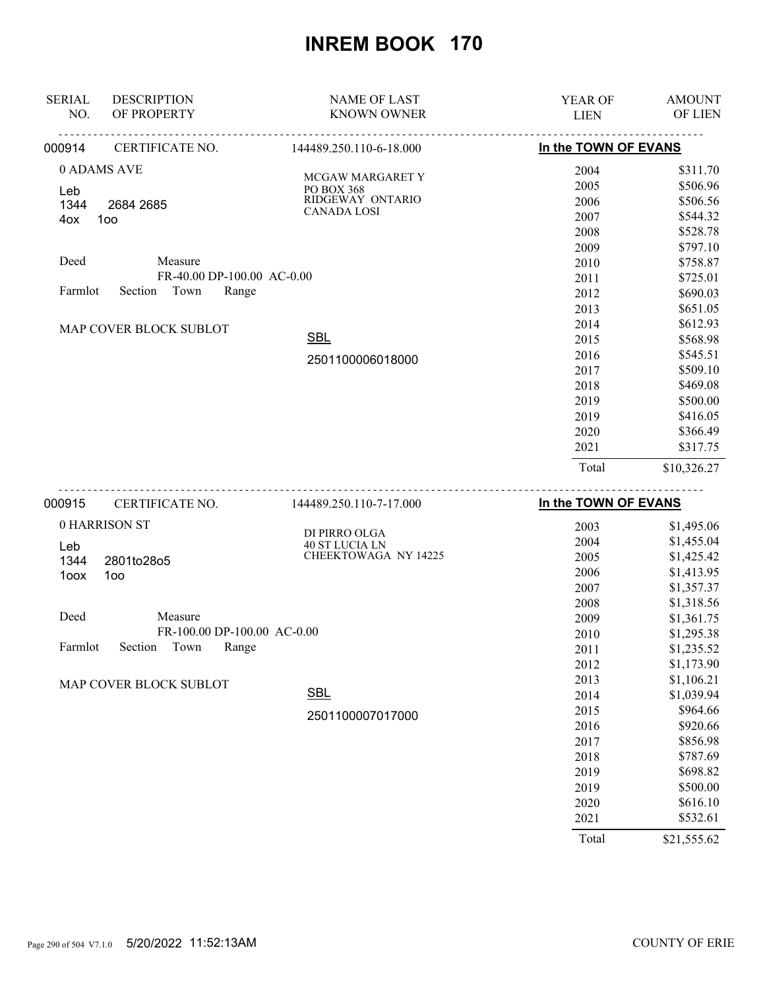| <b>SERIAL</b>      | <b>DESCRIPTION</b>                    | <b>NAME OF LAST</b>                                | <b>YEAR OF</b>       | <b>AMOUNT</b>                    |
|--------------------|---------------------------------------|----------------------------------------------------|----------------------|----------------------------------|
| NO.                | OF PROPERTY                           | <b>KNOWN OWNER</b>                                 | <b>LIEN</b>          | OF LIEN                          |
| 000914             | CERTIFICATE NO.                       | 144489.250.110-6-18.000                            | In the TOWN OF EVANS |                                  |
| 0 ADAMS AVE<br>Leb |                                       | MCGAW MARGARET Y<br>PO BOX 368<br>RIDGEWAY ONTARIO | 2004<br>2005<br>2006 | \$311.70<br>\$506.96<br>\$506.56 |
| 1344<br>100<br>4ox | 2684 2685                             | <b>CANADA LOSI</b>                                 | 2007<br>2008<br>2009 | \$544.32<br>\$528.78<br>\$797.10 |
| Deed               | Measure<br>FR-40.00 DP-100.00 AC-0.00 |                                                    | 2010<br>2011         | \$758.87<br>\$725.01             |
| Farmlot            | Town<br>Section<br>Range              |                                                    | 2012<br>2013         | \$690.03<br>\$651.05             |
|                    | MAP COVER BLOCK SUBLOT                | <b>SBL</b>                                         | 2014<br>2015<br>2016 | \$612.93<br>\$568.98<br>\$545.51 |
|                    |                                       | 2501100006018000                                   | 2017<br>2018         | \$509.10<br>\$469.08             |
|                    |                                       |                                                    | 2019<br>2019         | \$500.00<br>\$416.05             |
|                    |                                       |                                                    | 2020<br>2021         | \$366.49<br>\$317.75             |
|                    |                                       |                                                    | Total                | \$10,326.27                      |
| 000915             | CERTIFICATE NO.                       | 144489.250.110-7-17.000                            | In the TOWN OF EVANS |                                  |

| 0 HARRISON ST                       | DI PIRRO OLGA         | 2003  | \$1,495.06  |
|-------------------------------------|-----------------------|-------|-------------|
| Leb                                 | <b>40 ST LUCIA LN</b> | 2004  | \$1,455.04  |
| 1344<br>2801to28o5                  | CHEEKTOWAGA NY 14225  | 2005  | \$1,425.42  |
| 100 <sub>o</sub><br>1oox            |                       | 2006  | \$1,413.95  |
|                                     |                       | 2007  | \$1,357.37  |
|                                     |                       | 2008  | \$1,318.56  |
| Deed<br>Measure                     |                       | 2009  | \$1,361.75  |
| FR-100.00 DP-100.00 AC-0.00         |                       | 2010  | \$1,295.38  |
| Town<br>Farmlot<br>Section<br>Range |                       | 2011  | \$1,235.52  |
|                                     |                       | 2012  | \$1,173.90  |
| MAP COVER BLOCK SUBLOT              |                       | 2013  | \$1,106.21  |
|                                     | <b>SBL</b>            | 2014  | \$1,039.94  |
|                                     | 2501100007017000      | 2015  | \$964.66    |
|                                     |                       | 2016  | \$920.66    |
|                                     |                       | 2017  | \$856.98    |
|                                     |                       | 2018  | \$787.69    |
|                                     |                       | 2019  | \$698.82    |
|                                     |                       | 2019  | \$500.00    |
|                                     |                       | 2020  | \$616.10    |
|                                     |                       | 2021  | \$532.61    |
|                                     |                       | Total | \$21,555.62 |

Page 290 of 504 V7.1.0 5/20/2022 11:52:13AM COUNTY OF ERIE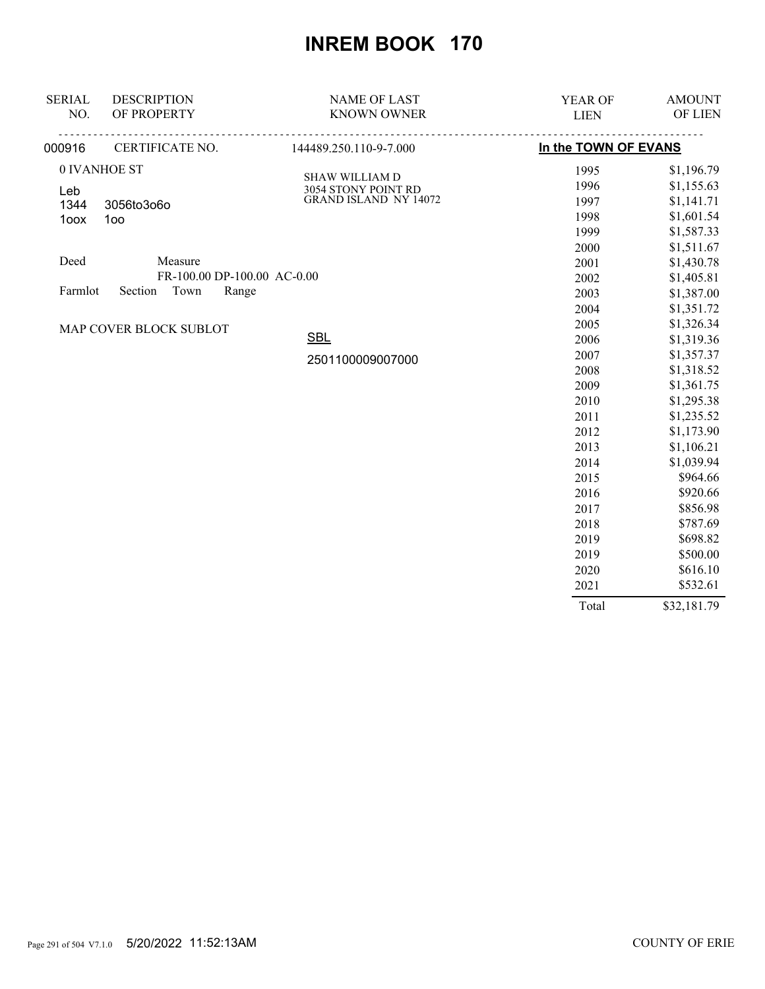| <b>SERIAL</b> | <b>DESCRIPTION</b>          | <b>NAME OF LAST</b>                          | YEAR OF              | <b>AMOUNT</b> |
|---------------|-----------------------------|----------------------------------------------|----------------------|---------------|
| NO.           | OF PROPERTY                 | <b>KNOWN OWNER</b>                           | <b>LIEN</b>          | OF LIEN       |
| 000916        | <u>.</u><br>CERTIFICATE NO. | .<br>144489.250.110-9-7.000                  | In the TOWN OF EVANS |               |
|               | 0 IVANHOE ST                |                                              | 1995                 | \$1,196.79    |
| Leb           |                             | <b>SHAW WILLIAM D</b>                        | 1996                 | \$1,155.63    |
| 1344          | 3056to3o6o                  | 3054 STONY POINT RD<br>GRAND ISLAND NY 14072 | 1997                 | \$1,141.71    |
| 1oox          | 1oo                         |                                              | 1998                 | \$1,601.54    |
|               |                             |                                              | 1999                 | \$1,587.33    |
|               |                             |                                              | 2000                 | \$1,511.67    |
| Deed          | Measure                     |                                              | 2001                 | \$1,430.78    |
|               | FR-100.00 DP-100.00 AC-0.00 |                                              | 2002                 | \$1,405.81    |
| Farmlot       | Town<br>Section<br>Range    |                                              | 2003                 | \$1,387.00    |
|               |                             |                                              | 2004                 | \$1,351.72    |
|               | MAP COVER BLOCK SUBLOT      |                                              | 2005                 | \$1,326.34    |
|               |                             | <b>SBL</b>                                   | 2006                 | \$1,319.36    |
|               |                             | 2501100009007000                             | 2007                 | \$1,357.37    |
|               |                             |                                              | 2008                 | \$1,318.52    |
|               |                             |                                              | 2009                 | \$1,361.75    |
|               |                             |                                              | 2010                 | \$1,295.38    |
|               |                             |                                              | 2011                 | \$1,235.52    |
|               |                             |                                              | 2012                 | \$1,173.90    |
|               |                             |                                              | 2013                 | \$1,106.21    |
|               |                             |                                              | 2014                 | \$1,039.94    |
|               |                             |                                              | 2015                 | \$964.66      |
|               |                             |                                              | 2016                 | \$920.66      |
|               |                             |                                              | 2017                 | \$856.98      |
|               |                             |                                              | 2018                 | \$787.69      |
|               |                             |                                              | 2019                 | \$698.82      |
|               |                             |                                              | 2019                 | \$500.00      |
|               |                             |                                              | 2020                 | \$616.10      |
|               |                             |                                              | 2021                 | \$532.61      |
|               |                             |                                              | Total                | \$32,181.79   |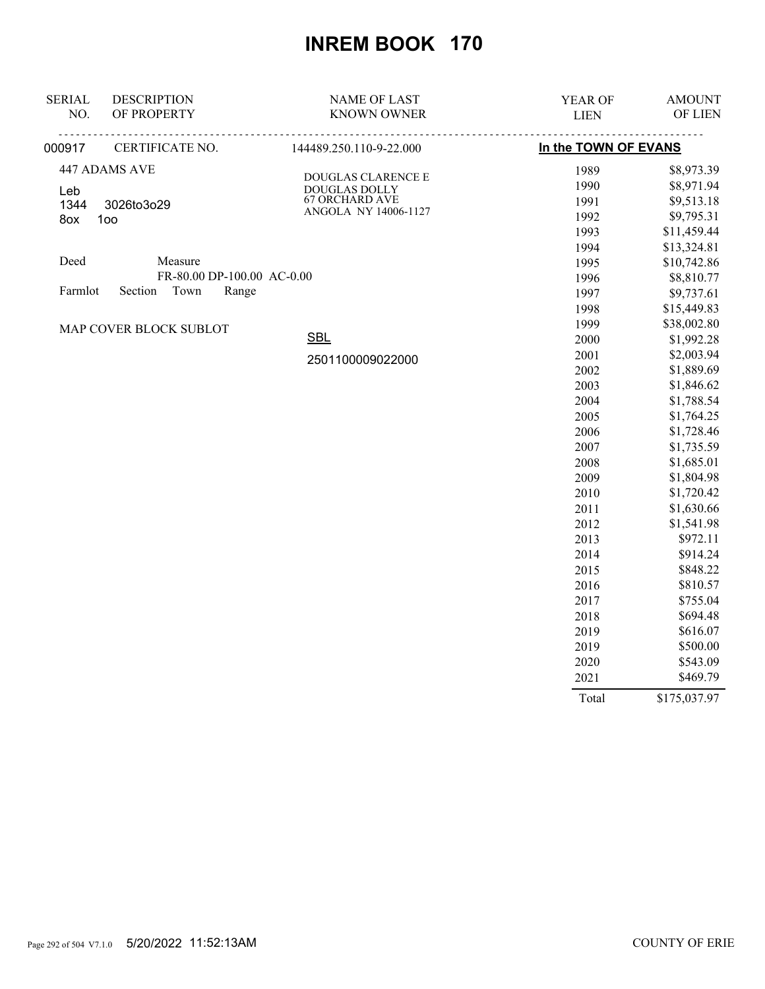| <b>SERIAL</b><br>NO. | <b>DESCRIPTION</b><br>OF PROPERTY | <b>NAME OF LAST</b><br><b>KNOWN OWNER</b> | YEAR OF<br><b>LIEN</b> | <b>AMOUNT</b><br>OF LIEN |
|----------------------|-----------------------------------|-------------------------------------------|------------------------|--------------------------|
|                      |                                   |                                           |                        |                          |
| 000917               | CERTIFICATE NO.                   | 144489.250.110-9-22.000                   | In the TOWN OF EVANS   |                          |
|                      | 447 ADAMS AVE                     | DOUGLAS CLARENCE E                        | 1989                   | \$8,973.39               |
| Leb                  |                                   | DOUGLAS DOLLY                             | 1990                   | \$8,971.94               |
| 1344                 | 3026to3o29                        | <b>67 ORCHARD AVE</b>                     | 1991                   | \$9,513.18               |
| 8ox                  | 100                               | ANGOLA NY 14006-1127                      | 1992                   | \$9,795.31               |
|                      |                                   |                                           | 1993                   | \$11,459.44              |
|                      |                                   |                                           | 1994                   | \$13,324.81              |
| Deed                 | Measure                           |                                           | 1995                   | \$10,742.86              |
|                      | FR-80.00 DP-100.00 AC-0.00        |                                           | 1996                   | \$8,810.77               |
| Farmlot              | Town<br>Range<br>Section          |                                           | 1997                   | \$9,737.61               |
|                      |                                   |                                           | 1998                   | \$15,449.83              |
|                      | MAP COVER BLOCK SUBLOT            |                                           | 1999                   | \$38,002.80              |
|                      | <b>SBL</b>                        | 2000                                      | \$1,992.28             |                          |
|                      |                                   | 2501100009022000                          | 2001                   | \$2,003.94               |
|                      |                                   |                                           | 2002                   | \$1,889.69               |
|                      |                                   |                                           | 2003                   | \$1,846.62               |
|                      |                                   |                                           | 2004                   | \$1,788.54               |
|                      |                                   |                                           | 2005                   | \$1,764.25               |
|                      |                                   |                                           | 2006                   | \$1,728.46               |
|                      |                                   |                                           | 2007                   | \$1,735.59               |
|                      |                                   |                                           | 2008                   | \$1,685.01               |
|                      |                                   |                                           | 2009                   | \$1,804.98               |
|                      |                                   |                                           | 2010                   | \$1,720.42               |
|                      |                                   |                                           | 2011                   | \$1,630.66               |
|                      |                                   |                                           | 2012                   | \$1,541.98               |
|                      |                                   |                                           | 2013                   | \$972.11                 |
|                      |                                   |                                           | 2014                   | \$914.24                 |
|                      |                                   |                                           | 2015                   | \$848.22                 |
|                      |                                   |                                           | 2016                   | \$810.57                 |
|                      |                                   |                                           | 2017                   | \$755.04                 |
|                      |                                   |                                           | 2018                   | \$694.48                 |
|                      |                                   |                                           | 2019                   | \$616.07                 |
|                      |                                   |                                           | 2019                   | \$500.00                 |
|                      |                                   |                                           | 2020                   | \$543.09                 |
|                      |                                   |                                           | 2021                   | \$469.79                 |

Total \$175,037.97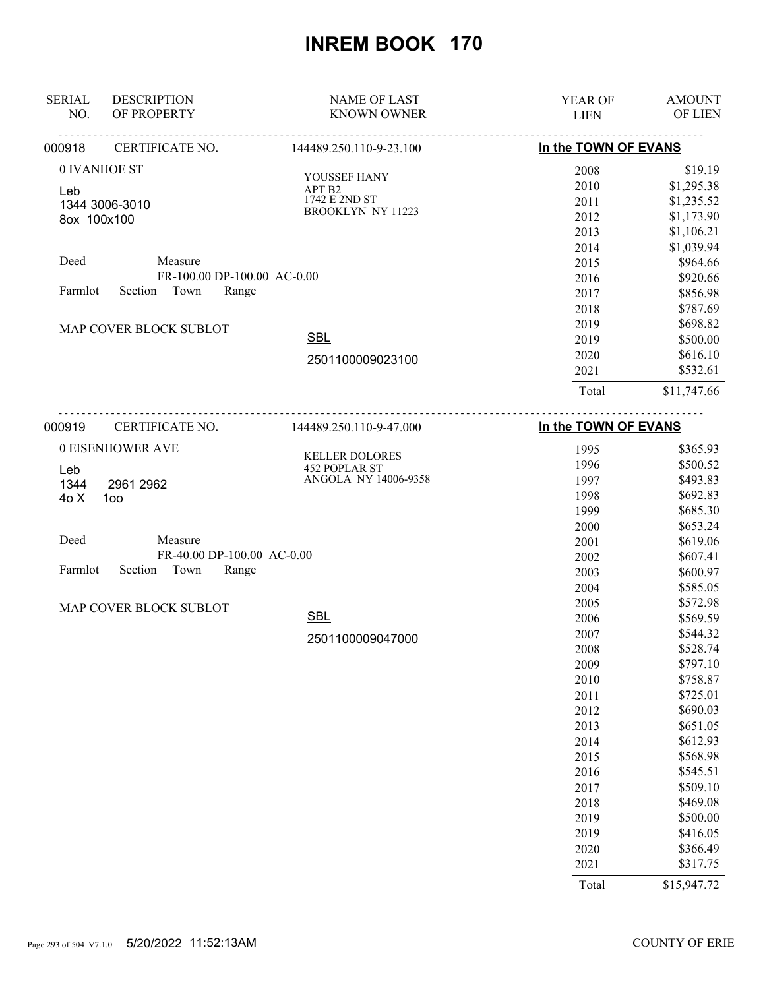| <b>SERIAL</b><br>NO. | <b>DESCRIPTION</b><br>OF PROPERTY     | <b>NAME OF LAST</b><br><b>KNOWN OWNER</b> | <b>YEAR OF</b><br><b>LIEN</b> | <b>AMOUNT</b><br><b>OF LIEN</b> |
|----------------------|---------------------------------------|-------------------------------------------|-------------------------------|---------------------------------|
| 000918               | CERTIFICATE NO.                       | 144489.250.110-9-23.100                   | In the TOWN OF EVANS          |                                 |
| 0 IVANHOE ST         |                                       | YOUSSEF HANY                              | 2008                          | \$19.19                         |
| Leb                  |                                       | APT B2                                    | 2010                          | \$1,295.38                      |
|                      | 1344 3006-3010                        | 1742 E 2ND ST                             | 2011                          | \$1,235.52                      |
| 8ox 100x100          |                                       | <b>BROOKLYN NY 11223</b>                  | 2012                          | \$1,173.90                      |
|                      |                                       |                                           | 2013                          | \$1,106.21                      |
|                      |                                       |                                           | 2014                          | \$1,039.94                      |
| Deed                 | Measure                               |                                           | 2015                          | \$964.66                        |
|                      | FR-100.00 DP-100.00 AC-0.00           |                                           | 2016                          | \$920.66                        |
| Farmlot              | Town<br>Section<br>Range              |                                           | 2017                          | \$856.98                        |
|                      |                                       |                                           | 2018                          | \$787.69                        |
|                      | MAP COVER BLOCK SUBLOT                |                                           | 2019                          | \$698.82                        |
|                      |                                       | <b>SBL</b>                                | 2019                          | \$500.00                        |
|                      |                                       | 2501100009023100                          | 2020                          | \$616.10                        |
|                      |                                       |                                           | 2021<br>Total                 | \$532.61<br>\$11,747.66         |
|                      |                                       | <u>.</u>                                  |                               |                                 |
| 000919               | CERTIFICATE NO.                       | 144489.250.110-9-47.000                   | In the TOWN OF EVANS          |                                 |
|                      | 0 EISENHOWER AVE                      | <b>KELLER DOLORES</b>                     | 1995                          | \$365.93                        |
| Leb                  |                                       | 452 POPLAR ST<br>ANGOLA NY 14006-9358     | 1996                          | \$500.52                        |
| 1344                 | 2961 2962                             |                                           | 1997                          | \$493.83                        |
| 4o X                 | 100                                   |                                           | 1998                          | \$692.83                        |
|                      |                                       |                                           | 1999                          | \$685.30                        |
|                      |                                       |                                           | 2000                          | \$653.24                        |
| Deed                 | Measure<br>FR-40.00 DP-100.00 AC-0.00 |                                           | 2001                          | \$619.06                        |
| Farmlot              | Section<br>Town<br>Range              |                                           | 2002                          | \$607.41                        |
|                      |                                       |                                           | 2003                          | \$600.97                        |
|                      |                                       |                                           | 2004<br>2005                  | \$585.05<br>\$572.98            |
|                      | MAP COVER BLOCK SUBLOT                | <b>SBL</b>                                | 2006                          | \$569.59                        |
|                      |                                       |                                           | 2007                          | \$544.32                        |
|                      |                                       | 2501100009047000                          | 2008                          | \$528.74                        |
|                      |                                       |                                           | 2009                          | \$797.10                        |
|                      |                                       |                                           | 2010                          | \$758.87                        |
|                      |                                       |                                           | 2011                          | \$725.01                        |
|                      |                                       |                                           | 2012                          | \$690.03                        |
|                      |                                       |                                           | 2013                          | \$651.05                        |
|                      |                                       |                                           | 2014                          | \$612.93                        |
|                      |                                       |                                           | 2015                          | \$568.98                        |
|                      |                                       |                                           | 2016                          | \$545.51                        |
|                      |                                       |                                           | 2017                          | \$509.10                        |
|                      |                                       |                                           | 2018                          | \$469.08                        |
|                      |                                       |                                           | 2019                          | \$500.00                        |
|                      |                                       |                                           | 2019                          | \$416.05                        |
|                      |                                       |                                           | 2020                          | \$366.49                        |
|                      |                                       |                                           | 2021                          | \$317.75                        |
|                      |                                       |                                           | Total                         | \$15,947.72                     |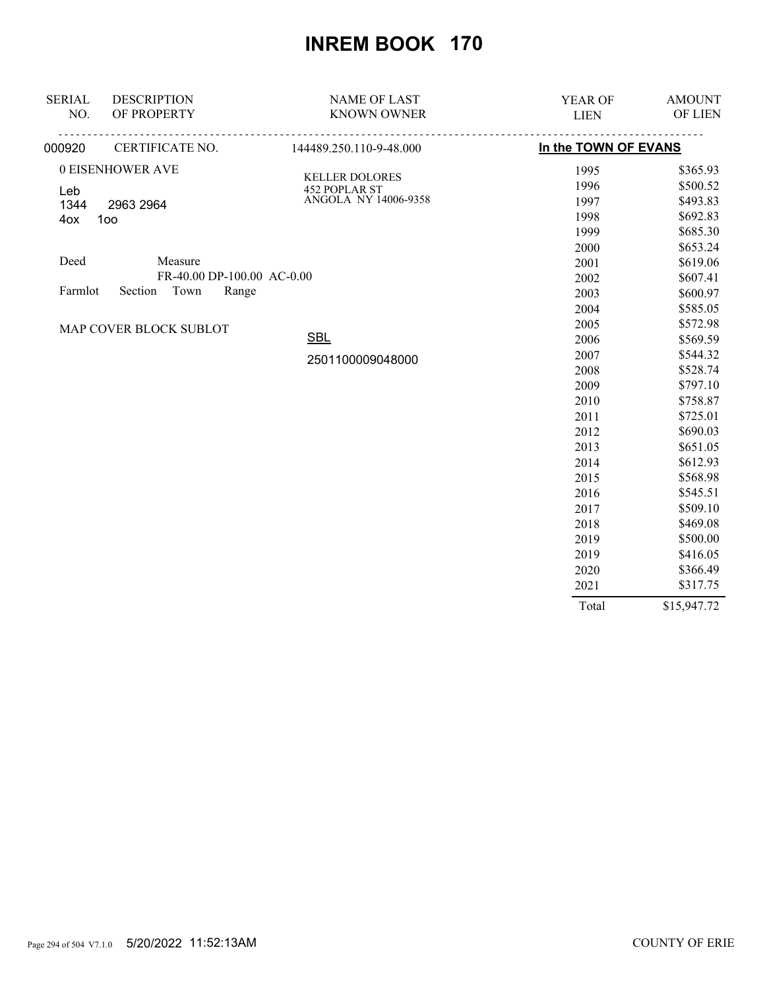| <b>SERIAL</b> | <b>DESCRIPTION</b>         | <b>NAME OF LAST</b>                   | <b>YEAR OF</b>       | <b>AMOUNT</b> |
|---------------|----------------------------|---------------------------------------|----------------------|---------------|
| NO.           | OF PROPERTY                | <b>KNOWN OWNER</b>                    | <b>LIEN</b>          | OF LIEN       |
| 000920        | CERTIFICATE NO.            | <u>.</u><br>144489.250.110-9-48.000   | In the TOWN OF EVANS |               |
|               | 0 EISENHOWER AVE           |                                       | 1995                 | \$365.93      |
| Leb           |                            | <b>KELLER DOLORES</b>                 | 1996                 | \$500.52      |
| 1344          | 2963 2964                  | 452 POPLAR ST<br>ANGOLA NY 14006-9358 | 1997                 | \$493.83      |
| 4ox           | 100                        |                                       | 1998                 | \$692.83      |
|               |                            |                                       | 1999                 | \$685.30      |
|               |                            |                                       | 2000                 | \$653.24      |
| Deed          | Measure                    |                                       | 2001                 | \$619.06      |
|               | FR-40.00 DP-100.00 AC-0.00 |                                       | 2002                 | \$607.41      |
| Farmlot       | Section<br>Town<br>Range   |                                       | 2003                 | \$600.97      |
|               |                            |                                       | 2004                 | \$585.05      |
|               | MAP COVER BLOCK SUBLOT     |                                       | 2005                 | \$572.98      |
|               |                            | <b>SBL</b>                            | 2006                 | \$569.59      |
|               |                            | 2501100009048000                      | 2007                 | \$544.32      |
|               |                            |                                       | 2008                 | \$528.74      |
|               |                            |                                       | 2009                 | \$797.10      |
|               |                            |                                       | 2010                 | \$758.87      |
|               |                            |                                       | 2011                 | \$725.01      |
|               |                            |                                       | 2012                 | \$690.03      |
|               |                            |                                       | 2013                 | \$651.05      |
|               |                            |                                       | 2014                 | \$612.93      |
|               |                            |                                       | 2015                 | \$568.98      |
|               |                            |                                       | 2016                 | \$545.51      |
|               |                            |                                       | 2017                 | \$509.10      |
|               |                            |                                       | 2018                 | \$469.08      |
|               |                            |                                       | 2019                 | \$500.00      |
|               |                            |                                       | 2019                 | \$416.05      |
|               |                            |                                       | 2020                 | \$366.49      |
|               |                            |                                       | 2021                 | \$317.75      |
|               |                            |                                       | Total                | \$15,947.72   |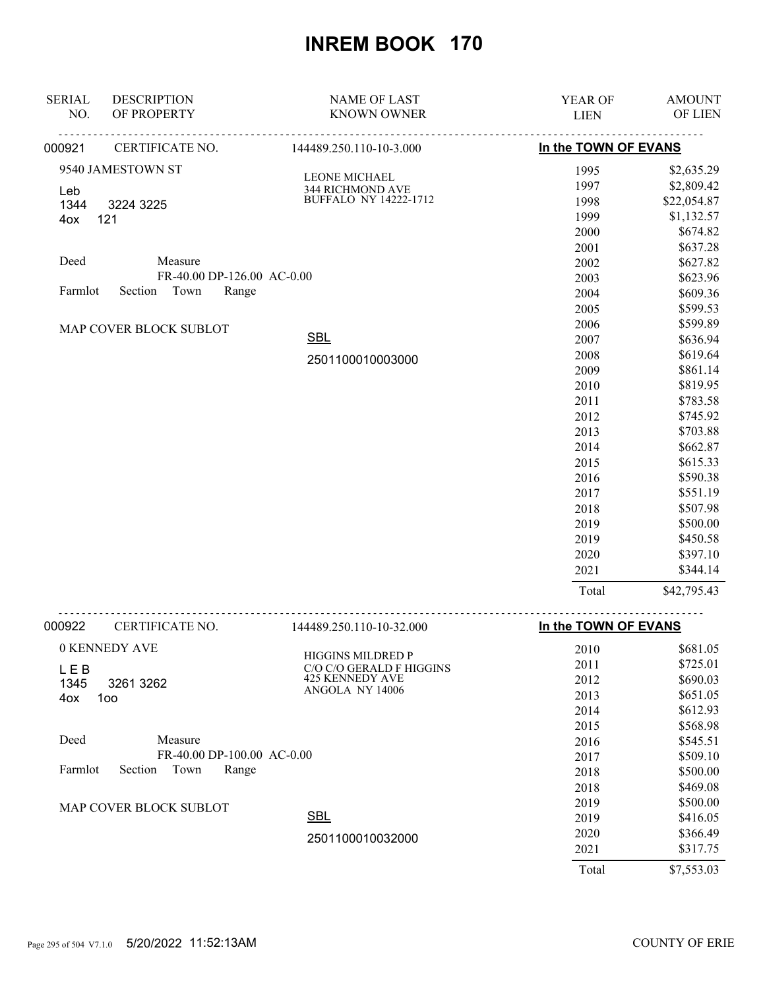| <b>SERIAL</b> | <b>DESCRIPTION</b>                    | <b>NAME OF LAST</b>          | YEAR OF              | <b>AMOUNT</b>      |
|---------------|---------------------------------------|------------------------------|----------------------|--------------------|
| NO.           | OF PROPERTY                           | <b>KNOWN OWNER</b>           | <b>LIEN</b>          | OF LIEN            |
| 000921        | CERTIFICATE NO.                       | 144489.250.110-10-3.000      | In the TOWN OF EVANS |                    |
|               | 9540 JAMESTOWN ST                     | LEONE MICHAEL                | 1995                 | \$2,635.29         |
| Leb           |                                       | 344 RICHMOND AVE             | 1997                 | \$2,809.42         |
| 1344          | 3224 3225                             | <b>BUFFALO NY 14222-1712</b> | 1998                 | \$22,054.87        |
| 4ox           | 121                                   |                              | 1999                 | \$1,132.57         |
|               |                                       |                              | 2000                 | \$674.82           |
|               |                                       |                              | 2001                 | \$637.28           |
| Deed          | Measure                               |                              | 2002                 | \$627.82           |
|               | FR-40.00 DP-126.00 AC-0.00            |                              | 2003                 | \$623.96           |
| Farmlot       | Section Town<br>Range                 |                              | 2004                 | \$609.36           |
|               |                                       |                              | 2005                 | \$599.53           |
|               | MAP COVER BLOCK SUBLOT                |                              | 2006                 | \$599.89           |
|               |                                       | <b>SBL</b>                   | 2007                 | \$636.94           |
|               |                                       | 2501100010003000             | 2008                 | \$619.64           |
|               |                                       |                              | 2009                 | \$861.14           |
|               |                                       |                              | 2010                 | \$819.95           |
|               |                                       |                              | 2011                 | \$783.58           |
|               |                                       |                              | 2012                 | \$745.92           |
|               |                                       |                              | 2013                 | \$703.88           |
|               |                                       |                              | 2014                 | \$662.87           |
|               |                                       |                              | 2015                 | \$615.33           |
|               |                                       |                              | 2016                 | \$590.38           |
|               |                                       |                              | 2017                 | \$551.19           |
|               |                                       |                              | 2018                 | \$507.98           |
|               |                                       |                              | 2019                 | \$500.00           |
|               |                                       |                              | 2019                 | \$450.58           |
|               |                                       |                              | 2020                 | \$397.10           |
|               |                                       |                              | 2021                 | \$344.14           |
|               |                                       |                              | Total                | \$42,795.43        |
| 000922        | CERTIFICATE NO.                       | 144489.250.110-10-32.000     | In the TOWN OF EVANS |                    |
|               | $\triangle U$ PABIPDV $\triangle V$ P |                              | $\sim$ $\sim$ $\sim$ | $A \times 0 + 0 =$ |

| 0 KENNEDY AVE                       | <b>HIGGINS MILDRED P</b> | 2010  | \$681.05   |
|-------------------------------------|--------------------------|-------|------------|
| LEB                                 | C/O C/O GERALD F HIGGINS | 2011  | \$725.01   |
| 1345<br>3261 3262                   | <b>425 KENNEDY AVE</b>   | 2012  | \$690.03   |
| 4ox<br>1oo                          | ANGOLA NY 14006          | 2013  | \$651.05   |
|                                     |                          | 2014  | \$612.93   |
|                                     |                          | 2015  | \$568.98   |
| Deed<br>Measure                     |                          | 2016  | \$545.51   |
| FR-40.00 DP-100.00 AC-0.00          |                          | 2017  | \$509.10   |
| Farmlot<br>Section<br>Town<br>Range |                          | 2018  | \$500.00   |
|                                     |                          | 2018  | \$469.08   |
| <b>MAP COVER BLOCK SUBLOT</b>       |                          | 2019  | \$500.00   |
|                                     | <b>SBL</b>               | 2019  | \$416.05   |
|                                     | 2501100010032000         | 2020  | \$366.49   |
|                                     |                          | 2021  | \$317.75   |
|                                     |                          | Total | \$7,553.03 |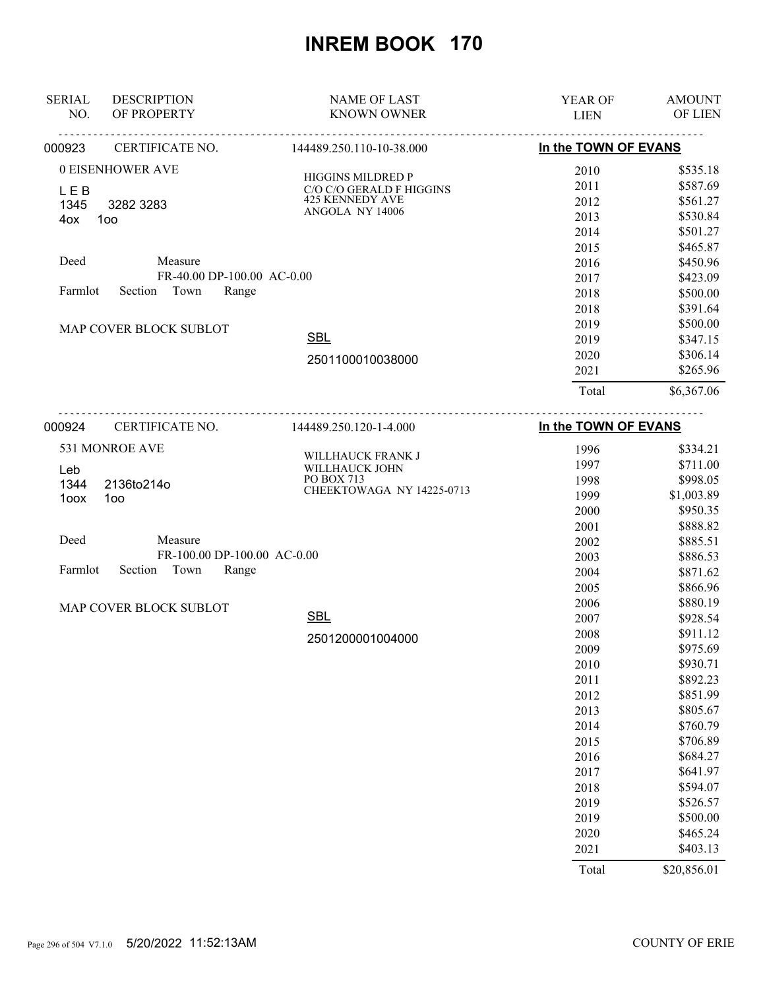| <b>SERIAL</b><br>NO. | <b>DESCRIPTION</b><br>OF PROPERTY | <b>NAME OF LAST</b><br><b>KNOWN OWNER</b> | YEAR OF<br><b>LIEN</b> | <b>AMOUNT</b><br>OF LIEN |
|----------------------|-----------------------------------|-------------------------------------------|------------------------|--------------------------|
| 000923               | CERTIFICATE NO.                   | 144489.250.110-10-38.000                  | In the TOWN OF EVANS   |                          |
|                      |                                   |                                           |                        |                          |
|                      | 0 EISENHOWER AVE                  | HIGGINS MILDRED P                         | 2010                   | \$535.18                 |
| <b>LEB</b>           |                                   | C/O C/O GERALD F HIGGINS                  | 2011                   | \$587.69                 |
| 1345                 | 3282 3283                         | 425 KENNEDY AVE<br>ANGOLA NY 14006        | 2012                   | \$561.27                 |
| 4ox                  | 1oo                               |                                           | 2013                   | \$530.84                 |
|                      |                                   |                                           | 2014                   | \$501.27                 |
| Deed                 | Measure                           |                                           | 2015                   | \$465.87                 |
|                      | FR-40.00 DP-100.00 AC-0.00        |                                           | 2016                   | \$450.96                 |
| Farmlot              | Town<br>Section<br>Range          |                                           | 2017                   | \$423.09                 |
|                      |                                   |                                           | 2018                   | \$500.00                 |
|                      |                                   |                                           | 2018                   | \$391.64                 |
|                      | MAP COVER BLOCK SUBLOT            | <b>SBL</b>                                | 2019                   | \$500.00                 |
|                      |                                   |                                           | 2019                   | \$347.15                 |
|                      |                                   | 2501100010038000                          | 2020                   | \$306.14                 |
|                      |                                   |                                           | 2021                   | \$265.96                 |
|                      |                                   |                                           | Total                  | \$6,367.06               |
| 000924               | CERTIFICATE NO.                   | 144489.250.120-1-4.000                    | In the TOWN OF EVANS   |                          |
|                      | 531 MONROE AVE                    |                                           | 1996                   | \$334.21                 |
|                      |                                   | WILLHAUCK FRANK J                         | 1997                   | \$711.00                 |
| Leb<br>1344          | 2136to214o                        | WILLHAUCK JOHN<br>PO BOX 713              | 1998                   | \$998.05                 |
| 1oox                 | 100                               | CHEEKTOWAGA NY 14225-0713                 | 1999                   | \$1,003.89               |
|                      |                                   |                                           | 2000                   | \$950.35                 |
|                      |                                   |                                           | 2001                   | \$888.82                 |
| Deed                 | Measure                           |                                           | 2002                   | \$885.51                 |
|                      | FR-100.00 DP-100.00 AC-0.00       |                                           | 2003                   | \$886.53                 |
| Farmlot              | Section<br>Town<br>Range          |                                           | 2004                   | \$871.62                 |
|                      |                                   |                                           | 2005                   | \$866.96                 |
|                      | MAP COVER BLOCK SUBLOT            |                                           | 2006                   | \$880.19                 |
|                      |                                   | <b>SBL</b>                                | 2007                   | \$928.54                 |
|                      |                                   | 2501200001004000                          | 2008                   | \$911.12                 |
|                      |                                   |                                           | 2009                   | \$975.69                 |
|                      |                                   |                                           | 2010                   | \$930.71                 |
|                      |                                   |                                           | 2011                   | \$892.23                 |
|                      |                                   |                                           | 2012                   | \$851.99                 |
|                      |                                   |                                           | 2013                   | \$805.67                 |
|                      |                                   |                                           | 2014                   | \$760.79                 |
|                      |                                   |                                           | 2015                   | \$706.89                 |
|                      |                                   |                                           | 2016                   | \$684.27                 |
|                      |                                   |                                           | 2017                   | \$641.97                 |
|                      |                                   |                                           | 2018                   | \$594.07                 |
|                      |                                   |                                           | 2019                   | \$526.57                 |
|                      |                                   |                                           | 2019                   | \$500.00                 |
|                      |                                   |                                           | 2020                   | \$465.24                 |
|                      |                                   |                                           | 2021                   | \$403.13                 |
|                      |                                   |                                           | Total                  | \$20,856.01              |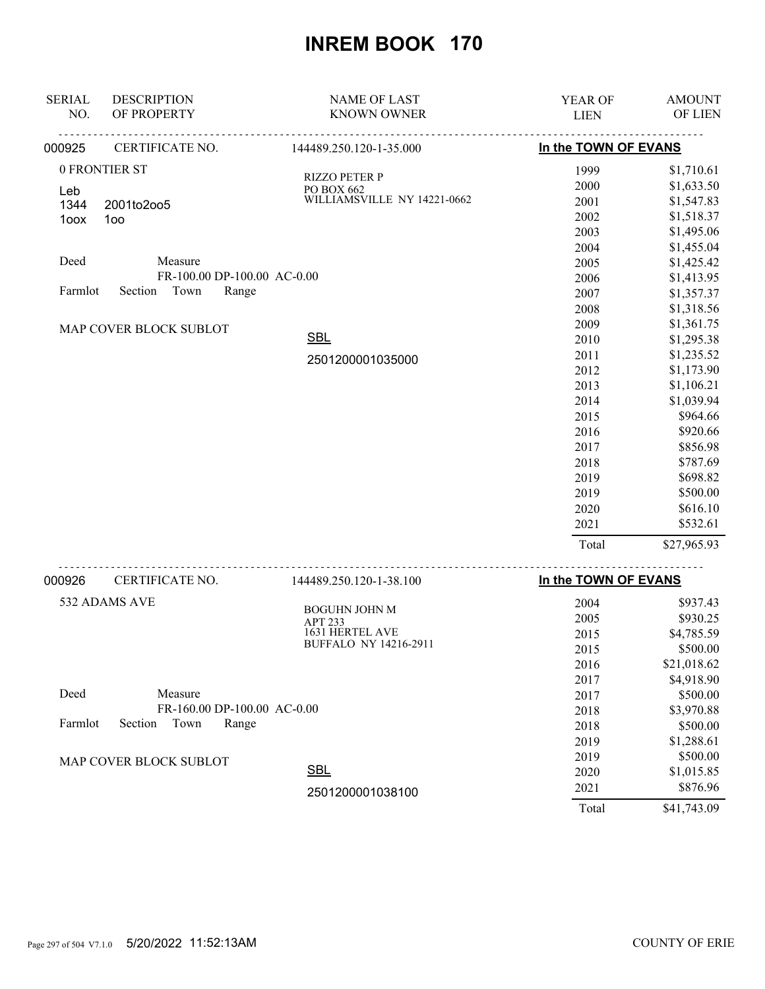| <b>SERIAL</b> | <b>DESCRIPTION</b>          | <b>NAME OF LAST</b>             | YEAR OF              | <b>AMOUNT</b> |
|---------------|-----------------------------|---------------------------------|----------------------|---------------|
| NO.           | OF PROPERTY                 | <b>KNOWN OWNER</b>              | <b>LIEN</b>          | OF LIEN       |
| 000925        | CERTIFICATE NO.             | 144489.250.120-1-35.000         | In the TOWN OF EVANS |               |
|               | 0 FRONTIER ST               | <b>RIZZO PETER P</b>            | 1999                 | \$1,710.61    |
| Leb           |                             | PO BOX 662                      | 2000                 | \$1,633.50    |
| 1344          | 2001to2oo5                  | WILLIAMSVILLE NY 14221-0662     | 2001                 | \$1,547.83    |
| 1oox          | 100                         |                                 | 2002                 | \$1,518.37    |
|               |                             |                                 | 2003                 | \$1,495.06    |
|               |                             |                                 | 2004                 | \$1,455.04    |
| Deed          | Measure                     |                                 | 2005                 | \$1,425.42    |
|               | FR-100.00 DP-100.00 AC-0.00 |                                 | 2006                 | \$1,413.95    |
| Farmlot       | Section<br>Town<br>Range    |                                 | 2007                 | \$1,357.37    |
|               |                             |                                 | 2008                 | \$1,318.56    |
|               | MAP COVER BLOCK SUBLOT      |                                 | 2009                 | \$1,361.75    |
|               |                             | <b>SBL</b>                      | 2010                 | \$1,295.38    |
|               |                             | 2501200001035000                | 2011                 | \$1,235.52    |
|               |                             |                                 | 2012                 | \$1,173.90    |
|               |                             |                                 | 2013                 | \$1,106.21    |
|               |                             |                                 | 2014                 | \$1,039.94    |
|               |                             |                                 | 2015                 | \$964.66      |
|               |                             |                                 | 2016                 | \$920.66      |
|               |                             |                                 | 2017                 | \$856.98      |
|               |                             |                                 | 2018                 | \$787.69      |
|               |                             |                                 | 2019                 | \$698.82      |
|               |                             |                                 | 2019                 | \$500.00      |
|               |                             |                                 | 2020                 | \$616.10      |
|               |                             |                                 | 2021                 | \$532.61      |
|               |                             |                                 | Total                | \$27,965.93   |
| 000926        | CERTIFICATE NO.             | 144489.250.120-1-38.100         | In the TOWN OF EVANS |               |
|               | 532 ADAMS AVE               |                                 | 2004                 | \$937.43      |
|               |                             | <b>BOGUHN JOHN M</b><br>APT 233 | 2005                 | \$930.25      |
|               |                             | 1631 HERTEL AVE                 | 2015                 | \$4,785.59    |
|               |                             | BUFFALO NY 14216-2911           | 2015                 | \$500.00      |
|               |                             |                                 | 2016                 | \$21,018.62   |
|               |                             |                                 | 2017                 | \$4,918.90    |
| Deed          | Measure                     |                                 | 2017                 | \$500.00      |
|               | FR-160.00 DP-100.00 AC-0.00 |                                 | 2018                 | \$3,970.88    |
| Farmlot       | Section<br>Town<br>Range    |                                 | 2018                 | \$500.00      |
|               |                             |                                 | 2019                 | \$1,288.61    |
|               |                             |                                 | 2019                 | \$500.00      |
|               | MAP COVER BLOCK SUBLOT      | <b>SBL</b>                      | 2020                 | \$1,015.85    |
|               |                             |                                 | 2021                 | \$876.96      |
|               |                             | 2501200001038100                |                      |               |
|               |                             |                                 | Total                | \$41,743.09   |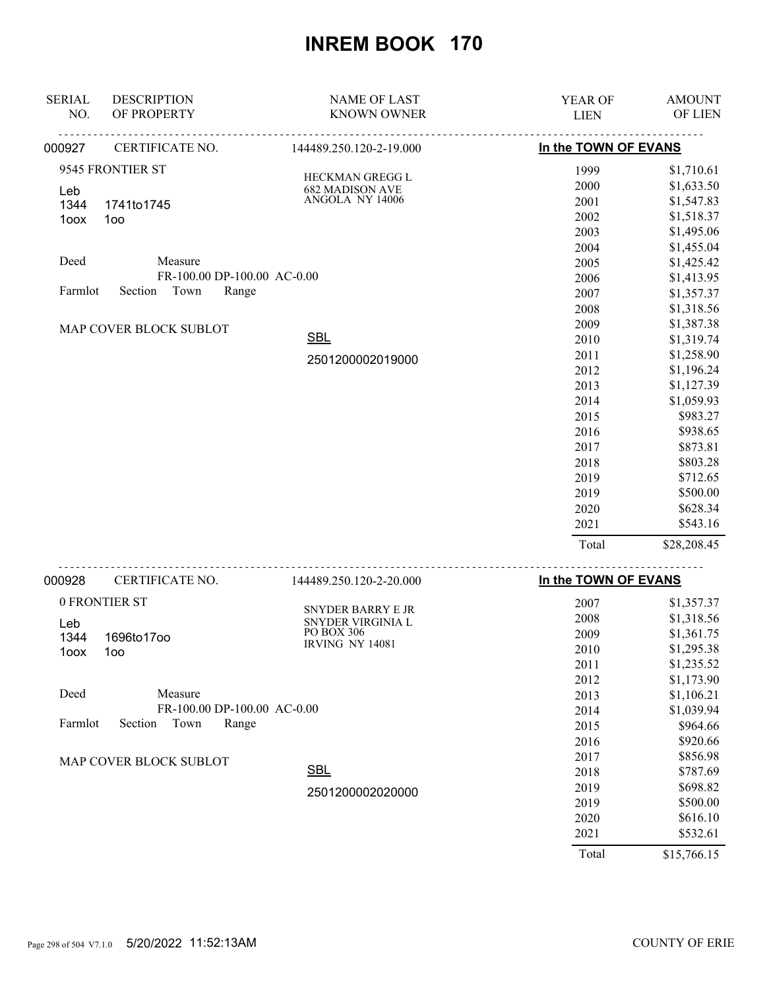| <b>SERIAL</b> | <b>DESCRIPTION</b>          | <b>NAME OF LAST</b>             | YEAR OF              | <b>AMOUNT</b>            |
|---------------|-----------------------------|---------------------------------|----------------------|--------------------------|
| NO.           | OF PROPERTY                 | <b>KNOWN OWNER</b>              | <b>LIEN</b>          | OF LIEN                  |
| 000927        | CERTIFICATE NO.             | 144489.250.120-2-19.000         | In the TOWN OF EVANS |                          |
|               | 9545 FRONTIER ST            | HECKMAN GREGG L                 | 1999                 | \$1,710.61               |
| Leb           |                             | <b>682 MADISON AVE</b>          | 2000                 | \$1,633.50               |
| 1344          | 1741to1745                  | ANGOLA NY 14006                 | 2001                 | \$1,547.83               |
| 1oox          | 1oo                         |                                 | 2002                 | \$1,518.37               |
|               |                             |                                 | 2003                 | \$1,495.06               |
|               |                             |                                 | 2004                 | \$1,455.04               |
| Deed          | Measure                     |                                 | 2005                 | \$1,425.42               |
|               | FR-100.00 DP-100.00 AC-0.00 |                                 | 2006                 | \$1,413.95               |
| Farmlot       | Section<br>Town<br>Range    |                                 | 2007                 | \$1,357.37               |
|               |                             |                                 | 2008                 | \$1,318.56               |
|               | MAP COVER BLOCK SUBLOT      |                                 | 2009                 | \$1,387.38               |
|               |                             | <b>SBL</b>                      | 2010                 | \$1,319.74               |
|               |                             | 2501200002019000                | 2011                 | \$1,258.90               |
|               |                             |                                 | 2012                 | \$1,196.24               |
|               |                             |                                 | 2013                 | \$1,127.39               |
|               |                             |                                 | 2014                 | \$1,059.93               |
|               |                             |                                 | 2015                 | \$983.27                 |
|               |                             |                                 | 2016                 | \$938.65                 |
|               |                             |                                 | 2017                 | \$873.81                 |
|               |                             |                                 | 2018                 | \$803.28                 |
|               |                             |                                 | 2019                 | \$712.65                 |
|               |                             |                                 | 2019                 | \$500.00                 |
|               |                             |                                 | 2020                 | \$628.34                 |
|               |                             |                                 | 2021                 | \$543.16                 |
|               |                             |                                 | Total                | \$28,208.45              |
| 000928        | CERTIFICATE NO.             | 144489.250.120-2-20.000         | In the TOWN OF EVANS |                          |
|               | 0 FRONTIER ST               |                                 | 2007                 |                          |
|               |                             | SNYDER BARRY E JR               | 2008                 | \$1,357.37<br>\$1,318.56 |
| Leb           |                             | SNYDER VIRGINIA L<br>PO BOX 306 | 2009                 | \$1,361.75               |
| 1344          | 1696to17oo                  | <b>IRVING NY 14081</b>          | 2010                 | \$1,295.38               |
| 1oox          | 100 <sub>o</sub>            |                                 | 2011                 | \$1,235.52               |
|               |                             |                                 | 2012                 | \$1,173.90               |
| Deed          | Measure                     |                                 | 2013                 | \$1,106.21               |
|               | FR-100.00 DP-100.00 AC-0.00 |                                 | 2014                 | \$1,039.94               |
| Farmlot       | Town<br>Section<br>Range    |                                 | 2015                 | \$964.66                 |
|               |                             |                                 | 2016                 | \$920.66                 |
|               |                             |                                 | 2017                 | \$856.98                 |
|               | MAP COVER BLOCK SUBLOT      | <b>SBL</b>                      |                      | \$787.69                 |
|               |                             |                                 | 2018                 | \$698.82                 |
|               |                             | 2501200002020000                | 2019                 | \$500.00                 |
|               |                             |                                 | 2019                 |                          |
|               |                             |                                 | 2020                 | \$616.10<br>\$532.61     |
|               |                             |                                 | 2021                 |                          |
|               |                             |                                 | Total                | \$15,766.15              |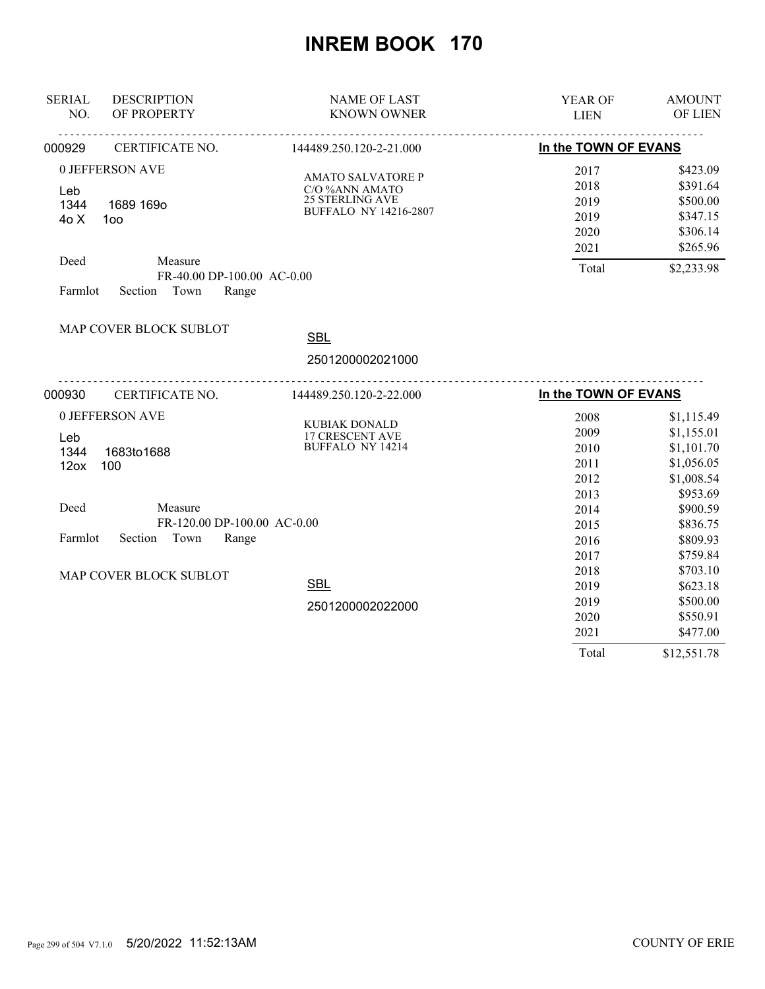| <b>SERIAL</b><br>NO. | <b>DESCRIPTION</b><br>OF PROPERTY | <b>NAME OF LAST</b><br><b>KNOWN OWNER</b>  | <b>YEAR OF</b><br><b>LIEN</b> | <b>AMOUNT</b><br>OF LIEN |
|----------------------|-----------------------------------|--------------------------------------------|-------------------------------|--------------------------|
| 000929               | CERTIFICATE NO.                   | .<br>144489.250.120-2-21.000               | In the TOWN OF EVANS          |                          |
|                      | 0 JEFFERSON AVE                   |                                            | 2017                          | \$423.09                 |
|                      |                                   | <b>AMATO SALVATORE P</b><br>C/O %ANN AMATO | 2018                          | \$391.64                 |
| Leb<br>1344          | 1689 169o                         | <b>25 STERLING AVE</b>                     | 2019                          | \$500.00                 |
| 40X                  | 100                               | <b>BUFFALO NY 14216-2807</b>               | 2019                          | \$347.15                 |
|                      |                                   |                                            | 2020                          | \$306.14                 |
|                      |                                   |                                            | 2021                          | \$265.96                 |
| Deed                 | Measure                           |                                            | Total                         | \$2,233.98               |
|                      | FR-40.00 DP-100.00 AC-0.00        |                                            |                               |                          |
| Farmlot              | Section<br>Town<br>Range          |                                            |                               |                          |
|                      | MAP COVER BLOCK SUBLOT            |                                            |                               |                          |
|                      |                                   | <b>SBL</b>                                 |                               |                          |
|                      |                                   | 2501200002021000                           |                               |                          |
| 000930               | CERTIFICATE NO.                   | 144489.250.120-2-22.000                    | In the TOWN OF EVANS          |                          |
|                      | 0 JEFFERSON AVE                   |                                            | 2008                          | \$1,115.49               |
| Leb                  |                                   | KUBIAK DONALD<br>17 CRESCENT AVE           | 2009                          | \$1,155.01               |
| 1344                 | 1683to1688                        | <b>BUFFALO NY 14214</b>                    | 2010                          | \$1,101.70               |
| 12 <sub>ox</sub>     | 100                               |                                            | 2011                          | \$1,056.05               |
|                      |                                   |                                            | 2012                          | \$1,008.54               |
|                      |                                   |                                            | 2013                          | \$953.69                 |
| Deed                 | Measure                           |                                            | 2014                          | \$900.59                 |
|                      | FR-120.00 DP-100.00 AC-0.00       |                                            | 2015                          | \$836.75                 |
| Farmlot              | Town<br>Section<br>Range          |                                            | 2016                          | \$809.93                 |
|                      |                                   |                                            | 2017                          | \$759.84                 |
|                      | MAP COVER BLOCK SUBLOT            |                                            | 2018                          | \$703.10                 |
|                      |                                   | <b>SBL</b>                                 | 2019                          | \$623.18                 |
|                      |                                   | 2501200002022000                           | 2019                          | \$500.00                 |
|                      |                                   |                                            | 2020                          | \$550.91                 |
|                      |                                   |                                            | 2021                          | \$477.00                 |
|                      |                                   |                                            | Total                         |                          |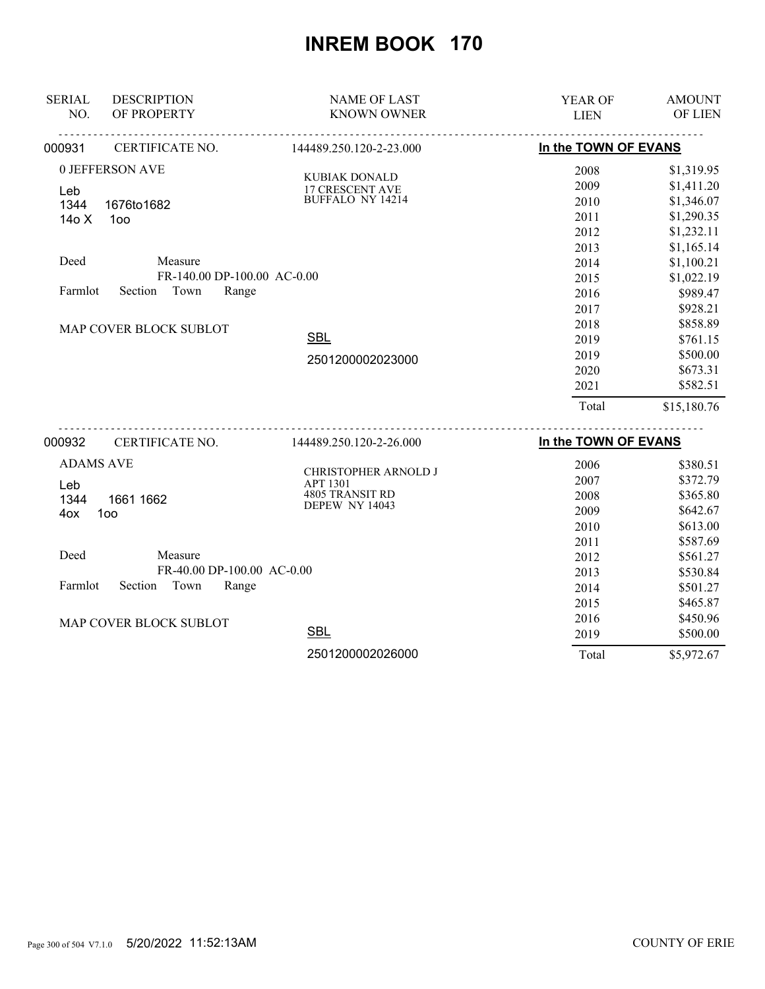| <b>SERIAL</b>    | <b>DESCRIPTION</b>          | <b>NAME OF LAST</b>                     | YEAR OF              | <b>AMOUNT</b> |
|------------------|-----------------------------|-----------------------------------------|----------------------|---------------|
| NO.              | OF PROPERTY                 | <b>KNOWN OWNER</b>                      | <b>LIEN</b>          | OF LIEN       |
| 000931           | CERTIFICATE NO.             | 144489.250.120-2-23.000                 | In the TOWN OF EVANS |               |
|                  | 0 JEFFERSON AVE             | <b>KUBIAK DONALD</b>                    | 2008                 | \$1,319.95    |
| Leb              |                             | <b>17 CRESCENT AVE</b>                  | 2009                 | \$1,411.20    |
| 1344             | 1676to1682                  | <b>BUFFALO NY 14214</b>                 | 2010                 | \$1,346.07    |
| 14o X            | 100                         |                                         | 2011                 | \$1,290.35    |
|                  |                             |                                         | 2012                 | \$1,232.11    |
|                  |                             |                                         | 2013                 | \$1,165.14    |
| Deed             | Measure                     |                                         | 2014                 | \$1,100.21    |
|                  | FR-140.00 DP-100.00 AC-0.00 |                                         | 2015                 | \$1,022.19    |
| Farmlot          | Section<br>Town<br>Range    |                                         | 2016                 | \$989.47      |
|                  |                             |                                         | 2017                 | \$928.21      |
|                  | MAP COVER BLOCK SUBLOT      |                                         | 2018                 | \$858.89      |
|                  |                             | <b>SBL</b>                              | 2019                 | \$761.15      |
|                  |                             | 2501200002023000                        | 2019                 | \$500.00      |
|                  |                             |                                         | 2020                 | \$673.31      |
|                  |                             |                                         | 2021                 | \$582.51      |
|                  |                             |                                         | Total                | \$15,180.76   |
| 000932           | CERTIFICATE NO.             | 144489.250.120-2-26.000                 | In the TOWN OF EVANS |               |
| <b>ADAMS AVE</b> |                             |                                         | 2006                 | \$380.51      |
| Leb              |                             | CHRISTOPHER ARNOLD J<br><b>APT 1301</b> | 2007                 | \$372.79      |
| 1344             | 1661 1662                   | 4805 TRANSIT RD                         | 2008                 | \$365.80      |
| 4ox              | 100                         | DEPEW NY 14043                          | 2009                 | \$642.67      |
|                  |                             |                                         | 2010                 | \$613.00      |
|                  |                             |                                         | 2011                 | \$587.69      |
| Deed             | Measure                     |                                         | 2012                 | \$561.27      |
|                  | FR-40.00 DP-100.00 AC-0.00  |                                         | 2013                 | \$530.84      |
| Farmlot          | Section Town<br>Range       |                                         | 2014                 | \$501.27      |
|                  |                             |                                         | 2015                 | \$465.87      |
|                  | MAP COVER BLOCK SUBLOT      |                                         | 2016                 | \$450.96      |
|                  |                             | $\sim$ $\sim$                           |                      |               |

2501200002026000

**SBL** 

Page 300 of 504 V7.1.0 5/20/2022 11:52:13AM COUNTY OF ERIE

 2019 \$500.00 Total \$5,972.67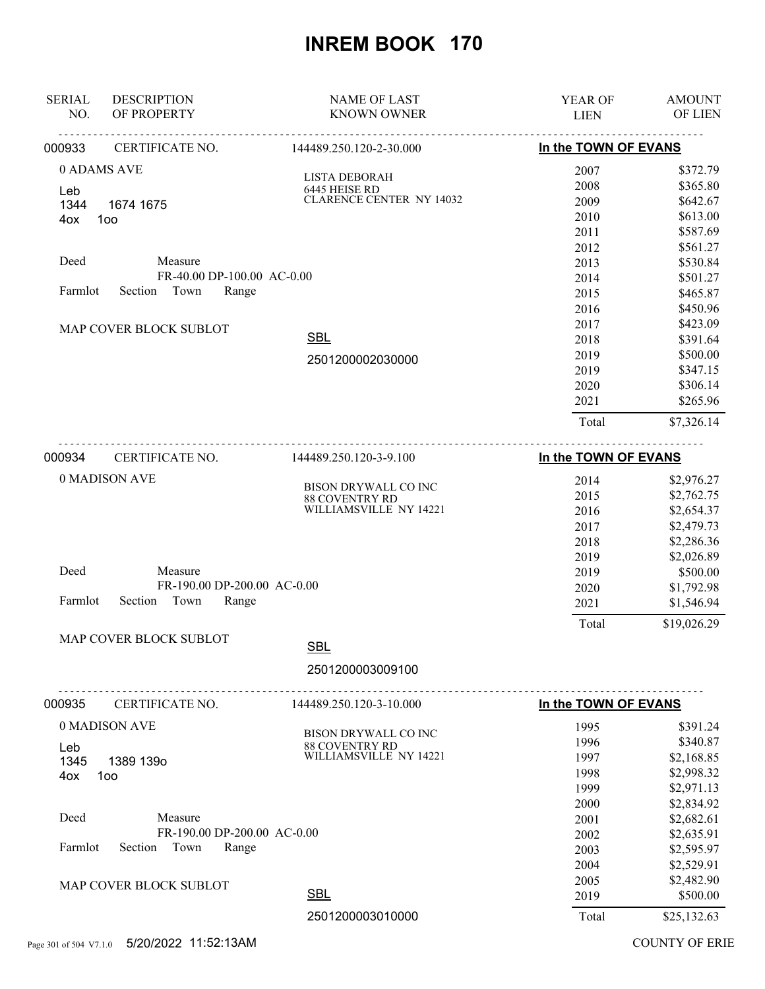| <b>SERIAL</b><br><b>DESCRIPTION</b><br>NO.<br>OF PROPERTY | <b>NAME OF LAST</b><br><b>KNOWN OWNER</b> | YEAR OF<br><b>LIEN</b> | <b>AMOUNT</b><br>OF LIEN |
|-----------------------------------------------------------|-------------------------------------------|------------------------|--------------------------|
| 000933<br>CERTIFICATE NO.                                 | 144489.250.120-2-30.000                   | In the TOWN OF EVANS   |                          |
| 0 ADAMS AVE                                               |                                           | 2007                   | \$372.79                 |
| Leb                                                       | LISTA DEBORAH<br>6445 HEISE RD            | 2008                   | \$365.80                 |
| 1344<br>1674 1675                                         | <b>CLARENCE CENTER NY 14032</b>           | 2009                   | \$642.67                 |
| 4ox<br>1oo                                                |                                           | 2010                   | \$613.00                 |
|                                                           |                                           | 2011                   | \$587.69                 |
|                                                           |                                           | 2012                   | \$561.27                 |
| Deed<br>Measure                                           |                                           | 2013                   | \$530.84                 |
|                                                           | FR-40.00 DP-100.00 AC-0.00                | 2014                   | \$501.27                 |
| Town<br>Farmlot<br>Section                                | Range                                     | 2015                   | \$465.87                 |
|                                                           |                                           | 2016                   | \$450.96                 |
| MAP COVER BLOCK SUBLOT                                    |                                           | 2017                   | \$423.09                 |
|                                                           | <b>SBL</b>                                | 2018                   | \$391.64                 |
|                                                           | 2501200002030000                          | 2019                   | \$500.00                 |
|                                                           |                                           | 2019                   | \$347.15                 |
|                                                           |                                           | 2020                   | \$306.14                 |
|                                                           |                                           | 2021                   | \$265.96                 |
|                                                           |                                           | Total                  | \$7,326.14               |
| 000934<br>CERTIFICATE NO.                                 | 144489.250.120-3-9.100                    | In the TOWN OF EVANS   |                          |
| 0 MADISON AVE                                             |                                           | 2014                   | \$2,976.27               |
|                                                           | BISON DRYWALL CO INC                      | 2015                   | \$2,762.75               |
|                                                           | 88 COVENTRY RD<br>WILLIAMSVILLE NY 14221  | 2016                   | \$2,654.37               |
|                                                           |                                           | 2017                   | \$2,479.73               |
|                                                           |                                           | 2018                   | \$2,286.36               |
|                                                           |                                           | 2019                   | \$2,026.89               |
| Deed<br>Measure                                           |                                           | 2019                   | \$500.00                 |
|                                                           | FR-190.00 DP-200.00 AC-0.00               | 2020                   | \$1,792.98               |
| Farmlot<br>Section<br>Town                                | Range                                     | 2021                   | \$1,546.94               |
|                                                           |                                           | Total                  | \$19,026.29              |
| MAP COVER BLOCK SUBLOT                                    | <b>SBL</b>                                |                        |                          |
|                                                           | 2501200003009100                          |                        |                          |
| 000935<br>CERTIFICATE NO.                                 | .<br>144489.250.120-3-10.000              | In the TOWN OF EVANS   |                          |
| 0 MADISON AVE                                             | BISON DRYWALL CO INC                      | 1995                   | \$391.24                 |
| Leb                                                       | <b>88 COVENTRY RD</b>                     | 1996                   | \$340.87                 |
| 1345<br>1389 139o                                         | WILLIAMSVILLE NY 14221                    | 1997                   | \$2,168.85               |
| 100<br>4ox                                                |                                           | 1998                   | \$2,998.32               |
|                                                           |                                           | 1999                   | \$2,971.13               |
|                                                           |                                           | 2000                   | \$2,834.92               |
| Deed<br>Measure                                           |                                           | 2001                   | \$2,682.61               |
|                                                           | FR-190.00 DP-200.00 AC-0.00               | 2002                   | \$2,635.91               |
| Section Town<br>Farmlot                                   | Range                                     | 2003                   | \$2,595.97               |
|                                                           |                                           | 2004                   | \$2,529.91               |
| MAP COVER BLOCK SUBLOT                                    |                                           | 2005                   | \$2,482.90               |
|                                                           | <b>SBL</b><br>2501200003010000            | 2019<br>Total          | \$500.00<br>\$25,132.63  |
| 5/20/2022 11:52:13AM                                      |                                           |                        | <b>COUNTY OF ERIE</b>    |
| Page 301 of 504 V7.1.0                                    |                                           |                        |                          |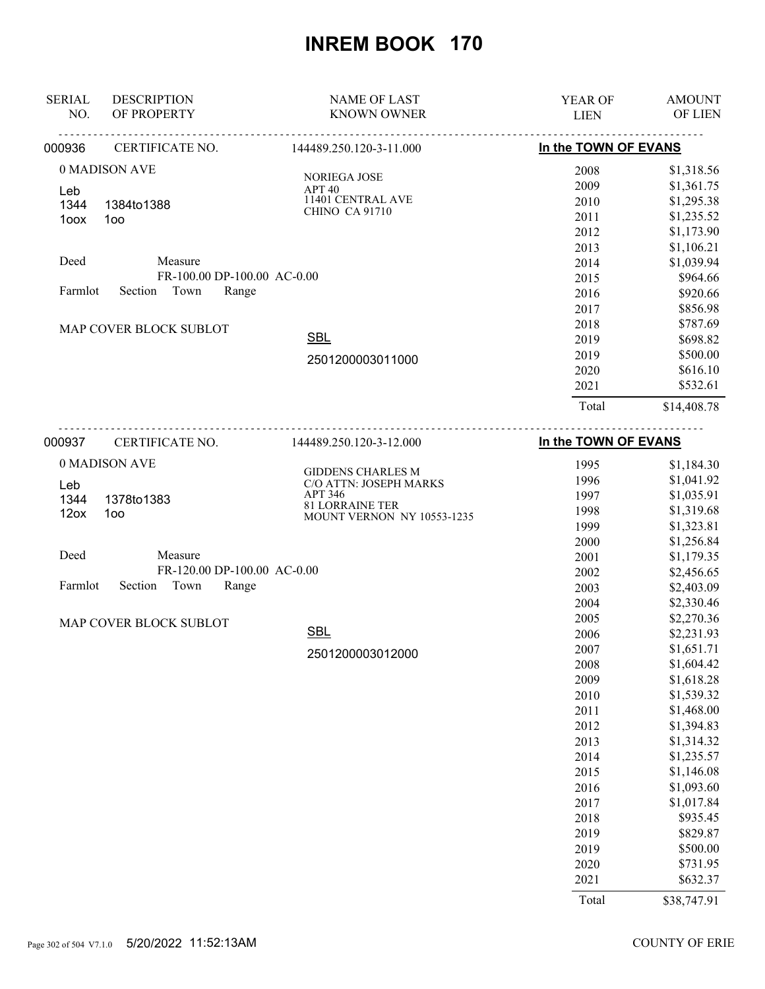| <b>SERIAL</b>                       | <b>DESCRIPTION</b>          | <b>NAME OF LAST</b>                                  | <b>YEAR OF</b>       | <b>AMOUNT</b>  |
|-------------------------------------|-----------------------------|------------------------------------------------------|----------------------|----------------|
| NO.                                 | OF PROPERTY                 | <b>KNOWN OWNER</b>                                   | <b>LIEN</b>          | <b>OF LIEN</b> |
| 000936                              | .<br>CERTIFICATE NO.        | .<br>144489.250.120-3-11.000                         | In the TOWN OF EVANS |                |
|                                     | 0 MADISON AVE               |                                                      | 2008                 | \$1,318.56     |
|                                     |                             | <b>NORIEGA JOSE</b><br>APT40                         | 2009                 | \$1,361.75     |
| Leb<br>1344                         | 1384to1388                  | 11401 CENTRAL AVE                                    | 2010                 | \$1,295.38     |
| 1oox                                | 100                         | <b>CHINO CA 91710</b>                                | 2011                 | \$1,235.52     |
|                                     |                             |                                                      | 2012                 | \$1,173.90     |
|                                     |                             |                                                      | 2013                 | \$1,106.21     |
| Deed                                | Measure                     |                                                      | 2014                 | \$1,039.94     |
|                                     | FR-100.00 DP-100.00 AC-0.00 |                                                      | 2015                 | \$964.66       |
| Farmlot<br>Town<br>Range<br>Section |                             |                                                      | 2016                 | \$920.66       |
|                                     |                             |                                                      | 2017                 | \$856.98       |
|                                     | MAP COVER BLOCK SUBLOT      |                                                      | 2018                 | \$787.69       |
|                                     |                             | <b>SBL</b>                                           | 2019                 | \$698.82       |
|                                     |                             | 2501200003011000                                     | 2019                 | \$500.00       |
|                                     |                             |                                                      | 2020                 | \$616.10       |
|                                     |                             |                                                      | 2021                 | \$532.61       |
|                                     |                             |                                                      | Total                | \$14,408.78    |
| 000937                              | CERTIFICATE NO.             | 144489.250.120-3-12.000                              | In the TOWN OF EVANS |                |
|                                     | 0 MADISON AVE               |                                                      | 1995                 | \$1,184.30     |
| Leb                                 |                             | <b>GIDDENS CHARLES M</b><br>C/O ATTN: JOSEPH MARKS   | 1996                 | \$1,041.92     |
| 1344                                | 1378to1383                  | APT 346                                              | 1997                 | \$1,035.91     |
| 12ox                                | 1oo                         | <b>81 LORRAINE TER</b><br>MOUNT VERNON NY 10553-1235 | 1998                 | \$1,319.68     |
|                                     |                             |                                                      | 1999                 | \$1,323.81     |
|                                     |                             |                                                      | 2000                 | \$1,256.84     |

| Deed |                            | Measure |                             |  |
|------|----------------------------|---------|-----------------------------|--|
|      |                            |         | FR-120.00 DP-100.00 AC-0.00 |  |
|      | Farmlot Section Town Range |         |                             |  |

MAP COVER BLOCK SUBLOT

2501200003012000

SBL

| ∠∪∪∪  | (0.0+ ∪ر∠,1 |
|-------|-------------|
| 2001  | \$1,179.35  |
| 2002  | \$2,456.65  |
| 2003  | \$2,403.09  |
| 2004  | \$2,330.46  |
| 2005  | \$2,270.36  |
| 2006  | \$2,231.93  |
| 2007  | \$1,651.71  |
| 2008  | \$1,604.42  |
| 2009  | \$1,618.28  |
| 2010  | \$1,539.32  |
| 2011  | \$1,468.00  |
| 2012  | \$1,394.83  |
| 2013  | \$1,314.32  |
| 2014  | \$1,235.57  |
| 2015  | \$1,146.08  |
| 2016  | \$1,093.60  |
| 2017  | \$1,017.84  |
| 2018  | \$935.45    |
| 2019  | \$829.87    |
| 2019  | \$500.00    |
| 2020  | \$731.95    |
| 2021  | \$632.37    |
| Total | \$38,747.91 |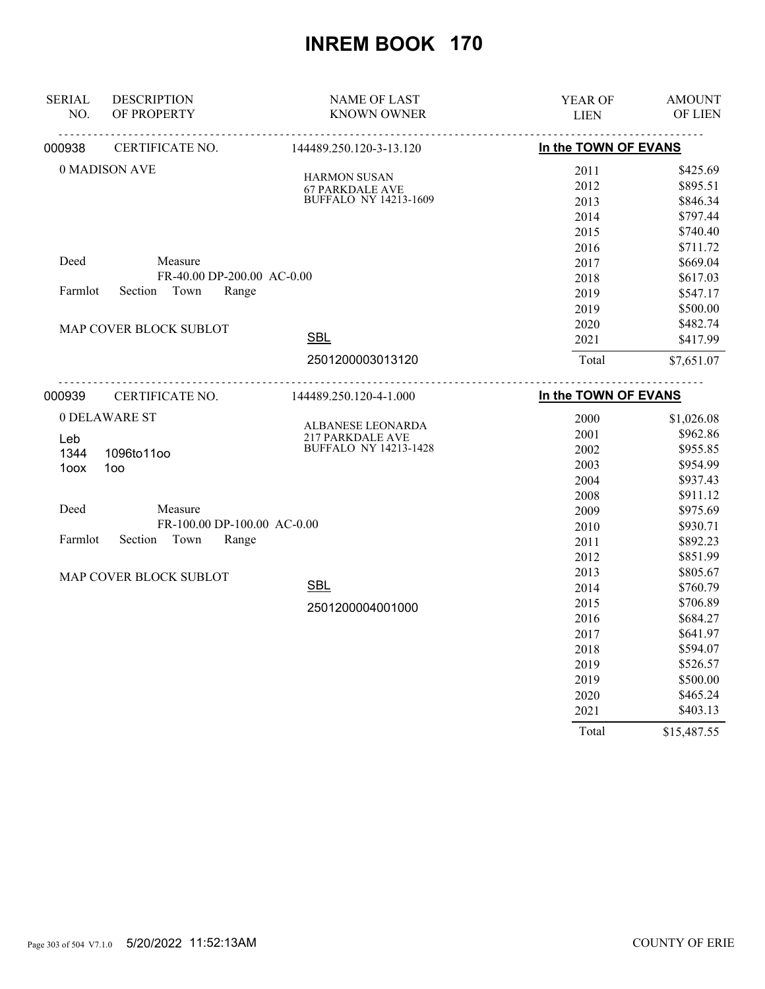| <b>SERIAL</b><br>NO. | <b>DESCRIPTION</b><br>OF PROPERTY | <b>NAME OF LAST</b><br><b>KNOWN OWNER</b>               | YEAR OF<br><b>LIEN</b> | <b>AMOUNT</b><br>OF LIEN |
|----------------------|-----------------------------------|---------------------------------------------------------|------------------------|--------------------------|
| 000938               | CERTIFICATE NO.                   | 144489.250.120-3-13.120                                 | In the TOWN OF EVANS   |                          |
|                      | 0 MADISON AVE                     |                                                         | 2011                   | \$425.69                 |
|                      |                                   | <b>HARMON SUSAN</b><br><b>67 PARKDALE AVE</b>           | 2012                   | \$895.51                 |
|                      |                                   | <b>BUFFALO NY 14213-1609</b>                            | 2013                   | \$846.34                 |
|                      |                                   |                                                         | 2014                   | \$797.44                 |
|                      |                                   |                                                         | 2015                   | \$740.40                 |
|                      |                                   |                                                         | 2016                   | \$711.72                 |
| Deed                 | Measure                           |                                                         | 2017                   | \$669.04                 |
|                      | FR-40.00 DP-200.00 AC-0.00        |                                                         | 2018                   | \$617.03                 |
| Farmlot              | Section<br>Town<br>Range          |                                                         | 2019                   | \$547.17                 |
|                      |                                   |                                                         | 2019                   | \$500.00                 |
|                      | MAP COVER BLOCK SUBLOT            |                                                         | 2020                   | \$482.74                 |
|                      |                                   | <b>SBL</b>                                              | 2021                   | \$417.99                 |
|                      |                                   | 2501200003013120                                        | Total                  | \$7,651.07               |
| 000939               | CERTIFICATE NO.                   | 144489.250.120-4-1.000                                  | In the TOWN OF EVANS   |                          |
|                      | 0 DELAWARE ST                     |                                                         | 2000                   | \$1,026.08               |
|                      |                                   | ALBANESE LEONARDA                                       | 2001                   | \$962.86                 |
| Leb<br>1344          | 1096to11oo                        | <b>217 PARKDALE AVE</b><br><b>BUFFALO NY 14213-1428</b> | 2002                   | \$955.85                 |
| 1oox                 | 100                               |                                                         | 2003                   | \$954.99                 |
|                      |                                   |                                                         | 2004                   | \$937.43                 |
|                      |                                   |                                                         | 2008                   | \$911.12                 |
| Deed                 | Measure                           |                                                         | 2009                   | \$975.69                 |
|                      | FR-100.00 DP-100.00 AC-0.00       |                                                         | 2010                   | \$930.71                 |
| Farmlot              | Section<br>Town<br>Range          |                                                         | 2011                   | \$892.23                 |
|                      |                                   |                                                         | 2012                   | \$851.99                 |
|                      | MAP COVER BLOCK SUBLOT            |                                                         | 2013                   | \$805.67                 |
|                      |                                   | <b>SBL</b>                                              | 2014                   | \$760.79                 |
|                      |                                   | 2501200004001000                                        | 2015                   | \$706.89                 |
|                      |                                   |                                                         | 2016                   | \$684.27                 |
|                      |                                   |                                                         | 2017                   | \$641.97                 |
|                      |                                   |                                                         | 2018                   | \$594.07                 |
|                      |                                   |                                                         | 2019                   | \$526.57                 |
|                      |                                   |                                                         | 2019                   | \$500.00                 |
|                      |                                   |                                                         | 2020                   | \$465.24                 |
|                      |                                   |                                                         | 2021                   | \$403.13                 |
|                      |                                   |                                                         | Total                  | \$15,487.55              |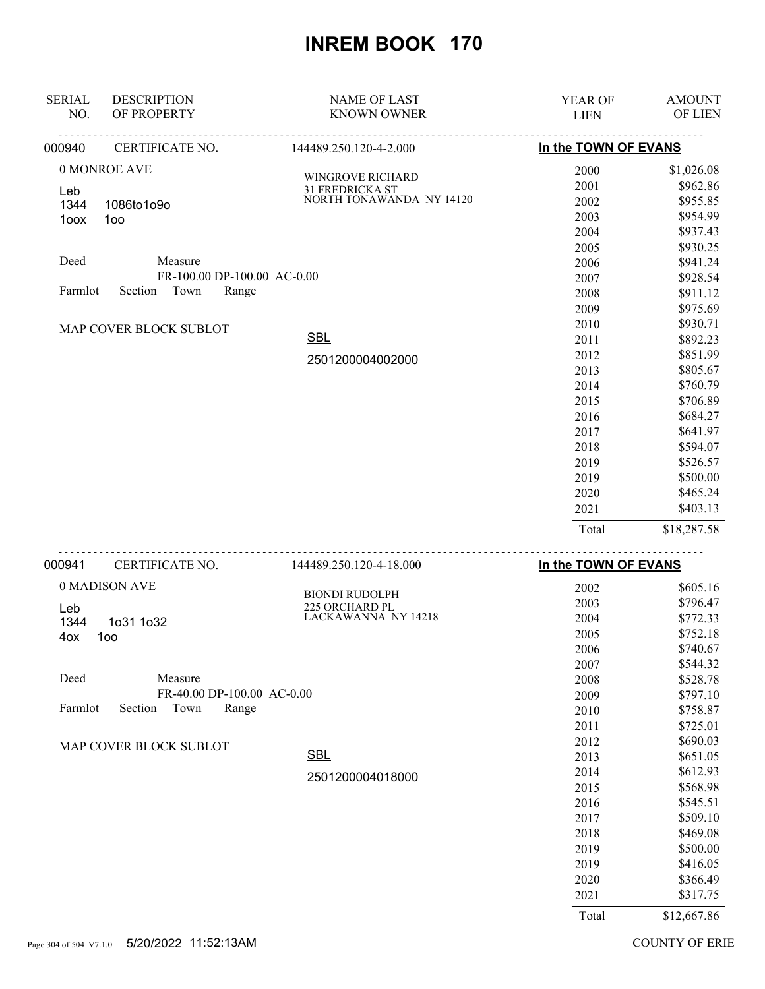| <b>SERIAL</b><br>NO. | <b>DESCRIPTION</b><br>OF PROPERTY | <b>NAME OF LAST</b><br><b>KNOWN OWNER</b> | YEAR OF<br><b>LIEN</b> | <b>AMOUNT</b><br>OF LIEN |
|----------------------|-----------------------------------|-------------------------------------------|------------------------|--------------------------|
| 000940               | CERTIFICATE NO.                   | 144489.250.120-4-2.000                    | In the TOWN OF EVANS   |                          |
|                      | 0 MONROE AVE                      |                                           | 2000                   | \$1,026.08               |
|                      |                                   | WINGROVE RICHARD<br>31 FREDRICKA ST       | 2001                   | \$962.86                 |
| Leb<br>1344          | 1086to1o9o                        | NORTH TONAWANDA NY 14120                  | 2002                   | \$955.85                 |
| 1oox                 | 100                               |                                           | 2003                   | \$954.99                 |
|                      |                                   |                                           | 2004                   | \$937.43                 |
|                      |                                   |                                           | 2005                   | \$930.25                 |
| Deed                 | Measure                           |                                           | 2006                   | \$941.24                 |
|                      | FR-100.00 DP-100.00 AC-0.00       |                                           | 2007                   | \$928.54                 |
| Farmlot              | Town<br>Section<br>Range          |                                           | 2008                   | \$911.12                 |
|                      |                                   |                                           | 2009                   | \$975.69                 |
|                      | MAP COVER BLOCK SUBLOT            |                                           | 2010                   | \$930.71                 |
|                      |                                   | <b>SBL</b>                                | 2011                   | \$892.23                 |
|                      |                                   | 2501200004002000                          | 2012                   | \$851.99                 |
|                      |                                   |                                           | 2013                   | \$805.67                 |
|                      |                                   |                                           | 2014                   | \$760.79                 |
|                      |                                   |                                           | 2015                   | \$706.89                 |
|                      |                                   |                                           | 2016                   | \$684.27                 |
|                      |                                   |                                           | 2017                   | \$641.97                 |
|                      |                                   |                                           | 2018                   | \$594.07                 |
|                      |                                   |                                           | 2019                   | \$526.57                 |
|                      |                                   |                                           | 2019                   | \$500.00                 |
|                      |                                   |                                           | 2020                   | \$465.24                 |
|                      |                                   |                                           | 2021                   | \$403.13                 |
|                      |                                   |                                           | Total                  | \$18,287.58              |
| 000941               | CERTIFICATE NO.                   | 144489.250.120-4-18.000                   | In the TOWN OF EVANS   |                          |
|                      | 0 MADISON AVE                     |                                           | 2002                   | \$605.16                 |
|                      |                                   | <b>BIONDI RUDOLPH</b>                     | 2003                   | \$796.47                 |
| Leb<br>1344          | 1031 1032                         | 225 ORCHARD PL<br>LACKAWANNA NY 14218     | 2004                   | \$772.33                 |
| 4ox                  | 1oo                               |                                           | 2005                   | \$752.18                 |
|                      |                                   |                                           | 2006                   | \$740.67                 |
|                      |                                   |                                           | 2007                   | \$544.32                 |
| Deed                 | Measure                           |                                           | 2008                   | \$528.78                 |
|                      | FR-40.00 DP-100.00 AC-0.00        |                                           | 2009                   | \$797.10                 |
| Farmlot              | Section<br>Town<br>Range          |                                           | 2010                   | \$758.87                 |
|                      |                                   |                                           | 2011                   | \$725.01                 |
|                      | MAP COVER BLOCK SUBLOT            |                                           | 2012                   | \$690.03                 |
|                      |                                   | <b>SBL</b>                                | 2013                   | \$651.05                 |
|                      |                                   | 2501200004018000                          | 2014                   | \$612.93                 |
|                      |                                   |                                           | 2015                   | \$568.98                 |
|                      |                                   |                                           | 2016                   | \$545.51                 |
|                      |                                   |                                           | 2017                   | \$509.10                 |
|                      |                                   |                                           | 2018                   | \$469.08                 |
|                      |                                   |                                           | 2019                   | \$500.00                 |
|                      |                                   |                                           | 2019                   | \$416.05                 |
|                      |                                   |                                           | 2020                   | \$366.49                 |
|                      |                                   |                                           | 2021                   | \$317.75                 |
|                      |                                   |                                           | Total                  | \$12,667.86              |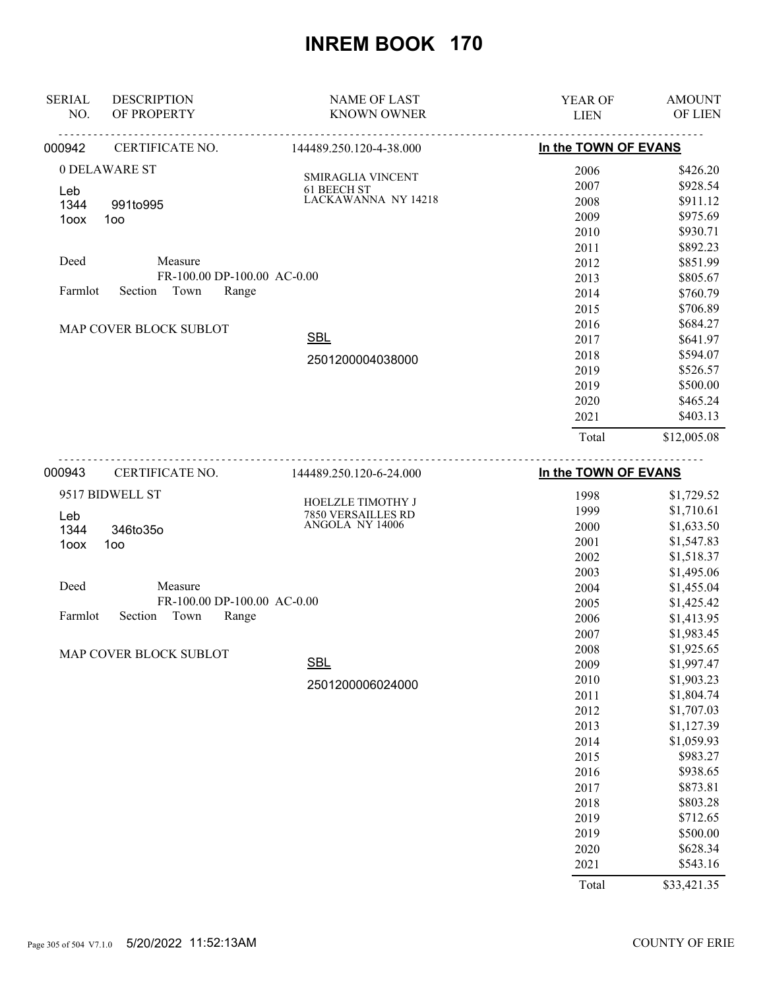| <b>SERIAL</b><br>NO.       | <b>DESCRIPTION</b><br>OF PROPERTY | <b>NAME OF LAST</b><br><b>KNOWN OWNER</b> | <b>YEAR OF</b><br><b>LIEN</b> | <b>AMOUNT</b><br>OF LIEN |
|----------------------------|-----------------------------------|-------------------------------------------|-------------------------------|--------------------------|
| 000942                     | CERTIFICATE NO.                   | 144489.250.120-4-38.000                   | In the TOWN OF EVANS          |                          |
|                            | 0 DELAWARE ST                     | <b>SMIRAGLIA VINCENT</b>                  | 2006                          | \$426.20                 |
| Leb                        |                                   | 61 BEECH ST                               | 2007                          | \$928.54                 |
| 1344                       | 991to995                          | LACKAWANNA NY 14218                       | 2008                          | \$911.12                 |
| 1oox                       | 100                               |                                           | 2009                          | \$975.69                 |
|                            |                                   |                                           | 2010                          | \$930.71                 |
|                            |                                   |                                           | 2011                          | \$892.23                 |
| Deed                       | Measure                           |                                           | 2012                          | \$851.99                 |
|                            | FR-100.00 DP-100.00 AC-0.00       |                                           | 2013                          | \$805.67                 |
| Town<br>Section<br>Farmlot | Range                             |                                           | 2014                          | \$760.79                 |
|                            |                                   |                                           | 2015                          | \$706.89                 |
|                            | MAP COVER BLOCK SUBLOT            |                                           | 2016                          | \$684.27                 |
|                            |                                   | <b>SBL</b>                                | 2017                          | \$641.97                 |
|                            |                                   | 2501200004038000                          | 2018                          | \$594.07                 |
|                            |                                   |                                           | 2019                          | \$526.57                 |
|                            |                                   |                                           | 2019                          | \$500.00                 |
|                            |                                   |                                           | 2020                          | \$465.24                 |
|                            |                                   |                                           | 2021                          | \$403.13                 |
|                            |                                   |                                           | Total                         | \$12,005.08              |
| 000943                     | CERTIFICATE NO.                   | 144489.250.120-6-24.000                   | In the TOWN OF EVANS          |                          |
|                            | 9517 BIDWELL ST                   | <b>HOELZLE TIMOTHY J</b>                  | 1998                          | \$1,729.52               |
| $\overline{A}$             |                                   | <b>7850 VERSAILLES RD</b>                 | 1999                          | \$1,710.61               |

| Leb                                 | HOELZLE HMOTHY J<br>7850 VERSAILLES RD | 1999  | \$1,710.61  |
|-------------------------------------|----------------------------------------|-------|-------------|
| 1344<br>346to35o                    | ANGOLA NY 14006                        | 2000  | \$1,633.50  |
| 100<br>1oox                         |                                        | 2001  | \$1,547.83  |
|                                     |                                        | 2002  | \$1,518.37  |
|                                     |                                        | 2003  | \$1,495.06  |
| Deed<br>Measure                     |                                        | 2004  | \$1,455.04  |
| FR-100.00 DP-100.00 AC-0.00         |                                        | 2005  | \$1,425.42  |
| Section<br>Town<br>Range<br>Farmlot |                                        | 2006  | \$1,413.95  |
|                                     |                                        | 2007  | \$1,983.45  |
| MAP COVER BLOCK SUBLOT              |                                        | 2008  | \$1,925.65  |
|                                     | <b>SBL</b>                             | 2009  | \$1,997.47  |
|                                     | 2501200006024000                       | 2010  | \$1,903.23  |
|                                     |                                        | 2011  | \$1,804.74  |
|                                     |                                        | 2012  | \$1,707.03  |
|                                     |                                        | 2013  | \$1,127.39  |
|                                     |                                        | 2014  | \$1,059.93  |
|                                     |                                        | 2015  | \$983.27    |
|                                     |                                        | 2016  | \$938.65    |
|                                     |                                        | 2017  | \$873.81    |
|                                     |                                        | 2018  | \$803.28    |
|                                     |                                        | 2019  | \$712.65    |
|                                     |                                        | 2019  | \$500.00    |
|                                     |                                        | 2020  | \$628.34    |
|                                     |                                        | 2021  | \$543.16    |
|                                     |                                        | Total | \$33,421.35 |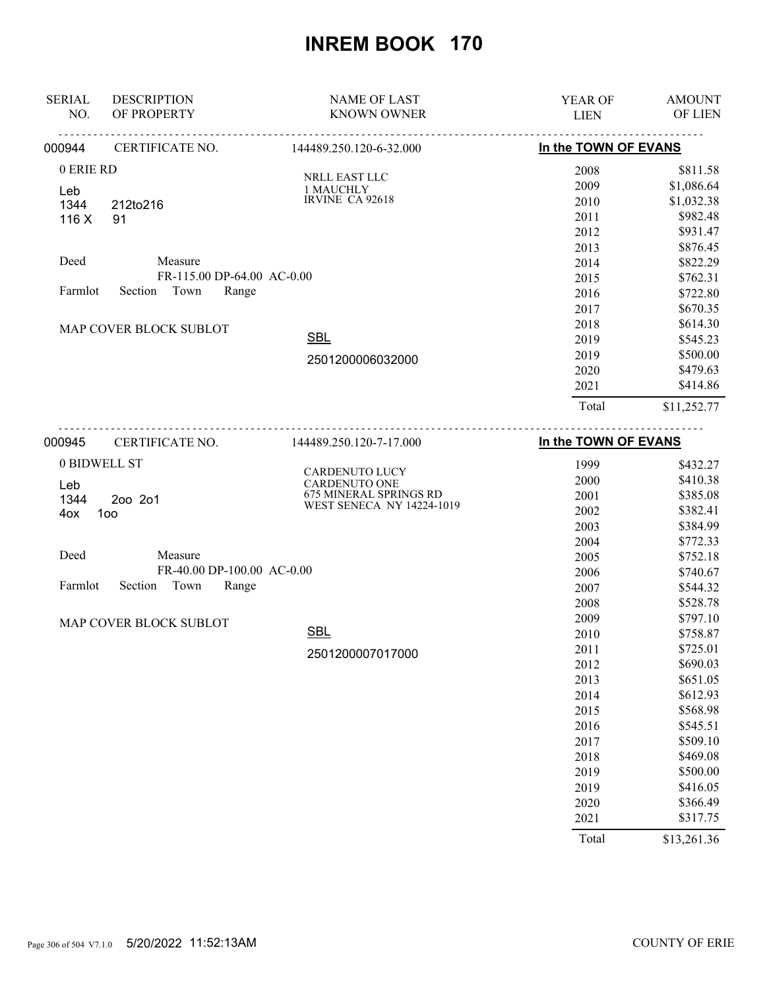| <b>SERIAL</b>                       | <b>DESCRIPTION</b>         | <b>NAME OF LAST</b>     | <b>YEAR OF</b>       | <b>AMOUNT</b> |
|-------------------------------------|----------------------------|-------------------------|----------------------|---------------|
| NO.                                 | OF PROPERTY                | <b>KNOWN OWNER</b>      | <b>LIEN</b>          | OF LIEN       |
| 000944                              | CERTIFICATE NO.            | 144489.250.120-6-32.000 | In the TOWN OF EVANS |               |
| 0 ERIE RD                           |                            | <b>NRLL EAST LLC</b>    | 2008                 | \$811.58      |
| Leb                                 |                            | 1 MAUCHLY               | 2009                 | \$1,086.64    |
| 1344                                | 212to216                   | IRVINE CA 92618         | 2010                 | \$1,032.38    |
| 116X                                | 91                         |                         | 2011                 | \$982.48      |
|                                     |                            |                         | 2012                 | \$931.47      |
|                                     |                            |                         | 2013                 | \$876.45      |
| Deed                                | Measure                    |                         | 2014                 | \$822.29      |
|                                     | FR-115.00 DP-64.00 AC-0.00 |                         | 2015                 | \$762.31      |
| Farmlot<br>Range<br>Section<br>Town |                            |                         | 2016                 | \$722.80      |
|                                     |                            |                         | 2017                 | \$670.35      |
|                                     | MAP COVER BLOCK SUBLOT     |                         | 2018                 | \$614.30      |
|                                     |                            | <b>SBL</b>              | 2019                 | \$545.23      |
|                                     |                            | 2501200006032000        | 2019                 | \$500.00      |
|                                     |                            |                         | 2020                 | \$479.63      |
|                                     |                            |                         | 2021                 | \$414.86      |
|                                     |                            |                         | Total                | \$11,252.77   |
| 000945                              | CERTIFICATE NO.            | 144489.250.120-7-17.000 | In the TOWN OF EVANS |               |
|                                     | 0 BIDWELL ST               | <b>CARDENUTO LUCY</b>   | 1999                 | \$432.27      |
| $\mathbf{I}$ and $\mathbf{I}$       |                            | $C$ A D DENIHTO ONE     | 2000                 | \$410.38      |

Deed Measure FR-40.00 DP-100.00 AC-0.00 Farmlot MAP COVER BLOCK SUBLOT Section Town Range CARDENUTO ONE 675 MINERAL SPRINGS RD WEST SENECA NY 14224-1019 2000 \$410.38 2001 \$385.08 2002 \$382.41 2003 \$384.99 2004 \$772.33 2005 \$752.18 2006 \$740.67 2007 \$544.32 2008 \$528.78 2009 \$797.10 2010 \$758.87 2011 \$725.01 2012 \$690.03 2013 \$651.05 2014 \$612.93 2015 \$568.98 2016 \$545.51 2017 \$509.10 2018 \$469.08 2019 \$500.00 2019 \$416.05 Leb 1344 2oo 2o1 4ox 1oo 2501200007017000 **SBL** 

Total \$13,261.36

 2020 \$366.49 2021 \$317.75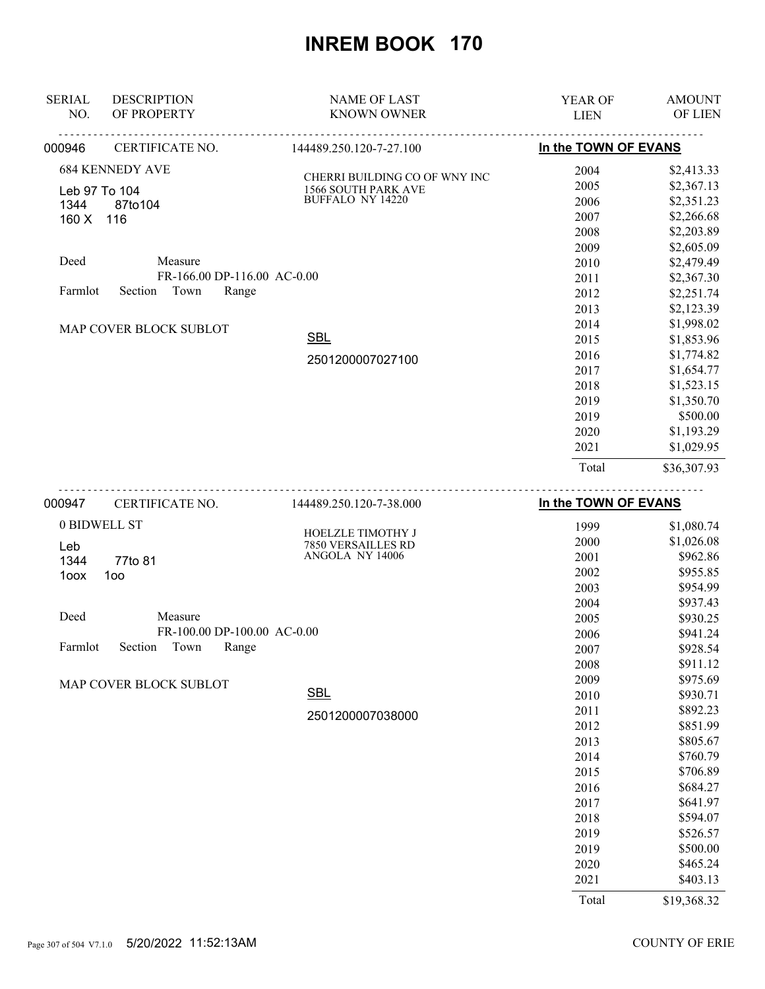| <b>SERIAL</b>                                     | <b>DESCRIPTION</b>                                                                                                                       | <b>NAME OF LAST</b>                                                                    | <b>YEAR OF</b>                                                                       | <b>AMOUNT</b>                                                                                                                                          |
|---------------------------------------------------|------------------------------------------------------------------------------------------------------------------------------------------|----------------------------------------------------------------------------------------|--------------------------------------------------------------------------------------|--------------------------------------------------------------------------------------------------------------------------------------------------------|
| NO.                                               | OF PROPERTY                                                                                                                              | <b>KNOWN OWNER</b>                                                                     | <b>LIEN</b>                                                                          | OF LIEN                                                                                                                                                |
| 000946                                            | CERTIFICATE NO.                                                                                                                          | 144489.250.120-7-27.100                                                                | In the TOWN OF EVANS                                                                 |                                                                                                                                                        |
| Leb 97 To 104<br>1344<br>160 X<br>Deed<br>Farmlot | <b>684 KENNEDY AVE</b><br>87to104<br>116<br>Measure<br>FR-166.00 DP-116.00 AC-0.00<br>Section<br>Town<br>Range<br>MAP COVER BLOCK SUBLOT | CHERRI BUILDING CO OF WNY INC<br><b>1566 SOUTH PARK AVE</b><br><b>BUFFALO NY 14220</b> | 2004<br>2005<br>2006<br>2007<br>2008<br>2009<br>2010<br>2011<br>2012<br>2013<br>2014 | \$2,413.33<br>\$2,367.13<br>\$2,351.23<br>\$2,266.68<br>\$2,203.89<br>\$2,605.09<br>\$2,479.49<br>\$2,367.30<br>\$2,251.74<br>\$2,123.39<br>\$1,998.02 |
|                                                   |                                                                                                                                          | <b>SBL</b><br>2501200007027100                                                         | 2015<br>2016<br>2017<br>2018<br>2019<br>2019<br>2020<br>2021<br>Total                | \$1,853.96<br>\$1,774.82<br>\$1,654.77<br>\$1,523.15<br>\$1,350.70<br>\$500.00<br>\$1,193.29<br>\$1,029.95<br>\$36,307.93                              |
| 000947                                            | CERTIFICATE NO.                                                                                                                          | 144489.250.120-7-38.000                                                                | In the TOWN OF EVANS                                                                 |                                                                                                                                                        |

| 0 BIDWELL ST                        | <b>HOELZLE TIMOTHY J</b> | 1999  | \$1,080.74  |
|-------------------------------------|--------------------------|-------|-------------|
| Leb                                 | 7850 VERSAILLES RD       | 2000  | \$1,026.08  |
| 1344<br>77to 81                     | ANGOLA NY 14006          | 2001  | \$962.86    |
| 1oo<br>1oox                         |                          | 2002  | \$955.85    |
|                                     |                          | 2003  | \$954.99    |
|                                     |                          | 2004  | \$937.43    |
| Deed<br>Measure                     |                          | 2005  | \$930.25    |
| FR-100.00 DP-100.00 AC-0.00         |                          | 2006  | \$941.24    |
| Town<br>Range<br>Section<br>Farmlot |                          | 2007  | \$928.54    |
|                                     |                          | 2008  | \$911.12    |
| MAP COVER BLOCK SUBLOT              |                          | 2009  | \$975.69    |
|                                     | <b>SBL</b>               | 2010  | \$930.71    |
|                                     | 2501200007038000         | 2011  | \$892.23    |
|                                     |                          | 2012  | \$851.99    |
|                                     |                          | 2013  | \$805.67    |
|                                     |                          | 2014  | \$760.79    |
|                                     |                          | 2015  | \$706.89    |
|                                     |                          | 2016  | \$684.27    |
|                                     |                          | 2017  | \$641.97    |
|                                     |                          | 2018  | \$594.07    |
|                                     |                          | 2019  | \$526.57    |
|                                     |                          | 2019  | \$500.00    |
|                                     |                          | 2020  | \$465.24    |
|                                     |                          | 2021  | \$403.13    |
|                                     |                          | Total | \$19,368.32 |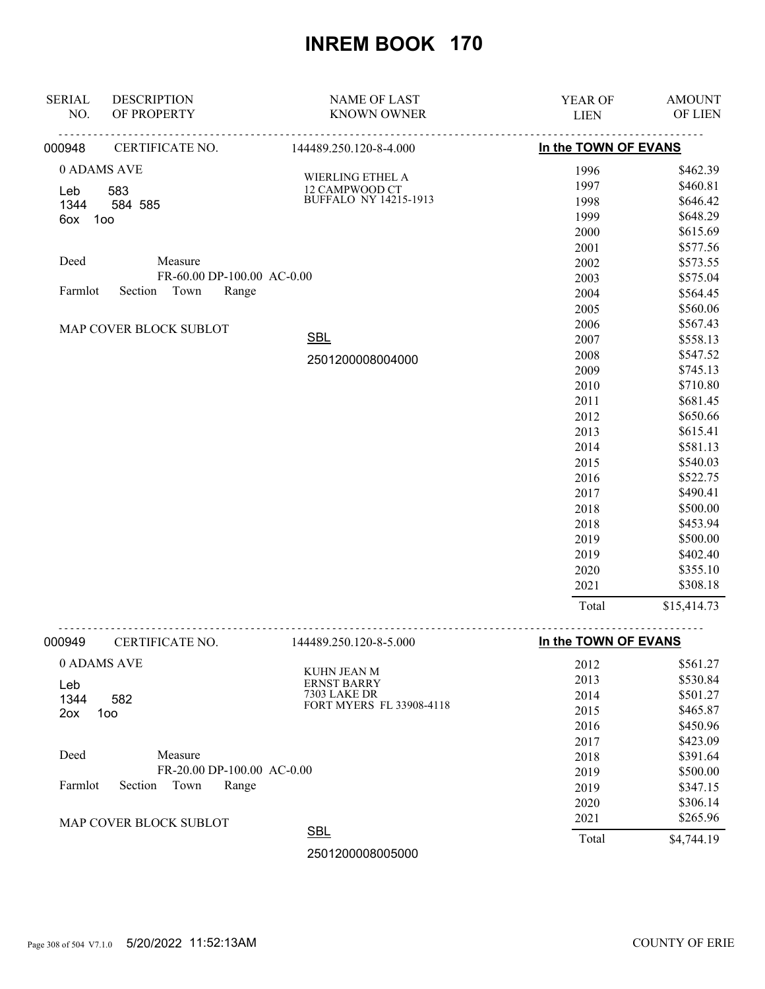| OF PROPERTY<br>In the TOWN OF EVANS<br>CERTIFICATE NO.<br>144489.250.120-8-4.000<br>0 ADAMS AVE<br>1996<br>\$462.39<br><b>WIERLING ETHEL A</b><br>\$460.81<br>1997<br>12 CAMPWOOD CT<br>583<br>Leb<br><b>BUFFALO NY 14215-1913</b><br>\$646.42<br>1998<br>1344<br>584 585<br>\$648.29<br>1999<br>100<br>6ox<br>\$615.69<br>2000<br>\$577.56<br>2001<br>Deed<br>Measure<br>\$573.55<br>2002<br>FR-60.00 DP-100.00 AC-0.00<br>\$575.04<br>2003<br>Section Town<br>Farmlot<br>Range<br>2004<br>\$564.45<br>\$560.06<br>2005<br>2006<br>\$567.43<br>MAP COVER BLOCK SUBLOT<br><b>SBL</b><br>\$558.13<br>2007<br>2008<br>\$547.52<br>2501200008004000<br>2009<br>\$745.13<br>2010<br>\$710.80<br>\$681.45<br>2011<br>\$650.66<br>2012<br>\$615.41<br>2013<br>\$581.13<br>2014<br>\$540.03<br>2015<br>\$522.75<br>2016<br>\$490.41<br>2017<br>\$500.00<br>2018<br>\$453.94<br>2018<br>\$500.00<br>2019<br>2019<br>\$402.40<br>2020<br>\$355.10<br>\$308.18<br>2021<br>Total<br>\$15,414.73<br>CERTIFICATE NO.<br>In the TOWN OF EVANS<br>144489.250.120-8-5.000<br>0 ADAMS AVE<br>\$561.27<br>2012<br>KUHN JEAN M<br>2013<br>\$530.84<br><b>ERNST BARRY</b><br>Leb<br><b>7303 LAKE DR</b><br>\$501.27<br>2014<br>1344<br>582<br>FORT MYERS FL 33908-4118<br>2015<br>\$465.87<br>2ox<br>100<br>\$450.96<br>2016<br>\$423.09<br>2017<br>Deed<br>Measure<br>2018<br>\$391.64<br>FR-20.00 DP-100.00 AC-0.00<br>2019<br>\$500.00<br>Farmlot<br>Section<br>Town<br>Range<br>2019<br>\$347.15<br>\$306.14<br>2020<br>2021<br>\$265.96<br>MAP COVER BLOCK SUBLOT<br><b>SBL</b><br>Total<br>\$4,744.19<br>2501200008005000 | <b>SERIAL</b> | <b>DESCRIPTION</b> | <b>NAME OF LAST</b> | <b>YEAR OF</b> | <b>AMOUNT</b> |
|-------------------------------------------------------------------------------------------------------------------------------------------------------------------------------------------------------------------------------------------------------------------------------------------------------------------------------------------------------------------------------------------------------------------------------------------------------------------------------------------------------------------------------------------------------------------------------------------------------------------------------------------------------------------------------------------------------------------------------------------------------------------------------------------------------------------------------------------------------------------------------------------------------------------------------------------------------------------------------------------------------------------------------------------------------------------------------------------------------------------------------------------------------------------------------------------------------------------------------------------------------------------------------------------------------------------------------------------------------------------------------------------------------------------------------------------------------------------------------------------------------------------------------------------------------------------------------------------------------------|---------------|--------------------|---------------------|----------------|---------------|
|                                                                                                                                                                                                                                                                                                                                                                                                                                                                                                                                                                                                                                                                                                                                                                                                                                                                                                                                                                                                                                                                                                                                                                                                                                                                                                                                                                                                                                                                                                                                                                                                             | NO.           |                    | <b>KNOWN OWNER</b>  | <b>LIEN</b>    | OF LIEN       |
|                                                                                                                                                                                                                                                                                                                                                                                                                                                                                                                                                                                                                                                                                                                                                                                                                                                                                                                                                                                                                                                                                                                                                                                                                                                                                                                                                                                                                                                                                                                                                                                                             | 000948        |                    |                     |                |               |
|                                                                                                                                                                                                                                                                                                                                                                                                                                                                                                                                                                                                                                                                                                                                                                                                                                                                                                                                                                                                                                                                                                                                                                                                                                                                                                                                                                                                                                                                                                                                                                                                             |               |                    |                     |                |               |
|                                                                                                                                                                                                                                                                                                                                                                                                                                                                                                                                                                                                                                                                                                                                                                                                                                                                                                                                                                                                                                                                                                                                                                                                                                                                                                                                                                                                                                                                                                                                                                                                             |               |                    |                     |                |               |
|                                                                                                                                                                                                                                                                                                                                                                                                                                                                                                                                                                                                                                                                                                                                                                                                                                                                                                                                                                                                                                                                                                                                                                                                                                                                                                                                                                                                                                                                                                                                                                                                             |               |                    |                     |                |               |
|                                                                                                                                                                                                                                                                                                                                                                                                                                                                                                                                                                                                                                                                                                                                                                                                                                                                                                                                                                                                                                                                                                                                                                                                                                                                                                                                                                                                                                                                                                                                                                                                             |               |                    |                     |                |               |
|                                                                                                                                                                                                                                                                                                                                                                                                                                                                                                                                                                                                                                                                                                                                                                                                                                                                                                                                                                                                                                                                                                                                                                                                                                                                                                                                                                                                                                                                                                                                                                                                             |               |                    |                     |                |               |
|                                                                                                                                                                                                                                                                                                                                                                                                                                                                                                                                                                                                                                                                                                                                                                                                                                                                                                                                                                                                                                                                                                                                                                                                                                                                                                                                                                                                                                                                                                                                                                                                             |               |                    |                     |                |               |
|                                                                                                                                                                                                                                                                                                                                                                                                                                                                                                                                                                                                                                                                                                                                                                                                                                                                                                                                                                                                                                                                                                                                                                                                                                                                                                                                                                                                                                                                                                                                                                                                             |               |                    |                     |                |               |
|                                                                                                                                                                                                                                                                                                                                                                                                                                                                                                                                                                                                                                                                                                                                                                                                                                                                                                                                                                                                                                                                                                                                                                                                                                                                                                                                                                                                                                                                                                                                                                                                             |               |                    |                     |                |               |
|                                                                                                                                                                                                                                                                                                                                                                                                                                                                                                                                                                                                                                                                                                                                                                                                                                                                                                                                                                                                                                                                                                                                                                                                                                                                                                                                                                                                                                                                                                                                                                                                             |               |                    |                     |                |               |
|                                                                                                                                                                                                                                                                                                                                                                                                                                                                                                                                                                                                                                                                                                                                                                                                                                                                                                                                                                                                                                                                                                                                                                                                                                                                                                                                                                                                                                                                                                                                                                                                             |               |                    |                     |                |               |
|                                                                                                                                                                                                                                                                                                                                                                                                                                                                                                                                                                                                                                                                                                                                                                                                                                                                                                                                                                                                                                                                                                                                                                                                                                                                                                                                                                                                                                                                                                                                                                                                             |               |                    |                     |                |               |
|                                                                                                                                                                                                                                                                                                                                                                                                                                                                                                                                                                                                                                                                                                                                                                                                                                                                                                                                                                                                                                                                                                                                                                                                                                                                                                                                                                                                                                                                                                                                                                                                             |               |                    |                     |                |               |
|                                                                                                                                                                                                                                                                                                                                                                                                                                                                                                                                                                                                                                                                                                                                                                                                                                                                                                                                                                                                                                                                                                                                                                                                                                                                                                                                                                                                                                                                                                                                                                                                             |               |                    |                     |                |               |
|                                                                                                                                                                                                                                                                                                                                                                                                                                                                                                                                                                                                                                                                                                                                                                                                                                                                                                                                                                                                                                                                                                                                                                                                                                                                                                                                                                                                                                                                                                                                                                                                             |               |                    |                     |                |               |
|                                                                                                                                                                                                                                                                                                                                                                                                                                                                                                                                                                                                                                                                                                                                                                                                                                                                                                                                                                                                                                                                                                                                                                                                                                                                                                                                                                                                                                                                                                                                                                                                             |               |                    |                     |                |               |
|                                                                                                                                                                                                                                                                                                                                                                                                                                                                                                                                                                                                                                                                                                                                                                                                                                                                                                                                                                                                                                                                                                                                                                                                                                                                                                                                                                                                                                                                                                                                                                                                             |               |                    |                     |                |               |
|                                                                                                                                                                                                                                                                                                                                                                                                                                                                                                                                                                                                                                                                                                                                                                                                                                                                                                                                                                                                                                                                                                                                                                                                                                                                                                                                                                                                                                                                                                                                                                                                             |               |                    |                     |                |               |
|                                                                                                                                                                                                                                                                                                                                                                                                                                                                                                                                                                                                                                                                                                                                                                                                                                                                                                                                                                                                                                                                                                                                                                                                                                                                                                                                                                                                                                                                                                                                                                                                             |               |                    |                     |                |               |
|                                                                                                                                                                                                                                                                                                                                                                                                                                                                                                                                                                                                                                                                                                                                                                                                                                                                                                                                                                                                                                                                                                                                                                                                                                                                                                                                                                                                                                                                                                                                                                                                             |               |                    |                     |                |               |
|                                                                                                                                                                                                                                                                                                                                                                                                                                                                                                                                                                                                                                                                                                                                                                                                                                                                                                                                                                                                                                                                                                                                                                                                                                                                                                                                                                                                                                                                                                                                                                                                             |               |                    |                     |                |               |
|                                                                                                                                                                                                                                                                                                                                                                                                                                                                                                                                                                                                                                                                                                                                                                                                                                                                                                                                                                                                                                                                                                                                                                                                                                                                                                                                                                                                                                                                                                                                                                                                             |               |                    |                     |                |               |
|                                                                                                                                                                                                                                                                                                                                                                                                                                                                                                                                                                                                                                                                                                                                                                                                                                                                                                                                                                                                                                                                                                                                                                                                                                                                                                                                                                                                                                                                                                                                                                                                             |               |                    |                     |                |               |
|                                                                                                                                                                                                                                                                                                                                                                                                                                                                                                                                                                                                                                                                                                                                                                                                                                                                                                                                                                                                                                                                                                                                                                                                                                                                                                                                                                                                                                                                                                                                                                                                             |               |                    |                     |                |               |
|                                                                                                                                                                                                                                                                                                                                                                                                                                                                                                                                                                                                                                                                                                                                                                                                                                                                                                                                                                                                                                                                                                                                                                                                                                                                                                                                                                                                                                                                                                                                                                                                             |               |                    |                     |                |               |
|                                                                                                                                                                                                                                                                                                                                                                                                                                                                                                                                                                                                                                                                                                                                                                                                                                                                                                                                                                                                                                                                                                                                                                                                                                                                                                                                                                                                                                                                                                                                                                                                             |               |                    |                     |                |               |
|                                                                                                                                                                                                                                                                                                                                                                                                                                                                                                                                                                                                                                                                                                                                                                                                                                                                                                                                                                                                                                                                                                                                                                                                                                                                                                                                                                                                                                                                                                                                                                                                             |               |                    |                     |                |               |
|                                                                                                                                                                                                                                                                                                                                                                                                                                                                                                                                                                                                                                                                                                                                                                                                                                                                                                                                                                                                                                                                                                                                                                                                                                                                                                                                                                                                                                                                                                                                                                                                             |               |                    |                     |                |               |
|                                                                                                                                                                                                                                                                                                                                                                                                                                                                                                                                                                                                                                                                                                                                                                                                                                                                                                                                                                                                                                                                                                                                                                                                                                                                                                                                                                                                                                                                                                                                                                                                             |               |                    |                     |                |               |
|                                                                                                                                                                                                                                                                                                                                                                                                                                                                                                                                                                                                                                                                                                                                                                                                                                                                                                                                                                                                                                                                                                                                                                                                                                                                                                                                                                                                                                                                                                                                                                                                             |               |                    |                     |                |               |
|                                                                                                                                                                                                                                                                                                                                                                                                                                                                                                                                                                                                                                                                                                                                                                                                                                                                                                                                                                                                                                                                                                                                                                                                                                                                                                                                                                                                                                                                                                                                                                                                             | 000949        |                    |                     |                |               |
|                                                                                                                                                                                                                                                                                                                                                                                                                                                                                                                                                                                                                                                                                                                                                                                                                                                                                                                                                                                                                                                                                                                                                                                                                                                                                                                                                                                                                                                                                                                                                                                                             |               |                    |                     |                |               |
|                                                                                                                                                                                                                                                                                                                                                                                                                                                                                                                                                                                                                                                                                                                                                                                                                                                                                                                                                                                                                                                                                                                                                                                                                                                                                                                                                                                                                                                                                                                                                                                                             |               |                    |                     |                |               |
|                                                                                                                                                                                                                                                                                                                                                                                                                                                                                                                                                                                                                                                                                                                                                                                                                                                                                                                                                                                                                                                                                                                                                                                                                                                                                                                                                                                                                                                                                                                                                                                                             |               |                    |                     |                |               |
|                                                                                                                                                                                                                                                                                                                                                                                                                                                                                                                                                                                                                                                                                                                                                                                                                                                                                                                                                                                                                                                                                                                                                                                                                                                                                                                                                                                                                                                                                                                                                                                                             |               |                    |                     |                |               |
|                                                                                                                                                                                                                                                                                                                                                                                                                                                                                                                                                                                                                                                                                                                                                                                                                                                                                                                                                                                                                                                                                                                                                                                                                                                                                                                                                                                                                                                                                                                                                                                                             |               |                    |                     |                |               |
|                                                                                                                                                                                                                                                                                                                                                                                                                                                                                                                                                                                                                                                                                                                                                                                                                                                                                                                                                                                                                                                                                                                                                                                                                                                                                                                                                                                                                                                                                                                                                                                                             |               |                    |                     |                |               |
|                                                                                                                                                                                                                                                                                                                                                                                                                                                                                                                                                                                                                                                                                                                                                                                                                                                                                                                                                                                                                                                                                                                                                                                                                                                                                                                                                                                                                                                                                                                                                                                                             |               |                    |                     |                |               |
|                                                                                                                                                                                                                                                                                                                                                                                                                                                                                                                                                                                                                                                                                                                                                                                                                                                                                                                                                                                                                                                                                                                                                                                                                                                                                                                                                                                                                                                                                                                                                                                                             |               |                    |                     |                |               |
|                                                                                                                                                                                                                                                                                                                                                                                                                                                                                                                                                                                                                                                                                                                                                                                                                                                                                                                                                                                                                                                                                                                                                                                                                                                                                                                                                                                                                                                                                                                                                                                                             |               |                    |                     |                |               |
|                                                                                                                                                                                                                                                                                                                                                                                                                                                                                                                                                                                                                                                                                                                                                                                                                                                                                                                                                                                                                                                                                                                                                                                                                                                                                                                                                                                                                                                                                                                                                                                                             |               |                    |                     |                |               |
|                                                                                                                                                                                                                                                                                                                                                                                                                                                                                                                                                                                                                                                                                                                                                                                                                                                                                                                                                                                                                                                                                                                                                                                                                                                                                                                                                                                                                                                                                                                                                                                                             |               |                    |                     |                |               |
|                                                                                                                                                                                                                                                                                                                                                                                                                                                                                                                                                                                                                                                                                                                                                                                                                                                                                                                                                                                                                                                                                                                                                                                                                                                                                                                                                                                                                                                                                                                                                                                                             |               |                    |                     |                |               |
|                                                                                                                                                                                                                                                                                                                                                                                                                                                                                                                                                                                                                                                                                                                                                                                                                                                                                                                                                                                                                                                                                                                                                                                                                                                                                                                                                                                                                                                                                                                                                                                                             |               |                    |                     |                |               |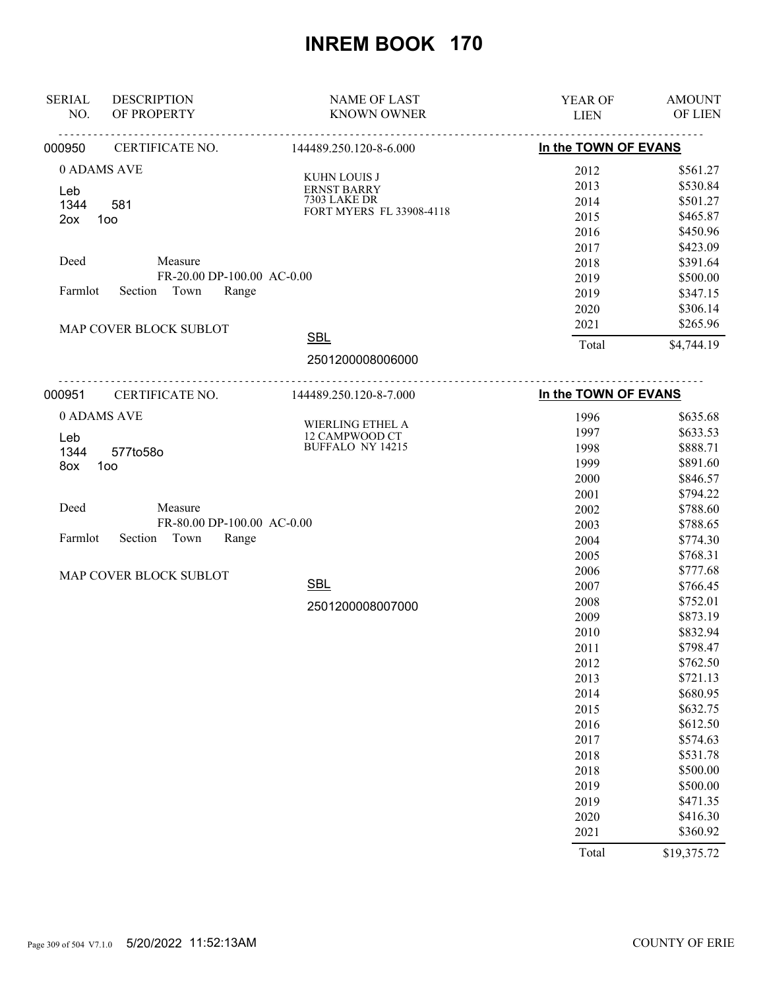| <b>SERIAL</b><br><b>DESCRIPTION</b><br>OF PROPERTY<br>NO. | <b>NAME OF LAST</b><br><b>KNOWN OWNER</b> | YEAR OF<br><b>LIEN</b> | <b>AMOUNT</b><br>OF LIEN |
|-----------------------------------------------------------|-------------------------------------------|------------------------|--------------------------|
|                                                           | <u>.</u><br>.                             |                        | <u>.</u>                 |
| CERTIFICATE NO.<br>000950                                 | 144489.250.120-8-6.000                    | In the TOWN OF EVANS   |                          |
| 0 ADAMS AVE                                               |                                           | 2012                   | \$561.27                 |
| Leb                                                       | KUHN LOUIS J<br><b>ERNST BARRY</b>        | 2013                   | \$530.84                 |
| 1344<br>581                                               | <b>7303 LAKE DR</b>                       | 2014                   | \$501.27                 |
| 100<br>2ox                                                | FORT MYERS FL 33908-4118                  | 2015                   | \$465.87                 |
|                                                           |                                           | 2016                   | \$450.96                 |
|                                                           |                                           | 2017                   | \$423.09                 |
| Deed<br>Measure                                           |                                           | 2018                   | \$391.64                 |
|                                                           | FR-20.00 DP-100.00 AC-0.00                | 2019                   | \$500.00                 |
| Town<br>Farmlot<br>Section                                | Range                                     | 2019                   | \$347.15                 |
|                                                           |                                           | 2020                   | \$306.14                 |
| MAP COVER BLOCK SUBLOT                                    |                                           | 2021                   | \$265.96                 |
|                                                           | <b>SBL</b>                                | Total                  | \$4,744.19               |
|                                                           | 2501200008006000                          |                        |                          |
| 000951<br>CERTIFICATE NO.                                 | 144489.250.120-8-7.000                    | In the TOWN OF EVANS   |                          |
| 0 ADAMS AVE                                               |                                           | 1996                   | \$635.68                 |
|                                                           | WIERLING ETHEL A                          | 1997                   | \$633.53                 |
| Leb                                                       | 12 CAMPWOOD CT<br>BUFFALO NY 14215        | 1998                   | \$888.71                 |
| 1344<br>577to58o<br>8ox<br>1oo                            |                                           | 1999                   | \$891.60                 |
|                                                           |                                           | 2000                   | \$846.57                 |
|                                                           |                                           | 2001                   | \$794.22                 |
| Deed<br>Measure                                           |                                           | 2002                   | \$788.60                 |
|                                                           | FR-80.00 DP-100.00 AC-0.00                | 2003                   | \$788.65                 |
| Farmlot<br>Section<br>Town                                | Range                                     | 2004                   | \$774.30                 |
|                                                           |                                           | 2005                   | \$768.31                 |
| MAP COVER BLOCK SUBLOT                                    |                                           | 2006                   | \$777.68                 |
|                                                           | <b>SBL</b>                                | 2007                   | \$766.45                 |
|                                                           | 2501200008007000                          | 2008                   | \$752.01                 |
|                                                           |                                           | 2009                   | \$873.19                 |
|                                                           |                                           | 2010                   | \$832.94                 |
|                                                           |                                           | 2011                   | \$798.47                 |
|                                                           |                                           | 2012                   | \$762.50                 |
|                                                           |                                           | 2013                   | \$721.13                 |
|                                                           |                                           | 2014                   | \$680.95                 |
|                                                           |                                           | 2015                   | \$632.75                 |
|                                                           |                                           | 2016                   | \$612.50                 |
|                                                           |                                           | 2017                   | \$574.63                 |
|                                                           |                                           | 2018                   | \$531.78                 |
|                                                           |                                           | 2018                   | \$500.00                 |
|                                                           |                                           | 2019                   | \$500.00                 |
|                                                           |                                           | 2019                   | \$471.35                 |
|                                                           |                                           | 2020                   | \$416.30                 |
|                                                           |                                           | 2021                   | \$360.92                 |
|                                                           |                                           | Total                  | \$19,375.72              |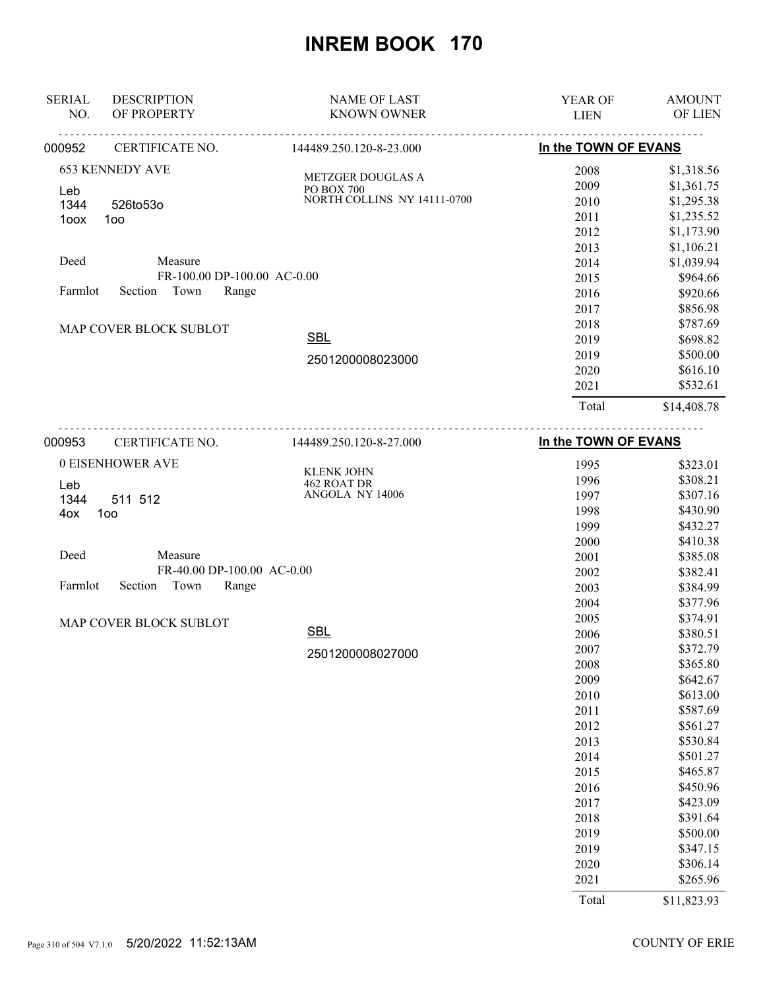| <b>SERIAL</b> | <b>DESCRIPTION</b>          | <b>NAME OF LAST</b>                           | <b>YEAR OF</b>       | <b>AMOUNT</b>  |
|---------------|-----------------------------|-----------------------------------------------|----------------------|----------------|
| NO.           | OF PROPERTY                 | <b>KNOWN OWNER</b>                            | <b>LIEN</b>          | <b>OF LIEN</b> |
| 000952        | .<br>CERTIFICATE NO.        | .<br>144489.250.120-8-23.000                  | In the TOWN OF EVANS |                |
|               | <b>653 KENNEDY AVE</b>      |                                               | 2008                 | \$1,318.56     |
|               |                             | <b>METZGER DOUGLAS A</b><br><b>PO BOX 700</b> | 2009                 | \$1,361.75     |
| Leb<br>1344   | 526to53o                    | NORTH COLLINS NY 14111-0700                   | 2010                 | \$1,295.38     |
| 1oox          | 100                         |                                               | 2011                 | \$1,235.52     |
|               |                             |                                               | 2012                 | \$1,173.90     |
|               |                             |                                               | 2013                 | \$1,106.21     |
| Deed          | Measure                     |                                               | 2014                 | \$1,039.94     |
|               | FR-100.00 DP-100.00 AC-0.00 |                                               | 2015                 | \$964.66       |
| Farmlot       | Town<br>Range<br>Section    |                                               | 2016                 | \$920.66       |
|               |                             |                                               | 2017                 | \$856.98       |
|               |                             |                                               | 2018                 | \$787.69       |
|               | MAP COVER BLOCK SUBLOT      | <b>SBL</b>                                    | 2019                 | \$698.82       |
|               |                             |                                               | 2019                 | \$500.00       |
|               |                             | 2501200008023000                              | 2020                 | \$616.10       |
|               |                             |                                               | 2021                 | \$532.61       |
|               |                             |                                               | Total                | \$14,408.78    |
| 000953        | CERTIFICATE NO.             | 144489.250.120-8-27.000                       | In the TOWN OF EVANS |                |
|               | 0 EISENHOWER AVE            |                                               | 1995                 | \$323.01       |
| Leb           |                             | <b>KLENK JOHN</b><br>462 ROAT DR              | 1996                 | \$308.21       |
| 1344          | 511 512                     | ANGOLA NY 14006                               | 1997                 | \$307.16       |
| 4ox           | 1oo                         |                                               | 1998                 | \$430.90       |
|               |                             |                                               | 1999                 | \$432.27       |
|               |                             |                                               | 2000                 | \$410.38       |

| Deed |                            | Measure |                            |  |
|------|----------------------------|---------|----------------------------|--|
|      |                            |         | FR-40.00 DP-100.00 AC-0.00 |  |
|      | Farmlot Section Town Range |         |                            |  |

MAP COVER BLOCK SUBLOT

2501200008027000

SBL

| 2001  | \$385.08    |
|-------|-------------|
| 2002  | \$382.41    |
| 2003  | \$384.99    |
| 2004  | \$377.96    |
| 2005  | \$374.91    |
| 2006  | \$380.51    |
| 2007  | \$372.79    |
| 2008  | \$365.80    |
| 2009  | \$642.67    |
| 2010  | \$613.00    |
| 2011  | \$587.69    |
| 2012  | \$561.27    |
| 2013  | \$530.84    |
| 2014  | \$501.27    |
| 2015  | \$465.87    |
| 2016  | \$450.96    |
| 2017  | \$423.09    |
| 2018  | \$391.64    |
| 2019  | \$500.00    |
| 2019  | \$347.15    |
| 2020  | \$306.14    |
| 2021  | \$265.96    |
| Total | \$11,823.93 |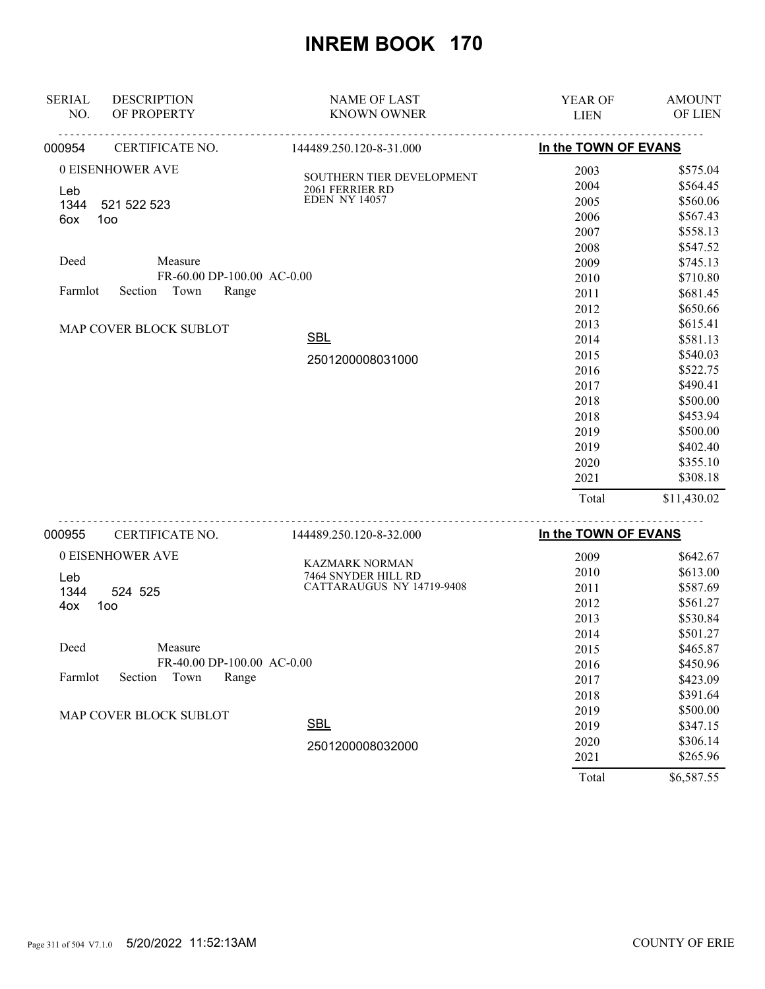| <b>SERIAL</b><br>NO. | <b>DESCRIPTION</b><br>OF PROPERTY | <b>NAME OF LAST</b><br><b>KNOWN OWNER</b> | YEAR OF<br><b>LIEN</b> | <b>AMOUNT</b><br>OF LIEN |
|----------------------|-----------------------------------|-------------------------------------------|------------------------|--------------------------|
| 000954               | CERTIFICATE NO.                   | 144489.250.120-8-31.000                   | In the TOWN OF EVANS   |                          |
|                      | 0 EISENHOWER AVE                  | SOUTHERN TIER DEVELOPMENT                 | 2003                   | \$575.04                 |
| Leb                  |                                   | 2061 FERRIER RD                           | 2004                   | \$564.45                 |
| 1344                 | 521 522 523                       | <b>EDEN NY 14057</b>                      | 2005                   | \$560.06                 |
| 6ox                  | 1oo                               |                                           | 2006                   | \$567.43                 |
|                      |                                   |                                           | 2007                   | \$558.13                 |
|                      |                                   |                                           | 2008                   | \$547.52                 |
| Deed                 | Measure                           |                                           | 2009                   | \$745.13                 |
|                      | FR-60.00 DP-100.00 AC-0.00        |                                           | 2010                   | \$710.80                 |
| Farmlot              | Town<br>Section<br>Range          |                                           | 2011                   | \$681.45                 |
|                      |                                   |                                           | 2012                   | \$650.66                 |
|                      | MAP COVER BLOCK SUBLOT            |                                           | 2013                   | \$615.41                 |
|                      |                                   | <b>SBL</b>                                | 2014                   | \$581.13                 |
|                      |                                   | 2501200008031000                          | 2015                   | \$540.03                 |
|                      |                                   |                                           | 2016                   | \$522.75                 |
|                      |                                   |                                           | 2017                   | \$490.41                 |
|                      |                                   |                                           | 2018                   | \$500.00                 |
|                      |                                   |                                           | 2018                   | \$453.94                 |
|                      |                                   |                                           | 2019                   | \$500.00                 |
|                      |                                   |                                           | 2019                   | \$402.40                 |
|                      |                                   |                                           | 2020                   | \$355.10                 |
|                      |                                   |                                           | 2021                   | \$308.18                 |
|                      |                                   |                                           | Total                  | \$11,430.02              |
|                      |                                   |                                           |                        |                          |

| 000955  | CERTIFICATE NO.               | 144489.250.120-8-32.000   | In the TOWN OF EVANS |            |
|---------|-------------------------------|---------------------------|----------------------|------------|
|         | 0 EISENHOWER AVE              | KAZMARK NORMAN            | 2009                 | \$642.67   |
| Leb     |                               | 7464 SNYDER HILL RD       | 2010                 | \$613.00   |
| 1344    | 524 525                       | CATTARAUGUS NY 14719-9408 | 2011                 | \$587.69   |
| 4ox     | 100                           |                           | 2012                 | \$561.27   |
|         |                               |                           | 2013                 | \$530.84   |
|         |                               |                           | 2014                 | \$501.27   |
| Deed    | Measure                       |                           | 2015                 | \$465.87   |
|         | FR-40.00 DP-100.00 AC-0.00    |                           | 2016                 | \$450.96   |
| Farmlot | Town<br>Range<br>Section      |                           | 2017                 | \$423.09   |
|         |                               |                           | 2018                 | \$391.64   |
|         | <b>MAP COVER BLOCK SUBLOT</b> |                           | 2019                 | \$500.00   |
|         |                               | <b>SBL</b>                | 2019                 | \$347.15   |
|         |                               | 2501200008032000          | 2020                 | \$306.14   |
|         |                               |                           | 2021                 | \$265.96   |
|         |                               |                           | Total                | \$6,587.55 |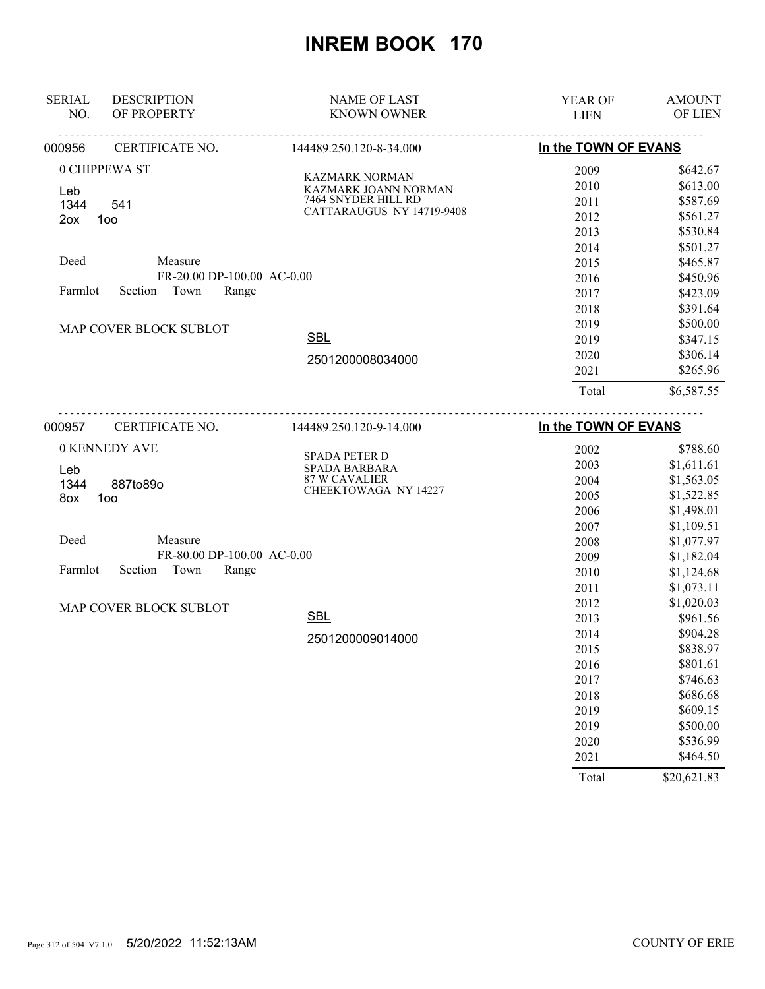| <b>SERIAL</b> | <b>DESCRIPTION</b>         | <b>NAME OF LAST</b>                           | YEAR OF              | <b>AMOUNT</b> |
|---------------|----------------------------|-----------------------------------------------|----------------------|---------------|
| NO.           | OF PROPERTY                | <b>KNOWN OWNER</b>                            | <b>LIEN</b>          | OF LIEN       |
| 000956        | CERTIFICATE NO.            | 144489.250.120-8-34.000                       | In the TOWN OF EVANS |               |
|               | 0 CHIPPEWA ST              |                                               | 2009                 | \$642.67      |
|               |                            | <b>KAZMARK NORMAN</b><br>KAZMARK JOANN NORMAN | 2010                 | \$613.00      |
| Leb<br>1344   | 541                        | 7464 SNYDER HILL RD                           | 2011                 | \$587.69      |
| 2ox           | 100                        | CATTARAUGUS NY 14719-9408                     | 2012                 | \$561.27      |
|               |                            |                                               | 2013                 | \$530.84      |
|               |                            |                                               | 2014                 | \$501.27      |
| Deed          | Measure                    |                                               | 2015                 | \$465.87      |
|               | FR-20.00 DP-100.00 AC-0.00 |                                               | 2016                 | \$450.96      |
| Farmlot       | Town<br>Section<br>Range   |                                               | 2017                 | \$423.09      |
|               |                            |                                               | 2018                 | \$391.64      |
|               | MAP COVER BLOCK SUBLOT     |                                               | 2019                 | \$500.00      |
|               |                            | <b>SBL</b>                                    | 2019                 | \$347.15      |
|               |                            | 2501200008034000                              | 2020                 | \$306.14      |
|               |                            |                                               | 2021                 | \$265.96      |
|               |                            |                                               | Total                | \$6,587.55    |
| 000957        | CERTIFICATE NO.            | 144489.250.120-9-14.000                       | In the TOWN OF EVANS |               |
|               | 0 KENNEDY AVE              |                                               | 2002                 | \$788.60      |
|               |                            | SPADA PETER D                                 | 2003                 | \$1,611.61    |
| Leb           |                            | SPADA BARBARA<br><b>87 W CAVALIER</b>         | 2004                 | \$1,563.05    |
| 1344          | 887to89o                   | CHEEKTOWAGA NY 14227                          | 2005                 | \$1,522.85    |
| 8ox           | 100                        |                                               | 2006                 | \$1,498.01    |
|               |                            |                                               | 2007                 | \$1,109.51    |
| Deed          | Measure                    |                                               | 2008                 | \$1,077.97    |
|               | FR-80.00 DP-100.00 AC-0.00 |                                               | 2009                 | \$1,182.04    |
| Farmlot       | Section<br>Town<br>Range   |                                               | 2010                 | \$1,124.68    |
|               |                            |                                               | 2011                 | \$1,073.11    |
|               |                            |                                               | 2012                 | \$1,020.03    |
|               | MAP COVER BLOCK SUBLOT     | <b>SBL</b>                                    | 2013                 | \$961.56      |
|               |                            |                                               | 2014                 | \$904.28      |
|               |                            | 2501200009014000                              | 2015                 | \$838.97      |
|               |                            |                                               | 2016                 | \$801.61      |
|               |                            |                                               | 2017                 | \$746.63      |
|               |                            |                                               | 2018                 | \$686.68      |
|               |                            |                                               | 2019                 | \$609.15      |
|               |                            |                                               | 2019                 | \$500.00      |
|               |                            |                                               | 2020                 | \$536.99      |
|               |                            |                                               | 2021                 | \$464.50      |
|               |                            |                                               | Total                | \$20,621.83   |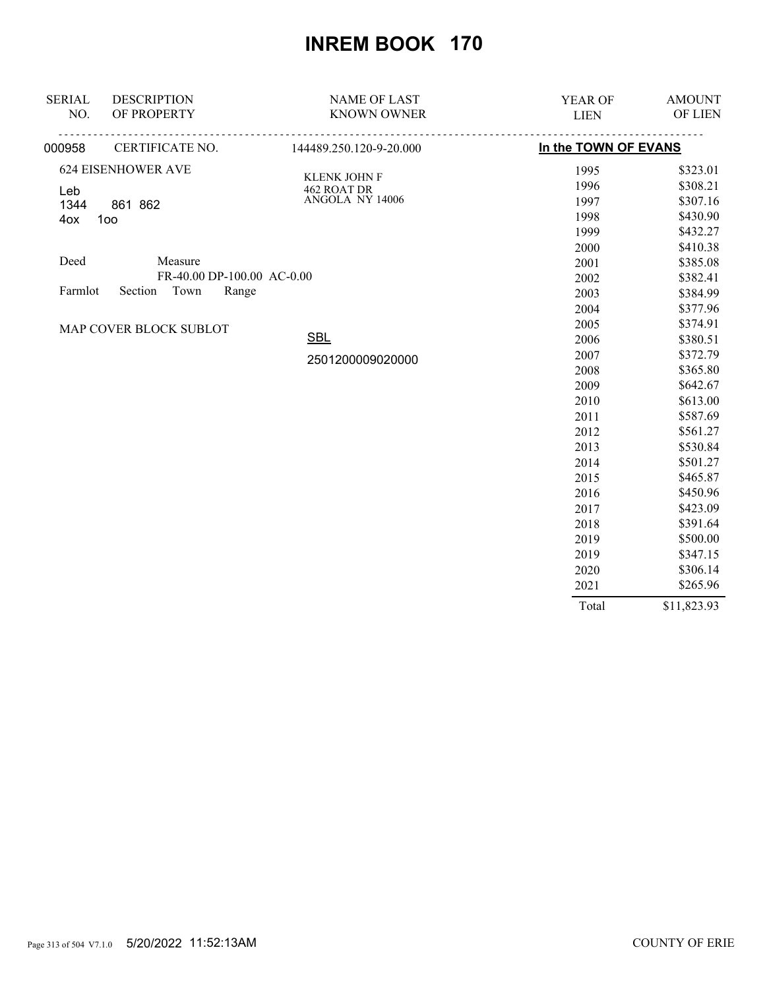| <b>SERIAL</b>          | <b>DESCRIPTION</b>         | <b>NAME OF LAST</b>         | YEAR OF              | <b>AMOUNT</b> |
|------------------------|----------------------------|-----------------------------|----------------------|---------------|
| NO.                    | OF PROPERTY                | <b>KNOWN OWNER</b>          | <b>LIEN</b>          | OF LIEN       |
| 000958                 | CERTIFICATE NO.            | 144489.250.120-9-20.000     | In the TOWN OF EVANS |               |
|                        | <b>624 EISENHOWER AVE</b>  |                             | 1995                 | \$323.01      |
|                        |                            | KLENK JOHN F<br>462 ROAT DR | 1996                 | \$308.21      |
| Leb<br>1344            | 861 862                    | ANGOLA NY 14006             | 1997                 | \$307.16      |
| 4ox                    | 100                        |                             | 1998                 | \$430.90      |
|                        |                            |                             | 1999                 | \$432.27      |
|                        |                            |                             | 2000                 | \$410.38      |
| Deed                   | Measure                    |                             | 2001                 | \$385.08      |
|                        | FR-40.00 DP-100.00 AC-0.00 |                             | 2002                 | \$382.41      |
| Farmlot                | Section<br>Town<br>Range   |                             | 2003                 | \$384.99      |
|                        |                            |                             | 2004                 | \$377.96      |
| MAP COVER BLOCK SUBLOT |                            | 2005                        | \$374.91             |               |
|                        |                            | <b>SBL</b>                  | 2006                 | \$380.51      |
|                        |                            | 2501200009020000            | 2007                 | \$372.79      |
|                        |                            |                             | 2008                 | \$365.80      |
|                        |                            |                             | 2009                 | \$642.67      |
|                        |                            |                             | 2010                 | \$613.00      |
|                        |                            |                             | 2011                 | \$587.69      |
|                        |                            |                             | 2012                 | \$561.27      |
|                        |                            |                             | 2013                 | \$530.84      |
|                        |                            |                             | 2014                 | \$501.27      |
|                        |                            |                             | 2015                 | \$465.87      |
|                        |                            |                             | 2016                 | \$450.96      |
|                        |                            |                             | 2017                 | \$423.09      |
|                        |                            |                             | 2018                 | \$391.64      |
|                        |                            |                             | 2019                 | \$500.00      |
|                        |                            |                             | 2019                 | \$347.15      |
|                        |                            |                             | 2020                 | \$306.14      |
|                        |                            |                             | 2021                 | \$265.96      |
|                        |                            |                             | Total                | \$11,823.93   |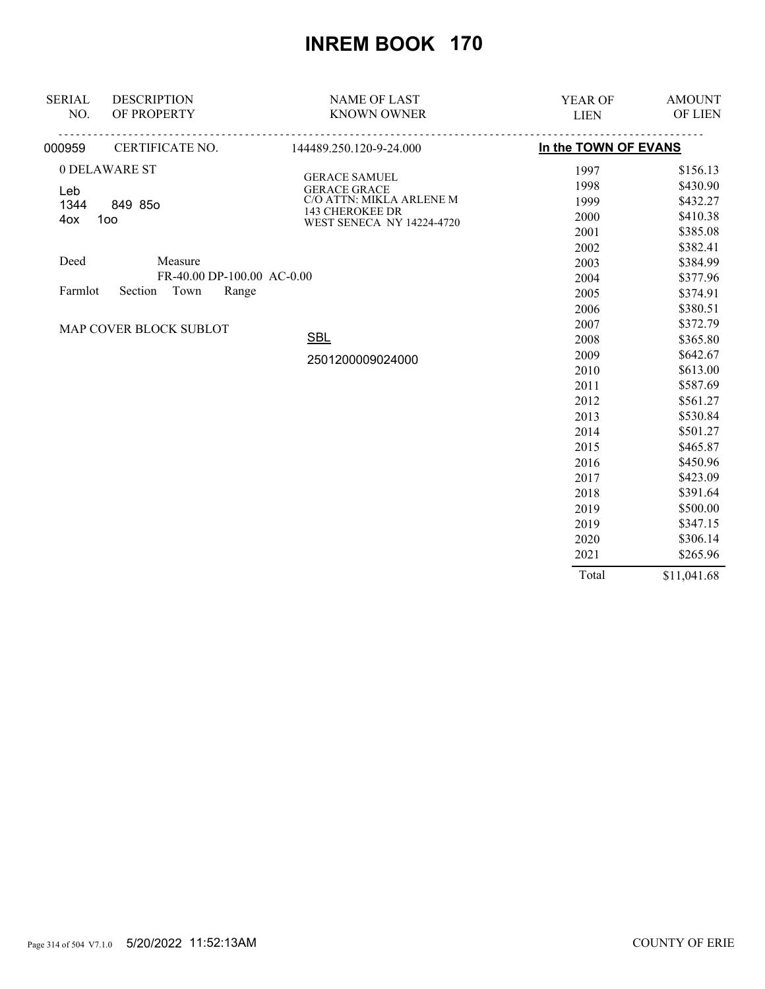| <b>SERIAL</b> | <b>DESCRIPTION</b>          | <b>NAME OF LAST</b>                          | <b>YEAR OF</b>       | <b>AMOUNT</b> |
|---------------|-----------------------------|----------------------------------------------|----------------------|---------------|
| NO.           | OF PROPERTY                 | <b>KNOWN OWNER</b>                           | <b>LIEN</b>          | OF LIEN       |
| 000959        | <u>.</u><br>CERTIFICATE NO. | <u>.</u><br>144489.250.120-9-24.000          | In the TOWN OF EVANS |               |
|               | 0 DELAWARE ST               |                                              | 1997                 | \$156.13      |
| Leb           |                             | <b>GERACE SAMUEL</b><br><b>GERACE GRACE</b>  | 1998                 | \$430.90      |
| 1344          | 849 85o                     | C/O ATTN: MIKLA ARLENE M                     | 1999                 | \$432.27      |
| 4ox           | 100                         | 143 CHEROKEE DR<br>WEST SENECA NY 14224-4720 | 2000                 | \$410.38      |
|               |                             |                                              | 2001                 | \$385.08      |
|               |                             |                                              | 2002                 | \$382.41      |
| Deed          | Measure                     |                                              | 2003                 | \$384.99      |
|               | FR-40.00 DP-100.00 AC-0.00  |                                              | 2004                 | \$377.96      |
| Farmlot       | Town<br>Section<br>Range    |                                              | 2005                 | \$374.91      |
|               |                             |                                              | 2006                 | \$380.51      |
|               | MAP COVER BLOCK SUBLOT      |                                              | 2007                 | \$372.79      |
|               |                             | <b>SBL</b>                                   | 2008                 | \$365.80      |
|               |                             | 2501200009024000                             | 2009                 | \$642.67      |
|               |                             |                                              | 2010                 | \$613.00      |
|               |                             |                                              | 2011                 | \$587.69      |
|               |                             |                                              | 2012                 | \$561.27      |
|               |                             |                                              | 2013                 | \$530.84      |
|               |                             |                                              | 2014                 | \$501.27      |
|               |                             |                                              | 2015                 | \$465.87      |
|               |                             |                                              | 2016                 | \$450.96      |
|               |                             |                                              | 2017                 | \$423.09      |
|               |                             |                                              | 2018                 | \$391.64      |
|               |                             |                                              | 2019                 | \$500.00      |
|               |                             |                                              | 2019                 | \$347.15      |
|               |                             |                                              | 2020                 | \$306.14      |
|               |                             |                                              | 2021                 | \$265.96      |
|               |                             |                                              | Total                | \$11,041.68   |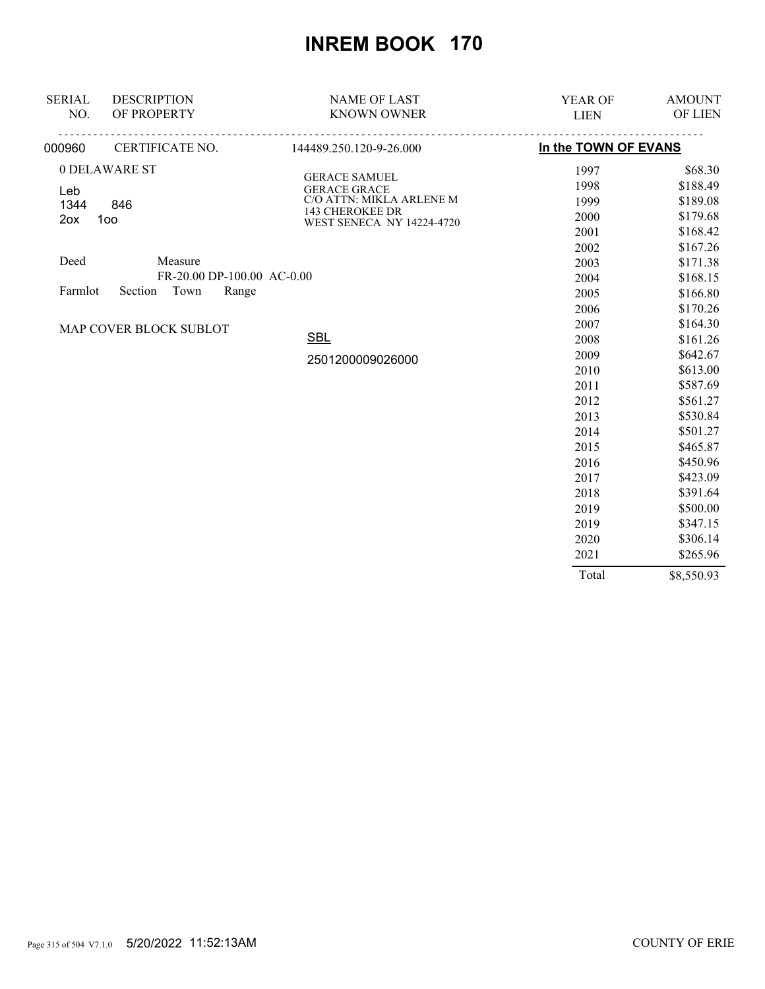| <b>SERIAL</b> | <b>DESCRIPTION</b>          | <b>NAME OF LAST</b>                         | YEAR OF              | <b>AMOUNT</b> |
|---------------|-----------------------------|---------------------------------------------|----------------------|---------------|
| NO.           | OF PROPERTY                 | <b>KNOWN OWNER</b>                          | <b>LIEN</b>          | OF LIEN       |
| 000960        | <u>.</u><br>CERTIFICATE NO. | <u>.</u><br>144489.250.120-9-26.000         | In the TOWN OF EVANS |               |
|               | 0 DELAWARE ST               |                                             | 1997                 | \$68.30       |
| Leb           |                             | <b>GERACE SAMUEL</b><br><b>GERACE GRACE</b> | 1998                 | \$188.49      |
| 1344          | 846                         | C/O ATTN: MIKLA ARLENE M                    | 1999                 | \$189.08      |
| 2ox           | 100                         | 143 CHEROKEE DR                             | 2000                 | \$179.68      |
|               | WEST SENECA NY 14224-4720   | 2001                                        | \$168.42             |               |
|               |                             |                                             | 2002                 | \$167.26      |
| Deed          | Measure                     |                                             | 2003                 | \$171.38      |
|               | FR-20.00 DP-100.00 AC-0.00  |                                             | 2004                 | \$168.15      |
| Farmlot       | Town<br>Section<br>Range    |                                             | 2005                 | \$166.80      |
|               |                             |                                             | 2006                 | \$170.26      |
|               | MAP COVER BLOCK SUBLOT      |                                             | 2007                 | \$164.30      |
|               |                             | <b>SBL</b>                                  | 2008                 | \$161.26      |
|               |                             | 2501200009026000                            | 2009                 | \$642.67      |
|               |                             |                                             | 2010                 | \$613.00      |
|               |                             |                                             | 2011                 | \$587.69      |
|               |                             |                                             | 2012                 | \$561.27      |
|               |                             |                                             | 2013                 | \$530.84      |
|               |                             |                                             | 2014                 | \$501.27      |
|               |                             |                                             | 2015                 | \$465.87      |
|               |                             |                                             | 2016                 | \$450.96      |
|               |                             |                                             | 2017                 | \$423.09      |
|               |                             |                                             | 2018                 | \$391.64      |
|               |                             |                                             | 2019                 | \$500.00      |
|               |                             |                                             | 2019                 | \$347.15      |
|               |                             |                                             | 2020                 | \$306.14      |
|               |                             |                                             | 2021                 | \$265.96      |
|               |                             |                                             | Total                | \$8,550.93    |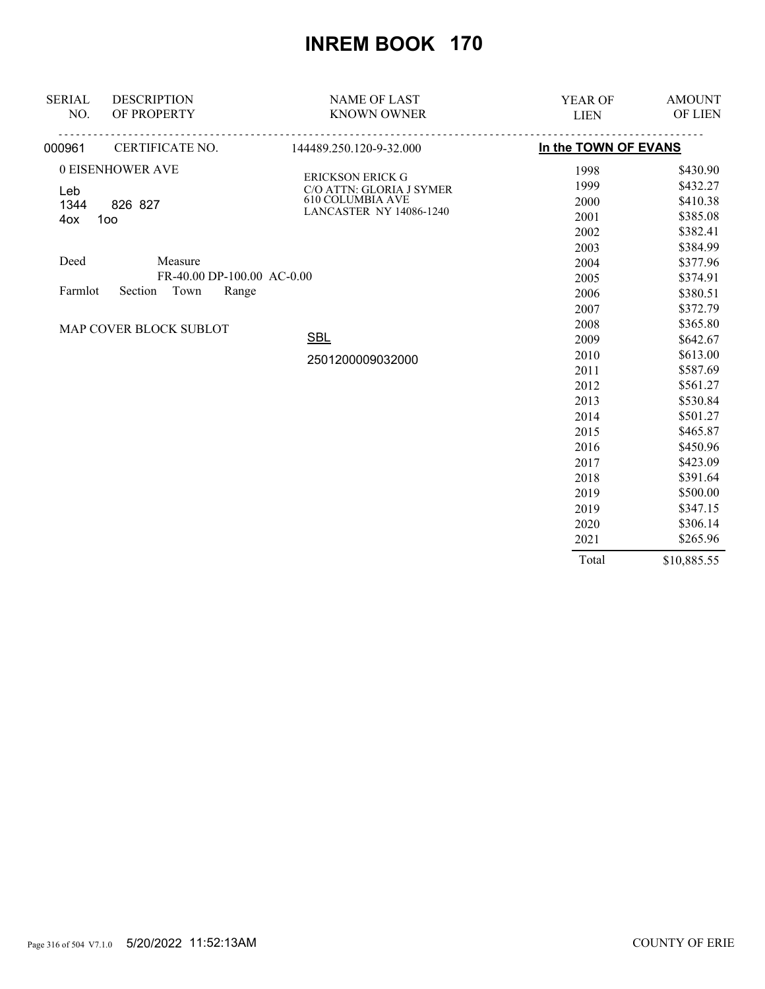| <b>SERIAL</b><br>NO.                | <b>DESCRIPTION</b><br>OF PROPERTY | <b>NAME OF LAST</b><br><b>KNOWN OWNER</b>           | YEAR OF<br><b>LIEN</b> | <b>AMOUNT</b><br>OF LIEN |
|-------------------------------------|-----------------------------------|-----------------------------------------------------|------------------------|--------------------------|
| 000961                              | CERTIFICATE NO.                   | 144489.250.120-9-32.000                             | In the TOWN OF EVANS   |                          |
|                                     | 0 EISENHOWER AVE                  |                                                     | 1998                   | \$430.90                 |
|                                     |                                   | <b>ERICKSON ERICK G</b>                             | 1999                   | \$432.27                 |
| Leb                                 |                                   | C/O ATTN: GLORIA J SYMER<br><b>610 COLUMBIA AVE</b> | 2000                   | \$410.38                 |
| 1344<br>4ox                         | 826 827<br>100                    | <b>LANCASTER NY 14086-1240</b>                      | 2001                   | \$385.08                 |
|                                     |                                   |                                                     | 2002                   | \$382.41                 |
|                                     |                                   | 2003                                                | \$384.99               |                          |
| Deed                                | Measure                           |                                                     | 2004                   | \$377.96                 |
|                                     | FR-40.00 DP-100.00 AC-0.00        |                                                     | 2005                   | \$374.91                 |
| Town<br>Section<br>Range<br>Farmlot |                                   | 2006                                                | \$380.51               |                          |
|                                     |                                   |                                                     | 2007                   | \$372.79                 |
|                                     | MAP COVER BLOCK SUBLOT            |                                                     | 2008                   | \$365.80                 |
|                                     | <b>SBL</b>                        | 2009                                                | \$642.67               |                          |
|                                     |                                   | 2501200009032000                                    | 2010                   | \$613.00                 |
|                                     |                                   |                                                     | 2011                   | \$587.69                 |
|                                     |                                   |                                                     | 2012                   | \$561.27                 |
|                                     |                                   |                                                     | 2013                   | \$530.84                 |
|                                     |                                   |                                                     | 2014                   | \$501.27                 |
|                                     |                                   |                                                     | 2015                   | \$465.87                 |
|                                     |                                   |                                                     | 2016                   | \$450.96                 |
|                                     |                                   |                                                     | 2017                   | \$423.09                 |
|                                     |                                   |                                                     | 2018                   | \$391.64                 |
|                                     |                                   |                                                     | 2019                   | \$500.00                 |
|                                     |                                   |                                                     | 2019                   | \$347.15                 |
|                                     |                                   |                                                     | 2020                   | \$306.14                 |
|                                     |                                   |                                                     | 2021                   | \$265.96                 |
|                                     |                                   |                                                     | Total                  | \$10,885.55              |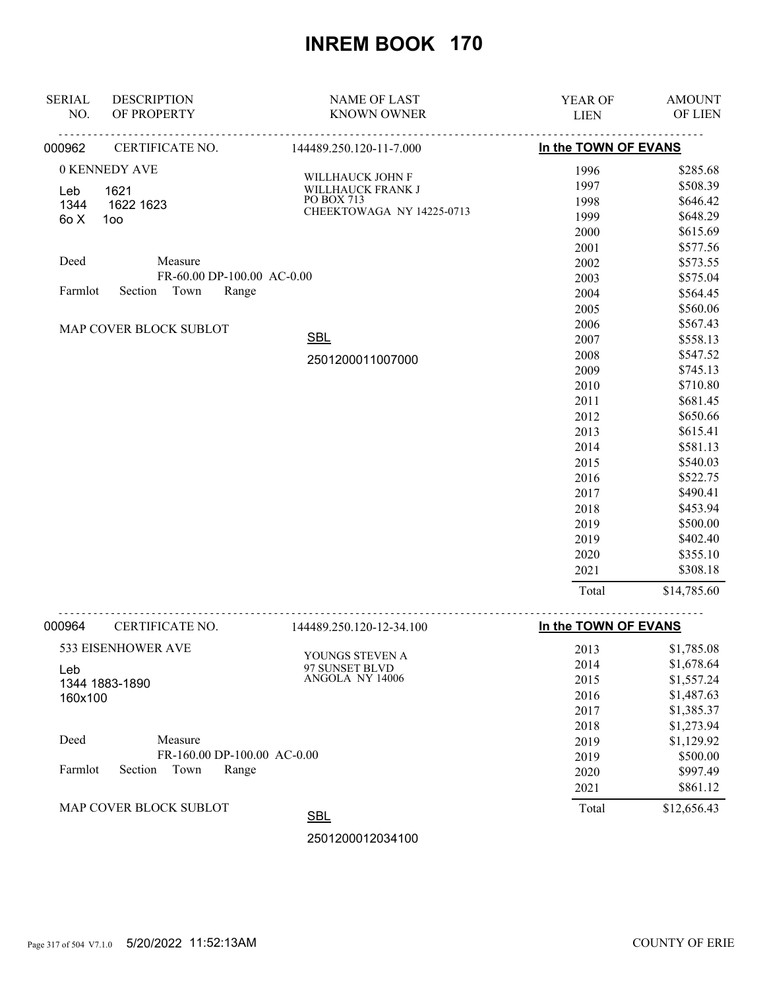| <b>SERIAL</b>          | <b>DESCRIPTION</b>         | <b>NAME OF LAST</b>       | YEAR OF              | <b>AMOUNT</b> |
|------------------------|----------------------------|---------------------------|----------------------|---------------|
| NO.                    | OF PROPERTY                | <b>KNOWN OWNER</b>        | <b>LIEN</b>          | OF LIEN       |
| 000962                 | CERTIFICATE NO.            | 144489.250.120-11-7.000   | In the TOWN OF EVANS |               |
|                        | 0 KENNEDY AVE              | WILLHAUCK JOHN F          | 1996                 | \$285.68      |
| Leb                    | 1621                       | WILLHAUCK FRANK J         | 1997                 | \$508.39      |
| 1344                   | 1622 1623                  | PO BOX 713                | 1998                 | \$646.42      |
| 6o X                   | 100                        | CHEEKTOWAGA NY 14225-0713 | 1999                 | \$648.29      |
|                        |                            |                           | 2000                 | \$615.69      |
|                        |                            |                           | 2001                 | \$577.56      |
| Deed                   | Measure                    |                           | 2002                 | \$573.55      |
|                        | FR-60.00 DP-100.00 AC-0.00 |                           | 2003                 | \$575.04      |
| Farmlot                | Town<br>Section<br>Range   |                           | 2004                 | \$564.45      |
|                        |                            |                           | 2005                 | \$560.06      |
| MAP COVER BLOCK SUBLOT |                            |                           | 2006                 | \$567.43      |
|                        |                            | <b>SBL</b>                | 2007                 | \$558.13      |
|                        |                            | 2501200011007000          | 2008                 | \$547.52      |
|                        |                            |                           | 2009                 | \$745.13      |
|                        |                            |                           | 2010                 | \$710.80      |
|                        |                            |                           | 2011                 | \$681.45      |
|                        |                            |                           | 2012                 | \$650.66      |
|                        |                            |                           | 2013                 | \$615.41      |
|                        |                            |                           | 2014                 | \$581.13      |
|                        |                            |                           | 2015                 | \$540.03      |
|                        |                            |                           | 2016                 | \$522.75      |
|                        |                            |                           | 2017                 | \$490.41      |
|                        |                            |                           | 2018                 | \$453.94      |
|                        |                            |                           | 2019                 | \$500.00      |
|                        |                            |                           | 2019                 | \$402.40      |
|                        |                            |                           | 2020                 | \$355.10      |
|                        |                            |                           | 2021                 | \$308.18      |
|                        |                            |                           | Total                | \$14,785.60   |
| 000964                 | CERTIFICATE NO.            | 144489.250.120-12-34.100  | In the TOWN OF EVANS |               |
|                        | 533 EISENHOWER AVE         | VOLDICS STEVENLA          | 2013                 | \$1,785.08    |

| MAP COVER BLOCK SUBLOT              | <b>SBL</b>      | Total | \$12,656.43 |
|-------------------------------------|-----------------|-------|-------------|
|                                     |                 | 2021  | \$861.12    |
| Farmlot<br>Section<br>Town<br>Range |                 | 2020  | \$997.49    |
| FR-160.00 DP-100.00 AC-0.00         |                 | 2019  | \$500.00    |
| Deed<br>Measure                     |                 | 2019  | \$1,129.92  |
|                                     |                 | 2018  | \$1,273.94  |
|                                     |                 | 2017  | \$1,385.37  |
| 160x100                             |                 | 2016  | \$1,487.63  |
| 1344 1883-1890                      | ANGOLA NY 14006 | 2015  | \$1,557.24  |
| Leb                                 | 97 SUNSET BLVD  | 2014  | \$1,678.64  |
| 533 EISENHUWEK AVE                  | YOUNGS STEVEN A | 2013  | \$1,785.08  |

2501200012034100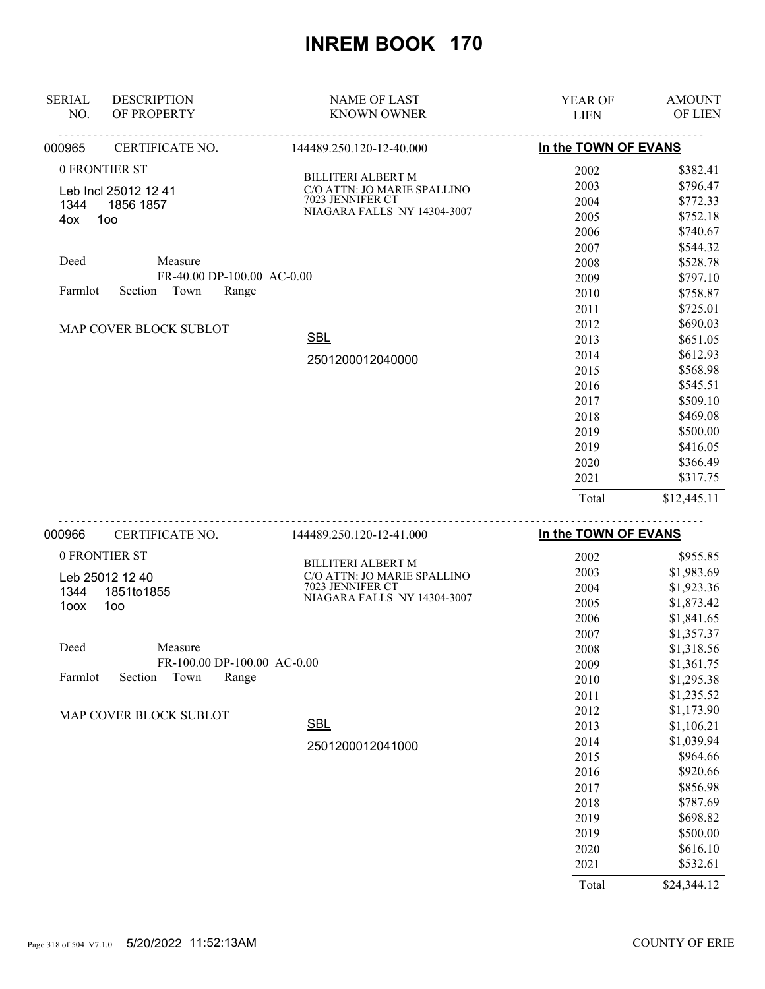| <b>SERIAL</b> | <b>DESCRIPTION</b>         | <b>NAME OF LAST</b>         | <b>YEAR OF</b>       | <b>AMOUNT</b>  |
|---------------|----------------------------|-----------------------------|----------------------|----------------|
| NO.           | OF PROPERTY                | <b>KNOWN OWNER</b>          | <b>LIEN</b>          | <b>OF LIEN</b> |
| 000965        | CERTIFICATE NO.            | 144489.250.120-12-40.000    | In the TOWN OF EVANS |                |
|               | 0 FRONTIER ST              | <b>BILLITERI ALBERT M</b>   | 2002                 | \$382.41       |
|               | Leb Incl 25012 12 41       | C/O ATTN: JO MARIE SPALLINO | 2003                 | \$796.47       |
| 1344          | 1856 1857                  | 7023 JENNIFER CT            | 2004                 | \$772.33       |
| 4ox           | 100                        | NIAGARA FALLS NY 14304-3007 | 2005                 | \$752.18       |
|               |                            |                             | 2006                 | \$740.67       |
|               |                            |                             | 2007                 | \$544.32       |
| Deed          | Measure                    |                             | 2008                 | \$528.78       |
|               | FR-40.00 DP-100.00 AC-0.00 |                             | 2009                 | \$797.10       |
| Farmlot       | Town<br>Range<br>Section   |                             | 2010                 | \$758.87       |
|               |                            |                             | 2011                 | \$725.01       |
|               | MAP COVER BLOCK SUBLOT     |                             | 2012                 | \$690.03       |
|               |                            | <b>SBL</b>                  | 2013                 | \$651.05       |
|               |                            | 2501200012040000            | 2014                 | \$612.93       |
|               |                            |                             | 2015                 | \$568.98       |
|               |                            |                             | 2016                 | \$545.51       |
|               |                            |                             | 2017                 | \$509.10       |
|               |                            |                             | 2018                 | \$469.08       |
|               |                            |                             | 2019                 | \$500.00       |
|               |                            |                             | 2019                 | \$416.05       |
|               |                            |                             | 2020                 | \$366.49       |
|               |                            |                             | 2021                 | \$317.75       |
|               |                            |                             | Total                | \$12,445.11    |
|               |                            |                             |                      |                |

| 000966  | CERTIFICATE NO.        | 144489.250.120-12-41.000    | In the TOWN OF EVANS |             |
|---------|------------------------|-----------------------------|----------------------|-------------|
|         | 0 FRONTIER ST          | <b>BILLITERI ALBERT M</b>   | 2002                 | \$955.85    |
|         | Leb 25012 12 40        | C/O ATTN: JO MARIE SPALLINO | 2003                 | \$1,983.69  |
| 1344    | 1851to1855             | 7023 JENNIFER CT            | 2004                 | \$1,923.36  |
| 1oox    | 1oo                    | NIAGARA FALLS NY 14304-3007 | 2005                 | \$1,873.42  |
|         |                        |                             | 2006                 | \$1,841.65  |
|         |                        |                             | 2007                 | \$1,357.37  |
| Deed    | Measure                |                             | 2008                 | \$1,318.56  |
|         |                        | FR-100.00 DP-100.00 AC-0.00 | 2009                 | \$1,361.75  |
| Farmlot | Town<br>Section        | Range                       | 2010                 | \$1,295.38  |
|         |                        |                             | 2011                 | \$1,235.52  |
|         | MAP COVER BLOCK SUBLOT |                             | 2012                 | \$1,173.90  |
|         |                        | <b>SBL</b>                  | 2013                 | \$1,106.21  |
|         |                        | 2501200012041000            | 2014                 | \$1,039.94  |
|         |                        |                             | 2015                 | \$964.66    |
|         |                        |                             | 2016                 | \$920.66    |
|         |                        |                             | 2017                 | \$856.98    |
|         |                        |                             | 2018                 | \$787.69    |
|         |                        |                             | 2019                 | \$698.82    |
|         |                        |                             | 2019                 | \$500.00    |
|         |                        |                             | 2020                 | \$616.10    |
|         |                        |                             | 2021                 | \$532.61    |
|         |                        |                             | Total                | \$24,344.12 |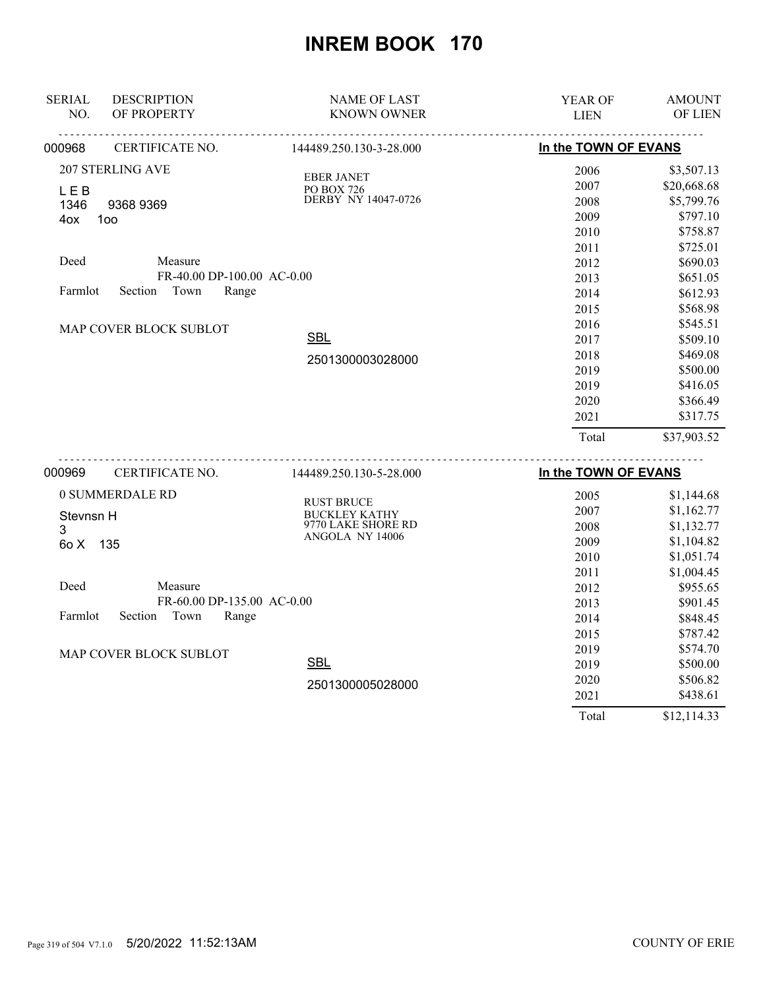| <b>SERIAL</b> | <b>DESCRIPTION</b>         | <b>NAME OF LAST</b>                   | YEAR OF              | <b>AMOUNT</b> |
|---------------|----------------------------|---------------------------------------|----------------------|---------------|
| NO.           | OF PROPERTY                | <b>KNOWN OWNER</b>                    | <b>LIEN</b>          | OF LIEN       |
| 000968        | CERTIFICATE NO.            | 144489.250.130-3-28.000               | In the TOWN OF EVANS |               |
|               | <b>207 STERLING AVE</b>    | <b>EBER JANET</b>                     | 2006                 | \$3,507.13    |
| <b>LEB</b>    |                            | PO BOX 726                            | 2007                 | \$20,668.68   |
| 1346          | 9368 9369                  | DERBY NY 14047-0726                   | 2008                 | \$5,799.76    |
| 4ox           | 100                        |                                       | 2009                 | \$797.10      |
|               |                            |                                       | 2010                 | \$758.87      |
|               |                            |                                       | 2011                 | \$725.01      |
| Deed          | Measure                    |                                       | 2012                 | \$690.03      |
|               | FR-40.00 DP-100.00 AC-0.00 |                                       | 2013                 | \$651.05      |
| Farmlot       | Town<br>Section<br>Range   |                                       | 2014                 | \$612.93      |
|               |                            |                                       | 2015                 | \$568.98      |
|               | MAP COVER BLOCK SUBLOT     |                                       | 2016                 | \$545.51      |
|               |                            | <b>SBL</b>                            | 2017                 | \$509.10      |
|               |                            | 2501300003028000                      | 2018                 | \$469.08      |
|               |                            |                                       | 2019                 | \$500.00      |
|               |                            |                                       | 2019                 | \$416.05      |
|               |                            |                                       | 2020                 | \$366.49      |
|               |                            |                                       | 2021                 | \$317.75      |
|               |                            |                                       | Total                | \$37,903.52   |
| 000969        | CERTIFICATE NO.            | 144489.250.130-5-28.000               | In the TOWN OF EVANS |               |
|               |                            |                                       |                      |               |
|               | 0 SUMMERDALE RD            | <b>RUST BRUCE</b>                     | 2005                 | \$1,144.68    |
| Stevnsn H     |                            | <b>BUCKLEY KATHY</b>                  | 2007                 | \$1,162.77    |
| 3             |                            | 9770 LAKE SHORE RD<br>ANGOLA NY 14006 | 2008                 | \$1,132.77    |
| 60 X          | - 135                      |                                       | 2009                 | \$1,104.82    |
|               |                            |                                       | 2010                 | \$1,051.74    |
|               |                            |                                       | 2011                 | \$1,004.45    |
| Deed          | Measure                    |                                       | 2012                 | \$955.65      |
|               | FR-60.00 DP-135.00 AC-0.00 |                                       | 2013                 | \$901.45      |
| Farmlot       | Section<br>Town<br>Range   |                                       | 2014                 | \$848.45      |
|               |                            |                                       | 2015                 | \$787.42      |
|               | MAP COVER BLOCK SUBLOT     |                                       | 2019                 | \$574.70      |
|               |                            | <b>SBL</b>                            | 2019                 | \$500.00      |
|               |                            | 2501300005028000                      | 2020                 | \$506.82      |
|               |                            |                                       | 2021                 | \$438.61      |

Total \$12,114.33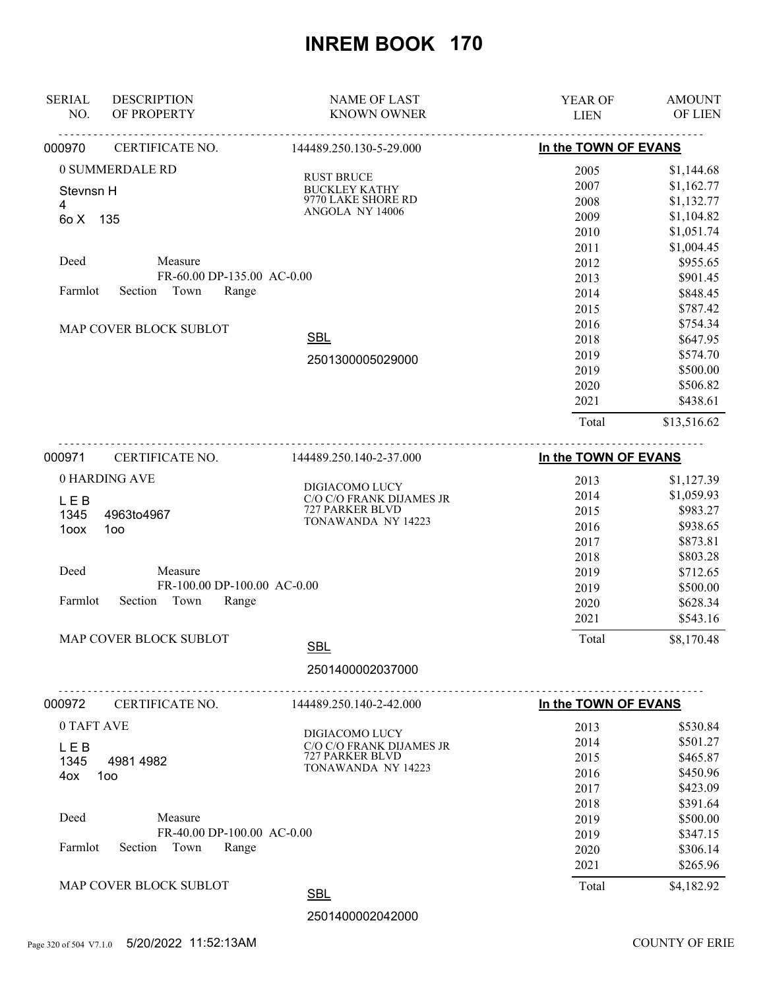| <b>DESCRIPTION</b><br><b>SERIAL</b><br>OF PROPERTY<br>NO. | <b>NAME OF LAST</b><br><b>KNOWN OWNER</b> | YEAR OF<br><b>LIEN</b> | <b>AMOUNT</b><br>OF LIEN |
|-----------------------------------------------------------|-------------------------------------------|------------------------|--------------------------|
|                                                           |                                           |                        |                          |
| CERTIFICATE NO.<br>000970                                 | 144489.250.130-5-29.000                   | In the TOWN OF EVANS   |                          |
| 0 SUMMERDALE RD                                           | <b>RUST BRUCE</b>                         | 2005                   | \$1,144.68               |
| Stevnsn H                                                 | <b>BUCKLEY KATHY</b>                      | 2007                   | \$1,162.77               |
| 4                                                         | 9770 LAKE SHORE RD<br>ANGOLA NY 14006     | 2008                   | \$1,132.77               |
| 60 X<br>135                                               |                                           | 2009                   | \$1,104.82               |
|                                                           |                                           | 2010                   | \$1,051.74               |
| Deed<br>Measure                                           |                                           | 2011                   | \$1,004.45               |
| FR-60.00 DP-135.00 AC-0.00                                |                                           | 2012<br>2013           | \$955.65<br>\$901.45     |
| Farmlot<br>Section<br>Town<br>Range                       |                                           | 2014                   | \$848.45                 |
|                                                           |                                           | 2015                   | \$787.42                 |
|                                                           |                                           | 2016                   | \$754.34                 |
| MAP COVER BLOCK SUBLOT                                    | <b>SBL</b>                                | 2018                   | \$647.95                 |
|                                                           |                                           | 2019                   | \$574.70                 |
|                                                           | 2501300005029000                          | 2019                   | \$500.00                 |
|                                                           |                                           | 2020                   | \$506.82                 |
|                                                           |                                           | 2021                   | \$438.61                 |
|                                                           |                                           | Total                  | \$13,516.62              |
|                                                           |                                           |                        |                          |
| 000971<br>CERTIFICATE NO.                                 | 144489.250.140-2-37.000                   | In the TOWN OF EVANS   |                          |
| 0 HARDING AVE                                             | DIGIACOMO LUCY                            | 2013                   | \$1,127.39               |
| <b>LEB</b>                                                | C/O C/O FRANK DIJAMES JR                  | 2014                   | \$1,059.93               |
| 1345<br>4963to4967                                        | 727 PARKER BLVD                           | 2015                   | \$983.27                 |
| 1oox<br>100                                               | TONAWANDA NY 14223                        | 2016                   | \$938.65                 |
|                                                           |                                           | 2017                   | \$873.81                 |
|                                                           |                                           | 2018                   | \$803.28                 |
| Deed<br>Measure                                           |                                           | 2019                   | \$712.65                 |
| FR-100.00 DP-100.00 AC-0.00                               |                                           | 2019                   | \$500.00                 |
| Section<br>Town<br>Range<br>Farmlot                       |                                           | 2020                   | \$628.34                 |
|                                                           |                                           | 2021                   | \$543.16                 |
| MAP COVER BLOCK SUBLOT                                    | <b>SBL</b>                                | Total                  | \$8,170.48               |
|                                                           | 2501400002037000                          |                        |                          |
|                                                           | .                                         |                        |                          |
| 000972<br>CERTIFICATE NO.                                 | 144489.250.140-2-42.000                   | In the TOWN OF EVANS   |                          |
| 0 TAFT AVE                                                | DIGIACOMO LUCY                            | 2013                   | \$530.84                 |
| LEB                                                       | C/O C/O FRANK DIJAMES JR                  | 2014                   | \$501.27                 |
| 1345<br>4981 4982                                         | 727 PARKER BLVD                           | 2015                   | \$465.87                 |
| 100<br>4ox                                                | TONAWANDA NY 14223                        | 2016                   | \$450.96                 |
|                                                           |                                           | 2017                   | \$423.09                 |
|                                                           |                                           | 2018                   | \$391.64                 |
| Deed<br>Measure                                           |                                           | 2019                   | \$500.00                 |
| FR-40.00 DP-100.00 AC-0.00                                |                                           | 2019                   | \$347.15                 |
| Town<br>Farmlot<br>Section<br>Range                       |                                           | 2020                   | \$306.14                 |
|                                                           |                                           | 2021                   | \$265.96                 |
| MAP COVER BLOCK SUBLOT                                    | <b>SBL</b>                                | Total                  | \$4,182.92               |
|                                                           | 2501400002042000                          |                        |                          |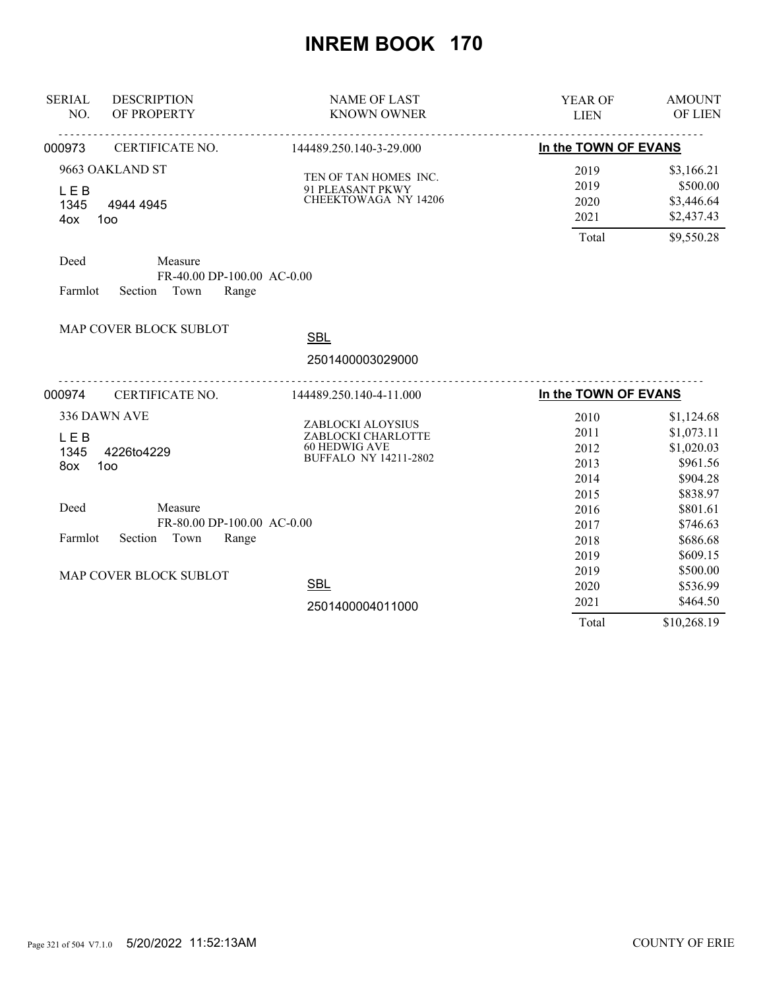| <b>SERIAL</b><br>NO.                         | <b>DESCRIPTION</b><br>OF PROPERTY                                                                        | <b>NAME OF LAST</b><br><b>KNOWN OWNER</b>                                                       | <b>YEAR OF</b><br><b>LIEN</b>                | <b>AMOUNT</b><br>OF LIEN                                                   |
|----------------------------------------------|----------------------------------------------------------------------------------------------------------|-------------------------------------------------------------------------------------------------|----------------------------------------------|----------------------------------------------------------------------------|
| 000973                                       | <b>CERTIFICATE NO.</b>                                                                                   | 144489.250.140-3-29.000                                                                         | In the TOWN OF EVANS                         |                                                                            |
| <b>LEB</b><br>1345<br>4ox<br>Deed<br>Farmlot | 9663 OAKLAND ST<br>4944 4945<br>100<br>Measure<br>FR-40.00 DP-100.00 AC-0.00<br>Section<br>Town<br>Range | TEN OF TAN HOMES INC.<br>91 PLEASANT PKWY<br><b>CHEEKTOWAGA NY 14206</b>                        | 2019<br>2019<br>2020<br>2021<br>Total        | \$3,166.21<br>\$500.00<br>\$3,446.64<br>\$2,437.43<br>\$9,550.28           |
|                                              | MAP COVER BLOCK SUBLOT                                                                                   | <b>SBL</b><br>2501400003029000                                                                  |                                              |                                                                            |
| 000974                                       | CERTIFICATE NO.                                                                                          | 144489.250.140-4-11.000                                                                         | In the TOWN OF EVANS                         |                                                                            |
| <b>LEB</b><br>1345<br>8ox                    | 336 DAWN AVE<br>4226to4229<br>100                                                                        | ZABLOCKI ALOYSIUS<br>ZABLOCKI CHARLOTTE<br><b>60 HEDWIG AVE</b><br><b>BUFFALO NY 14211-2802</b> | 2010<br>2011<br>2012<br>2013<br>2014<br>2015 | \$1,124.68<br>\$1,073.11<br>\$1,020.03<br>\$961.56<br>\$904.28<br>\$838.97 |
| Deed<br>Farmlot                              | Measure<br>FR-80.00 DP-100.00 AC-0.00<br>Section<br>Town<br>Range                                        |                                                                                                 | 2016<br>2017<br>2018                         | \$801.61<br>\$746.63<br>\$686.68                                           |
|                                              | MAP COVER BLOCK SUBLOT                                                                                   | <b>SBL</b>                                                                                      | 2019<br>2019<br>2020<br>2021                 | \$609.15<br>\$500.00<br>\$536.99<br>\$464.50                               |
|                                              |                                                                                                          | 2501400004011000                                                                                | Total                                        | \$10,268.19                                                                |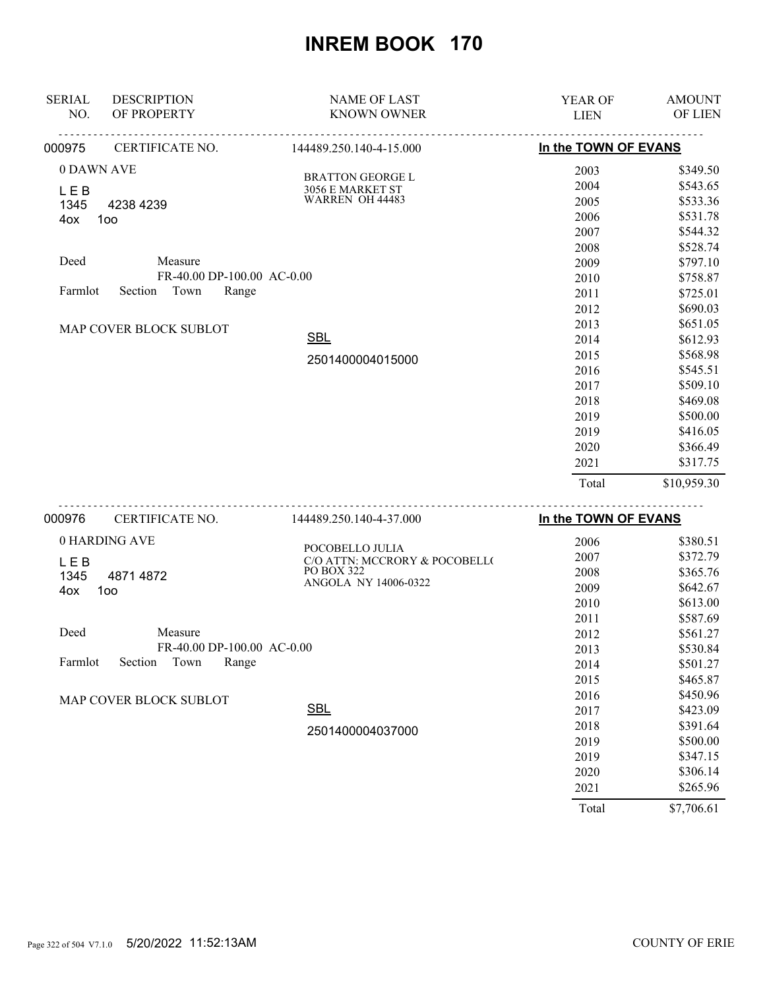| <b>SERIAL</b> | <b>DESCRIPTION</b>         | <b>NAME OF LAST</b>                              | YEAR OF              | <b>AMOUNT</b>     |
|---------------|----------------------------|--------------------------------------------------|----------------------|-------------------|
| NO.           | OF PROPERTY                | <b>KNOWN OWNER</b>                               | <b>LIEN</b>          | OF LIEN           |
| 000975        | CERTIFICATE NO.            | 144489.250.140-4-15.000                          | In the TOWN OF EVANS |                   |
| 0 DAWN AVE    |                            | <b>BRATTON GEORGE L</b>                          | 2003                 | \$349.50          |
| <b>LEB</b>    |                            | 3056 E MARKET ST                                 | 2004                 | \$543.65          |
| 1345          | 4238 4239                  | WARREN OH 44483                                  | 2005                 | \$533.36          |
| 4ox           | 100                        |                                                  | 2006                 | \$531.78          |
|               |                            |                                                  | 2007                 | \$544.32          |
|               |                            |                                                  | 2008                 | \$528.74          |
| Deed          | Measure                    |                                                  | 2009                 | \$797.10          |
|               | FR-40.00 DP-100.00 AC-0.00 |                                                  | 2010                 | \$758.87          |
| Farmlot       | Town<br>Section<br>Range   |                                                  | 2011                 | \$725.01          |
|               |                            |                                                  | 2012                 | \$690.03          |
|               | MAP COVER BLOCK SUBLOT     |                                                  | 2013                 | \$651.05          |
|               |                            | <b>SBL</b>                                       | 2014                 | \$612.93          |
|               |                            | 2501400004015000                                 | 2015                 | \$568.98          |
|               |                            |                                                  | 2016                 | \$545.51          |
|               |                            |                                                  | 2017                 | \$509.10          |
|               |                            |                                                  | 2018                 | \$469.08          |
|               |                            |                                                  | 2019                 | \$500.00          |
|               |                            |                                                  | 2019                 | \$416.05          |
|               |                            |                                                  | 2020                 | \$366.49          |
|               |                            |                                                  | 2021                 | \$317.75          |
|               |                            |                                                  | Total                | \$10,959.30       |
| 000976        | CERTIFICATE NO.            | 144489.250.140-4-37.000                          | In the TOWN OF EVANS |                   |
|               | 0 HARDING AVE              |                                                  | 2006                 | \$380.51          |
|               |                            | POCOBELLO JULIA<br>C/O ATTN: MCCRORY & POCOBELL( | 2007                 | \$372.79          |
| LEB<br>1345   | 4871 4872                  | PO BOX 322                                       | 2008                 | \$365.76          |
| 4ox           | 100                        | ANGOLA NY 14006-0322                             | 2009                 | \$642.67          |
|               |                            |                                                  | 2010                 | \$613.00          |
|               |                            |                                                  | 2011                 | \$587.69          |
| Deed          | Measure                    |                                                  | 2012                 | \$561.27          |
|               | FR-40.00 DP-100.00 AC-0.00 |                                                  | 2013                 | \$530.84          |
| Farmlot       | Section<br>Range<br>Town   |                                                  | 2014                 | \$501.27          |
|               |                            |                                                  | 2015                 | \$465.87          |
|               |                            |                                                  | 2016                 | \$450.96          |
|               | MAP COVER BLOCK SUBLOT     | <b>SBL</b>                                       | 2017                 | \$423.09          |
|               |                            |                                                  | 2018                 | \$391.64          |
|               |                            | 2501400004037000                                 | 2019                 | \$500.00          |
|               |                            |                                                  | 2019                 | \$347.15          |
|               |                            |                                                  | 2020                 | \$306.14          |
|               |                            |                                                  | 2021                 | \$265.96          |
|               |                            |                                                  | $T = 1.1$            | $07.706 \times 1$ |

Total \$7,706.61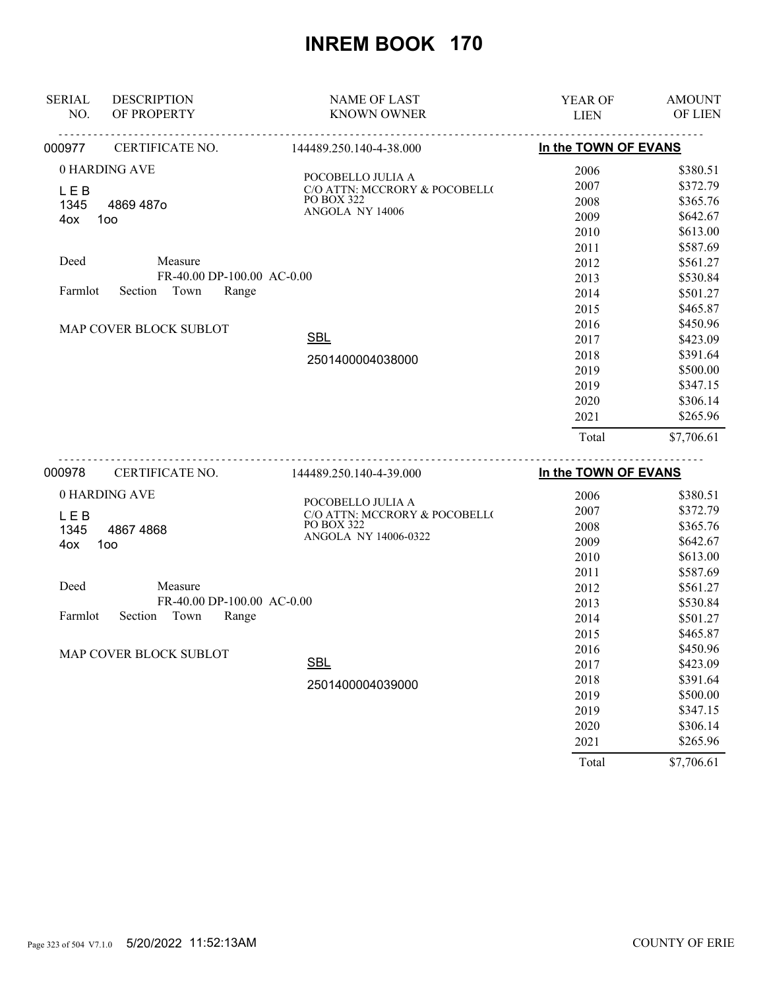| <b>SERIAL</b><br>NO.                         | <b>DESCRIPTION</b><br>OF PROPERTY                                                                                                | <b>NAME OF LAST</b><br><b>KNOWN OWNER</b>                                                                                                            | <b>YEAR OF</b><br><b>LIEN</b>                                                        | <b>AMOUNT</b><br><b>OF LIEN</b>                                                                                                  |
|----------------------------------------------|----------------------------------------------------------------------------------------------------------------------------------|------------------------------------------------------------------------------------------------------------------------------------------------------|--------------------------------------------------------------------------------------|----------------------------------------------------------------------------------------------------------------------------------|
| 000977                                       | CERTIFICATE NO.                                                                                                                  | 144489.250.140-4-38.000                                                                                                                              | In the TOWN OF EVANS                                                                 |                                                                                                                                  |
| <b>LEB</b><br>1345<br>4ox<br>Deed<br>Farmlot | 0 HARDING AVE<br>4869 487o<br>100<br>Measure<br>FR-40.00 DP-100.00 AC-0.00<br>Town<br>Range<br>Section<br>MAP COVER BLOCK SUBLOT | POCOBELLO JULIA A<br>C/O ATTN: MCCRORY & POCOBELL(<br><b>PO BOX 322</b><br>ANGOLA NY 14006                                                           | 2006<br>2007<br>2008<br>2009<br>2010<br>2011<br>2012<br>2013<br>2014<br>2015<br>2016 | \$380.51<br>\$372.79<br>\$365.76<br>\$642.67<br>\$613.00<br>\$587.69<br>\$561.27<br>\$530.84<br>\$501.27<br>\$465.87<br>\$450.96 |
|                                              |                                                                                                                                  | <b>SBL</b><br>2501400004038000                                                                                                                       | 2017<br>2018<br>2019<br>2019<br>2020<br>2021<br>Total                                | \$423.09<br>\$391.64<br>\$500.00<br>\$347.15<br>\$306.14<br>\$265.96<br>\$7,706.61                                               |
| 000978<br><b>LEB</b><br>1345<br>4ox          | CERTIFICATE NO.<br>0 HARDING AVE<br>48674868<br>100                                                                              | ----------------------<br>144489.250.140-4-39.000<br>POCOBELLO JULIA A<br>C/O ATTN: MCCRORY & POCOBELL(<br><b>PO BOX 322</b><br>ANGOLA NY 14006-0322 | In the TOWN OF EVANS<br>2006<br>2007<br>2008<br>2009                                 | \$380.51<br>\$372.79<br>\$365.76<br>\$642.67                                                                                     |

|                                     | 2010 | \$613.00 |
|-------------------------------------|------|----------|
|                                     | 2011 | \$587.69 |
| Deed<br>Measure                     | 2012 | \$561.27 |
| FR-40.00 DP-100.00 AC-0.00          | 2013 | \$530.84 |
| Farmlot<br>Town<br>Section<br>Range | 2014 | \$501.27 |
|                                     | 2015 | \$465.87 |
| MAP COVER BLOCK SUBLOT              | 2016 | \$450.96 |
| <b>SBL</b>                          | 2017 | \$423.09 |
| 2501400004039000                    | 2018 | \$391.64 |
|                                     | 2019 | \$500.00 |
|                                     | 2019 | \$347.15 |
|                                     | 2020 | \$306.14 |
|                                     | 2021 | \$265.96 |

Total \$7,706.61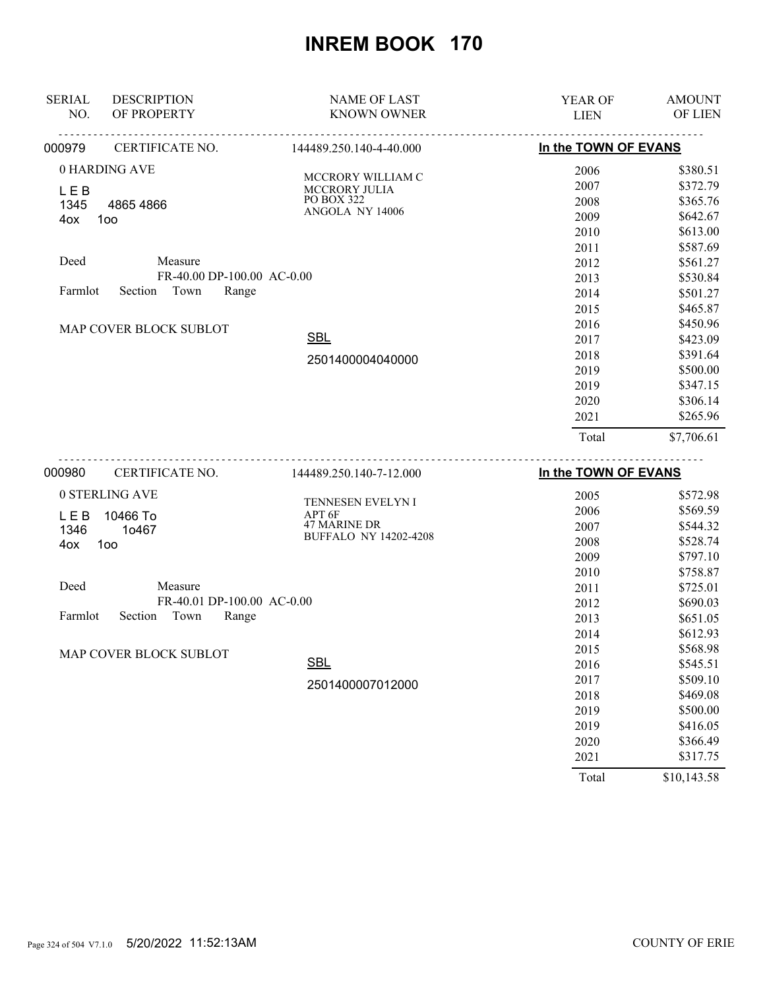| <b>SERIAL</b> | <b>DESCRIPTION</b>                    | <b>NAME OF LAST</b>                | <b>YEAR OF</b>       | <b>AMOUNT</b>                    |
|---------------|---------------------------------------|------------------------------------|----------------------|----------------------------------|
| NO.           | OF PROPERTY                           | <b>KNOWN OWNER</b>                 | <b>LIEN</b>          | OF LIEN                          |
| 000979        | CERTIFICATE NO.                       | 144489.250.140-4-40.000            | In the TOWN OF EVANS |                                  |
| LEB           | 0 HARDING AVE                         | MCCRORY WILLIAM C<br>MCCRORY JULIA | 2006<br>2007         | \$380.51<br>\$372.79             |
| 1345<br>4ox   | 4865 4866<br>100                      | PO BOX 322<br>ANGOLA NY 14006      | 2008<br>2009<br>2010 | \$365.76<br>\$642.67<br>\$613.00 |
| Deed          | Measure<br>FR-40.00 DP-100.00 AC-0.00 |                                    | 2011<br>2012<br>2013 | \$587.69<br>\$561.27<br>\$530.84 |
| Farmlot       | Town<br>Section<br>Range              |                                    | 2014<br>2015         | \$501.27<br>\$465.87             |
|               | MAP COVER BLOCK SUBLOT                | <b>SBL</b>                         | 2016<br>2017<br>2018 | \$450.96<br>\$423.09<br>\$391.64 |
|               |                                       | 2501400004040000                   | 2019<br>2019         | \$500.00<br>\$347.15             |
|               |                                       |                                    | 2020<br>2021         | \$306.14<br>\$265.96             |
|               |                                       |                                    | Total                | \$7,706.61                       |
| nnnarn        | CERTIFICATE NO                        | $144489$ 250 $140 - 7 - 1200$      | In the TOWN OF FVANS |                                  |

| 000980<br>CERTIFICATE NO.           | 144489.250.140-7-12.000                                       | In the TOWN OF EVANS |             |
|-------------------------------------|---------------------------------------------------------------|----------------------|-------------|
| 0 STERLING AVE                      | <b>TENNESEN EVELYN I</b>                                      | 2005                 | \$572.98    |
| L E B<br>10466 To                   | APT 6F<br><b>47 MARINE DR</b><br><b>BUFFALO NY 14202-4208</b> | 2006                 | \$569.59    |
| 1346<br>10467<br>1oo<br>4ox         |                                                               | 2007                 | \$544.32    |
|                                     |                                                               | 2008                 | \$528.74    |
|                                     |                                                               | 2009                 | \$797.10    |
|                                     |                                                               | 2010                 | \$758.87    |
| Deed<br>Measure                     |                                                               | 2011                 | \$725.01    |
| FR-40.01 DP-100.00 AC-0.00          |                                                               | 2012                 | \$690.03    |
| Farmlot<br>Town<br>Range<br>Section |                                                               | 2013                 | \$651.05    |
|                                     |                                                               | 2014                 | \$612.93    |
| MAP COVER BLOCK SUBLOT              |                                                               | 2015                 | \$568.98    |
|                                     | <b>SBL</b>                                                    | 2016                 | \$545.51    |
|                                     | 2501400007012000                                              | 2017                 | \$509.10    |
|                                     |                                                               | 2018                 | \$469.08    |
|                                     |                                                               | 2019                 | \$500.00    |
|                                     |                                                               | 2019                 | \$416.05    |
|                                     |                                                               | 2020                 | \$366.49    |
|                                     |                                                               | 2021                 | \$317.75    |
|                                     |                                                               | Total                | \$10,143.58 |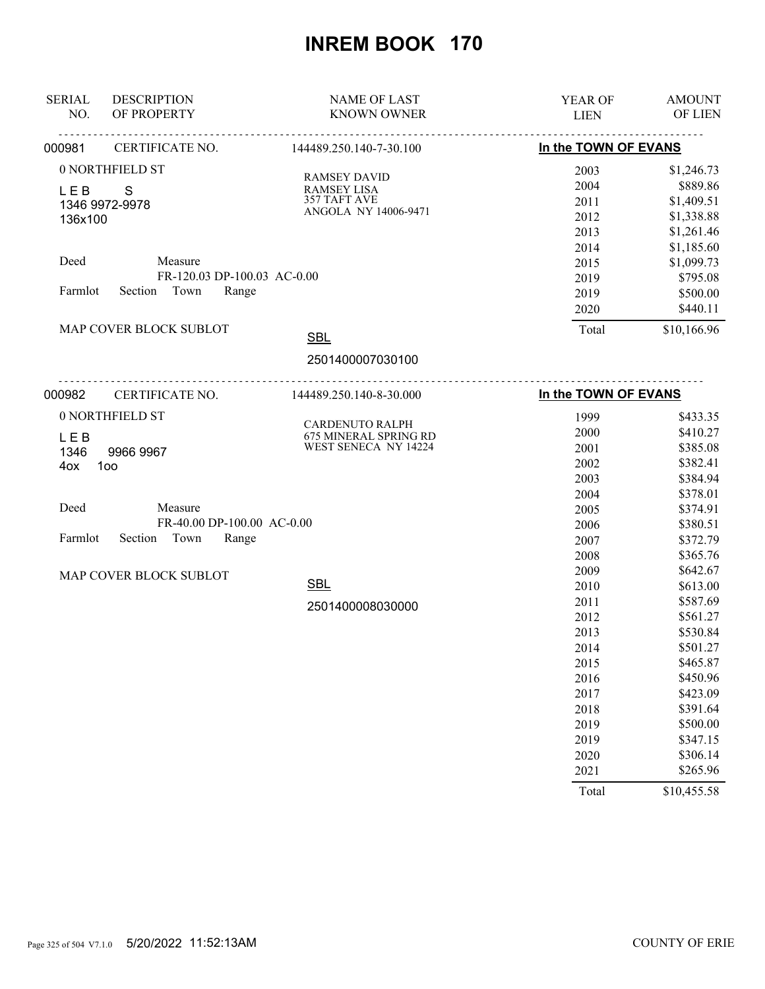| <b>SERIAL</b><br><b>DESCRIPTION</b> | <b>NAME OF LAST</b>                           | YEAR OF              | <b>AMOUNT</b> |
|-------------------------------------|-----------------------------------------------|----------------------|---------------|
| OF PROPERTY<br>NO.<br>.             | <b>KNOWN OWNER</b><br><u>.</u>                | <b>LIEN</b>          | OF LIEN       |
| CERTIFICATE NO.<br>000981           | 144489.250.140-7-30.100                       | In the TOWN OF EVANS |               |
| 0 NORTHFIELD ST                     |                                               | 2003                 | \$1,246.73    |
| <b>LEB</b><br>S                     | <b>RAMSEY DAVID</b><br><b>RAMSEY LISA</b>     | 2004                 | \$889.86      |
| 1346 9972-9978                      | 357 TAFT AVE                                  | 2011                 | \$1,409.51    |
| 136x100                             | ANGOLA NY 14006-9471                          | 2012                 | \$1,338.88    |
|                                     |                                               | 2013                 | \$1,261.46    |
|                                     |                                               | 2014                 | \$1,185.60    |
| Deed<br>Measure                     |                                               | 2015                 | \$1,099.73    |
| FR-120.03 DP-100.03 AC-0.00         |                                               | 2019                 | \$795.08      |
| Town<br>Farmlot<br>Section<br>Range |                                               | 2019                 | \$500.00      |
|                                     |                                               | 2020                 | \$440.11      |
| MAP COVER BLOCK SUBLOT              | <b>SBL</b>                                    | Total                | \$10,166.96   |
|                                     |                                               |                      |               |
|                                     | 2501400007030100                              |                      |               |
| 000982<br>CERTIFICATE NO.           | 144489.250.140-8-30.000                       | In the TOWN OF EVANS |               |
| 0 NORTHFIELD ST                     |                                               | 1999                 | \$433.35      |
|                                     | CARDENUTO RALPH                               | 2000                 | \$410.27      |
| LEB                                 | 675 MINERAL SPRING RD<br>WEST SENECA NY 14224 | 2001                 | \$385.08      |
| 1346<br>9966 9967<br>100<br>4ox     |                                               | 2002                 | \$382.41      |
|                                     |                                               | 2003                 | \$384.94      |
|                                     |                                               | 2004                 | \$378.01      |
| Deed<br>Measure                     |                                               | 2005                 | \$374.91      |
| FR-40.00 DP-100.00 AC-0.00          |                                               | 2006                 | \$380.51      |
| Town<br>Range<br>Farmlot<br>Section |                                               | 2007                 | \$372.79      |
|                                     |                                               | 2008                 | \$365.76      |
|                                     |                                               | 2009                 | \$642.67      |
| MAP COVER BLOCK SUBLOT              | <b>SBL</b>                                    | 2010                 | \$613.00      |
|                                     |                                               | 2011                 | \$587.69      |
|                                     | 2501400008030000                              | 2012                 | \$561.27      |
|                                     |                                               | 2013                 | \$530.84      |
|                                     |                                               | 2014                 | \$501.27      |
|                                     |                                               | 2015                 | \$465.87      |
|                                     |                                               | 2016                 | \$450.96      |
|                                     |                                               | 2017                 | \$423.09      |
|                                     |                                               | 2018                 | \$391.64      |
|                                     |                                               | 2019                 | \$500.00      |
|                                     |                                               | 2019                 | \$347.15      |
|                                     |                                               | 2020                 | \$306.14      |
|                                     |                                               | 2021                 | \$265.96      |
|                                     |                                               | Total                | \$10,455.58   |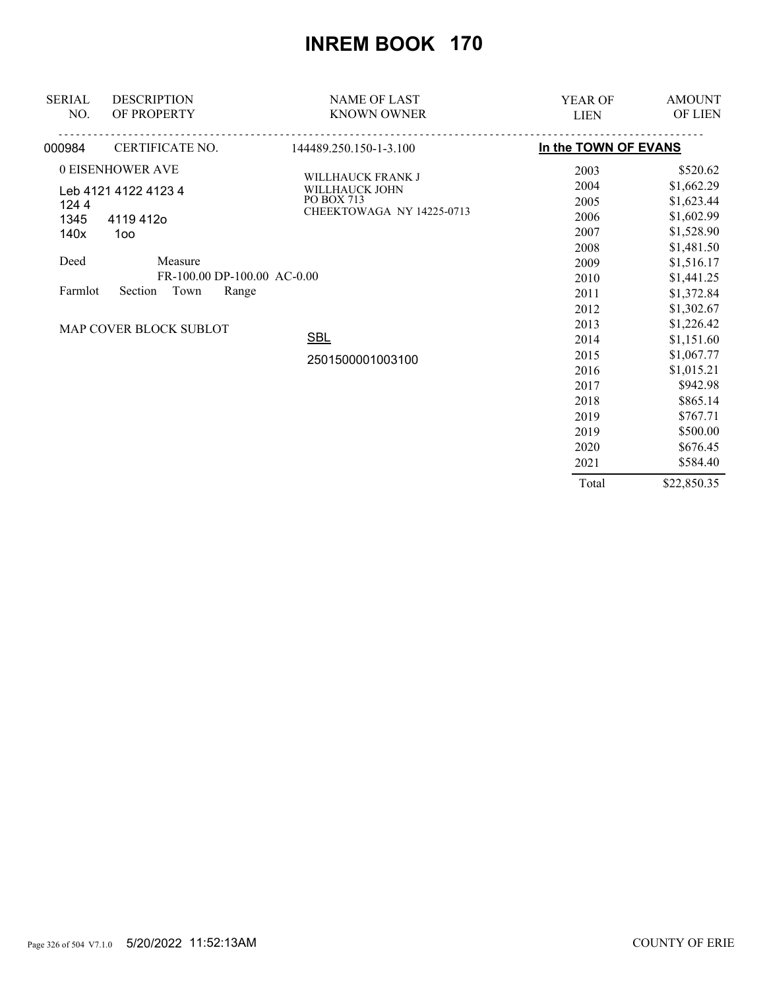| <b>SERIAL</b><br>NO.                | <b>DESCRIPTION</b><br>OF PROPERTY | <b>NAME OF LAST</b><br><b>KNOWN OWNER</b>  | <b>YEAR OF</b><br><b>LIEN</b> | <b>AMOUNT</b><br>OF LIEN |
|-------------------------------------|-----------------------------------|--------------------------------------------|-------------------------------|--------------------------|
| 000984                              | CERTIFICATE NO.                   | 144489.250.150-1-3.100                     | In the TOWN OF EVANS          |                          |
|                                     | 0 EISENHOWER AVE                  |                                            | 2003                          | \$520.62                 |
| Leb 4121 4122 4123 4                |                                   | <b>WILLHAUCK FRANK J</b><br>WILLHAUCK JOHN | 2004                          | \$1,662.29               |
| 1244                                |                                   | PO BOX 713                                 | 2005                          | \$1,623.44               |
| 1345                                | 4119412o                          | CHEEKTOWAGA NY 14225-0713                  | 2006                          | \$1,602.99               |
| 140x                                | 100                               |                                            | 2007                          | \$1,528.90               |
|                                     |                                   |                                            | 2008                          | \$1,481.50               |
| Deed                                | Measure                           |                                            | 2009                          | \$1,516.17               |
|                                     | FR-100.00 DP-100.00 AC-0.00       |                                            | 2010                          | \$1,441.25               |
| Town<br>Farmlot<br>Section<br>Range |                                   |                                            | 2011                          | \$1,372.84               |
|                                     |                                   |                                            | 2012                          | \$1,302.67               |
|                                     | MAP COVER BLOCK SUBLOT            |                                            | 2013                          | \$1,226.42               |
|                                     |                                   | <b>SBL</b>                                 | 2014                          | \$1,151.60               |
|                                     |                                   | 2501500001003100                           | 2015                          | \$1,067.77               |
|                                     |                                   |                                            | 2016                          | \$1,015.21               |
|                                     |                                   |                                            | 2017                          | \$942.98                 |
|                                     |                                   |                                            | 2018                          | \$865.14                 |
|                                     |                                   |                                            | 2019                          | \$767.71                 |
|                                     |                                   |                                            | 2019                          | \$500.00                 |
|                                     |                                   |                                            | 2020                          | \$676.45                 |
|                                     |                                   |                                            | 2021                          | \$584.40                 |
|                                     |                                   |                                            | Total                         | \$22,850.35              |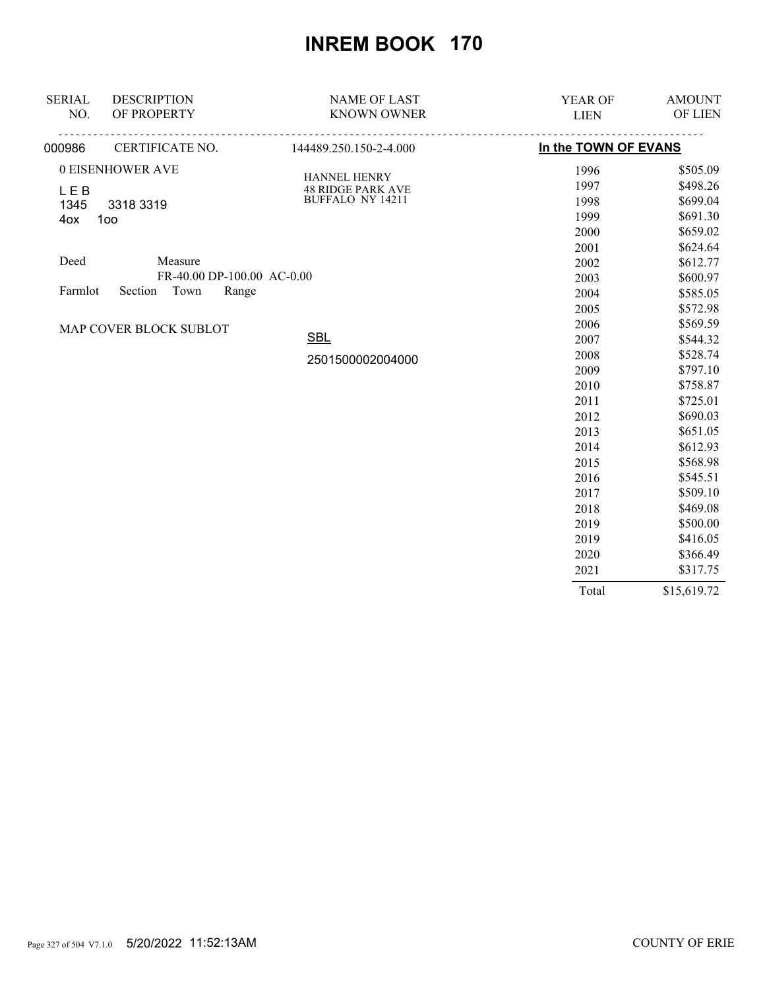| <b>SERIAL</b>      | <b>DESCRIPTION</b>         | <b>NAME OF LAST</b>                      | <b>YEAR OF</b>       | <b>AMOUNT</b> |
|--------------------|----------------------------|------------------------------------------|----------------------|---------------|
| NO.                | OF PROPERTY                | <b>KNOWN OWNER</b>                       | <b>LIEN</b>          | OF LIEN       |
| 000986             | CERTIFICATE NO.            | 144489.250.150-2-4.000                   | In the TOWN OF EVANS |               |
|                    | 0 EISENHOWER AVE           |                                          | 1996                 | \$505.09      |
|                    |                            | HANNEL HENRY<br><b>48 RIDGE PARK AVE</b> | 1997                 | \$498.26      |
| <b>LEB</b><br>1345 | 3318 3319                  | BUFFALO NY 14211                         | 1998                 | \$699.04      |
| 4ox                | 100                        |                                          | 1999                 | \$691.30      |
|                    |                            |                                          | 2000                 | \$659.02      |
|                    |                            |                                          | 2001                 | \$624.64      |
| Deed               | Measure                    |                                          | 2002                 | \$612.77      |
|                    | FR-40.00 DP-100.00 AC-0.00 |                                          | 2003                 | \$600.97      |
| Farmlot            | Section Town<br>Range      |                                          | 2004                 | \$585.05      |
|                    |                            |                                          | 2005                 | \$572.98      |
|                    | MAP COVER BLOCK SUBLOT     |                                          | 2006                 | \$569.59      |
|                    |                            | <b>SBL</b>                               | 2007                 | \$544.32      |
|                    |                            | 2501500002004000                         | 2008                 | \$528.74      |
|                    |                            |                                          | 2009                 | \$797.10      |
|                    |                            |                                          | 2010                 | \$758.87      |
|                    |                            |                                          | 2011                 | \$725.01      |
|                    |                            |                                          | 2012                 | \$690.03      |
|                    |                            |                                          | 2013                 | \$651.05      |
|                    |                            |                                          | 2014                 | \$612.93      |
|                    |                            |                                          | 2015                 | \$568.98      |
|                    |                            |                                          | 2016                 | \$545.51      |
|                    |                            |                                          | 2017                 | \$509.10      |
|                    |                            |                                          | 2018                 | \$469.08      |
|                    |                            |                                          | 2019                 | \$500.00      |
|                    |                            |                                          | 2019                 | \$416.05      |
|                    |                            |                                          | 2020                 | \$366.49      |
|                    |                            |                                          | 2021                 | \$317.75      |
|                    |                            |                                          | Total                | \$15,619.72   |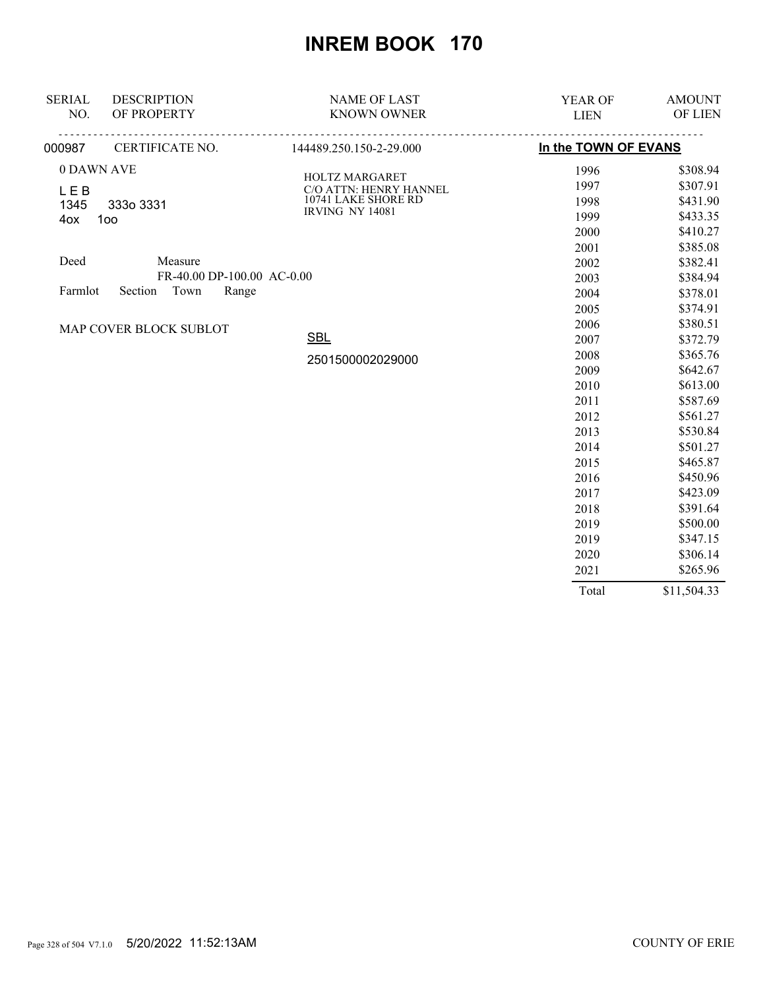| <b>SERIAL</b> | <b>DESCRIPTION</b>         | <b>NAME OF LAST</b>                      | YEAR OF              | <b>AMOUNT</b> |
|---------------|----------------------------|------------------------------------------|----------------------|---------------|
| NO.           | OF PROPERTY                | <b>KNOWN OWNER</b>                       | <b>LIEN</b>          | OF LIEN       |
| 000987        | CERTIFICATE NO.            | <u>.</u><br>144489.250.150-2-29.000      | In the TOWN OF EVANS |               |
| 0 DAWN AVE    |                            |                                          | 1996                 | \$308.94      |
| LEB           |                            | HOLTZ MARGARET<br>C/O ATTN: HENRY HANNEL | 1997                 | \$307.91      |
| 1345          | 333o 3331                  | 10741 LAKE SHORE RD                      | 1998                 | \$431.90      |
| 4ox           | 1oo                        | <b>IRVING NY 14081</b>                   | 1999                 | \$433.35      |
|               |                            |                                          | 2000                 | \$410.27      |
|               |                            |                                          | 2001                 | \$385.08      |
| Deed          | Measure                    |                                          | 2002                 | \$382.41      |
|               | FR-40.00 DP-100.00 AC-0.00 |                                          | 2003                 | \$384.94      |
| Farmlot       | Town<br>Section<br>Range   |                                          | 2004                 | \$378.01      |
|               |                            |                                          | 2005                 | \$374.91      |
|               | MAP COVER BLOCK SUBLOT     |                                          | 2006                 | \$380.51      |
|               |                            | <b>SBL</b>                               | 2007                 | \$372.79      |
|               |                            | 2501500002029000                         | 2008                 | \$365.76      |
|               |                            |                                          | 2009                 | \$642.67      |
|               |                            |                                          | 2010                 | \$613.00      |
|               |                            |                                          | 2011                 | \$587.69      |
|               |                            |                                          | 2012                 | \$561.27      |
|               |                            |                                          | 2013                 | \$530.84      |
|               |                            |                                          | 2014                 | \$501.27      |
|               |                            |                                          | 2015                 | \$465.87      |
|               |                            |                                          | 2016                 | \$450.96      |
|               |                            |                                          | 2017                 | \$423.09      |
|               |                            |                                          | 2018                 | \$391.64      |
|               |                            |                                          | 2019                 | \$500.00      |
|               |                            |                                          | 2019                 | \$347.15      |
|               |                            |                                          | 2020                 | \$306.14      |
|               |                            |                                          | 2021                 | \$265.96      |
|               |                            |                                          | Total                | \$11,504.33   |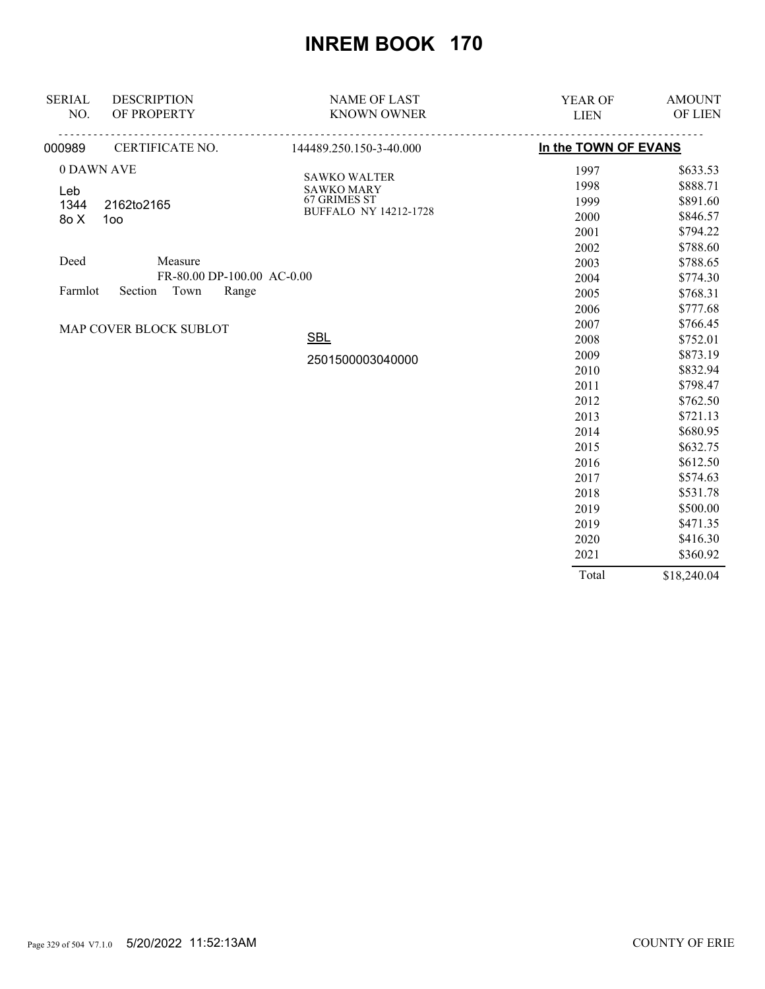| <b>SERIAL</b> | <b>DESCRIPTION</b>          | <b>NAME OF LAST</b>                      | YEAR OF              | <b>AMOUNT</b> |
|---------------|-----------------------------|------------------------------------------|----------------------|---------------|
| NO.           | OF PROPERTY                 | <b>KNOWN OWNER</b>                       | <b>LIEN</b>          | OF LIEN       |
| 000989        | <u>.</u><br>CERTIFICATE NO. | <u>.</u><br>144489.250.150-3-40.000      | In the TOWN OF EVANS |               |
| 0 DAWN AVE    |                             |                                          | 1997                 | \$633.53      |
| Leb           |                             | <b>SAWKO WALTER</b><br><b>SAWKO MARY</b> | 1998                 | \$888.71      |
| 1344          | 2162to2165                  | 67 GRIMES ST                             | 1999                 | \$891.60      |
| 8o X          | 1oo                         | <b>BUFFALO NY 14212-1728</b>             | 2000                 | \$846.57      |
|               |                             |                                          | 2001                 | \$794.22      |
|               |                             |                                          | 2002                 | \$788.60      |
| Deed          | Measure                     |                                          | 2003                 | \$788.65      |
|               | FR-80.00 DP-100.00 AC-0.00  |                                          | 2004                 | \$774.30      |
| Farmlot       | Town<br>Section<br>Range    |                                          | 2005                 | \$768.31      |
|               |                             |                                          | 2006                 | \$777.68      |
|               | MAP COVER BLOCK SUBLOT      |                                          | 2007                 | \$766.45      |
|               |                             | <b>SBL</b>                               | 2008                 | \$752.01      |
|               |                             | 2501500003040000                         | 2009                 | \$873.19      |
|               |                             |                                          | 2010                 | \$832.94      |
|               |                             |                                          | 2011                 | \$798.47      |
|               |                             |                                          | 2012                 | \$762.50      |
|               |                             |                                          | 2013                 | \$721.13      |
|               |                             |                                          | 2014                 | \$680.95      |
|               |                             |                                          | 2015                 | \$632.75      |
|               |                             |                                          | 2016                 | \$612.50      |
|               |                             |                                          | 2017                 | \$574.63      |
|               |                             |                                          | 2018                 | \$531.78      |
|               |                             |                                          | 2019                 | \$500.00      |
|               |                             |                                          | 2019                 | \$471.35      |
|               |                             |                                          | 2020                 | \$416.30      |
|               |                             |                                          | 2021                 | \$360.92      |
|               |                             |                                          | Total                | \$18,240.04   |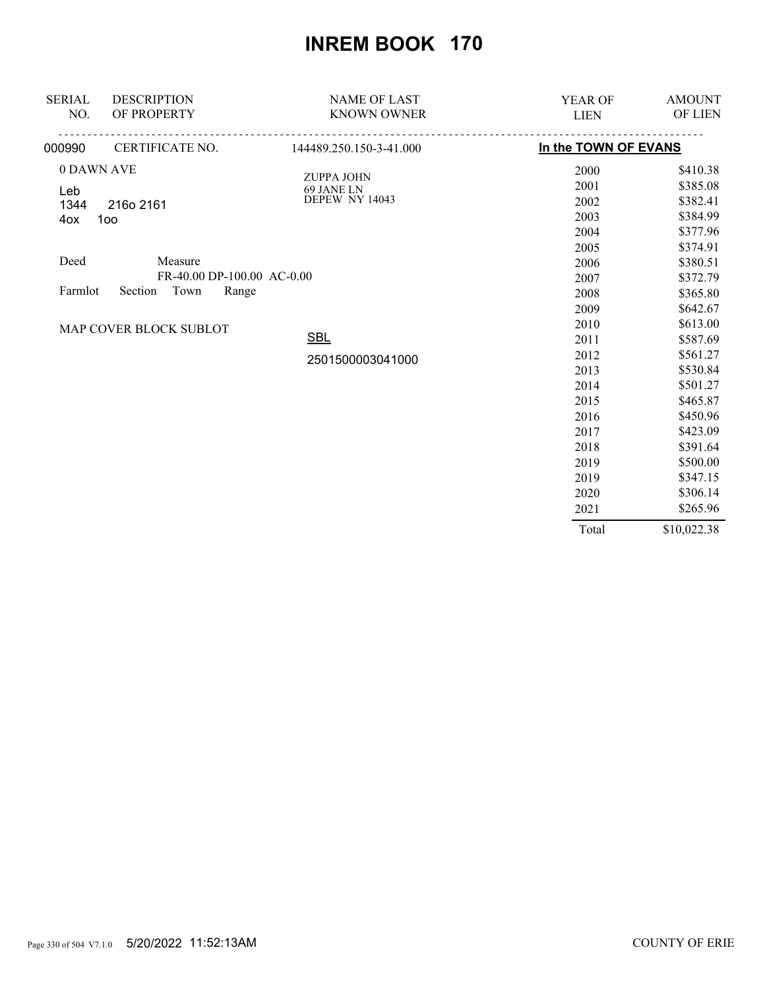| <b>SERIAL</b><br>NO.                | <b>DESCRIPTION</b><br>OF PROPERTY | <b>NAME OF LAST</b><br><b>KNOWN OWNER</b> | <b>YEAR OF</b><br><b>LIEN</b> | <b>AMOUNT</b><br>OF LIEN |
|-------------------------------------|-----------------------------------|-------------------------------------------|-------------------------------|--------------------------|
| 000990                              | CERTIFICATE NO.                   | 144489.250.150-3-41.000                   | In the TOWN OF EVANS          |                          |
| 0 DAWN AVE                          |                                   | <b>ZUPPA JOHN</b>                         | 2000                          | \$410.38                 |
| Leb                                 |                                   | 69 JANE LN                                | 2001                          | \$385.08                 |
| 1344                                | 216o 2161                         | <b>DEPEW NY 14043</b>                     | 2002                          | \$382.41                 |
| 4ox                                 | 1oo                               |                                           | 2003                          | \$384.99                 |
|                                     |                                   |                                           | 2004                          | \$377.96                 |
|                                     |                                   |                                           | 2005                          | \$374.91                 |
| Deed                                | Measure                           |                                           | 2006                          | \$380.51                 |
|                                     | FR-40.00 DP-100.00 AC-0.00        |                                           | 2007                          | \$372.79                 |
| Section<br>Town<br>Range<br>Farmlot |                                   | 2008                                      | \$365.80                      |                          |
|                                     |                                   |                                           | 2009                          | \$642.67                 |
|                                     | MAP COVER BLOCK SUBLOT            |                                           | 2010                          | \$613.00                 |
|                                     |                                   | <b>SBL</b>                                | 2011                          | \$587.69                 |
|                                     |                                   | 2501500003041000                          | 2012                          | \$561.27                 |
|                                     |                                   |                                           | 2013                          | \$530.84                 |
|                                     |                                   |                                           | 2014                          | \$501.27                 |
|                                     |                                   |                                           | 2015                          | \$465.87                 |
|                                     |                                   |                                           | 2016                          | \$450.96                 |
|                                     |                                   |                                           | 2017                          | \$423.09                 |
|                                     |                                   |                                           | 2018                          | \$391.64                 |
|                                     |                                   |                                           | 2019                          | \$500.00                 |
|                                     |                                   |                                           | 2019                          | \$347.15                 |
|                                     |                                   |                                           | 2020                          | \$306.14                 |
|                                     |                                   |                                           | 2021                          | \$265.96                 |
|                                     |                                   |                                           | Total                         | \$10,022.38              |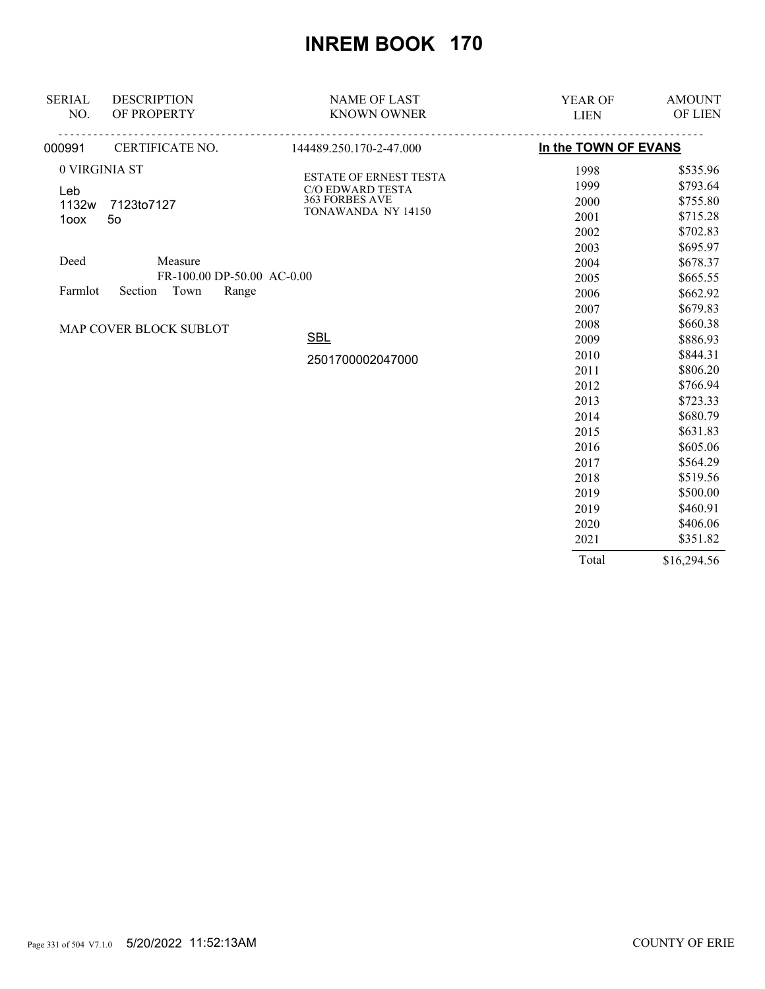| <b>SERIAL</b><br>NO.                | <b>DESCRIPTION</b><br>OF PROPERTY | <b>NAME OF LAST</b><br><b>KNOWN OWNER</b>         | <b>YEAR OF</b><br><b>LIEN</b> | <b>AMOUNT</b><br>OF LIEN |
|-------------------------------------|-----------------------------------|---------------------------------------------------|-------------------------------|--------------------------|
|                                     |                                   |                                                   |                               |                          |
| 000991                              | CERTIFICATE NO.                   | 144489.250.170-2-47.000                           | In the TOWN OF EVANS          |                          |
|                                     | 0 VIRGINIA ST                     |                                                   | 1998                          | \$535.96                 |
| Leb                                 |                                   | <b>ESTATE OF ERNEST TESTA</b><br>C/O EDWARD TESTA | 1999                          | \$793.64                 |
| 1132w                               | 7123to7127                        | 363 FORBES AVE                                    | 2000                          | \$755.80                 |
|                                     | 5 <sub>o</sub><br>1oox            | TONAWANDA NY 14150                                | 2001                          | \$715.28                 |
|                                     |                                   | 2002                                              | \$702.83                      |                          |
|                                     |                                   |                                                   | 2003                          | \$695.97                 |
| Deed                                | Measure                           |                                                   | 2004                          | \$678.37                 |
|                                     | FR-100.00 DP-50.00 AC-0.00        |                                                   | 2005                          | \$665.55                 |
| Town<br>Section<br>Range<br>Farmlot |                                   | 2006                                              | \$662.92                      |                          |
|                                     |                                   |                                                   | 2007                          | \$679.83                 |
|                                     |                                   |                                                   | 2008                          | \$660.38                 |
| MAP COVER BLOCK SUBLOT              | <b>SBL</b>                        | 2009                                              | \$886.93                      |                          |
|                                     |                                   | 2501700002047000                                  | 2010                          | \$844.31                 |
|                                     |                                   |                                                   | 2011                          | \$806.20                 |
|                                     |                                   |                                                   | 2012                          | \$766.94                 |
|                                     |                                   |                                                   | 2013                          | \$723.33                 |
|                                     |                                   |                                                   | 2014                          | \$680.79                 |
|                                     |                                   |                                                   | 2015                          | \$631.83                 |
|                                     |                                   |                                                   | 2016                          | \$605.06                 |
|                                     |                                   |                                                   | 2017                          | \$564.29                 |
|                                     |                                   |                                                   | 2018                          | \$519.56                 |
|                                     |                                   |                                                   | 2019                          | \$500.00                 |
|                                     |                                   |                                                   | 2019                          | \$460.91                 |
|                                     |                                   |                                                   | 2020                          | \$406.06                 |
|                                     |                                   |                                                   | 2021                          | \$351.82                 |
|                                     |                                   |                                                   | Total                         | \$16,294.56              |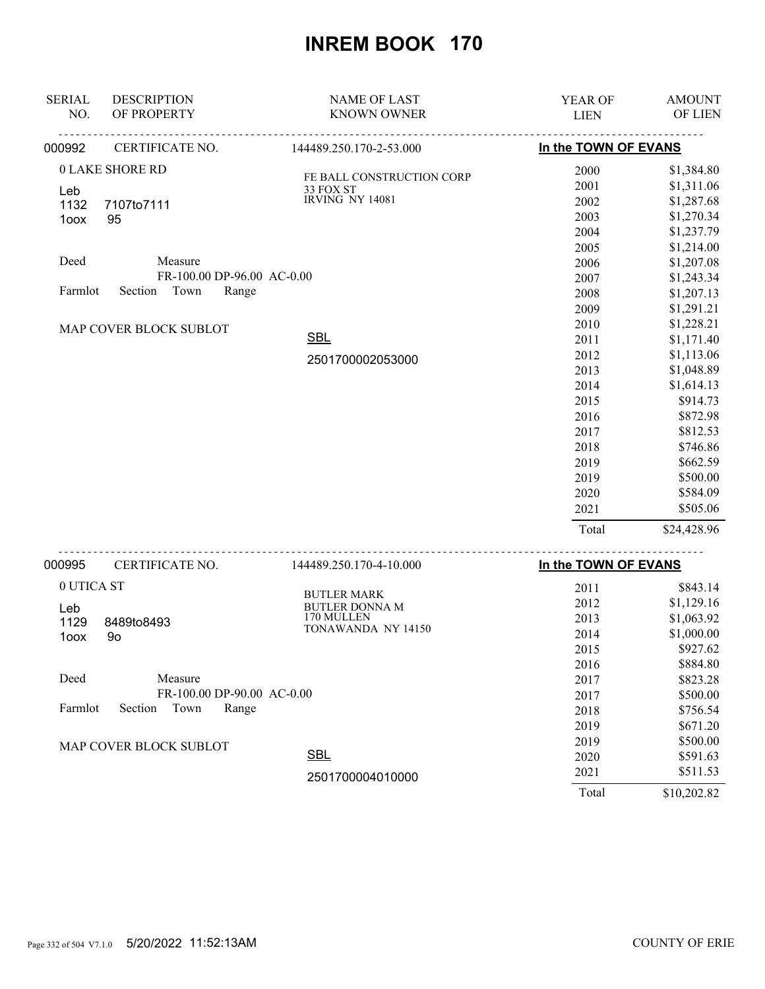| .<br>In the TOWN OF EVANS<br>CERTIFICATE NO.<br>144489.250.170-2-53.000<br><b>0 LAKE SHORE RD</b><br>\$1,384.80<br>2000<br>FE BALL CONSTRUCTION CORP<br>\$1,311.06<br>2001<br>33 FOX ST<br>Leb<br><b>IRVING NY 14081</b><br>\$1,287.68<br>2002<br>1132<br>7107to7111<br>\$1,270.34<br>2003<br>95<br>1oox<br>\$1,237.79<br>2004<br>\$1,214.00<br>2005<br>Deed<br>Measure<br>\$1,207.08<br>2006<br>FR-100.00 DP-96.00 AC-0.00<br>2007<br>\$1,243.34<br>Section Town<br>Farmlot<br>Range<br>2008<br>\$1,207.13<br>2009<br>\$1,291.21<br>2010<br>\$1,228.21<br>MAP COVER BLOCK SUBLOT<br><b>SBL</b><br>\$1,171.40<br>2011<br>\$1,113.06<br>2012<br>2501700002053000<br>2013<br>\$1,048.89<br>2014<br>\$1,614.13<br>2015<br>\$914.73<br>\$872.98<br>2016<br>\$812.53<br>2017<br>\$746.86<br>2018<br>\$662.59<br>2019<br>2019<br>\$500.00<br>\$584.09<br>2020<br>\$505.06<br>2021<br>Total<br>\$24,428.96<br><u>.</u><br>In the TOWN OF EVANS<br>CERTIFICATE NO.<br>144489.250.170-4-10.000<br>0 UTICA ST<br>2011<br>\$843.14<br><b>BUTLER MARK</b><br>2012<br>\$1,129.16<br>BUTLER DONNA M<br>Leb<br>170 MULLEN<br>\$1,063.92<br>2013<br>1129<br>8489to8493<br>TONAWANDA NY 14150<br>\$1,000.00<br>2014<br>1oox<br>9 <sub>o</sub><br>\$927.62<br>2015<br>\$884.80<br>2016<br>Deed<br>Measure<br>2017<br>\$823.28<br>FR-100.00 DP-90.00 AC-0.00<br>\$500.00<br>2017<br>Farmlot<br>Section<br>Town<br>Range<br>2018<br>\$756.54<br>2019<br>\$671.20<br>2019<br>\$500.00<br>MAP COVER BLOCK SUBLOT<br><b>SBL</b><br>2020<br>\$591.63 | <b>SERIAL</b><br>NO. | <b>DESCRIPTION</b><br>OF PROPERTY | <b>NAME OF LAST</b><br><b>KNOWN OWNER</b> | YEAR OF<br><b>LIEN</b> | <b>AMOUNT</b><br>OF LIEN |
|------------------------------------------------------------------------------------------------------------------------------------------------------------------------------------------------------------------------------------------------------------------------------------------------------------------------------------------------------------------------------------------------------------------------------------------------------------------------------------------------------------------------------------------------------------------------------------------------------------------------------------------------------------------------------------------------------------------------------------------------------------------------------------------------------------------------------------------------------------------------------------------------------------------------------------------------------------------------------------------------------------------------------------------------------------------------------------------------------------------------------------------------------------------------------------------------------------------------------------------------------------------------------------------------------------------------------------------------------------------------------------------------------------------------------------------------------------------------------------------------------------------------------|----------------------|-----------------------------------|-------------------------------------------|------------------------|--------------------------|
|                                                                                                                                                                                                                                                                                                                                                                                                                                                                                                                                                                                                                                                                                                                                                                                                                                                                                                                                                                                                                                                                                                                                                                                                                                                                                                                                                                                                                                                                                                                              |                      |                                   |                                           |                        |                          |
|                                                                                                                                                                                                                                                                                                                                                                                                                                                                                                                                                                                                                                                                                                                                                                                                                                                                                                                                                                                                                                                                                                                                                                                                                                                                                                                                                                                                                                                                                                                              | 000992               |                                   |                                           |                        |                          |
|                                                                                                                                                                                                                                                                                                                                                                                                                                                                                                                                                                                                                                                                                                                                                                                                                                                                                                                                                                                                                                                                                                                                                                                                                                                                                                                                                                                                                                                                                                                              |                      |                                   |                                           |                        |                          |
|                                                                                                                                                                                                                                                                                                                                                                                                                                                                                                                                                                                                                                                                                                                                                                                                                                                                                                                                                                                                                                                                                                                                                                                                                                                                                                                                                                                                                                                                                                                              |                      |                                   |                                           |                        |                          |
|                                                                                                                                                                                                                                                                                                                                                                                                                                                                                                                                                                                                                                                                                                                                                                                                                                                                                                                                                                                                                                                                                                                                                                                                                                                                                                                                                                                                                                                                                                                              |                      |                                   |                                           |                        |                          |
|                                                                                                                                                                                                                                                                                                                                                                                                                                                                                                                                                                                                                                                                                                                                                                                                                                                                                                                                                                                                                                                                                                                                                                                                                                                                                                                                                                                                                                                                                                                              |                      |                                   |                                           |                        |                          |
|                                                                                                                                                                                                                                                                                                                                                                                                                                                                                                                                                                                                                                                                                                                                                                                                                                                                                                                                                                                                                                                                                                                                                                                                                                                                                                                                                                                                                                                                                                                              |                      |                                   |                                           |                        |                          |
|                                                                                                                                                                                                                                                                                                                                                                                                                                                                                                                                                                                                                                                                                                                                                                                                                                                                                                                                                                                                                                                                                                                                                                                                                                                                                                                                                                                                                                                                                                                              |                      |                                   |                                           |                        |                          |
|                                                                                                                                                                                                                                                                                                                                                                                                                                                                                                                                                                                                                                                                                                                                                                                                                                                                                                                                                                                                                                                                                                                                                                                                                                                                                                                                                                                                                                                                                                                              |                      |                                   |                                           |                        |                          |
|                                                                                                                                                                                                                                                                                                                                                                                                                                                                                                                                                                                                                                                                                                                                                                                                                                                                                                                                                                                                                                                                                                                                                                                                                                                                                                                                                                                                                                                                                                                              |                      |                                   |                                           |                        |                          |
|                                                                                                                                                                                                                                                                                                                                                                                                                                                                                                                                                                                                                                                                                                                                                                                                                                                                                                                                                                                                                                                                                                                                                                                                                                                                                                                                                                                                                                                                                                                              |                      |                                   |                                           |                        |                          |
|                                                                                                                                                                                                                                                                                                                                                                                                                                                                                                                                                                                                                                                                                                                                                                                                                                                                                                                                                                                                                                                                                                                                                                                                                                                                                                                                                                                                                                                                                                                              |                      |                                   |                                           |                        |                          |
|                                                                                                                                                                                                                                                                                                                                                                                                                                                                                                                                                                                                                                                                                                                                                                                                                                                                                                                                                                                                                                                                                                                                                                                                                                                                                                                                                                                                                                                                                                                              |                      |                                   |                                           |                        |                          |
|                                                                                                                                                                                                                                                                                                                                                                                                                                                                                                                                                                                                                                                                                                                                                                                                                                                                                                                                                                                                                                                                                                                                                                                                                                                                                                                                                                                                                                                                                                                              |                      |                                   |                                           |                        |                          |
|                                                                                                                                                                                                                                                                                                                                                                                                                                                                                                                                                                                                                                                                                                                                                                                                                                                                                                                                                                                                                                                                                                                                                                                                                                                                                                                                                                                                                                                                                                                              |                      |                                   |                                           |                        |                          |
|                                                                                                                                                                                                                                                                                                                                                                                                                                                                                                                                                                                                                                                                                                                                                                                                                                                                                                                                                                                                                                                                                                                                                                                                                                                                                                                                                                                                                                                                                                                              |                      |                                   |                                           |                        |                          |
|                                                                                                                                                                                                                                                                                                                                                                                                                                                                                                                                                                                                                                                                                                                                                                                                                                                                                                                                                                                                                                                                                                                                                                                                                                                                                                                                                                                                                                                                                                                              |                      |                                   |                                           |                        |                          |
|                                                                                                                                                                                                                                                                                                                                                                                                                                                                                                                                                                                                                                                                                                                                                                                                                                                                                                                                                                                                                                                                                                                                                                                                                                                                                                                                                                                                                                                                                                                              |                      |                                   |                                           |                        |                          |
|                                                                                                                                                                                                                                                                                                                                                                                                                                                                                                                                                                                                                                                                                                                                                                                                                                                                                                                                                                                                                                                                                                                                                                                                                                                                                                                                                                                                                                                                                                                              |                      |                                   |                                           |                        |                          |
|                                                                                                                                                                                                                                                                                                                                                                                                                                                                                                                                                                                                                                                                                                                                                                                                                                                                                                                                                                                                                                                                                                                                                                                                                                                                                                                                                                                                                                                                                                                              |                      |                                   |                                           |                        |                          |
|                                                                                                                                                                                                                                                                                                                                                                                                                                                                                                                                                                                                                                                                                                                                                                                                                                                                                                                                                                                                                                                                                                                                                                                                                                                                                                                                                                                                                                                                                                                              |                      |                                   |                                           |                        |                          |
|                                                                                                                                                                                                                                                                                                                                                                                                                                                                                                                                                                                                                                                                                                                                                                                                                                                                                                                                                                                                                                                                                                                                                                                                                                                                                                                                                                                                                                                                                                                              |                      |                                   |                                           |                        |                          |
|                                                                                                                                                                                                                                                                                                                                                                                                                                                                                                                                                                                                                                                                                                                                                                                                                                                                                                                                                                                                                                                                                                                                                                                                                                                                                                                                                                                                                                                                                                                              |                      |                                   |                                           |                        |                          |
|                                                                                                                                                                                                                                                                                                                                                                                                                                                                                                                                                                                                                                                                                                                                                                                                                                                                                                                                                                                                                                                                                                                                                                                                                                                                                                                                                                                                                                                                                                                              |                      |                                   |                                           |                        |                          |
|                                                                                                                                                                                                                                                                                                                                                                                                                                                                                                                                                                                                                                                                                                                                                                                                                                                                                                                                                                                                                                                                                                                                                                                                                                                                                                                                                                                                                                                                                                                              |                      |                                   |                                           |                        |                          |
|                                                                                                                                                                                                                                                                                                                                                                                                                                                                                                                                                                                                                                                                                                                                                                                                                                                                                                                                                                                                                                                                                                                                                                                                                                                                                                                                                                                                                                                                                                                              |                      |                                   |                                           |                        |                          |
|                                                                                                                                                                                                                                                                                                                                                                                                                                                                                                                                                                                                                                                                                                                                                                                                                                                                                                                                                                                                                                                                                                                                                                                                                                                                                                                                                                                                                                                                                                                              | 000995               |                                   |                                           |                        |                          |
|                                                                                                                                                                                                                                                                                                                                                                                                                                                                                                                                                                                                                                                                                                                                                                                                                                                                                                                                                                                                                                                                                                                                                                                                                                                                                                                                                                                                                                                                                                                              |                      |                                   |                                           |                        |                          |
|                                                                                                                                                                                                                                                                                                                                                                                                                                                                                                                                                                                                                                                                                                                                                                                                                                                                                                                                                                                                                                                                                                                                                                                                                                                                                                                                                                                                                                                                                                                              |                      |                                   |                                           |                        |                          |
|                                                                                                                                                                                                                                                                                                                                                                                                                                                                                                                                                                                                                                                                                                                                                                                                                                                                                                                                                                                                                                                                                                                                                                                                                                                                                                                                                                                                                                                                                                                              |                      |                                   |                                           |                        |                          |
|                                                                                                                                                                                                                                                                                                                                                                                                                                                                                                                                                                                                                                                                                                                                                                                                                                                                                                                                                                                                                                                                                                                                                                                                                                                                                                                                                                                                                                                                                                                              |                      |                                   |                                           |                        |                          |
|                                                                                                                                                                                                                                                                                                                                                                                                                                                                                                                                                                                                                                                                                                                                                                                                                                                                                                                                                                                                                                                                                                                                                                                                                                                                                                                                                                                                                                                                                                                              |                      |                                   |                                           |                        |                          |
|                                                                                                                                                                                                                                                                                                                                                                                                                                                                                                                                                                                                                                                                                                                                                                                                                                                                                                                                                                                                                                                                                                                                                                                                                                                                                                                                                                                                                                                                                                                              |                      |                                   |                                           |                        |                          |
|                                                                                                                                                                                                                                                                                                                                                                                                                                                                                                                                                                                                                                                                                                                                                                                                                                                                                                                                                                                                                                                                                                                                                                                                                                                                                                                                                                                                                                                                                                                              |                      |                                   |                                           |                        |                          |
|                                                                                                                                                                                                                                                                                                                                                                                                                                                                                                                                                                                                                                                                                                                                                                                                                                                                                                                                                                                                                                                                                                                                                                                                                                                                                                                                                                                                                                                                                                                              |                      |                                   |                                           |                        |                          |
|                                                                                                                                                                                                                                                                                                                                                                                                                                                                                                                                                                                                                                                                                                                                                                                                                                                                                                                                                                                                                                                                                                                                                                                                                                                                                                                                                                                                                                                                                                                              |                      |                                   |                                           |                        |                          |
|                                                                                                                                                                                                                                                                                                                                                                                                                                                                                                                                                                                                                                                                                                                                                                                                                                                                                                                                                                                                                                                                                                                                                                                                                                                                                                                                                                                                                                                                                                                              |                      |                                   |                                           |                        |                          |
|                                                                                                                                                                                                                                                                                                                                                                                                                                                                                                                                                                                                                                                                                                                                                                                                                                                                                                                                                                                                                                                                                                                                                                                                                                                                                                                                                                                                                                                                                                                              |                      |                                   |                                           |                        |                          |
|                                                                                                                                                                                                                                                                                                                                                                                                                                                                                                                                                                                                                                                                                                                                                                                                                                                                                                                                                                                                                                                                                                                                                                                                                                                                                                                                                                                                                                                                                                                              |                      |                                   |                                           |                        |                          |
| 2021<br>\$511.53<br>2501700004010000                                                                                                                                                                                                                                                                                                                                                                                                                                                                                                                                                                                                                                                                                                                                                                                                                                                                                                                                                                                                                                                                                                                                                                                                                                                                                                                                                                                                                                                                                         |                      |                                   |                                           |                        |                          |

2501700004010000

Page 332 of 504 V7.1.0 5/20/2022 11:52:13AM COUNTY OF ERIE

Total \$10,202.82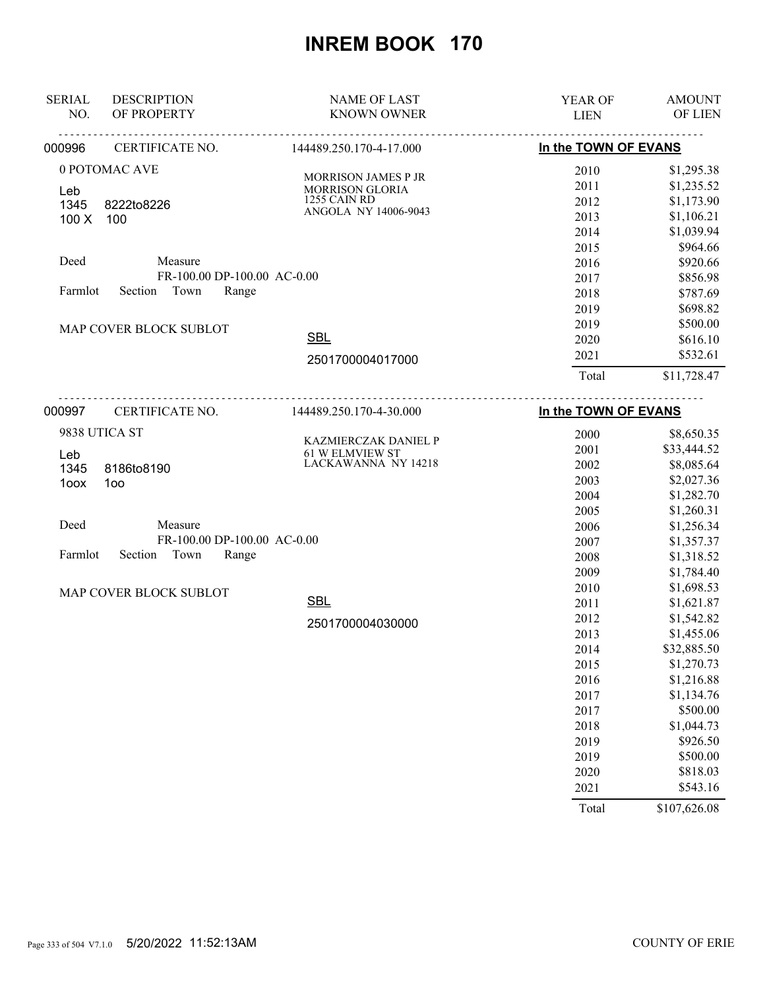| <b>SERIAL</b> | <b>DESCRIPTION</b>          | <b>NAME OF LAST</b>                           | <b>YEAR OF</b>       | <b>AMOUNT</b> |
|---------------|-----------------------------|-----------------------------------------------|----------------------|---------------|
| NO.           | OF PROPERTY                 | <b>KNOWN OWNER</b>                            | <b>LIEN</b>          | OF LIEN       |
| 000996        | CERTIFICATE NO.             | 144489.250.170-4-17.000                       | In the TOWN OF EVANS |               |
|               | 0 POTOMAC AVE               |                                               | 2010                 | \$1,295.38    |
| Leb           |                             | MORRISON JAMES P JR<br><b>MORRISON GLORIA</b> | 2011                 | \$1,235.52    |
| 1345          | 8222to8226                  | 1255 CAIN RD                                  | 2012                 | \$1,173.90    |
| 100X          | 100                         | ANGOLA NY 14006-9043                          | 2013                 | \$1,106.21    |
|               |                             |                                               | 2014                 | \$1,039.94    |
|               |                             |                                               | 2015                 | \$964.66      |
| Deed          | Measure                     |                                               | 2016                 | \$920.66      |
|               | FR-100.00 DP-100.00 AC-0.00 |                                               | 2017                 | \$856.98      |
| Farmlot       | Section<br>Town<br>Range    |                                               | 2018                 | \$787.69      |
|               |                             |                                               | 2019                 | \$698.82      |
|               | MAP COVER BLOCK SUBLOT      |                                               | 2019                 | \$500.00      |
|               |                             | <b>SBL</b>                                    | 2020                 | \$616.10      |
|               |                             | 2501700004017000                              | 2021                 | \$532.61      |
|               |                             |                                               | Total                | \$11,728.47   |
| 000997        | CERTIFICATE NO.             | 144489.250.170-4-30.000                       | In the TOWN OF EVANS |               |
|               | 9838 UTICA ST               |                                               | 2000                 | \$8,650.35    |
|               |                             | KAZMIERCZAK DANIEL P                          | 2001                 | \$33,444.52   |
| Leb           |                             | <b>61 W ELMVIEW ST</b><br>LACKAWANNA NY 14218 | 2002                 | \$8,085.64    |
| 1345          | 8186to8190                  |                                               | 2003                 | \$2,027.36    |
| 1oox          | 100                         |                                               | 2004                 | \$1,282.70    |
|               |                             |                                               | 2005                 | \$1,260.31    |
| Deed          | Measure                     |                                               | 2006                 | \$1,256.34    |
|               | FR-100.00 DP-100.00 AC-0.00 |                                               | 2007                 | \$1,357.37    |
| Farmlot       | Section<br>Town<br>Range    |                                               | 2008                 | \$1,318.52    |
|               |                             |                                               | 2009                 | \$1,784.40    |
|               | MAP COVER BLOCK SUBLOT      |                                               | 2010                 | \$1,698.53    |
|               |                             | <b>SBL</b>                                    | 2011                 | \$1,621.87    |
|               |                             | 2501700004030000                              | 2012                 | \$1,542.82    |
|               |                             |                                               | 2013                 | \$1,455.06    |
|               |                             |                                               | 2014                 | \$32,885.50   |
|               |                             |                                               | 2015                 | \$1,270.73    |
|               |                             |                                               | 2016                 | \$1,216.88    |
|               |                             |                                               | 2017                 | \$1,134.76    |
|               |                             |                                               | 2017                 | \$500.00      |
|               |                             |                                               | 2018                 | \$1,044.73    |
|               |                             |                                               | 2019                 | \$926.50      |
|               |                             |                                               | 2019                 | \$500.00      |
|               |                             |                                               | 2020                 | \$818.03      |
|               |                             |                                               | 2021                 | \$543.16      |
|               |                             |                                               | Total                | \$107,626.08  |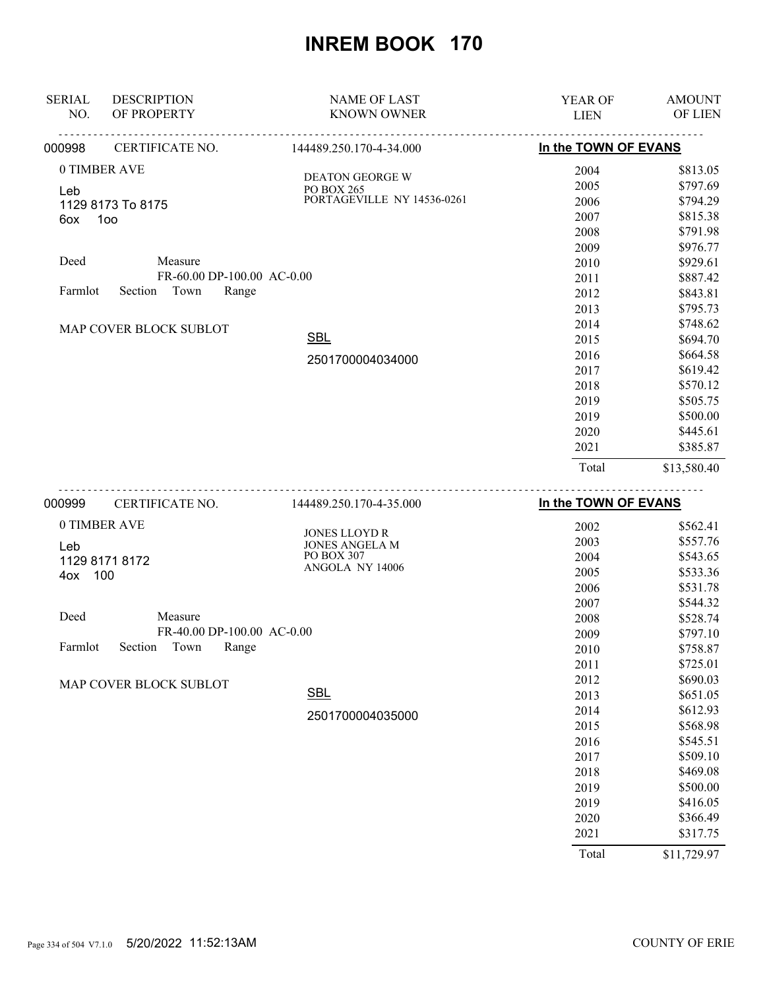| <b>SERIAL</b>       | <b>DESCRIPTION</b>                    | <b>NAME OF LAST</b>                                                | <b>YEAR OF</b>       | <b>AMOUNT</b>                    |
|---------------------|---------------------------------------|--------------------------------------------------------------------|----------------------|----------------------------------|
| NO.                 | OF PROPERTY                           | <b>KNOWN OWNER</b>                                                 | <b>LIEN</b>          | OF LIEN                          |
| 000998              | CERTIFICATE NO.                       | 144489.250.170-4-34.000                                            | In the TOWN OF EVANS |                                  |
| 0 TIMBER AVE<br>Leb | 1129 8173 To 8175                     | <b>DEATON GEORGE W</b><br>PO BOX 265<br>PORTAGEVILLE NY 14536-0261 | 2004<br>2005<br>2006 | \$813.05<br>\$797.69<br>\$794.29 |
| 6ox                 | 100                                   |                                                                    | 2007<br>2008<br>2009 | \$815.38<br>\$791.98<br>\$976.77 |
| Deed                | Measure<br>FR-60.00 DP-100.00 AC-0.00 |                                                                    | 2010<br>2011         | \$929.61<br>\$887.42             |
| Farmlot             | Town<br>Section<br>Range              |                                                                    | 2012<br>2013<br>2014 | \$843.81<br>\$795.73<br>\$748.62 |
|                     | MAP COVER BLOCK SUBLOT                | <b>SBL</b>                                                         | 2015<br>2016         | \$694.70<br>\$664.58             |
|                     |                                       | 2501700004034000                                                   | 2017<br>2018         | \$619.42<br>\$570.12             |
|                     |                                       |                                                                    | 2019<br>2019         | \$505.75<br>\$500.00             |
|                     |                                       |                                                                    | 2020<br>2021         | \$445.61<br>\$385.87             |
|                     |                                       |                                                                    | Total                | \$13,580.40                      |
| 000999              | CERTIFICATE NO.                       | 144489.250.170-4-35.000                                            | In the TOWN OF EVANS |                                  |

| 000999  | CERTIFICATE NO.            | 144489.250.170-4-35.000                       | In the TOWN OF EVANS |          |
|---------|----------------------------|-----------------------------------------------|----------------------|----------|
|         | 0 TIMBER AVE               |                                               | 2002                 | \$562.41 |
| Leb     |                            | <b>JONES LLOYD R</b><br><b>JONES ANGELA M</b> | 2003                 | \$557.76 |
|         | 1129 8171 8172             | PO BOX 307                                    | 2004                 | \$543.65 |
| 4ox     | 100                        | ANGOLA NY 14006                               | 2005                 | \$533.36 |
|         |                            |                                               | 2006                 | \$531.78 |
|         |                            |                                               | 2007                 | \$544.32 |
| Deed    | Measure                    |                                               | 2008                 | \$528.74 |
|         | FR-40.00 DP-100.00 AC-0.00 |                                               | 2009                 | \$797.10 |
| Farmlot | Town<br>Range<br>Section   |                                               | 2010                 | \$758.87 |
|         |                            |                                               | 2011                 | \$725.01 |
|         | MAP COVER BLOCK SUBLOT     |                                               | 2012                 | \$690.03 |
|         |                            | <b>SBL</b>                                    | 2013                 | \$651.05 |
|         |                            | 2501700004035000                              | 2014                 | \$612.93 |
|         |                            |                                               | 2015                 | \$568.98 |
|         |                            |                                               | 2016                 | \$545.51 |
|         |                            |                                               | 2017                 | \$509.10 |
|         |                            |                                               | 2018                 | \$469.08 |
|         |                            |                                               | 2019                 | \$500.00 |
|         |                            |                                               | 2019                 | \$416.05 |
|         |                            |                                               | 2020                 | \$366.49 |
|         |                            |                                               | 2021                 | \$317.75 |
|         |                            |                                               | $ -$                 | .        |

Total \$11,729.97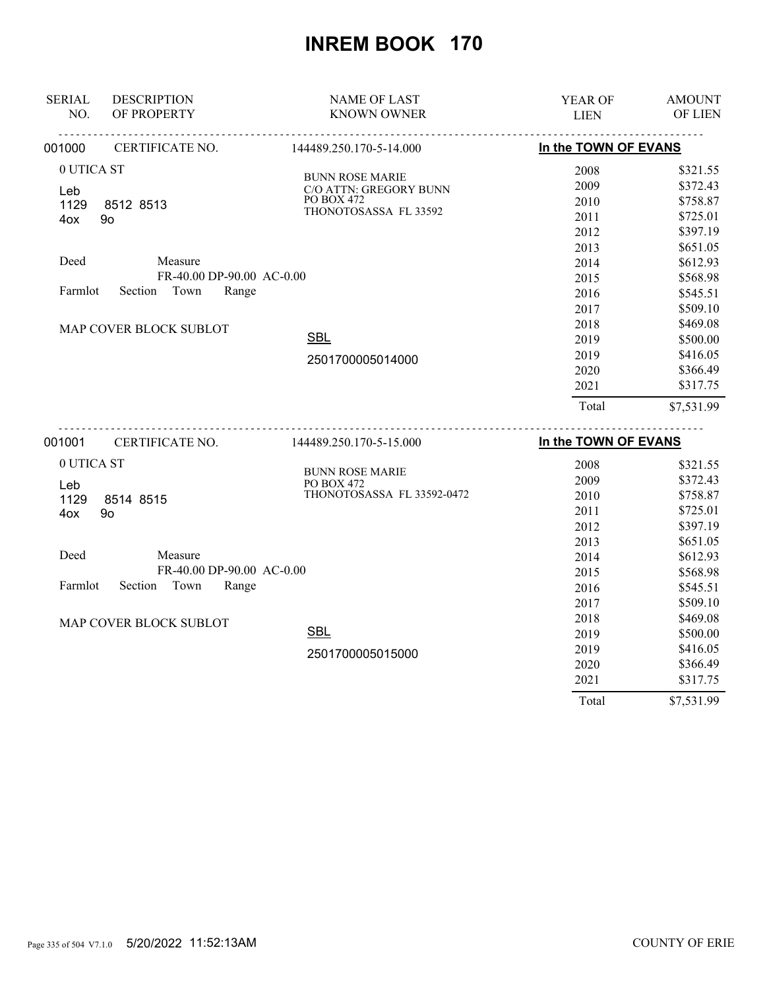| <b>SERIAL</b> | <b>DESCRIPTION</b>        | <b>NAME OF LAST</b>                  | YEAR OF              | <b>AMOUNT</b> |
|---------------|---------------------------|--------------------------------------|----------------------|---------------|
| NO.           | OF PROPERTY               | <b>KNOWN OWNER</b>                   | <b>LIEN</b>          | OF LIEN       |
| 001000        | CERTIFICATE NO.           | 144489.250.170-5-14.000              | In the TOWN OF EVANS |               |
| 0 UTICA ST    |                           | <b>BUNN ROSE MARIE</b>               | 2008                 | \$321.55      |
| Leb           |                           | C/O ATTN: GREGORY BUNN               | 2009                 | \$372.43      |
| 1129          | 8512 8513                 | <b>PO BOX 472</b>                    | 2010                 | \$758.87      |
| 4ox           | 90                        | THONOTOSASSA FL 33592                | 2011                 | \$725.01      |
|               |                           |                                      | 2012                 | \$397.19      |
|               |                           |                                      | 2013                 | \$651.05      |
| Deed          | Measure                   |                                      | 2014                 | \$612.93      |
|               | FR-40.00 DP-90.00 AC-0.00 |                                      | 2015                 | \$568.98      |
| Farmlot       | Section<br>Town<br>Range  |                                      | 2016                 | \$545.51      |
|               |                           |                                      | 2017                 | \$509.10      |
|               | MAP COVER BLOCK SUBLOT    |                                      | 2018                 | \$469.08      |
|               |                           | <b>SBL</b>                           | 2019                 | \$500.00      |
|               |                           | 2501700005014000                     | 2019                 | \$416.05      |
|               |                           |                                      | 2020                 | \$366.49      |
|               |                           |                                      | 2021                 | \$317.75      |
|               |                           |                                      | Total                | \$7,531.99    |
| 001001        | CERTIFICATE NO.           | 144489.250.170-5-15.000              | In the TOWN OF EVANS |               |
| 0 UTICA ST    |                           |                                      | 2008                 | \$321.55      |
|               |                           | <b>BUNN ROSE MARIE</b><br>PO BOX 472 | 2009                 | \$372.43      |
| Leb<br>1129   | 8514 8515                 | THONOTOSASSA FL 33592-0472           | 2010                 | \$758.87      |
| 4ox           | 90                        |                                      | 2011                 | \$725.01      |
|               |                           |                                      | 2012                 | \$397.19      |
|               |                           |                                      | 2013                 | \$651.05      |
| Deed          | Measure                   |                                      | 2014                 | \$612.93      |
|               | FR-40.00 DP-90.00 AC-0.00 |                                      | 2015                 | \$568.98      |
| Farmlot       | Section<br>Town<br>Range  |                                      | 2016                 | \$545.51      |
|               |                           |                                      | 2017                 | \$509.10      |
|               | MAP COVER BLOCK SUBLOT    |                                      | 2018                 | \$469.08      |
|               |                           | <b>SBL</b>                           | 2019                 | \$500.00      |
|               |                           | 2501700005015000                     | 2019                 | \$416.05      |
|               |                           |                                      | 2020                 | \$366.49      |
|               |                           |                                      | 2021                 | \$317.75      |

Page 335 of 504 V7.1.0 5/20/2022 11:52:13AM COUNTY OF ERIE

Total \$7,531.99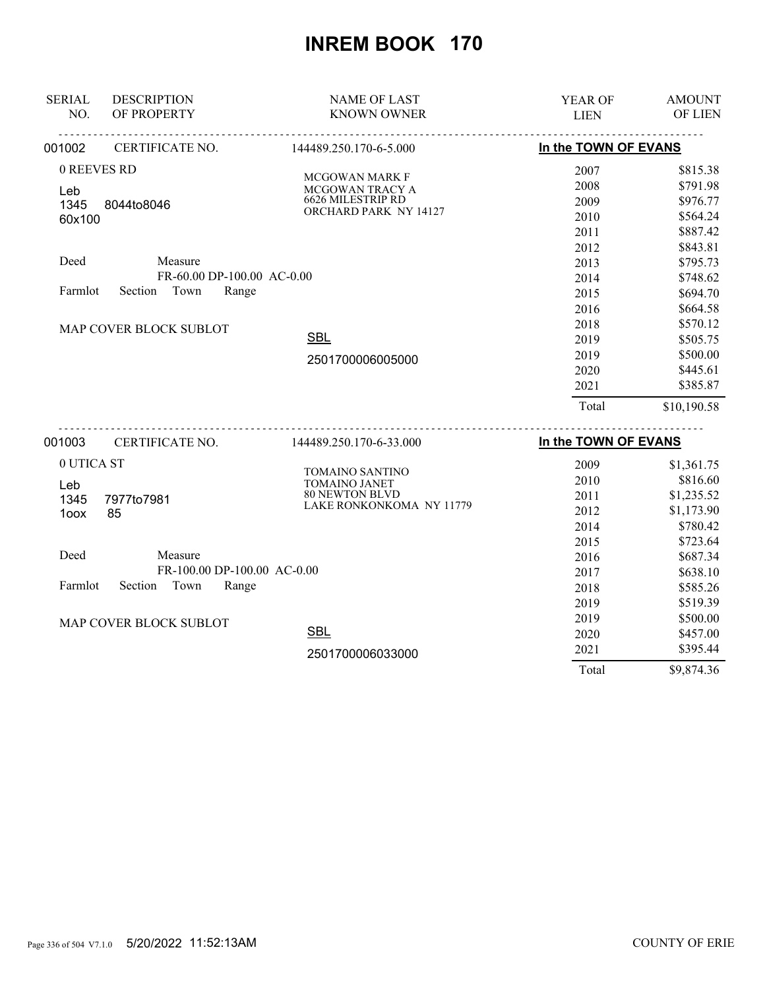| <b>SERIAL</b> | <b>DESCRIPTION</b>          | <b>NAME OF LAST</b>              | YEAR OF              | <b>AMOUNT</b> |
|---------------|-----------------------------|----------------------------------|----------------------|---------------|
| NO.           | OF PROPERTY                 | <b>KNOWN OWNER</b>               | <b>LIEN</b>          | OF LIEN       |
| 001002        | CERTIFICATE NO.             | 144489.250.170-6-5.000           | In the TOWN OF EVANS |               |
| 0 REEVES RD   |                             | MCGOWAN MARK F                   | 2007                 | \$815.38      |
| Leb           |                             | MCGOWAN TRACY A                  | 2008                 | \$791.98      |
| 1345          | 8044to8046                  | 6626 MILESTRIP RD                | 2009                 | \$976.77      |
| 60x100        |                             | ORCHARD PARK NY 14127            | 2010                 | \$564.24      |
|               |                             |                                  | 2011                 | \$887.42      |
|               |                             |                                  | 2012                 | \$843.81      |
| Deed          | Measure                     |                                  | 2013                 | \$795.73      |
|               | FR-60.00 DP-100.00 AC-0.00  |                                  | 2014                 | \$748.62      |
| Farmlot       | Town<br>Section<br>Range    |                                  | 2015                 | \$694.70      |
|               |                             |                                  | 2016                 | \$664.58      |
|               | MAP COVER BLOCK SUBLOT      |                                  | 2018                 | \$570.12      |
|               |                             | <b>SBL</b>                       | 2019                 | \$505.75      |
|               |                             | 2501700006005000                 | 2019                 | \$500.00      |
|               |                             |                                  | 2020                 | \$445.61      |
|               |                             |                                  | 2021                 | \$385.87      |
|               |                             |                                  | Total                | \$10,190.58   |
| 001003        | CERTIFICATE NO.             | 144489.250.170-6-33.000          | In the TOWN OF EVANS |               |
| 0 UTICA ST    |                             |                                  | 2009                 | \$1,361.75    |
|               |                             | TOMAINO SANTINO<br>TOMAINO JANET | 2010                 | \$816.60      |
| Leb<br>1345   | 7977to7981                  | <b>80 NEWTON BLVD</b>            | 2011                 | \$1,235.52    |
| 1oox          | 85                          | LAKE RONKONKOMA NY 11779         | 2012                 | \$1,173.90    |
|               |                             |                                  | 2014                 | \$780.42      |
|               |                             |                                  | 2015                 | \$723.64      |
| Deed          | Measure                     |                                  | 2016                 | \$687.34      |
|               | FR-100.00 DP-100.00 AC-0.00 |                                  | 2017                 | \$638.10      |
| Farmlot       | Section<br>Town<br>Range    |                                  | 2018                 | \$585.26      |
|               |                             |                                  | 2019                 | \$519.39      |
|               | MAP COVER BLOCK SUBLOT      |                                  | 2019                 | \$500.00      |
|               |                             | <b>SBL</b>                       | 2020                 | \$457.00      |
|               |                             | 2501700006033000                 | 2021                 | \$395.44      |
|               |                             |                                  | Total                | \$9,874.36    |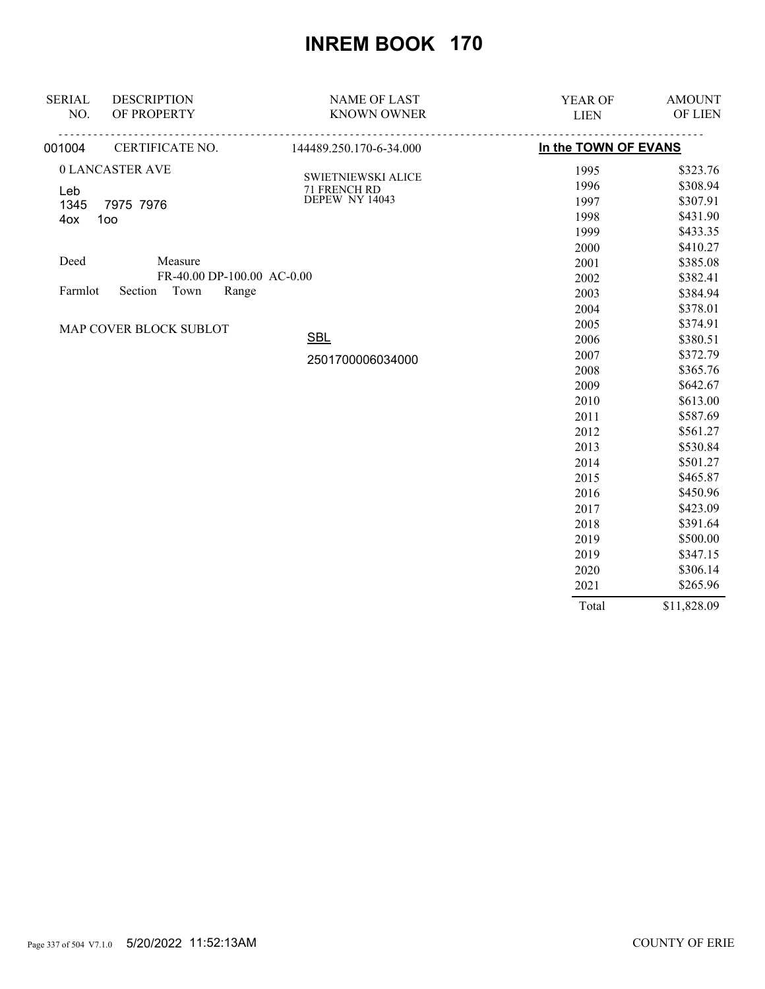| <b>SERIAL</b> | <b>DESCRIPTION</b>         | <b>NAME OF LAST</b>            | YEAR OF              | <b>AMOUNT</b> |
|---------------|----------------------------|--------------------------------|----------------------|---------------|
| NO.           | OF PROPERTY                | <b>KNOWN OWNER</b>             | <b>LIEN</b>          | OF LIEN       |
| 001004        | CERTIFICATE NO.            | 144489.250.170-6-34.000        | In the TOWN OF EVANS |               |
|               | 0 LANCASTER AVE            |                                | 1995                 | \$323.76      |
| Leb           |                            | SWIETNIEWSKI ALICE             | 1996                 | \$308.94      |
| 1345          | 7975 7976                  | 71 FRENCH RD<br>DEPEW NY 14043 | 1997                 | \$307.91      |
| 4ox           | 100                        |                                | 1998                 | \$431.90      |
|               |                            |                                | 1999                 | \$433.35      |
|               |                            |                                | 2000                 | \$410.27      |
| Deed          | Measure                    |                                | 2001                 | \$385.08      |
|               | FR-40.00 DP-100.00 AC-0.00 |                                | 2002                 | \$382.41      |
| Farmlot       | Town<br>Section<br>Range   |                                | 2003                 | \$384.94      |
|               |                            |                                | 2004                 | \$378.01      |
|               | MAP COVER BLOCK SUBLOT     |                                | 2005                 | \$374.91      |
|               |                            | <b>SBL</b>                     | 2006                 | \$380.51      |
|               |                            | 2501700006034000               | 2007                 | \$372.79      |
|               |                            |                                | 2008                 | \$365.76      |
|               |                            |                                | 2009                 | \$642.67      |
|               |                            |                                | 2010                 | \$613.00      |
|               |                            |                                | 2011                 | \$587.69      |
|               |                            |                                | 2012                 | \$561.27      |
|               |                            |                                | 2013                 | \$530.84      |
|               |                            |                                | 2014                 | \$501.27      |
|               |                            |                                | 2015                 | \$465.87      |
|               |                            |                                | 2016                 | \$450.96      |
|               |                            |                                | 2017                 | \$423.09      |
|               |                            |                                | 2018                 | \$391.64      |
|               |                            |                                | 2019                 | \$500.00      |
|               |                            |                                | 2019                 | \$347.15      |
|               |                            |                                | 2020                 | \$306.14      |
|               |                            |                                | 2021                 | \$265.96      |
|               |                            |                                | Total                | \$11,828.09   |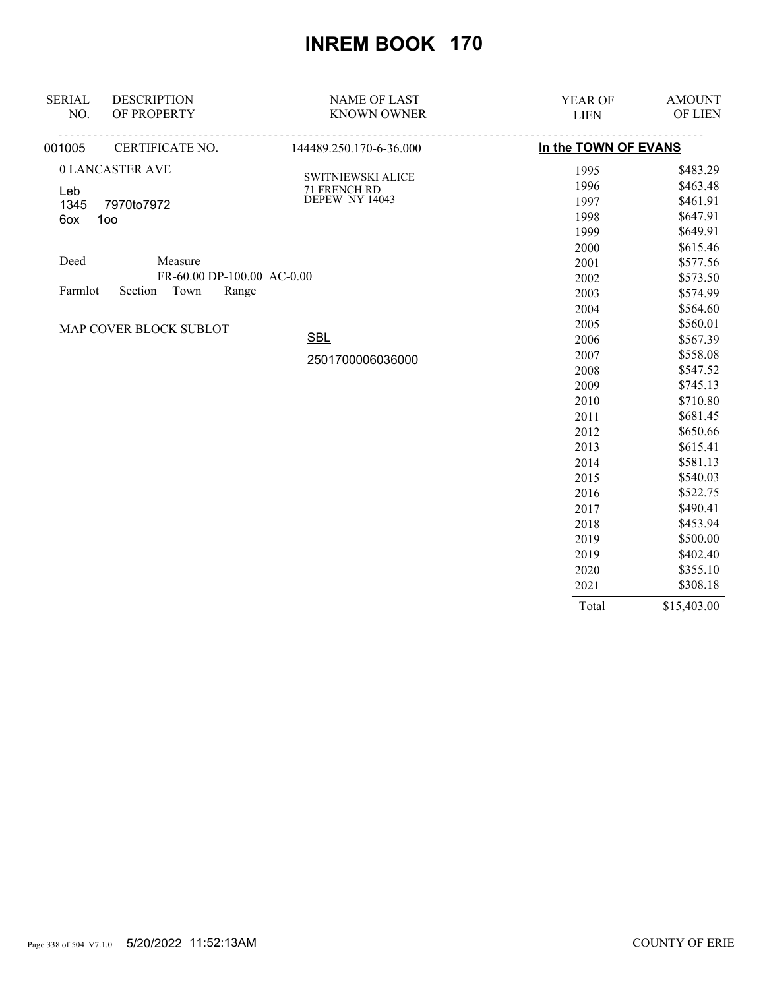| <b>SERIAL</b> | <b>DESCRIPTION</b>         | <b>NAME OF LAST</b>            | YEAR OF              | <b>AMOUNT</b> |
|---------------|----------------------------|--------------------------------|----------------------|---------------|
| NO.           | OF PROPERTY                | <b>KNOWN OWNER</b>             | <b>LIEN</b>          | OF LIEN       |
| 001005        | CERTIFICATE NO.            | 144489.250.170-6-36.000        | In the TOWN OF EVANS |               |
|               | 0 LANCASTER AVE            |                                | 1995                 | \$483.29      |
| Leb           |                            | <b>SWITNIEWSKI ALICE</b>       | 1996                 | \$463.48      |
| 1345          | 7970to7972                 | 71 FRENCH RD<br>DEPEW NY 14043 | 1997                 | \$461.91      |
| 6ox           | 100                        |                                | 1998                 | \$647.91      |
|               |                            |                                | 1999                 | \$649.91      |
|               |                            |                                | 2000                 | \$615.46      |
| Deed          | Measure                    |                                | 2001                 | \$577.56      |
|               | FR-60.00 DP-100.00 AC-0.00 |                                | 2002                 | \$573.50      |
| Farmlot       | Town<br>Range<br>Section   |                                | 2003                 | \$574.99      |
|               |                            |                                | 2004                 | \$564.60      |
|               | MAP COVER BLOCK SUBLOT     |                                | 2005                 | \$560.01      |
|               |                            | <b>SBL</b>                     | 2006                 | \$567.39      |
|               |                            | 2501700006036000               | 2007                 | \$558.08      |
|               |                            |                                | 2008                 | \$547.52      |
|               |                            |                                | 2009                 | \$745.13      |
|               |                            |                                | 2010                 | \$710.80      |
|               |                            |                                | 2011                 | \$681.45      |
|               |                            |                                | 2012                 | \$650.66      |
|               |                            |                                | 2013                 | \$615.41      |
|               |                            |                                | 2014                 | \$581.13      |
|               |                            |                                | 2015                 | \$540.03      |
|               |                            |                                | 2016                 | \$522.75      |
|               |                            |                                | 2017                 | \$490.41      |
|               |                            |                                | 2018                 | \$453.94      |
|               |                            |                                | 2019                 | \$500.00      |
|               |                            |                                | 2019                 | \$402.40      |
|               |                            |                                | 2020                 | \$355.10      |
|               |                            |                                | 2021                 | \$308.18      |
|               |                            |                                | Total                | \$15,403.00   |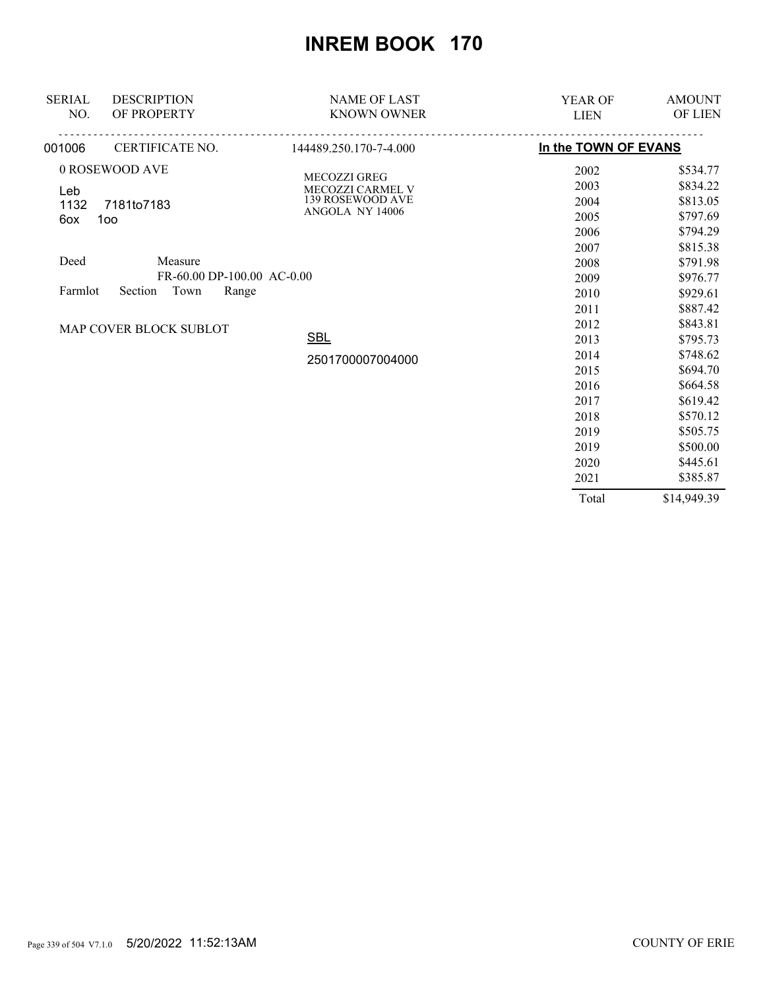| <b>SERIAL</b><br><b>DESCRIPTION</b><br>OF PROPERTY<br>NO.                            | <b>NAME OF LAST</b><br><b>KNOWN OWNER</b>                               | <b>YEAR OF</b><br><b>LIEN</b>        | <b>AMOUNT</b><br>OF LIEN                                 |
|--------------------------------------------------------------------------------------|-------------------------------------------------------------------------|--------------------------------------|----------------------------------------------------------|
| CERTIFICATE NO.<br>001006                                                            | 144489.250.170-7-4.000                                                  | In the TOWN OF EVANS                 |                                                          |
| 0 ROSEWOOD AVE<br>Leb<br>1132<br>7181to7183<br>100<br>6ox                            | MECOZZI GREG<br>MECOZZI CARMEL V<br>139 ROSEWOOD AVE<br>ANGOLA NY 14006 | 2002<br>2003<br>2004<br>2005<br>2006 | \$534.77<br>\$834.22<br>\$813.05<br>\$797.69<br>\$794.29 |
| Deed<br>Measure<br>FR-60.00 DP-100.00 AC-0.00<br>Section<br>Town<br>Range<br>Farmlot |                                                                         | 2007<br>2008<br>2009<br>2010         | \$815.38<br>\$791.98<br>\$976.77<br>\$929.61             |
| MAP COVER BLOCK SUBLOT                                                               | <b>SBL</b><br>2501700007004000                                          | 2011<br>2012<br>2013<br>2014         | \$887.42<br>\$843.81<br>\$795.73<br>\$748.62             |
|                                                                                      |                                                                         | 2015<br>2016<br>2017<br>2018         | \$694.70<br>\$664.58<br>\$619.42<br>\$570.12             |
|                                                                                      |                                                                         | 2019<br>2019<br>2020<br>2021         | \$505.75<br>\$500.00<br>\$445.61<br>\$385.87             |
|                                                                                      |                                                                         | Total                                | \$14,949.39                                              |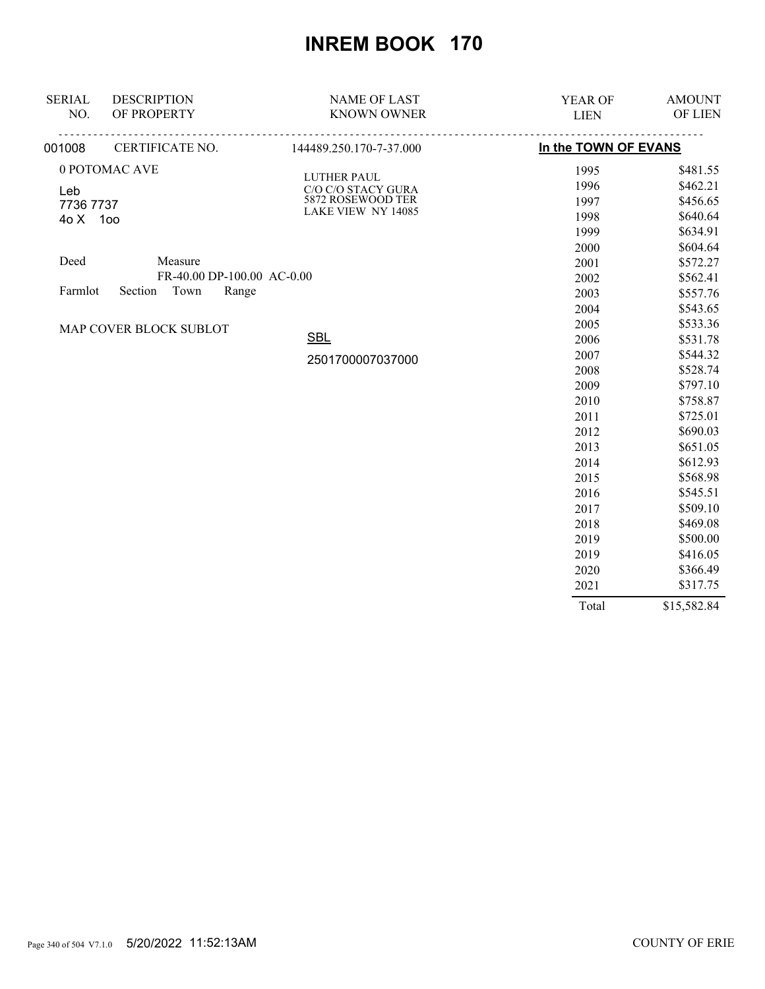| <b>SERIAL</b> | <b>DESCRIPTION</b>         | <b>NAME OF LAST</b>               | YEAR OF              | <b>AMOUNT</b> |
|---------------|----------------------------|-----------------------------------|----------------------|---------------|
| NO.           | OF PROPERTY                | <b>KNOWN OWNER</b>                | <b>LIEN</b>          | OF LIEN       |
| 001008        | CERTIFICATE NO.            | 144489.250.170-7-37.000           | In the TOWN OF EVANS |               |
|               | 0 POTOMAC AVE              |                                   | 1995                 | \$481.55      |
| Leb           |                            | LUTHER PAUL<br>C/O C/O STACY GURA | 1996                 | \$462.21      |
| 7736 7737     |                            | 5872 ROSEWOOD TER                 | 1997                 | \$456.65      |
| 40 X 100      |                            | LAKE VIEW NY 14085                | 1998                 | \$640.64      |
|               |                            |                                   | 1999                 | \$634.91      |
|               |                            |                                   | 2000                 | \$604.64      |
| Deed          | Measure                    |                                   | 2001                 | \$572.27      |
|               | FR-40.00 DP-100.00 AC-0.00 |                                   | 2002                 | \$562.41      |
| Farmlot       | Section<br>Town<br>Range   |                                   | 2003                 | \$557.76      |
|               |                            |                                   | 2004                 | \$543.65      |
|               | MAP COVER BLOCK SUBLOT     |                                   | 2005                 | \$533.36      |
|               |                            | <b>SBL</b>                        | 2006                 | \$531.78      |
|               |                            | 2501700007037000                  | 2007                 | \$544.32      |
|               |                            |                                   | 2008                 | \$528.74      |
|               |                            |                                   | 2009                 | \$797.10      |
|               |                            |                                   | 2010                 | \$758.87      |
|               |                            |                                   | 2011                 | \$725.01      |
|               |                            |                                   | 2012                 | \$690.03      |
|               |                            |                                   | 2013                 | \$651.05      |
|               |                            |                                   | 2014                 | \$612.93      |
|               |                            |                                   | 2015                 | \$568.98      |
|               |                            |                                   | 2016                 | \$545.51      |
|               |                            |                                   | 2017                 | \$509.10      |
|               |                            |                                   | 2018                 | \$469.08      |
|               |                            |                                   | 2019                 | \$500.00      |
|               |                            |                                   | 2019                 | \$416.05      |
|               |                            |                                   | 2020                 | \$366.49      |
|               |                            |                                   | 2021                 | \$317.75      |
|               |                            |                                   | Total                | \$15,582.84   |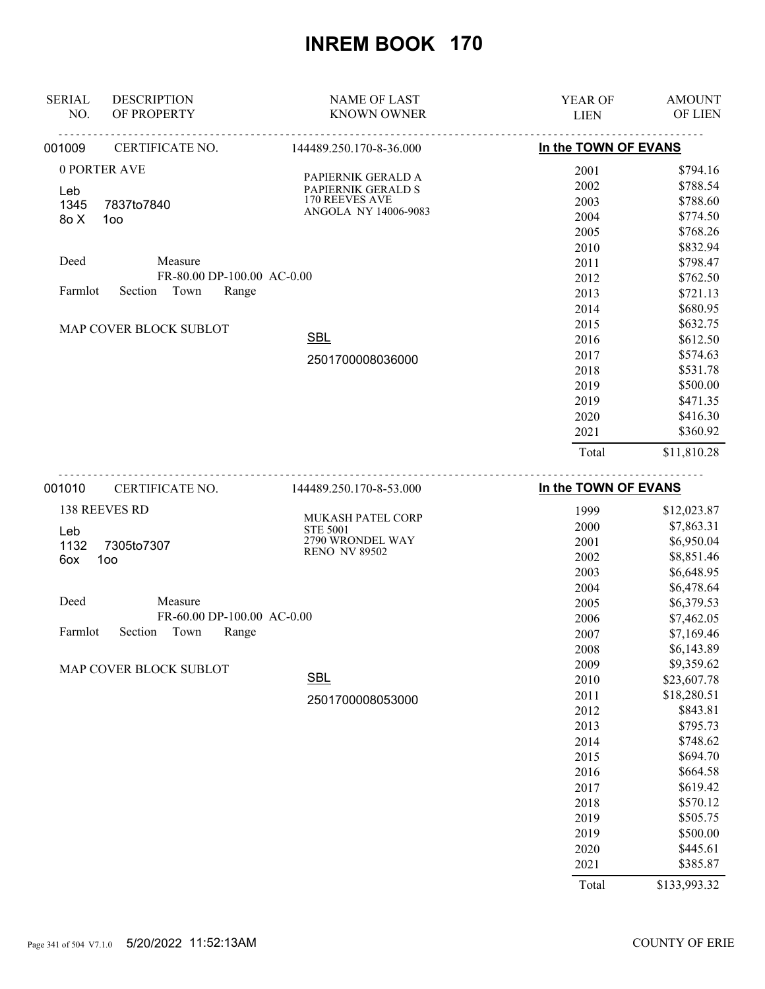| <b>SERIAL</b><br>NO.                | <b>DESCRIPTION</b><br>OF PROPERTY | <b>NAME OF LAST</b><br><b>KNOWN OWNER</b>   | <b>YEAR OF</b><br><b>LIEN</b> | <b>AMOUNT</b><br>OF LIEN |
|-------------------------------------|-----------------------------------|---------------------------------------------|-------------------------------|--------------------------|
| 001009                              | CERTIFICATE NO.                   | 144489.250.170-8-36.000                     | In the TOWN OF EVANS          |                          |
|                                     | 0 PORTER AVE                      |                                             | 2001                          | \$794.16                 |
|                                     |                                   | PAPIERNIK GERALD A<br>PAPIERNIK GERALD S    | 2002                          | \$788.54                 |
| Leb<br>1345                         |                                   | <b>170 REEVES AVE</b>                       | 2003                          | \$788.60                 |
| 8o X                                | 7837to7840<br>100                 | ANGOLA NY 14006-9083                        | 2004                          | \$774.50                 |
|                                     |                                   |                                             | 2005                          | \$768.26                 |
|                                     |                                   |                                             | 2010                          | \$832.94                 |
| Deed                                | Measure                           |                                             | 2011                          | \$798.47                 |
|                                     | FR-80.00 DP-100.00 AC-0.00        |                                             | 2012                          | \$762.50                 |
| Town<br>Farmlot<br>Section<br>Range |                                   |                                             | 2013                          | \$721.13                 |
|                                     |                                   |                                             | 2014                          | \$680.95                 |
|                                     | MAP COVER BLOCK SUBLOT            |                                             | 2015                          | \$632.75                 |
|                                     |                                   | <b>SBL</b>                                  | 2016                          | \$612.50                 |
|                                     |                                   | 2501700008036000                            | 2017                          | \$574.63                 |
|                                     |                                   |                                             | 2018                          | \$531.78                 |
|                                     |                                   |                                             | 2019                          | \$500.00                 |
|                                     |                                   |                                             | 2019                          | \$471.35                 |
|                                     |                                   |                                             | 2020                          | \$416.30                 |
|                                     |                                   |                                             | 2021                          | \$360.92                 |
|                                     |                                   |                                             | Total                         | \$11,810.28              |
| 001010                              | CERTIFICATE NO.                   | 144489.250.170-8-53.000                     | In the TOWN OF EVANS          |                          |
|                                     | 138 REEVES RD                     |                                             | 1999                          | \$12,023.87              |
|                                     |                                   | <b>MUKASH PATEL CORP</b><br><b>STE 5001</b> | 2000                          | \$7,863.31               |
| Leb<br>1132                         | 7305to7307                        | 2790 WRONDEL WAY                            | 2001                          | \$6,950.04               |

|         | $1102 - 1300001301$ |  |
|---------|---------------------|--|
| 60x 100 |                     |  |
|         |                     |  |
|         |                     |  |

| Deed |                            | Measure |                            |  |
|------|----------------------------|---------|----------------------------|--|
|      |                            |         | FR-60.00 DP-100.00 AC-0.00 |  |
|      | Farmlot Section Town Range |         |                            |  |

MAP COVER BLOCK SUBLOT

2501700008053000

**SBL** 

RENO NV 89502

| 2007 | \$7.169.46  |
|------|-------------|
| 2008 | \$6,143.89  |
| 2009 | \$9,359.62  |
| 2010 | \$23,607.78 |
| 2011 | \$18,280.51 |
| 2012 | \$843.81    |
| 2013 | \$795.73    |
| 2014 | \$748.62    |
| 2015 | \$694.70    |
| 2016 | \$664.58    |
| 2017 | \$619.42    |
| 2018 | \$570.12    |
| 2019 | \$505.75    |
| 2019 | \$500.00    |
| 2020 | \$445.61    |
| 2021 | \$385.87    |
|      |             |

 \$8,851.46 \$6,648.95 \$6,478.64 \$6,379.53 \$7,462.05

Total \$133,993.32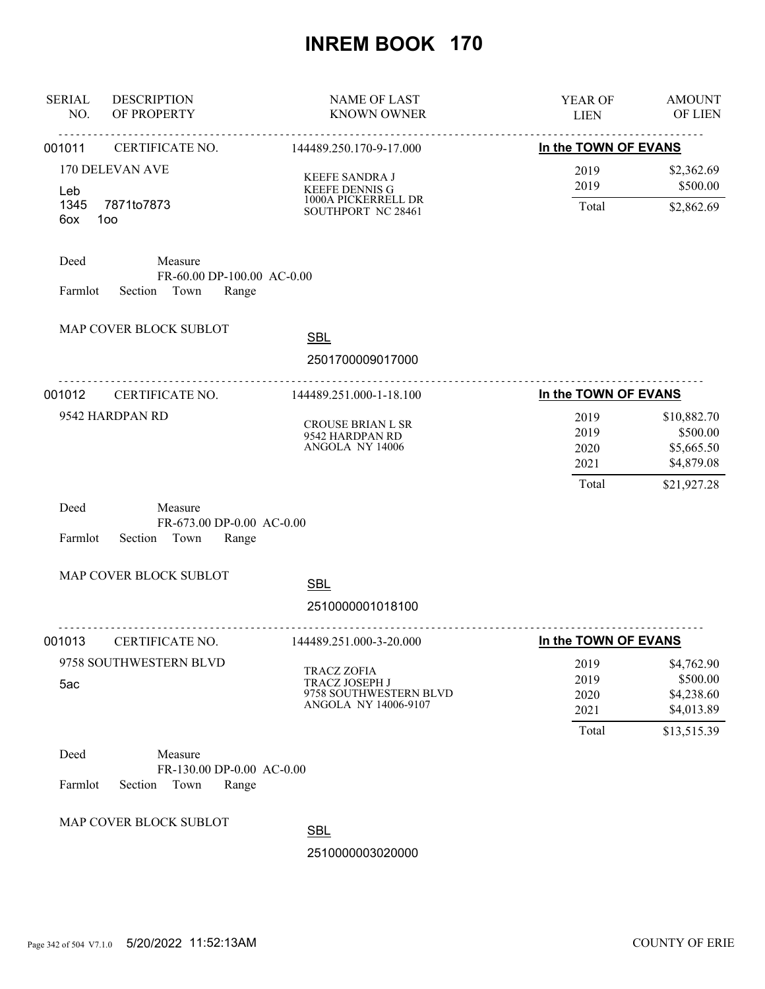| <b>SERIAL</b><br><b>DESCRIPTION</b><br>OF PROPERTY<br>NO.  |                                                                | <b>NAME OF LAST</b><br><b>KNOWN OWNER</b>                                                                  | YEAR OF<br><b>LIEN</b>                               | <b>AMOUNT</b><br>OF LIEN                            |
|------------------------------------------------------------|----------------------------------------------------------------|------------------------------------------------------------------------------------------------------------|------------------------------------------------------|-----------------------------------------------------|
| 001011                                                     | CERTIFICATE NO.                                                | 144489.250.170-9-17.000                                                                                    | In the TOWN OF EVANS                                 |                                                     |
| 170 DELEVAN AVE<br>Leb<br>1345<br>7871to7873<br>6ox<br>100 |                                                                | <b>KEEFE SANDRA J</b><br>KEEFE DENNIS G<br>1000A PICKERRELL DR<br>SOUTHPORT NC 28461                       | 2019<br>2019<br>Total                                | \$2,362.69<br>\$500.00<br>\$2,862.69                |
| Deed<br>Farmlot                                            | Measure<br>FR-60.00 DP-100.00 AC-0.00<br>Section Town<br>Range |                                                                                                            |                                                      |                                                     |
| MAP COVER BLOCK SUBLOT                                     |                                                                | <b>SBL</b><br>2501700009017000                                                                             |                                                      |                                                     |
| 001012                                                     | <u>.</u><br>CERTIFICATE NO.                                    | 144489.251.000-1-18.100                                                                                    | In the TOWN OF EVANS                                 |                                                     |
| 9542 HARDPAN RD                                            |                                                                | <b>CROUSE BRIAN L SR</b><br>9542 HARDPAN RD<br>ANGOLA NY 14006                                             | 2019<br>2019<br>2020<br>2021                         | \$10,882.70<br>\$500.00<br>\$5,665.50<br>\$4,879.08 |
| Deed<br>Farmlot                                            | Measure<br>FR-673.00 DP-0.00 AC-0.00<br>Section Town<br>Range  |                                                                                                            | Total                                                | \$21,927.28                                         |
| MAP COVER BLOCK SUBLOT                                     |                                                                | <b>SBL</b>                                                                                                 |                                                      |                                                     |
|                                                            |                                                                | 2510000001018100                                                                                           |                                                      |                                                     |
| 001013<br>9758 SOUTHWESTERN BLVD<br>5ac                    | <b>CERTIFICATE NO.</b>                                         | 144489.251.000-3-20.000<br>TRACZ ZOFIA<br>TRACZ JOSEPH J<br>9758 SOUTHWESTERN BLVD<br>ANGOLA NY 14006-9107 | In the TOWN OF EVANS<br>2019<br>2019<br>2020<br>2021 | \$4,762.90<br>\$500.00<br>\$4,238.60<br>\$4,013.89  |
| Deed<br>Farmlot<br>Section                                 | Measure<br>FR-130.00 DP-0.00 AC-0.00<br>Town<br>Range          |                                                                                                            | Total                                                | \$13,515.39                                         |
| MAP COVER BLOCK SUBLOT                                     |                                                                | <b>SBL</b><br>2510000003020000                                                                             |                                                      |                                                     |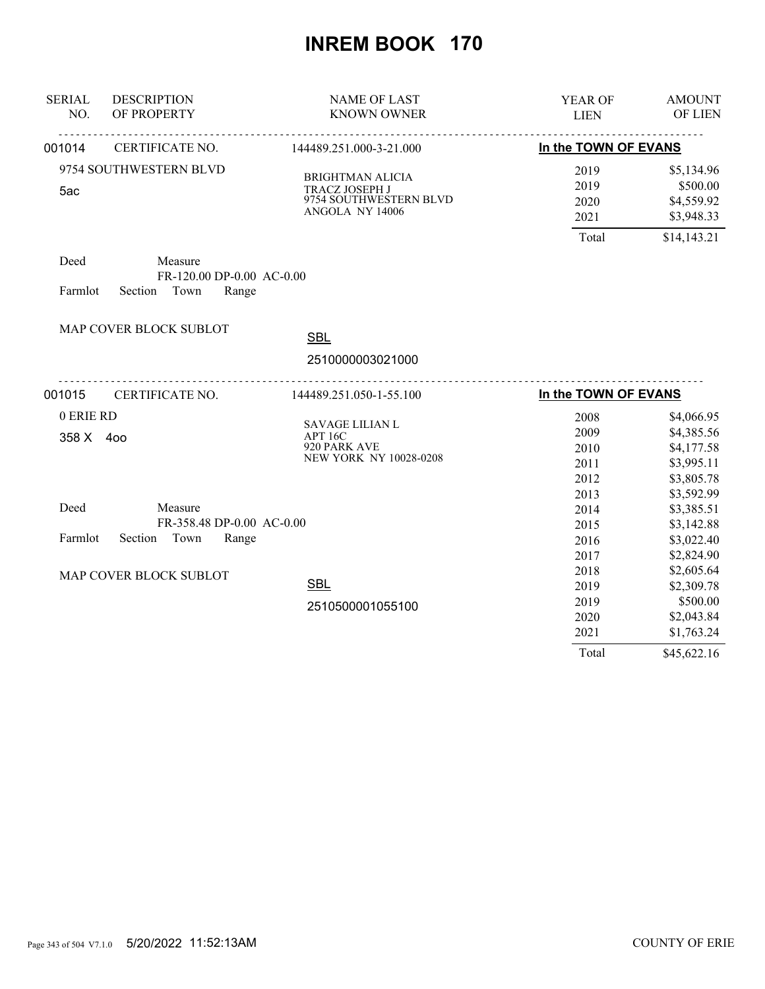| <b>SERIAL</b><br>NO.   | <b>DESCRIPTION</b><br>OF PROPERTY                                | <b>NAME OF LAST</b><br><b>KNOWN OWNER</b>                                              | YEAR OF<br><b>LIEN</b>               | <b>AMOUNT</b><br>OF LIEN                                           |
|------------------------|------------------------------------------------------------------|----------------------------------------------------------------------------------------|--------------------------------------|--------------------------------------------------------------------|
| 001014                 | CERTIFICATE NO.                                                  | <u>.</u><br><u>.</u><br>144489.251.000-3-21.000                                        | In the TOWN OF EVANS                 |                                                                    |
|                        | 9754 SOUTHWESTERN BLVD                                           |                                                                                        | 2019                                 | \$5,134.96                                                         |
| 5ac                    |                                                                  | <b>BRIGHTMAN ALICIA</b><br>TRACZ JOSEPH J<br>9754 SOUTHWESTERN BLVD<br>ANGOLA NY 14006 | 2019<br>2020<br>2021                 | \$500.00<br>\$4,559.92<br>\$3,948.33                               |
|                        |                                                                  |                                                                                        | Total                                | \$14,143.21                                                        |
| Deed<br>Farmlot        | Measure<br>FR-120.00 DP-0.00 AC-0.00<br>Town<br>Range<br>Section |                                                                                        |                                      |                                                                    |
|                        | MAP COVER BLOCK SUBLOT                                           | <b>SBL</b>                                                                             |                                      |                                                                    |
|                        |                                                                  | 2510000003021000                                                                       |                                      |                                                                    |
| 001015                 | CERTIFICATE NO.                                                  | <u>.</u><br>144489.251.050-1-55.100                                                    | In the TOWN OF EVANS                 |                                                                    |
| 0 ERIE RD<br>358 X 400 |                                                                  | <b>SAVAGE LILIAN L</b><br>APT 16C<br>920 PARK AVE<br>NEW YORK NY 10028-0208            | 2008<br>2009<br>2010<br>2011<br>2012 | \$4,066.95<br>\$4,385.56<br>\$4,177.58<br>\$3,995.11<br>\$3,805.78 |
| Deed                   | Measure<br>FR-358.48 DP-0.00 AC-0.00                             |                                                                                        | 2013<br>2014<br>2015                 | \$3,592.99<br>\$3,385.51<br>\$3,142.88                             |
| Farmlot                | Section Town<br>Range                                            |                                                                                        | 2016<br>2017                         | \$3,022.40<br>\$2,824.90                                           |
|                        | MAP COVER BLOCK SUBLOT                                           | <b>SBL</b>                                                                             | 2018<br>2019                         | \$2,605.64<br>\$2,309.78                                           |
|                        |                                                                  | 2510500001055100                                                                       | 2019<br>2020<br>2021                 | \$500.00<br>\$2,043.84<br>\$1,763.24                               |
|                        |                                                                  |                                                                                        | Total                                | \$45,622.16                                                        |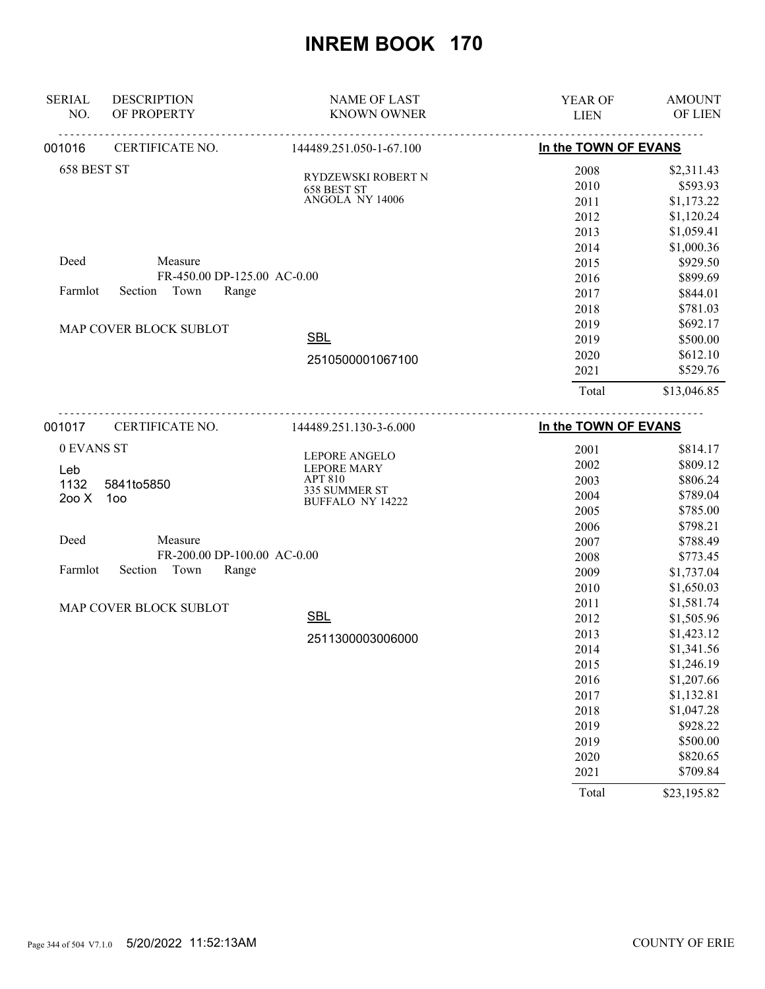| <b>SERIAL</b><br>NO. | <b>DESCRIPTION</b><br>OF PROPERTY | <b>NAME OF LAST</b><br><b>KNOWN OWNER</b> | YEAR OF<br><b>LIEN</b> | <b>AMOUNT</b><br>OF LIEN |
|----------------------|-----------------------------------|-------------------------------------------|------------------------|--------------------------|
| 001016               | CERTIFICATE NO.                   | 144489.251.050-1-67.100                   | In the TOWN OF EVANS   |                          |
| 658 BEST ST          |                                   |                                           | 2008                   | \$2,311.43               |
|                      |                                   | RYDZEWSKI ROBERT N<br>658 BEST ST         | 2010                   | \$593.93                 |
|                      |                                   | ANGOLA NY 14006                           | 2011                   | \$1,173.22               |
|                      |                                   |                                           | 2012                   | \$1,120.24               |
|                      |                                   |                                           | 2013                   | \$1,059.41               |
|                      |                                   |                                           | 2014                   | \$1,000.36               |
| Deed                 | Measure                           |                                           | 2015                   | \$929.50                 |
|                      | FR-450.00 DP-125.00 AC-0.00       |                                           | 2016                   | \$899.69                 |
| Farmlot              | Town<br>Section<br>Range          |                                           | 2017                   | \$844.01                 |
|                      |                                   |                                           | 2018                   | \$781.03                 |
|                      | MAP COVER BLOCK SUBLOT            |                                           | 2019                   | \$692.17                 |
|                      |                                   | <b>SBL</b>                                | 2019                   | \$500.00                 |
|                      |                                   | 2510500001067100                          | 2020                   | \$612.10                 |
|                      |                                   |                                           | 2021                   | \$529.76                 |
|                      |                                   |                                           | Total                  | \$13,046.85              |
| 001017               | CERTIFICATE NO.                   | 144489.251.130-3-6.000                    | In the TOWN OF EVANS   |                          |
| 0 EVANS ST           |                                   |                                           | 2001                   | \$814.17                 |
|                      |                                   | LEPORE ANGELO                             | 2002                   | \$809.12                 |
| Leb<br>1132          | 5841to5850                        | <b>LEPORE MARY</b><br><b>APT 810</b>      | 2003                   | \$806.24                 |
| 200X                 | 100                               | 335 SUMMER ST                             | 2004                   | \$789.04                 |
|                      |                                   | <b>BUFFALO NY 14222</b>                   | 2005                   | \$785.00                 |
|                      |                                   |                                           | 2006                   | \$798.21                 |
| Deed                 | Measure                           |                                           | 2007                   | \$788.49                 |
|                      | FR-200.00 DP-100.00 AC-0.00       |                                           | 2008                   | \$773.45                 |
| Farmlot              | Section<br>Town<br>Range          |                                           | 2009                   | \$1,737.04               |
|                      |                                   |                                           | 2010                   | \$1,650.03               |
|                      | MAP COVER BLOCK SUBLOT            |                                           | 2011                   | \$1,581.74               |
|                      |                                   | <b>SBL</b>                                | 2012                   | \$1,505.96               |
|                      |                                   | 2511300003006000                          | 2013                   | \$1,423.12               |
|                      |                                   |                                           | 2014                   | \$1,341.56               |
|                      |                                   |                                           | 2015                   | \$1,246.19               |
|                      |                                   |                                           | 2016                   | \$1,207.66               |
|                      |                                   |                                           | 2017                   | \$1,132.81               |
|                      |                                   |                                           | 2018                   | \$1,047.28               |
|                      |                                   |                                           | 2019                   | \$928.22                 |
|                      |                                   |                                           | 2019                   | \$500.00                 |
|                      |                                   |                                           | 2020                   | \$820.65                 |
|                      |                                   |                                           | 2021                   | \$709.84                 |
|                      |                                   |                                           | Total                  | \$23,195.82              |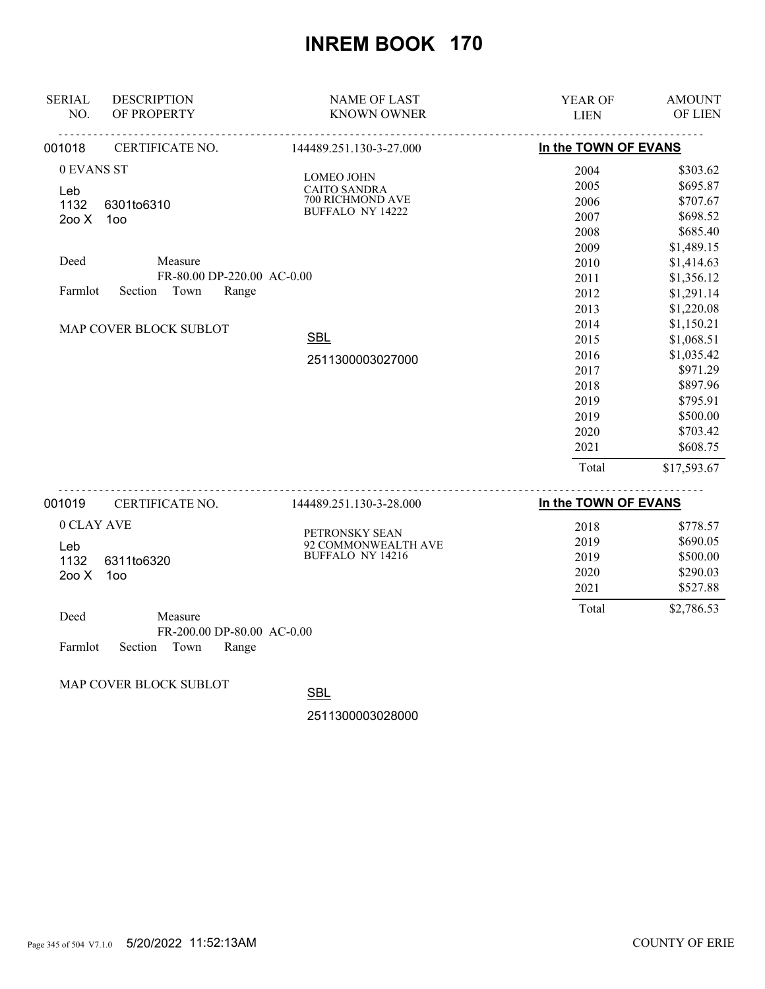| <b>SERIAL</b><br>NO. | <b>DESCRIPTION</b><br>OF PROPERTY                               | <b>NAME OF LAST</b><br><b>KNOWN OWNER</b>   | YEAR OF<br><b>LIEN</b>                                                                                                                                                                                                                                                                                                                                                               | <b>AMOUNT</b><br>OF LIEN |
|----------------------|-----------------------------------------------------------------|---------------------------------------------|--------------------------------------------------------------------------------------------------------------------------------------------------------------------------------------------------------------------------------------------------------------------------------------------------------------------------------------------------------------------------------------|--------------------------|
| 001018               | CERTIFICATE NO.                                                 | 144489.251.130-3-27.000                     | In the TOWN OF EVANS                                                                                                                                                                                                                                                                                                                                                                 |                          |
| 0 EVANS ST           |                                                                 | <b>LOMEO JOHN</b>                           | 2004                                                                                                                                                                                                                                                                                                                                                                                 | \$303.62                 |
| Leb                  |                                                                 | <b>CAITO SANDRA</b>                         | 2005                                                                                                                                                                                                                                                                                                                                                                                 | \$695.87                 |
| 1132                 | 6301to6310                                                      | 700 RICHMOND AVE<br><b>BUFFALO NY 14222</b> | 2006                                                                                                                                                                                                                                                                                                                                                                                 | \$707.67                 |
| 200X                 | 100                                                             |                                             | 2007                                                                                                                                                                                                                                                                                                                                                                                 | \$698.52                 |
|                      |                                                                 |                                             | 2008                                                                                                                                                                                                                                                                                                                                                                                 | \$685.40                 |
|                      |                                                                 |                                             | 2009                                                                                                                                                                                                                                                                                                                                                                                 | \$1,489.15               |
| Deed                 | Measure                                                         |                                             | 2010                                                                                                                                                                                                                                                                                                                                                                                 | \$1,414.63               |
|                      | FR-80.00 DP-220.00 AC-0.00                                      |                                             | 2011                                                                                                                                                                                                                                                                                                                                                                                 | \$1,356.12               |
| Farmlot              | Town<br>Range<br>Section                                        |                                             | 2012                                                                                                                                                                                                                                                                                                                                                                                 | \$1,291.14               |
|                      |                                                                 |                                             | 2013                                                                                                                                                                                                                                                                                                                                                                                 | \$1,220.08               |
|                      | MAP COVER BLOCK SUBLOT                                          |                                             | 2014                                                                                                                                                                                                                                                                                                                                                                                 | \$1,150.21               |
|                      |                                                                 | <b>SBL</b>                                  | 2015                                                                                                                                                                                                                                                                                                                                                                                 | \$1,068.51               |
|                      |                                                                 | 2511300003027000                            | 2016                                                                                                                                                                                                                                                                                                                                                                                 | \$1,035.42               |
|                      |                                                                 |                                             | 2017                                                                                                                                                                                                                                                                                                                                                                                 | \$971.29                 |
|                      |                                                                 |                                             | 2018                                                                                                                                                                                                                                                                                                                                                                                 | \$897.96                 |
|                      |                                                                 |                                             | 2019                                                                                                                                                                                                                                                                                                                                                                                 | \$795.91                 |
|                      |                                                                 |                                             | 2019                                                                                                                                                                                                                                                                                                                                                                                 | \$500.00                 |
|                      |                                                                 |                                             | 2020                                                                                                                                                                                                                                                                                                                                                                                 | \$703.42                 |
|                      |                                                                 |                                             | 2021                                                                                                                                                                                                                                                                                                                                                                                 | \$608.75                 |
|                      |                                                                 |                                             | Total                                                                                                                                                                                                                                                                                                                                                                                | \$17,593.67              |
|                      | $\sim$ mm $\sim$ m $\sim$ $\sim$ $\sim$ mm $\sim$ $\sim$ $\sim$ | $111100$ and $1200$ and $000$               | $\overline{1}$ $\overline{1}$ $\overline{2}$ $\overline{3}$ $\overline{1}$ $\overline{4}$ $\overline{5}$ $\overline{5}$ $\overline{2}$ $\overline{1}$ $\overline{2}$ $\overline{3}$ $\overline{1}$ $\overline{2}$ $\overline{3}$ $\overline{1}$ $\overline{2}$ $\overline{3}$ $\overline{1}$ $\overline{3}$ $\overline{4}$ $\overline{1}$ $\overline{2}$ $\overline{3}$ $\overline{$ |                          |

| 001019     | <b>CERTIFICATE NO.</b>                                                                                                                                                                                                                                                                                                             | 144489.251.130-3-28.000 | In the TOWN OF EVANS |            |
|------------|------------------------------------------------------------------------------------------------------------------------------------------------------------------------------------------------------------------------------------------------------------------------------------------------------------------------------------|-------------------------|----------------------|------------|
| 0 CLAY AVE |                                                                                                                                                                                                                                                                                                                                    | PETRONSKY SEAN          | 2018                 | \$778.57   |
|            | _eb                                                                                                                                                                                                                                                                                                                                | 92 COMMONWEALTH AVE     | 2019                 | \$690.05   |
| 1132       | 6311to6320                                                                                                                                                                                                                                                                                                                         | BUFFALO NY 14216        | 2019                 | \$500.00   |
| 200X       | 100                                                                                                                                                                                                                                                                                                                                |                         | 2020                 | \$290.03   |
|            |                                                                                                                                                                                                                                                                                                                                    |                         | 2021                 | \$527.88   |
| Deed       | Measure                                                                                                                                                                                                                                                                                                                            |                         | Total                | \$2,786.53 |
|            | $\mathbf{F}$ $\mathbf{F}$ $\mathbf{A}$ $\mathbf{A}$ $\mathbf{A}$ $\mathbf{A}$ $\mathbf{A}$ $\mathbf{A}$ $\mathbf{A}$ $\mathbf{A}$ $\mathbf{A}$ $\mathbf{A}$ $\mathbf{A}$ $\mathbf{A}$ $\mathbf{A}$ $\mathbf{A}$ $\mathbf{A}$ $\mathbf{A}$ $\mathbf{A}$ $\mathbf{A}$ $\mathbf{A}$ $\mathbf{A}$ $\mathbf{A}$ $\mathbf{A}$ $\mathbf{$ |                         |                      |            |

|         |                    | FR-200.00 DP-80.00 AC-0.00 |  |
|---------|--------------------|----------------------------|--|
| Farmlot | Section Town Range |                            |  |

MAP COVER BLOCK SUBLOT

SBL

2511300003028000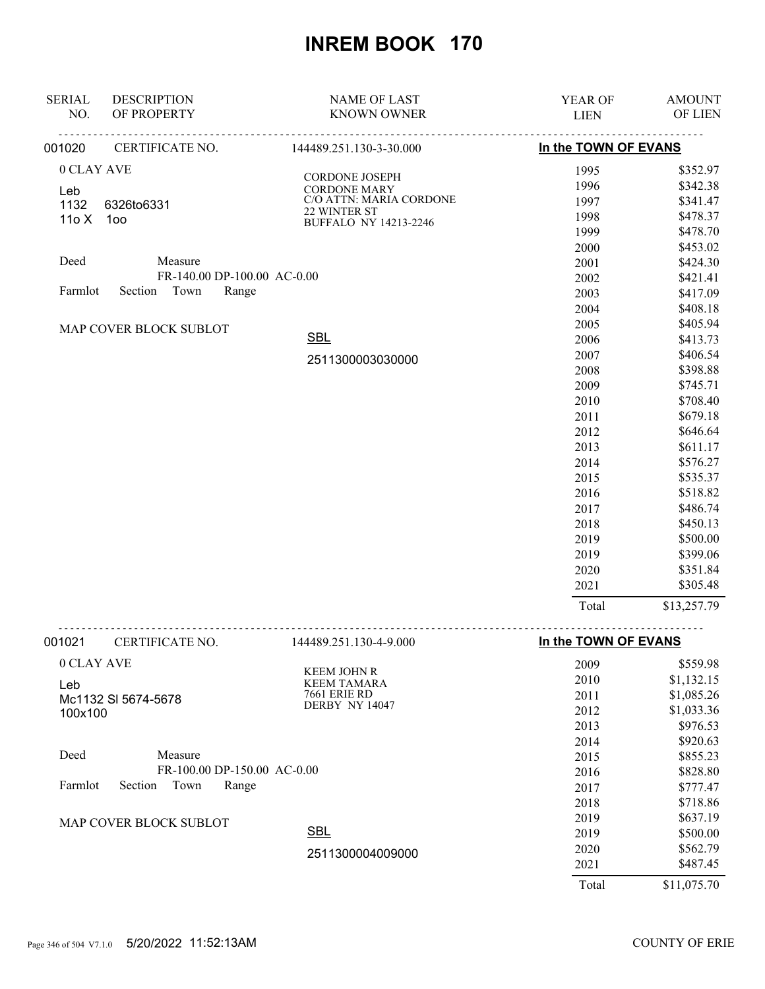| <b>SERIAL</b><br>NO. | <b>DESCRIPTION</b><br>OF PROPERTY       | <b>NAME OF LAST</b><br><b>KNOWN OWNER</b> | YEAR OF<br><b>LIEN</b> | <b>AMOUNT</b><br>OF LIEN |
|----------------------|-----------------------------------------|-------------------------------------------|------------------------|--------------------------|
| 001020               | <u>.</u><br><u>.</u><br>CERTIFICATE NO. | <u>.</u><br>.<br>144489.251.130-3-30.000  | In the TOWN OF EVANS   |                          |
|                      |                                         |                                           |                        |                          |
| 0 CLAY AVE           |                                         | CORDONE JOSEPH                            | 1995                   | \$352.97                 |
| Leb                  |                                         | <b>CORDONE MARY</b>                       | 1996                   | \$342.38                 |
| 1132                 | 6326to6331                              | C/O ATTN: MARIA CORDONE<br>22 WINTER ST   | 1997                   | \$341.47                 |
| 11oX                 | 100                                     | BUFFALO NY 14213-2246                     | 1998                   | \$478.37                 |
|                      |                                         |                                           | 1999                   | \$478.70                 |
| Deed                 | Measure                                 |                                           | 2000                   | \$453.02                 |
|                      | FR-140.00 DP-100.00 AC-0.00             |                                           | 2001<br>2002           | \$424.30<br>\$421.41     |
| Farmlot              | Section Town<br>Range                   |                                           | 2003                   | \$417.09                 |
|                      |                                         |                                           | 2004                   | \$408.18                 |
|                      |                                         |                                           | 2005                   | \$405.94                 |
|                      | MAP COVER BLOCK SUBLOT                  | <b>SBL</b>                                | 2006                   | \$413.73                 |
|                      |                                         |                                           | 2007                   | \$406.54                 |
|                      |                                         | 2511300003030000                          | 2008                   | \$398.88                 |
|                      |                                         |                                           | 2009                   | \$745.71                 |
|                      |                                         |                                           | 2010                   | \$708.40                 |
|                      |                                         |                                           | 2011                   | \$679.18                 |
|                      |                                         |                                           | 2012                   | \$646.64                 |
|                      |                                         |                                           | 2013                   | \$611.17                 |
|                      |                                         |                                           | 2014                   | \$576.27                 |
|                      |                                         |                                           | 2015                   | \$535.37                 |
|                      |                                         |                                           | 2016                   | \$518.82                 |
|                      |                                         |                                           | 2017                   | \$486.74                 |
|                      |                                         |                                           | 2018                   | \$450.13                 |
|                      |                                         |                                           | 2019                   | \$500.00                 |
|                      |                                         |                                           | 2019                   | \$399.06                 |
|                      |                                         |                                           | 2020                   | \$351.84                 |
|                      |                                         |                                           | 2021                   | \$305.48                 |
|                      |                                         |                                           | Total                  | \$13,257.79              |
| 001021               | CERTIFICATE NO.                         | 144489.251.130-4-9.000                    | In the TOWN OF EVANS   |                          |
|                      |                                         |                                           |                        |                          |
| 0 CLAY AVE           |                                         | <b>KEEM JOHN R</b>                        | 2009                   | \$559.98                 |
| Leb                  |                                         | <b>KEEM TAMARA</b>                        | 2010                   | \$1,132.15               |
|                      | Mc1132 SI 5674-5678                     | <b>7661 ERIE RD</b><br>DERBY NY 14047     | 2011                   | \$1,085.26               |
| 100x100              |                                         |                                           | 2012                   | \$1,033.36               |
|                      |                                         |                                           | 2013                   | \$976.53                 |
|                      |                                         |                                           | 2014                   | \$920.63                 |
| Deed                 | Measure                                 |                                           | 2015                   | \$855.23                 |
|                      | FR-100.00 DP-150.00 AC-0.00             |                                           | 2016                   | \$828.80                 |
| Farmlot              | Section<br>Town<br>Range                |                                           | 2017                   | \$777.47                 |
|                      |                                         |                                           | 2018                   | \$718.86                 |
|                      | MAP COVER BLOCK SUBLOT                  |                                           | 2019                   | \$637.19                 |
|                      |                                         | <b>SBL</b>                                | 2019                   | \$500.00                 |
|                      |                                         | 2511300004009000                          | 2020                   | \$562.79                 |
|                      |                                         |                                           | 2021                   | \$487.45                 |
|                      |                                         |                                           | Total                  | \$11,075.70              |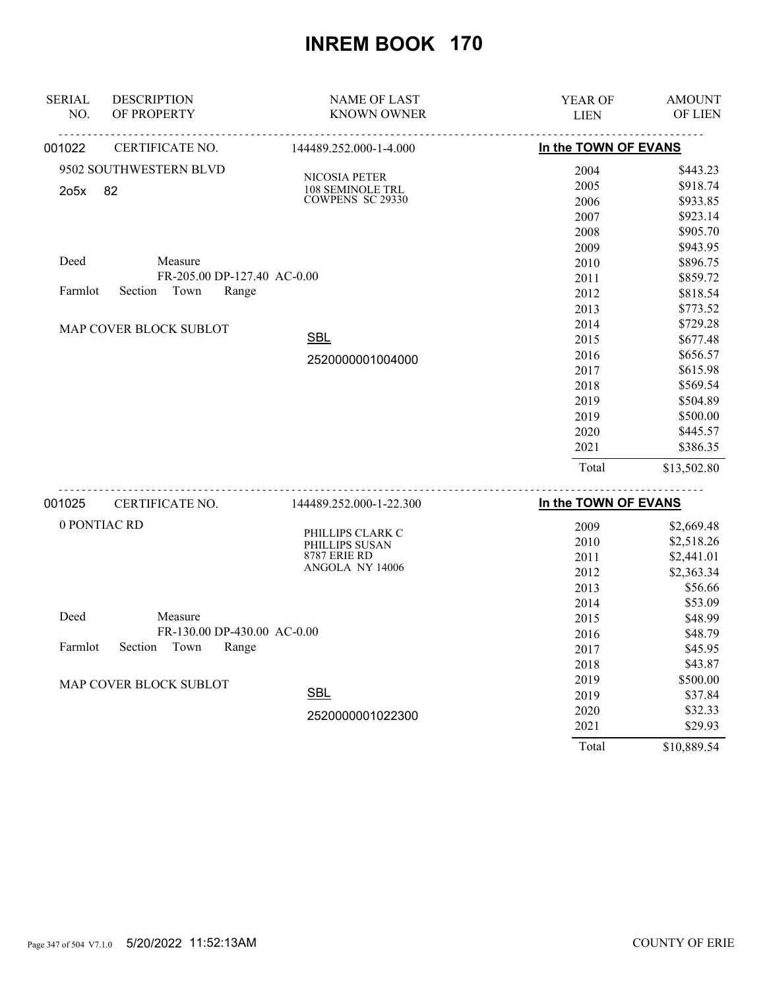| <b>SERIAL</b><br>NO. | <b>DESCRIPTION</b><br>OF PROPERTY | <b>NAME OF LAST</b><br><b>KNOWN OWNER</b> | YEAR OF              | <b>AMOUNT</b><br>OF LIEN |
|----------------------|-----------------------------------|-------------------------------------------|----------------------|--------------------------|
|                      |                                   |                                           | <b>LIEN</b>          |                          |
| 001022               | CERTIFICATE NO.                   | 144489.252.000-1-4.000                    | In the TOWN OF EVANS |                          |
|                      | 9502 SOUTHWESTERN BLVD            | NICOSIA PETER                             | 2004                 | \$443.23                 |
| 2o5x                 | 82                                | 108 SEMINOLE TRL                          | 2005                 | \$918.74                 |
|                      |                                   | <b>COWPENS SC 29330</b>                   | 2006                 | \$933.85                 |
|                      |                                   |                                           | 2007                 | \$923.14                 |
|                      |                                   |                                           | 2008                 | \$905.70                 |
|                      |                                   |                                           | 2009                 | \$943.95                 |
| Deed                 | Measure                           |                                           | 2010                 | \$896.75                 |
|                      | FR-205.00 DP-127.40 AC-0.00       |                                           | 2011                 | \$859.72                 |
| Farmlot              | Town<br>Range<br>Section          |                                           | 2012                 | \$818.54                 |
|                      |                                   |                                           | 2013                 | \$773.52                 |
|                      | MAP COVER BLOCK SUBLOT            |                                           | 2014                 | \$729.28                 |
|                      |                                   | <b>SBL</b>                                | 2015                 | \$677.48                 |
|                      |                                   | 2520000001004000                          | 2016                 | \$656.57                 |
|                      |                                   |                                           | 2017                 | \$615.98                 |
|                      |                                   |                                           | 2018                 | \$569.54                 |
|                      |                                   |                                           | 2019                 | \$504.89                 |
|                      |                                   |                                           | 2019                 | \$500.00                 |
|                      |                                   |                                           | 2020                 | \$445.57                 |
|                      |                                   |                                           | 2021                 | \$386.35                 |
|                      |                                   |                                           | Total                | \$13,502.80              |
|                      |                                   |                                           |                      |                          |

| 001025 | CERTIFICATE NO.                                                                                                         | 144489.252.000-1-22.300            | In the TOWN OF EVANS |             |
|--------|-------------------------------------------------------------------------------------------------------------------------|------------------------------------|----------------------|-------------|
|        | 0 PONTIAC RD<br>Measure<br>FR-130.00 DP-430.00 AC-0.00<br>Farmlot<br>Section<br>Town<br>Range<br>MAP COVER BLOCK SUBLOT |                                    | 2009                 | \$2,669.48  |
|        |                                                                                                                         | PHILLIPS CLARK C<br>PHILLIPS SUSAN | 2010                 | \$2,518.26  |
|        |                                                                                                                         | <b>8787 ERIE RD</b>                | 2011                 | \$2,441.01  |
|        |                                                                                                                         | ANGOLA NY 14006                    | 2012                 | \$2,363.34  |
|        |                                                                                                                         |                                    | 2013                 | \$56.66     |
|        |                                                                                                                         |                                    | 2014                 | \$53.09     |
| Deed   |                                                                                                                         |                                    | 2015                 | \$48.99     |
|        |                                                                                                                         |                                    | 2016                 | \$48.79     |
|        |                                                                                                                         |                                    | 2017                 | \$45.95     |
|        |                                                                                                                         |                                    | 2018                 | \$43.87     |
|        |                                                                                                                         |                                    | 2019                 | \$500.00    |
|        |                                                                                                                         | <b>SBL</b>                         | 2019                 | \$37.84     |
|        |                                                                                                                         | 2520000001022300                   | 2020                 | \$32.33     |
|        |                                                                                                                         |                                    | 2021                 | \$29.93     |
|        |                                                                                                                         |                                    | Total                | \$10,889.54 |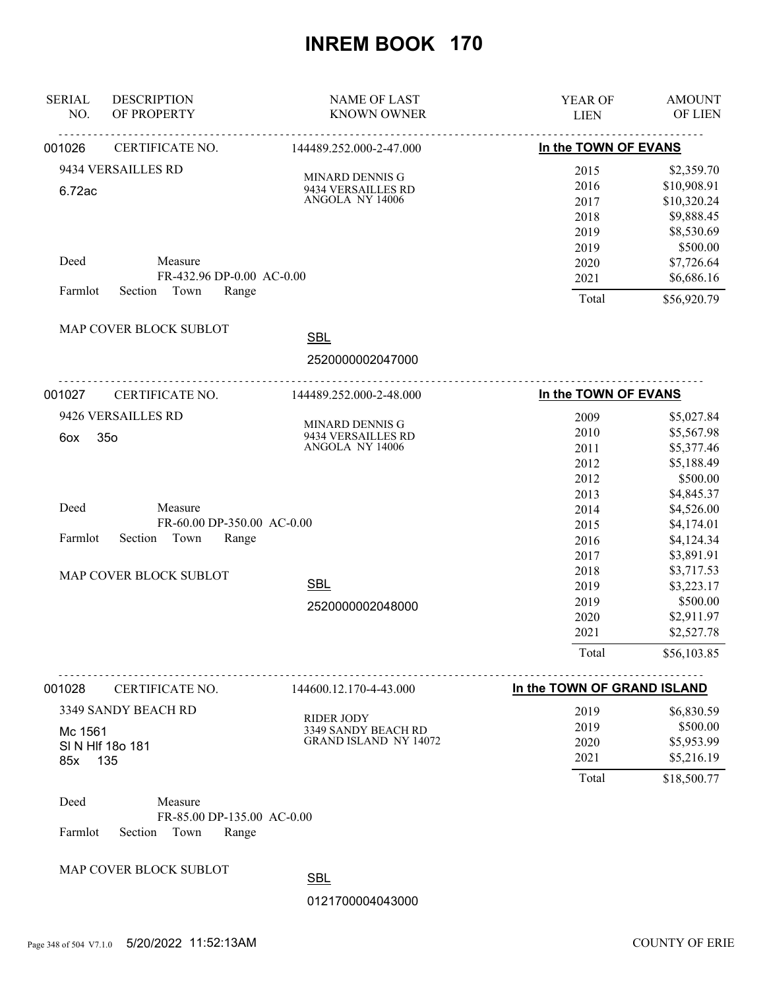| <b>SERIAL</b><br>NO. | <b>DESCRIPTION</b><br>OF PROPERTY                                 | <b>NAME OF LAST</b><br><b>KNOWN OWNER</b>                                | YEAR OF<br><b>LIEN</b>                        | <b>AMOUNT</b><br>OF LIEN                                                        |
|----------------------|-------------------------------------------------------------------|--------------------------------------------------------------------------|-----------------------------------------------|---------------------------------------------------------------------------------|
| 001026               | CERTIFICATE NO.                                                   | 144489.252.000-2-47.000                                                  | In the TOWN OF EVANS                          |                                                                                 |
| 6.72ac               | 9434 VERSAILLES RD                                                | MINARD DENNIS G<br>9434 VERSAILLES RD<br>ANGOLA NY 14006                 | 2015<br>2016<br>2017<br>2018<br>2019          | \$2,359.70<br>\$10,908.91<br>\$10,320.24<br>\$9,888.45<br>\$8,530.69            |
| Deed<br>Farmlot      | Measure<br>FR-432.96 DP-0.00 AC-0.00<br>Town<br>Section<br>Range  |                                                                          | 2019<br>2020<br>2021<br>Total                 | \$500.00<br>\$7,726.64<br>\$6,686.16<br>\$56,920.79                             |
|                      | MAP COVER BLOCK SUBLOT                                            | <b>SBL</b><br>2520000002047000                                           |                                               |                                                                                 |
| 001027               | CERTIFICATE NO.                                                   | 144489.252.000-2-48.000                                                  | In the TOWN OF EVANS                          |                                                                                 |
| 6ox                  | 9426 VERSAILLES RD<br>350                                         | MINARD DENNIS G<br>9434 VERSAILLES RD<br>ANGOLA NY 14006                 | 2009<br>2010<br>2011<br>2012<br>2012          | \$5,027.84<br>\$5,567.98<br>\$5,377.46<br>\$5,188.49<br>\$500.00                |
| Deed<br>Farmlot      | Measure<br>FR-60.00 DP-350.00 AC-0.00<br>Section<br>Town<br>Range |                                                                          | 2013<br>2014<br>2015<br>2016<br>2017          | \$4,845.37<br>\$4,526.00<br>\$4,174.01<br>\$4,124.34<br>\$3,891.91              |
|                      | MAP COVER BLOCK SUBLOT                                            | <b>SBL</b><br>2520000002048000                                           | 2018<br>2019<br>2019<br>2020<br>2021<br>Total | \$3,717.53<br>\$3,223.17<br>\$500.00<br>\$2,911.97<br>\$2,527.78<br>\$56,103.85 |
|                      |                                                                   |                                                                          |                                               |                                                                                 |
| 001028               | CERTIFICATE NO.                                                   | 144600.12.170-4-43.000                                                   | In the TOWN OF GRAND ISLAND                   |                                                                                 |
| Mc 1561<br>85x       | 3349 SANDY BEACH RD<br>SIN HIF 180 181<br>135                     | <b>RIDER JODY</b><br>3349 SANDY BEACH RD<br><b>GRAND ISLAND NY 14072</b> | 2019<br>2019<br>2020<br>2021                  | \$6,830.59<br>\$500.00<br>\$5,953.99<br>\$5,216.19                              |
| Deed<br>Farmlot      | Measure<br>FR-85.00 DP-135.00 AC-0.00<br>Section<br>Town<br>Range |                                                                          | Total                                         | \$18,500.77                                                                     |
|                      | MAP COVER BLOCK SUBLOT                                            | <b>SBL</b><br>0121700004043000                                           |                                               |                                                                                 |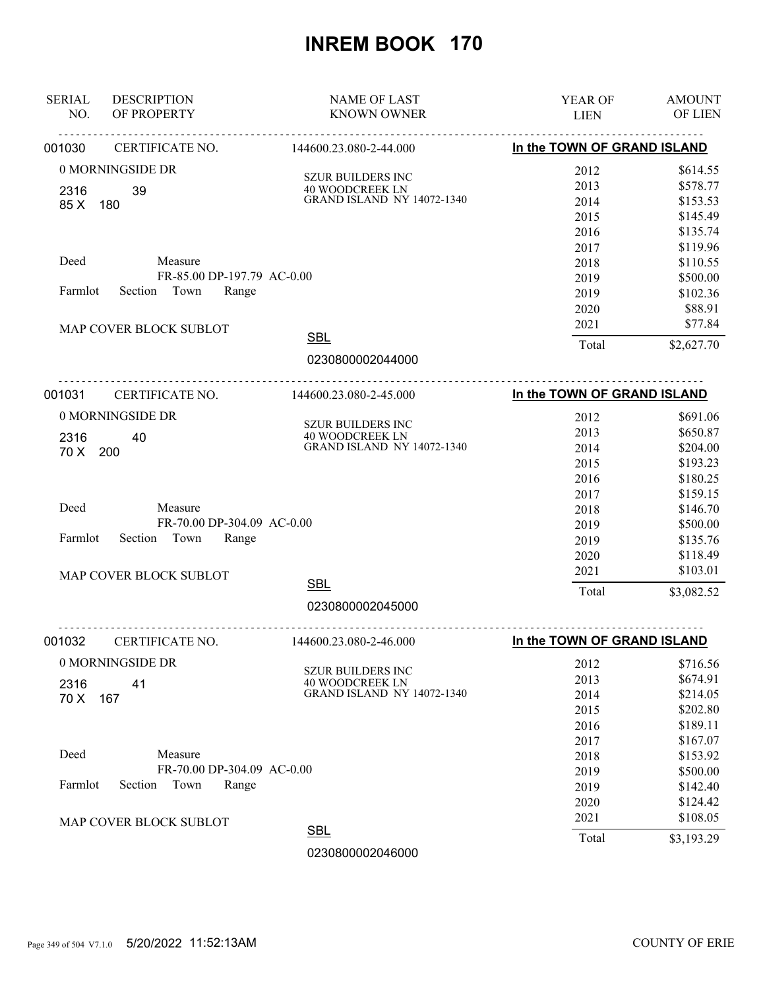| In the TOWN OF GRAND ISLAND<br>001030<br>CERTIFICATE NO.<br>144600.23.080-2-44.000<br>0 MORNINGSIDE DR<br>2012<br><b>SZUR BUILDERS INC</b><br>2013<br><b>40 WOODCREEK LN</b><br>2316<br>39<br><b>GRAND ISLAND NY 14072-1340</b><br>2014<br>85 X<br>180<br>2015<br>2016<br>2017<br>Deed<br>Measure<br>2018<br>FR-85.00 DP-197.79 AC-0.00<br>2019 | \$614.55<br>\$578.77<br>\$153.53<br>\$145.49<br>\$135.74<br>\$119.96<br>\$110.55<br>\$500.00<br>\$102.36<br>\$88.91<br>\$77.84<br>\$2,627.70 |
|-------------------------------------------------------------------------------------------------------------------------------------------------------------------------------------------------------------------------------------------------------------------------------------------------------------------------------------------------|----------------------------------------------------------------------------------------------------------------------------------------------|
|                                                                                                                                                                                                                                                                                                                                                 |                                                                                                                                              |
|                                                                                                                                                                                                                                                                                                                                                 |                                                                                                                                              |
|                                                                                                                                                                                                                                                                                                                                                 |                                                                                                                                              |
|                                                                                                                                                                                                                                                                                                                                                 |                                                                                                                                              |
|                                                                                                                                                                                                                                                                                                                                                 |                                                                                                                                              |
|                                                                                                                                                                                                                                                                                                                                                 |                                                                                                                                              |
|                                                                                                                                                                                                                                                                                                                                                 |                                                                                                                                              |
|                                                                                                                                                                                                                                                                                                                                                 |                                                                                                                                              |
|                                                                                                                                                                                                                                                                                                                                                 |                                                                                                                                              |
| Section Town<br>Farmlot<br>Range<br>2019                                                                                                                                                                                                                                                                                                        |                                                                                                                                              |
| 2020                                                                                                                                                                                                                                                                                                                                            |                                                                                                                                              |
| 2021<br>MAP COVER BLOCK SUBLOT                                                                                                                                                                                                                                                                                                                  |                                                                                                                                              |
| <b>SBL</b><br>Total                                                                                                                                                                                                                                                                                                                             |                                                                                                                                              |
| 0230800002044000                                                                                                                                                                                                                                                                                                                                |                                                                                                                                              |
| <u>.</u><br>In the TOWN OF GRAND ISLAND<br>001031<br>CERTIFICATE NO.<br>144600.23.080-2-45.000                                                                                                                                                                                                                                                  |                                                                                                                                              |
| 0 MORNINGSIDE DR<br>2012                                                                                                                                                                                                                                                                                                                        | \$691.06                                                                                                                                     |
| <b>SZUR BUILDERS INC</b><br>2013<br><b>40 WOODCREEK LN</b>                                                                                                                                                                                                                                                                                      | \$650.87                                                                                                                                     |
| 2316<br>40<br><b>GRAND ISLAND NY 14072-1340</b><br>2014<br>70 X<br>200                                                                                                                                                                                                                                                                          | \$204.00                                                                                                                                     |
| 2015                                                                                                                                                                                                                                                                                                                                            | \$193.23                                                                                                                                     |
| 2016                                                                                                                                                                                                                                                                                                                                            | \$180.25                                                                                                                                     |
| 2017                                                                                                                                                                                                                                                                                                                                            | \$159.15                                                                                                                                     |
| Deed<br>Measure<br>2018                                                                                                                                                                                                                                                                                                                         | \$146.70                                                                                                                                     |
| FR-70.00 DP-304.09 AC-0.00<br>2019                                                                                                                                                                                                                                                                                                              | \$500.00                                                                                                                                     |
| Section<br>Town<br>Range<br>Farmlot<br>2019                                                                                                                                                                                                                                                                                                     | \$135.76                                                                                                                                     |
| 2020                                                                                                                                                                                                                                                                                                                                            | \$118.49                                                                                                                                     |
| 2021<br>MAP COVER BLOCK SUBLOT                                                                                                                                                                                                                                                                                                                  | \$103.01                                                                                                                                     |
| <b>SBL</b><br>Total                                                                                                                                                                                                                                                                                                                             | \$3,082.52                                                                                                                                   |
| 0230800002045000                                                                                                                                                                                                                                                                                                                                |                                                                                                                                              |
| ----------------------------<br><u>.</u> .<br>CERTIFICATE NO.<br>In the TOWN OF GRAND ISLAND<br>001032<br>144600.23.080-2-46.000                                                                                                                                                                                                                |                                                                                                                                              |
| 0 MORNINGSIDE DR<br>2012                                                                                                                                                                                                                                                                                                                        | \$716.56                                                                                                                                     |
| SZUR BUILDERS INC<br>2013                                                                                                                                                                                                                                                                                                                       | \$674.91                                                                                                                                     |
| 40 WOODCREEK LN<br>41<br>2316<br><b>GRAND ISLAND NY 14072-1340</b><br>2014                                                                                                                                                                                                                                                                      | \$214.05                                                                                                                                     |
| 70 X<br>167<br>2015                                                                                                                                                                                                                                                                                                                             | \$202.80                                                                                                                                     |
| 2016                                                                                                                                                                                                                                                                                                                                            | \$189.11                                                                                                                                     |
| 2017                                                                                                                                                                                                                                                                                                                                            | \$167.07                                                                                                                                     |
| Deed<br>Measure<br>2018                                                                                                                                                                                                                                                                                                                         | \$153.92                                                                                                                                     |
| FR-70.00 DP-304.09 AC-0.00<br>2019                                                                                                                                                                                                                                                                                                              | \$500.00                                                                                                                                     |
| Farmlot<br>Town<br>Range<br>Section<br>2019                                                                                                                                                                                                                                                                                                     | \$142.40                                                                                                                                     |
| 2020                                                                                                                                                                                                                                                                                                                                            | \$124.42                                                                                                                                     |
| 2021<br>MAP COVER BLOCK SUBLOT                                                                                                                                                                                                                                                                                                                  | \$108.05                                                                                                                                     |
| <b>SBL</b><br>Total                                                                                                                                                                                                                                                                                                                             | \$3,193.29                                                                                                                                   |
| 0230800002046000                                                                                                                                                                                                                                                                                                                                |                                                                                                                                              |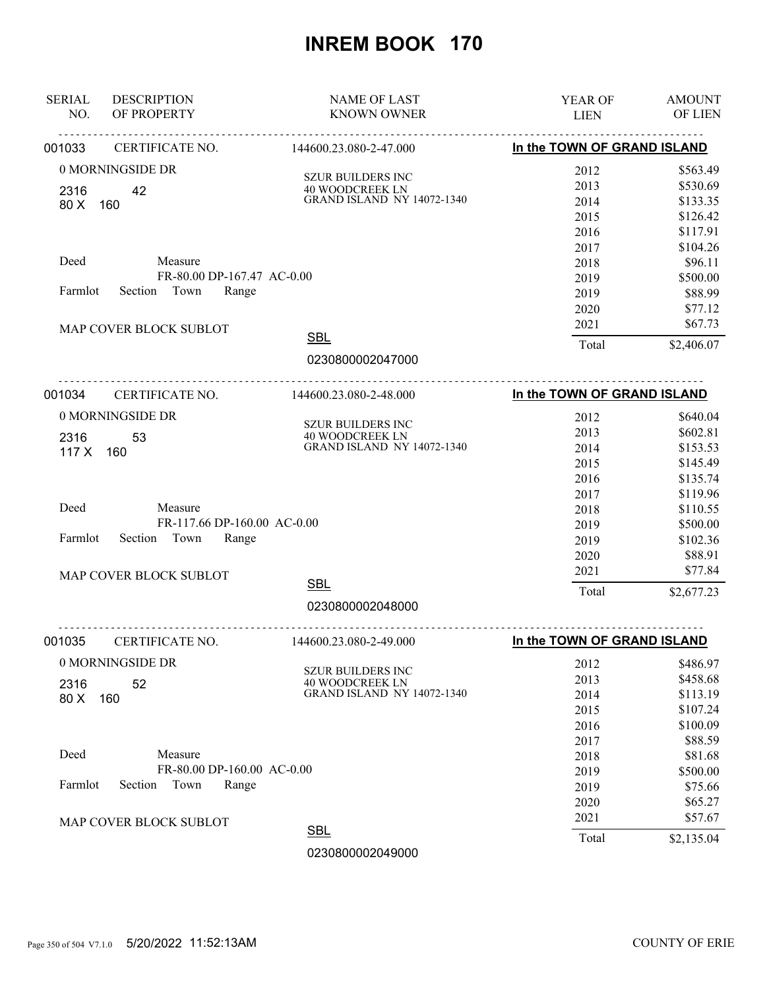| <b>SERIAL</b><br><b>DESCRIPTION</b><br>OF PROPERTY<br>NO. | <b>NAME OF LAST</b><br><b>KNOWN OWNER</b>            | YEAR OF<br><b>LIEN</b>                                                  | <b>AMOUNT</b><br>OF LIEN |
|-----------------------------------------------------------|------------------------------------------------------|-------------------------------------------------------------------------|--------------------------|
| CERTIFICATE NO.<br>001033                                 | 144600.23.080-2-47.000                               | <u>---------------------------------</u><br>In the TOWN OF GRAND ISLAND |                          |
| 0 MORNINGSIDE DR                                          |                                                      | 2012                                                                    | \$563.49                 |
| 2316<br>42                                                | <b>SZUR BUILDERS INC</b><br><b>40 WOODCREEK LN</b>   | 2013                                                                    | \$530.69                 |
| 80 X<br>160                                               | <b>GRAND ISLAND NY 14072-1340</b>                    | 2014                                                                    | \$133.35                 |
|                                                           |                                                      | 2015                                                                    | \$126.42                 |
|                                                           |                                                      | 2016                                                                    | \$117.91                 |
|                                                           |                                                      | 2017                                                                    | \$104.26                 |
| Deed<br>Measure                                           |                                                      | 2018                                                                    | \$96.11                  |
| FR-80.00 DP-167.47 AC-0.00                                |                                                      | 2019                                                                    | \$500.00                 |
| Section Town<br>Farmlot<br>Range                          |                                                      | 2019                                                                    | \$88.99                  |
|                                                           |                                                      | 2020                                                                    | \$77.12                  |
| MAP COVER BLOCK SUBLOT                                    |                                                      | 2021                                                                    | \$67.73                  |
|                                                           | <b>SBL</b>                                           | Total                                                                   | \$2,406.07               |
|                                                           | 0230800002047000                                     |                                                                         |                          |
| 001034<br>CERTIFICATE NO.                                 | .<br>144600.23.080-2-48.000                          | In the TOWN OF GRAND ISLAND                                             |                          |
| 0 MORNINGSIDE DR                                          |                                                      | 2012                                                                    | \$640.04                 |
| 2316<br>53                                                | <b>SZUR BUILDERS INC</b>                             | 2013                                                                    | \$602.81                 |
| 117 X 160                                                 | 40 WOODCREEK LN<br>GRAND ISLAND NY 14072-1340        | 2014                                                                    | \$153.53                 |
|                                                           |                                                      | 2015                                                                    | \$145.49                 |
|                                                           |                                                      | 2016                                                                    | \$135.74                 |
|                                                           |                                                      | 2017                                                                    | \$119.96                 |
| Deed<br>Measure                                           |                                                      | 2018                                                                    | \$110.55                 |
| FR-117.66 DP-160.00 AC-0.00                               |                                                      | 2019                                                                    | \$500.00                 |
| Town<br>Range<br>Farmlot<br>Section                       |                                                      | 2019                                                                    | \$102.36                 |
|                                                           |                                                      | 2020                                                                    | \$88.91                  |
| MAP COVER BLOCK SUBLOT                                    |                                                      | 2021                                                                    | \$77.84                  |
|                                                           | <b>SBL</b>                                           | Total                                                                   | \$2,677.23               |
|                                                           | 0230800002048000                                     |                                                                         |                          |
| CERTIFICATE NO.<br>001035                                 | .<br>144600.23.080-2-49.000                          | In the TOWN OF GRAND ISLAND                                             |                          |
| 0 MORNINGSIDE DR                                          |                                                      | 2012                                                                    | \$486.97                 |
|                                                           | SZUR BUILDERS INC                                    | 2013                                                                    | \$458.68                 |
| 52<br>2316<br>80 X                                        | 40 WOODCREEK LN<br><b>GRAND ISLAND NY 14072-1340</b> | 2014                                                                    | \$113.19                 |
| 160                                                       |                                                      | 2015                                                                    | \$107.24                 |
|                                                           |                                                      | 2016                                                                    | \$100.09                 |
|                                                           |                                                      | 2017                                                                    | \$88.59                  |
| Deed<br>Measure                                           |                                                      | 2018                                                                    | \$81.68                  |
| FR-80.00 DP-160.00 AC-0.00                                |                                                      | 2019                                                                    | \$500.00                 |
| Farmlot<br>Town<br>Range<br>Section                       |                                                      | 2019                                                                    | \$75.66                  |
|                                                           |                                                      | 2020                                                                    | \$65.27                  |
| MAP COVER BLOCK SUBLOT                                    |                                                      | 2021                                                                    | \$57.67                  |
|                                                           | <b>SBL</b>                                           | Total                                                                   | \$2,135.04               |
|                                                           | 0230800002049000                                     |                                                                         |                          |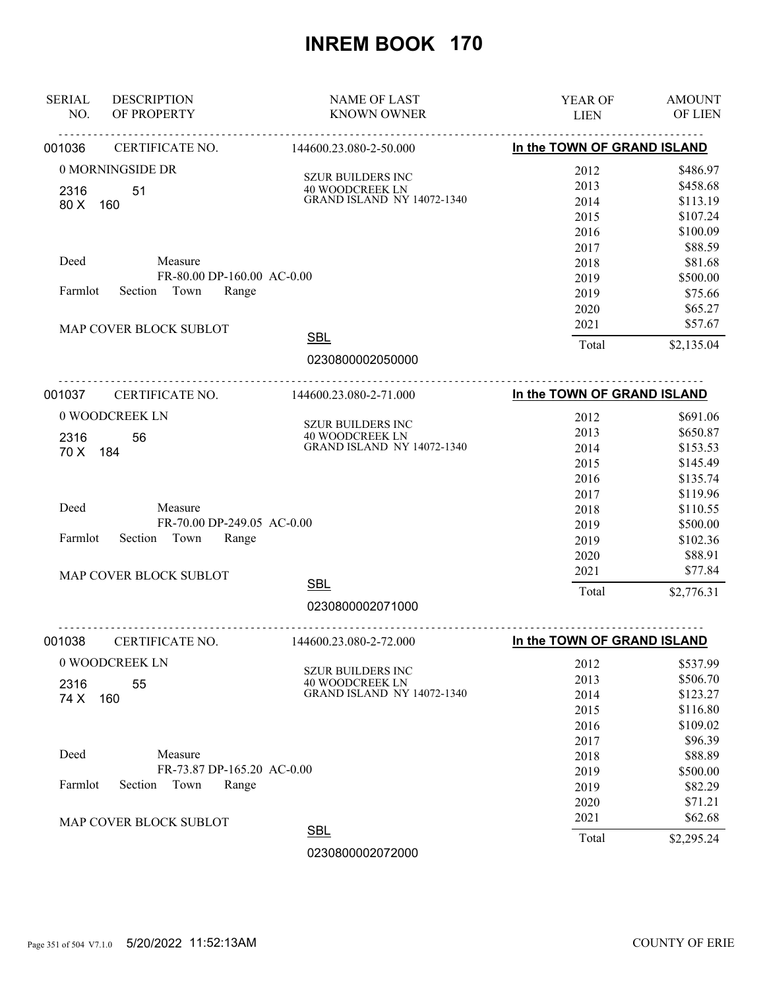| <b>SERIAL</b><br><b>DESCRIPTION</b><br>OF PROPERTY<br>NO.         | <b>NAME OF LAST</b><br><b>KNOWN OWNER</b>                    | YEAR OF<br><b>LIEN</b>      | <b>AMOUNT</b><br>OF LIEN |
|-------------------------------------------------------------------|--------------------------------------------------------------|-----------------------------|--------------------------|
| 001036<br>CERTIFICATE NO.                                         | ----------------------------------<br>144600.23.080-2-50.000 | In the TOWN OF GRAND ISLAND |                          |
| 0 MORNINGSIDE DR                                                  |                                                              | 2012                        | \$486.97                 |
|                                                                   | <b>SZUR BUILDERS INC</b><br><b>40 WOODCREEK LN</b>           | 2013                        | \$458.68                 |
| 2316<br>51<br>80 X<br>160                                         | <b>GRAND ISLAND NY 14072-1340</b>                            | 2014                        | \$113.19                 |
|                                                                   |                                                              | 2015                        | \$107.24                 |
|                                                                   |                                                              | 2016                        | \$100.09                 |
|                                                                   |                                                              | 2017                        | \$88.59                  |
| Deed<br>Measure                                                   |                                                              | 2018                        | \$81.68                  |
| FR-80.00 DP-160.00 AC-0.00                                        |                                                              | 2019                        | \$500.00                 |
| Section Town<br>Farmlot<br>Range                                  |                                                              | 2019                        | \$75.66                  |
|                                                                   |                                                              | 2020                        | \$65.27                  |
| MAP COVER BLOCK SUBLOT                                            |                                                              | 2021                        | \$57.67                  |
|                                                                   | <b>SBL</b>                                                   | Total                       | \$2,135.04               |
|                                                                   | 0230800002050000                                             |                             |                          |
| 001037<br>CERTIFICATE NO.                                         | <u>.</u><br>144600.23.080-2-71.000                           | In the TOWN OF GRAND ISLAND |                          |
| 0 WOODCREEK LN                                                    |                                                              | 2012                        | \$691.06                 |
|                                                                   | <b>SZUR BUILDERS INC</b><br><b>40 WOODCREEK LN</b>           | 2013                        | \$650.87                 |
| 56<br>2316<br>70 X<br>184                                         | <b>GRAND ISLAND NY 14072-1340</b>                            | 2014                        | \$153.53                 |
|                                                                   |                                                              | 2015                        | \$145.49                 |
|                                                                   |                                                              | 2016                        | \$135.74                 |
|                                                                   |                                                              | 2017                        | \$119.96                 |
| Deed<br>Measure                                                   |                                                              | 2018                        | \$110.55                 |
| FR-70.00 DP-249.05 AC-0.00                                        |                                                              | 2019                        | \$500.00                 |
| Section<br>Town<br>Range<br>Farmlot                               |                                                              | 2019                        | \$102.36                 |
|                                                                   |                                                              | 2020                        | \$88.91                  |
| MAP COVER BLOCK SUBLOT                                            |                                                              | 2021                        | \$77.84                  |
|                                                                   | <b>SBL</b>                                                   | Total                       | \$2,776.31               |
|                                                                   | 0230800002071000                                             |                             |                          |
| --- <b>-----------------------</b> -<br>CERTIFICATE NO.<br>001038 | <u>.</u><br>144600.23.080-2-72.000                           | In the TOWN OF GRAND ISLAND |                          |
| 0 WOODCREEK LN                                                    |                                                              | 2012                        | \$537.99                 |
|                                                                   | SZUR BUILDERS INC                                            | 2013                        | \$506.70                 |
| 55<br>2316<br>74 X<br>160                                         | 40 WOODCREEK LN<br><b>GRAND ISLAND NY 14072-1340</b>         | 2014                        | \$123.27                 |
|                                                                   |                                                              | 2015                        | \$116.80                 |
|                                                                   |                                                              | 2016                        | \$109.02                 |
|                                                                   |                                                              | 2017                        | \$96.39                  |
| Deed<br>Measure                                                   |                                                              | 2018                        | \$88.89                  |
| FR-73.87 DP-165.20 AC-0.00                                        |                                                              | 2019                        | \$500.00                 |
| Farmlot<br>Town<br>Section<br>Range                               |                                                              | 2019                        | \$82.29                  |
|                                                                   |                                                              | 2020                        | \$71.21                  |
| MAP COVER BLOCK SUBLOT                                            |                                                              | 2021                        | \$62.68                  |
|                                                                   | <b>SBL</b>                                                   | Total                       | \$2,295.24               |
|                                                                   | 0230800002072000                                             |                             |                          |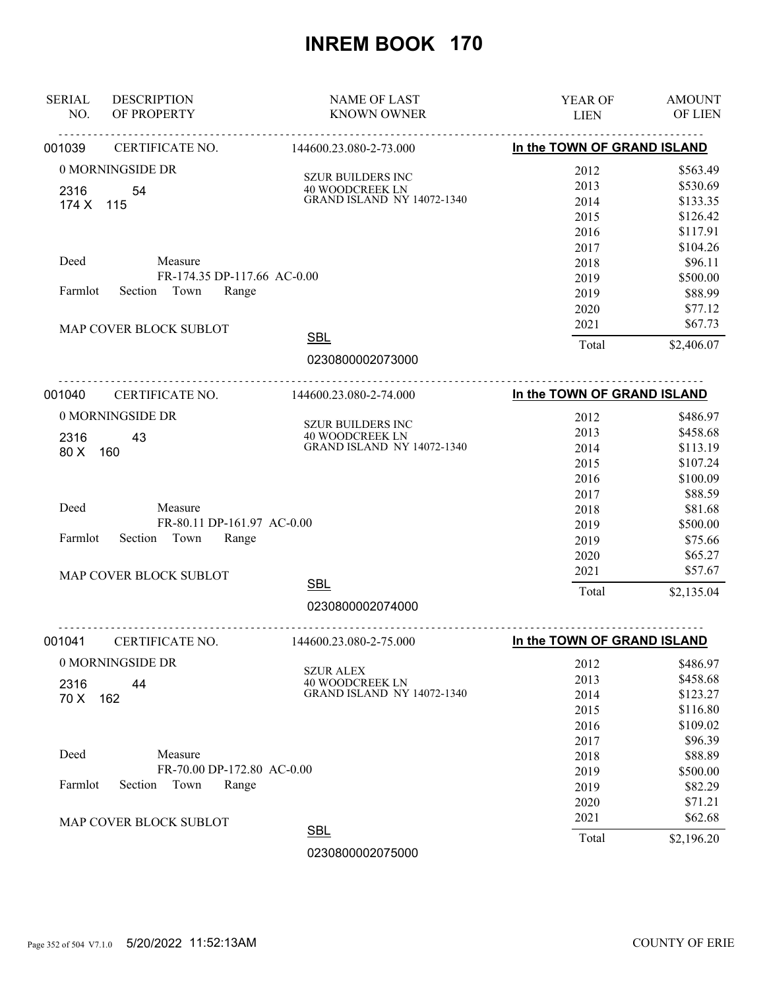| <b>SERIAL</b><br>NO. | <b>DESCRIPTION</b><br>OF PROPERTY | <b>NAME OF LAST</b><br><b>KNOWN OWNER</b>                   | YEAR OF<br><b>LIEN</b>      | <b>AMOUNT</b><br>OF LIEN |
|----------------------|-----------------------------------|-------------------------------------------------------------|-----------------------------|--------------------------|
| 001039               | CERTIFICATE NO.                   | .<br>144600.23.080-2-73.000                                 | In the TOWN OF GRAND ISLAND |                          |
|                      | 0 MORNINGSIDE DR                  | <b>SZUR BUILDERS INC</b>                                    | 2012                        | \$563.49                 |
| 2316                 | 54                                | <b>40 WOODCREEK LN</b>                                      | 2013                        | \$530.69                 |
| 174 X 115            |                                   | <b>GRAND ISLAND NY 14072-1340</b>                           | 2014                        | \$133.35                 |
|                      |                                   |                                                             | 2015                        | \$126.42                 |
|                      |                                   |                                                             | 2016                        | \$117.91                 |
|                      |                                   |                                                             | 2017                        | \$104.26                 |
| Deed                 | Measure                           |                                                             | 2018                        | \$96.11                  |
|                      | FR-174.35 DP-117.66 AC-0.00       |                                                             | 2019                        | \$500.00                 |
| Farmlot              | Section Town<br>Range             |                                                             | 2019                        | \$88.99                  |
|                      |                                   |                                                             | 2020                        | \$77.12                  |
|                      | MAP COVER BLOCK SUBLOT            |                                                             | 2021                        | \$67.73                  |
|                      |                                   | <b>SBL</b>                                                  | Total                       | \$2,406.07               |
|                      |                                   | 0230800002073000                                            |                             |                          |
| 001040               | CERTIFICATE NO.                   | 144600.23.080-2-74.000                                      | In the TOWN OF GRAND ISLAND |                          |
|                      | 0 MORNINGSIDE DR                  |                                                             | 2012                        | \$486.97                 |
|                      |                                   | <b>SZUR BUILDERS INC</b><br><b>40 WOODCREEK LN</b>          | 2013                        | \$458.68                 |
| 2316<br>80 X         | 43<br>160                         | <b>GRAND ISLAND NY 14072-1340</b>                           | 2014                        | \$113.19                 |
|                      |                                   |                                                             | 2015                        | \$107.24                 |
|                      |                                   |                                                             | 2016                        | \$100.09                 |
|                      |                                   |                                                             | 2017                        | \$88.59                  |
| Deed                 | Measure                           |                                                             | 2018                        | \$81.68                  |
|                      | FR-80.11 DP-161.97 AC-0.00        |                                                             | 2019                        | \$500.00                 |
| Farmlot              | Town<br>Section<br>Range          |                                                             | 2019                        | \$75.66                  |
|                      |                                   |                                                             | 2020                        | \$65.27                  |
|                      | MAP COVER BLOCK SUBLOT            |                                                             | 2021                        | \$57.67                  |
|                      |                                   | <b>SBL</b>                                                  | Total                       | \$2,135.04               |
|                      |                                   | 0230800002074000                                            |                             |                          |
| 001041               | .<br>CERTIFICATE NO.              | 144600.23.080-2-75.000                                      | In the TOWN OF GRAND ISLAND |                          |
|                      | 0 MORNINGSIDE DR                  |                                                             | 2012                        | \$486.97                 |
|                      |                                   | <b>SZUR ALEX</b>                                            | 2013                        | \$458.68                 |
| 2316<br>70 X         | 44                                | <b>40 WOODCREEK LN</b><br><b>GRAND ISLAND NY 14072-1340</b> | 2014                        | \$123.27                 |
|                      | 162                               |                                                             | 2015                        | \$116.80                 |
|                      |                                   |                                                             | 2016                        | \$109.02                 |
|                      |                                   |                                                             | 2017                        | \$96.39                  |
| Deed                 | Measure                           |                                                             | 2018                        | \$88.89                  |
|                      | FR-70.00 DP-172.80 AC-0.00        |                                                             | 2019                        | \$500.00                 |
| Farmlot              | Town<br>Section<br>Range          |                                                             | 2019                        | \$82.29                  |
|                      |                                   |                                                             | 2020                        | \$71.21                  |
|                      | MAP COVER BLOCK SUBLOT            |                                                             | 2021                        | \$62.68                  |
|                      |                                   | <b>SBL</b>                                                  | Total                       | \$2,196.20               |
|                      |                                   | 0230800002075000                                            |                             |                          |
|                      |                                   |                                                             |                             |                          |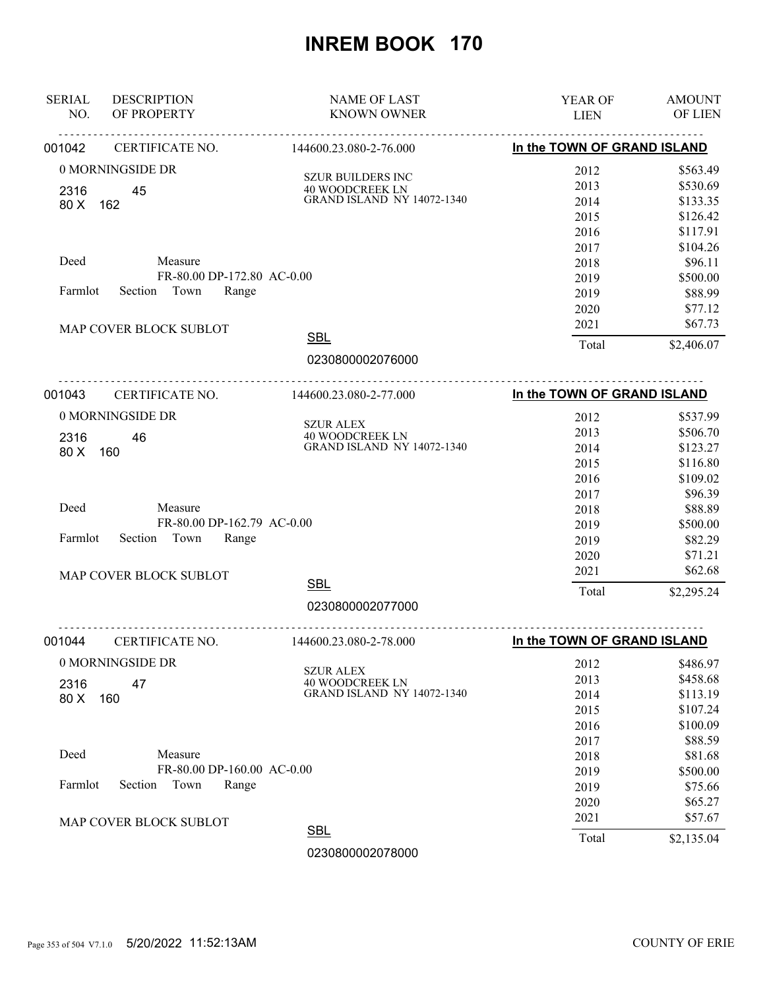| In the TOWN OF GRAND ISLAND<br>CERTIFICATE NO.<br>144600.23.080-2-76.000<br>001042<br>0 MORNINGSIDE DR<br>2012<br><b>SZUR BUILDERS INC</b><br>2013<br><b>40 WOODCREEK LN</b><br>2316<br>45 | \$563.49<br>\$530.69<br>\$133.35<br>\$126.42<br>\$117.91<br>\$104.26<br>\$96.11<br>\$500.00 |
|--------------------------------------------------------------------------------------------------------------------------------------------------------------------------------------------|---------------------------------------------------------------------------------------------|
|                                                                                                                                                                                            |                                                                                             |
|                                                                                                                                                                                            |                                                                                             |
|                                                                                                                                                                                            |                                                                                             |
| <b>GRAND ISLAND NY 14072-1340</b><br>2014<br>80 X<br>162                                                                                                                                   |                                                                                             |
| 2015                                                                                                                                                                                       |                                                                                             |
| 2016                                                                                                                                                                                       |                                                                                             |
| 2017                                                                                                                                                                                       |                                                                                             |
| Deed<br>Measure<br>2018                                                                                                                                                                    |                                                                                             |
| FR-80.00 DP-172.80 AC-0.00<br>2019                                                                                                                                                         |                                                                                             |
| Section Town<br>Farmlot<br>Range<br>2019                                                                                                                                                   | \$88.99                                                                                     |
| 2020                                                                                                                                                                                       | \$77.12                                                                                     |
| 2021<br>MAP COVER BLOCK SUBLOT                                                                                                                                                             | \$67.73                                                                                     |
| <b>SBL</b><br>Total                                                                                                                                                                        | \$2,406.07                                                                                  |
| 0230800002076000                                                                                                                                                                           |                                                                                             |
| <u>.</u><br>In the TOWN OF GRAND ISLAND<br>001043<br>CERTIFICATE NO.<br>144600.23.080-2-77.000                                                                                             |                                                                                             |
| 0 MORNINGSIDE DR<br>2012                                                                                                                                                                   | \$537.99                                                                                    |
| <b>SZUR ALEX</b><br>2013<br>40 WOODCREEK LN<br>2316<br>46                                                                                                                                  | \$506.70                                                                                    |
| <b>GRAND ISLAND NY 14072-1340</b><br>2014<br>80 X<br>160                                                                                                                                   | \$123.27                                                                                    |
| 2015                                                                                                                                                                                       | \$116.80                                                                                    |
| 2016                                                                                                                                                                                       | \$109.02                                                                                    |
| 2017                                                                                                                                                                                       | \$96.39                                                                                     |
| Deed<br>Measure<br>2018                                                                                                                                                                    | \$88.89                                                                                     |
| FR-80.00 DP-162.79 AC-0.00<br>2019                                                                                                                                                         | \$500.00                                                                                    |
| Section<br>Town<br>Range<br>Farmlot<br>2019                                                                                                                                                | \$82.29                                                                                     |
| 2020                                                                                                                                                                                       | \$71.21                                                                                     |
| 2021<br>MAP COVER BLOCK SUBLOT                                                                                                                                                             | \$62.68                                                                                     |
| <b>SBL</b><br>Total                                                                                                                                                                        | \$2,295.24                                                                                  |
| 0230800002077000                                                                                                                                                                           |                                                                                             |
| In the TOWN OF GRAND ISLAND<br>CERTIFICATE NO.<br>001044<br>144600.23.080-2-78.000                                                                                                         |                                                                                             |
| 0 MORNINGSIDE DR<br>2012                                                                                                                                                                   | \$486.97                                                                                    |
| <b>SZUR ALEX</b><br>2013                                                                                                                                                                   | \$458.68                                                                                    |
| <b>40 WOODCREEK LN</b><br>47<br>2316<br><b>GRAND ISLAND NY 14072-1340</b><br>2014<br>80 X<br>160                                                                                           | \$113.19                                                                                    |
| 2015                                                                                                                                                                                       | \$107.24                                                                                    |
| 2016                                                                                                                                                                                       | \$100.09                                                                                    |
| 2017                                                                                                                                                                                       | \$88.59                                                                                     |
| Deed<br>Measure<br>2018                                                                                                                                                                    | \$81.68                                                                                     |
| FR-80.00 DP-160.00 AC-0.00<br>2019                                                                                                                                                         | \$500.00                                                                                    |
| Town<br>Farmlot<br>Section<br>Range<br>2019                                                                                                                                                | \$75.66                                                                                     |
| 2020                                                                                                                                                                                       | \$65.27                                                                                     |
| 2021<br>MAP COVER BLOCK SUBLOT                                                                                                                                                             | \$57.67                                                                                     |
| <b>SBL</b><br>Total                                                                                                                                                                        | \$2,135.04                                                                                  |
| 0230800002078000                                                                                                                                                                           |                                                                                             |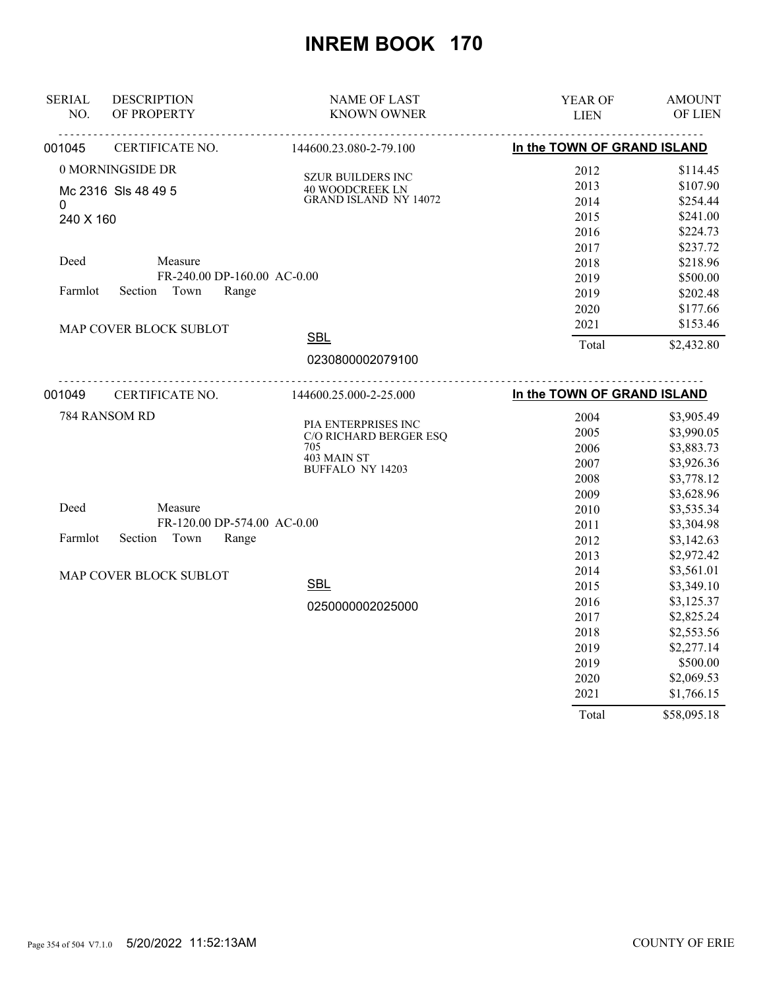| <b>SERIAL</b> | <b>DESCRIPTION</b>          | <b>NAME OF LAST</b>                         | YEAR OF                     | <b>AMOUNT</b> |
|---------------|-----------------------------|---------------------------------------------|-----------------------------|---------------|
| NO.           | OF PROPERTY                 | <b>KNOWN OWNER</b>                          | <b>LIEN</b>                 | OF LIEN       |
| 001045        | CERTIFICATE NO.             | 144600.23.080-2-79.100                      | In the TOWN OF GRAND ISLAND |               |
|               | 0 MORNINGSIDE DR            |                                             | 2012                        | \$114.45      |
|               | Mc 2316 Sls 48 49 5         | <b>SZUR BUILDERS INC</b><br>40 WOODCREEK LN | 2013                        | \$107.90      |
| $\mathbf{0}$  |                             | <b>GRAND ISLAND NY 14072</b>                | 2014                        | \$254.44      |
| 240 X 160     |                             |                                             | 2015                        | \$241.00      |
|               |                             |                                             | 2016                        | \$224.73      |
|               |                             |                                             | 2017                        | \$237.72      |
| Deed          | Measure                     |                                             | 2018                        | \$218.96      |
|               | FR-240.00 DP-160.00 AC-0.00 |                                             | 2019                        | \$500.00      |
| Farmlot       | Section Town<br>Range       |                                             | 2019                        | \$202.48      |
|               |                             |                                             | 2020                        | \$177.66      |
|               | MAP COVER BLOCK SUBLOT      |                                             | 2021                        | \$153.46      |
|               |                             | <b>SBL</b>                                  | Total                       | \$2,432.80    |
|               |                             | 0230800002079100                            |                             |               |
| 001049        | CERTIFICATE NO.             | <u>.</u> .<br>144600.25.000-2-25.000        | In the TOWN OF GRAND ISLAND |               |
|               | 784 RANSOM RD               |                                             | 2004                        | \$3,905.49    |
|               |                             | PIA ENTERPRISES INC                         | 2005                        | \$3,990.05    |
|               |                             | C/O RICHARD BERGER ESQ<br>705               | 2006                        | \$3,883.73    |
|               |                             | 403 MAIN ST                                 | 2007                        | \$3,926.36    |
|               |                             | <b>BUFFALO NY 14203</b>                     | 2008                        | \$3,778.12    |
|               |                             |                                             | 2009                        | \$3,628.96    |
| Deed          | Measure                     |                                             | 2010                        | \$3,535.34    |
|               | FR-120.00 DP-574.00 AC-0.00 |                                             | 2011                        | \$3,304.98    |
| Farmlot       | Section Town<br>Range       |                                             | 2012                        | \$3,142.63    |
|               |                             |                                             | 2013                        | \$2,972.42    |
|               |                             |                                             | 2014                        | \$3,561.01    |
|               | MAP COVER BLOCK SUBLOT      | <b>SBL</b>                                  | 2015                        | \$3,349.10    |
|               |                             |                                             | 2016                        | \$3,125.37    |
|               |                             | 0250000002025000                            | 2017                        | \$2,825.24    |
|               |                             |                                             | 2018                        | \$2,553.56    |
|               |                             |                                             | 2019                        | \$2,277.14    |
|               |                             |                                             | 2019                        | \$500.00      |
|               |                             |                                             | 2020                        | \$2,069.53    |
|               |                             |                                             | 2021                        | \$1,766.15    |
|               |                             |                                             | Total                       | \$58,095.18   |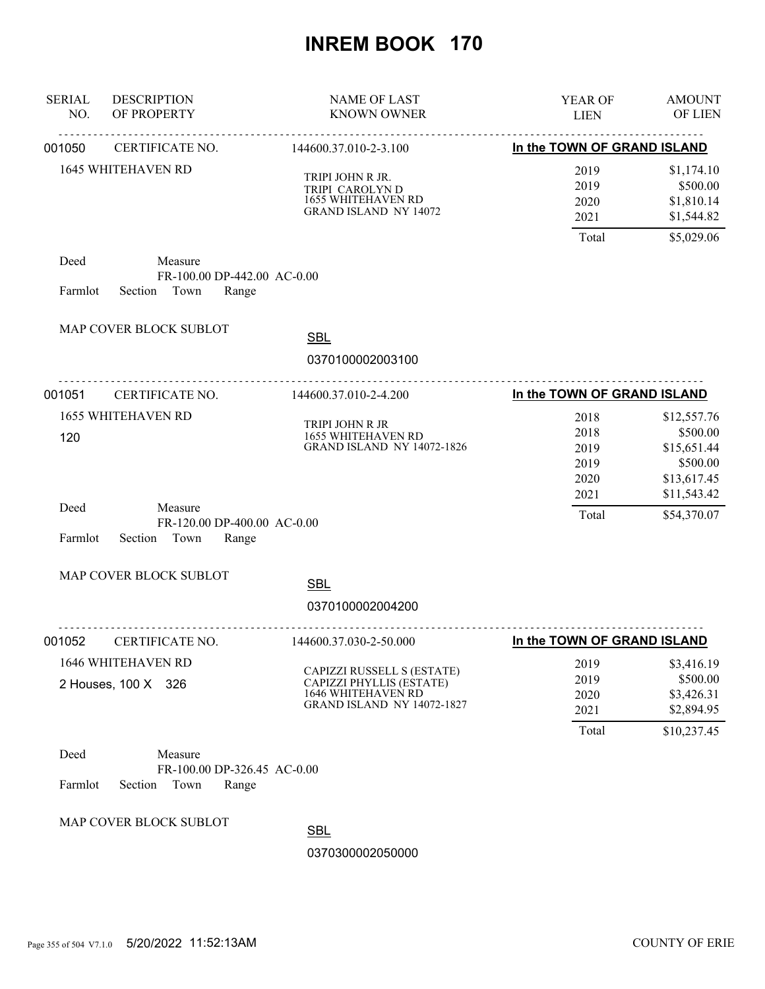| <b>SERIAL</b><br>NO. | <b>DESCRIPTION</b><br>OF PROPERTY                                  | <b>NAME OF LAST</b><br><b>KNOWN OWNER</b>                                                                                | YEAR OF<br><b>LIEN</b>               | <b>AMOUNT</b><br>OF LIEN                                          |
|----------------------|--------------------------------------------------------------------|--------------------------------------------------------------------------------------------------------------------------|--------------------------------------|-------------------------------------------------------------------|
| 001050               | CERTIFICATE NO.                                                    | 144600.37.010-2-3.100                                                                                                    | In the TOWN OF GRAND ISLAND          |                                                                   |
|                      | <b>1645 WHITEHAVEN RD</b>                                          | TRIPI JOHN R JR.<br>TRIPI CAROLYN D<br>1655 WHITEHAVEN RD<br><b>GRAND ISLAND NY 14072</b>                                | 2019<br>2019<br>2020<br>2021         | \$1,174.10<br>\$500.00<br>\$1,810.14<br>\$1,544.82                |
|                      |                                                                    |                                                                                                                          | Total                                | \$5,029.06                                                        |
| Deed<br>Farmlot      | Measure<br>FR-100.00 DP-442.00 AC-0.00<br>Section Town<br>Range    |                                                                                                                          |                                      |                                                                   |
|                      | MAP COVER BLOCK SUBLOT                                             | <b>SBL</b>                                                                                                               |                                      |                                                                   |
|                      |                                                                    | 0370100002003100                                                                                                         |                                      |                                                                   |
| 001051               | .<br>CERTIFICATE NO.                                               | <u>.</u><br>144600.37.010-2-4.200                                                                                        | In the TOWN OF GRAND ISLAND          |                                                                   |
| 120                  | <b>1655 WHITEHAVEN RD</b>                                          | TRIPI JOHN R JR<br>1655 WHITEHAVEN RD<br><b>GRAND ISLAND NY 14072-1826</b>                                               | 2018<br>2018<br>2019<br>2019<br>2020 | \$12,557.76<br>\$500.00<br>\$15,651.44<br>\$500.00<br>\$13,617.45 |
| Deed<br>Farmlot      | Measure<br>FR-120.00 DP-400.00 AC-0.00<br>Section<br>Town<br>Range |                                                                                                                          | 2021<br>Total                        | \$11,543.42<br>\$54,370.07                                        |
|                      | MAP COVER BLOCK SUBLOT                                             | <b>SBL</b>                                                                                                               |                                      |                                                                   |
|                      |                                                                    | 0370100002004200                                                                                                         |                                      |                                                                   |
| 001052               | CERTIFICATE NO.                                                    | .<br>144600.37.030-2-50.000                                                                                              | In the TOWN OF GRAND ISLAND          |                                                                   |
|                      | 1646 WHITEHAVEN RD<br>2 Houses, 100 X 326                          | CAPIZZI RUSSELL S (ESTATE)<br>CAPIZZI PHYLLIS (ESTATE)<br><b>1646 WHITEHAVEN RD</b><br><b>GRAND ISLAND NY 14072-1827</b> | 2019<br>2019<br>2020<br>2021         | \$3,416.19<br>\$500.00<br>\$3,426.31<br>\$2,894.95                |
| Deed<br>Farmlot      | Measure<br>FR-100.00 DP-326.45 AC-0.00<br>Section<br>Town<br>Range |                                                                                                                          | Total                                | \$10,237.45                                                       |
|                      | MAP COVER BLOCK SUBLOT                                             | <b>SBL</b><br>0370300002050000                                                                                           |                                      |                                                                   |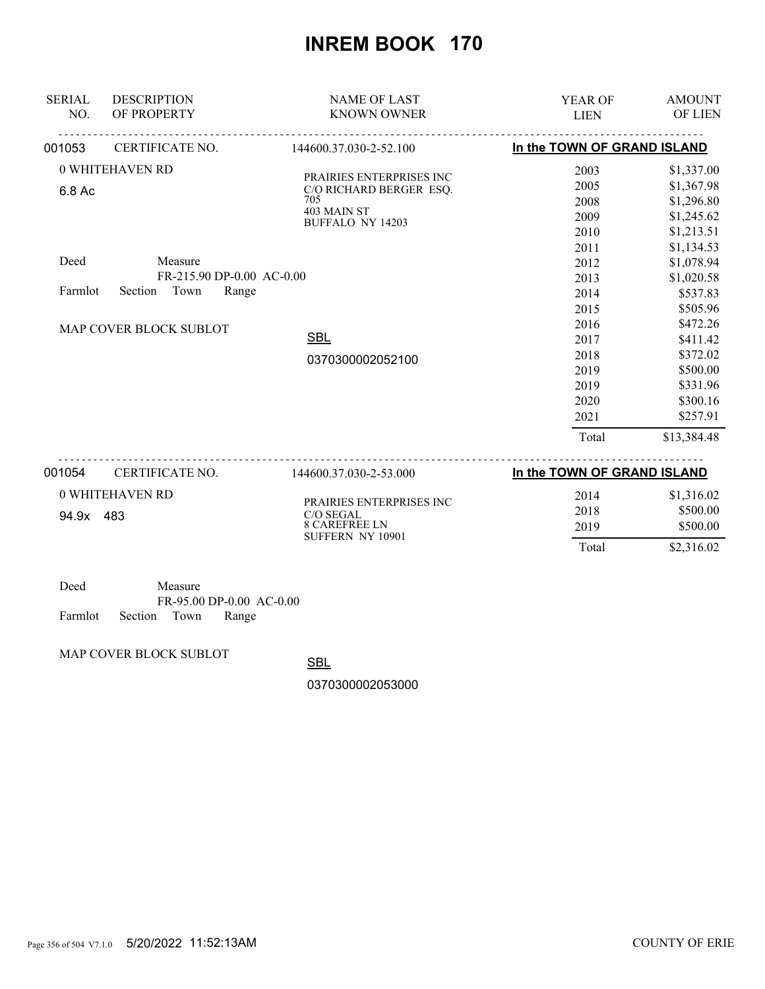| <b>SERIAL</b><br>NO. | <b>DESCRIPTION</b><br>OF PROPERTY | <b>NAME OF LAST</b><br><b>KNOWN OWNER</b>            | <b>YEAR OF</b><br><b>LIEN</b> | <b>AMOUNT</b><br>OF LIEN |
|----------------------|-----------------------------------|------------------------------------------------------|-------------------------------|--------------------------|
| 001053               | CERTIFICATE NO.                   | 144600.37.030-2-52.100                               | In the TOWN OF GRAND ISLAND   |                          |
|                      | 0 WHITEHAVEN RD                   |                                                      | 2003                          | \$1,337.00               |
| 6.8 Ac               |                                   | PRAIRIES ENTERPRISES INC.<br>C/O RICHARD BERGER ESQ. | 2005                          | \$1,367.98               |
|                      |                                   | 705                                                  | 2008                          | \$1,296.80               |
|                      |                                   | 403 MAIN ST<br><b>BUFFALO NY 14203</b>               | 2009                          | \$1,245.62               |
|                      |                                   |                                                      | 2010                          | \$1,213.51               |
|                      |                                   |                                                      | 2011                          | \$1,134.53               |
| Deed                 | Measure                           |                                                      | 2012                          | \$1,078.94               |
|                      | FR-215.90 DP-0.00 AC-0.00         |                                                      | 2013                          | \$1,020.58               |
| Farmlot              | Town<br>Section<br>Range          |                                                      | 2014                          | \$537.83                 |
|                      |                                   |                                                      | 2015                          | \$505.96                 |
|                      | MAP COVER BLOCK SUBLOT            |                                                      | 2016                          | \$472.26                 |
|                      |                                   | <b>SBL</b>                                           | 2017                          | \$411.42                 |
|                      |                                   | 0370300002052100                                     | 2018                          | \$372.02                 |
|                      |                                   |                                                      | 2019                          | \$500.00                 |
|                      |                                   |                                                      | 2019                          | \$331.96                 |
|                      |                                   |                                                      | 2020                          | \$300.16                 |
|                      |                                   |                                                      | 2021                          | \$257.91                 |
|                      |                                   |                                                      | Total                         | \$13,384.48              |
| 001054               | CERTIFICATE NO.                   | 144600.37.030-2-53.000                               | In the TOWN OF GRAND ISLAND   |                          |
|                      | 0 WHITEHAVEN RD                   |                                                      | 2014                          | \$1,316.02               |
| 94.9x 483            |                                   | PRAIRIES ENTERPRISES INC<br>C/O SEGAL                | 2018                          | \$500.00                 |
|                      |                                   | <b>8 CAREFREE LN</b>                                 | 2019                          | \$500.00                 |
|                      |                                   | SUFFERN NY 10901                                     | Total                         | \$2,316.02               |

| Deed    |                    | Measure |                          |  |
|---------|--------------------|---------|--------------------------|--|
|         |                    |         | FR-95.00 DP-0.00 AC-0.00 |  |
| Farmlot | Section Town Range |         |                          |  |

MAP COVER BLOCK SUBLOT

**SBL** 

0370300002053000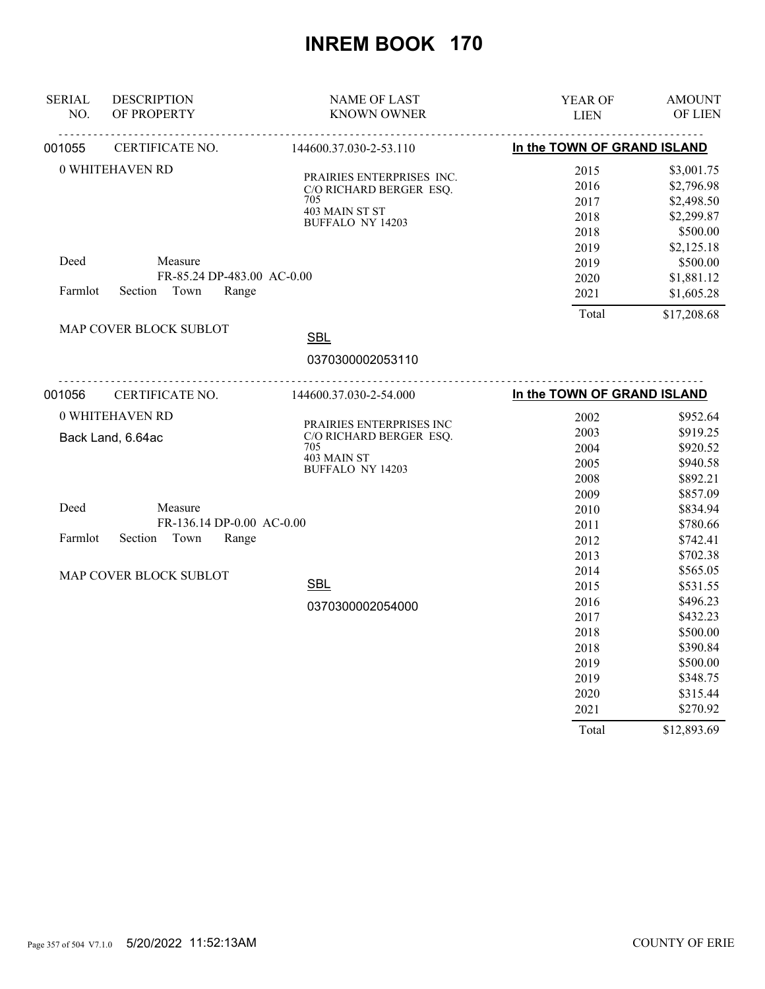| <b>SERIAL</b><br>NO. | <b>DESCRIPTION</b><br>OF PROPERTY | <b>NAME OF LAST</b><br><b>KNOWN OWNER</b>            | YEAR OF<br><b>LIEN</b>      | <b>AMOUNT</b><br>OF LIEN |
|----------------------|-----------------------------------|------------------------------------------------------|-----------------------------|--------------------------|
| 001055               | CERTIFICATE NO.                   | 144600.37.030-2-53.110                               | In the TOWN OF GRAND ISLAND |                          |
|                      | <b>0 WHITEHAVEN RD</b>            |                                                      | 2015                        | \$3,001.75               |
|                      |                                   | PRAIRIES ENTERPRISES INC.<br>C/O RICHARD BERGER ESQ. | 2016                        | \$2,796.98               |
|                      |                                   | 705                                                  | 2017                        | \$2,498.50               |
|                      |                                   | 403 MAIN ST ST                                       | 2018                        | \$2,299.87               |
|                      |                                   | <b>BUFFALO NY 14203</b>                              | 2018                        | \$500.00                 |
|                      |                                   |                                                      | 2019                        | \$2,125.18               |
| Deed                 | Measure                           |                                                      | 2019                        | \$500.00                 |
|                      | FR-85.24 DP-483.00 AC-0.00        |                                                      | 2020                        | \$1,881.12               |
| Farmlot              | Town<br>Section<br>Range          |                                                      | 2021                        | \$1,605.28               |
|                      |                                   |                                                      | Total                       | \$17,208.68              |
|                      | MAP COVER BLOCK SUBLOT            | <b>SBL</b>                                           |                             |                          |
|                      |                                   |                                                      |                             |                          |
|                      |                                   | 0370300002053110                                     |                             |                          |
| 001056               | CERTIFICATE NO.                   | 144600.37.030-2-54.000                               | In the TOWN OF GRAND ISLAND |                          |
|                      | 0 WHITEHAVEN RD                   |                                                      | 2002                        | \$952.64                 |
|                      |                                   | PRAIRIES ENTERPRISES INC<br>C/O RICHARD BERGER ESQ.  | 2003                        | \$919.25                 |
|                      | Back Land, 6.64ac                 | 705                                                  | 2004                        | \$920.52                 |
|                      |                                   | 403 MAIN ST                                          | 2005                        | \$940.58                 |
|                      |                                   | <b>BUFFALO NY 14203</b>                              | 2008                        | \$892.21                 |
|                      |                                   |                                                      | 2009                        | \$857.09                 |
| Deed                 | Measure                           |                                                      | 2010                        | \$834.94                 |
|                      | FR-136.14 DP-0.00 AC-0.00         |                                                      | 2011                        | \$780.66                 |
| Farmlot              | Town<br>Range<br>Section          |                                                      | 2012                        | \$742.41                 |
|                      |                                   |                                                      | 2013                        | \$702.38                 |
|                      | MAP COVER BLOCK SUBLOT            |                                                      | 2014                        | \$565.05                 |
|                      |                                   | <b>SBL</b>                                           | 2015                        | \$531.55                 |
|                      |                                   | 0370300002054000                                     | 2016                        | \$496.23                 |
|                      |                                   |                                                      | 2017                        | \$432.23                 |
|                      |                                   |                                                      | 2018                        | \$500.00                 |
|                      |                                   |                                                      | 2018                        | \$390.84                 |
|                      |                                   |                                                      | 2019                        | \$500.00                 |
|                      |                                   |                                                      | 2019                        | \$348.75                 |
|                      |                                   |                                                      | 2020                        | \$315.44                 |
|                      |                                   |                                                      | 2021                        | \$270.92                 |
|                      |                                   |                                                      | Total                       | \$12,893.69              |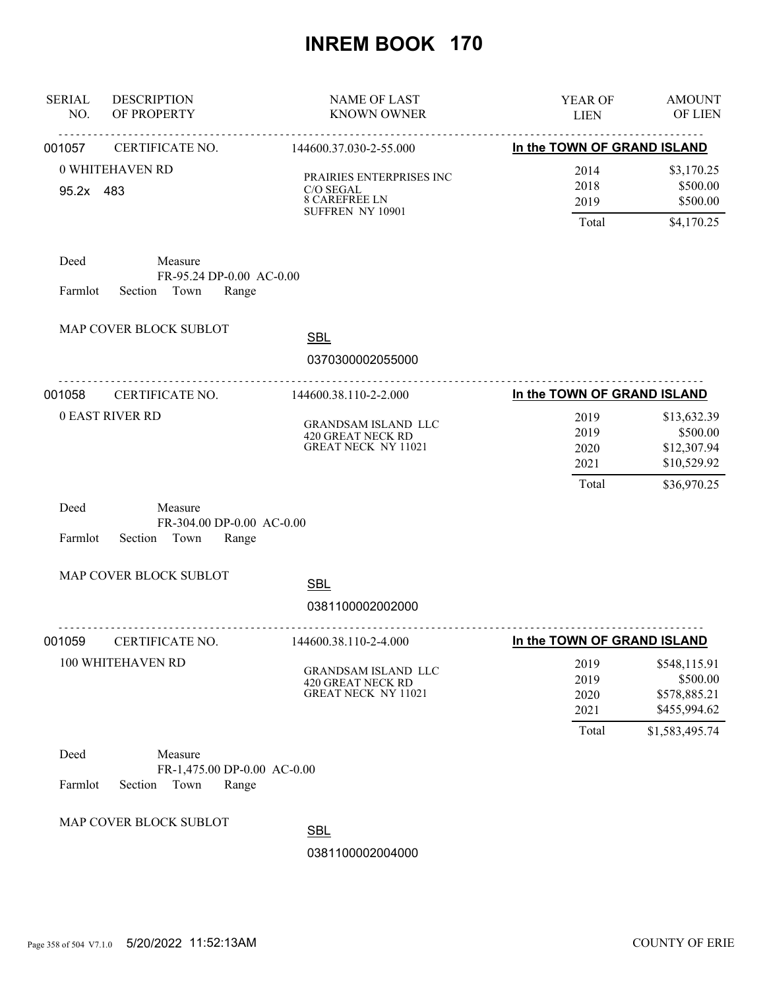| <b>SERIAL</b><br>NO. | <b>DESCRIPTION</b><br>OF PROPERTY                             | <b>NAME OF LAST</b><br><b>KNOWN OWNER</b>                                         | YEAR OF<br><b>LIEN</b>                | <b>AMOUNT</b><br>OF LIEN                                                   |
|----------------------|---------------------------------------------------------------|-----------------------------------------------------------------------------------|---------------------------------------|----------------------------------------------------------------------------|
| 001057               | CERTIFICATE NO.                                               | 144600.37.030-2-55.000                                                            | In the TOWN OF GRAND ISLAND           |                                                                            |
| 95.2x 483            | 0 WHITEHAVEN RD                                               | PRAIRIES ENTERPRISES INC<br>C/O SEGAL<br><b>8 CAREFREE LN</b><br>SUFFREN NY 10901 | 2014<br>2018<br>2019<br>Total         | \$3,170.25<br>\$500.00<br>\$500.00<br>\$4,170.25                           |
| Deed<br>Farmlot      | Measure<br>FR-95.24 DP-0.00 AC-0.00<br>Section Town<br>Range  |                                                                                   |                                       |                                                                            |
|                      | MAP COVER BLOCK SUBLOT                                        | <b>SBL</b><br>0370300002055000                                                    |                                       |                                                                            |
| 001058               | <u>.</u><br>CERTIFICATE NO.                                   | .<br>144600.38.110-2-2.000                                                        | In the TOWN OF GRAND ISLAND           |                                                                            |
|                      | <b>0 EAST RIVER RD</b>                                        | <b>GRANDSAM ISLAND LLC</b><br>420 GREAT NECK RD<br><b>GREAT NECK NY 11021</b>     | 2019<br>2019<br>2020<br>2021          | \$13,632.39<br>\$500.00<br>\$12,307.94<br>\$10,529.92                      |
| Deed<br>Farmlot      | Measure<br>FR-304.00 DP-0.00 AC-0.00<br>Section Town<br>Range |                                                                                   | Total                                 | \$36,970.25                                                                |
|                      | MAP COVER BLOCK SUBLOT                                        |                                                                                   |                                       |                                                                            |
|                      |                                                               | <b>SBL</b><br>0381100002002000                                                    |                                       |                                                                            |
| 001059               | CERTIFICATE NO.                                               | 144600.38.110-2-4.000                                                             | In the TOWN OF GRAND ISLAND           |                                                                            |
|                      | 100 WHITEHAVEN RD                                             | GRANDSAM ISLAND LLC<br>420 GREAT NECK RD<br><b>GREAT NECK NY 11021</b>            | 2019<br>2019<br>2020<br>2021<br>Total | \$548,115.91<br>\$500.00<br>\$578,885.21<br>\$455,994.62<br>\$1,583,495.74 |
| Deed                 | Measure                                                       |                                                                                   |                                       |                                                                            |
| Farmlot              | FR-1,475.00 DP-0.00 AC-0.00<br>Town<br>Section<br>Range       |                                                                                   |                                       |                                                                            |
|                      | MAP COVER BLOCK SUBLOT                                        | <b>SBL</b>                                                                        |                                       |                                                                            |
|                      |                                                               | 0381100002004000                                                                  |                                       |                                                                            |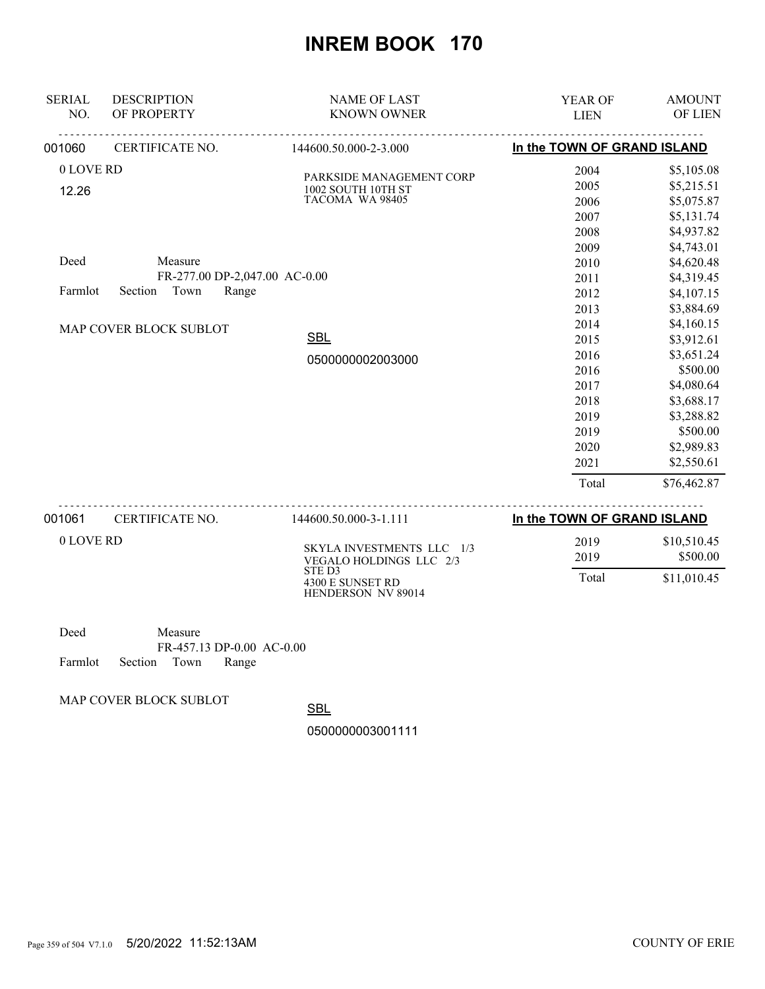| <b>SERIAL</b><br>NO. | <b>DESCRIPTION</b><br>OF PROPERTY | <b>NAME OF LAST</b><br><b>KNOWN OWNER</b>            | YEAR OF                     | <b>AMOUNT</b><br>OF LIEN |
|----------------------|-----------------------------------|------------------------------------------------------|-----------------------------|--------------------------|
|                      |                                   |                                                      | <b>LIEN</b>                 |                          |
| 001060               | CERTIFICATE NO.                   | 144600.50.000-2-3.000                                | In the TOWN OF GRAND ISLAND |                          |
| 0 LOVE RD            |                                   | PARKSIDE MANAGEMENT CORP                             | 2004                        | \$5,105.08               |
| 12.26                |                                   | 1002 SOUTH 10TH ST                                   | 2005                        | \$5,215.51               |
|                      |                                   | TACOMA WA 98405                                      | 2006                        | \$5,075.87               |
|                      |                                   |                                                      | 2007                        | \$5,131.74               |
|                      |                                   |                                                      | 2008                        | \$4,937.82               |
|                      |                                   |                                                      | 2009                        | \$4,743.01               |
| Deed                 | Measure                           |                                                      | 2010                        | \$4,620.48               |
|                      | FR-277.00 DP-2,047.00 AC-0.00     |                                                      | 2011                        | \$4,319.45               |
| Farmlot              | Section<br>Town<br>Range          |                                                      | 2012                        | \$4,107.15               |
|                      |                                   |                                                      | 2013                        | \$3,884.69               |
|                      | MAP COVER BLOCK SUBLOT            |                                                      | 2014                        | \$4,160.15               |
|                      |                                   | <b>SBL</b>                                           | 2015                        | \$3,912.61               |
|                      |                                   | 0500000002003000                                     | 2016                        | \$3,651.24               |
|                      |                                   |                                                      | 2016                        | \$500.00                 |
|                      |                                   |                                                      | 2017                        | \$4,080.64               |
|                      |                                   |                                                      | 2018                        | \$3,688.17               |
|                      |                                   |                                                      | 2019                        | \$3,288.82               |
|                      |                                   |                                                      | 2019                        | \$500.00                 |
|                      |                                   |                                                      | 2020                        | \$2,989.83               |
|                      |                                   |                                                      | 2021                        | \$2,550.61               |
|                      |                                   |                                                      | Total                       | \$76,462.87              |
| 001061               | CERTIFICATE NO.                   | 144600.50.000-3-1.111                                | In the TOWN OF GRAND ISLAND |                          |
| 0 LOVE RD            |                                   |                                                      | 2019                        | \$10,510.45              |
|                      |                                   | SKYLA INVESTMENTS LLC 1/3<br>VEGALO HOLDINGS LLC 2/3 | 2019                        | \$500.00                 |
|                      |                                   | STE D3<br>4300 E SUNSET RD<br>HENDERSON NV 89014     | Total                       | \$11,010.45              |
| Deed                 | Measure                           |                                                      |                             |                          |

| Deed                       | Measure |                           |  |
|----------------------------|---------|---------------------------|--|
|                            |         | FR-457.13 DP-0.00 AC-0.00 |  |
| Farmlot Section Town Range |         |                           |  |

MAP COVER BLOCK SUBLOT

**SBL** 

0500000003001111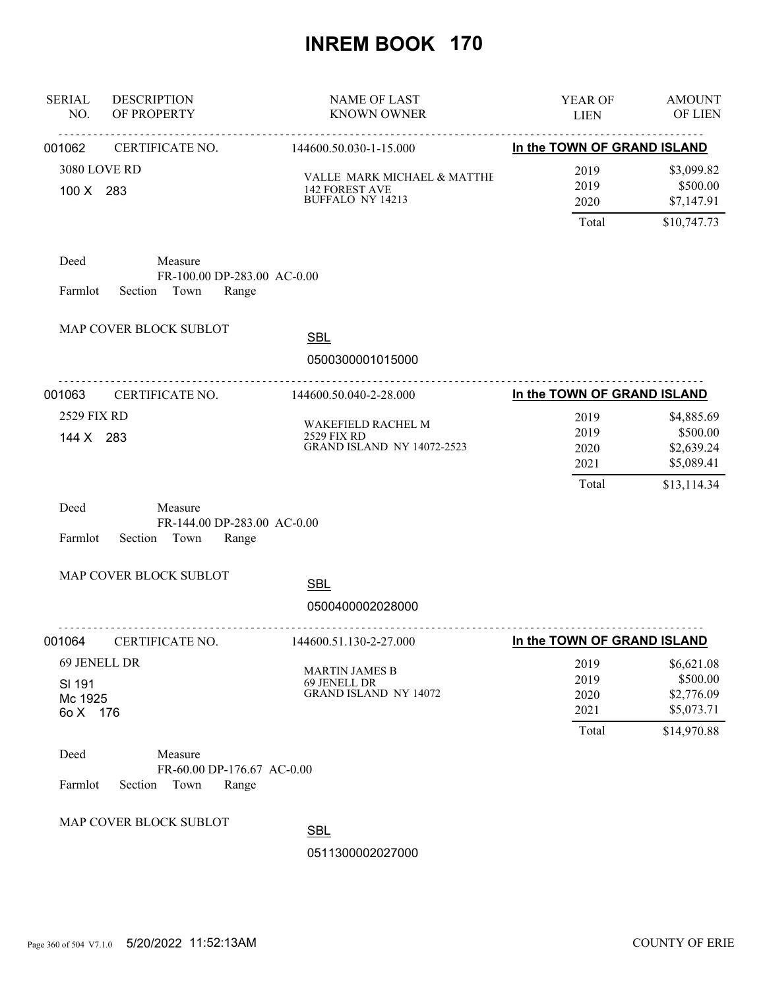| <b>SERIAL</b><br>NO.                          | <b>DESCRIPTION</b><br>OF PROPERTY                                 | <b>NAME OF LAST</b><br><b>KNOWN OWNER</b>                                       | YEAR OF<br><b>LIEN</b>                | <b>AMOUNT</b><br>OF LIEN                                          |
|-----------------------------------------------|-------------------------------------------------------------------|---------------------------------------------------------------------------------|---------------------------------------|-------------------------------------------------------------------|
| 001062                                        | CERTIFICATE NO.                                                   | 144600.50.030-1-15.000                                                          | In the TOWN OF GRAND ISLAND           |                                                                   |
| 3080 LOVE RD<br>100 X 283                     |                                                                   | VALLE MARK MICHAEL & MATTHE<br><b>142 FOREST AVE</b><br><b>BUFFALO NY 14213</b> | 2019<br>2019<br>2020<br>Total         | \$3,099.82<br>\$500.00<br>\$7,147.91<br>\$10,747.73               |
| Deed<br>Farmlot                               | Measure<br>FR-100.00 DP-283.00 AC-0.00<br>Section Town<br>Range   |                                                                                 |                                       |                                                                   |
|                                               | MAP COVER BLOCK SUBLOT                                            | <b>SBL</b>                                                                      |                                       |                                                                   |
|                                               |                                                                   | 0500300001015000                                                                |                                       |                                                                   |
| 001063                                        | <u>.</u><br>CERTIFICATE NO.                                       | <u>.</u><br>144600.50.040-2-28.000                                              | In the TOWN OF GRAND ISLAND           |                                                                   |
| 2529 FIX RD<br>144 X 283                      |                                                                   | WAKEFIELD RACHEL M<br>2529 FIX RD<br><b>GRAND ISLAND NY 14072-2523</b>          | 2019<br>2019<br>2020<br>2021<br>Total | \$4,885.69<br>\$500.00<br>\$2,639.24<br>\$5,089.41<br>\$13,114.34 |
| Deed<br>Farmlot                               | Measure<br>FR-144.00 DP-283.00 AC-0.00<br>Section Town<br>Range   |                                                                                 |                                       |                                                                   |
|                                               | MAP COVER BLOCK SUBLOT                                            | <b>SBL</b>                                                                      |                                       |                                                                   |
|                                               |                                                                   | 0500400002028000                                                                |                                       |                                                                   |
| 001064                                        | CERTIFICATE NO.                                                   | 144600.51.130-2-27.000                                                          | In the TOWN OF GRAND ISLAND           |                                                                   |
| 69 JENELL DR<br>SI 191<br>Mc 1925<br>6o X 176 |                                                                   | <b>MARTIN JAMES B</b><br>69 JENELL DR<br><b>GRAND ISLAND NY 14072</b>           | 2019<br>2019<br>2020<br>2021<br>Total | \$6,621.08<br>\$500.00<br>\$2,776.09<br>\$5,073.71<br>\$14,970.88 |
| Deed<br>Farmlot                               | Measure<br>FR-60.00 DP-176.67 AC-0.00<br>Section<br>Town<br>Range |                                                                                 |                                       |                                                                   |
|                                               | MAP COVER BLOCK SUBLOT                                            | <b>SBL</b><br>0511300002027000                                                  |                                       |                                                                   |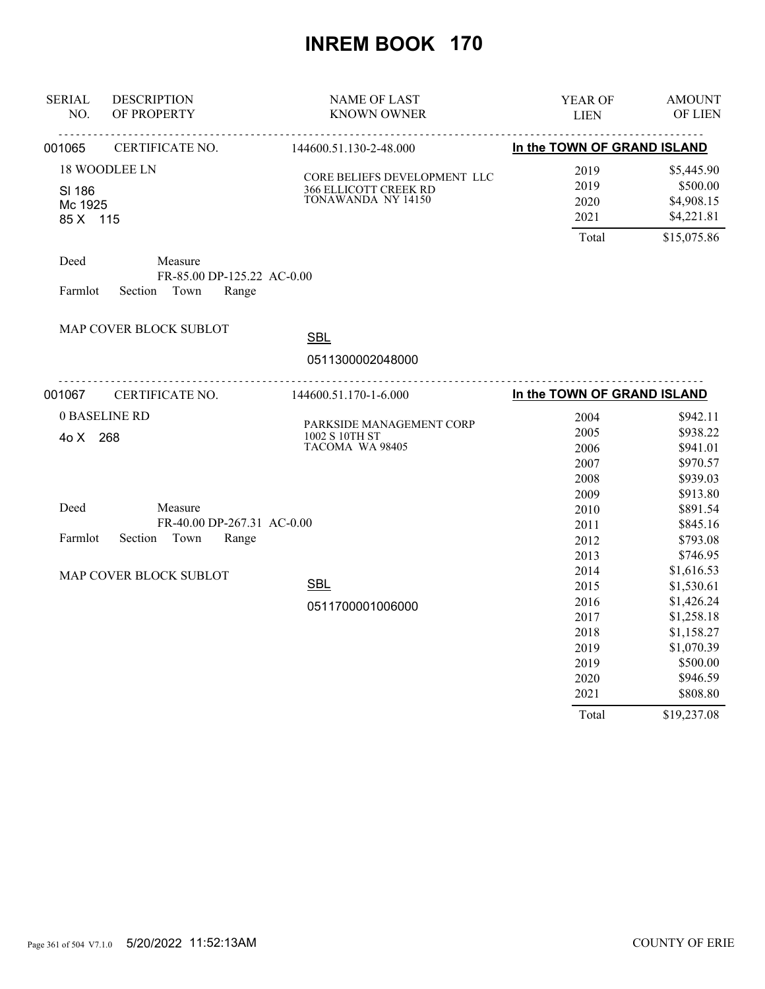| <b>SERIAL</b><br>NO. | <b>DESCRIPTION</b><br>OF PROPERTY | <b>NAME OF LAST</b><br><b>KNOWN OWNER</b>                    | YEAR OF<br><b>LIEN</b>      | <b>AMOUNT</b><br>OF LIEN |
|----------------------|-----------------------------------|--------------------------------------------------------------|-----------------------------|--------------------------|
| 001065               | CERTIFICATE NO.                   | 144600.51.130-2-48.000                                       | In the TOWN OF GRAND ISLAND |                          |
|                      | <b>18 WOODLEE LN</b>              |                                                              | 2019                        | \$5,445.90               |
| SI 186               |                                   | CORE BELIEFS DEVELOPMENT LLC<br><b>366 ELLICOTT CREEK RD</b> | 2019                        | \$500.00                 |
| Mc 1925              |                                   | TONAWANDA NY 14150                                           | 2020                        | \$4,908.15               |
| 85 X 115             |                                   |                                                              | 2021                        | \$4,221.81               |
|                      |                                   |                                                              | Total                       | \$15,075.86              |
| Deed                 | Measure                           |                                                              |                             |                          |
|                      | FR-85.00 DP-125.22 AC-0.00        |                                                              |                             |                          |
| Farmlot              | Section<br>Town<br>Range          |                                                              |                             |                          |
|                      | MAP COVER BLOCK SUBLOT            |                                                              |                             |                          |
|                      |                                   | <b>SBL</b>                                                   |                             |                          |
|                      |                                   | 0511300002048000                                             |                             |                          |
| 001067               | CERTIFICATE NO.                   | 144600.51.170-1-6.000                                        | In the TOWN OF GRAND ISLAND |                          |
|                      | 0 BASELINE RD                     |                                                              | 2004                        | \$942.11                 |
| 4o X 268             |                                   | PARKSIDE MANAGEMENT CORP<br>1002 S 10TH ST                   | 2005                        | \$938.22                 |
|                      |                                   | TACOMA WA 98405                                              | 2006                        | \$941.01                 |
|                      |                                   |                                                              | 2007                        | \$970.57                 |
|                      |                                   |                                                              | 2008                        | \$939.03                 |
|                      |                                   |                                                              | 2009                        | \$913.80                 |
| Deed                 | Measure                           |                                                              | 2010                        | \$891.54                 |
|                      | FR-40.00 DP-267.31 AC-0.00        |                                                              | 2011                        | \$845.16                 |
| Farmlot              | Section Town<br>Range             |                                                              | 2012                        | \$793.08                 |
|                      |                                   |                                                              | 2013                        | \$746.95                 |
|                      | MAP COVER BLOCK SUBLOT            |                                                              | 2014                        | \$1,616.53               |
|                      |                                   | <b>SBL</b>                                                   | 2015                        | \$1,530.61               |
|                      |                                   | 0511700001006000                                             | 2016                        | \$1,426.24               |
|                      |                                   |                                                              | 2017                        | \$1,258.18               |
|                      |                                   |                                                              | 2018                        | \$1,158.27               |
|                      |                                   |                                                              | 2019                        | \$1,070.39               |
|                      |                                   |                                                              | 2019                        | \$500.00                 |
|                      |                                   |                                                              | 2020                        | \$946.59                 |
|                      |                                   |                                                              | 2021                        | \$808.80                 |
|                      |                                   |                                                              | Total                       | \$19,237.08              |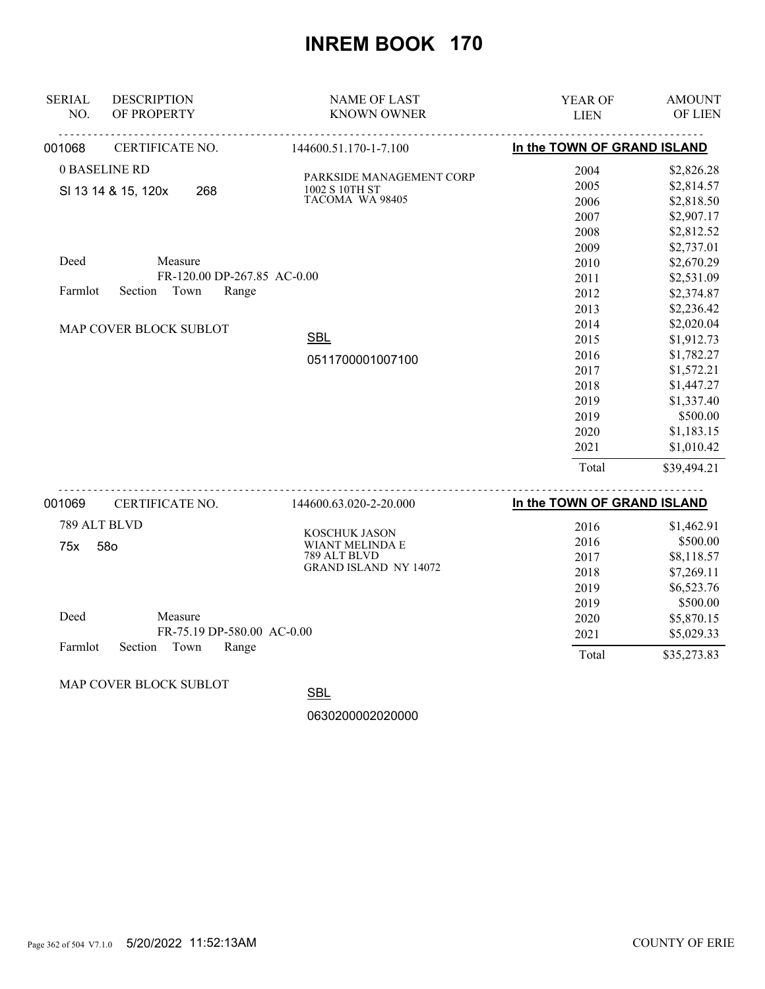| <b>SERIAL</b><br>NO. | <b>DESCRIPTION</b><br>OF PROPERTY                                  | <b>NAME OF LAST</b><br><b>KNOWN OWNER</b>                     | <b>YEAR OF</b><br><b>LIEN</b>        | <b>AMOUNT</b><br>OF LIEN                                           |
|----------------------|--------------------------------------------------------------------|---------------------------------------------------------------|--------------------------------------|--------------------------------------------------------------------|
| 001068               | CERTIFICATE NO.                                                    | 144600.51.170-1-7.100                                         | In the TOWN OF GRAND ISLAND          |                                                                    |
|                      | 0 BASELINE RD<br>SI 13 14 & 15, 120x<br>268                        | PARKSIDE MANAGEMENT CORP<br>1002 S 10TH ST<br>TACOMA WA 98405 | 2004<br>2005<br>2006<br>2007<br>2008 | \$2,826.28<br>\$2,814.57<br>\$2,818.50<br>\$2,907.17<br>\$2,812.52 |
| Deed<br>Farmlot      | Measure<br>FR-120.00 DP-267.85 AC-0.00<br>Section<br>Town<br>Range |                                                               | 2009<br>2010<br>2011<br>2012         | \$2,737.01<br>\$2,670.29<br>\$2,531.09<br>\$2,374.87               |
|                      | MAP COVER BLOCK SUBLOT                                             | <b>SBL</b>                                                    | 2013<br>2014<br>2015<br>2016         | \$2,236.42<br>\$2,020.04<br>\$1,912.73<br>\$1,782.27               |
|                      |                                                                    | 0511700001007100                                              | 2017<br>2018<br>2019                 | \$1,572.21<br>\$1,447.27<br>\$1,337.40                             |
|                      |                                                                    |                                                               | 2019<br>2020<br>2021                 | \$500.00<br>\$1,183.15<br>\$1,010.42                               |
|                      |                                                                    |                                                               | Total                                | \$39,494.21                                                        |
| NN 1069              | CERTIFICATE NO                                                     | 1446006302220000                                              | In the TOWN OF GRAND ISLAND          |                                                                    |

| 001069  | CERTIFICATE NO.            | 144600.63.020-2-20.000       | In the TOWN OF GRAND ISLAND |             |
|---------|----------------------------|------------------------------|-----------------------------|-------------|
|         | 789 ALT BLVD               | KOSCHUK JASON                | 2016                        | \$1,462.91  |
| 75x     | 58o                        | WIANT MELINDA E              | 2016                        | \$500.00    |
|         |                            | 789 ALT BLVD                 | 2017                        | \$8,118.57  |
|         |                            | <b>GRAND ISLAND NY 14072</b> | 2018                        | \$7,269.11  |
|         |                            |                              | 2019                        | \$6,523.76  |
|         |                            |                              | 2019                        | \$500.00    |
| Deed    | Measure                    |                              | 2020                        | \$5,870.15  |
|         | FR-75.19 DP-580.00 AC-0.00 |                              | 2021                        | \$5,029.33  |
| Farmlot | Town<br>Range<br>Section   |                              | Total                       | \$35,273.83 |

MAP COVER BLOCK SUBLOT

**SBL**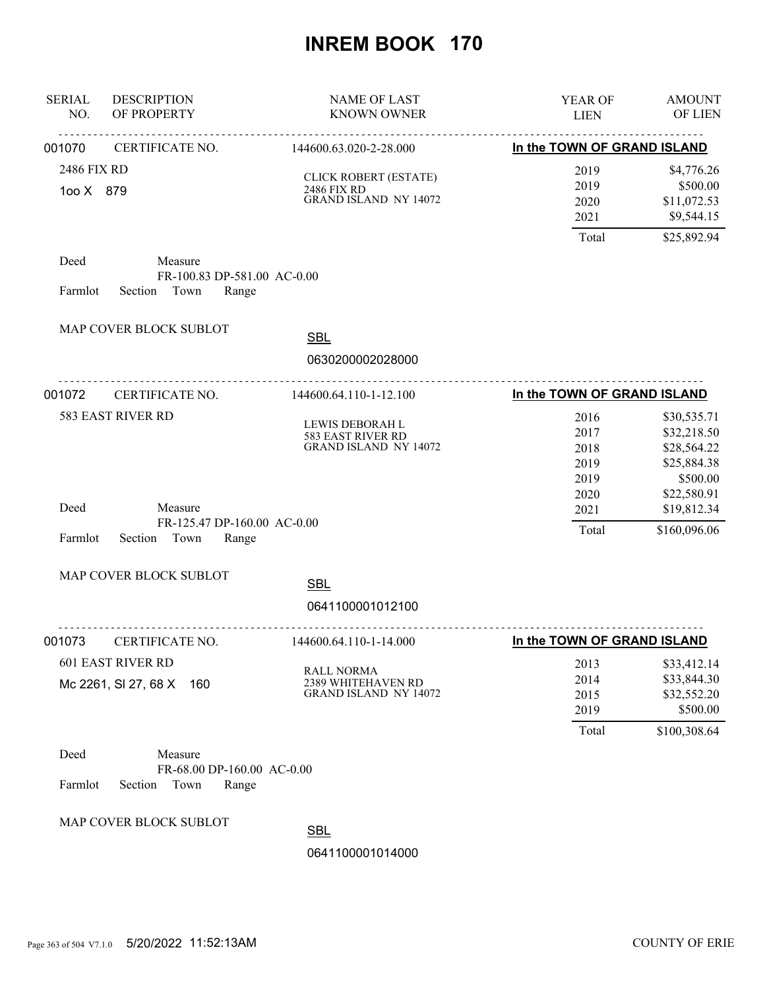| <b>SERIAL</b><br>NO.     | <b>DESCRIPTION</b><br>OF PROPERTY                                  | <b>NAME OF LAST</b><br><b>KNOWN OWNER</b>                               | YEAR OF<br><b>LIEN</b>                | <b>AMOUNT</b><br>OF LIEN                                              |
|--------------------------|--------------------------------------------------------------------|-------------------------------------------------------------------------|---------------------------------------|-----------------------------------------------------------------------|
| 001070                   | CERTIFICATE NO.                                                    | .<br>144600.63.020-2-28.000                                             | In the TOWN OF GRAND ISLAND           |                                                                       |
| 2486 FIX RD<br>100 X 879 |                                                                    | CLICK ROBERT (ESTATE)<br>2486 FIX RD<br><b>GRAND ISLAND NY 14072</b>    | 2019<br>2019<br>2020<br>2021          | \$4,776.26<br>\$500.00<br>\$11,072.53<br>\$9,544.15                   |
| Deed<br>Farmlot          | Measure<br>FR-100.83 DP-581.00 AC-0.00<br>Section Town<br>Range    |                                                                         | Total                                 | \$25,892.94                                                           |
|                          | MAP COVER BLOCK SUBLOT                                             | <b>SBL</b><br>0630200002028000                                          |                                       |                                                                       |
| 001072                   | CERTIFICATE NO.                                                    | .<br>144600.64.110-1-12.100                                             | In the TOWN OF GRAND ISLAND           |                                                                       |
|                          | 583 EAST RIVER RD                                                  | LEWIS DEBORAH L<br>583 EAST RIVER RD<br><b>GRAND ISLAND NY 14072</b>    | 2016<br>2017<br>2018<br>2019          | \$30,535.71<br>\$32,218.50<br>\$28,564.22<br>\$25,884.38              |
| Deed<br>Farmlot          | Measure<br>FR-125.47 DP-160.00 AC-0.00<br>Section<br>Town<br>Range |                                                                         | 2019<br>2020<br>2021<br>Total         | \$500.00<br>\$22,580.91<br>\$19,812.34<br>\$160,096.06                |
|                          | MAP COVER BLOCK SUBLOT                                             | <b>SBL</b><br>0641100001012100                                          |                                       |                                                                       |
| 001073                   | CERTIFICATE NO.                                                    | <u>.</u> .<br>144600.64.110-1-14.000                                    | In the TOWN OF GRAND ISLAND           |                                                                       |
|                          | <b>601 EAST RIVER RD</b><br>Mc 2261, SI 27, 68 X<br>160            | <b>RALL NORMA</b><br>2389 WHITEHAVEN RD<br><b>GRAND ISLAND NY 14072</b> | 2013<br>2014<br>2015<br>2019<br>Total | \$33,412.14<br>\$33,844.30<br>\$32,552.20<br>\$500.00<br>\$100,308.64 |
| Deed<br>Farmlot          | Measure<br>FR-68.00 DP-160.00 AC-0.00<br>Section<br>Town<br>Range  |                                                                         |                                       |                                                                       |
|                          | MAP COVER BLOCK SUBLOT                                             | n.                                                                      |                                       |                                                                       |

<u>SBL</u>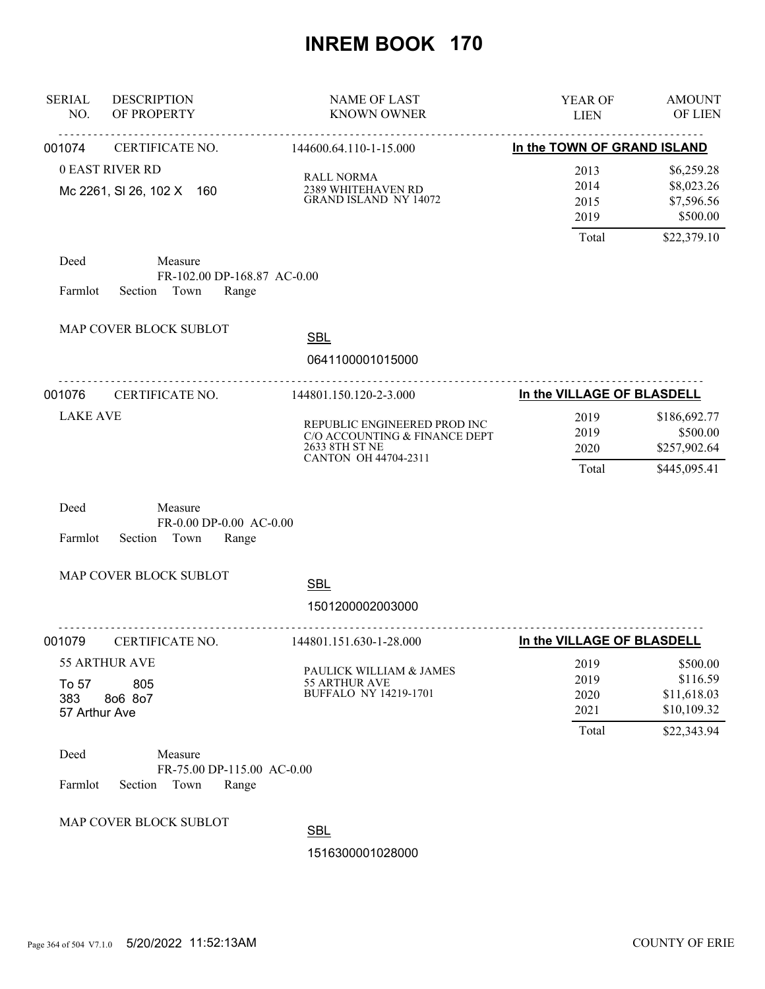| <b>SERIAL</b><br>NO.          | <b>DESCRIPTION</b><br>OF PROPERTY                                 | <b>NAME OF LAST</b><br><b>KNOWN OWNER</b>                                                               | <b>YEAR OF</b><br><b>LIEN</b>         | <b>AMOUNT</b><br><b>OF LIEN</b>                                   |
|-------------------------------|-------------------------------------------------------------------|---------------------------------------------------------------------------------------------------------|---------------------------------------|-------------------------------------------------------------------|
| 001074                        | CERTIFICATE NO.                                                   | 144600.64.110-1-15.000                                                                                  | In the TOWN OF GRAND ISLAND           |                                                                   |
|                               | <b>0 EAST RIVER RD</b><br>Mc 2261, SI 26, 102 X 160               | <b>RALL NORMA</b><br>2389 WHITEHAVEN RD<br><b>GRAND ISLAND NY 14072</b>                                 | 2013<br>2014<br>2015<br>2019<br>Total | \$6,259.28<br>\$8,023.26<br>\$7,596.56<br>\$500.00<br>\$22,379.10 |
| Deed<br>Farmlot               | Measure<br>FR-102.00 DP-168.87 AC-0.00<br>Section Town<br>Range   |                                                                                                         |                                       |                                                                   |
|                               | MAP COVER BLOCK SUBLOT                                            | <b>SBL</b><br>0641100001015000                                                                          |                                       |                                                                   |
| 001076                        | CERTIFICATE NO.                                                   | 144801.150.120-2-3.000                                                                                  | In the VILLAGE OF BLASDELL            |                                                                   |
| <b>LAKE AVE</b>               |                                                                   | REPUBLIC ENGINEERED PROD INC<br>C/O ACCOUNTING & FINANCE DEPT<br>2633 8TH ST NE<br>CANTON OH 44704-2311 | 2019<br>2019<br>2020<br>Total         | \$186,692.77<br>\$500.00<br>\$257,902.64<br>\$445,095.41          |
| Deed<br>Farmlot               | Measure<br>FR-0.00 DP-0.00 AC-0.00<br>Section Town<br>Range       |                                                                                                         |                                       |                                                                   |
|                               | MAP COVER BLOCK SUBLOT                                            | <b>SBL</b><br>1501200002003000                                                                          |                                       |                                                                   |
| 001079                        | CERTIFICATE NO.                                                   | 144801.151.630-1-28.000                                                                                 | In the VILLAGE OF BLASDELL            |                                                                   |
| To 57<br>383<br>57 Arthur Ave | 55 ARTHUR AVE<br>805<br>806 807                                   | PAULICK WILLIAM & JAMES<br>55 ARTHUR AVE<br><b>BUFFALO NY 14219-1701</b>                                | 2019<br>2019<br>2020<br>2021<br>Total | \$500.00<br>\$116.59<br>\$11,618.03<br>\$10,109.32<br>\$22,343.94 |
| Deed<br>Farmlot               | Measure<br>FR-75.00 DP-115.00 AC-0.00<br>Town<br>Range<br>Section |                                                                                                         |                                       |                                                                   |
|                               | MAP COVER BLOCK SUBLOT                                            | <b>SBL</b><br>1516300001028000                                                                          |                                       |                                                                   |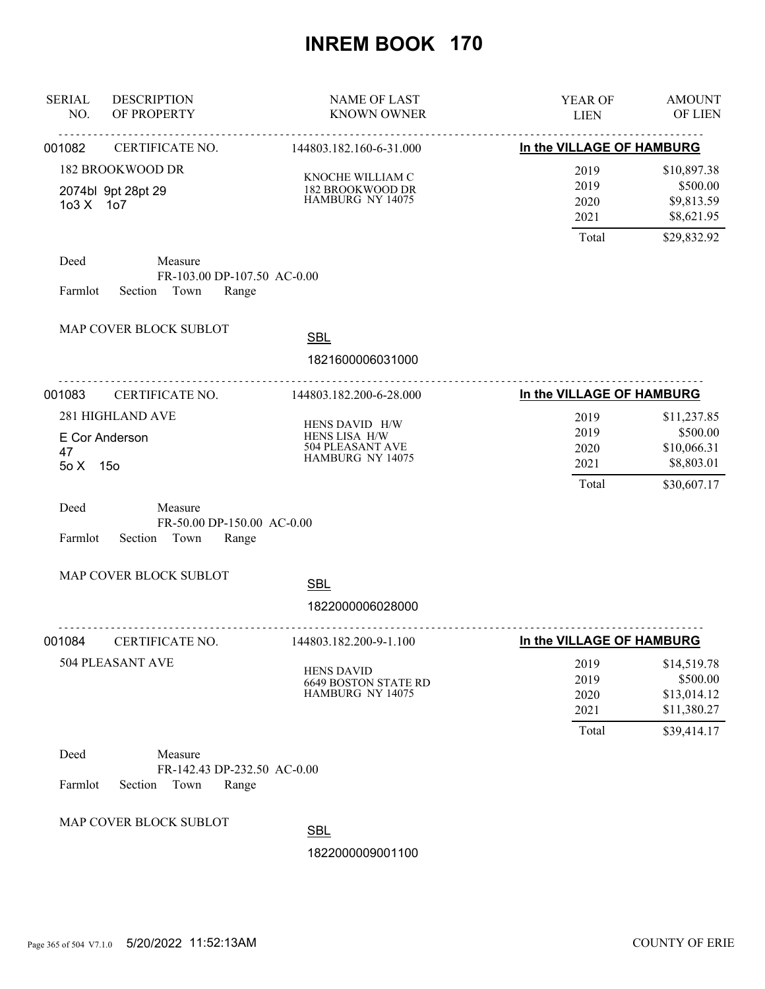| <b>SERIAL</b><br><b>DESCRIPTION</b><br>NO.<br>OF PROPERTY | <b>NAME OF LAST</b><br><b>KNOWN OWNER</b>                               | YEAR OF<br><b>LIEN</b>                | <b>AMOUNT</b><br>OF LIEN                                             |
|-----------------------------------------------------------|-------------------------------------------------------------------------|---------------------------------------|----------------------------------------------------------------------|
| 001082<br>CERTIFICATE NO.                                 | 144803.182.160-6-31.000                                                 | .<br>In the VILLAGE OF HAMBURG        |                                                                      |
| 182 BROOKWOOD DR<br>2074bl 9pt 28pt 29<br>103 X 107       | KNOCHE WILLIAM C<br>182 BROOKWOOD DR<br>HAMBURG NY 14075                | 2019<br>2019<br>2020<br>2021          | \$10,897.38<br>\$500.00<br>\$9,813.59<br>\$8,621.95                  |
| Deed<br>Measure<br>Section Town<br>Farmlot                | FR-103.00 DP-107.50 AC-0.00<br>Range                                    | Total                                 | \$29,832.92                                                          |
| MAP COVER BLOCK SUBLOT                                    | <b>SBL</b><br>1821600006031000                                          |                                       |                                                                      |
| 001083<br>CERTIFICATE NO.                                 | .<br>144803.182.200-6-28.000                                            | In the VILLAGE OF HAMBURG             |                                                                      |
| 281 HIGHLAND AVE<br>E Cor Anderson<br>47<br>5o X 15o      | HENS DAVID H/W<br>HENS LISA H/W<br>504 PLEASANT AVE<br>HAMBURG NY 14075 | 2019<br>2019<br>2020<br>2021<br>Total | \$11,237.85<br>\$500.00<br>\$10,066.31<br>\$8,803.01<br>\$30,607.17  |
| Deed<br>Measure<br>Farmlot<br>Section Town                | FR-50.00 DP-150.00 AC-0.00<br>Range                                     |                                       |                                                                      |
| MAP COVER BLOCK SUBLOT                                    | <b>SBL</b>                                                              |                                       |                                                                      |
|                                                           | 1822000006028000                                                        |                                       |                                                                      |
| 001084<br>CERTIFICATE NO.                                 | .<br>144803.182.200-9-1.100                                             | In the VILLAGE OF HAMBURG             |                                                                      |
| 504 PLEASANT AVE                                          | <b>HENS DAVID</b><br><b>6649 BOSTON STATE RD</b><br>HAMBURG NY 14075    | 2019<br>2019<br>2020<br>2021<br>Total | \$14,519.78<br>\$500.00<br>\$13,014.12<br>\$11,380.27<br>\$39,414.17 |
| Deed<br>Measure<br>Farmlot<br>Section<br>Town             | FR-142.43 DP-232.50 AC-0.00<br>Range                                    |                                       |                                                                      |
| MAP COVER BLOCK SUBLOT                                    | <b>SBL</b><br>1822000009001100                                          |                                       |                                                                      |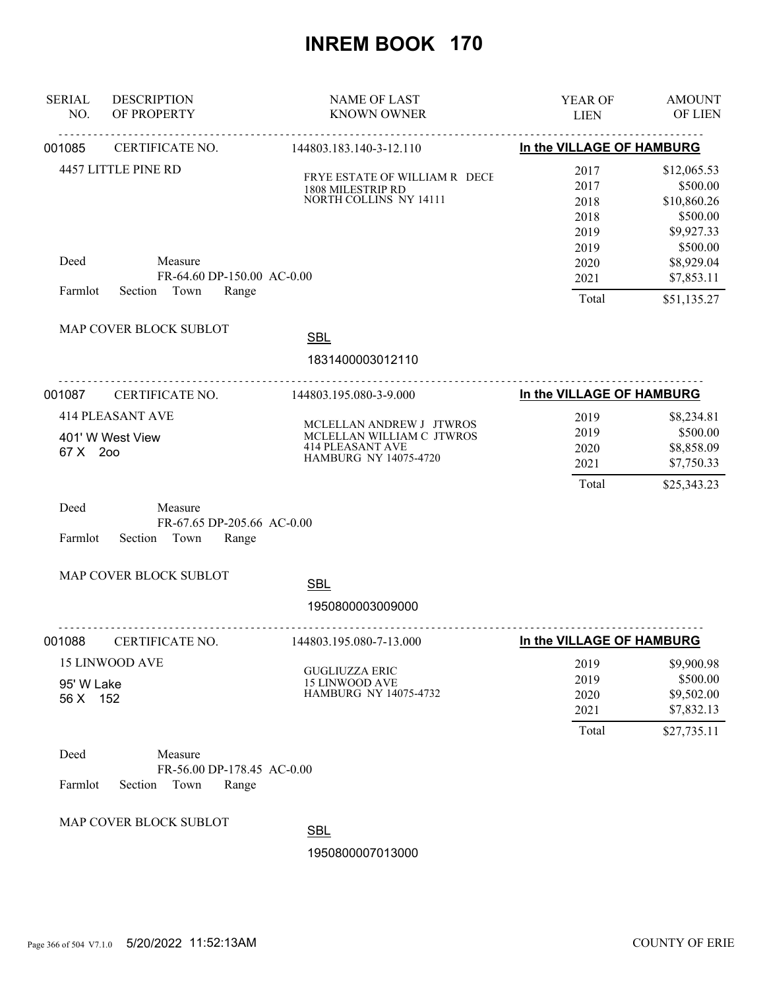| <b>SERIAL</b><br>NO.   | <b>DESCRIPTION</b><br>OF PROPERTY                                 | <b>NAME OF LAST</b><br><b>KNOWN OWNER</b>                                                                        | <b>YEAR OF</b><br><b>LIEN</b>         | <b>AMOUNT</b><br>OF LIEN                                          |
|------------------------|-------------------------------------------------------------------|------------------------------------------------------------------------------------------------------------------|---------------------------------------|-------------------------------------------------------------------|
| 001085                 | CERTIFICATE NO.                                                   | 144803.183.140-3-12.110                                                                                          | In the VILLAGE OF HAMBURG             |                                                                   |
|                        | 4457 LITTLE PINE RD                                               | FRYE ESTATE OF WILLIAM R DECE<br>1808 MILESTRIP RD<br>NORTH COLLINS NY 14111                                     | 2017<br>2017<br>2018<br>2018<br>2019  | \$12,065.53<br>\$500.00<br>\$10,860.26<br>\$500.00<br>\$9,927.33  |
| Deed<br>Farmlot        | Measure<br>FR-64.60 DP-150.00 AC-0.00<br>Section Town<br>Range    |                                                                                                                  | 2019<br>2020<br>2021<br>Total         | \$500.00<br>\$8,929.04<br>\$7,853.11<br>\$51,135.27               |
|                        | MAP COVER BLOCK SUBLOT                                            | <b>SBL</b><br>1831400003012110                                                                                   |                                       |                                                                   |
| 001087                 | CERTIFICATE NO.                                                   | 144803.195.080-3-9.000                                                                                           | In the VILLAGE OF HAMBURG             |                                                                   |
| 67 X 200<br>Deed       | <b>414 PLEASANT AVE</b><br>401' W West View<br>Measure            | MCLELLAN ANDREW J JTWROS<br>MCLELLAN WILLIAM C JTWROS<br><b>414 PLEASANT AVE</b><br><b>HAMBURG NY 14075-4720</b> | 2019<br>2019<br>2020<br>2021<br>Total | \$8,234.81<br>\$500.00<br>\$8,858.09<br>\$7,750.33<br>\$25,343.23 |
| Farmlot                | FR-67.65 DP-205.66 AC-0.00<br>Section Town<br>Range               |                                                                                                                  |                                       |                                                                   |
|                        | MAP COVER BLOCK SUBLOT                                            | <b>SBL</b><br>1950800003009000                                                                                   |                                       |                                                                   |
| 001088                 | CERTIFICATE NO.                                                   | .<br>144803.195.080-7-13.000                                                                                     | In the VILLAGE OF HAMBURG             |                                                                   |
| 95' W Lake<br>56 X 152 | <b>15 LINWOOD AVE</b>                                             | <b>GUGLIUZZA ERIC</b><br><b>15 LINWOOD AVE</b><br><b>HAMBURG NY 14075-4732</b>                                   | 2019<br>2019<br>2020<br>2021          | \$9,900.98<br>\$500.00<br>\$9,502.00<br>\$7,832.13                |
| Deed<br>Farmlot        | Measure<br>FR-56.00 DP-178.45 AC-0.00<br>Town<br>Range<br>Section |                                                                                                                  | Total                                 | \$27,735.11                                                       |
|                        | MAP COVER BLOCK SUBLOT                                            | <b>SBL</b>                                                                                                       |                                       |                                                                   |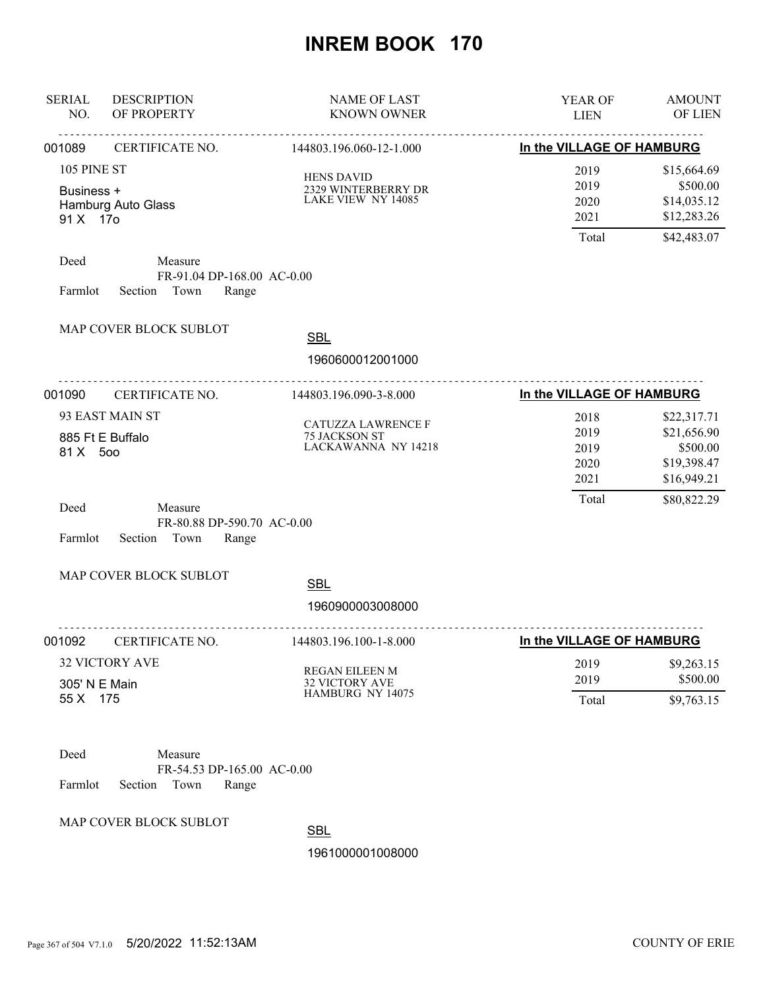| <b>SERIAL</b><br>NO.                  | <b>DESCRIPTION</b><br>OF PROPERTY                                 | <b>NAME OF LAST</b><br><b>KNOWN OWNER</b>                      | YEAR OF<br><b>LIEN</b>                | <b>AMOUNT</b><br>OF LIEN                                             |
|---------------------------------------|-------------------------------------------------------------------|----------------------------------------------------------------|---------------------------------------|----------------------------------------------------------------------|
| 001089                                | .<br>CERTIFICATE NO.                                              | .<br>144803.196.060-12-1.000                                   | In the VILLAGE OF HAMBURG             |                                                                      |
| 105 PINE ST<br>Business +<br>91 X 17o | Hamburg Auto Glass                                                | <b>HENS DAVID</b><br>2329 WINTERBERRY DR<br>LAKE VIEW NY 14085 | 2019<br>2019<br>2020<br>2021<br>Total | \$15,664.69<br>\$500.00<br>\$14,035.12<br>\$12,283.26<br>\$42,483.07 |
| Deed<br>Farmlot                       | Measure<br>FR-91.04 DP-168.00 AC-0.00<br>Section Town<br>Range    |                                                                |                                       |                                                                      |
|                                       | MAP COVER BLOCK SUBLOT<br>.                                       | <b>SBL</b><br>1960600012001000                                 |                                       |                                                                      |
| 001090                                | CERTIFICATE NO.                                                   | 144803.196.090-3-8.000                                         | In the VILLAGE OF HAMBURG             |                                                                      |
| 81 X 500                              | 93 EAST MAIN ST<br>885 Ft E Buffalo                               | CATUZZA LAWRENCE F<br>75 JACKSON ST<br>LACKAWANNA NY 14218     | 2018<br>2019<br>2019<br>2020<br>2021  | \$22,317.71<br>\$21,656.90<br>\$500.00<br>\$19,398.47<br>\$16,949.21 |
| Deed<br>Farmlot                       | Measure<br>FR-80.88 DP-590.70 AC-0.00<br>Town<br>Section<br>Range |                                                                | Total                                 | \$80,822.29                                                          |
|                                       | MAP COVER BLOCK SUBLOT                                            | <b>SBL</b><br>1960900003008000                                 |                                       |                                                                      |
| 001092                                | CERTIFICATE NO.                                                   | 144803.196.100-1-8.000                                         | In the VILLAGE OF HAMBURG             |                                                                      |
| 305' N E Main<br>55 X 175             | <b>32 VICTORY AVE</b>                                             | REGAN EILEEN M<br><b>32 VICTORY AVE</b><br>HAMBURG NY 14075    | 2019<br>2019<br>Total                 | \$9,263.15<br>\$500.00<br>\$9,763.15                                 |
| Deed<br>Farmlot                       | Measure<br>FR-54.53 DP-165.00 AC-0.00<br>Section<br>Town<br>Range |                                                                |                                       |                                                                      |

MAP COVER BLOCK SUBLOT

**SBL**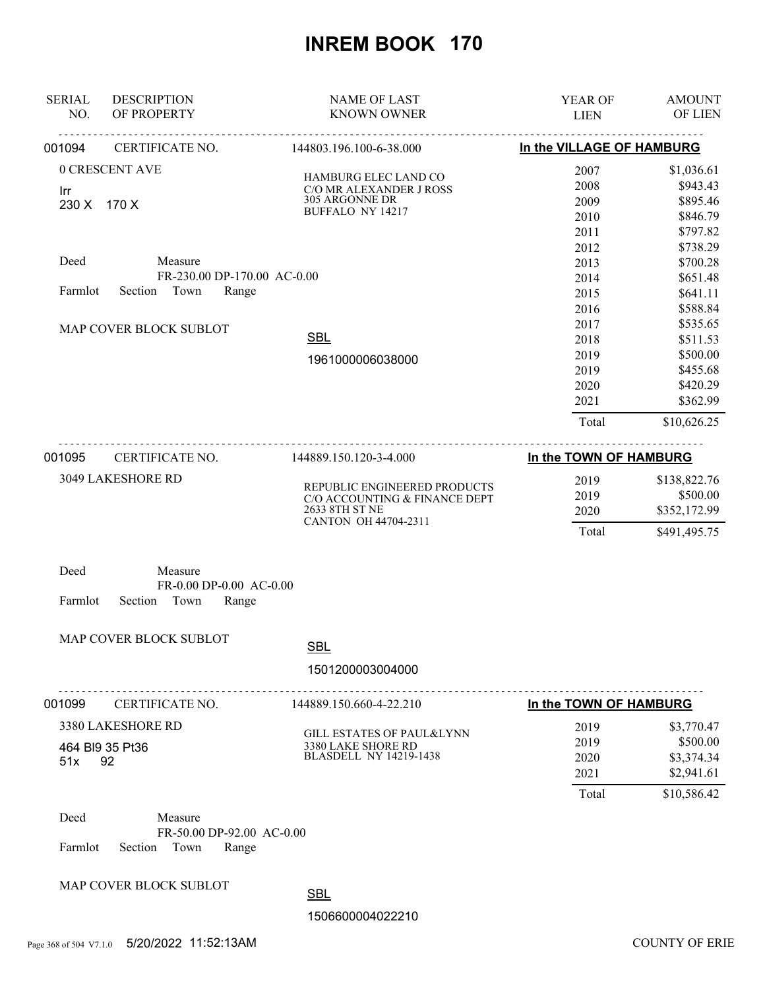| <b>SERIAL</b><br>NO. | <b>DESCRIPTION</b><br>OF PROPERTY | <b>NAME OF LAST</b><br><b>KNOWN OWNER</b>           | YEAR OF<br><b>LIEN</b>    | <b>AMOUNT</b><br><b>OF LIEN</b> |
|----------------------|-----------------------------------|-----------------------------------------------------|---------------------------|---------------------------------|
| 001094               | CERTIFICATE NO.                   | 144803.196.100-6-38.000                             | In the VILLAGE OF HAMBURG |                                 |
|                      | 0 CRESCENT AVE                    |                                                     | 2007                      | \$1,036.61                      |
|                      |                                   | HAMBURG ELEC LAND CO<br>C/O MR ALEXANDER J ROSS     | 2008                      | \$943.43                        |
| Irr<br>230 X         | 170 X                             | 305 ARGONNE DR                                      | 2009                      | \$895.46                        |
|                      |                                   | BUFFALO NY 14217                                    | 2010                      | \$846.79                        |
|                      |                                   |                                                     | 2011                      | \$797.82                        |
|                      |                                   |                                                     | 2012                      | \$738.29                        |
| Deed                 | Measure                           |                                                     | 2013                      | \$700.28                        |
|                      | FR-230.00 DP-170.00 AC-0.00       |                                                     | 2014                      | \$651.48                        |
| Farmlot              | Section<br>Town<br>Range          |                                                     | 2015                      | \$641.11                        |
|                      |                                   |                                                     | 2016                      | \$588.84                        |
|                      | MAP COVER BLOCK SUBLOT            |                                                     | 2017                      | \$535.65                        |
|                      |                                   | <b>SBL</b>                                          | 2018                      | \$511.53                        |
|                      |                                   | 1961000006038000                                    | 2019                      | \$500.00                        |
|                      |                                   |                                                     | 2019                      | \$455.68                        |
|                      |                                   |                                                     | 2020                      | \$420.29                        |
|                      |                                   |                                                     | 2021                      | \$362.99                        |
|                      |                                   |                                                     | Total                     | \$10,626.25                     |
| 001095               | CERTIFICATE NO.                   | 144889.150.120-3-4.000                              | In the TOWN OF HAMBURG    |                                 |
|                      | 3049 LAKESHORE RD                 | REPUBLIC ENGINEERED PRODUCTS                        | 2019                      | \$138,822.76                    |
|                      |                                   | C/O ACCOUNTING & FINANCE DEPT                       | 2019                      | \$500.00                        |
|                      |                                   | 2633 8TH ST NE                                      | 2020                      | \$352,172.99                    |
|                      |                                   | CANTON OH 44704-2311                                | Total                     | \$491,495.75                    |
| Deed                 | Measure                           |                                                     |                           |                                 |
|                      | FR-0.00 DP-0.00 AC-0.00           |                                                     |                           |                                 |
| Farmlot              | Section<br>Town<br>Range          |                                                     |                           |                                 |
|                      | MAP COVER BLOCK SUBLOT            |                                                     |                           |                                 |
|                      |                                   | <b>SBL</b>                                          |                           |                                 |
|                      |                                   | 1501200003004000                                    |                           |                                 |
| 001099               | CERTIFICATE NO.                   | 144889.150.660-4-22.210                             | In the TOWN OF HAMBURG    |                                 |
|                      | 3380 LAKESHORE RD                 |                                                     | 2019                      | \$3,770.47                      |
|                      |                                   | <b>GILL ESTATES OF PAUL&amp;LYNN</b>                | 2019                      | \$500.00                        |
|                      | 464 BI9 35 Pt36                   | 3380 LAKE SHORE RD<br><b>BLASDELL NY 14219-1438</b> | 2020                      | \$3,374.34                      |
| 51x                  | 92                                |                                                     | 2021                      | \$2,941.61                      |
|                      |                                   |                                                     | Total                     | \$10,586.42                     |
| Deed                 | Measure                           |                                                     |                           |                                 |
|                      | FR-50.00 DP-92.00 AC-0.00         |                                                     |                           |                                 |
| Farmlot              | Town<br>Section<br>Range          |                                                     |                           |                                 |
|                      | MAP COVER BLOCK SUBLOT            |                                                     |                           |                                 |
|                      |                                   |                                                     |                           |                                 |

**SBL**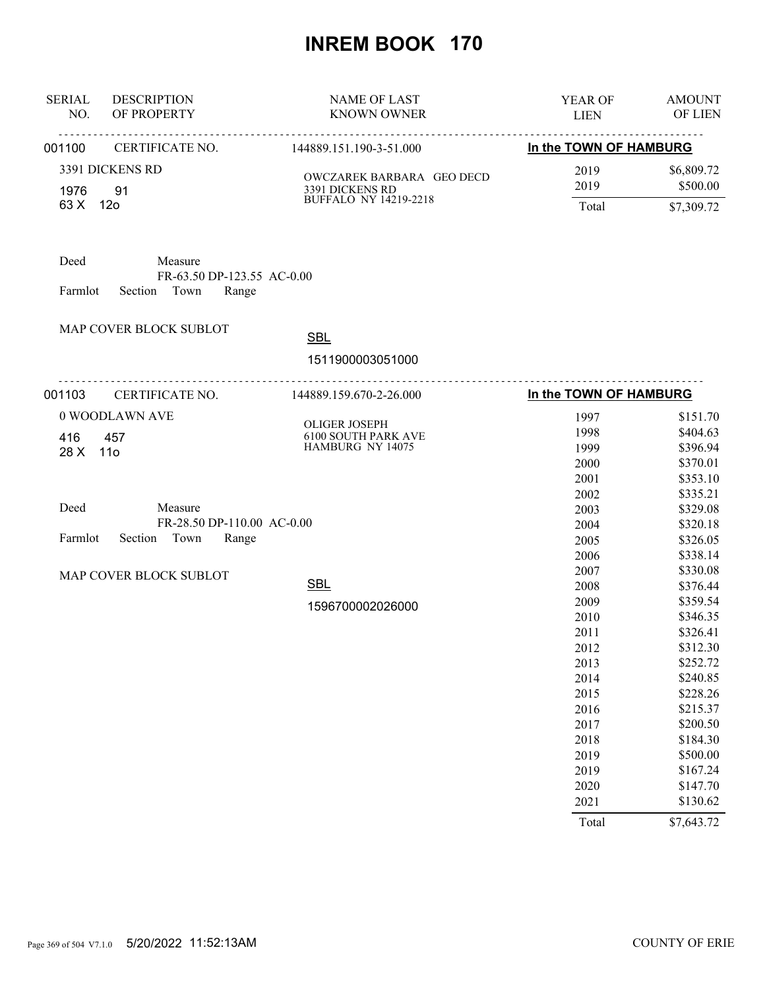| <b>SERIAL</b><br><b>DESCRIPTION</b><br>OF PROPERTY<br>NO.                            | <b>NAME OF LAST</b><br><b>KNOWN OWNER</b>    | YEAR OF<br><b>LIEN</b> | <b>AMOUNT</b><br>OF LIEN |
|--------------------------------------------------------------------------------------|----------------------------------------------|------------------------|--------------------------|
| 001100<br>CERTIFICATE NO.                                                            | <u>.</u><br>144889.151.190-3-51.000          | In the TOWN OF HAMBURG |                          |
| 3391 DICKENS RD<br>91<br>1976                                                        | OWCZAREK BARBARA GEO DECD<br>3391 DICKENS RD | 2019<br>2019           | \$6,809.72<br>\$500.00   |
| 63 X<br>12o                                                                          | <b>BUFFALO NY 14219-2218</b>                 | Total                  | \$7,309.72               |
| Deed<br>Measure<br>FR-63.50 DP-123.55 AC-0.00<br>Town<br>Farmlot<br>Section<br>Range |                                              |                        |                          |
| MAP COVER BLOCK SUBLOT                                                               | <b>SBL</b>                                   |                        |                          |
|                                                                                      | 1511900003051000                             |                        |                          |
| 001103<br>CERTIFICATE NO.                                                            | .<br>144889.159.670-2-26.000                 | In the TOWN OF HAMBURG |                          |
| 0 WOODLAWN AVE                                                                       | <b>OLIGER JOSEPH</b>                         | 1997                   | \$151.70                 |
| 416<br>457                                                                           | 6100 SOUTH PARK AVE                          | 1998                   | \$404.63                 |
| 28 X<br>11 <sub>0</sub>                                                              | HAMBURG NY 14075                             | 1999                   | \$396.94                 |
|                                                                                      |                                              | 2000                   | \$370.01                 |
|                                                                                      |                                              | 2001                   | \$353.10                 |
|                                                                                      |                                              | 2002                   | \$335.21                 |
| Deed<br>Measure                                                                      |                                              | 2003                   | \$329.08                 |
| FR-28.50 DP-110.00 AC-0.00                                                           |                                              | 2004                   | \$320.18                 |
| Farmlot<br>Town<br>Section<br>Range                                                  |                                              | 2005                   | \$326.05                 |
|                                                                                      |                                              | 2006                   | \$338.14                 |
| MAP COVER BLOCK SUBLOT                                                               |                                              | 2007                   | \$330.08                 |
|                                                                                      | <b>SBL</b>                                   | 2008                   | \$376.44                 |
|                                                                                      | 1596700002026000                             | 2009                   | \$359.54                 |
|                                                                                      |                                              | 2010                   | \$346.35                 |
|                                                                                      |                                              | 2011                   | \$326.41                 |
|                                                                                      |                                              | 2012                   | \$312.30                 |
|                                                                                      |                                              | 2013<br>2014           | \$252.72<br>\$240.85     |
|                                                                                      |                                              | 2015                   | \$228.26                 |
|                                                                                      |                                              | 2016                   | \$215.37                 |
|                                                                                      |                                              |                        | \$200.50                 |
|                                                                                      |                                              | 2017<br>2018           | \$184.30                 |
|                                                                                      |                                              | 2019                   | \$500.00                 |
|                                                                                      |                                              | 2019                   | \$167.24                 |
|                                                                                      |                                              | 2020                   | \$147.70                 |
|                                                                                      |                                              | 2021                   | \$130.62                 |
|                                                                                      |                                              | Total                  | \$7,643.72               |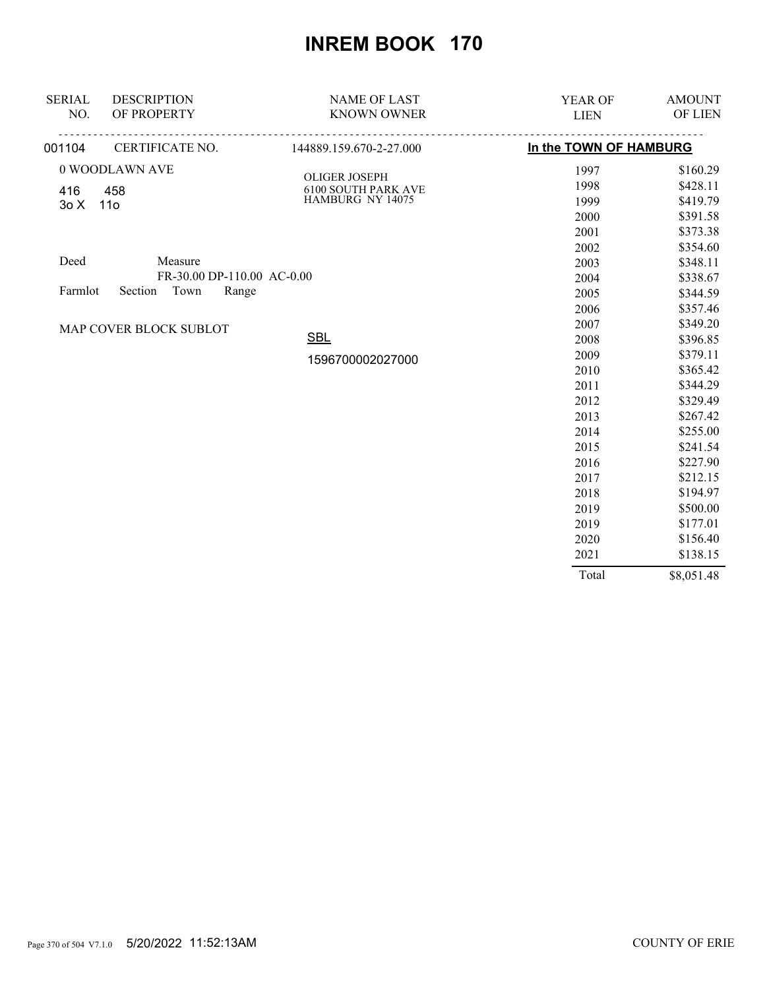| <b>SERIAL</b> | <b>DESCRIPTION</b>         | <b>NAME OF LAST</b>        | YEAR OF                | <b>AMOUNT</b> |
|---------------|----------------------------|----------------------------|------------------------|---------------|
| NO.           | OF PROPERTY                | <b>KNOWN OWNER</b>         | <b>LIEN</b>            | OF LIEN       |
| 001104        | CERTIFICATE NO.            | 144889.159.670-2-27.000    | In the TOWN OF HAMBURG |               |
|               | 0 WOODLAWN AVE             | <b>OLIGER JOSEPH</b>       | 1997                   | \$160.29      |
| 416           | 458                        | <b>6100 SOUTH PARK AVE</b> | 1998                   | \$428.11      |
| 30X           | 11 <sub>0</sub>            | HAMBURG NY 14075           | 1999                   | \$419.79      |
|               |                            |                            | 2000                   | \$391.58      |
|               |                            |                            | 2001                   | \$373.38      |
|               |                            |                            | 2002                   | \$354.60      |
| Deed          | Measure                    |                            | 2003                   | \$348.11      |
|               | FR-30.00 DP-110.00 AC-0.00 |                            | 2004                   | \$338.67      |
| Farmlot       | Town<br>Range<br>Section   |                            | 2005                   | \$344.59      |
|               |                            |                            | 2006                   | \$357.46      |
|               | MAP COVER BLOCK SUBLOT     |                            | 2007                   | \$349.20      |
|               |                            | <b>SBL</b>                 | 2008                   | \$396.85      |
|               |                            | 1596700002027000           | 2009                   | \$379.11      |
|               |                            |                            | 2010                   | \$365.42      |
|               |                            |                            | 2011                   | \$344.29      |
|               |                            |                            | 2012                   | \$329.49      |
|               |                            |                            | 2013                   | \$267.42      |
|               |                            |                            | 2014                   | \$255.00      |
|               |                            |                            | 2015                   | \$241.54      |
|               |                            |                            | 2016                   | \$227.90      |
|               |                            |                            | 2017                   | \$212.15      |
|               |                            |                            | 2018                   | \$194.97      |
|               |                            |                            | 2019                   | \$500.00      |
|               |                            |                            | 2019                   | \$177.01      |
|               |                            |                            | 2020                   | \$156.40      |
|               |                            |                            | 2021                   | \$138.15      |
|               |                            |                            | Total                  | \$8,051.48    |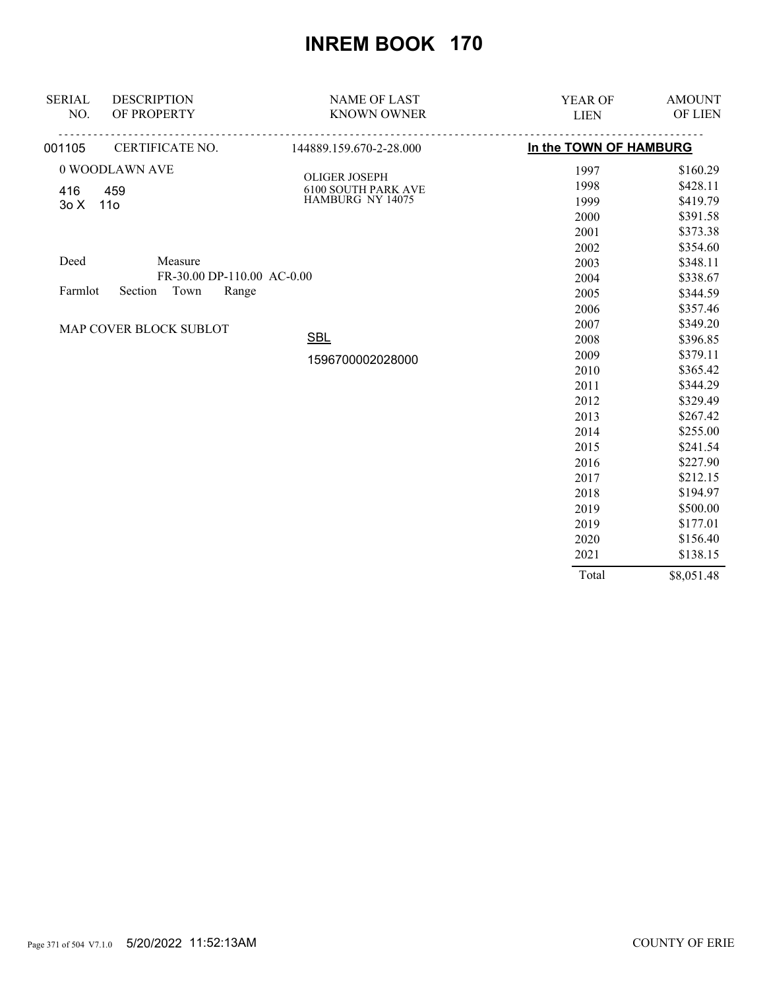| <b>SERIAL</b> | <b>DESCRIPTION</b>         | <b>NAME OF LAST</b>                         | YEAR OF                | <b>AMOUNT</b> |
|---------------|----------------------------|---------------------------------------------|------------------------|---------------|
| NO.           | OF PROPERTY                | <b>KNOWN OWNER</b>                          | <b>LIEN</b>            | OF LIEN       |
| 001105        | CERTIFICATE NO.            | 144889.159.670-2-28.000                     | In the TOWN OF HAMBURG |               |
|               | 0 WOODLAWN AVE             |                                             | 1997                   | \$160.29      |
| 416           | 459                        | OLIGER JOSEPH<br><b>6100 SOUTH PARK AVE</b> | 1998                   | \$428.11      |
| 30X           | 11 <sub>o</sub>            | HAMBURG NY 14075                            | 1999                   | \$419.79      |
|               |                            |                                             | 2000                   | \$391.58      |
|               |                            |                                             | 2001                   | \$373.38      |
|               |                            |                                             | 2002                   | \$354.60      |
| Deed          | Measure                    |                                             | 2003                   | \$348.11      |
|               | FR-30.00 DP-110.00 AC-0.00 |                                             | 2004                   | \$338.67      |
| Farmlot       | Town<br>Section<br>Range   |                                             | 2005                   | \$344.59      |
|               |                            |                                             | 2006                   | \$357.46      |
|               | MAP COVER BLOCK SUBLOT     |                                             | 2007                   | \$349.20      |
|               |                            | <b>SBL</b>                                  | 2008                   | \$396.85      |
|               |                            | 1596700002028000                            | 2009                   | \$379.11      |
|               |                            |                                             | 2010                   | \$365.42      |
|               |                            |                                             | 2011                   | \$344.29      |
|               |                            |                                             | 2012                   | \$329.49      |
|               |                            |                                             | 2013                   | \$267.42      |
|               |                            |                                             | 2014                   | \$255.00      |
|               |                            |                                             | 2015                   | \$241.54      |
|               |                            |                                             | 2016                   | \$227.90      |
|               |                            |                                             | 2017                   | \$212.15      |
|               |                            |                                             | 2018                   | \$194.97      |
|               |                            |                                             | 2019                   | \$500.00      |
|               |                            |                                             | 2019                   | \$177.01      |
|               |                            |                                             | 2020                   | \$156.40      |
|               |                            |                                             | 2021                   | \$138.15      |
|               |                            |                                             | Total                  | \$8,051.48    |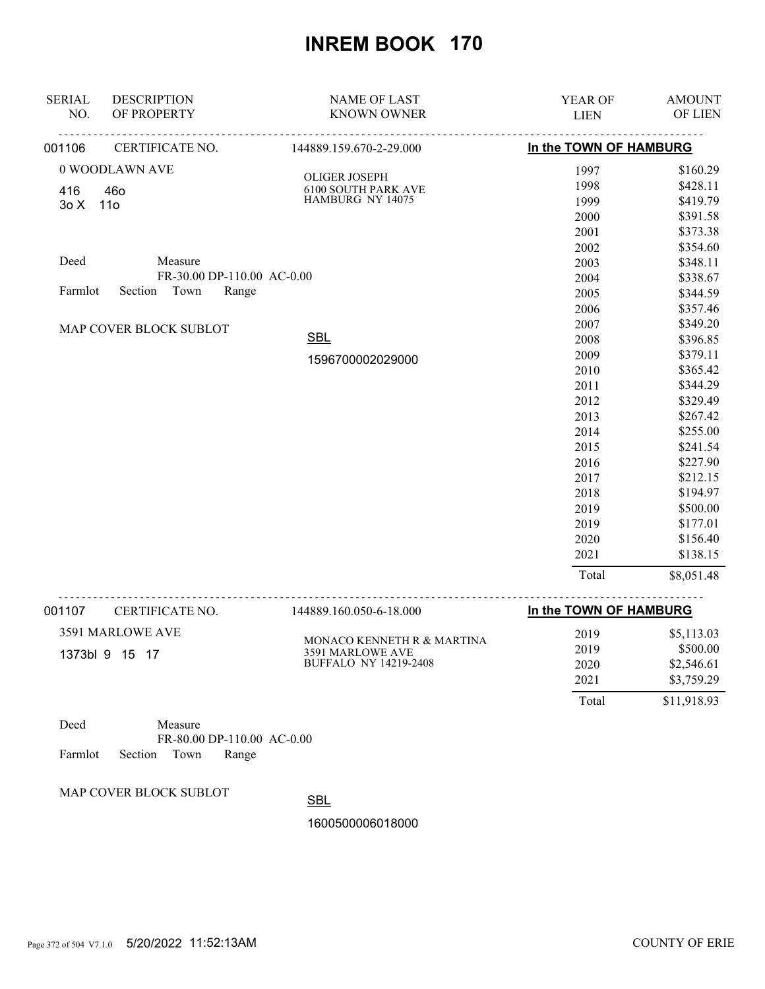| <b>SERIAL</b> | <b>DESCRIPTION</b>          | <b>NAME OF LAST</b>                 | YEAR OF                | <b>AMOUNT</b> |
|---------------|-----------------------------|-------------------------------------|------------------------|---------------|
| NO.           | OF PROPERTY                 | <b>KNOWN OWNER</b>                  | <b>LIEN</b>            | OF LIEN       |
| 001106        | <u>.</u><br>CERTIFICATE NO. | <u>.</u><br>144889.159.670-2-29.000 | In the TOWN OF HAMBURG |               |
|               | 0 WOODLAWN AVE              | OLIGER JOSEPH                       | 1997                   | \$160.29      |
| 416           | 460                         | <b>6100 SOUTH PARK AVE</b>          | 1998                   | \$428.11      |
| 30X           | 11o                         | HAMBURG NY 14075                    | 1999                   | \$419.79      |
|               |                             |                                     | 2000                   | \$391.58      |
|               |                             |                                     | 2001                   | \$373.38      |
|               |                             |                                     | 2002                   | \$354.60      |
| Deed          | Measure                     |                                     | 2003                   | \$348.11      |
|               | FR-30.00 DP-110.00 AC-0.00  |                                     | 2004                   | \$338.67      |
| Farmlot       | Section Town<br>Range       |                                     | 2005                   | \$344.59      |
|               |                             |                                     | 2006                   | \$357.46      |
|               | MAP COVER BLOCK SUBLOT      |                                     | 2007                   | \$349.20      |
|               |                             | <b>SBL</b>                          | 2008                   | \$396.85      |
|               |                             | 1596700002029000                    | 2009                   | \$379.11      |
|               |                             |                                     | 2010                   | \$365.42      |
|               |                             |                                     | 2011                   | \$344.29      |
|               |                             |                                     | 2012                   | \$329.49      |
|               |                             |                                     | 2013                   | \$267.42      |
|               |                             |                                     | 2014                   | \$255.00      |
|               |                             |                                     | 2015                   | \$241.54      |
|               |                             |                                     | 2016                   | \$227.90      |
|               |                             |                                     | 2017                   | \$212.15      |
|               |                             |                                     | 2018                   | \$194.97      |
|               |                             |                                     | 2019                   | \$500.00      |
|               |                             |                                     | 2019                   | \$177.01      |
|               |                             |                                     | 2020                   | \$156.40      |
|               |                             |                                     | 2021                   | \$138.15      |
|               |                             |                                     | Total                  | \$8,051.48    |
|               |                             |                                     |                        |               |

| 001107         | CERTIFICATE NO.  | 144889.160.050-6-18.000      | In the TOWN OF HAMBURG |             |
|----------------|------------------|------------------------------|------------------------|-------------|
|                | 3591 MARLOWE AVE | MONACO KENNETH R & MARTINA   | 2019                   | \$5,113.03  |
| 1373bl 9 15 17 | 3591 MARLOWE AVE | 2019                         | \$500.00               |             |
|                |                  | <b>BUFFALO NY 14219-2408</b> | 2020                   | \$2,546.61  |
|                |                  |                              | 2021                   | \$3,759.29  |
|                |                  |                              | Total                  | \$11,918.93 |

| Deed |                            | Measure |                            |  |
|------|----------------------------|---------|----------------------------|--|
|      |                            |         | FR-80.00 DP-110.00 AC-0.00 |  |
|      | Farmlot Section Town Range |         |                            |  |

MAP COVER BLOCK SUBLOT

**SBL**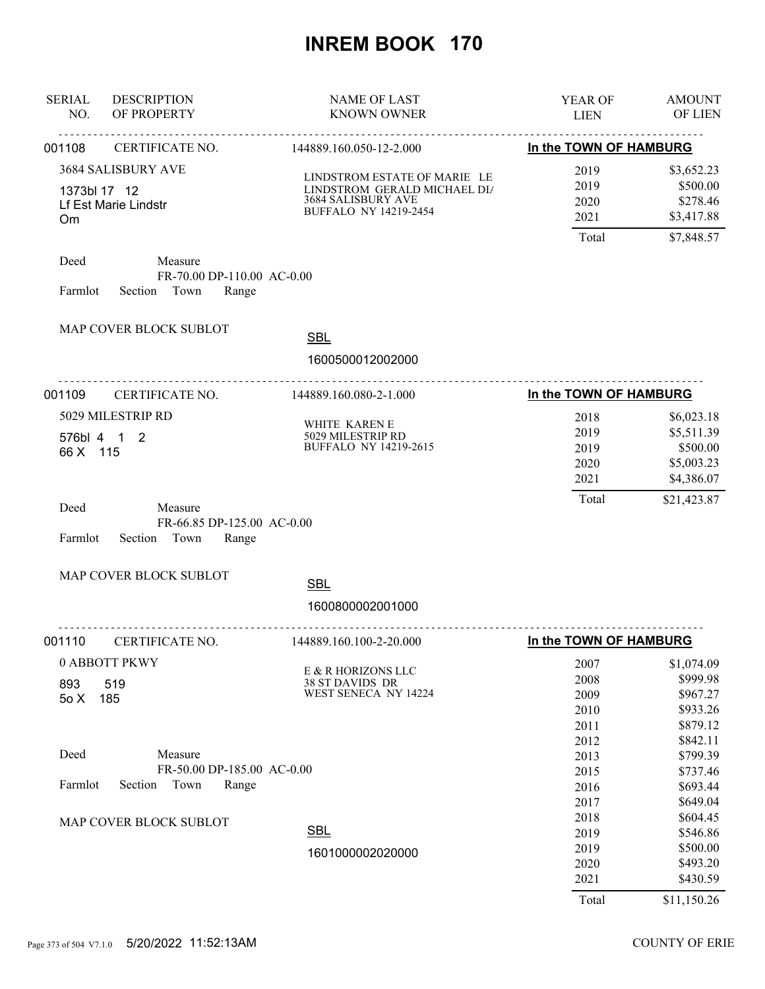| <b>SERIAL</b><br>NO. | <b>DESCRIPTION</b><br>OF PROPERTY                              | <b>NAME OF LAST</b><br><b>KNOWN OWNER</b>                                                                          | YEAR OF<br><b>LIEN</b>                        | <b>AMOUNT</b><br>OF LIEN                                                        |
|----------------------|----------------------------------------------------------------|--------------------------------------------------------------------------------------------------------------------|-----------------------------------------------|---------------------------------------------------------------------------------|
| 001108               | <u>.</u><br>CERTIFICATE NO.                                    | <u>.</u><br>144889.160.050-12-2.000                                                                                | In the TOWN OF HAMBURG                        |                                                                                 |
| 1373bl 17 12<br>Om   | 3684 SALISBURY AVE<br>Lf Est Marie Lindstr                     | LINDSTROM ESTATE OF MARIE LE<br>LINDSTROM GERALD MICHAEL DIA<br>3684 SALISBURY AVE<br><b>BUFFALO NY 14219-2454</b> | 2019<br>2019<br>2020<br>2021<br>Total         | \$3,652.23<br>\$500.00<br>\$278.46<br>\$3,417.88<br>\$7,848.57                  |
| Deed<br>Farmlot      | Measure<br>FR-70.00 DP-110.00 AC-0.00<br>Section Town<br>Range |                                                                                                                    |                                               |                                                                                 |
|                      | MAP COVER BLOCK SUBLOT                                         | <b>SBL</b><br>1600500012002000<br>.                                                                                |                                               |                                                                                 |
| 001109               | CERTIFICATE NO.                                                | 144889.160.080-2-1.000                                                                                             | In the TOWN OF HAMBURG                        |                                                                                 |
| 66 X 115<br>Deed     | 5029 MILESTRIP RD<br>576bl 4 1 2<br>Measure                    | WHITE KAREN E<br>5029 MILESTRIP RD<br><b>BUFFALO NY 14219-2615</b>                                                 | 2018<br>2019<br>2019<br>2020<br>2021<br>Total | \$6,023.18<br>\$5,511.39<br>\$500.00<br>\$5,003.23<br>\$4,386.07<br>\$21,423.87 |
| Farmlot              | FR-66.85 DP-125.00 AC-0.00<br>Section Town<br>Range            |                                                                                                                    |                                               |                                                                                 |
|                      | MAP COVER BLOCK SUBLOT                                         | <b>SBL</b><br>1600800002001000                                                                                     |                                               |                                                                                 |
| 001110               | CERTIFICATE NO.                                                | .<br>144889.160.100-2-20.000                                                                                       | In the TOWN OF HAMBURG                        |                                                                                 |
| 893<br>50X           | 0 ABBOTT PKWY<br>519<br>185                                    | E & R HORIZONS LLC<br>38 ST DAVIDS DR<br>WEST SENECA NY 14224                                                      | 2007<br>2008<br>2009<br>2010<br>2011<br>2012  | \$1,074.09<br>\$999.98<br>\$967.27<br>\$933.26<br>\$879.12<br>\$842.11          |
| Deed                 | Measure                                                        |                                                                                                                    | 2013                                          | \$799.39                                                                        |
| Farmlot              | FR-50.00 DP-185.00 AC-0.00<br>Section<br>Town<br>Range         |                                                                                                                    | 2015<br>2016<br>2017                          | \$737.46<br>\$693.44<br>\$649.04                                                |
|                      | MAP COVER BLOCK SUBLOT                                         | <b>SBL</b><br>1601000002020000                                                                                     | 2018<br>2019<br>2019<br>2020<br>2021<br>Total | \$604.45<br>\$546.86<br>\$500.00<br>\$493.20<br>\$430.59<br>\$11,150.26         |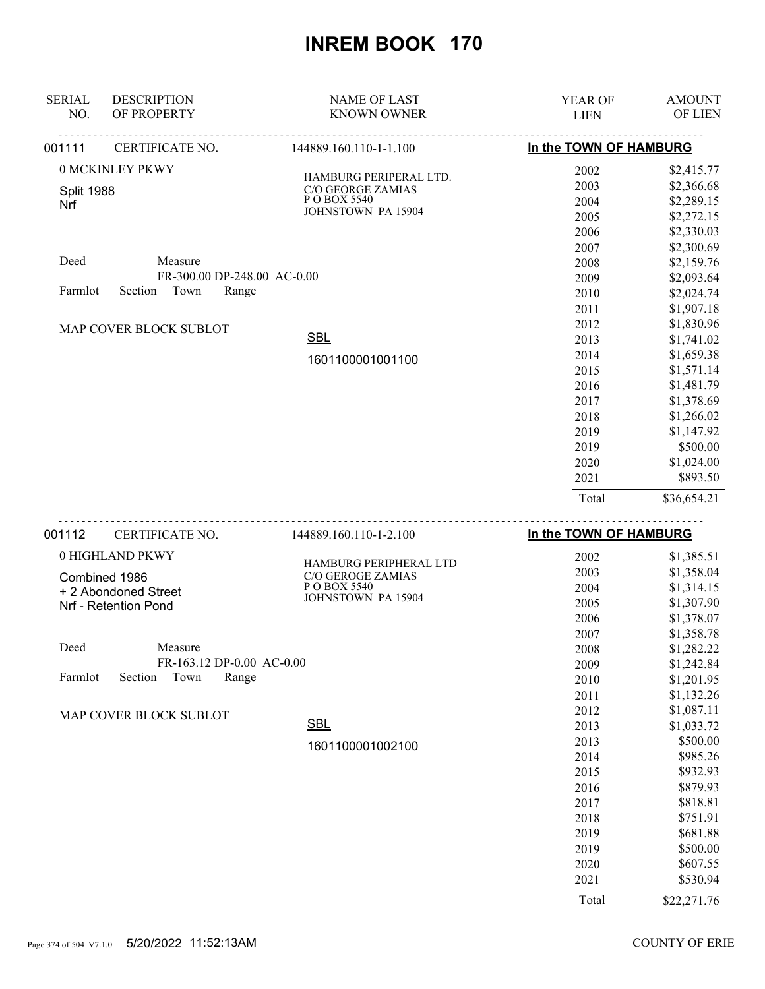| 001112                   | CERTIFICATE NO.             | 144889.160.110-1-2.100                      | In the TOWN OF HAMBURG |               |
|--------------------------|-----------------------------|---------------------------------------------|------------------------|---------------|
|                          |                             |                                             | Total                  | \$36,654.21   |
|                          |                             |                                             | 2021                   | \$893.50      |
|                          |                             |                                             | 2020                   | \$1,024.00    |
|                          |                             |                                             | 2019                   | \$500.00      |
|                          |                             |                                             | 2019                   | \$1,147.92    |
|                          |                             |                                             | 2018                   | \$1,266.02    |
|                          |                             |                                             | 2017                   | \$1,378.69    |
|                          |                             |                                             | 2016                   | \$1,481.79    |
|                          |                             |                                             | 2015                   | \$1,571.14    |
|                          |                             | 1601100001001100                            | 2014                   | \$1,659.38    |
|                          |                             | <b>SBL</b>                                  | 2013                   | \$1,741.02    |
|                          | MAP COVER BLOCK SUBLOT      |                                             | 2012                   | \$1,830.96    |
|                          |                             |                                             | 2011                   | \$1,907.18    |
| Farmlot                  | Town<br>Section<br>Range    |                                             | 2010                   | \$2,024.74    |
|                          | FR-300.00 DP-248.00 AC-0.00 |                                             | 2009                   | \$2,093.64    |
| Deed                     | Measure                     |                                             | 2008                   | \$2,159.76    |
|                          |                             |                                             | 2007                   | \$2,300.69    |
|                          |                             |                                             | 2006                   | \$2,330.03    |
|                          |                             | <b>JOHNSTOWN PA 15904</b>                   | 2005                   | \$2,272.15    |
| <b>Split 1988</b><br>Nrf |                             | P O BOX 5540                                | 2004                   | \$2,289.15    |
|                          |                             | HAMBURG PERIPERAL LTD.<br>C/O GEORGE ZAMIAS | 2003                   | \$2,366.68    |
|                          | 0 MCKINLEY PKWY             |                                             | 2002                   | \$2,415.77    |
| 001111                   | CERTIFICATE NO.             | 144889.160.110-1-1.100                      | In the TOWN OF HAMBURG |               |
| NO.                      | OF PROPERTY                 | <b>KNOWN OWNER</b>                          | <b>LIEN</b>            | OF LIEN       |
| <b>SERIAL</b>            | <b>DESCRIPTION</b>          | <b>NAME OF LAST</b>                         | <b>YEAR OF</b>         | <b>AMOUNT</b> |
|                          |                             |                                             |                        |               |

| 001112  | CERTIFICATE NO.           | 144889.160.110-1-2.100   | In the TOWN OF HAMBURG |             |
|---------|---------------------------|--------------------------|------------------------|-------------|
|         | 0 HIGHLAND PKWY           | HAMBURG PERIPHERAL LTD   | 2002                   | \$1,385.51  |
|         | Combined 1986             | <b>C/O GEROGE ZAMIAS</b> | 2003                   | \$1,358.04  |
|         | + 2 Abondoned Street      | P O BOX 5540             | 2004                   | \$1,314.15  |
|         | Nrf - Retention Pond      | JOHNSTOWN PA 15904       | 2005                   | \$1,307.90  |
|         |                           |                          | 2006                   | \$1,378.07  |
|         |                           |                          | 2007                   | \$1,358.78  |
| Deed    | Measure                   |                          | 2008                   | \$1,282.22  |
|         | FR-163.12 DP-0.00 AC-0.00 |                          | 2009                   | \$1,242.84  |
| Farmlot | Town<br>Range<br>Section  |                          | 2010                   | \$1,201.95  |
|         |                           |                          | 2011                   | \$1,132.26  |
|         | MAP COVER BLOCK SUBLOT    |                          | 2012                   | \$1,087.11  |
|         |                           | <b>SBL</b>               | 2013                   | \$1,033.72  |
|         |                           | 1601100001002100         | 2013                   | \$500.00    |
|         |                           |                          | 2014                   | \$985.26    |
|         |                           |                          | 2015                   | \$932.93    |
|         |                           |                          | 2016                   | \$879.93    |
|         |                           |                          | 2017                   | \$818.81    |
|         |                           |                          | 2018                   | \$751.91    |
|         |                           |                          | 2019                   | \$681.88    |
|         |                           |                          | 2019                   | \$500.00    |
|         |                           |                          | 2020                   | \$607.55    |
|         |                           |                          | 2021                   | \$530.94    |
|         |                           |                          | Total                  | \$22,271.76 |

Page 374 of 504 V7.1.0 5/20/2022 11:52:13AM COUNTY OF ERIE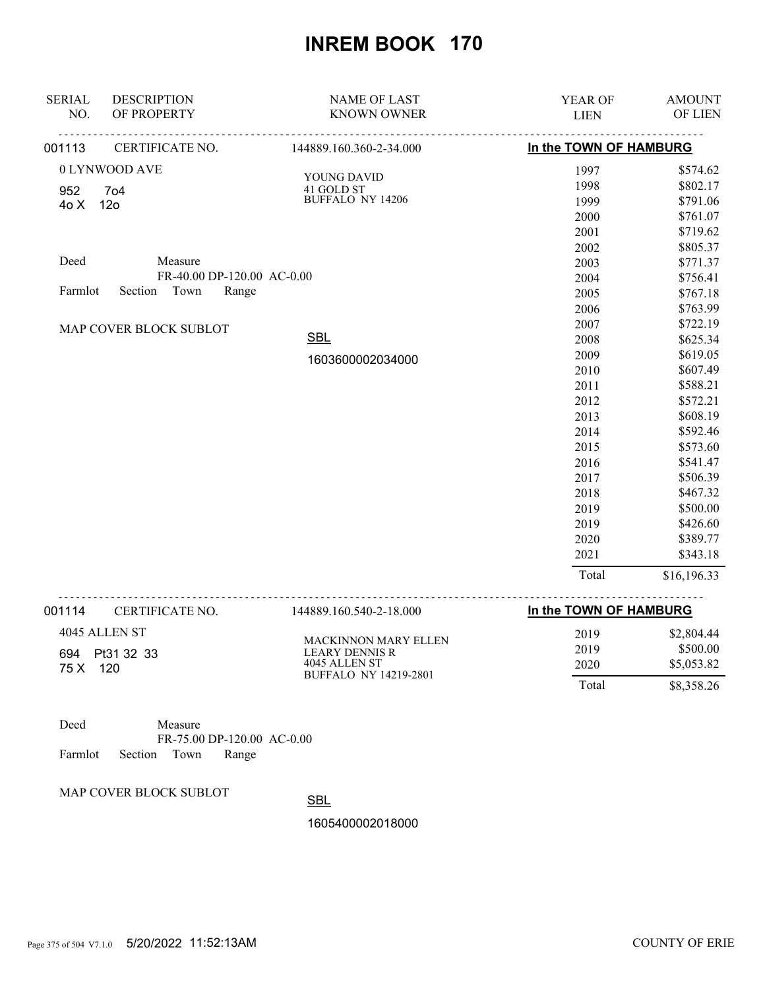| <b>SERIAL</b><br>NO. | <b>DESCRIPTION</b><br>OF PROPERTY | <b>NAME OF LAST</b><br><b>KNOWN OWNER</b> | YEAR OF<br><b>LIEN</b> | <b>AMOUNT</b><br>OF LIEN |
|----------------------|-----------------------------------|-------------------------------------------|------------------------|--------------------------|
| 001113               | <b>CERTIFICATE NO.</b>            | 144889.160.360-2-34.000                   | In the TOWN OF HAMBURG |                          |
|                      | 0 LYNWOOD AVE                     | YOUNG DAVID                               | 1997                   | \$574.62                 |
| 952                  | <b>704</b>                        | 41 GOLD ST                                | 1998                   | \$802.17                 |
| 40 X                 | 12 <sub>o</sub>                   | <b>BUFFALO NY 14206</b>                   | 1999                   | \$791.06                 |
|                      |                                   |                                           | 2000                   | \$761.07                 |
|                      |                                   |                                           | 2001                   | \$719.62                 |
|                      |                                   |                                           | 2002                   | \$805.37                 |
| Deed                 | Measure                           |                                           | 2003                   | \$771.37                 |
|                      | FR-40.00 DP-120.00 AC-0.00        |                                           | 2004                   | \$756.41                 |
| Farmlot              | Section<br>Town<br>Range          |                                           | 2005                   | \$767.18                 |
|                      |                                   |                                           | 2006                   | \$763.99                 |
|                      | MAP COVER BLOCK SUBLOT            |                                           | 2007                   | \$722.19                 |
|                      |                                   | <b>SBL</b>                                | 2008                   | \$625.34                 |
|                      |                                   | 1603600002034000                          | 2009                   | \$619.05                 |
|                      |                                   |                                           | 2010                   | \$607.49                 |
|                      |                                   |                                           | 2011                   | \$588.21                 |
|                      |                                   |                                           | 2012                   | \$572.21                 |
|                      |                                   |                                           | 2013                   | \$608.19                 |
|                      |                                   |                                           | 2014                   | \$592.46                 |
|                      |                                   |                                           | 2015                   | \$573.60                 |
|                      |                                   |                                           | 2016                   | \$541.47                 |
|                      |                                   |                                           | 2017                   | \$506.39                 |
|                      |                                   |                                           | 2018                   | \$467.32                 |
|                      |                                   |                                           | 2019                   | \$500.00                 |
|                      |                                   |                                           | 2019                   | \$426.60                 |
|                      |                                   |                                           | 2020                   | \$389.77                 |
|                      |                                   |                                           | 2021                   | \$343.18                 |
|                      |                                   |                                           | Total                  | \$16,196.33              |

| 001114      | CERTIFICATE NO.                    | 144889.160.540-2-18.000                                        | In the TOWN OF HAMBURG |                                      |
|-------------|------------------------------------|----------------------------------------------------------------|------------------------|--------------------------------------|
| 694<br>75 X | 4045 ALLEN ST<br>Pt31 32 33<br>120 | <b>MACKINNON MARY ELLEN</b><br>LEARY DENNIS R<br>4045 ALLEN ST | 2019<br>2019<br>2020   | \$2,804.44<br>\$500.00<br>\$5,053.82 |
|             |                                    | BUFFALO NY 14219-2801                                          | Total                  | \$8,358.26                           |

| Deed |                            | Measure |                            |  |
|------|----------------------------|---------|----------------------------|--|
|      |                            |         | FR-75.00 DP-120.00 AC-0.00 |  |
|      | Farmlot Section Town Range |         |                            |  |

MAP COVER BLOCK SUBLOT

SBL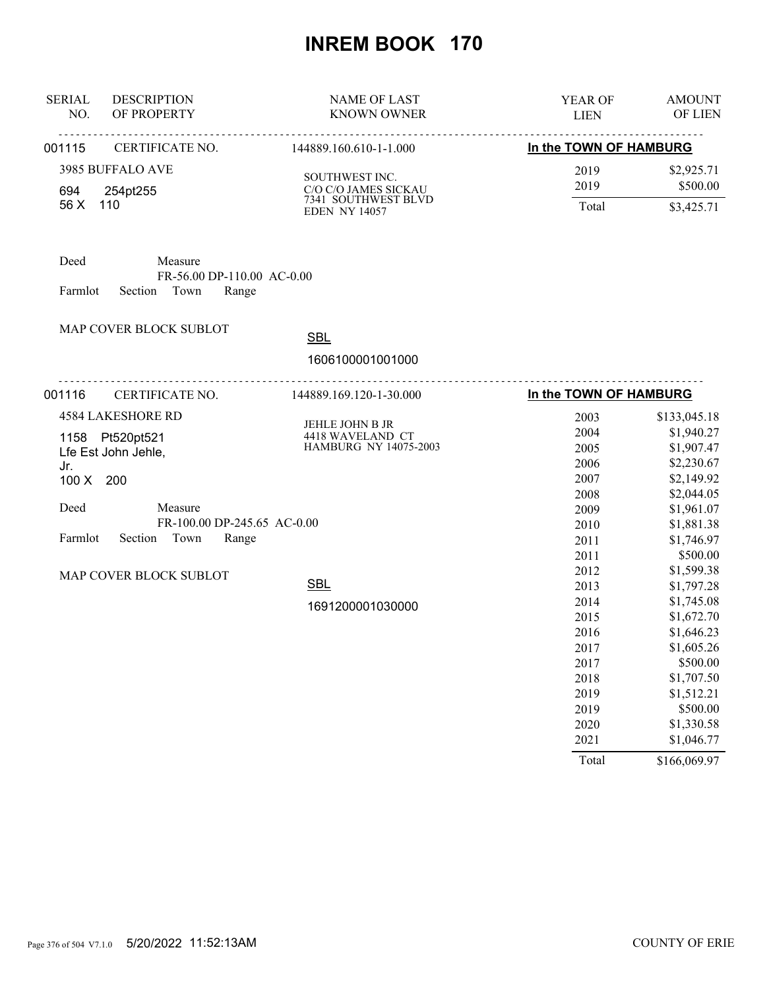| <b>SERIAL</b><br>NO. | <b>DESCRIPTION</b><br>OF PROPERTY                   | <b>NAME OF LAST</b><br><b>KNOWN OWNER</b>   | YEAR OF<br><b>LIEN</b> | <b>AMOUNT</b><br>OF LIEN |
|----------------------|-----------------------------------------------------|---------------------------------------------|------------------------|--------------------------|
| 001115               | CERTIFICATE NO.                                     | 144889.160.610-1-1.000                      | In the TOWN OF HAMBURG |                          |
|                      | 3985 BUFFALO AVE                                    | SOUTHWEST INC.                              | 2019                   | \$2,925.71               |
| 694                  | 254pt255                                            | C/O C/O JAMES SICKAU                        | 2019                   | \$500.00                 |
| 56 X                 | 110                                                 | 7341 SOUTHWEST BLVD<br><b>EDEN NY 14057</b> | Total                  | \$3,425.71               |
| Deed                 | Measure                                             |                                             |                        |                          |
| Farmlot              | FR-56.00 DP-110.00 AC-0.00<br>Section Town<br>Range |                                             |                        |                          |
|                      | MAP COVER BLOCK SUBLOT                              | <b>SBL</b>                                  |                        |                          |
|                      |                                                     |                                             |                        |                          |
|                      |                                                     | 1606100001001000                            |                        |                          |
| 001116               | CERTIFICATE NO.                                     | .<br>144889.169.120-1-30.000                | In the TOWN OF HAMBURG |                          |
|                      | <b>4584 LAKESHORE RD</b>                            |                                             | 2003                   | \$133,045.18             |
| 1158 Pt520pt521      |                                                     | JEHLE JOHN B JR<br>4418 WAVELAND CT         | 2004                   | \$1,940.27               |
|                      | Lfe Est John Jehle,                                 | HAMBURG NY 14075-2003                       | 2005                   | \$1,907.47               |
| Jr.                  |                                                     |                                             | 2006                   | \$2,230.67               |
| 100 X 200            |                                                     |                                             | 2007                   | \$2,149.92               |
|                      |                                                     |                                             | 2008                   | \$2,044.05               |
| Deed                 | Measure                                             |                                             | 2009                   | \$1,961.07               |
|                      | FR-100.00 DP-245.65 AC-0.00                         |                                             | 2010                   | \$1,881.38               |
| Farmlot              | Section<br>Town<br>Range                            |                                             | 2011                   | \$1,746.97               |
|                      |                                                     |                                             | 2011                   | \$500.00                 |
|                      | MAP COVER BLOCK SUBLOT                              |                                             | 2012                   | \$1,599.38               |
|                      |                                                     | <b>SBL</b>                                  | 2013                   | \$1,797.28               |
|                      |                                                     | 1691200001030000                            | 2014                   | \$1,745.08               |
|                      |                                                     |                                             | 2015                   | \$1,672.70               |
|                      |                                                     |                                             | 2016                   | \$1,646.23               |
|                      |                                                     |                                             | 2017                   | \$1,605.26               |
|                      |                                                     |                                             | 2017                   | \$500.00                 |
|                      |                                                     |                                             | 2018                   | \$1,707.50               |
|                      |                                                     |                                             | 2019                   | \$1,512.21               |
|                      |                                                     |                                             | 2019                   | \$500.00                 |
|                      |                                                     |                                             | 2020                   | \$1,330.58               |
|                      |                                                     |                                             | 2021                   | \$1,046.77               |
|                      |                                                     |                                             | Total                  | \$166,069.97             |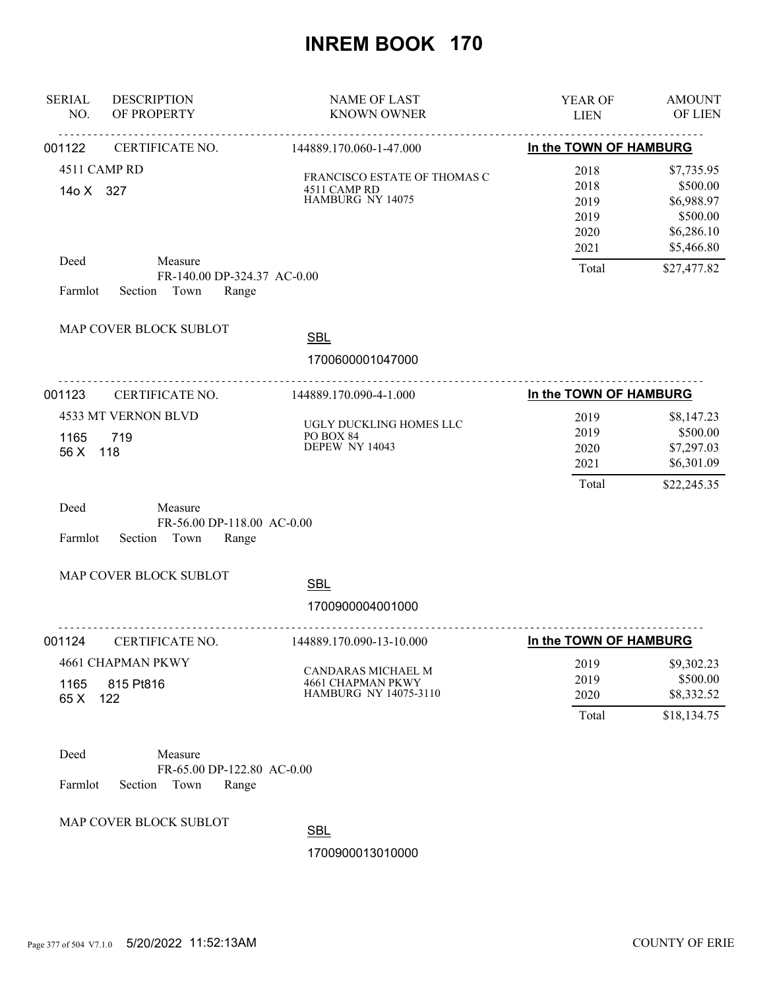| <b>SERIAL</b><br>NO. | <b>DESCRIPTION</b><br>OF PROPERTY                                 | <b>NAME OF LAST</b><br><b>KNOWN OWNER</b>                        | YEAR OF<br><b>LIEN</b>                       | <b>AMOUNT</b><br><b>OF LIEN</b>                                              |
|----------------------|-------------------------------------------------------------------|------------------------------------------------------------------|----------------------------------------------|------------------------------------------------------------------------------|
| 001122               | .<br>CERTIFICATE NO.                                              | <u>.</u><br>144889.170.060-1-47.000                              | In the TOWN OF HAMBURG                       |                                                                              |
| 14o X 327            | 4511 CAMP RD                                                      | FRANCISCO ESTATE OF THOMAS C<br>4511 CAMP RD<br>HAMBURG NY 14075 | 2018<br>2018<br>2019<br>2019<br>2020<br>2021 | \$7,735.95<br>\$500.00<br>\$6,988.97<br>\$500.00<br>\$6,286.10<br>\$5,466.80 |
| Deed<br>Farmlot      | Measure<br>FR-140.00 DP-324.37 AC-0.00<br>Section Town<br>Range   |                                                                  | Total                                        | \$27,477.82                                                                  |
|                      | MAP COVER BLOCK SUBLOT                                            | <b>SBL</b>                                                       |                                              |                                                                              |
|                      |                                                                   | 1700600001047000                                                 |                                              |                                                                              |
| 001123               | CERTIFICATE NO.                                                   | 144889.170.090-4-1.000                                           | In the TOWN OF HAMBURG                       |                                                                              |
| 1165<br>56 X         | 4533 MT VERNON BLVD<br>719<br>118                                 | UGLY DUCKLING HOMES LLC<br>PO BOX 84<br>DEPEW NY 14043           | 2019<br>2019<br>2020<br>2021<br>Total        | \$8,147.23<br>\$500.00<br>\$7,297.03<br>\$6,301.09<br>\$22,245.35            |
| Deed<br>Farmlot      | Measure<br>FR-56.00 DP-118.00 AC-0.00<br>Section Town<br>Range    |                                                                  |                                              |                                                                              |
|                      | MAP COVER BLOCK SUBLOT                                            | <b>SBL</b><br>1700900004001000                                   |                                              |                                                                              |
| 001124               | .<br>CERTIFICATE NO.                                              | .<br>144889.170.090-13-10.000                                    | In the TOWN OF HAMBURG                       |                                                                              |
| 1165<br>65 X         | 4661 CHAPMAN PKWY<br>815 Pt816<br>122                             | CANDARAS MICHAEL M<br>4661 CHAPMAN PKWY<br>HAMBURG NY 14075-3110 | 2019<br>2019<br>2020<br>Total                | \$9,302.23<br>\$500.00<br>\$8,332.52<br>\$18,134.75                          |
| Deed<br>Farmlot      | Measure<br>FR-65.00 DP-122.80 AC-0.00<br>Section<br>Town<br>Range |                                                                  |                                              |                                                                              |

MAP COVER BLOCK SUBLOT

**SBL**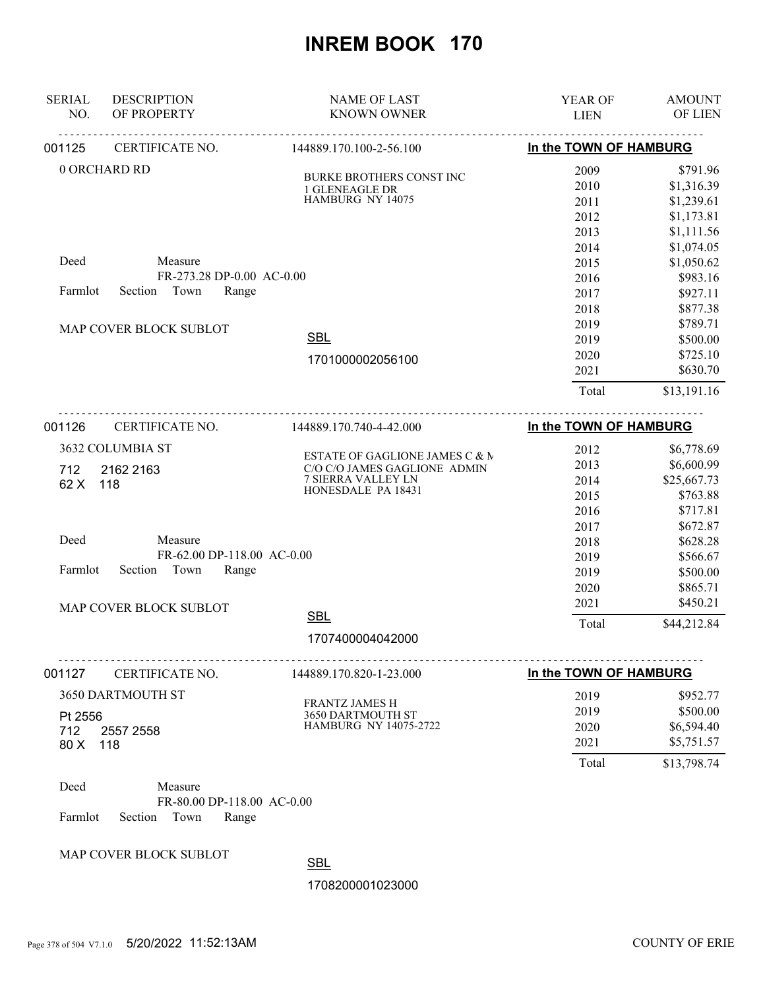| <b>SERIAL</b><br>NO. | <b>DESCRIPTION</b><br>OF PROPERTY                      | <b>NAME OF LAST</b><br><b>KNOWN OWNER</b>         | YEAR OF<br><b>LIEN</b> | <b>AMOUNT</b><br>OF LIEN |
|----------------------|--------------------------------------------------------|---------------------------------------------------|------------------------|--------------------------|
| 001125               | CERTIFICATE NO.                                        | 144889.170.100-2-56.100                           | In the TOWN OF HAMBURG |                          |
|                      | 0 ORCHARD RD                                           |                                                   | 2009                   | \$791.96                 |
|                      |                                                        | <b>BURKE BROTHERS CONST INC</b><br>1 GLENEAGLE DR | 2010                   | \$1,316.39               |
|                      |                                                        | HAMBURG NY 14075                                  | 2011                   | \$1,239.61               |
|                      |                                                        |                                                   | 2012                   | \$1,173.81               |
|                      |                                                        |                                                   | 2013                   | \$1,111.56               |
|                      |                                                        |                                                   | 2014                   | \$1,074.05               |
| Deed                 | Measure                                                |                                                   | 2015                   | \$1,050.62               |
|                      | FR-273.28 DP-0.00 AC-0.00                              |                                                   | 2016                   | \$983.16                 |
| Farmlot              | Section<br>Town<br>Range                               |                                                   | 2017                   | \$927.11                 |
|                      |                                                        |                                                   | 2018                   | \$877.38                 |
|                      | MAP COVER BLOCK SUBLOT                                 |                                                   | 2019                   | \$789.71                 |
|                      |                                                        | <b>SBL</b>                                        | 2019                   | \$500.00                 |
|                      |                                                        |                                                   | 2020                   | \$725.10                 |
|                      |                                                        | 1701000002056100                                  | 2021                   | \$630.70                 |
|                      |                                                        |                                                   | Total                  | \$13,191.16              |
|                      |                                                        |                                                   |                        |                          |
| 001126               | CERTIFICATE NO.                                        | 144889.170.740-4-42.000                           | In the TOWN OF HAMBURG |                          |
|                      | 3632 COLUMBIA ST                                       | ESTATE OF GAGLIONE JAMES C & M                    | 2012                   | \$6,778.69               |
| 712                  | 2162 2163                                              | C/O C/O JAMES GAGLIONE ADMIN                      | 2013                   | \$6,600.99               |
| 62 X                 | 118                                                    | <b>7 SIERRA VALLEY LN</b>                         | 2014                   | \$25,667.73              |
|                      |                                                        | HONESDALE PA 18431                                | 2015                   | \$763.88                 |
|                      |                                                        |                                                   | 2016                   | \$717.81                 |
|                      |                                                        |                                                   | 2017                   | \$672.87                 |
| Deed                 | Measure                                                |                                                   | 2018                   | \$628.28                 |
|                      | FR-62.00 DP-118.00 AC-0.00                             |                                                   | 2019                   | \$566.67                 |
| Farmlot              | Section<br>Town<br>Range                               |                                                   | 2019                   | \$500.00                 |
|                      |                                                        |                                                   | 2020                   | \$865.71                 |
|                      | MAP COVER BLOCK SUBLOT                                 |                                                   | 2021                   | \$450.21                 |
|                      |                                                        | <b>SBL</b>                                        | Total                  | \$44,212.84              |
|                      |                                                        | 1707400004042000                                  |                        |                          |
| 001127               | CERTIFICATE NO.                                        | 144889.170.820-1-23.000                           | In the TOWN OF HAMBURG |                          |
|                      | 3650 DARTMOUTH ST                                      |                                                   | 2019                   | \$952.77                 |
|                      |                                                        | <b>FRANTZ JAMES H</b>                             | 2019                   | \$500.00                 |
| Pt 2556              |                                                        | 3650 DARTMOUTH ST<br>HAMBURG NY 14075-2722        | 2020                   | \$6,594.40               |
| 712                  | 2557 2558                                              |                                                   | 2021                   | \$5,751.57               |
| 80 X                 | 118                                                    |                                                   | Total                  | \$13,798.74              |
|                      |                                                        |                                                   |                        |                          |
| Deed                 | Measure                                                |                                                   |                        |                          |
| Farmlot              | FR-80.00 DP-118.00 AC-0.00<br>Section<br>Town<br>Range |                                                   |                        |                          |
|                      | MAP COVER BLOCK SUBLOT                                 |                                                   |                        |                          |

SBL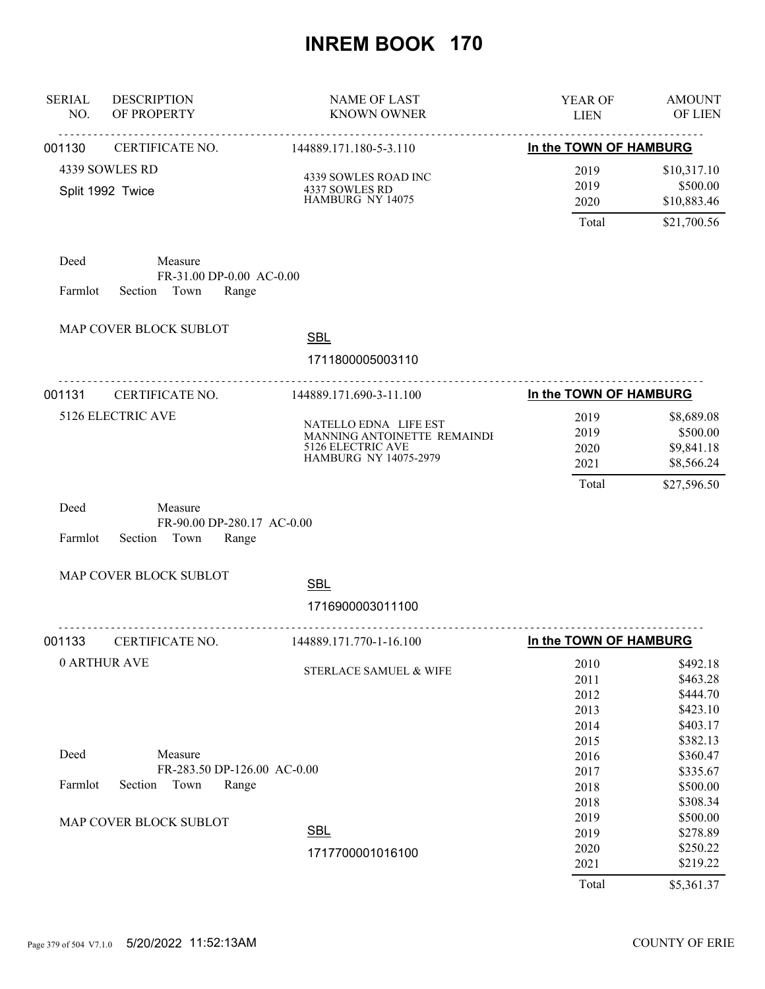| <b>SERIAL</b><br>NO. | <b>DESCRIPTION</b><br>OF PROPERTY                              | <b>NAME OF LAST</b><br><b>KNOWN OWNER</b>                                                                 | YEAR OF<br><b>LIEN</b>                | <b>AMOUNT</b><br>OF LIEN                                          |
|----------------------|----------------------------------------------------------------|-----------------------------------------------------------------------------------------------------------|---------------------------------------|-------------------------------------------------------------------|
| 001130               | <u>.</u><br>CERTIFICATE NO.                                    | <u>.</u><br>144889.171.180-5-3.110                                                                        | In the TOWN OF HAMBURG                |                                                                   |
|                      | 4339 SOWLES RD<br>Split 1992 Twice                             | 4339 SOWLES ROAD INC<br>4337 SOWLES RD<br>HAMBURG NY 14075                                                | 2019<br>2019<br>2020<br>Total         | \$10,317.10<br>\$500.00<br>\$10,883.46<br>\$21,700.56             |
| Deed<br>Farmlot      | Measure<br>FR-31.00 DP-0.00 AC-0.00<br>Section Town<br>Range   |                                                                                                           |                                       |                                                                   |
|                      | MAP COVER BLOCK SUBLOT                                         | <b>SBL</b><br>1711800005003110                                                                            |                                       |                                                                   |
| 001131               | .<br>CERTIFICATE NO.                                           | 144889.171.690-3-11.100                                                                                   | In the TOWN OF HAMBURG                |                                                                   |
|                      | 5126 ELECTRIC AVE                                              | NATELLO EDNA LIFE EST<br>MANNING ANTOINETTE REMAINDI<br>5126 ELECTRIC AVE<br><b>HAMBURG NY 14075-2979</b> | 2019<br>2019<br>2020<br>2021<br>Total | \$8,689.08<br>\$500.00<br>\$9,841.18<br>\$8,566.24<br>\$27,596.50 |
| Deed<br>Farmlot      | Measure<br>FR-90.00 DP-280.17 AC-0.00<br>Section Town<br>Range |                                                                                                           |                                       |                                                                   |
|                      | MAP COVER BLOCK SUBLOT                                         | <b>SBL</b><br>1716900003011100                                                                            |                                       |                                                                   |
| 001133               | .<br>CERTIFICATE NO.                                           | .<br>144889.171.770-1-16.100                                                                              | In the TOWN OF HAMBURG                |                                                                   |
|                      | 0 ARTHUR AVE                                                   | STERLACE SAMUEL & WIFE                                                                                    | 2010<br>2011<br>2012<br>2013<br>2014  | \$492.18<br>\$463.28<br>\$444.70<br>\$423.10<br>\$403.17          |
| Deed                 | Measure                                                        |                                                                                                           | 2015<br>2016                          | \$382.13<br>\$360.47                                              |
| Farmlot              | FR-283.50 DP-126.00 AC-0.00<br>Section<br>Town<br>Range        |                                                                                                           | 2017<br>2018<br>2018                  | \$335.67<br>\$500.00<br>\$308.34                                  |
|                      | MAP COVER BLOCK SUBLOT                                         | <b>SBL</b><br>1717700001016100                                                                            | 2019<br>2019<br>2020<br>2021<br>Total | \$500.00<br>\$278.89<br>\$250.22<br>\$219.22<br>\$5,361.37        |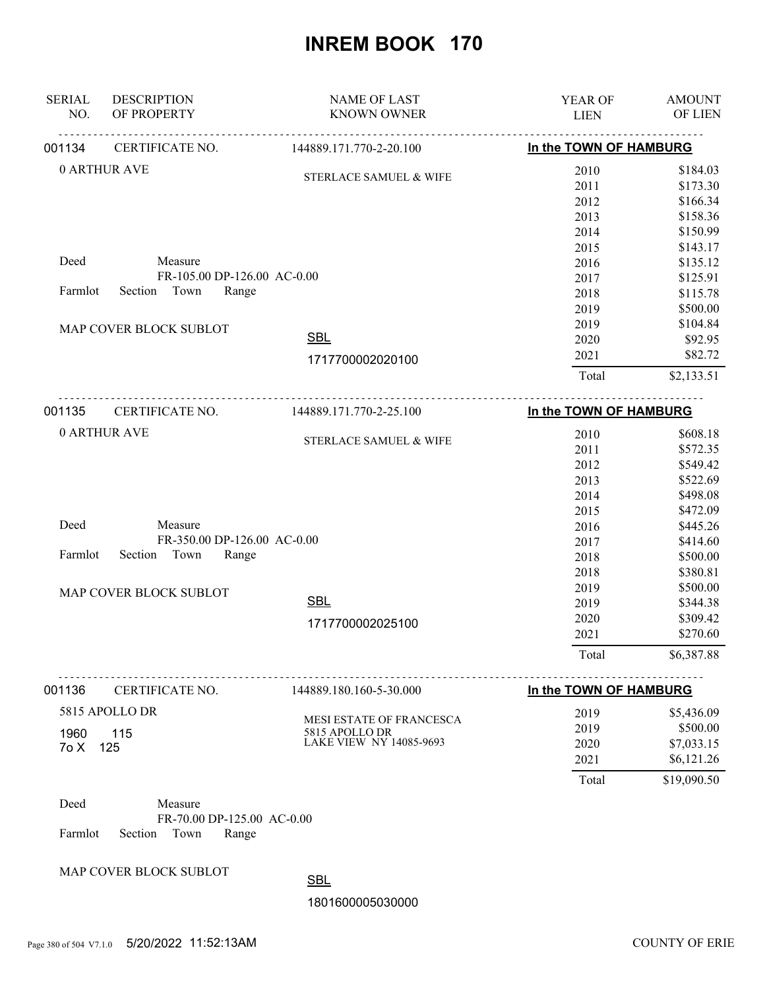| <b>SERIAL</b><br>NO. | <b>DESCRIPTION</b><br>OF PROPERTY | <b>NAME OF LAST</b><br><b>KNOWN OWNER</b>  | <b>YEAR OF</b><br><b>LIEN</b> | <b>AMOUNT</b><br>OF LIEN |
|----------------------|-----------------------------------|--------------------------------------------|-------------------------------|--------------------------|
| 001134               | CERTIFICATE NO.                   | 144889.171.770-2-20.100                    | In the TOWN OF HAMBURG        |                          |
|                      | 0 ARTHUR AVE                      | STERLACE SAMUEL & WIFE                     | 2010                          | \$184.03                 |
|                      |                                   |                                            | 2011                          | \$173.30                 |
|                      |                                   |                                            | 2012                          | \$166.34                 |
|                      |                                   |                                            | 2013                          | \$158.36                 |
|                      |                                   |                                            | 2014                          | \$150.99<br>\$143.17     |
| Deed                 | Measure                           |                                            | 2015<br>2016                  | \$135.12                 |
|                      | FR-105.00 DP-126.00 AC-0.00       |                                            | 2017                          | \$125.91                 |
| Farmlot              | Town<br>Section<br>Range          |                                            | 2018                          | \$115.78                 |
|                      |                                   |                                            | 2019                          | \$500.00                 |
|                      |                                   |                                            | 2019                          | \$104.84                 |
|                      | MAP COVER BLOCK SUBLOT            | <b>SBL</b>                                 | 2020                          | \$92.95                  |
|                      |                                   |                                            | 2021                          | \$82.72                  |
|                      |                                   | 1717700002020100                           | Total                         | \$2,133.51               |
|                      |                                   |                                            |                               |                          |
| 001135               | CERTIFICATE NO.                   | 144889.171.770-2-25.100                    | In the TOWN OF HAMBURG        |                          |
|                      | 0 ARTHUR AVE                      | STERLACE SAMUEL & WIFE                     | 2010                          | \$608.18                 |
|                      |                                   |                                            | 2011                          | \$572.35                 |
|                      |                                   |                                            | 2012                          | \$549.42<br>\$522.69     |
|                      |                                   |                                            | 2013<br>2014                  | \$498.08                 |
|                      |                                   |                                            | 2015                          | \$472.09                 |
| Deed                 | Measure                           |                                            | 2016                          | \$445.26                 |
|                      | FR-350.00 DP-126.00 AC-0.00       |                                            | 2017                          | \$414.60                 |
| Farmlot              | Section<br>Town<br>Range          |                                            | 2018                          | \$500.00                 |
|                      |                                   |                                            | 2018                          | \$380.81                 |
|                      | MAP COVER BLOCK SUBLOT            |                                            | 2019                          | \$500.00                 |
|                      |                                   | <b>SBL</b>                                 | 2019                          | \$344.38                 |
|                      |                                   | 1717700002025100                           | 2020                          | \$309.42                 |
|                      |                                   |                                            | 2021                          | \$270.60                 |
|                      |                                   |                                            | Total                         | \$6,387.88               |
| 001136               | CERTIFICATE NO.                   | 144889.180.160-5-30.000                    | In the TOWN OF HAMBURG        |                          |
|                      | 5815 APOLLO DR                    |                                            | 2019                          | \$5,436.09               |
|                      |                                   | MESI ESTATE OF FRANCESCA<br>5815 APOLLO DR | 2019                          | \$500.00                 |
| 1960<br>7o X         | 115<br>125                        | LAKE VIEW NY 14085-9693                    | 2020                          | \$7,033.15               |
|                      |                                   |                                            | 2021                          | \$6,121.26               |
|                      |                                   |                                            | Total                         | \$19,090.50              |
| Deed                 | Measure                           |                                            |                               |                          |
|                      | FR-70.00 DP-125.00 AC-0.00        |                                            |                               |                          |
| Farmlot              | Section<br>Town<br>Range          |                                            |                               |                          |
|                      | MAP COVER BLOCK SUBLOT            |                                            |                               |                          |
|                      |                                   | <b>SBL</b>                                 |                               |                          |
|                      |                                   | 1801600005030000                           |                               |                          |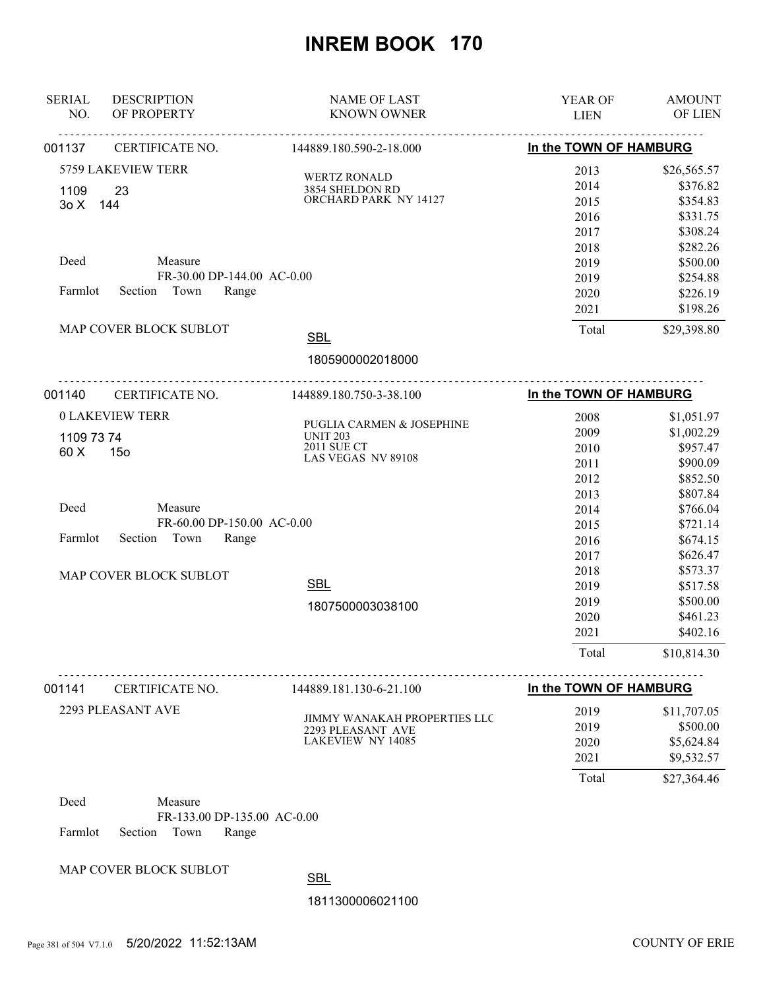| <b>SERIAL</b><br>NO. | <b>DESCRIPTION</b><br>OF PROPERTY                   | <b>NAME OF LAST</b><br><b>KNOWN OWNER</b>     | YEAR OF<br><b>LIEN</b> | <b>AMOUNT</b><br>OF LIEN |
|----------------------|-----------------------------------------------------|-----------------------------------------------|------------------------|--------------------------|
|                      |                                                     |                                               |                        |                          |
| 001137               | <b>CERTIFICATE NO.</b>                              | 144889.180.590-2-18.000                       | In the TOWN OF HAMBURG |                          |
|                      | 5759 LAKEVIEW TERR                                  | <b>WERTZ RONALD</b>                           | 2013                   | \$26,565.57              |
| 1109                 | 23                                                  | 3854 SHELDON RD                               | 2014                   | \$376.82                 |
| 3o X 144             |                                                     | ORCHARD PARK NY 14127                         | 2015                   | \$354.83                 |
|                      |                                                     |                                               | 2016                   | \$331.75                 |
|                      |                                                     |                                               | 2017                   | \$308.24                 |
|                      |                                                     |                                               | 2018                   | \$282.26                 |
| Deed                 | Measure<br>FR-30.00 DP-144.00 AC-0.00               |                                               | 2019                   | \$500.00                 |
| Farmlot              | Section Town<br>Range                               |                                               | 2019                   | \$254.88                 |
|                      |                                                     |                                               | 2020<br>2021           | \$226.19<br>\$198.26     |
|                      |                                                     |                                               |                        |                          |
|                      | MAP COVER BLOCK SUBLOT                              | <b>SBL</b>                                    | Total                  | \$29,398.80              |
|                      |                                                     | 1805900002018000                              |                        |                          |
| 001140               | <b>CERTIFICATE NO.</b>                              | 144889.180.750-3-38.100                       | In the TOWN OF HAMBURG |                          |
|                      | <b>0 LAKEVIEW TERR</b>                              |                                               | 2008                   | \$1,051.97               |
| 1109 73 74           |                                                     | PUGLIA CARMEN & JOSEPHINE<br><b>UNIT 203</b>  | 2009                   | \$1,002.29               |
| 60 X                 | 15 <sub>o</sub>                                     | 2011 SUE CT                                   | 2010                   | \$957.47                 |
|                      | LAS VEGAS NV 89108                                  | 2011                                          | \$900.09               |                          |
|                      |                                                     |                                               | 2012                   | \$852.50                 |
|                      |                                                     |                                               | 2013                   | \$807.84                 |
| Deed                 | Measure                                             |                                               | 2014                   | \$766.04                 |
| Farmlot              | FR-60.00 DP-150.00 AC-0.00<br>Section Town<br>Range |                                               | 2015                   | \$721.14                 |
|                      |                                                     |                                               | 2016                   | \$674.15                 |
|                      |                                                     |                                               | 2017                   | \$626.47                 |
|                      | MAP COVER BLOCK SUBLOT                              | <b>SBL</b>                                    | 2018<br>2019           | \$573.37<br>\$517.58     |
|                      |                                                     |                                               | 2019                   | \$500.00                 |
|                      |                                                     | 1807500003038100                              | 2020                   | \$461.23                 |
|                      |                                                     |                                               | 2021                   | \$402.16                 |
|                      |                                                     |                                               | Total                  | \$10,814.30              |
| 001141               | CERTIFICATE NO.                                     | 144889.181.130-6-21.100                       | In the TOWN OF HAMBURG |                          |
|                      |                                                     |                                               |                        |                          |
|                      | 2293 PLEASANT AVE                                   | <b>JIMMY WANAKAH PROPERTIES LLC</b>           | 2019                   | \$11,707.05              |
|                      |                                                     | 2293 PLEASANT AVE<br><b>LAKEVIEW NY 14085</b> | 2019                   | \$500.00                 |
|                      |                                                     |                                               | 2020<br>2021           | \$5,624.84<br>\$9,532.57 |
|                      |                                                     |                                               | Total                  | \$27,364.46              |
| Deed                 | Measure                                             |                                               |                        |                          |
|                      | FR-133.00 DP-135.00 AC-0.00                         |                                               |                        |                          |
| Farmlot              | Section<br>Town<br>Range                            |                                               |                        |                          |
|                      |                                                     |                                               |                        |                          |

MAP COVER BLOCK SUBLOT

SBL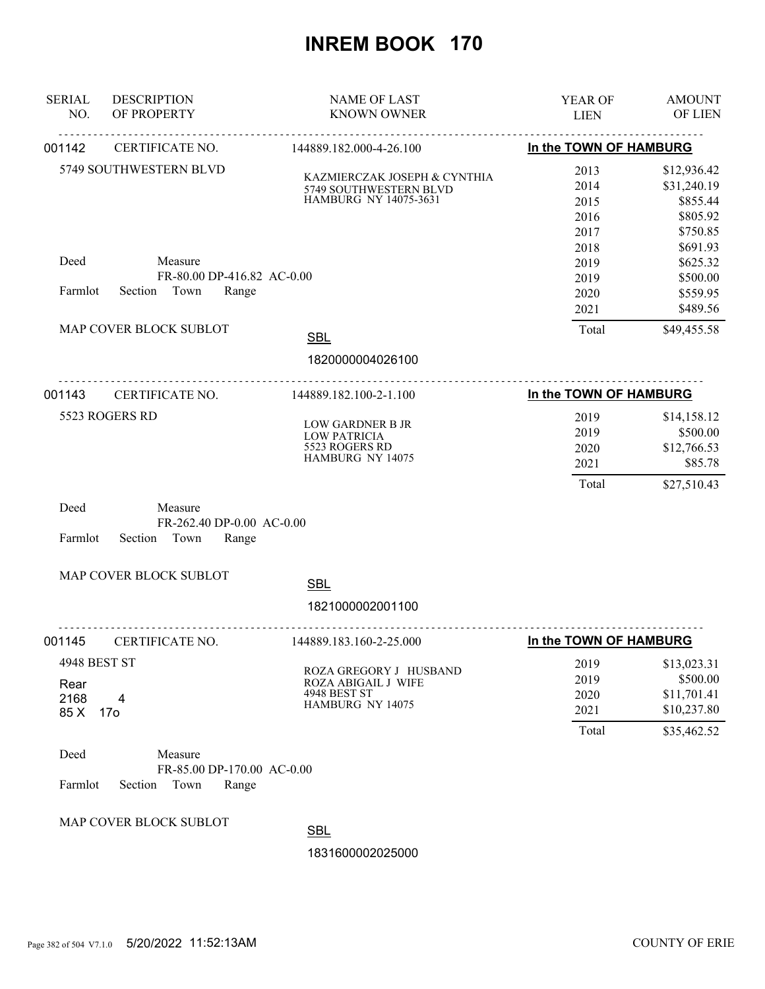| <b>SERIAL</b><br>NO.                 | <b>DESCRIPTION</b><br>OF PROPERTY                                 | <b>NAME OF LAST</b><br><b>KNOWN OWNER</b>                                         | YEAR OF<br><b>LIEN</b>                       | <b>AMOUNT</b><br>OF LIEN                                                   |
|--------------------------------------|-------------------------------------------------------------------|-----------------------------------------------------------------------------------|----------------------------------------------|----------------------------------------------------------------------------|
| 001142                               | CERTIFICATE NO.                                                   | 144889.182.000-4-26.100                                                           | In the TOWN OF HAMBURG                       |                                                                            |
|                                      | 5749 SOUTHWESTERN BLVD                                            | KAZMIERCZAK JOSEPH & CYNTHIA<br>5749 SOUTHWESTERN BLVD<br>HAMBURG NY 14075-3631   | 2013<br>2014<br>2015<br>2016<br>2017<br>2018 | \$12,936.42<br>\$31,240.19<br>\$855.44<br>\$805.92<br>\$750.85<br>\$691.93 |
| Deed                                 | Measure<br>FR-80.00 DP-416.82 AC-0.00                             |                                                                                   | 2019<br>2019                                 | \$625.32<br>\$500.00                                                       |
| Farmlot                              | Town<br>Section<br>Range                                          |                                                                                   | 2020<br>2021                                 | \$559.95<br>\$489.56                                                       |
|                                      | MAP COVER BLOCK SUBLOT                                            | <b>SBL</b>                                                                        | Total                                        | \$49,455.58                                                                |
|                                      |                                                                   | 1820000004026100                                                                  |                                              |                                                                            |
| 001143                               | CERTIFICATE NO.                                                   | 144889.182.100-2-1.100                                                            | In the TOWN OF HAMBURG                       |                                                                            |
|                                      | 5523 ROGERS RD                                                    | LOW GARDNER B JR<br><b>LOW PATRICIA</b><br>5523 ROGERS RD<br>HAMBURG NY 14075     | 2019<br>2019<br>2020<br>2021<br>Total        | \$14,158.12<br>\$500.00<br>\$12,766.53<br>\$85.78<br>\$27,510.43           |
| Deed<br>Farmlot                      | Measure<br>FR-262.40 DP-0.00 AC-0.00<br>Section<br>Town<br>Range  |                                                                                   |                                              |                                                                            |
|                                      | MAP COVER BLOCK SUBLOT                                            | <b>SBL</b>                                                                        |                                              |                                                                            |
|                                      |                                                                   | 1821000002001100                                                                  |                                              |                                                                            |
| 001145                               | <u>.</u><br>CERTIFICATE NO.                                       | 144889.183.160-2-25.000                                                           | In the TOWN OF HAMBURG                       |                                                                            |
| 4948 BEST ST<br>Rear<br>2168<br>85 X | 4<br>17 <sub>o</sub>                                              | ROZA GREGORY J HUSBAND<br>ROZA ABIGAIL J WIFE<br>4948 BEST ST<br>HAMBURG NY 14075 | 2019<br>2019<br>2020<br>2021                 | \$13,023.31<br>\$500.00<br>\$11,701.41<br>\$10,237.80                      |
| Deed<br>Farmlot                      | Measure<br>FR-85.00 DP-170.00 AC-0.00<br>Section<br>Town<br>Range |                                                                                   | Total                                        | \$35,462.52                                                                |
|                                      | MAP COVER BLOCK SUBLOT                                            | <b>SBL</b>                                                                        |                                              |                                                                            |
|                                      |                                                                   | 1831600002025000                                                                  |                                              |                                                                            |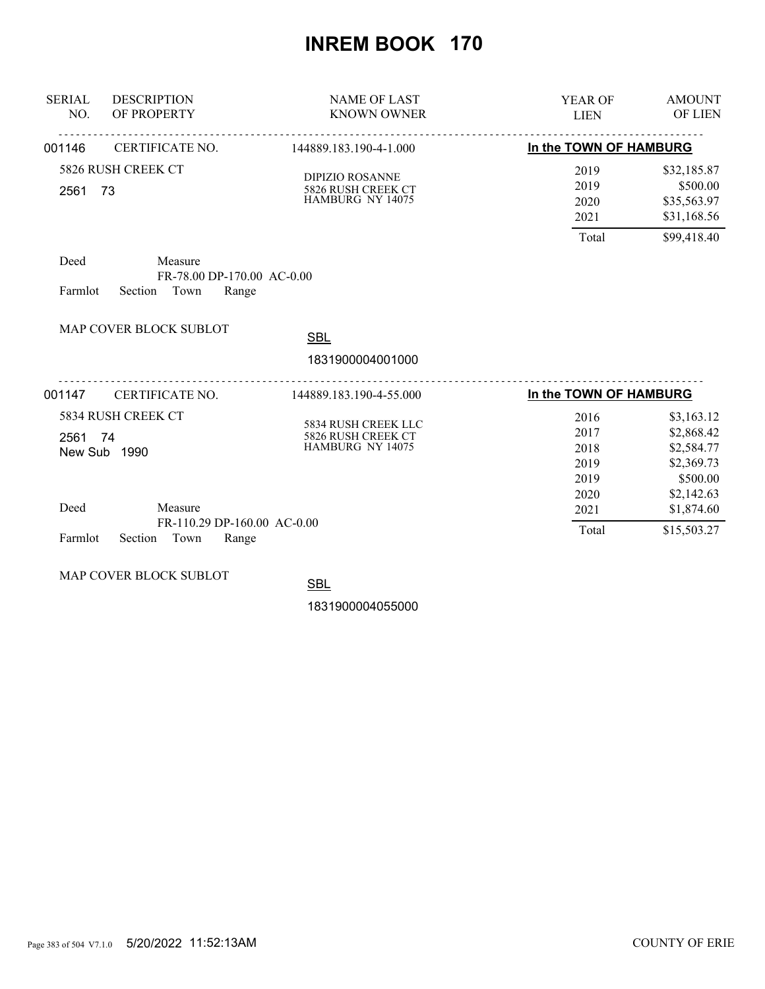| <b>SERIAL</b><br>NO.                          | <b>DESCRIPTION</b><br>OF PROPERTY                                  | <b>NAME OF LAST</b><br><b>KNOWN OWNER</b>                        | <b>YEAR OF</b><br><b>LIEN</b>         | <b>AMOUNT</b><br>OF LIEN                                             |
|-----------------------------------------------|--------------------------------------------------------------------|------------------------------------------------------------------|---------------------------------------|----------------------------------------------------------------------|
| 001146                                        | CERTIFICATE NO.                                                    | 144889.183.190-4-1.000                                           | In the TOWN OF HAMBURG                |                                                                      |
| 5826 RUSH CREEK CT<br>73<br>2561              |                                                                    | <b>DIPIZIO ROSANNE</b><br>5826 RUSH CREEK CT<br>HAMBURG NY 14075 | 2019<br>2019<br>2020<br>2021<br>Total | \$32,185.87<br>\$500.00<br>\$35,563.97<br>\$31,168.56<br>\$99,418.40 |
| Deed<br>Farmlot                               | Measure<br>FR-78.00 DP-170.00 AC-0.00<br>Town<br>Section<br>Range  |                                                                  |                                       |                                                                      |
|                                               | <b>MAP COVER BLOCK SUBLOT</b>                                      | <b>SBL</b><br>1831900004001000                                   |                                       |                                                                      |
| 001147                                        | CERTIFICATE NO.                                                    | 144889.183.190-4-55.000                                          | <u>.</u><br>In the TOWN OF HAMBURG    |                                                                      |
| 5834 RUSH CREEK CT<br>2561 74<br>New Sub 1990 |                                                                    | 5834 RUSH CREEK LLC<br>5826 RUSH CREEK CT<br>HAMBURG NY 14075    | 2016<br>2017<br>2018<br>2019<br>2019  | \$3,163.12<br>\$2,868.42<br>\$2,584.77<br>\$2,369.73<br>\$500.00     |
| Deed<br>Farmlot                               | Measure<br>FR-110.29 DP-160.00 AC-0.00<br>Town<br>Section<br>Range |                                                                  | 2020<br>2021<br>Total                 | \$2,142.63<br>\$1,874.60<br>\$15,503.27                              |

MAP COVER BLOCK SUBLOT

**SBL**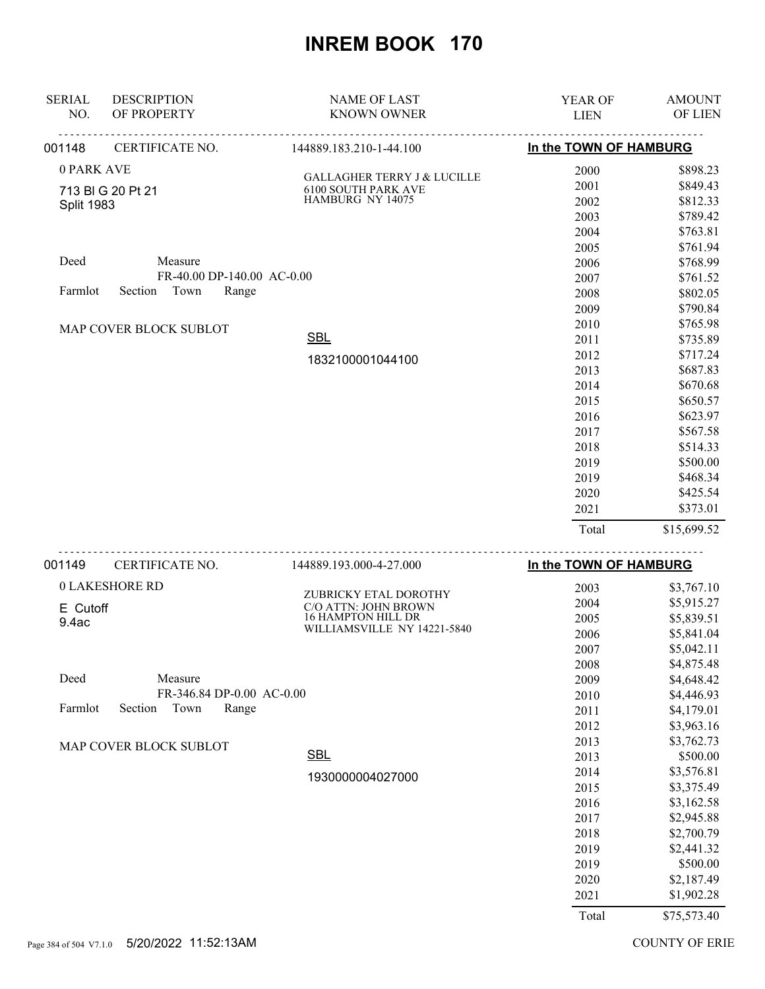| <b>SERIAL</b><br>NO. | <b>DESCRIPTION</b><br>OF PROPERTY | <b>NAME OF LAST</b><br><b>KNOWN OWNER</b>                 | YEAR OF<br><b>LIEN</b> | <b>AMOUNT</b><br>OF LIEN |
|----------------------|-----------------------------------|-----------------------------------------------------------|------------------------|--------------------------|
| 001148               | CERTIFICATE NO.                   | <u>.</u><br>144889.183.210-1-44.100                       | In the TOWN OF HAMBURG |                          |
| 0 PARK AVE           |                                   |                                                           | 2000                   | \$898.23                 |
|                      | 713 BIG 20 Pt 21                  | GALLAGHER TERRY J & LUCILLE<br><b>6100 SOUTH PARK AVE</b> | 2001                   | \$849.43                 |
| <b>Split 1983</b>    |                                   | HAMBURG NY 14075                                          | 2002                   | \$812.33                 |
|                      |                                   |                                                           | 2003                   | \$789.42                 |
|                      |                                   |                                                           | 2004                   | \$763.81                 |
|                      |                                   |                                                           | 2005                   | \$761.94                 |
| Deed                 | Measure                           |                                                           | 2006                   | \$768.99                 |
|                      | FR-40.00 DP-140.00 AC-0.00        |                                                           | 2007                   | \$761.52                 |
| Farmlot              | Section Town<br>Range             |                                                           | 2008                   | \$802.05                 |
|                      |                                   |                                                           | 2009                   | \$790.84                 |
|                      | MAP COVER BLOCK SUBLOT            |                                                           | 2010                   | \$765.98                 |
|                      |                                   | <b>SBL</b>                                                | 2011                   | \$735.89                 |
|                      |                                   | 1832100001044100                                          | 2012                   | \$717.24                 |
|                      |                                   |                                                           | 2013<br>2014           | \$687.83<br>\$670.68     |
|                      |                                   |                                                           | 2015                   | \$650.57                 |
|                      |                                   |                                                           | 2016                   | \$623.97                 |
|                      |                                   |                                                           | 2017                   | \$567.58                 |
|                      |                                   |                                                           | 2018                   | \$514.33                 |
|                      |                                   |                                                           | 2019                   | \$500.00                 |
|                      |                                   |                                                           | 2019                   | \$468.34                 |
|                      |                                   |                                                           | 2020                   | \$425.54                 |
|                      |                                   |                                                           | 2021                   | \$373.01                 |
|                      |                                   |                                                           | Total                  | \$15,699.52              |
| 001149               | CERTIFICATE NO.                   | .<br>144889.193.000-4-27.000                              | In the TOWN OF HAMBURG |                          |
|                      | <b>0 LAKESHORE RD</b>             |                                                           | 2003                   | \$3,767.10               |
| E Cutoff             |                                   | ZUBRICKY ETAL DOROTHY<br>C/O ATTN: JOHN BROWN             | 2004                   | \$5,915.27               |
| 9.4ac                |                                   | 16 HAMPTON HILL DR                                        | 2005                   | \$5,839.51               |
|                      |                                   | WILLIAMSVILLE NY 14221-5840                               | 2006                   | \$5,841.04               |
|                      |                                   |                                                           | 2007                   | \$5,042.11               |
|                      |                                   |                                                           | 2008                   | \$4,875.48               |
| Deed                 | Measure                           |                                                           | 2009                   | \$4,648.42               |
|                      | FR-346.84 DP-0.00 AC-0.00         |                                                           | 2010                   | \$4,446.93               |
| Farmlot              | Section<br>Town<br>Range          |                                                           | 2011                   | \$4,179.01               |
|                      |                                   |                                                           | 2012                   | \$3,963.16               |
|                      | MAP COVER BLOCK SUBLOT            |                                                           | 2013                   | \$3,762.73               |
|                      |                                   | <b>SBL</b>                                                | 2013                   | \$500.00                 |
|                      |                                   | 1930000004027000                                          | 2014                   | \$3,576.81               |
|                      |                                   |                                                           | 2015                   | \$3,375.49               |
|                      |                                   |                                                           | 2016                   | \$3,162.58               |
|                      |                                   |                                                           | 2017                   | \$2,945.88               |
|                      |                                   |                                                           | 2018                   | \$2,700.79               |
|                      |                                   |                                                           | 2019                   | \$2,441.32<br>\$500.00   |
|                      |                                   |                                                           | 2019<br>2020           | \$2,187.49               |
|                      |                                   |                                                           | 2021                   | \$1,902.28               |
|                      |                                   |                                                           |                        |                          |
|                      |                                   |                                                           | Total                  | \$75,573.40              |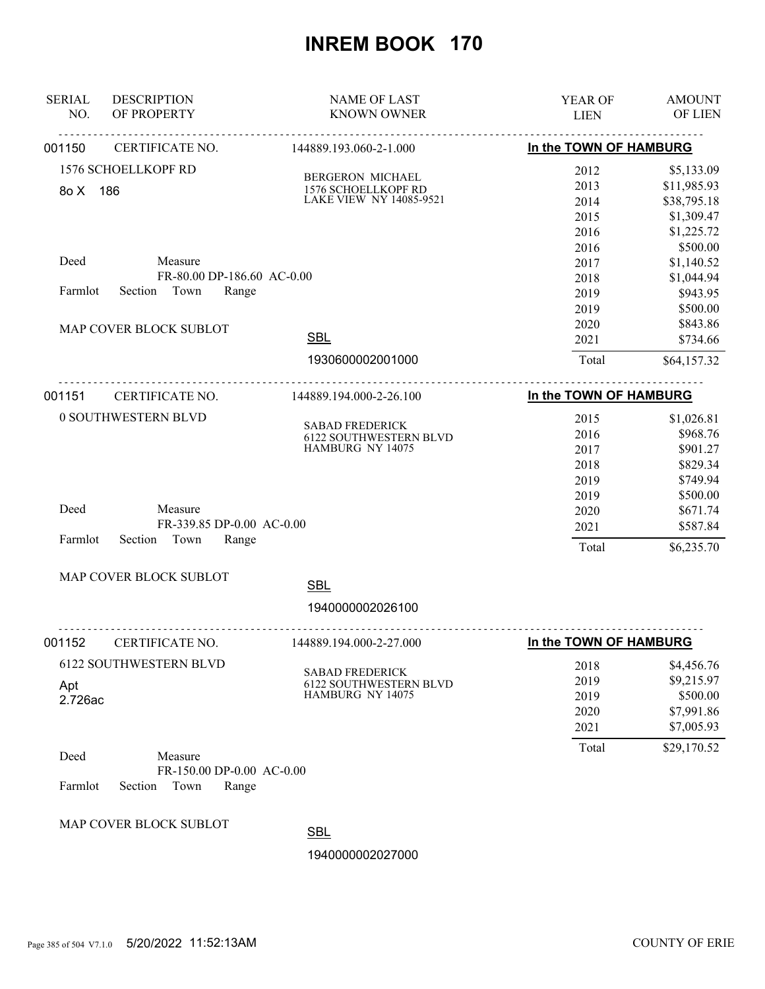| <b>SERIAL</b><br>NO. | <b>DESCRIPTION</b><br>OF PROPERTY | <b>NAME OF LAST</b><br><b>KNOWN OWNER</b>               | YEAR OF<br><b>LIEN</b> | <b>AMOUNT</b><br><b>OF LIEN</b> |
|----------------------|-----------------------------------|---------------------------------------------------------|------------------------|---------------------------------|
| 001150               | CERTIFICATE NO.                   | .<br>144889.193.060-2-1.000                             | In the TOWN OF HAMBURG |                                 |
|                      | 1576 SCHOELLKOPF RD               | BERGERON MICHAEL                                        | 2012                   | \$5,133.09                      |
| 8o X 186             |                                   | 1576 SCHOELLKOPF RD                                     | 2013                   | \$11,985.93                     |
|                      |                                   | LAKE VIEW NY 14085-9521                                 | 2014                   | \$38,795.18                     |
|                      |                                   |                                                         | 2015                   | \$1,309.47                      |
|                      |                                   |                                                         | 2016                   | \$1,225.72                      |
|                      |                                   |                                                         | 2016                   | \$500.00                        |
| Deed                 | Measure                           |                                                         | 2017                   | \$1,140.52                      |
|                      | FR-80.00 DP-186.60 AC-0.00        |                                                         | 2018                   | \$1,044.94                      |
| Farmlot              | Section Town<br>Range             |                                                         | 2019                   | \$943.95                        |
|                      |                                   |                                                         | 2019                   | \$500.00                        |
|                      | MAP COVER BLOCK SUBLOT            |                                                         | 2020                   | \$843.86                        |
|                      |                                   | <b>SBL</b>                                              | 2021                   | \$734.66                        |
|                      |                                   | 1930600002001000                                        | Total                  | \$64,157.32                     |
| 001151               | CERTIFICATE NO.                   | 144889.194.000-2-26.100                                 | In the TOWN OF HAMBURG |                                 |
|                      | 0 SOUTHWESTERN BLVD               |                                                         | 2015                   | \$1,026.81                      |
|                      |                                   | <b>SABAD FREDERICK</b><br><b>6122 SOUTHWESTERN BLVD</b> | 2016                   | \$968.76                        |
|                      |                                   | HAMBURG NY 14075                                        | 2017                   | \$901.27                        |
|                      |                                   | 2018                                                    | \$829.34               |                                 |
|                      |                                   |                                                         | 2019                   | \$749.94                        |
|                      |                                   |                                                         | 2019                   | \$500.00                        |
| Deed                 | Measure                           |                                                         | 2020                   | \$671.74                        |
|                      | FR-339.85 DP-0.00 AC-0.00         |                                                         | 2021                   | \$587.84                        |
| Farmlot              | Section<br>Town<br>Range          |                                                         | Total                  | \$6,235.70                      |
|                      | MAP COVER BLOCK SUBLOT            | <b>SBL</b>                                              |                        |                                 |
|                      |                                   |                                                         |                        |                                 |
|                      |                                   | 1940000002026100                                        |                        |                                 |
| 001152               | CERTIFICATE NO.                   | 144889.194.000-2-27.000                                 | In the TOWN OF HAMBURG |                                 |
|                      | <b>6122 SOUTHWESTERN BLVD</b>     | <b>SABAD FREDERICK</b>                                  | 2018                   | \$4,456.76                      |
| Apt                  |                                   | 6122 SOUTHWESTERN BLVD                                  | 2019                   | \$9,215.97                      |
| 2.726ac              |                                   | HAMBURG NY 14075                                        | 2019                   | \$500.00                        |
|                      |                                   |                                                         | 2020                   | \$7,991.86                      |
|                      |                                   |                                                         | 2021                   | \$7,005.93                      |
| Deed                 | Measure                           |                                                         | Total                  | \$29,170.52                     |
|                      | FR-150.00 DP-0.00 AC-0.00         |                                                         |                        |                                 |
| Farmlot              | Section<br>Town<br>Range          |                                                         |                        |                                 |
|                      | MAP COVER BLOCK SUBLOT            |                                                         |                        |                                 |
|                      |                                   | <b>SBL</b>                                              |                        |                                 |
|                      |                                   | 1940000002027000                                        |                        |                                 |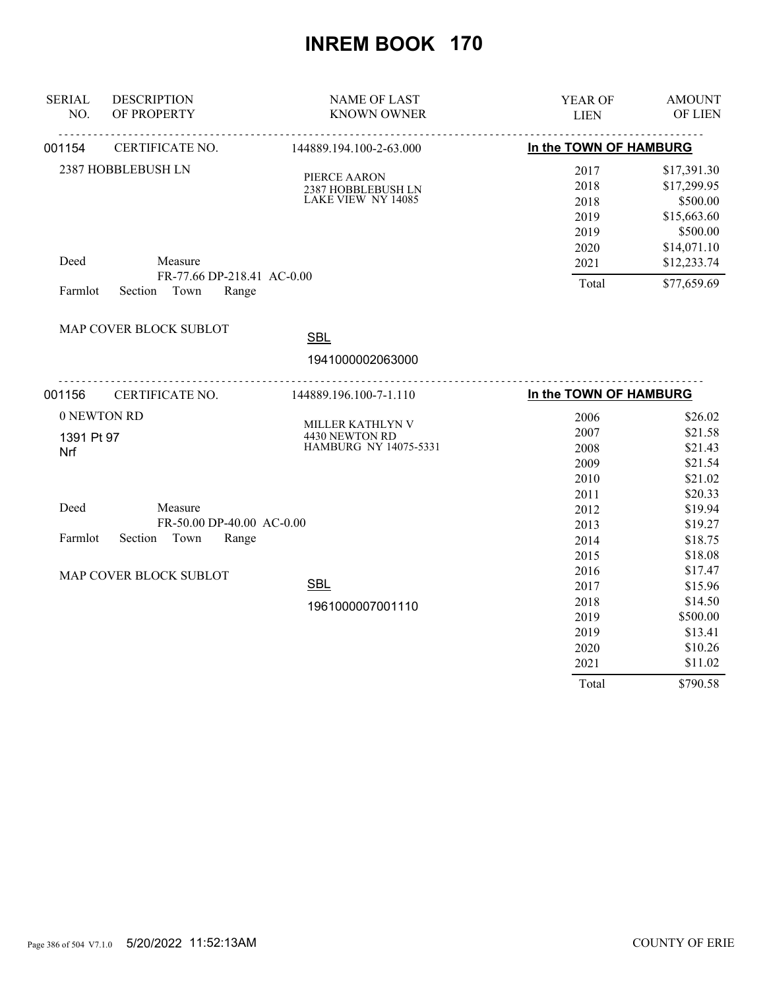| <b>SERIAL</b><br>NO. | <b>DESCRIPTION</b><br>OF PROPERTY                                 | <b>NAME OF LAST</b><br><b>KNOWN OWNER</b>                | YEAR OF<br><b>LIEN</b>                       | <b>AMOUNT</b><br>OF LIEN                                                         |
|----------------------|-------------------------------------------------------------------|----------------------------------------------------------|----------------------------------------------|----------------------------------------------------------------------------------|
| 001154               | CERTIFICATE NO.                                                   | 144889.194.100-2-63.000                                  | In the TOWN OF HAMBURG                       |                                                                                  |
|                      | 2387 HOBBLEBUSH LN                                                | PIERCE AARON<br>2387 HOBBLEBUSH LN<br>LAKE VIEW NY 14085 | 2017<br>2018<br>2018<br>2019<br>2019<br>2020 | \$17,391.30<br>\$17,299.95<br>\$500.00<br>\$15,663.60<br>\$500.00<br>\$14,071.10 |
| Deed<br>Farmlot      | Measure<br>FR-77.66 DP-218.41 AC-0.00<br>Section<br>Town<br>Range |                                                          | 2021<br>Total                                | \$12,233.74<br>\$77,659.69                                                       |
|                      | MAP COVER BLOCK SUBLOT                                            | <b>SBL</b>                                               |                                              |                                                                                  |
|                      |                                                                   | 1941000002063000                                         |                                              |                                                                                  |
| 001156               | CERTIFICATE NO.                                                   | <u>.</u><br>144889.196.100-7-1.110                       | In the TOWN OF HAMBURG                       |                                                                                  |
| 0 NEWTON RD          |                                                                   |                                                          | 2006                                         | \$26.02                                                                          |
|                      |                                                                   | MILLER KATHLYN V<br>4430 NEWTON RD                       | 2007                                         | \$21.58                                                                          |
| 1391 Pt 97           |                                                                   | HAMBURG NY 14075-5331                                    | 2008                                         | \$21.43                                                                          |
| Nrf                  |                                                                   |                                                          | 2009                                         | \$21.54                                                                          |
|                      |                                                                   |                                                          | 2010                                         | \$21.02                                                                          |
|                      |                                                                   |                                                          | 2011                                         | \$20.33                                                                          |
| Deed                 | Measure                                                           |                                                          | 2012                                         | \$19.94                                                                          |
|                      | FR-50.00 DP-40.00 AC-0.00                                         |                                                          | 2013                                         | \$19.27                                                                          |
| Farmlot              | Section<br>Town<br>Range                                          |                                                          | 2014                                         | \$18.75                                                                          |
|                      |                                                                   |                                                          | 2015                                         | \$18.08                                                                          |
|                      | MAP COVER BLOCK SUBLOT                                            |                                                          | 2016                                         | \$17.47                                                                          |
|                      |                                                                   | <b>SBL</b>                                               | 2017                                         | \$15.96                                                                          |
|                      |                                                                   | 1961000007001110                                         | 2018                                         | \$14.50                                                                          |
|                      |                                                                   |                                                          | 2019                                         | \$500.00                                                                         |
|                      |                                                                   |                                                          | 2019                                         | \$13.41                                                                          |
|                      |                                                                   |                                                          | 2020                                         | \$10.26                                                                          |
|                      |                                                                   |                                                          | 2021                                         | \$11.02                                                                          |
|                      |                                                                   |                                                          | Total                                        | \$790.58                                                                         |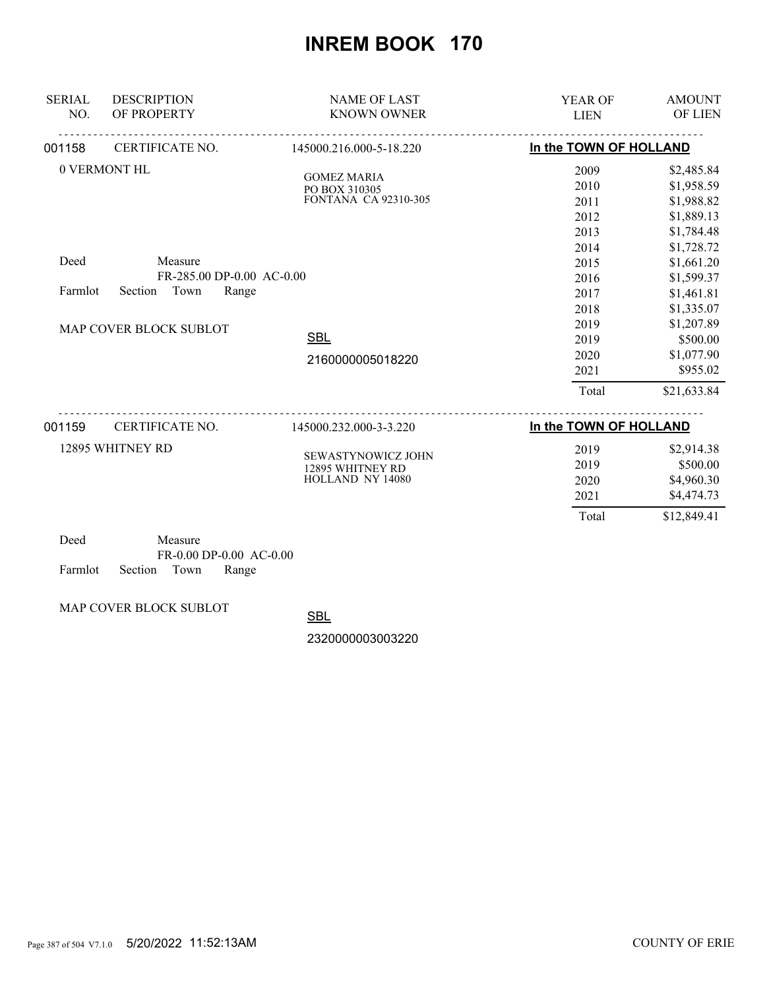| <b>SERIAL</b><br>NO. | <b>DESCRIPTION</b><br>OF PROPERTY | <b>NAME OF LAST</b><br><b>KNOWN OWNER</b> | YEAR OF<br><b>LIEN</b> | <b>AMOUNT</b><br>OF LIEN |
|----------------------|-----------------------------------|-------------------------------------------|------------------------|--------------------------|
| 001158               | CERTIFICATE NO.                   | 145000.216.000-5-18.220                   | In the TOWN OF HOLLAND |                          |
|                      | 0 VERMONT HL                      | <b>GOMEZ MARIA</b>                        | 2009                   | \$2,485.84               |
|                      |                                   | PO BOX 310305                             | 2010                   | \$1,958.59               |
|                      |                                   | <b>FONTANA CA 92310-305</b>               | 2011                   | \$1,988.82               |
|                      |                                   |                                           | 2012                   | \$1,889.13               |
|                      |                                   |                                           | 2013                   | \$1,784.48               |
|                      |                                   |                                           | 2014                   | \$1,728.72               |
| Deed                 | Measure                           |                                           | 2015                   | \$1,661.20               |
|                      | FR-285.00 DP-0.00 AC-0.00         |                                           | 2016                   | \$1,599.37               |
| Farmlot              | Town<br>Section<br>Range          |                                           | 2017                   | \$1,461.81               |
|                      |                                   |                                           | 2018                   | \$1,335.07               |
|                      | MAP COVER BLOCK SUBLOT            |                                           | 2019                   | \$1,207.89               |
|                      |                                   | <b>SBL</b>                                | 2019                   | \$500.00                 |
|                      |                                   | 2160000005018220                          | 2020                   | \$1,077.90               |
|                      |                                   |                                           | 2021                   | \$955.02                 |
|                      |                                   |                                           | Total                  | \$21,633.84              |
| 001159               | CERTIFICATE NO.                   | 145000.232.000-3-3.220                    | In the TOWN OF HOLLAND |                          |
|                      | 12895 WHITNEY RD                  |                                           | 2019                   | \$2,914.38               |
|                      |                                   | SEWASTYNOWICZ JOHN                        | 2019                   | \$500.00                 |
|                      |                                   | 12895 WHITNEY RD<br>HOLLAND NY 14080      | 2020                   | \$4,960.30               |
|                      |                                   |                                           | 2021                   | \$4,474.73               |
|                      |                                   |                                           | Total                  | \$12,849.41              |
|                      |                                   |                                           |                        |                          |

| Deed |                            | Measure |                         |
|------|----------------------------|---------|-------------------------|
|      |                            |         | FR-0.00 DP-0.00 AC-0.00 |
|      | Farmlot Section Town Range |         |                         |

MAP COVER BLOCK SUBLOT

SBL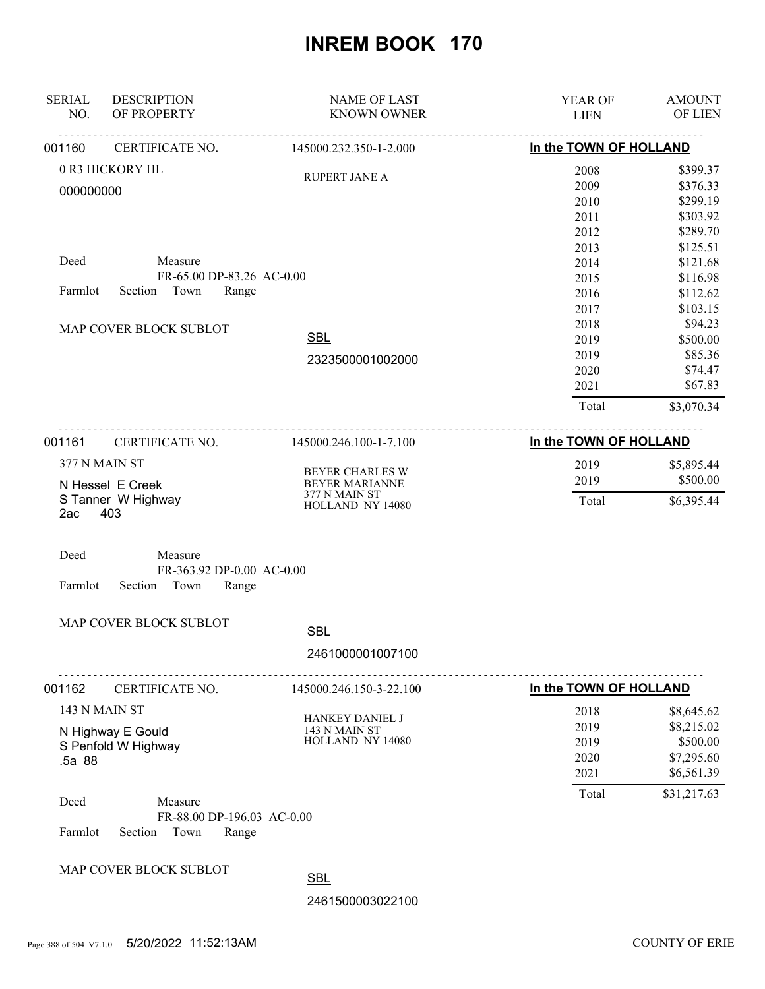| <b>SERIAL</b><br>NO. | <b>DESCRIPTION</b><br>OF PROPERTY                                 | <b>NAME OF LAST</b><br><b>KNOWN OWNER</b>            | YEAR OF<br><b>LIEN</b>               | <b>AMOUNT</b><br>OF LIEN                                         |
|----------------------|-------------------------------------------------------------------|------------------------------------------------------|--------------------------------------|------------------------------------------------------------------|
| 001160               | CERTIFICATE NO.                                                   | 145000.232.350-1-2.000                               | In the TOWN OF HOLLAND               |                                                                  |
| 000000000            | 0 R3 HICKORY HL                                                   | <b>RUPERT JANE A</b>                                 | 2008<br>2009<br>2010                 | \$399.37<br>\$376.33<br>\$299.19                                 |
|                      |                                                                   |                                                      | 2011<br>2012<br>2013                 | \$303.92<br>\$289.70<br>\$125.51                                 |
| Deed                 | Measure<br>FR-65.00 DP-83.26 AC-0.00                              |                                                      | 2014<br>2015                         | \$121.68<br>\$116.98                                             |
| Farmlot              | Section<br>Town<br>Range                                          |                                                      | 2016<br>2017                         | \$112.62<br>\$103.15                                             |
|                      | MAP COVER BLOCK SUBLOT                                            | <b>SBL</b><br>2323500001002000                       | 2018<br>2019<br>2019<br>2020<br>2021 | \$94.23<br>\$500.00<br>\$85.36<br>\$74.47<br>\$67.83             |
|                      |                                                                   |                                                      | Total                                | \$3,070.34                                                       |
| 001161               | CERTIFICATE NO.                                                   | 145000.246.100-1-7.100                               | In the TOWN OF HOLLAND               |                                                                  |
|                      | 377 N MAIN ST<br>N Hessel E Creek                                 | <b>BEYER CHARLES W</b><br>BEYER MARIANNE             | 2019<br>2019                         | \$5,895.44<br>\$500.00                                           |
| 2ac                  | S Tanner W Highway<br>403                                         | 377 N MAIN ST<br>HOLLAND NY 14080                    | Total                                | \$6,395.44                                                       |
| Deed<br>Farmlot      | Measure<br>FR-363.92 DP-0.00 AC-0.00<br>Section<br>Town<br>Range  |                                                      |                                      |                                                                  |
|                      | MAP COVER BLOCK SUBLOT                                            | <b>SBL</b>                                           |                                      |                                                                  |
|                      |                                                                   | 2461000001007100                                     |                                      |                                                                  |
| 001162               | CERTIFICATE NO.                                                   | 145000.246.150-3-22.100                              | In the TOWN OF HOLLAND               |                                                                  |
| .5a 88               | 143 N MAIN ST<br>N Highway E Gould<br>S Penfold W Highway         | HANKEY DANIEL J<br>143 N MAIN ST<br>HOLLAND NY 14080 | 2018<br>2019<br>2019<br>2020<br>2021 | \$8,645.62<br>\$8,215.02<br>\$500.00<br>\$7,295.60<br>\$6,561.39 |
| Deed<br>Farmlot      | Measure<br>FR-88.00 DP-196.03 AC-0.00<br>Town<br>Range<br>Section |                                                      | Total                                | \$31,217.63                                                      |
|                      | MAP COVER BLOCK SUBLOT                                            | <b>SBL</b>                                           |                                      |                                                                  |
|                      |                                                                   | 2461500003022100                                     |                                      |                                                                  |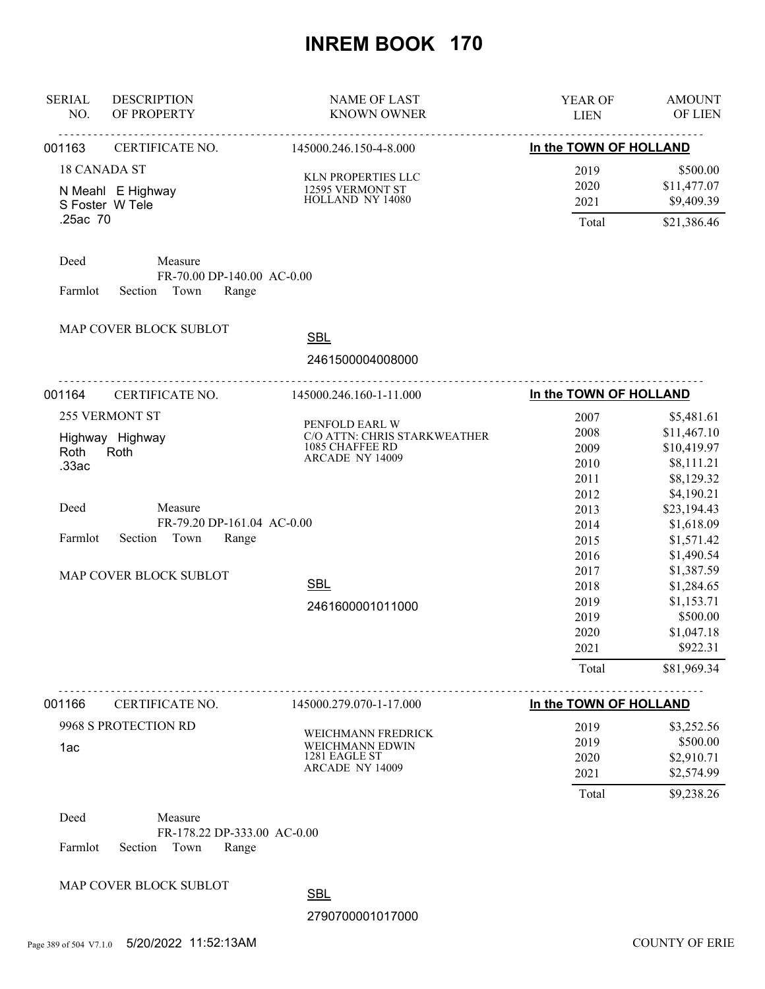| <b>SERIAL</b><br>NO.                                                          | <b>DESCRIPTION</b><br>OF PROPERTY                                                            | <b>NAME OF LAST</b><br><b>KNOWN OWNER</b>                                                                                     | YEAR OF<br><b>LIEN</b>                                                                                                                | <b>AMOUNT</b><br>OF LIEN                                                                                                                                                                                                                   |
|-------------------------------------------------------------------------------|----------------------------------------------------------------------------------------------|-------------------------------------------------------------------------------------------------------------------------------|---------------------------------------------------------------------------------------------------------------------------------------|--------------------------------------------------------------------------------------------------------------------------------------------------------------------------------------------------------------------------------------------|
| 001163                                                                        | CERTIFICATE NO.                                                                              | 145000.246.150-4-8.000                                                                                                        | In the TOWN OF HOLLAND                                                                                                                |                                                                                                                                                                                                                                            |
| <b>18 CANADA ST</b><br>N Meahl E Highway<br>S Foster W Tele<br>.25ac 70       |                                                                                              | KLN PROPERTIES LLC<br>12595 VERMONT ST<br>HOLLAND NY 14080                                                                    | 2019<br>2020<br>2021<br>Total                                                                                                         | \$500.00<br>\$11,477.07<br>\$9,409.39<br>\$21,386.46                                                                                                                                                                                       |
| Deed<br>Farmlot                                                               | Measure<br>FR-70.00 DP-140.00 AC-0.00<br>Town<br>Range<br>Section                            |                                                                                                                               |                                                                                                                                       |                                                                                                                                                                                                                                            |
|                                                                               | MAP COVER BLOCK SUBLOT                                                                       | <b>SBL</b><br>2461500004008000                                                                                                |                                                                                                                                       |                                                                                                                                                                                                                                            |
| 001164                                                                        | CERTIFICATE NO.                                                                              | 145000.246.160-1-11.000                                                                                                       | In the TOWN OF HOLLAND                                                                                                                |                                                                                                                                                                                                                                            |
| 255 VERMONT ST<br>Highway Highway<br>Roth<br>Roth<br>.33ac<br>Deed<br>Farmlot | Measure<br>FR-79.20 DP-161.04 AC-0.00<br>Section Town<br>Range<br>MAP COVER BLOCK SUBLOT     | PENFOLD EARL W<br>C/O ATTN: CHRIS STARKWEATHER<br>1085 CHAFFEE RD<br><b>ARCADE NY 14009</b><br><b>SBL</b><br>2461600001011000 | 2007<br>2008<br>2009<br>2010<br>2011<br>2012<br>2013<br>2014<br>2015<br>2016<br>2017<br>2018<br>2019<br>2019<br>2020<br>2021<br>Total | \$5,481.61<br>\$11,467.10<br>\$10,419.97<br>\$8,111.21<br>\$8,129.32<br>\$4,190.21<br>\$23,194.43<br>\$1,618.09<br>\$1,571.42<br>\$1,490.54<br>\$1,387.59<br>\$1,284.65<br>\$1,153.71<br>\$500.00<br>\$1,047.18<br>\$922.31<br>\$81,969.34 |
| 001166<br>1ac                                                                 | CERTIFICATE NO.<br>9968 S PROTECTION RD                                                      | 145000.279.070-1-17.000<br>WEICHMANN FREDRICK<br>WEICHMANN EDWIN<br>1281 EAGLE ST<br><b>ARCADE NY 14009</b>                   | In the TOWN OF HOLLAND<br>2019<br>2019<br>2020<br>2021<br>Total                                                                       | \$3,252.56<br>\$500.00<br>\$2,910.71<br>\$2,574.99<br>\$9,238.26                                                                                                                                                                           |
| Deed<br>Farmlot                                                               | Measure<br>FR-178.22 DP-333.00 AC-0.00<br>Town<br>Section<br>Range<br>MAP COVER BLOCK SUBLOT | <b>SBL</b><br>2790700001017000                                                                                                |                                                                                                                                       |                                                                                                                                                                                                                                            |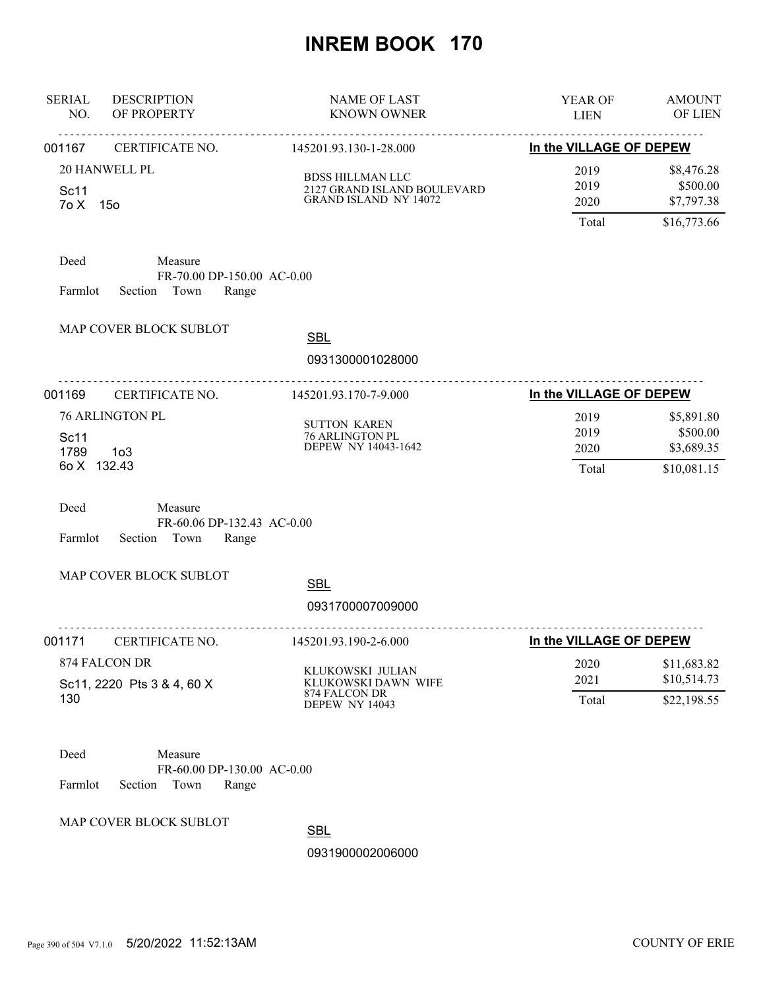| <b>SERIAL</b><br>NO.        | <b>DESCRIPTION</b><br>OF PROPERTY                                 | <b>NAME OF LAST</b><br><b>KNOWN OWNER</b>                                       | YEAR OF<br><b>LIEN</b>        | <b>AMOUNT</b><br>OF LIEN                            |
|-----------------------------|-------------------------------------------------------------------|---------------------------------------------------------------------------------|-------------------------------|-----------------------------------------------------|
| 001167                      | CERTIFICATE NO.                                                   | 145201.93.130-1-28.000                                                          | In the VILLAGE OF DEPEW       |                                                     |
| Sc11<br>7o X 15o            | 20 HANWELL PL                                                     | <b>BDSS HILLMAN LLC</b><br>2127 GRAND ISLAND BOULEVARD<br>GRAND ISLAND NY 14072 | 2019<br>2019<br>2020<br>Total | \$8,476.28<br>\$500.00<br>\$7,797.38<br>\$16,773.66 |
| Deed<br>Farmlot             | Measure<br>FR-70.00 DP-150.00 AC-0.00<br>Section Town<br>Range    |                                                                                 |                               |                                                     |
|                             | MAP COVER BLOCK SUBLOT                                            | <b>SBL</b><br>0931300001028000                                                  |                               |                                                     |
| 001169                      | .<br>CERTIFICATE NO.                                              | .<br>145201.93.170-7-9.000                                                      | In the VILLAGE OF DEPEW       |                                                     |
| Sc11<br>1789<br>6o X 132.43 | <b>76 ARLINGTON PL</b><br>1 <sub>0</sub> 3                        | <b>SUTTON KAREN</b><br>76 ARLINGTON PL<br>DEPEW NY 14043-1642                   | 2019<br>2019<br>2020<br>Total | \$5,891.80<br>\$500.00<br>\$3,689.35<br>\$10,081.15 |
| Deed<br>Farmlot             | Measure<br>FR-60.06 DP-132.43 AC-0.00<br>Section Town<br>Range    |                                                                                 |                               |                                                     |
|                             | MAP COVER BLOCK SUBLOT                                            | <b>SBL</b><br>0931700007009000                                                  |                               |                                                     |
| 001171                      | CERTIFICATE NO.                                                   | 145201.93.190-2-6.000                                                           | In the VILLAGE OF DEPEW       |                                                     |
|                             | 874 FALCON DR<br>Sc11, 2220 Pts 3 & 4, 60 X                       | KLUKOWSKI JULIAN<br>KLUKOWSKI DAWN WIFE                                         | 2020<br>2021                  | \$11,683.82<br>\$10,514.73                          |
| 130                         |                                                                   | 874 FALCON DR<br>DEPEW NY 14043                                                 | Total                         | \$22,198.55                                         |
| Deed<br>Farmlot             | Measure<br>FR-60.00 DP-130.00 AC-0.00<br>Town<br>Section<br>Range |                                                                                 |                               |                                                     |
|                             | MAP COVER BLOCK SUBLOT                                            | <b>SBL</b>                                                                      |                               |                                                     |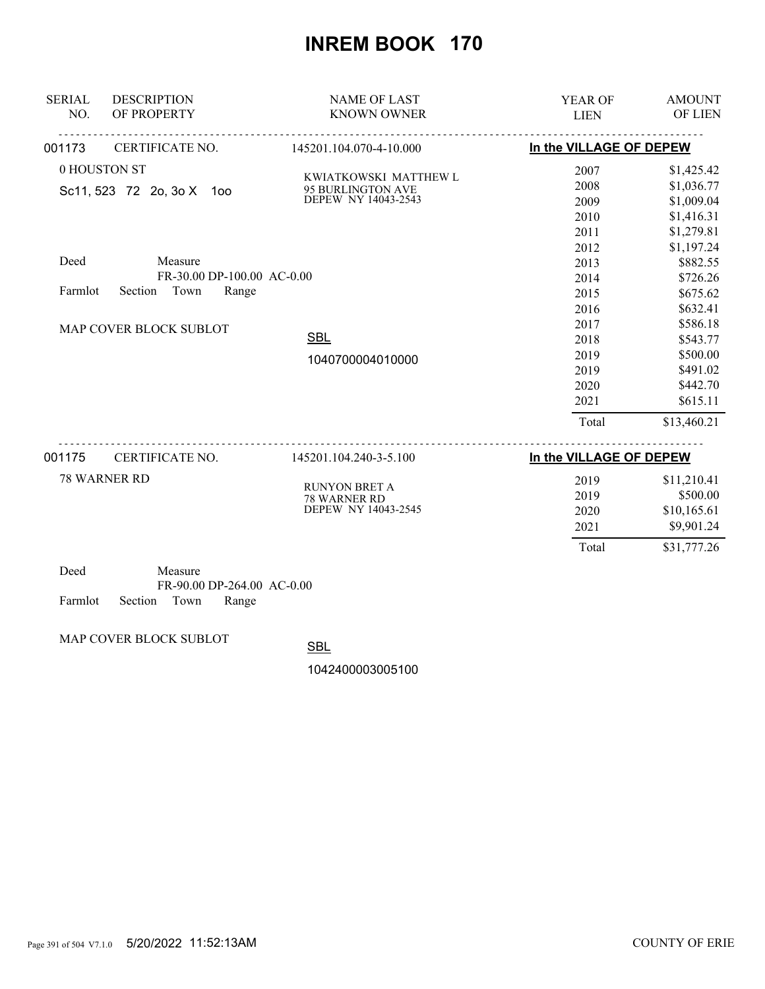| <b>SERIAL</b><br><b>DESCRIPTION</b> | <b>NAME OF LAST</b>                  | YEAR OF                 | <b>AMOUNT</b> |
|-------------------------------------|--------------------------------------|-------------------------|---------------|
| NO.<br>OF PROPERTY                  | <b>KNOWN OWNER</b>                   | <b>LIEN</b>             | OF LIEN       |
| 001173<br>CERTIFICATE NO.           | .<br>145201.104.070-4-10.000         | In the VILLAGE OF DEPEW |               |
| 0 HOUSTON ST                        | KWIATKOWSKI MATTHEW L                | 2007                    | \$1,425.42    |
| Sc11, 523 72 2o, 3o X<br>1oo        | 95 BURLINGTON AVE                    | 2008                    | \$1,036.77    |
|                                     | DEPEW NY 14043-2543                  | 2009                    | \$1,009.04    |
|                                     |                                      | 2010                    | \$1,416.31    |
|                                     |                                      | 2011                    | \$1,279.81    |
|                                     |                                      | 2012                    | \$1,197.24    |
| Deed<br>Measure                     |                                      | 2013                    | \$882.55      |
| FR-30.00 DP-100.00 AC-0.00          |                                      | 2014                    | \$726.26      |
| Section Town<br>Range<br>Farmlot    |                                      | 2015                    | \$675.62      |
|                                     |                                      | 2016                    | \$632.41      |
| MAP COVER BLOCK SUBLOT              |                                      | 2017                    | \$586.18      |
|                                     | <b>SBL</b>                           | 2018                    | \$543.77      |
|                                     | 1040700004010000                     | 2019                    | \$500.00      |
|                                     |                                      | 2019                    | \$491.02      |
|                                     |                                      | 2020                    | \$442.70      |
|                                     |                                      | 2021                    | \$615.11      |
|                                     |                                      | Total                   | \$13,460.21   |
| CERTIFICATE NO.<br>001175           | 145201.104.240-3-5.100               | In the VILLAGE OF DEPEW |               |
| <b>78 WARNER RD</b>                 |                                      | 2019                    | \$11,210.41   |
|                                     | <b>RUNYON BRET A</b><br>78 WARNER RD | 2019                    | \$500.00      |
|                                     | DEPEW NY 14043-2545                  | 2020                    | \$10,165.61   |
|                                     |                                      | 2021                    | \$9,901.24    |
|                                     |                                      | Total                   | \$31,777.26   |
| Measure<br>Deed                     |                                      |                         |               |

| - 1700a                    | wiyasul v |                              |  |
|----------------------------|-----------|------------------------------|--|
|                            |           | $FR-90.00$ DP-264.00 AC-0.00 |  |
| Farmlot Section Town Range |           |                              |  |

MAP COVER BLOCK SUBLOT

**SBL**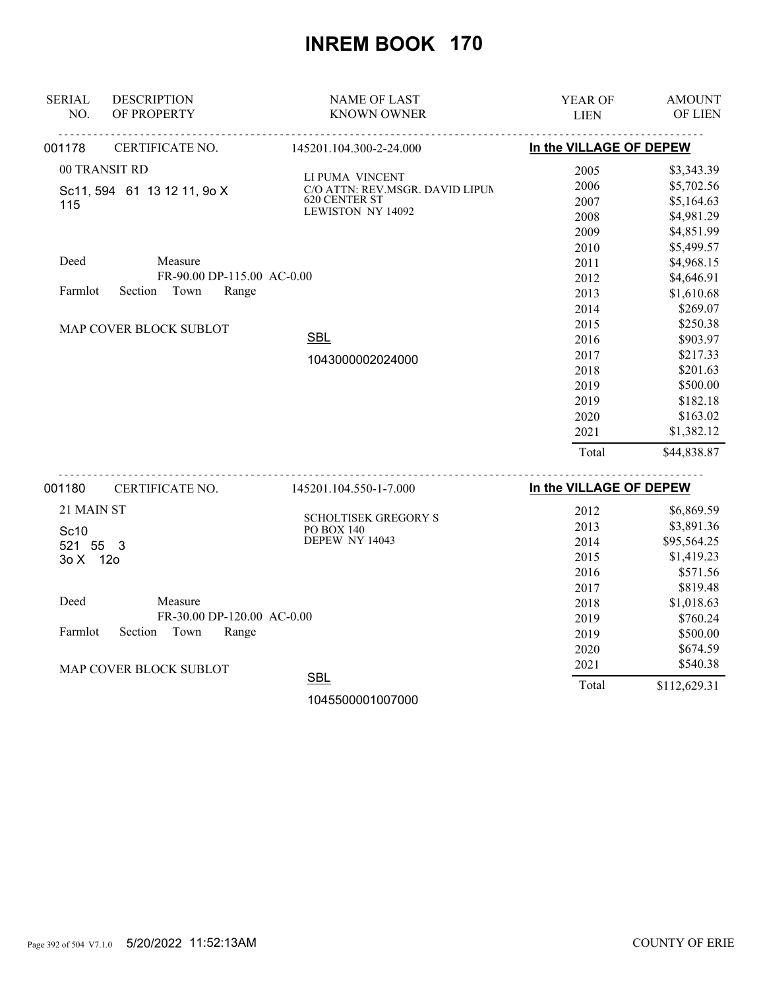| <b>SERIAL</b>                       | <b>DESCRIPTION</b>          | <b>NAME OF LAST</b>                              | YEAR OF                 | <b>AMOUNT</b> |
|-------------------------------------|-----------------------------|--------------------------------------------------|-------------------------|---------------|
| NO.                                 | OF PROPERTY                 | <b>KNOWN OWNER</b>                               | <b>LIEN</b>             | OF LIEN       |
| 001178                              | CERTIFICATE NO.             | 145201.104.300-2-24.000                          | In the VILLAGE OF DEPEW |               |
|                                     | 00 TRANSIT RD               | LI PUMA VINCENT                                  | 2005                    | \$3,343.39    |
|                                     | Sc11, 594 61 13 12 11, 9o X | C/O ATTN: REV.MSGR. DAVID LIPUN                  | 2006                    | \$5,702.56    |
| 115                                 |                             | <b>620 CENTER ST</b><br><b>LEWISTON NY 14092</b> | 2007                    | \$5,164.63    |
|                                     |                             |                                                  | 2008                    | \$4,981.29    |
|                                     |                             |                                                  | 2009                    | \$4,851.99    |
|                                     |                             |                                                  | 2010                    | \$5,499.57    |
| Deed                                | Measure                     |                                                  | 2011                    | \$4,968.15    |
|                                     | FR-90.00 DP-115.00 AC-0.00  |                                                  | 2012                    | \$4,646.91    |
| Farmlot                             | Section Town<br>Range       |                                                  | 2013                    | \$1,610.68    |
|                                     |                             |                                                  | 2014                    | \$269.07      |
|                                     | MAP COVER BLOCK SUBLOT      |                                                  | 2015                    | \$250.38      |
|                                     |                             | <b>SBL</b>                                       | 2016                    | \$903.97      |
|                                     |                             | 1043000002024000                                 | 2017                    | \$217.33      |
|                                     |                             |                                                  | 2018                    | \$201.63      |
|                                     |                             |                                                  | 2019                    | \$500.00      |
|                                     |                             |                                                  | 2019                    | \$182.18      |
|                                     |                             |                                                  | 2020                    | \$163.02      |
|                                     |                             |                                                  | 2021                    | \$1,382.12    |
|                                     |                             |                                                  | Total                   | \$44,838.87   |
| 001180                              | CERTIFICATE NO.             | 145201.104.550-1-7.000                           | In the VILLAGE OF DEPEW |               |
| 21 MAIN ST                          |                             |                                                  | 2012                    | \$6,869.59    |
| Sc10                                |                             | SCHOLTISEK GREGORY S<br>PO BOX 140               | 2013                    | \$3,891.36    |
| 521 55 3                            |                             | DEPEW NY 14043                                   | 2014                    | \$95,564.25   |
| 3o X 12o                            |                             |                                                  | 2015                    | \$1,419.23    |
|                                     |                             |                                                  | 2016                    | \$571.56      |
|                                     |                             |                                                  | 2017                    | \$819.48      |
| Deed                                | Measure                     |                                                  | 2018                    | \$1,018.63    |
|                                     | FR-30.00 DP-120.00 AC-0.00  |                                                  | 2019                    | \$760.24      |
| Section<br>Town<br>Range<br>Farmlot |                             |                                                  | 2019                    | \$500.00      |
|                                     |                             |                                                  | 2020                    | \$674.59      |
|                                     | MAP COVER BLOCK SUBLOT      |                                                  | 2021                    | \$540.38      |
|                                     |                             | <b>SBL</b>                                       | Total                   | \$112,629.31  |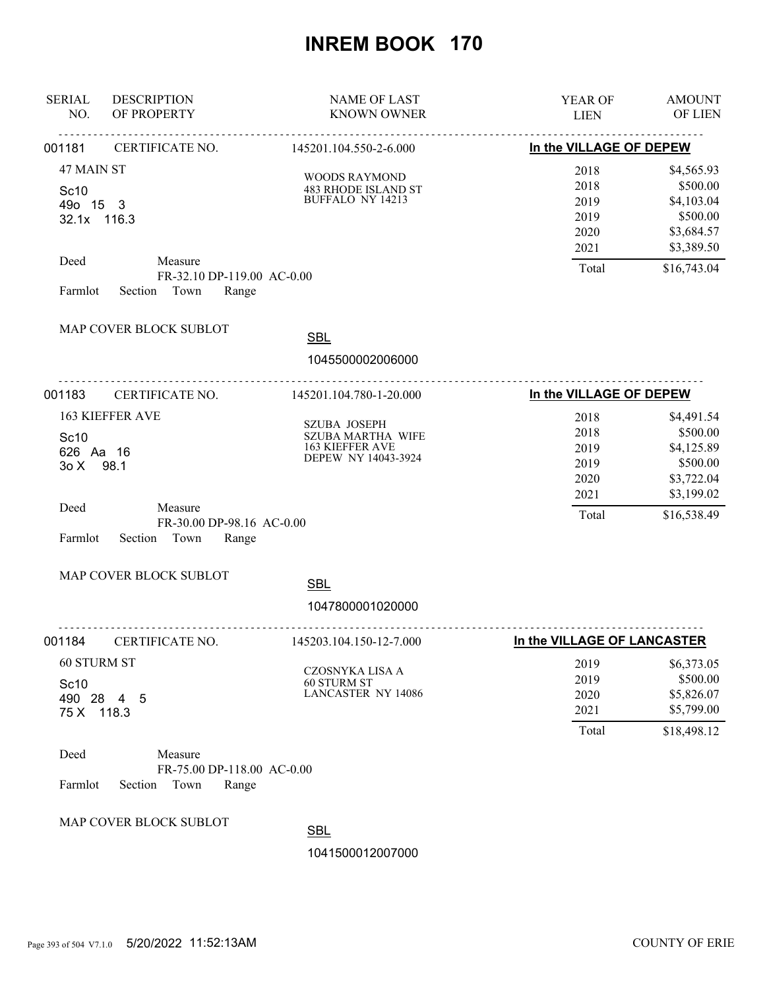| <b>SERIAL</b><br>NO.                               | <b>DESCRIPTION</b><br>OF PROPERTY                                                                  | <b>NAME OF LAST</b><br><b>KNOWN OWNER</b>                                                        | YEAR OF<br><b>LIEN</b>                                               | <b>AMOUNT</b><br>OF LIEN                                                                    |
|----------------------------------------------------|----------------------------------------------------------------------------------------------------|--------------------------------------------------------------------------------------------------|----------------------------------------------------------------------|---------------------------------------------------------------------------------------------|
| 001181                                             | CERTIFICATE NO.                                                                                    | 145201.104.550-2-6.000                                                                           | In the VILLAGE OF DEPEW                                              |                                                                                             |
| 47 MAIN ST<br>Sc10<br>49o 15 3<br>32.1x 116.3      |                                                                                                    | <b>WOODS RAYMOND</b><br>483 RHODE ISLAND ST<br>BUFFALO NY 14213                                  | 2018<br>2018<br>2019<br>2019<br>2020<br>2021                         | \$4,565.93<br>\$500.00<br>\$4,103.04<br>\$500.00<br>\$3,684.57<br>\$3,389.50                |
| Deed<br>Farmlot                                    | Measure<br>FR-32.10 DP-119.00 AC-0.00<br>Section Town<br>Range<br>MAP COVER BLOCK SUBLOT           | <b>SBL</b>                                                                                       | Total                                                                | \$16,743.04                                                                                 |
|                                                    |                                                                                                    | 1045500002006000                                                                                 |                                                                      |                                                                                             |
| 001183                                             | CERTIFICATE NO.                                                                                    | 145201.104.780-1-20.000                                                                          | In the VILLAGE OF DEPEW                                              |                                                                                             |
| Sc10<br>626 Aa 16<br>30X<br>Deed<br>Farmlot        | <b>163 KIEFFER AVE</b><br>98.1<br>Measure<br>FR-30.00 DP-98.16 AC-0.00<br>Town<br>Range<br>Section | <b>SZUBA JOSEPH</b><br><b>SZUBA MARTHA WIFE</b><br><b>163 KIEFFER AVE</b><br>DEPEW NY 14043-3924 | 2018<br>2018<br>2019<br>2019<br>2020<br>2021<br>Total                | \$4,491.54<br>\$500.00<br>\$4,125.89<br>\$500.00<br>\$3,722.04<br>\$3,199.02<br>\$16,538.49 |
|                                                    | MAP COVER BLOCK SUBLOT                                                                             | <b>SBL</b>                                                                                       |                                                                      |                                                                                             |
|                                                    |                                                                                                    | 1047800001020000                                                                                 |                                                                      |                                                                                             |
| 001184<br><b>60 STURM ST</b><br>Sc10<br>75 X 118.3 | .<br>CERTIFICATE NO.<br>490 28 4 5                                                                 | .<br>145203.104.150-12-7.000<br>CZOSNYKA LISA A<br>60 STURM ST<br><b>LANCASTER NY 14086</b>      | In the VILLAGE OF LANCASTER<br>2019<br>2019<br>2020<br>2021<br>Total | \$6,373.05<br>\$500.00<br>\$5,826.07<br>\$5,799.00<br>\$18,498.12                           |
| Deed<br>Farmlot                                    | Measure<br>FR-75.00 DP-118.00 AC-0.00<br>Section<br>Town<br>Range<br>MAP COVER BLOCK SUBLOT        | <b>SBL</b><br>1041500012007000                                                                   |                                                                      |                                                                                             |
|                                                    |                                                                                                    |                                                                                                  |                                                                      |                                                                                             |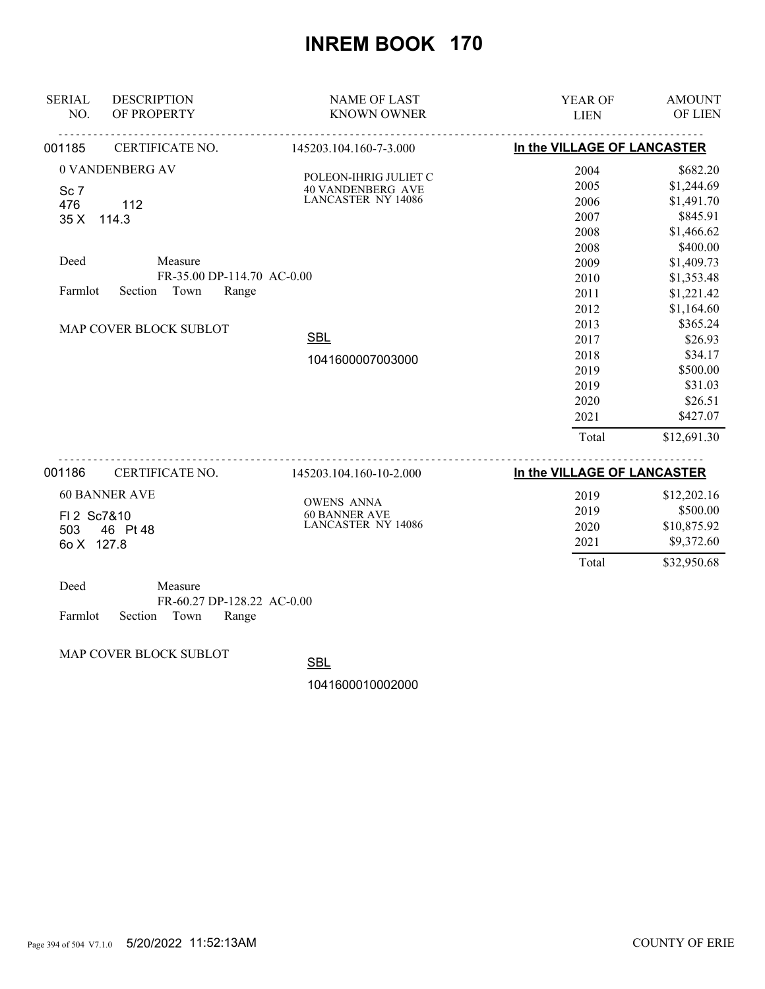| <b>SERIAL</b><br>NO. | <b>DESCRIPTION</b><br>OF PROPERTY | <b>NAME OF LAST</b><br><b>KNOWN OWNER</b> | <b>YEAR OF</b><br><b>LIEN</b> | <b>AMOUNT</b><br>OF LIEN |
|----------------------|-----------------------------------|-------------------------------------------|-------------------------------|--------------------------|
| 001185               | CERTIFICATE NO.                   | 145203.104.160-7-3.000                    | In the VILLAGE OF LANCASTER   |                          |
|                      | 0 VANDENBERG AV                   | POLEON-IHRIG JULIET C                     | 2004                          | \$682.20                 |
| Sc <sub>7</sub>      |                                   | <b>40 VANDENBERG AVE</b>                  | 2005                          | \$1,244.69               |
| 476                  | 112                               | <b>LANCASTER NY 14086</b>                 | 2006                          | \$1,491.70               |
| 35 X                 | 114.3                             |                                           | 2007                          | \$845.91                 |
|                      |                                   |                                           | 2008                          | \$1,466.62               |
|                      |                                   |                                           | 2008                          | \$400.00                 |
| Deed                 | Measure                           |                                           | 2009                          | \$1,409.73               |
|                      | FR-35.00 DP-114.70 AC-0.00        |                                           | 2010                          | \$1,353.48               |
| Farmlot              | Town<br>Range<br>Section          |                                           | 2011                          | \$1,221.42               |
|                      |                                   |                                           | 2012                          | \$1,164.60               |
|                      | MAP COVER BLOCK SUBLOT            |                                           | 2013                          | \$365.24                 |
|                      |                                   | <b>SBL</b>                                | 2017                          | \$26.93                  |
|                      |                                   | 1041600007003000                          | 2018                          | \$34.17                  |
|                      |                                   |                                           | 2019                          | \$500.00                 |
|                      |                                   |                                           | 2019                          | \$31.03                  |
|                      |                                   |                                           | 2020                          | \$26.51                  |
|                      |                                   |                                           | 2021                          | \$427.07                 |
|                      |                                   |                                           | Total                         | \$12,691.30              |
| 001186               | CERTIFICATE NO.                   | 145203.104.160-10-2.000                   | In the VILLAGE OF LANCASTER   |                          |
|                      | <b>60 BANNER AVE</b>              |                                           | 2019                          | \$12,202.16              |
| FI 2 Sc7&10          |                                   | <b>OWENS ANNA</b><br><b>60 BANNER AVE</b> | 2019                          | \$500.00                 |
| 503                  | 46 Pt 48                          | <b>LANCASTER NY 14086</b>                 | 2020                          | \$10,875.92              |
| 60 X 127.8           |                                   |                                           | 2021                          | \$9,372.60               |

| Deed                       | Measure |                            |  |
|----------------------------|---------|----------------------------|--|
|                            |         | FR-60.27 DP-128.22 AC-0.00 |  |
| Farmlot Section Town Range |         |                            |  |

MAP COVER BLOCK SUBLOT

**SBL** 

1041600010002000

Total \$32,950.68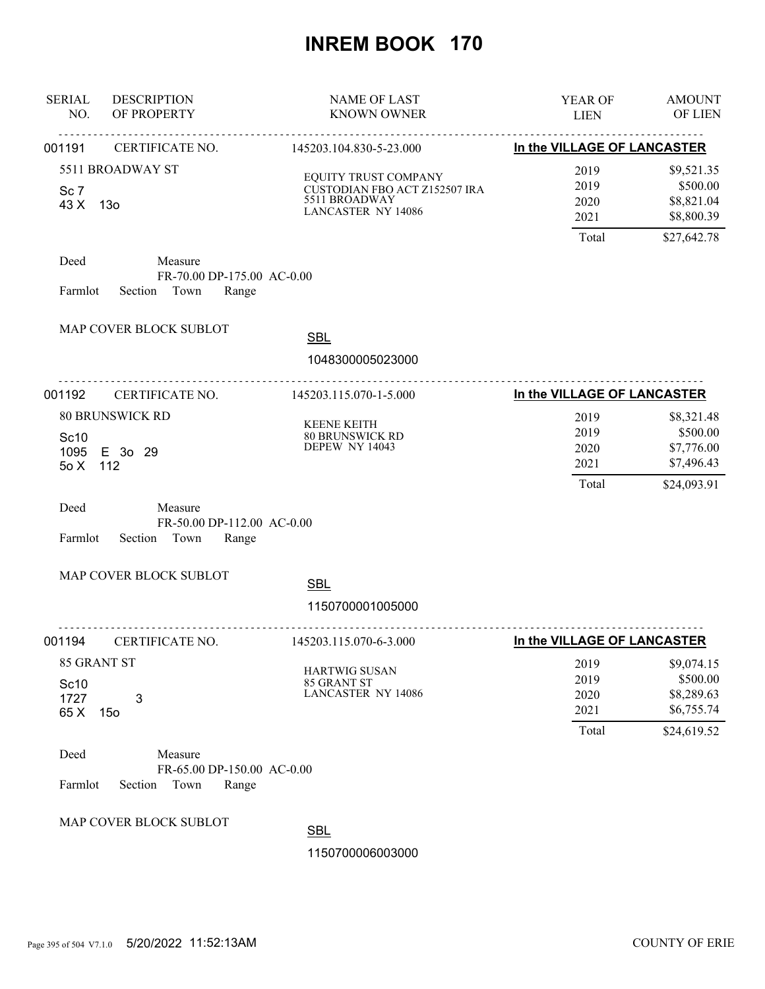| <b>SERIAL</b><br>NO.                | <b>DESCRIPTION</b><br>OF PROPERTY                                 | <b>NAME OF LAST</b><br><b>KNOWN OWNER</b>                                                           | YEAR OF<br><b>LIEN</b>                | <b>AMOUNT</b><br>OF LIEN                                          |
|-------------------------------------|-------------------------------------------------------------------|-----------------------------------------------------------------------------------------------------|---------------------------------------|-------------------------------------------------------------------|
| 001191                              | CERTIFICATE NO.                                                   | 145203.104.830-5-23.000                                                                             | In the VILLAGE OF LANCASTER           |                                                                   |
| Sc <sub>7</sub><br>43 X             | 5511 BROADWAY ST<br>13o                                           | EQUITY TRUST COMPANY<br>CUSTODIAN FBO ACT Z152507 IRA<br>5511 BROADWAY<br><b>LANCASTER NY 14086</b> | 2019<br>2019<br>2020<br>2021<br>Total | \$9,521.35<br>\$500.00<br>\$8,821.04<br>\$8,800.39<br>\$27,642.78 |
| Deed<br>Farmlot                     | Measure<br>FR-70.00 DP-175.00 AC-0.00<br>Section Town<br>Range    |                                                                                                     |                                       |                                                                   |
|                                     | MAP COVER BLOCK SUBLOT                                            | <b>SBL</b>                                                                                          |                                       |                                                                   |
|                                     |                                                                   | 1048300005023000                                                                                    |                                       |                                                                   |
| 001192                              | CERTIFICATE NO.                                                   | 145203.115.070-1-5.000                                                                              | In the VILLAGE OF LANCASTER           |                                                                   |
| Sc10<br>1095<br>50X                 | <b>80 BRUNSWICK RD</b><br>E 3o 29<br>112                          | <b>KEENE KEITH</b><br>80 BRUNSWICK RD<br><b>DEPEW NY 14043</b>                                      | 2019<br>2019<br>2020<br>2021<br>Total | \$8,321.48<br>\$500.00<br>\$7,776.00<br>\$7,496.43<br>\$24,093.91 |
| Deed<br>Farmlot                     | Measure<br>FR-50.00 DP-112.00 AC-0.00<br>Town<br>Range<br>Section |                                                                                                     |                                       |                                                                   |
|                                     | MAP COVER BLOCK SUBLOT                                            | <b>SBL</b>                                                                                          |                                       |                                                                   |
|                                     |                                                                   | 1150700001005000                                                                                    |                                       |                                                                   |
| 001194                              | CERTIFICATE NO.                                                   | 145203.115.070-6-3.000                                                                              | In the VILLAGE OF LANCASTER           |                                                                   |
| 85 GRANT ST<br>Sc10<br>1727<br>65 X | 3<br>15 <sub>o</sub>                                              | <b>HARTWIG SUSAN</b><br>85 GRANT ST<br><b>LANCASTER NY 14086</b>                                    | 2019<br>2019<br>2020<br>2021<br>Total | \$9,074.15<br>\$500.00<br>\$8,289.63<br>\$6,755.74<br>\$24,619.52 |
| Deed<br>Farmlot                     | Measure<br>FR-65.00 DP-150.00 AC-0.00<br>Town<br>Range<br>Section |                                                                                                     |                                       |                                                                   |
|                                     | MAP COVER BLOCK SUBLOT                                            | <b>SBL</b><br>1150700006003000                                                                      |                                       |                                                                   |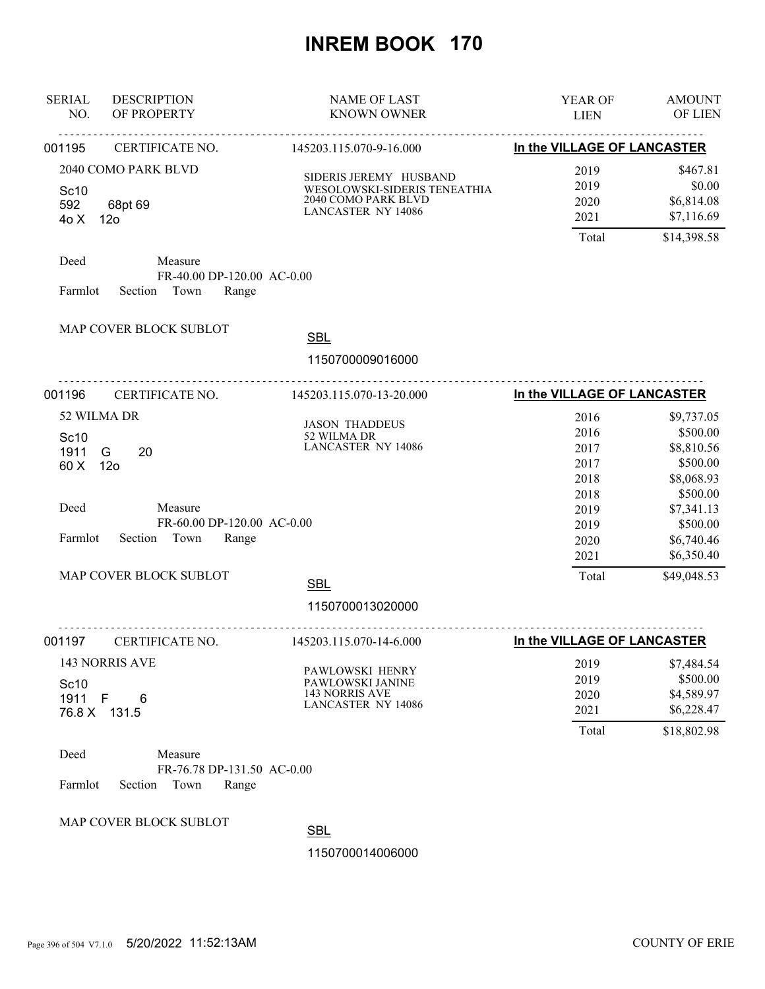| <b>SERIAL</b><br>NO.             | <b>DESCRIPTION</b><br>OF PROPERTY                              | <b>NAME OF LAST</b><br><b>KNOWN OWNER</b>                                                                         | YEAR OF<br><b>LIEN</b>                | <b>AMOUNT</b><br>OF LIEN                                          |
|----------------------------------|----------------------------------------------------------------|-------------------------------------------------------------------------------------------------------------------|---------------------------------------|-------------------------------------------------------------------|
| 001195                           | CERTIFICATE NO.                                                | 145203.115.070-9-16.000                                                                                           | In the VILLAGE OF LANCASTER           |                                                                   |
| Sc <sub>10</sub><br>592<br>40 X  | 2040 COMO PARK BLVD<br>68pt 69<br>12 <sub>o</sub>              | SIDERIS JEREMY HUSBAND<br>WESOLOWSKI-SIDERIS TENEATHIA<br><b>2040 COMO PARK BLVD</b><br><b>LANCASTER NY 14086</b> | 2019<br>2019<br>2020<br>2021          | \$467.81<br>\$0.00<br>\$6,814.08<br>\$7,116.69                    |
| Deed<br>Farmlot                  | Measure<br>FR-40.00 DP-120.00 AC-0.00<br>Section Town<br>Range |                                                                                                                   | Total                                 | \$14,398.58                                                       |
|                                  | MAP COVER BLOCK SUBLOT                                         | <b>SBL</b>                                                                                                        |                                       |                                                                   |
|                                  |                                                                | 1150700009016000                                                                                                  |                                       |                                                                   |
| 001196                           | CERTIFICATE NO.                                                | 145203.115.070-13-20.000                                                                                          | In the VILLAGE OF LANCASTER           |                                                                   |
| Sc <sub>10</sub><br>1911<br>60 X | 52 WILMA DR<br>20<br>G<br>12o                                  | <b>JASON THADDEUS</b><br>52 WILMA DR<br><b>LANCASTER NY 14086</b>                                                 | 2016<br>2016<br>2017<br>2017<br>2018  | \$9,737.05<br>\$500.00<br>\$8,810.56<br>\$500.00<br>\$8,068.93    |
| Deed<br>Farmlot                  | Measure<br>FR-60.00 DP-120.00 AC-0.00<br>Section Town<br>Range |                                                                                                                   | 2018<br>2019<br>2019<br>2020<br>2021  | \$500.00<br>\$7,341.13<br>\$500.00<br>\$6,740.46<br>\$6,350.40    |
|                                  | MAP COVER BLOCK SUBLOT                                         | <b>SBL</b><br>1150700013020000                                                                                    | Total                                 | \$49,048.53                                                       |
| 001197                           | CERTIFICATE NO.                                                | 145203.115.070-14-6.000                                                                                           | In the VILLAGE OF LANCASTER           |                                                                   |
| Sc10<br>1911 F                   | 143 NORRIS AVE<br>6<br>76.8 X 131.5                            | PAWLOWSKI HENRY<br>PAWLOWSKI JANINE<br><b>143 NORRIS AVE</b><br><b>LANCASTER NY 14086</b>                         | 2019<br>2019<br>2020<br>2021<br>Total | \$7,484.54<br>\$500.00<br>\$4,589.97<br>\$6,228.47<br>\$18,802.98 |
| Deed<br>Farmlot                  | Measure<br>FR-76.78 DP-131.50 AC-0.00<br>Section Town<br>Range |                                                                                                                   |                                       |                                                                   |
|                                  | MAP COVER BLOCK SUBLOT                                         | <b>SBL</b><br>1150700014006000                                                                                    |                                       |                                                                   |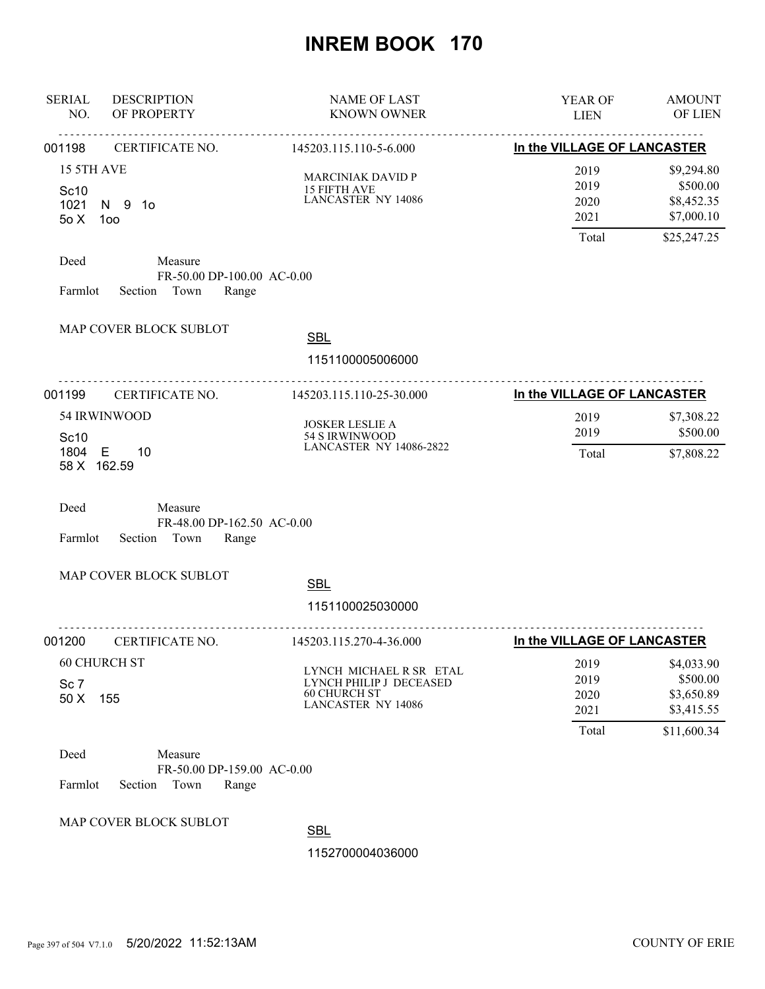| <b>SERIAL</b><br><b>DESCRIPTION</b><br>NO.<br>OF PROPERTY                            | <b>NAME OF LAST</b><br><b>KNOWN OWNER</b>                                                              | YEAR OF<br><b>LIEN</b>                | <b>AMOUNT</b><br>OF LIEN                                          |
|--------------------------------------------------------------------------------------|--------------------------------------------------------------------------------------------------------|---------------------------------------|-------------------------------------------------------------------|
| <u>.</u><br>CERTIFICATE NO.<br>001198                                                | <u>.</u><br>145203.115.110-5-6.000                                                                     | In the VILLAGE OF LANCASTER           |                                                                   |
| 15 5TH AVE<br>Sc10<br>1021<br>N 9 10<br>50X<br>100                                   | <b>MARCINIAK DAVID P</b><br>15 FIFTH AVE<br><b>LANCASTER NY 14086</b>                                  | 2019<br>2019<br>2020<br>2021<br>Total | \$9,294.80<br>\$500.00<br>\$8,452.35<br>\$7,000.10<br>\$25,247.25 |
| Deed<br>Measure<br>FR-50.00 DP-100.00 AC-0.00<br>Section Town<br>Farmlot<br>Range    |                                                                                                        |                                       |                                                                   |
| MAP COVER BLOCK SUBLOT                                                               | <b>SBL</b><br>1151100005006000                                                                         |                                       |                                                                   |
| <u>.</u><br>001199<br>CERTIFICATE NO.                                                | .<br>145203.115.110-25-30.000                                                                          | In the VILLAGE OF LANCASTER           |                                                                   |
| 54 IRWINWOOD<br>Sc10                                                                 | <b>JOSKER LESLIE A</b><br>54 S IRWINWOOD                                                               | 2019<br>2019                          | \$7,308.22<br>\$500.00                                            |
| 1804 E<br>10<br>58 X 162.59                                                          | <b>LANCASTER NY 14086-2822</b>                                                                         | Total                                 | \$7,808.22                                                        |
| Deed<br>Measure<br>FR-48.00 DP-162.50 AC-0.00<br>Section<br>Town<br>Farmlot<br>Range |                                                                                                        |                                       |                                                                   |
| MAP COVER BLOCK SUBLOT                                                               | <b>SBL</b><br>1151100025030000                                                                         |                                       |                                                                   |
| 001200<br>CERTIFICATE NO.                                                            | 145203.115.270-4-36.000                                                                                | In the VILLAGE OF LANCASTER           |                                                                   |
| <b>60 CHURCH ST</b><br>Sc <sub>7</sub><br>155<br>50 X                                | LYNCH MICHAEL R SR ETAL<br>LYNCH PHILIP J DECEASED<br><b>60 CHURCH ST</b><br><b>LANCASTER NY 14086</b> | 2019<br>2019<br>2020<br>2021<br>Total | \$4,033.90<br>\$500.00<br>\$3,650.89<br>\$3,415.55<br>\$11,600.34 |
| Deed<br>Measure<br>FR-50.00 DP-159.00 AC-0.00<br>Farmlot<br>Section<br>Town<br>Range |                                                                                                        |                                       |                                                                   |
| MAP COVER BLOCK SUBLOT                                                               | <b>SBL</b>                                                                                             |                                       |                                                                   |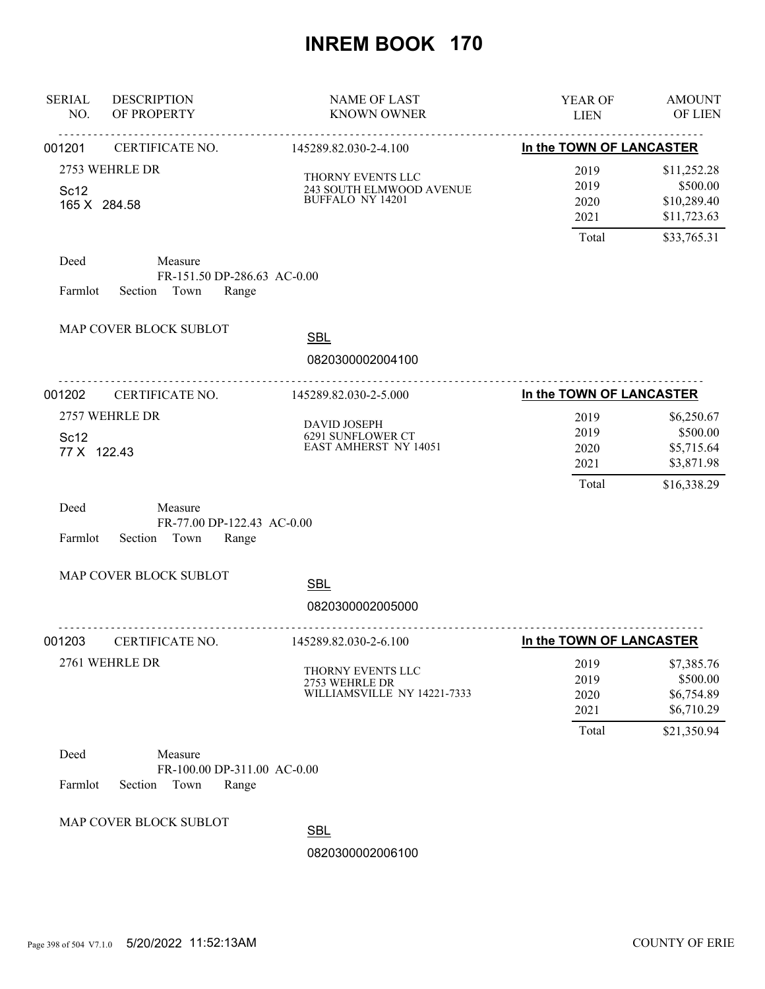| <b>SERIAL</b><br>NO.             | <b>DESCRIPTION</b><br>OF PROPERTY                                  | <b>NAME OF LAST</b><br><b>KNOWN OWNER</b>                                | YEAR OF<br><b>LIEN</b>       | <b>AMOUNT</b><br>OF LIEN                              |
|----------------------------------|--------------------------------------------------------------------|--------------------------------------------------------------------------|------------------------------|-------------------------------------------------------|
| 001201                           | .<br>CERTIFICATE NO.                                               | <u>.</u><br>145289.82.030-2-4.100                                        | In the TOWN OF LANCASTER     |                                                       |
| Sc <sub>12</sub><br>165 X 284.58 | 2753 WEHRLE DR                                                     | THORNY EVENTS LLC<br>243 SOUTH ELMWOOD AVENUE<br><b>BUFFALO NY 14201</b> | 2019<br>2019<br>2020<br>2021 | \$11,252.28<br>\$500.00<br>\$10,289.40<br>\$11,723.63 |
|                                  |                                                                    |                                                                          | Total                        | \$33,765.31                                           |
| Deed<br>Farmlot                  | Measure<br>FR-151.50 DP-286.63 AC-0.00<br>Section Town<br>Range    |                                                                          |                              |                                                       |
|                                  | MAP COVER BLOCK SUBLOT                                             | <b>SBL</b>                                                               |                              |                                                       |
|                                  |                                                                    | 0820300002004100                                                         |                              |                                                       |
| 001202                           | .<br>CERTIFICATE NO.                                               | 145289.82.030-2-5.000                                                    | In the TOWN OF LANCASTER     |                                                       |
| Sc12<br>77 X 122.43              | 2757 WEHRLE DR                                                     | <b>DAVID JOSEPH</b><br>6291 SUNFLOWER CT<br><b>EAST AMHERST NY 14051</b> | 2019<br>2019<br>2020<br>2021 | \$6,250.67<br>\$500.00<br>\$5,715.64<br>\$3,871.98    |
| Deed<br>Farmlot                  | Measure<br>FR-77.00 DP-122.43 AC-0.00<br>Section Town<br>Range     |                                                                          | Total                        | \$16,338.29                                           |
|                                  | MAP COVER BLOCK SUBLOT                                             | <b>SBL</b><br>0820300002005000                                           |                              |                                                       |
| 001203                           | CERTIFICATE NO.                                                    | <u>.</u><br>145289.82.030-2-6.100                                        | In the TOWN OF LANCASTER     |                                                       |
|                                  | 2761 WEHRLE DR                                                     | THORNY EVENTS LLC<br>2753 WEHRLE DR<br>WILLIAMSVILLE NY 14221-7333       | 2019<br>2019<br>2020<br>2021 | \$7,385.76<br>\$500.00<br>\$6,754.89<br>\$6,710.29    |
|                                  |                                                                    |                                                                          | Total                        | \$21,350.94                                           |
| Deed<br>Farmlot                  | Measure<br>FR-100.00 DP-311.00 AC-0.00<br>Town<br>Section<br>Range |                                                                          |                              |                                                       |
|                                  | MAP COVER BLOCK SUBLOT                                             | <b>SBL</b><br>0820300002006100                                           |                              |                                                       |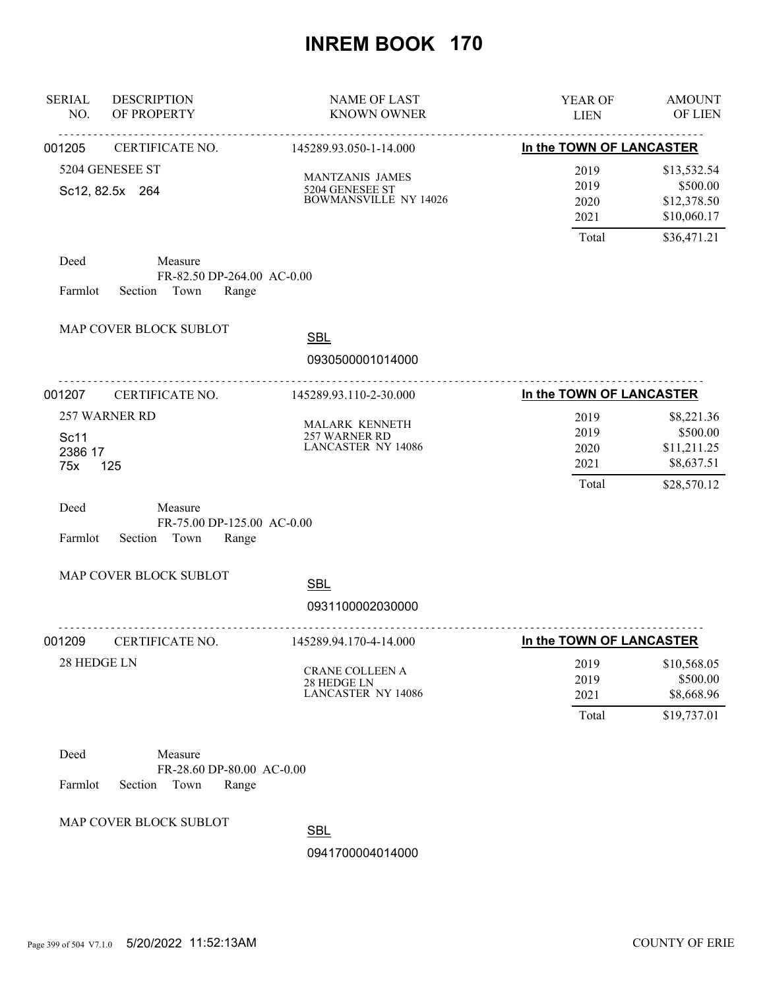| <b>SERIAL</b><br>NO.   | <b>DESCRIPTION</b><br>OF PROPERTY                                 | <b>NAME OF LAST</b><br><b>KNOWN OWNER</b>                          | YEAR OF<br><b>LIEN</b>                | <b>AMOUNT</b><br>OF LIEN                                             |
|------------------------|-------------------------------------------------------------------|--------------------------------------------------------------------|---------------------------------------|----------------------------------------------------------------------|
| 001205                 | <u>.</u><br>CERTIFICATE NO.                                       | <u>.</u><br>145289.93.050-1-14.000                                 | In the TOWN OF LANCASTER              |                                                                      |
|                        | 5204 GENESEE ST<br>Sc12, 82.5x 264                                | MANTZANIS JAMES<br>5204 GENESEE ST<br><b>BOWMANSVILLE NY 14026</b> | 2019<br>2019<br>2020<br>2021<br>Total | \$13,532.54<br>\$500.00<br>\$12,378.50<br>\$10,060.17<br>\$36,471.21 |
| Deed<br>Farmlot        | Measure<br>FR-82.50 DP-264.00 AC-0.00<br>Town<br>Range<br>Section |                                                                    |                                       |                                                                      |
|                        | MAP COVER BLOCK SUBLOT                                            | <b>SBL</b><br>0930500001014000                                     |                                       |                                                                      |
| 001207                 | <u>.</u><br>CERTIFICATE NO.                                       | <u>.</u><br>145289.93.110-2-30.000                                 | In the TOWN OF LANCASTER              |                                                                      |
| Sc11<br>2386 17<br>75x | 257 WARNER RD<br>125                                              | MALARK KENNETH<br>257 WARNER RD<br><b>LANCASTER NY 14086</b>       | 2019<br>2019<br>2020<br>2021<br>Total | \$8,221.36<br>\$500.00<br>\$11,211.25<br>\$8,637.51<br>\$28,570.12   |
| Deed<br>Farmlot        | Measure<br>FR-75.00 DP-125.00 AC-0.00<br>Section Town<br>Range    |                                                                    |                                       |                                                                      |
|                        | MAP COVER BLOCK SUBLOT                                            | <b>SBL</b><br>0931100002030000                                     |                                       |                                                                      |
| 001209                 | CERTIFICATE NO.                                                   | 145289.94.170-4-14.000                                             | In the TOWN OF LANCASTER              |                                                                      |
| 28 HEDGE LN            |                                                                   | CRANE COLLEEN A<br>28 HEDGE LN<br><b>LANCASTER NY 14086</b>        | 2019<br>2019<br>2021<br>Total         | \$10,568.05<br>\$500.00<br>\$8,668.96<br>\$19,737.01                 |
| Deed<br>Farmlot        | Measure<br>FR-28.60 DP-80.00 AC-0.00<br>Section<br>Town<br>Range  |                                                                    |                                       |                                                                      |
|                        | MAP COVER BLOCK SUBLOT                                            | <b>ODI</b>                                                         |                                       |                                                                      |

**SBL**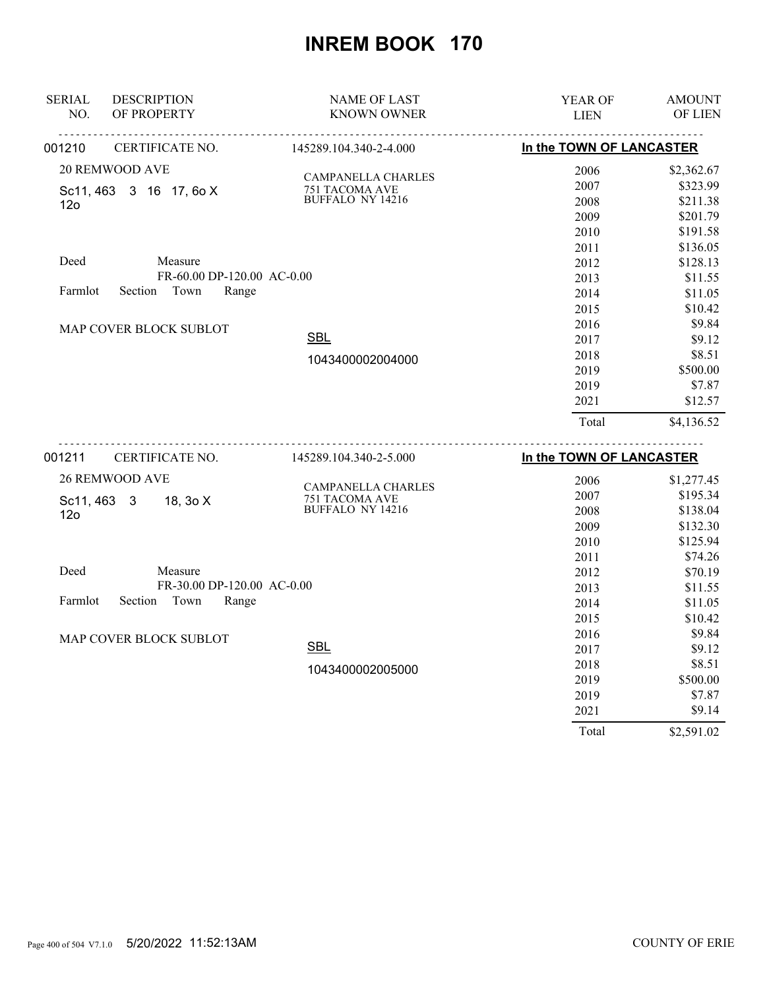| <b>SERIAL</b><br><b>DESCRIPTION</b> | <b>NAME OF LAST</b>                         | YEAR OF                  | <b>AMOUNT</b> |
|-------------------------------------|---------------------------------------------|--------------------------|---------------|
| OF PROPERTY<br>NO.                  | <b>KNOWN OWNER</b>                          | <b>LIEN</b>              | OF LIEN       |
| CERTIFICATE NO.<br>001210           | 145289.104.340-2-4.000                      | In the TOWN OF LANCASTER |               |
| <b>20 REMWOOD AVE</b>               |                                             | 2006                     | \$2,362.67    |
| Sc11, 463 3 16 17, 6o X             | <b>CAMPANELLA CHARLES</b><br>751 TACOMA AVE | 2007                     | \$323.99      |
| 12 <sub>o</sub>                     | BUFFALO NY 14216                            | 2008                     | \$211.38      |
|                                     |                                             | 2009                     | \$201.79      |
|                                     |                                             | 2010                     | \$191.58      |
|                                     |                                             | 2011                     | \$136.05      |
| Deed<br>Measure                     |                                             | 2012                     | \$128.13      |
| FR-60.00 DP-120.00 AC-0.00          |                                             | 2013                     | \$11.55       |
| Town<br>Farmlot<br>Section<br>Range |                                             | 2014                     | \$11.05       |
|                                     |                                             | 2015                     | \$10.42       |
| MAP COVER BLOCK SUBLOT              |                                             | 2016                     | \$9.84        |
|                                     | <b>SBL</b>                                  | 2017                     | \$9.12        |
|                                     | 1043400002004000                            | 2018                     | \$8.51        |
|                                     |                                             | 2019                     | \$500.00      |
|                                     |                                             | 2019                     | \$7.87        |
|                                     |                                             | 2021                     | \$12.57       |
|                                     |                                             | Total                    | \$4,136.52    |
| CERTIFICATE NO.<br>001211           | 145289.104.340-2-5.000                      | In the TOWN OF LANCASTER |               |
| <b>26 REMWOOD AVE</b>               |                                             | 2006                     | \$1,277.45    |
|                                     | <b>CAMPANELLA CHARLES</b>                   | 2007                     | \$195.34      |
| 18, 3o X<br>Sc11, 463 3             | 751 TACOMA AVE<br><b>BUFFALO NY 14216</b>   | 2008                     | \$138.04      |
| 12 <sub>o</sub>                     |                                             | 2009                     | \$132.30      |
|                                     |                                             | 2010                     | \$125.94      |
|                                     |                                             | 2011                     | \$74.26       |
| Deed<br>Measure                     |                                             | 2012                     | \$70.19       |
| FR-30.00 DP-120.00 AC-0.00          |                                             | 2013                     | \$11.55       |
| Section Town<br>Farmlot<br>Range    |                                             | 2014                     | \$11.05       |
|                                     |                                             | 2015                     | \$10.42       |
|                                     |                                             | 2016                     | \$9.84        |
| MAP COVER BLOCK SUBLOT              | <b>SBL</b>                                  | 2017                     | \$9.12        |
|                                     |                                             | 2018                     | \$8.51        |
|                                     | 1043400002005000                            | 2019                     | \$500.00      |
|                                     |                                             | 2019                     | \$7.87        |
|                                     |                                             | 2021                     | \$9.14        |

Total \$2,591.02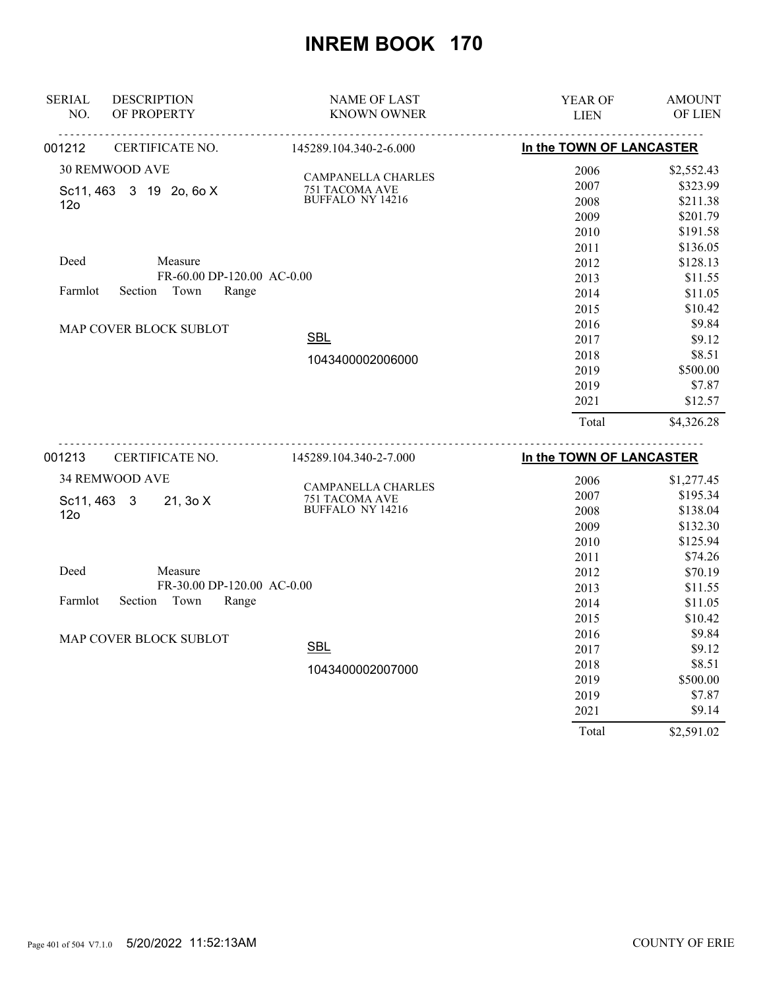| <b>SERIAL</b><br><b>DESCRIPTION</b> | <b>NAME OF LAST</b>                                         | YEAR OF                  | <b>AMOUNT</b> |
|-------------------------------------|-------------------------------------------------------------|--------------------------|---------------|
| OF PROPERTY<br>NO.                  | <b>KNOWN OWNER</b>                                          | <b>LIEN</b>              | OF LIEN       |
| CERTIFICATE NO.<br>001212           | 145289.104.340-2-6.000                                      | In the TOWN OF LANCASTER |               |
| <b>30 REMWOOD AVE</b>               |                                                             | 2006                     | \$2,552.43    |
| Sc11, 463 3 19 2o, 6o X             | <b>CAMPANELLA CHARLES</b><br>751 TACOMA AVE                 | 2007                     | \$323.99      |
| 12 <sub>o</sub>                     | BUFFALO NY 14216                                            | 2008                     | \$211.38      |
|                                     |                                                             | 2009                     | \$201.79      |
|                                     |                                                             | 2010                     | \$191.58      |
|                                     |                                                             | 2011                     | \$136.05      |
| Deed<br>Measure                     |                                                             | 2012                     | \$128.13      |
| FR-60.00 DP-120.00 AC-0.00          |                                                             | 2013                     | \$11.55       |
| Town<br>Farmlot<br>Section<br>Range |                                                             | 2014                     | \$11.05       |
|                                     |                                                             | 2015                     | \$10.42       |
| MAP COVER BLOCK SUBLOT              |                                                             | 2016                     | \$9.84        |
|                                     | <b>SBL</b>                                                  | 2017                     | \$9.12        |
|                                     | 1043400002006000                                            | 2018                     | \$8.51        |
|                                     |                                                             | 2019                     | \$500.00      |
|                                     |                                                             | 2019                     | \$7.87        |
|                                     |                                                             | 2021                     | \$12.57       |
|                                     |                                                             | Total                    | \$4,326.28    |
| CERTIFICATE NO.<br>001213           | ---------------------------------<br>145289.104.340-2-7.000 | In the TOWN OF LANCASTER |               |
| 34 REMWOOD AVE                      |                                                             | 2006                     | \$1,277.45    |
|                                     | <b>CAMPANELLA CHARLES</b>                                   | 2007                     | \$195.34      |
| 21, 30 X<br>Sc11, 463 3             | 751 TACOMA AVE<br><b>BUFFALO NY 14216</b>                   | 2008                     | \$138.04      |
| 12 <sub>o</sub>                     |                                                             | 2009                     | \$132.30      |
|                                     |                                                             | 2010                     | \$125.94      |
|                                     |                                                             | 2011                     | \$74.26       |
| Deed<br>Measure                     |                                                             | 2012                     | \$70.19       |
| FR-30.00 DP-120.00 AC-0.00          |                                                             | 2013                     | \$11.55       |
| Section Town<br>Farmlot<br>Range    |                                                             | 2014                     | \$11.05       |
|                                     |                                                             | 2015                     | \$10.42       |
|                                     |                                                             | 2016                     | \$9.84        |
| MAP COVER BLOCK SUBLOT              | <b>SBL</b>                                                  | 2017                     | \$9.12        |
|                                     |                                                             | 2018                     | \$8.51        |
|                                     | 1043400002007000                                            | 2019                     | \$500.00      |
|                                     |                                                             | 2019                     | \$7.87        |
|                                     |                                                             | 2021                     | \$9.14        |

Total \$2,591.02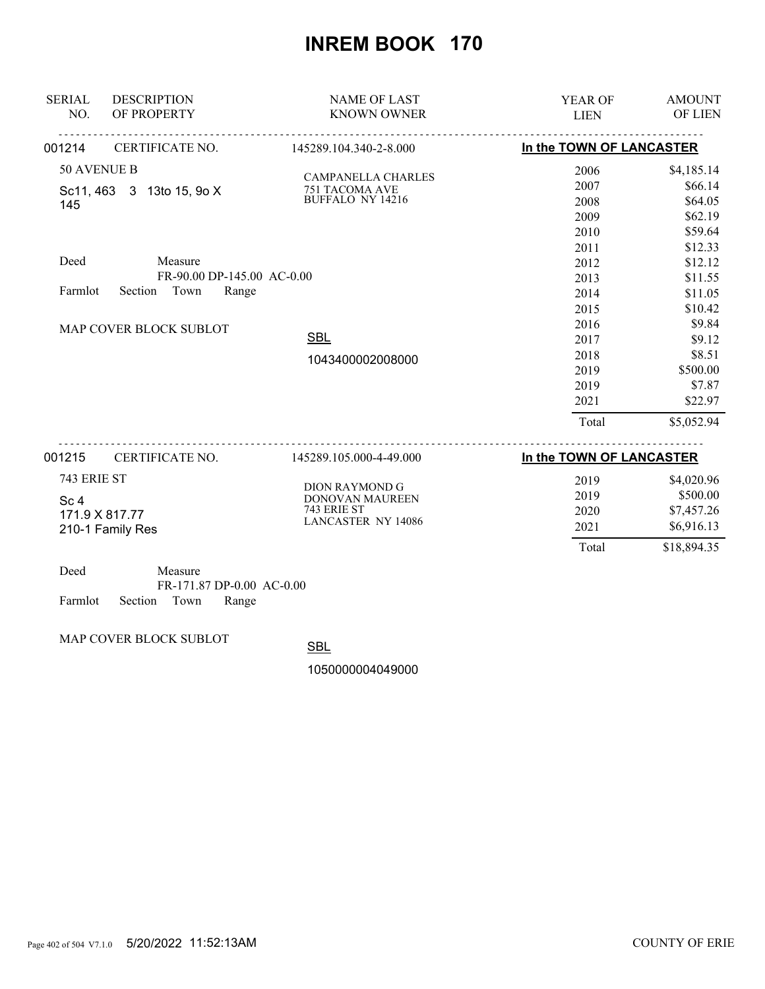| <b>DESCRIPTION</b><br><b>SERIAL</b><br>NO.<br>OF PROPERTY | <b>NAME OF LAST</b><br><b>KNOWN OWNER</b>      | YEAR OF<br><b>LIEN</b>   | <b>AMOUNT</b><br>OF LIEN |
|-----------------------------------------------------------|------------------------------------------------|--------------------------|--------------------------|
| 001214<br><b>CERTIFICATE NO.</b>                          | <u>.</u><br><u>.</u><br>145289.104.340-2-8.000 | In the TOWN OF LANCASTER |                          |
| 50 AVENUE B                                               |                                                | 2006                     | \$4,185.14               |
| Sc11, 463 3 13to 15, 9o X                                 | CAMPANELLA CHARLES<br>751 TACOMA AVE           | 2007                     | \$66.14                  |
| 145                                                       | <b>BUFFALO NY 14216</b>                        | 2008                     | \$64.05                  |
|                                                           |                                                | 2009                     | \$62.19                  |
|                                                           |                                                | 2010                     | \$59.64                  |
|                                                           |                                                | 2011                     | \$12.33                  |
| Deed<br>Measure                                           |                                                | 2012                     | \$12.12                  |
|                                                           | FR-90.00 DP-145.00 AC-0.00                     | 2013                     | \$11.55                  |
| Section Town<br>Farmlot                                   | Range                                          | 2014                     | \$11.05                  |
|                                                           |                                                | 2015                     | \$10.42                  |
| MAP COVER BLOCK SUBLOT                                    |                                                | 2016                     | \$9.84                   |
|                                                           | <b>SBL</b>                                     | 2017                     | \$9.12                   |
|                                                           | 1043400002008000                               | 2018                     | \$8.51                   |
|                                                           |                                                | 2019                     | \$500.00                 |
|                                                           |                                                | 2019                     | \$7.87                   |
|                                                           |                                                | 2021                     | \$22.97                  |
|                                                           |                                                | Total                    | \$5,052.94               |
| CERTIFICATE NO.<br>001215                                 | 145289.105.000-4-49.000                        | In the TOWN OF LANCASTER |                          |
| 743 ERIE ST                                               |                                                | 2019                     | \$4,020.96               |
|                                                           | <b>DION RAYMOND G</b><br>DONOVAN MAUREEN       | 2019                     | \$500.00                 |
| Sc <sub>4</sub><br>171.9 X 817.77                         | 743 ERIE ST                                    | 2020                     | \$7,457.26               |
| 210-1 Family Res                                          | <b>LANCASTER NY 14086</b>                      | 2021                     | \$6,916.13               |
|                                                           |                                                | Total                    | \$18,894.35              |
| Deed<br>Measure                                           | FR-171.87 DP-0.00 AC-0.00                      |                          |                          |

Farmlot Section Town Range

MAP COVER BLOCK SUBLOT

**SBL**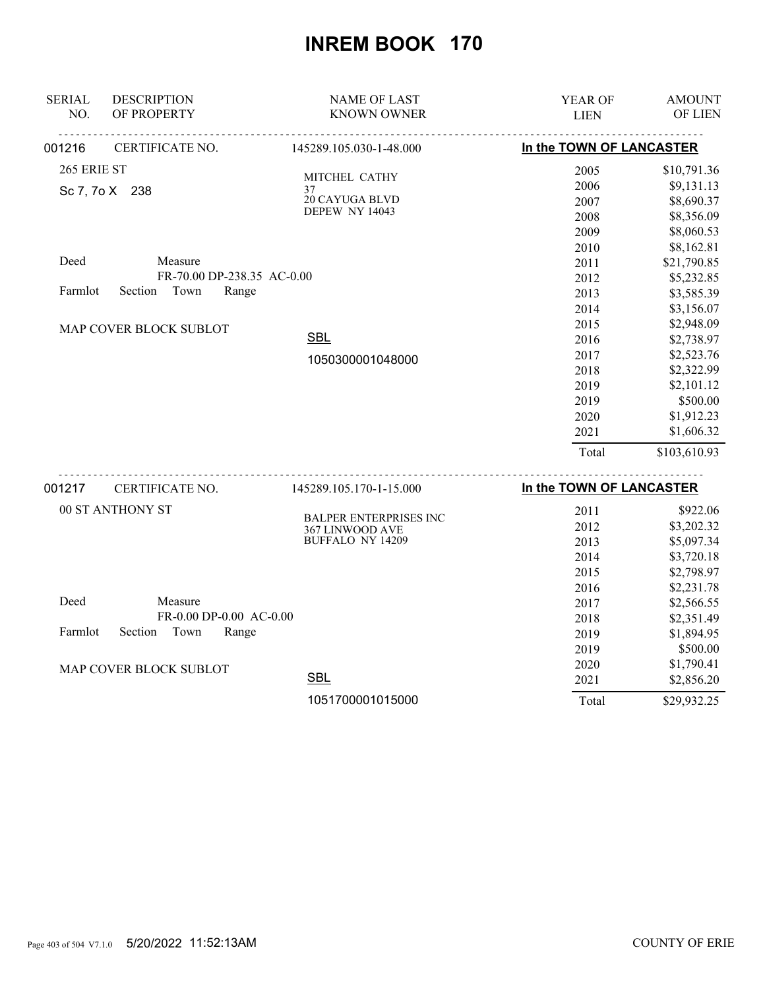| <b>SERIAL</b><br><b>DESCRIPTION</b> | <b>NAME OF LAST</b>                 | YEAR OF                  | <b>AMOUNT</b> |
|-------------------------------------|-------------------------------------|--------------------------|---------------|
| OF PROPERTY<br>NO.                  | <b>KNOWN OWNER</b>                  | <b>LIEN</b>              | OF LIEN       |
| CERTIFICATE NO.<br>001216           | 145289.105.030-1-48.000             | In the TOWN OF LANCASTER |               |
| 265 ERIE ST                         | MITCHEL CATHY                       | 2005                     | \$10,791.36   |
| Sc 7, 7o X 238                      | 37                                  | 2006                     | \$9,131.13    |
|                                     | 20 CAYUGA BLVD                      | 2007                     | \$8,690.37    |
|                                     | <b>DEPEW NY 14043</b>               | 2008                     | \$8,356.09    |
|                                     |                                     | 2009                     | \$8,060.53    |
|                                     |                                     | 2010                     | \$8,162.81    |
| Deed<br>Measure                     |                                     | 2011                     | \$21,790.85   |
| FR-70.00 DP-238.35 AC-0.00          |                                     | 2012                     | \$5,232.85    |
| Town<br>Farmlot<br>Section<br>Range |                                     | 2013                     | \$3,585.39    |
|                                     |                                     | 2014                     | \$3,156.07    |
| MAP COVER BLOCK SUBLOT              |                                     | 2015                     | \$2,948.09    |
|                                     | <b>SBL</b>                          | 2016                     | \$2,738.97    |
|                                     | 1050300001048000                    | 2017                     | \$2,523.76    |
|                                     |                                     | 2018                     | \$2,322.99    |
|                                     |                                     | 2019                     | \$2,101.12    |
|                                     |                                     | 2019                     | \$500.00      |
|                                     |                                     | 2020                     | \$1,912.23    |
|                                     |                                     | 2021                     | \$1,606.32    |
|                                     |                                     | Total                    | \$103,610.93  |
| CERTIFICATE NO.<br>001217           | 145289.105.170-1-15.000             | In the TOWN OF LANCASTER |               |
| 00 ST ANTHONY ST                    |                                     | 2011                     | \$922.06      |
|                                     | <b>BALPER ENTERPRISES INC</b>       | 2012                     | \$3,202.32    |
|                                     | 367 LINWOOD AVE<br>BUFFALO NY 14209 | 2013                     | \$5,097.34    |
|                                     |                                     | 2014                     | \$3,720.18    |
|                                     |                                     | 2015                     | \$2,798.97    |
|                                     |                                     | 2016                     | \$2,231.78    |
| Deed<br>Measure                     |                                     | 2017                     | \$2,566.55    |
| FR-0.00 DP-0.00 AC-0.00             |                                     | 2018                     | \$2,351.49    |
| Farmlot<br>Section<br>Town<br>Range |                                     | 2019                     | \$1,894.95    |
|                                     |                                     | 2019                     | \$500.00      |
|                                     |                                     | 2020                     | \$1,790.41    |
| MAP COVER BLOCK SUBLOT              | <b>SBL</b>                          | 2021                     | \$2,856.20    |

1051700001015000

Total \$29,932.25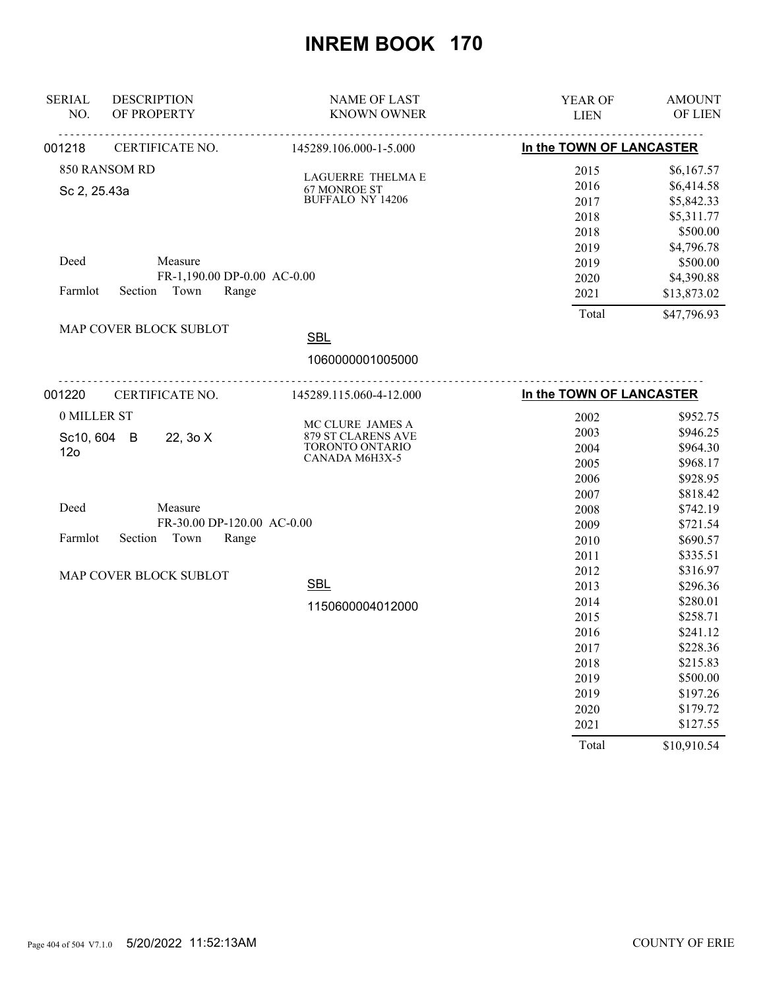| <b>SERIAL</b><br>NO. | <b>DESCRIPTION</b><br>OF PROPERTY | <b>NAME OF LAST</b><br><b>KNOWN OWNER</b> | YEAR OF<br><b>LIEN</b>   | <b>AMOUNT</b><br>OF LIEN |
|----------------------|-----------------------------------|-------------------------------------------|--------------------------|--------------------------|
| 001218               | CERTIFICATE NO.                   | 145289.106.000-1-5.000                    | In the TOWN OF LANCASTER |                          |
|                      | 850 RANSOM RD                     |                                           | 2015                     | \$6,167.57               |
| Sc 2, 25.43a         |                                   | LAGUERRE THELMA E<br>67 MONROE ST         | 2016                     | \$6,414.58               |
|                      |                                   | <b>BUFFALO NY 14206</b>                   | 2017                     | \$5,842.33               |
|                      |                                   |                                           | 2018                     | \$5,311.77               |
|                      |                                   |                                           | 2018                     | \$500.00                 |
|                      |                                   |                                           | 2019                     | \$4,796.78               |
| Deed                 | Measure                           |                                           | 2019                     | \$500.00                 |
|                      | FR-1,190.00 DP-0.00 AC-0.00       |                                           | 2020                     | \$4,390.88               |
| Farmlot              | Section Town<br>Range             |                                           | 2021                     | \$13,873.02              |
|                      |                                   |                                           | Total                    | \$47,796.93              |
|                      | MAP COVER BLOCK SUBLOT            | <b>SBL</b>                                |                          |                          |
|                      |                                   | 1060000001005000                          |                          |                          |
| 001220               | CERTIFICATE NO.                   | 145289.115.060-4-12.000                   | In the TOWN OF LANCASTER |                          |
| 0 MILLER ST          |                                   |                                           | 2002                     | \$952.75                 |
| Sc10, 604 B          | 22, 30 X                          | MC CLURE JAMES A<br>879 ST CLARENS AVE    | 2003                     | \$946.25                 |
| 12 <sub>o</sub>      |                                   | TORONTO ONTARIO                           | 2004                     | \$964.30                 |
|                      |                                   | CANADA M6H3X-5                            | 2005                     | \$968.17                 |
|                      |                                   |                                           | 2006                     | \$928.95                 |
|                      |                                   |                                           | 2007                     | \$818.42                 |
| Deed                 | Measure                           |                                           | 2008                     | \$742.19                 |
|                      | FR-30.00 DP-120.00 AC-0.00        |                                           | 2009                     | \$721.54                 |
| Farmlot              | Section<br>Town<br>Range          |                                           | 2010                     | \$690.57                 |
|                      |                                   |                                           | 2011                     | \$335.51                 |
|                      | MAP COVER BLOCK SUBLOT            |                                           | 2012                     | \$316.97                 |
|                      |                                   | <b>SBL</b>                                | 2013                     | \$296.36                 |
|                      |                                   | 1150600004012000                          | 2014                     | \$280.01                 |
|                      |                                   |                                           | 2015                     | \$258.71                 |
|                      |                                   |                                           | 2016                     | \$241.12                 |
|                      |                                   |                                           | 2017                     | \$228.36                 |
|                      |                                   |                                           | 2018                     | \$215.83                 |
|                      |                                   |                                           | 2019                     | \$500.00                 |
|                      |                                   |                                           | 2019                     | \$197.26                 |
|                      |                                   |                                           | 2020                     | \$179.72                 |
|                      |                                   |                                           | 2021                     | \$127.55                 |
|                      |                                   |                                           | Total                    | \$10,910.54              |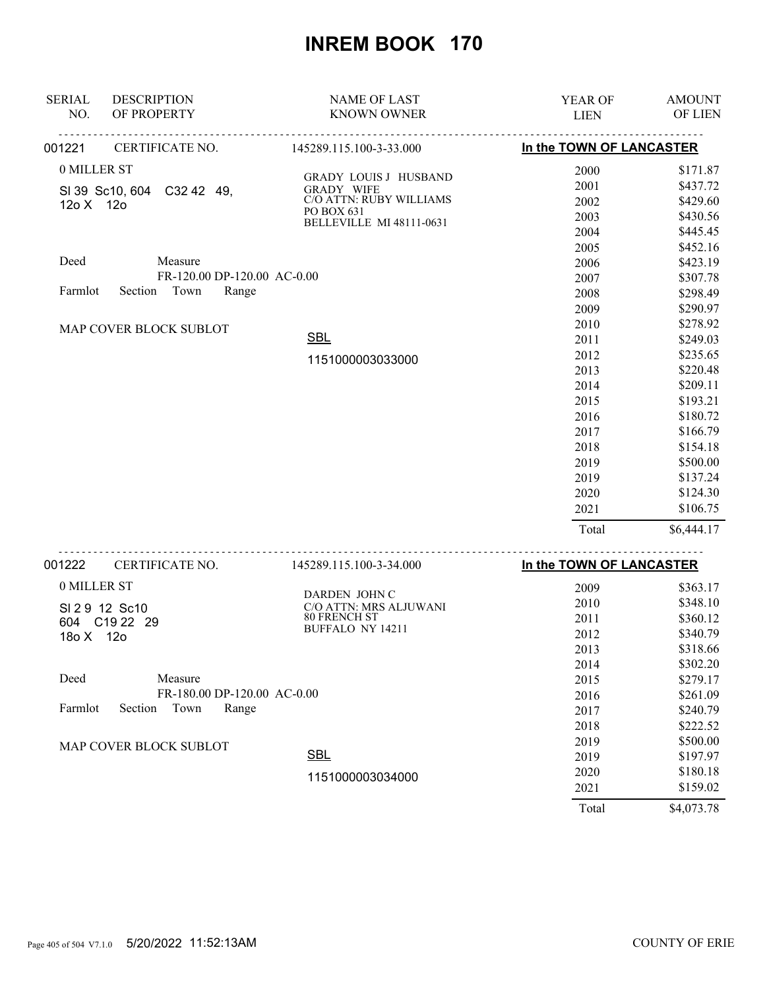| <b>SERIAL</b> | <b>DESCRIPTION</b>          | <b>NAME OF LAST</b>                           | YEAR OF                  | <b>AMOUNT</b>        |
|---------------|-----------------------------|-----------------------------------------------|--------------------------|----------------------|
| NO.           | OF PROPERTY                 | <b>KNOWN OWNER</b>                            | <b>LIEN</b>              | OF LIEN              |
| 001221        | CERTIFICATE NO.             | 145289.115.100-3-33.000                       | In the TOWN OF LANCASTER |                      |
| 0 MILLER ST   |                             |                                               | 2000                     | \$171.87             |
|               | SI 39 Sc10, 604 C32 42 49,  | GRADY LOUIS J HUSBAND<br><b>GRADY WIFE</b>    | 2001                     | \$437.72             |
| 12o X 12o     |                             | C/O ATTN: RUBY WILLIAMS                       | 2002                     | \$429.60             |
|               |                             | PO BOX 631<br><b>BELLEVILLE MI 48111-0631</b> | 2003                     | \$430.56             |
|               |                             |                                               | 2004                     | \$445.45             |
|               |                             |                                               | 2005                     | \$452.16             |
| Deed          | Measure                     |                                               | 2006                     | \$423.19             |
|               | FR-120.00 DP-120.00 AC-0.00 |                                               | 2007                     | \$307.78             |
| Farmlot       | Section Town<br>Range       |                                               | 2008                     | \$298.49             |
|               |                             |                                               | 2009                     | \$290.97             |
|               |                             |                                               | 2010                     | \$278.92             |
|               | MAP COVER BLOCK SUBLOT      | <b>SBL</b>                                    | 2011                     | \$249.03             |
|               |                             |                                               | 2012                     | \$235.65             |
|               |                             | 1151000003033000                              | 2013                     | \$220.48             |
|               |                             |                                               | 2014                     | \$209.11             |
|               |                             |                                               | 2015                     | \$193.21             |
|               |                             |                                               | 2016                     | \$180.72             |
|               |                             |                                               | 2017                     | \$166.79             |
|               |                             |                                               | 2018                     | \$154.18             |
|               |                             |                                               | 2019                     | \$500.00             |
|               |                             |                                               | 2019                     | \$137.24             |
|               |                             |                                               | 2020                     | \$124.30             |
|               |                             |                                               | 2021                     | \$106.75             |
|               |                             |                                               | Total                    | \$6,444.17           |
| 001222        | .<br>CERTIFICATE NO.        | 145289.115.100-3-34.000                       | In the TOWN OF LANCASTER |                      |
| 0 MILLER ST   |                             |                                               | 2009                     | \$363.17             |
|               |                             | DARDEN JOHN C                                 | 2010                     | \$348.10             |
|               | SI 29 12 Sc10               | C/O ATTN: MRS ALJUWANI<br><b>80 FRENCH ST</b> | 2011                     | \$360.12             |
|               | 604 C19 22 29               | <b>BUFFALO NY 14211</b>                       | 2012                     | \$340.79             |
| 18o X 12o     |                             |                                               |                          |                      |
|               |                             |                                               | 2013                     | \$318.66             |
| Deed          | Measure                     |                                               | 2014                     | \$302.20<br>\$279.17 |
|               | FR-180.00 DP-120.00 AC-0.00 |                                               | 2015                     | \$261.09             |
| Farmlot       | Section<br>Town<br>Range    |                                               | 2016                     |                      |
|               |                             |                                               | 2017                     | \$240.79             |
|               |                             |                                               | 2018                     | \$222.52             |
|               | MAP COVER BLOCK SUBLOT      | <b>SBL</b>                                    | 2019                     | \$500.00             |
|               |                             |                                               | 2019                     | \$197.97             |
|               |                             | 1151000003034000                              | 2020                     | \$180.18             |
|               |                             |                                               | 2021                     | \$159.02             |

Total \$4,073.78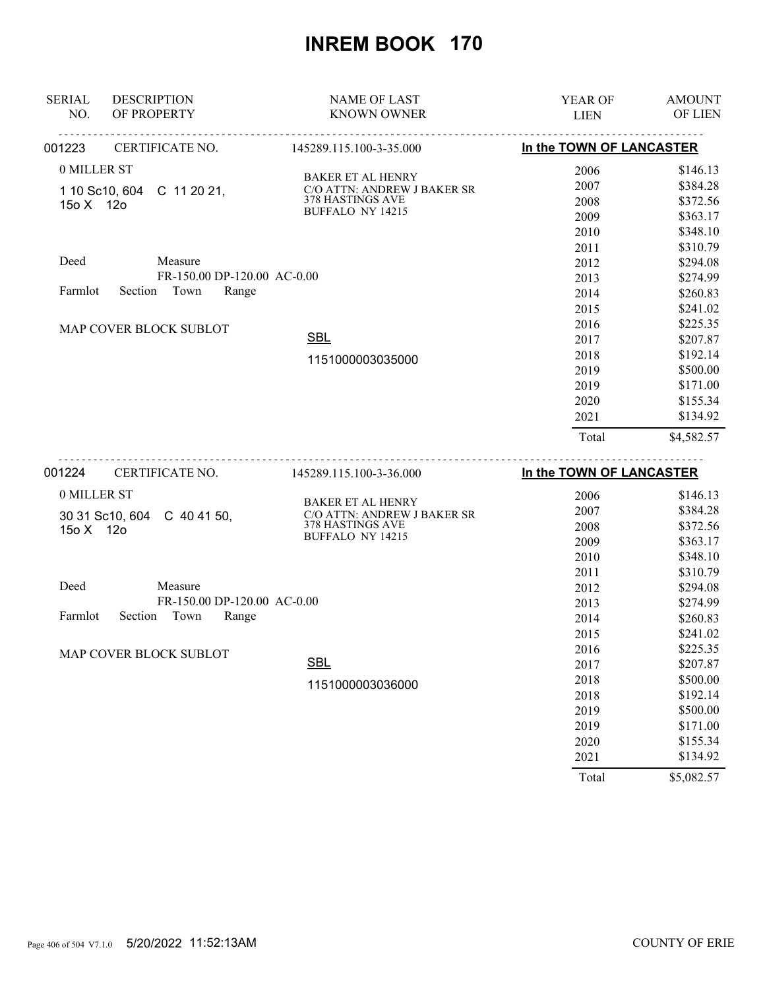| <b>SERIAL</b>          | <b>DESCRIPTION</b>          | <b>NAME OF LAST</b>                                     | <b>YEAR OF</b>           | <b>AMOUNT</b>  |
|------------------------|-----------------------------|---------------------------------------------------------|--------------------------|----------------|
| NO.                    | OF PROPERTY                 | <b>KNOWN OWNER</b>                                      | <b>LIEN</b>              | <b>OF LIEN</b> |
| 001223                 | CERTIFICATE NO.             | <u>.</u><br>145289.115.100-3-35.000                     | In the TOWN OF LANCASTER |                |
| 0 MILLER ST            |                             | <b>BAKER ET AL HENRY</b>                                | 2006                     | \$146.13       |
|                        | 1 10 Sc10, 604 C 11 20 21,  | C/O ATTN: ANDREW J BAKER SR                             | 2007                     | \$384.28       |
| 15o X 12o              |                             | 378 HASTINGS AVE                                        | 2008                     | \$372.56       |
|                        |                             | BUFFALO NY 14215                                        | 2009                     | \$363.17       |
|                        |                             |                                                         | 2010                     | \$348.10       |
|                        |                             |                                                         | 2011                     | \$310.79       |
| Deed                   | Measure                     |                                                         | 2012                     | \$294.08       |
|                        | FR-150.00 DP-120.00 AC-0.00 |                                                         | 2013                     | \$274.99       |
| Farmlot                | Town<br>Range<br>Section    |                                                         | 2014                     | \$260.83       |
|                        |                             |                                                         | 2015                     | \$241.02       |
| MAP COVER BLOCK SUBLOT |                             |                                                         | 2016                     | \$225.35       |
|                        |                             | <b>SBL</b>                                              | 2017                     | \$207.87       |
|                        |                             | 1151000003035000                                        | 2018                     | \$192.14       |
|                        |                             |                                                         | 2019                     | \$500.00       |
|                        |                             |                                                         | 2019                     | \$171.00       |
|                        |                             |                                                         | 2020                     | \$155.34       |
|                        |                             |                                                         | 2021                     | \$134.92       |
|                        |                             |                                                         | Total                    | \$4,582.57     |
| 001224                 | <b>CERTIFICATE NO.</b>      | 145289.115.100-3-36.000                                 | In the TOWN OF LANCASTER |                |
| 0 MILLER ST            |                             |                                                         | 2006                     | \$146.13       |
|                        | 30 31 Sc10, 604 C 40 41 50, | <b>BAKER ET AL HENRY</b><br>C/O ATTN: ANDREW J BAKER SR | 2007                     | \$384.28       |
| 15o X 12o              |                             | 378 HASTINGS AVE                                        | 2008                     | \$372.56       |
|                        |                             | BUFFALO NY 14215                                        | 2009                     | \$363.17       |
|                        |                             |                                                         | 2010                     | \$348.10       |
|                        |                             |                                                         | 2011                     | \$310.79       |
| Deed                   | Measure                     |                                                         | 2012                     | \$294.08       |
|                        | FR-150.00 DP-120.00 AC-0.00 |                                                         | 2013                     | \$274.99       |
|                        | Earnelat Costion Town Dange |                                                         | 2011                     | 0.0000         |

| 0 MILLER ST                         |                                                         | 2006  | \$146.13   |
|-------------------------------------|---------------------------------------------------------|-------|------------|
| 30 31 Sc10, 604<br>C 40 41 50,      | <b>BAKER ET AL HENRY</b><br>C/O ATTN: ANDREW J BAKER SR | 2007  | \$384.28   |
| 15o X 12o                           | 378 HASTINGS AVE                                        | 2008  | \$372.56   |
|                                     | <b>BUFFALO NY 14215</b>                                 | 2009  | \$363.17   |
|                                     |                                                         | 2010  | \$348.10   |
|                                     |                                                         | 2011  | \$310.79   |
| Deed<br>Measure                     |                                                         | 2012  | \$294.08   |
| FR-150.00 DP-120.00 AC-0.00         |                                                         | 2013  | \$274.99   |
| Town<br>Farmlot<br>Range<br>Section |                                                         | 2014  | \$260.83   |
|                                     |                                                         | 2015  | \$241.02   |
| MAP COVER BLOCK SUBLOT              |                                                         | 2016  | \$225.35   |
|                                     | <b>SBL</b>                                              | 2017  | \$207.87   |
|                                     | 1151000003036000                                        | 2018  | \$500.00   |
|                                     |                                                         | 2018  | \$192.14   |
|                                     |                                                         | 2019  | \$500.00   |
|                                     |                                                         | 2019  | \$171.00   |
|                                     |                                                         | 2020  | \$155.34   |
|                                     |                                                         | 2021  | \$134.92   |
|                                     |                                                         | Total | \$5,082.57 |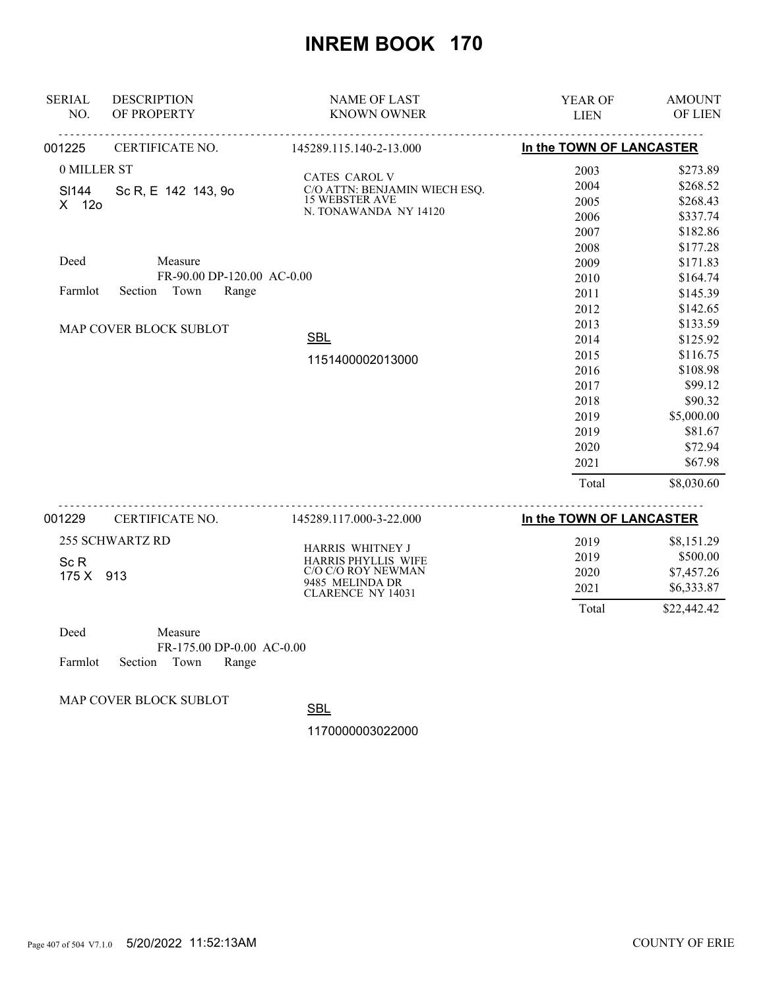| <b>SERIAL</b>     | <b>DESCRIPTION</b>         | <b>NAME OF LAST</b>                         | <b>YEAR OF</b>           | <b>AMOUNT</b> |
|-------------------|----------------------------|---------------------------------------------|--------------------------|---------------|
| NO.               | OF PROPERTY                | <b>KNOWN OWNER</b>                          | <b>LIEN</b>              | OF LIEN       |
| 001225            | CERTIFICATE NO.            | 145289.115.140-2-13.000                     | In the TOWN OF LANCASTER |               |
| 0 MILLER ST       |                            | CATES CAROL V                               | 2003                     | \$273.89      |
| SI144             | Sc R, E 142 143, 90        | C/O ATTN: BENJAMIN WIECH ESQ.               | 2004                     | \$268.52      |
| X 12o             | <b>15 WEBSTER AVE</b>      | 2005                                        | \$268.43                 |               |
|                   |                            | N. TONAWANDA NY 14120                       | 2006                     | \$337.74      |
|                   |                            |                                             | 2007                     | \$182.86      |
|                   |                            |                                             | 2008                     | \$177.28      |
| Deed              | Measure                    |                                             | 2009                     | \$171.83      |
|                   | FR-90.00 DP-120.00 AC-0.00 |                                             | 2010                     | \$164.74      |
| Farmlot           | Town<br>Section<br>Range   |                                             | 2011                     | \$145.39      |
|                   |                            |                                             | 2012                     | \$142.65      |
|                   | MAP COVER BLOCK SUBLOT     |                                             | 2013                     | \$133.59      |
|                   |                            | <b>SBL</b>                                  | 2014                     | \$125.92      |
|                   |                            | 1151400002013000                            | 2015                     | \$116.75      |
|                   |                            |                                             | 2016                     | \$108.98      |
|                   |                            |                                             | 2017                     | \$99.12       |
|                   |                            |                                             | 2018                     | \$90.32       |
|                   |                            |                                             | 2019                     | \$5,000.00    |
|                   |                            |                                             | 2019                     | \$81.67       |
|                   |                            |                                             | 2020                     | \$72.94       |
|                   |                            |                                             | 2021                     | \$67.98       |
|                   |                            |                                             | Total                    | \$8,030.60    |
| 001229            | CERTIFICATE NO.            | 145289.117.000-3-22.000                     | In the TOWN OF LANCASTER |               |
|                   | <b>255 SCHWARTZ RD</b>     |                                             | 2019                     | \$8,151.29    |
|                   |                            | HARRIS WHITNEY J<br>HARRIS PHYLLIS WIFE     | 2019                     | \$500.00      |
| Sc R<br>175 X 913 |                            | C/O C/O ROY NEWMAN                          | 2020                     | \$7,457.26    |
|                   |                            | 9485 MELINDA DR<br><b>CLARENCE NY 14031</b> | 2021                     | \$6,333.87    |
|                   |                            |                                             | Total                    | \$22,442.42   |
| Deed              | Measure                    |                                             |                          |               |
|                   | ED 155.00 PD 0.00 1.0.000  |                                             |                          |               |

FR-175.00 DP-0.00 AC-0.00 Farmlot Section Town Range

MAP COVER BLOCK SUBLOT

**SBL**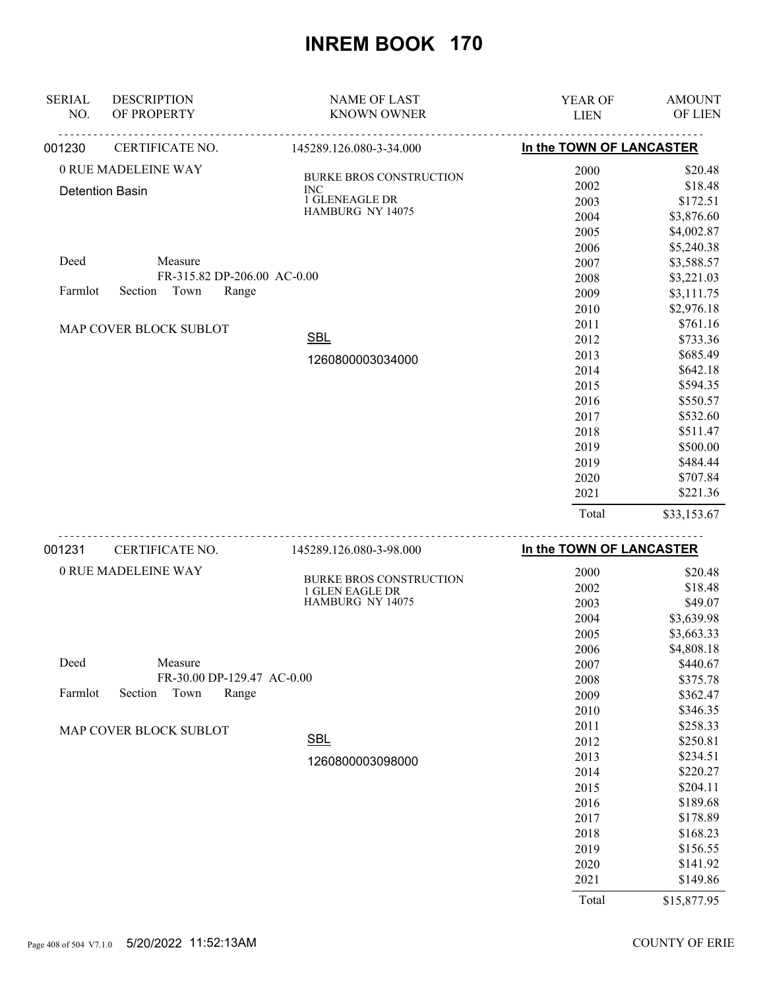| <b>SERIAL</b><br>NO. | <b>DESCRIPTION</b><br>OF PROPERTY     | <b>NAME OF LAST</b><br><b>KNOWN OWNER</b>              | YEAR OF<br><b>LIEN</b>   | <b>AMOUNT</b><br>OF LIEN |
|----------------------|---------------------------------------|--------------------------------------------------------|--------------------------|--------------------------|
| 001230               | .<br>CERTIFICATE NO.                  | <u> - - - - - - - - - -</u><br>145289.126.080-3-34.000 | In the TOWN OF LANCASTER |                          |
|                      | 0 RUE MADELEINE WAY                   |                                                        | 2000                     | \$20.48                  |
|                      |                                       | <b>BURKE BROS CONSTRUCTION</b>                         | 2002                     | \$18.48                  |
|                      | <b>Detention Basin</b>                | <b>INC</b><br>1 GLENEAGLE DR                           | 2003                     | \$172.51                 |
|                      |                                       | HAMBURG NY 14075                                       | 2004                     | \$3,876.60               |
|                      |                                       |                                                        | 2005                     | \$4,002.87               |
|                      |                                       |                                                        | 2006                     | \$5,240.38               |
| Deed                 | Measure                               |                                                        | 2007                     | \$3,588.57               |
|                      | FR-315.82 DP-206.00 AC-0.00           |                                                        | 2008                     | \$3,221.03               |
| Farmlot              | Section<br>Town<br>Range              |                                                        | 2009                     | \$3,111.75               |
|                      |                                       |                                                        | 2010                     | \$2,976.18               |
|                      |                                       |                                                        | 2011                     | \$761.16                 |
|                      | MAP COVER BLOCK SUBLOT                | <b>SBL</b>                                             | 2012                     | \$733.36                 |
|                      |                                       |                                                        | 2013                     | \$685.49                 |
|                      |                                       | 1260800003034000                                       | 2014                     | \$642.18                 |
|                      |                                       |                                                        | 2015                     | \$594.35                 |
|                      |                                       |                                                        | 2016                     | \$550.57                 |
|                      |                                       |                                                        | 2017                     | \$532.60                 |
|                      |                                       |                                                        | 2018                     | \$511.47                 |
|                      |                                       |                                                        | 2019                     | \$500.00                 |
|                      |                                       |                                                        | 2019                     | \$484.44                 |
|                      |                                       |                                                        | 2020                     | \$707.84                 |
|                      |                                       |                                                        | 2021                     | \$221.36                 |
|                      |                                       |                                                        | Total                    | \$33,153.67              |
| 001231               | <u>.</u><br>CERTIFICATE NO.           | 145289.126.080-3-98.000                                | In the TOWN OF LANCASTER |                          |
|                      |                                       |                                                        |                          |                          |
|                      | 0 RUE MADELEINE WAY                   | <b>BURKE BROS CONSTRUCTION</b>                         | 2000                     | \$20.48                  |
|                      |                                       | 1 GLEN EAGLE DR<br>HAMBURG NY 14075                    | 2002                     | \$18.48                  |
|                      |                                       |                                                        | 2003                     | \$49.07                  |
|                      |                                       |                                                        | 2004                     | \$3,639.98               |
|                      |                                       |                                                        | 2005                     | \$3,663.33               |
|                      |                                       |                                                        | 2006                     | \$4,808.18               |
| Deed                 | Measure<br>FR-30.00 DP-129.47 AC-0.00 |                                                        | 2007                     | \$440.67                 |
| Farmlot              | Section<br>Town<br>Range              |                                                        | 2008                     | \$375.78                 |
|                      |                                       |                                                        | 2009                     | \$362.47                 |
|                      |                                       |                                                        | 2010                     | \$346.35                 |
|                      | MAP COVER BLOCK SUBLOT                | <b>SBL</b>                                             | 2011                     | \$258.33                 |
|                      |                                       |                                                        | 2012                     | \$250.81<br>\$234.51     |
|                      |                                       | 1260800003098000                                       | 2013                     |                          |
|                      |                                       |                                                        | 2014                     | \$220.27<br>\$204.11     |
|                      |                                       |                                                        | 2015                     |                          |
|                      |                                       |                                                        | 2016                     | \$189.68                 |
|                      |                                       |                                                        | 2017<br>2018             | \$178.89<br>\$168.23     |
|                      |                                       |                                                        | 2019                     | \$156.55                 |
|                      |                                       |                                                        | 2020                     | \$141.92                 |
|                      |                                       |                                                        |                          |                          |

Total \$15,877.95

2021 \$149.86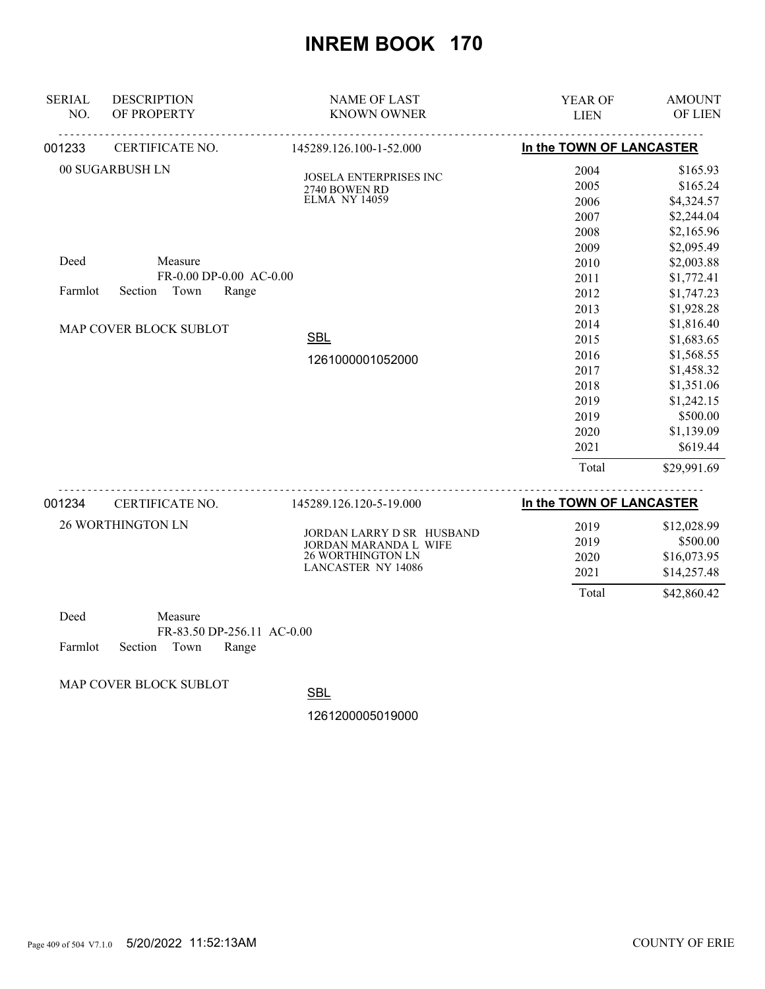| <b>SERIAL</b><br>NO. | <b>DESCRIPTION</b><br>OF PROPERTY                                                     | <b>NAME OF LAST</b><br><b>KNOWN OWNER</b>      | <b>YEAR OF</b><br><b>LIEN</b>   | <b>AMOUNT</b><br>OF LIEN |
|----------------------|---------------------------------------------------------------------------------------|------------------------------------------------|---------------------------------|--------------------------|
| 001233               | CERTIFICATE NO.                                                                       | 145289.126.100-1-52.000                        | In the TOWN OF LANCASTER        |                          |
|                      | 00 SUGARBUSH LN                                                                       | <b>JOSELA ENTERPRISES INC</b><br>2740 BOWEN RD | 2004<br>2005                    | \$165.93<br>\$165.24     |
|                      |                                                                                       | <b>ELMA NY 14059</b>                           | 2006                            | \$4,324.57<br>\$2,244.04 |
|                      |                                                                                       |                                                | 2007<br>2008                    | \$2,165.96               |
|                      |                                                                                       |                                                | 2009                            | \$2,095.49               |
| Deed                 | Measure                                                                               |                                                | 2010                            | \$2,003.88               |
|                      | FR-0.00 DP-0.00 AC-0.00                                                               |                                                | 2011                            | \$1,772.41               |
| Farmlot              | Town<br>Range<br>Section                                                              |                                                | 2012                            | \$1,747.23               |
|                      |                                                                                       |                                                | 2013                            | \$1,928.28               |
|                      | MAP COVER BLOCK SUBLOT                                                                |                                                | 2014                            | \$1,816.40               |
|                      |                                                                                       | <b>SBL</b>                                     | 2015                            | \$1,683.65               |
|                      |                                                                                       | 1261000001052000                               | 2016                            | \$1,568.55               |
|                      |                                                                                       |                                                | 2017                            | \$1,458.32               |
|                      |                                                                                       |                                                | 2018                            | \$1,351.06               |
|                      |                                                                                       |                                                | 2019                            | \$1,242.15               |
|                      |                                                                                       |                                                | 2019                            | \$500.00                 |
|                      |                                                                                       |                                                | 2020                            | \$1,139.09               |
|                      |                                                                                       |                                                | 2021                            | \$619.44                 |
|                      |                                                                                       |                                                | Total                           | \$29,991.69              |
|                      | $0.04224$ $\alpha$ $\beta$ $\beta$ $\beta$ $\gamma$ $\beta$ $\gamma$ $\beta$ $\gamma$ | 14520012612051000                              | <b>In the TOWN OF LANCASTED</b> |                          |

| 001234 | <b>CERTIFICATE NO.</b>   | 145289.126.120-5-19.000                                                                       | In the TOWN OF LANCASTER     |                                                       |
|--------|--------------------------|-----------------------------------------------------------------------------------------------|------------------------------|-------------------------------------------------------|
|        | <b>26 WORTHINGTON LN</b> | JORDAN LARRY D SR HUSBAND<br>JORDAN MARANDA L WIFE<br>26 WORTHINGTON LN<br>LANCASTER NY 14086 | 2019<br>2019<br>2020<br>2021 | \$12,028.99<br>\$500.00<br>\$16,073.95<br>\$14,257.48 |
|        |                          |                                                                                               | Total                        | \$42,860.42                                           |
| Deed   | Moocuro                  |                                                                                               |                              |                                                       |

| - Deed                     | Measure |                            |  |
|----------------------------|---------|----------------------------|--|
|                            |         | FR-83.50 DP-256.11 AC-0.00 |  |
| Farmlot Section Town Range |         |                            |  |

MAP COVER BLOCK SUBLOT

**SBL**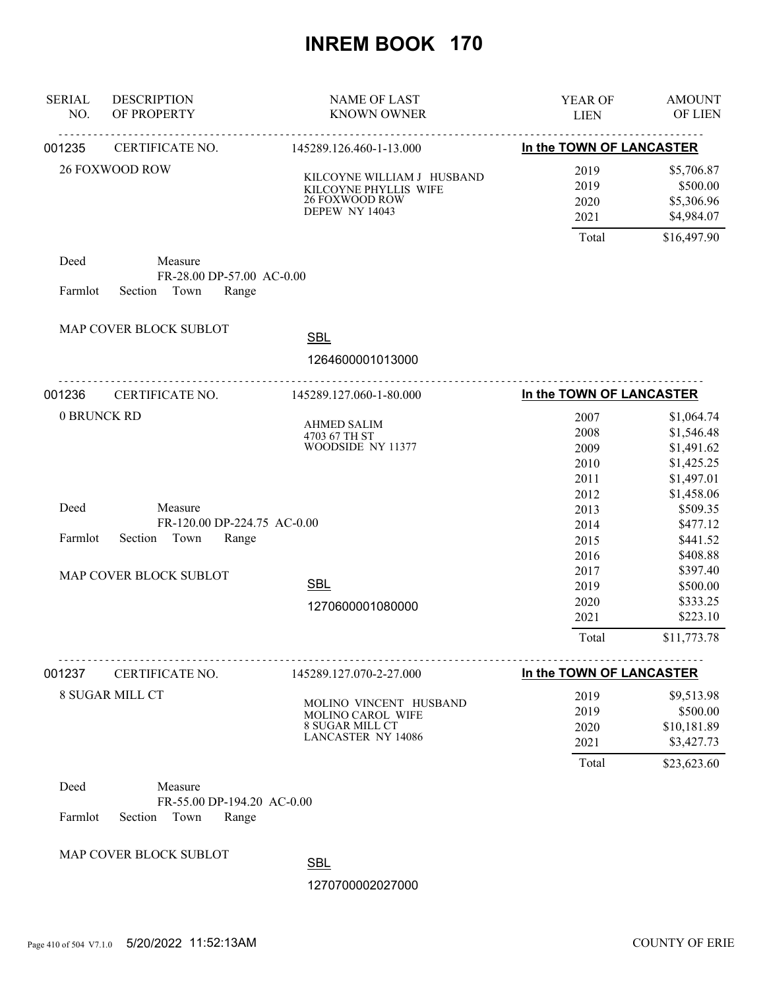| <b>SERIAL</b><br>NO. | <b>DESCRIPTION</b><br>OF PROPERTY    | <b>NAME OF LAST</b><br><b>KNOWN OWNER</b>                                                      | YEAR OF<br><b>LIEN</b>       | <b>AMOUNT</b><br><b>OF LIEN</b>                    |
|----------------------|--------------------------------------|------------------------------------------------------------------------------------------------|------------------------------|----------------------------------------------------|
| 001235               | CERTIFICATE NO.                      | 145289.126.460-1-13.000                                                                        | In the TOWN OF LANCASTER     |                                                    |
|                      | <b>26 FOXWOOD ROW</b>                | KILCOYNE WILLIAM J HUSBAND<br>KILCOYNE PHYLLIS WIFE<br>26 FOXWOOD ROW<br><b>DEPEW NY 14043</b> | 2019<br>2019<br>2020<br>2021 | \$5,706.87<br>\$500.00<br>\$5,306.96<br>\$4,984.07 |
|                      |                                      |                                                                                                | Total                        | \$16,497.90                                        |
| Deed                 | Measure<br>FR-28.00 DP-57.00 AC-0.00 |                                                                                                |                              |                                                    |
| Farmlot              | Section<br>Town<br>Range             |                                                                                                |                              |                                                    |
|                      | MAP COVER BLOCK SUBLOT               | <b>SBL</b>                                                                                     |                              |                                                    |
|                      |                                      | 1264600001013000                                                                               |                              |                                                    |
| 001236               | CERTIFICATE NO.                      | <u>.</u><br>145289.127.060-1-80.000                                                            | In the TOWN OF LANCASTER     |                                                    |
| 0 BRUNCK RD          |                                      |                                                                                                | 2007                         | \$1,064.74                                         |
|                      |                                      | <b>AHMED SALIM</b><br>4703 67 TH ST                                                            | 2008                         | \$1,546.48                                         |
|                      |                                      | WOODSIDE NY 11377                                                                              | 2009                         | \$1,491.62                                         |
|                      |                                      |                                                                                                | 2010                         | \$1,425.25                                         |
|                      |                                      |                                                                                                | 2011                         | \$1,497.01                                         |
|                      |                                      |                                                                                                | 2012                         | \$1,458.06                                         |
| Deed                 | Measure                              |                                                                                                | 2013                         | \$509.35                                           |
|                      | FR-120.00 DP-224.75 AC-0.00          |                                                                                                | 2014                         | \$477.12                                           |
| Farmlot              | Section<br>Town<br>Range             |                                                                                                | 2015                         | \$441.52                                           |
|                      |                                      |                                                                                                | 2016                         | \$408.88                                           |
|                      | MAP COVER BLOCK SUBLOT               |                                                                                                | 2017                         | \$397.40                                           |
|                      |                                      | <b>SBL</b>                                                                                     | 2019                         | \$500.00                                           |
|                      |                                      | 1270600001080000                                                                               | 2020                         | \$333.25                                           |
|                      |                                      |                                                                                                | 2021                         | \$223.10                                           |
|                      |                                      |                                                                                                | Total                        | \$11,773.78                                        |
| 001237               | CERTIFICATE NO.                      | 145289.127.070-2-27.000                                                                        | In the TOWN OF LANCASTER     |                                                    |
|                      | <b>8 SUGAR MILL CT</b>               |                                                                                                | 2019                         | \$9,513.98                                         |
|                      |                                      | MOLINO VINCENT HUSBAND                                                                         | 2019                         | \$500.00                                           |
|                      |                                      | MOLINO CAROL WIFE<br>8 SUGAR MILL CT                                                           | 2020                         | \$10,181.89                                        |
|                      |                                      | <b>LANCASTER NY 14086</b>                                                                      | 2021                         | \$3,427.73                                         |
|                      |                                      |                                                                                                | Total                        | \$23,623.60                                        |
| Deed                 | Measure                              |                                                                                                |                              |                                                    |
|                      | FR-55.00 DP-194.20 AC-0.00           |                                                                                                |                              |                                                    |
| Farmlot              | Section<br>Town<br>Range             |                                                                                                |                              |                                                    |
|                      |                                      |                                                                                                |                              |                                                    |
|                      | MAP COVER BLOCK SUBLOT               | $\sim$                                                                                         |                              |                                                    |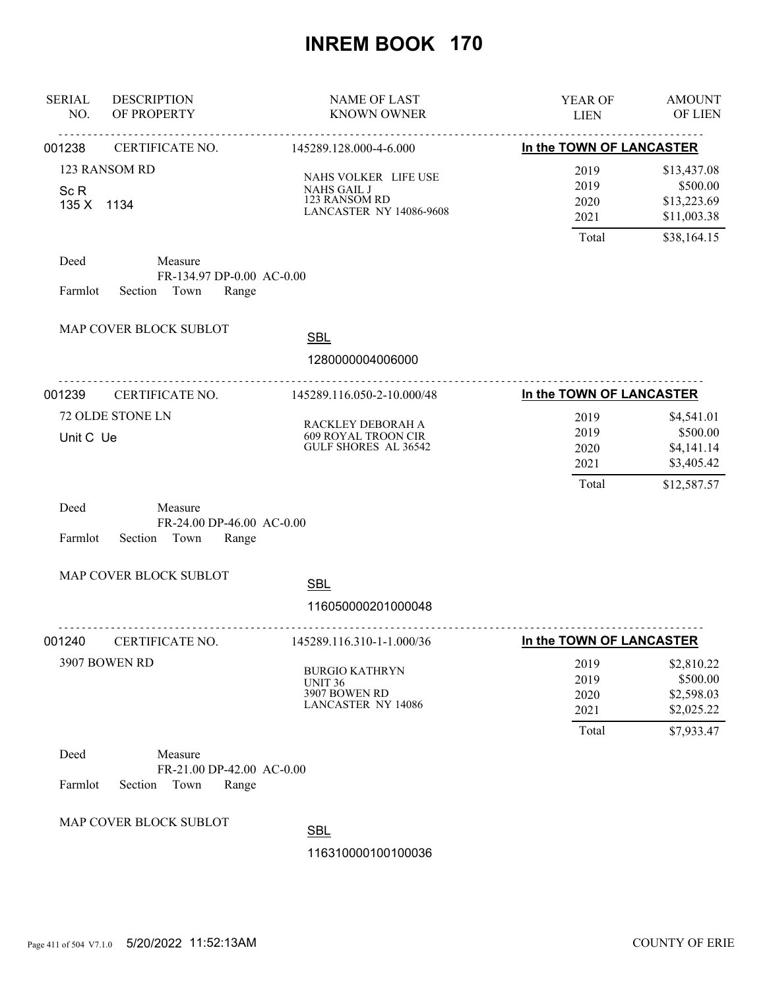| <b>SERIAL</b><br>NO.                           | <b>DESCRIPTION</b><br>OF PROPERTY                                | <b>NAME OF LAST</b><br><b>KNOWN OWNER</b>                                                     | YEAR OF<br><b>LIEN</b>                | <b>AMOUNT</b><br>OF LIEN                                          |
|------------------------------------------------|------------------------------------------------------------------|-----------------------------------------------------------------------------------------------|---------------------------------------|-------------------------------------------------------------------|
| 001238                                         | .<br>CERTIFICATE NO.                                             | . <b>.</b><br>145289.128.000-4-6.000                                                          | In the TOWN OF LANCASTER              |                                                                   |
| 123 RANSOM RD<br>Sc <sub>R</sub><br>135 X 1134 |                                                                  | NAHS VOLKER LIFE USE<br><b>NAHS GAIL J</b><br>123 RANSOM RD<br><b>LANCASTER NY 14086-9608</b> | 2019<br>2019<br>2020<br>2021          | \$13,437.08<br>\$500.00<br>\$13,223.69<br>\$11,003.38             |
| Deed<br>Farmlot                                | Measure<br>FR-134.97 DP-0.00 AC-0.00<br>Section Town<br>Range    |                                                                                               | Total                                 | \$38,164.15                                                       |
|                                                | MAP COVER BLOCK SUBLOT                                           | <b>SBL</b><br>1280000004006000                                                                |                                       |                                                                   |
| 001239                                         | .<br>CERTIFICATE NO.                                             | 145289.116.050-2-10.000/48                                                                    | In the TOWN OF LANCASTER              |                                                                   |
| Unit C Ue                                      | 72 OLDE STONE LN                                                 | RACKLEY DEBORAH A<br><b>609 ROYAL TROON CIR</b><br>GULF SHORES AL 36542                       | 2019<br>2019<br>2020<br>2021<br>Total | \$4,541.01<br>\$500.00<br>\$4,141.14<br>\$3,405.42<br>\$12,587.57 |
| Deed<br>Farmlot                                | Measure<br>FR-24.00 DP-46.00 AC-0.00<br>Section<br>Town<br>Range |                                                                                               |                                       |                                                                   |
|                                                | MAP COVER BLOCK SUBLOT                                           | <b>SBL</b><br>116050000201000048                                                              |                                       |                                                                   |
| 001240                                         | CERTIFICATE NO.                                                  | .<br>145289.116.310-1-1.000/36                                                                | In the TOWN OF LANCASTER              |                                                                   |
| 3907 BOWEN RD                                  |                                                                  | <b>BURGIO KATHRYN</b><br>UNIT <sub>36</sub><br>3907 BOWEN RD<br><b>LANCASTER NY 14086</b>     | 2019<br>2019<br>2020<br>2021<br>Total | \$2,810.22<br>\$500.00<br>\$2,598.03<br>\$2,025.22<br>\$7,933.47  |
| Deed<br>Farmlot                                | Measure<br>FR-21.00 DP-42.00 AC-0.00<br>Section<br>Town<br>Range |                                                                                               |                                       |                                                                   |
|                                                | MAP COVER BLOCK SUBLOT                                           | <b>SBL</b>                                                                                    |                                       |                                                                   |
|                                                |                                                                  | 116310000100100036                                                                            |                                       |                                                                   |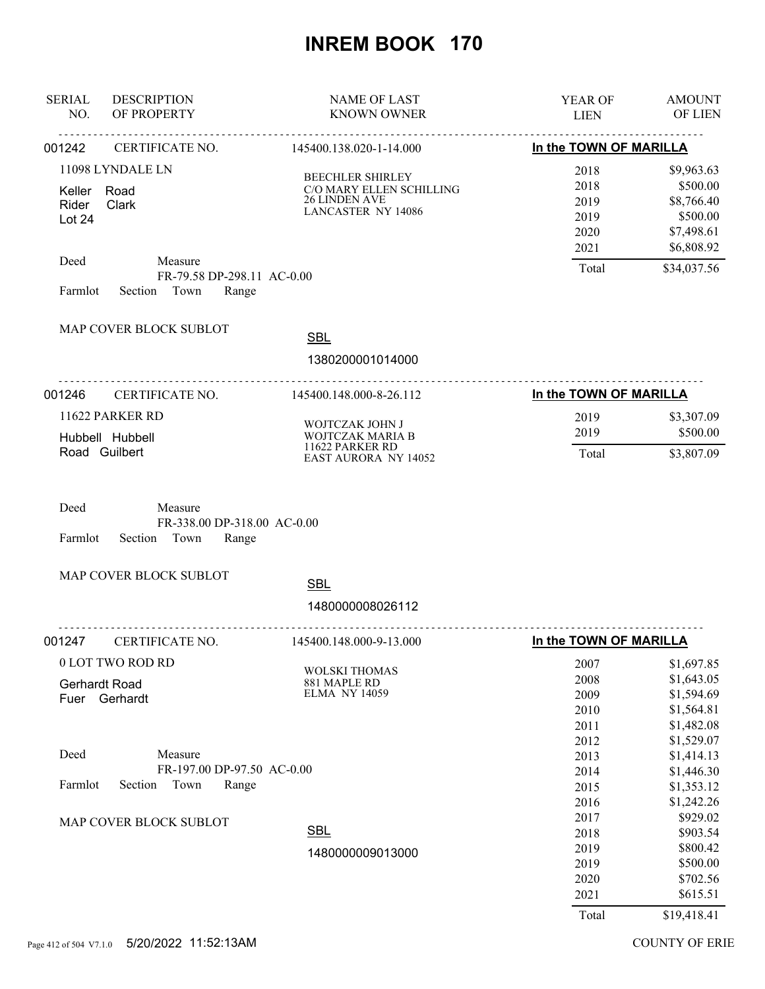| <b>SERIAL</b><br><b>DESCRIPTION</b><br>NO.<br>OF PROPERTY                                                       | <b>NAME OF LAST</b><br><b>KNOWN OWNER</b>                                                                | YEAR OF<br><b>LIEN</b>                                | <b>AMOUNT</b><br>OF LIEN                                                                    |
|-----------------------------------------------------------------------------------------------------------------|----------------------------------------------------------------------------------------------------------|-------------------------------------------------------|---------------------------------------------------------------------------------------------|
| <u>.</u><br>001242<br>CERTIFICATE NO.                                                                           | <u>.</u><br>145400.138.020-1-14.000                                                                      | In the TOWN OF MARILLA                                |                                                                                             |
| 11098 LYNDALE LN<br>Keller<br>Road<br>Rider<br>Clark<br>Lot 24<br>Deed<br>Measure<br>FR-79.58 DP-298.11 AC-0.00 | <b>BEECHLER SHIRLEY</b><br>C/O MARY ELLEN SCHILLING<br><b>26 LINDEN AVE</b><br><b>LANCASTER NY 14086</b> | 2018<br>2018<br>2019<br>2019<br>2020<br>2021<br>Total | \$9,963.63<br>\$500.00<br>\$8,766.40<br>\$500.00<br>\$7,498.61<br>\$6,808.92<br>\$34,037.56 |
| Section Town<br>Farmlot<br>Range                                                                                |                                                                                                          |                                                       |                                                                                             |
| MAP COVER BLOCK SUBLOT                                                                                          | <b>SBL</b><br>1380200001014000                                                                           |                                                       |                                                                                             |
| 001246<br>CERTIFICATE NO.                                                                                       | 145400.148.000-8-26.112                                                                                  | In the TOWN OF MARILLA                                |                                                                                             |
| 11622 PARKER RD<br>Hubbell Hubbell<br>Road Guilbert                                                             | WOJTCZAK JOHN J<br>WOJTCZAK MARIA B<br>11622 PARKER RD<br><b>EAST AURORA NY 14052</b>                    | 2019<br>2019<br>Total                                 | \$3,307.09<br>\$500.00<br>\$3,807.09                                                        |
| Deed<br>Measure<br>FR-338.00 DP-318.00 AC-0.00<br>Farmlot<br>Section<br>Town<br>Range                           |                                                                                                          |                                                       |                                                                                             |
| MAP COVER BLOCK SUBLOT                                                                                          | <b>SBL</b><br>1480000008026112                                                                           |                                                       |                                                                                             |
| 001247<br>CERTIFICATE NO.                                                                                       | .<br>145400.148.000-9-13.000                                                                             | In the TOWN OF MARILLA                                |                                                                                             |
| 0 LOT TWO ROD RD<br><b>Gerhardt Road</b><br>Fuer Gerhardt                                                       | <b>WOLSKI THOMAS</b><br>881 MAPLE RD<br><b>ELMA NY 14059</b>                                             | 2007<br>2008<br>2009<br>2010<br>2011<br>2012          | \$1,697.85<br>\$1,643.05<br>\$1,594.69<br>\$1,564.81<br>\$1,482.08<br>\$1,529.07            |
| Deed<br>Measure<br>FR-197.00 DP-97.50 AC-0.00<br>Farmlot<br>Section<br>Town<br>Range                            |                                                                                                          | 2013<br>2014<br>2015<br>2016                          | \$1,414.13<br>\$1,446.30<br>\$1,353.12<br>\$1,242.26                                        |
| MAP COVER BLOCK SUBLOT                                                                                          | <b>SBL</b><br>1480000009013000                                                                           | 2017<br>2018<br>2019<br>2019<br>2020<br>2021<br>Total | \$929.02<br>\$903.54<br>\$800.42<br>\$500.00<br>\$702.56<br>\$615.51<br>\$19,418.41         |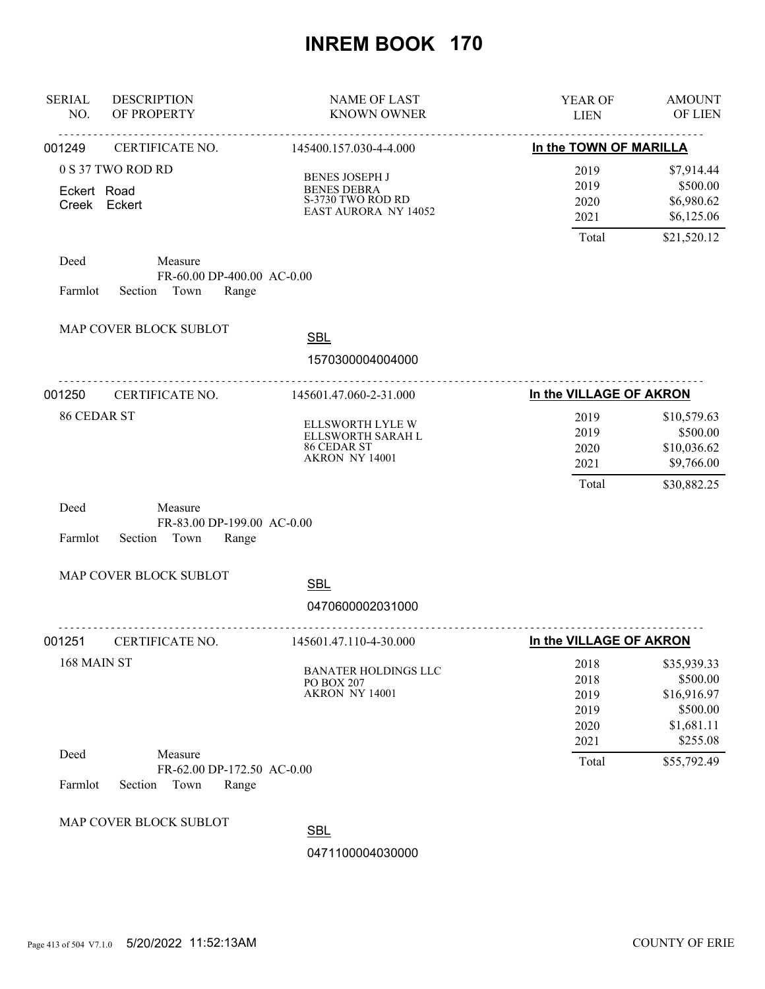| <b>SERIAL</b><br>NO. | <b>DESCRIPTION</b><br>OF PROPERTY                                 | <b>NAME OF LAST</b><br><b>KNOWN OWNER</b>                                                       | <b>YEAR OF</b><br><b>LIEN</b>                | <b>AMOUNT</b><br><b>OF LIEN</b>                                              |
|----------------------|-------------------------------------------------------------------|-------------------------------------------------------------------------------------------------|----------------------------------------------|------------------------------------------------------------------------------|
| 001249               | CERTIFICATE NO.                                                   | 145400.157.030-4-4.000                                                                          | In the TOWN OF MARILLA                       |                                                                              |
| Eckert Road          | 0 S 37 TWO ROD RD<br>Creek Eckert                                 | <b>BENES JOSEPH J</b><br><b>BENES DEBRA</b><br>S-3730 TWO ROD RD<br><b>EAST AURORA NY 14052</b> | 2019<br>2019<br>2020<br>2021                 | \$7,914.44<br>\$500.00<br>\$6,980.62<br>\$6,125.06                           |
|                      |                                                                   |                                                                                                 | Total                                        | \$21,520.12                                                                  |
| Deed<br>Farmlot      | Measure<br>FR-60.00 DP-400.00 AC-0.00<br>Section Town<br>Range    |                                                                                                 |                                              |                                                                              |
|                      | MAP COVER BLOCK SUBLOT                                            | <b>SBL</b>                                                                                      |                                              |                                                                              |
|                      |                                                                   | 1570300004004000                                                                                |                                              |                                                                              |
| 001250               | CERTIFICATE NO.                                                   | 145601.47.060-2-31.000                                                                          | In the VILLAGE OF AKRON                      |                                                                              |
| 86 CEDAR ST          |                                                                   | ELLSWORTH LYLE W<br>ELLSWORTH SARAH L<br>86 CEDAR ST<br>AKRON NY 14001                          | 2019<br>2019<br>2020<br>2021                 | \$10,579.63<br>\$500.00<br>\$10,036.62<br>\$9,766.00                         |
|                      |                                                                   |                                                                                                 | Total                                        | \$30,882.25                                                                  |
| Deed<br>Farmlot      | Measure<br>FR-83.00 DP-199.00 AC-0.00<br>Section Town<br>Range    |                                                                                                 |                                              |                                                                              |
|                      | MAP COVER BLOCK SUBLOT                                            | <b>SBL</b>                                                                                      |                                              |                                                                              |
|                      |                                                                   | 0470600002031000                                                                                |                                              |                                                                              |
| 001251               | CERTIFICATE NO.                                                   | <u>.</u><br>145601.47.110-4-30.000                                                              | In the VILLAGE OF AKRON                      |                                                                              |
| 168 MAIN ST          |                                                                   | <b>BANATER HOLDINGS LLC</b><br>PO BOX 207<br>AKRON NY 14001                                     | 2018<br>2018<br>2019<br>2019<br>2020<br>2021 | \$35,939.33<br>\$500.00<br>\$16,916.97<br>\$500.00<br>\$1,681.11<br>\$255.08 |
| Deed<br>Farmlot      | Measure<br>FR-62.00 DP-172.50 AC-0.00<br>Section<br>Town<br>Range |                                                                                                 | Total                                        | \$55,792.49                                                                  |
|                      | MAP COVER BLOCK SUBLOT                                            | <b>SBL</b>                                                                                      |                                              |                                                                              |
|                      |                                                                   | 0471100004030000                                                                                |                                              |                                                                              |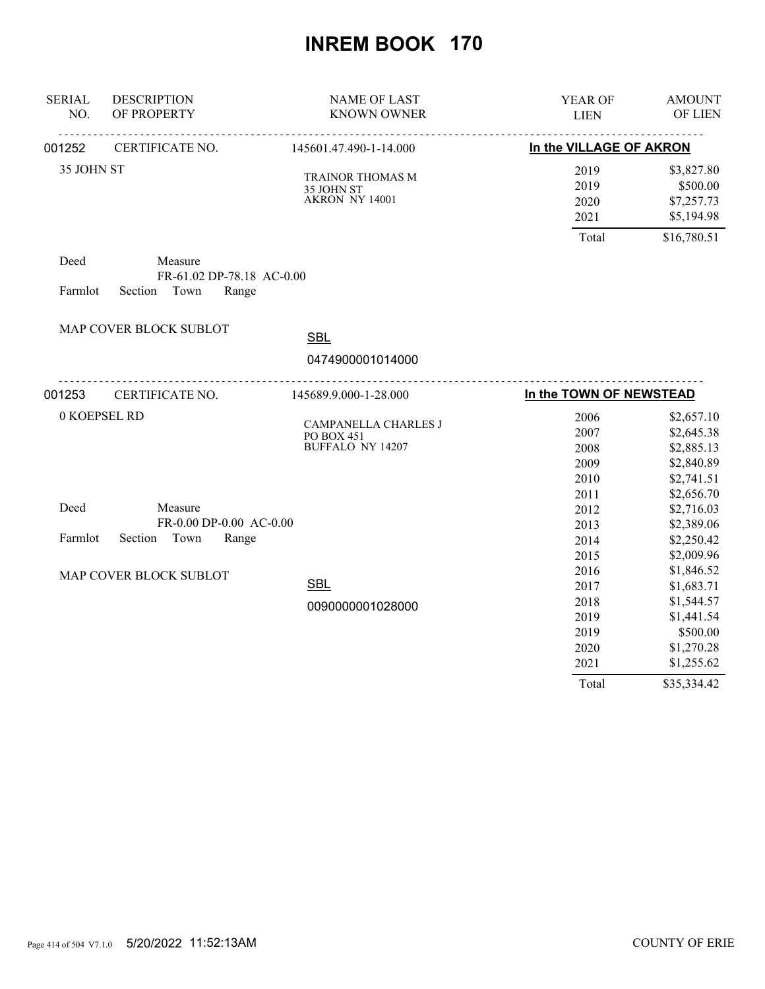| <b>SERIAL</b><br>NO. | <b>DESCRIPTION</b><br>OF PROPERTY                              | <b>NAME OF LAST</b><br><b>KNOWN OWNER</b>                     | YEAR OF<br><b>LIEN</b>                                        | <b>AMOUNT</b><br>OF LIEN                                                                                    |
|----------------------|----------------------------------------------------------------|---------------------------------------------------------------|---------------------------------------------------------------|-------------------------------------------------------------------------------------------------------------|
| 001252               | CERTIFICATE NO.                                                | 145601.47.490-1-14.000                                        | In the VILLAGE OF AKRON                                       |                                                                                                             |
| 35 JOHN ST           |                                                                | TRAINOR THOMAS M<br>35 JOHN ST<br>AKRON NY 14001              | 2019<br>2019<br>2020<br>2021<br>Total                         | \$3,827.80<br>\$500.00<br>\$7,257.73<br>\$5,194.98                                                          |
| Deed<br>Farmlot      | Measure<br>FR-61.02 DP-78.18 AC-0.00<br>Section Town<br>Range  |                                                               |                                                               | \$16,780.51                                                                                                 |
|                      | MAP COVER BLOCK SUBLOT                                         | <b>SBL</b>                                                    |                                                               |                                                                                                             |
|                      |                                                                | 0474900001014000                                              |                                                               |                                                                                                             |
| 001253               | CERTIFICATE NO.                                                | <u>.</u><br>145689.9.000-1-28.000                             | In the TOWN OF NEWSTEAD                                       |                                                                                                             |
| 0 KOEPSEL RD         |                                                                | CAMPANELLA CHARLES J<br>PO BOX 451<br><b>BUFFALO NY 14207</b> | 2006<br>2007<br>2008<br>2009<br>2010                          | \$2,657.10<br>\$2,645.38<br>\$2,885.13<br>\$2,840.89<br>\$2,741.51                                          |
| Deed<br>Farmlot      | Measure<br>FR-0.00 DP-0.00 AC-0.00<br>Town<br>Range<br>Section |                                                               | 2011<br>2012<br>2013<br>2014<br>2015                          | \$2,656.70<br>\$2,716.03<br>\$2,389.06<br>\$2,250.42<br>\$2,009.96                                          |
|                      | MAP COVER BLOCK SUBLOT                                         | <b>SBL</b><br>0090000001028000                                | 2016<br>2017<br>2018<br>2019<br>2019<br>2020<br>2021<br>Total | \$1,846.52<br>\$1,683.71<br>\$1,544.57<br>\$1,441.54<br>\$500.00<br>\$1,270.28<br>\$1,255.62<br>\$35,334.42 |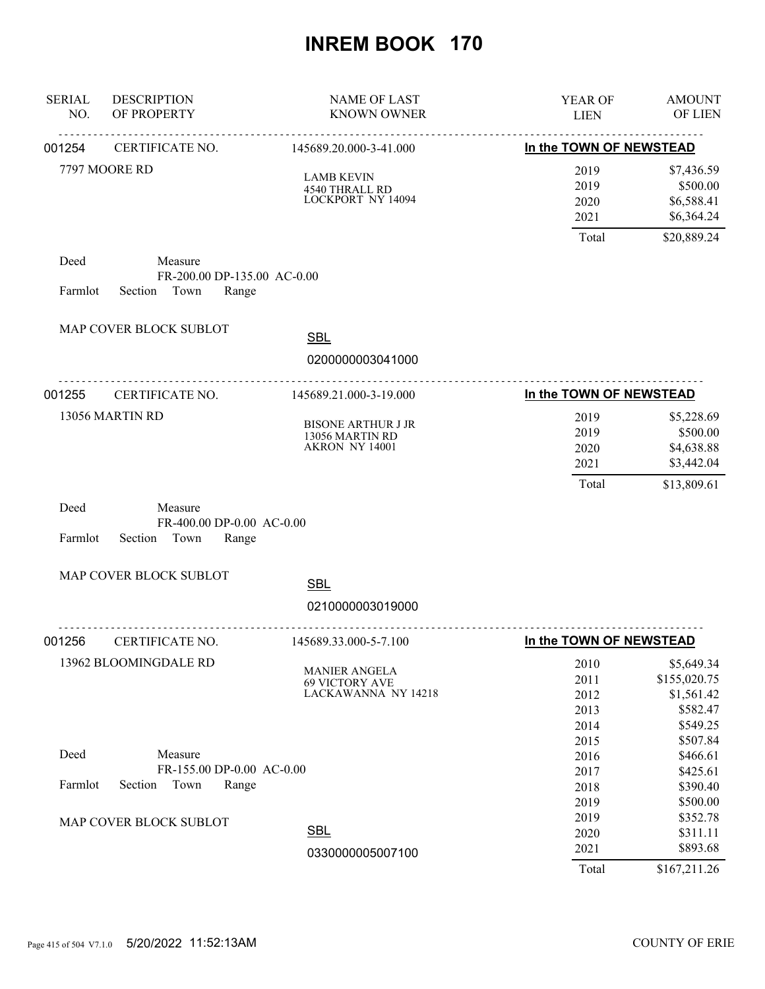| <b>SERIAL</b><br>NO. | <b>DESCRIPTION</b><br>OF PROPERTY                                  | <b>NAME OF LAST</b><br><b>KNOWN OWNER</b>                            | YEAR OF<br><b>LIEN</b>               | <b>AMOUNT</b><br>OF LIEN                                         |
|----------------------|--------------------------------------------------------------------|----------------------------------------------------------------------|--------------------------------------|------------------------------------------------------------------|
| 001254               | CERTIFICATE NO.                                                    | <u>.</u><br>145689.20.000-3-41.000                                   | In the TOWN OF NEWSTEAD              |                                                                  |
|                      | 7797 MOORE RD                                                      | <b>LAMB KEVIN</b><br>4540 THRALL RD<br>LOCKPORT NY 14094             | 2019<br>2019<br>2020<br>2021         | \$7,436.59<br>\$500.00<br>\$6,588.41<br>\$6,364.24               |
|                      |                                                                    |                                                                      | Total                                | \$20,889.24                                                      |
| Deed<br>Farmlot      | Measure<br>FR-200.00 DP-135.00 AC-0.00<br>Town<br>Section<br>Range |                                                                      |                                      |                                                                  |
|                      | MAP COVER BLOCK SUBLOT                                             | <b>SBL</b>                                                           |                                      |                                                                  |
|                      |                                                                    | 0200000003041000                                                     |                                      |                                                                  |
| 001255               | <u>.</u><br>CERTIFICATE NO.                                        | .<br>145689.21.000-3-19.000                                          | In the TOWN OF NEWSTEAD              |                                                                  |
|                      | 13056 MARTIN RD                                                    | <b>BISONE ARTHUR J JR</b><br>13056 MARTIN RD<br>AKRON NY 14001       | 2019<br>2019<br>2020<br>2021         | \$5,228.69<br>\$500.00<br>\$4,638.88<br>\$3,442.04               |
| Deed<br>Farmlot      | Measure<br>FR-400.00 DP-0.00 AC-0.00<br>Section<br>Town<br>Range   |                                                                      | Total                                | \$13,809.61                                                      |
|                      | MAP COVER BLOCK SUBLOT                                             | <b>SBL</b>                                                           |                                      |                                                                  |
|                      |                                                                    | 0210000003019000                                                     |                                      |                                                                  |
| 001256               | CERTIFICATE NO.                                                    | 145689.33.000-5-7.100                                                | In the TOWN OF NEWSTEAD              |                                                                  |
|                      | 13962 BLOOMINGDALE RD                                              | <b>MANIER ANGELA</b><br><b>69 VICTORY AVE</b><br>LACKAWANNA NY 14218 | 2010<br>2011<br>2012<br>2013<br>2014 | \$5,649.34<br>\$155,020.75<br>\$1,561.42<br>\$582.47<br>\$549.25 |
| Deed                 | Measure                                                            |                                                                      | 2015<br>2016                         | \$507.84<br>\$466.61                                             |
| Farmlot              | FR-155.00 DP-0.00 AC-0.00<br>Section<br>Town<br>Range              |                                                                      | 2017<br>2018<br>2019                 | \$425.61<br>\$390.40<br>\$500.00                                 |
|                      | MAP COVER BLOCK SUBLOT                                             | <b>SBL</b>                                                           | 2019<br>2020<br>2021                 | \$352.78<br>\$311.11<br>\$893.68                                 |
|                      |                                                                    | 0330000005007100                                                     | Total                                | \$167,211.26                                                     |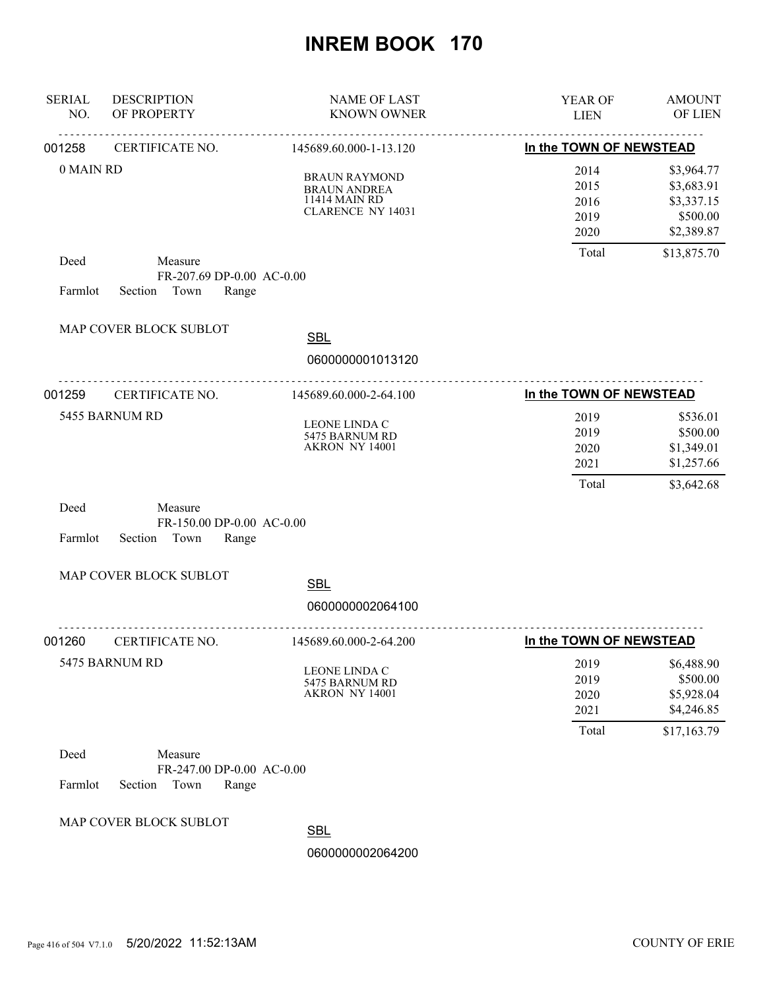| <b>SERIAL</b><br>NO. | <b>DESCRIPTION</b><br>OF PROPERTY                                | <b>NAME OF LAST</b><br><b>KNOWN OWNER</b>                                                | <b>YEAR OF</b><br><b>LIEN</b>         | <b>AMOUNT</b><br>OF LIEN                                          |
|----------------------|------------------------------------------------------------------|------------------------------------------------------------------------------------------|---------------------------------------|-------------------------------------------------------------------|
| 001258               | .<br>CERTIFICATE NO.                                             | <u>.</u><br>145689.60.000-1-13.120                                                       | In the TOWN OF NEWSTEAD               |                                                                   |
| 0 MAIN RD            |                                                                  | <b>BRAUN RAYMOND</b><br><b>BRAUN ANDREA</b><br>11414 MAIN RD<br><b>CLARENCE NY 14031</b> | 2014<br>2015<br>2016<br>2019<br>2020  | \$3,964.77<br>\$3,683.91<br>\$3,337.15<br>\$500.00<br>\$2,389.87  |
| Deed<br>Farmlot      | Measure<br>FR-207.69 DP-0.00 AC-0.00<br>Section Town<br>Range    |                                                                                          | Total                                 | \$13,875.70                                                       |
|                      | MAP COVER BLOCK SUBLOT                                           | <b>SBL</b><br>0600000001013120                                                           |                                       |                                                                   |
| 001259               | CERTIFICATE NO.                                                  | 145689.60.000-2-64.100                                                                   | In the TOWN OF NEWSTEAD               |                                                                   |
|                      | 5455 BARNUM RD                                                   | LEONE LINDA C<br>5475 BARNUM RD<br>AKRON NY 14001                                        | 2019<br>2019<br>2020<br>2021<br>Total | \$536.01<br>\$500.00<br>\$1,349.01<br>\$1,257.66<br>\$3,642.68    |
| Deed<br>Farmlot      | Measure<br>FR-150.00 DP-0.00 AC-0.00<br>Section<br>Town<br>Range |                                                                                          |                                       |                                                                   |
|                      | MAP COVER BLOCK SUBLOT                                           | <b>SBL</b>                                                                               |                                       |                                                                   |
|                      |                                                                  | 0600000002064100                                                                         |                                       |                                                                   |
| 001260               | CERTIFICATE NO.                                                  | 145689.60.000-2-64.200                                                                   | In the TOWN OF NEWSTEAD               |                                                                   |
|                      | 5475 BARNUM RD                                                   | LEONE LINDA C<br>5475 BARNUM RD<br>AKRON NY 14001                                        | 2019<br>2019<br>2020<br>2021<br>Total | \$6,488.90<br>\$500.00<br>\$5,928.04<br>\$4,246.85<br>\$17,163.79 |
| Deed<br>Farmlot      | Measure<br>FR-247.00 DP-0.00 AC-0.00<br>Section<br>Town<br>Range |                                                                                          |                                       |                                                                   |
|                      | MAP COVER BLOCK SUBLOT                                           | <b>SBL</b>                                                                               |                                       |                                                                   |
|                      |                                                                  | 0600000002064200                                                                         |                                       |                                                                   |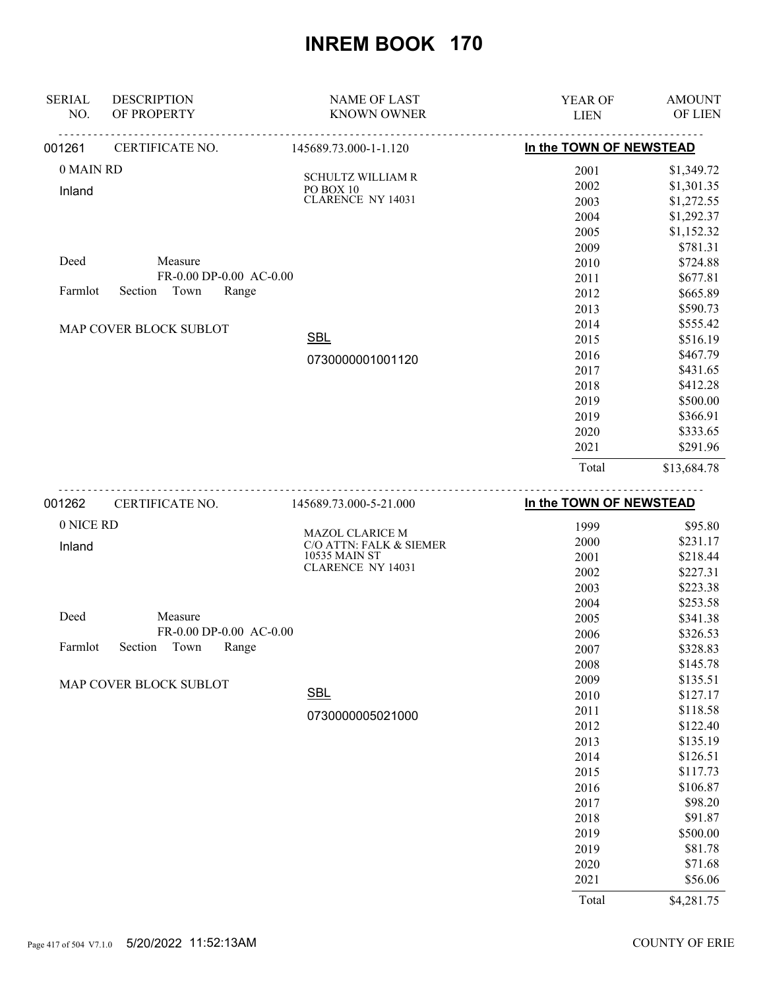|               |                               |                                       | Total                   | \$13,684.78   |
|---------------|-------------------------------|---------------------------------------|-------------------------|---------------|
|               |                               |                                       | 2021                    | \$291.96      |
|               |                               |                                       | 2020                    | \$333.65      |
|               |                               |                                       | 2019                    | \$366.91      |
|               |                               |                                       | 2019                    | \$500.00      |
|               |                               |                                       | 2018                    | \$412.28      |
|               |                               |                                       | 2017                    | \$431.65      |
|               |                               | 0730000001001120                      | 2016                    | \$467.79      |
|               |                               | <b>SBL</b>                            | 2015                    | \$516.19      |
|               | <b>MAP COVER BLOCK SUBLOT</b> |                                       | 2014                    | \$555.42      |
|               |                               |                                       | 2013                    | \$590.73      |
| Farmlot       | Town<br>Section<br>Range      |                                       | 2012                    | \$665.89      |
|               | $FR-0.00$ DP-0.00 AC-0.00     |                                       | 2011                    | \$677.81      |
| Deed          | Measure                       |                                       | 2010                    | \$724.88      |
|               |                               |                                       | 2009                    | \$781.31      |
|               |                               |                                       | 2005                    | \$1,152.32    |
|               |                               |                                       | 2004                    | \$1,292.37    |
| Inland        |                               | PO BOX 10<br><b>CLARENCE NY 14031</b> | 2003                    | \$1,272.55    |
|               |                               | <b>SCHULTZ WILLIAM R</b>              | 2002                    | \$1,301.35    |
| 0 MAIN RD     |                               |                                       | 2001                    | \$1,349.72    |
| 001261        | CERTIFICATE NO.               | 145689.73.000-1-1.120                 | In the TOWN OF NEWSTEAD |               |
| NO.           | OF PROPERTY                   | <b>KNOWN OWNER</b>                    | <b>LIEN</b>             | OF LIEN       |
| <b>SERIAL</b> | <b>DESCRIPTION</b>            | <b>NAME OF LAST</b>                   | YEAR OF                 | <b>AMOUNT</b> |

|  | 0 NICE RD                           |                                                   | 1999  | \$95.80    |
|--|-------------------------------------|---------------------------------------------------|-------|------------|
|  | Inland                              | <b>MAZOL CLARICE M</b><br>C/O ATTN: FALK & SIEMER | 2000  | \$231.17   |
|  |                                     | 10535 MAIN ST                                     | 2001  | \$218.44   |
|  |                                     | <b>CLARENCE NY 14031</b>                          | 2002  | \$227.31   |
|  |                                     |                                                   | 2003  | \$223.38   |
|  |                                     |                                                   | 2004  | \$253.58   |
|  | Deed<br>Measure                     |                                                   | 2005  | \$341.38   |
|  | FR-0.00 DP-0.00 AC-0.00             |                                                   | 2006  | \$326.53   |
|  | Town<br>Section<br>Range<br>Farmlot |                                                   | 2007  | \$328.83   |
|  |                                     |                                                   | 2008  | \$145.78   |
|  | MAP COVER BLOCK SUBLOT              |                                                   | 2009  | \$135.51   |
|  |                                     | <b>SBL</b>                                        | 2010  | \$127.17   |
|  |                                     | 0730000005021000                                  | 2011  | \$118.58   |
|  |                                     |                                                   | 2012  | \$122.40   |
|  |                                     |                                                   | 2013  | \$135.19   |
|  |                                     |                                                   | 2014  | \$126.51   |
|  |                                     |                                                   | 2015  | \$117.73   |
|  |                                     |                                                   | 2016  | \$106.87   |
|  |                                     |                                                   | 2017  | \$98.20    |
|  |                                     |                                                   | 2018  | \$91.87    |
|  |                                     |                                                   | 2019  | \$500.00   |
|  |                                     |                                                   | 2019  | \$81.78    |
|  |                                     |                                                   | 2020  | \$71.68    |
|  |                                     |                                                   | 2021  | \$56.06    |
|  |                                     |                                                   | Total | \$4,281.75 |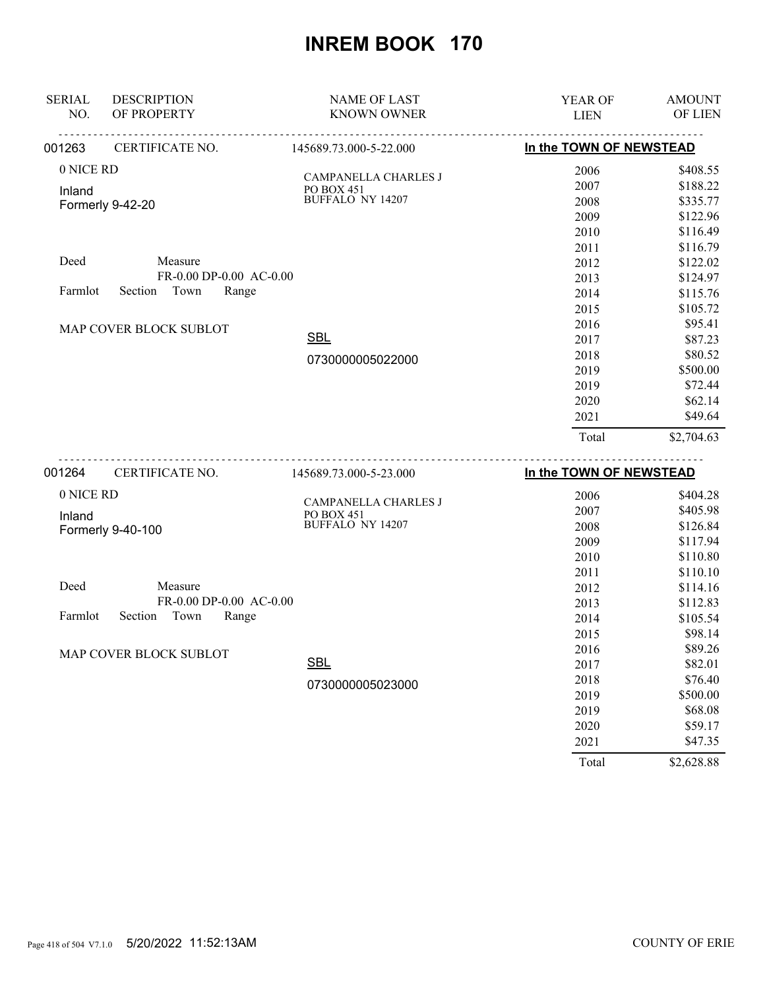| <b>SERIAL</b><br>NO. | <b>DESCRIPTION</b><br>OF PROPERTY | <b>NAME OF LAST</b><br><b>KNOWN OWNER</b> | <b>YEAR OF</b><br><b>LIEN</b> | <b>AMOUNT</b><br>OF LIEN |
|----------------------|-----------------------------------|-------------------------------------------|-------------------------------|--------------------------|
| 001263               | CERTIFICATE NO.                   | <u>.</u><br>145689.73.000-5-22.000        | In the TOWN OF NEWSTEAD       |                          |
| 0 NICE RD            |                                   |                                           | 2006                          | \$408.55                 |
| Inland               |                                   | CAMPANELLA CHARLES J<br>PO BOX 451        | 2007                          | \$188.22                 |
|                      | Formerly 9-42-20                  | <b>BUFFALO NY 14207</b>                   | 2008                          | \$335.77                 |
|                      |                                   |                                           | 2009                          | \$122.96                 |
|                      |                                   |                                           | 2010                          | \$116.49                 |
|                      |                                   |                                           | 2011                          | \$116.79                 |
| Deed                 | Measure                           |                                           | 2012                          | \$122.02                 |
|                      | FR-0.00 DP-0.00 AC-0.00           |                                           | 2013                          | \$124.97                 |
| Farmlot              | Town<br>Section<br>Range          |                                           | 2014                          | \$115.76                 |
|                      |                                   |                                           | 2015                          | \$105.72                 |
|                      | MAP COVER BLOCK SUBLOT            |                                           | 2016                          | \$95.41                  |
|                      |                                   | <b>SBL</b>                                | 2017                          | \$87.23                  |
|                      |                                   | 0730000005022000                          | 2018                          | \$80.52                  |
|                      |                                   |                                           | 2019                          | \$500.00                 |
|                      |                                   |                                           | 2019                          | \$72.44                  |
|                      |                                   |                                           | 2020                          | \$62.14                  |
|                      |                                   |                                           | 2021                          | \$49.64                  |
|                      |                                   |                                           | Total                         | \$2,704.63               |
| 001264               | CERTIFICATE NO.                   | 145689.73.000-5-23.000                    | In the TOWN OF NEWSTEAD       |                          |
| 0 NICE RD            |                                   |                                           | 2006                          | \$404.28                 |
| Inland               |                                   | CAMPANELLA CHARLES J<br>PO BOX 451        | 2007                          | \$405.98                 |
|                      | Formerly 9-40-100                 | <b>BUFFALO NY 14207</b>                   | 2008                          | \$126.84                 |
|                      |                                   |                                           | 2009                          | \$117.94                 |
|                      |                                   |                                           | 2010                          | \$110.80                 |
|                      |                                   |                                           | 2011                          | \$110.10                 |
| Deed                 | Measure                           |                                           | 2012                          | \$114.16                 |
|                      | FR-0.00 DP-0.00 AC-0.00           |                                           | 2013                          | \$112.83                 |
| Farmlot              | Section<br>Town<br>Range          |                                           | 2014                          | \$105.54                 |
|                      |                                   |                                           | 2015                          | \$98.14                  |
|                      | MAP COVER BLOCK SUBLOT            |                                           | 2016                          | \$89.26                  |

0730000005023000 **SBL** 

2016 \$89.26 2017 \$82.01 2018 \$76.40 2019 \$500.00 2019 \$68.08 2020 \$59.17 2021 \$47.35

Total \$2,628.88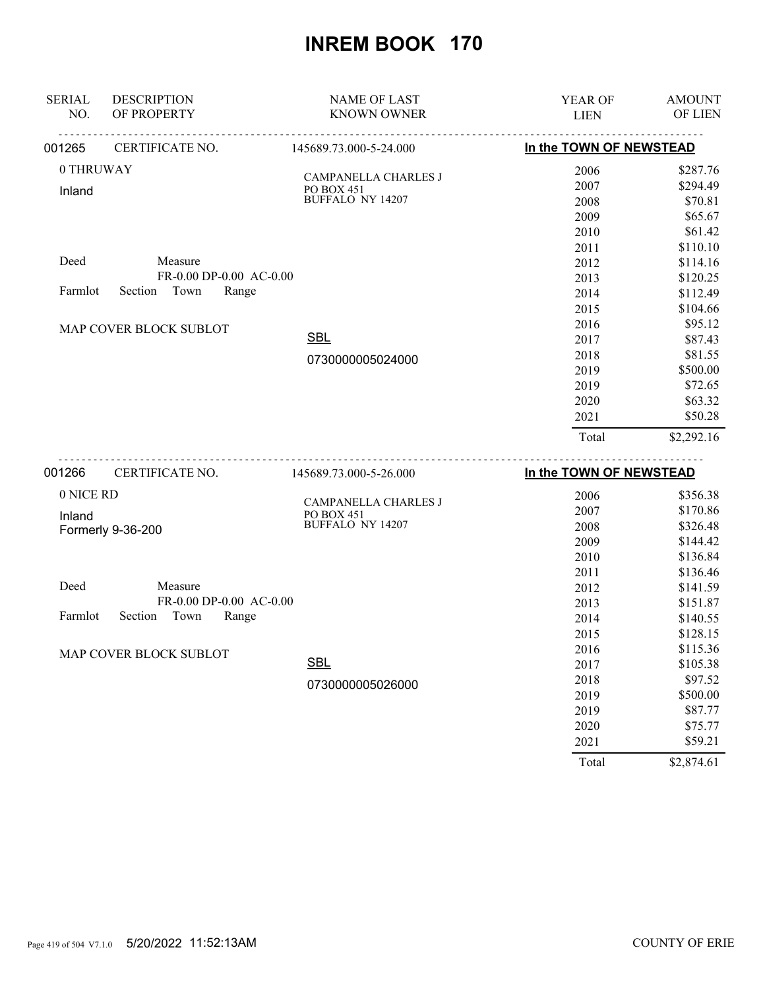| <b>SERIAL</b><br>NO. | <b>DESCRIPTION</b><br>OF PROPERTY | <b>NAME OF LAST</b><br><b>KNOWN OWNER</b> | <b>YEAR OF</b><br><b>LIEN</b> | <b>AMOUNT</b><br>OF LIEN |
|----------------------|-----------------------------------|-------------------------------------------|-------------------------------|--------------------------|
|                      |                                   |                                           |                               |                          |
| 001265               | CERTIFICATE NO.                   | 145689.73.000-5-24.000                    | In the TOWN OF NEWSTEAD       |                          |
| 0 THRUWAY            |                                   | CAMPANELLA CHARLES J                      | 2006                          | \$287.76                 |
| Inland               |                                   | PO BOX 451                                | 2007                          | \$294.49                 |
|                      |                                   | BUFFALO NY 14207                          | 2008                          | \$70.81                  |
|                      |                                   |                                           | 2009                          | \$65.67                  |
|                      |                                   |                                           | 2010                          | \$61.42                  |
|                      |                                   |                                           | 2011                          | \$110.10                 |
| Deed                 | Measure                           |                                           | 2012                          | \$114.16                 |
|                      | FR-0.00 DP-0.00 AC-0.00           |                                           | 2013                          | \$120.25                 |
| Farmlot              | Town<br>Section<br>Range          |                                           | 2014                          | \$112.49                 |
|                      |                                   |                                           | 2015                          | \$104.66                 |
|                      | MAP COVER BLOCK SUBLOT            |                                           | 2016                          | \$95.12                  |
|                      |                                   | <b>SBL</b>                                | 2017                          | \$87.43                  |
|                      |                                   | 0730000005024000                          | 2018                          | \$81.55                  |
|                      |                                   |                                           | 2019                          | \$500.00                 |
|                      |                                   |                                           | 2019                          | \$72.65                  |
|                      |                                   |                                           | 2020                          | \$63.32                  |
|                      |                                   |                                           | 2021                          | \$50.28                  |
|                      |                                   |                                           | Total                         | \$2,292.16               |
| 001266               | CERTIFICATE NO.                   | 145689.73.000-5-26.000                    | In the TOWN OF NEWSTEAD       |                          |
| 0 NICE RD            |                                   |                                           |                               |                          |
|                      |                                   | CAMPANELLA CHARLES J                      | 2006                          | \$356.38                 |
| Inland               |                                   | PO BOX 451<br><b>BUFFALO NY 14207</b>     | 2007                          | \$170.86                 |
|                      | Formerly 9-36-200                 |                                           | 2008                          | \$326.48                 |
|                      |                                   |                                           | 2009                          | \$144.42                 |
|                      |                                   |                                           | 2010                          | \$136.84                 |
| Deed                 | Measure                           |                                           | 2011                          | \$136.46                 |
|                      | FR-0.00 DP-0.00 AC-0.00           |                                           | 2012                          | \$141.59                 |
| Farmlot              | Section<br>Town<br>Range          |                                           | 2013                          | \$151.87                 |
|                      |                                   |                                           | 2014                          | \$140.55                 |
|                      |                                   |                                           | 2015                          | \$128.15                 |
|                      | MAP COVER BLOCK SUBLOT            | $\sim$ $\sim$ $\sim$                      | 2016                          | \$115.36                 |

0730000005026000 **SBL** 

Page 419 of 504 V7.1.0 5/20/2022 11:52:13AM COUNTY OF ERIE

 2017 \$105.38 2018 \$97.52 2019 \$500.00 2019 \$87.77 2020 \$75.77 2021 \$59.21 Total \$2,874.61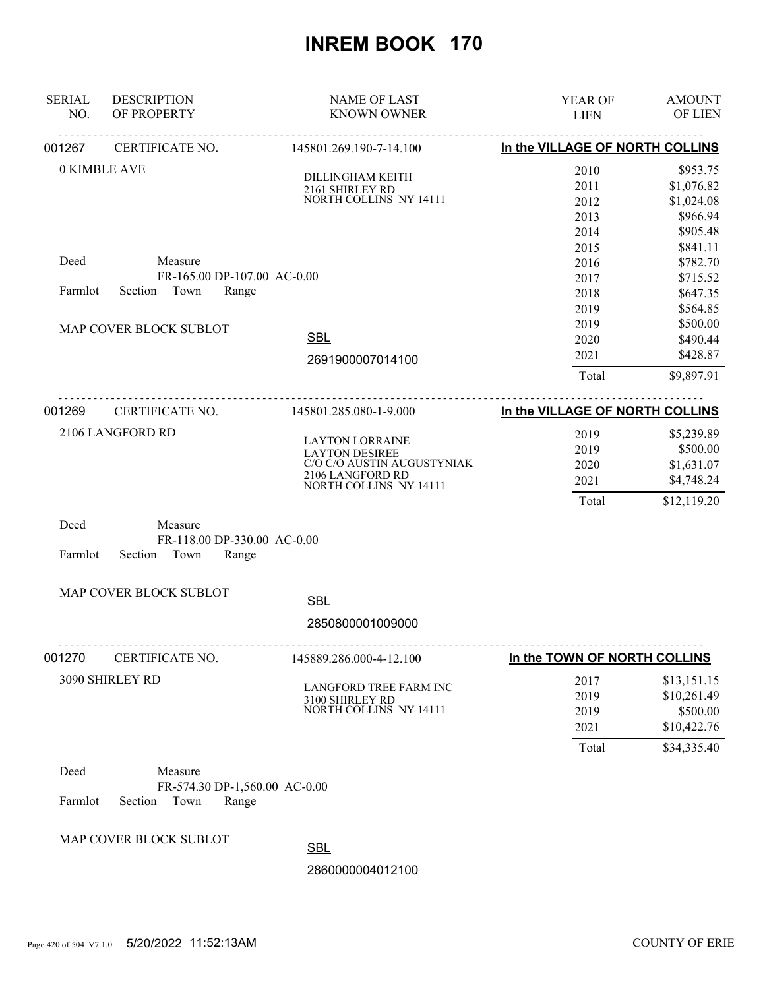| NO.<br>OF PROPERTY<br><b>KNOWN OWNER</b><br>OF LIEN<br><b>LIEN</b><br>In the VILLAGE OF NORTH COLLINS<br>CERTIFICATE NO.<br>145801.269.190-7-14.100<br>0 KIMBLE AVE<br>2010<br>\$953.75<br>DILLINGHAM KEITH<br>2011<br>\$1,076.82<br>2161 SHIRLEY RD<br>NORTH COLLINS NY 14111<br>2012<br>\$1,024.08<br>\$966.94<br>2013<br>2014<br>\$905.48<br>2015<br>\$841.11<br>Deed<br>Measure<br>\$782.70<br>2016<br>FR-165.00 DP-107.00 AC-0.00<br>2017<br>\$715.52<br>Town<br>Farmlot<br>Section<br>Range<br>2018<br>\$647.35<br>2019<br>\$564.85<br>2019<br>\$500.00<br>MAP COVER BLOCK SUBLOT<br><b>SBL</b><br>2020<br>\$490.44<br>2021<br>\$428.87<br>2691900007014100<br>Total<br>\$9,897.91<br>In the VILLAGE OF NORTH COLLINS<br>001269<br>CERTIFICATE NO.<br>145801.285.080-1-9.000<br>2106 LANGFORD RD<br>2019<br>\$5,239.89<br><b>LAYTON LORRAINE</b><br>\$500.00<br>2019<br><b>LAYTON DESIREE</b><br>C/O C/O AUSTIN AUGUSTYNIAK<br>2020<br>\$1,631.07<br>2106 LANGFORD RD<br>2021<br>\$4,748.24<br>NORTH COLLINS NY 14111<br>Total<br>\$12,119.20<br>Deed<br>Measure<br>FR-118.00 DP-330.00 AC-0.00<br>Farmlot<br>Section<br>Town<br>Range<br>MAP COVER BLOCK SUBLOT<br><b>SBL</b><br>2850800001009000<br>In the TOWN OF NORTH COLLINS<br>CERTIFICATE NO.<br>145889.286.000-4-12.100<br>3090 SHIRLEY RD<br>2017<br>\$13,151.15<br>LANGFORD TREE FARM INC<br>\$10,261.49<br>2019<br>3100 SHIRLEY RD<br>NORTH COLLINS NY 14111<br>\$500.00<br>2019<br>\$10,422.76<br>2021<br>\$34,335.40<br>Total<br>Deed<br>Measure<br>FR-574.30 DP-1,560.00 AC-0.00<br>Farmlot<br>Section<br>Town<br>Range<br>MAP COVER BLOCK SUBLOT | <b>SERIAL</b> | <b>DESCRIPTION</b> | <b>NAME OF LAST</b> | YEAR OF | <b>AMOUNT</b> |
|------------------------------------------------------------------------------------------------------------------------------------------------------------------------------------------------------------------------------------------------------------------------------------------------------------------------------------------------------------------------------------------------------------------------------------------------------------------------------------------------------------------------------------------------------------------------------------------------------------------------------------------------------------------------------------------------------------------------------------------------------------------------------------------------------------------------------------------------------------------------------------------------------------------------------------------------------------------------------------------------------------------------------------------------------------------------------------------------------------------------------------------------------------------------------------------------------------------------------------------------------------------------------------------------------------------------------------------------------------------------------------------------------------------------------------------------------------------------------------------------------------------------------------------------------------------------------------------------------------------------|---------------|--------------------|---------------------|---------|---------------|
|                                                                                                                                                                                                                                                                                                                                                                                                                                                                                                                                                                                                                                                                                                                                                                                                                                                                                                                                                                                                                                                                                                                                                                                                                                                                                                                                                                                                                                                                                                                                                                                                                        |               |                    |                     |         |               |
|                                                                                                                                                                                                                                                                                                                                                                                                                                                                                                                                                                                                                                                                                                                                                                                                                                                                                                                                                                                                                                                                                                                                                                                                                                                                                                                                                                                                                                                                                                                                                                                                                        | 001267        |                    |                     |         |               |
|                                                                                                                                                                                                                                                                                                                                                                                                                                                                                                                                                                                                                                                                                                                                                                                                                                                                                                                                                                                                                                                                                                                                                                                                                                                                                                                                                                                                                                                                                                                                                                                                                        |               |                    |                     |         |               |
|                                                                                                                                                                                                                                                                                                                                                                                                                                                                                                                                                                                                                                                                                                                                                                                                                                                                                                                                                                                                                                                                                                                                                                                                                                                                                                                                                                                                                                                                                                                                                                                                                        |               |                    |                     |         |               |
|                                                                                                                                                                                                                                                                                                                                                                                                                                                                                                                                                                                                                                                                                                                                                                                                                                                                                                                                                                                                                                                                                                                                                                                                                                                                                                                                                                                                                                                                                                                                                                                                                        |               |                    |                     |         |               |
|                                                                                                                                                                                                                                                                                                                                                                                                                                                                                                                                                                                                                                                                                                                                                                                                                                                                                                                                                                                                                                                                                                                                                                                                                                                                                                                                                                                                                                                                                                                                                                                                                        |               |                    |                     |         |               |
|                                                                                                                                                                                                                                                                                                                                                                                                                                                                                                                                                                                                                                                                                                                                                                                                                                                                                                                                                                                                                                                                                                                                                                                                                                                                                                                                                                                                                                                                                                                                                                                                                        |               |                    |                     |         |               |
|                                                                                                                                                                                                                                                                                                                                                                                                                                                                                                                                                                                                                                                                                                                                                                                                                                                                                                                                                                                                                                                                                                                                                                                                                                                                                                                                                                                                                                                                                                                                                                                                                        |               |                    |                     |         |               |
|                                                                                                                                                                                                                                                                                                                                                                                                                                                                                                                                                                                                                                                                                                                                                                                                                                                                                                                                                                                                                                                                                                                                                                                                                                                                                                                                                                                                                                                                                                                                                                                                                        |               |                    |                     |         |               |
|                                                                                                                                                                                                                                                                                                                                                                                                                                                                                                                                                                                                                                                                                                                                                                                                                                                                                                                                                                                                                                                                                                                                                                                                                                                                                                                                                                                                                                                                                                                                                                                                                        |               |                    |                     |         |               |
|                                                                                                                                                                                                                                                                                                                                                                                                                                                                                                                                                                                                                                                                                                                                                                                                                                                                                                                                                                                                                                                                                                                                                                                                                                                                                                                                                                                                                                                                                                                                                                                                                        |               |                    |                     |         |               |
|                                                                                                                                                                                                                                                                                                                                                                                                                                                                                                                                                                                                                                                                                                                                                                                                                                                                                                                                                                                                                                                                                                                                                                                                                                                                                                                                                                                                                                                                                                                                                                                                                        |               |                    |                     |         |               |
|                                                                                                                                                                                                                                                                                                                                                                                                                                                                                                                                                                                                                                                                                                                                                                                                                                                                                                                                                                                                                                                                                                                                                                                                                                                                                                                                                                                                                                                                                                                                                                                                                        |               |                    |                     |         |               |
|                                                                                                                                                                                                                                                                                                                                                                                                                                                                                                                                                                                                                                                                                                                                                                                                                                                                                                                                                                                                                                                                                                                                                                                                                                                                                                                                                                                                                                                                                                                                                                                                                        |               |                    |                     |         |               |
|                                                                                                                                                                                                                                                                                                                                                                                                                                                                                                                                                                                                                                                                                                                                                                                                                                                                                                                                                                                                                                                                                                                                                                                                                                                                                                                                                                                                                                                                                                                                                                                                                        |               |                    |                     |         |               |
|                                                                                                                                                                                                                                                                                                                                                                                                                                                                                                                                                                                                                                                                                                                                                                                                                                                                                                                                                                                                                                                                                                                                                                                                                                                                                                                                                                                                                                                                                                                                                                                                                        |               |                    |                     |         |               |
|                                                                                                                                                                                                                                                                                                                                                                                                                                                                                                                                                                                                                                                                                                                                                                                                                                                                                                                                                                                                                                                                                                                                                                                                                                                                                                                                                                                                                                                                                                                                                                                                                        |               |                    |                     |         |               |
|                                                                                                                                                                                                                                                                                                                                                                                                                                                                                                                                                                                                                                                                                                                                                                                                                                                                                                                                                                                                                                                                                                                                                                                                                                                                                                                                                                                                                                                                                                                                                                                                                        |               |                    |                     |         |               |
|                                                                                                                                                                                                                                                                                                                                                                                                                                                                                                                                                                                                                                                                                                                                                                                                                                                                                                                                                                                                                                                                                                                                                                                                                                                                                                                                                                                                                                                                                                                                                                                                                        |               |                    |                     |         |               |
|                                                                                                                                                                                                                                                                                                                                                                                                                                                                                                                                                                                                                                                                                                                                                                                                                                                                                                                                                                                                                                                                                                                                                                                                                                                                                                                                                                                                                                                                                                                                                                                                                        |               |                    |                     |         |               |
|                                                                                                                                                                                                                                                                                                                                                                                                                                                                                                                                                                                                                                                                                                                                                                                                                                                                                                                                                                                                                                                                                                                                                                                                                                                                                                                                                                                                                                                                                                                                                                                                                        |               |                    |                     |         |               |
|                                                                                                                                                                                                                                                                                                                                                                                                                                                                                                                                                                                                                                                                                                                                                                                                                                                                                                                                                                                                                                                                                                                                                                                                                                                                                                                                                                                                                                                                                                                                                                                                                        |               |                    |                     |         |               |
|                                                                                                                                                                                                                                                                                                                                                                                                                                                                                                                                                                                                                                                                                                                                                                                                                                                                                                                                                                                                                                                                                                                                                                                                                                                                                                                                                                                                                                                                                                                                                                                                                        |               |                    |                     |         |               |
|                                                                                                                                                                                                                                                                                                                                                                                                                                                                                                                                                                                                                                                                                                                                                                                                                                                                                                                                                                                                                                                                                                                                                                                                                                                                                                                                                                                                                                                                                                                                                                                                                        |               |                    |                     |         |               |
|                                                                                                                                                                                                                                                                                                                                                                                                                                                                                                                                                                                                                                                                                                                                                                                                                                                                                                                                                                                                                                                                                                                                                                                                                                                                                                                                                                                                                                                                                                                                                                                                                        |               |                    |                     |         |               |
|                                                                                                                                                                                                                                                                                                                                                                                                                                                                                                                                                                                                                                                                                                                                                                                                                                                                                                                                                                                                                                                                                                                                                                                                                                                                                                                                                                                                                                                                                                                                                                                                                        |               |                    |                     |         |               |
|                                                                                                                                                                                                                                                                                                                                                                                                                                                                                                                                                                                                                                                                                                                                                                                                                                                                                                                                                                                                                                                                                                                                                                                                                                                                                                                                                                                                                                                                                                                                                                                                                        |               |                    |                     |         |               |
|                                                                                                                                                                                                                                                                                                                                                                                                                                                                                                                                                                                                                                                                                                                                                                                                                                                                                                                                                                                                                                                                                                                                                                                                                                                                                                                                                                                                                                                                                                                                                                                                                        |               |                    |                     |         |               |
|                                                                                                                                                                                                                                                                                                                                                                                                                                                                                                                                                                                                                                                                                                                                                                                                                                                                                                                                                                                                                                                                                                                                                                                                                                                                                                                                                                                                                                                                                                                                                                                                                        |               |                    |                     |         |               |
|                                                                                                                                                                                                                                                                                                                                                                                                                                                                                                                                                                                                                                                                                                                                                                                                                                                                                                                                                                                                                                                                                                                                                                                                                                                                                                                                                                                                                                                                                                                                                                                                                        | 001270        |                    |                     |         |               |
|                                                                                                                                                                                                                                                                                                                                                                                                                                                                                                                                                                                                                                                                                                                                                                                                                                                                                                                                                                                                                                                                                                                                                                                                                                                                                                                                                                                                                                                                                                                                                                                                                        |               |                    |                     |         |               |
|                                                                                                                                                                                                                                                                                                                                                                                                                                                                                                                                                                                                                                                                                                                                                                                                                                                                                                                                                                                                                                                                                                                                                                                                                                                                                                                                                                                                                                                                                                                                                                                                                        |               |                    |                     |         |               |
|                                                                                                                                                                                                                                                                                                                                                                                                                                                                                                                                                                                                                                                                                                                                                                                                                                                                                                                                                                                                                                                                                                                                                                                                                                                                                                                                                                                                                                                                                                                                                                                                                        |               |                    |                     |         |               |
|                                                                                                                                                                                                                                                                                                                                                                                                                                                                                                                                                                                                                                                                                                                                                                                                                                                                                                                                                                                                                                                                                                                                                                                                                                                                                                                                                                                                                                                                                                                                                                                                                        |               |                    |                     |         |               |
|                                                                                                                                                                                                                                                                                                                                                                                                                                                                                                                                                                                                                                                                                                                                                                                                                                                                                                                                                                                                                                                                                                                                                                                                                                                                                                                                                                                                                                                                                                                                                                                                                        |               |                    |                     |         |               |
|                                                                                                                                                                                                                                                                                                                                                                                                                                                                                                                                                                                                                                                                                                                                                                                                                                                                                                                                                                                                                                                                                                                                                                                                                                                                                                                                                                                                                                                                                                                                                                                                                        |               |                    |                     |         |               |
|                                                                                                                                                                                                                                                                                                                                                                                                                                                                                                                                                                                                                                                                                                                                                                                                                                                                                                                                                                                                                                                                                                                                                                                                                                                                                                                                                                                                                                                                                                                                                                                                                        |               |                    |                     |         |               |
|                                                                                                                                                                                                                                                                                                                                                                                                                                                                                                                                                                                                                                                                                                                                                                                                                                                                                                                                                                                                                                                                                                                                                                                                                                                                                                                                                                                                                                                                                                                                                                                                                        |               |                    |                     |         |               |
| nn.                                                                                                                                                                                                                                                                                                                                                                                                                                                                                                                                                                                                                                                                                                                                                                                                                                                                                                                                                                                                                                                                                                                                                                                                                                                                                                                                                                                                                                                                                                                                                                                                                    |               |                    |                     |         |               |

SBL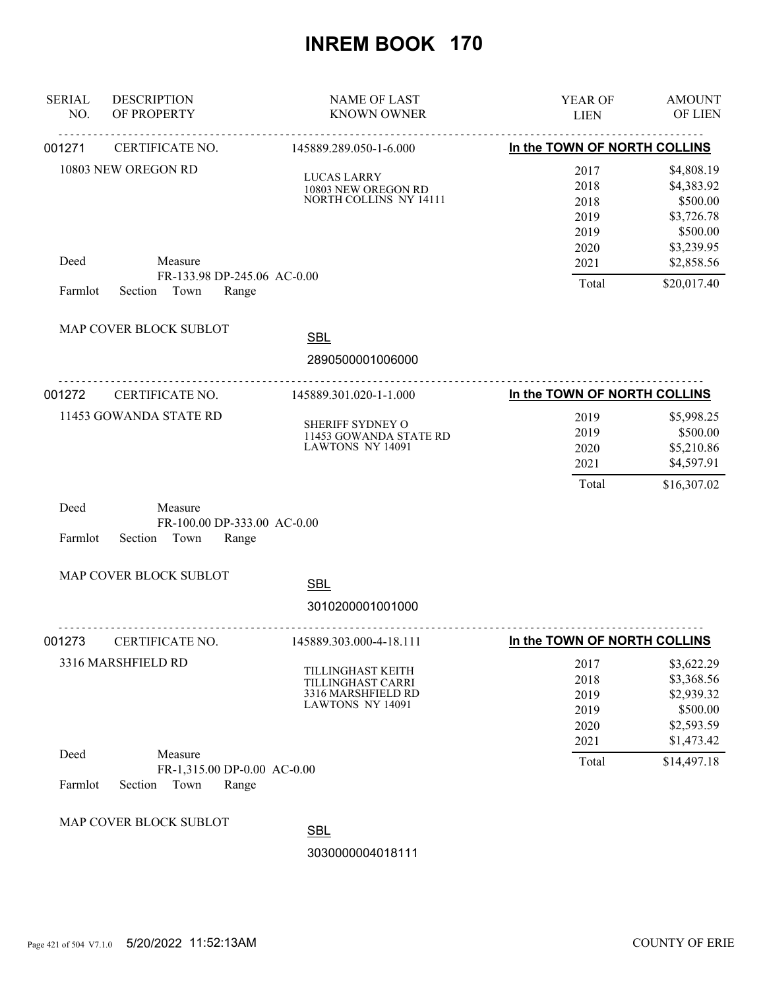| <b>SERIAL</b><br>NO. | <b>DESCRIPTION</b><br>OF PROPERTY                                  | <b>NAME OF LAST</b><br><b>KNOWN OWNER</b>                                               | YEAR OF<br><b>LIEN</b>                       | <b>AMOUNT</b><br>OF LIEN                                                       |
|----------------------|--------------------------------------------------------------------|-----------------------------------------------------------------------------------------|----------------------------------------------|--------------------------------------------------------------------------------|
| 001271               | CERTIFICATE NO.                                                    | 145889.289.050-1-6.000                                                                  | In the TOWN OF NORTH COLLINS                 |                                                                                |
|                      | 10803 NEW OREGON RD                                                | <b>LUCAS LARRY</b><br>10803 NEW OREGON RD<br>NORTH COLLINS NY 14111                     | 2017<br>2018<br>2018<br>2019<br>2019<br>2020 | \$4,808.19<br>\$4,383.92<br>\$500.00<br>\$3,726.78<br>\$500.00<br>\$3,239.95   |
| Deed<br>Farmlot      | Measure<br>FR-133.98 DP-245.06 AC-0.00<br>Town<br>Section<br>Range |                                                                                         | 2021<br>Total                                | \$2,858.56<br>\$20,017.40                                                      |
|                      | MAP COVER BLOCK SUBLOT                                             | <b>SBL</b><br>2890500001006000                                                          |                                              |                                                                                |
| 001272               | CERTIFICATE NO.                                                    | 145889.301.020-1-1.000                                                                  | In the TOWN OF NORTH COLLINS                 |                                                                                |
|                      | 11453 GOWANDA STATE RD                                             | SHERIFF SYDNEY O<br>11453 GOWANDA STATE RD<br>LAWTONS NY 14091                          | 2019<br>2019<br>2020<br>2021<br>Total        | \$5,998.25<br>\$500.00<br>\$5,210.86<br>\$4,597.91<br>\$16,307.02              |
| Deed<br>Farmlot      | Measure<br>FR-100.00 DP-333.00 AC-0.00<br>Town<br>Range<br>Section |                                                                                         |                                              |                                                                                |
|                      | MAP COVER BLOCK SUBLOT                                             | <b>SBL</b><br>3010200001001000                                                          |                                              |                                                                                |
| 001273               | CERTIFICATE NO.                                                    | 145889.303.000-4-18.111                                                                 | In the TOWN OF NORTH COLLINS                 |                                                                                |
|                      | 3316 MARSHFIELD RD                                                 | TILLINGHAST KEITH<br>TILLINGHAST CARRI<br>3316 MARSHFIELD RD<br><b>LAWTONS NY 14091</b> | 2017<br>2018<br>2019<br>2019<br>2020<br>2021 | \$3,622.29<br>\$3,368.56<br>\$2,939.32<br>\$500.00<br>\$2,593.59<br>\$1,473.42 |
| Deed<br>Farmlot      | Measure<br>FR-1,315.00 DP-0.00 AC-0.00<br>Town<br>Section<br>Range |                                                                                         | Total                                        | \$14,497.18                                                                    |
|                      | MAP COVER BLOCK SUBLOT                                             | <b>SBL</b><br>3030000004018111                                                          |                                              |                                                                                |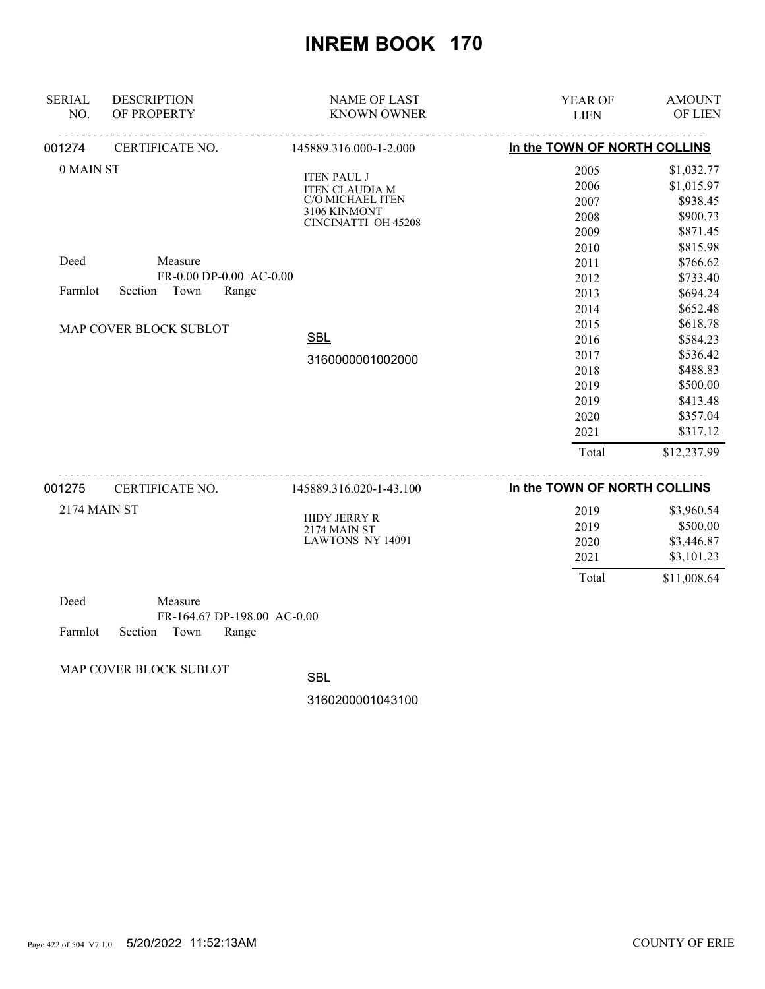| <b>SERIAL</b><br>NO. | <b>DESCRIPTION</b><br>OF PROPERTY | <b>NAME OF LAST</b><br><b>KNOWN OWNER</b>   | <b>YEAR OF</b><br><b>LIEN</b> | <b>AMOUNT</b><br>OF LIEN |
|----------------------|-----------------------------------|---------------------------------------------|-------------------------------|--------------------------|
| 001274               | <u>.</u><br>CERTIFICATE NO.       | 145889.316.000-1-2.000                      | In the TOWN OF NORTH COLLINS  |                          |
| 0 MAIN ST            |                                   |                                             | 2005                          | \$1,032.77               |
|                      |                                   | <b>ITEN PAUL J</b><br><b>ITEN CLAUDIA M</b> | 2006                          | \$1,015.97               |
|                      |                                   | C/O MICHAEL ITEN                            | 2007                          | \$938.45                 |
|                      |                                   | 3106 KINMONT<br>CINCINATTI OH 45208         | 2008                          | \$900.73                 |
|                      |                                   |                                             | 2009                          | \$871.45                 |
|                      |                                   |                                             | 2010                          | \$815.98                 |
| Deed                 | Measure                           |                                             | 2011                          | \$766.62                 |
|                      | FR-0.00 DP-0.00 AC-0.00           |                                             | 2012                          | \$733.40                 |
| Farmlot              | Town<br>Section<br>Range          |                                             | 2013                          | \$694.24                 |
|                      | MAP COVER BLOCK SUBLOT            |                                             | 2014                          | \$652.48                 |
|                      |                                   |                                             | 2015                          | \$618.78                 |
|                      | <b>SBL</b>                        | 2016                                        | \$584.23                      |                          |
|                      | 3160000001002000                  | 2017                                        | \$536.42                      |                          |
|                      |                                   |                                             | 2018                          | \$488.83                 |
|                      |                                   |                                             | 2019                          | \$500.00                 |
|                      |                                   |                                             | 2019                          | \$413.48                 |
|                      |                                   |                                             | 2020                          | \$357.04                 |
|                      |                                   |                                             | 2021                          | \$317.12                 |
|                      |                                   |                                             | Total                         | \$12,237.99              |
| 001275               | CERTIFICATE NO.                   | .<br>145889.316.020-1-43.100                | In the TOWN OF NORTH COLLINS  |                          |
| 2174 MAIN ST         |                                   |                                             | 2019                          | \$3,960.54               |
|                      |                                   | <b>HIDY JERRY R</b>                         | 2019                          | \$500.00                 |
|                      |                                   | <b>2174 MAIN ST</b><br>LAWTONS NY 14091     | 2020                          | \$3,446.87               |
|                      |                                   |                                             | 2021                          | \$3,101.23               |
|                      |                                   |                                             | Total                         | \$11,008.64              |

| Deed |                            | Measure |                             |  |
|------|----------------------------|---------|-----------------------------|--|
|      |                            |         | FR-164.67 DP-198.00 AC-0.00 |  |
|      | Farmlot Section Town Range |         |                             |  |

MAP COVER BLOCK SUBLOT

**SBL**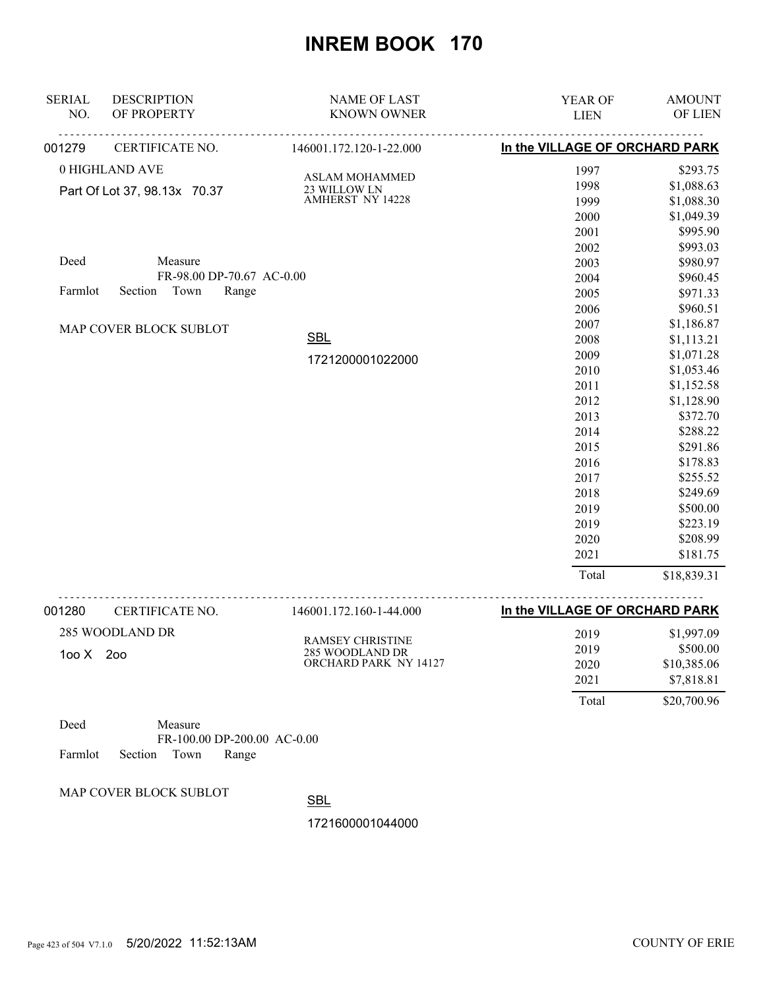| <b>SERIAL</b>                | <b>DESCRIPTION</b>        | <b>NAME OF LAST</b>              | YEAR OF                         | <b>AMOUNT</b> |
|------------------------------|---------------------------|----------------------------------|---------------------------------|---------------|
| NO.                          | OF PROPERTY               | <b>KNOWN OWNER</b>               | <b>LIEN</b>                     | OF LIEN       |
| 001279                       | CERTIFICATE NO.           | 146001.172.120-1-22.000          | In the VILLAGE OF ORCHARD PARK  |               |
|                              | 0 HIGHLAND AVE            | <b>ASLAM MOHAMMED</b>            | 1997                            | \$293.75      |
| Part Of Lot 37, 98.13x 70.37 |                           |                                  | 1998                            | \$1,088.63    |
|                              |                           | 23 WILLOW LN<br>AMHERST NY 14228 | 1999                            | \$1,088.30    |
|                              |                           |                                  | 2000                            | \$1,049.39    |
|                              |                           |                                  | 2001                            | \$995.90      |
|                              |                           |                                  | 2002                            | \$993.03      |
| Deed                         | Measure                   |                                  | 2003                            | \$980.97      |
|                              | FR-98.00 DP-70.67 AC-0.00 |                                  | 2004                            | \$960.45      |
| Farmlot                      | Section Town<br>Range     |                                  | 2005                            | \$971.33      |
|                              |                           |                                  | 2006                            | \$960.51      |
|                              | MAP COVER BLOCK SUBLOT    |                                  | 2007                            | \$1,186.87    |
|                              |                           | <b>SBL</b>                       | 2008                            | \$1,113.21    |
|                              |                           | 1721200001022000                 | 2009                            | \$1,071.28    |
|                              |                           |                                  | 2010                            | \$1,053.46    |
|                              |                           |                                  | 2011                            | \$1,152.58    |
|                              |                           |                                  | 2012                            | \$1,128.90    |
|                              |                           |                                  | 2013                            | \$372.70      |
|                              |                           |                                  | 2014                            | \$288.22      |
|                              |                           |                                  | 2015                            | \$291.86      |
|                              |                           |                                  | 2016                            | \$178.83      |
|                              |                           |                                  | 2017                            | \$255.52      |
|                              |                           |                                  | 2018                            | \$249.69      |
|                              |                           |                                  | 2019                            | \$500.00      |
|                              |                           |                                  | 2019                            | \$223.19      |
|                              |                           |                                  | 2020                            | \$208.99      |
|                              |                           |                                  | 2021                            | \$181.75      |
|                              |                           |                                  | Total                           | \$18,839.31   |
| <b>U8CPUU</b>                | CERTIFICATE NO            | 146001172160144000               | In the VII LAGE OF ORCHARD PARK |               |

| 001280              | CERTIFICATE NO. | 146001.172.160-1-44.000                                             | In the VILLAGE OF ORCHARD PARK |             |
|---------------------|-----------------|---------------------------------------------------------------------|--------------------------------|-------------|
|                     | 285 WOODLAND DR | <b>RAMSEY CHRISTINE</b><br>285 WOODLAND DR<br>ORCHARD PARK NY 14127 | 2019                           | \$1,997.09  |
| $100 \text{ X}$ 200 |                 |                                                                     | 2019                           | \$500.00    |
|                     |                 |                                                                     | 2020                           | \$10,385.06 |
|                     |                 |                                                                     | 2021                           | \$7,818.81  |
|                     |                 |                                                                     | Total                          | \$20,700.96 |

| Deed |                            | Measure |                             |  |
|------|----------------------------|---------|-----------------------------|--|
|      |                            |         | FR-100.00 DP-200.00 AC-0.00 |  |
|      | Farmlot Section Town Range |         |                             |  |

MAP COVER BLOCK SUBLOT

SBL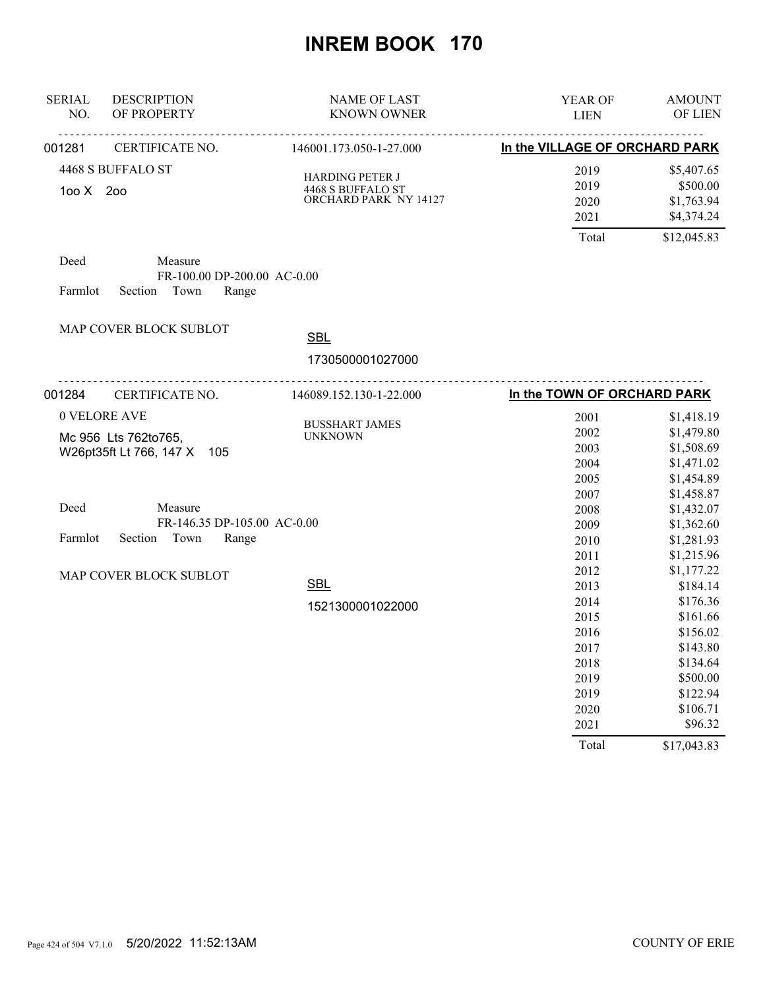| <b>SERIAL</b><br>NO. | <b>DESCRIPTION</b><br>OF PROPERTY                                  | NAME OF LAST<br><b>KNOWN OWNER</b>                                   | YEAR OF<br><b>LIEN</b>         | <b>AMOUNT</b><br>OF LIEN             |
|----------------------|--------------------------------------------------------------------|----------------------------------------------------------------------|--------------------------------|--------------------------------------|
| 001281               | CERTIFICATE NO.                                                    | 146001.173.050-1-27.000                                              | In the VILLAGE OF ORCHARD PARK |                                      |
|                      | 4468 S BUFFALO ST                                                  |                                                                      | 2019                           | \$5,407.65                           |
| 100 X 200            |                                                                    | <b>HARDING PETER J</b><br>4468 S BUFFALO ST<br>ORCHARD PARK NY 14127 | 2019<br>2020<br>2021           | \$500.00<br>\$1,763.94<br>\$4,374.24 |
|                      |                                                                    |                                                                      | Total                          | \$12,045.83                          |
| Deed<br>Farmlot      | Measure<br>FR-100.00 DP-200.00 AC-0.00<br>Section<br>Town<br>Range |                                                                      |                                |                                      |
|                      | MAP COVER BLOCK SUBLOT                                             | <b>SBL</b>                                                           |                                |                                      |
|                      |                                                                    | 1730500001027000                                                     |                                |                                      |
| 001284               | <u>.</u><br>CERTIFICATE NO.                                        | 146089.152.130-1-22.000                                              | In the TOWN OF ORCHARD PARK    |                                      |
|                      | 0 VELORE AVE                                                       |                                                                      | 2001                           | \$1,418.19                           |
|                      | Mc 956 Lts 762to765,                                               | <b>BUSSHART JAMES</b><br><b>UNKNOWN</b>                              | 2002                           | \$1,479.80                           |
|                      | W26pt35ft Lt 766, 147 X<br>105                                     |                                                                      | 2003                           | \$1,508.69                           |
|                      |                                                                    |                                                                      | 2004                           | \$1,471.02                           |
|                      |                                                                    |                                                                      | 2005                           | \$1,454.89                           |
|                      |                                                                    |                                                                      | 2007                           | \$1,458.87                           |
| Deed                 | Measure                                                            |                                                                      | 2008                           | \$1,432.07                           |
|                      | FR-146.35 DP-105.00 AC-0.00                                        |                                                                      | 2009                           | \$1,362.60                           |
| Farmlot              | Section<br>Town<br>Range                                           |                                                                      | 2010                           | \$1,281.93                           |
|                      |                                                                    |                                                                      | 2011                           | \$1,215.96                           |
|                      | MAP COVER BLOCK SUBLOT                                             |                                                                      | 2012                           | \$1,177.22                           |
|                      |                                                                    | <b>SBL</b>                                                           | 2013                           | \$184.14                             |
|                      |                                                                    | 1521300001022000                                                     | 2014                           | \$176.36                             |
|                      |                                                                    |                                                                      | 2015                           | \$161.66                             |
|                      |                                                                    |                                                                      | 2016                           | \$156.02                             |
|                      |                                                                    |                                                                      | 2017                           | \$143.80                             |
|                      |                                                                    |                                                                      | 2018                           | \$134.64                             |
|                      |                                                                    |                                                                      | 2019                           | \$500.00                             |
|                      |                                                                    |                                                                      | 2019                           | \$122.94                             |
|                      |                                                                    |                                                                      | 2020                           | \$106.71                             |
|                      |                                                                    |                                                                      | 2021                           | \$96.32                              |
|                      |                                                                    |                                                                      | Total                          | \$17,043.83                          |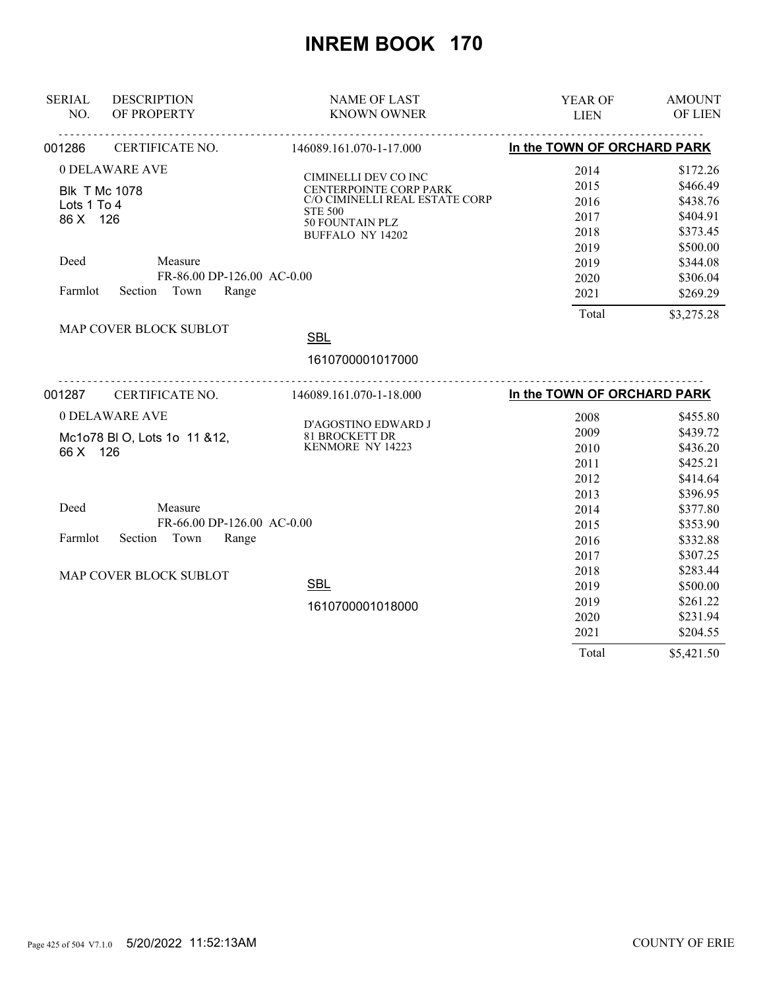| <b>SERIAL</b><br>NO. | <b>DESCRIPTION</b><br>OF PROPERTY | <b>NAME OF LAST</b><br><b>KNOWN OWNER</b>                    | YEAR OF<br><b>LIEN</b>      | <b>AMOUNT</b><br>OF LIEN |
|----------------------|-----------------------------------|--------------------------------------------------------------|-----------------------------|--------------------------|
| 001286               | CERTIFICATE NO.                   | 146089.161.070-1-17.000                                      | In the TOWN OF ORCHARD PARK |                          |
|                      | 0 DELAWARE AVE                    |                                                              | 2014                        | \$172.26                 |
|                      |                                   | CIMINELLI DEV CO INC<br>CENTERPOINTE CORP PARK               | 2015                        | \$466.49                 |
| Lots 1 To 4          | <b>Blk T Mc 1078</b>              | C/O CIMINELLI REAL ESTATE CORP                               | 2016                        | \$438.76                 |
| 86 X 126             |                                   | <b>STE 500</b>                                               | 2017                        | \$404.91                 |
|                      |                                   | 50 FOUNTAIN PLZ<br><b>BUFFALO NY 14202</b>                   | 2018                        | \$373.45                 |
|                      |                                   |                                                              | 2019                        | \$500.00                 |
| Deed                 | Measure                           |                                                              | 2019                        | \$344.08                 |
|                      | FR-86.00 DP-126.00 AC-0.00        |                                                              | 2020                        | \$306.04                 |
| Farmlot              | Town<br>Section<br>Range          |                                                              | 2021                        | \$269.29                 |
|                      |                                   |                                                              | Total                       | \$3,275.28               |
|                      | MAP COVER BLOCK SUBLOT            | <b>SBL</b>                                                   |                             |                          |
|                      |                                   |                                                              |                             |                          |
|                      |                                   | 1610700001017000                                             |                             |                          |
| 001287               | CERTIFICATE NO.                   | <u>__________________________</u><br>146089.161.070-1-18.000 | In the TOWN OF ORCHARD PARK |                          |
|                      | 0 DELAWARE AVE                    |                                                              | 2008                        | \$455.80                 |
|                      |                                   | D'AGOSTINO EDWARD J                                          | 2009                        | \$439.72                 |
| 66 X 126             | Mc1o78 BI O, Lots 1o 11 &12,      | 81 BROCKETT DR<br>KENMORE NY 14223                           | 2010                        | \$436.20                 |
|                      |                                   |                                                              | 2011                        | \$425.21                 |
|                      |                                   |                                                              | 2012                        | \$414.64                 |
|                      |                                   |                                                              | 2013                        | \$396.95                 |
| Deed                 | Measure                           |                                                              | 2014                        | \$377.80                 |
|                      | FR-66.00 DP-126.00 AC-0.00        |                                                              | 2015                        | \$353.90                 |
| Farmlot              | Section Town<br>Range             |                                                              | 2016                        | \$332.88                 |
|                      |                                   |                                                              | 2017                        | \$307.25                 |
|                      | MAP COVER BLOCK SUBLOT            |                                                              | 2018                        | \$283.44                 |
|                      |                                   | <b>SBL</b>                                                   | 2019                        | \$500.00                 |
|                      |                                   | 1610700001018000                                             | 2019                        | \$261.22                 |
|                      |                                   |                                                              | 2020                        | \$231.94                 |
|                      |                                   |                                                              | 2021                        | \$204.55                 |
|                      |                                   |                                                              | Total                       | \$5,421.50               |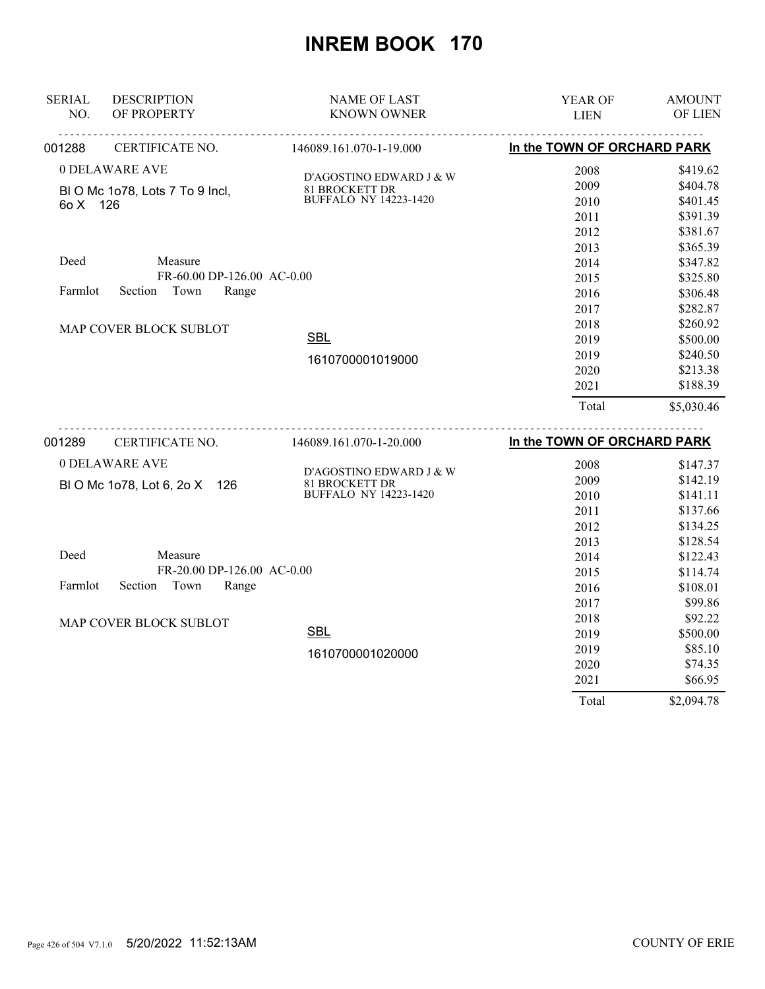| <b>SERIAL</b> | <b>DESCRIPTION</b>             | <b>NAME OF LAST</b>                     | YEAR OF                     | <b>AMOUNT</b>      |
|---------------|--------------------------------|-----------------------------------------|-----------------------------|--------------------|
| NO.           | OF PROPERTY                    | <b>KNOWN OWNER</b>                      | <b>LIEN</b>                 | OF LIEN            |
| 001288        | CERTIFICATE NO.                | 146089.161.070-1-19.000                 | In the TOWN OF ORCHARD PARK |                    |
|               | 0 DELAWARE AVE                 |                                         | 2008                        | \$419.62           |
|               | BIO Mc 1o78, Lots 7 To 9 Incl, | D'AGOSTINO EDWARD J & W                 | 2009                        | \$404.78           |
| 6o X 126      |                                | 81 BROCKETT DR<br>BUFFALO NY 14223-1420 | 2010                        | \$401.45           |
|               |                                |                                         | 2011                        | \$391.39           |
|               |                                |                                         | 2012                        | \$381.67           |
|               |                                |                                         | 2013                        | \$365.39           |
| Deed          | Measure                        |                                         | 2014                        | \$347.82           |
|               | FR-60.00 DP-126.00 AC-0.00     |                                         | 2015                        | \$325.80           |
| Farmlot       | Section<br>Town<br>Range       |                                         | 2016                        | \$306.48           |
|               |                                |                                         | 2017                        | \$282.87           |
|               | MAP COVER BLOCK SUBLOT         |                                         | 2018                        | \$260.92           |
|               |                                | <b>SBL</b>                              | 2019                        | \$500.00           |
|               |                                | 1610700001019000                        | 2019                        | \$240.50           |
|               |                                |                                         | 2020                        | \$213.38           |
|               |                                |                                         | 2021                        | \$188.39           |
|               |                                |                                         | Total                       | \$5,030.46         |
| 001289        | CERTIFICATE NO.                | 146089.161.070-1-20.000                 | In the TOWN OF ORCHARD PARK |                    |
|               | 0 DELAWARE AVE                 |                                         | 2008                        | \$147.37           |
|               |                                | D'AGOSTINO EDWARD J & W                 | 2009                        | \$142.19           |
|               | BI O Mc 1o78, Lot 6, 2o X 126  |                                         |                             |                    |
|               |                                |                                         |                             |                    |
|               |                                | 81 BROCKETT DR<br>BUFFALO NY 14223-1420 | 2010                        | \$141.11           |
|               |                                |                                         | 2011                        | \$137.66           |
|               |                                |                                         | 2012                        | \$134.25           |
| Deed          | Measure                        |                                         | 2013                        | \$128.54           |
|               | FR-20.00 DP-126.00 AC-0.00     |                                         | 2014                        | \$122.43           |
| Farmlot       | Section<br>Town<br>Range       |                                         | 2015                        | \$114.74           |
|               |                                |                                         | 2016                        | \$108.01           |
|               |                                |                                         | 2017<br>2018                | \$99.86<br>\$92.22 |
|               | MAP COVER BLOCK SUBLOT         | <b>SBL</b>                              |                             | \$500.00           |
|               |                                |                                         | 2019<br>2019                | \$85.10            |
|               |                                | 1610700001020000                        | 2020                        | \$74.35            |
|               |                                |                                         | 2021                        | \$66.95            |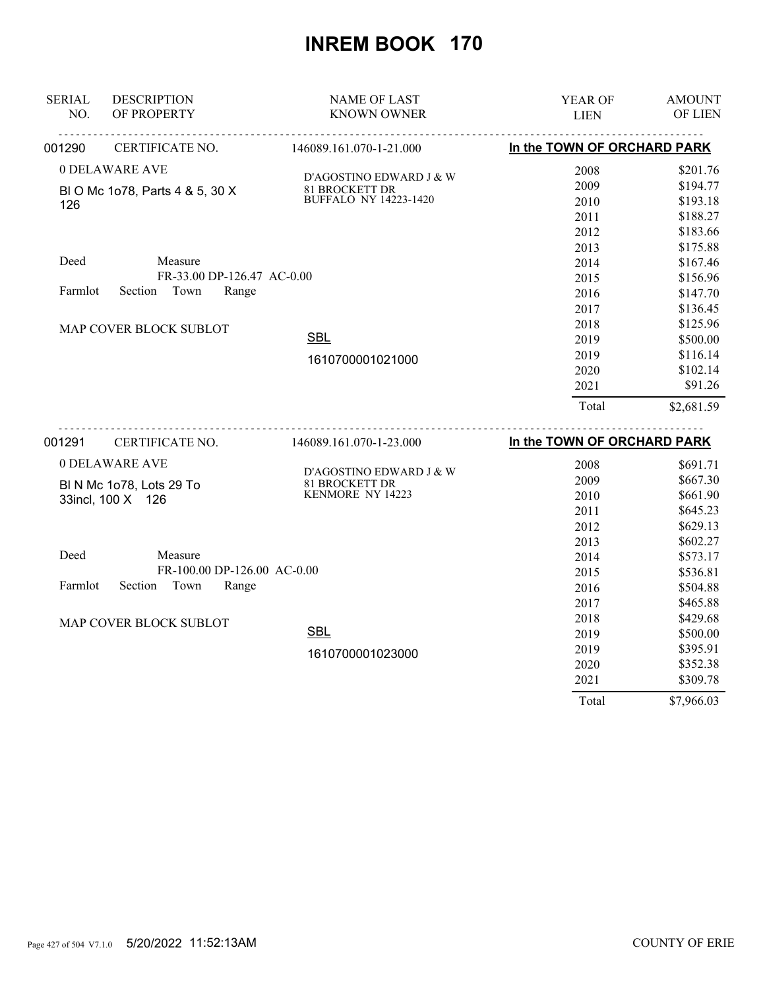| <b>SERIAL</b> | <b>DESCRIPTION</b>              | <b>NAME OF LAST</b>                       | YEAR OF                     | <b>AMOUNT</b> |
|---------------|---------------------------------|-------------------------------------------|-----------------------------|---------------|
| NO.           | OF PROPERTY                     | <b>KNOWN OWNER</b>                        | <b>LIEN</b>                 | OF LIEN       |
| 001290        | CERTIFICATE NO.                 | 146089.161.070-1-21.000                   | In the TOWN OF ORCHARD PARK |               |
|               | 0 DELAWARE AVE                  | D'AGOSTINO EDWARD J & W                   | 2008                        | \$201.76      |
|               | BI O Mc 1o78, Parts 4 & 5, 30 X |                                           | 2009                        | \$194.77      |
| 126           |                                 | 81 BROCKETT DR<br>BUFFALO NY 14223-1420   | 2010                        | \$193.18      |
|               |                                 |                                           | 2011                        | \$188.27      |
|               |                                 |                                           | 2012                        | \$183.66      |
|               |                                 |                                           | 2013                        | \$175.88      |
| Deed          | Measure                         |                                           | 2014                        | \$167.46      |
|               | FR-33.00 DP-126.47 AC-0.00      |                                           | 2015                        | \$156.96      |
| Farmlot       | Section<br>Town<br>Range        |                                           | 2016                        | \$147.70      |
|               |                                 |                                           | 2017                        | \$136.45      |
|               | MAP COVER BLOCK SUBLOT          |                                           | 2018                        | \$125.96      |
|               |                                 | <b>SBL</b>                                | 2019                        | \$500.00      |
|               |                                 | 1610700001021000                          | 2019                        | \$116.14      |
|               |                                 |                                           | 2020                        | \$102.14      |
|               |                                 |                                           | 2021                        | \$91.26       |
|               |                                 |                                           | Total                       | \$2,681.59    |
| 001291        | CERTIFICATE NO.                 | 146089.161.070-1-23.000                   | In the TOWN OF ORCHARD PARK |               |
|               | 0 DELAWARE AVE                  |                                           | 2008                        | \$691.71      |
|               | BI N Mc 1o78, Lots 29 To        | D'AGOSTINO EDWARD J & W<br>81 BROCKETT DR | 2009                        | \$667.30      |
|               | 33incl, 100 X 126               | KENMORE NY 14223                          | 2010                        | \$661.90      |
|               |                                 |                                           | 2011                        | \$645.23      |
|               |                                 |                                           | 2012                        | \$629.13      |
|               |                                 |                                           | 2013                        | \$602.27      |
| Deed          | Measure                         |                                           | 2014                        | \$573.17      |
|               | FR-100.00 DP-126.00 AC-0.00     |                                           | 2015                        | \$536.81      |
| Farmlot       | Town<br>Section<br>Range        |                                           | 2016                        | \$504.88      |
|               |                                 |                                           | 2017                        | \$465.88      |
|               | MAP COVER BLOCK SUBLOT          |                                           | 2018                        | \$429.68      |
|               |                                 | <b>SBL</b>                                | 2019                        | \$500.00      |
|               |                                 | 1610700001023000                          | 2019                        | \$395.91      |
|               |                                 |                                           | 2020                        | \$352.38      |
|               |                                 |                                           | 2021                        | \$309.78      |
|               |                                 |                                           | Total                       | \$7,966.03    |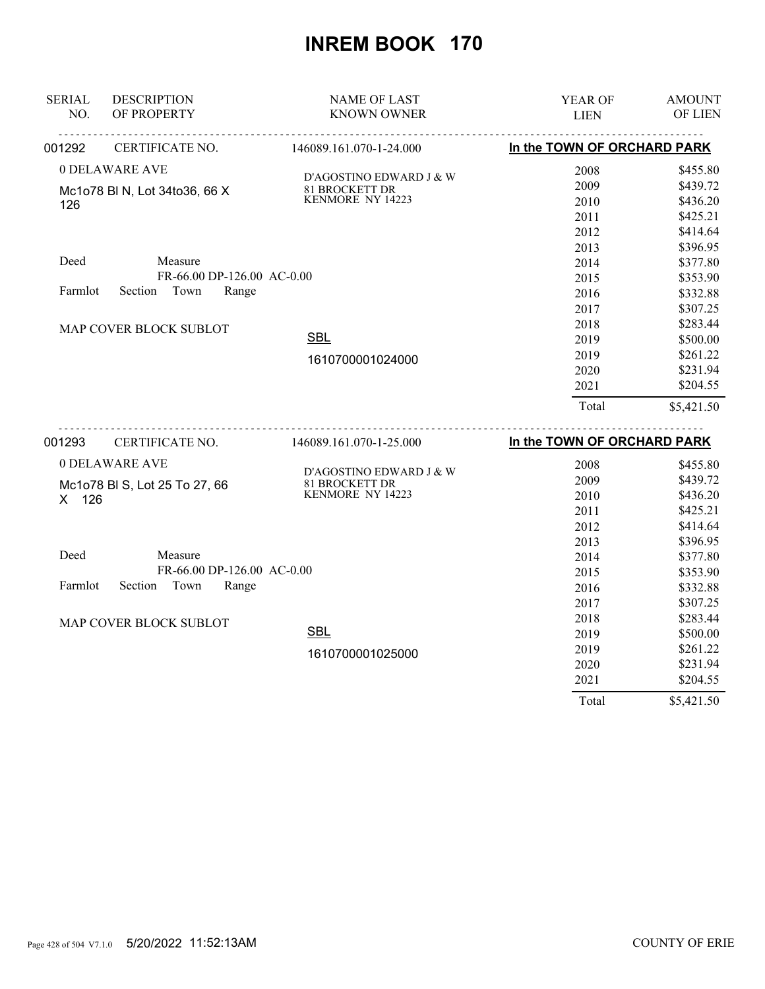| <b>SERIAL</b> | <b>DESCRIPTION</b>            | <b>NAME OF LAST</b>                       | <b>YEAR OF</b>              | <b>AMOUNT</b> |
|---------------|-------------------------------|-------------------------------------------|-----------------------------|---------------|
| NO.           | OF PROPERTY                   | <b>KNOWN OWNER</b>                        | <b>LIEN</b>                 | OF LIEN       |
| 001292        | CERTIFICATE NO.               | 146089.161.070-1-24.000                   | In the TOWN OF ORCHARD PARK |               |
|               | 0 DELAWARE AVE                | D'AGOSTINO EDWARD J & W                   | 2008                        | \$455.80      |
|               | Mc1o78 BI N, Lot 34to36, 66 X |                                           | 2009                        | \$439.72      |
| 126           |                               | 81 BROCKETT DR<br>KENMORE NY 14223        | 2010                        | \$436.20      |
|               |                               |                                           | 2011                        | \$425.21      |
|               |                               |                                           | 2012                        | \$414.64      |
|               |                               |                                           | 2013                        | \$396.95      |
| Deed          | Measure                       |                                           | 2014                        | \$377.80      |
|               | FR-66.00 DP-126.00 AC-0.00    |                                           | 2015                        | \$353.90      |
| Farmlot       | Section<br>Town<br>Range      |                                           | 2016                        | \$332.88      |
|               |                               |                                           | 2017                        | \$307.25      |
|               | MAP COVER BLOCK SUBLOT        |                                           | 2018                        | \$283.44      |
|               |                               | <b>SBL</b>                                | 2019                        | \$500.00      |
|               |                               | 1610700001024000                          | 2019                        | \$261.22      |
|               |                               |                                           | 2020                        | \$231.94      |
|               |                               |                                           | 2021                        | \$204.55      |
|               |                               |                                           | Total                       | \$5,421.50    |
| 001293        | CERTIFICATE NO.               | 146089.161.070-1-25.000                   | In the TOWN OF ORCHARD PARK |               |
|               | 0 DELAWARE AVE                |                                           | 2008                        | \$455.80      |
|               | Mc1o78 BI S, Lot 25 To 27, 66 | D'AGOSTINO EDWARD J & W<br>81 BROCKETT DR | 2009                        | \$439.72      |
| X 126         |                               | KENMORE NY 14223                          | 2010                        | \$436.20      |
|               |                               |                                           | 2011                        | \$425.21      |
|               |                               |                                           | 2012                        | \$414.64      |
|               |                               |                                           | 2013                        | \$396.95      |
| Deed          | Measure                       |                                           | 2014                        | \$377.80      |
|               | FR-66.00 DP-126.00 AC-0.00    |                                           | 2015                        | \$353.90      |
| Farmlot       | Section<br>Town<br>Range      |                                           | 2016                        | \$332.88      |
|               |                               |                                           | 2017                        | \$307.25      |
|               | MAP COVER BLOCK SUBLOT        |                                           | 2018                        | \$283.44      |
|               |                               | <b>SBL</b>                                | 2019                        | \$500.00      |
|               |                               | 1610700001025000                          | 2019                        | \$261.22      |
|               |                               |                                           | 2020                        | \$231.94      |
|               |                               |                                           | 2021                        | \$204.55      |
|               |                               |                                           | Total                       | \$5,421.50    |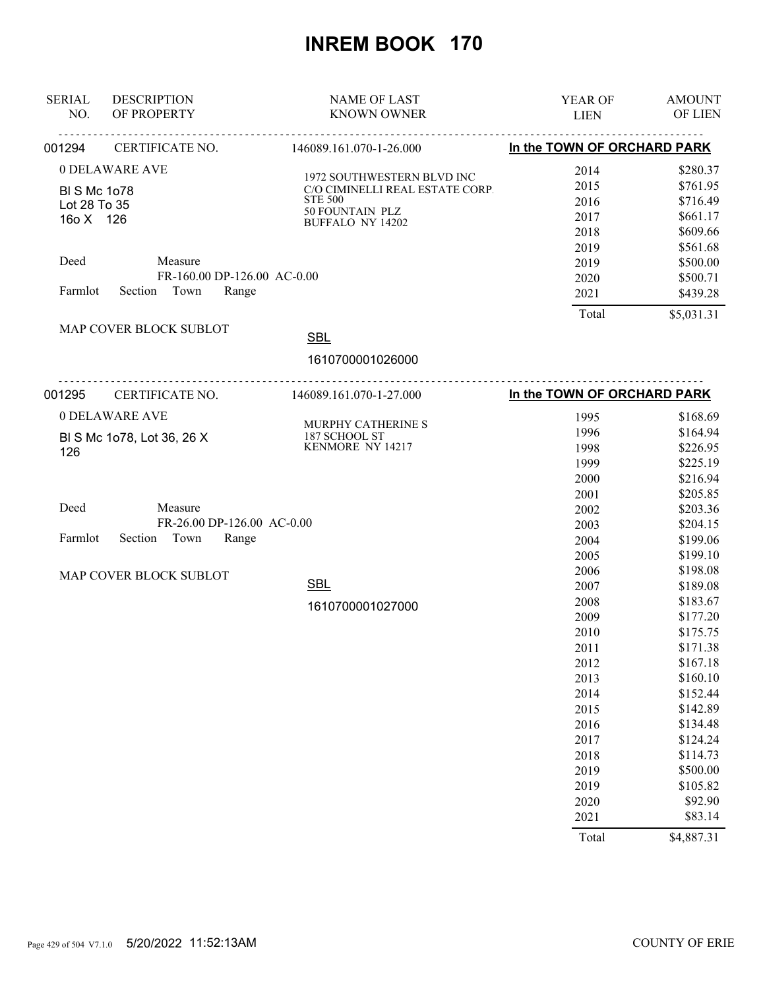| <b>DESCRIPTION</b><br>OF PROPERTY                     | <b>NAME OF LAST</b><br><b>KNOWN OWNER</b>                                       | YEAR OF<br><b>LIEN</b>                                                                                                                        | <b>AMOUNT</b><br>OF LIEN                                                                                                                                                                                             |
|-------------------------------------------------------|---------------------------------------------------------------------------------|-----------------------------------------------------------------------------------------------------------------------------------------------|----------------------------------------------------------------------------------------------------------------------------------------------------------------------------------------------------------------------|
| CERTIFICATE NO.                                       | 146089.161.070-1-26.000                                                         | In the TOWN OF ORCHARD PARK                                                                                                                   |                                                                                                                                                                                                                      |
| 0 DELAWARE AVE<br><b>BI S Mc 1o78</b><br>Lot 28 To 35 | 1972 SOUTHWESTERN BLVD INC<br>C/O CIMINELLI REAL ESTATE CORP.<br><b>STE 500</b> | 2014<br>2015<br>2016                                                                                                                          | \$280.37<br>\$761.95<br>\$716.49                                                                                                                                                                                     |
|                                                       | <b>BUFFALO NY 14202</b>                                                         | 2018<br>2019                                                                                                                                  | \$661.17<br>\$609.66<br>\$561.68                                                                                                                                                                                     |
| Section Town                                          |                                                                                 | 2020<br>2021                                                                                                                                  | \$500.00<br>\$500.71<br>\$439.28                                                                                                                                                                                     |
| MAP COVER BLOCK SUBLOT                                | <b>SBL</b><br>1610700001026000                                                  |                                                                                                                                               | \$5,031.31                                                                                                                                                                                                           |
| CERTIFICATE NO.                                       |                                                                                 | In the TOWN OF ORCHARD PARK                                                                                                                   |                                                                                                                                                                                                                      |
| 0 DELAWARE AVE<br>BI S Mc 1o78, Lot 36, 26 X          | MURPHY CATHERINE S<br>187 SCHOOL ST<br>KENMORE NY 14217                         | 1995<br>1996<br>1998<br>1999<br>2000                                                                                                          | \$168.69<br>\$164.94<br>\$226.95<br>\$225.19<br>\$216.94                                                                                                                                                             |
| Measure<br>Section Town                               |                                                                                 | 2001<br>2002<br>2003<br>2004<br>2005                                                                                                          | \$205.85<br>\$203.36<br>\$204.15<br>\$199.06<br>\$199.10                                                                                                                                                             |
| MAP COVER BLOCK SUBLOT                                | <b>SBL</b><br>1610700001027000                                                  | 2006<br>2007<br>2008<br>2009<br>2010<br>2011<br>2012<br>2013<br>2014<br>2015<br>2016<br>2017<br>2018<br>2019<br>2019<br>2020<br>2021<br>Total | \$198.08<br>\$189.08<br>\$183.67<br>\$177.20<br>\$175.75<br>\$171.38<br>\$167.18<br>\$160.10<br>\$152.44<br>\$142.89<br>\$134.48<br>\$124.24<br>\$114.73<br>\$500.00<br>\$105.82<br>\$92.90<br>\$83.14<br>\$4,887.31 |
|                                                       | 16o X 126<br>Measure                                                            | 50 FOUNTAIN PLZ<br>FR-160.00 DP-126.00 AC-0.00<br>Range<br>146089.161.070-1-27.000<br>FR-26.00 DP-126.00 AC-0.00<br>Range                     | 2017<br>2019<br>Total                                                                                                                                                                                                |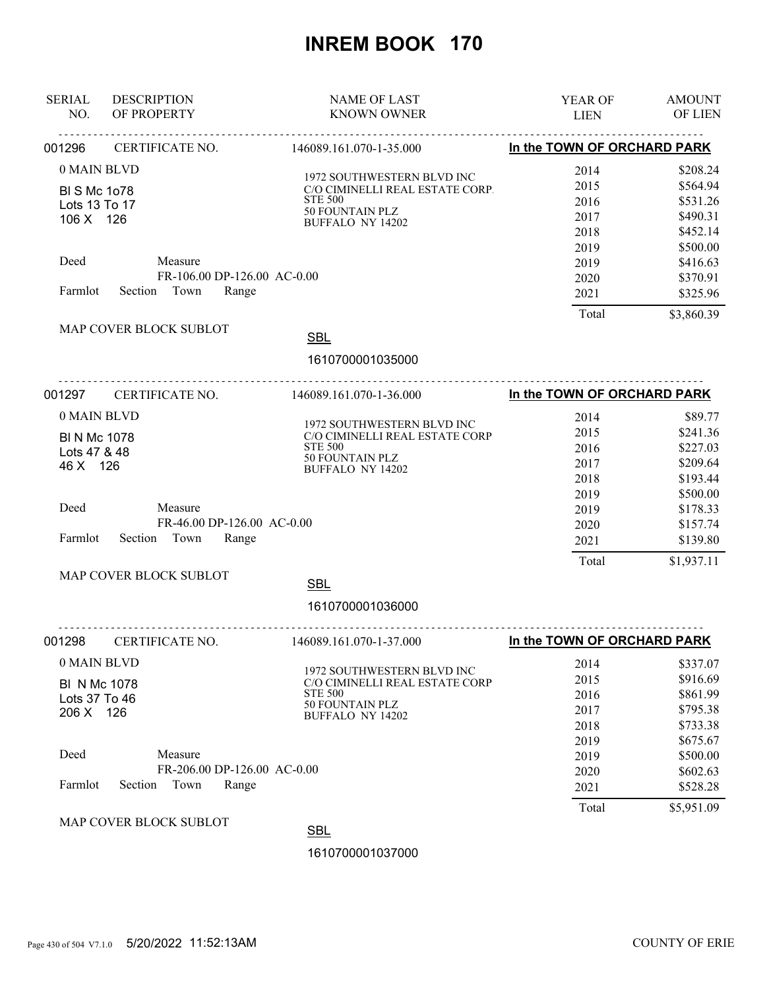| <b>SERIAL</b><br>NO.                                                                | <b>DESCRIPTION</b><br>OF PROPERTY                                                        | <b>NAME OF LAST</b><br><b>KNOWN OWNER</b>                                                                                                                      | YEAR OF<br><b>LIEN</b>                                                        | <b>AMOUNT</b><br><b>OF LIEN</b>                                                                                        |
|-------------------------------------------------------------------------------------|------------------------------------------------------------------------------------------|----------------------------------------------------------------------------------------------------------------------------------------------------------------|-------------------------------------------------------------------------------|------------------------------------------------------------------------------------------------------------------------|
| 001296                                                                              | CERTIFICATE NO.                                                                          | 146089.161.070-1-35.000                                                                                                                                        | In the TOWN OF ORCHARD PARK                                                   |                                                                                                                        |
| 0 MAIN BLVD<br><b>BISMc1o78</b><br>Lots 13 To 17<br>106 X 126                       |                                                                                          | 1972 SOUTHWESTERN BLVD INC<br>C/O CIMINELLI REAL ESTATE CORP.<br><b>STE 500</b><br>50 FOUNTAIN PLZ<br><b>BUFFALO NY 14202</b>                                  | 2014<br>2015<br>2016<br>2017<br>2018<br>2019                                  | \$208.24<br>\$564.94<br>\$531.26<br>\$490.31<br>\$452.14<br>\$500.00                                                   |
| Deed<br>Farmlot                                                                     | Measure<br>FR-106.00 DP-126.00 AC-0.00<br>Section Town<br>Range                          |                                                                                                                                                                | 2019<br>2020<br>2021                                                          | \$416.63<br>\$370.91<br>\$325.96                                                                                       |
|                                                                                     | MAP COVER BLOCK SUBLOT                                                                   | <b>SBL</b><br>1610700001035000                                                                                                                                 | Total                                                                         | \$3,860.39                                                                                                             |
| 001297                                                                              | <u>.</u><br>CERTIFICATE NO.                                                              | .<br>146089.161.070-1-36.000                                                                                                                                   | In the TOWN OF ORCHARD PARK                                                   |                                                                                                                        |
| 0 MAIN BLVD<br><b>BI N Mc 1078</b><br>Lots 47 & 48<br>46 X 126<br>Deed<br>Farmlot   | Measure<br>FR-46.00 DP-126.00 AC-0.00<br>Section Town<br>Range<br>MAP COVER BLOCK SUBLOT | 1972 SOUTHWESTERN BLVD INC<br>C/O CIMINELLI REAL ESTATE CORP<br><b>STE 500</b><br>50 FOUNTAIN PLZ<br><b>BUFFALO NY 14202</b><br><b>SBL</b><br>1610700001036000 | 2014<br>2015<br>2016<br>2017<br>2018<br>2019<br>2019<br>2020<br>2021<br>Total | \$89.77<br>\$241.36<br>\$227.03<br>\$209.64<br>\$193.44<br>\$500.00<br>\$178.33<br>\$157.74<br>\$139.80<br>\$1,937.11  |
| 001298                                                                              | CERTIFICATE NO.                                                                          | 146089.161.070-1-37.000                                                                                                                                        | In the TOWN OF ORCHARD PARK                                                   |                                                                                                                        |
| 0 MAIN BLVD<br><b>BI N Mc 1078</b><br>Lots 37 To 46<br>206 X 126<br>Deed<br>Farmlot | Measure<br>FR-206.00 DP-126.00 AC-0.00<br>Town<br>Section<br>Range                       | 1972 SOUTHWESTERN BLVD INC<br>C/O CIMINELLI REAL ESTATE CORP<br>STE 500<br><b>50 FOUNTAIN PLZ</b><br><b>BUFFALO NY 14202</b>                                   | 2014<br>2015<br>2016<br>2017<br>2018<br>2019<br>2019<br>2020<br>2021<br>Total | \$337.07<br>\$916.69<br>\$861.99<br>\$795.38<br>\$733.38<br>\$675.67<br>\$500.00<br>\$602.63<br>\$528.28<br>\$5,951.09 |
|                                                                                     | MAP COVER BLOCK SUBLOT                                                                   | <b>SBL</b>                                                                                                                                                     |                                                                               |                                                                                                                        |
|                                                                                     |                                                                                          | 1610700001037000                                                                                                                                               |                                                                               |                                                                                                                        |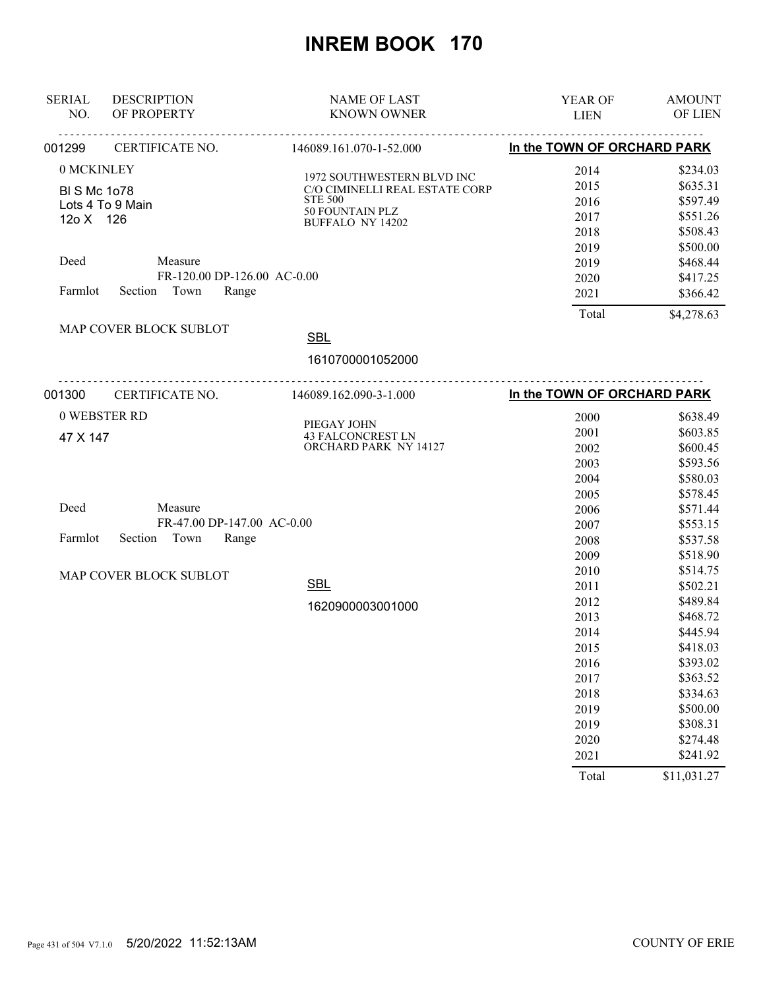| <b>SERIAL</b>       | <b>DESCRIPTION</b>          | <b>NAME OF LAST</b>                     | <b>YEAR OF</b>              | <b>AMOUNT</b> |
|---------------------|-----------------------------|-----------------------------------------|-----------------------------|---------------|
| NO.                 | OF PROPERTY                 | <b>KNOWN OWNER</b>                      | <b>LIEN</b>                 | OF LIEN       |
| 001299              | <b>CERTIFICATE NO.</b>      | 146089.161.070-1-52.000                 | In the TOWN OF ORCHARD PARK |               |
| 0 MCKINLEY          |                             | 1972 SOUTHWESTERN BLVD INC              | 2014                        | \$234.03      |
| <b>BI S Mc 1078</b> |                             | C/O CIMINELLI REAL ESTATE CORP          | 2015                        | \$635.31      |
|                     | Lots 4 To 9 Main            | <b>STE 500</b>                          | 2016                        | \$597.49      |
| 12o X 126           |                             | 50 FOUNTAIN PLZ<br>BUFFALO NY 14202     | 2017                        | \$551.26      |
|                     |                             |                                         | 2018                        | \$508.43      |
|                     |                             |                                         | 2019                        | \$500.00      |
| Deed                | Measure                     |                                         | 2019                        | \$468.44      |
|                     | FR-120.00 DP-126.00 AC-0.00 |                                         | 2020                        | \$417.25      |
| Farmlot             | Section Town<br>Range       |                                         | 2021                        | \$366.42      |
|                     |                             |                                         | Total                       | \$4,278.63    |
|                     | MAP COVER BLOCK SUBLOT      | <b>SBL</b>                              |                             |               |
|                     |                             | 1610700001052000                        |                             |               |
| 001300              |                             | CERTIFICATE NO. 146089.162.090-3-1.000  | In the TOWN OF ORCHARD PARK |               |
|                     | 0 WEBSTER RD                |                                         | 2000                        | \$638.49      |
|                     |                             | PIEGAY JOHN<br><b>43 FALCONCREST LN</b> | 2001                        | \$603.85      |
| 47 X 147            |                             | ORCHARD PARK NY 14127                   | 2002                        | \$600.45      |
|                     |                             |                                         | 2003                        | \$593.56      |
|                     |                             |                                         | 2004                        | \$580.03      |
|                     |                             |                                         | 2005                        | \$578.45      |
| Deed                | Measure                     |                                         | 2006                        | \$571.44      |
|                     | FR-47.00 DP-147.00 AC-0.00  |                                         | 2007                        | \$553.15      |
| Farmlot             | Section Town<br>Range       |                                         | 2008                        | \$537.58      |
|                     |                             |                                         | 2009                        | \$518.90      |
|                     | MAP COVER BLOCK SUBLOT      |                                         | 2010                        | \$514.75      |
|                     |                             | <b>SBL</b>                              | 2011                        | \$502.21      |
|                     |                             | 1620900003001000                        | 2012                        | \$489.84      |
|                     |                             |                                         | 2013                        | \$468.72      |
|                     |                             |                                         | 2014                        | \$445.94      |
|                     |                             |                                         | 2015                        | \$418.03      |
|                     |                             |                                         | 2016                        | \$393.02      |
|                     |                             |                                         | 2017                        | \$363.52      |
|                     |                             |                                         | 2018                        | \$334.63      |
|                     |                             |                                         | 2019                        | \$500.00      |
|                     |                             |                                         | 2019                        | \$308.31      |
|                     |                             |                                         | 2020                        | \$274.48      |
|                     |                             |                                         | 2021                        | \$241.92      |
|                     |                             |                                         | Total                       | \$11,031.27   |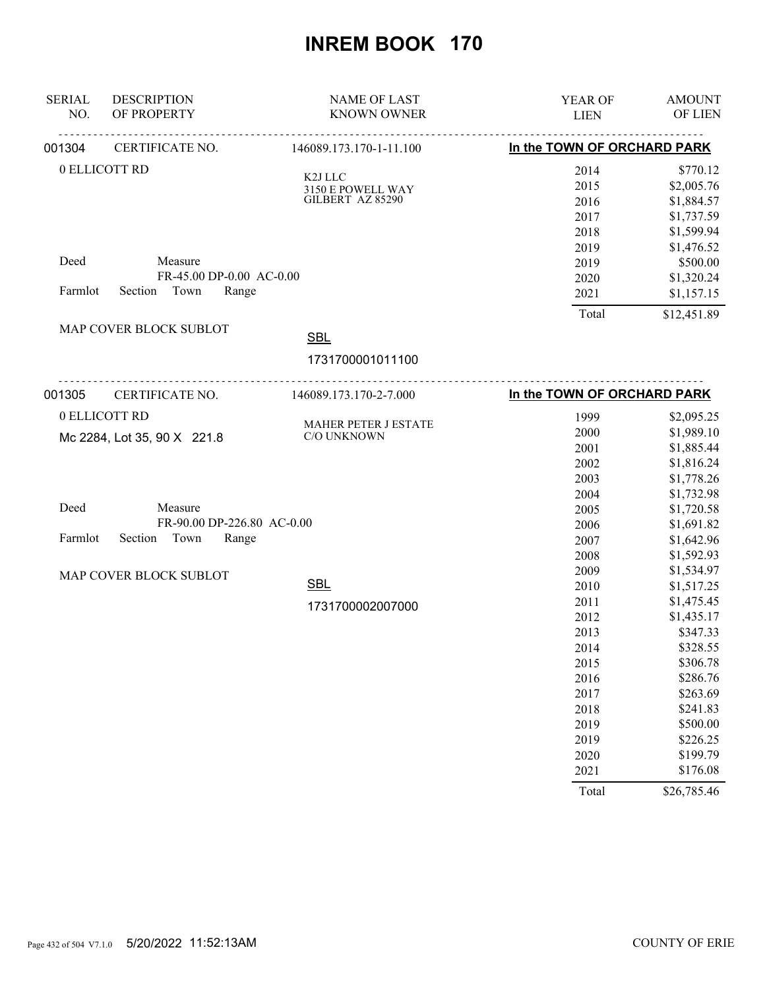| <b>SERIAL</b><br>NO. | <b>DESCRIPTION</b><br>OF PROPERTY                  | <b>NAME OF LAST</b><br><b>KNOWN OWNER</b>   | <b>YEAR OF</b><br><b>LIEN</b> | <b>AMOUNT</b><br>OF LIEN |
|----------------------|----------------------------------------------------|---------------------------------------------|-------------------------------|--------------------------|
| 001304               | <u>.</u><br>CERTIFICATE NO.                        | 146089.173.170-1-11.100                     | In the TOWN OF ORCHARD PARK   |                          |
|                      | 0 ELLICOTT RD                                      | K2J LLC                                     | 2014                          | \$770.12                 |
|                      |                                                    |                                             | 2015                          | \$2,005.76               |
|                      |                                                    | $3150$ E POWELL WAY GILBERT $\,$ AZ $85290$ | 2016                          | \$1,884.57               |
|                      |                                                    |                                             | 2017                          | \$1,737.59               |
|                      |                                                    |                                             | 2018                          | \$1,599.94               |
|                      |                                                    |                                             | 2019                          | \$1,476.52               |
| Deed                 | Measure                                            |                                             | 2019                          | \$500.00                 |
|                      | FR-45.00 DP-0.00 AC-0.00                           |                                             | 2020                          | \$1,320.24               |
| Farmlot              | Section Town<br>Range                              |                                             | 2021                          | \$1,157.15               |
|                      |                                                    |                                             | Total                         | \$12,451.89              |
|                      | MAP COVER BLOCK SUBLOT                             | <b>SBL</b>                                  |                               |                          |
|                      |                                                    | 1731700001011100                            |                               |                          |
| 001305               | -------------------------------<br>CERTIFICATE NO. | 146089.173.170-2-7.000                      | In the TOWN OF ORCHARD PARK   |                          |
|                      | 0 ELLICOTT RD                                      |                                             | 1999                          | \$2,095.25               |
|                      |                                                    | MAHER PETER J ESTATE<br>C/O UNKNOWN         | 2000                          | \$1,989.10               |
|                      | Mc 2284, Lot 35, 90 X 221.8                        |                                             | 2001                          | \$1,885.44               |
|                      |                                                    |                                             | 2002                          | \$1,816.24               |
|                      |                                                    |                                             | 2003                          | \$1,778.26               |
|                      |                                                    |                                             | 2004                          | \$1,732.98               |
| Deed                 | Measure                                            |                                             | 2005                          | \$1,720.58               |
|                      | FR-90.00 DP-226.80 AC-0.00                         |                                             | 2006                          | \$1,691.82               |
| Farmlot              | Section<br>Town<br>Range                           |                                             | 2007                          | \$1,642.96               |
|                      |                                                    |                                             | 2008                          | \$1,592.93               |
|                      | MAP COVER BLOCK SUBLOT                             |                                             | 2009                          | \$1,534.97               |
|                      |                                                    | <b>SBL</b>                                  | 2010                          | \$1,517.25               |
|                      |                                                    | 1731700002007000                            | 2011                          | \$1,475.45               |
|                      |                                                    |                                             | 2012                          | \$1,435.17               |
|                      |                                                    |                                             | 2013                          | \$347.33                 |
|                      |                                                    |                                             | 2014                          | \$328.55                 |
|                      |                                                    |                                             | 2015                          | \$306.78                 |
|                      |                                                    |                                             | 2016                          | \$286.76                 |
|                      |                                                    |                                             | 2017                          | \$263.69                 |
|                      |                                                    |                                             | 2018                          | \$241.83                 |
|                      |                                                    |                                             | 2019                          | \$500.00                 |
|                      |                                                    |                                             | 2019                          | \$226.25                 |
|                      |                                                    |                                             | 2020                          | \$199.79                 |
|                      |                                                    |                                             | 2021                          | \$176.08                 |
|                      |                                                    |                                             | Total                         | \$26,785.46              |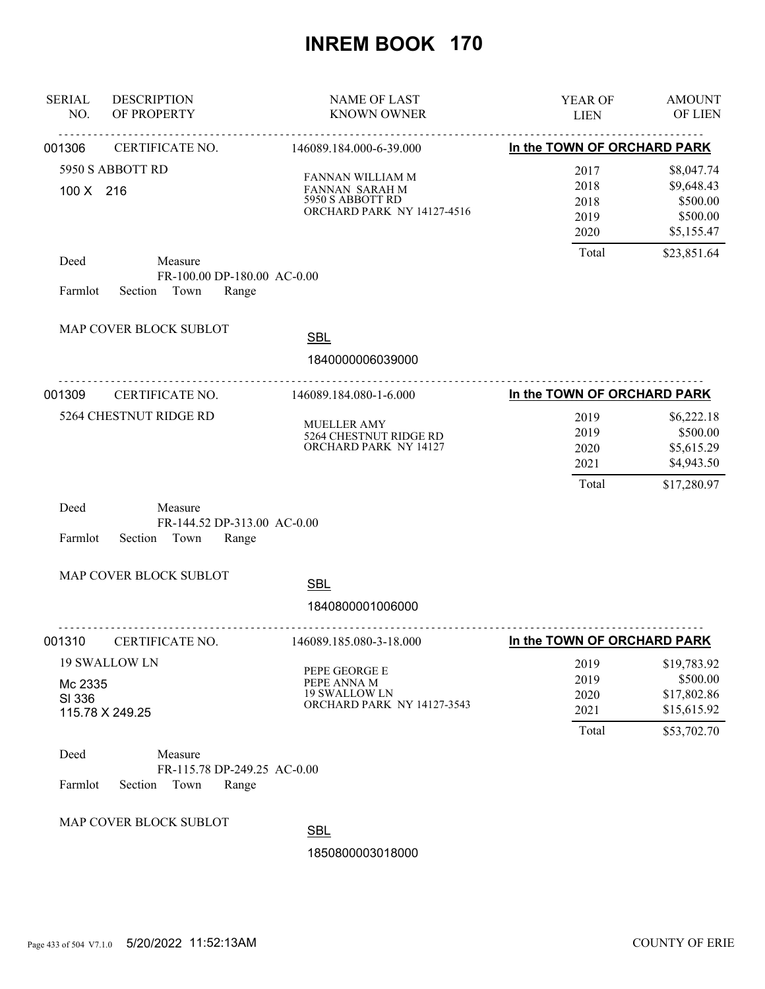| <b>SERIAL</b><br>NO. | <b>DESCRIPTION</b><br>OF PROPERTY                                  | <b>NAME OF LAST</b><br><b>KNOWN OWNER</b>                                            | YEAR OF<br><b>LIEN</b>                | <b>AMOUNT</b><br>OF LIEN                                             |
|----------------------|--------------------------------------------------------------------|--------------------------------------------------------------------------------------|---------------------------------------|----------------------------------------------------------------------|
| 001306               | CERTIFICATE NO.                                                    | 146089.184.000-6-39.000                                                              | In the TOWN OF ORCHARD PARK           |                                                                      |
| 100 X 216            | 5950 S ABBOTT RD                                                   | FANNAN WILLIAM M<br>FANNAN SARAH M<br>5950 S ABBOTT RD<br>ORCHARD PARK NY 14127-4516 | 2017<br>2018<br>2018<br>2019<br>2020  | \$8,047.74<br>\$9,648.43<br>\$500.00<br>\$500.00<br>\$5,155.47       |
| Deed<br>Farmlot      | Measure<br>FR-100.00 DP-180.00 AC-0.00<br>Section Town<br>Range    |                                                                                      | Total                                 | \$23,851.64                                                          |
|                      | MAP COVER BLOCK SUBLOT                                             | <b>SBL</b><br>1840000006039000                                                       |                                       |                                                                      |
| 001309               | CERTIFICATE NO.                                                    | 146089.184.080-1-6.000                                                               | In the TOWN OF ORCHARD PARK           |                                                                      |
|                      | 5264 CHESTNUT RIDGE RD                                             | <b>MUELLER AMY</b><br>5264 CHESTNUT RIDGE RD<br>ORCHARD PARK NY 14127                | 2019<br>2019<br>2020<br>2021<br>Total | \$6,222.18<br>\$500.00<br>\$5,615.29<br>\$4,943.50<br>\$17,280.97    |
| Deed<br>Farmlot      | Measure<br>FR-144.52 DP-313.00 AC-0.00<br>Range<br>Section<br>Town |                                                                                      |                                       |                                                                      |
|                      | MAP COVER BLOCK SUBLOT                                             | <b>SBL</b>                                                                           |                                       |                                                                      |
|                      |                                                                    | 1840800001006000                                                                     |                                       |                                                                      |
| 001310               | CERTIFICATE NO.                                                    | 146089.185.080-3-18.000                                                              | In the TOWN OF ORCHARD PARK           |                                                                      |
| Mc 2335<br>SI 336    | 19 SWALLOW LN<br>115.78 X 249.25                                   | PEPE GEORGE E<br>PEPE ANNA M<br><b>19 SWALLOW LN</b><br>ORCHARD PARK NY 14127-3543   | 2019<br>2019<br>2020<br>2021<br>Total | \$19,783.92<br>\$500.00<br>\$17,802.86<br>\$15,615.92<br>\$53,702.70 |
| Deed<br>Farmlot      | Measure<br>FR-115.78 DP-249.25 AC-0.00<br>Section<br>Town<br>Range |                                                                                      |                                       |                                                                      |
|                      | MAP COVER BLOCK SUBLOT                                             | <b>SBL</b><br>1850800003018000                                                       |                                       |                                                                      |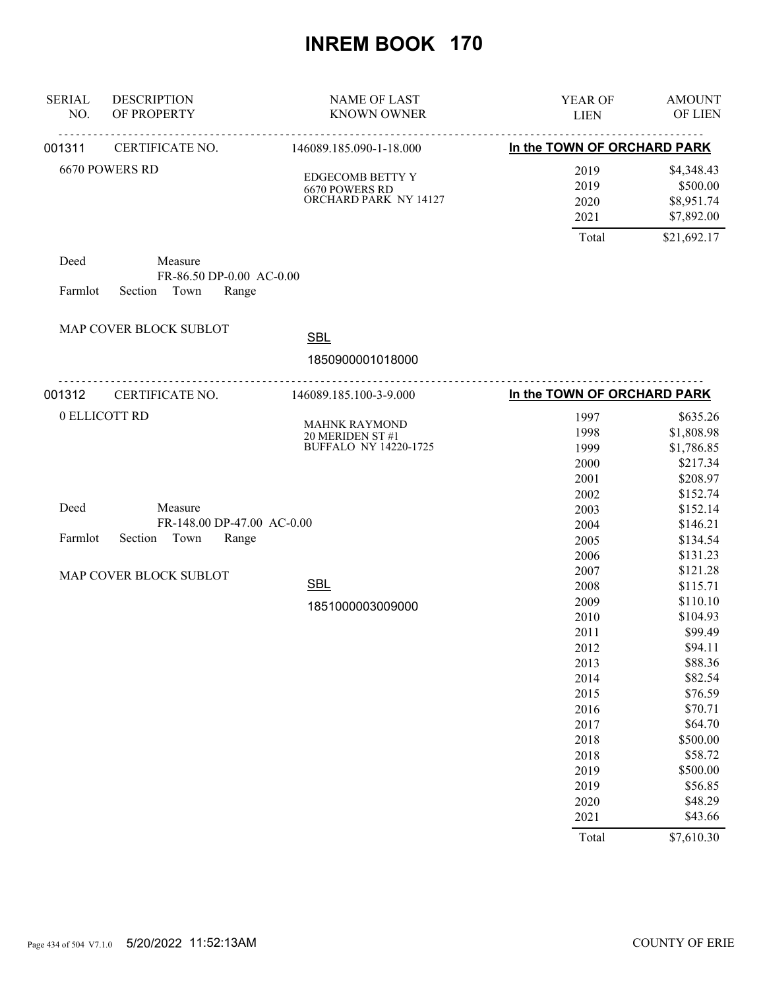| <b>SERIAL</b><br>NO. | <b>DESCRIPTION</b><br>OF PROPERTY | <b>NAME OF LAST</b><br><b>KNOWN OWNER</b>                                | YEAR OF<br><b>LIEN</b>                                                                                                                        | <b>AMOUNT</b><br>OF LIEN                                                                                                                                                                                    |
|----------------------|-----------------------------------|--------------------------------------------------------------------------|-----------------------------------------------------------------------------------------------------------------------------------------------|-------------------------------------------------------------------------------------------------------------------------------------------------------------------------------------------------------------|
| 001311               | CERTIFICATE NO.                   | .<br><u>.</u><br>146089.185.090-1-18.000                                 | In the TOWN OF ORCHARD PARK                                                                                                                   |                                                                                                                                                                                                             |
|                      | 6670 POWERS RD                    | EDGECOMB BETTY Y<br>6670 POWERS RD<br>ORCHARD PARK NY 14127              | 2019<br>2019<br>2020<br>2021                                                                                                                  | \$4,348.43<br>\$500.00<br>\$8,951.74<br>\$7,892.00                                                                                                                                                          |
| Deed<br>Farmlot      | Measure<br>Section<br>Town        | FR-86.50 DP-0.00 AC-0.00<br>Range                                        | Total                                                                                                                                         | \$21,692.17                                                                                                                                                                                                 |
|                      | MAP COVER BLOCK SUBLOT            | <b>SBL</b>                                                               |                                                                                                                                               |                                                                                                                                                                                                             |
|                      |                                   | 1850900001018000                                                         |                                                                                                                                               |                                                                                                                                                                                                             |
| 001312               | CERTIFICATE NO.                   | <u>.</u><br>146089.185.100-3-9.000                                       | In the TOWN OF ORCHARD PARK                                                                                                                   |                                                                                                                                                                                                             |
|                      | 0 ELLICOTT RD                     | <b>MAHNK RAYMOND</b><br>20 MERIDEN ST #1<br><b>BUFFALO NY 14220-1725</b> | 1997<br>1998<br>1999<br>2000<br>2001                                                                                                          | \$635.26<br>\$1,808.98<br>\$1,786.85<br>\$217.34<br>\$208.97                                                                                                                                                |
| Deed<br>Farmlot      | Measure<br>Town<br>Section        | FR-148.00 DP-47.00 AC-0.00<br>Range                                      | 2002<br>2003<br>2004<br>2005<br>2006                                                                                                          | \$152.74<br>\$152.14<br>\$146.21<br>\$134.54<br>\$131.23                                                                                                                                                    |
|                      | MAP COVER BLOCK SUBLOT            | <b>SBL</b><br>1851000003009000                                           | 2007<br>2008<br>2009<br>2010<br>2011<br>2012<br>2013<br>2014<br>2015<br>2016<br>2017<br>2018<br>2018<br>2019<br>2019<br>2020<br>2021<br>Total | \$121.28<br>\$115.71<br>\$110.10<br>\$104.93<br>\$99.49<br>\$94.11<br>\$88.36<br>\$82.54<br>\$76.59<br>\$70.71<br>\$64.70<br>\$500.00<br>\$58.72<br>\$500.00<br>\$56.85<br>\$48.29<br>\$43.66<br>\$7,610.30 |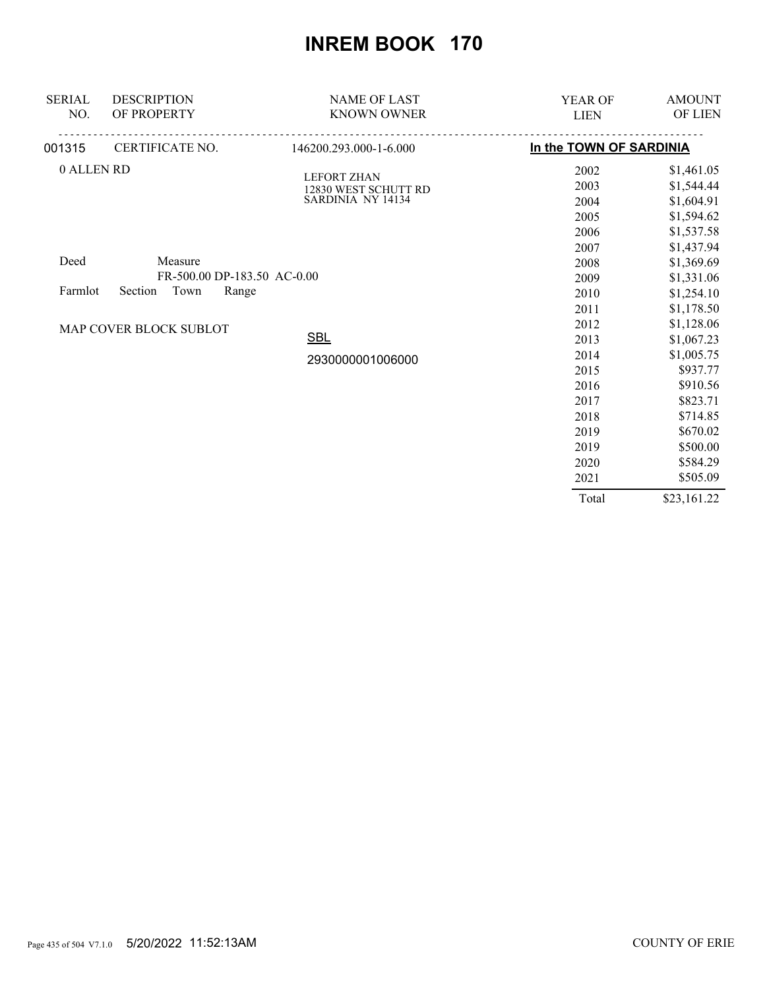| <b>SERIAL</b><br>NO. | <b>DESCRIPTION</b><br>OF PROPERTY | <b>NAME OF LAST</b><br><b>KNOWN OWNER</b> | YEAR OF<br><b>LIEN</b>  | <b>AMOUNT</b><br>OF LIEN |
|----------------------|-----------------------------------|-------------------------------------------|-------------------------|--------------------------|
| 001315               | CERTIFICATE NO.                   | 146200.293.000-1-6.000                    | In the TOWN OF SARDINIA |                          |
| 0 ALLEN RD           |                                   | <b>LEFORT ZHAN</b>                        | 2002                    | \$1,461.05               |
|                      |                                   | 12830 WEST SCHUTT RD                      | 2003                    | \$1,544.44               |
|                      |                                   | SARDINIA NY 14134                         | 2004                    | \$1,604.91               |
|                      |                                   |                                           | 2005                    | \$1,594.62               |
|                      |                                   |                                           | 2006                    | \$1,537.58               |
|                      |                                   |                                           | 2007                    | \$1,437.94               |
| Deed                 | Measure                           |                                           | 2008                    | \$1,369.69               |
|                      | FR-500.00 DP-183.50 AC-0.00       |                                           | 2009                    | \$1,331.06               |
| Farmlot              | Town<br>Section<br>Range          |                                           | 2010                    | \$1,254.10               |
|                      |                                   |                                           | 2011                    | \$1,178.50               |
|                      | MAP COVER BLOCK SUBLOT            |                                           | 2012                    | \$1,128.06               |
|                      |                                   | <b>SBL</b>                                | 2013                    | \$1,067.23               |
|                      |                                   | 2930000001006000                          | 2014                    | \$1,005.75               |
|                      |                                   |                                           | 2015                    | \$937.77                 |
|                      |                                   |                                           | 2016                    | \$910.56                 |
|                      |                                   |                                           | 2017                    | \$823.71                 |
|                      |                                   |                                           | 2018                    | \$714.85                 |
|                      |                                   |                                           | 2019                    | \$670.02                 |
|                      |                                   |                                           | 2019                    | \$500.00                 |
|                      |                                   |                                           | 2020                    | \$584.29                 |
|                      |                                   |                                           | 2021                    | \$505.09                 |
|                      |                                   |                                           | Total                   | \$23,161.22              |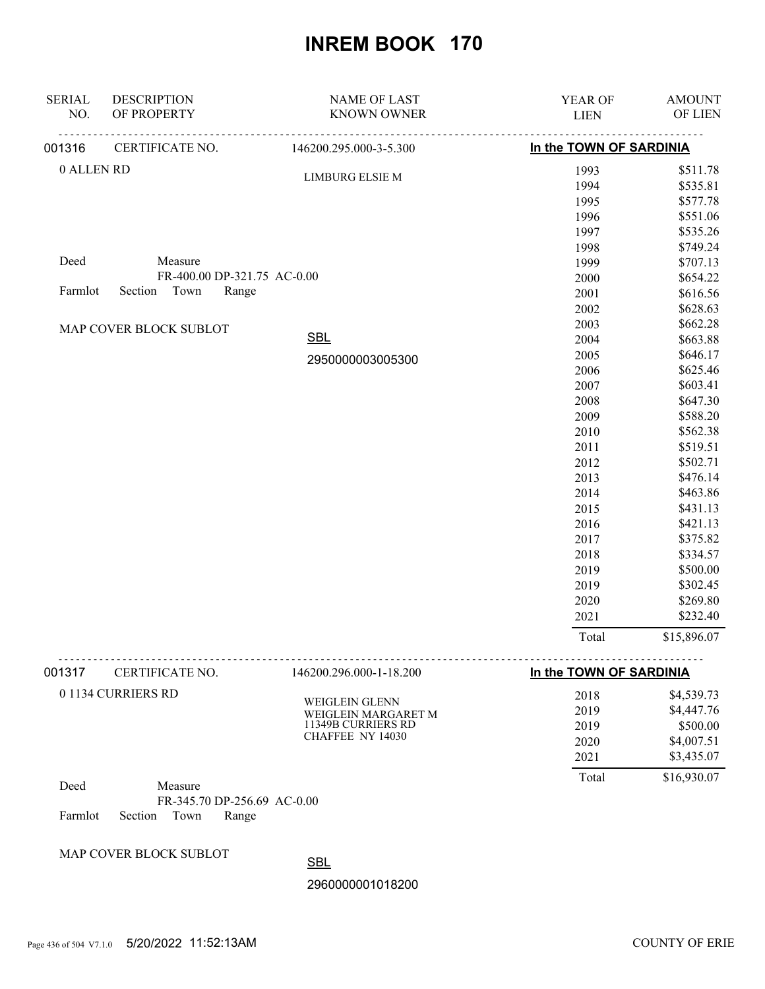| <b>SERIAL</b><br>NO. | <b>DESCRIPTION</b><br>OF PROPERTY | <b>NAME OF LAST</b><br><b>KNOWN OWNER</b> | YEAR OF<br><b>LIEN</b>  | <b>AMOUNT</b><br>OF LIEN |
|----------------------|-----------------------------------|-------------------------------------------|-------------------------|--------------------------|
| 001316               | CERTIFICATE NO.                   | 146200.295.000-3-5.300                    | In the TOWN OF SARDINIA |                          |
| 0 ALLEN RD           |                                   | <b>LIMBURG ELSIE M</b>                    | 1993                    | \$511.78                 |
|                      |                                   |                                           | 1994                    | \$535.81                 |
|                      |                                   |                                           | 1995                    | \$577.78                 |
|                      |                                   |                                           | 1996                    | \$551.06                 |
|                      |                                   |                                           | 1997                    | \$535.26                 |
|                      |                                   |                                           | 1998                    | \$749.24                 |
| Deed                 | Measure                           |                                           | 1999                    | \$707.13                 |
|                      | FR-400.00 DP-321.75 AC-0.00       |                                           | 2000                    | \$654.22                 |
| Farmlot              | Section Town<br>Range             |                                           | 2001                    | \$616.56                 |
|                      |                                   |                                           | 2002                    | \$628.63                 |
|                      | MAP COVER BLOCK SUBLOT            |                                           | 2003                    | \$662.28                 |
|                      |                                   | <b>SBL</b>                                | 2004                    | \$663.88                 |
|                      |                                   | 2950000003005300                          | 2005                    | \$646.17                 |
|                      |                                   |                                           | 2006                    | \$625.46                 |
|                      |                                   |                                           | 2007                    | \$603.41                 |
|                      |                                   |                                           | 2008                    | \$647.30                 |
|                      |                                   |                                           | 2009                    | \$588.20                 |
|                      |                                   |                                           | 2010                    | \$562.38                 |
|                      |                                   |                                           | 2011                    | \$519.51                 |
|                      |                                   |                                           | 2012                    | \$502.71                 |
|                      |                                   |                                           | 2013                    | \$476.14                 |
|                      |                                   |                                           | 2014                    | \$463.86                 |
|                      |                                   |                                           | 2015                    | \$431.13                 |
|                      |                                   |                                           | 2016                    | \$421.13                 |
|                      |                                   |                                           | 2017                    | \$375.82                 |
|                      |                                   |                                           | 2018                    | \$334.57                 |
|                      |                                   |                                           | 2019                    | \$500.00                 |
|                      |                                   |                                           | 2019                    | \$302.45                 |
|                      |                                   |                                           | 2020                    | \$269.80                 |
|                      |                                   |                                           | 2021                    | \$232.40                 |
|                      |                                   |                                           | Total                   | \$15,896.07              |

| 001317 | CERTIFICATE NO.                     | 146200.296.000-1-18.200                                                                | In the TOWN OF SARDINIA      |                                                    |
|--------|-------------------------------------|----------------------------------------------------------------------------------------|------------------------------|----------------------------------------------------|
|        | 0 1134 CURRIERS RD                  | <b>WEIGLEIN GLENN</b><br>WEIGLEIN MARGARET M<br>11349B CURRIERS RD<br>CHAFFEE NY 14030 | 2018<br>2019<br>2019<br>2020 | \$4,539.73<br>\$4,447.76<br>\$500.00<br>\$4,007.51 |
| Deed   | Measure                             |                                                                                        | 2021<br>Total                | \$3,435.07<br>\$16,930.07                          |
|        | $ED.245.70$ DD $256.60$ , $AC.0.00$ |                                                                                        |                              |                                                    |

FR-345.70 DP-256.69 AC-0.00 Farmlot Section Town Range

MAP COVER BLOCK SUBLOT

**SBL**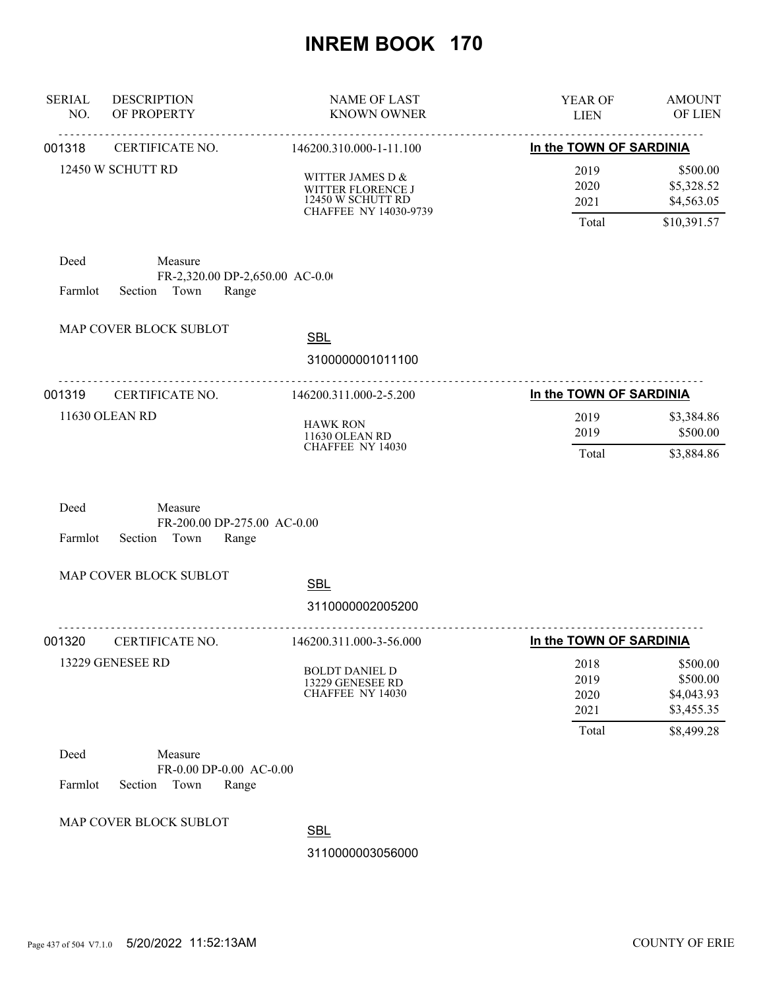| <b>SERIAL</b><br>NO. | <b>DESCRIPTION</b><br>OF PROPERTY                                      | <b>NAME OF LAST</b><br><b>KNOWN OWNER</b>                                              | YEAR OF<br><b>LIEN</b>              | <b>AMOUNT</b><br>OF LIEN                            |
|----------------------|------------------------------------------------------------------------|----------------------------------------------------------------------------------------|-------------------------------------|-----------------------------------------------------|
| 001318               | CERTIFICATE NO.                                                        | 146200.310.000-1-11.100                                                                | In the TOWN OF SARDINIA             |                                                     |
|                      | 12450 W SCHUTT RD                                                      | WITTER JAMES D $\&$<br>WITTER FLORENCE J<br>12450 W SCHUTT RD<br>CHAFFEE NY 14030-9739 | 2019<br>2020<br>2021<br>Total       | \$500.00<br>\$5,328.52<br>\$4,563.05<br>\$10,391.57 |
| Deed<br>Farmlot      | Measure<br>FR-2,320.00 DP-2,650.00 AC-0.00<br>Town<br>Section<br>Range |                                                                                        |                                     |                                                     |
|                      | MAP COVER BLOCK SUBLOT                                                 | <b>SBL</b><br>3100000001011100                                                         |                                     |                                                     |
| 001319               | CERTIFICATE NO.                                                        | 146200.311.000-2-5.200                                                                 | --------<br>In the TOWN OF SARDINIA |                                                     |
|                      | 11630 OLEAN RD                                                         | <b>HAWK RON</b><br>11630 OLEAN RD<br>CHAFFEE NY 14030                                  | 2019<br>2019<br>Total               | \$3,384.86<br>\$500.00<br>\$3,884.86                |
| Deed<br>Farmlot      | Measure<br>FR-200.00 DP-275.00 AC-0.00<br>Town<br>Section<br>Range     |                                                                                        |                                     |                                                     |
|                      | MAP COVER BLOCK SUBLOT                                                 |                                                                                        |                                     |                                                     |
|                      |                                                                        | <b>SBL</b><br>3110000002005200                                                         |                                     |                                                     |
| 001320               | <b>CERTIFICATE NO.</b>                                                 | 146200.311.000-3-56.000                                                                | In the TOWN OF SARDINIA             |                                                     |
|                      | 13229 GENESEE RD                                                       | <b>BOLDT DANIEL D</b><br>13229 GENESEE RD<br><b>CHAFFEE NY 14030</b>                   | 2018<br>2019<br>2020<br>2021        | \$500.00<br>\$500.00<br>\$4,043.93<br>\$3,455.35    |
|                      |                                                                        |                                                                                        | Total                               | \$8,499.28                                          |
| Deed<br>Farmlot      | Measure<br>FR-0.00 DP-0.00 AC-0.00<br>Section Town<br>Range            |                                                                                        |                                     |                                                     |
|                      | MAP COVER BLOCK SUBLOT                                                 | <b>SBL</b>                                                                             |                                     |                                                     |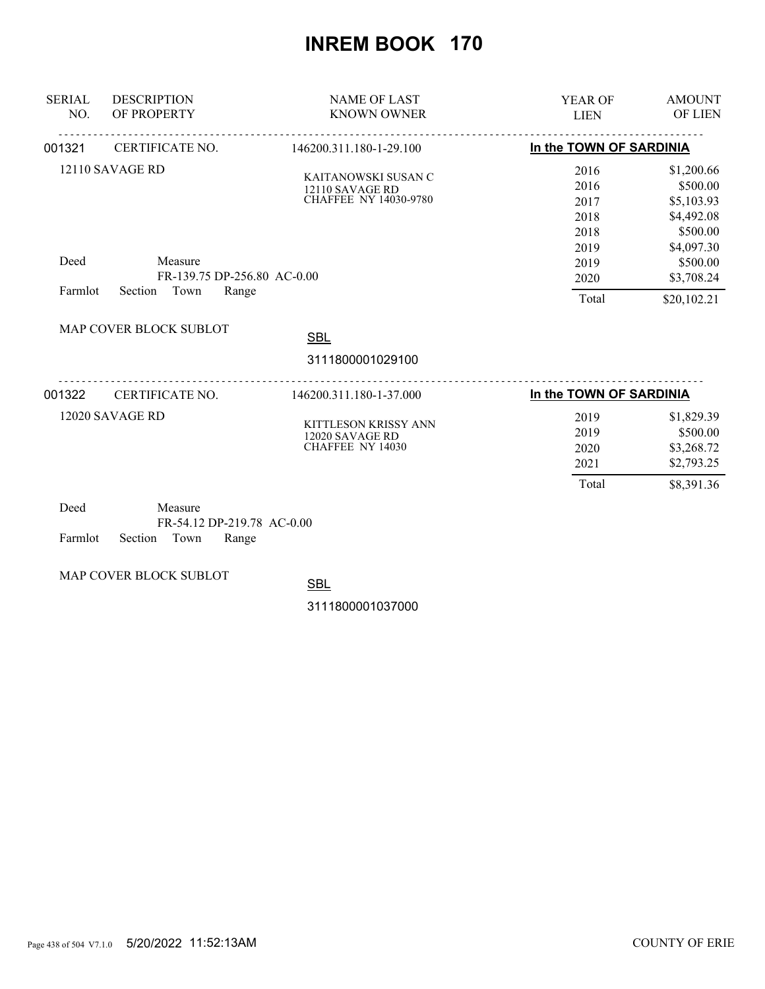| <b>SERIAL</b><br>NO. | <b>DESCRIPTION</b><br>OF PROPERTY                                                     | <b>NAME OF LAST</b><br><b>KNOWN OWNER</b>                              | <b>YEAR OF</b><br><b>LIEN</b>                                         | <b>AMOUNT</b><br><b>OF LIEN</b>                                                                                       |
|----------------------|---------------------------------------------------------------------------------------|------------------------------------------------------------------------|-----------------------------------------------------------------------|-----------------------------------------------------------------------------------------------------------------------|
| 001321               | CERTIFICATE NO.                                                                       | 146200.311.180-1-29.100                                                | In the TOWN OF SARDINIA                                               |                                                                                                                       |
| Deed<br>Farmlot      | 12110 SAVAGE RD<br>Measure<br>FR-139.75 DP-256.80 AC-0.00<br>Section<br>Town<br>Range | KAITANOWSKI SUSAN C<br>12110 SAVAGE RD<br><b>CHAFFEE NY 14030-9780</b> | 2016<br>2016<br>2017<br>2018<br>2018<br>2019<br>2019<br>2020<br>Total | \$1,200.66<br>\$500.00<br>\$5,103.93<br>\$4,492.08<br>\$500.00<br>\$4,097.30<br>\$500.00<br>\$3,708.24<br>\$20,102.21 |
|                      | MAP COVER BLOCK SUBLOT                                                                | <b>SBL</b><br>3111800001029100                                         |                                                                       |                                                                                                                       |
| 001322               | CERTIFICATE NO.                                                                       | 146200.311.180-1-37.000                                                | In the TOWN OF SARDINIA                                               |                                                                                                                       |
|                      | 12020 SAVAGE RD                                                                       | KITTLESON KRISSY ANN<br>12020 SAVAGE RD<br><b>CHAFFEE NY 14030</b>     | 2019<br>2019<br>2020<br>2021<br>Total                                 | \$1,829.39<br>\$500.00<br>\$3,268.72<br>\$2,793.25<br>\$8,391.36                                                      |

| Deed                       | Measure |                            |  |
|----------------------------|---------|----------------------------|--|
|                            |         | FR-54.12 DP-219.78 AC-0.00 |  |
| Farmlot Section Town Range |         |                            |  |

MAP COVER BLOCK SUBLOT

**SBL**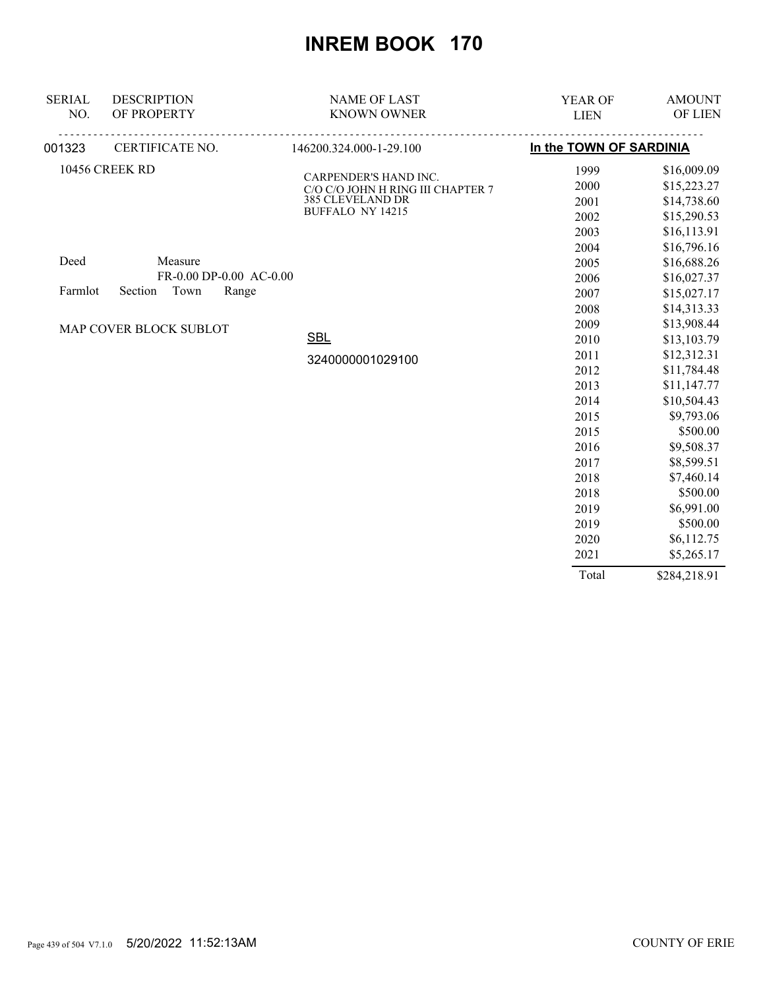| <b>SERIAL</b> | <b>DESCRIPTION</b>          | <b>NAME OF LAST</b>                                        | <b>YEAR OF</b>          | <b>AMOUNT</b> |
|---------------|-----------------------------|------------------------------------------------------------|-------------------------|---------------|
| NO.           | OF PROPERTY                 | <b>KNOWN OWNER</b>                                         | <b>LIEN</b>             | OF LIEN       |
| 001323        | <u>.</u><br>CERTIFICATE NO. | <u>.</u><br>146200.324.000-1-29.100                        | In the TOWN OF SARDINIA |               |
|               | 10456 CREEK RD              |                                                            | 1999                    | \$16,009.09   |
|               |                             | CARPENDER'S HAND INC.<br>C/O C/O JOHN H RING III CHAPTER 7 | 2000                    | \$15,223.27   |
|               |                             | <b>385 CLEVELAND DR</b>                                    | 2001                    | \$14,738.60   |
|               |                             | <b>BUFFALO NY 14215</b>                                    | 2002                    | \$15,290.53   |
|               |                             |                                                            | 2003                    | \$16,113.91   |
|               |                             |                                                            | 2004                    | \$16,796.16   |
| Deed          | Measure                     |                                                            | 2005                    | \$16,688.26   |
|               | FR-0.00 DP-0.00 AC-0.00     |                                                            | 2006                    | \$16,027.37   |
| Farmlot       | Town<br>Section<br>Range    |                                                            | 2007                    | \$15,027.17   |
|               |                             |                                                            | 2008                    | \$14,313.33   |
|               | MAP COVER BLOCK SUBLOT      |                                                            | 2009                    | \$13,908.44   |
|               |                             | <b>SBL</b>                                                 | 2010                    | \$13,103.79   |
|               |                             | 3240000001029100                                           | 2011                    | \$12,312.31   |
|               |                             |                                                            | 2012                    | \$11,784.48   |
|               |                             |                                                            | 2013                    | \$11,147.77   |
|               |                             |                                                            | 2014                    | \$10,504.43   |
|               |                             |                                                            | 2015                    | \$9,793.06    |
|               |                             |                                                            | 2015                    | \$500.00      |
|               |                             |                                                            | 2016                    | \$9,508.37    |
|               |                             |                                                            | 2017                    | \$8,599.51    |
|               |                             |                                                            | 2018                    | \$7,460.14    |
|               |                             |                                                            | 2018                    | \$500.00      |
|               |                             |                                                            | 2019                    | \$6,991.00    |
|               |                             |                                                            | 2019                    | \$500.00      |
|               |                             |                                                            | 2020                    | \$6,112.75    |
|               |                             |                                                            | 2021                    | \$5,265.17    |
|               |                             |                                                            | Total                   | \$284,218.91  |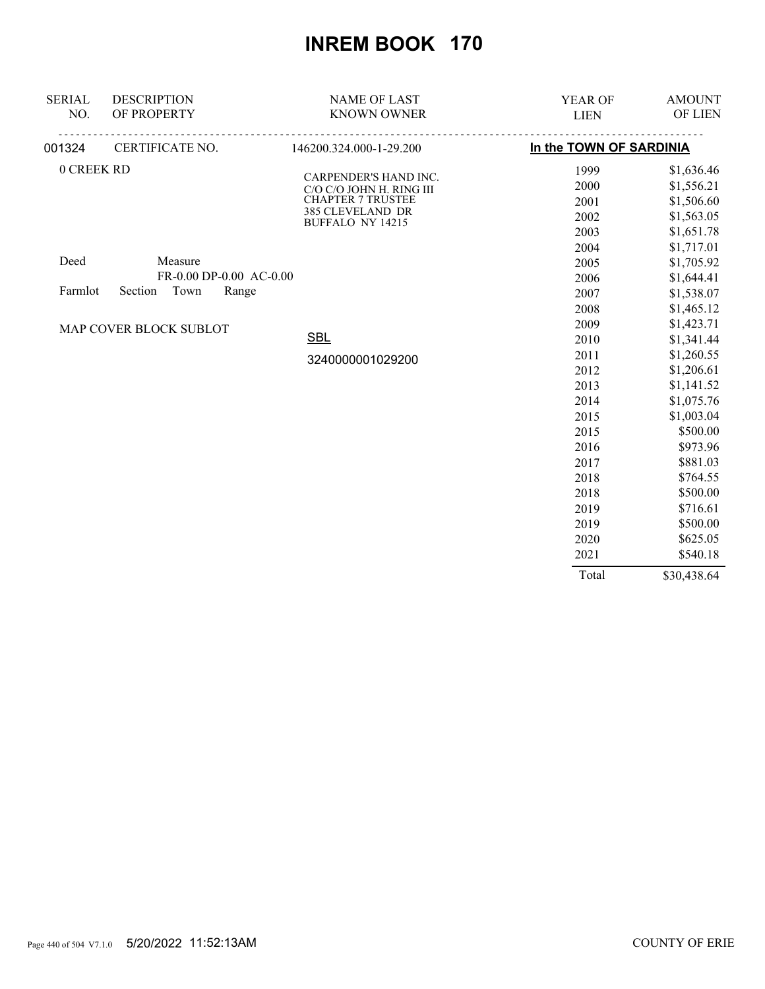| <b>SERIAL</b> | <b>DESCRIPTION</b>          | <b>NAME OF LAST</b>                               | <b>YEAR OF</b>          | <b>AMOUNT</b> |
|---------------|-----------------------------|---------------------------------------------------|-------------------------|---------------|
| NO.           | OF PROPERTY                 | <b>KNOWN OWNER</b>                                | <b>LIEN</b>             | OF LIEN       |
| 001324        | <u>.</u><br>CERTIFICATE NO. | 146200.324.000-1-29.200                           | In the TOWN OF SARDINIA |               |
| 0 CREEK RD    |                             |                                                   | 1999                    | \$1,636.46    |
|               |                             | CARPENDER'S HAND INC.<br>C/O C/O JOHN H. RING III | 2000                    | \$1,556.21    |
|               |                             | <b>CHAPTER 7 TRUSTEE</b>                          | 2001                    | \$1,506.60    |
|               |                             | 385 CLEVELAND DR<br>BUFFALO NY 14215              | 2002                    | \$1,563.05    |
|               |                             |                                                   | 2003                    | \$1,651.78    |
|               |                             |                                                   | 2004                    | \$1,717.01    |
| Deed          | Measure                     |                                                   | 2005                    | \$1,705.92    |
|               | FR-0.00 DP-0.00 AC-0.00     |                                                   | 2006                    | \$1,644.41    |
| Farmlot       | Town<br>Section<br>Range    |                                                   | 2007                    | \$1,538.07    |
|               |                             |                                                   | 2008                    | \$1,465.12    |
|               | MAP COVER BLOCK SUBLOT      |                                                   | 2009                    | \$1,423.71    |
|               |                             | <b>SBL</b>                                        | 2010                    | \$1,341.44    |
|               |                             | 3240000001029200                                  | 2011                    | \$1,260.55    |
|               |                             |                                                   | 2012                    | \$1,206.61    |
|               |                             |                                                   | 2013                    | \$1,141.52    |
|               |                             |                                                   | 2014                    | \$1,075.76    |
|               |                             |                                                   | 2015                    | \$1,003.04    |
|               |                             |                                                   | 2015                    | \$500.00      |
|               |                             |                                                   | 2016                    | \$973.96      |
|               |                             |                                                   | 2017                    | \$881.03      |
|               |                             |                                                   | 2018                    | \$764.55      |
|               |                             |                                                   | 2018                    | \$500.00      |
|               |                             |                                                   | 2019                    | \$716.61      |
|               |                             |                                                   | 2019                    | \$500.00      |
|               |                             |                                                   | 2020                    | \$625.05      |
|               |                             |                                                   | 2021                    | \$540.18      |
|               |                             |                                                   | Total                   | \$30,438.64   |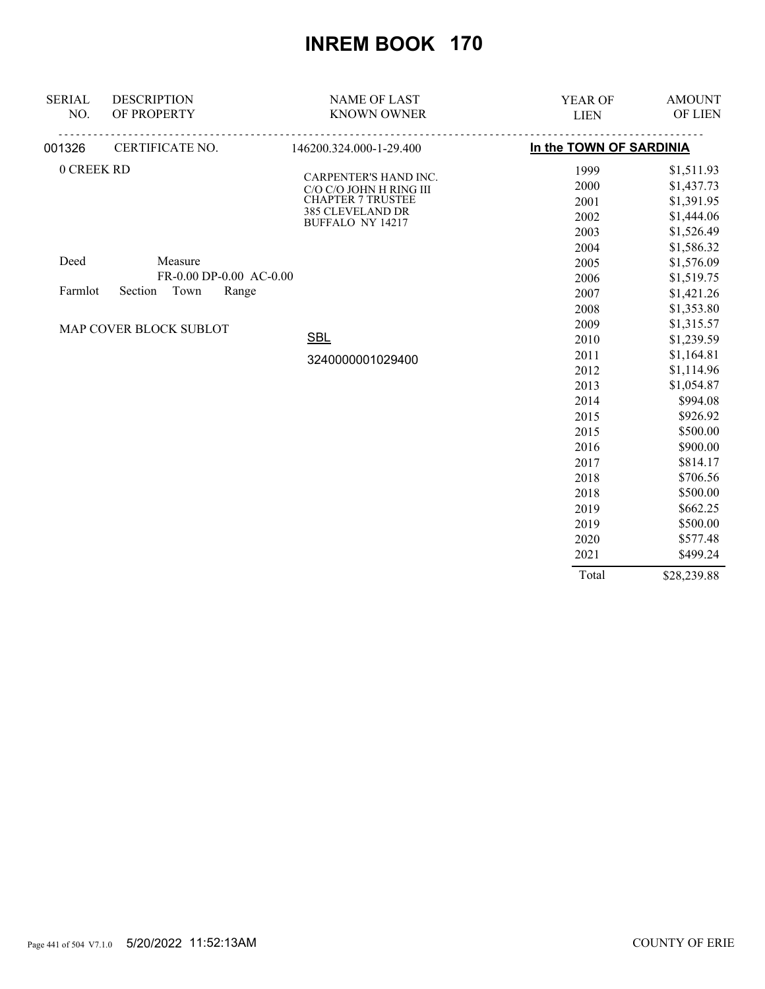| <b>SERIAL</b><br>NO. | <b>DESCRIPTION</b><br>OF PROPERTY | <b>NAME OF LAST</b><br><b>KNOWN OWNER</b>        | <b>YEAR OF</b><br><b>LIEN</b> | <b>AMOUNT</b><br>OF LIEN |
|----------------------|-----------------------------------|--------------------------------------------------|-------------------------------|--------------------------|
| 001326               | CERTIFICATE NO.                   | 146200.324.000-1-29.400                          | In the TOWN OF SARDINIA       |                          |
| 0 CREEK RD           |                                   |                                                  | 1999                          | \$1,511.93               |
|                      |                                   | CARPENTER'S HAND INC.<br>C/O C/O JOHN H RING III | 2000                          | \$1,437.73               |
|                      |                                   | <b>CHAPTER 7 TRUSTEE</b>                         | 2001                          | \$1,391.95               |
|                      |                                   | 385 CLEVELAND DR                                 | 2002                          | \$1,444.06               |
|                      |                                   | BUFFALO NY 14217                                 | 2003                          | \$1,526.49               |
|                      |                                   |                                                  | 2004                          | \$1,586.32               |
| Deed                 | Measure                           |                                                  | 2005                          | \$1,576.09               |
|                      | FR-0.00 DP-0.00 AC-0.00           |                                                  | 2006                          | \$1,519.75               |
| Farmlot              | Town<br>Range<br>Section          |                                                  | 2007                          | \$1,421.26               |
|                      |                                   |                                                  | 2008                          | \$1,353.80               |
|                      | MAP COVER BLOCK SUBLOT            |                                                  | 2009                          | \$1,315.57               |
|                      |                                   | <b>SBL</b>                                       | 2010                          | \$1,239.59               |
|                      |                                   | 3240000001029400                                 | 2011                          | \$1,164.81               |
|                      |                                   |                                                  | 2012                          | \$1,114.96               |
|                      |                                   |                                                  | 2013                          | \$1,054.87               |
|                      |                                   |                                                  | 2014                          | \$994.08                 |
|                      |                                   |                                                  | 2015                          | \$926.92                 |
|                      |                                   |                                                  | 2015                          | \$500.00                 |
|                      |                                   |                                                  | 2016                          | \$900.00                 |
|                      |                                   |                                                  | 2017                          | \$814.17                 |
|                      |                                   |                                                  | 2018                          | \$706.56                 |
|                      |                                   |                                                  | 2018                          | \$500.00                 |
|                      |                                   |                                                  | 2019                          | \$662.25                 |
|                      |                                   |                                                  | 2019                          | \$500.00                 |
|                      |                                   |                                                  | 2020                          | \$577.48                 |
|                      |                                   |                                                  | 2021                          | \$499.24                 |
|                      |                                   |                                                  | Total                         | \$28,239.88              |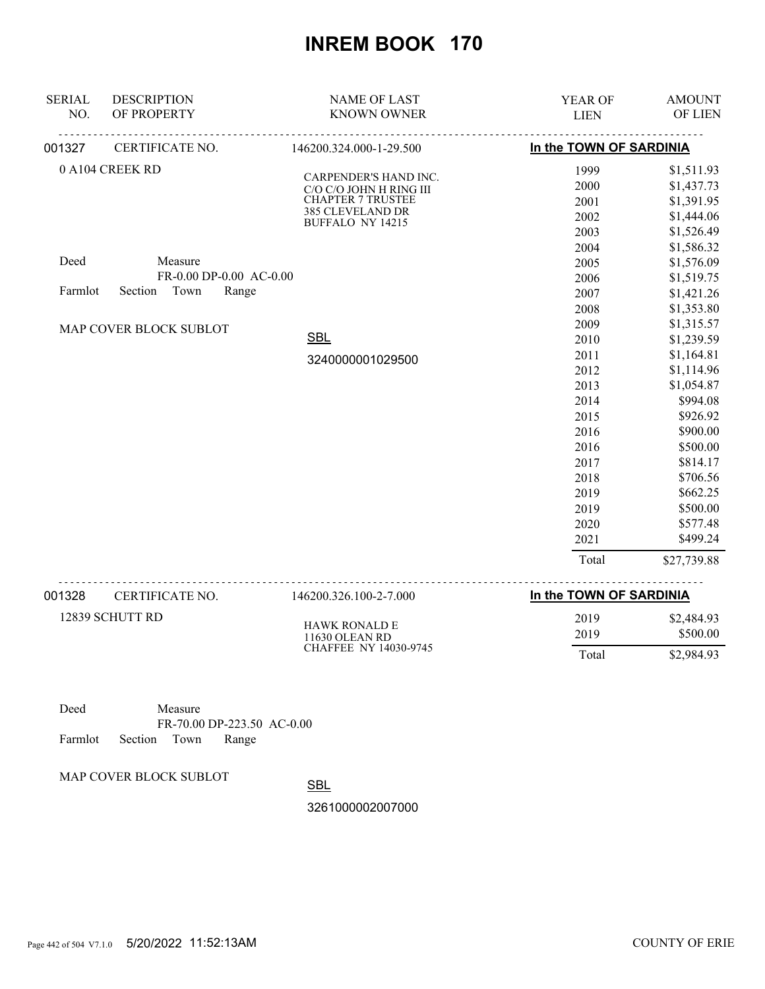| <b>SERIAL</b><br>NO. | <b>DESCRIPTION</b><br>OF PROPERTY | <b>NAME OF LAST</b><br><b>KNOWN OWNER</b>        | <b>YEAR OF</b><br><b>LIEN</b> | <b>AMOUNT</b><br>OF LIEN |
|----------------------|-----------------------------------|--------------------------------------------------|-------------------------------|--------------------------|
| 001327               | CERTIFICATE NO.                   | 146200.324.000-1-29.500                          | In the TOWN OF SARDINIA       |                          |
|                      | 0 A104 CREEK RD                   |                                                  | 1999                          | \$1,511.93               |
|                      |                                   | CARPENDER'S HAND INC.<br>C/O C/O JOHN H RING III | 2000                          | \$1,437.73               |
|                      |                                   | <b>CHAPTER 7 TRUSTEE</b>                         | 2001                          | \$1,391.95               |
|                      |                                   | 385 CLEVELAND DR                                 | 2002                          | \$1,444.06               |
|                      |                                   | <b>BUFFALO NY 14215</b>                          | 2003                          | \$1,526.49               |
|                      |                                   |                                                  | 2004                          | \$1,586.32               |
| Deed                 | Measure                           |                                                  | 2005                          | \$1,576.09               |
|                      | FR-0.00 DP-0.00 AC-0.00           |                                                  | 2006                          | \$1,519.75               |
| Farmlot              | Town<br>Section<br>Range          |                                                  | 2007                          | \$1,421.26               |
|                      |                                   |                                                  | 2008                          | \$1,353.80               |
|                      | MAP COVER BLOCK SUBLOT            |                                                  | 2009                          | \$1,315.57               |
|                      |                                   | <b>SBL</b>                                       | 2010                          | \$1,239.59               |
|                      |                                   |                                                  | 2011                          | \$1,164.81               |
|                      |                                   | 3240000001029500                                 | 2012                          | \$1,114.96               |
|                      |                                   |                                                  | 2013                          | \$1,054.87               |
|                      |                                   |                                                  | 2014                          | \$994.08                 |
|                      |                                   |                                                  | 2015                          | \$926.92                 |
|                      |                                   |                                                  | 2016                          | \$900.00                 |
|                      |                                   |                                                  | 2016                          | \$500.00                 |
|                      |                                   |                                                  | 2017                          | \$814.17                 |
|                      |                                   |                                                  | 2018                          | \$706.56                 |
|                      |                                   |                                                  | 2019                          | \$662.25                 |
|                      |                                   |                                                  | 2019                          | \$500.00                 |
|                      |                                   |                                                  | 2020                          | \$577.48                 |
|                      |                                   |                                                  | 2021                          | \$499.24                 |
|                      |                                   |                                                  | Total                         | \$27,739.88              |
| 001328               | CERTIFICATE NO.                   | 146200.326.100-2-7.000                           | In the TOWN OF SARDINIA       |                          |
|                      | 12839 SCHUTT RD                   |                                                  | 2019                          | \$2,484.93               |
|                      |                                   | <b>HAWK RONALD E</b><br>11630 OLEAN RD           | 2019                          | \$500.00                 |

Deed Measure FR-70.00 DP-223.50 AC-0.00 Farmlot Section Town Range

MAP COVER BLOCK SUBLOT

**SBL** 

3261000002007000

CHAFFEE NY 14030-9745

Total \$2,984.93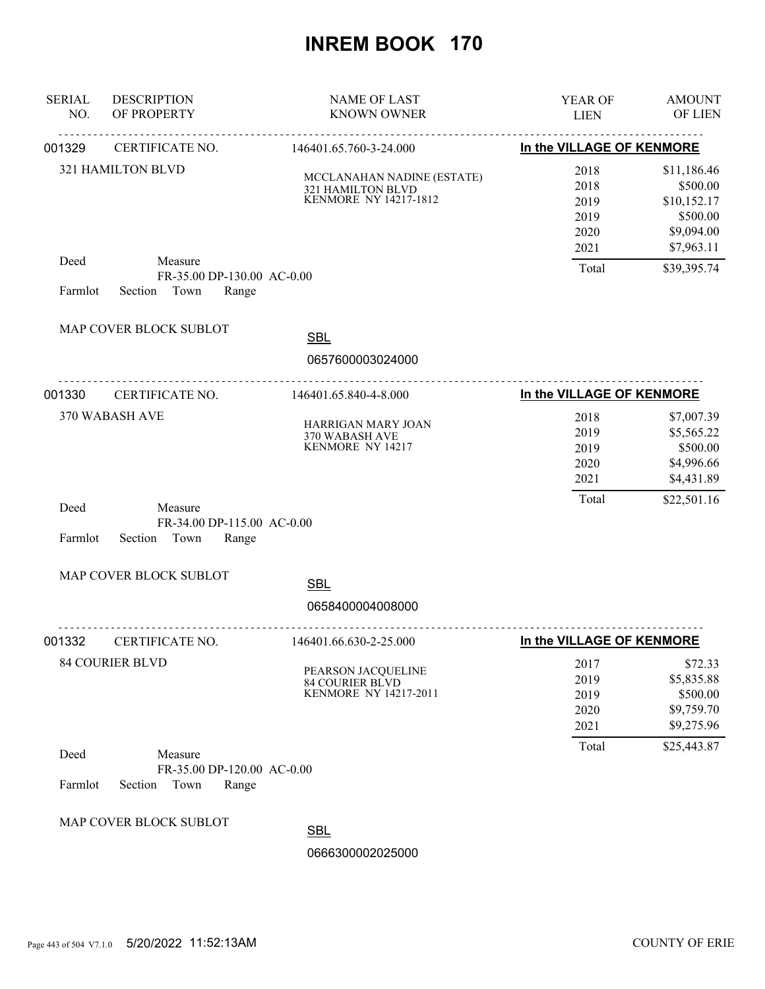| <b>SERIAL</b><br>NO. | <b>DESCRIPTION</b><br>OF PROPERTY                                 | <b>NAME OF LAST</b><br><b>KNOWN OWNER</b>                                       | <b>YEAR OF</b><br><b>LIEN</b>                | <b>AMOUNT</b><br>OF LIEN                                                       |
|----------------------|-------------------------------------------------------------------|---------------------------------------------------------------------------------|----------------------------------------------|--------------------------------------------------------------------------------|
| 001329               | CERTIFICATE NO.                                                   | .<br>146401.65.760-3-24.000                                                     | In the VILLAGE OF KENMORE                    |                                                                                |
|                      | 321 HAMILTON BLVD                                                 | MCCLANAHAN NADINE (ESTATE)<br>321 HAMILTON BLVD<br><b>KENMORE NY 14217-1812</b> | 2018<br>2018<br>2019<br>2019<br>2020<br>2021 | \$11,186.46<br>\$500.00<br>\$10,152.17<br>\$500.00<br>\$9,094.00<br>\$7,963.11 |
| Deed<br>Farmlot      | Measure<br>FR-35.00 DP-130.00 AC-0.00<br>Section Town<br>Range    |                                                                                 | Total                                        | \$39,395.74                                                                    |
|                      | MAP COVER BLOCK SUBLOT                                            | <b>SBL</b><br>0657600003024000                                                  |                                              |                                                                                |
| 001330               | CERTIFICATE NO.                                                   | <u>.</u><br>146401.65.840-4-8.000                                               | In the VILLAGE OF KENMORE                    |                                                                                |
|                      | 370 WABASH AVE                                                    | <b>HARRIGAN MARY JOAN</b><br>370 WABASH AVE<br>KENMORE NY 14217                 | 2018<br>2019<br>2019<br>2020<br>2021         | \$7,007.39<br>\$5,565.22<br>\$500.00<br>\$4,996.66<br>\$4,431.89               |
| Deed<br>Farmlot      | Measure<br>FR-34.00 DP-115.00 AC-0.00<br>Section<br>Town<br>Range |                                                                                 | Total                                        | \$22,501.16                                                                    |
|                      | MAP COVER BLOCK SUBLOT                                            | <b>SBL</b><br>0658400004008000                                                  |                                              |                                                                                |
| 001332               | CERTIFICATE NO.                                                   | .<br>146401.66.630-2-25.000                                                     | In the VILLAGE OF KENMORE                    |                                                                                |
|                      | <b>84 COURIER BLVD</b>                                            | PEARSON JACQUELINE<br>84 COURIER BLVD<br><b>KENMORE NY 14217-2011</b>           | 2017<br>2019<br>2019<br>2020<br>2021         | \$72.33<br>\$5,835.88<br>\$500.00<br>\$9,759.70<br>\$9,275.96                  |
| Deed<br>Farmlot      | Measure<br>FR-35.00 DP-120.00 AC-0.00<br>Section<br>Town<br>Range |                                                                                 | Total                                        | \$25,443.87                                                                    |
|                      | MAP COVER BLOCK SUBLOT                                            | <b>SBL</b><br>0666300002025000                                                  |                                              |                                                                                |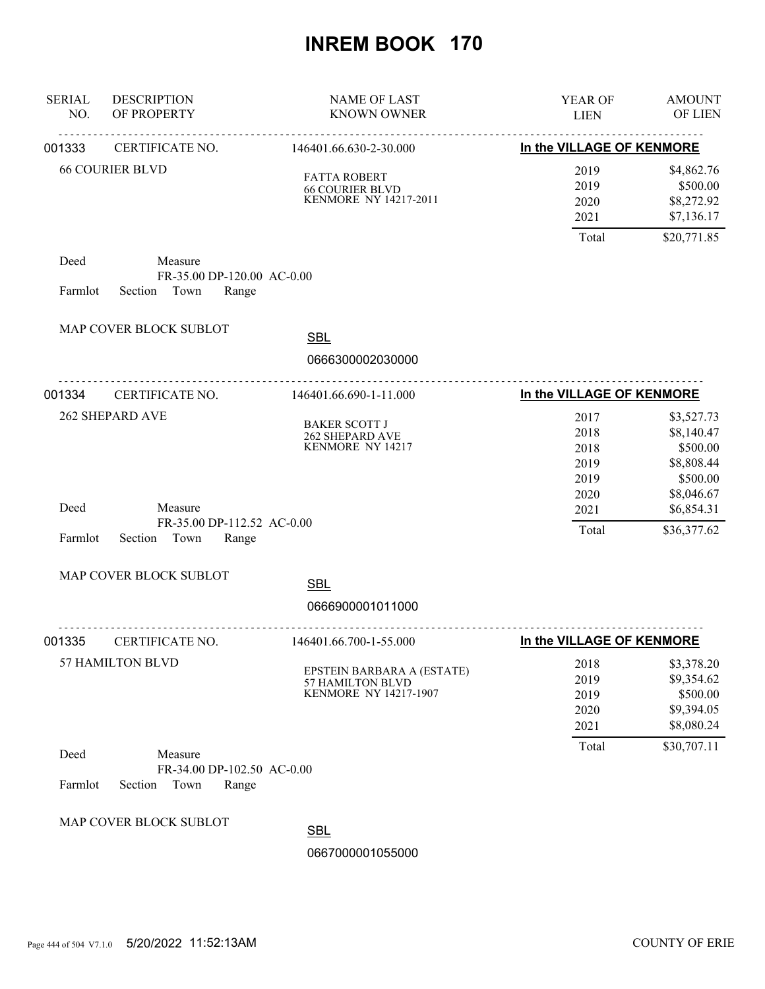| <b>SERIAL</b><br>NO. | <b>DESCRIPTION</b><br>OF PROPERTY                                 | <b>NAME OF LAST</b><br><b>KNOWN OWNER</b>                                     | YEAR OF<br><b>LIEN</b>               | <b>AMOUNT</b><br>OF LIEN                                         |
|----------------------|-------------------------------------------------------------------|-------------------------------------------------------------------------------|--------------------------------------|------------------------------------------------------------------|
| 001333               | .<br>CERTIFICATE NO.                                              | <u>.</u><br>146401.66.630-2-30.000                                            | In the VILLAGE OF KENMORE            |                                                                  |
|                      | <b>66 COURIER BLVD</b>                                            | <b>FATTA ROBERT</b><br><b>66 COURIER BLVD</b><br><b>KENMORE NY 14217-2011</b> | 2019<br>2019<br>2020<br>2021         | \$4,862.76<br>\$500.00<br>\$8,272.92<br>\$7,136.17               |
|                      |                                                                   |                                                                               | Total                                | \$20,771.85                                                      |
| Deed<br>Farmlot      | Measure<br>FR-35.00 DP-120.00 AC-0.00<br>Section Town<br>Range    |                                                                               |                                      |                                                                  |
|                      | MAP COVER BLOCK SUBLOT                                            | <b>SBL</b>                                                                    |                                      |                                                                  |
|                      |                                                                   | 0666300002030000                                                              |                                      |                                                                  |
| 001334               | CERTIFICATE NO.                                                   | 146401.66.690-1-11.000                                                        | In the VILLAGE OF KENMORE            |                                                                  |
|                      | 262 SHEPARD AVE                                                   | <b>BAKER SCOTT J</b><br>262 SHEPARD AVE<br>KENMORE NY 14217                   | 2017<br>2018<br>2018<br>2019<br>2019 | \$3,527.73<br>\$8,140.47<br>\$500.00<br>\$8,808.44<br>\$500.00   |
| Deed<br>Farmlot      | Measure<br>FR-35.00 DP-112.52 AC-0.00<br>Section<br>Town<br>Range |                                                                               | 2020<br>2021<br>Total                | \$8,046.67<br>\$6,854.31<br>\$36,377.62                          |
|                      | MAP COVER BLOCK SUBLOT                                            |                                                                               |                                      |                                                                  |
|                      |                                                                   | <b>SBL</b><br>0666900001011000                                                |                                      |                                                                  |
|                      |                                                                   |                                                                               |                                      |                                                                  |
| 001335               | CERTIFICATE NO.                                                   | 146401.66.700-1-55.000                                                        | In the VILLAGE OF KENMORE            |                                                                  |
|                      | 57 HAMILTON BLVD                                                  | EPSTEIN BARBARA A (ESTATE)<br>57 HAMILTON BLVD<br>KENMORE NY 14217-1907       | 2018<br>2019<br>2019<br>2020<br>2021 | \$3,378.20<br>\$9,354.62<br>\$500.00<br>\$9,394.05<br>\$8,080.24 |
| Deed<br>Farmlot      | Measure<br>FR-34.00 DP-102.50 AC-0.00<br>Section<br>Town<br>Range |                                                                               | Total                                | \$30,707.11                                                      |
|                      | MAP COVER BLOCK SUBLOT                                            | <b>SBL</b><br>0667000001055000                                                |                                      |                                                                  |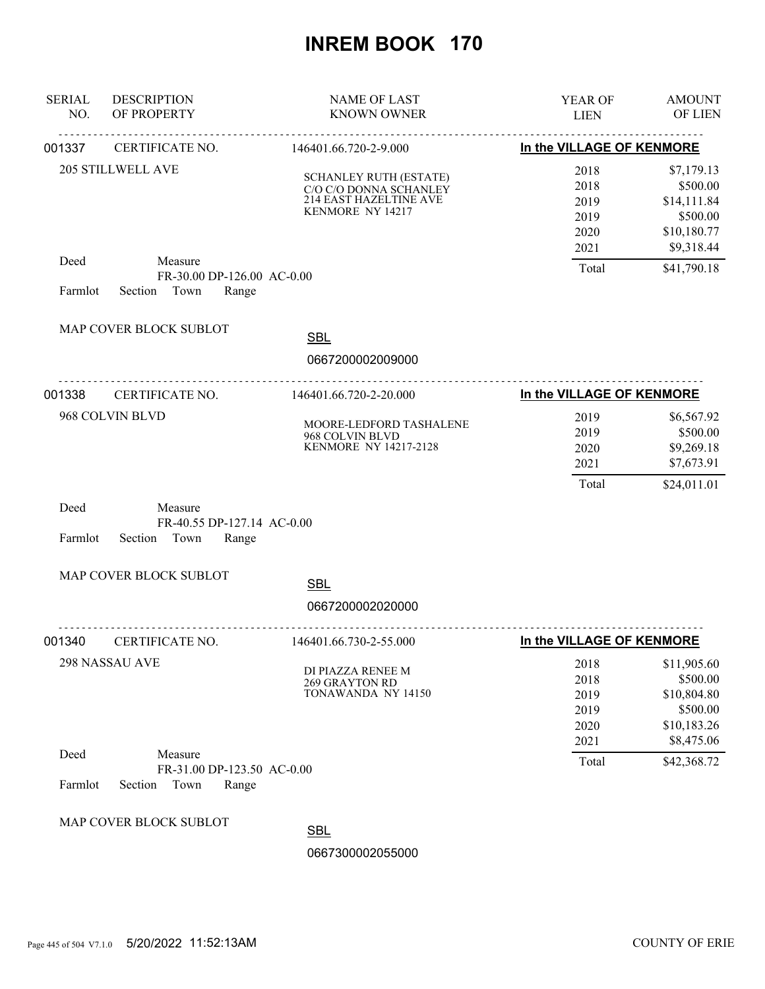| <b>SERIAL</b><br>NO. | <b>DESCRIPTION</b><br>OF PROPERTY                                 | <b>NAME OF LAST</b><br><b>KNOWN OWNER</b>                                                                    | YEAR OF<br><b>LIEN</b>                                             | <b>AMOUNT</b><br>OF LIEN                                                        |
|----------------------|-------------------------------------------------------------------|--------------------------------------------------------------------------------------------------------------|--------------------------------------------------------------------|---------------------------------------------------------------------------------|
| 001337               | CERTIFICATE NO.                                                   | 146401.66.720-2-9.000                                                                                        | In the VILLAGE OF KENMORE                                          |                                                                                 |
|                      | 205 STILLWELL AVE                                                 | <b>SCHANLEY RUTH (ESTATE)</b><br>C/O C/O DONNA SCHANLEY<br><b>214 EAST HAZELTINE AVE</b><br>KENMORE NY 14217 | 2018<br>2018<br>2019<br>2019<br>2020<br>2021                       | \$7,179.13<br>\$500.00<br>\$14,111.84<br>\$500.00<br>\$10,180.77<br>\$9,318.44  |
| Deed<br>Farmlot      | Measure<br>FR-30.00 DP-126.00 AC-0.00<br>Section<br>Town<br>Range |                                                                                                              | Total                                                              | \$41,790.18                                                                     |
|                      | MAP COVER BLOCK SUBLOT                                            | <b>SBL</b><br>0667200002009000                                                                               |                                                                    |                                                                                 |
| 001338               |                                                                   | 146401.66.720-2-20.000                                                                                       |                                                                    |                                                                                 |
|                      | CERTIFICATE NO.<br>968 COLVIN BLVD                                | MOORE-LEDFORD TASHALENE<br>968 COLVIN BLVD<br>KENMORE NY 14217-2128                                          | In the VILLAGE OF KENMORE<br>2019<br>2019<br>2020<br>2021<br>Total | \$6,567.92<br>\$500.00<br>\$9,269.18<br>\$7,673.91<br>\$24,011.01               |
| Deed<br>Farmlot      | Measure<br>FR-40.55 DP-127.14 AC-0.00<br>Town<br>Range<br>Section |                                                                                                              |                                                                    |                                                                                 |
|                      | MAP COVER BLOCK SUBLOT                                            | <b>SBL</b>                                                                                                   |                                                                    |                                                                                 |
|                      |                                                                   | 0667200002020000                                                                                             |                                                                    |                                                                                 |
| 001340               | <u>.</u><br>CERTIFICATE NO.                                       | 146401.66.730-2-55.000                                                                                       | In the VILLAGE OF KENMORE                                          |                                                                                 |
|                      | 298 NASSAU AVE                                                    | DI PIAZZA RENEE M<br><b>269 GRAYTON RD</b><br>TONAWANDA NY 14150                                             | 2018<br>2018<br>2019<br>2019<br>2020<br>2021                       | \$11,905.60<br>\$500.00<br>\$10,804.80<br>\$500.00<br>\$10,183.26<br>\$8,475.06 |
| Deed<br>Farmlot      | Measure<br>FR-31.00 DP-123.50 AC-0.00<br>Town<br>Section<br>Range |                                                                                                              | Total                                                              | \$42,368.72                                                                     |
|                      | MAP COVER BLOCK SUBLOT                                            | <b>SBL</b><br>0667300002055000                                                                               |                                                                    |                                                                                 |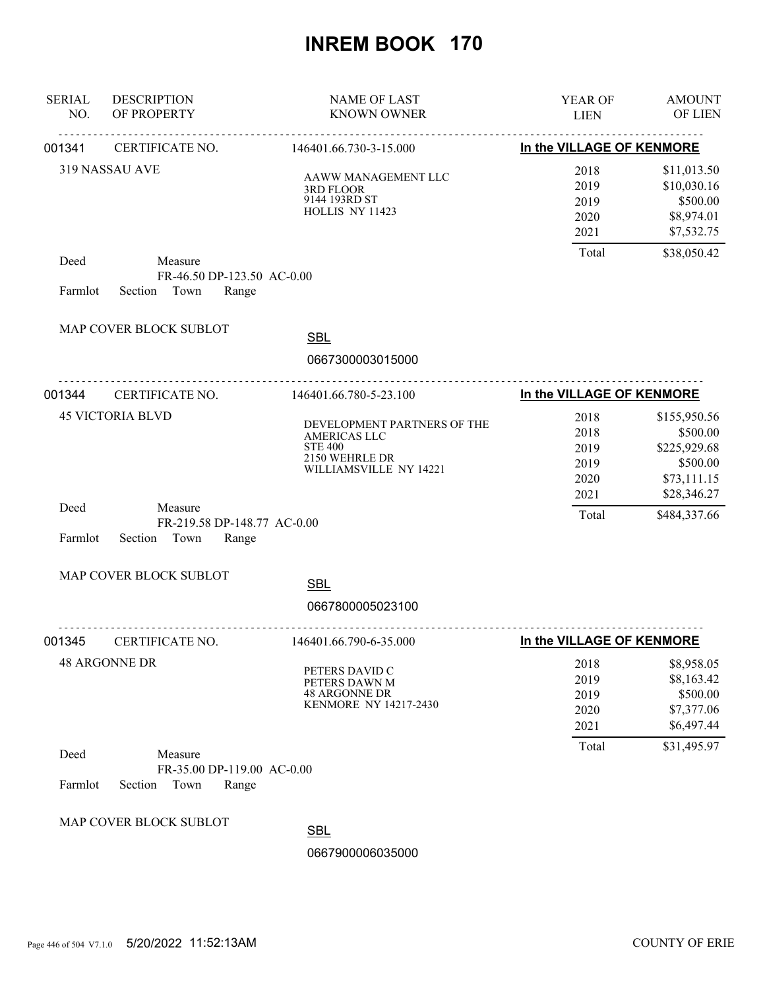| <b>SERIAL</b><br>NO. | <b>DESCRIPTION</b><br>OF PROPERTY                                 | <b>NAME OF LAST</b><br><b>KNOWN OWNER</b>                                                                 | YEAR OF<br><b>LIEN</b>                                           | <b>AMOUNT</b><br><b>OF LIEN</b>                                     |
|----------------------|-------------------------------------------------------------------|-----------------------------------------------------------------------------------------------------------|------------------------------------------------------------------|---------------------------------------------------------------------|
| 001341               | <b>CERTIFICATE NO.</b>                                            | 146401.66.730-3-15.000                                                                                    | ___________________________________<br>In the VILLAGE OF KENMORE |                                                                     |
|                      | 319 NASSAU AVE                                                    | AAWW MANAGEMENT LLC<br>3RD FLOOR<br>9144 193RD ST<br>HOLLIS NY 11423                                      | 2018<br>2019<br>2019<br>2020<br>2021                             | \$11,013.50<br>\$10,030.16<br>\$500.00<br>\$8,974.01<br>\$7,532.75  |
| Deed                 | Measure<br>FR-46.50 DP-123.50 AC-0.00                             |                                                                                                           | Total                                                            | \$38,050.42                                                         |
| Farmlot              | Section Town<br>Range                                             |                                                                                                           |                                                                  |                                                                     |
|                      | MAP COVER BLOCK SUBLOT                                            | <b>SBL</b>                                                                                                |                                                                  |                                                                     |
|                      |                                                                   | 0667300003015000                                                                                          |                                                                  |                                                                     |
| 001344               | CERTIFICATE NO.                                                   | 146401.66.780-5-23.100                                                                                    | In the VILLAGE OF KENMORE                                        |                                                                     |
|                      | <b>45 VICTORIA BLVD</b>                                           | DEVELOPMENT PARTNERS OF THE<br>AMERICAS LLC<br><b>STE 400</b><br>2150 WEHRLE DR<br>WILLIAMSVILLE NY 14221 | 2018<br>2018<br>2019<br>2019<br>2020                             | \$155,950.56<br>\$500.00<br>\$225,929.68<br>\$500.00<br>\$73,111.15 |
| Deed<br>Farmlot      | Measure<br>FR-219.58 DP-148.77 AC-0.00<br>Section Town<br>Range   |                                                                                                           | 2021<br>Total                                                    | \$28,346.27<br>\$484,337.66                                         |
|                      | MAP COVER BLOCK SUBLOT                                            | <b>SBL</b>                                                                                                |                                                                  |                                                                     |
|                      |                                                                   | 0667800005023100                                                                                          |                                                                  |                                                                     |
| 001345               | CERTIFICATE NO.                                                   | <u>.</u><br>146401.66.790-6-35.000                                                                        | In the VILLAGE OF KENMORE                                        |                                                                     |
|                      | <b>48 ARGONNE DR</b>                                              | PETERS DAVID C<br>PETERS DAWN M<br><b>48 ARGONNE DR</b><br><b>KENMORE NY 14217-2430</b>                   | 2018<br>2019<br>2019<br>2020<br>2021                             | \$8,958.05<br>\$8,163.42<br>\$500.00<br>\$7,377.06<br>\$6,497.44    |
| Deed<br>Farmlot      | Measure<br>FR-35.00 DP-119.00 AC-0.00<br>Section<br>Town<br>Range |                                                                                                           | Total                                                            | \$31,495.97                                                         |
|                      | MAP COVER BLOCK SUBLOT                                            | <b>SBL</b><br>0667900006035000                                                                            |                                                                  |                                                                     |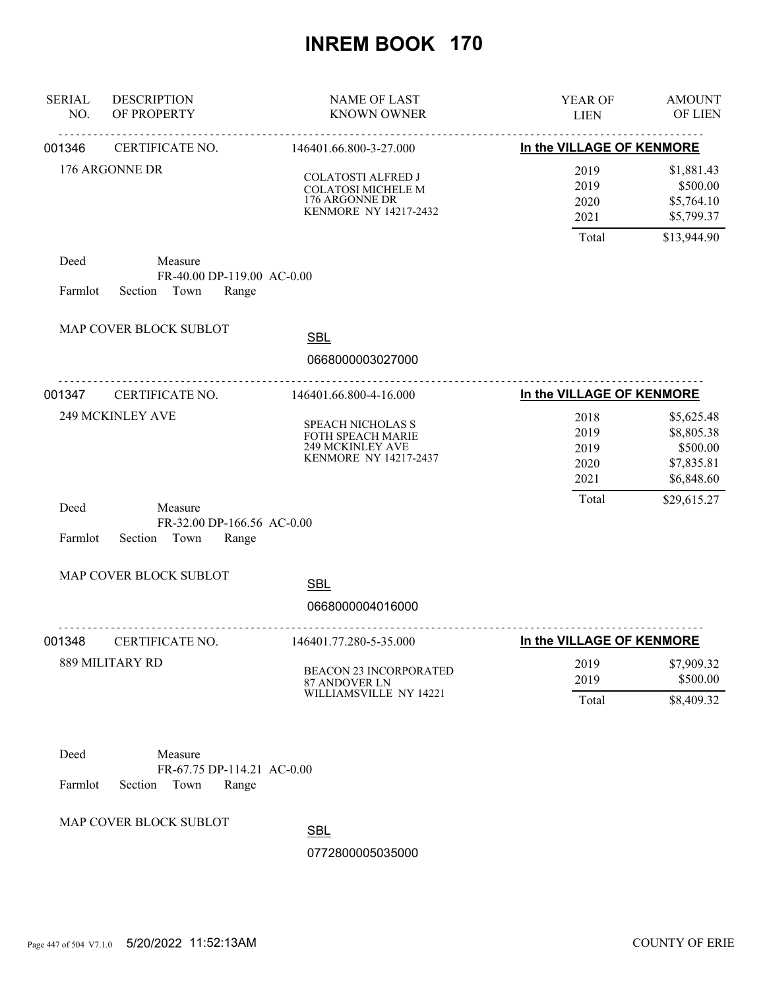| <b>SERIAL</b><br>NO. | <b>DESCRIPTION</b><br>OF PROPERTY                                 | <b>NAME OF LAST</b><br><b>KNOWN OWNER</b>                                                         | YEAR OF<br><b>LIEN</b>               | <b>AMOUNT</b><br>OF LIEN                                         |
|----------------------|-------------------------------------------------------------------|---------------------------------------------------------------------------------------------------|--------------------------------------|------------------------------------------------------------------|
| 001346               | .<br>CERTIFICATE NO.                                              | <u>.</u><br>146401.66.800-3-27.000                                                                | In the VILLAGE OF KENMORE            |                                                                  |
|                      | 176 ARGONNE DR                                                    | <b>COLATOSTI ALFRED J</b><br><b>COLATOSI MICHELE M</b><br>176 ARGONNE DR<br>KENMORE NY 14217-2432 | 2019<br>2019<br>2020<br>2021         | \$1,881.43<br>\$500.00<br>\$5,764.10<br>\$5,799.37               |
| Deed<br>Farmlot      | Measure<br>FR-40.00 DP-119.00 AC-0.00<br>Town<br>Section<br>Range |                                                                                                   | Total                                | \$13,944.90                                                      |
|                      | MAP COVER BLOCK SUBLOT                                            | <b>SBL</b><br>0668000003027000                                                                    |                                      |                                                                  |
| 001347               | CERTIFICATE NO.                                                   | 146401.66.800-4-16.000                                                                            | In the VILLAGE OF KENMORE            |                                                                  |
|                      | 249 MCKINLEY AVE                                                  | SPEACH NICHOLAS S<br>FOTH SPEACH MARIE<br><b>249 MCKINLEY AVE</b><br>KENMORE NY 14217-2437        | 2018<br>2019<br>2019<br>2020<br>2021 | \$5,625.48<br>\$8,805.38<br>\$500.00<br>\$7,835.81<br>\$6,848.60 |
| Deed<br>Farmlot      | Measure<br>FR-32.00 DP-166.56 AC-0.00<br>Section<br>Town<br>Range |                                                                                                   | Total                                | \$29,615.27                                                      |
|                      | MAP COVER BLOCK SUBLOT                                            | <b>SBL</b><br>0668000004016000                                                                    |                                      |                                                                  |
| 001348               | CERTIFICATE NO.                                                   | 146401.77.280-5-35.000                                                                            | In the VILLAGE OF KENMORE            |                                                                  |
|                      | 889 MILITARY RD                                                   | <b>BEACON 23 INCORPORATED</b><br>87 ANDOVER LN<br>WILLIAMSVILLE NY 14221                          | 2019<br>2019<br>Total                | \$7,909.32<br>\$500.00<br>\$8,409.32                             |
| Deed<br>Farmlot      | Measure<br>FR-67.75 DP-114.21 AC-0.00<br>Section<br>Town<br>Range |                                                                                                   |                                      |                                                                  |
|                      | MAP COVER BLOCK SUBLOT                                            |                                                                                                   |                                      |                                                                  |

**SBL**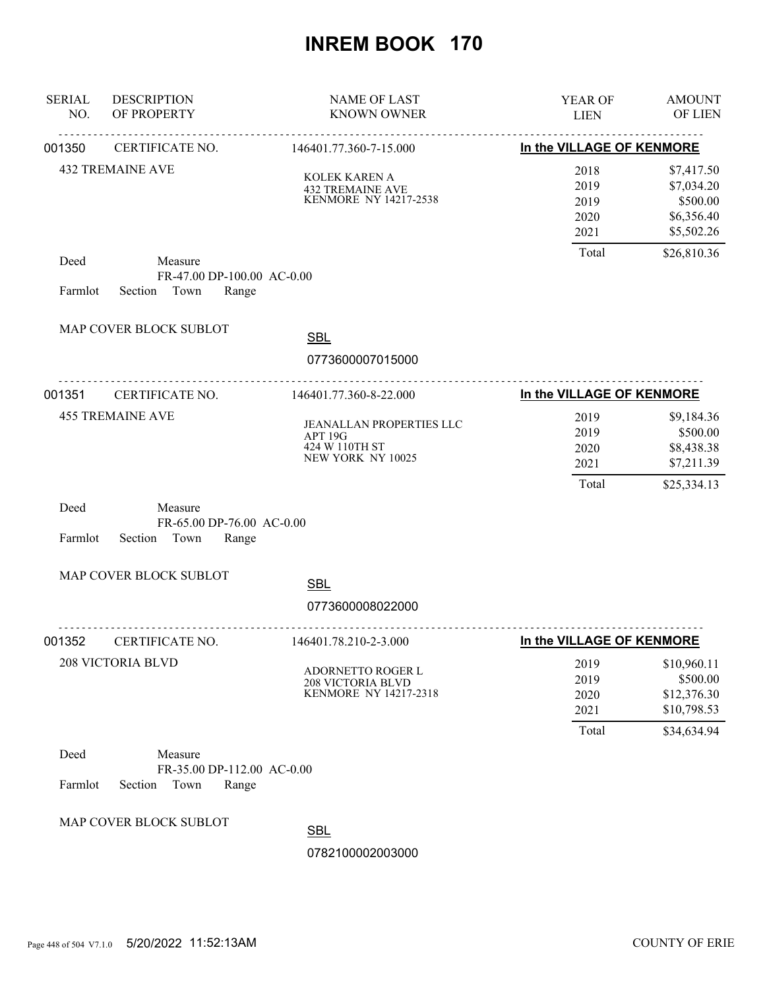| <b>SERIAL</b><br>NO. | <b>DESCRIPTION</b><br>OF PROPERTY                                | <b>NAME OF LAST</b><br><b>KNOWN OWNER</b>                                     | YEAR OF<br><b>LIEN</b>                | <b>AMOUNT</b><br>OF LIEN                                             |
|----------------------|------------------------------------------------------------------|-------------------------------------------------------------------------------|---------------------------------------|----------------------------------------------------------------------|
| 001350               | CERTIFICATE NO.                                                  | <u>.</u><br>146401.77.360-7-15.000                                            | In the VILLAGE OF KENMORE             |                                                                      |
|                      | <b>432 TREMAINE AVE</b>                                          | KOLEK KAREN A<br><b>432 TREMAINE AVE</b><br>KENMORE NY 14217-2538             | 2018<br>2019<br>2019<br>2020<br>2021  | \$7,417.50<br>\$7,034.20<br>\$500.00<br>\$6,356.40<br>\$5,502.26     |
| Deed<br>Farmlot      | Measure<br>FR-47.00 DP-100.00 AC-0.00<br>Section Town<br>Range   |                                                                               | Total                                 | \$26,810.36                                                          |
|                      | MAP COVER BLOCK SUBLOT                                           | <b>SBL</b><br>0773600007015000                                                |                                       |                                                                      |
| 001351               | .<br><b>CERTIFICATE NO.</b>                                      | <u>.</u><br>146401.77.360-8-22.000                                            | In the VILLAGE OF KENMORE             |                                                                      |
|                      | <b>455 TREMAINE AVE</b>                                          | JEANALLAN PROPERTIES LLC<br>APT 19G<br>424 W 110TH ST<br>NEW YORK NY 10025    | 2019<br>2019<br>2020<br>2021<br>Total | \$9,184.36<br>\$500.00<br>\$8,438.38<br>\$7,211.39<br>\$25,334.13    |
| Deed<br>Farmlot      | Measure<br>FR-65.00 DP-76.00 AC-0.00<br>Section<br>Town<br>Range |                                                                               |                                       |                                                                      |
|                      | MAP COVER BLOCK SUBLOT                                           | <b>SBL</b>                                                                    |                                       |                                                                      |
|                      |                                                                  | 0773600008022000                                                              |                                       |                                                                      |
| 001352               | CERTIFICATE NO.                                                  | 146401.78.210-2-3.000                                                         | In the VILLAGE OF KENMORE             |                                                                      |
|                      | <b>208 VICTORIA BLVD</b>                                         | <b>ADORNETTO ROGER L</b><br><b>208 VICTORIA BLVD</b><br>KENMORE NY 14217-2318 | 2019<br>2019<br>2020<br>2021<br>Total | \$10,960.11<br>\$500.00<br>\$12,376.30<br>\$10,798.53<br>\$34,634.94 |
| Deed                 | Measure                                                          |                                                                               |                                       |                                                                      |
| Farmlot              | FR-35.00 DP-112.00 AC-0.00<br>Section<br>Town<br>Range           |                                                                               |                                       |                                                                      |
|                      | MAP COVER BLOCK SUBLOT                                           | <b>SBL</b>                                                                    |                                       |                                                                      |
|                      |                                                                  | 0782100002003000                                                              |                                       |                                                                      |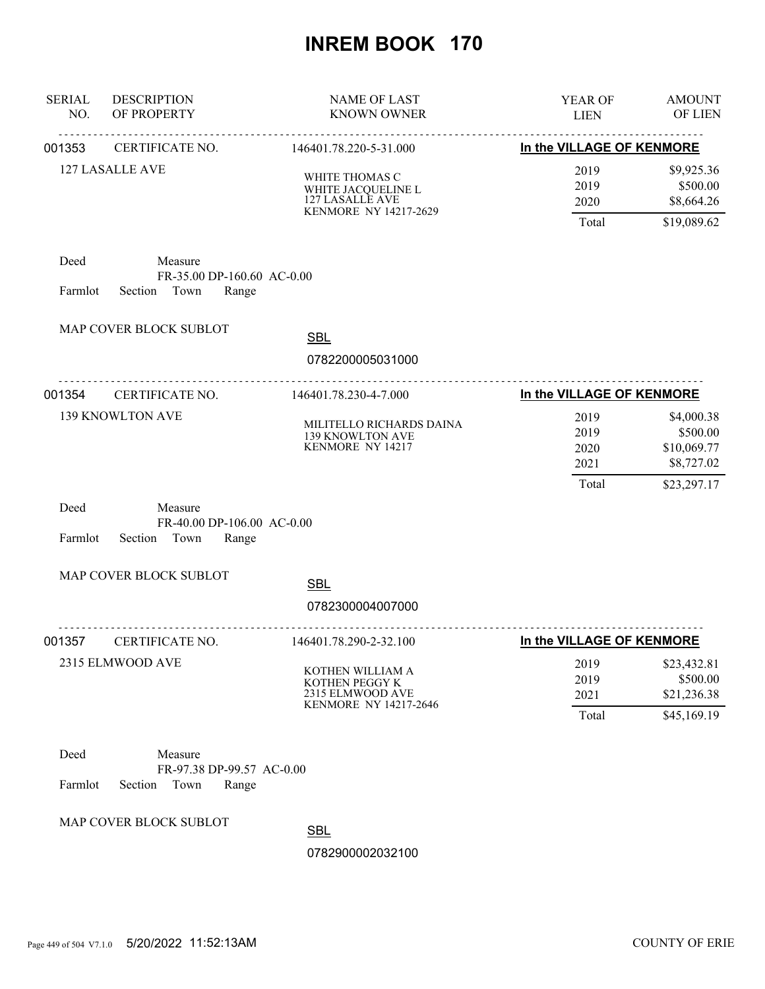| <b>SERIAL</b><br>NO. | <b>DESCRIPTION</b><br>OF PROPERTY                                 | <b>NAME OF LAST</b><br><b>KNOWN OWNER</b>                                        | YEAR OF<br><b>LIEN</b>        | <b>AMOUNT</b><br><b>OF LIEN</b>                       |
|----------------------|-------------------------------------------------------------------|----------------------------------------------------------------------------------|-------------------------------|-------------------------------------------------------|
| 001353               | CERTIFICATE NO.                                                   | 146401.78.220-5-31.000                                                           | In the VILLAGE OF KENMORE     |                                                       |
|                      | 127 LASALLE AVE                                                   | WHITE THOMAS C<br>WHITE JACQUELINE L<br>127 LASALLE AVE<br>KENMORE NY 14217-2629 | 2019<br>2019<br>2020          | \$9,925.36<br>\$500.00<br>\$8,664.26                  |
|                      |                                                                   |                                                                                  | Total                         | \$19,089.62                                           |
| Deed<br>Farmlot      | Measure<br>FR-35.00 DP-160.60 AC-0.00<br>Section<br>Town<br>Range |                                                                                  |                               |                                                       |
|                      | MAP COVER BLOCK SUBLOT                                            | <b>SBL</b>                                                                       |                               |                                                       |
|                      |                                                                   | 0782200005031000                                                                 |                               |                                                       |
| 001354               | CERTIFICATE NO.                                                   | 146401.78.230-4-7.000                                                            | In the VILLAGE OF KENMORE     |                                                       |
|                      | 139 KNOWLTON AVE                                                  | MILITELLO RICHARDS DAINA<br>139 KNOWLTON AVE<br>KENMORE NY 14217                 | 2019<br>2019<br>2020<br>2021  | \$4,000.38<br>\$500.00<br>\$10,069.77<br>\$8,727.02   |
|                      |                                                                   |                                                                                  | Total                         | \$23,297.17                                           |
| Deed<br>Farmlot      | Measure<br>FR-40.00 DP-106.00 AC-0.00<br>Section Town<br>Range    |                                                                                  |                               |                                                       |
|                      | MAP COVER BLOCK SUBLOT                                            | <b>SBL</b><br>0782300004007000                                                   |                               |                                                       |
| 001357               | <b>CERTIFICATE NO.</b>                                            | 146401.78.290-2-32.100                                                           | In the VILLAGE OF KENMORE     |                                                       |
|                      | 2315 ELMWOOD AVE                                                  | KOTHEN WILLIAM A<br>KOTHEN PEGGY K<br>2315 ELMWOOD AVE<br>KENMORE NY 14217-2646  | 2019<br>2019<br>2021<br>Total | \$23,432.81<br>\$500.00<br>\$21,236.38<br>\$45,169.19 |
| Deed<br>Farmlot      | Measure<br>FR-97.38 DP-99.57 AC-0.00<br>Section<br>Town<br>Range  |                                                                                  |                               |                                                       |
|                      | MAP COVER BLOCK SUBLOT                                            | <b>SBL</b>                                                                       |                               |                                                       |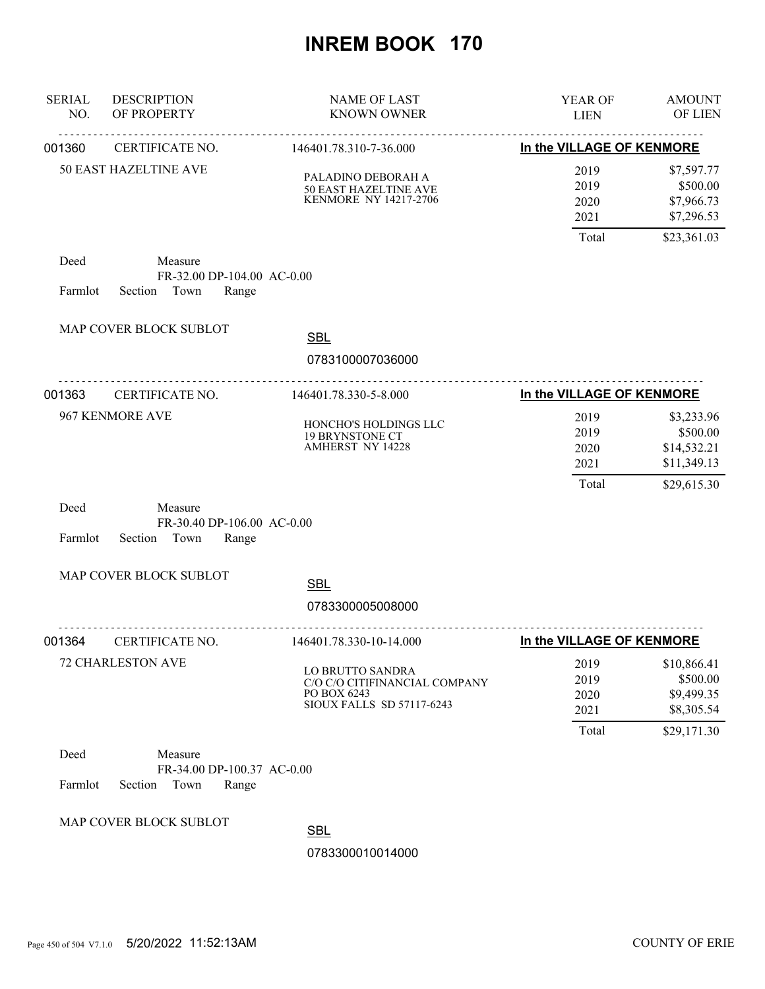| <b>SERIAL</b><br>NO. | <b>DESCRIPTION</b><br>OF PROPERTY                                 | <b>NAME OF LAST</b><br><b>KNOWN OWNER</b>                                                            | YEAR OF<br><b>LIEN</b>       | <b>AMOUNT</b><br>OF LIEN                             |
|----------------------|-------------------------------------------------------------------|------------------------------------------------------------------------------------------------------|------------------------------|------------------------------------------------------|
| 001360               | <u>.</u><br>CERTIFICATE NO.                                       | 146401.78.310-7-36.000                                                                               | In the VILLAGE OF KENMORE    |                                                      |
|                      | <b>50 EAST HAZELTINE AVE</b>                                      | PALADINO DEBORAH A<br>50 EAST HAZELTINE AVE<br><b>KENMORE NY 14217-2706</b>                          | 2019<br>2019<br>2020<br>2021 | \$7,597.77<br>\$500.00<br>\$7,966.73<br>\$7,296.53   |
|                      |                                                                   |                                                                                                      | Total                        | \$23,361.03                                          |
| Deed<br>Farmlot      | Measure<br>FR-32.00 DP-104.00 AC-0.00<br>Section<br>Town<br>Range |                                                                                                      |                              |                                                      |
|                      | MAP COVER BLOCK SUBLOT                                            | <b>SBL</b>                                                                                           |                              |                                                      |
|                      |                                                                   | 0783100007036000                                                                                     |                              |                                                      |
| 001363               | .<br>CERTIFICATE NO.                                              | .<br>146401.78.330-5-8.000                                                                           | In the VILLAGE OF KENMORE    |                                                      |
|                      | 967 KENMORE AVE                                                   | HONCHO'S HOLDINGS LLC<br><b>19 BRYNSTONE CT</b><br><b>AMHERST NY 14228</b>                           | 2019<br>2019<br>2020<br>2021 | \$3,233.96<br>\$500.00<br>\$14,532.21<br>\$11,349.13 |
| Deed<br>Farmlot      | Measure<br>FR-30.40 DP-106.00 AC-0.00<br>Section<br>Town<br>Range |                                                                                                      | Total                        | \$29,615.30                                          |
|                      | MAP COVER BLOCK SUBLOT                                            | <b>SBL</b>                                                                                           |                              |                                                      |
|                      |                                                                   | 0783300005008000                                                                                     |                              |                                                      |
| 001364               | CERTIFICATE NO.                                                   | 146401.78.330-10-14.000                                                                              | In the VILLAGE OF KENMORE    |                                                      |
|                      | 72 CHARLESTON AVE                                                 | <b>LO BRUTTO SANDRA</b><br>C/O C/O CITIFINANCIAL COMPANY<br>PO BOX 6243<br>SIOUX FALLS SD 57117-6243 | 2019<br>2019<br>2020<br>2021 | \$10,866.41<br>\$500.00<br>\$9,499.35<br>\$8,305.54  |
|                      |                                                                   |                                                                                                      | Total                        | \$29,171.30                                          |
| Deed<br>Farmlot      | Measure<br>FR-34.00 DP-100.37 AC-0.00<br>Town<br>Section<br>Range |                                                                                                      |                              |                                                      |
|                      | MAP COVER BLOCK SUBLOT                                            | <b>SBL</b><br>0783300010014000                                                                       |                              |                                                      |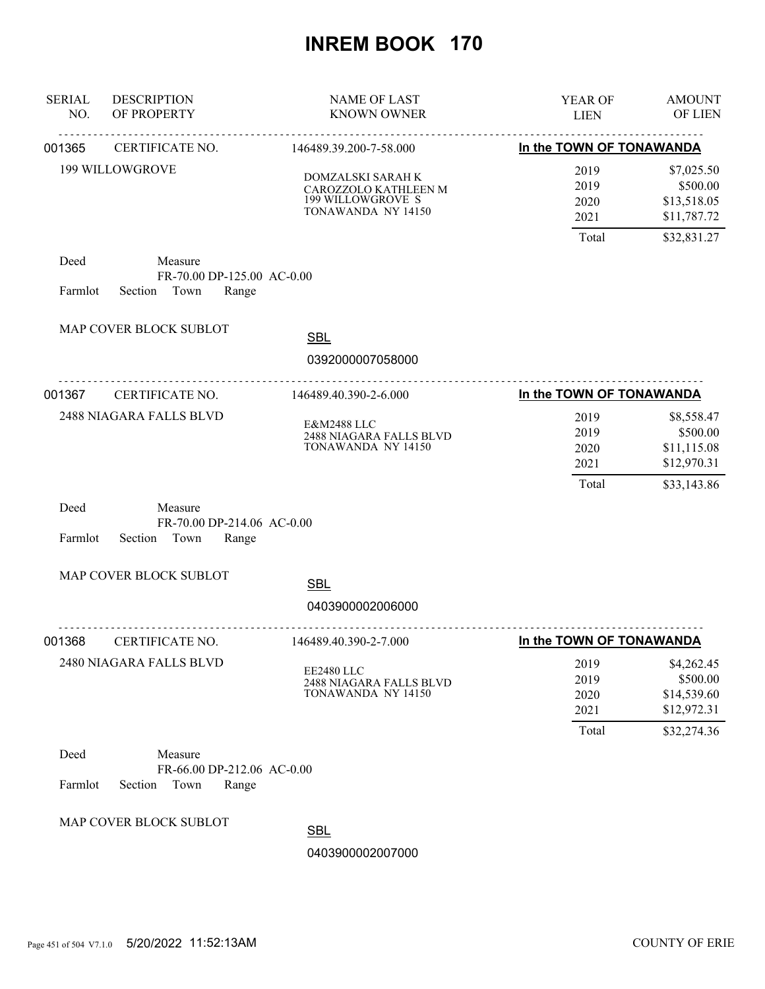| <b>SERIAL</b><br>NO. | <b>DESCRIPTION</b><br>OF PROPERTY                                 | <b>NAME OF LAST</b><br><b>KNOWN OWNER</b>                                            | <b>YEAR OF</b><br><b>LIEN</b>         | <b>AMOUNT</b><br>OF LIEN                                            |
|----------------------|-------------------------------------------------------------------|--------------------------------------------------------------------------------------|---------------------------------------|---------------------------------------------------------------------|
| 001365               | CERTIFICATE NO.                                                   | 146489.39.200-7-58.000                                                               | In the TOWN OF TONAWANDA              |                                                                     |
|                      | <b>199 WILLOWGROVE</b>                                            | DOMZALSKI SARAH K<br>CAROZZOLO KATHLEEN M<br>199 WILLOWGROVE S<br>TONAWANDA NY 14150 | 2019<br>2019<br>2020<br>2021          | \$7,025.50<br>\$500.00<br>\$13,518.05<br>\$11,787.72                |
|                      |                                                                   |                                                                                      | Total                                 | \$32,831.27                                                         |
| Deed<br>Farmlot      | Measure<br>FR-70.00 DP-125.00 AC-0.00<br>Town<br>Section<br>Range |                                                                                      |                                       |                                                                     |
|                      | MAP COVER BLOCK SUBLOT                                            | <b>SBL</b><br>0392000007058000                                                       |                                       |                                                                     |
| 001367               | CERTIFICATE NO.                                                   | <u>.</u><br>146489.40.390-2-6.000                                                    | In the TOWN OF TONAWANDA              |                                                                     |
|                      | 2488 NIAGARA FALLS BLVD                                           | E&M2488 LLC<br>2488 NIAGARA FALLS BLVD<br>TONAWANDA NY 14150                         | 2019<br>2019<br>2020<br>2021<br>Total | \$8,558.47<br>\$500.00<br>\$11,115.08<br>\$12,970.31<br>\$33,143.86 |
| Deed<br>Farmlot      | Measure<br>FR-70.00 DP-214.06 AC-0.00<br>Section<br>Town<br>Range |                                                                                      |                                       |                                                                     |
|                      | MAP COVER BLOCK SUBLOT                                            | <b>SBL</b>                                                                           |                                       |                                                                     |
|                      |                                                                   | 0403900002006000                                                                     |                                       |                                                                     |
| 001368               | CERTIFICATE NO.                                                   | <u>.</u><br>146489.40.390-2-7.000                                                    | In the TOWN OF TONAWANDA              |                                                                     |
|                      | 2480 NIAGARA FALLS BLVD                                           | EE2480 LLC<br>2488 NIAGARA FALLS BLVD<br>TONAWANDA NY 14150                          | 2019<br>2019<br>2020<br>2021<br>Total | \$4,262.45<br>\$500.00<br>\$14,539.60<br>\$12,972.31<br>\$32,274.36 |
| Deed                 | Measure<br>FR-66.00 DP-212.06 AC-0.00                             |                                                                                      |                                       |                                                                     |
| Farmlot              | Town<br>Section<br>Range                                          |                                                                                      |                                       |                                                                     |
|                      | MAP COVER BLOCK SUBLOT                                            | <b>SBL</b>                                                                           |                                       |                                                                     |
|                      |                                                                   | 0403900002007000                                                                     |                                       |                                                                     |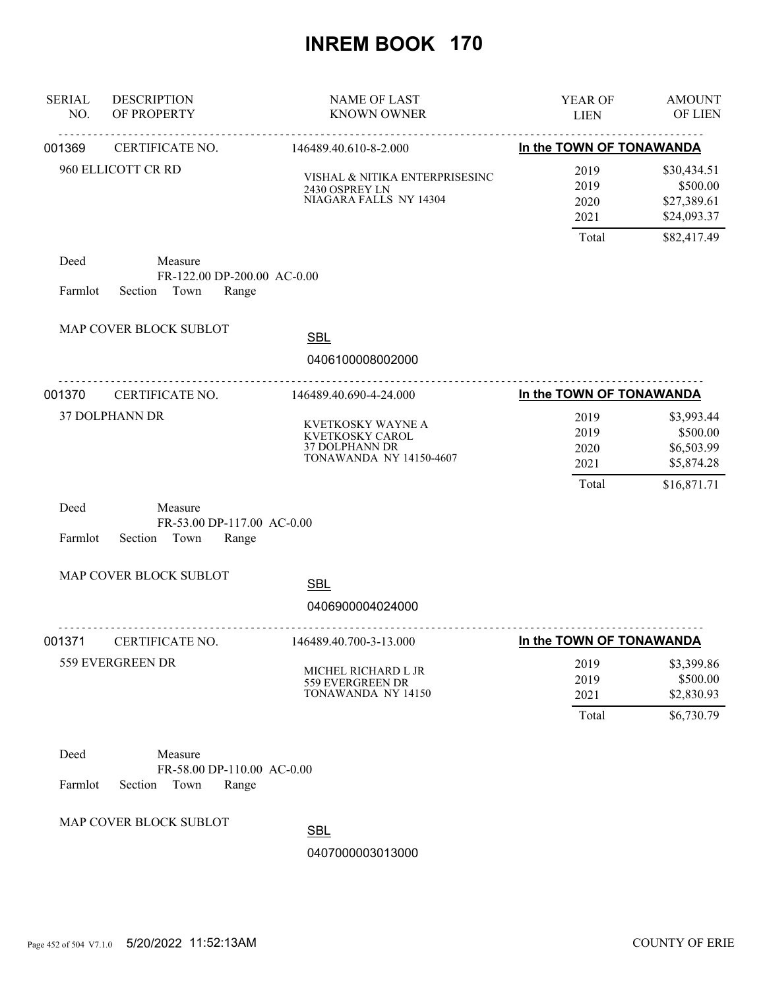| <b>SERIAL</b><br>NO. | <b>DESCRIPTION</b><br>OF PROPERTY                                  | <b>NAME OF LAST</b><br><b>KNOWN OWNER</b>                                                       | YEAR OF<br><b>LIEN</b>       | <b>AMOUNT</b><br>OF LIEN                              |
|----------------------|--------------------------------------------------------------------|-------------------------------------------------------------------------------------------------|------------------------------|-------------------------------------------------------|
| 001369               | CERTIFICATE NO.                                                    | 146489.40.610-8-2.000                                                                           | In the TOWN OF TONAWANDA     |                                                       |
|                      | 960 ELLICOTT CR RD                                                 | VISHAL & NITIKA ENTERPRISESINC<br>2430 OSPREY LN<br>NIAGARA FALLS NY 14304                      | 2019<br>2019<br>2020<br>2021 | \$30,434.51<br>\$500.00<br>\$27,389.61<br>\$24,093.37 |
| Deed<br>Farmlot      | Measure<br>FR-122.00 DP-200.00 AC-0.00<br>Town<br>Range<br>Section |                                                                                                 | Total                        | \$82,417.49                                           |
|                      | MAP COVER BLOCK SUBLOT                                             | <b>SBL</b>                                                                                      |                              |                                                       |
|                      |                                                                    | 0406100008002000<br>.                                                                           |                              |                                                       |
| 001370               | CERTIFICATE NO.                                                    | 146489.40.690-4-24.000                                                                          | In the TOWN OF TONAWANDA     |                                                       |
|                      | 37 DOLPHANN DR                                                     | KVETKOSKY WAYNE A<br>KVETKOSKY CAROL<br><b>37 DOLPHANN DR</b><br><b>TONAWANDA NY 14150-4607</b> | 2019<br>2019<br>2020<br>2021 | \$3,993.44<br>\$500.00<br>\$6,503.99<br>\$5,874.28    |
| Deed<br>Farmlot      | Measure<br>FR-53.00 DP-117.00 AC-0.00<br>Section<br>Town<br>Range  |                                                                                                 | Total                        | \$16,871.71                                           |
|                      | MAP COVER BLOCK SUBLOT                                             | <b>SBL</b><br>0406900004024000                                                                  |                              |                                                       |
|                      |                                                                    | <u>.</u>                                                                                        |                              |                                                       |
| 001371               | CERTIFICATE NO.                                                    | 146489.40.700-3-13.000                                                                          | In the TOWN OF TONAWANDA     |                                                       |
|                      | 559 EVERGREEN DR                                                   | MICHEL RICHARD L JR<br>559 EVERGREEN DR<br>TONAWANDA NY 14150                                   | 2019<br>2019<br>2021         | \$3,399.86<br>\$500.00<br>\$2,830.93                  |
|                      |                                                                    |                                                                                                 | Total                        | \$6,730.79                                            |
| Deed<br>Farmlot      | Measure<br>FR-58.00 DP-110.00 AC-0.00<br>Section<br>Town<br>Range  |                                                                                                 |                              |                                                       |
|                      | MAP COVER BLOCK SUBLOT                                             | CDI                                                                                             |                              |                                                       |

SBL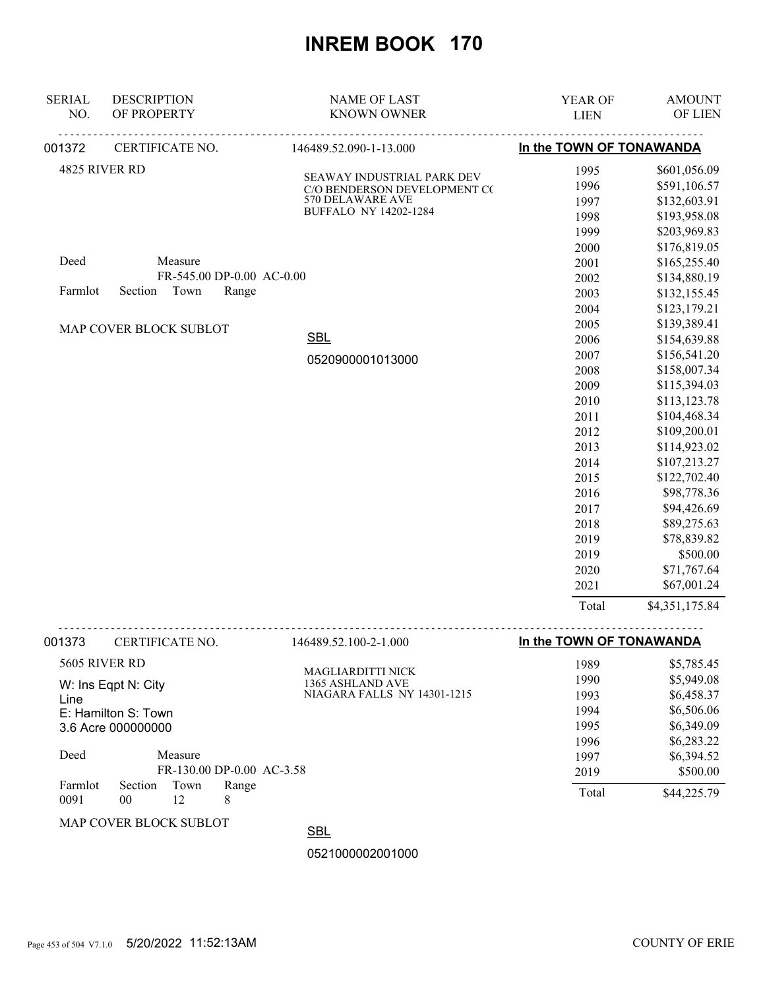| <b>SERIAL</b><br>NO.            | <b>DESCRIPTION</b><br>OF PROPERTY                                                                                                                                          | <b>NAME OF LAST</b><br><b>KNOWN OWNER</b>                                                                      | YEAR OF<br><b>LIEN</b>                                                                                                                               | <b>AMOUNT</b><br>OF LIEN                                                                                                                                                                                                                                                                           |
|---------------------------------|----------------------------------------------------------------------------------------------------------------------------------------------------------------------------|----------------------------------------------------------------------------------------------------------------|------------------------------------------------------------------------------------------------------------------------------------------------------|----------------------------------------------------------------------------------------------------------------------------------------------------------------------------------------------------------------------------------------------------------------------------------------------------|
| 001372                          | CERTIFICATE NO.                                                                                                                                                            | 146489.52.090-1-13.000                                                                                         | In the TOWN OF TONAWANDA                                                                                                                             |                                                                                                                                                                                                                                                                                                    |
|                                 | 4825 RIVER RD                                                                                                                                                              | SEAWAY INDUSTRIAL PARK DEV<br>C/O BENDERSON DEVELOPMENT CO<br>570 DELAWARE AVE<br><b>BUFFALO NY 14202-1284</b> | 1995<br>1996<br>1997<br>1998<br>1999<br>2000                                                                                                         | \$601,056.09<br>\$591,106.57<br>\$132,603.91<br>\$193,958.08<br>\$203,969.83<br>\$176,819.05                                                                                                                                                                                                       |
| Deed<br>Farmlot                 | Measure<br>FR-545.00 DP-0.00 AC-0.00<br>Section<br>Town<br>Range                                                                                                           |                                                                                                                | 2001<br>2002<br>2003                                                                                                                                 | \$165,255.40<br>\$134,880.19<br>\$132,155.45                                                                                                                                                                                                                                                       |
|                                 | MAP COVER BLOCK SUBLOT                                                                                                                                                     | <b>SBL</b><br>0520900001013000                                                                                 | 2004<br>2005<br>2006<br>2007<br>2008<br>2009<br>2010<br>2011<br>2012<br>2013<br>2014<br>2015<br>2016<br>2017<br>2018<br>2019<br>2019<br>2020<br>2021 | \$123,179.21<br>\$139,389.41<br>\$154,639.88<br>\$156,541.20<br>\$158,007.34<br>\$115,394.03<br>\$113,123.78<br>\$104,468.34<br>\$109,200.01<br>\$114,923.02<br>\$107,213.27<br>\$122,702.40<br>\$98,778.36<br>\$94,426.69<br>\$89,275.63<br>\$78,839.82<br>\$500.00<br>\$71,767.64<br>\$67,001.24 |
|                                 |                                                                                                                                                                            |                                                                                                                | Total                                                                                                                                                | \$4,351,175.84                                                                                                                                                                                                                                                                                     |
| 001373                          | CERTIFICATE NO.                                                                                                                                                            | 146489.52.100-2-1.000                                                                                          | In the TOWN OF TONAWANDA                                                                                                                             |                                                                                                                                                                                                                                                                                                    |
| Line<br>Deed<br>Farmlot<br>0091 | 5605 RIVER RD<br>W: Ins Eqpt N: City<br>E: Hamilton S: Town<br>3.6 Acre 000000000<br>Measure<br>FR-130.00 DP-0.00 AC-3.58<br>Section<br>Town<br>Range<br>12<br>$00\,$<br>8 | <b>MAGLIARDITTI NICK</b><br>1365 ASHLAND AVE<br>NIAGARA FALLS NY 14301-1215                                    | 1989<br>1990<br>1993<br>1994<br>1995<br>1996<br>1997<br>2019<br>Total                                                                                | \$5,785.45<br>\$5,949.08<br>\$6,458.37<br>\$6,506.06<br>\$6,349.09<br>\$6,283.22<br>\$6,394.52<br>\$500.00<br>\$44,225.79                                                                                                                                                                          |
|                                 | MAP COVER BLOCK SUBLOT                                                                                                                                                     | <b>SBL</b>                                                                                                     |                                                                                                                                                      |                                                                                                                                                                                                                                                                                                    |
|                                 |                                                                                                                                                                            | 0521000002001000                                                                                               |                                                                                                                                                      |                                                                                                                                                                                                                                                                                                    |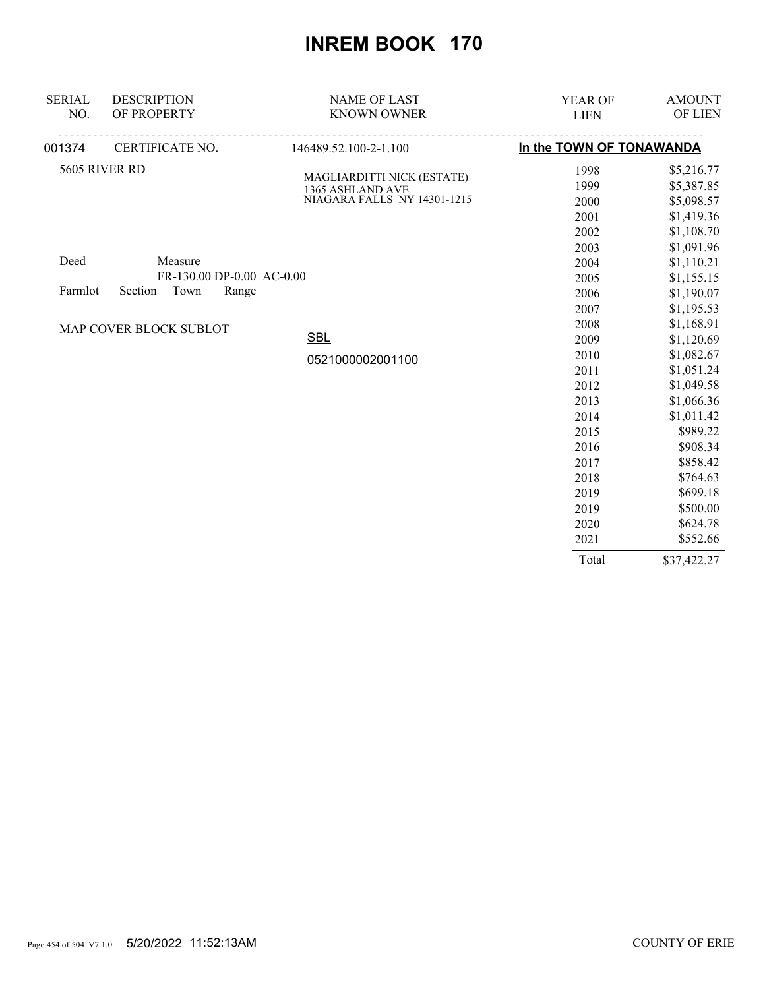| <b>SERIAL</b> | <b>DESCRIPTION</b>        | <b>NAME OF LAST</b>                            | YEAR OF                  | <b>AMOUNT</b> |
|---------------|---------------------------|------------------------------------------------|--------------------------|---------------|
| NO.           | OF PROPERTY               | <b>KNOWN OWNER</b>                             | <b>LIEN</b>              | OF LIEN       |
| 001374        | <b>CERTIFICATE NO.</b>    | 146489.52.100-2-1.100                          | In the TOWN OF TONAWANDA |               |
|               | 5605 RIVER RD             |                                                | 1998                     | \$5,216.77    |
|               |                           | MAGLIARDITTI NICK (ESTATE)<br>1365 ASHLAND AVE | 1999                     | \$5,387.85    |
|               |                           | NIAGARA FALLS NY 14301-1215                    | 2000                     | \$5,098.57    |
|               |                           |                                                | 2001                     | \$1,419.36    |
|               |                           |                                                | 2002                     | \$1,108.70    |
|               |                           |                                                | 2003                     | \$1,091.96    |
| Deed          | Measure                   |                                                | 2004                     | \$1,110.21    |
|               | FR-130.00 DP-0.00 AC-0.00 |                                                | 2005                     | \$1,155.15    |
| Farmlot       | Town<br>Section<br>Range  |                                                | 2006                     | \$1,190.07    |
|               |                           |                                                | 2007                     | \$1,195.53    |
|               | MAP COVER BLOCK SUBLOT    |                                                | 2008                     | \$1,168.91    |
|               |                           | <b>SBL</b>                                     | 2009                     | \$1,120.69    |
|               |                           | 0521000002001100                               | 2010                     | \$1,082.67    |
|               |                           |                                                | 2011                     | \$1,051.24    |
|               |                           |                                                | 2012                     | \$1,049.58    |
|               |                           |                                                | 2013                     | \$1,066.36    |
|               |                           |                                                | 2014                     | \$1,011.42    |
|               |                           |                                                | 2015                     | \$989.22      |
|               |                           |                                                | 2016                     | \$908.34      |
|               |                           |                                                | 2017                     | \$858.42      |
|               |                           |                                                | 2018                     | \$764.63      |
|               |                           |                                                | 2019                     | \$699.18      |
|               |                           |                                                | 2019                     | \$500.00      |
|               |                           |                                                | 2020                     | \$624.78      |
|               |                           |                                                | 2021                     | \$552.66      |
|               |                           |                                                | Total                    | \$37,422.27   |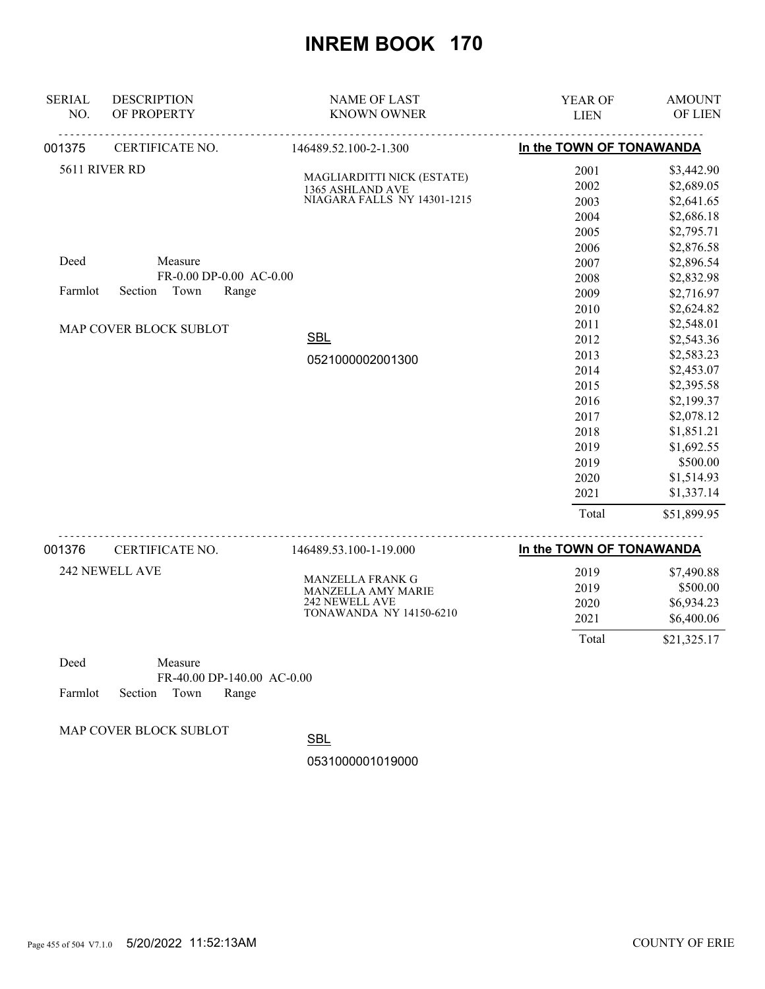| <b>SERIAL</b><br>NO. | <b>DESCRIPTION</b><br>OF PROPERTY                              | <b>NAME OF LAST</b><br><b>KNOWN OWNER</b>                                     | <b>YEAR OF</b><br><b>LIEN</b>                                                                         | <b>AMOUNT</b><br>OF LIEN                                                                                                                                                          |
|----------------------|----------------------------------------------------------------|-------------------------------------------------------------------------------|-------------------------------------------------------------------------------------------------------|-----------------------------------------------------------------------------------------------------------------------------------------------------------------------------------|
| 001375               | CERTIFICATE NO.                                                | 146489.52.100-2-1.300                                                         | In the TOWN OF TONAWANDA                                                                              |                                                                                                                                                                                   |
|                      | 5611 RIVER RD                                                  | MAGLIARDITTI NICK (ESTATE)<br>1365 ASHLAND AVE<br>NIAGARA FALLS NY 14301-1215 | 2001<br>2002<br>2003<br>2004<br>2005                                                                  | \$3,442.90<br>\$2,689.05<br>\$2,641.65<br>\$2,686.18<br>\$2,795.71                                                                                                                |
| Deed<br>Farmlot      | Measure<br>FR-0.00 DP-0.00 AC-0.00<br>Town<br>Section<br>Range |                                                                               | 2006<br>2007<br>2008<br>2009<br>2010                                                                  | \$2,876.58<br>\$2,896.54<br>\$2,832.98<br>\$2,716.97<br>\$2,624.82                                                                                                                |
|                      | MAP COVER BLOCK SUBLOT                                         | <b>SBL</b><br>0521000002001300                                                | 2011<br>2012<br>2013<br>2014<br>2015<br>2016<br>2017<br>2018<br>2019<br>2019<br>2020<br>2021<br>Total | \$2,548.01<br>\$2,543.36<br>\$2,583.23<br>\$2,453.07<br>\$2,395.58<br>\$2,199.37<br>\$2,078.12<br>\$1,851.21<br>\$1,692.55<br>\$500.00<br>\$1,514.93<br>\$1,337.14<br>\$51,899.95 |
|                      |                                                                |                                                                               |                                                                                                       |                                                                                                                                                                                   |
| 001376               | CERTIFICATE NO.                                                | 146489.53.100-1-19.000                                                        | In the TOWN OF TONAWANDA                                                                              |                                                                                                                                                                                   |

| 242 NEWELL AVE | <b>MANZELLA FRANK G</b>        | 2019  | \$7,490.88  |
|----------------|--------------------------------|-------|-------------|
|                | <b>MANZELLA AMY MARIE</b>      | 2019  | \$500.00    |
|                | 242 NEWELL AVE                 | 2020  | \$6,934.23  |
|                | <b>TONAWANDA NY 14150-6210</b> | 2021  | \$6,400.06  |
|                |                                | Total | \$21,325.17 |

Deed Measure FR-40.00 DP-140.00 AC-0.00 Farmlot Section Town Range

MAP COVER BLOCK SUBLOT

**SBL**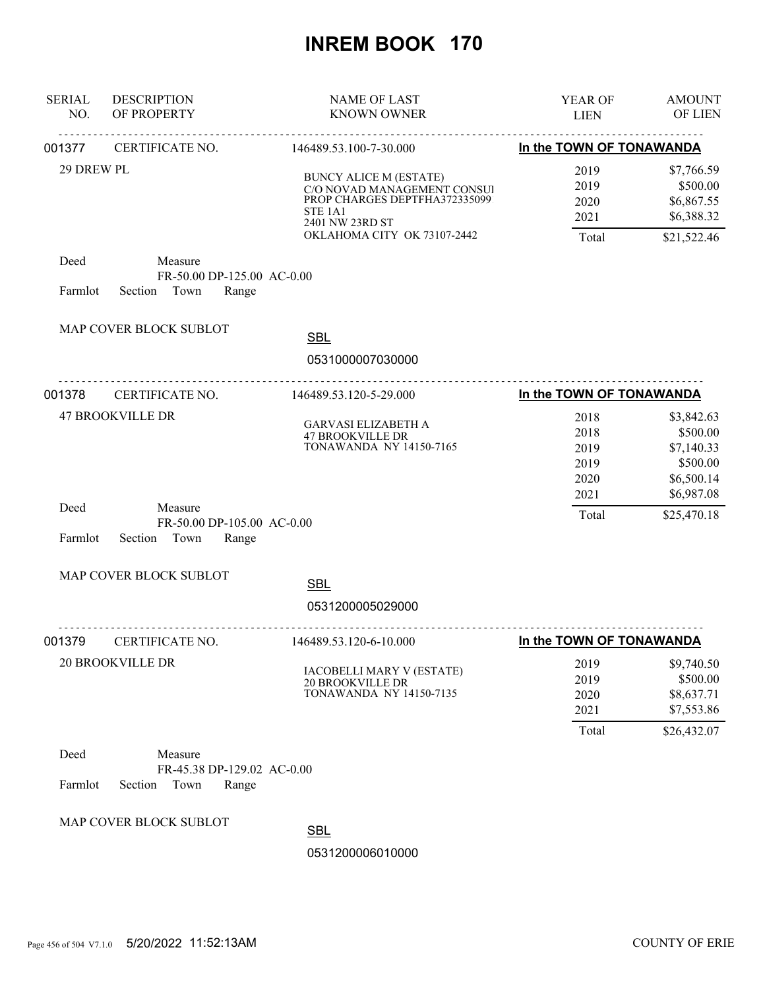| <b>SERIAL</b><br>NO. | <b>DESCRIPTION</b><br>OF PROPERTY                                 | <b>NAME OF LAST</b><br><b>KNOWN OWNER</b>                                                                                                                              | YEAR OF<br><b>LIEN</b>                | <b>AMOUNT</b><br>OF LIEN                                          |
|----------------------|-------------------------------------------------------------------|------------------------------------------------------------------------------------------------------------------------------------------------------------------------|---------------------------------------|-------------------------------------------------------------------|
| 001377               | <u>.</u><br>CERTIFICATE NO.                                       | <u>.</u><br>146489.53.100-7-30.000                                                                                                                                     | In the TOWN OF TONAWANDA              |                                                                   |
| 29 DREW PL           |                                                                   | <b>BUNCY ALICE M (ESTATE)</b><br>C/O NOVAD MANAGEMENT CONSUI<br>PROP CHARGES DEPTFHA3723350991<br>STE <sub>1A1</sub><br>2401 NW 23RD ST<br>OKLAHOMA CITY OK 73107-2442 | 2019<br>2019<br>2020<br>2021<br>Total | \$7,766.59<br>\$500.00<br>\$6,867.55<br>\$6,388.32<br>\$21,522.46 |
| Deed<br>Farmlot      | Measure<br>FR-50.00 DP-125.00 AC-0.00<br>Town<br>Section<br>Range |                                                                                                                                                                        |                                       |                                                                   |
|                      | MAP COVER BLOCK SUBLOT                                            | <b>SBL</b><br>0531000007030000                                                                                                                                         |                                       |                                                                   |
| 001378               | CERTIFICATE NO.                                                   | .<br>146489.53.120-5-29.000                                                                                                                                            | In the TOWN OF TONAWANDA              |                                                                   |
|                      | <b>47 BROOKVILLE DR</b>                                           | <b>GARVASI ELIZABETH A</b><br><b>47 BROOKVILLE DR</b><br><b>TONAWANDA NY 14150-7165</b>                                                                                | 2018<br>2018<br>2019<br>2019<br>2020  | \$3,842.63<br>\$500.00<br>\$7,140.33<br>\$500.00<br>\$6,500.14    |
| Deed<br>Farmlot      | Measure<br>FR-50.00 DP-105.00 AC-0.00<br>Section<br>Town<br>Range |                                                                                                                                                                        | 2021<br>Total                         | \$6,987.08<br>\$25,470.18                                         |
|                      | MAP COVER BLOCK SUBLOT                                            |                                                                                                                                                                        |                                       |                                                                   |
|                      |                                                                   | <b>SBL</b><br>0531200005029000                                                                                                                                         |                                       |                                                                   |
| 001379               | CERTIFICATE NO.                                                   | .<br>146489.53.120-6-10.000                                                                                                                                            | In the TOWN OF TONAWANDA              |                                                                   |
|                      | <b>20 BROOKVILLE DR</b>                                           | <b>IACOBELLI MARY V (ESTATE)</b><br><b>20 BROOKVILLE DR</b><br><b>TONAWANDA NY 14150-7135</b>                                                                          | 2019<br>2019<br>2020<br>2021<br>Total | \$9,740.50<br>\$500.00<br>\$8,637.71<br>\$7,553.86<br>\$26,432.07 |
| Deed<br>Farmlot      | Measure<br>FR-45.38 DP-129.02 AC-0.00<br>Section<br>Town<br>Range |                                                                                                                                                                        |                                       |                                                                   |
|                      | MAP COVER BLOCK SUBLOT                                            | <b>SBL</b><br>0531200006010000                                                                                                                                         |                                       |                                                                   |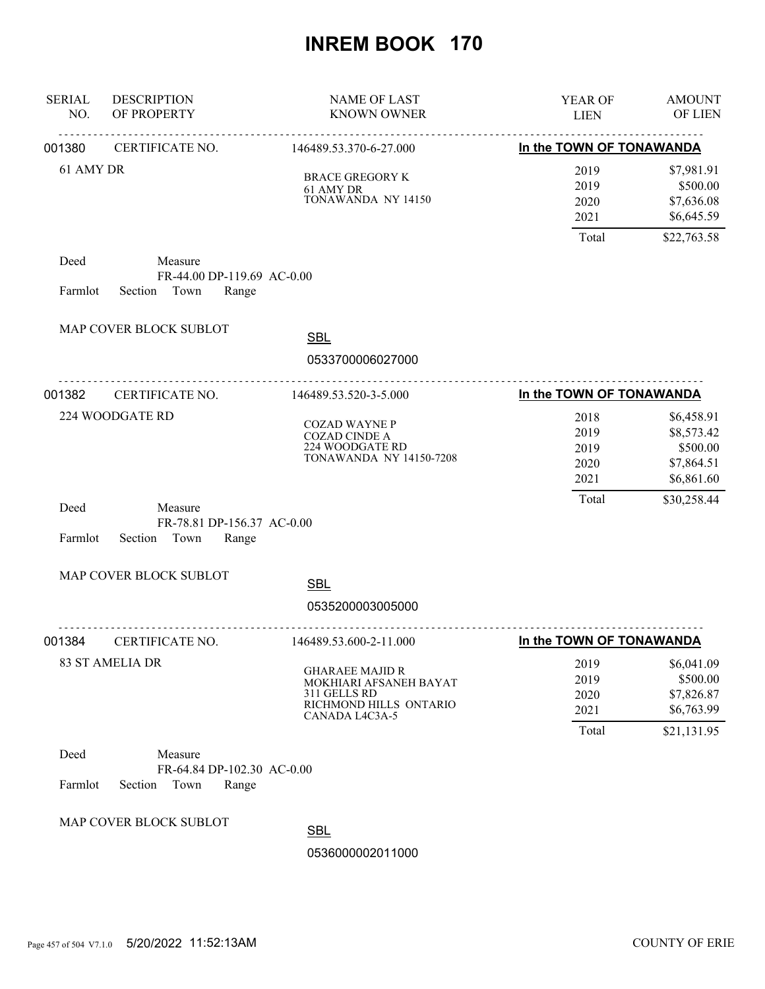| <b>SERIAL</b><br>NO. | <b>DESCRIPTION</b><br>OF PROPERTY                                 | <b>NAME OF LAST</b><br><b>KNOWN OWNER</b>                                                                    | YEAR OF<br><b>LIEN</b>               | <b>AMOUNT</b><br>OF LIEN                                         |
|----------------------|-------------------------------------------------------------------|--------------------------------------------------------------------------------------------------------------|--------------------------------------|------------------------------------------------------------------|
| 001380               | <u>.</u><br>CERTIFICATE NO.                                       | .<br>146489.53.370-6-27.000                                                                                  | In the TOWN OF TONAWANDA             |                                                                  |
| 61 AMY DR            |                                                                   | <b>BRACE GREGORY K</b><br>61 AMY DR<br>TONAWANDA NY 14150                                                    | 2019<br>2019<br>2020<br>2021         | \$7,981.91<br>\$500.00<br>\$7,636.08<br>\$6,645.59               |
|                      |                                                                   |                                                                                                              | Total                                | \$22,763.58                                                      |
| Deed<br>Farmlot      | Measure<br>FR-44.00 DP-119.69 AC-0.00<br>Town<br>Section<br>Range |                                                                                                              |                                      |                                                                  |
|                      | MAP COVER BLOCK SUBLOT                                            | <b>SBL</b>                                                                                                   |                                      |                                                                  |
|                      |                                                                   | 0533700006027000                                                                                             |                                      |                                                                  |
| 001382               | <u>.</u><br>CERTIFICATE NO.                                       | <u>.</u><br>146489.53.520-3-5.000                                                                            | In the TOWN OF TONAWANDA             |                                                                  |
|                      | 224 WOODGATE RD                                                   | <b>COZAD WAYNE P</b><br><b>COZAD CINDE A</b><br>224 WOODGATE RD<br><b>TONAWANDA NY 14150-7208</b>            | 2018<br>2019<br>2019<br>2020<br>2021 | \$6,458.91<br>\$8,573.42<br>\$500.00<br>\$7,864.51<br>\$6,861.60 |
| Deed<br>Farmlot      | Measure<br>FR-78.81 DP-156.37 AC-0.00<br>Section<br>Town<br>Range |                                                                                                              | Total                                | \$30,258.44                                                      |
|                      | MAP COVER BLOCK SUBLOT                                            | <b>SBL</b>                                                                                                   |                                      |                                                                  |
|                      |                                                                   | 0535200003005000                                                                                             |                                      |                                                                  |
| 001384               | CERTIFICATE NO.                                                   | .<br>146489.53.600-2-11.000                                                                                  | In the TOWN OF TONAWANDA             |                                                                  |
|                      | <b>83 ST AMELIA DR</b>                                            | <b>GHARAEE MAJID R</b><br>MOKHIARI AFSANEH BAYAT<br>311 GELLS RD<br>RICHMOND HILLS ONTARIO<br>CANADA L4C3A-5 | 2019<br>2019<br>2020<br>2021         | \$6,041.09<br>\$500.00<br>\$7,826.87<br>\$6,763.99               |
| Deed<br>Farmlot      | Measure<br>FR-64.84 DP-102.30 AC-0.00<br>Section<br>Town<br>Range |                                                                                                              | Total                                | \$21,131.95                                                      |
|                      | MAP COVER BLOCK SUBLOT                                            | <b>SBL</b><br>0536000002011000                                                                               |                                      |                                                                  |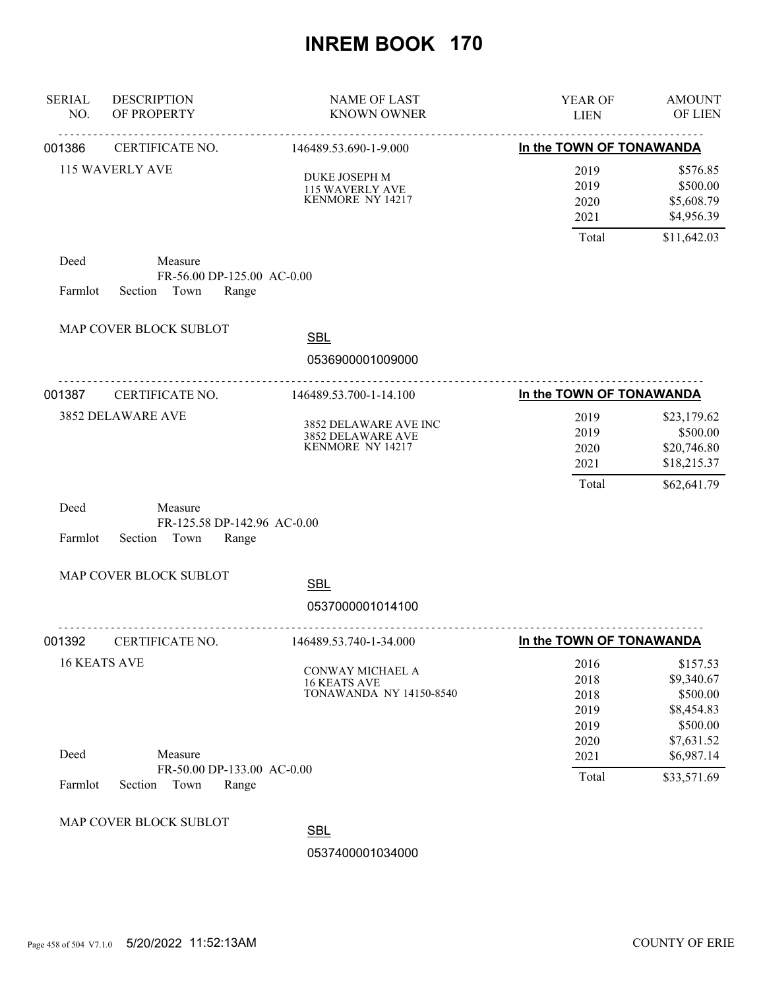| <b>SERIAL</b><br>NO. | <b>DESCRIPTION</b><br>OF PROPERTY                                  | <b>NAME OF LAST</b><br><b>KNOWN OWNER</b>                          | YEAR OF<br><b>LIEN</b>               | <b>AMOUNT</b><br>OF LIEN                                     |
|----------------------|--------------------------------------------------------------------|--------------------------------------------------------------------|--------------------------------------|--------------------------------------------------------------|
| 001386               | <u>.</u><br>CERTIFICATE NO.                                        | <u>.</u><br>146489.53.690-1-9.000                                  | In the TOWN OF TONAWANDA             |                                                              |
|                      | 115 WAVERLY AVE                                                    | DUKE JOSEPH M<br>115 WAVERLY AVE<br>KENMORE NY 14217               | 2019<br>2019<br>2020<br>2021         | \$576.85<br>\$500.00<br>\$5,608.79<br>\$4,956.39             |
|                      |                                                                    |                                                                    | Total                                | \$11,642.03                                                  |
| Deed<br>Farmlot      | Measure<br>FR-56.00 DP-125.00 AC-0.00<br>Town<br>Section<br>Range  |                                                                    |                                      |                                                              |
|                      | MAP COVER BLOCK SUBLOT                                             | <b>SBL</b>                                                         |                                      |                                                              |
|                      |                                                                    | 0536900001009000                                                   |                                      |                                                              |
| 001387               | CERTIFICATE NO.                                                    | 146489.53.700-1-14.100                                             | In the TOWN OF TONAWANDA             |                                                              |
|                      | 3852 DELAWARE AVE                                                  | 3852 DELAWARE AVE INC<br>3852 DELAWARE AVE<br>KENMORE NY 14217     | 2019<br>2019<br>2020<br>2021         | \$23,179.62<br>\$500.00<br>\$20,746.80<br>\$18,215.37        |
| Deed<br>Farmlot      | Measure<br>FR-125.58 DP-142.96 AC-0.00<br>Section<br>Town<br>Range |                                                                    | Total                                | \$62,641.79                                                  |
|                      | MAP COVER BLOCK SUBLOT                                             | <b>SBL</b>                                                         |                                      |                                                              |
|                      |                                                                    | 0537000001014100                                                   |                                      |                                                              |
| 001392               | CERTIFICATE NO.                                                    | 146489.53.740-1-34.000                                             | In the TOWN OF TONAWANDA             |                                                              |
|                      | <b>16 KEATS AVE</b>                                                | CONWAY MICHAEL A<br>16 KEATS AVE<br><b>TONAWANDA NY 14150-8540</b> | 2016<br>2018<br>2018<br>2019<br>2019 | \$157.53<br>\$9,340.67<br>\$500.00<br>\$8,454.83<br>\$500.00 |
| Deed                 | Measure                                                            |                                                                    | 2020<br>2021                         | \$7,631.52<br>\$6,987.14                                     |
| Farmlot              | FR-50.00 DP-133.00 AC-0.00<br>Section<br>Town<br>Range             |                                                                    | Total                                | \$33,571.69                                                  |
|                      | MAP COVER BLOCK SUBLOT                                             | <b>SBL</b><br>0537400001034000                                     |                                      |                                                              |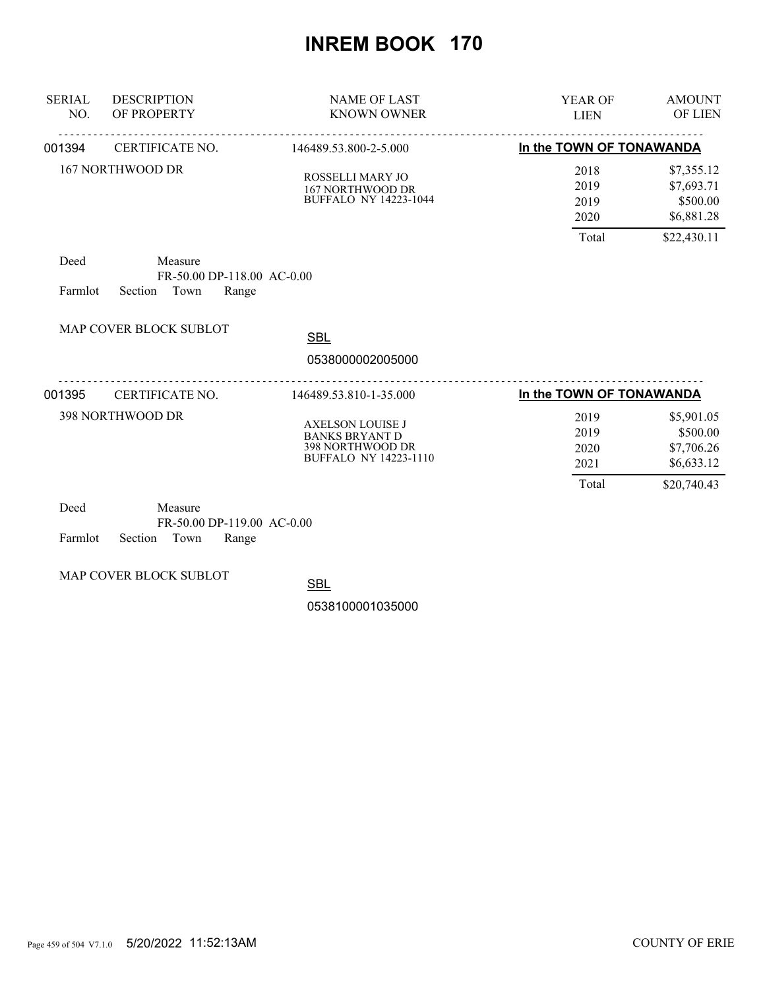| <b>SERIAL</b><br>NO. | <b>DESCRIPTION</b><br>OF PROPERTY                                 | <b>NAME OF LAST</b><br><b>KNOWN OWNER</b>                                                     | <b>YEAR OF</b><br><b>LIEN</b>         | <b>AMOUNT</b><br>OF LIEN                                          |
|----------------------|-------------------------------------------------------------------|-----------------------------------------------------------------------------------------------|---------------------------------------|-------------------------------------------------------------------|
| 001394               | CERTIFICATE NO.                                                   | 146489.53.800-2-5.000                                                                         | In the TOWN OF TONAWANDA              |                                                                   |
|                      | 167 NORTHWOOD DR                                                  | ROSSELLI MARY JO<br>167 NORTHWOOD DR<br><b>BUFFALO NY 14223-1044</b>                          | 2018<br>2019<br>2019<br>2020<br>Total | \$7,355.12<br>\$7,693.71<br>\$500.00<br>\$6,881.28<br>\$22,430.11 |
| Deed<br>Farmlot      | Measure<br>FR-50.00 DP-118.00 AC-0.00<br>Town<br>Range<br>Section |                                                                                               |                                       |                                                                   |
|                      | <b>MAP COVER BLOCK SUBLOT</b>                                     | <b>SBL</b><br>0538000002005000                                                                |                                       |                                                                   |
| 001395               | CERTIFICATE NO.                                                   | 146489.53.810-1-35.000                                                                        | In the TOWN OF TONAWANDA              |                                                                   |
|                      | 398 NORTHWOOD DR                                                  | AXELSON LOUISE J<br><b>BANKS BRYANT D</b><br>398 NORTHWOOD DR<br><b>BUFFALO NY 14223-1110</b> | 2019<br>2019<br>2020<br>2021<br>Total | \$5,901.05<br>\$500.00<br>\$7,706.26<br>\$6,633.12<br>\$20,740.43 |
| Deed                 | Measure<br>FR-50.00 DP-119.00 AC-0.00                             |                                                                                               |                                       |                                                                   |

Farmlot Section Town Range

MAP COVER BLOCK SUBLOT

**SBL**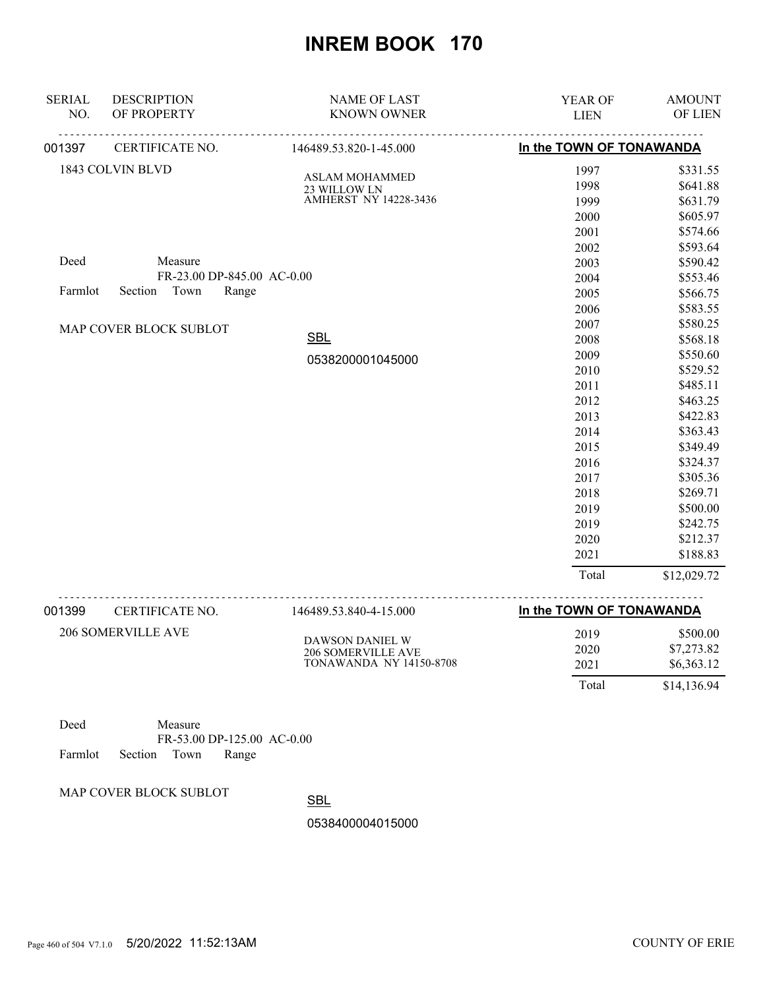| <b>SERIAL</b><br>NO. | <b>DESCRIPTION</b><br>OF PROPERTY | <b>NAME OF LAST</b><br><b>KNOWN OWNER</b> | YEAR OF<br><b>LIEN</b>   | <b>AMOUNT</b><br>OF LIEN |
|----------------------|-----------------------------------|-------------------------------------------|--------------------------|--------------------------|
| 001397               | CERTIFICATE NO.                   | 146489.53.820-1-45.000                    | In the TOWN OF TONAWANDA |                          |
|                      | 1843 COLVIN BLVD                  |                                           | 1997                     | \$331.55                 |
|                      |                                   | <b>ASLAM MOHAMMED</b><br>23 WILLOW LN     | 1998                     | \$641.88                 |
|                      |                                   | AMHERST NY 14228-3436                     | 1999                     | \$631.79                 |
|                      |                                   |                                           | 2000                     | \$605.97                 |
|                      |                                   |                                           | 2001                     | \$574.66                 |
|                      |                                   |                                           | 2002                     | \$593.64                 |
| Deed                 | Measure                           |                                           | 2003                     | \$590.42                 |
|                      | FR-23.00 DP-845.00 AC-0.00        |                                           | 2004                     | \$553.46                 |
| Farmlot              | Section Town<br>Range             |                                           | 2005                     | \$566.75                 |
|                      |                                   |                                           | 2006                     | \$583.55                 |
|                      | MAP COVER BLOCK SUBLOT            |                                           | 2007                     | \$580.25                 |
|                      |                                   | <b>SBL</b>                                | 2008                     | \$568.18                 |
|                      |                                   | 0538200001045000                          | 2009                     | \$550.60                 |
|                      |                                   |                                           | 2010                     | \$529.52                 |
|                      |                                   |                                           | 2011                     | \$485.11                 |
|                      |                                   |                                           | 2012                     | \$463.25                 |
|                      |                                   |                                           | 2013                     | \$422.83                 |
|                      |                                   |                                           | 2014                     | \$363.43                 |
|                      |                                   |                                           | 2015                     | \$349.49                 |
|                      |                                   |                                           | 2016                     | \$324.37                 |
|                      |                                   |                                           | 2017                     | \$305.36                 |
|                      |                                   |                                           | 2018                     | \$269.71                 |
|                      |                                   |                                           | 2019                     | \$500.00                 |
|                      |                                   |                                           | 2019                     | \$242.75                 |
|                      |                                   |                                           | 2020                     | \$212.37                 |
|                      |                                   |                                           | 2021                     | \$188.83                 |
|                      |                                   |                                           | Total                    | \$12,029.72              |
|                      |                                   |                                           |                          |                          |

| 001399 | CERTIFICATE NO.    | 146489.53.840-4-15.000  | In the TOWN OF TONAWANDA |             |
|--------|--------------------|-------------------------|--------------------------|-------------|
|        | 206 SOMERVILLE AVE | DAWSON DANIEL W         | 2019                     | \$500.00    |
|        |                    | 206 SOMERVILLE AVE      | 2020                     | \$7,273.82  |
|        |                    | TONAWANDA NY 14150-8708 | 2021                     | \$6,363.12  |
|        |                    |                         | Total                    | \$14,136.94 |

| Deed |                            | Measure |                            |  |
|------|----------------------------|---------|----------------------------|--|
|      |                            |         | FR-53.00 DP-125.00 AC-0.00 |  |
|      | Farmlot Section Town Range |         |                            |  |

MAP COVER BLOCK SUBLOT

**SBL**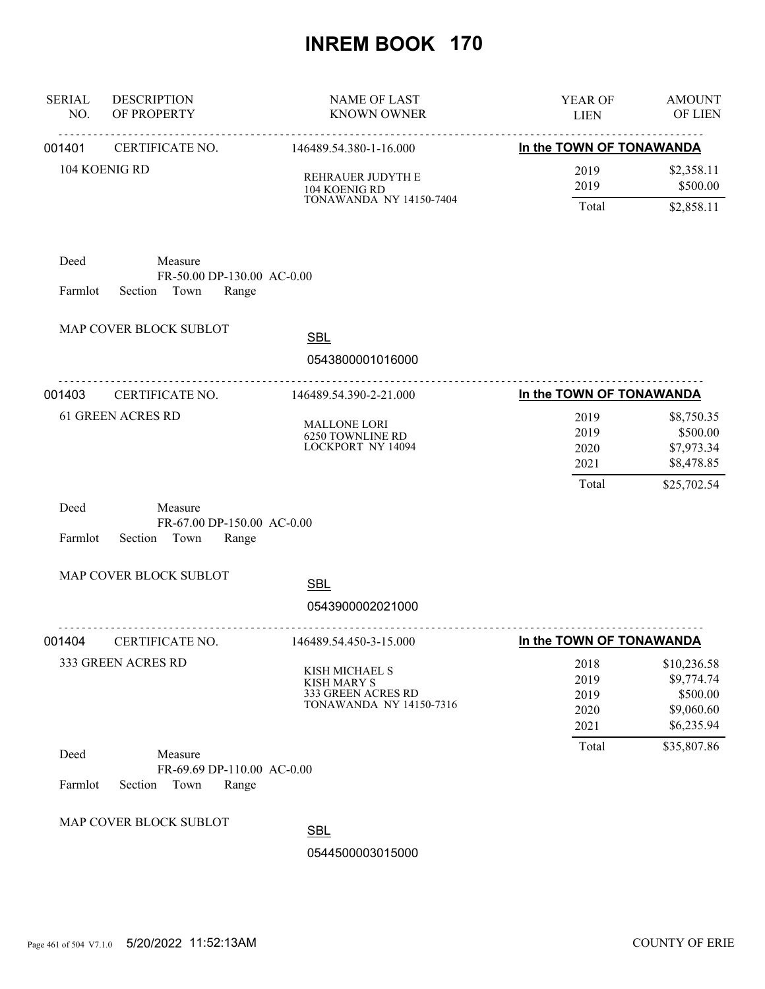| <b>SERIAL</b><br>NO. | <b>DESCRIPTION</b><br>OF PROPERTY                              | <b>NAME OF LAST</b><br><b>KNOWN OWNER</b>                                                    | YEAR OF<br><b>LIEN</b>               | <b>AMOUNT</b><br>OF LIEN                                          |
|----------------------|----------------------------------------------------------------|----------------------------------------------------------------------------------------------|--------------------------------------|-------------------------------------------------------------------|
| 001401               | CERTIFICATE NO.                                                | 146489.54.380-1-16.000                                                                       | In the TOWN OF TONAWANDA             |                                                                   |
| 104 KOENIG RD        |                                                                | REHRAUER JUDYTH E<br>104 KOENIG RD                                                           | 2019<br>2019                         | \$2,358.11<br>\$500.00                                            |
|                      |                                                                | <b>TONAWANDA NY 14150-7404</b>                                                               | Total                                | \$2,858.11                                                        |
| Deed<br>Farmlot      | Measure<br>FR-50.00 DP-130.00 AC-0.00<br>Section Town<br>Range |                                                                                              |                                      |                                                                   |
|                      | MAP COVER BLOCK SUBLOT                                         | <b>SBL</b>                                                                                   |                                      |                                                                   |
|                      |                                                                | 0543800001016000                                                                             |                                      |                                                                   |
| 001403               | .<br>CERTIFICATE NO.                                           | <u>.</u><br>146489.54.390-2-21.000                                                           | In the TOWN OF TONAWANDA             |                                                                   |
|                      | <b>61 GREEN ACRES RD</b>                                       | <b>MALLONE LORI</b><br>6250 TOWNLINE RD<br>LOCKPORT NY 14094                                 | 2019<br>2019<br>2020<br>2021         | \$8,750.35<br>\$500.00<br>\$7,973.34<br>\$8,478.85                |
| Deed                 | Measure                                                        |                                                                                              | Total                                | \$25,702.54                                                       |
| Farmlot              | FR-67.00 DP-150.00 AC-0.00<br>Section<br>Town<br>Range         |                                                                                              |                                      |                                                                   |
|                      | MAP COVER BLOCK SUBLOT                                         | <b>SBL</b>                                                                                   |                                      |                                                                   |
|                      |                                                                | 0543900002021000                                                                             |                                      |                                                                   |
| 001404               | CERTIFICATE NO.                                                | 146489.54.450-3-15.000                                                                       | In the TOWN OF TONAWANDA             |                                                                   |
|                      | 333 GREEN ACRES RD                                             | KISH MICHAEL S<br><b>KISH MARY S</b><br>333 GREEN ACRES RD<br><b>TONAWANDA NY 14150-7316</b> | 2018<br>2019<br>2019<br>2020<br>2021 | \$10,236.58<br>\$9,774.74<br>\$500.00<br>\$9,060.60<br>\$6,235.94 |
| Deed                 | Measure                                                        |                                                                                              | Total                                | \$35,807.86                                                       |
| Farmlot              | FR-69.69 DP-110.00 AC-0.00<br>Section<br>Town<br>Range         |                                                                                              |                                      |                                                                   |
|                      | MAP COVER BLOCK SUBLOT                                         | <b>SBL</b>                                                                                   |                                      |                                                                   |
|                      |                                                                | 0544500003015000                                                                             |                                      |                                                                   |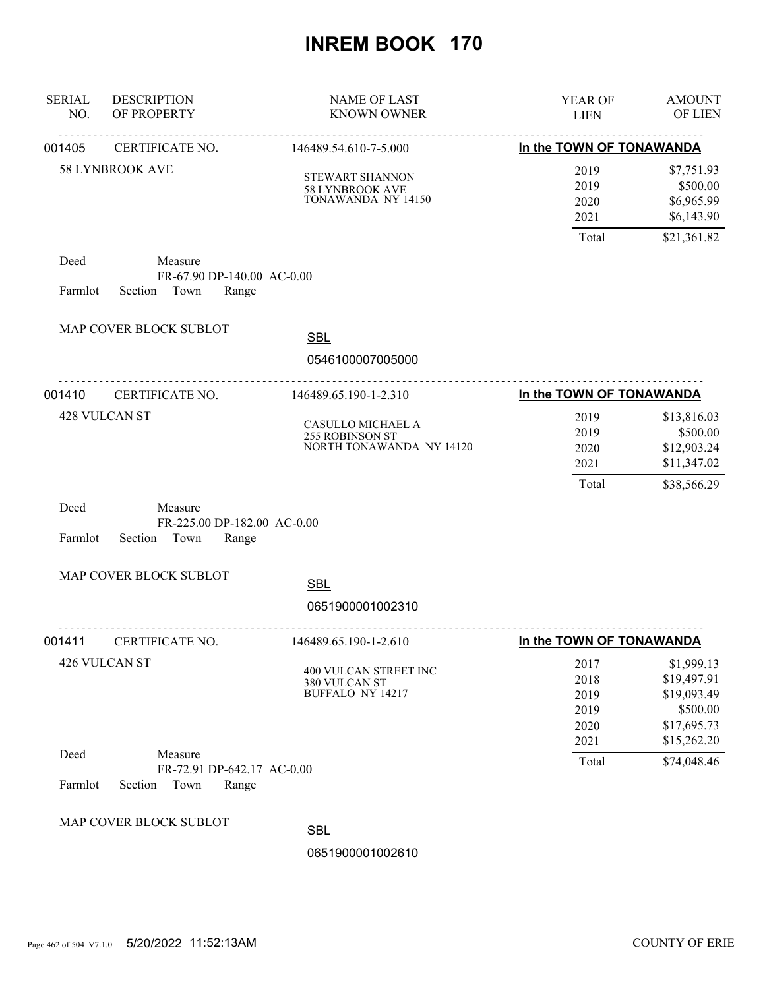| <b>SERIAL</b><br>NO. | <b>DESCRIPTION</b><br>OF PROPERTY                                  | <b>NAME OF LAST</b><br><b>KNOWN OWNER</b>                        | <b>YEAR OF</b><br><b>LIEN</b>                | <b>AMOUNT</b><br>OF LIEN                                                           |
|----------------------|--------------------------------------------------------------------|------------------------------------------------------------------|----------------------------------------------|------------------------------------------------------------------------------------|
| 001405               | .<br>CERTIFICATE NO.                                               | .<br>146489.54.610-7-5.000                                       | In the TOWN OF TONAWANDA                     |                                                                                    |
|                      | 58 LYNBROOK AVE                                                    | STEWART SHANNON<br>58 LYNBROOK AVE<br>TONAWANDA NY 14150         | 2019<br>2019<br>2020<br>2021                 | \$7,751.93<br>\$500.00<br>\$6,965.99<br>\$6,143.90                                 |
|                      |                                                                    |                                                                  | Total                                        | \$21,361.82                                                                        |
| Deed<br>Farmlot      | Measure<br>FR-67.90 DP-140.00 AC-0.00<br>Town<br>Section<br>Range  |                                                                  |                                              |                                                                                    |
|                      | MAP COVER BLOCK SUBLOT                                             | <b>SBL</b>                                                       |                                              |                                                                                    |
|                      |                                                                    | 0546100007005000                                                 |                                              |                                                                                    |
| 001410               | CERTIFICATE NO.                                                    | 146489.65.190-1-2.310                                            | In the TOWN OF TONAWANDA                     |                                                                                    |
|                      | 428 VULCAN ST                                                      | CASULLO MICHAEL A<br>255 ROBINSON ST<br>NORTH TONAWANDA NY 14120 | 2019<br>2019<br>2020<br>2021                 | \$13,816.03<br>\$500.00<br>\$12,903.24<br>\$11,347.02                              |
| Deed<br>Farmlot      | Measure<br>FR-225.00 DP-182.00 AC-0.00<br>Section<br>Town<br>Range |                                                                  | Total                                        | \$38,566.29                                                                        |
|                      | MAP COVER BLOCK SUBLOT                                             | <b>SBL</b>                                                       |                                              |                                                                                    |
|                      |                                                                    | 0651900001002310                                                 |                                              |                                                                                    |
| 001411               | CERTIFICATE NO.                                                    | 146489.65.190-1-2.610                                            | In the TOWN OF TONAWANDA                     |                                                                                    |
|                      | 426 VULCAN ST                                                      | 400 VULCAN STREET INC<br>380 VULCAN ST<br>BUFFALO NY 14217       | 2017<br>2018<br>2019<br>2019<br>2020<br>2021 | \$1,999.13<br>\$19,497.91<br>\$19,093.49<br>\$500.00<br>\$17,695.73<br>\$15,262.20 |
| Deed<br>Farmlot      | Measure<br>FR-72.91 DP-642.17 AC-0.00<br>Section<br>Town<br>Range  |                                                                  | Total                                        | \$74,048.46                                                                        |
|                      | MAP COVER BLOCK SUBLOT                                             | <b>SBL</b><br>0651900001002610                                   |                                              |                                                                                    |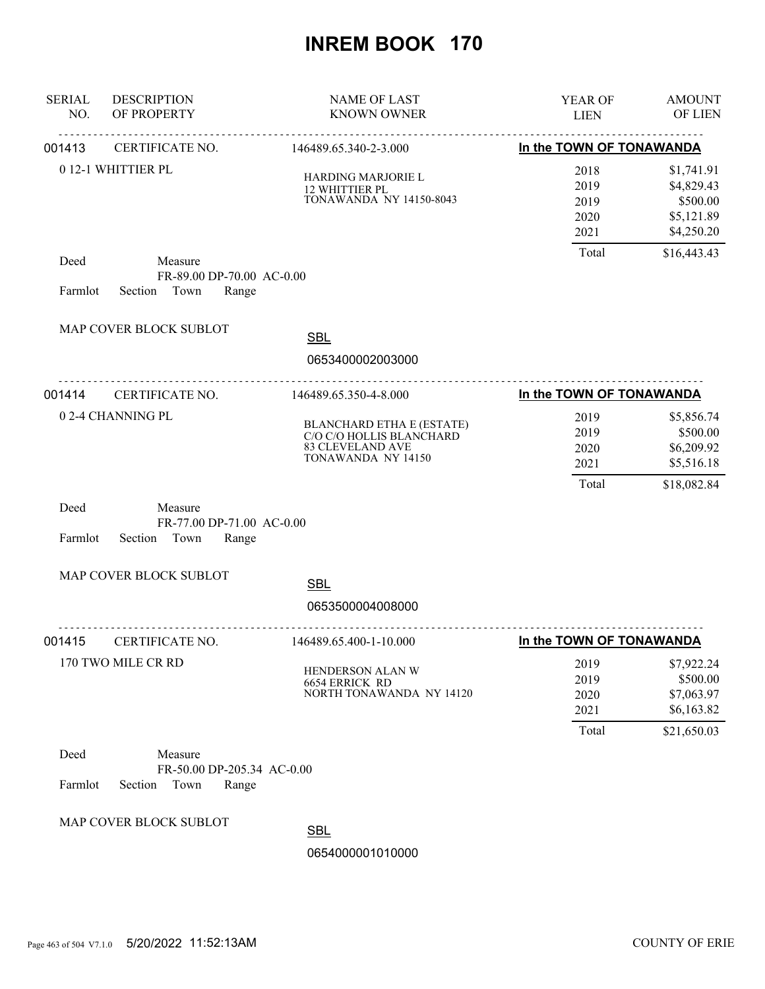| <b>SERIAL</b><br>NO. | <b>DESCRIPTION</b><br>OF PROPERTY                                 | <b>NAME OF LAST</b><br><b>KNOWN OWNER</b>                                                                     | YEAR OF<br><b>LIEN</b>                                            | <b>AMOUNT</b><br>OF LIEN                                         |
|----------------------|-------------------------------------------------------------------|---------------------------------------------------------------------------------------------------------------|-------------------------------------------------------------------|------------------------------------------------------------------|
| 001413               | CERTIFICATE NO.                                                   | 146489.65.340-2-3.000                                                                                         | _____________________________________<br>In the TOWN OF TONAWANDA |                                                                  |
|                      | 0 12-1 WHITTIER PL                                                | HARDING MARJORIE L<br>12 WHITTIER PL<br><b>TONAWANDA NY 14150-8043</b>                                        | 2018<br>2019<br>2019<br>2020<br>2021                              | \$1,741.91<br>\$4,829.43<br>\$500.00<br>\$5,121.89<br>\$4,250.20 |
| Deed<br>Farmlot      | Measure<br>FR-89.00 DP-70.00 AC-0.00<br>Section Town<br>Range     |                                                                                                               | Total                                                             | \$16,443.43                                                      |
|                      | MAP COVER BLOCK SUBLOT                                            | <b>SBL</b><br>0653400002003000                                                                                |                                                                   |                                                                  |
| 001414               | CERTIFICATE NO.                                                   | 146489.65.350-4-8.000                                                                                         | In the TOWN OF TONAWANDA                                          |                                                                  |
|                      | 0 2-4 CHANNING PL                                                 | <b>BLANCHARD ETHA E (ESTATE)</b><br>C/O C/O HOLLIS BLANCHARD<br><b>83 CLEVELAND AVE</b><br>TONAWANDA NY 14150 | 2019<br>2019<br>2020<br>2021                                      | \$5,856.74<br>\$500.00<br>\$6,209.92<br>\$5,516.18               |
| Deed<br>Farmlot      | Measure<br>FR-77.00 DP-71.00 AC-0.00<br>Section Town<br>Range     |                                                                                                               | Total                                                             | \$18,082.84                                                      |
|                      | MAP COVER BLOCK SUBLOT                                            | <b>SBL</b><br>0653500004008000                                                                                |                                                                   |                                                                  |
| 001415               | CERTIFICATE NO.                                                   | 146489.65.400-1-10.000                                                                                        | In the TOWN OF TONAWANDA                                          |                                                                  |
|                      | 170 TWO MILE CR RD                                                | HENDERSON ALAN W<br>6654 ERRICK RD<br>NORTH TONAWANDA NY 14120                                                | 2019<br>2019<br>2020<br>2021                                      | \$7,922.24<br>\$500.00<br>\$7,063.97<br>\$6,163.82               |
|                      |                                                                   |                                                                                                               | Total                                                             | \$21,650.03                                                      |
| Deed<br>Farmlot      | Measure<br>FR-50.00 DP-205.34 AC-0.00<br>Town<br>Range<br>Section |                                                                                                               |                                                                   |                                                                  |
|                      | MAP COVER BLOCK SUBLOT                                            | <b>SBL</b><br>0654000001010000                                                                                |                                                                   |                                                                  |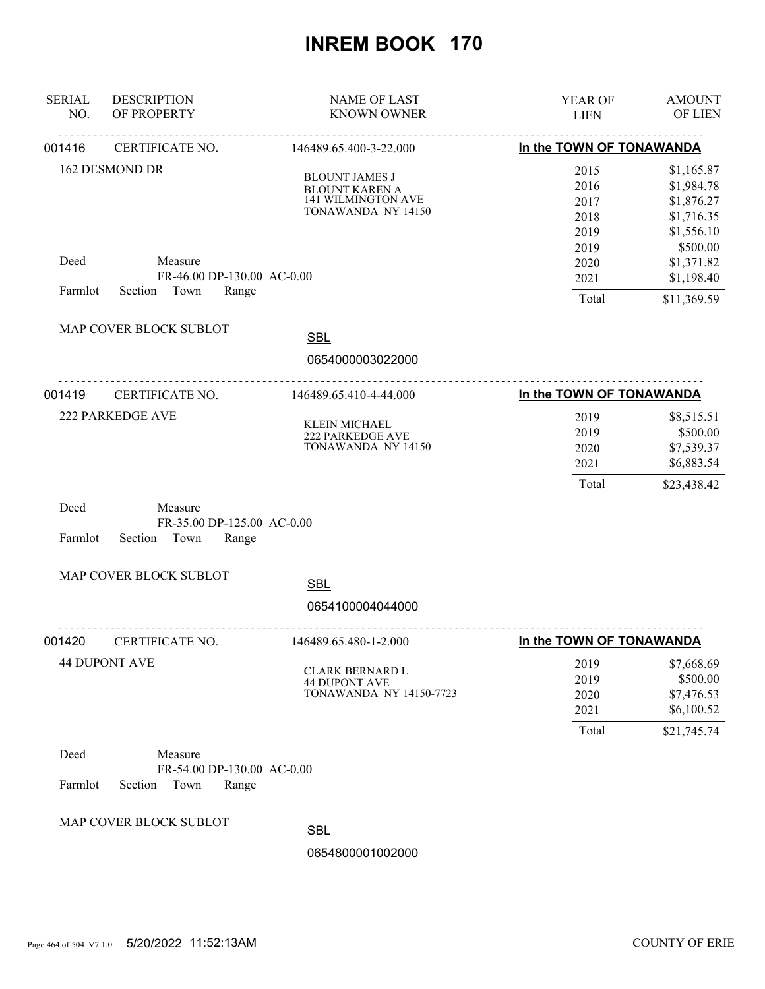| <b>SERIAL</b><br>NO. | <b>DESCRIPTION</b><br>OF PROPERTY                                 | <b>NAME OF LAST</b><br><b>KNOWN OWNER</b>                                                         | YEAR OF<br><b>LIEN</b>                       | <b>AMOUNT</b><br>OF LIEN                                                       |
|----------------------|-------------------------------------------------------------------|---------------------------------------------------------------------------------------------------|----------------------------------------------|--------------------------------------------------------------------------------|
| 001416               | CERTIFICATE NO.                                                   | 146489.65.400-3-22.000                                                                            | In the TOWN OF TONAWANDA                     |                                                                                |
|                      | <b>162 DESMOND DR</b>                                             | <b>BLOUNT JAMES J</b><br><b>BLOUNT KAREN A</b><br><b>141 WILMINGTON AVE</b><br>TONAWANDA NY 14150 | 2015<br>2016<br>2017<br>2018<br>2019<br>2019 | \$1,165.87<br>\$1,984.78<br>\$1,876.27<br>\$1,716.35<br>\$1,556.10<br>\$500.00 |
| Deed<br>Farmlot      | Measure<br>FR-46.00 DP-130.00 AC-0.00<br>Town<br>Range<br>Section |                                                                                                   | 2020<br>2021<br>Total                        | \$1,371.82<br>\$1,198.40<br>\$11,369.59                                        |
|                      | MAP COVER BLOCK SUBLOT                                            | <b>SBL</b><br>0654000003022000                                                                    |                                              |                                                                                |
| 001419               | CERTIFICATE NO.                                                   | .<br>146489.65.410-4-44.000                                                                       | In the TOWN OF TONAWANDA                     |                                                                                |
|                      | <b>222 PARKEDGE AVE</b>                                           | KLEIN MICHAEL<br>222 PARKEDGE AVE<br>TONAWANDA NY 14150                                           | 2019<br>2019<br>2020<br>2021<br>Total        | \$8,515.51<br>\$500.00<br>\$7,539.37<br>\$6,883.54<br>\$23,438.42              |
| Deed<br>Farmlot      | Measure<br>FR-35.00 DP-125.00 AC-0.00<br>Town<br>Range<br>Section |                                                                                                   |                                              |                                                                                |
|                      | MAP COVER BLOCK SUBLOT                                            | <b>SBL</b>                                                                                        |                                              |                                                                                |
|                      |                                                                   | 0654100004044000                                                                                  |                                              |                                                                                |
| 001420               | .<br>CERTIFICATE NO.                                              | 146489.65.480-1-2.000                                                                             | In the TOWN OF TONAWANDA                     |                                                                                |
|                      | <b>44 DUPONT AVE</b>                                              | CLARK BERNARD L<br><b>44 DUPONT AVE</b><br><b>TONAWANDA NY 14150-7723</b>                         | 2019<br>2019<br>2020<br>2021                 | \$7,668.69<br>\$500.00<br>\$7,476.53<br>\$6,100.52                             |
| Deed<br>Farmlot      | Measure<br>FR-54.00 DP-130.00 AC-0.00<br>Section<br>Town<br>Range |                                                                                                   | Total                                        | \$21,745.74                                                                    |
|                      | MAP COVER BLOCK SUBLOT                                            | <b>SBL</b><br>0654800001002000                                                                    |                                              |                                                                                |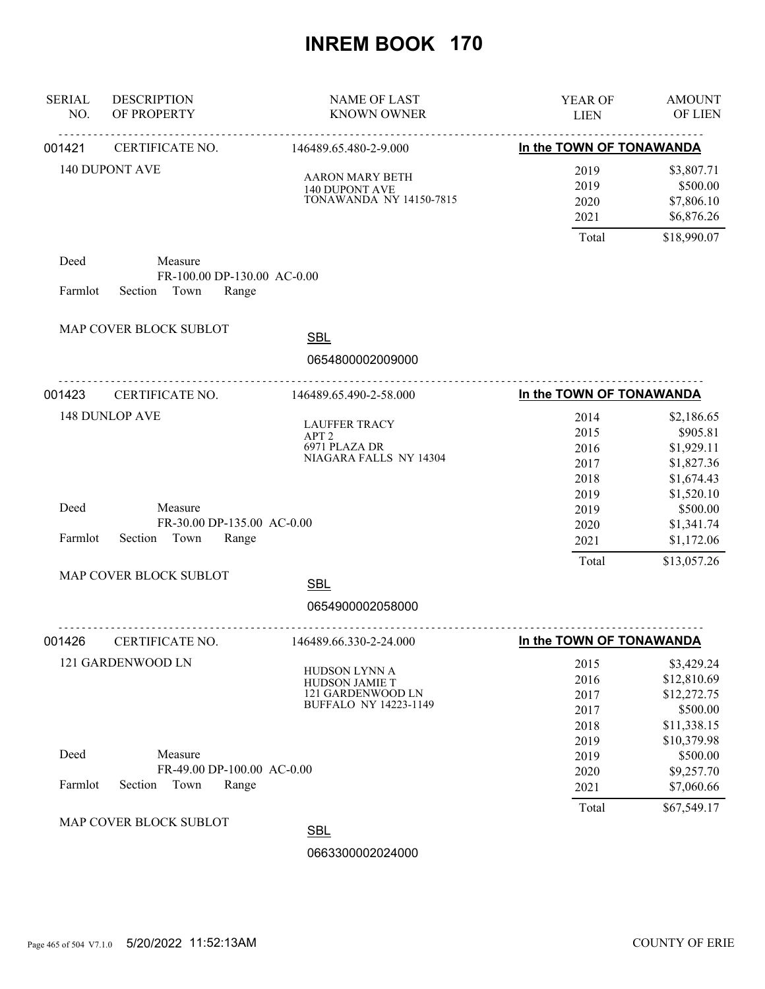| <b>SERIAL</b><br>NO.      | <b>DESCRIPTION</b><br>OF PROPERTY                                 | <b>NAME OF LAST</b><br><b>KNOWN OWNER</b>                                            | YEAR OF<br><b>LIEN</b>                | <b>AMOUNT</b><br>OF LIEN                                            |
|---------------------------|-------------------------------------------------------------------|--------------------------------------------------------------------------------------|---------------------------------------|---------------------------------------------------------------------|
| 001421                    | CERTIFICATE NO.                                                   | ____________________________________<br>146489.65.480-2-9.000                        | In the TOWN OF TONAWANDA              |                                                                     |
|                           | <b>140 DUPONT AVE</b>                                             | <b>AARON MARY BETH</b><br><b>140 DUPONT AVE</b><br><b>TONAWANDA NY 14150-7815</b>    | 2019<br>2019<br>2020<br>2021<br>Total | \$3,807.71<br>\$500.00<br>\$7,806.10<br>\$6,876.26<br>\$18,990.07   |
| Deed                      | Measure                                                           |                                                                                      |                                       |                                                                     |
| Farmlot                   | FR-100.00 DP-130.00 AC-0.00<br>Section Town<br>Range              |                                                                                      |                                       |                                                                     |
|                           | MAP COVER BLOCK SUBLOT                                            | <b>SBL</b><br>0654800002009000                                                       |                                       |                                                                     |
| 001423                    | .<br>CERTIFICATE NO.                                              | <u>.</u><br>146489.65.490-2-58.000                                                   | In the TOWN OF TONAWANDA              |                                                                     |
|                           | <b>148 DUNLOP AVE</b>                                             | <b>LAUFFER TRACY</b><br>APT <sub>2</sub><br>6971 PLAZA DR<br>NIAGARA FALLS NY 14304  | 2014<br>2015<br>2016<br>2017<br>2018  | \$2,186.65<br>\$905.81<br>\$1,929.11<br>\$1,827.36<br>\$1,674.43    |
| Deed<br>Farmlot           | Measure<br>FR-30.00 DP-135.00 AC-0.00<br>Section<br>Town<br>Range |                                                                                      | 2019<br>2019<br>2020<br>2021          | \$1,520.10<br>\$500.00<br>\$1,341.74<br>\$1,172.06                  |
|                           | MAP COVER BLOCK SUBLOT                                            | <b>SBL</b>                                                                           | Total                                 | \$13,057.26                                                         |
|                           |                                                                   | 0654900002058000                                                                     |                                       |                                                                     |
| CERTIFICATE NO.<br>001426 |                                                                   | <u>.</u> .<br>146489.66.330-2-24.000                                                 | In the TOWN OF TONAWANDA              |                                                                     |
|                           | 121 GARDENWOOD LN                                                 | HUDSON LYNN A<br>HUDSON JAMIE T<br>121 GARDENWOOD LN<br><b>BUFFALO NY 14223-1149</b> | 2015<br>2016<br>2017<br>2017<br>2018  | \$3,429.24<br>\$12,810.69<br>\$12,272.75<br>\$500.00<br>\$11,338.15 |
| Deed<br>Farmlot           | Measure<br>FR-49.00 DP-100.00 AC-0.00<br>Section<br>Town<br>Range |                                                                                      | 2019<br>2019<br>2020<br>2021          | \$10,379.98<br>\$500.00<br>\$9,257.70<br>\$7,060.66                 |
|                           | MAP COVER BLOCK SUBLOT                                            | <b>SBL</b><br>0663300002024000                                                       | Total                                 | \$67,549.17                                                         |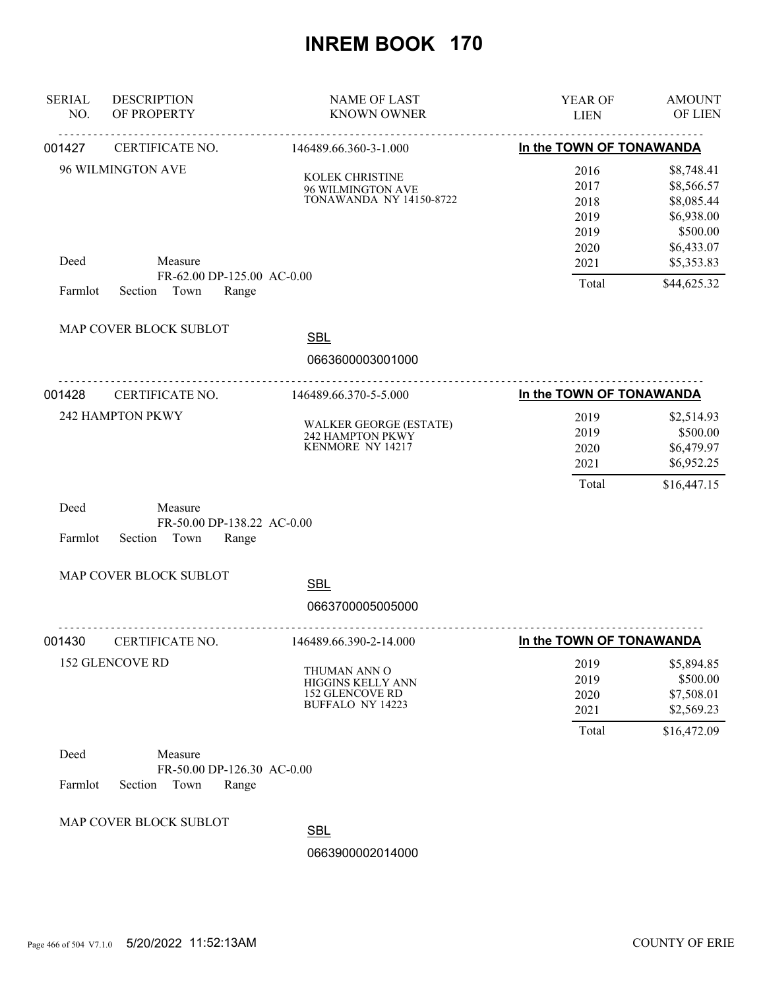| <b>SERIAL</b><br>NO. | <b>DESCRIPTION</b><br>OF PROPERTY                                 | <b>NAME OF LAST</b><br><b>KNOWN OWNER</b>                                              | <b>YEAR OF</b><br><b>LIEN</b>                | <b>AMOUNT</b><br>OF LIEN                                                       |
|----------------------|-------------------------------------------------------------------|----------------------------------------------------------------------------------------|----------------------------------------------|--------------------------------------------------------------------------------|
| 001427               | CERTIFICATE NO.                                                   | 146489.66.360-3-1.000                                                                  | In the TOWN OF TONAWANDA                     |                                                                                |
|                      | 96 WILMINGTON AVE                                                 | KOLEK CHRISTINE<br>96 WILMINGTON AVE<br><b>TONAWANDA NY 14150-8722</b>                 | 2016<br>2017<br>2018<br>2019<br>2019<br>2020 | \$8,748.41<br>\$8,566.57<br>\$8,085.44<br>\$6,938.00<br>\$500.00<br>\$6,433.07 |
| Deed                 | Measure<br>FR-62.00 DP-125.00 AC-0.00                             |                                                                                        | 2021                                         | \$5,353.83                                                                     |
| Farmlot              | Section Town<br>Range                                             |                                                                                        | Total                                        | \$44,625.32                                                                    |
|                      | MAP COVER BLOCK SUBLOT                                            | <b>SBL</b>                                                                             |                                              |                                                                                |
|                      |                                                                   | 0663600003001000                                                                       |                                              |                                                                                |
| 001428               | CERTIFICATE NO.                                                   | 146489.66.370-5-5.000                                                                  | In the TOWN OF TONAWANDA                     |                                                                                |
|                      | 242 HAMPTON PKWY                                                  | <b>WALKER GEORGE (ESTATE)</b><br>242 HAMPTON PKWY<br>KENMORE NY 14217                  | 2019<br>2019<br>2020<br>2021<br>Total        | \$2,514.93<br>\$500.00<br>\$6,479.97<br>\$6,952.25<br>\$16,447.15              |
| Deed<br>Farmlot      | Measure<br>FR-50.00 DP-138.22 AC-0.00<br>Section<br>Town<br>Range |                                                                                        |                                              |                                                                                |
|                      | MAP COVER BLOCK SUBLOT                                            | <b>SBL</b><br>0663700005005000                                                         |                                              |                                                                                |
| 001430               | CERTIFICATE NO.                                                   | 146489.66.390-2-14.000                                                                 | In the TOWN OF TONAWANDA                     |                                                                                |
|                      | 152 GLENCOVE RD                                                   | THUMAN ANN O<br>HIGGINS KELLY ANN<br><b>152 GLENCOVE RD</b><br><b>BUFFALO NY 14223</b> | 2019<br>2019<br>2020<br>2021<br>Total        | \$5,894.85<br>\$500.00<br>\$7,508.01<br>\$2,569.23<br>\$16,472.09              |
| Deed<br>Farmlot      | Measure<br>FR-50.00 DP-126.30 AC-0.00<br>Town<br>Section<br>Range |                                                                                        |                                              |                                                                                |
|                      | MAP COVER BLOCK SUBLOT                                            | <b>SBL</b><br>0663900002014000                                                         |                                              |                                                                                |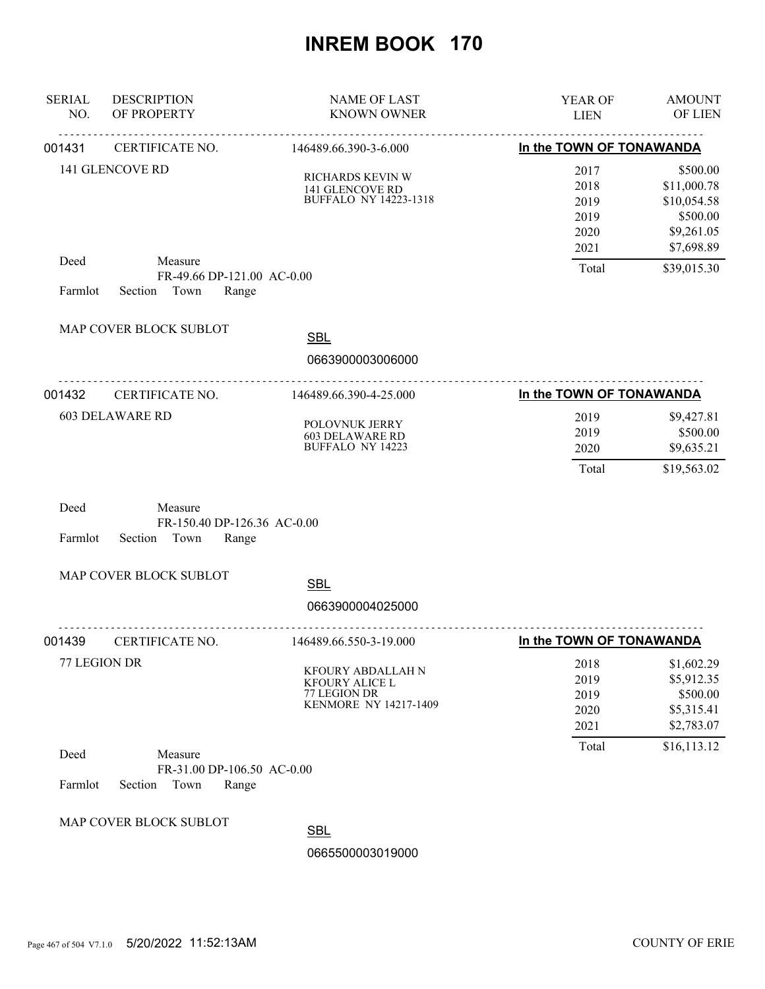| <b>SERIAL</b><br>NO.   | <b>DESCRIPTION</b><br>OF PROPERTY                                  | <b>NAME OF LAST</b><br><b>KNOWN OWNER</b>                                           | YEAR OF<br><b>LIEN</b>                       | <b>AMOUNT</b><br>OF LIEN                                                       |
|------------------------|--------------------------------------------------------------------|-------------------------------------------------------------------------------------|----------------------------------------------|--------------------------------------------------------------------------------|
| 001431                 | CERTIFICATE NO.                                                    | <u>.</u><br>146489.66.390-3-6.000                                                   | In the TOWN OF TONAWANDA                     |                                                                                |
|                        | 141 GLENCOVE RD                                                    | RICHARDS KEVIN W<br>141 GLENCOVE RD<br><b>BUFFALO NY 14223-1318</b>                 | 2017<br>2018<br>2019<br>2019<br>2020<br>2021 | \$500.00<br>\$11,000.78<br>\$10,054.58<br>\$500.00<br>\$9,261.05<br>\$7,698.89 |
| Deed<br>Farmlot        | Measure<br>FR-49.66 DP-121.00 AC-0.00<br>Town<br>Section<br>Range  |                                                                                     | Total                                        | \$39,015.30                                                                    |
|                        | MAP COVER BLOCK SUBLOT                                             | <b>SBL</b><br>0663900003006000                                                      |                                              |                                                                                |
| 001432                 | <u>.</u><br>CERTIFICATE NO.                                        | 146489.66.390-4-25.000                                                              | In the TOWN OF TONAWANDA                     |                                                                                |
| <b>603 DELAWARE RD</b> |                                                                    | POLOVNUK JERRY<br><b>603 DELAWARE RD</b><br><b>BUFFALO NY 14223</b>                 | 2019<br>2019<br>2020<br>Total                | \$9,427.81<br>\$500.00<br>\$9,635.21<br>\$19,563.02                            |
| Deed<br>Farmlot        | Measure<br>FR-150.40 DP-126.36 AC-0.00<br>Section<br>Town<br>Range |                                                                                     |                                              |                                                                                |
|                        | MAP COVER BLOCK SUBLOT                                             | <b>SBL</b>                                                                          |                                              |                                                                                |
|                        |                                                                    | 0663900004025000                                                                    |                                              |                                                                                |
| 001439                 | CERTIFICATE NO.                                                    | 146489.66.550-3-19.000                                                              | In the TOWN OF TONAWANDA                     |                                                                                |
|                        | 77 LEGION DR                                                       | KFOURY ABDALLAH N<br><b>KFOURY ALICE L</b><br>77 LEGION DR<br>KENMORE NY 14217-1409 | 2018<br>2019<br>2019<br>2020<br>2021         | \$1,602.29<br>\$5,912.35<br>\$500.00<br>\$5,315.41<br>\$2,783.07               |
| Deed<br>Farmlot        | Measure<br>FR-31.00 DP-106.50 AC-0.00<br>Section<br>Town<br>Range  |                                                                                     | Total                                        | \$16,113.12                                                                    |
|                        | MAP COVER BLOCK SUBLOT                                             | <b>SBL</b><br>0665500003019000                                                      |                                              |                                                                                |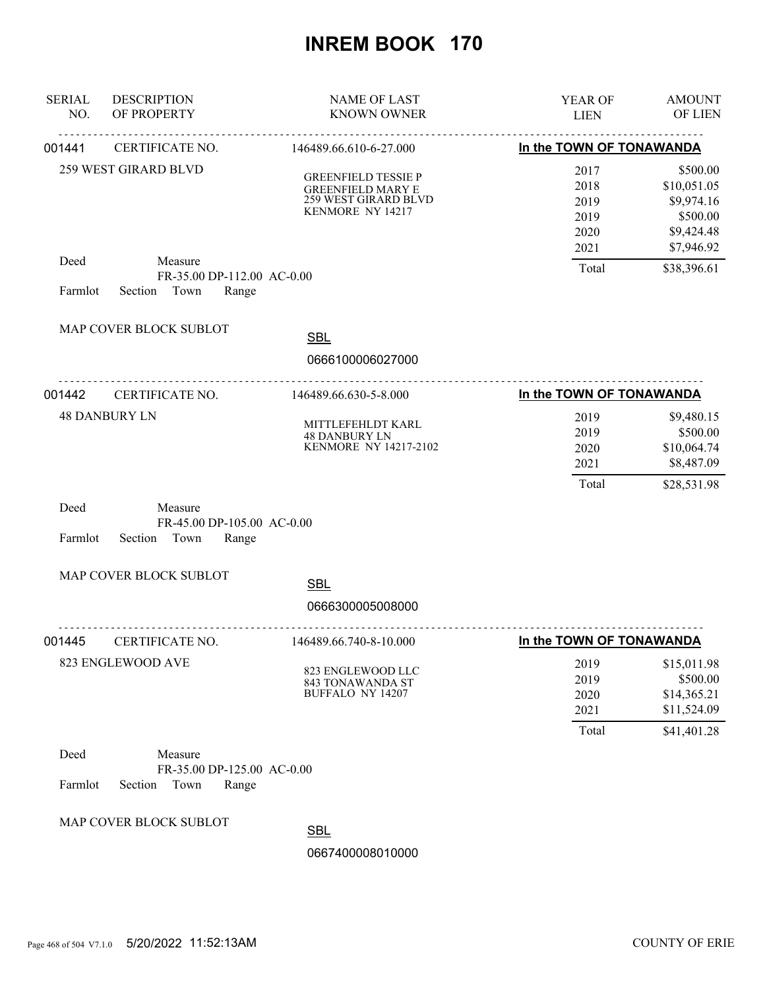| <b>SERIAL</b><br>NO.      | <b>DESCRIPTION</b><br>OF PROPERTY                                 | <b>NAME OF LAST</b><br><b>KNOWN OWNER</b>                                                          | YEAR OF<br><b>LIEN</b>                       | <b>AMOUNT</b><br>OF LIEN                                                      |
|---------------------------|-------------------------------------------------------------------|----------------------------------------------------------------------------------------------------|----------------------------------------------|-------------------------------------------------------------------------------|
| 001441                    | CERTIFICATE NO.                                                   | 146489.66.610-6-27.000                                                                             | In the TOWN OF TONAWANDA                     |                                                                               |
|                           | <b>259 WEST GIRARD BLVD</b>                                       | <b>GREENFIELD TESSIE P</b><br><b>GREENFIELD MARY E</b><br>259 WEST GIRARD BLVD<br>KENMORE NY 14217 | 2017<br>2018<br>2019<br>2019<br>2020<br>2021 | \$500.00<br>\$10,051.05<br>\$9,974.16<br>\$500.00<br>\$9,424.48<br>\$7,946.92 |
| Deed                      | Measure<br>FR-35.00 DP-112.00 AC-0.00                             |                                                                                                    | Total                                        | \$38,396.61                                                                   |
| Farmlot                   | Town<br>Section<br>Range                                          |                                                                                                    |                                              |                                                                               |
|                           | MAP COVER BLOCK SUBLOT                                            | <b>SBL</b><br>0666100006027000                                                                     |                                              |                                                                               |
| 001442<br>CERTIFICATE NO. |                                                                   | 146489.66.630-5-8.000                                                                              | In the TOWN OF TONAWANDA                     |                                                                               |
|                           | <b>48 DANBURY LN</b>                                              | MITTLEFEHLDT KARL<br><b>48 DANBURY LN</b><br>KENMORE NY 14217-2102                                 | 2019<br>2019<br>2020<br>2021<br>Total        | \$9,480.15<br>\$500.00<br>\$10,064.74<br>\$8,487.09<br>\$28,531.98            |
| Deed<br>Farmlot           | Measure<br>FR-45.00 DP-105.00 AC-0.00<br>Section<br>Town<br>Range |                                                                                                    |                                              |                                                                               |
|                           | MAP COVER BLOCK SUBLOT                                            | <b>SBL</b>                                                                                         |                                              |                                                                               |
|                           |                                                                   | 0666300005008000                                                                                   |                                              |                                                                               |
| 001445                    | CERTIFICATE NO.                                                   | 146489.66.740-8-10.000                                                                             | In the TOWN OF TONAWANDA                     |                                                                               |
|                           | 823 ENGLEWOOD AVE                                                 | 823 ENGLEWOOD LLC<br>843 TONAWANDA ST<br><b>BUFFALO NY 14207</b>                                   | 2019<br>2019<br>2020<br>2021<br>Total        | \$15,011.98<br>\$500.00<br>\$14,365.21<br>\$11,524.09<br>\$41,401.28          |
| Deed                      | Measure<br>FR-35.00 DP-125.00 AC-0.00                             |                                                                                                    |                                              |                                                                               |
| Farmlot                   | Section<br>Town<br>Range                                          |                                                                                                    |                                              |                                                                               |
|                           | MAP COVER BLOCK SUBLOT                                            | <b>SBL</b>                                                                                         |                                              |                                                                               |
|                           |                                                                   | 0667400008010000                                                                                   |                                              |                                                                               |

Page 468 of 504 V7.1.0 5/20/2022 11:52:13AM COUNTY OF ERIE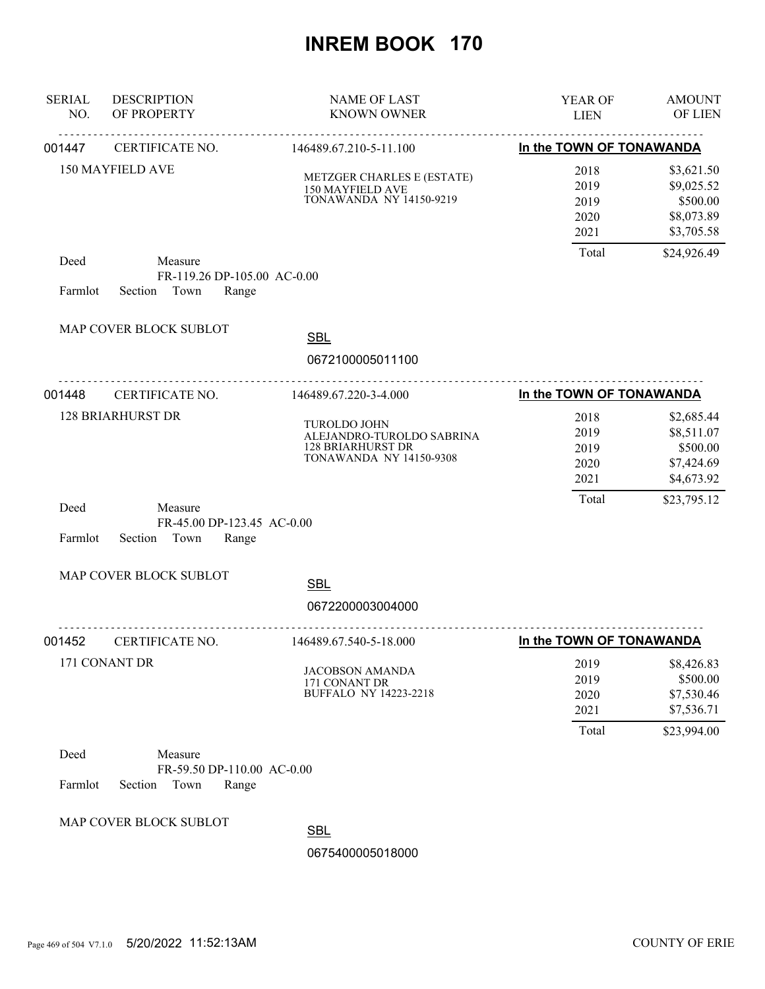| <b>SERIAL</b><br>NO. | <b>DESCRIPTION</b><br>OF PROPERTY                                  | <b>NAME OF LAST</b><br><b>KNOWN OWNER</b>                                                               | YEAR OF<br><b>LIEN</b>                | <b>AMOUNT</b><br>OF LIEN                                          |
|----------------------|--------------------------------------------------------------------|---------------------------------------------------------------------------------------------------------|---------------------------------------|-------------------------------------------------------------------|
| 001447               | CERTIFICATE NO.                                                    | <u>.</u><br>146489.67.210-5-11.100                                                                      | In the TOWN OF TONAWANDA              |                                                                   |
|                      | 150 MAYFIELD AVE                                                   | METZGER CHARLES E (ESTATE)<br>150 MAYFIELD AVE<br><b>TONAWANDA NY 14150-9219</b>                        | 2018<br>2019<br>2019<br>2020<br>2021  | \$3,621.50<br>\$9,025.52<br>\$500.00<br>\$8,073.89<br>\$3,705.58  |
| Deed<br>Farmlot      | Measure<br>FR-119.26 DP-105.00 AC-0.00<br>Town<br>Section<br>Range |                                                                                                         | Total                                 | \$24,926.49                                                       |
|                      | MAP COVER BLOCK SUBLOT                                             | <b>SBL</b><br>0672100005011100                                                                          |                                       |                                                                   |
| 001448               | CERTIFICATE NO.                                                    | 146489.67.220-3-4.000                                                                                   | In the TOWN OF TONAWANDA              |                                                                   |
|                      | <b>128 BRIARHURST DR</b>                                           | TUROLDO JOHN<br>ALEJANDRO-TUROLDO SABRINA<br><b>128 BRIARHURST DR</b><br><b>TONAWANDA NY 14150-9308</b> | 2018<br>2019<br>2019<br>2020<br>2021  | \$2,685.44<br>\$8,511.07<br>\$500.00<br>\$7,424.69<br>\$4,673.92  |
| Deed<br>Farmlot      | Measure<br>FR-45.00 DP-123.45 AC-0.00<br>Section<br>Town<br>Range  |                                                                                                         | Total                                 | \$23,795.12                                                       |
|                      | MAP COVER BLOCK SUBLOT                                             | <b>SBL</b><br>0672200003004000                                                                          |                                       |                                                                   |
| 001452               | CERTIFICATE NO.                                                    | .<br>146489.67.540-5-18.000                                                                             | In the TOWN OF TONAWANDA              |                                                                   |
|                      | 171 CONANT DR                                                      | <b>JACOBSON AMANDA</b><br>171 CONANT DR<br><b>BUFFALO NY 14223-2218</b>                                 | 2019<br>2019<br>2020<br>2021<br>Total | \$8,426.83<br>\$500.00<br>\$7,530.46<br>\$7,536.71<br>\$23,994.00 |
| Deed<br>Farmlot      | Measure<br>FR-59.50 DP-110.00 AC-0.00<br>Section<br>Town<br>Range  |                                                                                                         |                                       |                                                                   |
|                      | MAP COVER BLOCK SUBLOT                                             | <b>SBL</b>                                                                                              |                                       |                                                                   |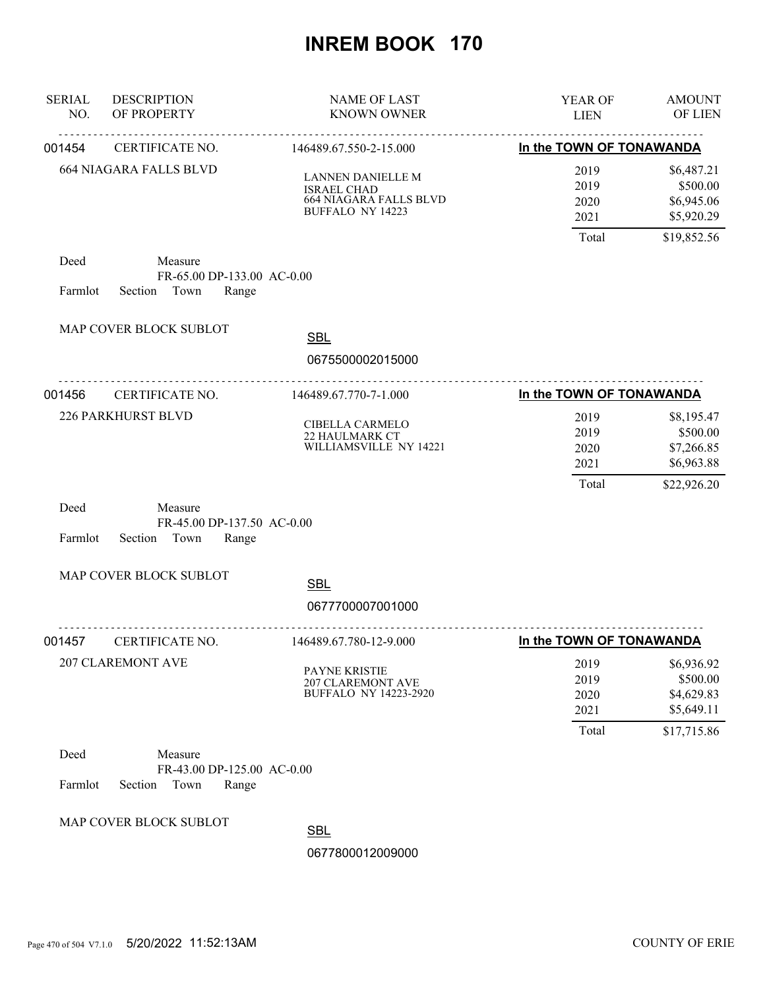| <b>SERIAL</b><br>NO. | <b>DESCRIPTION</b><br>OF PROPERTY                                 | <b>NAME OF LAST</b><br><b>KNOWN OWNER</b>                                                           | YEAR OF<br><b>LIEN</b>                | <b>AMOUNT</b><br>OF LIEN                                          |
|----------------------|-------------------------------------------------------------------|-----------------------------------------------------------------------------------------------------|---------------------------------------|-------------------------------------------------------------------|
| 001454               | <u>.</u><br>CERTIFICATE NO.                                       | <u>.</u><br>146489.67.550-2-15.000                                                                  | In the TOWN OF TONAWANDA              |                                                                   |
|                      | <b>664 NIAGARA FALLS BLVD</b>                                     | LANNEN DANIELLE M<br><b>ISRAEL CHAD</b><br><b>664 NIAGARA FALLS BLVD</b><br><b>BUFFALO NY 14223</b> | 2019<br>2019<br>2020<br>2021          | \$6,487.21<br>\$500.00<br>\$6,945.06<br>\$5,920.29                |
| Deed<br>Farmlot      | Measure<br>FR-65.00 DP-133.00 AC-0.00<br>Town<br>Range<br>Section |                                                                                                     | Total                                 | \$19,852.56                                                       |
|                      | MAP COVER BLOCK SUBLOT                                            | <b>SBL</b><br>0675500002015000                                                                      |                                       |                                                                   |
| 001456               | CERTIFICATE NO.                                                   | 146489.67.770-7-1.000                                                                               | In the TOWN OF TONAWANDA              |                                                                   |
|                      | 226 PARKHURST BLVD                                                | CIBELLA CARMELO<br>22 HAULMARK CT<br>WILLIAMSVILLE NY 14221                                         | 2019<br>2019<br>2020<br>2021<br>Total | \$8,195.47<br>\$500.00<br>\$7,266.85<br>\$6,963.88<br>\$22,926.20 |
| Deed<br>Farmlot      | Measure<br>FR-45.00 DP-137.50 AC-0.00<br>Section<br>Town<br>Range |                                                                                                     |                                       |                                                                   |
|                      | MAP COVER BLOCK SUBLOT                                            |                                                                                                     |                                       |                                                                   |
|                      |                                                                   | <b>SBL</b><br>0677700007001000                                                                      |                                       |                                                                   |
| 001457               | .<br>CERTIFICATE NO.                                              | .<br>146489.67.780-12-9.000                                                                         | In the TOWN OF TONAWANDA              |                                                                   |
|                      | <b>207 CLAREMONT AVE</b>                                          | PAYNE KRISTIE<br>207 CLAREMONT AVE<br><b>BUFFALO NY 14223-2920</b>                                  | 2019<br>2019<br>2020<br>2021<br>Total | \$6,936.92<br>\$500.00<br>\$4,629.83<br>\$5,649.11<br>\$17,715.86 |
| Deed<br>Farmlot      | Measure<br>FR-43.00 DP-125.00 AC-0.00<br>Section<br>Town<br>Range |                                                                                                     |                                       |                                                                   |
|                      | MAP COVER BLOCK SUBLOT                                            | <b>SBL</b>                                                                                          |                                       |                                                                   |
|                      |                                                                   | 0677800012009000                                                                                    |                                       |                                                                   |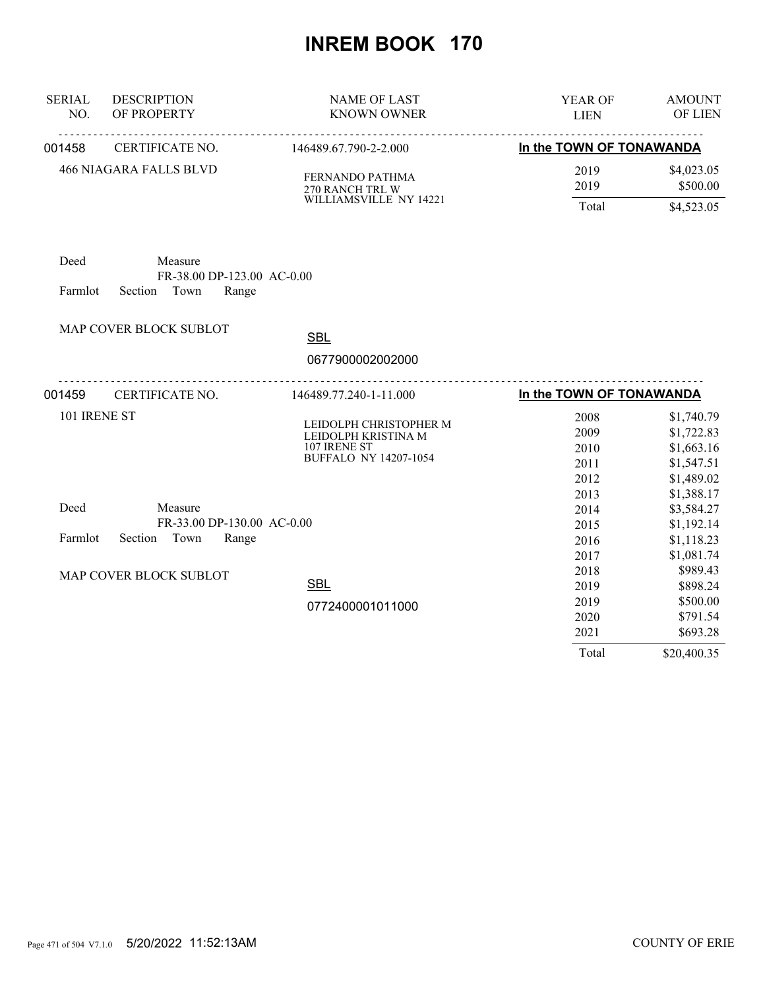| <b>SERIAL</b> | <b>DESCRIPTION</b>                    | <b>NAME OF LAST</b>                                                                           | YEAR OF                              | <b>AMOUNT</b>                                                      |
|---------------|---------------------------------------|-----------------------------------------------------------------------------------------------|--------------------------------------|--------------------------------------------------------------------|
| NO.           | OF PROPERTY                           | <b>KNOWN OWNER</b>                                                                            | <b>LIEN</b>                          | OF LIEN                                                            |
| 001458        | CERTIFICATE NO.                       | 146489.67.790-2-2.000                                                                         | In the TOWN OF TONAWANDA             |                                                                    |
|               | <b>466 NIAGARA FALLS BLVD</b>         | FERNANDO PATHMA<br>270 RANCH TRL W                                                            | 2019<br>2019                         | \$4,023.05<br>\$500.00                                             |
|               |                                       | WILLIAMSVILLE NY 14221                                                                        | Total                                | \$4,523.05                                                         |
| Deed          | Measure<br>FR-38.00 DP-123.00 AC-0.00 |                                                                                               |                                      |                                                                    |
| Farmlot       | Section<br>Town<br>Range              |                                                                                               |                                      |                                                                    |
|               | MAP COVER BLOCK SUBLOT                | <b>SBL</b>                                                                                    |                                      |                                                                    |
|               |                                       | 0677900002002000                                                                              |                                      |                                                                    |
| 001459        | CERTIFICATE NO.                       | <u>.</u><br>146489.77.240-1-11.000                                                            | In the TOWN OF TONAWANDA             |                                                                    |
| 101 IRENE ST  |                                       | LEIDOLPH CHRISTOPHER M<br>LEIDOLPH KRISTINA M<br>107 IRENE ST<br><b>BUFFALO NY 14207-1054</b> | 2008<br>2009<br>2010<br>2011<br>2012 | \$1,740.79<br>\$1,722.83<br>\$1,663.16<br>\$1,547.51<br>\$1,489.02 |
| Deed          | Measure<br>FR-33.00 DP-130.00 AC-0.00 |                                                                                               | 2013<br>2014<br>2015                 | \$1,388.17<br>\$3,584.27<br>\$1,192.14                             |
| Farmlot       | Town<br>Section<br>Range              |                                                                                               | 2016<br>2017                         | \$1,118.23<br>\$1,081.74                                           |
|               | MAP COVER BLOCK SUBLOT                | <b>SBL</b>                                                                                    | 2018<br>2019                         | \$989.43<br>\$898.24                                               |
|               |                                       | 0772400001011000                                                                              | 2019<br>2020<br>2021                 | \$500.00<br>\$791.54<br>\$693.28                                   |
|               |                                       |                                                                                               | Total                                | \$20,400.35                                                        |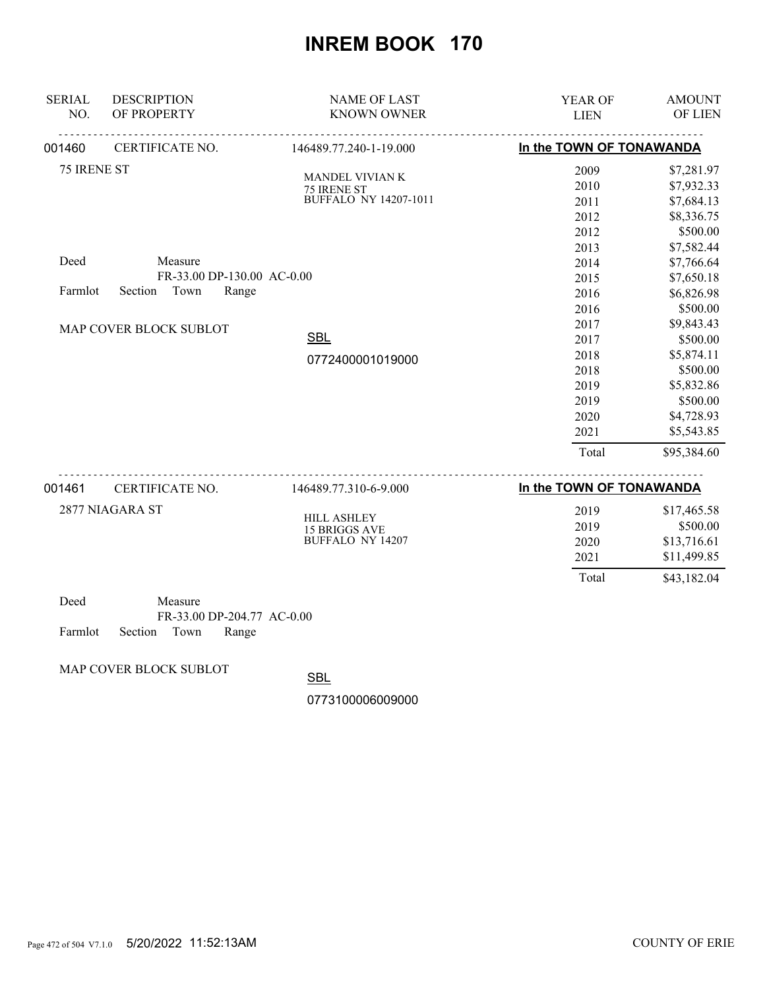| <b>SERIAL</b><br>NO. | <b>DESCRIPTION</b><br>OF PROPERTY                                 | <b>NAME OF LAST</b><br><b>KNOWN OWNER</b> | YEAR OF<br><b>LIEN</b>   | <b>AMOUNT</b><br>OF LIEN |
|----------------------|-------------------------------------------------------------------|-------------------------------------------|--------------------------|--------------------------|
| 001460               | CERTIFICATE NO.                                                   | 146489.77.240-1-19.000                    | In the TOWN OF TONAWANDA |                          |
| 75 IRENE ST          |                                                                   |                                           | 2009                     | \$7,281.97               |
|                      |                                                                   | MANDEL VIVIAN K<br>75 IRENE ST            | 2010                     | \$7,932.33               |
|                      |                                                                   | <b>BUFFALO NY 14207-1011</b>              | 2011                     | \$7,684.13               |
|                      |                                                                   |                                           | 2012                     | \$8,336.75               |
|                      |                                                                   |                                           | 2012                     | \$500.00                 |
|                      |                                                                   |                                           | 2013                     | \$7,582.44               |
| Deed                 | Measure                                                           |                                           | 2014                     | \$7,766.64               |
|                      | FR-33.00 DP-130.00 AC-0.00                                        |                                           | 2015                     | \$7,650.18               |
| Farmlot              | Section<br>Town<br>Range                                          |                                           | 2016                     | \$6,826.98               |
|                      |                                                                   |                                           | 2016                     | \$500.00                 |
|                      | MAP COVER BLOCK SUBLOT                                            |                                           | 2017                     | \$9,843.43               |
|                      |                                                                   | <b>SBL</b>                                | 2017                     | \$500.00                 |
|                      |                                                                   | 0772400001019000                          | 2018                     | \$5,874.11               |
|                      |                                                                   |                                           | 2018                     | \$500.00                 |
|                      |                                                                   |                                           | 2019                     | \$5,832.86               |
|                      |                                                                   |                                           | 2019                     | \$500.00                 |
|                      |                                                                   |                                           | 2020                     | \$4,728.93               |
|                      |                                                                   |                                           | 2021                     | \$5,543.85               |
|                      |                                                                   |                                           | Total                    | \$95,384.60              |
| 001461               | CERTIFICATE NO.                                                   | 146489.77.310-6-9.000                     | In the TOWN OF TONAWANDA |                          |
|                      | 2877 NIAGARA ST                                                   |                                           |                          |                          |
|                      |                                                                   | <b>HILL ASHLEY</b>                        | 2019<br>2019             | \$17,465.58<br>\$500.00  |
|                      |                                                                   | 15 BRIGGS AVE BUFFALO NY 14207            | 2020                     | \$13,716.61              |
|                      |                                                                   |                                           | 2021                     | \$11,499.85              |
|                      |                                                                   |                                           | Total                    | \$43,182.04              |
| Deed<br>Farmlot      | Measure<br>FR-33.00 DP-204.77 AC-0.00<br>Town<br>Section<br>Range |                                           |                          |                          |

MAP COVER BLOCK SUBLOT

**SBL**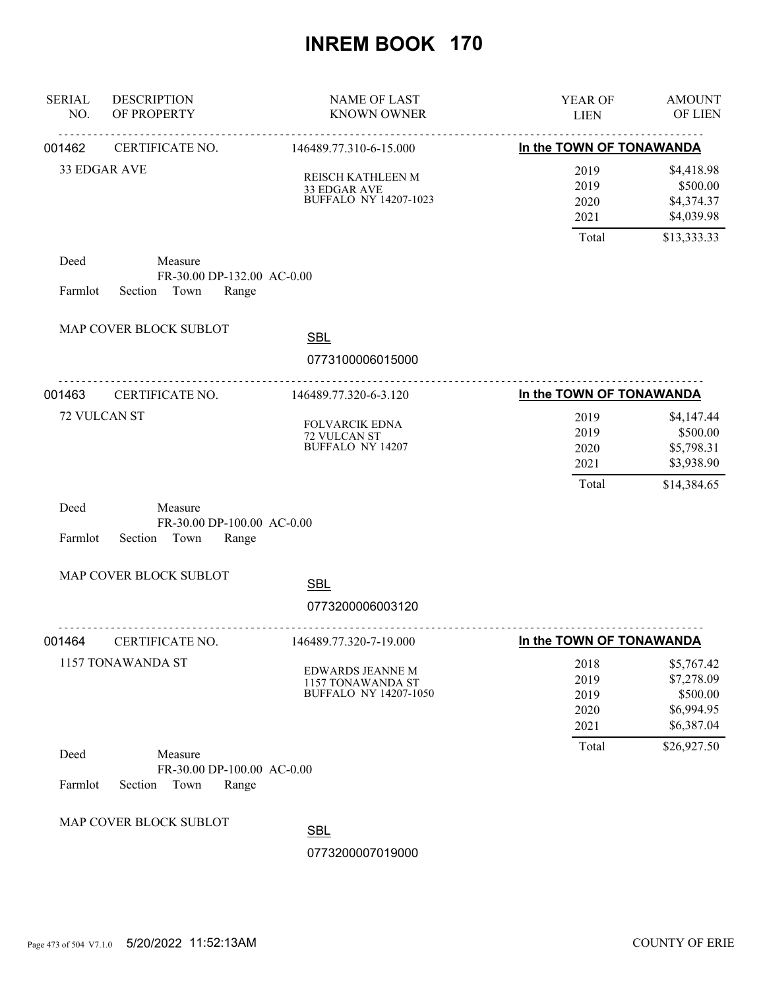| <b>SERIAL</b><br>NO. | <b>DESCRIPTION</b><br>OF PROPERTY                                 | NAME OF LAST<br><b>KNOWN OWNER</b>                                    | YEAR OF<br><b>LIEN</b>               | <b>AMOUNT</b><br>OF LIEN                                         |
|----------------------|-------------------------------------------------------------------|-----------------------------------------------------------------------|--------------------------------------|------------------------------------------------------------------|
| 001462               | .<br>CERTIFICATE NO.                                              | <u>.</u><br>146489.77.310-6-15.000                                    | In the TOWN OF TONAWANDA             |                                                                  |
|                      | 33 EDGAR AVE                                                      | REISCH KATHLEEN M<br>33 EDGAR AVE<br><b>BUFFALO NY 14207-1023</b>     | 2019<br>2019<br>2020<br>2021         | \$4,418.98<br>\$500.00<br>\$4,374.37<br>\$4,039.98               |
|                      |                                                                   |                                                                       | Total                                | \$13,333.33                                                      |
| Deed<br>Farmlot      | Measure<br>FR-30.00 DP-132.00 AC-0.00<br>Section Town<br>Range    |                                                                       |                                      |                                                                  |
|                      | MAP COVER BLOCK SUBLOT                                            | <b>SBL</b>                                                            |                                      |                                                                  |
|                      |                                                                   | 0773100006015000                                                      |                                      |                                                                  |
| 001463               | CERTIFICATE NO.                                                   | 146489.77.320-6-3.120                                                 | In the TOWN OF TONAWANDA             |                                                                  |
|                      | 72 VULCAN ST                                                      | <b>FOLVARCIK EDNA</b><br>72 VULCAN ST<br><b>BUFFALO NY 14207</b>      | 2019<br>2019<br>2020<br>2021         | \$4,147.44<br>\$500.00<br>\$5,798.31<br>\$3,938.90               |
| Deed<br>Farmlot      | Measure<br>FR-30.00 DP-100.00 AC-0.00<br>Section<br>Town<br>Range |                                                                       | Total                                | \$14,384.65                                                      |
|                      | MAP COVER BLOCK SUBLOT                                            | <b>SBL</b>                                                            |                                      |                                                                  |
|                      |                                                                   | 0773200006003120                                                      |                                      |                                                                  |
| 001464               | CERTIFICATE NO.                                                   | 146489.77.320-7-19.000                                                | In the TOWN OF TONAWANDA             |                                                                  |
|                      | 1157 TONAWANDA ST                                                 | <b>EDWARDS JEANNE M</b><br>1157 TONAWANDA ST<br>BUFFALO NY 14207-1050 | 2018<br>2019<br>2019<br>2020<br>2021 | \$5,767.42<br>\$7,278.09<br>\$500.00<br>\$6,994.95<br>\$6,387.04 |
| Deed<br>Farmlot      | Measure<br>FR-30.00 DP-100.00 AC-0.00<br>Section<br>Town<br>Range |                                                                       | Total                                | \$26,927.50                                                      |
|                      | MAP COVER BLOCK SUBLOT                                            | <b>SBL</b><br>0773200007019000                                        |                                      |                                                                  |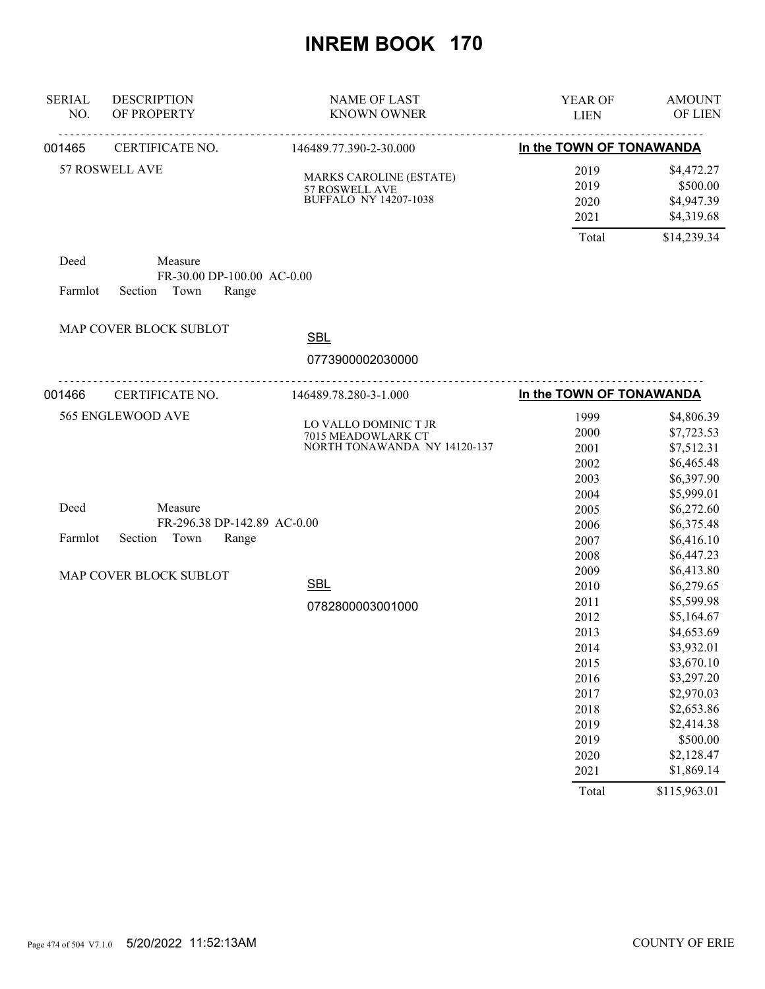| <b>SERIAL</b><br>NO. | <b>DESCRIPTION</b><br>OF PROPERTY                                  | <b>NAME OF LAST</b><br><b>KNOWN OWNER</b>                                        | YEAR OF<br><b>LIEN</b>                                                                        | <b>AMOUNT</b><br>OF LIEN                                                                                                                                             |
|----------------------|--------------------------------------------------------------------|----------------------------------------------------------------------------------|-----------------------------------------------------------------------------------------------|----------------------------------------------------------------------------------------------------------------------------------------------------------------------|
| 001465               | CERTIFICATE NO.                                                    | <u>.</u><br>146489.77.390-2-30.000                                               | In the TOWN OF TONAWANDA                                                                      |                                                                                                                                                                      |
|                      | 57 ROSWELL AVE                                                     | <b>MARKS CAROLINE (ESTATE)</b><br>57 ROSWELL AVE<br><b>BUFFALO NY 14207-1038</b> | 2019<br>2019<br>2020<br>2021<br>Total                                                         | \$4,472.27<br>\$500.00<br>\$4,947.39<br>\$4,319.68<br>\$14,239.34                                                                                                    |
| Deed<br>Farmlot      | Measure<br>FR-30.00 DP-100.00 AC-0.00<br>Town<br>Section<br>Range  |                                                                                  |                                                                                               |                                                                                                                                                                      |
|                      |                                                                    |                                                                                  |                                                                                               |                                                                                                                                                                      |
|                      | MAP COVER BLOCK SUBLOT                                             | <b>SBL</b>                                                                       |                                                                                               |                                                                                                                                                                      |
|                      |                                                                    | 0773900002030000                                                                 |                                                                                               |                                                                                                                                                                      |
| 001466               | <u>.</u><br>CERTIFICATE NO.                                        | .<br>146489.78.280-3-1.000                                                       | In the TOWN OF TONAWANDA                                                                      |                                                                                                                                                                      |
|                      | 565 ENGLEWOOD AVE                                                  | LO VALLO DOMINIC T JR<br>7015 MEADOWLARK CT<br>NORTH TONAWANDA NY 14120-137      | 1999<br>2000<br>2001<br>2002<br>2003<br>2004                                                  | \$4,806.39<br>\$7,723.53<br>\$7,512.31<br>\$6,465.48<br>\$6,397.90<br>\$5,999.01                                                                                     |
| Deed<br>Farmlot      | Measure<br>FR-296.38 DP-142.89 AC-0.00<br>Section<br>Town<br>Range |                                                                                  | 2005<br>2006<br>2007                                                                          | \$6,272.60<br>\$6,375.48<br>\$6,416.10                                                                                                                               |
|                      | MAP COVER BLOCK SUBLOT                                             | <b>SBL</b><br>0782800003001000                                                   | 2008<br>2009<br>2010<br>2011                                                                  | \$6,447.23<br>\$6,413.80<br>\$6,279.65<br>\$5,599.98                                                                                                                 |
|                      |                                                                    |                                                                                  | 2012<br>2013<br>2014<br>2015<br>2016<br>2017<br>2018<br>2019<br>2019<br>2020<br>2021<br>Total | \$5,164.67<br>\$4,653.69<br>\$3,932.01<br>\$3,670.10<br>\$3,297.20<br>\$2,970.03<br>\$2,653.86<br>\$2,414.38<br>\$500.00<br>\$2,128.47<br>\$1,869.14<br>\$115,963.01 |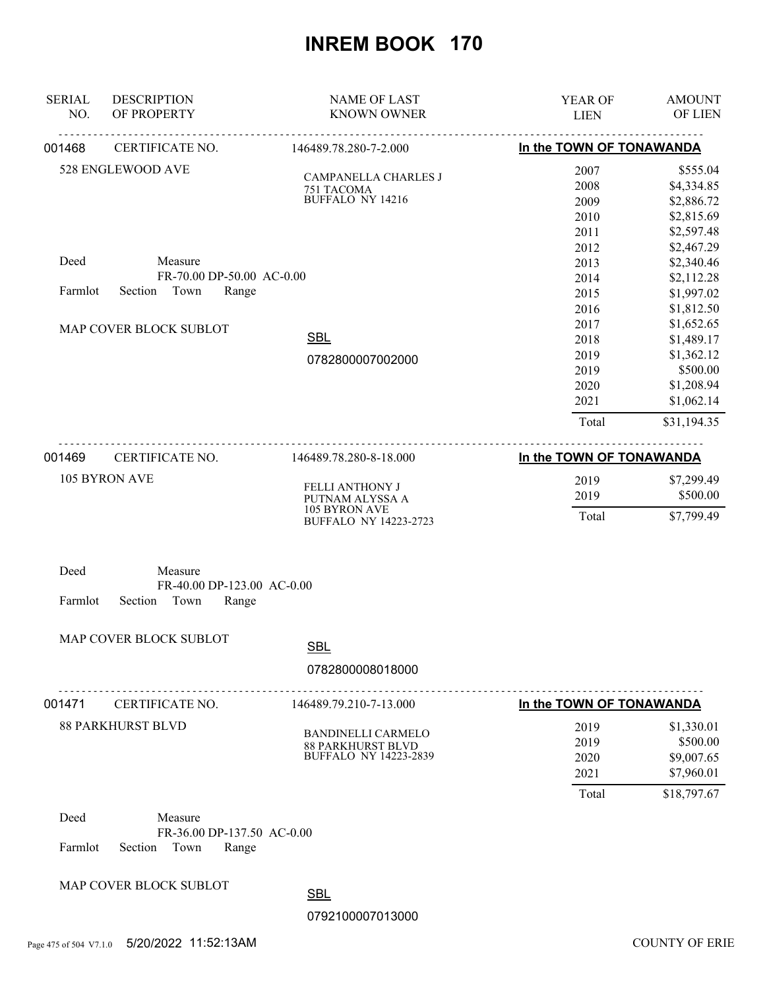| <b>SERIAL</b><br>NO.      | <b>DESCRIPTION</b><br>OF PROPERTY | <b>NAME OF LAST</b><br><b>KNOWN OWNER</b>     | YEAR OF<br><b>LIEN</b>   | <b>AMOUNT</b><br>OF LIEN                                                                                                                                                                                                                                           |
|---------------------------|-----------------------------------|-----------------------------------------------|--------------------------|--------------------------------------------------------------------------------------------------------------------------------------------------------------------------------------------------------------------------------------------------------------------|
| 001468                    | CERTIFICATE NO.                   | 146489.78.280-7-2.000                         | In the TOWN OF TONAWANDA |                                                                                                                                                                                                                                                                    |
|                           | 528 ENGLEWOOD AVE                 |                                               | 2007                     | \$555.04                                                                                                                                                                                                                                                           |
|                           |                                   | CAMPANELLA CHARLES J<br>751 TACOMA            | 2008                     | \$4,334.85                                                                                                                                                                                                                                                         |
|                           |                                   | BUFFALO NY 14216                              | 2009                     | \$2,886.72                                                                                                                                                                                                                                                         |
|                           |                                   |                                               | 2010                     | \$2,815.69                                                                                                                                                                                                                                                         |
|                           |                                   |                                               | 2011                     | \$2,597.48                                                                                                                                                                                                                                                         |
|                           |                                   |                                               | 2012                     | \$2,467.29                                                                                                                                                                                                                                                         |
| Deed                      | Measure                           |                                               | 2013                     |                                                                                                                                                                                                                                                                    |
|                           | FR-70.00 DP-50.00 AC-0.00         |                                               | 2014                     |                                                                                                                                                                                                                                                                    |
| Farmlot                   | Town<br>Section<br>Range          |                                               | 2015                     |                                                                                                                                                                                                                                                                    |
|                           |                                   |                                               | 2016                     |                                                                                                                                                                                                                                                                    |
|                           | MAP COVER BLOCK SUBLOT            |                                               | 2017                     |                                                                                                                                                                                                                                                                    |
|                           |                                   | <b>SBL</b>                                    | 2018                     |                                                                                                                                                                                                                                                                    |
|                           |                                   | 0782800007002000                              | 2019                     |                                                                                                                                                                                                                                                                    |
|                           |                                   |                                               | 2019<br>2020             |                                                                                                                                                                                                                                                                    |
|                           |                                   |                                               | 2021                     |                                                                                                                                                                                                                                                                    |
|                           |                                   |                                               | Total                    | \$2,340.46<br>\$2,112.28<br>\$1,997.02<br>\$1,812.50<br>\$1,652.65<br>\$1,489.17<br>\$1,362.12<br>\$500.00<br>\$1,208.94<br>\$1,062.14<br>\$31,194.35<br>\$7,299.49<br>\$500.00<br>\$7,799.49<br>\$1,330.01<br>\$500.00<br>\$9,007.65<br>\$7,960.01<br>\$18,797.67 |
|                           | .                                 |                                               |                          |                                                                                                                                                                                                                                                                    |
| CERTIFICATE NO.<br>001469 |                                   | 146489.78.280-8-18.000                        | In the TOWN OF TONAWANDA |                                                                                                                                                                                                                                                                    |
|                           | 105 BYRON AVE                     | FELLI ANTHONY J                               | 2019                     |                                                                                                                                                                                                                                                                    |
|                           |                                   | PUTNAM ALYSSA A                               | 2019                     |                                                                                                                                                                                                                                                                    |
|                           |                                   | <b>105 BYRON AVE</b><br>BUFFALO NY 14223-2723 | Total                    |                                                                                                                                                                                                                                                                    |
|                           |                                   |                                               |                          |                                                                                                                                                                                                                                                                    |
| Deed                      | Measure                           |                                               |                          |                                                                                                                                                                                                                                                                    |
|                           | FR-40.00 DP-123.00 AC-0.00        |                                               |                          |                                                                                                                                                                                                                                                                    |
| Farmlot                   | Town<br>Section<br>Range          |                                               |                          |                                                                                                                                                                                                                                                                    |
|                           | MAP COVER BLOCK SUBLOT            | <b>SBL</b>                                    |                          |                                                                                                                                                                                                                                                                    |
|                           |                                   |                                               |                          |                                                                                                                                                                                                                                                                    |
|                           |                                   | 0782800008018000                              |                          |                                                                                                                                                                                                                                                                    |
| 001471                    | CERTIFICATE NO.                   | 146489.79.210-7-13.000                        | In the TOWN OF TONAWANDA |                                                                                                                                                                                                                                                                    |
|                           | <b>88 PARKHURST BLVD</b>          |                                               | 2019                     |                                                                                                                                                                                                                                                                    |
|                           |                                   | <b>BANDINELLI CARMELO</b>                     | 2019                     |                                                                                                                                                                                                                                                                    |
|                           |                                   | 88 PARKHURST BLVD<br>BUFFALO NY 14223-2839    | 2020                     |                                                                                                                                                                                                                                                                    |
|                           |                                   |                                               | 2021                     |                                                                                                                                                                                                                                                                    |
|                           |                                   |                                               | Total                    |                                                                                                                                                                                                                                                                    |
| Deed                      | Measure                           |                                               |                          |                                                                                                                                                                                                                                                                    |
|                           | FR-36.00 DP-137.50 AC-0.00        |                                               |                          |                                                                                                                                                                                                                                                                    |
| Farmlot                   | Section<br>Town<br>Range          |                                               |                          |                                                                                                                                                                                                                                                                    |
|                           | MAP COVER BLOCK SUBLOT            |                                               |                          |                                                                                                                                                                                                                                                                    |
|                           |                                   |                                               |                          |                                                                                                                                                                                                                                                                    |

**SBL**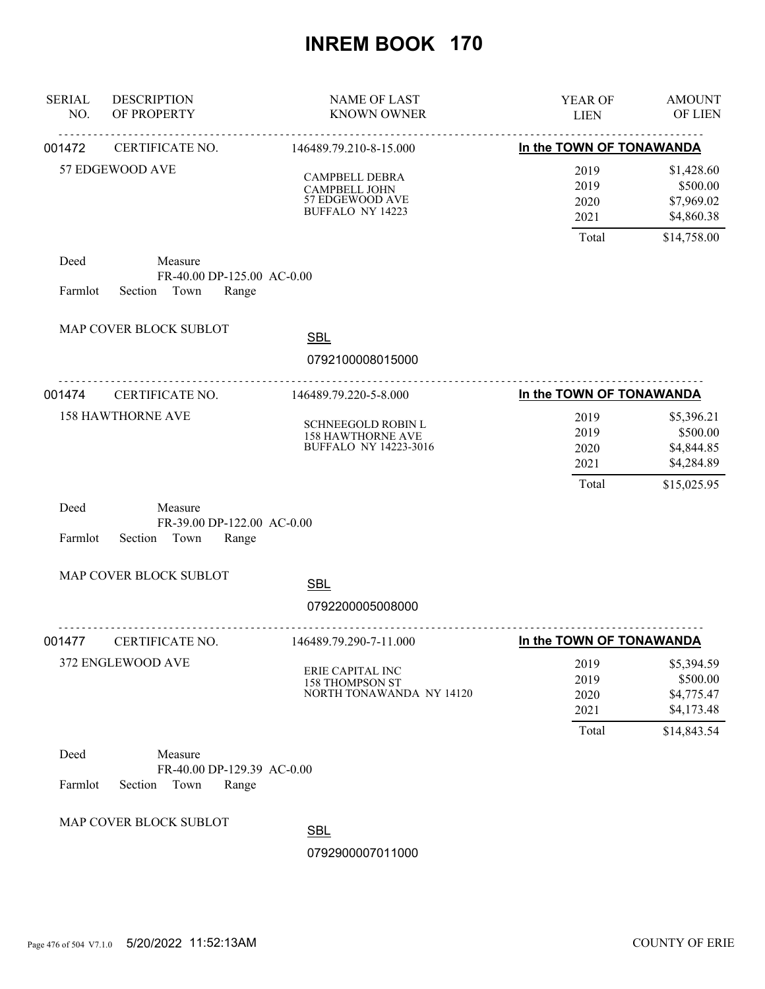| <b>SERIAL</b><br>NO. | <b>DESCRIPTION</b><br>OF PROPERTY                                 | <b>NAME OF LAST</b><br><b>KNOWN OWNER</b>                                      | YEAR OF<br><b>LIEN</b>                | <b>AMOUNT</b><br>OF LIEN                                          |
|----------------------|-------------------------------------------------------------------|--------------------------------------------------------------------------------|---------------------------------------|-------------------------------------------------------------------|
| 001472               | .<br>CERTIFICATE NO.                                              | <u>.</u><br>146489.79.210-8-15.000                                             | In the TOWN OF TONAWANDA              |                                                                   |
|                      | 57 EDGEWOOD AVE                                                   | CAMPBELL DEBRA<br>CAMPBELL JOHN<br>57 EDGEWOOD AVE<br><b>BUFFALO NY 14223</b>  | 2019<br>2019<br>2020<br>2021          | \$1,428.60<br>\$500.00<br>\$7,969.02<br>\$4,860.38                |
| Deed<br>Farmlot      | Measure<br>FR-40.00 DP-125.00 AC-0.00<br>Town<br>Range<br>Section |                                                                                | Total                                 | \$14,758.00                                                       |
|                      | MAP COVER BLOCK SUBLOT                                            | <b>SBL</b><br>0792100008015000                                                 |                                       |                                                                   |
| 001474               | CERTIFICATE NO.                                                   | 146489.79.220-5-8.000                                                          | In the TOWN OF TONAWANDA              |                                                                   |
|                      | <b>158 HAWTHORNE AVE</b>                                          | SCHNEEGOLD ROBIN L<br><b>158 HAWTHORNE AVE</b><br><b>BUFFALO NY 14223-3016</b> | 2019<br>2019<br>2020<br>2021<br>Total | \$5,396.21<br>\$500.00<br>\$4,844.85<br>\$4,284.89<br>\$15,025.95 |
| Deed<br>Farmlot      | Measure<br>FR-39.00 DP-122.00 AC-0.00<br>Section<br>Town<br>Range |                                                                                |                                       |                                                                   |
|                      | MAP COVER BLOCK SUBLOT                                            | <b>SBL</b>                                                                     |                                       |                                                                   |
|                      |                                                                   | 0792200005008000                                                               |                                       |                                                                   |
| 001477               | CERTIFICATE NO.                                                   | 146489.79.290-7-11.000                                                         | In the TOWN OF TONAWANDA              |                                                                   |
|                      | 372 ENGLEWOOD AVE                                                 | ERIE CAPITAL INC<br><b>158 THOMPSON ST</b><br>NORTH TONAWANDA NY 14120         | 2019<br>2019<br>2020<br>2021<br>Total | \$5,394.59<br>\$500.00<br>\$4,775.47<br>\$4,173.48<br>\$14,843.54 |
| Deed<br>Farmlot      | Measure<br>FR-40.00 DP-129.39 AC-0.00<br>Section<br>Town<br>Range |                                                                                |                                       |                                                                   |
|                      | MAP COVER BLOCK SUBLOT                                            | <b>SBL</b><br>0792900007011000                                                 |                                       |                                                                   |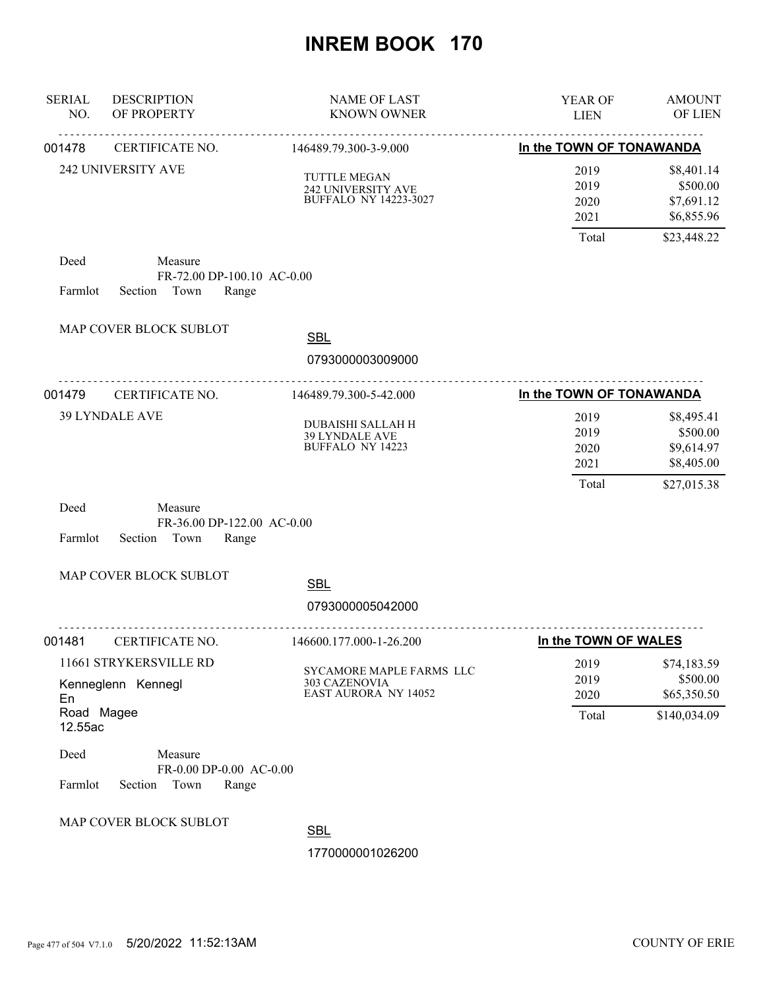| <b>SERIAL</b><br>NO. | <b>DESCRIPTION</b><br>OF PROPERTY                                 | NAME OF LAST<br><b>KNOWN OWNER</b>                                              | YEAR OF<br><b>LIEN</b>       | <b>AMOUNT</b><br>OF LIEN                           |
|----------------------|-------------------------------------------------------------------|---------------------------------------------------------------------------------|------------------------------|----------------------------------------------------|
| 001478               | CERTIFICATE NO.                                                   | 146489.79.300-3-9.000                                                           | In the TOWN OF TONAWANDA     |                                                    |
|                      | 242 UNIVERSITY AVE                                                | <b>TUTTLE MEGAN</b><br>242 UNIVERSITY AVE<br><b>BUFFALO NY 14223-3027</b>       | 2019<br>2019<br>2020<br>2021 | \$8,401.14<br>\$500.00<br>\$7,691.12<br>\$6,855.96 |
|                      |                                                                   |                                                                                 | Total                        | \$23,448.22                                        |
| Deed<br>Farmlot      | Measure<br>FR-72.00 DP-100.10 AC-0.00<br>Town<br>Section<br>Range |                                                                                 |                              |                                                    |
|                      | MAP COVER BLOCK SUBLOT                                            | <b>SBL</b>                                                                      |                              |                                                    |
|                      |                                                                   | 0793000003009000                                                                |                              |                                                    |
| 001479               | CERTIFICATE NO.                                                   | 146489.79.300-5-42.000                                                          | In the TOWN OF TONAWANDA     |                                                    |
|                      | <b>39 LYNDALE AVE</b>                                             | <b>DUBAISHI SALLAH H</b><br>39 LYNDALE AVE<br><b>BUFFALO NY 14223</b>           | 2019<br>2019<br>2020<br>2021 | \$8,495.41<br>\$500.00<br>\$9,614.97<br>\$8,405.00 |
| Deed<br>Farmlot      | Measure<br>FR-36.00 DP-122.00 AC-0.00<br>Section<br>Town<br>Range |                                                                                 | Total                        | \$27,015.38                                        |
|                      | MAP COVER BLOCK SUBLOT                                            | <b>SBL</b>                                                                      |                              |                                                    |
|                      |                                                                   | 0793000005042000                                                                |                              |                                                    |
| 001481               | CERTIFICATE NO.                                                   | .<br>146600.177.000-1-26.200                                                    | In the TOWN OF WALES         |                                                    |
| En<br>Road Magee     | 11661 STRYKERSVILLE RD<br>Kenneglenn Kennegl                      | SYCAMORE MAPLE FARMS LLC<br><b>303 CAZENOVIA</b><br><b>EAST AURORA NY 14052</b> | 2019<br>2019<br>2020         | \$74,183.59<br>\$500.00<br>\$65,350.50             |
| 12.55ac              |                                                                   |                                                                                 | Total                        | \$140,034.09                                       |
| Deed<br>Farmlot      | Measure<br>FR-0.00 DP-0.00 AC-0.00<br>Section<br>Town<br>Range    |                                                                                 |                              |                                                    |
|                      | MAP COVER BLOCK SUBLOT                                            | <b>SBL</b><br>1770000001026200                                                  |                              |                                                    |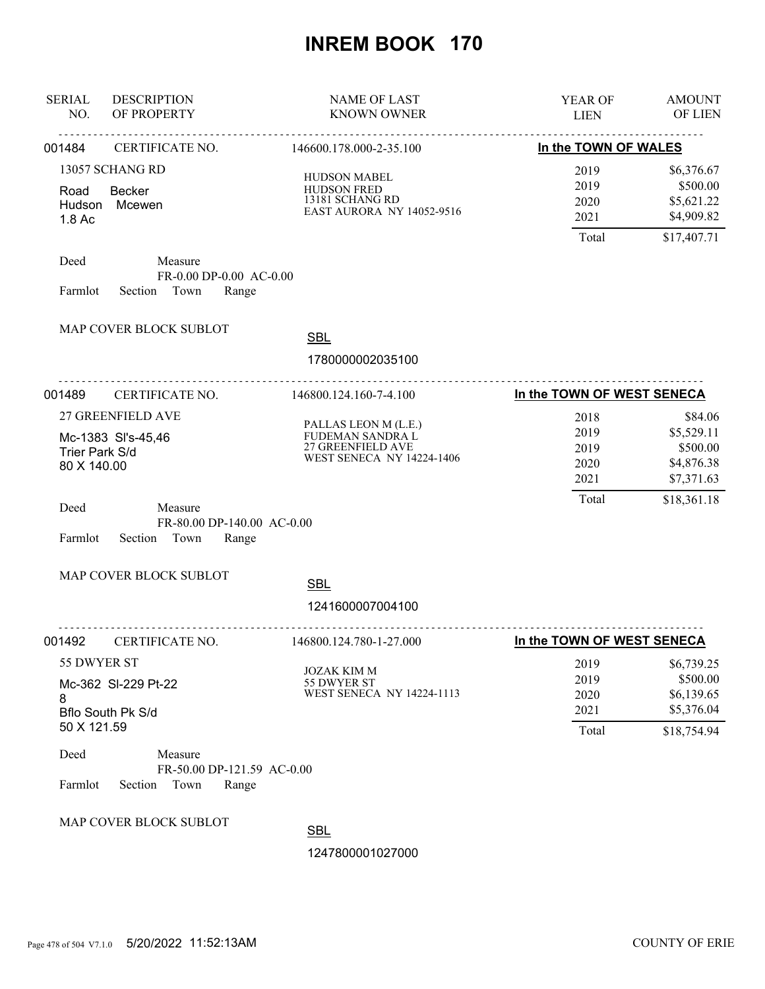| <b>SERIAL</b><br>NO.           | <b>DESCRIPTION</b><br>OF PROPERTY                                 | <b>NAME OF LAST</b><br><b>KNOWN OWNER</b>                                                         | YEAR OF<br><b>LIEN</b>                | <b>AMOUNT</b><br>OF LIEN                                          |
|--------------------------------|-------------------------------------------------------------------|---------------------------------------------------------------------------------------------------|---------------------------------------|-------------------------------------------------------------------|
| 001484                         | <u>.</u><br><u>.</u><br>CERTIFICATE NO.                           | <u>.</u><br>146600.178.000-2-35.100                                                               | In the TOWN OF WALES                  |                                                                   |
| Road<br>Hudson<br>1.8 Ac       | 13057 SCHANG RD<br><b>Becker</b><br>Mcewen                        | <b>HUDSON MABEL</b><br>HUDSON FRED<br>13181 SCHANG RD<br><b>EAST AURORA NY 14052-9516</b>         | 2019<br>2019<br>2020<br>2021<br>Total | \$6,376.67<br>\$500.00<br>\$5,621.22<br>\$4,909.82<br>\$17,407.71 |
| Deed<br>Farmlot                | Measure<br>FR-0.00 DP-0.00 AC-0.00<br>Section Town<br>Range       |                                                                                                   |                                       |                                                                   |
|                                | MAP COVER BLOCK SUBLOT                                            | <b>SBL</b><br>1780000002035100                                                                    |                                       |                                                                   |
| 001489                         | CERTIFICATE NO.                                                   | 146800.124.160-7-4.100                                                                            | In the TOWN OF WEST SENECA            |                                                                   |
| Trier Park S/d<br>80 X 140.00  | 27 GREENFIELD AVE<br>Mc-1383 SI's-45,46                           | PALLAS LEON M (L.E.)<br>FUDEMAN SANDRA L<br>27 GREENFIELD AVE<br><b>WEST SENECA NY 14224-1406</b> | 2018<br>2019<br>2019<br>2020<br>2021  | \$84.06<br>\$5,529.11<br>\$500.00<br>\$4,876.38<br>\$7,371.63     |
| Deed<br>Farmlot                | Measure<br>FR-80.00 DP-140.00 AC-0.00<br>Section Town<br>Range    |                                                                                                   | Total                                 | \$18,361.18                                                       |
|                                | MAP COVER BLOCK SUBLOT                                            | <b>SBL</b><br>1241600007004100                                                                    |                                       |                                                                   |
| 001492                         | CERTIFICATE NO.                                                   | 146800.124.780-1-27.000                                                                           | In the TOWN OF WEST SENECA            |                                                                   |
| 55 DWYER ST<br>8               | Mc-362 SI-229 Pt-22<br><b>Bflo South Pk S/d</b>                   | <b>JOZAK KIM M</b><br>55 DWYER ST<br><b>WEST SENECA NY 14224-1113</b>                             | 2019<br>2019<br>2020<br>2021          | \$6,739.25<br>\$500.00<br>\$6,139.65<br>\$5,376.04                |
| 50 X 121.59<br>Deed<br>Farmlot | Measure<br>FR-50.00 DP-121.59 AC-0.00<br>Section<br>Town<br>Range |                                                                                                   | Total                                 | \$18,754.94                                                       |
|                                | MAP COVER BLOCK SUBLOT                                            | <b>SBL</b><br>1247800001027000                                                                    |                                       |                                                                   |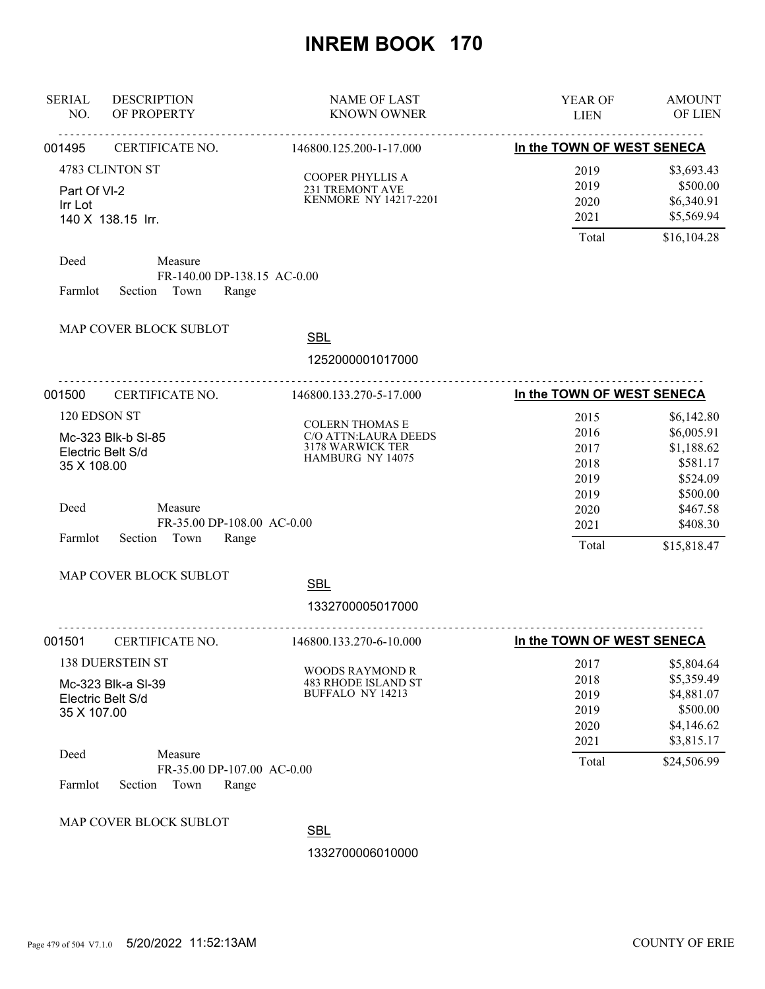| <b>SERIAL</b><br>NO.                             | <b>DESCRIPTION</b><br>OF PROPERTY                                 | <b>NAME OF LAST</b><br><b>KNOWN OWNER</b>                                              | YEAR OF<br><b>LIEN</b>                       | <b>AMOUNT</b><br>OF LIEN                                                       |
|--------------------------------------------------|-------------------------------------------------------------------|----------------------------------------------------------------------------------------|----------------------------------------------|--------------------------------------------------------------------------------|
| 001495                                           | CERTIFICATE NO.                                                   | <u>.</u><br><u>.</u><br>146800.125.200-1-17.000                                        | In the TOWN OF WEST SENECA                   |                                                                                |
| Part Of VI-2<br>Irr Lot                          | 4783 CLINTON ST<br>140 X 138.15 Irr.                              | COOPER PHYLLIS A<br>231 TREMONT AVE KENMORE NY 14217-2201                              | 2019<br>2019<br>2020<br>2021                 | \$3,693.43<br>\$500.00<br>\$6,340.91<br>\$5,569.94                             |
| Deed<br>Farmlot                                  | Measure<br>FR-140.00 DP-138.15 AC-0.00<br>Section Town<br>Range   |                                                                                        | Total                                        | \$16,104.28                                                                    |
|                                                  | MAP COVER BLOCK SUBLOT                                            | <b>SBL</b><br>1252000001017000                                                         |                                              |                                                                                |
| 001500                                           | <u>.</u><br>CERTIFICATE NO.                                       | 146800.133.270-5-17.000                                                                | In the TOWN OF WEST SENECA                   |                                                                                |
| 120 EDSON ST<br>Electric Belt S/d<br>35 X 108.00 | Mc-323 Blk-b SI-85                                                | <b>COLERN THOMAS E</b><br>C/O ATTN:LAURA DEEDS<br>3178 WARWICK TER<br>HAMBURG NY 14075 | 2015<br>2016<br>2017<br>2018<br>2019         | \$6,142.80<br>\$6,005.91<br>\$1,188.62<br>\$581.17<br>\$524.09                 |
| Deed<br>Farmlot                                  | Measure<br>FR-35.00 DP-108.00 AC-0.00<br>Town<br>Section<br>Range |                                                                                        | 2019<br>2020<br>2021<br>Total                | \$500.00<br>\$467.58<br>\$408.30<br>\$15,818.47                                |
|                                                  | MAP COVER BLOCK SUBLOT                                            | <b>SBL</b><br>1332700005017000                                                         |                                              |                                                                                |
| 001501                                           | CERTIFICATE NO.                                                   | 146800.133.270-6-10.000                                                                | In the TOWN OF WEST SENECA                   |                                                                                |
| Electric Belt S/d<br>35 X 107.00                 | <b>138 DUERSTEIN ST</b><br>Mc-323 Blk-a SI-39                     | <b>WOODS RAYMOND R</b><br><b>483 RHODE ISLAND ST</b><br>BUFFALO NY 14213               | 2017<br>2018<br>2019<br>2019<br>2020<br>2021 | \$5,804.64<br>\$5,359.49<br>\$4,881.07<br>\$500.00<br>\$4,146.62<br>\$3,815.17 |
| Deed<br>Farmlot                                  | Measure<br>FR-35.00 DP-107.00 AC-0.00<br>Section<br>Town<br>Range |                                                                                        | Total                                        | \$24,506.99                                                                    |
|                                                  | MAP COVER BLOCK SUBLOT                                            | <b>SBL</b><br>1332700006010000                                                         |                                              |                                                                                |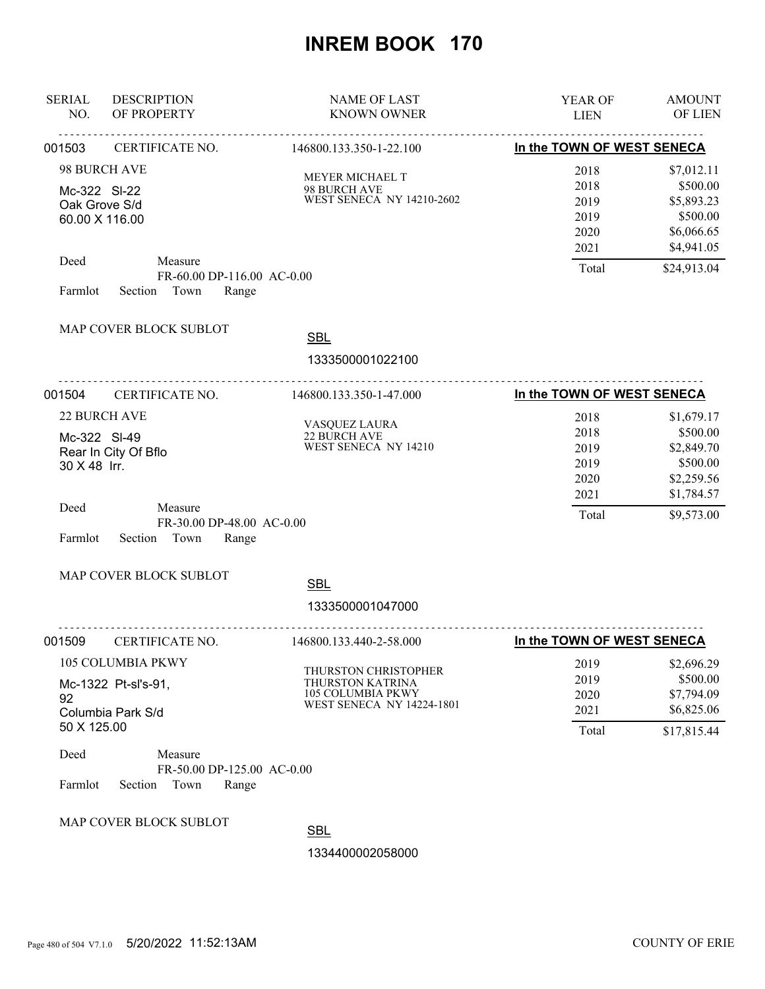| <b>SERIAL</b><br>NO.                 | <b>DESCRIPTION</b><br>OF PROPERTY                                                                                                  | <b>NAME OF LAST</b><br><b>KNOWN OWNER</b>                                                         | <b>YEAR OF</b><br><b>LIEN</b>                         | <b>AMOUNT</b><br><b>OF LIEN</b>                                                             |
|--------------------------------------|------------------------------------------------------------------------------------------------------------------------------------|---------------------------------------------------------------------------------------------------|-------------------------------------------------------|---------------------------------------------------------------------------------------------|
| 001503                               | CERTIFICATE NO.                                                                                                                    | 146800.133.350-1-22.100                                                                           | In the TOWN OF WEST SENECA                            |                                                                                             |
| Mc-322 SI-22<br>Deed                 | 98 BURCH AVE<br>Oak Grove S/d<br>60.00 X 116.00<br>Measure<br>FR-60.00 DP-116.00 AC-0.00                                           | MEYER MICHAEL T<br>98 BURCH AVE<br>WEST SENECA NY 14210-2602                                      | 2018<br>2018<br>2019<br>2019<br>2020<br>2021<br>Total | \$7,012.11<br>\$500.00<br>\$5,893.23<br>\$500.00<br>\$6,066.65<br>\$4,941.05<br>\$24,913.04 |
| Farmlot                              | Section Town<br>Range                                                                                                              |                                                                                                   |                                                       |                                                                                             |
|                                      | MAP COVER BLOCK SUBLOT                                                                                                             | <b>SBL</b>                                                                                        |                                                       |                                                                                             |
|                                      |                                                                                                                                    | 1333500001022100                                                                                  |                                                       |                                                                                             |
| 001504                               | CERTIFICATE NO.                                                                                                                    | 146800.133.350-1-47.000                                                                           | In the TOWN OF WEST SENECA                            |                                                                                             |
| Mc-322 SI-49<br>30 X 48 Irr.         | 22 BURCH AVE<br>Rear In City Of Bflo                                                                                               | VASQUEZ LAURA<br>22 BURCH AVE<br>WEST SENECA NY 14210                                             | 2018<br>2018<br>2019<br>2019<br>2020                  | \$1,679.17<br>\$500.00<br>\$2,849.70<br>\$500.00<br>\$2,259.56                              |
| Deed<br>Farmlot                      | Measure<br>FR-30.00 DP-48.00 AC-0.00<br>Section Town<br>Range                                                                      |                                                                                                   | 2021<br>Total                                         | \$1,784.57<br>\$9,573.00                                                                    |
|                                      | MAP COVER BLOCK SUBLOT                                                                                                             | <b>SBL</b>                                                                                        |                                                       |                                                                                             |
|                                      |                                                                                                                                    | 1333500001047000                                                                                  |                                                       |                                                                                             |
| 001509                               | CERTIFICATE NO.                                                                                                                    | 146800.133.440-2-58.000                                                                           | In the TOWN OF WEST SENECA                            |                                                                                             |
| 92<br>50 X 125.00<br>Deed<br>Farmlot | 105 COLUMBIA PKWY<br>Mc-1322 Pt-sl's-91,<br>Columbia Park S/d<br>Measure<br>FR-50.00 DP-125.00 AC-0.00<br>Town<br>Range<br>Section | THURSTON CHRISTOPHER<br>THURSTON KATRINA<br>105 COLUMBIA PKWY<br><b>WEST SENECA NY 14224-1801</b> | 2019<br>2019<br>2020<br>2021<br>Total                 | \$2,696.29<br>\$500.00<br>\$7,794.09<br>\$6,825.06<br>\$17,815.44                           |
|                                      | MAP COVER BLOCK SUBLOT                                                                                                             | <b>SBL</b><br>1334400002058000                                                                    |                                                       |                                                                                             |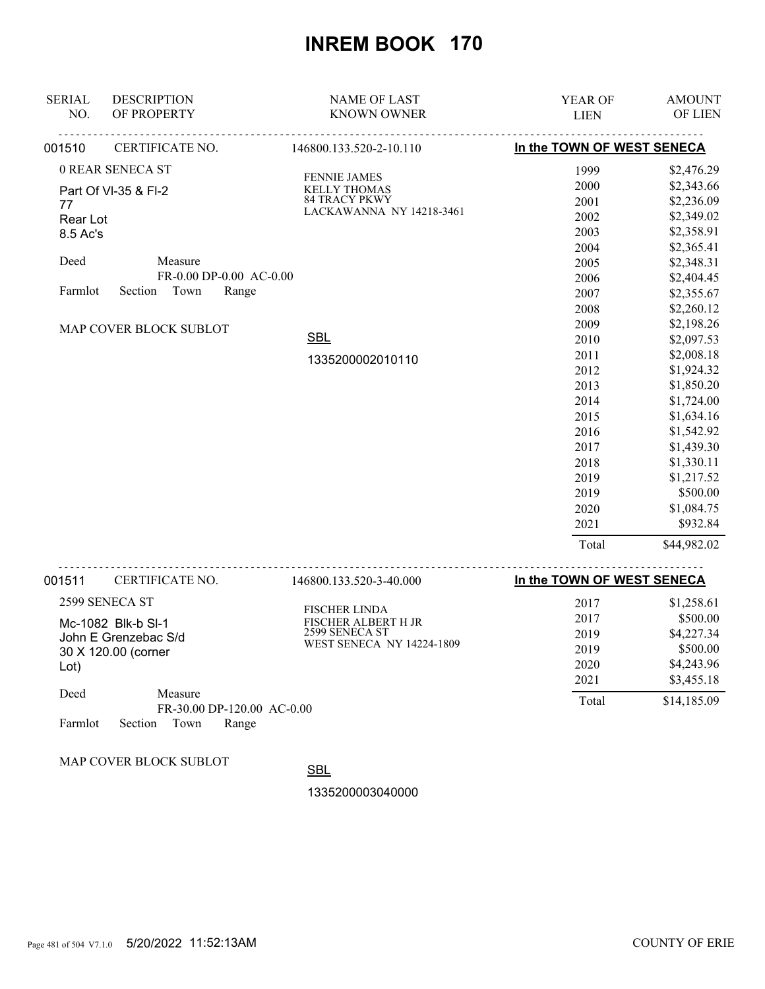| <b>SERIAL</b> | <b>DESCRIPTION</b>                         | <b>NAME OF LAST</b>                   | YEAR OF                    | <b>AMOUNT</b> |
|---------------|--------------------------------------------|---------------------------------------|----------------------------|---------------|
| NO.           | OF PROPERTY                                | <b>KNOWN OWNER</b>                    | <b>LIEN</b>                | OF LIEN       |
| 001510        | CERTIFICATE NO.                            | 146800.133.520-2-10.110               | In the TOWN OF WEST SENECA |               |
|               | 0 REAR SENECA ST                           | <b>FENNIE JAMES</b>                   | 1999                       | \$2,476.29    |
|               | Part Of VI-35 & FI-2                       | <b>KELLY THOMAS</b>                   | 2000                       | \$2,343.66    |
| 77            |                                            | <b>84 TRACY PKWY</b>                  | 2001                       | \$2,236.09    |
| Rear Lot      |                                            | LACKAWANNA NY 14218-3461              | 2002                       | \$2,349.02    |
| 8.5 Ac's      |                                            |                                       | 2003                       | \$2,358.91    |
|               |                                            |                                       | 2004                       | \$2,365.41    |
| Deed          | Measure                                    |                                       | 2005                       | \$2,348.31    |
|               | FR-0.00 DP-0.00 AC-0.00                    |                                       | 2006                       | \$2,404.45    |
| Farmlot       | Section<br>Town<br>Range                   |                                       | 2007                       | \$2,355.67    |
|               |                                            |                                       | 2008                       | \$2,260.12    |
|               | MAP COVER BLOCK SUBLOT                     |                                       | 2009                       | \$2,198.26    |
|               |                                            | <b>SBL</b>                            | 2010                       | \$2,097.53    |
|               |                                            | 1335200002010110                      | 2011                       | \$2,008.18    |
|               |                                            |                                       | 2012                       | \$1,924.32    |
|               |                                            |                                       | 2013                       | \$1,850.20    |
|               |                                            |                                       | 2014                       | \$1,724.00    |
|               |                                            |                                       | 2015                       | \$1,634.16    |
|               |                                            |                                       | 2016                       | \$1,542.92    |
|               |                                            |                                       | 2017                       | \$1,439.30    |
|               |                                            |                                       | 2018                       | \$1,330.11    |
|               |                                            |                                       | 2019                       | \$1,217.52    |
|               |                                            |                                       | 2019                       | \$500.00      |
|               |                                            |                                       | 2020                       | \$1,084.75    |
|               |                                            |                                       | 2021                       | \$932.84      |
|               |                                            |                                       | Total                      | \$44,982.02   |
| 001511        | CERTIFICATE NO.                            | 146800.133.520-3-40.000               | In the TOWN OF WEST SENECA |               |
|               | 2599 SENECA ST                             |                                       | 2017                       | \$1,258.61    |
|               |                                            | <b>FISCHER LINDA</b>                  | 2017                       | \$500.00      |
|               | Mc-1082 Blk-b SI-1<br>John E Grenzebac S/d | FISCHER ALBERT H JR<br>2599 SENECA ST | 2019                       | \$4,227.34    |
|               | 30 X 120.00 (corner                        | <b>WEST SENECA NY 14224-1809</b>      | 2019                       | \$500.00      |
| Lot)          |                                            |                                       | 2020                       | \$4,243.96    |
|               |                                            |                                       | 2021                       | \$3,455.18    |
| Deed          | Measure<br>FR-30.00 DP-120.00 AC-0.00      |                                       | Total                      | \$14,185.09   |
| Farmlot       | Town<br>Section<br>Range                   |                                       |                            |               |

MAP COVER BLOCK SUBLOT

**SBL**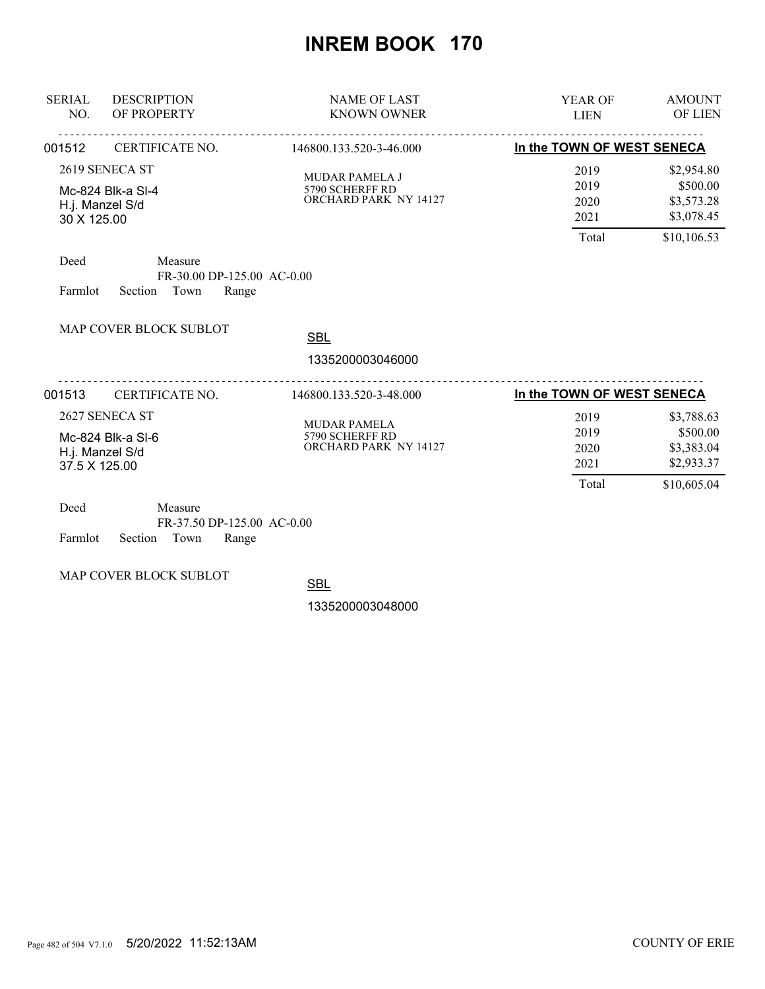| <b>SERIAL</b><br>NO. | <b>DESCRIPTION</b><br>OF PROPERTY                                 | <b>NAME OF LAST</b><br><b>KNOWN OWNER</b>                         | <b>YEAR OF</b><br><b>LIEN</b>         | <b>AMOUNT</b><br><b>OF LIEN</b>                                   |
|----------------------|-------------------------------------------------------------------|-------------------------------------------------------------------|---------------------------------------|-------------------------------------------------------------------|
| 001512               | CERTIFICATE NO.                                                   | 146800.133.520-3-46.000                                           | In the TOWN OF WEST SENECA            |                                                                   |
| 30 X 125.00          | 2619 SENECA ST<br>Mc-824 Blk-a SI-4<br>H.j. Manzel S/d            | <b>MUDAR PAMELA J</b><br>5790 SCHERFF RD<br>ORCHARD PARK NY 14127 | 2019<br>2019<br>2020<br>2021          | \$2,954.80<br>\$500.00<br>\$3,573.28<br>\$3,078.45                |
| Deed<br>Farmlot      | Measure<br>FR-30.00 DP-125.00 AC-0.00<br>Town<br>Section<br>Range |                                                                   | Total                                 | \$10,106.53                                                       |
|                      | MAP COVER BLOCK SUBLOT                                            | <b>SBL</b><br>1335200003046000                                    |                                       |                                                                   |
| 001513               | CERTIFICATE NO.                                                   | 146800.133.520-3-48.000                                           | In the TOWN OF WEST SENECA            |                                                                   |
| 37.5 X 125.00        | 2627 SENECA ST<br>Mc-824 Blk-a SI-6<br>H.j. Manzel S/d            | <b>MUDAR PAMELA</b><br>5790 SCHERFF RD<br>ORCHARD PARK NY 14127   | 2019<br>2019<br>2020<br>2021<br>Total | \$3,788.63<br>\$500.00<br>\$3,383.04<br>\$2,933.37<br>\$10,605.04 |
| Deed                 | Measure<br>FR-37.50 DP-125.00 AC-0.00                             |                                                                   |                                       |                                                                   |

Farmlot Section Town Range

MAP COVER BLOCK SUBLOT

**SBL**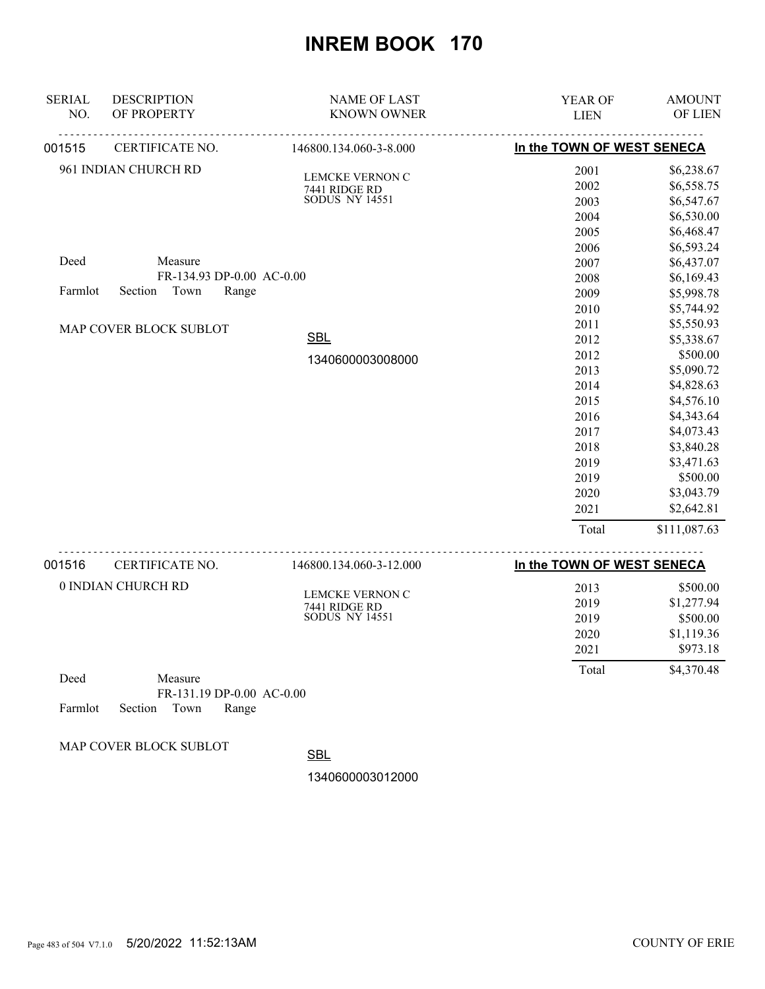| <b>SERIAL</b> | <b>DESCRIPTION</b>        | <b>NAME OF LAST</b>                    | YEAR OF                    | <b>AMOUNT</b> |
|---------------|---------------------------|----------------------------------------|----------------------------|---------------|
| NO.           | OF PROPERTY               | <b>KNOWN OWNER</b>                     | <b>LIEN</b>                | OF LIEN       |
| 001515        | CERTIFICATE NO.           | 146800.134.060-3-8.000                 | In the TOWN OF WEST SENECA |               |
|               | 961 INDIAN CHURCH RD      | <b>LEMCKE VERNON C</b>                 | 2001                       | \$6,238.67    |
|               |                           | 7441 RIDGE RD<br>SODUS NY 14551        | 2002                       | \$6,558.75    |
|               |                           |                                        | 2003                       | \$6,547.67    |
|               |                           |                                        | 2004                       | \$6,530.00    |
|               |                           |                                        | 2005                       | \$6,468.47    |
|               |                           |                                        | 2006                       | \$6,593.24    |
| Deed          | Measure                   |                                        | 2007                       | \$6,437.07    |
|               | FR-134.93 DP-0.00 AC-0.00 |                                        | 2008                       | \$6,169.43    |
| Farmlot       | Town<br>Section<br>Range  |                                        | 2009                       | \$5,998.78    |
|               |                           |                                        | 2010                       | \$5,744.92    |
|               | MAP COVER BLOCK SUBLOT    |                                        | 2011                       | \$5,550.93    |
|               |                           | <b>SBL</b>                             | 2012                       | \$5,338.67    |
|               |                           | 1340600003008000                       | 2012                       | \$500.00      |
|               |                           |                                        | 2013                       | \$5,090.72    |
|               |                           |                                        | 2014                       | \$4,828.63    |
|               |                           |                                        | 2015                       | \$4,576.10    |
|               |                           |                                        | 2016                       | \$4,343.64    |
|               |                           |                                        | 2017                       | \$4,073.43    |
|               |                           |                                        | 2018                       | \$3,840.28    |
|               |                           |                                        | 2019                       | \$3,471.63    |
|               |                           |                                        | 2019                       | \$500.00      |
|               |                           |                                        | 2020                       | \$3,043.79    |
|               |                           |                                        | 2021                       | \$2,642.81    |
|               |                           |                                        | Total                      | \$111,087.63  |
| 001516        | .<br>CERTIFICATE NO.      | 146800.134.060-3-12.000                | In the TOWN OF WEST SENECA |               |
|               | 0 INDIAN CHURCH RD        |                                        | 2013                       | \$500.00      |
|               |                           | LEMCKE VERNON C                        | 2019                       | \$1,277.94    |
|               |                           | 7441 RIDGE RD<br><b>SODUS NY 14551</b> | 2019                       | \$500.00      |
|               |                           |                                        | 2020                       | \$1,119.36    |
|               |                           |                                        | 2021                       | \$973.18      |
| Deed          | Measure                   |                                        | Total                      | \$4,370.48    |
|               | FR-131.19 DP-0.00 AC-0.00 |                                        |                            |               |
|               |                           |                                        |                            |               |

Farmlot Section Town Range

MAP COVER BLOCK SUBLOT

**SBL**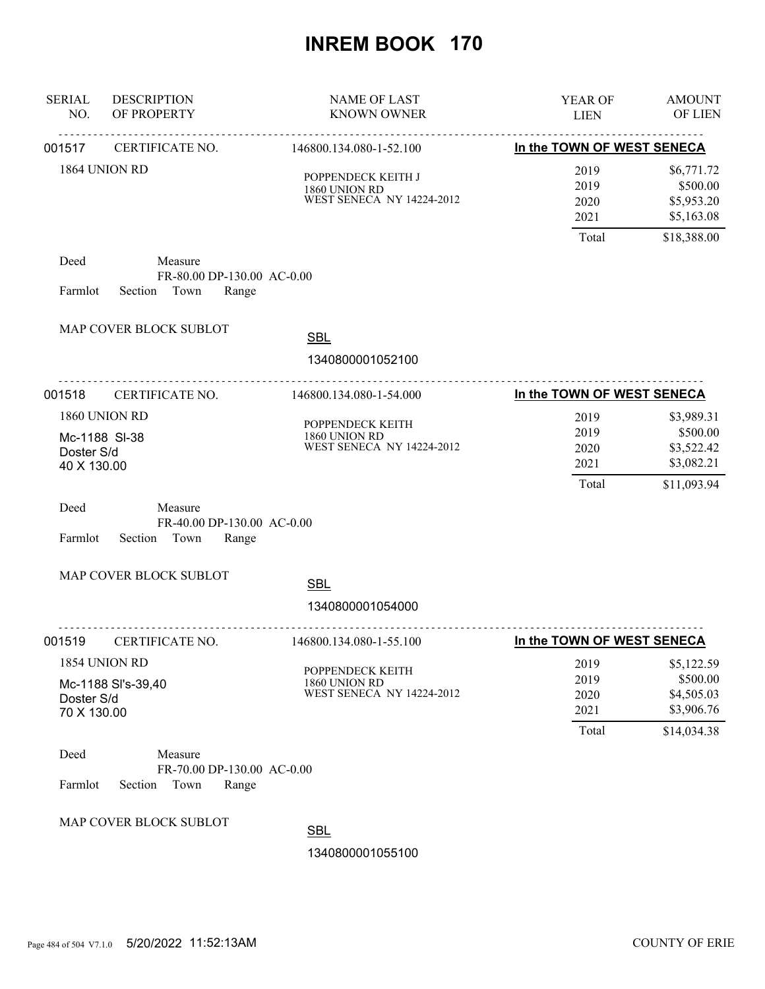| <b>SERIAL</b><br>NO.      | <b>DESCRIPTION</b><br>OF PROPERTY                                 | <b>NAME OF LAST</b><br><b>KNOWN OWNER</b>                             | YEAR OF<br><b>LIEN</b>                | <b>AMOUNT</b><br>OF LIEN                                          |
|---------------------------|-------------------------------------------------------------------|-----------------------------------------------------------------------|---------------------------------------|-------------------------------------------------------------------|
| 001517                    | <u>.</u><br>CERTIFICATE NO.                                       | .<br>146800.134.080-1-52.100                                          | In the TOWN OF WEST SENECA            |                                                                   |
|                           | 1864 UNION RD                                                     | POPPENDECK KEITH J<br>1860 UNION RD<br>WEST SENECA NY 14224-2012      | 2019<br>2019<br>2020<br>2021          | \$6,771.72<br>\$500.00<br>\$5,953.20<br>\$5,163.08                |
|                           |                                                                   |                                                                       | Total                                 | \$18,388.00                                                       |
| Deed<br>Farmlot           | Measure<br>FR-80.00 DP-130.00 AC-0.00<br>Town<br>Section<br>Range |                                                                       |                                       |                                                                   |
|                           | MAP COVER BLOCK SUBLOT                                            | <b>SBL</b>                                                            |                                       |                                                                   |
|                           |                                                                   | 1340800001052100                                                      |                                       |                                                                   |
| 001518                    | CERTIFICATE NO.                                                   | 146800.134.080-1-54.000                                               | In the TOWN OF WEST SENECA            |                                                                   |
| Doster S/d<br>40 X 130.00 | 1860 UNION RD<br>Mc-1188 SI-38                                    | POPPENDECK KEITH<br>1860 UNION RD<br><b>WEST SENECA NY 14224-2012</b> | 2019<br>2019<br>2020<br>2021<br>Total | \$3,989.31<br>\$500.00<br>\$3,522.42<br>\$3,082.21<br>\$11,093.94 |
| Deed<br>Farmlot           | Measure<br>FR-40.00 DP-130.00 AC-0.00<br>Section<br>Town<br>Range |                                                                       |                                       |                                                                   |
|                           | MAP COVER BLOCK SUBLOT                                            | <b>SBL</b>                                                            |                                       |                                                                   |
|                           |                                                                   | 1340800001054000                                                      |                                       |                                                                   |
| 001519                    | CERTIFICATE NO.                                                   | 146800.134.080-1-55.100                                               | In the TOWN OF WEST SENECA            |                                                                   |
|                           | 1854 UNION RD                                                     | POPPENDECK KEITH                                                      | 2019                                  | \$5,122.59                                                        |
| Doster S/d<br>70 X 130.00 | Mc-1188 SI's-39,40                                                | 1860 UNION RD<br>WEST SENECA NY 14224-2012                            | 2019<br>2020<br>2021                  | \$500.00<br>\$4,505.03<br>\$3,906.76                              |
| Deed<br>Farmlot           | Measure<br>FR-70.00 DP-130.00 AC-0.00<br>Section<br>Town<br>Range |                                                                       | Total                                 | \$14,034.38                                                       |
|                           | MAP COVER BLOCK SUBLOT                                            | <b>SBL</b><br>1340800001055100                                        |                                       |                                                                   |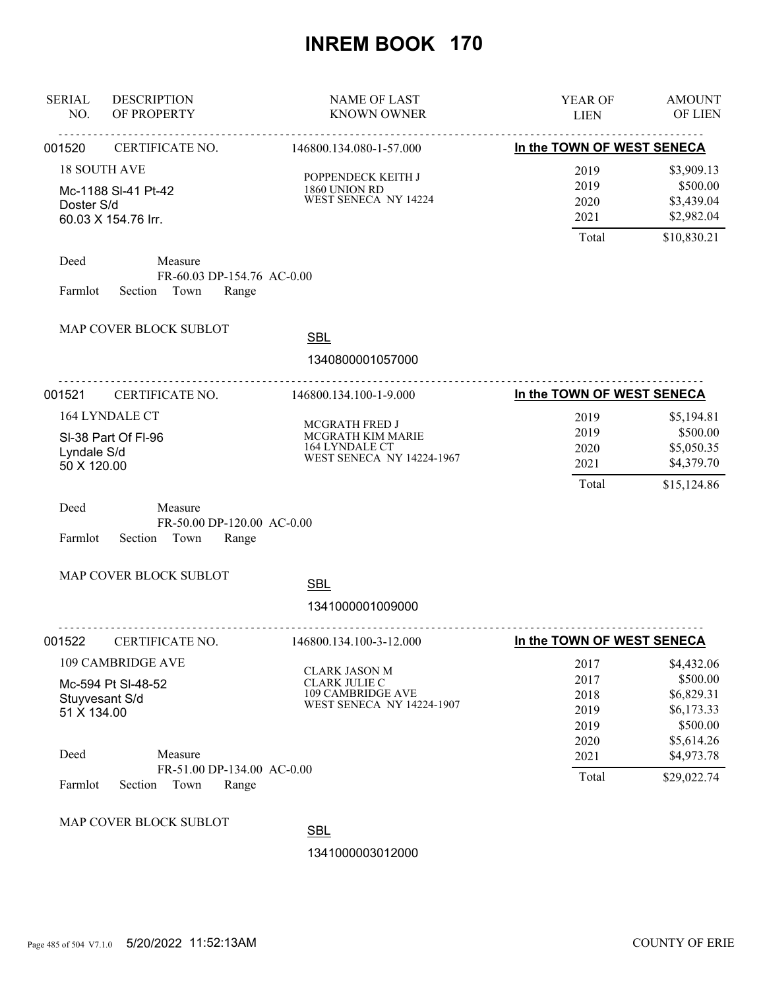| <b>SERIAL</b><br>NO.              | <b>DESCRIPTION</b><br>OF PROPERTY              | <b>NAME OF LAST</b><br><b>KNOWN OWNER</b>                                                      | YEAR OF<br><b>LIEN</b>                       | <b>AMOUNT</b><br>OF LIEN                                                     |
|-----------------------------------|------------------------------------------------|------------------------------------------------------------------------------------------------|----------------------------------------------|------------------------------------------------------------------------------|
| 001520                            | CERTIFICATE NO.                                | <u>.</u><br>146800.134.080-1-57.000                                                            | In the TOWN OF WEST SENECA                   |                                                                              |
| <b>18 SOUTH AVE</b><br>Doster S/d | Mc-1188 SI-41 Pt-42<br>60.03 X 154.76 Irr.     | POPPENDECK KEITH J<br>1860 UNION RD<br>WEST SENECA NY 14224                                    | 2019<br>2019<br>2020<br>2021                 | \$3,909.13<br>\$500.00<br>\$3,439.04<br>\$2,982.04                           |
| Deed<br>Farmlot                   | Measure<br>Section Town                        | FR-60.03 DP-154.76 AC-0.00<br>Range                                                            | Total                                        | \$10,830.21                                                                  |
|                                   | MAP COVER BLOCK SUBLOT                         | <b>SBL</b><br>1340800001057000                                                                 |                                              |                                                                              |
| 001521                            | CERTIFICATE NO.                                | .<br>146800.134.100-1-9.000                                                                    | In the TOWN OF WEST SENECA                   |                                                                              |
| Lyndale S/d<br>50 X 120.00        | 164 LYNDALE CT<br>SI-38 Part Of FI-96          | MCGRATH FRED J<br>MCGRATH KIM MARIE<br>164 LYNDALE CT<br>WEST SENECA NY 14224-1967             | 2019<br>2019<br>2020<br>2021<br>Total        | \$5,194.81<br>\$500.00<br>\$5,050.35<br>\$4,379.70<br>\$15,124.86            |
| Deed<br>Farmlot                   | Measure<br>Section<br>Town                     | FR-50.00 DP-120.00 AC-0.00<br>Range                                                            |                                              |                                                                              |
|                                   | MAP COVER BLOCK SUBLOT                         | <b>SBL</b><br>1341000001009000                                                                 |                                              |                                                                              |
| 001522                            | CERTIFICATE NO.                                | .<br>146800.134.100-3-12.000                                                                   | In the TOWN OF WEST SENECA                   |                                                                              |
| Stuyvesant S/d<br>51 X 134.00     | <b>109 CAMBRIDGE AVE</b><br>Mc-594 Pt SI-48-52 | <b>CLARK JASON M</b><br><b>CLARK JULIE C</b><br>109 CAMBRIDGE AVE<br>WEST SENECA NY 14224-1907 | 2017<br>2017<br>2018<br>2019<br>2019<br>2020 | \$4,432.06<br>\$500.00<br>\$6,829.31<br>\$6,173.33<br>\$500.00<br>\$5,614.26 |
| Deed                              | Measure                                        | FR-51.00 DP-134.00 AC-0.00                                                                     | 2021                                         | \$4,973.78                                                                   |
| Farmlot                           | Section<br>Town                                | Range                                                                                          | Total                                        | \$29,022.74                                                                  |
|                                   | MAP COVER BLOCK SUBLOT                         | <b>SBL</b><br>1341000003012000                                                                 |                                              |                                                                              |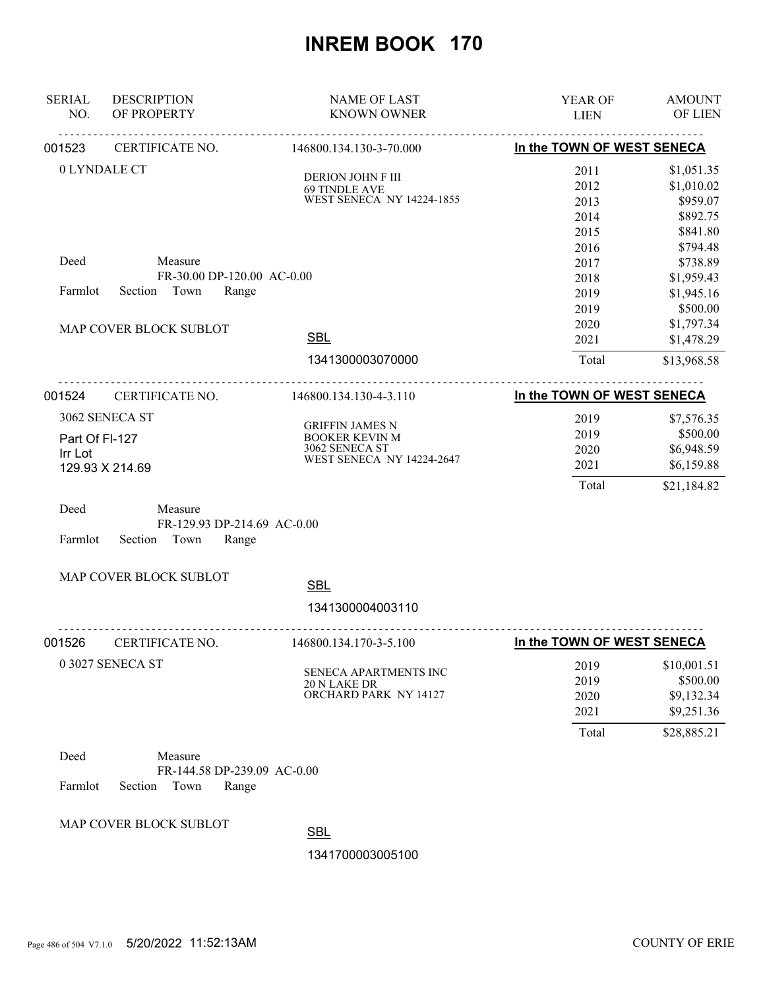| <b>SERIAL</b><br>NO. | <b>DESCRIPTION</b><br>OF PROPERTY                       | <b>NAME OF LAST</b><br><b>KNOWN OWNER</b> | YEAR OF<br><b>LIEN</b>     | <b>AMOUNT</b><br>OF LIEN |
|----------------------|---------------------------------------------------------|-------------------------------------------|----------------------------|--------------------------|
| 001523               | CERTIFICATE NO.                                         | 146800.134.130-3-70.000                   | In the TOWN OF WEST SENECA |                          |
|                      | 0 LYNDALE CT                                            | DERION JOHN F III<br><b>69 TINDLE AVE</b> | 2011<br>2012               | \$1,051.35<br>\$1,010.02 |
|                      |                                                         | WEST SENECA NY 14224-1855                 | 2013                       | \$959.07                 |
|                      |                                                         |                                           | 2014                       | \$892.75                 |
|                      |                                                         |                                           | 2015                       | \$841.80                 |
|                      |                                                         |                                           | 2016                       | \$794.48                 |
| Deed                 | Measure                                                 |                                           | 2017                       | \$738.89                 |
|                      | FR-30.00 DP-120.00 AC-0.00                              |                                           | 2018                       | \$1,959.43               |
| Farmlot              | Town<br>Section<br>Range                                |                                           | 2019                       | \$1,945.16               |
|                      |                                                         |                                           | 2019                       | \$500.00                 |
|                      | MAP COVER BLOCK SUBLOT                                  |                                           | 2020                       | \$1,797.34               |
|                      |                                                         | <b>SBL</b>                                | 2021                       | \$1,478.29               |
|                      |                                                         | 1341300003070000                          | Total                      | \$13,968.58              |
|                      |                                                         |                                           |                            |                          |
| 001524               | CERTIFICATE NO.                                         | 146800.134.130-4-3.110                    | In the TOWN OF WEST SENECA |                          |
|                      | 3062 SENECA ST                                          | <b>GRIFFIN JAMES N</b>                    | 2019                       | \$7,576.35               |
| Part Of FI-127       |                                                         | <b>BOOKER KEVIN M</b>                     | 2019                       | \$500.00                 |
| Irr Lot              |                                                         | 3062 SENECA ST                            | 2020                       | \$6,948.59               |
|                      | 129.93 X 214.69                                         | <b>WEST SENECA NY 14224-2647</b>          | 2021                       | \$6,159.88               |
|                      |                                                         |                                           | Total                      | \$21,184.82              |
| Deed                 | Measure                                                 |                                           |                            |                          |
| Farmlot              | FR-129.93 DP-214.69 AC-0.00<br>Section<br>Town<br>Range |                                           |                            |                          |
|                      | MAP COVER BLOCK SUBLOT                                  | <b>SBL</b>                                |                            |                          |
|                      |                                                         |                                           |                            |                          |
|                      | <u>.</u>                                                | 1341300004003110                          |                            |                          |
| 001526               | CERTIFICATE NO.                                         | 146800.134.170-3-5.100                    | In the TOWN OF WEST SENECA |                          |
|                      | 0 3027 SENECA ST                                        |                                           | 2019                       | \$10,001.51              |
|                      |                                                         | SENECA APARTMENTS INC<br>20 N LAKE DR     | 2019                       | \$500.00                 |
|                      |                                                         | ORCHARD PARK NY 14127                     | 2020                       | \$9,132.34               |
|                      |                                                         |                                           | 2021                       | \$9,251.36               |
|                      |                                                         |                                           | Total                      | \$28,885.21              |
| Deed                 | Measure                                                 |                                           |                            |                          |
|                      | FR-144.58 DP-239.09 AC-0.00                             |                                           |                            |                          |
| Farmlot              | Section<br>Town<br>Range                                |                                           |                            |                          |
|                      |                                                         |                                           |                            |                          |
|                      | MAP COVER BLOCK SUBLOT                                  |                                           |                            |                          |
|                      |                                                         | <b>SBL</b>                                |                            |                          |
|                      |                                                         | 1341700003005100                          |                            |                          |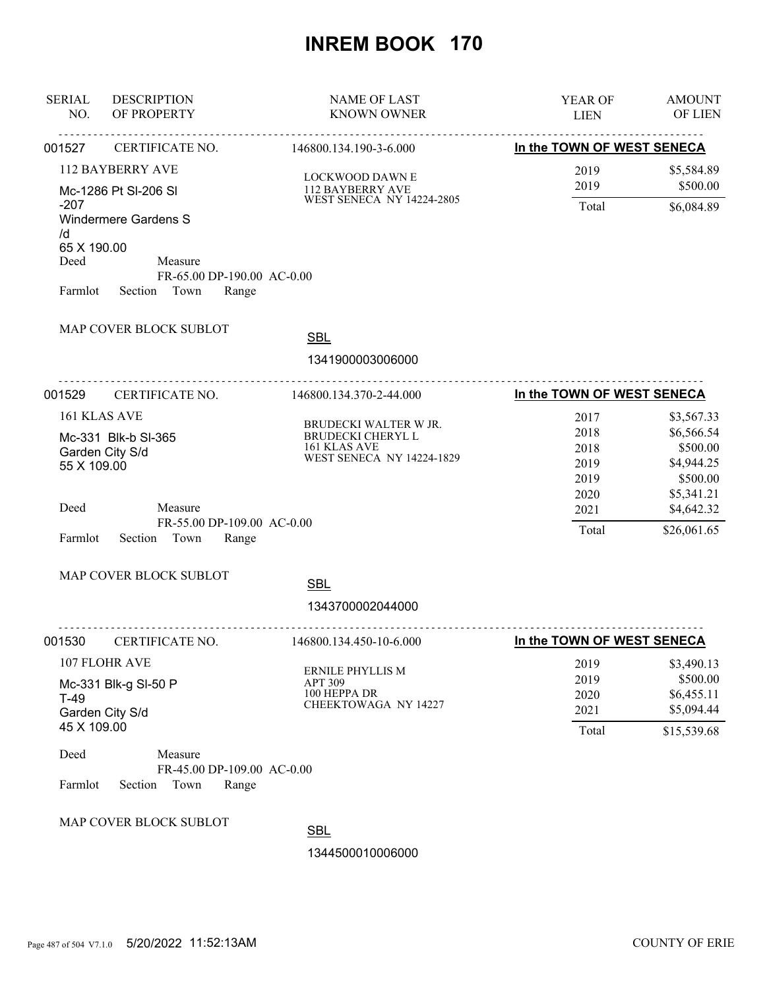| <b>SERIAL</b><br>NO. | <b>DESCRIPTION</b><br>OF PROPERTY | <b>NAME OF LAST</b><br><b>KNOWN OWNER</b> | <b>AMOUNT</b><br>YEAR OF<br>OF LIEN<br><b>LIEN</b> |
|----------------------|-----------------------------------|-------------------------------------------|----------------------------------------------------|
| 001527               | CERTIFICATE NO.                   | 146800.134.190-3-6.000                    | In the TOWN OF WEST SENECA                         |
|                      | <b>112 BAYBERRY AVE</b>           | <b>LOCKWOOD DAWN E</b>                    | \$5,584.89<br>2019                                 |
|                      | Mc-1286 Pt SI-206 SI              | 112 BAYBERRY AVE                          | \$500.00<br>2019                                   |
| $-207$               |                                   | <b>WEST SENECA NY 14224-2805</b>          | Total<br>\$6,084.89                                |
| /d                   | <b>Windermere Gardens S</b>       |                                           |                                                    |
| 65 X 190.00          |                                   |                                           |                                                    |
| Deed                 | Measure                           |                                           |                                                    |
| Farmlot              | Section<br>Town                   | FR-65.00 DP-190.00 AC-0.00<br>Range       |                                                    |
|                      |                                   |                                           |                                                    |
|                      | MAP COVER BLOCK SUBLOT            | <b>SBL</b>                                |                                                    |
|                      |                                   | 1341900003006000                          |                                                    |
|                      |                                   | <u>.</u>                                  |                                                    |
| 001529               | CERTIFICATE NO.                   | 146800.134.370-2-44.000                   | In the TOWN OF WEST SENECA                         |
| 161 KLAS AVE         |                                   | BRUDECKI WALTER W JR.                     | 2017<br>\$3,567.33                                 |
|                      | Mc-331 Blk-b SI-365               | BRUDECKI CHERYL L                         | \$6,566.54<br>2018                                 |
| Garden City S/d      |                                   | 161 KLAS AVE<br>WEST SENECA NY 14224-1829 | \$500.00<br>2018                                   |
| 55 X 109.00          |                                   |                                           | \$4,944.25<br>2019                                 |
|                      |                                   |                                           | \$500.00<br>2019                                   |
| Deed                 | Measure                           |                                           | 2020<br>\$5,341.21<br>2021<br>\$4,642.32           |
|                      |                                   | FR-55.00 DP-109.00 AC-0.00                |                                                    |
| Farmlot              | Section Town                      | Range                                     | Total<br>\$26,061.65                               |
|                      |                                   |                                           |                                                    |
|                      | MAP COVER BLOCK SUBLOT            | <b>SBL</b>                                |                                                    |
|                      |                                   | 1343700002044000                          |                                                    |
|                      |                                   |                                           |                                                    |
| 001530               | <b>CERTIFICATE NO.</b>            | 146800.134.450-10-6.000                   | In the TOWN OF WEST SENECA                         |
| 107 FLOHR AVE        |                                   |                                           | 2019<br>\$3,490.13                                 |
|                      | Mc-331 Blk-g SI-50 P              | ERNILE PHYLLIS M<br><b>APT 309</b>        | \$500.00<br>2019                                   |
| $T-49$               |                                   | 100 HEPPA DR<br>CHEEKTOWAGA NY 14227      | \$6,455.11<br>2020                                 |
| Garden City S/d      |                                   |                                           | \$5,094.44<br>2021                                 |
| 45 X 109.00          |                                   |                                           | Total<br>\$15,539.68                               |
| Deed                 | Measure                           |                                           |                                                    |
|                      |                                   | FR-45.00 DP-109.00 AC-0.00                |                                                    |
| Farmlot              | Section Town                      | Range                                     |                                                    |
|                      | MAP COVER BLOCK SUBLOT            |                                           |                                                    |
|                      |                                   | <b>SBL</b>                                |                                                    |
|                      |                                   | 1344500010006000                          |                                                    |
|                      |                                   |                                           |                                                    |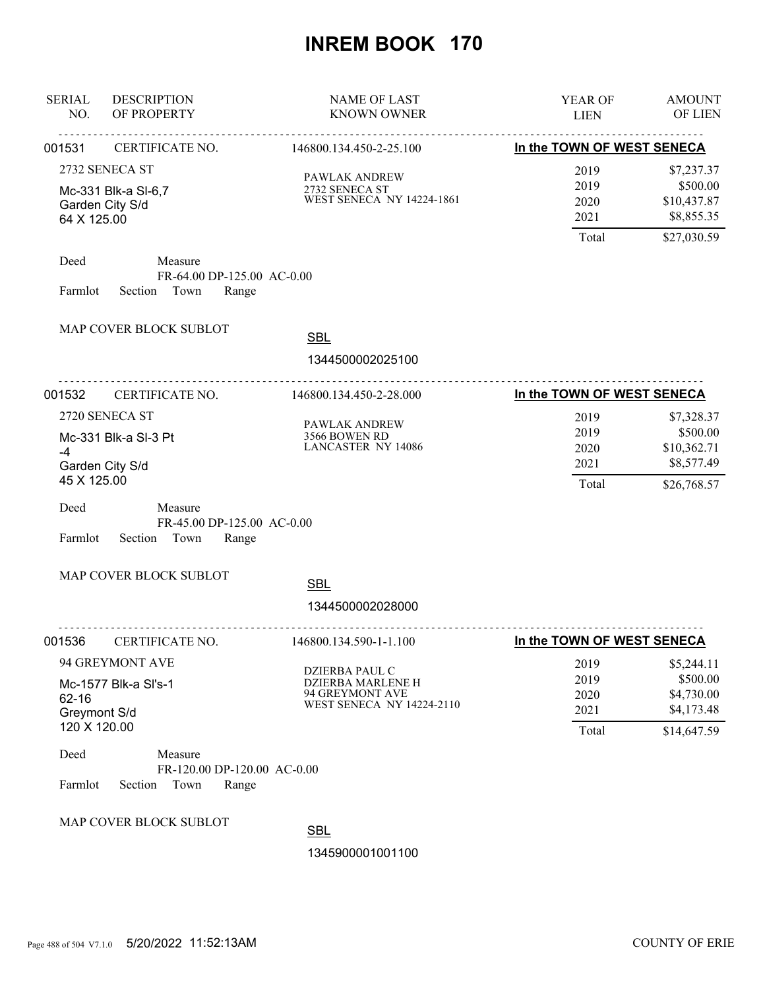| <u>.</u><br>In the TOWN OF WEST SENECA<br>001531<br>CERTIFICATE NO.<br>146800.134.450-2-25.100<br>2732 SENECA ST<br>2019<br>\$7,237.37<br>PAWLAK ANDREW<br>\$500.00<br>2019<br>2732 SENECA ST<br>Mc-331 Blk-a SI-6,7<br>WEST SENECA NY 14224-1861<br>\$10,437.87<br>2020<br>Garden City S/d<br>2021<br>\$8,855.35<br>64 X 125.00<br>Total<br>\$27,030.59<br>Deed<br>Measure<br>FR-64.00 DP-125.00 AC-0.00<br>Section Town<br>Range<br>Farmlot<br>MAP COVER BLOCK SUBLOT<br><b>SBL</b><br>1344500002025100<br>.<br>In the TOWN OF WEST SENECA<br>001532<br>CERTIFICATE NO.<br>146800.134.450-2-28.000<br>2720 SENECA ST<br>2019<br>\$7,328.37<br>PAWLAK ANDREW<br>\$500.00<br>2019<br>3566 BOWEN RD<br>Mc-331 Blk-a SI-3 Pt<br><b>LANCASTER NY 14086</b><br>\$10,362.71<br>2020<br>$-4$<br>2021<br>\$8,577.49<br>Garden City S/d<br>45 X 125.00<br>Total<br>\$26,768.57<br>Deed<br>Measure<br>FR-45.00 DP-125.00 AC-0.00<br>Section Town<br>Farmlot<br>Range<br>MAP COVER BLOCK SUBLOT<br><b>SBL</b><br>1344500002028000<br><u>.</u><br>In the TOWN OF WEST SENECA<br>001536<br>CERTIFICATE NO.<br>146800.134.590-1-1.100<br>94 GREYMONT AVE<br>2019<br>\$5,244.11<br>DZIERBA PAUL C<br>\$500.00<br>2019<br><b>DZIERBA MARLENE H</b><br>Mc-1577 Blk-a SI's-1<br>94 GREYMONT AVE<br>\$4,730.00<br>2020<br>62-16<br>WEST SENECA NY 14224-2110<br>2021<br>\$4,173.48<br>Greymont S/d<br>120 X 120.00<br>Total<br>\$14,647.59<br>Deed<br>Measure<br>FR-120.00 DP-120.00 AC-0.00<br>Farmlot<br>Section<br>Town<br>Range<br>MAP COVER BLOCK SUBLOT<br><b>SBL</b><br>1345900001001100 | <b>SERIAL</b><br>NO. | <b>DESCRIPTION</b><br>OF PROPERTY | <b>NAME OF LAST</b><br><b>KNOWN OWNER</b> | YEAR OF<br><b>LIEN</b> | <b>AMOUNT</b><br>OF LIEN |
|-------------------------------------------------------------------------------------------------------------------------------------------------------------------------------------------------------------------------------------------------------------------------------------------------------------------------------------------------------------------------------------------------------------------------------------------------------------------------------------------------------------------------------------------------------------------------------------------------------------------------------------------------------------------------------------------------------------------------------------------------------------------------------------------------------------------------------------------------------------------------------------------------------------------------------------------------------------------------------------------------------------------------------------------------------------------------------------------------------------------------------------------------------------------------------------------------------------------------------------------------------------------------------------------------------------------------------------------------------------------------------------------------------------------------------------------------------------------------------------------------------------------------------------------------------------------------------|----------------------|-----------------------------------|-------------------------------------------|------------------------|--------------------------|
|                                                                                                                                                                                                                                                                                                                                                                                                                                                                                                                                                                                                                                                                                                                                                                                                                                                                                                                                                                                                                                                                                                                                                                                                                                                                                                                                                                                                                                                                                                                                                                               |                      |                                   |                                           |                        |                          |
|                                                                                                                                                                                                                                                                                                                                                                                                                                                                                                                                                                                                                                                                                                                                                                                                                                                                                                                                                                                                                                                                                                                                                                                                                                                                                                                                                                                                                                                                                                                                                                               |                      |                                   |                                           |                        |                          |
|                                                                                                                                                                                                                                                                                                                                                                                                                                                                                                                                                                                                                                                                                                                                                                                                                                                                                                                                                                                                                                                                                                                                                                                                                                                                                                                                                                                                                                                                                                                                                                               |                      |                                   |                                           |                        |                          |
|                                                                                                                                                                                                                                                                                                                                                                                                                                                                                                                                                                                                                                                                                                                                                                                                                                                                                                                                                                                                                                                                                                                                                                                                                                                                                                                                                                                                                                                                                                                                                                               |                      |                                   |                                           |                        |                          |
|                                                                                                                                                                                                                                                                                                                                                                                                                                                                                                                                                                                                                                                                                                                                                                                                                                                                                                                                                                                                                                                                                                                                                                                                                                                                                                                                                                                                                                                                                                                                                                               |                      |                                   |                                           |                        |                          |
|                                                                                                                                                                                                                                                                                                                                                                                                                                                                                                                                                                                                                                                                                                                                                                                                                                                                                                                                                                                                                                                                                                                                                                                                                                                                                                                                                                                                                                                                                                                                                                               |                      |                                   |                                           |                        |                          |
|                                                                                                                                                                                                                                                                                                                                                                                                                                                                                                                                                                                                                                                                                                                                                                                                                                                                                                                                                                                                                                                                                                                                                                                                                                                                                                                                                                                                                                                                                                                                                                               |                      |                                   |                                           |                        |                          |
|                                                                                                                                                                                                                                                                                                                                                                                                                                                                                                                                                                                                                                                                                                                                                                                                                                                                                                                                                                                                                                                                                                                                                                                                                                                                                                                                                                                                                                                                                                                                                                               |                      |                                   |                                           |                        |                          |
|                                                                                                                                                                                                                                                                                                                                                                                                                                                                                                                                                                                                                                                                                                                                                                                                                                                                                                                                                                                                                                                                                                                                                                                                                                                                                                                                                                                                                                                                                                                                                                               |                      |                                   |                                           |                        |                          |
|                                                                                                                                                                                                                                                                                                                                                                                                                                                                                                                                                                                                                                                                                                                                                                                                                                                                                                                                                                                                                                                                                                                                                                                                                                                                                                                                                                                                                                                                                                                                                                               |                      |                                   |                                           |                        |                          |
|                                                                                                                                                                                                                                                                                                                                                                                                                                                                                                                                                                                                                                                                                                                                                                                                                                                                                                                                                                                                                                                                                                                                                                                                                                                                                                                                                                                                                                                                                                                                                                               |                      |                                   |                                           |                        |                          |
|                                                                                                                                                                                                                                                                                                                                                                                                                                                                                                                                                                                                                                                                                                                                                                                                                                                                                                                                                                                                                                                                                                                                                                                                                                                                                                                                                                                                                                                                                                                                                                               |                      |                                   |                                           |                        |                          |
|                                                                                                                                                                                                                                                                                                                                                                                                                                                                                                                                                                                                                                                                                                                                                                                                                                                                                                                                                                                                                                                                                                                                                                                                                                                                                                                                                                                                                                                                                                                                                                               |                      |                                   |                                           |                        |                          |
|                                                                                                                                                                                                                                                                                                                                                                                                                                                                                                                                                                                                                                                                                                                                                                                                                                                                                                                                                                                                                                                                                                                                                                                                                                                                                                                                                                                                                                                                                                                                                                               |                      |                                   |                                           |                        |                          |
|                                                                                                                                                                                                                                                                                                                                                                                                                                                                                                                                                                                                                                                                                                                                                                                                                                                                                                                                                                                                                                                                                                                                                                                                                                                                                                                                                                                                                                                                                                                                                                               |                      |                                   |                                           |                        |                          |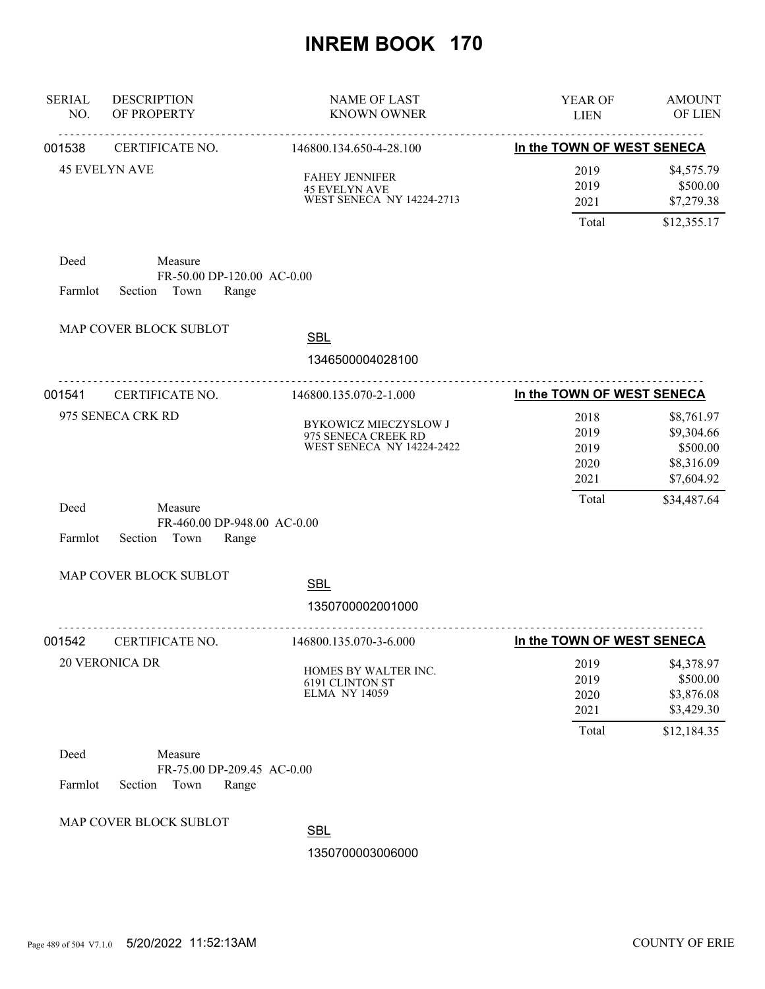| <b>SERIAL</b><br>NO. | <b>DESCRIPTION</b><br>OF PROPERTY                                 | <b>NAME OF LAST</b><br><b>KNOWN OWNER</b>                                         | YEAR OF<br><b>LIEN</b>                | <b>AMOUNT</b><br>OF LIEN                                          |
|----------------------|-------------------------------------------------------------------|-----------------------------------------------------------------------------------|---------------------------------------|-------------------------------------------------------------------|
| 001538               | .<br>CERTIFICATE NO.                                              | 146800.134.650-4-28.100                                                           | In the TOWN OF WEST SENECA            |                                                                   |
|                      | <b>45 EVELYN AVE</b>                                              | <b>FAHEY JENNIFER</b><br><b>45 EVELYN AVE</b><br><b>WEST SENECA NY 14224-2713</b> | 2019<br>2019<br>2021<br>Total         | \$4,575.79<br>\$500.00<br>\$7,279.38<br>\$12,355.17               |
| Deed<br>Farmlot      | Measure<br>FR-50.00 DP-120.00 AC-0.00<br>Town<br>Range<br>Section |                                                                                   |                                       |                                                                   |
|                      | MAP COVER BLOCK SUBLOT                                            | <b>SBL</b><br>1346500004028100                                                    |                                       |                                                                   |
|                      | .                                                                 |                                                                                   |                                       |                                                                   |
| 001541               | CERTIFICATE NO.                                                   | 146800.135.070-2-1.000                                                            | In the TOWN OF WEST SENECA            |                                                                   |
|                      | 975 SENECA CRK RD                                                 | BYKOWICZ MIECZYSLOW J<br>975 SENECA CREEK RD<br><b>WEST SENECA NY 14224-2422</b>  | 2018<br>2019<br>2019<br>2020<br>2021  | \$8,761.97<br>\$9,304.66<br>\$500.00<br>\$8,316.09<br>\$7,604.92  |
| Deed<br>Farmlot      | Measure<br>FR-460.00 DP-948.00 AC-0.00<br>Section Town<br>Range   |                                                                                   | Total                                 | \$34,487.64                                                       |
|                      | MAP COVER BLOCK SUBLOT                                            | <b>SBL</b>                                                                        |                                       |                                                                   |
|                      |                                                                   | 1350700002001000                                                                  |                                       |                                                                   |
| 001542               | CERTIFICATE NO.                                                   | 146800.135.070-3-6.000                                                            | In the TOWN OF WEST SENECA            |                                                                   |
|                      | 20 VERONICA DR                                                    | HOMES BY WALTER INC.<br><b>6191 CLINTON ST</b><br><b>ELMA NY 14059</b>            | 2019<br>2019<br>2020<br>2021<br>Total | \$4,378.97<br>\$500.00<br>\$3,876.08<br>\$3,429.30<br>\$12,184.35 |
| Deed                 | Measure                                                           |                                                                                   |                                       |                                                                   |
|                      | FR-75.00 DP-209.45 AC-0.00                                        |                                                                                   |                                       |                                                                   |
| Farmlot              | Section<br>Town<br>Range                                          |                                                                                   |                                       |                                                                   |
|                      | MAP COVER BLOCK SUBLOT                                            |                                                                                   |                                       |                                                                   |
|                      |                                                                   | <b>SBL</b>                                                                        |                                       |                                                                   |
|                      |                                                                   | 1350700003006000                                                                  |                                       |                                                                   |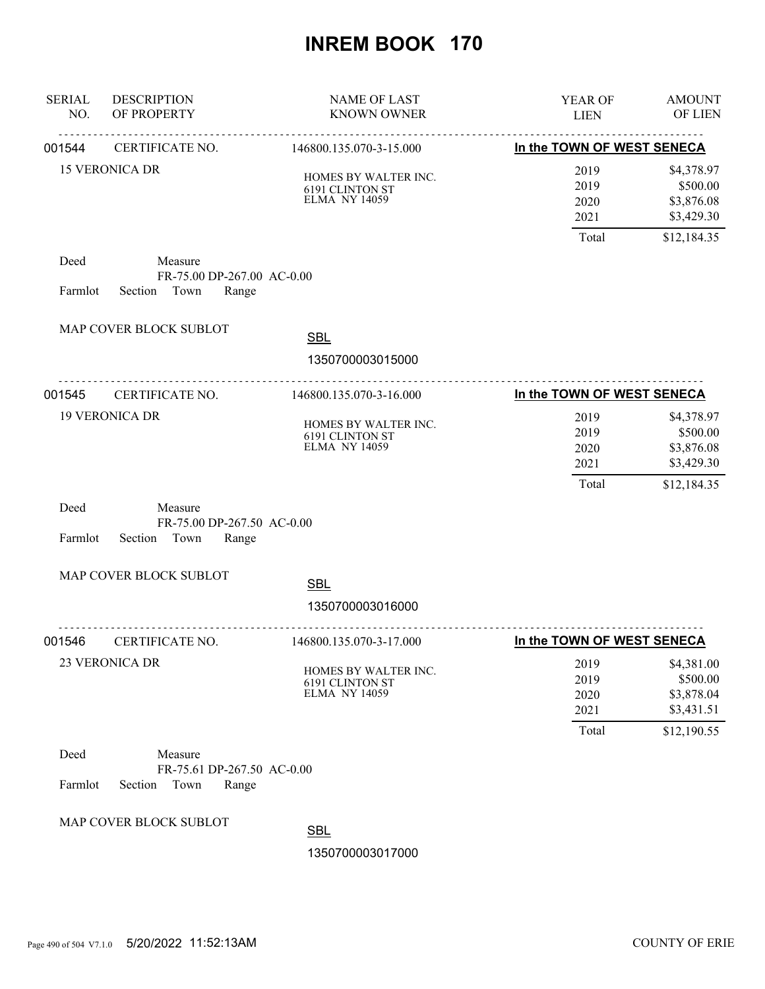| <b>SERIAL</b><br>NO. | <b>DESCRIPTION</b><br>OF PROPERTY                                 | <b>NAME OF LAST</b><br><b>KNOWN OWNER</b>                              | YEAR OF<br><b>LIEN</b>                | <b>AMOUNT</b><br>OF LIEN                                          |
|----------------------|-------------------------------------------------------------------|------------------------------------------------------------------------|---------------------------------------|-------------------------------------------------------------------|
| 001544               | <u>.</u><br>CERTIFICATE NO.                                       | .<br>146800.135.070-3-15.000                                           | In the TOWN OF WEST SENECA            |                                                                   |
|                      | <b>15 VERONICA DR</b>                                             | HOMES BY WALTER INC.<br><b>6191 CLINTON ST</b><br><b>ELMA NY 14059</b> | 2019<br>2019<br>2020<br>2021          | \$4,378.97<br>\$500.00<br>\$3,876.08<br>\$3,429.30                |
|                      |                                                                   |                                                                        | Total                                 | \$12,184.35                                                       |
| Deed<br>Farmlot      | Measure<br>FR-75.00 DP-267.00 AC-0.00<br>Section Town<br>Range    |                                                                        |                                       |                                                                   |
|                      | MAP COVER BLOCK SUBLOT                                            | <b>SBL</b><br>1350700003015000                                         |                                       |                                                                   |
| 001545               | CERTIFICATE NO.                                                   | <u>.</u><br>146800.135.070-3-16.000                                    | In the TOWN OF WEST SENECA            |                                                                   |
|                      | <b>19 VERONICA DR</b>                                             | HOMES BY WALTER INC.<br><b>6191 CLINTON ST</b><br><b>ELMA NY 14059</b> | 2019<br>2019<br>2020<br>2021<br>Total | \$4,378.97<br>\$500.00<br>\$3,876.08<br>\$3,429.30<br>\$12,184.35 |
| Deed<br>Farmlot      | Measure<br>FR-75.00 DP-267.50 AC-0.00<br>Section Town<br>Range    |                                                                        |                                       |                                                                   |
|                      | MAP COVER BLOCK SUBLOT                                            | <b>SBL</b>                                                             |                                       |                                                                   |
|                      |                                                                   | 1350700003016000                                                       |                                       |                                                                   |
| 001546               | CERTIFICATE NO.                                                   | .<br>146800.135.070-3-17.000                                           | In the TOWN OF WEST SENECA            |                                                                   |
|                      | <b>23 VERONICA DR</b>                                             | HOMES BY WALTER INC.<br>6191 CLINTON ST<br><b>ELMA NY 14059</b>        | 2019<br>2019<br>2020<br>2021<br>Total | \$4,381.00<br>\$500.00<br>\$3,878.04<br>\$3,431.51<br>\$12,190.55 |
| Deed<br>Farmlot      | Measure<br>FR-75.61 DP-267.50 AC-0.00<br>Section<br>Town<br>Range |                                                                        |                                       |                                                                   |
|                      | MAP COVER BLOCK SUBLOT                                            | <b>SBL</b>                                                             |                                       |                                                                   |
|                      |                                                                   | 1350700003017000                                                       |                                       |                                                                   |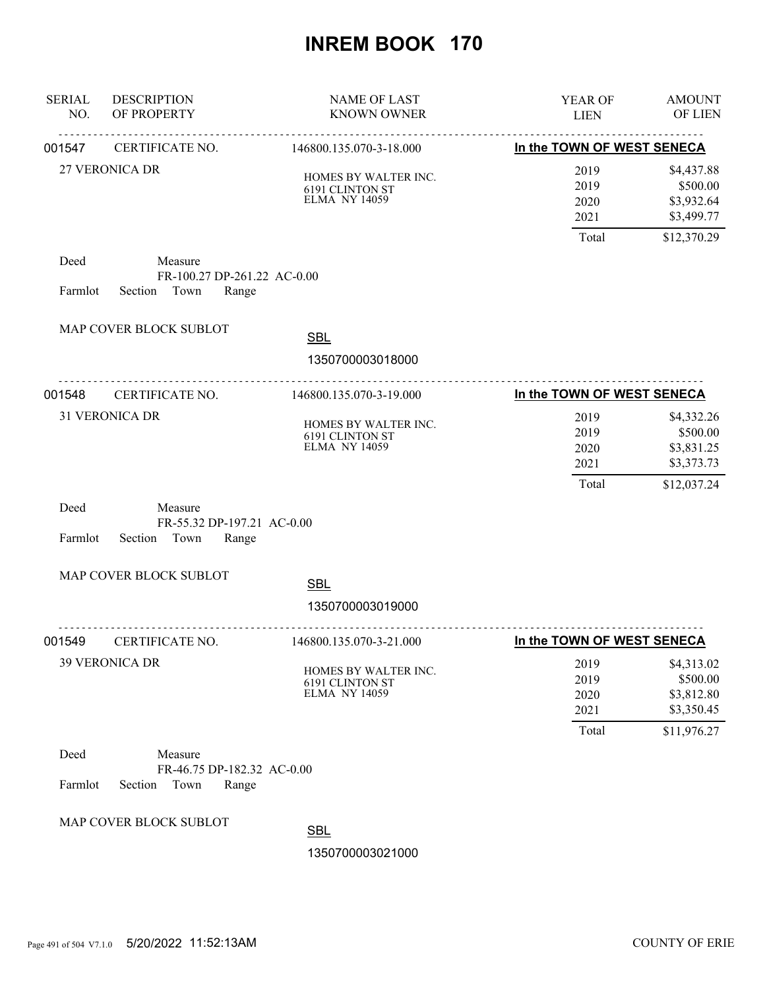| <b>SERIAL</b><br>NO. | <b>DESCRIPTION</b><br>OF PROPERTY                                 | <b>NAME OF LAST</b><br><b>KNOWN OWNER</b>                              | YEAR OF<br><b>LIEN</b>                                     | <b>AMOUNT</b><br>OF LIEN                                          |
|----------------------|-------------------------------------------------------------------|------------------------------------------------------------------------|------------------------------------------------------------|-------------------------------------------------------------------|
| 001547               | CERTIFICATE NO.                                                   | 146800.135.070-3-18.000                                                | ----------------------------<br>In the TOWN OF WEST SENECA |                                                                   |
|                      | <b>27 VERONICA DR</b>                                             | HOMES BY WALTER INC.<br><b>6191 CLINTON ST</b><br><b>ELMA NY 14059</b> | 2019<br>2019<br>2020<br>2021                               | \$4,437.88<br>\$500.00<br>\$3,932.64<br>\$3,499.77                |
| Deed                 | Measure                                                           |                                                                        | Total                                                      | \$12,370.29                                                       |
|                      | FR-100.27 DP-261.22 AC-0.00                                       |                                                                        |                                                            |                                                                   |
| Farmlot              | Section Town<br>Range                                             |                                                                        |                                                            |                                                                   |
|                      | MAP COVER BLOCK SUBLOT                                            | <b>SBL</b><br>1350700003018000                                         |                                                            |                                                                   |
| 001548               | .<br>CERTIFICATE NO.                                              | 146800.135.070-3-19.000                                                | In the TOWN OF WEST SENECA                                 |                                                                   |
|                      | <b>31 VERONICA DR</b>                                             | HOMES BY WALTER INC.<br>6191 CLINTON ST<br><b>ELMA NY 14059</b>        | 2019<br>2019<br>2020<br>2021<br>Total                      | \$4,332.26<br>\$500.00<br>\$3,831.25<br>\$3,373.73<br>\$12,037.24 |
| Deed<br>Farmlot      | Measure<br>FR-55.32 DP-197.21 AC-0.00<br>Section<br>Town<br>Range |                                                                        |                                                            |                                                                   |
|                      | MAP COVER BLOCK SUBLOT                                            |                                                                        |                                                            |                                                                   |
|                      |                                                                   | <b>SBL</b><br>1350700003019000                                         |                                                            |                                                                   |
| 001549               | CERTIFICATE NO.                                                   | 146800.135.070-3-21.000                                                | In the TOWN OF WEST SENECA                                 |                                                                   |
|                      | <b>39 VERONICA DR</b>                                             | HOMES BY WALTER INC.<br><b>6191 CLINTON ST</b><br><b>ELMA NY 14059</b> | 2019<br>2019<br>2020<br>2021<br>Total                      | \$4,313.02<br>\$500.00<br>\$3,812.80<br>\$3,350.45<br>\$11,976.27 |
| Deed<br>Farmlot      | Measure<br>FR-46.75 DP-182.32 AC-0.00<br>Section<br>Town<br>Range |                                                                        |                                                            |                                                                   |
|                      | MAP COVER BLOCK SUBLOT                                            | <b>SBL</b><br>1350700003021000                                         |                                                            |                                                                   |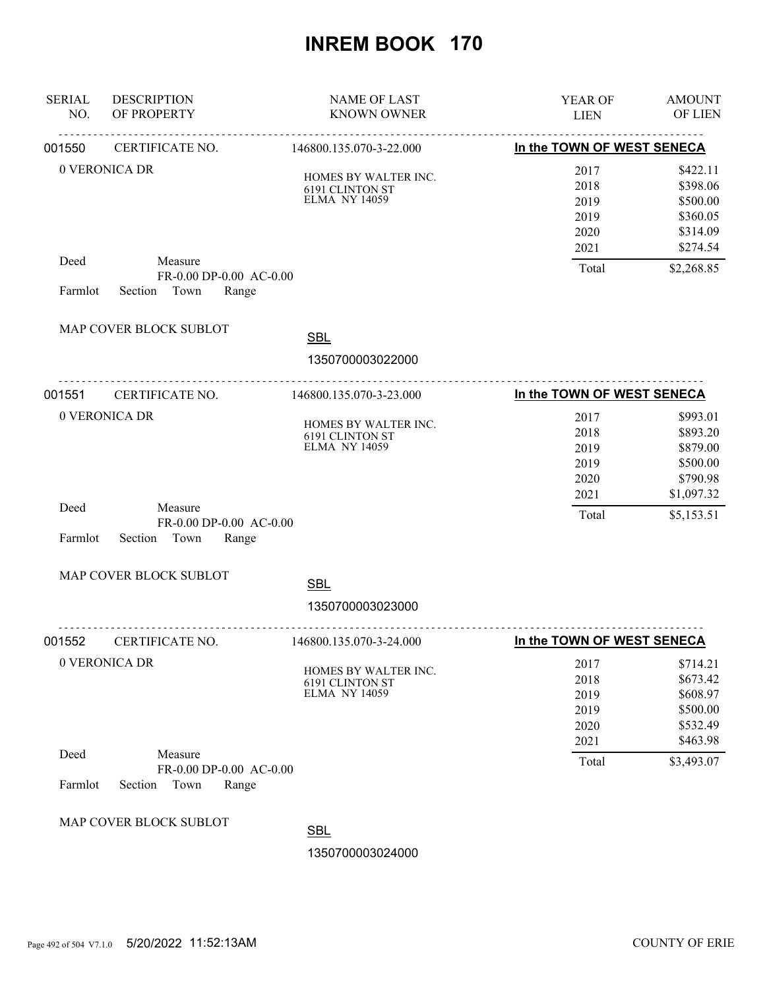| <b>SERIAL</b><br>NO. | <b>DESCRIPTION</b><br>OF PROPERTY                              | <b>NAME OF LAST</b><br><b>KNOWN OWNER</b>                              | <b>YEAR OF</b><br><b>LIEN</b>                | <b>AMOUNT</b><br><b>OF LIEN</b>                                      |
|----------------------|----------------------------------------------------------------|------------------------------------------------------------------------|----------------------------------------------|----------------------------------------------------------------------|
| 001550               | CERTIFICATE NO.                                                | 146800.135.070-3-22.000                                                | In the TOWN OF WEST SENECA                   |                                                                      |
|                      | 0 VERONICA DR                                                  | HOMES BY WALTER INC.<br><b>6191 CLINTON ST</b><br><b>ELMA NY 14059</b> | 2017<br>2018<br>2019<br>2019<br>2020<br>2021 | \$422.11<br>\$398.06<br>\$500.00<br>\$360.05<br>\$314.09<br>\$274.54 |
| Deed<br>Farmlot      | Measure<br>FR-0.00 DP-0.00 AC-0.00<br>Section<br>Town<br>Range |                                                                        | Total                                        | \$2,268.85                                                           |
|                      | MAP COVER BLOCK SUBLOT                                         | <b>SBL</b>                                                             |                                              |                                                                      |
|                      |                                                                | 1350700003022000                                                       |                                              |                                                                      |
| 001551               | CERTIFICATE NO.                                                | .<br>146800.135.070-3-23.000                                           | In the TOWN OF WEST SENECA                   |                                                                      |
|                      | 0 VERONICA DR                                                  | HOMES BY WALTER INC.<br>6191 CLINTON ST<br><b>ELMA NY 14059</b>        | 2017<br>2018<br>2019<br>2019<br>2020<br>2021 | \$993.01<br>\$893.20<br>\$879.00<br>\$500.00<br>\$790.98             |
| Deed<br>Farmlot      | Measure<br>FR-0.00 DP-0.00 AC-0.00<br>Town<br>Range<br>Section |                                                                        | Total                                        | \$1,097.32<br>\$5,153.51                                             |
|                      | MAP COVER BLOCK SUBLOT                                         | <b>SBL</b>                                                             |                                              |                                                                      |
|                      |                                                                | 1350700003023000                                                       |                                              |                                                                      |
| 001552               | CERTIFICATE NO.                                                | 146800.135.070-3-24.000                                                | In the TOWN OF WEST SENECA                   |                                                                      |
|                      | 0 VERONICA DR                                                  | HOMES BY WALTER INC.<br>6191 CLINTON ST<br><b>ELMA NY 14059</b>        | 2017<br>2018<br>2019<br>2019<br>2020<br>2021 | \$714.21<br>\$673.42<br>\$608.97<br>\$500.00<br>\$532.49<br>\$463.98 |
| Deed<br>Farmlot      | Measure<br>FR-0.00 DP-0.00 AC-0.00<br>Town<br>Section<br>Range |                                                                        | Total                                        | \$3,493.07                                                           |
|                      | MAP COVER BLOCK SUBLOT                                         | <b>SBL</b><br>1350700003024000                                         |                                              |                                                                      |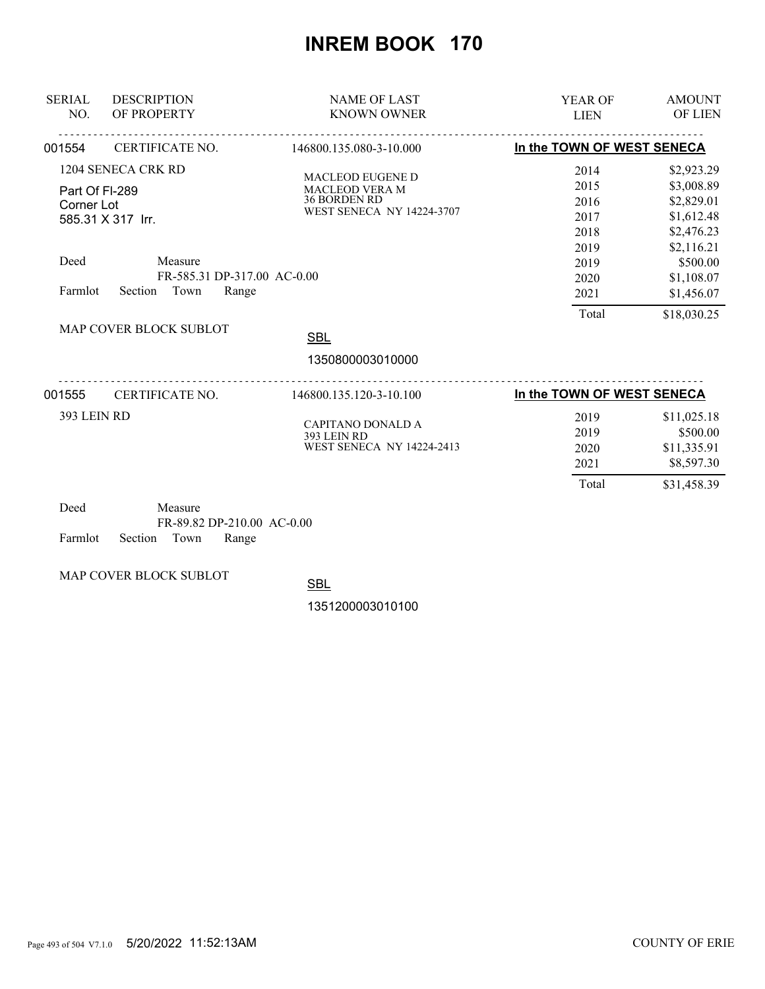| <b>SERIAL</b><br>NO.                            | <b>DESCRIPTION</b><br>OF PROPERTY                                                                             | <b>NAME OF LAST</b><br><b>KNOWN OWNER</b>                                                            | <b>YEAR OF</b><br><b>LIEN</b>                                        | <b>AMOUNT</b><br>OF LIEN                                                                                                 |
|-------------------------------------------------|---------------------------------------------------------------------------------------------------------------|------------------------------------------------------------------------------------------------------|----------------------------------------------------------------------|--------------------------------------------------------------------------------------------------------------------------|
| 001554                                          | CERTIFICATE NO.                                                                                               | 146800.135.080-3-10.000                                                                              | In the TOWN OF WEST SENECA                                           |                                                                                                                          |
| Part Of FI-289<br>Corner Lot<br>Deed<br>Farmlot | 1204 SENECA CRK RD<br>585.31 X 317 Irr.<br>Measure<br>FR-585.31 DP-317.00 AC-0.00<br>Town<br>Range<br>Section | <b>MACLEOD EUGENE D</b><br>MACLEOD VERA M<br><b>36 BORDEN RD</b><br><b>WEST SENECA NY 14224-3707</b> | 2014<br>2015<br>2016<br>2017<br>2018<br>2019<br>2019<br>2020<br>2021 | \$2,923.29<br>\$3,008.89<br>\$2,829.01<br>\$1,612.48<br>\$2,476.23<br>\$2,116.21<br>\$500.00<br>\$1,108.07<br>\$1,456.07 |
|                                                 | MAP COVER BLOCK SUBLOT                                                                                        | <b>SBL</b><br>1350800003010000                                                                       | Total                                                                | \$18,030.25                                                                                                              |
|                                                 |                                                                                                               |                                                                                                      |                                                                      |                                                                                                                          |
| 001555                                          | CERTIFICATE NO.                                                                                               | 146800.135.120-3-10.100                                                                              | In the TOWN OF WEST SENECA                                           |                                                                                                                          |
| 393 LEIN RD                                     |                                                                                                               | <b>CAPITANO DONALD A</b><br>393 LEIN RD<br><b>WEST SENECA NY 14224-2413</b>                          | 2019<br>2019<br>2020<br>2021                                         | \$11,025.18<br>\$500.00<br>\$11,335.91<br>\$8,597.30                                                                     |
|                                                 |                                                                                                               |                                                                                                      | Total                                                                | \$31,458.39                                                                                                              |

| Deed |                            | Measure |                            |  |
|------|----------------------------|---------|----------------------------|--|
|      |                            |         | FR-89.82 DP-210.00 AC-0.00 |  |
|      | Farmlot Section Town Range |         |                            |  |

MAP COVER BLOCK SUBLOT

**SBL**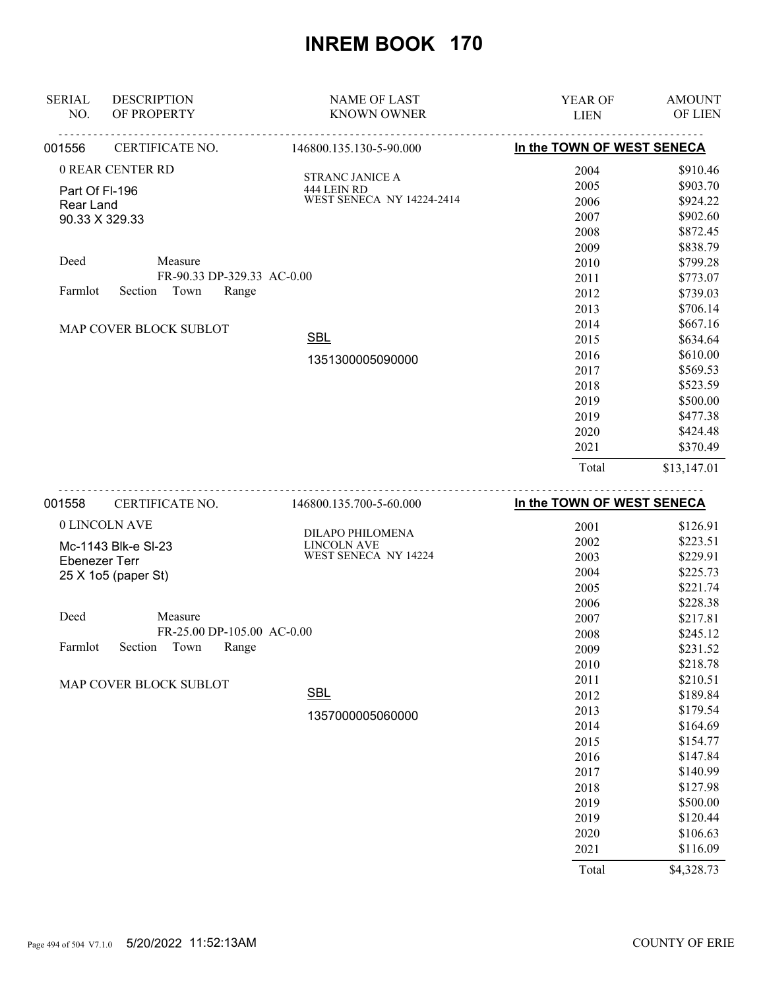| <b>SERIAL</b>  | <b>DESCRIPTION</b>         | <b>NAME OF LAST</b>       | <b>YEAR OF</b>             | <b>AMOUNT</b> |
|----------------|----------------------------|---------------------------|----------------------------|---------------|
| NO.            | OF PROPERTY                | <b>KNOWN OWNER</b>        | <b>LIEN</b>                | OF LIEN       |
| 001556         | CERTIFICATE NO.            | 146800.135.130-5-90.000   | In the TOWN OF WEST SENECA |               |
|                | 0 REAR CENTER RD           | <b>STRANC JANICE A</b>    | 2004                       | \$910.46      |
| Part Of FI-196 |                            | 444 LEIN RD               | 2005                       | \$903.70      |
| Rear Land      |                            | WEST SENECA NY 14224-2414 | 2006                       | \$924.22      |
|                | 90.33 X 329.33             |                           | 2007                       | \$902.60      |
|                |                            |                           | 2008                       | \$872.45      |
|                |                            |                           | 2009                       | \$838.79      |
| Deed           | Measure                    |                           | 2010                       | \$799.28      |
|                | FR-90.33 DP-329.33 AC-0.00 |                           | 2011                       | \$773.07      |
| Farmlot        | Town<br>Range<br>Section   |                           | 2012                       | \$739.03      |
|                |                            |                           | 2013                       | \$706.14      |
|                | MAP COVER BLOCK SUBLOT     |                           | 2014                       | \$667.16      |
|                |                            | <b>SBL</b>                | 2015                       | \$634.64      |
|                |                            | 1351300005090000          | 2016                       | \$610.00      |
|                |                            |                           | 2017                       | \$569.53      |
|                |                            |                           | 2018                       | \$523.59      |
|                |                            |                           | 2019                       | \$500.00      |
|                |                            |                           | 2019                       | \$477.38      |
|                |                            |                           | 2020                       | \$424.48      |
|                |                            |                           | 2021                       | \$370.49      |
|                |                            |                           | Total                      | \$13,147.01   |
|                |                            |                           |                            |               |

| 001558        | CERTIFICATE NO.            | 146800.135.700-5-60.000 | In the TOWN OF WEST SENECA |          |
|---------------|----------------------------|-------------------------|----------------------------|----------|
| 0 LINCOLN AVE |                            | <b>DILAPO PHILOMENA</b> | 2001                       | \$126.91 |
|               | Mc-1143 Blk-e SI-23        | <b>LINCOLN AVE</b>      | 2002                       | \$223.51 |
| Ebenezer Terr |                            | WEST SENECA NY 14224    | 2003                       | \$229.91 |
|               | 25 X 1o5 (paper St)        |                         | 2004                       | \$225.73 |
|               |                            |                         | 2005                       | \$221.74 |
|               |                            |                         | 2006                       | \$228.38 |
| Deed          | Measure                    |                         | 2007                       | \$217.81 |
|               | FR-25.00 DP-105.00 AC-0.00 |                         | 2008                       | \$245.12 |
| Farmlot       | Town<br>Range<br>Section   |                         | 2009                       | \$231.52 |
|               |                            |                         | 2010                       | \$218.78 |
|               | MAP COVER BLOCK SUBLOT     |                         | 2011                       | \$210.51 |
|               |                            | <b>SBL</b>              | 2012                       | \$189.84 |
|               |                            | 1357000005060000        | 2013                       | \$179.54 |
|               |                            |                         | 2014                       | \$164.69 |
|               |                            |                         | 2015                       | \$154.77 |
|               |                            |                         | 2016                       | \$147.84 |
|               |                            |                         | 2017                       | \$140.99 |
|               |                            |                         | 2018                       | \$127.98 |
|               |                            |                         | 2019                       | \$500.00 |
|               |                            |                         | 2019                       | \$120.44 |
|               |                            |                         | 2020                       | \$106.63 |
|               |                            |                         | 2021                       | \$116.09 |

Total \$4,328.73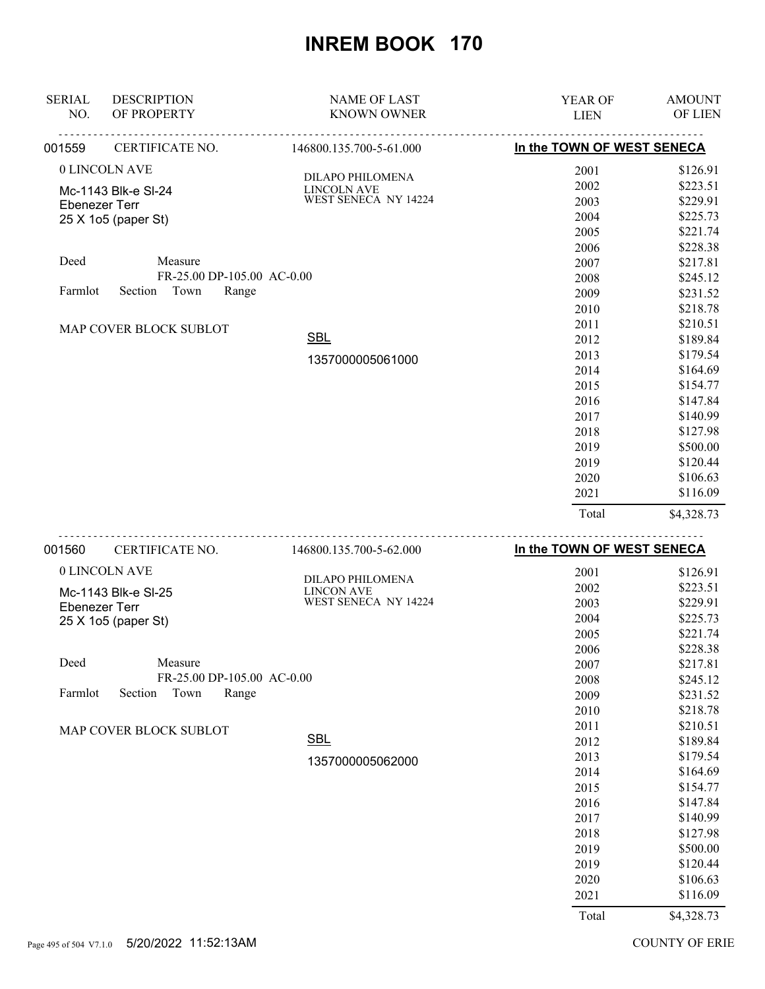| <b>SERIAL</b><br>NO. | <b>DESCRIPTION</b><br>OF PROPERTY | <b>NAME OF LAST</b><br><b>KNOWN OWNER</b> | YEAR OF<br><b>LIEN</b>     | <b>AMOUNT</b><br>OF LIEN |
|----------------------|-----------------------------------|-------------------------------------------|----------------------------|--------------------------|
| 001559               | CERTIFICATE NO.                   | 146800.135.700-5-61.000                   | In the TOWN OF WEST SENECA |                          |
|                      | 0 LINCOLN AVE                     |                                           | 2001                       | \$126.91                 |
|                      | Mc-1143 Blk-e SI-24               | DILAPO PHILOMENA<br><b>LINCOLN AVE</b>    | 2002                       | \$223.51                 |
| <b>Ebenezer Terr</b> |                                   | WEST SENECA NY 14224                      | 2003                       | \$229.91                 |
|                      | 25 X 1o5 (paper St)               |                                           | 2004                       | \$225.73                 |
|                      |                                   |                                           | 2005                       | \$221.74                 |
|                      |                                   |                                           | 2006                       | \$228.38                 |
| Deed                 | Measure                           |                                           | 2007                       | \$217.81                 |
|                      | FR-25.00 DP-105.00 AC-0.00        |                                           | 2008                       | \$245.12                 |
| Farmlot              | Town<br>Section<br>Range          |                                           | 2009                       | \$231.52                 |
|                      |                                   |                                           | 2010                       | \$218.78                 |
|                      | MAP COVER BLOCK SUBLOT            |                                           | 2011                       | \$210.51                 |
|                      |                                   | <b>SBL</b>                                | 2012                       | \$189.84                 |
|                      |                                   | 1357000005061000                          | 2013                       | \$179.54                 |
|                      |                                   |                                           | 2014                       | \$164.69                 |
|                      |                                   |                                           | 2015                       | \$154.77                 |
|                      |                                   |                                           | 2016                       | \$147.84                 |
|                      |                                   |                                           | 2017                       | \$140.99                 |
|                      |                                   |                                           | 2018                       | \$127.98                 |
|                      |                                   |                                           | 2019                       | \$500.00                 |
|                      |                                   |                                           | 2019                       | \$120.44                 |
|                      |                                   |                                           | 2020                       | \$106.63                 |
|                      |                                   |                                           | 2021                       | \$116.09                 |
|                      |                                   |                                           | Total                      | \$4,328.73               |
| <b>001560</b>        | CDDTIELOATEMO                     | 146900125700562000                        | In the TOWN OF WEST SENECA |                          |

| 001560  | CERTIFICATE NO.            | 146800.135.700-5-62.000 | In the TOWN OF WEST SENECA |            |
|---------|----------------------------|-------------------------|----------------------------|------------|
|         | 0 LINCOLN AVE              | <b>DILAPO PHILOMENA</b> | 2001                       | \$126.91   |
|         | Mc-1143 Blk-e SI-25        | <b>LINCON AVE</b>       | 2002                       | \$223.51   |
|         | <b>Ebenezer Terr</b>       | WEST SENECA NY 14224    | 2003                       | \$229.91   |
|         | 25 X 1o5 (paper St)        |                         | 2004                       | \$225.73   |
|         |                            |                         | 2005                       | \$221.74   |
|         |                            |                         | 2006                       | \$228.38   |
| Deed    | Measure                    |                         | 2007                       | \$217.81   |
|         | FR-25.00 DP-105.00 AC-0.00 |                         | 2008                       | \$245.12   |
| Farmlot | Town<br>Section<br>Range   |                         | 2009                       | \$231.52   |
|         |                            |                         | 2010                       | \$218.78   |
|         | MAP COVER BLOCK SUBLOT     |                         | 2011                       | \$210.51   |
|         |                            | <b>SBL</b>              | 2012                       | \$189.84   |
|         |                            | 1357000005062000        | 2013                       | \$179.54   |
|         |                            |                         | 2014                       | \$164.69   |
|         |                            |                         | 2015                       | \$154.77   |
|         |                            |                         | 2016                       | \$147.84   |
|         |                            |                         | 2017                       | \$140.99   |
|         |                            |                         | 2018                       | \$127.98   |
|         |                            |                         | 2019                       | \$500.00   |
|         |                            |                         | 2019                       | \$120.44   |
|         |                            |                         | 2020                       | \$106.63   |
|         |                            |                         | 2021                       | \$116.09   |
|         |                            |                         | Total                      | \$4,328.73 |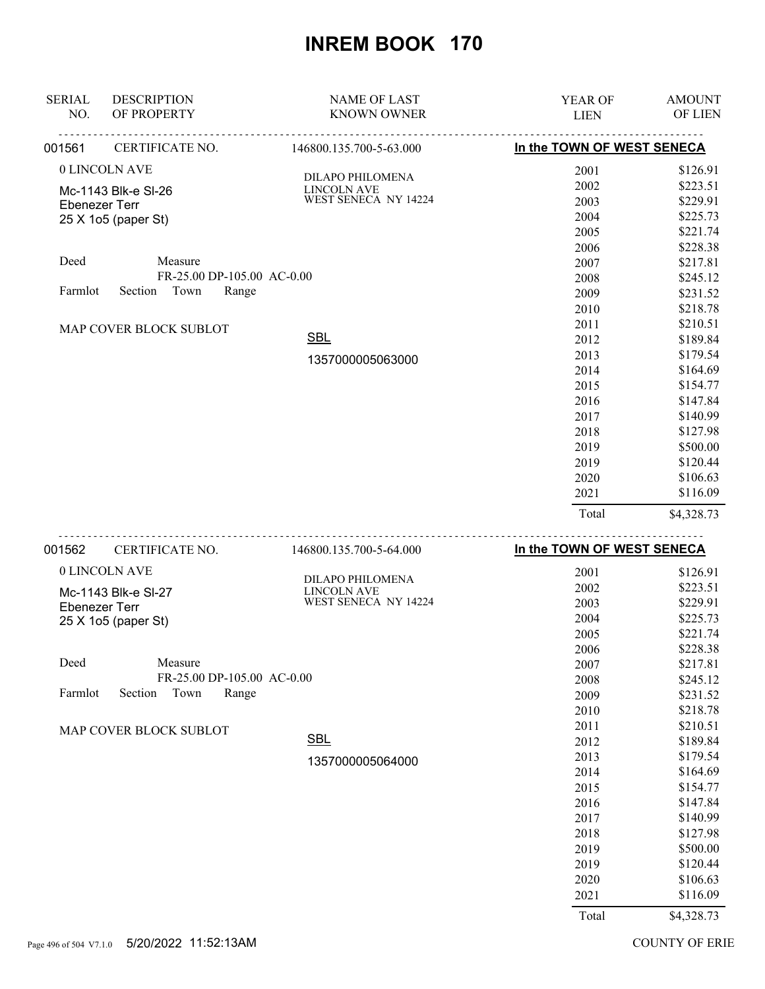| 001562<br>CERTIFICATE NO.                   | 146800.135.700-5-64.000                    | In the TOWN OF WEST SENECA |               |
|---------------------------------------------|--------------------------------------------|----------------------------|---------------|
|                                             |                                            | Total                      | \$4,328.73    |
|                                             |                                            | 2021                       | \$116.09      |
|                                             |                                            | 2020                       | \$106.63      |
|                                             |                                            | 2019                       | \$120.44      |
|                                             |                                            | 2019                       | \$500.00      |
|                                             |                                            | 2018                       | \$127.98      |
|                                             |                                            | 2017                       | \$140.99      |
|                                             |                                            | 2016                       | \$147.84      |
|                                             |                                            | 2015                       | \$154.77      |
|                                             |                                            | 2014                       | \$164.69      |
|                                             | 1357000005063000                           | 2013                       | \$179.54      |
|                                             | <b>SBL</b>                                 | 2012                       | \$189.84      |
| MAP COVER BLOCK SUBLOT                      |                                            | 2011                       | \$210.51      |
|                                             |                                            | 2010                       | \$218.78      |
| Section<br>Town<br>Farmlot                  | Range                                      | 2009                       | \$231.52      |
| FR-25.00 DP-105.00 AC-0.00                  |                                            | 2008                       | \$245.12      |
| Deed<br>Measure                             |                                            | 2007                       | \$217.81      |
|                                             |                                            | 2006                       | \$228.38      |
|                                             |                                            | 2005                       | \$221.74      |
| <b>Ebenezer Terr</b><br>25 X 1o5 (paper St) |                                            | 2004                       | \$225.73      |
| Mc-1143 Blk-e SI-26                         | <b>LINCOLN AVE</b><br>WEST SENECA NY 14224 | 2003                       | \$229.91      |
|                                             | DILAPO PHILOMENA                           | 2002                       | \$223.51      |
| 0 LINCOLN AVE                               |                                            | 2001                       | \$126.91      |
| 001561<br>CERTIFICATE NO.                   | 146800.135.700-5-63.000                    | In the TOWN OF WEST SENECA |               |
| OF PROPERTY<br>NO.                          | <b>KNOWN OWNER</b>                         | <b>LIEN</b>                | OF LIEN       |
| <b>DESCRIPTION</b><br><b>SERIAL</b>         | <b>NAME OF LAST</b>                        | YEAR OF                    | <b>AMOUNT</b> |
|                                             |                                            |                            |               |

| 0 LINCOLN AVE                       | DILAPO PHILOMENA     | 2001  | \$126.91   |
|-------------------------------------|----------------------|-------|------------|
| Mc-1143 Blk-e SI-27                 | <b>LINCOLN AVE</b>   | 2002  | \$223.51   |
| Ebenezer Terr                       | WEST SENECA NY 14224 | 2003  | \$229.91   |
| 25 X 1o5 (paper St)                 |                      | 2004  | \$225.73   |
|                                     |                      | 2005  | \$221.74   |
|                                     |                      | 2006  | \$228.38   |
| Deed<br>Measure                     |                      | 2007  | \$217.81   |
| FR-25.00 DP-105.00 AC-0.00          |                      | 2008  | \$245.12   |
| Town<br>Section<br>Range<br>Farmlot |                      | 2009  | \$231.52   |
|                                     |                      | 2010  | \$218.78   |
| MAP COVER BLOCK SUBLOT              |                      | 2011  | \$210.51   |
|                                     | $SBL$                | 2012  | \$189.84   |
|                                     | 1357000005064000     | 2013  | \$179.54   |
|                                     |                      | 2014  | \$164.69   |
|                                     |                      | 2015  | \$154.77   |
|                                     |                      | 2016  | \$147.84   |
|                                     |                      | 2017  | \$140.99   |
|                                     |                      | 2018  | \$127.98   |
|                                     |                      | 2019  | \$500.00   |
|                                     |                      | 2019  | \$120.44   |
|                                     |                      | 2020  | \$106.63   |
|                                     |                      | 2021  | \$116.09   |
|                                     |                      | Total | \$4,328.73 |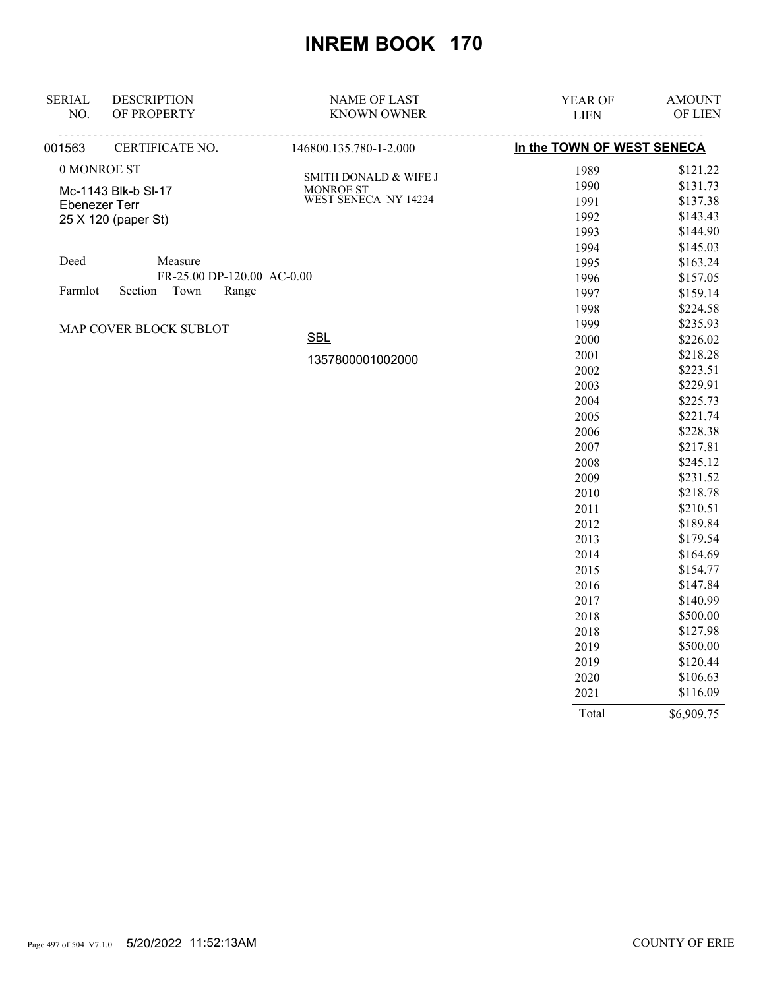| <b>SERIAL</b> | <b>DESCRIPTION</b>         | <b>NAME OF LAST</b>               | YEAR OF                    | <b>AMOUNT</b> |
|---------------|----------------------------|-----------------------------------|----------------------------|---------------|
| NO.           | OF PROPERTY                | <b>KNOWN OWNER</b>                | <b>LIEN</b>                | OF LIEN       |
| 001563        | CERTIFICATE NO.            | 146800.135.780-1-2.000            | In the TOWN OF WEST SENECA |               |
|               | 0 MONROE ST                | SMITH DONALD & WIFE J             | 1989                       | \$121.22      |
|               | Mc-1143 Blk-b SI-17        |                                   | 1990                       | \$131.73      |
|               | <b>Ebenezer Terr</b>       | MONROE ST<br>WEST SENECA NY 14224 | 1991                       | \$137.38      |
|               | 25 X 120 (paper St)        |                                   | 1992                       | \$143.43      |
|               |                            |                                   | 1993                       | \$144.90      |
|               |                            |                                   | 1994                       | \$145.03      |
| Deed          | Measure                    |                                   | 1995                       | \$163.24      |
|               | FR-25.00 DP-120.00 AC-0.00 |                                   | 1996                       | \$157.05      |
| Farmlot       | Town<br>Section<br>Range   |                                   | 1997                       | \$159.14      |
|               |                            |                                   | 1998                       | \$224.58      |
|               | MAP COVER BLOCK SUBLOT     |                                   | 1999                       | \$235.93      |
|               |                            | <b>SBL</b>                        | 2000                       | \$226.02      |
|               |                            | 1357800001002000                  | 2001                       | \$218.28      |
|               |                            |                                   | 2002                       | \$223.51      |
|               |                            |                                   | 2003                       | \$229.91      |
|               |                            |                                   | 2004                       | \$225.73      |
|               |                            |                                   | 2005                       | \$221.74      |
|               |                            |                                   | 2006                       | \$228.38      |
|               |                            |                                   | 2007                       | \$217.81      |
|               |                            |                                   | 2008                       | \$245.12      |
|               |                            |                                   | 2009                       | \$231.52      |
|               |                            |                                   | 2010                       | \$218.78      |
|               |                            |                                   | 2011                       | \$210.51      |
|               |                            |                                   | 2012                       | \$189.84      |
|               |                            |                                   | 2013                       | \$179.54      |
|               |                            |                                   | 2014                       | \$164.69      |
|               |                            |                                   | 2015                       | \$154.77      |
|               |                            |                                   | 2016                       | \$147.84      |
|               |                            |                                   | 2017                       | \$140.99      |
|               |                            |                                   | 2018                       | \$500.00      |
|               |                            |                                   | 2018                       | \$127.98      |
|               |                            |                                   | 2019                       | \$500.00      |
|               |                            |                                   | 2019                       | \$120.44      |
|               |                            |                                   | 2020                       | \$106.63      |
|               |                            |                                   | 2021                       | \$116.09      |

Total \$6,909.75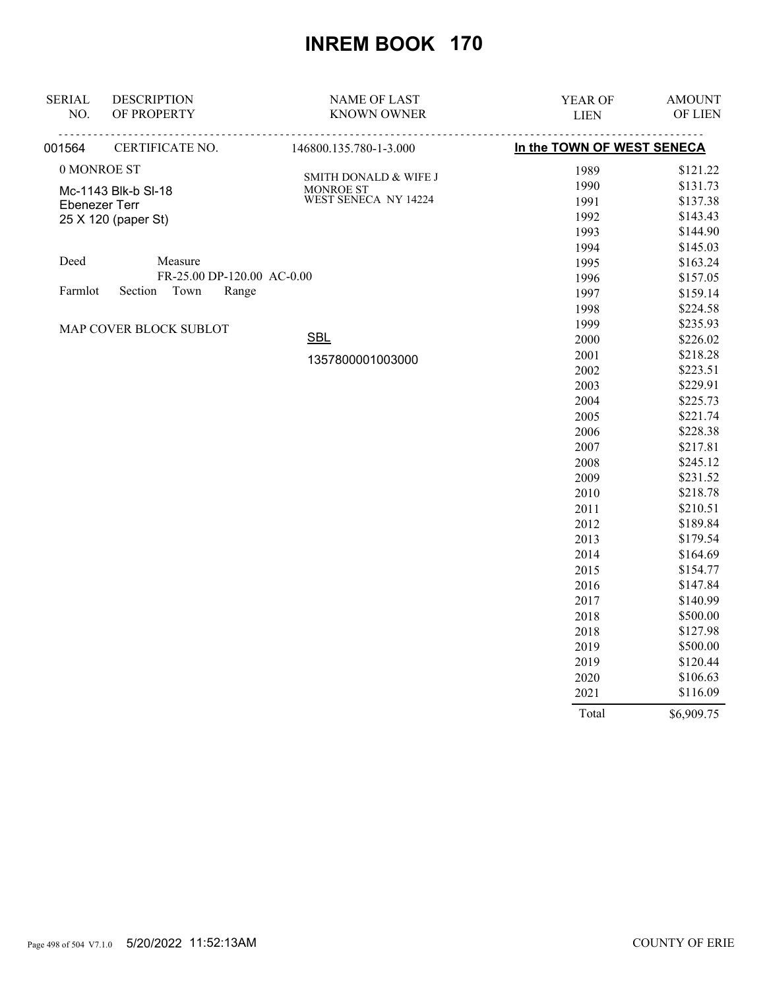| <b>SERIAL</b> | <b>DESCRIPTION</b>         | <b>NAME OF LAST</b>               | YEAR OF                    | <b>AMOUNT</b> |
|---------------|----------------------------|-----------------------------------|----------------------------|---------------|
| NO.           | OF PROPERTY                | <b>KNOWN OWNER</b>                | <b>LIEN</b>                | OF LIEN       |
| 001564        | CERTIFICATE NO.            | 146800.135.780-1-3.000            | In the TOWN OF WEST SENECA |               |
|               | 0 MONROE ST                | <b>SMITH DONALD &amp; WIFE J</b>  | 1989                       | \$121.22      |
|               | Mc-1143 Blk-b SI-18        |                                   | 1990                       | \$131.73      |
|               | <b>Ebenezer Terr</b>       | MONROE ST<br>WEST SENECA NY 14224 | 1991                       | \$137.38      |
|               | 25 X 120 (paper St)        |                                   | 1992                       | \$143.43      |
|               |                            |                                   | 1993                       | \$144.90      |
|               |                            |                                   | 1994                       | \$145.03      |
| Deed          | Measure                    |                                   | 1995                       | \$163.24      |
|               | FR-25.00 DP-120.00 AC-0.00 |                                   | 1996                       | \$157.05      |
| Farmlot       | Town<br>Section<br>Range   |                                   | 1997                       | \$159.14      |
|               |                            |                                   | 1998                       | \$224.58      |
|               | MAP COVER BLOCK SUBLOT     |                                   | 1999                       | \$235.93      |
|               |                            | <b>SBL</b>                        | 2000                       | \$226.02      |
|               |                            | 1357800001003000                  | 2001                       | \$218.28      |
|               |                            |                                   | 2002                       | \$223.51      |
|               |                            |                                   | 2003                       | \$229.91      |
|               |                            |                                   | 2004                       | \$225.73      |
|               |                            |                                   | 2005                       | \$221.74      |
|               |                            |                                   | 2006                       | \$228.38      |
|               |                            |                                   | 2007                       | \$217.81      |
|               |                            |                                   | 2008                       | \$245.12      |
|               |                            |                                   | 2009                       | \$231.52      |
|               |                            |                                   | 2010                       | \$218.78      |
|               |                            |                                   | 2011                       | \$210.51      |
|               |                            |                                   | 2012                       | \$189.84      |
|               |                            |                                   | 2013                       | \$179.54      |
|               |                            |                                   | 2014                       | \$164.69      |
|               |                            |                                   | 2015                       | \$154.77      |
|               |                            |                                   | 2016                       | \$147.84      |
|               |                            |                                   | 2017                       | \$140.99      |
|               |                            |                                   | 2018                       | \$500.00      |
|               |                            |                                   | 2018                       | \$127.98      |
|               |                            |                                   | 2019                       | \$500.00      |
|               |                            |                                   | 2019                       | \$120.44      |
|               |                            |                                   | 2020                       | \$106.63      |
|               |                            |                                   | 2021                       | \$116.09      |

Total \$6,909.75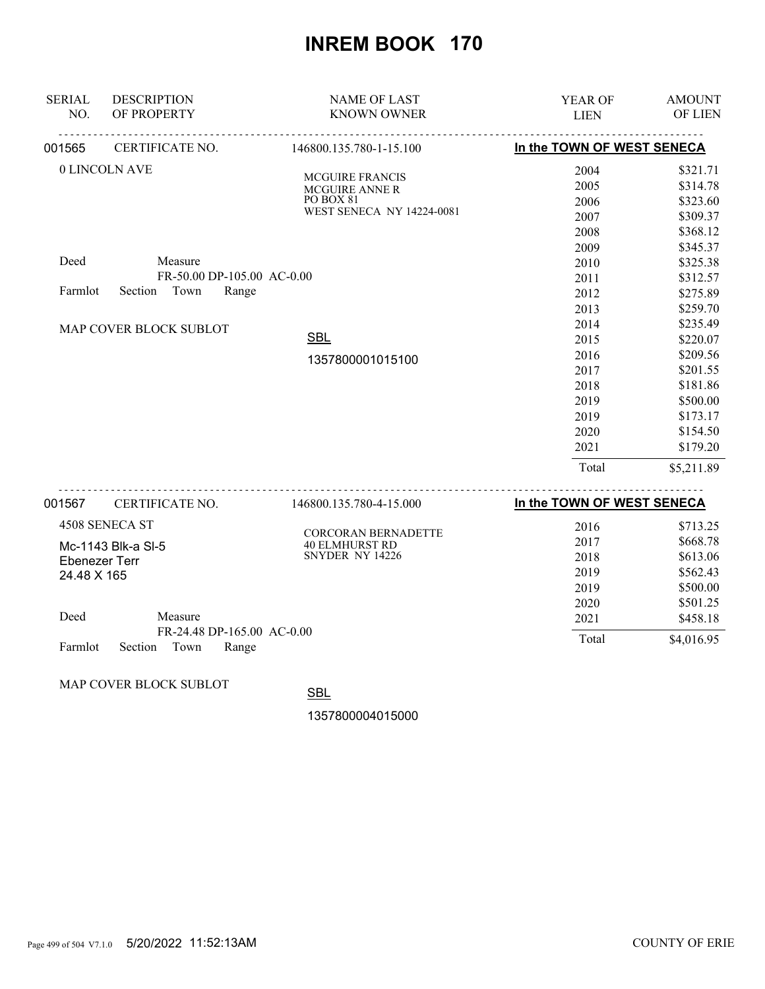| <b>SERIAL</b><br>NO. | <b>DESCRIPTION</b><br>OF PROPERTY                                 | <b>NAME OF LAST</b><br><b>KNOWN OWNER</b>                                                        | <b>YEAR OF</b><br><b>LIEN</b>                | <b>AMOUNT</b><br>OF LIEN                                             |
|----------------------|-------------------------------------------------------------------|--------------------------------------------------------------------------------------------------|----------------------------------------------|----------------------------------------------------------------------|
| 001565               | CERTIFICATE NO.                                                   | 146800.135.780-1-15.100                                                                          | In the TOWN OF WEST SENECA                   |                                                                      |
|                      | 0 LINCOLN AVE                                                     | <b>MCGUIRE FRANCIS</b><br><b>MCGUIRE ANNE R</b><br>PO BOX 81<br><b>WEST SENECA NY 14224-0081</b> | 2004<br>2005<br>2006<br>2007<br>2008         | \$321.71<br>\$314.78<br>\$323.60<br>\$309.37<br>\$368.12             |
| Deed<br>Farmlot      | Measure<br>FR-50.00 DP-105.00 AC-0.00<br>Town<br>Section<br>Range |                                                                                                  | 2009<br>2010<br>2011<br>2012                 | \$345.37<br>\$325.38<br>\$312.57<br>\$275.89                         |
|                      | MAP COVER BLOCK SUBLOT                                            | <b>SBL</b>                                                                                       | 2013<br>2014<br>2015                         | \$259.70<br>\$235.49<br>\$220.07                                     |
|                      |                                                                   | 1357800001015100                                                                                 | 2016<br>2017<br>2018<br>2019<br>2019<br>2020 | \$209.56<br>\$201.55<br>\$181.86<br>\$500.00<br>\$173.17<br>\$154.50 |
|                      |                                                                   |                                                                                                  | 2021<br>Total                                | \$179.20<br>\$5,211.89                                               |
| 001567               | CERTIFICATE NO.                                                   | 146800.135.780-4-15.000                                                                          | In the TOWN OF WEST SENECA                   |                                                                      |

|                |                            | 1.1000011 <i>00.1</i> 00.1101000 |       |            |
|----------------|----------------------------|----------------------------------|-------|------------|
| 4508 SENECA ST |                            | <b>CORCORAN BERNADETTE</b>       | 2016  | \$713.25   |
|                | Mc-1143 Blk-a SI-5         | <b>40 ELMHURST RD</b>            | 2017  | \$668.78   |
| Ebenezer Terr  |                            | SNYDER NY 14226                  | 2018  | \$613.06   |
| 24.48 X 165    |                            |                                  | 2019  | \$562.43   |
|                |                            |                                  | 2019  | \$500.00   |
|                |                            |                                  | 2020  | \$501.25   |
| Deed           | Measure                    |                                  | 2021  | \$458.18   |
|                | FR-24.48 DP-165.00 AC-0.00 |                                  | Total | \$4,016.95 |
| Farmlot        | Section<br>Range<br>Town   |                                  |       |            |

MAP COVER BLOCK SUBLOT

**SBL**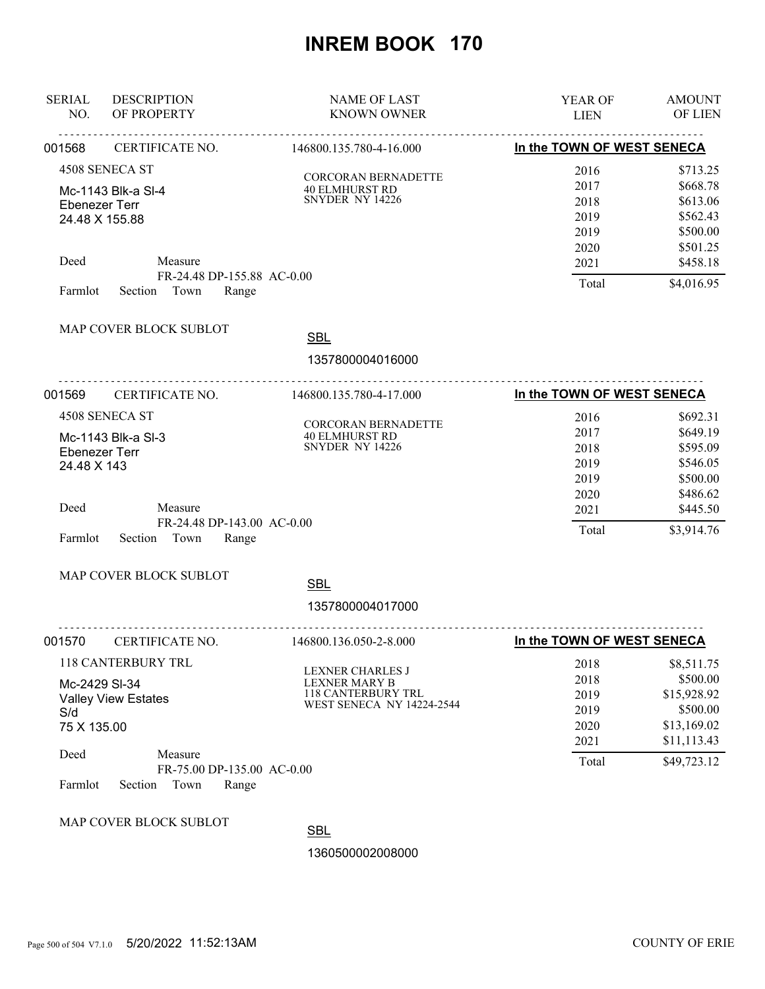| <b>SERIAL</b><br>NO.                                                           | <b>DESCRIPTION</b><br>OF PROPERTY                                 | <b>NAME OF LAST</b><br><b>KNOWN OWNER</b>                                                                 | YEAR OF<br><b>LIEN</b>                       | <b>AMOUNT</b><br><b>OF LIEN</b>                                                 |
|--------------------------------------------------------------------------------|-------------------------------------------------------------------|-----------------------------------------------------------------------------------------------------------|----------------------------------------------|---------------------------------------------------------------------------------|
| <u>.</u><br>CERTIFICATE NO.<br>001568                                          |                                                                   | <u>.</u><br>146800.135.780-4-16.000                                                                       | In the TOWN OF WEST SENECA                   |                                                                                 |
| 4508 SENECA ST<br>Mc-1143 Blk-a SI-4<br><b>Ebenezer Terr</b><br>24.48 X 155.88 |                                                                   | <b>CORCORAN BERNADETTE</b><br><b>40 ELMHURST RD</b><br>SNYDER NY 14226                                    | 2016<br>2017<br>2018<br>2019<br>2019<br>2020 | \$713.25<br>\$668.78<br>\$613.06<br>\$562.43<br>\$500.00<br>\$501.25            |
| Deed                                                                           | Measure                                                           |                                                                                                           | 2021                                         | \$458.18                                                                        |
| Farmlot                                                                        | FR-24.48 DP-155.88 AC-0.00<br>Section Town<br>Range               |                                                                                                           | Total                                        | \$4,016.95                                                                      |
|                                                                                | MAP COVER BLOCK SUBLOT                                            | <b>SBL</b><br>1357800004016000                                                                            |                                              |                                                                                 |
| 001569                                                                         | CERTIFICATE NO.                                                   | <u>.</u><br>146800.135.780-4-17.000                                                                       | In the TOWN OF WEST SENECA                   |                                                                                 |
| <b>Ebenezer Terr</b><br>24.48 X 143                                            | 4508 SENECA ST<br>Mc-1143 Blk-a SI-3                              | <b>CORCORAN BERNADETTE</b><br><b>40 ELMHURST RD</b><br>SNYDER NY 14226                                    | 2016<br>2017<br>2018<br>2019<br>2019<br>2020 | \$692.31<br>\$649.19<br>\$595.09<br>\$546.05<br>\$500.00<br>\$486.62            |
| Deed<br>Farmlot                                                                | Measure<br>FR-24.48 DP-143.00 AC-0.00<br>Section<br>Town<br>Range |                                                                                                           | 2021<br>Total                                | \$445.50<br>\$3,914.76                                                          |
|                                                                                | MAP COVER BLOCK SUBLOT                                            | <b>SBL</b>                                                                                                |                                              |                                                                                 |
|                                                                                |                                                                   | 1357800004017000                                                                                          |                                              |                                                                                 |
| 001570                                                                         | CERTIFICATE NO.<br>146800.136.050-2-8.000                         |                                                                                                           | In the TOWN OF WEST SENECA                   |                                                                                 |
| Mc-2429 SI-34<br>S/d<br>75 X 135.00                                            | <b>118 CANTERBURY TRL</b><br><b>Valley View Estates</b>           | <b>LEXNER CHARLES J</b><br><b>LEXNER MARY B</b><br>118 CANTERBURY TRL<br><b>WEST SENECA NY 14224-2544</b> | 2018<br>2018<br>2019<br>2019<br>2020<br>2021 | \$8,511.75<br>\$500.00<br>\$15,928.92<br>\$500.00<br>\$13,169.02<br>\$11,113.43 |
| Deed<br>Farmlot                                                                | Measure<br>FR-75.00 DP-135.00 AC-0.00<br>Section<br>Town<br>Range |                                                                                                           | Total                                        | \$49,723.12                                                                     |
|                                                                                | MAP COVER BLOCK SUBLOT                                            | <b>SBL</b>                                                                                                |                                              |                                                                                 |
|                                                                                |                                                                   | 1360500002008000                                                                                          |                                              |                                                                                 |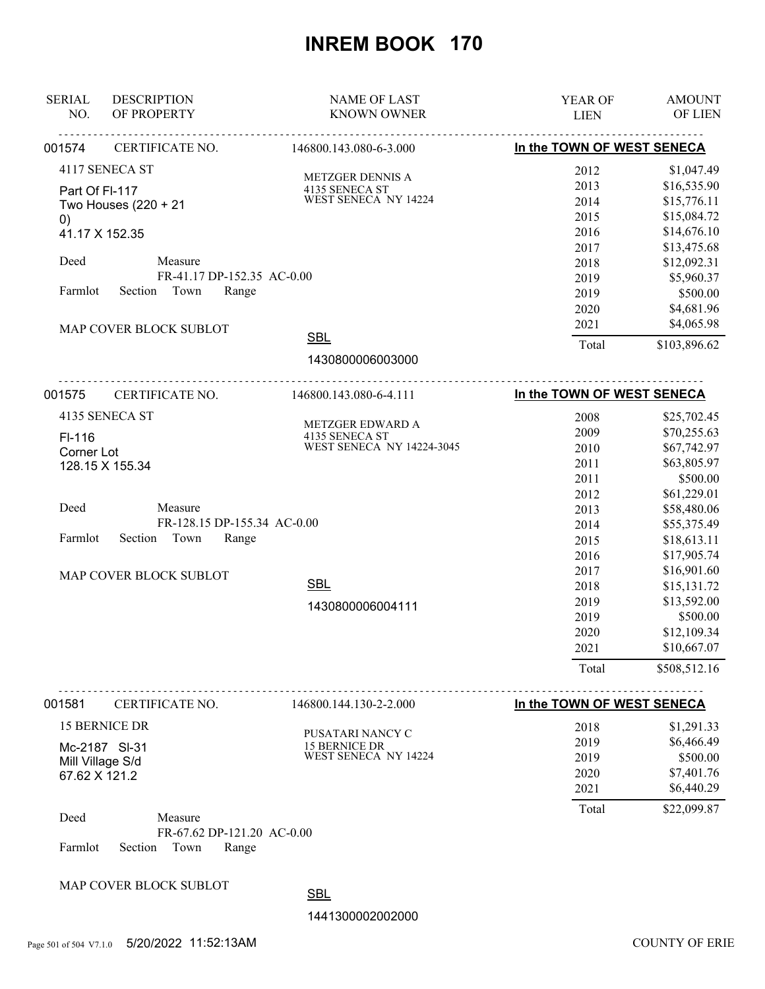| <b>SERIAL</b><br>NO.      | <b>DESCRIPTION</b><br>OF PROPERTY                      | <b>NAME OF LAST</b><br><b>KNOWN OWNER</b>       | YEAR OF<br><b>LIEN</b>     | <b>AMOUNT</b><br>OF LIEN    |
|---------------------------|--------------------------------------------------------|-------------------------------------------------|----------------------------|-----------------------------|
| CERTIFICATE NO.<br>001574 |                                                        | 146800.143.080-6-3.000                          | In the TOWN OF WEST SENECA |                             |
|                           | 4117 SENECA ST                                         | METZGER DENNIS A                                | 2012                       | \$1,047.49                  |
| Part Of FI-117            |                                                        | 4135 SENECA ST                                  | 2013                       | \$16,535.90                 |
|                           | Two Houses (220 + 21                                   | WEST SENECA NY 14224                            | 2014                       | \$15,776.11                 |
| $\left( 0\right)$         |                                                        |                                                 | 2015                       | \$15,084.72                 |
| 41.17 X 152.35            |                                                        |                                                 | 2016                       | \$14,676.10                 |
|                           |                                                        |                                                 | 2017                       | \$13,475.68                 |
| Deed                      | Measure                                                |                                                 | 2018                       | \$12,092.31                 |
|                           | FR-41.17 DP-152.35 AC-0.00                             |                                                 | 2019                       | \$5,960.37                  |
| Farmlot                   | Section Town<br>Range                                  |                                                 | 2019                       | \$500.00                    |
|                           |                                                        |                                                 | 2020                       | \$4,681.96                  |
|                           | MAP COVER BLOCK SUBLOT                                 |                                                 | 2021                       | \$4,065.98                  |
|                           |                                                        | <b>SBL</b>                                      | Total                      | \$103,896.62                |
|                           |                                                        | 1430800006003000                                |                            |                             |
| 001575                    | CERTIFICATE NO.                                        | 146800.143.080-6-4.111                          | In the TOWN OF WEST SENECA |                             |
|                           | 4135 SENECA ST                                         |                                                 | 2008                       | \$25,702.45                 |
| $FI-116$                  |                                                        | METZGER EDWARD A                                | 2009                       | \$70,255.63                 |
| Corner Lot                |                                                        | $4135$ SENECA ST WEST SENECA NY 14224-3045 $\,$ | 2010                       | \$67,742.97                 |
|                           | 128.15 X 155.34                                        |                                                 | 2011                       | \$63,805.97                 |
|                           |                                                        |                                                 | 2011                       | \$500.00                    |
|                           |                                                        |                                                 | 2012                       | \$61,229.01                 |
| Deed                      | Measure                                                |                                                 | 2013                       | \$58,480.06                 |
|                           | FR-128.15 DP-155.34 AC-0.00                            |                                                 | 2014                       | \$55,375.49                 |
| Farmlot                   | Section<br>Town<br>Range                               |                                                 | 2015                       | \$18,613.11                 |
|                           |                                                        |                                                 | 2016                       | \$17,905.74                 |
|                           | MAP COVER BLOCK SUBLOT                                 |                                                 | 2017                       | \$16,901.60                 |
|                           |                                                        | <b>SBL</b>                                      | 2018                       | \$15,131.72                 |
|                           |                                                        | 1430800006004111                                | 2019                       | \$13,592.00                 |
|                           |                                                        |                                                 | 2019                       | \$500.00                    |
|                           |                                                        |                                                 | 2020                       | \$12,109.34                 |
|                           |                                                        |                                                 | 2021<br>Total              | \$10,667.07<br>\$508,512.16 |
|                           |                                                        |                                                 |                            |                             |
| 001581<br>CERTIFICATE NO. |                                                        | 146800.144.130-2-2.000                          | In the TOWN OF WEST SENECA |                             |
|                           | 15 BERNICE DR                                          | PUSATARI NANCY C                                | 2018                       | \$1,291.33                  |
|                           | Mc-2187 SI-31                                          | 15 BERNICE DR                                   | 2019                       | \$6,466.49                  |
| Mill Village S/d          |                                                        | WEST SENECA NY 14224                            | 2019                       | \$500.00                    |
| 67.62 X 121.2             |                                                        |                                                 | 2020                       | \$7,401.76                  |
|                           |                                                        |                                                 | 2021                       | \$6,440.29                  |
| Deed                      | Measure                                                |                                                 | Total                      | \$22,099.87                 |
| Farmlot                   | FR-67.62 DP-121.20 AC-0.00<br>Section<br>Town<br>Range |                                                 |                            |                             |
|                           |                                                        |                                                 |                            |                             |
|                           | MAP COVER BLOCK SUBLOT                                 | <b>SBL</b>                                      |                            |                             |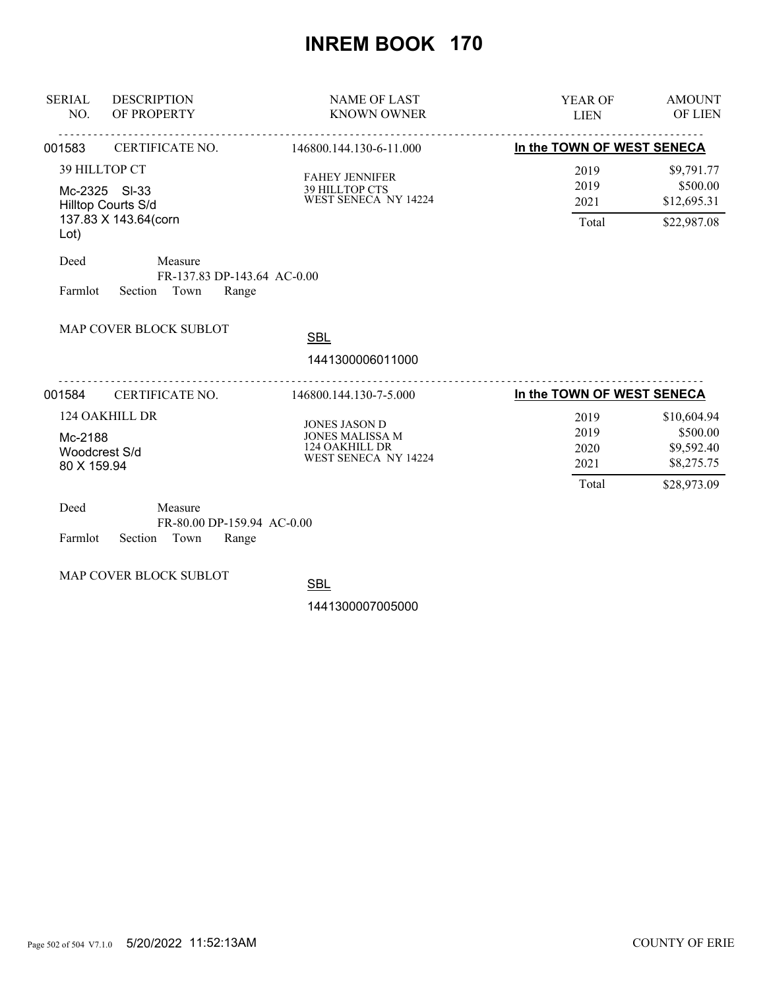| <b>DESCRIPTION</b><br><b>SERIAL</b><br>OF PROPERTY<br>NO.                                        |                                                                    | <b>NAME OF LAST</b><br><b>KNOWN OWNER</b>                                                | <b>AMOUNT</b><br>YEAR OF<br><b>OF LIEN</b><br><b>LIEN</b>                                                   |  |
|--------------------------------------------------------------------------------------------------|--------------------------------------------------------------------|------------------------------------------------------------------------------------------|-------------------------------------------------------------------------------------------------------------|--|
| 001583                                                                                           | CERTIFICATE NO.                                                    | 146800.144.130-6-11.000                                                                  | In the TOWN OF WEST SENECA                                                                                  |  |
| 39 HILLTOP CT<br>Mc-2325 SI-33<br>Hilltop Courts S/d<br>137.83 X 143.64(corn<br>Lot)             |                                                                    | <b>FAHEY JENNIFER</b><br><b>39 HILLTOP CTS</b><br>WEST SENECA NY 14224                   | 2019<br>\$9,791.77<br>\$500.00<br>2019<br>\$12,695.31<br>2021<br>Total<br>\$22,987.08                       |  |
| Deed<br>Farmlot                                                                                  | Measure<br>FR-137.83 DP-143.64 AC-0.00<br>Section<br>Town<br>Range |                                                                                          |                                                                                                             |  |
|                                                                                                  | MAP COVER BLOCK SUBLOT                                             | <b>SBL</b><br>1441300006011000                                                           |                                                                                                             |  |
| 001584<br>CERTIFICATE NO.                                                                        |                                                                    | 146800.144.130-7-5.000                                                                   | In the TOWN OF WEST SENECA                                                                                  |  |
| 124 OAKHILL DR<br>Mc-2188<br>Woodcrest S/d<br>80 X 159.94                                        |                                                                    | <b>JONES JASON D</b><br><b>JONES MALISSA M</b><br>124 OAKHILL DR<br>WEST SENECA NY 14224 | \$10,604.94<br>2019<br>\$500.00<br>2019<br>\$9,592.40<br>2020<br>\$8,275.75<br>2021<br>Total<br>\$28,973.09 |  |
| Deed<br>Measure<br>FR-80.00 DP-159.94 AC-0.00<br><b>P</b> 1, <i>C</i> , <b>P</b><br>$\mathbf{r}$ |                                                                    |                                                                                          |                                                                                                             |  |

Farmlot Section Town Range

MAP COVER BLOCK SUBLOT

**SBL**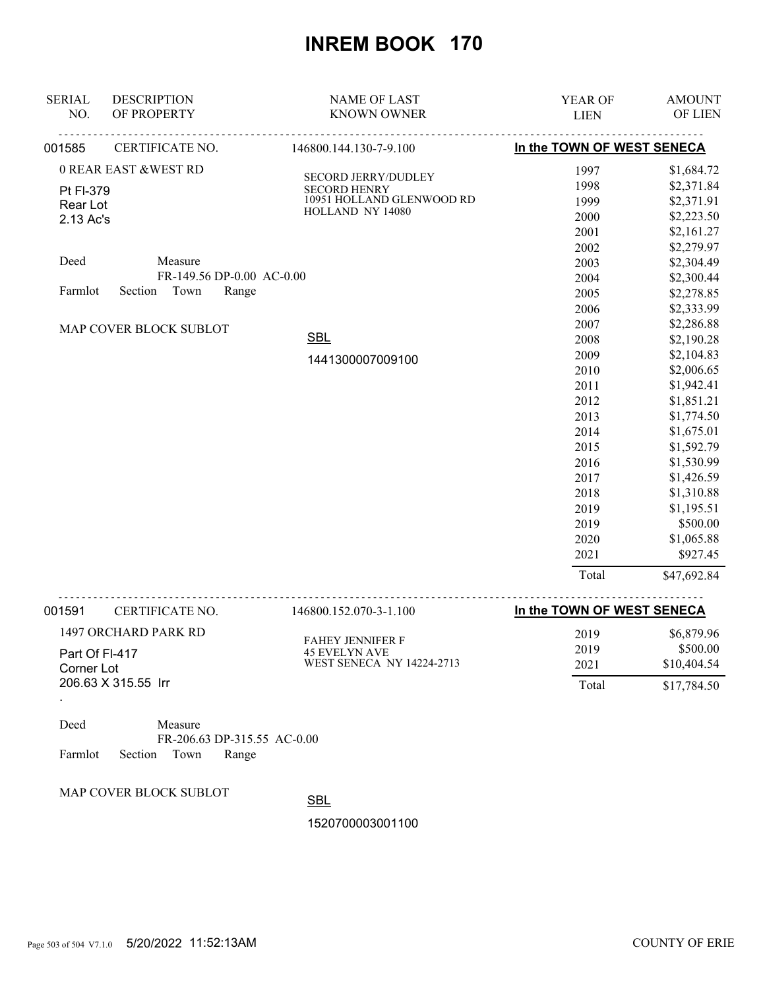| <b>SERIAL</b> | <b>DESCRIPTION</b>              | <b>NAME OF LAST</b>       | YEAR OF                    | <b>AMOUNT</b> |
|---------------|---------------------------------|---------------------------|----------------------------|---------------|
| NO.           | OF PROPERTY                     | <b>KNOWN OWNER</b>        | <b>LIEN</b>                | OF LIEN       |
| 001585        | CERTIFICATE NO.                 | 146800.144.130-7-9.100    | In the TOWN OF WEST SENECA |               |
|               | <b>0 REAR EAST &amp;WEST RD</b> | SECORD JERRY/DUDLEY       | 1997                       | \$1,684.72    |
| Pt FI-379     |                                 | <b>SECORD HENRY</b>       | 1998                       | \$2,371.84    |
| Rear Lot      |                                 | 10951 HOLLAND GLENWOOD RD | 1999                       | \$2,371.91    |
| 2.13 Ac's     |                                 | HOLLAND NY 14080          | 2000                       | \$2,223.50    |
|               |                                 |                           | 2001                       | \$2,161.27    |
|               |                                 |                           | 2002                       | \$2,279.97    |
| Deed          | Measure                         |                           | 2003                       | \$2,304.49    |
|               | FR-149.56 DP-0.00 AC-0.00       |                           | 2004                       | \$2,300.44    |
| Farmlot       | Section<br>Town<br>Range        |                           | 2005                       | \$2,278.85    |
|               |                                 |                           | 2006                       | \$2,333.99    |
|               | MAP COVER BLOCK SUBLOT          |                           | 2007                       | \$2,286.88    |
|               |                                 | <b>SBL</b>                | 2008                       | \$2,190.28    |
|               |                                 | 1441300007009100          | 2009                       | \$2,104.83    |
|               |                                 |                           | 2010                       | \$2,006.65    |
|               |                                 |                           | 2011                       | \$1,942.41    |
|               |                                 |                           | 2012                       | \$1,851.21    |
|               |                                 |                           | 2013                       | \$1,774.50    |
|               |                                 |                           | 2014                       | \$1,675.01    |
|               |                                 |                           | 2015                       | \$1,592.79    |
|               |                                 |                           | 2016                       | \$1,530.99    |
|               |                                 |                           | 2017                       | \$1,426.59    |
|               |                                 |                           | 2018                       | \$1,310.88    |
|               |                                 |                           | 2019                       | \$1,195.51    |
|               |                                 |                           | 2019                       | \$500.00      |
|               |                                 |                           | 2020                       | \$1,065.88    |
|               |                                 |                           | 2021                       | \$927.45      |
|               |                                 |                           | Total                      | \$47,692.84   |

| 001591                                              | CERTIFICATE NO. | 146800.152.070-3-1.100                          | In the TOWN OF WEST SENECA |             |
|-----------------------------------------------------|-----------------|-------------------------------------------------|----------------------------|-------------|
| 1497 ORCHARD PARK RD                                |                 | <b>FAHEY JENNIFER F</b><br><b>45 EVELYN AVE</b> | 2019                       | \$6,879.96  |
| Part Of FI-417<br>Corner Lot<br>206.63 X 315.55 Irr |                 |                                                 | 2019                       | \$500.00    |
|                                                     |                 | <b>WEST SENECA NY 14224-2713</b>                | 2021                       | \$10,404.54 |
|                                                     |                 |                                                 | Total                      | \$17,784.50 |
|                                                     |                 |                                                 |                            |             |

| Deed |                            | Measure |                             |  |
|------|----------------------------|---------|-----------------------------|--|
|      |                            |         | FR-206.63 DP-315.55 AC-0.00 |  |
|      | Farmlot Section Town Range |         |                             |  |

MAP COVER BLOCK SUBLOT

**SBL**